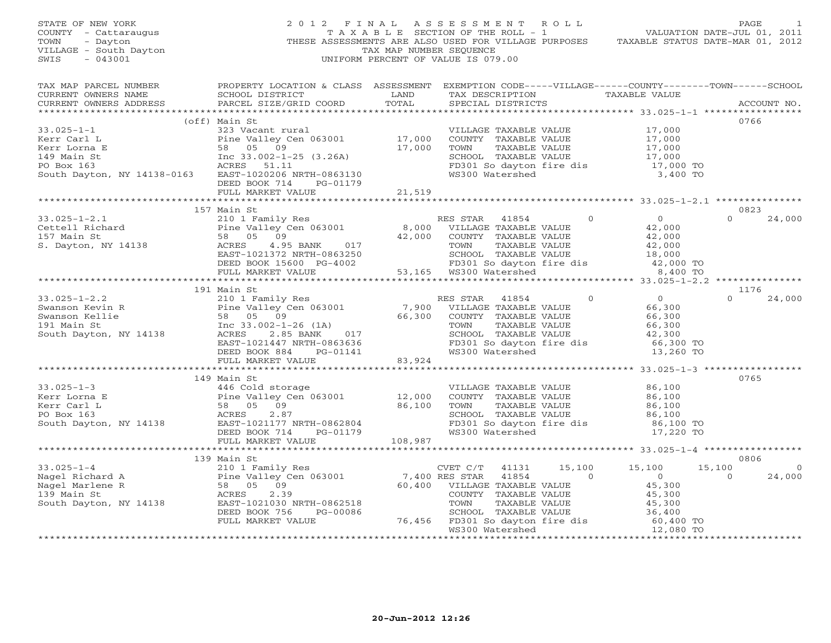| STATE OF NEW YORK<br>COUNTY - Cattaraugus<br>- Dayton<br>TOWN<br>VILLAGE - South Dayton<br>SWIS<br>$-043001$                                                                                                                                              |                                                                                                                                                                              | TAX MAP NUMBER SEOUENCE | 2012 FINAL ASSESSMENT ROLL<br>TAXABLE SECTION OF THE ROLL - 1 VALUATION DATE-JUL 01, 2011<br>THESE ASSESSMENTS ARE ALSO USED FOR VILLAGE PURPOSES TAXABLE STATUS DATE-MAR 01, 2012<br>UNIFORM PERCENT OF VALUE IS 079.00 |                |                                                                                                                                                               | PAGE                     |
|-----------------------------------------------------------------------------------------------------------------------------------------------------------------------------------------------------------------------------------------------------------|------------------------------------------------------------------------------------------------------------------------------------------------------------------------------|-------------------------|--------------------------------------------------------------------------------------------------------------------------------------------------------------------------------------------------------------------------|----------------|---------------------------------------------------------------------------------------------------------------------------------------------------------------|--------------------------|
| TAX MAP PARCEL NUMBER THE PROPERTY LOCATION & CLASS ASSESSMENT EXEMPTION CODE-----VILLAGE------COUNTY-------TOWN------SCHOOL<br>CURRENT OWNERS NAME<br>CURRENT OWNERS ADDRESS                                                                             | SCHOOL DISTRICT<br>PARCEL SIZE/GRID COORD                                                                                                                                    | LAND<br>TOTAL           | TAX DESCRIPTION TAXABLE VALUE<br>SPECIAL DISTRICTS                                                                                                                                                                       |                |                                                                                                                                                               | ACCOUNT NO.              |
|                                                                                                                                                                                                                                                           |                                                                                                                                                                              |                         |                                                                                                                                                                                                                          |                |                                                                                                                                                               | 0766                     |
| $33.025 - 1 - 1$                                                                                                                                                                                                                                          |                                                                                                                                                                              |                         |                                                                                                                                                                                                                          |                | VILLAGE TAXABLE VALUE 17,000<br>COUNTY TAXABLE VALUE 17,000<br>TOWN TAXABLE VALUE 17,000<br>SCHOOL TAXABLE VALUE 17,000<br>FD301 So dayton fire dis 17,000 TO |                          |
| Kerr Carl L                                                                                                                                                                                                                                               |                                                                                                                                                                              |                         |                                                                                                                                                                                                                          |                |                                                                                                                                                               |                          |
| Kerr Lorna E                                                                                                                                                                                                                                              |                                                                                                                                                                              |                         |                                                                                                                                                                                                                          |                |                                                                                                                                                               |                          |
|                                                                                                                                                                                                                                                           |                                                                                                                                                                              |                         |                                                                                                                                                                                                                          |                |                                                                                                                                                               |                          |
|                                                                                                                                                                                                                                                           |                                                                                                                                                                              |                         |                                                                                                                                                                                                                          |                |                                                                                                                                                               |                          |
| 149 Main St 163<br>PO Box 163<br>South Dayton, NY 14138-0163<br>EAST-102026 NRTH-0863130<br>EAST-102026 NRTH-0863130<br>PERSON T14<br>PC 01179                                                                                                            | 323 Vacant rural<br>Pine Valley Cen 063001 17,000<br>58 05 09 17,000<br>Inc 33.002-1-25 (3.26A) 17,000<br>ACRES 51.11<br>NY 14138-0163 EAST-102026<br>DEED BOOK 714 PG-01179 |                         | WS300 Watershed                                                                                                                                                                                                          |                | 3,400 TO                                                                                                                                                      |                          |
|                                                                                                                                                                                                                                                           | FULL MARKET VALUE                                                                                                                                                            | 21,519                  |                                                                                                                                                                                                                          |                |                                                                                                                                                               |                          |
|                                                                                                                                                                                                                                                           | 157 Main St                                                                                                                                                                  |                         |                                                                                                                                                                                                                          |                |                                                                                                                                                               | 0823                     |
| 33.025-1-2.1<br>Cettell Richard 2101 Family Res<br>Cettell Richard 2101 Family Res<br>2101 Family Res<br>2101 8,000 VILLAGE TAXABLE VALUE<br>357 Main St<br>26 05 09<br>22,000 COUNTY TAXABLE VALUE<br>26 05 09<br>22,000 COUNTY TAXABLE VALUE<br>        |                                                                                                                                                                              |                         |                                                                                                                                                                                                                          | $\Omega$       | $\overline{0}$                                                                                                                                                | $\Omega$<br>24,000       |
|                                                                                                                                                                                                                                                           |                                                                                                                                                                              |                         |                                                                                                                                                                                                                          |                | 42,000                                                                                                                                                        |                          |
|                                                                                                                                                                                                                                                           |                                                                                                                                                                              |                         |                                                                                                                                                                                                                          |                | 42,000                                                                                                                                                        |                          |
|                                                                                                                                                                                                                                                           |                                                                                                                                                                              |                         |                                                                                                                                                                                                                          |                | 42,000                                                                                                                                                        |                          |
|                                                                                                                                                                                                                                                           |                                                                                                                                                                              |                         |                                                                                                                                                                                                                          |                | 18,000                                                                                                                                                        |                          |
|                                                                                                                                                                                                                                                           |                                                                                                                                                                              |                         | SCHOOL TAXABLE VALUE<br>FD301 So dayton fire dis<br>WS300 Watershed                                                                                                                                                      |                | 42,000 TO                                                                                                                                                     |                          |
|                                                                                                                                                                                                                                                           |                                                                                                                                                                              |                         |                                                                                                                                                                                                                          |                | 8,400 TO                                                                                                                                                      |                          |
|                                                                                                                                                                                                                                                           |                                                                                                                                                                              |                         |                                                                                                                                                                                                                          |                |                                                                                                                                                               |                          |
|                                                                                                                                                                                                                                                           |                                                                                                                                                                              |                         |                                                                                                                                                                                                                          |                |                                                                                                                                                               | 1176                     |
|                                                                                                                                                                                                                                                           |                                                                                                                                                                              |                         |                                                                                                                                                                                                                          |                | $\overline{0}$<br>66,300                                                                                                                                      | $\Omega$<br>24,000       |
|                                                                                                                                                                                                                                                           |                                                                                                                                                                              |                         |                                                                                                                                                                                                                          |                | 66,300                                                                                                                                                        |                          |
|                                                                                                                                                                                                                                                           |                                                                                                                                                                              |                         |                                                                                                                                                                                                                          |                | 66,300                                                                                                                                                        |                          |
|                                                                                                                                                                                                                                                           |                                                                                                                                                                              |                         |                                                                                                                                                                                                                          |                | 42,300                                                                                                                                                        |                          |
|                                                                                                                                                                                                                                                           |                                                                                                                                                                              |                         | FD301 So dayton fire dis                                                                                                                                                                                                 |                | 66,300 TO                                                                                                                                                     |                          |
|                                                                                                                                                                                                                                                           |                                                                                                                                                                              |                         |                                                                                                                                                                                                                          |                | 13,260 TO                                                                                                                                                     |                          |
|                                                                                                                                                                                                                                                           |                                                                                                                                                                              |                         |                                                                                                                                                                                                                          |                |                                                                                                                                                               |                          |
|                                                                                                                                                                                                                                                           |                                                                                                                                                                              |                         |                                                                                                                                                                                                                          |                | **************** 33.025-1-3 ****************                                                                                                                  |                          |
|                                                                                                                                                                                                                                                           | 149 Main St                                                                                                                                                                  |                         |                                                                                                                                                                                                                          |                |                                                                                                                                                               | 0765                     |
|                                                                                                                                                                                                                                                           |                                                                                                                                                                              |                         | VILLAGE TAXABLE VALUE                                                                                                                                                                                                    |                | 86,100                                                                                                                                                        |                          |
|                                                                                                                                                                                                                                                           |                                                                                                                                                                              |                         | COUNTY TAXABLE VALUE                                                                                                                                                                                                     |                | 86,100                                                                                                                                                        |                          |
|                                                                                                                                                                                                                                                           |                                                                                                                                                                              |                         | TAXABLE VALUE<br>TOWN                                                                                                                                                                                                    |                | 86,100                                                                                                                                                        |                          |
|                                                                                                                                                                                                                                                           |                                                                                                                                                                              |                         |                                                                                                                                                                                                                          |                | SCHOOL TAXABLE VALUE<br>FD301 So dayton fire dis 86,100 TO<br>17.220 TO                                                                                       |                          |
|                                                                                                                                                                                                                                                           |                                                                                                                                                                              |                         | WS300 Watershed                                                                                                                                                                                                          |                | 17,220 TO                                                                                                                                                     |                          |
| 33.025-1-3<br>Kerr Lorna E<br>Kerr Carl L<br>FOREX 2.87<br>South Dayton, NY 14138<br>CEED BOOK 714<br>FOREX 2.87<br>South Dayton, NY 14138<br>CEED BOOK 714<br>PC-01179<br>FAST-1021177 NRTH-0862804<br>DEED BOOK 714<br>PC-01179<br>THE MARKET VALUE<br> |                                                                                                                                                                              |                         |                                                                                                                                                                                                                          |                |                                                                                                                                                               |                          |
|                                                                                                                                                                                                                                                           |                                                                                                                                                                              |                         |                                                                                                                                                                                                                          |                |                                                                                                                                                               |                          |
|                                                                                                                                                                                                                                                           |                                                                                                                                                                              |                         |                                                                                                                                                                                                                          |                |                                                                                                                                                               | 0806                     |
|                                                                                                                                                                                                                                                           |                                                                                                                                                                              |                         | CVET C/T 41131                                                                                                                                                                                                           |                | 15,100 15,100                                                                                                                                                 | 15,100<br>$\overline{0}$ |
|                                                                                                                                                                                                                                                           |                                                                                                                                                                              |                         | 41854                                                                                                                                                                                                                    | $\overline{0}$ | $\overline{0}$                                                                                                                                                | $\Omega$<br>24,000       |
|                                                                                                                                                                                                                                                           |                                                                                                                                                                              |                         | 0<br>COUNTY TAXABLE VALUE<br>COUNTY TAXABLE VALUE<br>TOWN TAXABLE VALUE<br>SCHOOL TAXABLE VALUE<br>76,456 FD301 So dayton fire dis<br>WS300 Watershed<br>12,000 TO<br>12,000 TO                                          |                |                                                                                                                                                               |                          |
|                                                                                                                                                                                                                                                           |                                                                                                                                                                              |                         |                                                                                                                                                                                                                          |                |                                                                                                                                                               |                          |
|                                                                                                                                                                                                                                                           |                                                                                                                                                                              |                         |                                                                                                                                                                                                                          |                |                                                                                                                                                               |                          |
|                                                                                                                                                                                                                                                           | FULL MARKET VALUE                                                                                                                                                            |                         |                                                                                                                                                                                                                          |                |                                                                                                                                                               |                          |
|                                                                                                                                                                                                                                                           |                                                                                                                                                                              |                         |                                                                                                                                                                                                                          |                |                                                                                                                                                               |                          |
|                                                                                                                                                                                                                                                           |                                                                                                                                                                              |                         |                                                                                                                                                                                                                          |                |                                                                                                                                                               |                          |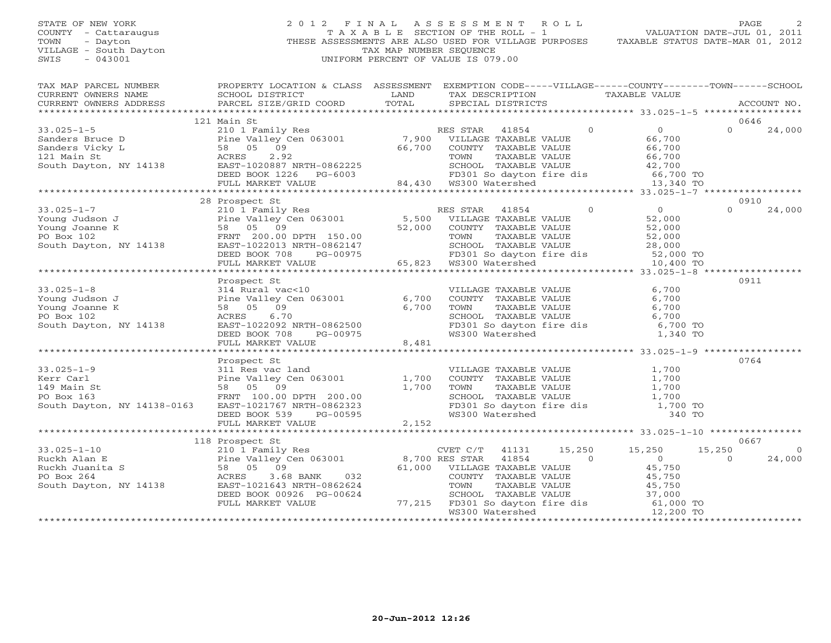#### STATE OF NEW YORK 2 0 1 2 F I N A L A S S E S S M E N T R O L L PAGE 2 COUNTY - Cattaraugus T A X A B L E SECTION OF THE ROLL - 1<br>TOWN - Dayton - THESE ASSESSMENTS ARE ALSO USED FOR VILLAGE PU<br>VILLAGE - South Dayton - THESE ASSESSMENTS ARE ALSO USED FOR VILLAGE PU THESE ASSESSMENTS ARE ALSO USED FOR VILLAGE PURPOSES TAXABLE STATUS DATE-MAR 01, 2012 VILLAGE - South Dayton TAX MAP NUMBER SEQUENCE<br>SWIS - 043001 SWIS - 043001 UNIFORM PERCENT OF VALUE IS 079.00

VALUATION DATE-JUL 01, 2011

| TAX MAP PARCEL NUMBER                                                                                                                                                                                                          | PROPERTY LOCATION & CLASS ASSESSMENT EXEMPTION CODE-----VILLAGE------COUNTY-------TOWN------SCHOOL            | LAND                  |                                                                                                                                    |       |                | TAX DESCRIPTION TAXABLE VALUE                                                   |           |                |
|--------------------------------------------------------------------------------------------------------------------------------------------------------------------------------------------------------------------------------|---------------------------------------------------------------------------------------------------------------|-----------------------|------------------------------------------------------------------------------------------------------------------------------------|-------|----------------|---------------------------------------------------------------------------------|-----------|----------------|
|                                                                                                                                                                                                                                |                                                                                                               |                       |                                                                                                                                    |       |                |                                                                                 |           | ACCOUNT NO.    |
|                                                                                                                                                                                                                                |                                                                                                               |                       |                                                                                                                                    |       |                |                                                                                 |           |                |
|                                                                                                                                                                                                                                | 121 Main St                                                                                                   |                       |                                                                                                                                    |       |                |                                                                                 |           | 0646           |
| $33.025 - 1 - 5$                                                                                                                                                                                                               | 210 1 Family Res                                                                                              |                       | RES STAR 41854                                                                                                                     |       | $\overline{0}$ | $\overline{0}$                                                                  | $\Omega$  | 24,000         |
|                                                                                                                                                                                                                                |                                                                                                               |                       |                                                                                                                                    |       |                | 66,700                                                                          |           |                |
|                                                                                                                                                                                                                                |                                                                                                               |                       | 66,700 COUNTY TAXABLE VALUE                                                                                                        |       |                | 66,700                                                                          |           |                |
|                                                                                                                                                                                                                                |                                                                                                               |                       |                                                                                                                                    |       |                | 66,700                                                                          |           |                |
|                                                                                                                                                                                                                                |                                                                                                               |                       |                                                                                                                                    |       |                |                                                                                 |           |                |
|                                                                                                                                                                                                                                |                                                                                                               |                       |                                                                                                                                    |       |                |                                                                                 |           |                |
|                                                                                                                                                                                                                                |                                                                                                               |                       |                                                                                                                                    |       |                | FD301 So dayton fire dis 66,700 TO<br>WS300 Watershed 13,340 TO                 |           |                |
|                                                                                                                                                                                                                                |                                                                                                               |                       |                                                                                                                                    |       |                |                                                                                 |           |                |
|                                                                                                                                                                                                                                | 28 Prospect St                                                                                                |                       |                                                                                                                                    |       |                |                                                                                 |           | 0910           |
|                                                                                                                                                                                                                                |                                                                                                               |                       |                                                                                                                                    |       |                |                                                                                 | $\Omega$  | 24,000         |
|                                                                                                                                                                                                                                |                                                                                                               |                       |                                                                                                                                    |       |                |                                                                                 |           |                |
|                                                                                                                                                                                                                                |                                                                                                               |                       |                                                                                                                                    |       |                |                                                                                 |           |                |
|                                                                                                                                                                                                                                |                                                                                                               |                       |                                                                                                                                    |       |                |                                                                                 |           |                |
|                                                                                                                                                                                                                                |                                                                                                               |                       |                                                                                                                                    |       |                |                                                                                 |           |                |
|                                                                                                                                                                                                                                |                                                                                                               |                       |                                                                                                                                    |       |                |                                                                                 |           |                |
|                                                                                                                                                                                                                                |                                                                                                               |                       |                                                                                                                                    |       |                |                                                                                 |           |                |
|                                                                                                                                                                                                                                |                                                                                                               |                       |                                                                                                                                    |       |                |                                                                                 |           |                |
|                                                                                                                                                                                                                                | Prospect St                                                                                                   |                       |                                                                                                                                    |       |                |                                                                                 |           | 0911           |
| $33.025 - 1 - 8$                                                                                                                                                                                                               | 314 Rural vac<10                                                                                              |                       | VILLAGE TAXABLE VALUE                                                                                                              |       |                | 6,700                                                                           |           |                |
|                                                                                                                                                                                                                                |                                                                                                               |                       |                                                                                                                                    |       |                | 6,700                                                                           |           |                |
| 33.025-1-8<br>Young Judson J<br>Young Joanne K<br>Pine Valley Cen 063001 6,700<br>Young Joanne K<br>BO Box 102<br>South Dayton, NY 14138<br>BO BOX 102<br>South Dayton, NY 14138<br>BO BOX 102<br>EAST-1022092<br>NRTH-0862500 |                                                                                                               |                       | COUNTY TAXABLE VALUE<br>TOWN TAXABLE VALUE                                                                                         |       |                | 6,700                                                                           |           |                |
|                                                                                                                                                                                                                                |                                                                                                               |                       |                                                                                                                                    |       |                | SCHOOL TAXABLE VALUE<br>FD301 So dayton fire dis<br>WS300 Watershed<br>1,340 TO |           |                |
|                                                                                                                                                                                                                                |                                                                                                               |                       |                                                                                                                                    |       |                |                                                                                 |           |                |
|                                                                                                                                                                                                                                |                                                                                                               |                       |                                                                                                                                    |       |                |                                                                                 |           |                |
|                                                                                                                                                                                                                                | EAST-1022092 NRTH-0862500<br>DEED BOOK 708 PG-00975<br>FULL MARKET VALUE 8,481                                | 8,481                 |                                                                                                                                    |       |                |                                                                                 |           |                |
|                                                                                                                                                                                                                                |                                                                                                               |                       |                                                                                                                                    |       |                |                                                                                 |           |                |
|                                                                                                                                                                                                                                | Prospect St                                                                                                   |                       |                                                                                                                                    |       |                |                                                                                 |           | 0764           |
| $33.025 - 1 - 9$                                                                                                                                                                                                               | 311 Res vac land                                                                                              |                       |                                                                                                                                    |       |                | 1,700                                                                           |           |                |
| Kerr Carl                                                                                                                                                                                                                      | 311 Res vac Ianu<br>Pine Valley Cen 063001<br>58 05 09<br>FRNT 100.00 DPTH 200.00<br>FRNT 100.00 NDTH 0863333 | 1,700                 | VILLAGE TAXABLE VALUE<br>COUNTY TAXABLE VALUE<br>TOWN TAXABLE VALUE                                                                |       |                | 1,700                                                                           |           |                |
| 149 Main St                                                                                                                                                                                                                    |                                                                                                               | 1,700                 |                                                                                                                                    |       |                | 1,700                                                                           |           |                |
| PO Box 163                                                                                                                                                                                                                     |                                                                                                               |                       | SCHOOL TAXABLE VALUE                                                                                                               |       |                | 1,700                                                                           |           |                |
| South Dayton, NY 14138-0163                                                                                                                                                                                                    | EAST-1021767 NRTH-0862323                                                                                     |                       |                                                                                                                                    |       |                | FD301 So dayton fire dis 1,700 TO<br>WS300 Watershed 340 TO                     |           |                |
|                                                                                                                                                                                                                                | DEED BOOK 539                                                                                                 | н-0862323<br>РG-00595 |                                                                                                                                    |       |                |                                                                                 |           |                |
|                                                                                                                                                                                                                                | FULL MARKET VALUE                                                                                             | 2,152                 |                                                                                                                                    |       |                |                                                                                 |           |                |
|                                                                                                                                                                                                                                |                                                                                                               |                       |                                                                                                                                    |       |                |                                                                                 |           |                |
|                                                                                                                                                                                                                                | 118 Prospect St<br>210 1 Family Res                                                                           |                       |                                                                                                                                    |       |                |                                                                                 |           | 0667           |
| $33.025 - 1 - 10$                                                                                                                                                                                                              |                                                                                                               |                       | CVET C/T 41131 15,250 15,250                                                                                                       |       |                |                                                                                 | 15,250    | $\overline{0}$ |
|                                                                                                                                                                                                                                |                                                                                                               |                       |                                                                                                                                    | 41854 | $\overline{0}$ | $\overline{0}$                                                                  | $\Omega$  | 24,000         |
|                                                                                                                                                                                                                                |                                                                                                               |                       | 61,000 VILLAGE TAXABLE VALUE                                                                                                       |       |                |                                                                                 |           |                |
| Puckh Alan E<br>Puckh Juanita S<br>Puckh Juanita S<br>Po Box 264<br>Po Box 264<br>South Dayton, NY 14138<br>Sand Barr -1021643 NRTH-0862624<br>EAST-1021643 NRTH-0862624<br>TOWN                                               |                                                                                                               |                       | COUNTY TAXABLE VALUE                                                                                                               |       |                | 45,750<br>45,750<br>45                                                          |           |                |
|                                                                                                                                                                                                                                |                                                                                                               |                       |                                                                                                                                    |       |                |                                                                                 |           |                |
|                                                                                                                                                                                                                                | DEED BOOK 00926 PG-00624                                                                                      |                       |                                                                                                                                    |       |                |                                                                                 |           |                |
|                                                                                                                                                                                                                                | FULL MARKET VALUE                                                                                             |                       | TOWN TAXABLE VALUE 45,750<br>SCHOOL TAXABLE VALUE 45,750<br>77,215 FD301 So dayton fire dis 61,000 TO<br>WS300 Watershed 12,200 TO |       |                |                                                                                 |           |                |
|                                                                                                                                                                                                                                |                                                                                                               |                       | WS300 Watershed                                                                                                                    |       |                |                                                                                 | 12,200 TO |                |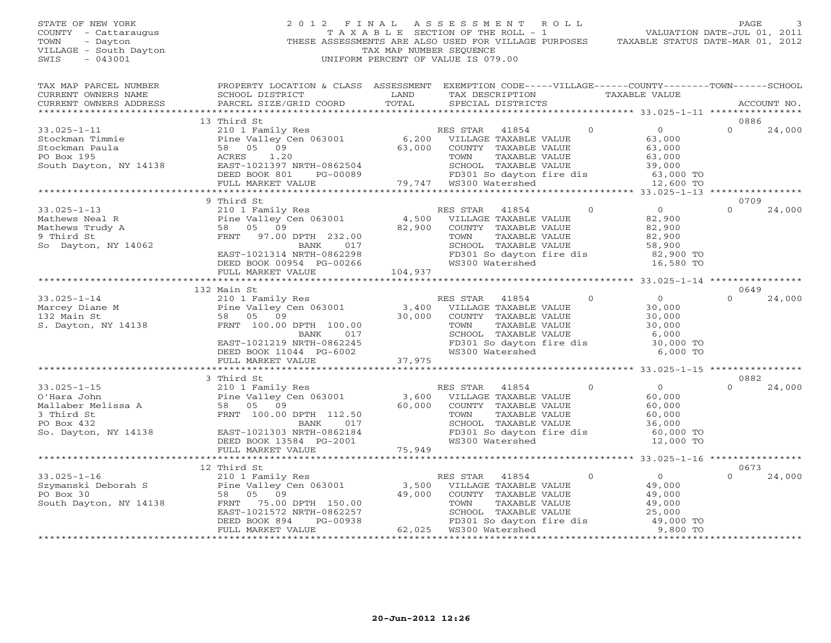## STATE OF NEW YORK 2 0 1 2 F I N A L A S S E S S M E N T R O L L PAGE 3 COUNTY - Cattaraugus T A X A B L E SECTION OF THE ROLL - 1 VALUATION DATE-JUL 01, 2011 TOWN - Dayton - Dayton 1999<br>
THESE ASSESSMENTS ARE ALSO USED FOR VILLAGE PURPOSES TAXABLE STATUS DATE-MAR 01, 2012<br>
TAX MAP NUMBER SEQUENCE VILLAGE - South Dayton TAX MAP NUMBER SEQUENCE<br>SWIS - 043001 SWIS - 043001 UNIFORM PERCENT OF VALUE IS 079.00

| TAX MAP PARCEL NUMBER<br>CURRENT OWNERS NAME SCHOOL DISTRICT<br>CURRENT OWNERS ADDRESS PARCEL SIZE/GRID COORD                                                                                                                                                 | PROPERTY LOCATION & CLASS ASSESSMENT EXEMPTION CODE-----VILLAGE------COUNTY-------TOWN------SCHOOL<br><b>Example 12 The LAND</b>              | TOTAL  |                                                                                                                                |                                                        | TAX DESCRIPTION TAXABLE VALUE                                                                                                                                                                                                                                  |                  | ACCOUNT NO. |
|---------------------------------------------------------------------------------------------------------------------------------------------------------------------------------------------------------------------------------------------------------------|-----------------------------------------------------------------------------------------------------------------------------------------------|--------|--------------------------------------------------------------------------------------------------------------------------------|--------------------------------------------------------|----------------------------------------------------------------------------------------------------------------------------------------------------------------------------------------------------------------------------------------------------------------|------------------|-------------|
|                                                                                                                                                                                                                                                               |                                                                                                                                               |        | SPECIAL DISTRICTS                                                                                                              |                                                        |                                                                                                                                                                                                                                                                |                  |             |
|                                                                                                                                                                                                                                                               |                                                                                                                                               |        |                                                                                                                                |                                                        |                                                                                                                                                                                                                                                                | 0886             |             |
|                                                                                                                                                                                                                                                               |                                                                                                                                               |        | 63,000 COUNTY TAXABLE VALUE<br>TOWN TAXABLE VALUE                                                                              | $\circ$                                                | $\overline{0}$<br>63,000<br>63,000<br>COUNTY TAXABLE VALUE 63,000<br>TOWN TAXABLE VALUE 63,000<br>SCHOOL TAXABLE VALUE 39,000<br>FD301 So dayton fire dis 63,000 TO<br>WS300 Watershed 12,600 TO                                                               | $\Omega$         | 24,000      |
| 0 1 1,20<br>0 1 1,20<br>0 1 1,20<br>0 1 1 1138 EAST-1021397 NRTH-0862504<br>DEED BOOK 801 PG-00089 FD301 So dayton fire dis 63,000 TO<br>FULL MARKET VALUE 79,747 WS300 Watershed 12,600 TO<br>2,600 TO FULL MARKET VALUE 79,747 WS300 Wat                    |                                                                                                                                               |        |                                                                                                                                |                                                        |                                                                                                                                                                                                                                                                |                  |             |
|                                                                                                                                                                                                                                                               |                                                                                                                                               |        |                                                                                                                                |                                                        |                                                                                                                                                                                                                                                                |                  |             |
|                                                                                                                                                                                                                                                               | 9 Third St                                                                                                                                    |        |                                                                                                                                |                                                        |                                                                                                                                                                                                                                                                | 0709             |             |
|                                                                                                                                                                                                                                                               |                                                                                                                                               |        | 82,900 COUNTY TAXABLE VALUE<br>TOWN TAXABLE VALUE<br>WS300 Watershed                                                           | $\overline{0}$<br>TAXABLE VALUE<br>TAXABLE VALUE<br>-- | $\begin{array}{c}0\\82.900\end{array}$<br>82,900<br>82,900<br>82,900<br>82,900<br>16,580 TO                                                                                                                                                                    | $\Omega$         | 24,000      |
|                                                                                                                                                                                                                                                               |                                                                                                                                               |        |                                                                                                                                |                                                        |                                                                                                                                                                                                                                                                |                  |             |
|                                                                                                                                                                                                                                                               | 132 Main St                                                                                                                                   |        |                                                                                                                                |                                                        |                                                                                                                                                                                                                                                                | 0649             |             |
| 33.025-1-14<br>Marcey Diane M<br>Marcey Diane M<br>Marcey Diane M<br>Pine Valley Cen 063001<br>FRNT 100.00 DPTH 100.00<br>BANK<br>BANK<br>PINE 100.00<br>BANK<br>PINE 100.00<br>BANK<br>PINE 100.00<br>BANK<br>PINE 2017<br>PINE SCHOOL TAXABLE VALUE<br>SCHO | EAST-1021219 NRTH-0862245<br>DEED BOOK 11044 PG-6002                                                                                          |        | COUNTY TAXABLE VALUE<br>TOWN      TAXABLE VALUE<br>SCHOOL   TAXABLE VALUE<br>FD301 So dayton fire dis<br>WS300 Watershed       | $\overline{0}$                                         | $\overline{0}$<br>$\begin{array}{r} 30,000\ 30,000\ 30,000\ 6,000 \end{array}$<br>30,000 TO<br>6,000 TO                                                                                                                                                        | $\Omega$         | 24,000      |
|                                                                                                                                                                                                                                                               | FULL MARKET VALUE                                                                                                                             | 37,975 |                                                                                                                                |                                                        |                                                                                                                                                                                                                                                                |                  |             |
|                                                                                                                                                                                                                                                               |                                                                                                                                               |        |                                                                                                                                |                                                        |                                                                                                                                                                                                                                                                |                  |             |
| 33.025-1-15<br>0'Hara John Pine Valley Cen 063001 3,600<br>Mallaber Melissa A 58 05 09 60,000<br>3 Third St FRNT 100.00 DPTH 112.50<br>PO Box 432 BANK 017<br>So. Dayton, NY 14138 EAST-1021303 NRTH-0862184<br>DEED BOOK 13584 PG-2001                       | 3 Third St<br>DEED BOOK 13584 PG-2001<br>FULL MARKET VALUE                                                                                    | 75,949 | RES STAR<br>VILLAGE TAXABLE VALUE<br>COUNTY TAXABLE VALUE<br>TOWN     TAXABLE VALUE<br>SCHOOL TAXABLE VALUE<br>WS300 Watershed | 41854 0                                                | $rac{0}{60}$<br>60,000<br>60,000<br>36,000<br>FD301 So dayton fire dis $60,000$ TO<br>12,000 TO                                                                                                                                                                | 0882<br>$\Omega$ | 24,000      |
|                                                                                                                                                                                                                                                               |                                                                                                                                               |        |                                                                                                                                |                                                        |                                                                                                                                                                                                                                                                |                  |             |
|                                                                                                                                                                                                                                                               | 12 Third St                                                                                                                                   |        |                                                                                                                                |                                                        |                                                                                                                                                                                                                                                                | 0673             |             |
| $33.025 - 1 - 16$<br>33.025-1-16 210 1 Family Res<br>Szymanski Deborah S Pine Valley Cen 063001<br>PO Box 30 58 05 09<br>South Dayton, NY 14138 FRNT 75.00 DPTH 150.00                                                                                        | 11114 Be<br>210 1 Family Res<br>EAST-1021572 NRTH-0862257<br>DEED BOOK 894 PG-00938<br>FULL MARKET VALUE (2,025)<br>FULL MARKET VALUE (2,025) |        | RES STAR<br>3,500 VILLAGE TAXABLE VALUE<br>49,000 COUNTY TAXABLE VALUE<br>62,025 WS300 Watershed                               | $\overline{0}$                                         | $\overline{0}$<br>COUNTY TAXABLE VALUE 49,000<br>TOWN TAXABLE VALUE 49,000<br>TOWN TAXABLE VALUE 49,000<br>SCHOOL TAXABLE VALUE 49,000<br>FD301 So dayton fire dis<br>WS300 Watershed 49,000 TO<br>WS300 Watershed a 9000 TO<br>****************************** | $\Omega$         | 24,000      |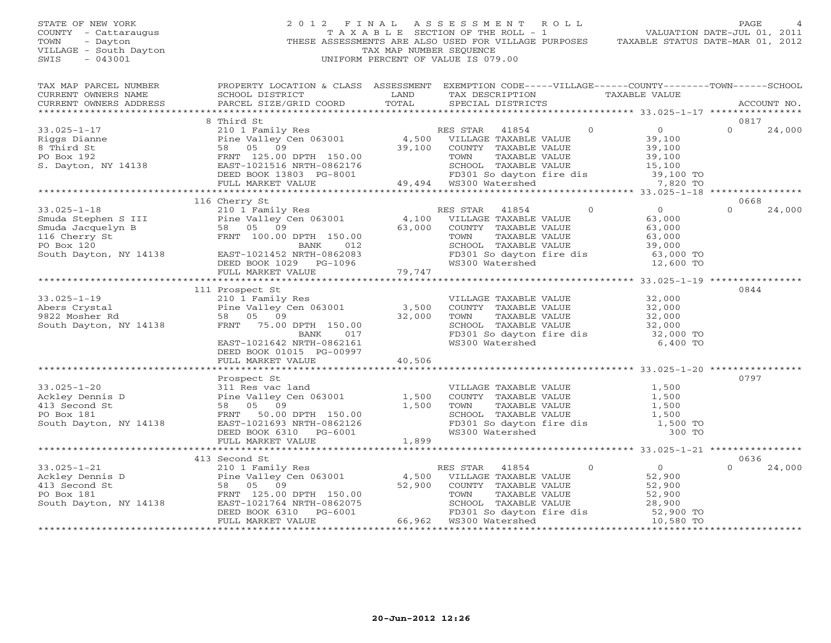## STATE OF NEW YORK 2 0 1 2 F I N A L A S S E S S M E N T R O L L PAGE 4 COUNTY - Cattaraugus T A X A B L E SECTION OF THE ROLL - 1 VALUATION DATE-JUL 01, 2011 TOWN - Dayton - Dayton - Dayton THESE ASSESSMENTS ARE ALSO USED FOR VILLAGE PURPOSES TAXABLE STATUS DATE-MAR 01, 2012<br>VILLAGE - South Dayton - These assessments are also used for village purposes taxable status date-mar 01 VILLAGE - South Dayton TAX MAP NUMBER SEQUENCE<br>SWIS - 043001 SWIS - 043001 UNIFORM PERCENT OF VALUE IS 079.00

| TAX MAP PARCEL NUMBER                                                    | PROPERTY LOCATION & CLASS ASSESSMENT                                                                                                                      |        |                                                                                             |                            | EXEMPTION CODE-----VILLAGE-----COUNTY-------TOWN------SCHOOL |             |        |
|--------------------------------------------------------------------------|-----------------------------------------------------------------------------------------------------------------------------------------------------------|--------|---------------------------------------------------------------------------------------------|----------------------------|--------------------------------------------------------------|-------------|--------|
| CURRENT OWNERS NAME                                                      | SCHOOL DISTRICT                                                                                                                                           | LAND   | TAX DESCRIPTION                                                                             |                            | TAXABLE VALUE                                                |             |        |
| CURRENT OWNERS ADDRESS                                                   | PARCEL SIZE/GRID COORD                                                                                                                                    | TOTAL  | SPECIAL DISTRICTS                                                                           |                            |                                                              | ACCOUNT NO. |        |
|                                                                          |                                                                                                                                                           |        |                                                                                             |                            |                                                              |             |        |
|                                                                          | 8 Third St                                                                                                                                                |        |                                                                                             |                            |                                                              | 0817        |        |
| $33.025 - 1 - 17$                                                        |                                                                                                                                                           |        | RES STAR<br>41854                                                                           | $\overline{0}$             | $\overline{0}$                                               | $\Omega$    | 24,000 |
| Riggs Dianne                                                             | 210 1 Family Res<br>Pine Valley Cen 063001                                                                                                                | 4,500  | VILLAGE TAXABLE VALUE                                                                       |                            | 39,100                                                       |             |        |
| 8 Third St                                                               | 58 05 09                                                                                                                                                  | 39,100 | COUNTY TAXABLE VALUE                                                                        |                            | 39,100                                                       |             |        |
| PO Box 192                                                               | FRNT 125.00 DPTH 150.00                                                                                                                                   |        | TOWN<br>TAXABLE VALUE                                                                       |                            | 39,100                                                       |             |        |
| S. Dayton, NY 14138                                                      | EAST-1021516 NRTH-0862176 FAST-1021516 NRTH-0862176 SCHOOL TAXABLE<br>DEED BOOK 13803 PG-8001 FD301 So dayton<br>FULL MARKET VALUE 49,494 WS300 Watershed |        | SCHOOL TAXABLE VALUE<br>SCHOOL TAXABLE VALUE<br>FD301 So dayton fire dis<br>WS300 Watershed |                            | 15,100                                                       |             |        |
|                                                                          |                                                                                                                                                           |        |                                                                                             |                            | 39,100 TO                                                    |             |        |
|                                                                          |                                                                                                                                                           |        |                                                                                             |                            | 7,820 TO                                                     |             |        |
|                                                                          |                                                                                                                                                           |        |                                                                                             |                            |                                                              |             |        |
|                                                                          | 116 Cherry St                                                                                                                                             |        |                                                                                             |                            |                                                              | 0668        |        |
| $33.025 - 1 - 18$                                                        | 210 1 Family Res                                                                                                                                          |        | RES STAR<br>41854                                                                           | $\Omega$                   | $\overline{0}$                                               | $\Omega$    | 24,000 |
| S3.025-1-10<br>Smuda Stephen S III<br>Smuda Jacquelyn B<br>116 Cherry St | Pine Valley Cen 063001<br>58 05 09                                                                                                                        | 4,100  | VILLAGE TAXABLE VALUE                                                                       |                            | 63,000                                                       |             |        |
|                                                                          |                                                                                                                                                           | 63,000 | COUNTY TAXABLE VALUE                                                                        |                            | 63,000                                                       |             |        |
|                                                                          | FRNT 100.00 DPTH 150.00                                                                                                                                   |        | TAXABLE VALUE<br>TOWN                                                                       |                            | 63,000                                                       |             |        |
| PO Box 120                                                               | BANK<br>012                                                                                                                                               |        | SCHOOL TAXABLE VALUE                                                                        |                            | 39,000                                                       |             |        |
| South Dayton, NY 14138                                                   | EAST-1021452 NRTH-0862083                                                                                                                                 |        | FD301 So dayton fire dis                                                                    |                            | 63,000 TO                                                    |             |        |
|                                                                          | DEED BOOK 1029 PG-1096                                                                                                                                    | 79,747 | WS300 Watershed                                                                             |                            | 12,600 TO                                                    |             |        |
|                                                                          | FULL MARKET VALUE                                                                                                                                         | 79,747 |                                                                                             |                            |                                                              |             |        |
|                                                                          |                                                                                                                                                           |        |                                                                                             |                            |                                                              |             |        |
|                                                                          | 111 Prospect St                                                                                                                                           |        |                                                                                             |                            |                                                              | 0844        |        |
| $33.025 - 1 - 19$                                                        | 210 1 Family Res<br>Pine Valley Cen 063001 3,500                                                                                                          |        | VILLAGE TAXABLE VALUE                                                                       |                            | 32,000                                                       |             |        |
| Abers Crystal                                                            |                                                                                                                                                           |        | COUNTY TAXABLE VALUE                                                                        |                            | 32,000                                                       |             |        |
| 9822 Mosher Rd                                                           | 58 05 09                                                                                                                                                  | 32,000 |                                                                                             |                            |                                                              |             |        |
| South Dayton, NY 14138                                                   | FRNT 75.00 DPTH 150.00                                                                                                                                    |        | SCHOOL TAXABLE VALUE<br>FD301 Computer VALUE                                                |                            | $32,000$<br>$32,000$                                         |             |        |
|                                                                          | 017<br>BANK                                                                                                                                               |        | FD301 So dayton fire dis                                                                    |                            | 32,000 TO                                                    |             |        |
|                                                                          | EAST-1021642 NRTH-0862161                                                                                                                                 |        | WS300 Watershed                                                                             |                            | 6,400 TO                                                     |             |        |
|                                                                          | DEED BOOK 01015 PG-00997                                                                                                                                  |        |                                                                                             |                            |                                                              |             |        |
|                                                                          | FULL MARKET VALUE                                                                                                                                         | 40,506 |                                                                                             |                            |                                                              |             |        |
|                                                                          |                                                                                                                                                           |        |                                                                                             |                            |                                                              |             |        |
|                                                                          | Prospect St                                                                                                                                               |        |                                                                                             |                            |                                                              | 0797        |        |
| $33.025 - 1 - 20$                                                        | 311 Res vac land                                                                                                                                          |        | VILLAGE TAXABLE VALUE                                                                       |                            | 1,500                                                        |             |        |
| Ackley Dennis D                                                          | Pine Valley Cen 063001                                                                                                                                    | 1,500  | COUNTY TAXABLE VALUE                                                                        |                            | 1,500                                                        |             |        |
| 413 Second St                                                            | 58 05 09                                                                                                                                                  | 1,500  | TOWN<br>TAXABLE VALUE                                                                       |                            | 1,500                                                        |             |        |
| PO Box 181                                                               | FRNT 50.00 DPTH 150.00                                                                                                                                    |        | SCHOOL TAXABLE VALUE                                                                        |                            | 1,500                                                        |             |        |
| South Dayton, NY 14138                                                   | EAST-1021693 NRTH-0862126                                                                                                                                 |        | FD301 So dayton fire dis                                                                    |                            | 1,500 TO                                                     |             |        |
|                                                                          | DEED BOOK 6310 PG-6001                                                                                                                                    |        |                                                                                             |                            | 300 TO                                                       |             |        |
|                                                                          | FULL MARKET VALUE                                                                                                                                         | 1,899  |                                                                                             |                            |                                                              |             |        |
|                                                                          |                                                                                                                                                           |        |                                                                                             |                            |                                                              |             |        |
|                                                                          | 413 Second St                                                                                                                                             |        |                                                                                             |                            |                                                              | 0636        |        |
| $33.025 - 1 - 21$                                                        | 210 1 Family Res<br>Pine Valley Cen 063001                                                                                                                |        | RES STAR<br>41854                                                                           | $\circ$                    | 0                                                            | $\Omega$    | 24,000 |
| Ackley Dennis D                                                          |                                                                                                                                                           | 4,500  | VILLAGE TAXABLE VALUE                                                                       |                            | 52,900                                                       |             |        |
| 413 Second St                                                            | 09<br>58 05                                                                                                                                               | 52,900 | COUNTY TAXABLE VALUE                                                                        |                            | 52,900                                                       |             |        |
| PO Box 181                                                               | FRNT 125.00 DPTH 150.00                                                                                                                                   |        | TAXABLE VALUE<br>TOWN                                                                       |                            | 52,900                                                       |             |        |
| South Dayton, NY 14138                                                   | EAST-1021764 NRTH-0862075                                                                                                                                 |        | SCHOOL TAXABLE VALUE                                                                        |                            | 28,900                                                       |             |        |
|                                                                          | DEED BOOK 6310<br>PG-6001                                                                                                                                 |        | FD301 So dayton fire dis                                                                    |                            | 52,900 TO                                                    |             |        |
|                                                                          | FULL MARKET VALUE                                                                                                                                         |        | 66,962 WS300 Watershed                                                                      |                            | 10,580 TO                                                    |             |        |
|                                                                          |                                                                                                                                                           |        |                                                                                             | ************************** |                                                              |             |        |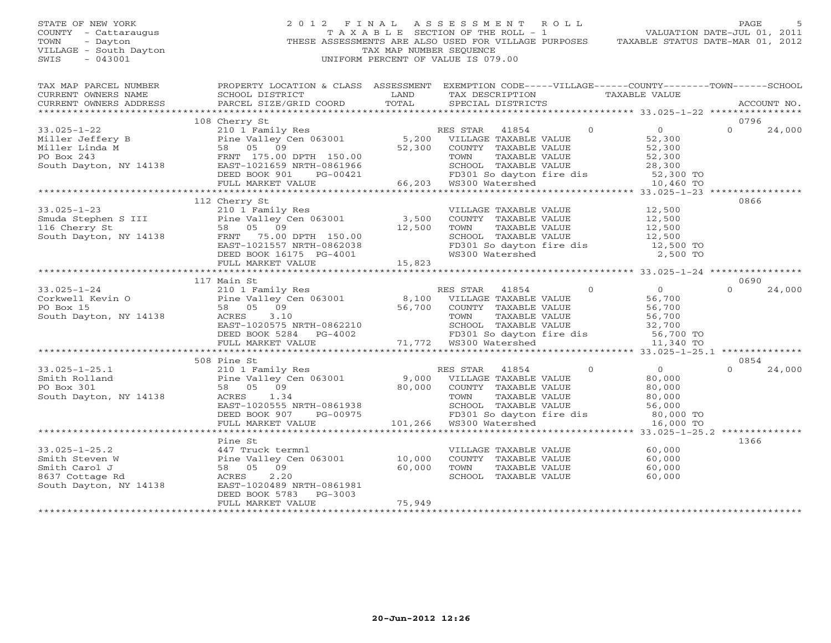#### STATE OF NEW YORK 2 0 1 2 F I N A L A S S E S S M E N T R O L L PAGE 5 COUNTY - Cattaraugus T A X A B L E SECTION OF THE ROLL - 1 VALUATION DATE-JUL 01, 2011 TOWN - Dayton THESE ASSESSMENTS ARE ALSO USED FOR VILLAGE PURPOSES TAXABLE STATUS DATE-MAR 01, 2012 VILLAGE - South Dayton TAX MAP NUMBER SEQUENCE<br>SWIS - 043001 SWIS - 043001 UNIFORM PERCENT OF VALUE IS 079.00

TAX MAP PARCEL NUMBER PROPERTY LOCATION & CLASS ASSESSMENT EXEMPTION CODE-----VILLAGE------COUNTY-------TOWN------SCHOOL

CURRENT OWNERS NAME SCHOOL DISTRICT TAND TAX DESCRIPTION TAXABLE VALUE

| CURRENT OWNERS ADDRESS | PARCEL SIZE/GRID COORD                                                                                                                                                                                                                           | TOTAL  | SPECIAL DISTRICTS                                                                                           |         |                | ACCOUNT NO.        |
|------------------------|--------------------------------------------------------------------------------------------------------------------------------------------------------------------------------------------------------------------------------------------------|--------|-------------------------------------------------------------------------------------------------------------|---------|----------------|--------------------|
|                        |                                                                                                                                                                                                                                                  |        |                                                                                                             |         |                |                    |
|                        | 108 Cherry St                                                                                                                                                                                                                                    |        |                                                                                                             |         |                | 0796               |
|                        | 33.025-1-22<br>Miller Jeffery B<br>Miller Linda M<br>FRAME VALUE PO Box 243<br>FRAME VALUE PO Box 243<br>South Dayton, NY 14138<br>FRAME RAME PO SON TO BOS AND TO MARILE VALUE<br>FRAME PO SON TAXABLE VALUE<br>South Dayton, NY 14138<br>FRAME |        |                                                                                                             | $\circ$ | $\overline{O}$ | $\Omega$<br>24,000 |
|                        |                                                                                                                                                                                                                                                  |        |                                                                                                             |         | 52,300         |                    |
|                        |                                                                                                                                                                                                                                                  |        |                                                                                                             |         | 52,300         |                    |
|                        |                                                                                                                                                                                                                                                  |        |                                                                                                             |         | 52,300         |                    |
|                        |                                                                                                                                                                                                                                                  |        |                                                                                                             |         | 28,300         |                    |
|                        | DEED BOOK 901<br>PG-00421                                                                                                                                                                                                                        |        | PG-00421 FD301 So dayton<br>FD301 So dayton<br>66,203 WS300 Watershed<br>FD301 So dayton fire dis 52,300 TO |         |                |                    |
|                        | FULL MARKET VALUE                                                                                                                                                                                                                                |        |                                                                                                             |         | 10,460 TO      |                    |
|                        |                                                                                                                                                                                                                                                  |        |                                                                                                             |         |                |                    |
|                        | 112 Cherry St                                                                                                                                                                                                                                    |        |                                                                                                             |         |                | 0866               |
| $33.025 - 1 - 23$      | 210 1 Family Res                                                                                                                                                                                                                                 |        | VILLAGE TAXABLE VALUE                                                                                       |         | 12,500         |                    |
|                        |                                                                                                                                                                                                                                                  |        | COUNTY TAXABLE VALUE                                                                                        |         | 12,500         |                    |
|                        |                                                                                                                                                                                                                                                  |        | TOWN      TAXABLE VALUE<br>SCHOOL   TAXABLE VALUE                                                           |         | 12,500         |                    |
|                        |                                                                                                                                                                                                                                                  |        |                                                                                                             |         | 12,500         |                    |
|                        |                                                                                                                                                                                                                                                  |        | FD301 So dayton fire dis 12,500 TO                                                                          |         |                |                    |
|                        |                                                                                                                                                                                                                                                  |        | WS300 Watershed                                                                                             |         | 2,500 TO       |                    |
|                        | EAST-1021557 NRTH-0862038<br>DEED BOOK 16175 PG-4001<br>FULL MARKET VALUE 15,823                                                                                                                                                                 |        |                                                                                                             |         |                |                    |
|                        |                                                                                                                                                                                                                                                  |        |                                                                                                             |         |                |                    |
|                        | 117 Main St                                                                                                                                                                                                                                      |        |                                                                                                             |         |                | 0690               |
|                        | 33.025-1-24 210 1 Family Res RES STAR 41854<br>Corkwell Kevin O Pine Valley Cen 063001 8,100 VILLAGE TAXABLE VALUE<br>PO Box 15 58 05 09 56,700 COUNTY TAXABLE VALUE<br>South Dayton, NY 14138 ACRES 3.10 10000000000000000000000000             |        |                                                                                                             | $\circ$ | $\overline{0}$ | 24,000<br>$\Omega$ |
|                        |                                                                                                                                                                                                                                                  |        |                                                                                                             |         | 56,700         |                    |
|                        |                                                                                                                                                                                                                                                  |        |                                                                                                             |         | 56,700         |                    |
|                        |                                                                                                                                                                                                                                                  |        |                                                                                                             |         | 56,700         |                    |
|                        | EAST-1020575 NRTH-0862210                                                                                                                                                                                                                        |        | SCHOOL TAXABLE VALUE                                                                                        |         | 32,700         |                    |
|                        | DEED BOOK 5284 PG-4002                                                                                                                                                                                                                           |        | FD301 So dayton<br>71,772   WS300 Watershed<br>FD301 So dayton fire dis                                     |         | 56,700 TO      |                    |
|                        | FULL MARKET VALUE                                                                                                                                                                                                                                |        |                                                                                                             |         | 11,340 TO      |                    |
|                        |                                                                                                                                                                                                                                                  |        |                                                                                                             |         |                |                    |
|                        | 508 Pine St                                                                                                                                                                                                                                      |        |                                                                                                             |         |                | 0854               |
| $33.025 - 1 - 25.1$    | 210 1 Family Res                                                                                                                                                                                                                                 |        | RES STAR<br>41854                                                                                           | $\circ$ | $\overline{O}$ | 24,000<br>$\Omega$ |
| Smith Rolland          | Pine Valley Cen 063001<br>58 05 09                                                                                                                                                                                                               |        | 9,000 VILLAGE TAXABLE VALUE                                                                                 |         | 80,000         |                    |
| PO Box 301             |                                                                                                                                                                                                                                                  | 80,000 | COUNTY TAXABLE VALUE                                                                                        |         | 80,000         |                    |
| South Dayton, NY 14138 | ACRES<br>1.34                                                                                                                                                                                                                                    |        | TAXABLE VALUE<br>TOWN                                                                                       |         | 80,000         |                    |
|                        | EAST-1020555 NRTH-0861938                                                                                                                                                                                                                        |        | SCHOOL TAXABLE VALUE                                                                                        |         | 56,000         |                    |
|                        | DEED BOOK 907<br>PG-00975                                                                                                                                                                                                                        |        | FD301 So dayton fire dis                                                                                    |         | 80,000 TO      |                    |
|                        | FULL MARKET VALUE                                                                                                                                                                                                                                |        |                                                                                                             |         | 16,000 TO      |                    |
|                        |                                                                                                                                                                                                                                                  |        |                                                                                                             |         |                |                    |
|                        | Pine St                                                                                                                                                                                                                                          |        |                                                                                                             |         |                | 1366               |
| 33.025-1-25.2          | 447 Truck termnl                                                                                                                                                                                                                                 |        | VILLAGE TAXABLE VALUE                                                                                       |         | 60,000         |                    |
| Smith Steven W         |                                                                                                                                                                                                                                                  |        | COUNTY TAXABLE VALUE                                                                                        |         | 60,000         |                    |
| Smith Carol J          |                                                                                                                                                                                                                                                  |        | TOWN<br>TAXABLE VALUE                                                                                       |         | 60,000         |                    |
| 8637 Cottage Rd        | 447 ILUCK Lermin<br>Pine Valley Cen 063001 10,000<br>58 05 09 60,000<br>ACRES 2.20 60,000                                                                                                                                                        |        | SCHOOL TAXABLE VALUE                                                                                        |         | 60,000         |                    |
|                        | South Dayton, NY 14138<br>South Dayton, NY 14138 EAST-1020489 NRTH-0861981                                                                                                                                                                       |        |                                                                                                             |         |                |                    |
|                        | DEED BOOK 5783 PG-3003                                                                                                                                                                                                                           |        |                                                                                                             |         |                |                    |
|                        | FULL MARKET VALUE                                                                                                                                                                                                                                | 75,949 |                                                                                                             |         |                |                    |
|                        |                                                                                                                                                                                                                                                  |        |                                                                                                             |         |                |                    |
|                        |                                                                                                                                                                                                                                                  |        |                                                                                                             |         |                |                    |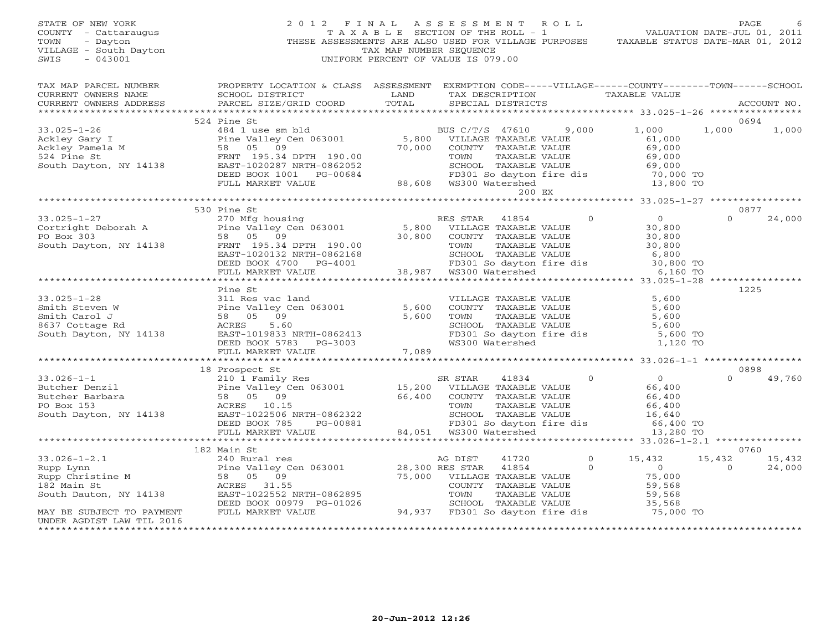| STATE OF NEW YORK<br>COUNTY - Cattaraugus<br>- Dayton<br>TOWN<br>VILLAGE - South Dayton<br>$-043001$<br>SWIS                                                                                                                                                                                                                                                                                                                          | 2012 FINAL ASSESSMENT ROLL<br>$\frac{2}{\pi}$ | TAX MAP NUMBER SEQUENCE<br>UNIFORM PERCENT OF VALUE IS 079.00 |  |        | PAGE 6 (PAGE 1 MALASSESSMENT ROLL)<br>TAXABLE SECTION OF THE ROLL - 1 VALUATION DATE-JUL 01, 2011<br>THESE ASSESSMENTS ARE ALSO USED FOR VILLAGE PURPOSES TAXABLE STATUS DATE-MAR 01, 2012 | PAGE             |        |
|---------------------------------------------------------------------------------------------------------------------------------------------------------------------------------------------------------------------------------------------------------------------------------------------------------------------------------------------------------------------------------------------------------------------------------------|-----------------------------------------------|---------------------------------------------------------------|--|--------|--------------------------------------------------------------------------------------------------------------------------------------------------------------------------------------------|------------------|--------|
|                                                                                                                                                                                                                                                                                                                                                                                                                                       |                                               |                                                               |  |        |                                                                                                                                                                                            |                  |        |
|                                                                                                                                                                                                                                                                                                                                                                                                                                       |                                               |                                                               |  |        |                                                                                                                                                                                            |                  |        |
|                                                                                                                                                                                                                                                                                                                                                                                                                                       | 524 Pine St                                   |                                                               |  |        |                                                                                                                                                                                            | 0694             |        |
|                                                                                                                                                                                                                                                                                                                                                                                                                                       |                                               |                                                               |  |        |                                                                                                                                                                                            | 1,000 1,000      |        |
|                                                                                                                                                                                                                                                                                                                                                                                                                                       |                                               |                                                               |  | 200 EX |                                                                                                                                                                                            |                  |        |
|                                                                                                                                                                                                                                                                                                                                                                                                                                       |                                               |                                                               |  |        |                                                                                                                                                                                            |                  |        |
|                                                                                                                                                                                                                                                                                                                                                                                                                                       | 530 Pine St                                   |                                                               |  |        |                                                                                                                                                                                            | 0877<br>$\Omega$ | 24,000 |
| 33.025-1-27<br>Cortright Deborah A Pine St<br>270 Mfg housing<br>270 Mfg housing<br>270 Mfg housing<br>270 Mfg housing<br>270 Mfg housing<br>270 Mfg housing<br>270 Mfg housing<br>270 Mfg housing<br>270 Mfg housing<br>270 Mfg housing<br>270 Mfg h                                                                                                                                                                                 |                                               |                                                               |  |        |                                                                                                                                                                                            |                  |        |
|                                                                                                                                                                                                                                                                                                                                                                                                                                       |                                               |                                                               |  |        |                                                                                                                                                                                            |                  |        |
|                                                                                                                                                                                                                                                                                                                                                                                                                                       | Pine St                                       |                                                               |  |        |                                                                                                                                                                                            | 1225             |        |
|                                                                                                                                                                                                                                                                                                                                                                                                                                       |                                               |                                                               |  |        |                                                                                                                                                                                            |                  |        |
| 33.025-1-28<br>Smith Steven W<br>Smith Carol J<br>Smith Carol J<br>Smith Carol J<br>Smith Carol Smith Carol Secure 2010 Secure 2010 Secure 2010 Smith Carol Secure 2010<br>Secure 2010 Secure 2010 Secure 2010 Secure 2020<br>South Dayton,                                                                                                                                                                                           |                                               |                                                               |  |        |                                                                                                                                                                                            |                  |        |
|                                                                                                                                                                                                                                                                                                                                                                                                                                       |                                               |                                                               |  |        |                                                                                                                                                                                            |                  |        |
|                                                                                                                                                                                                                                                                                                                                                                                                                                       |                                               |                                                               |  |        |                                                                                                                                                                                            | 0898             |        |
|                                                                                                                                                                                                                                                                                                                                                                                                                                       |                                               |                                                               |  |        |                                                                                                                                                                                            | $\Omega$         | 49,760 |
|                                                                                                                                                                                                                                                                                                                                                                                                                                       |                                               |                                                               |  |        |                                                                                                                                                                                            |                  |        |
| $\begin{tabular}{lllllllllllll} \text{33.026--1--1} & \text{18 Prospect St} & \text{S R STRR} & \text{41834} & 0 & 0 \\ & \text{Butcher Denzil} & \text{Pine Valley Cen 063001} & \text{15,200} & \text{VILLAGE TRANS VALUE} & \text{66,400} \\ & \text{Butcher Denzil} & \text{Pine Valley Cen 063001} & \text{15,200} & \text{VILLAGE TRANS VALUE} & \text{66,400} \\ & \text{Butcher Barchara} & 58 & 05 & 09 \\ \text{PO Box 153$ |                                               |                                                               |  |        |                                                                                                                                                                                            |                  |        |
|                                                                                                                                                                                                                                                                                                                                                                                                                                       |                                               |                                                               |  |        |                                                                                                                                                                                            |                  |        |
|                                                                                                                                                                                                                                                                                                                                                                                                                                       |                                               |                                                               |  |        |                                                                                                                                                                                            | 0760             |        |
|                                                                                                                                                                                                                                                                                                                                                                                                                                       |                                               |                                                               |  |        |                                                                                                                                                                                            | 15,432 15,432    |        |
| 182 Main St<br>33.026-1-2.1 182 Main St<br>Rupp Lynn Pine Valley Cen 063001 28,300 RES STAR 41720 0 15,432 15<br>Rupp Christine M 58 05 099<br>182 Main St 58 05 099<br>182 Main St 58 05 000 75,000 VILLAGE TAXABLE VALUE 75,000<br>182 M                                                                                                                                                                                            |                                               |                                                               |  |        |                                                                                                                                                                                            | $\overline{0}$   | 24,000 |
|                                                                                                                                                                                                                                                                                                                                                                                                                                       |                                               |                                                               |  |        |                                                                                                                                                                                            |                  |        |
| *************************                                                                                                                                                                                                                                                                                                                                                                                                             |                                               |                                                               |  |        |                                                                                                                                                                                            |                  |        |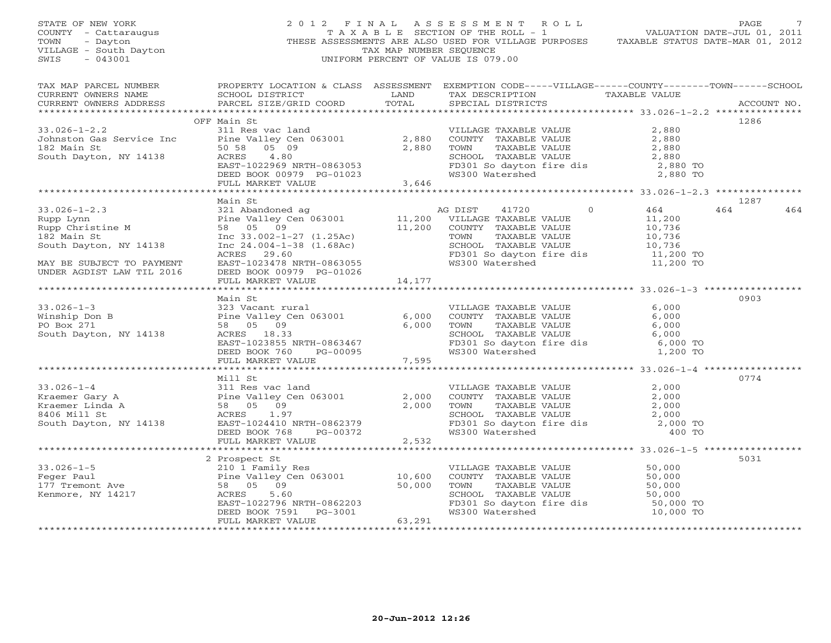| STATE OF NEW YORK<br>COUNTY - Cattaraugus<br>TOWN - Dayton<br>VILLAGE - South Dayton<br>SWIS - 043001                                                                                                                                                                                                     |                                                                                                                                                                                                                                                                  | TAX MAP NUMBER SEQUENCE | $\begin{tabular}{lllllllllllll} \hline 2&0&1&2&\text{F I N A L} &\text{A S S E S S M E N T} &\text{R O L L} &\text{PAUE} &\text{PAGE} &\text{7}\\ &\text{T A X A B L E} &\text{SECTION OF THE ROLL} &-\text{1} &\text{VALUATION DATE-JUL O1, 2011}\\ &\text{THESE ASSESSMENTS ARE ALSO USED FOR VILLAGE PURPOSES} &\text{TAXABLE STATUS DATE–MAR O1, 2012}\\ \hline \end{tabular}$<br>UNIFORM PERCENT OF VALUE IS 079.00 |             |     |
|-----------------------------------------------------------------------------------------------------------------------------------------------------------------------------------------------------------------------------------------------------------------------------------------------------------|------------------------------------------------------------------------------------------------------------------------------------------------------------------------------------------------------------------------------------------------------------------|-------------------------|--------------------------------------------------------------------------------------------------------------------------------------------------------------------------------------------------------------------------------------------------------------------------------------------------------------------------------------------------------------------------------------------------------------------------|-------------|-----|
| TAX MAP PARCEL NUMBER<br>CURRENT OWNERS NAME<br>CURRENT OWNERS ADDRESS                                                                                                                                                                                                                                    | PROPERTY LOCATION & CLASS ASSESSMENT EXEMPTION CODE-----VILLAGE------COUNTY-------TOWN------SCHOOL                                                                                                                                                               |                         |                                                                                                                                                                                                                                                                                                                                                                                                                          | ACCOUNT NO. |     |
|                                                                                                                                                                                                                                                                                                           |                                                                                                                                                                                                                                                                  |                         |                                                                                                                                                                                                                                                                                                                                                                                                                          |             |     |
| $33.026 - 1 - 2.2$                                                                                                                                                                                                                                                                                        | OFF Main St<br>Main St<br>311 Res vac land<br>2,880 COUNTY TAXABLE VALUE<br>2,880 COUNTY TAXABLE VALUE<br>2,880 COUNTY TAXABLE VALUE<br>2,880 COUNTY TAXABLE VALUE<br>2,880 SCHOOL TAXABLE VALUE<br>2,880 SCHOOL TAXABLE VALUE<br>2,880 SCHOOL TAXABLE VALUE<br> |                         |                                                                                                                                                                                                                                                                                                                                                                                                                          | 1286        |     |
|                                                                                                                                                                                                                                                                                                           |                                                                                                                                                                                                                                                                  |                         |                                                                                                                                                                                                                                                                                                                                                                                                                          |             |     |
| Johnston Gas Service Inc<br>182 Main St                                                                                                                                                                                                                                                                   |                                                                                                                                                                                                                                                                  |                         |                                                                                                                                                                                                                                                                                                                                                                                                                          |             |     |
| South Dayton, NY 14138                                                                                                                                                                                                                                                                                    |                                                                                                                                                                                                                                                                  |                         |                                                                                                                                                                                                                                                                                                                                                                                                                          |             |     |
|                                                                                                                                                                                                                                                                                                           |                                                                                                                                                                                                                                                                  |                         |                                                                                                                                                                                                                                                                                                                                                                                                                          |             |     |
|                                                                                                                                                                                                                                                                                                           |                                                                                                                                                                                                                                                                  |                         |                                                                                                                                                                                                                                                                                                                                                                                                                          |             |     |
|                                                                                                                                                                                                                                                                                                           |                                                                                                                                                                                                                                                                  |                         |                                                                                                                                                                                                                                                                                                                                                                                                                          |             |     |
|                                                                                                                                                                                                                                                                                                           |                                                                                                                                                                                                                                                                  |                         |                                                                                                                                                                                                                                                                                                                                                                                                                          |             |     |
|                                                                                                                                                                                                                                                                                                           | Main St                                                                                                                                                                                                                                                          |                         |                                                                                                                                                                                                                                                                                                                                                                                                                          | 1287        |     |
|                                                                                                                                                                                                                                                                                                           |                                                                                                                                                                                                                                                                  |                         |                                                                                                                                                                                                                                                                                                                                                                                                                          | 464         | 464 |
|                                                                                                                                                                                                                                                                                                           |                                                                                                                                                                                                                                                                  |                         |                                                                                                                                                                                                                                                                                                                                                                                                                          |             |     |
|                                                                                                                                                                                                                                                                                                           |                                                                                                                                                                                                                                                                  |                         |                                                                                                                                                                                                                                                                                                                                                                                                                          |             |     |
|                                                                                                                                                                                                                                                                                                           |                                                                                                                                                                                                                                                                  |                         |                                                                                                                                                                                                                                                                                                                                                                                                                          |             |     |
|                                                                                                                                                                                                                                                                                                           |                                                                                                                                                                                                                                                                  |                         |                                                                                                                                                                                                                                                                                                                                                                                                                          |             |     |
|                                                                                                                                                                                                                                                                                                           |                                                                                                                                                                                                                                                                  |                         |                                                                                                                                                                                                                                                                                                                                                                                                                          |             |     |
| 33.026-1-2.3<br>Rupp Lynn<br>Rupp Lynn<br>Rupp Christine M<br>Sandoned ag and the Valley Cen 063001<br>Sand County TAXABLE VALUE<br>Sand Sand County TAXABLE VALUE<br>Sand Sand Sand County TAXABLE VALUE<br>Sand Sand Sand County TAXABLE VAL<br>MAY BE SUBJECT TO PAYMENT<br>UNDER AGDIST LAW TIL 2016  | DEED BOOK 00979 PG-01026                                                                                                                                                                                                                                         |                         |                                                                                                                                                                                                                                                                                                                                                                                                                          |             |     |
|                                                                                                                                                                                                                                                                                                           | FULL MARKET VALUE 14,177                                                                                                                                                                                                                                         |                         |                                                                                                                                                                                                                                                                                                                                                                                                                          |             |     |
|                                                                                                                                                                                                                                                                                                           |                                                                                                                                                                                                                                                                  |                         |                                                                                                                                                                                                                                                                                                                                                                                                                          |             |     |
|                                                                                                                                                                                                                                                                                                           | Main St                                                                                                                                                                                                                                                          |                         |                                                                                                                                                                                                                                                                                                                                                                                                                          | 0903        |     |
|                                                                                                                                                                                                                                                                                                           |                                                                                                                                                                                                                                                                  |                         |                                                                                                                                                                                                                                                                                                                                                                                                                          |             |     |
|                                                                                                                                                                                                                                                                                                           |                                                                                                                                                                                                                                                                  |                         |                                                                                                                                                                                                                                                                                                                                                                                                                          |             |     |
|                                                                                                                                                                                                                                                                                                           |                                                                                                                                                                                                                                                                  |                         |                                                                                                                                                                                                                                                                                                                                                                                                                          |             |     |
|                                                                                                                                                                                                                                                                                                           |                                                                                                                                                                                                                                                                  |                         |                                                                                                                                                                                                                                                                                                                                                                                                                          |             |     |
|                                                                                                                                                                                                                                                                                                           |                                                                                                                                                                                                                                                                  |                         |                                                                                                                                                                                                                                                                                                                                                                                                                          |             |     |
| 33.026-1-3<br>Winship Don B<br>Minship Don B<br>PO Box 271<br>South Dayton, NY 14138<br>Po Box 271<br>South Dayton, NY 14138<br>Po Box 271<br>South Dayton, NY 14138<br>Po Box 271<br>South Dayton, NY 14138<br>DEED BOS 7600<br>DEED BOS 7600<br>DEED B                                                  |                                                                                                                                                                                                                                                                  |                         |                                                                                                                                                                                                                                                                                                                                                                                                                          |             |     |
|                                                                                                                                                                                                                                                                                                           | FULL MARKET VALUE                                                                                                                                                                                                                                                | 7,595                   |                                                                                                                                                                                                                                                                                                                                                                                                                          |             |     |
|                                                                                                                                                                                                                                                                                                           |                                                                                                                                                                                                                                                                  |                         |                                                                                                                                                                                                                                                                                                                                                                                                                          | 0774        |     |
|                                                                                                                                                                                                                                                                                                           | Mill St                                                                                                                                                                                                                                                          |                         |                                                                                                                                                                                                                                                                                                                                                                                                                          |             |     |
|                                                                                                                                                                                                                                                                                                           |                                                                                                                                                                                                                                                                  |                         |                                                                                                                                                                                                                                                                                                                                                                                                                          |             |     |
|                                                                                                                                                                                                                                                                                                           |                                                                                                                                                                                                                                                                  |                         |                                                                                                                                                                                                                                                                                                                                                                                                                          |             |     |
|                                                                                                                                                                                                                                                                                                           |                                                                                                                                                                                                                                                                  |                         |                                                                                                                                                                                                                                                                                                                                                                                                                          |             |     |
|                                                                                                                                                                                                                                                                                                           |                                                                                                                                                                                                                                                                  |                         |                                                                                                                                                                                                                                                                                                                                                                                                                          |             |     |
| 33.026-1-4<br>Xraemer Gary A<br>Xraemer Linda A<br>Xraemer Linda A<br>Sa 05 09<br>2,000<br>8406 Mill St<br>South Dayton, NY 14138<br>$\begin{array}{cccc}\n & 111 & 5t \\  & 311 & Res & vac & 1 \text{and} \\  & 58 & 05 & 09 & 2,000 \\  & 8406 & 111 & 5t \\  & 800K & 768 & 99 \\  & 2532 & 800K & 7$ |                                                                                                                                                                                                                                                                  |                         | VILLAGE TAXABLE VALUE $2,000$<br>COUNTY TAXABLE VALUE $2,000$<br>TOWN TAXABLE VALUE $2,000$<br>SCHOOL TAXABLE VALUE $2,000$<br>FD301 So dayton fire dis $2,000$<br>WS300 Watershed $400$ TO                                                                                                                                                                                                                              |             |     |
|                                                                                                                                                                                                                                                                                                           | FULL MARKET VALUE                                                                                                                                                                                                                                                | 2,532                   |                                                                                                                                                                                                                                                                                                                                                                                                                          |             |     |
|                                                                                                                                                                                                                                                                                                           |                                                                                                                                                                                                                                                                  |                         |                                                                                                                                                                                                                                                                                                                                                                                                                          |             |     |
|                                                                                                                                                                                                                                                                                                           | 2 Prospect St                                                                                                                                                                                                                                                    |                         |                                                                                                                                                                                                                                                                                                                                                                                                                          | 5031        |     |
|                                                                                                                                                                                                                                                                                                           |                                                                                                                                                                                                                                                                  |                         |                                                                                                                                                                                                                                                                                                                                                                                                                          |             |     |
|                                                                                                                                                                                                                                                                                                           |                                                                                                                                                                                                                                                                  |                         |                                                                                                                                                                                                                                                                                                                                                                                                                          |             |     |
|                                                                                                                                                                                                                                                                                                           |                                                                                                                                                                                                                                                                  |                         |                                                                                                                                                                                                                                                                                                                                                                                                                          |             |     |
|                                                                                                                                                                                                                                                                                                           |                                                                                                                                                                                                                                                                  |                         |                                                                                                                                                                                                                                                                                                                                                                                                                          |             |     |
|                                                                                                                                                                                                                                                                                                           |                                                                                                                                                                                                                                                                  |                         | VILLAGE TAXABLE VALUE<br>COUNTY TAXABLE VALUE<br>TOWN TAXABLE VALUE<br>SO,000<br>SCHOOL TAXABLE VALUE<br>SO,000<br>FD301 So dayton fire dis<br>WS300 Watershed<br>TO,000 TO<br>WS300 Watershed<br>TO,000 TO                                                                                                                                                                                                              |             |     |
|                                                                                                                                                                                                                                                                                                           | ACRES 5.60<br>EAST-1022796 NRTH-0862203<br>DEED BOOK 7591 PG-3001<br>FULL MARKET VALUE 63,291                                                                                                                                                                    |                         |                                                                                                                                                                                                                                                                                                                                                                                                                          |             |     |
|                                                                                                                                                                                                                                                                                                           |                                                                                                                                                                                                                                                                  |                         |                                                                                                                                                                                                                                                                                                                                                                                                                          |             |     |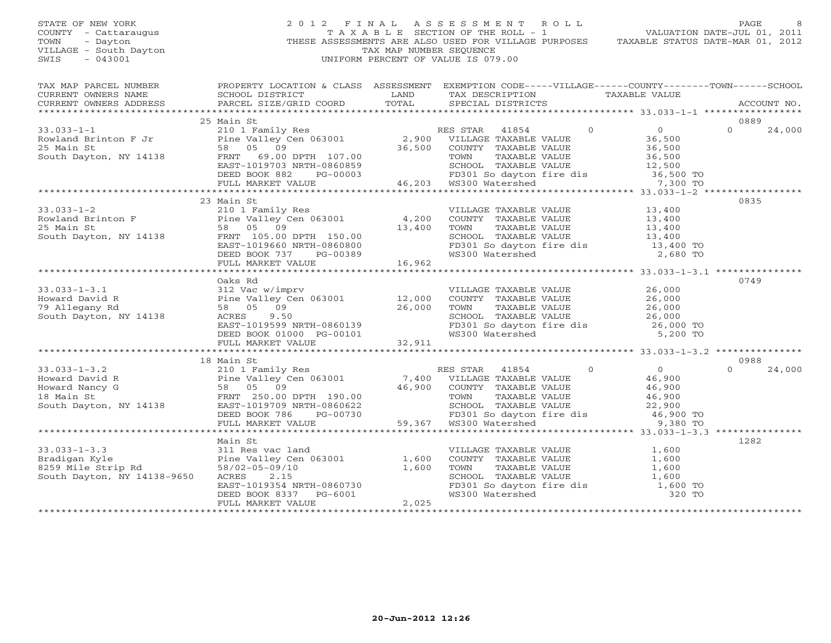## STATE OF NEW YORK 2 0 1 2 F I N A L A S S E S S M E N T R O L L PAGE 8 COUNTY - Cattaraugus T A X A B L E SECTION OF THE ROLL - 1 VALUATION DATE-JUL 01, 2011 TOWN - Dayton - Dayton 1999<br>
THESE ASSESSMENTS ARE ALSO USED FOR VILLAGE PURPOSES TAXABLE STATUS DATE-MAR 01, 2012<br>
TAX MAP NUMBER SEQUENCE VILLAGE - South Dayton TAX MAP NUMBER SEQUENCE<br>SWIS - 043001 SWIS - 043001 UNIFORM PERCENT OF VALUE IS 079.00

| $\begin{tabular}{lllllll} \multicolumn{2}{l}{{\small\texttt{CURRENT}}}& $\texttt{NWERS} $N$AME$ & $\texttt{SCHOOOL} $DISTRICT$ & \texttt{LAND} & $\texttt{TAX} $DESTRICTS$ & \texttt{PAXABLE} $V{\texttt{ALUE}}$ & \texttt{ACCOUNT} $N{\texttt{O}}$\\ & $\texttt{CURRENT} $N$AUD & $\texttt{COCOUNT} $N{\texttt{O}}$ & $\texttt{PAX} $DESTRICTS$ & \texttt{ACCOUNT} $N{\texttt{O}}$\\ & $\texttt{PAX} $N$AUCOUNT$ & $\texttt{COCVNT} $N$<br>25 Main St<br>0889<br>$\Omega$<br>24,000<br>23 Main St<br>0835<br>33.033-1-2<br>$3.033-1-2$<br>$3.033-1-2$<br>$3.033-1-2$<br>$3.400$<br>$3.400$<br>$3.400$<br>$3.400$<br>$3.400$<br>$3.400$<br>$3.400$<br>$3.400$<br>$3.400$<br>$3.400$<br>$3.400$<br>$3.400$<br>$3.400$<br>$3.400$<br>$3.400$<br>$3.400$<br>$3.400$<br>$3.400$<br>$3.400$<br><br>0749<br>Oaks Rd<br>33.033-1-3.1<br>Howard David R<br>312 Vac w/imprv<br>Pine Valley Cen 063001<br>26,000<br>26,000<br>26,000<br>26,000<br>26,000<br>26,000<br>26,000<br>26,000<br>26,000<br>26,000<br>26,000<br>26,000<br>26,000<br>26,000<br>26,000<br>26,000<br>26,000<br>26,000<br>26,000<br>Ward David K<br>Allegany Rd 36,000 TOWN 1 1AAABLE VALUE<br>26,000 TOWN TAXABLE VALUE<br>26,000 TOWN 14138 ACRES 30.000 EAST-1019599 NRTH-0860139<br>DEED BOOK 01000 PG-00101 WS300 Watershed 5,200 TO<br>FULL MARKET VALUE 32,911<br>EVILL<br>18 Main St<br>0988<br>33.033-1-3.2<br>Howard David R<br>Howard Nancy G<br>Howard Nancy G<br>Senie Valley Cen 063001<br>FRNT 250.00 DPTH 190.00<br>South Dayton, NY 14138<br>EAST-1019709 NRTH-0860622<br>EED BOOK 786<br>PG-00730<br>FRNT 250.00 DPTH 190.00<br>SCHOOL TA<br>$\cap$<br>24,000<br>1282<br>Main St<br>33.033-1-3.3<br>Bradigan Kyle<br>8259 Mile Strip Rd<br>South Dayton, NY 14138-9650<br>Pine Valley Cen 063001<br>58/02-05-09/10<br>ACRES<br>2.15<br>EAST-1019354 NRTH-0860730<br>DEED BOOK 8337 PG-6001<br>FULL MARKET VALUE<br>2,025<br>VILLAGE TAXABLE VALUE<br>COUNTY TAXABLE VALUE<br>TOWN TAXABLE VALUE<br>SCHOOL TAXABLE VALUE<br>SCHOOL TAXABLE VALUE<br>TD301 So dayton fire dis<br>TD301 So dayton fire dis<br>TD301 So dayton fire dis<br>TD300 Watershed<br>TO 320 TO | TAX MAP PARCEL NUMBER | PROPERTY LOCATION & CLASS ASSESSMENT EXEMPTION CODE-----VILLAGE------COUNTY--------TOWN------SCHOOL |  |  |  |
|-------------------------------------------------------------------------------------------------------------------------------------------------------------------------------------------------------------------------------------------------------------------------------------------------------------------------------------------------------------------------------------------------------------------------------------------------------------------------------------------------------------------------------------------------------------------------------------------------------------------------------------------------------------------------------------------------------------------------------------------------------------------------------------------------------------------------------------------------------------------------------------------------------------------------------------------------------------------------------------------------------------------------------------------------------------------------------------------------------------------------------------------------------------------------------------------------------------------------------------------------------------------------------------------------------------------------------------------------------------------------------------------------------------------------------------------------------------------------------------------------------------------------------------------------------------------------------------------------------------------------------------------------------------------------------------------------------------------------------------------------------------------------------------------------------------------------------------------------------------------------------------------------------------------------------------------------------------------------------------------------------------------------------------------------------------------------------------------------------------------------------------------------|-----------------------|-----------------------------------------------------------------------------------------------------|--|--|--|
|                                                                                                                                                                                                                                                                                                                                                                                                                                                                                                                                                                                                                                                                                                                                                                                                                                                                                                                                                                                                                                                                                                                                                                                                                                                                                                                                                                                                                                                                                                                                                                                                                                                                                                                                                                                                                                                                                                                                                                                                                                                                                                                                                 |                       |                                                                                                     |  |  |  |
|                                                                                                                                                                                                                                                                                                                                                                                                                                                                                                                                                                                                                                                                                                                                                                                                                                                                                                                                                                                                                                                                                                                                                                                                                                                                                                                                                                                                                                                                                                                                                                                                                                                                                                                                                                                                                                                                                                                                                                                                                                                                                                                                                 |                       |                                                                                                     |  |  |  |
|                                                                                                                                                                                                                                                                                                                                                                                                                                                                                                                                                                                                                                                                                                                                                                                                                                                                                                                                                                                                                                                                                                                                                                                                                                                                                                                                                                                                                                                                                                                                                                                                                                                                                                                                                                                                                                                                                                                                                                                                                                                                                                                                                 |                       |                                                                                                     |  |  |  |
|                                                                                                                                                                                                                                                                                                                                                                                                                                                                                                                                                                                                                                                                                                                                                                                                                                                                                                                                                                                                                                                                                                                                                                                                                                                                                                                                                                                                                                                                                                                                                                                                                                                                                                                                                                                                                                                                                                                                                                                                                                                                                                                                                 |                       |                                                                                                     |  |  |  |
|                                                                                                                                                                                                                                                                                                                                                                                                                                                                                                                                                                                                                                                                                                                                                                                                                                                                                                                                                                                                                                                                                                                                                                                                                                                                                                                                                                                                                                                                                                                                                                                                                                                                                                                                                                                                                                                                                                                                                                                                                                                                                                                                                 |                       |                                                                                                     |  |  |  |
|                                                                                                                                                                                                                                                                                                                                                                                                                                                                                                                                                                                                                                                                                                                                                                                                                                                                                                                                                                                                                                                                                                                                                                                                                                                                                                                                                                                                                                                                                                                                                                                                                                                                                                                                                                                                                                                                                                                                                                                                                                                                                                                                                 |                       |                                                                                                     |  |  |  |
|                                                                                                                                                                                                                                                                                                                                                                                                                                                                                                                                                                                                                                                                                                                                                                                                                                                                                                                                                                                                                                                                                                                                                                                                                                                                                                                                                                                                                                                                                                                                                                                                                                                                                                                                                                                                                                                                                                                                                                                                                                                                                                                                                 |                       |                                                                                                     |  |  |  |
|                                                                                                                                                                                                                                                                                                                                                                                                                                                                                                                                                                                                                                                                                                                                                                                                                                                                                                                                                                                                                                                                                                                                                                                                                                                                                                                                                                                                                                                                                                                                                                                                                                                                                                                                                                                                                                                                                                                                                                                                                                                                                                                                                 |                       |                                                                                                     |  |  |  |
|                                                                                                                                                                                                                                                                                                                                                                                                                                                                                                                                                                                                                                                                                                                                                                                                                                                                                                                                                                                                                                                                                                                                                                                                                                                                                                                                                                                                                                                                                                                                                                                                                                                                                                                                                                                                                                                                                                                                                                                                                                                                                                                                                 |                       |                                                                                                     |  |  |  |
|                                                                                                                                                                                                                                                                                                                                                                                                                                                                                                                                                                                                                                                                                                                                                                                                                                                                                                                                                                                                                                                                                                                                                                                                                                                                                                                                                                                                                                                                                                                                                                                                                                                                                                                                                                                                                                                                                                                                                                                                                                                                                                                                                 |                       |                                                                                                     |  |  |  |
|                                                                                                                                                                                                                                                                                                                                                                                                                                                                                                                                                                                                                                                                                                                                                                                                                                                                                                                                                                                                                                                                                                                                                                                                                                                                                                                                                                                                                                                                                                                                                                                                                                                                                                                                                                                                                                                                                                                                                                                                                                                                                                                                                 |                       |                                                                                                     |  |  |  |
|                                                                                                                                                                                                                                                                                                                                                                                                                                                                                                                                                                                                                                                                                                                                                                                                                                                                                                                                                                                                                                                                                                                                                                                                                                                                                                                                                                                                                                                                                                                                                                                                                                                                                                                                                                                                                                                                                                                                                                                                                                                                                                                                                 |                       |                                                                                                     |  |  |  |
|                                                                                                                                                                                                                                                                                                                                                                                                                                                                                                                                                                                                                                                                                                                                                                                                                                                                                                                                                                                                                                                                                                                                                                                                                                                                                                                                                                                                                                                                                                                                                                                                                                                                                                                                                                                                                                                                                                                                                                                                                                                                                                                                                 |                       |                                                                                                     |  |  |  |
|                                                                                                                                                                                                                                                                                                                                                                                                                                                                                                                                                                                                                                                                                                                                                                                                                                                                                                                                                                                                                                                                                                                                                                                                                                                                                                                                                                                                                                                                                                                                                                                                                                                                                                                                                                                                                                                                                                                                                                                                                                                                                                                                                 |                       |                                                                                                     |  |  |  |
|                                                                                                                                                                                                                                                                                                                                                                                                                                                                                                                                                                                                                                                                                                                                                                                                                                                                                                                                                                                                                                                                                                                                                                                                                                                                                                                                                                                                                                                                                                                                                                                                                                                                                                                                                                                                                                                                                                                                                                                                                                                                                                                                                 |                       |                                                                                                     |  |  |  |
|                                                                                                                                                                                                                                                                                                                                                                                                                                                                                                                                                                                                                                                                                                                                                                                                                                                                                                                                                                                                                                                                                                                                                                                                                                                                                                                                                                                                                                                                                                                                                                                                                                                                                                                                                                                                                                                                                                                                                                                                                                                                                                                                                 |                       |                                                                                                     |  |  |  |
|                                                                                                                                                                                                                                                                                                                                                                                                                                                                                                                                                                                                                                                                                                                                                                                                                                                                                                                                                                                                                                                                                                                                                                                                                                                                                                                                                                                                                                                                                                                                                                                                                                                                                                                                                                                                                                                                                                                                                                                                                                                                                                                                                 |                       |                                                                                                     |  |  |  |
|                                                                                                                                                                                                                                                                                                                                                                                                                                                                                                                                                                                                                                                                                                                                                                                                                                                                                                                                                                                                                                                                                                                                                                                                                                                                                                                                                                                                                                                                                                                                                                                                                                                                                                                                                                                                                                                                                                                                                                                                                                                                                                                                                 |                       |                                                                                                     |  |  |  |
|                                                                                                                                                                                                                                                                                                                                                                                                                                                                                                                                                                                                                                                                                                                                                                                                                                                                                                                                                                                                                                                                                                                                                                                                                                                                                                                                                                                                                                                                                                                                                                                                                                                                                                                                                                                                                                                                                                                                                                                                                                                                                                                                                 |                       |                                                                                                     |  |  |  |
|                                                                                                                                                                                                                                                                                                                                                                                                                                                                                                                                                                                                                                                                                                                                                                                                                                                                                                                                                                                                                                                                                                                                                                                                                                                                                                                                                                                                                                                                                                                                                                                                                                                                                                                                                                                                                                                                                                                                                                                                                                                                                                                                                 |                       |                                                                                                     |  |  |  |
|                                                                                                                                                                                                                                                                                                                                                                                                                                                                                                                                                                                                                                                                                                                                                                                                                                                                                                                                                                                                                                                                                                                                                                                                                                                                                                                                                                                                                                                                                                                                                                                                                                                                                                                                                                                                                                                                                                                                                                                                                                                                                                                                                 |                       |                                                                                                     |  |  |  |
|                                                                                                                                                                                                                                                                                                                                                                                                                                                                                                                                                                                                                                                                                                                                                                                                                                                                                                                                                                                                                                                                                                                                                                                                                                                                                                                                                                                                                                                                                                                                                                                                                                                                                                                                                                                                                                                                                                                                                                                                                                                                                                                                                 |                       |                                                                                                     |  |  |  |
|                                                                                                                                                                                                                                                                                                                                                                                                                                                                                                                                                                                                                                                                                                                                                                                                                                                                                                                                                                                                                                                                                                                                                                                                                                                                                                                                                                                                                                                                                                                                                                                                                                                                                                                                                                                                                                                                                                                                                                                                                                                                                                                                                 |                       |                                                                                                     |  |  |  |
|                                                                                                                                                                                                                                                                                                                                                                                                                                                                                                                                                                                                                                                                                                                                                                                                                                                                                                                                                                                                                                                                                                                                                                                                                                                                                                                                                                                                                                                                                                                                                                                                                                                                                                                                                                                                                                                                                                                                                                                                                                                                                                                                                 |                       |                                                                                                     |  |  |  |
|                                                                                                                                                                                                                                                                                                                                                                                                                                                                                                                                                                                                                                                                                                                                                                                                                                                                                                                                                                                                                                                                                                                                                                                                                                                                                                                                                                                                                                                                                                                                                                                                                                                                                                                                                                                                                                                                                                                                                                                                                                                                                                                                                 |                       |                                                                                                     |  |  |  |
|                                                                                                                                                                                                                                                                                                                                                                                                                                                                                                                                                                                                                                                                                                                                                                                                                                                                                                                                                                                                                                                                                                                                                                                                                                                                                                                                                                                                                                                                                                                                                                                                                                                                                                                                                                                                                                                                                                                                                                                                                                                                                                                                                 |                       |                                                                                                     |  |  |  |
|                                                                                                                                                                                                                                                                                                                                                                                                                                                                                                                                                                                                                                                                                                                                                                                                                                                                                                                                                                                                                                                                                                                                                                                                                                                                                                                                                                                                                                                                                                                                                                                                                                                                                                                                                                                                                                                                                                                                                                                                                                                                                                                                                 |                       |                                                                                                     |  |  |  |
|                                                                                                                                                                                                                                                                                                                                                                                                                                                                                                                                                                                                                                                                                                                                                                                                                                                                                                                                                                                                                                                                                                                                                                                                                                                                                                                                                                                                                                                                                                                                                                                                                                                                                                                                                                                                                                                                                                                                                                                                                                                                                                                                                 |                       |                                                                                                     |  |  |  |
|                                                                                                                                                                                                                                                                                                                                                                                                                                                                                                                                                                                                                                                                                                                                                                                                                                                                                                                                                                                                                                                                                                                                                                                                                                                                                                                                                                                                                                                                                                                                                                                                                                                                                                                                                                                                                                                                                                                                                                                                                                                                                                                                                 |                       |                                                                                                     |  |  |  |
|                                                                                                                                                                                                                                                                                                                                                                                                                                                                                                                                                                                                                                                                                                                                                                                                                                                                                                                                                                                                                                                                                                                                                                                                                                                                                                                                                                                                                                                                                                                                                                                                                                                                                                                                                                                                                                                                                                                                                                                                                                                                                                                                                 |                       |                                                                                                     |  |  |  |
|                                                                                                                                                                                                                                                                                                                                                                                                                                                                                                                                                                                                                                                                                                                                                                                                                                                                                                                                                                                                                                                                                                                                                                                                                                                                                                                                                                                                                                                                                                                                                                                                                                                                                                                                                                                                                                                                                                                                                                                                                                                                                                                                                 |                       |                                                                                                     |  |  |  |
|                                                                                                                                                                                                                                                                                                                                                                                                                                                                                                                                                                                                                                                                                                                                                                                                                                                                                                                                                                                                                                                                                                                                                                                                                                                                                                                                                                                                                                                                                                                                                                                                                                                                                                                                                                                                                                                                                                                                                                                                                                                                                                                                                 |                       |                                                                                                     |  |  |  |
|                                                                                                                                                                                                                                                                                                                                                                                                                                                                                                                                                                                                                                                                                                                                                                                                                                                                                                                                                                                                                                                                                                                                                                                                                                                                                                                                                                                                                                                                                                                                                                                                                                                                                                                                                                                                                                                                                                                                                                                                                                                                                                                                                 |                       |                                                                                                     |  |  |  |
|                                                                                                                                                                                                                                                                                                                                                                                                                                                                                                                                                                                                                                                                                                                                                                                                                                                                                                                                                                                                                                                                                                                                                                                                                                                                                                                                                                                                                                                                                                                                                                                                                                                                                                                                                                                                                                                                                                                                                                                                                                                                                                                                                 |                       |                                                                                                     |  |  |  |
|                                                                                                                                                                                                                                                                                                                                                                                                                                                                                                                                                                                                                                                                                                                                                                                                                                                                                                                                                                                                                                                                                                                                                                                                                                                                                                                                                                                                                                                                                                                                                                                                                                                                                                                                                                                                                                                                                                                                                                                                                                                                                                                                                 |                       |                                                                                                     |  |  |  |
|                                                                                                                                                                                                                                                                                                                                                                                                                                                                                                                                                                                                                                                                                                                                                                                                                                                                                                                                                                                                                                                                                                                                                                                                                                                                                                                                                                                                                                                                                                                                                                                                                                                                                                                                                                                                                                                                                                                                                                                                                                                                                                                                                 |                       |                                                                                                     |  |  |  |
|                                                                                                                                                                                                                                                                                                                                                                                                                                                                                                                                                                                                                                                                                                                                                                                                                                                                                                                                                                                                                                                                                                                                                                                                                                                                                                                                                                                                                                                                                                                                                                                                                                                                                                                                                                                                                                                                                                                                                                                                                                                                                                                                                 |                       |                                                                                                     |  |  |  |
|                                                                                                                                                                                                                                                                                                                                                                                                                                                                                                                                                                                                                                                                                                                                                                                                                                                                                                                                                                                                                                                                                                                                                                                                                                                                                                                                                                                                                                                                                                                                                                                                                                                                                                                                                                                                                                                                                                                                                                                                                                                                                                                                                 |                       |                                                                                                     |  |  |  |
|                                                                                                                                                                                                                                                                                                                                                                                                                                                                                                                                                                                                                                                                                                                                                                                                                                                                                                                                                                                                                                                                                                                                                                                                                                                                                                                                                                                                                                                                                                                                                                                                                                                                                                                                                                                                                                                                                                                                                                                                                                                                                                                                                 |                       |                                                                                                     |  |  |  |
|                                                                                                                                                                                                                                                                                                                                                                                                                                                                                                                                                                                                                                                                                                                                                                                                                                                                                                                                                                                                                                                                                                                                                                                                                                                                                                                                                                                                                                                                                                                                                                                                                                                                                                                                                                                                                                                                                                                                                                                                                                                                                                                                                 |                       |                                                                                                     |  |  |  |
|                                                                                                                                                                                                                                                                                                                                                                                                                                                                                                                                                                                                                                                                                                                                                                                                                                                                                                                                                                                                                                                                                                                                                                                                                                                                                                                                                                                                                                                                                                                                                                                                                                                                                                                                                                                                                                                                                                                                                                                                                                                                                                                                                 |                       |                                                                                                     |  |  |  |
|                                                                                                                                                                                                                                                                                                                                                                                                                                                                                                                                                                                                                                                                                                                                                                                                                                                                                                                                                                                                                                                                                                                                                                                                                                                                                                                                                                                                                                                                                                                                                                                                                                                                                                                                                                                                                                                                                                                                                                                                                                                                                                                                                 |                       |                                                                                                     |  |  |  |
|                                                                                                                                                                                                                                                                                                                                                                                                                                                                                                                                                                                                                                                                                                                                                                                                                                                                                                                                                                                                                                                                                                                                                                                                                                                                                                                                                                                                                                                                                                                                                                                                                                                                                                                                                                                                                                                                                                                                                                                                                                                                                                                                                 |                       |                                                                                                     |  |  |  |
|                                                                                                                                                                                                                                                                                                                                                                                                                                                                                                                                                                                                                                                                                                                                                                                                                                                                                                                                                                                                                                                                                                                                                                                                                                                                                                                                                                                                                                                                                                                                                                                                                                                                                                                                                                                                                                                                                                                                                                                                                                                                                                                                                 |                       |                                                                                                     |  |  |  |
|                                                                                                                                                                                                                                                                                                                                                                                                                                                                                                                                                                                                                                                                                                                                                                                                                                                                                                                                                                                                                                                                                                                                                                                                                                                                                                                                                                                                                                                                                                                                                                                                                                                                                                                                                                                                                                                                                                                                                                                                                                                                                                                                                 |                       |                                                                                                     |  |  |  |
|                                                                                                                                                                                                                                                                                                                                                                                                                                                                                                                                                                                                                                                                                                                                                                                                                                                                                                                                                                                                                                                                                                                                                                                                                                                                                                                                                                                                                                                                                                                                                                                                                                                                                                                                                                                                                                                                                                                                                                                                                                                                                                                                                 |                       |                                                                                                     |  |  |  |
|                                                                                                                                                                                                                                                                                                                                                                                                                                                                                                                                                                                                                                                                                                                                                                                                                                                                                                                                                                                                                                                                                                                                                                                                                                                                                                                                                                                                                                                                                                                                                                                                                                                                                                                                                                                                                                                                                                                                                                                                                                                                                                                                                 |                       |                                                                                                     |  |  |  |
|                                                                                                                                                                                                                                                                                                                                                                                                                                                                                                                                                                                                                                                                                                                                                                                                                                                                                                                                                                                                                                                                                                                                                                                                                                                                                                                                                                                                                                                                                                                                                                                                                                                                                                                                                                                                                                                                                                                                                                                                                                                                                                                                                 |                       |                                                                                                     |  |  |  |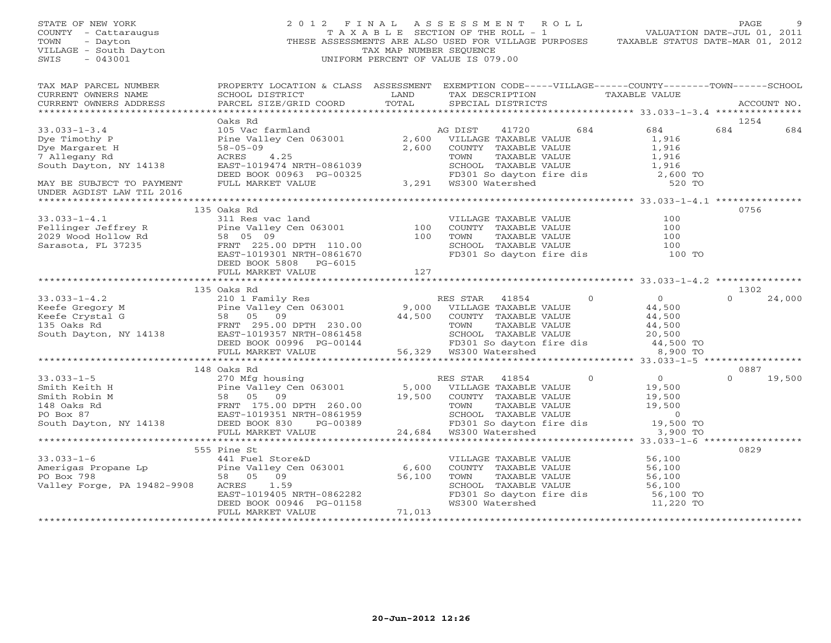| STATE OF NEW YORK<br>COUNTY - Cattaraugus<br>TOWN<br>- Dayton<br>VILLAGE - South Dayton<br>$-043001$<br>SWIS                                                                                                                                          | 2012 FINAL ASSESSMENT ROLL                                                                                                                                                                    | TAX MAP NUMBER SEQUENCE<br>UNIFORM PERCENT OF VALUE IS 079.00 |                   |                       | THESE ASSESSMENTS ARE ALSO USED FOR VILLAGE PURPOSES TAXABLE STATUS DATE-MAR 01, 2012                                                                                                                                                                                                  | PAGE        |             |
|-------------------------------------------------------------------------------------------------------------------------------------------------------------------------------------------------------------------------------------------------------|-----------------------------------------------------------------------------------------------------------------------------------------------------------------------------------------------|---------------------------------------------------------------|-------------------|-----------------------|----------------------------------------------------------------------------------------------------------------------------------------------------------------------------------------------------------------------------------------------------------------------------------------|-------------|-------------|
| TAX MAP PARCEL NUMBER<br>CURRENT OWNERS NAME<br>CURRENT OWNERS ADDRESS                                                                                                                                                                                | PROPERTY LOCATION & CLASS ASSESSMENT EXEMPTION CODE-----VILLAGE------COUNTY-------TOWN------SCHOOL<br>SCHOOL DISTRICT<br><b>EXAMPLE DESCRIPTION OF A LAND</b><br>PARCEL SIZE/GRID COORD TOTAL |                                                               | SPECIAL DISTRICTS |                       | TAX DESCRIPTION TAXABLE VALUE                                                                                                                                                                                                                                                          |             | ACCOUNT NO. |
|                                                                                                                                                                                                                                                       |                                                                                                                                                                                               |                                                               |                   |                       |                                                                                                                                                                                                                                                                                        |             |             |
| $33.033 - 1 - 3.4$                                                                                                                                                                                                                                    | Oaks Rd                                                                                                                                                                                       |                                                               |                   | 41720 684             | 684                                                                                                                                                                                                                                                                                    | 1254<br>684 | 684         |
|                                                                                                                                                                                                                                                       | 2,600 MG DIST 41720<br>2,600 VILLAGE TAXABLE VALUE<br>Pine Valley Cen 063001 2,600 VILLAGE TAXABLE VALUE                                                                                      |                                                               |                   |                       |                                                                                                                                                                                                                                                                                        |             |             |
|                                                                                                                                                                                                                                                       |                                                                                                                                                                                               |                                                               |                   |                       |                                                                                                                                                                                                                                                                                        |             |             |
|                                                                                                                                                                                                                                                       |                                                                                                                                                                                               |                                                               |                   |                       |                                                                                                                                                                                                                                                                                        |             |             |
|                                                                                                                                                                                                                                                       |                                                                                                                                                                                               |                                                               |                   |                       |                                                                                                                                                                                                                                                                                        |             |             |
|                                                                                                                                                                                                                                                       |                                                                                                                                                                                               |                                                               |                   |                       |                                                                                                                                                                                                                                                                                        |             |             |
| 33.033-1-3.4<br>Dye Timothy P<br>Dye Timothy P<br>Dye Margaret H<br>Se-05-09<br>South Dayton, NY 14138<br>NAY BE SUBJECT TO PAYMENT<br>TULL MARKET VALUE<br>TULL MARKET VALUE<br>PULL MARKET VALUE<br>PULL MARKET VALUE<br>TOWN<br>CHOOL TAXABLE VALU |                                                                                                                                                                                               |                                                               |                   |                       |                                                                                                                                                                                                                                                                                        |             |             |
|                                                                                                                                                                                                                                                       |                                                                                                                                                                                               |                                                               |                   |                       |                                                                                                                                                                                                                                                                                        |             |             |
|                                                                                                                                                                                                                                                       | 135 Oaks Rd                                                                                                                                                                                   |                                                               |                   |                       |                                                                                                                                                                                                                                                                                        | 0756        |             |
|                                                                                                                                                                                                                                                       |                                                                                                                                                                                               |                                                               |                   | VILLAGE TAXABLE VALUE | 100                                                                                                                                                                                                                                                                                    |             |             |
|                                                                                                                                                                                                                                                       |                                                                                                                                                                                               |                                                               |                   | COUNTY TAXABLE VALUE  | 100                                                                                                                                                                                                                                                                                    |             |             |
|                                                                                                                                                                                                                                                       |                                                                                                                                                                                               |                                                               |                   |                       |                                                                                                                                                                                                                                                                                        |             |             |
|                                                                                                                                                                                                                                                       | FRNT 225.00 DPTH 110.00<br>EAST-1019301 NRTH-0861670                                                                                                                                          |                                                               |                   |                       | TOWN TAXABLE VALUE 100<br>SCHOOL TAXABLE VALUE 100<br>FD301 So dayton fire dis 100 TO                                                                                                                                                                                                  |             |             |
|                                                                                                                                                                                                                                                       | DEED BOOK 5808 PG-6015                                                                                                                                                                        |                                                               |                   |                       |                                                                                                                                                                                                                                                                                        |             |             |
|                                                                                                                                                                                                                                                       | FULL MARKET VALUE                                                                                                                                                                             | 127<br>************                                           |                   |                       | ********************* 33.033-1-4.2 ***************                                                                                                                                                                                                                                     |             |             |
|                                                                                                                                                                                                                                                       | 135 Oaks Rd                                                                                                                                                                                   |                                                               |                   |                       |                                                                                                                                                                                                                                                                                        | 1302        |             |
|                                                                                                                                                                                                                                                       |                                                                                                                                                                                               |                                                               |                   |                       |                                                                                                                                                                                                                                                                                        |             | 24,000      |
|                                                                                                                                                                                                                                                       |                                                                                                                                                                                               |                                                               |                   |                       |                                                                                                                                                                                                                                                                                        |             |             |
|                                                                                                                                                                                                                                                       |                                                                                                                                                                                               |                                                               |                   |                       |                                                                                                                                                                                                                                                                                        |             |             |
|                                                                                                                                                                                                                                                       |                                                                                                                                                                                               |                                                               |                   |                       |                                                                                                                                                                                                                                                                                        |             |             |
|                                                                                                                                                                                                                                                       |                                                                                                                                                                                               |                                                               |                   |                       |                                                                                                                                                                                                                                                                                        |             |             |
|                                                                                                                                                                                                                                                       |                                                                                                                                                                                               |                                                               |                   |                       |                                                                                                                                                                                                                                                                                        |             |             |
| 33.033-1-4.2<br>EUS 210 1 Family Res<br>EUS 210 1 Family Res<br>FRNT 230.00<br>EEED BOOK 00996 PG-00144<br>FRNT 295.00<br>EED BOOK 00996 PG-00144<br>FULL MARIE VALUE<br>FRNT 295.00<br>South Dayton, NY 14138<br>DEED BOOK 00996 PG-00144<br>FULL    |                                                                                                                                                                                               |                                                               |                   |                       |                                                                                                                                                                                                                                                                                        |             |             |
|                                                                                                                                                                                                                                                       |                                                                                                                                                                                               |                                                               |                   |                       |                                                                                                                                                                                                                                                                                        |             |             |
|                                                                                                                                                                                                                                                       |                                                                                                                                                                                               |                                                               |                   |                       |                                                                                                                                                                                                                                                                                        | 0887        |             |
|                                                                                                                                                                                                                                                       |                                                                                                                                                                                               |                                                               |                   |                       | $\overline{0}$                                                                                                                                                                                                                                                                         | $\Omega$    | 19,500      |
|                                                                                                                                                                                                                                                       |                                                                                                                                                                                               |                                                               |                   |                       |                                                                                                                                                                                                                                                                                        |             |             |
|                                                                                                                                                                                                                                                       |                                                                                                                                                                                               |                                                               |                   |                       |                                                                                                                                                                                                                                                                                        |             |             |
|                                                                                                                                                                                                                                                       |                                                                                                                                                                                               |                                                               |                   |                       |                                                                                                                                                                                                                                                                                        |             |             |
|                                                                                                                                                                                                                                                       |                                                                                                                                                                                               |                                                               |                   |                       |                                                                                                                                                                                                                                                                                        |             |             |
|                                                                                                                                                                                                                                                       |                                                                                                                                                                                               |                                                               |                   |                       | 19,500 TO                                                                                                                                                                                                                                                                              |             |             |
|                                                                                                                                                                                                                                                       |                                                                                                                                                                                               |                                                               |                   |                       | 3,900 TO                                                                                                                                                                                                                                                                               |             |             |
|                                                                                                                                                                                                                                                       | 555 Pine St                                                                                                                                                                                   |                                                               |                   |                       | 19,500<br>260.00<br>260.00<br>260.00<br>27,500<br>27,500<br>27,500<br>27,500<br>27,500<br>27,500<br>27,500<br>27,500<br>27,500<br>289<br>24,684<br>27,600L<br>27,500<br>29,500<br>29,500<br>24,684<br>27,600<br>29,500<br>24,684<br>27,000<br>29,900<br>24,684<br>27,000<br>29,900<br> | 0829        |             |
|                                                                                                                                                                                                                                                       |                                                                                                                                                                                               |                                                               |                   | VILLAGE TAXABLE VALUE |                                                                                                                                                                                                                                                                                        |             |             |
| 33.033-1-6<br>Amerigas Propane Lp<br>Pine Valley Cen 063001 6,600<br>PO Box 798 58 05 09 56,100<br>Valley Forge, PA 19482-9908 ACRES 1.59                                                                                                             |                                                                                                                                                                                               |                                                               |                   | COUNTY TAXABLE VALUE  | 56,100<br>56.100<br>56,100                                                                                                                                                                                                                                                             |             |             |
|                                                                                                                                                                                                                                                       |                                                                                                                                                                                               |                                                               |                   |                       |                                                                                                                                                                                                                                                                                        |             |             |
| Valley Forge, PA 19482-9908                                                                                                                                                                                                                           |                                                                                                                                                                                               |                                                               |                   |                       | FOWN TAXABLE VALUE 56,100<br>SCHOOL TAXABLE VALUE 56,100                                                                                                                                                                                                                               |             |             |
|                                                                                                                                                                                                                                                       |                                                                                                                                                                                               |                                                               |                   |                       |                                                                                                                                                                                                                                                                                        |             |             |
|                                                                                                                                                                                                                                                       |                                                                                                                                                                                               |                                                               |                   |                       | FD301 So dayton fire dis 56,100 TO<br>WS300 Watershed 11,220 TO                                                                                                                                                                                                                        |             |             |
|                                                                                                                                                                                                                                                       |                                                                                                                                                                                               |                                                               |                   |                       |                                                                                                                                                                                                                                                                                        |             |             |
|                                                                                                                                                                                                                                                       |                                                                                                                                                                                               |                                                               |                   |                       |                                                                                                                                                                                                                                                                                        |             |             |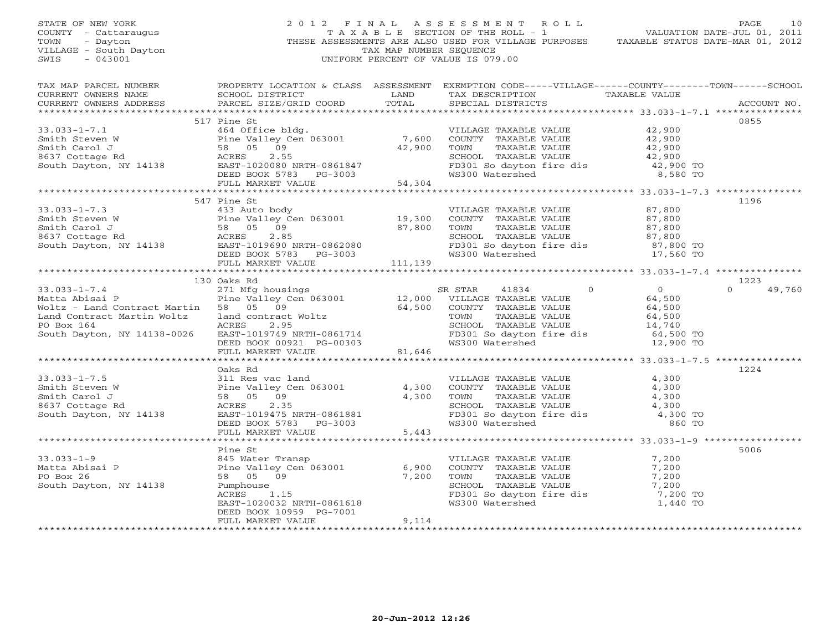| STATE OF NEW YORK<br>COUNTY - Cattaraugus<br>TOWN - Dayton<br>VILLAGE - South Dayton<br>THI - 043001                                                                                                                                                         |                                              | TAX MAP NUMBER SEQUENCE | 2012 FINAL ASSESSMENT ROLL<br>TAXABLE SECTION OF THE ROLL - 1 VALUATION DATE-JUL 01, 2011<br>THESE ASSESSMENTS ARE ALSO USED FOR VILLAGE PURPOSES TAXABLE STATUS DATE-MAR 01, 2012<br>UNIFORM PERCENT OF VALUE IS 079.00 | PAGE<br>10                 |
|--------------------------------------------------------------------------------------------------------------------------------------------------------------------------------------------------------------------------------------------------------------|----------------------------------------------|-------------------------|--------------------------------------------------------------------------------------------------------------------------------------------------------------------------------------------------------------------------|----------------------------|
|                                                                                                                                                                                                                                                              |                                              |                         |                                                                                                                                                                                                                          |                            |
|                                                                                                                                                                                                                                                              | 517 Pine St                                  |                         |                                                                                                                                                                                                                          | 0855                       |
|                                                                                                                                                                                                                                                              |                                              |                         |                                                                                                                                                                                                                          |                            |
| 33.033-1-7.1<br>Survey and the Smith Steven W<br>Smith Steven W<br>Smith Carol J<br>Smith Carol J<br>Smith Carol J<br>Secretary Center of COUNTY TAXABLE VALUE<br>Secretary Center of COUNTY TAXABLE VALUE<br>TAXABLE VALUE<br>Survey RANABLE V              |                                              |                         |                                                                                                                                                                                                                          |                            |
|                                                                                                                                                                                                                                                              |                                              |                         |                                                                                                                                                                                                                          |                            |
|                                                                                                                                                                                                                                                              |                                              |                         |                                                                                                                                                                                                                          |                            |
| 33.033-1-7.3<br>Smith Steven W<br>Smith Steven W<br>Smith Carol J<br>Smith Carol J<br>Smith Carol Sancton Day<br>Smith Carol Sancton Day<br>Section ACRES 2.85<br>South Dayton, NY 14138<br>DEED BOOK 5783 PG-3003<br>TOWN TAXABLE VALUE<br>SCRIGOL          | 547 Pine St                                  |                         |                                                                                                                                                                                                                          | 1196                       |
|                                                                                                                                                                                                                                                              |                                              |                         |                                                                                                                                                                                                                          |                            |
|                                                                                                                                                                                                                                                              |                                              |                         |                                                                                                                                                                                                                          |                            |
|                                                                                                                                                                                                                                                              |                                              |                         |                                                                                                                                                                                                                          | 1223<br>$\Omega$<br>49,760 |
|                                                                                                                                                                                                                                                              |                                              |                         |                                                                                                                                                                                                                          |                            |
|                                                                                                                                                                                                                                                              | Oaks Rd                                      |                         |                                                                                                                                                                                                                          | 1224                       |
| 33.033-1-7.5<br>Smith Steven W<br>Smith Carol J<br>Smith Carol J<br>8637 Cottage Rd<br>South Dayton, NY 14138<br>CON BAST-1019475 NRTH-0861881<br>DEED BOOK 5783<br>PG-3003<br>CON BAST-1019475 NRTH-0861881<br>DEED BOOK 5783<br>PG-3003<br>CON BAST        |                                              |                         | VILLAGE TAXABLE VALUE 4,300<br>COUNTY TAXABLE VALUE 4,300<br>TOWN TAXABLE VALUE 4,300<br>SCHOOL TAXABLE VALUE 4,300<br>FD301 So dayton fire dis 4,300 TO<br>WS300 Watershed 860 TO                                       |                            |
|                                                                                                                                                                                                                                                              |                                              |                         |                                                                                                                                                                                                                          |                            |
| 33.033-1-9<br>Matta Abisai P<br>Matta Abisai P<br>PO Box 26<br>South Dayton, NY 14138<br>Matta Abisai P<br>PO Box 26<br>PUMPhouse<br>PUMPhouse<br>PUMPhouse<br>RACRES<br>2009<br>RACRES<br>EAST-1020032 NRTH-0861618<br>EAST-1020032 NRTH-0861618<br>EAST-10 | Pine St                                      |                         |                                                                                                                                                                                                                          | 5006                       |
|                                                                                                                                                                                                                                                              | DEED BOOK 10959 PG-7001<br>FULL MARKET VALUE | 9,114                   |                                                                                                                                                                                                                          |                            |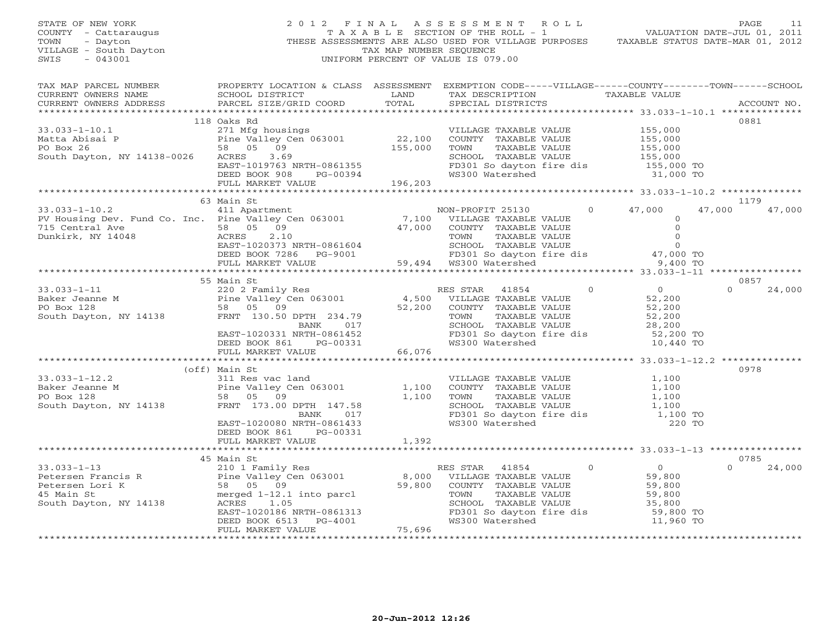| STATE OF NEW YORK<br>COUNTY - Cattaraugus<br>TOWN - Dayton<br>VILLAGE - South Dayton<br>~~~~ - 043001                                                                                                                                                                                                                                                                                                                                        |                                         | TAX MAP NUMBER SEQUENCE | 2012 FINAL ASSESSMENT ROLL<br>Z U 1 Z F I N A L A S S E S S M E N T R O L L<br>T A X A B L E SECTION OF THE ROLL - 1<br>THESE ASSESSMENTS ARE ALLSO USED FOR VILLAGE PURPOSES TAXABLE STATUS DATE-MAR 01, 2012<br>UNIFORM PERCENT OF VALUE IS 079.00 | PAGE<br>11                 |
|----------------------------------------------------------------------------------------------------------------------------------------------------------------------------------------------------------------------------------------------------------------------------------------------------------------------------------------------------------------------------------------------------------------------------------------------|-----------------------------------------|-------------------------|------------------------------------------------------------------------------------------------------------------------------------------------------------------------------------------------------------------------------------------------------|----------------------------|
| CURRENT OWNERS ADDRESS                                                                                                                                                                                                                                                                                                                                                                                                                       |                                         |                         |                                                                                                                                                                                                                                                      | ACCOUNT NO.                |
| 33.033-1-10.1<br>Matta Abisai P<br>PO Box 26<br>South Dayton, NY 14138-0026<br>Matta Abisai P<br>271 Mfg housings<br>PO Box 26<br>58 05 09<br>South Dayton, NY 14138-0026<br>EAST-1019763 NRTH-0861355<br>DEED BOOK 908<br>PG-00394<br>PO BOX 26<br>FD3                                                                                                                                                                                      | 118 Oaks Rd                             |                         |                                                                                                                                                                                                                                                      | 0881                       |
|                                                                                                                                                                                                                                                                                                                                                                                                                                              | 63 Main St                              |                         |                                                                                                                                                                                                                                                      | 1179                       |
| 33.033-1-10.2<br>PV Housing Dev. Fund Co. Inc. Pine Valley Cen 063001<br>T15 Central Ave 58 05 09<br>Dunkirk, NY 14048 ACRES 2.10<br>Dunkirk, NY 14048 ACRES 2.10<br>DEED BOOK 7286 PG-9001<br>POW TAXABLE VALUE ON TOWAREL VALUE 0<br>DEED                                                                                                                                                                                                  |                                         |                         |                                                                                                                                                                                                                                                      | 47,000 47,000              |
|                                                                                                                                                                                                                                                                                                                                                                                                                                              | 55 Main St                              |                         |                                                                                                                                                                                                                                                      | 0857                       |
|                                                                                                                                                                                                                                                                                                                                                                                                                                              |                                         |                         |                                                                                                                                                                                                                                                      | $\Omega$<br>24,000         |
|                                                                                                                                                                                                                                                                                                                                                                                                                                              |                                         |                         |                                                                                                                                                                                                                                                      |                            |
| 33.033-1-12.2 (off) Main st<br>Baker Jeanne M<br>Po Box 128 (011) Res vac land<br>Po Box 128 58 05 09 1,100 TOWN TAXABLE VALUE 1,100<br>South Dayton, NY 14138 FRNT 173.00 DPTH 147.58<br>EAST-1020080 NRTH-0861433 NERE PO MAIN (011)                                                                                                                                                                                                       | (off) Main St<br>DEED BOOK 861 PG-00331 |                         | TOWN TAXABLE VALUE<br>SCHOOL TAXABLE VALUE<br>SCHOOL TAXABLE VALUE<br>FD301 So dayton fire dis<br>WS300 Watershed<br>220 TO                                                                                                                          | 0978                       |
|                                                                                                                                                                                                                                                                                                                                                                                                                                              | FULL MARKET VALUE 1,392                 |                         |                                                                                                                                                                                                                                                      |                            |
| $\begin{tabular}{lllllllllllllllllllll} \textbf{33.033--1--13} & \textbf{45 Main St} & \textbf{210 1 Family Res} & \textbf{RES STAR} & \textbf{41854} & \textbf{0} & \textbf{0} \\ \textbf{Petersen Francis R} & \textbf{Pine Valley Cen 063001} & \textbf{8,000 VILLAGE TAXABLE VALUE} & \textbf{59,800} \\ \textbf{Petersen Lori K} & \textbf{S0 5 09} & \textbf{59,800} & \textbf{59,800} & \textbf{COUNTY TAXABLE VALUE} & \textbf{59,8$ | 45 Main St                              |                         | UWW TAXABLE VALUE<br>SCHOOL TAXABLE VALUE<br>FD301 So dayton fire dis 59,800 TO<br>WS300 Watershed 11,960 TO                                                                                                                                         | 0785<br>$\Omega$<br>24,000 |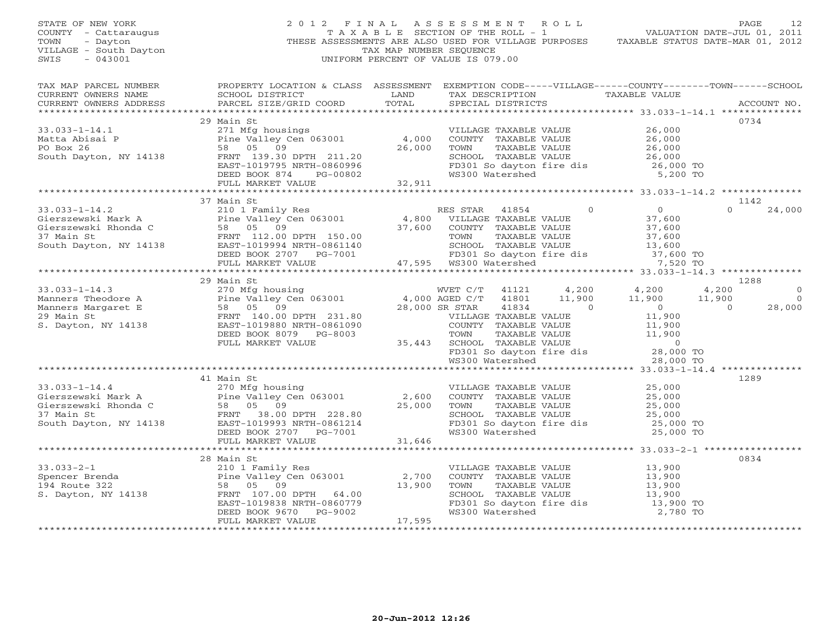| STATE OF NEW YORK<br>COUNTY - Cattaraugus<br>- Dayton<br>TOWN<br>VILLAGE - South Dayton<br>SWIS<br>$-043001$                          |                                                                                                                                                                                                                                                                                  | TAX MAP NUMBER SEQUENCE | 2012 FINAL ASSESSMENT ROLL<br>THESE ASSESSMENTS ARE ALSO USED FOR VILLAGE PURPOSES TAXABLE STATUS DATE-MAR 01, 2012<br>UNIFORM PERCENT OF VALUE IS 079.00                                                        |                                                                                       | PAGE<br>12                                                               |
|---------------------------------------------------------------------------------------------------------------------------------------|----------------------------------------------------------------------------------------------------------------------------------------------------------------------------------------------------------------------------------------------------------------------------------|-------------------------|------------------------------------------------------------------------------------------------------------------------------------------------------------------------------------------------------------------|---------------------------------------------------------------------------------------|--------------------------------------------------------------------------|
| TAX MAP PARCEL NUMBER<br>CURRENT OWNERS NAME<br>CURRENT OWNERS ADDRESS                                                                | SCHOOL DISTRICT<br><b>EXAMPLE SERVICE SERVICE SERVICE SERVICE SERVICE SERVICE SERVICE SERVICE SERVICE SERVICE SERVICE SERVICE SERVICE</b><br>PARCEL SIZE/GRID COORD                                                                                                              | TOTAL                   | PROPERTY LOCATION & CLASS ASSESSMENT EXEMPTION CODE-----VILLAGE------COUNTY-------TOWN------SCHOOL<br>TAX DESCRIPTION TAXABLE VALUE<br>SPECIAL DISTRICTS                                                         |                                                                                       | ACCOUNT NO.                                                              |
| $33.033 - 1 - 14.1$<br>Matta Abisai P                                                                                                 | 29 Main St<br>271 Mfg housings<br>Pine Valley Cen 063001 4,000<br>58 05 09 26,000                                                                                                                                                                                                |                         | VILLAGE TAXABLE VALUE<br>COUNTY TAXABLE VALUE                                                                                                                                                                    | 26,000                                                                                | 0734                                                                     |
| PO Box 26<br>South Dayton, NY 14138                                                                                                   | FRNT 139.30 DPTH 211.20<br>EAST-1019795 NRTH-0860996<br>DEED BOOK 874 PG-00802                                                                                                                                                                                                   |                         | TAXABLE VALUE<br>TOWN<br>SCHOOL TAXABLE VALUE<br>FD301 So dayton fire dis<br>WS300 Watershed 5,200 TO                                                                                                            | 26,000<br>26,000<br>26,000                                                            |                                                                          |
|                                                                                                                                       | FULL MARKET VALUE                                                                                                                                                                                                                                                                | 32,911                  |                                                                                                                                                                                                                  |                                                                                       |                                                                          |
|                                                                                                                                       | 37 Main St                                                                                                                                                                                                                                                                       |                         |                                                                                                                                                                                                                  |                                                                                       | 1142                                                                     |
| $33.033 - 1 - 14.2$                                                                                                                   | Main St<br>210 1 Family Res<br>Pine Valley Cen 063001 4,800<br>58 05 09 37,600<br>FRNT 112.00 DPTH 150.00<br>EAST-1019994 NRTH-0861140<br>DEED BOOK 2707 PG-7001                                                                                                                 |                         | $\overline{0}$<br>RES STAR 41854<br>VILLAGE TAXABLE VALUE<br>COUNTY TAXABLE VALUE<br>TOWN      TAXABLE VALUE<br>SCHOOL   TAXABLE VALUE                                                                           | $0$<br>37,600<br>37,600<br>37,600<br>13,600                                           | $\Omega$<br>24,000                                                       |
|                                                                                                                                       | FULL MARKET VALUE                                                                                                                                                                                                                                                                |                         | FD301 So dayton fire dis<br>47,595 WS300 Watershed                                                                                                                                                               | 37,600 TO<br>7,520 TO                                                                 |                                                                          |
|                                                                                                                                       |                                                                                                                                                                                                                                                                                  |                         |                                                                                                                                                                                                                  |                                                                                       |                                                                          |
|                                                                                                                                       | 29 Main St                                                                                                                                                                                                                                                                       |                         |                                                                                                                                                                                                                  |                                                                                       | 1288                                                                     |
| $33.033 - 1 - 14.3$<br>Manners Theodore A<br>Manners Ineodore A<br>Manners Margaret E<br>29 Main St<br>5 Devis<br>S. Dayton, NY 14138 | WET C/T<br>270 Mfg housing<br>Pine Valley Cen 063001 4,000 AGED C/T<br>58 05 09 28,000 SR STAR<br>Pine Valley (<br>58 05 09<br>FRNT 140.00<br>EAST-1019880<br>FRNT 140.00 DPTH 231.80<br>EAST-1019880 NRTH-0861090<br>DEED BOOK 8079 PG-8003                                     |                         | 41121 4,200<br>11,900<br>41801<br>28,000 SR STAR<br>41834 0<br>VILLAGE TAXABLE VALUE<br>COUNTY TAXABLE VALUE<br>TOWN TAXABLE VALUE<br>35,443 SCHOOL TAXABLE VALUE<br>FD301 So dayton fire dis<br>WS300 Watershed | 4,200<br>11,900<br>$\begin{array}{c} 0 \\ 11,900 \end{array}$<br>$11,900$<br>$11,900$ | 4,200<br>$\circ$<br>11,900<br>$\overline{0}$<br>$\overline{0}$<br>28,000 |
|                                                                                                                                       | FULL MARKET VALUE                                                                                                                                                                                                                                                                |                         |                                                                                                                                                                                                                  | $\overline{0}$<br>28,000 TO                                                           |                                                                          |
|                                                                                                                                       |                                                                                                                                                                                                                                                                                  |                         |                                                                                                                                                                                                                  | 28,000 TO                                                                             |                                                                          |
|                                                                                                                                       | 41 Main St                                                                                                                                                                                                                                                                       |                         |                                                                                                                                                                                                                  |                                                                                       | 1289                                                                     |
| $33.033 - 1 - 14.4$                                                                                                                   | 270 Mfg housing<br>Pine Valley Cen 063001 2,600<br>Sierszewski Mark A<br>Fine Valley Cen 063001<br>Gierszewski Rhonda C<br>37 Main St<br>South Dayton, NY 14138<br>EAST-1019933 NRTH-0861214<br>PERT 1019933 NRTH-0861214<br>PERT 1019933 NRTH-0861214<br>DEED BOOK 2707 PG-7001 | 25,000                  | VILLAGE TAXABLE VALUE<br>COUNTY TAXABLE VALUE<br>TAXABLE VALUE<br>TOWN<br>SCHOOL TAXABLE VALUE<br>FD301 So dayton fire dis<br>WS300 Watershed                                                                    | 25,000<br>25,000<br>25,000<br>25,000<br>25,000 TO<br>25,000 TO                        |                                                                          |
|                                                                                                                                       | FULL MARKET VALUE                                                                                                                                                                                                                                                                | 31,646                  |                                                                                                                                                                                                                  |                                                                                       |                                                                          |
|                                                                                                                                       | **************************<br>28 Main St                                                                                                                                                                                                                                         | ************            |                                                                                                                                                                                                                  | ************************** 33.033-2-1 ***************                                 | 0834                                                                     |
| $33.033 - 2 - 1$<br>Spencer Brenda<br>194 Route 322<br>S. Dayton, NY 14138                                                            | 210 1 Family Res<br>Pine Valley Cen 063001<br>58 05 09<br>4138 FRNT 107.00 DPTH 64.00<br>FRNT 107.00 DPTH 64.00<br>EAST-1019838 NRTH-0860779<br>DEED BOOK 9670 PG-9002                                                                                                           | 2,700<br>13,900         | VILLAGE TAXABLE VALUE<br>COUNTY TAXABLE VALUE<br>TOWN<br>TAXABLE VALUE<br>SCHOOL TAXABLE VALUE<br>FD301 So dayton fire dis<br>WS300 Watershed                                                                    | 13,900<br>13,900<br>13,900<br>13,900<br>13,900<br>13,900 TO<br>2,780 TO               |                                                                          |
|                                                                                                                                       | FULL MARKET VALUE                                                                                                                                                                                                                                                                | 17,595                  |                                                                                                                                                                                                                  |                                                                                       |                                                                          |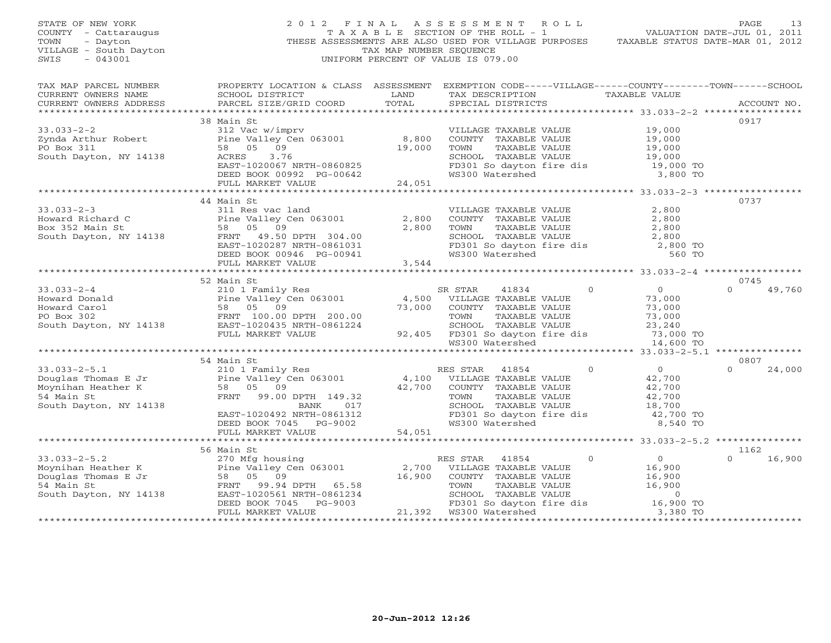| STATE OF NEW YORK<br>COUNTY - Cattaraugus<br>TOWN<br>- Dayton<br>VILLAGE - South Dayton<br>$-043001$<br>SWIS |                                                                                                                                                                                                                                                                                                                                                                                                                                                      | TAX MAP NUMBER SEOUENCE | 2012 FINAL ASSESSMENT ROLL<br>UNIFORM PERCENT OF VALUE IS 079.00                                                                                                       | PAGE<br>13<br>TAXABLE SECTION OF THE ROLL - 1 VALUATION DATE-JUL 01, 2011<br>THESE ASSESSMENTS ARE ALSO USED FOR VILLAGE PURPOSES TAXABLE STATUS DATE-MAR 01, 2012 |
|--------------------------------------------------------------------------------------------------------------|------------------------------------------------------------------------------------------------------------------------------------------------------------------------------------------------------------------------------------------------------------------------------------------------------------------------------------------------------------------------------------------------------------------------------------------------------|-------------------------|------------------------------------------------------------------------------------------------------------------------------------------------------------------------|--------------------------------------------------------------------------------------------------------------------------------------------------------------------|
| CURRENT OWNERS NAME<br>CURRENT OWNERS ADDRESS                                                                | SCHOOL DISTRICT<br><b>EXAMPLE SERVICE SERVICE SERVICE SERVICE SERVICE SERVICE SERVICE SERVICE SERVICE SERVICE SERVICE SERVICE SERVICE</b><br>PARCEL SIZE/GRID COORD                                                                                                                                                                                                                                                                                  | TOTAL                   | TAX DESCRIPTION TAXABLE VALUE<br>SPECIAL DISTRICTS                                                                                                                     | TAX MAP PARCEL NUMBER THE PROPERTY LOCATION & CLASS ASSESSMENT EXEMPTION CODE-----VILLAGE------COUNTY-------TOWN------SCHOOL<br>ACCOUNT NO.                        |
|                                                                                                              |                                                                                                                                                                                                                                                                                                                                                                                                                                                      |                         |                                                                                                                                                                        |                                                                                                                                                                    |
| PO Box 311<br>South Dayton, NY 14138                                                                         | 38 Main St<br>58 05 09<br>ACRES<br>3.76<br>ACRES 3.76<br>EAST-1020067 NRTH-0860825<br>DEED BOOK 00992 PG-00642<br>FULL MARKET VALUE 24,051                                                                                                                                                                                                                                                                                                           | 19,000<br>24,051        | VILLAGE TAXABLE VALUE<br>COUNTY TAXABLE VALUE<br>TOWN TAXABLE VALUE<br>SCHOOL TAXABLE VALUE 19,000<br>FD301 So dayton fire dis 19,000 TO<br>WS300 Watershed 3,800 TO   | 0917<br>19,000<br>19,000<br>19,000<br>10,000                                                                                                                       |
|                                                                                                              |                                                                                                                                                                                                                                                                                                                                                                                                                                                      |                         |                                                                                                                                                                        |                                                                                                                                                                    |
| $33.033 - 2 - 3$                                                                                             | 44 Main St<br>311 Res vac land<br>3.000 EAST 1020287 NRTH-0861031<br>Howard Richard C Pine Valley Cen 063001 2,800<br>Box 352 Main St 58 05 09<br>South Dayton, NY 14138 FRNT 49.50 DPTH 304.00<br>EAST-1020287 NRTH-0861031<br>DEED BOOK 00946 PG-00941<br>TULL MARKET VALU                                                                                                                                                                         |                         | VILLAGE TAXABLE VALUE<br>COUNTY TAXABLE VALUE<br>TOWN TAXABLE VALUE 2,800<br>SCHOOL TAXABLE VALUE 2,800<br>FD301 So dayton fire dis 2,800 TO<br>WS300 Watershed 560 TO | 0737<br>2,800                                                                                                                                                      |
|                                                                                                              |                                                                                                                                                                                                                                                                                                                                                                                                                                                      | 3,544                   |                                                                                                                                                                        |                                                                                                                                                                    |
|                                                                                                              |                                                                                                                                                                                                                                                                                                                                                                                                                                                      |                         |                                                                                                                                                                        |                                                                                                                                                                    |
|                                                                                                              |                                                                                                                                                                                                                                                                                                                                                                                                                                                      |                         |                                                                                                                                                                        | 0745                                                                                                                                                               |
|                                                                                                              |                                                                                                                                                                                                                                                                                                                                                                                                                                                      |                         |                                                                                                                                                                        | $\Omega$<br>49,760                                                                                                                                                 |
|                                                                                                              |                                                                                                                                                                                                                                                                                                                                                                                                                                                      |                         |                                                                                                                                                                        |                                                                                                                                                                    |
|                                                                                                              | 54 Main St                                                                                                                                                                                                                                                                                                                                                                                                                                           |                         |                                                                                                                                                                        | 0807                                                                                                                                                               |
|                                                                                                              | $\begin{tabular}{lllllllllllllllllll} 33.033-2-5.1 & 54 Main St & \text{RES STAR} & 41854 & 0 \\ \text{Douglas Thomas E Jr & \text{Pine Valley Cen 063001} & \text{4,100 VILLAGE TAXABLE VALUE \\ \text{Moynihan Heather K} & 58 05 09 \\ \text{Schömin Set} & \text{S4 Main St} & \text{FRNT} & 99.00 DPTH & 149.32 & \text{TOWN TAXABLE VALUE \\ \text{South Dayton, NY 14138} & \text{BANK} & 017 & \text{SCHOOL TAXABLE VALUE \\ \text{EAST}-10$ |                         | FD301 So dayton fire dis<br>WS300 Watershed                                                                                                                            | $0\ \begin{array}{c} 0 \ 42\, ,700 \ 42\, ,700 \ 42\, ,700 \ 18\, ,700 \end{array}$<br>24,000<br>$\Omega$<br>42,700 TO<br>8,540 TO                                 |
|                                                                                                              |                                                                                                                                                                                                                                                                                                                                                                                                                                                      |                         |                                                                                                                                                                        |                                                                                                                                                                    |
|                                                                                                              |                                                                                                                                                                                                                                                                                                                                                                                                                                                      |                         |                                                                                                                                                                        |                                                                                                                                                                    |
|                                                                                                              | 33.033-2-5.2<br>Moynihan Heather K<br>Douglas Thomas E Jr<br>Sa (1890 OUNTY TAXABLE VALUE)<br>Douglas Thomas E Jr<br>Sa (1890 OUNTY TAXABLE VALUE)<br>Sa (16,900 COUNTY TAXABLE VALUE)<br>Sa (16,900 OUNTY TAXABLE VALUE)<br>South Dayton, NY                                                                                                                                                                                                        |                         |                                                                                                                                                                        | 1162<br>$\Omega$<br>16,900                                                                                                                                         |
|                                                                                                              |                                                                                                                                                                                                                                                                                                                                                                                                                                                      |                         |                                                                                                                                                                        |                                                                                                                                                                    |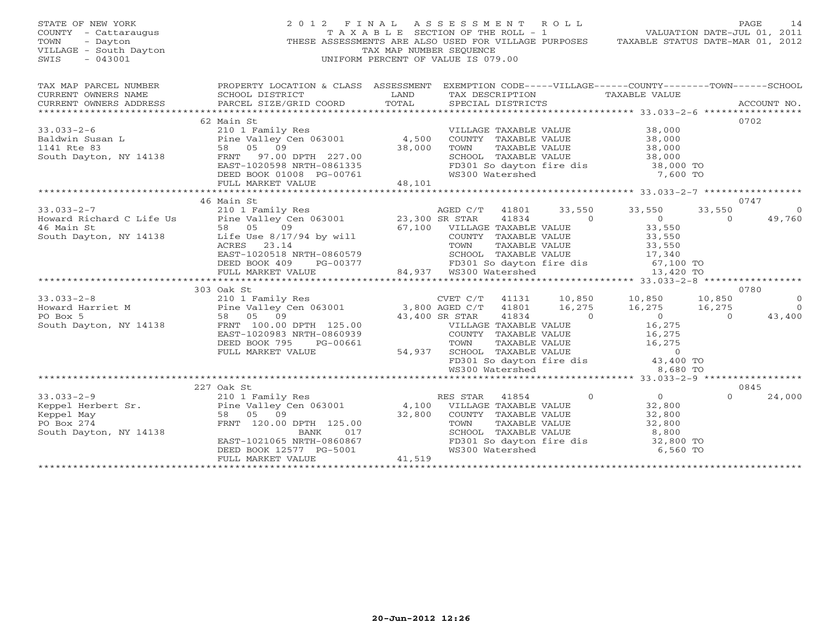| STATE OF NEW YORK<br>COUNTY - Cattaraugus<br>- Dayton<br>TOWN<br>VILLAGE - South Dayton<br>$-043001$<br>SWIS | 2012 FINAL                                                                                         |        | A S S E S S M E N T A O L L<br>TAX MAP NUMBER SEOUENCE<br>UNIFORM PERCENT OF VALUE IS 079.00 |                                             | TAXABLE SECTION OF THE ROLL - 1 VALUATION DATE-JUL 01, 2011<br>THESE ASSESSMENTS ARE ALSO USED FOR VILLAGE PURPOSES TAXABLE STATUS DATE-MAR 01, 2012 |                    | PAGE<br>14         |
|--------------------------------------------------------------------------------------------------------------|----------------------------------------------------------------------------------------------------|--------|----------------------------------------------------------------------------------------------|---------------------------------------------|------------------------------------------------------------------------------------------------------------------------------------------------------|--------------------|--------------------|
| TAX MAP PARCEL NUMBER                                                                                        | PROPERTY LOCATION & CLASS ASSESSMENT EXEMPTION CODE-----VILLAGE------COUNTY-------TOWN------SCHOOL |        |                                                                                              |                                             |                                                                                                                                                      |                    |                    |
| CURRENT OWNERS NAME                                                                                          | SCHOOL DISTRICT                                                                                    | LAND   |                                                                                              |                                             | TAX DESCRIPTION TAXABLE VALUE                                                                                                                        |                    |                    |
| CURRENT OWNERS ADDRESS                                                                                       | PARCEL SIZE/GRID COORD                                                                             | TOTAL  | SPECIAL DISTRICTS                                                                            |                                             |                                                                                                                                                      |                    | ACCOUNT NO.        |
|                                                                                                              | 62 Main St                                                                                         |        |                                                                                              |                                             |                                                                                                                                                      |                    | 0702               |
| $33.033 - 2 - 6$                                                                                             | 210 1 Family Res                                                                                   |        |                                                                                              | VILLAGE TAXABLE VALUE                       | 38,000                                                                                                                                               |                    |                    |
| Baldwin Susan L                                                                                              | Pine Valley Cen 063001 4,500                                                                       |        |                                                                                              | COUNTY TAXABLE VALUE                        | $38,000$<br>$38,000$                                                                                                                                 |                    |                    |
| 1141 Rte 83                                                                                                  | 58 05 09                                                                                           | 38,000 | TOWN                                                                                         | TAXABLE VALUE                               |                                                                                                                                                      |                    |                    |
| South Dayton, NY 14138 FRNT 97.00 DPTH 227.00                                                                |                                                                                                    |        |                                                                                              |                                             |                                                                                                                                                      |                    |                    |
|                                                                                                              | EAST-1020598 NRTH-0861335                                                                          |        |                                                                                              |                                             |                                                                                                                                                      |                    |                    |
|                                                                                                              | DEED BOOK 01008 PG-00761<br>FULL MARKET VALUE 48,101                                               |        | WS300 Watershed                                                                              |                                             |                                                                                                                                                      | 7,600 TO           |                    |
|                                                                                                              |                                                                                                    | 48,101 |                                                                                              |                                             |                                                                                                                                                      |                    |                    |
|                                                                                                              | 46 Main St                                                                                         |        |                                                                                              |                                             |                                                                                                                                                      |                    | 0747               |
| $33.033 - 2 - 7$                                                                                             |                                                                                                    |        | AGED C/T                                                                                     | 41801                                       | 33,550<br>33,550                                                                                                                                     | 33,550             | $\circ$            |
| Howard Richard C Life Us                                                                                     | 210 1 Family Res<br>Pine Valley Cen 063001 23,300 SR STAR<br>58 05 06                              |        |                                                                                              | $\sim$ 0<br>41834                           | $\sim$ 0                                                                                                                                             | $\Omega$           | 49,760             |
| 46 Main St                                                                                                   | 58 05<br>09                                                                                        |        | 67,100 VILLAGE TAXABLE VALUE                                                                 |                                             | 33,550                                                                                                                                               |                    |                    |
| South Dayton, NY 14138                                                                                       | Life Use $8/17/94$ by will                                                                         |        |                                                                                              | COUNTY TAXABLE VALUE                        | 33,550<br>33,550                                                                                                                                     |                    |                    |
|                                                                                                              | ACRES 23.14                                                                                        |        | TOWN                                                                                         | TAXABLE VALUE                               |                                                                                                                                                      |                    |                    |
|                                                                                                              | EAST-1020518 NRTH-0860579                                                                          |        |                                                                                              | SCHOOL TAXABLE VALUE                        | 33,550<br>17,340                                                                                                                                     |                    |                    |
|                                                                                                              | DEED BOOK 409<br>PG-00377                                                                          |        |                                                                                              | FD301 So dayton fire dis<br>WS300 Watershed |                                                                                                                                                      | 67,100 TO          |                    |
|                                                                                                              | FULL MARKET VALUE                                                                                  |        | 84,937 WS300 Watershed                                                                       |                                             |                                                                                                                                                      | 13,420 TO          |                    |
|                                                                                                              |                                                                                                    |        |                                                                                              |                                             |                                                                                                                                                      |                    |                    |
|                                                                                                              | 303 Oak St                                                                                         |        |                                                                                              |                                             |                                                                                                                                                      |                    | 0780               |
| $33.033 - 2 - 8$                                                                                             |                                                                                                    |        |                                                                                              | 41131                                       | 10,850<br>10,850                                                                                                                                     | 10,850             | $\circ$            |
| Howard Harriet M<br>PO Box 5                                                                                 |                                                                                                    |        |                                                                                              | 41801<br>$\overline{0}$<br>41834            | 16,275<br>16,275<br>$\overline{0}$                                                                                                                   | 16,275<br>$\Omega$ | $\Omega$<br>43,400 |
| South Dayton, NY 14138                                                                                       | 58 05 09<br>FRNT 100.00 DPTH 125.00                                                                |        | 43,400 SR STAR                                                                               | VILLAGE TAXABLE VALUE                       | 16,275                                                                                                                                               |                    |                    |
|                                                                                                              | EAST-1020983 NRTH-0860939                                                                          |        |                                                                                              | COUNTY TAXABLE VALUE                        |                                                                                                                                                      |                    |                    |
|                                                                                                              | PG-00661<br>DEED BOOK 795                                                                          |        | TOWN                                                                                         | TAXABLE VALUE                               |                                                                                                                                                      |                    |                    |
|                                                                                                              | FULL MARKET VALUE                                                                                  | 54,937 |                                                                                              | SCHOOL TAXABLE VALUE                        | $\begin{array}{c} 10,275 \\ 16,275 \\ 16,275 \end{array}$<br>$\begin{array}{c} 16,275 \\ 16,275 \end{array}$                                         |                    |                    |
|                                                                                                              |                                                                                                    |        |                                                                                              |                                             |                                                                                                                                                      |                    |                    |
|                                                                                                              |                                                                                                    |        |                                                                                              |                                             | FD301 So dayton fire dis<br>WS300 Watershed 8.680 TO                                                                                                 |                    |                    |
|                                                                                                              |                                                                                                    |        |                                                                                              |                                             |                                                                                                                                                      |                    |                    |
|                                                                                                              | 227 Oak St                                                                                         |        |                                                                                              |                                             |                                                                                                                                                      |                    | 0845               |
| $33.033 - 2 - 9$                                                                                             | 210 1 Family Res<br>210 1 Family Res<br>Pine Valley Cen 063001 4,100 VILLAGE TAXABLE VALUE         |        |                                                                                              |                                             | $\Omega$<br>$\overline{O}$                                                                                                                           | $\Omega$           | 24,000             |
| 33.033-2-9<br>Keppel Herbert Sr.<br>Keppel May                                                               |                                                                                                    |        |                                                                                              |                                             | 32,800                                                                                                                                               |                    |                    |
|                                                                                                              | 58 05 09                                                                                           | 32,800 |                                                                                              | COUNTY TAXABLE VALUE                        | 32,800                                                                                                                                               |                    |                    |
| PO Box 274                                                                                                   | FRNT 120.00 DPTH 125.00<br>BANK<br>017                                                             |        | TOWN                                                                                         | TAXABLE VALUE<br>SCHOOL TAXABLE VALUE       | 32,800                                                                                                                                               |                    |                    |
| South Dayton, NY 14138                                                                                       | EAST-1021065 NRTH-0860867                                                                          |        |                                                                                              | FD301 So dayton fire dis                    | 8,800<br>32,800 TO                                                                                                                                   |                    |                    |
|                                                                                                              | DEED BOOK 12577 PG-5001                                                                            |        | WS300 Watershed                                                                              |                                             |                                                                                                                                                      | 6,560 TO           |                    |
|                                                                                                              | FULL MARKET VALUE                                                                                  | 41,519 |                                                                                              |                                             |                                                                                                                                                      |                    |                    |
|                                                                                                              |                                                                                                    |        |                                                                                              |                                             |                                                                                                                                                      |                    |                    |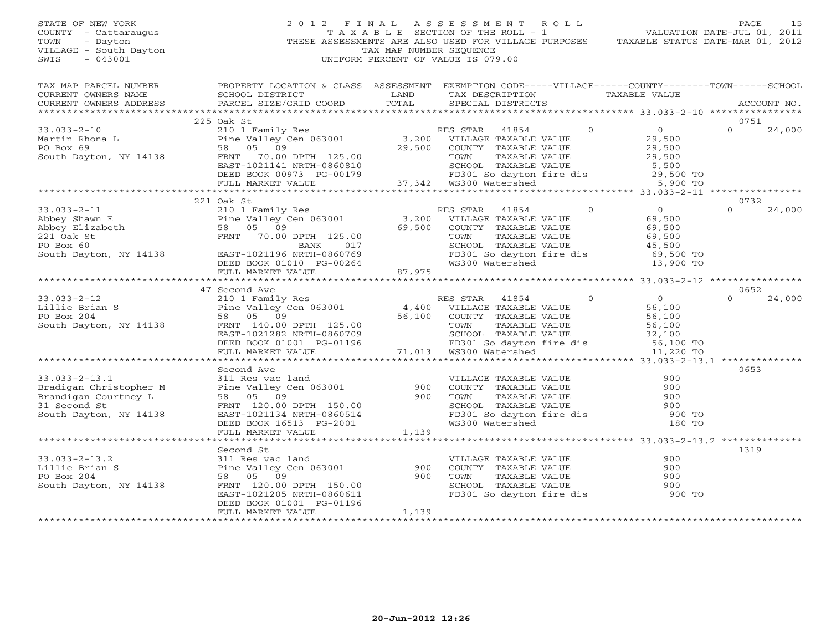#### STATE OF NEW YORK 2 0 1 2 F I N A L A S S E S S M E N T R O L L PAGE 15 COUNTY - Cattaraugus T A X A B L E SECTION OF THE ROLL - 1 VALUATION DATE-JUL 01, 2011 TOWN - Dayton - Dayton 1999<br>
THESE ASSESSMENTS ARE ALSO USED FOR VILLAGE PURPOSES TAXABLE STATUS DATE-MAR 01, 2012<br>
TAX MAP NUMBER SEQUENCE VILLAGE - South Dayton TAX MAP NUMBER SEQUENCE<br>SWIS - 043001 SWIS - 043001 UNIFORM PERCENT OF VALUE IS 079.00

| TAX MAP PARCEL NUMBER                                                                                                                                                                                                                                  | PROPERTY LOCATION & CLASS ASSESSMENT EXEMPTION CODE-----VILLAGE------COUNTY-------TOWN------SCHOOL                                                                                                                                       |        |                                                                                                          |                      |                                                |          |             |
|--------------------------------------------------------------------------------------------------------------------------------------------------------------------------------------------------------------------------------------------------------|------------------------------------------------------------------------------------------------------------------------------------------------------------------------------------------------------------------------------------------|--------|----------------------------------------------------------------------------------------------------------|----------------------|------------------------------------------------|----------|-------------|
|                                                                                                                                                                                                                                                        |                                                                                                                                                                                                                                          | LAND   | TAX DESCRIPTION TAXABLE VALUE                                                                            |                      |                                                |          |             |
|                                                                                                                                                                                                                                                        |                                                                                                                                                                                                                                          | TOTAL  | SPECIAL DISTRICTS                                                                                        |                      |                                                |          | ACCOUNT NO. |
|                                                                                                                                                                                                                                                        |                                                                                                                                                                                                                                          |        |                                                                                                          |                      |                                                |          |             |
|                                                                                                                                                                                                                                                        | 225 Oak St                                                                                                                                                                                                                               |        |                                                                                                          |                      |                                                | 0751     |             |
| $33.033 - 2 - 10$                                                                                                                                                                                                                                      | 210 1 Family Res<br>Pine Valley Cen 063001 3,200 VILLAGE TAXABLE VALUE<br>58 05 09 29,500 COUNTY TAXABLE VALUE                                                                                                                           |        |                                                                                                          | $\overline{0}$       | $\begin{array}{c} 0 \\ 2^{\alpha} \end{array}$ | $\Omega$ | 24,000      |
|                                                                                                                                                                                                                                                        |                                                                                                                                                                                                                                          |        |                                                                                                          |                      |                                                |          |             |
| 9.0001 Exercise 10 Exercise 2.10 Exercise 2.11 Phone 2.11 Exercise 2.11 Pine Valley Cen 063001<br>PO Box 69 58 05 09<br>South Dayton, NY 14138 FRNT 70.00 DPTH 125.00                                                                                  |                                                                                                                                                                                                                                          |        | 29,500 COUNTY TAXABLE VALUE                                                                              |                      | 29,500<br>29,500                               |          |             |
|                                                                                                                                                                                                                                                        |                                                                                                                                                                                                                                          |        | TAXABLE VALUE<br>TOWN                                                                                    |                      |                                                |          |             |
|                                                                                                                                                                                                                                                        |                                                                                                                                                                                                                                          |        | SCHOOL TAXABLE VALUE<br>FD301 So dayton fire dis<br>WS300 Watershed 5,900 TO<br>WS300 Watershed 5,900 TO |                      |                                                |          |             |
|                                                                                                                                                                                                                                                        |                                                                                                                                                                                                                                          |        |                                                                                                          |                      |                                                |          |             |
|                                                                                                                                                                                                                                                        | EAST-1021141 NRTH-0860810<br>DEED BOOK 00973 PG-00179 737,342 WS300 Watershed<br>FULL MARKET VALUE 77,342 WS300 Watershed                                                                                                                |        |                                                                                                          |                      |                                                |          |             |
|                                                                                                                                                                                                                                                        |                                                                                                                                                                                                                                          |        |                                                                                                          |                      |                                                |          |             |
|                                                                                                                                                                                                                                                        | 221 Oak St                                                                                                                                                                                                                               |        |                                                                                                          |                      |                                                | 0732     |             |
| $33.033 - 2 - 11$                                                                                                                                                                                                                                      | 210 1 Family Res                                                                                                                                                                                                                         |        | RES STAR 41854                                                                                           | $\overline{0}$ 0     |                                                | $\Omega$ | 24,000      |
| Abbey Shawn E<br>Abbey Shawn E<br>Abbey Shawn E<br>221 Oak Strapeth<br>221 Oak Strapeth<br>221 Oak Strapeth<br>221 Oak Strapeth<br>221 Oak Strapeth<br>221 Oak Strapeth<br>221 Oak Strapeth<br>221 Oak Strapeth<br>221 Oak Strapeth<br>221 Oak Strapet |                                                                                                                                                                                                                                          |        |                                                                                                          | $69,500$<br>$69,500$ |                                                |          |             |
|                                                                                                                                                                                                                                                        |                                                                                                                                                                                                                                          |        | COUNTY TAXABLE VALUE                                                                                     |                      |                                                |          |             |
|                                                                                                                                                                                                                                                        |                                                                                                                                                                                                                                          |        |                                                                                                          | $69,500$<br>$45,500$ |                                                |          |             |
|                                                                                                                                                                                                                                                        |                                                                                                                                                                                                                                          |        |                                                                                                          |                      |                                                |          |             |
|                                                                                                                                                                                                                                                        |                                                                                                                                                                                                                                          |        | FD301 So dayton fire dis 69,500 TO<br>WS300 Watershed 13,900 TO                                          |                      |                                                |          |             |
|                                                                                                                                                                                                                                                        |                                                                                                                                                                                                                                          |        |                                                                                                          |                      |                                                |          |             |
|                                                                                                                                                                                                                                                        | FULL MARKET VALUE                                                                                                                                                                                                                        | 87,975 |                                                                                                          |                      |                                                |          |             |
|                                                                                                                                                                                                                                                        |                                                                                                                                                                                                                                          |        |                                                                                                          |                      |                                                |          |             |
|                                                                                                                                                                                                                                                        | 47 Second Ave                                                                                                                                                                                                                            |        |                                                                                                          |                      |                                                | 0652     |             |
| $33.033 - 2 - 12$                                                                                                                                                                                                                                      |                                                                                                                                                                                                                                          |        |                                                                                                          |                      |                                                | $\Omega$ | 24,000      |
| Lillie Brian S<br>Pine Valley Cen 063001<br>PO Box 204<br>South Dayton, NY 14138<br>FRNT 140.00 DPTH 125.00                                                                                                                                            |                                                                                                                                                                                                                                          |        |                                                                                                          |                      |                                                |          |             |
|                                                                                                                                                                                                                                                        |                                                                                                                                                                                                                                          |        |                                                                                                          |                      |                                                |          |             |
|                                                                                                                                                                                                                                                        |                                                                                                                                                                                                                                          |        |                                                                                                          |                      |                                                |          |             |
|                                                                                                                                                                                                                                                        |                                                                                                                                                                                                                                          |        |                                                                                                          |                      |                                                |          |             |
|                                                                                                                                                                                                                                                        | Vecond Ave and Ave and Ave and Ave and Ave and Ave and Ave and Ave and Ave and Ave and Ave and Ave and Ave and Ave and Ave and Ave and Ave and Ave and Ave and Ave and Ave and Text of the Maxable Value of the Maxable Value            |        |                                                                                                          |                      |                                                |          |             |
|                                                                                                                                                                                                                                                        |                                                                                                                                                                                                                                          |        |                                                                                                          |                      |                                                |          |             |
|                                                                                                                                                                                                                                                        |                                                                                                                                                                                                                                          |        |                                                                                                          |                      |                                                |          |             |
|                                                                                                                                                                                                                                                        | Second Ave                                                                                                                                                                                                                               |        |                                                                                                          |                      |                                                | 0653     |             |
| $33.033 - 2 - 13.1$                                                                                                                                                                                                                                    |                                                                                                                                                                                                                                          |        |                                                                                                          |                      |                                                |          |             |
|                                                                                                                                                                                                                                                        |                                                                                                                                                                                                                                          |        |                                                                                                          |                      |                                                |          |             |
| Bradigan Christopher M<br>Bradigan Courtney L                                                                                                                                                                                                          |                                                                                                                                                                                                                                          |        |                                                                                                          |                      |                                                |          |             |
| 31 Second St                                                                                                                                                                                                                                           |                                                                                                                                                                                                                                          |        |                                                                                                          |                      |                                                |          |             |
| South Dayton, NY 14138                                                                                                                                                                                                                                 | 311 Res vac land<br>Pine Valley Cen 063001 900 COUNTY TAXABLE VALUE 900<br>58 05 09 900 TOWN TAXABLE VALUE 900<br>FRNT 120.00 DPTH 150.00<br>EAST-1021134 NRTH-0860514 FD301 So dayton fire dis<br>DEED BOOK 16513 PG-2001 WS300 Watersh |        |                                                                                                          |                      |                                                |          |             |
|                                                                                                                                                                                                                                                        |                                                                                                                                                                                                                                          |        |                                                                                                          |                      |                                                |          |             |
|                                                                                                                                                                                                                                                        | FULL MARKET VALUE                                                                                                                                                                                                                        | 1,139  |                                                                                                          |                      |                                                |          |             |
|                                                                                                                                                                                                                                                        |                                                                                                                                                                                                                                          |        |                                                                                                          |                      |                                                |          |             |
|                                                                                                                                                                                                                                                        | Second St                                                                                                                                                                                                                                |        |                                                                                                          |                      |                                                | 1319     |             |
| $33.033 - 2 - 13.2$                                                                                                                                                                                                                                    | 311 Res vac land                                                                                                                                                                                                                         |        | VILLAGE TAXABLE VALUE                                                                                    |                      | 900                                            |          |             |
| Lillie Brian S                                                                                                                                                                                                                                         | Pine Valley Cen 063001                                                                                                                                                                                                                   | 900    | COUNTY TAXABLE VALUE                                                                                     |                      | 900                                            |          |             |
| PO Box 204                                                                                                                                                                                                                                             | 58 05 09                                                                                                                                                                                                                                 | 900    | TOWN     TAXABLE VALUE<br>SCHOOL   TAXABLE VALUE<br>FD301 So dayton fire dis                             |                      | 900                                            |          |             |
| South Dayton, NY 14138                                                                                                                                                                                                                                 | FRNT 120.00 DPTH 150.00                                                                                                                                                                                                                  |        |                                                                                                          |                      | 900                                            |          |             |
|                                                                                                                                                                                                                                                        | EAST-1021205 NRTH-0860611                                                                                                                                                                                                                |        |                                                                                                          |                      | 900 TO                                         |          |             |
|                                                                                                                                                                                                                                                        | DEED BOOK 01001 PG-01196                                                                                                                                                                                                                 |        |                                                                                                          |                      |                                                |          |             |
|                                                                                                                                                                                                                                                        | FULL MARKET VALUE                                                                                                                                                                                                                        | 1,139  |                                                                                                          |                      |                                                |          |             |
|                                                                                                                                                                                                                                                        |                                                                                                                                                                                                                                          |        |                                                                                                          |                      |                                                |          |             |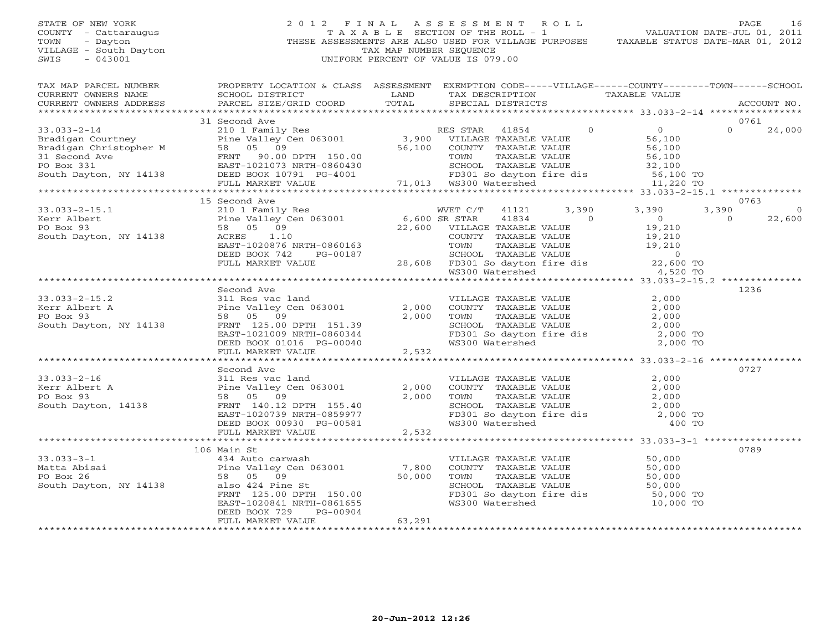STATE OF NEW YORK 2 0 1 2 F I N A L A S S E S S M E N T R O L L PAGE 16COUNTY - Cattaraugus T A X A B L E SECTION OF THE ROLL - 1 VALUATION DATE-JUL 01, 2011 THESE ASSESSMENTS ARE ALSO USED FOR VILLAGE PURPOSES VILLAGE - South Dayton TAX MAP NUMBER SEQUENCE<br>SWIS - 043001 UNIFORM PERCENT OF VALUE IS 079.00

TAX MAP PARCEL NUMBER PROPERTY LOCATION & CLASS ASSESSMENT EXEMPTION CODE-----VILLAGE------COUNTY--------TOWN------SCHOOL

CURRENT OWNERS NAME CURRENT SCHOOL DISTRICT CURRENT LAND TAX DESCRIPTION TAXABLE VALUE

VALUATION DATE-JUL 01, 2011

| CURRENT OWNERS ADDRESS | PARCEL SIZE/GRID COORD                                                                                                                                                                                                                                                                                                                                                                                                    | TOTAL  | SPECIAL DISTRICTS |                                                                                                                                                                                                                                                                                                                                     |                                                                                                                                                               |          | ACCOUNT NO. |
|------------------------|---------------------------------------------------------------------------------------------------------------------------------------------------------------------------------------------------------------------------------------------------------------------------------------------------------------------------------------------------------------------------------------------------------------------------|--------|-------------------|-------------------------------------------------------------------------------------------------------------------------------------------------------------------------------------------------------------------------------------------------------------------------------------------------------------------------------------|---------------------------------------------------------------------------------------------------------------------------------------------------------------|----------|-------------|
|                        |                                                                                                                                                                                                                                                                                                                                                                                                                           |        |                   |                                                                                                                                                                                                                                                                                                                                     |                                                                                                                                                               |          |             |
|                        | 31 Second Ave<br>$\begin{array}{cccccccc} 33.033-2-14 & 31\, \text{Second year} \\ \text{Bradigan} \text{ Courtney} & 210 & 1\, \text{Family Res} \\ \text{Bradigan} \text{Christopher M} & 56\, \text{100} \\ 31.900 & 24\, \text{000} \\ \text{Bradigan} \text{ Christopher M} & 58 & 05 & 09 \\ 31.900 & 3.900 & \text{VILLAGE} \text{ TAXABLE VALUE} & 56, 100 \\ 31.900 & 56, 100 & 56, 100 \\ 32.900 & 3.9$         |        |                   |                                                                                                                                                                                                                                                                                                                                     |                                                                                                                                                               |          | 0761        |
|                        |                                                                                                                                                                                                                                                                                                                                                                                                                           |        |                   |                                                                                                                                                                                                                                                                                                                                     |                                                                                                                                                               |          |             |
|                        |                                                                                                                                                                                                                                                                                                                                                                                                                           |        |                   |                                                                                                                                                                                                                                                                                                                                     |                                                                                                                                                               |          |             |
|                        |                                                                                                                                                                                                                                                                                                                                                                                                                           |        |                   |                                                                                                                                                                                                                                                                                                                                     |                                                                                                                                                               |          |             |
|                        |                                                                                                                                                                                                                                                                                                                                                                                                                           |        |                   |                                                                                                                                                                                                                                                                                                                                     |                                                                                                                                                               |          |             |
|                        |                                                                                                                                                                                                                                                                                                                                                                                                                           |        |                   |                                                                                                                                                                                                                                                                                                                                     |                                                                                                                                                               |          |             |
|                        |                                                                                                                                                                                                                                                                                                                                                                                                                           |        |                   |                                                                                                                                                                                                                                                                                                                                     |                                                                                                                                                               |          |             |
|                        |                                                                                                                                                                                                                                                                                                                                                                                                                           |        |                   |                                                                                                                                                                                                                                                                                                                                     |                                                                                                                                                               |          |             |
|                        |                                                                                                                                                                                                                                                                                                                                                                                                                           |        |                   |                                                                                                                                                                                                                                                                                                                                     |                                                                                                                                                               |          |             |
|                        | $\begin{tabular}{lllllllllllllllllllll} \text{\small{5.5\textwidth}{{\small 5.5\textwidth}}\begin{tabular}{lllllllllllllllllllllllll} \text{\small{7.5\textwidth}{{\small 5.5\textwidth}}}&\text{15.8\textwidth}{{\small 5.5\textwidth}}&\text{210 1 Family Res}&\text{WET C/T}&\text{41121}&\text{3,390}&\text{3,390}&\text{3,390}&\text{3,390}&\text{3,390}&\text{3,390}&\text{3,390}&\text{3,390}&\text{3,390}&\text{$ |        |                   |                                                                                                                                                                                                                                                                                                                                     |                                                                                                                                                               |          | 0763        |
|                        |                                                                                                                                                                                                                                                                                                                                                                                                                           |        |                   |                                                                                                                                                                                                                                                                                                                                     |                                                                                                                                                               | 3,390    |             |
|                        |                                                                                                                                                                                                                                                                                                                                                                                                                           |        |                   |                                                                                                                                                                                                                                                                                                                                     |                                                                                                                                                               | $\Omega$ | 22,600      |
|                        |                                                                                                                                                                                                                                                                                                                                                                                                                           |        |                   |                                                                                                                                                                                                                                                                                                                                     |                                                                                                                                                               |          |             |
|                        |                                                                                                                                                                                                                                                                                                                                                                                                                           |        |                   |                                                                                                                                                                                                                                                                                                                                     |                                                                                                                                                               |          |             |
|                        |                                                                                                                                                                                                                                                                                                                                                                                                                           |        |                   |                                                                                                                                                                                                                                                                                                                                     |                                                                                                                                                               |          |             |
|                        |                                                                                                                                                                                                                                                                                                                                                                                                                           |        |                   |                                                                                                                                                                                                                                                                                                                                     |                                                                                                                                                               |          |             |
|                        |                                                                                                                                                                                                                                                                                                                                                                                                                           |        |                   |                                                                                                                                                                                                                                                                                                                                     |                                                                                                                                                               |          |             |
|                        |                                                                                                                                                                                                                                                                                                                                                                                                                           |        |                   |                                                                                                                                                                                                                                                                                                                                     |                                                                                                                                                               |          |             |
|                        |                                                                                                                                                                                                                                                                                                                                                                                                                           |        |                   |                                                                                                                                                                                                                                                                                                                                     |                                                                                                                                                               |          |             |
|                        | Second Ave                                                                                                                                                                                                                                                                                                                                                                                                                |        |                   |                                                                                                                                                                                                                                                                                                                                     |                                                                                                                                                               |          | 1236        |
|                        |                                                                                                                                                                                                                                                                                                                                                                                                                           |        |                   |                                                                                                                                                                                                                                                                                                                                     | 2,000                                                                                                                                                         |          |             |
|                        |                                                                                                                                                                                                                                                                                                                                                                                                                           |        |                   |                                                                                                                                                                                                                                                                                                                                     |                                                                                                                                                               |          |             |
|                        |                                                                                                                                                                                                                                                                                                                                                                                                                           |        |                   |                                                                                                                                                                                                                                                                                                                                     | 2,000                                                                                                                                                         |          |             |
|                        |                                                                                                                                                                                                                                                                                                                                                                                                                           |        |                   |                                                                                                                                                                                                                                                                                                                                     | 2,000                                                                                                                                                         |          |             |
|                        |                                                                                                                                                                                                                                                                                                                                                                                                                           |        |                   |                                                                                                                                                                                                                                                                                                                                     | SCHOOL TAXABLE VALUE $2,000$<br>FD301 So dayton fire dis $2,000$ TO<br>WS300 Watershed $2,000$ TO                                                             |          |             |
|                        |                                                                                                                                                                                                                                                                                                                                                                                                                           |        |                   |                                                                                                                                                                                                                                                                                                                                     |                                                                                                                                                               |          |             |
|                        |                                                                                                                                                                                                                                                                                                                                                                                                                           |        |                   |                                                                                                                                                                                                                                                                                                                                     |                                                                                                                                                               |          |             |
|                        |                                                                                                                                                                                                                                                                                                                                                                                                                           |        |                   |                                                                                                                                                                                                                                                                                                                                     |                                                                                                                                                               |          |             |
|                        |                                                                                                                                                                                                                                                                                                                                                                                                                           |        |                   |                                                                                                                                                                                                                                                                                                                                     |                                                                                                                                                               |          |             |
|                        | Second Ave                                                                                                                                                                                                                                                                                                                                                                                                                |        |                   |                                                                                                                                                                                                                                                                                                                                     |                                                                                                                                                               |          | 0727        |
| $33.033 - 2 - 16$      |                                                                                                                                                                                                                                                                                                                                                                                                                           |        |                   | VILLAGE TAXABLE VALUE 2,000                                                                                                                                                                                                                                                                                                         |                                                                                                                                                               |          |             |
| Kerr Albert A          | 311 Res vac land<br>Pine Valley Cen 063001<br>58 05 09                                                                                                                                                                                                                                                                                                                                                                    |        |                   | $\begin{tabular}{lllllllll} 2,000 & \multicolumn{3}{l}{{\bf COUNTY}} & \multicolumn{3}{l}{\bf TAXABLE} & \multicolumn{3}{l}{\bf VALUE} & & \multicolumn{3}{l}{\bf 2,000} \\ 2,000 & \multicolumn{3}{l}{\bf Town} & \multicolumn{3}{l}{\bf TAXABLE} & \multicolumn{3}{l}{\bf VALUE} & & \multicolumn{3}{l}{\bf 2,000} \end{tabular}$ |                                                                                                                                                               |          |             |
| PO Box 93              |                                                                                                                                                                                                                                                                                                                                                                                                                           |        |                   |                                                                                                                                                                                                                                                                                                                                     |                                                                                                                                                               |          |             |
|                        | South Dayton, 14138 FRNT 140.12 DPTH 155.40                                                                                                                                                                                                                                                                                                                                                                               |        |                   |                                                                                                                                                                                                                                                                                                                                     |                                                                                                                                                               |          |             |
|                        |                                                                                                                                                                                                                                                                                                                                                                                                                           |        |                   |                                                                                                                                                                                                                                                                                                                                     |                                                                                                                                                               |          |             |
|                        |                                                                                                                                                                                                                                                                                                                                                                                                                           |        |                   |                                                                                                                                                                                                                                                                                                                                     | SCHOOL TAXABLE VALUE 2,000<br>FD301 So dayton fire dis 2,000 TO<br>WS300 Watershed 400 TO                                                                     |          |             |
|                        |                                                                                                                                                                                                                                                                                                                                                                                                                           |        |                   |                                                                                                                                                                                                                                                                                                                                     |                                                                                                                                                               |          |             |
|                        |                                                                                                                                                                                                                                                                                                                                                                                                                           |        |                   |                                                                                                                                                                                                                                                                                                                                     |                                                                                                                                                               |          |             |
|                        | 106 Main St                                                                                                                                                                                                                                                                                                                                                                                                               |        |                   |                                                                                                                                                                                                                                                                                                                                     |                                                                                                                                                               |          | 0789        |
|                        |                                                                                                                                                                                                                                                                                                                                                                                                                           |        |                   |                                                                                                                                                                                                                                                                                                                                     |                                                                                                                                                               |          |             |
|                        |                                                                                                                                                                                                                                                                                                                                                                                                                           |        |                   |                                                                                                                                                                                                                                                                                                                                     |                                                                                                                                                               |          |             |
|                        |                                                                                                                                                                                                                                                                                                                                                                                                                           |        |                   |                                                                                                                                                                                                                                                                                                                                     |                                                                                                                                                               |          |             |
|                        |                                                                                                                                                                                                                                                                                                                                                                                                                           |        |                   |                                                                                                                                                                                                                                                                                                                                     |                                                                                                                                                               |          |             |
|                        |                                                                                                                                                                                                                                                                                                                                                                                                                           |        |                   |                                                                                                                                                                                                                                                                                                                                     |                                                                                                                                                               |          |             |
|                        | FRNT 125.00 DPTH 150.00                                                                                                                                                                                                                                                                                                                                                                                                   |        |                   |                                                                                                                                                                                                                                                                                                                                     | VILLAGE TAXABLE VALUE 50,000<br>COUNTY TAXABLE VALUE 50,000<br>TOWN TAXABLE VALUE 50,000<br>SCHOOL TAXABLE VALUE 50,000<br>FD301 So dayton fire dis 50,000 TO |          |             |
|                        | EAST-1020841 NRTH-0861655                                                                                                                                                                                                                                                                                                                                                                                                 |        |                   | WS300 Watershed                                                                                                                                                                                                                                                                                                                     | 10,000 TO                                                                                                                                                     |          |             |
|                        | DEED BOOK 729<br>PG-00904                                                                                                                                                                                                                                                                                                                                                                                                 |        |                   |                                                                                                                                                                                                                                                                                                                                     |                                                                                                                                                               |          |             |
|                        | FULL MARKET VALUE                                                                                                                                                                                                                                                                                                                                                                                                         | 63,291 |                   |                                                                                                                                                                                                                                                                                                                                     |                                                                                                                                                               |          |             |
|                        |                                                                                                                                                                                                                                                                                                                                                                                                                           |        |                   |                                                                                                                                                                                                                                                                                                                                     |                                                                                                                                                               |          |             |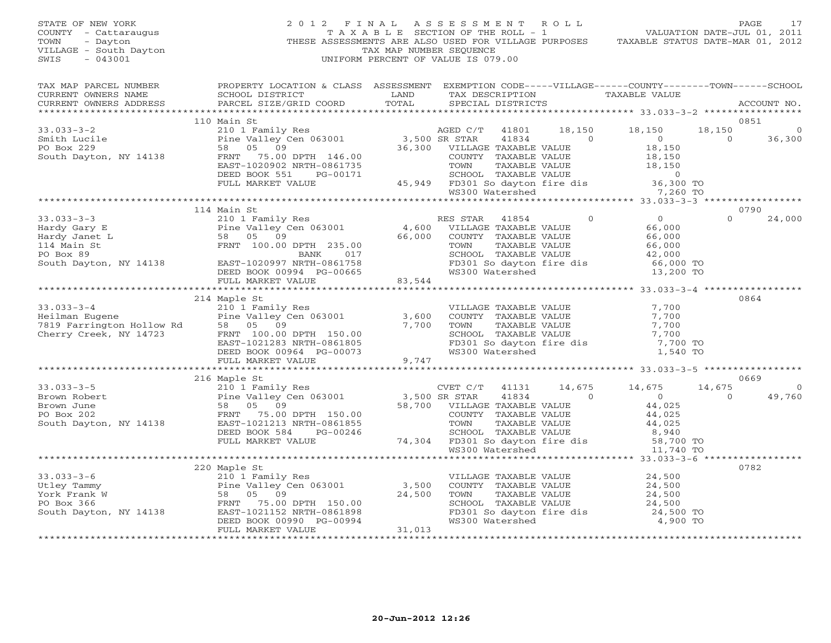| $\begin{tabular}{lllllllllllll} \multicolumn{3}{c}{STATE} & \multicolumn{3}{c}{0F} & \multicolumn{3}{c}{NEW} & \multicolumn{3}{c}{0F} & \multicolumn{3}{c}{0F} & \multicolumn{3}{c}{0F} & \multicolumn{3}{c}{0F} & \multicolumn{3}{c}{0F} & \multicolumn{3}{c}{0F} & \multicolumn{3}{c}{0F} & \multicolumn{3}{c}{0F} & \multicolumn{3}{c}{0F} & \multicolumn{3}{c}{0F} & \multicolumn{3}{c}{0F} & \multicolumn{3}{c}{0F} & \multicolumn{3}{c}{0F$ |                                                                                                                                                                                                                                                                | TAX MAP NUMBER SEQUENCE | $\begin{tabular}{lllllllllllll} \hline 2&0&1&2&\text{F I N A L} &\text{A S S E S S M E N T} &\text{R O L L} &\text{PAUE} &\text{PAGE} &\text{17}\\ & \text{T A X A B L E} &\text{SECTION OF THE ROLL} &-\text{1} &\text{VALUATION DATE-JUL O1, 2011}\\ & \text{THESE ASSESSMENTS ARE ALSO USED FOR VILLAGE PURPOSES} &\text{TAXABLE STATUS DATE–MAR O1, 2012}\\ \hline \end{tabular}$<br>UNIFORM PERCENT OF VALUE IS 079.00 |                                                                    |                |                |
|---------------------------------------------------------------------------------------------------------------------------------------------------------------------------------------------------------------------------------------------------------------------------------------------------------------------------------------------------------------------------------------------------------------------------------------------------|----------------------------------------------------------------------------------------------------------------------------------------------------------------------------------------------------------------------------------------------------------------|-------------------------|-----------------------------------------------------------------------------------------------------------------------------------------------------------------------------------------------------------------------------------------------------------------------------------------------------------------------------------------------------------------------------------------------------------------------------|--------------------------------------------------------------------|----------------|----------------|
| TAX MAP PARCEL NUMBER<br>CURRENT OWNERS NAME<br>CURRENT OWNERS ADDRESS                                                                                                                                                                                                                                                                                                                                                                            | PROPERTY LOCATION & CLASS ASSESSMENT EXEMPTION CODE-----VILLAGE------COUNTY-------TOWN------SCHOOL<br>SCHOOL DISTRICT<br>PARCEL SIZE/GRID COORD TOTAL                                                                                                          |                         | LAND TAX DESCRIPTION TAXABLE VALUE COORD TOTAL SPECIAL DISTRICTS<br>SPECIAL DISTRICTS                                                                                                                                                                                                                                                                                                                                       |                                                                    |                | ACCOUNT NO.    |
|                                                                                                                                                                                                                                                                                                                                                                                                                                                   | 110 Main St                                                                                                                                                                                                                                                    |                         |                                                                                                                                                                                                                                                                                                                                                                                                                             |                                                                    |                | 0851           |
|                                                                                                                                                                                                                                                                                                                                                                                                                                                   |                                                                                                                                                                                                                                                                |                         |                                                                                                                                                                                                                                                                                                                                                                                                                             |                                                                    | 18,150         | 0              |
|                                                                                                                                                                                                                                                                                                                                                                                                                                                   |                                                                                                                                                                                                                                                                |                         |                                                                                                                                                                                                                                                                                                                                                                                                                             |                                                                    | $\overline{0}$ | 36,300         |
|                                                                                                                                                                                                                                                                                                                                                                                                                                                   |                                                                                                                                                                                                                                                                |                         |                                                                                                                                                                                                                                                                                                                                                                                                                             |                                                                    |                |                |
|                                                                                                                                                                                                                                                                                                                                                                                                                                                   |                                                                                                                                                                                                                                                                |                         |                                                                                                                                                                                                                                                                                                                                                                                                                             |                                                                    |                |                |
|                                                                                                                                                                                                                                                                                                                                                                                                                                                   |                                                                                                                                                                                                                                                                |                         |                                                                                                                                                                                                                                                                                                                                                                                                                             |                                                                    |                |                |
|                                                                                                                                                                                                                                                                                                                                                                                                                                                   |                                                                                                                                                                                                                                                                |                         |                                                                                                                                                                                                                                                                                                                                                                                                                             |                                                                    |                |                |
|                                                                                                                                                                                                                                                                                                                                                                                                                                                   |                                                                                                                                                                                                                                                                |                         |                                                                                                                                                                                                                                                                                                                                                                                                                             |                                                                    |                |                |
|                                                                                                                                                                                                                                                                                                                                                                                                                                                   |                                                                                                                                                                                                                                                                |                         |                                                                                                                                                                                                                                                                                                                                                                                                                             |                                                                    |                |                |
|                                                                                                                                                                                                                                                                                                                                                                                                                                                   | 114 Main St                                                                                                                                                                                                                                                    |                         |                                                                                                                                                                                                                                                                                                                                                                                                                             |                                                                    |                | 0790           |
|                                                                                                                                                                                                                                                                                                                                                                                                                                                   |                                                                                                                                                                                                                                                                |                         |                                                                                                                                                                                                                                                                                                                                                                                                                             |                                                                    |                | $0 \t 24,000$  |
|                                                                                                                                                                                                                                                                                                                                                                                                                                                   |                                                                                                                                                                                                                                                                |                         |                                                                                                                                                                                                                                                                                                                                                                                                                             |                                                                    |                |                |
|                                                                                                                                                                                                                                                                                                                                                                                                                                                   |                                                                                                                                                                                                                                                                |                         |                                                                                                                                                                                                                                                                                                                                                                                                                             |                                                                    |                |                |
|                                                                                                                                                                                                                                                                                                                                                                                                                                                   |                                                                                                                                                                                                                                                                |                         |                                                                                                                                                                                                                                                                                                                                                                                                                             |                                                                    |                |                |
|                                                                                                                                                                                                                                                                                                                                                                                                                                                   |                                                                                                                                                                                                                                                                |                         |                                                                                                                                                                                                                                                                                                                                                                                                                             |                                                                    |                |                |
|                                                                                                                                                                                                                                                                                                                                                                                                                                                   |                                                                                                                                                                                                                                                                |                         |                                                                                                                                                                                                                                                                                                                                                                                                                             |                                                                    |                |                |
|                                                                                                                                                                                                                                                                                                                                                                                                                                                   |                                                                                                                                                                                                                                                                |                         |                                                                                                                                                                                                                                                                                                                                                                                                                             |                                                                    |                |                |
|                                                                                                                                                                                                                                                                                                                                                                                                                                                   |                                                                                                                                                                                                                                                                |                         |                                                                                                                                                                                                                                                                                                                                                                                                                             |                                                                    |                |                |
|                                                                                                                                                                                                                                                                                                                                                                                                                                                   | 214 Maple St                                                                                                                                                                                                                                                   |                         |                                                                                                                                                                                                                                                                                                                                                                                                                             |                                                                    |                | 0864           |
|                                                                                                                                                                                                                                                                                                                                                                                                                                                   |                                                                                                                                                                                                                                                                |                         |                                                                                                                                                                                                                                                                                                                                                                                                                             |                                                                    |                |                |
| 10 1 Family<br>Heilman Eugene<br>7819 Farrington Hollow Rd<br>7819 Farrington Hollow Rd<br>58 05 09<br>Cherry Creek, NY 14723<br>FRNT 100.00                                                                                                                                                                                                                                                                                                      |                                                                                                                                                                                                                                                                |                         |                                                                                                                                                                                                                                                                                                                                                                                                                             |                                                                    |                |                |
|                                                                                                                                                                                                                                                                                                                                                                                                                                                   |                                                                                                                                                                                                                                                                |                         |                                                                                                                                                                                                                                                                                                                                                                                                                             |                                                                    |                |                |
|                                                                                                                                                                                                                                                                                                                                                                                                                                                   |                                                                                                                                                                                                                                                                |                         |                                                                                                                                                                                                                                                                                                                                                                                                                             |                                                                    |                |                |
|                                                                                                                                                                                                                                                                                                                                                                                                                                                   |                                                                                                                                                                                                                                                                |                         |                                                                                                                                                                                                                                                                                                                                                                                                                             |                                                                    |                |                |
|                                                                                                                                                                                                                                                                                                                                                                                                                                                   | Maple St<br>210 1 Family Res<br>Pine Valley Cen 063001 3,600 COUNTY TAXABLE VALUE 7,700<br>58 05 09 7,700 TOWN TAXABLE VALUE 7,700<br>FRNT 100.00 DPTH 150.00 7,700 SCHOOL TAXABLE VALUE 7,700<br>EAST-1021283 NRTH-0861805 FD301 So day                       |                         |                                                                                                                                                                                                                                                                                                                                                                                                                             |                                                                    |                |                |
|                                                                                                                                                                                                                                                                                                                                                                                                                                                   | 216 Maple St                                                                                                                                                                                                                                                   |                         |                                                                                                                                                                                                                                                                                                                                                                                                                             |                                                                    |                | 0669           |
|                                                                                                                                                                                                                                                                                                                                                                                                                                                   |                                                                                                                                                                                                                                                                |                         |                                                                                                                                                                                                                                                                                                                                                                                                                             |                                                                    | 14,675         | $\overline{0}$ |
|                                                                                                                                                                                                                                                                                                                                                                                                                                                   |                                                                                                                                                                                                                                                                |                         |                                                                                                                                                                                                                                                                                                                                                                                                                             |                                                                    | $\overline{a}$ | 49,760         |
|                                                                                                                                                                                                                                                                                                                                                                                                                                                   |                                                                                                                                                                                                                                                                |                         |                                                                                                                                                                                                                                                                                                                                                                                                                             |                                                                    |                |                |
|                                                                                                                                                                                                                                                                                                                                                                                                                                                   | 33.033-3-5<br>Brown Robert<br>210 Maple St<br>210 Maple St<br>210 Maple St<br>210 Maple St<br>210 Maple St<br>216 Maple St<br>216 Maple St<br>216 Maple St<br>216 Maple St<br>216 Maple St<br>216 Maple St<br>216 Maple St<br>216 Maple St<br>216 Maple St<br> |                         |                                                                                                                                                                                                                                                                                                                                                                                                                             |                                                                    |                |                |
|                                                                                                                                                                                                                                                                                                                                                                                                                                                   |                                                                                                                                                                                                                                                                |                         |                                                                                                                                                                                                                                                                                                                                                                                                                             |                                                                    |                |                |
|                                                                                                                                                                                                                                                                                                                                                                                                                                                   |                                                                                                                                                                                                                                                                |                         |                                                                                                                                                                                                                                                                                                                                                                                                                             |                                                                    |                |                |
|                                                                                                                                                                                                                                                                                                                                                                                                                                                   |                                                                                                                                                                                                                                                                |                         |                                                                                                                                                                                                                                                                                                                                                                                                                             |                                                                    |                |                |
|                                                                                                                                                                                                                                                                                                                                                                                                                                                   |                                                                                                                                                                                                                                                                |                         |                                                                                                                                                                                                                                                                                                                                                                                                                             |                                                                    |                |                |
|                                                                                                                                                                                                                                                                                                                                                                                                                                                   | 220 Maple St                                                                                                                                                                                                                                                   |                         |                                                                                                                                                                                                                                                                                                                                                                                                                             |                                                                    |                | 0782           |
|                                                                                                                                                                                                                                                                                                                                                                                                                                                   |                                                                                                                                                                                                                                                                |                         |                                                                                                                                                                                                                                                                                                                                                                                                                             |                                                                    |                |                |
|                                                                                                                                                                                                                                                                                                                                                                                                                                                   | 33.033-3-6<br>Utley Tammy Pine Valley Cen 063001<br>York Frank W<br>PO Box 366<br>South Dayton, NY 14138<br>South Dayton, NY 14138<br>PO Box 36<br>South Dayton, NY 14138<br>PO Box 36<br>PO Box 36<br>PO Box 36<br>PO Box 36<br>DEED BOOK 00990<br>PC-0       |                         | VILLAGE TAXABLE VALUE $24,500$<br>COUNTY TAXABLE VALUE $24,500$<br>TOWN TAXABLE VALUE $24,500$<br>SCHOOL TAXABLE VALUE $24,500$                                                                                                                                                                                                                                                                                             |                                                                    |                |                |
|                                                                                                                                                                                                                                                                                                                                                                                                                                                   |                                                                                                                                                                                                                                                                |                         |                                                                                                                                                                                                                                                                                                                                                                                                                             |                                                                    |                |                |
|                                                                                                                                                                                                                                                                                                                                                                                                                                                   |                                                                                                                                                                                                                                                                |                         |                                                                                                                                                                                                                                                                                                                                                                                                                             |                                                                    |                |                |
|                                                                                                                                                                                                                                                                                                                                                                                                                                                   |                                                                                                                                                                                                                                                                |                         |                                                                                                                                                                                                                                                                                                                                                                                                                             | FD301 So dayton fire dis $24,500$ TO<br>WS300 Watershed $4.900$ TO |                |                |
|                                                                                                                                                                                                                                                                                                                                                                                                                                                   | FULL MARKET VALUE                                                                                                                                                                                                                                              | 31,013                  |                                                                                                                                                                                                                                                                                                                                                                                                                             |                                                                    |                |                |
|                                                                                                                                                                                                                                                                                                                                                                                                                                                   |                                                                                                                                                                                                                                                                |                         |                                                                                                                                                                                                                                                                                                                                                                                                                             |                                                                    |                |                |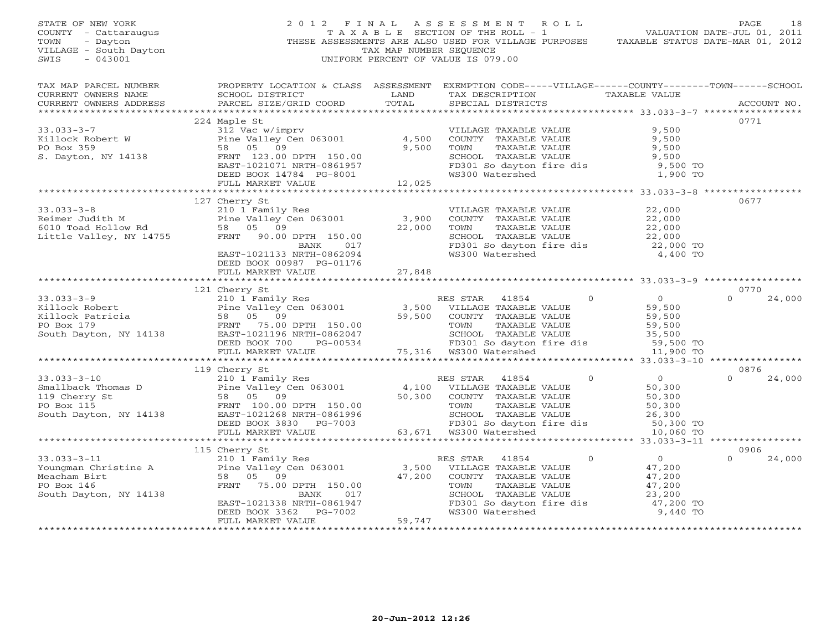| STATE OF NEW YORK<br>COUNTY - Cattaraugus<br>- Dayton<br>TOWN<br>VILLAGE - South Dayton<br>$-043001$<br>SWIS                                                                                                                                                                                                                                                                        |                                                                                                                                                                                                                                               | TAX MAP NUMBER SEQUENCE | 2012 FINAL ASSESSMENT ROLL<br>TAXABLE SECTION OF THE ROLL - 1 VALUATION DATE-JUL 01, 2011<br>THESE ASSESSMENTS ARE ALSO USED FOR VILLAGE PURPOSES TAXABLE STATUS DATE-MAR 01, 2012<br>UNIFORM PERCENT OF VALUE IS 079.00 |            | PAGE<br>18                |
|-------------------------------------------------------------------------------------------------------------------------------------------------------------------------------------------------------------------------------------------------------------------------------------------------------------------------------------------------------------------------------------|-----------------------------------------------------------------------------------------------------------------------------------------------------------------------------------------------------------------------------------------------|-------------------------|--------------------------------------------------------------------------------------------------------------------------------------------------------------------------------------------------------------------------|------------|---------------------------|
| TAX MAP PARCEL NUMBER<br>CURRENT OWNERS NAME<br>CURRENT OWNERS ADDRESS                                                                                                                                                                                                                                                                                                              | PROPERTY LOCATION & CLASS ASSESSMENT EXEMPTION CODE-----VILLAGE------COUNTY--------TOWN------SCHOOL                                                                                                                                           |                         | TAX DESCRIPTION TAXABLE VALUE<br>SPECIAL DISTRICTS                                                                                                                                                                       |            | ACCOUNT NO.               |
|                                                                                                                                                                                                                                                                                                                                                                                     | 224 Maple St                                                                                                                                                                                                                                  |                         |                                                                                                                                                                                                                          |            | 0771                      |
| $33.033 - 3 - 7$                                                                                                                                                                                                                                                                                                                                                                    |                                                                                                                                                                                                                                               |                         | VILLAGE TAXABLE VALUE                                                                                                                                                                                                    | 9,500      |                           |
| Example of the Valley<br>PO Box 359<br>S. Dayton, NY 14138<br>S. Dayton, NY 14138<br>FRNT 123.00                                                                                                                                                                                                                                                                                    | 312 Vac w/imprv<br>Pine Valley Cen 063001 4,500<br>58 05 09 9,500<br>58 05 09<br>FRNT 123.00 DPTH 150.00<br>EAST-1021071 NRTH-0861957<br>DEED BOOK 14784 PG-8001<br>FILL MARKET VALUE 12,025                                                  |                         | COUNTY TAXABLE VALUE 9,500<br>TOWN TAXABLE VALUE 9,500<br>SCHOOL TAXABLE VALUE 9,500<br>FD301 So dayton fire dis<br>WS300 Watershed                                                                                      | $9,500$ TO |                           |
|                                                                                                                                                                                                                                                                                                                                                                                     |                                                                                                                                                                                                                                               |                         |                                                                                                                                                                                                                          | 1,900 TO   |                           |
|                                                                                                                                                                                                                                                                                                                                                                                     |                                                                                                                                                                                                                                               |                         |                                                                                                                                                                                                                          |            |                           |
| 33.033-3-8<br>Reimer Judith M<br>Example 210 1 Family Res<br>Reimer Judith M<br>Fine Valley Cen 063001<br>Fine Valley Cen 063001<br>22,000 TOWN TAXABLE VALUE<br>22,000 TOWN TAXABLE VALUE<br>SCHOOL TAXABLE VALUE<br>SCHOOL TAXABLE VALUE<br>SCH                                                                                                                                   | EAST-1021133 NRTH-0862094<br>DEED BOOK 00987 PG-01176                                                                                                                                                                                         |                         | VILLAGE TAXABLE VALUE $22,000$<br>COUNTY TAXABLE VALUE $22,000$<br>TOWN TAXABLE VALUE $22,000$<br>SCHOOL TAXABLE VALUE $22,000$<br>FD301 So dayton fire dis $22,000$ TO<br>WS300 Watershed $4,400$ TO                    |            | 0677                      |
|                                                                                                                                                                                                                                                                                                                                                                                     | FULL MARKET VALUE                                                                                                                                                                                                                             | 27,848                  |                                                                                                                                                                                                                          |            |                           |
|                                                                                                                                                                                                                                                                                                                                                                                     |                                                                                                                                                                                                                                               |                         |                                                                                                                                                                                                                          |            |                           |
|                                                                                                                                                                                                                                                                                                                                                                                     | 121 Cherry St                                                                                                                                                                                                                                 |                         |                                                                                                                                                                                                                          |            | 0770<br>$0 \qquad \qquad$ |
|                                                                                                                                                                                                                                                                                                                                                                                     |                                                                                                                                                                                                                                               |                         |                                                                                                                                                                                                                          |            | 24,000                    |
|                                                                                                                                                                                                                                                                                                                                                                                     |                                                                                                                                                                                                                                               |                         |                                                                                                                                                                                                                          |            |                           |
| 33.033-3-9<br>Killock Robert<br>Killock Patricia and the Valley Cen 063001<br>FRNT 75.00 DPTH 150.00<br>FRNT 75.00 DPTH 150.00<br>ESS STAR 41854 0<br>Suth Dayton, NY 14138<br>FRNT 75.00 DPTH 150.00<br>ESS STAR 41854 0<br>21.04 POBOX 700<br>F                                                                                                                                   |                                                                                                                                                                                                                                               |                         |                                                                                                                                                                                                                          |            |                           |
|                                                                                                                                                                                                                                                                                                                                                                                     |                                                                                                                                                                                                                                               |                         |                                                                                                                                                                                                                          |            |                           |
|                                                                                                                                                                                                                                                                                                                                                                                     | 119 Cherry St                                                                                                                                                                                                                                 |                         |                                                                                                                                                                                                                          |            | 0876                      |
|                                                                                                                                                                                                                                                                                                                                                                                     |                                                                                                                                                                                                                                               |                         |                                                                                                                                                                                                                          |            | $\Omega$<br>24,000        |
|                                                                                                                                                                                                                                                                                                                                                                                     |                                                                                                                                                                                                                                               |                         |                                                                                                                                                                                                                          |            |                           |
|                                                                                                                                                                                                                                                                                                                                                                                     |                                                                                                                                                                                                                                               |                         |                                                                                                                                                                                                                          |            |                           |
|                                                                                                                                                                                                                                                                                                                                                                                     |                                                                                                                                                                                                                                               |                         |                                                                                                                                                                                                                          |            |                           |
|                                                                                                                                                                                                                                                                                                                                                                                     |                                                                                                                                                                                                                                               |                         |                                                                                                                                                                                                                          |            |                           |
| 33.033-3-10<br>Smallback Thomas D<br>$\begin{array}{l} 119 \text{ Cherry St} \\ 210 1 \text{ Family Res} \\ 119 \text{ Cherry St} \\ 119 \text{ Cherry St} \\ 119 \text{ Cherry St} \\ 50,300 \\ \text{FON} \\ 50,300 \\ \text{South Dayton, NY 14138} \\ 50,300 \\ \text{NEED BONC 3330} \\ 1138 \text{ EAST-1021268 NRH} \\ 50,500 \\ \text{DEED BONC 3330} \\ 50,671 \\ \text{W$ |                                                                                                                                                                                                                                               |                         |                                                                                                                                                                                                                          |            |                           |
|                                                                                                                                                                                                                                                                                                                                                                                     |                                                                                                                                                                                                                                               |                         |                                                                                                                                                                                                                          |            |                           |
|                                                                                                                                                                                                                                                                                                                                                                                     | 115 Cherry St                                                                                                                                                                                                                                 |                         |                                                                                                                                                                                                                          |            | 0906                      |
| $33.033 - 3 - 11$<br>Youngman Christine A<br>Meacham Birt<br>PO Box 146<br>South Dayton, NY 14138                                                                                                                                                                                                                                                                                   | Cherry St<br>210 1 Family Res<br>Pine Valley Cen 063001<br>58 05 09 47,200 COUNTY TAXABLE VALUE<br>FRNT 75.00 DPTH 150.00 17000 TOWN TAXABLE VALUE<br>BANK 017 SCHOOL TAXABLE VALUE<br>EAST-1021338 NRTH-0861947 FD301 So dayton fire dis<br> |                         | RES STAR 41854 0<br>VILLAGE TAXABLE VALUE 47,200<br>COUNTY TAXABLE VALUE 47,200<br>TOWN TAXABLE VALUE 47,200<br>SCHOOL TAXABLE VALUE 23,200<br>TOWN TAXABLE VALUE<br>SCHOOL TAXABLE VALUE<br>FD301 So davtor f'          |            | $\Omega$<br>24,000        |
|                                                                                                                                                                                                                                                                                                                                                                                     |                                                                                                                                                                                                                                               |                         | FD301 So dayton fire dis $47,200$ TO<br>WS300 Watershed 9.440 TO                                                                                                                                                         |            |                           |
|                                                                                                                                                                                                                                                                                                                                                                                     |                                                                                                                                                                                                                                               |                         |                                                                                                                                                                                                                          | 9,440 TO   |                           |
| *************************                                                                                                                                                                                                                                                                                                                                                           | ************************                                                                                                                                                                                                                      |                         |                                                                                                                                                                                                                          |            |                           |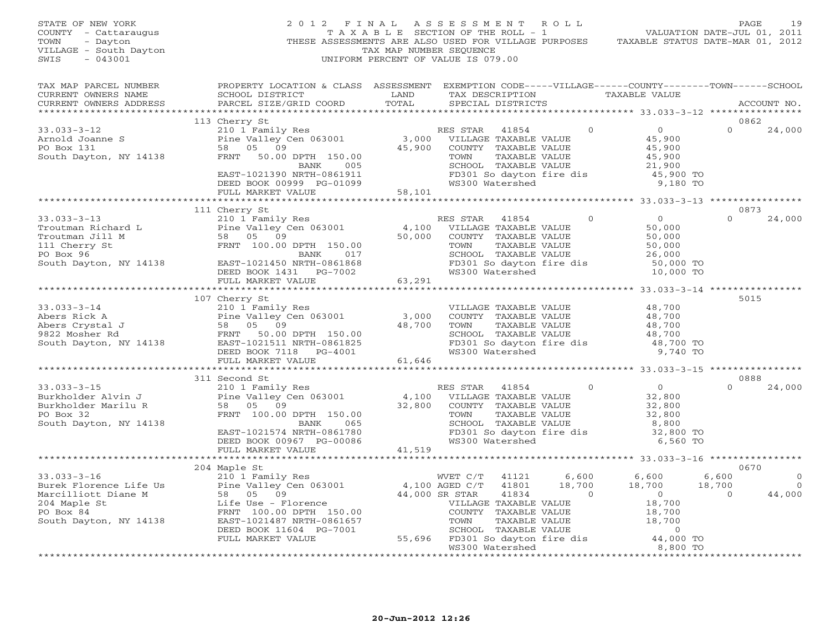| STATE OF NEW YORK<br>COUNTY - Cattaraugus<br>TOWN<br>- Dayton<br>VILLAGE - South Dayton<br>$-043001$<br>SWIS |                                                                                                                                                                                                                                                                                                                                                                                                           | TAX MAP NUMBER SEQUENCE | 2012 FINAL ASSESSMENT ROLL<br>TAXABLE SECTION OF THE ROLL - 1<br>THESE ASSESSMENTS ARE ALSO USED FOR VILLAGE PURPOSES TAXABLE STATUS DATE-MAR 01, 2012<br>UNIFORM PERCENT OF VALUE IS 079.00 |                     | VALUATION DATE-JUL 01, 2011             | PAGE             | 19                               |
|--------------------------------------------------------------------------------------------------------------|-----------------------------------------------------------------------------------------------------------------------------------------------------------------------------------------------------------------------------------------------------------------------------------------------------------------------------------------------------------------------------------------------------------|-------------------------|----------------------------------------------------------------------------------------------------------------------------------------------------------------------------------------------|---------------------|-----------------------------------------|------------------|----------------------------------|
|                                                                                                              | TAX MAP PARCEL NUMBER BROPERTY LOCATION & CLASS ASSESSMENT EXEMPTION CODE-----VILLAGE------COUNTY-------TOWN------SCHOOL                                                                                                                                                                                                                                                                                  |                         |                                                                                                                                                                                              |                     |                                         |                  |                                  |
| CURRENT OWNERS NAME                                                                                          | SCHOOL DISTRICT LAND                                                                                                                                                                                                                                                                                                                                                                                      |                         | TAX DESCRIPTION TAXABLE VALUE                                                                                                                                                                |                     |                                         |                  |                                  |
| CURRENT OWNERS ADDRESS                                                                                       | PARCEL SIZE/GRID COORD                                                                                                                                                                                                                                                                                                                                                                                    | TOTAL                   | SPECIAL DISTRICTS                                                                                                                                                                            |                     |                                         |                  | ACCOUNT NO.                      |
|                                                                                                              |                                                                                                                                                                                                                                                                                                                                                                                                           |                         |                                                                                                                                                                                              |                     |                                         |                  |                                  |
|                                                                                                              | 113 Cherry St<br>Cherry St<br>210 1 Family Res<br>Pine Valley Cen 063001<br>58 05 09<br>FRNT 50.00 DPTH 150.00<br>BANK 005<br>EAST-1021390 NRTH-0861911<br>EAST-1021390 NRTH-0861911<br>DEED BOOK 00999 PG-01099<br>FULL MARER VALUE<br>FRNT 50.00 DPTH 150.00<br>BAN                                                                                                                                     |                         |                                                                                                                                                                                              |                     | $\overline{0}$                          | 0862<br>$\Omega$ |                                  |
| 33.033-3-12<br>Arnold Joanne S<br>Pine Valley (<br>PO Box 131<br>South Dayton, NY 14138<br>FRNT 50.00        |                                                                                                                                                                                                                                                                                                                                                                                                           |                         |                                                                                                                                                                                              |                     |                                         |                  | 24,000                           |
|                                                                                                              |                                                                                                                                                                                                                                                                                                                                                                                                           |                         |                                                                                                                                                                                              |                     | 45,900                                  |                  |                                  |
|                                                                                                              |                                                                                                                                                                                                                                                                                                                                                                                                           |                         |                                                                                                                                                                                              |                     | 45,900<br>45,900<br>21,900              |                  |                                  |
|                                                                                                              |                                                                                                                                                                                                                                                                                                                                                                                                           |                         |                                                                                                                                                                                              |                     |                                         |                  |                                  |
|                                                                                                              |                                                                                                                                                                                                                                                                                                                                                                                                           |                         |                                                                                                                                                                                              |                     | 45,900 TO                               |                  |                                  |
|                                                                                                              |                                                                                                                                                                                                                                                                                                                                                                                                           |                         | FD301 So dayton fire dis<br>WS300 Watershed                                                                                                                                                  |                     | 9,180 TO                                |                  |                                  |
|                                                                                                              |                                                                                                                                                                                                                                                                                                                                                                                                           |                         |                                                                                                                                                                                              |                     |                                         |                  |                                  |
|                                                                                                              |                                                                                                                                                                                                                                                                                                                                                                                                           |                         |                                                                                                                                                                                              |                     |                                         |                  |                                  |
|                                                                                                              |                                                                                                                                                                                                                                                                                                                                                                                                           |                         |                                                                                                                                                                                              |                     |                                         | 0873             |                                  |
|                                                                                                              |                                                                                                                                                                                                                                                                                                                                                                                                           |                         |                                                                                                                                                                                              |                     |                                         | $\Omega$         | 24,000                           |
|                                                                                                              |                                                                                                                                                                                                                                                                                                                                                                                                           |                         |                                                                                                                                                                                              |                     |                                         |                  |                                  |
|                                                                                                              |                                                                                                                                                                                                                                                                                                                                                                                                           |                         |                                                                                                                                                                                              |                     |                                         |                  |                                  |
|                                                                                                              |                                                                                                                                                                                                                                                                                                                                                                                                           |                         |                                                                                                                                                                                              |                     |                                         |                  |                                  |
|                                                                                                              |                                                                                                                                                                                                                                                                                                                                                                                                           |                         |                                                                                                                                                                                              |                     |                                         |                  |                                  |
|                                                                                                              |                                                                                                                                                                                                                                                                                                                                                                                                           |                         |                                                                                                                                                                                              |                     |                                         |                  |                                  |
|                                                                                                              |                                                                                                                                                                                                                                                                                                                                                                                                           |                         |                                                                                                                                                                                              |                     |                                         |                  |                                  |
|                                                                                                              |                                                                                                                                                                                                                                                                                                                                                                                                           |                         |                                                                                                                                                                                              |                     |                                         |                  |                                  |
|                                                                                                              |                                                                                                                                                                                                                                                                                                                                                                                                           |                         |                                                                                                                                                                                              |                     |                                         | 5015             |                                  |
|                                                                                                              | 107 Cherry St<br>33.033-3-14<br>$\begin{array}{l} 33.033-3-14 \end{array}$<br>Abers Rick A<br>Abers Crystal J<br>$\begin{array}{l} 58 & 05 & 09 \end{array}$<br>$\begin{array}{l} 107 \text{ Cherry St} \\ 210 \text{ I family Res} \\ 58 & 05 & 09 \end{array}$<br>$\begin{array}{l} 107 \text{ Cherry St} \\ 210 \text{ I family Res} \\ 58 & 05 & 09 \end{array}$<br>$\begin{array}{l} 58 & 05 & 09 \$ |                         |                                                                                                                                                                                              |                     |                                         |                  |                                  |
|                                                                                                              |                                                                                                                                                                                                                                                                                                                                                                                                           |                         | VILLAGE TAXABLE VALUE<br>COUNTY TAXABLE VALUE                                                                                                                                                |                     | $48,700$<br>$48,700$<br>$48,700$        |                  |                                  |
|                                                                                                              |                                                                                                                                                                                                                                                                                                                                                                                                           |                         |                                                                                                                                                                                              |                     |                                         |                  |                                  |
|                                                                                                              |                                                                                                                                                                                                                                                                                                                                                                                                           |                         |                                                                                                                                                                                              |                     |                                         |                  |                                  |
|                                                                                                              |                                                                                                                                                                                                                                                                                                                                                                                                           |                         | TOWN TAXABLE VALUE 48,700<br>SCHOOL TAXABLE VALUE 48,700<br>FD301 So dayton fire dis 48,700 TO                                                                                               |                     |                                         |                  |                                  |
|                                                                                                              |                                                                                                                                                                                                                                                                                                                                                                                                           |                         |                                                                                                                                                                                              |                     | 9,740 TO                                |                  |                                  |
|                                                                                                              | FULL MARKET VALUE                                                                                                                                                                                                                                                                                                                                                                                         | 61,646                  |                                                                                                                                                                                              |                     |                                         |                  |                                  |
|                                                                                                              |                                                                                                                                                                                                                                                                                                                                                                                                           |                         |                                                                                                                                                                                              |                     |                                         |                  |                                  |
|                                                                                                              | 311 Second St                                                                                                                                                                                                                                                                                                                                                                                             |                         |                                                                                                                                                                                              |                     |                                         | 0888             |                                  |
| $33.033 - 3 - 15$                                                                                            |                                                                                                                                                                                                                                                                                                                                                                                                           |                         |                                                                                                                                                                                              |                     | $0$<br>$32,800$<br>$32,800$<br>$32,800$ | $\Omega$         | 24,000                           |
| Burkholder Alvin J                                                                                           |                                                                                                                                                                                                                                                                                                                                                                                                           |                         |                                                                                                                                                                                              |                     |                                         |                  |                                  |
| Burkholder Marilu R                                                                                          |                                                                                                                                                                                                                                                                                                                                                                                                           |                         |                                                                                                                                                                                              |                     |                                         |                  |                                  |
| PO Box 32                                                                                                    |                                                                                                                                                                                                                                                                                                                                                                                                           |                         |                                                                                                                                                                                              |                     |                                         |                  |                                  |
| South Dayton, NY 14138                                                                                       |                                                                                                                                                                                                                                                                                                                                                                                                           |                         |                                                                                                                                                                                              |                     | 8,800                                   |                  |                                  |
|                                                                                                              |                                                                                                                                                                                                                                                                                                                                                                                                           |                         |                                                                                                                                                                                              |                     | 32,800 TO                               |                  |                                  |
|                                                                                                              |                                                                                                                                                                                                                                                                                                                                                                                                           |                         |                                                                                                                                                                                              |                     | 6,560 TO                                |                  |                                  |
|                                                                                                              | FULL MARKET VALUE                                                                                                                                                                                                                                                                                                                                                                                         | 41,519                  |                                                                                                                                                                                              |                     |                                         |                  |                                  |
|                                                                                                              |                                                                                                                                                                                                                                                                                                                                                                                                           |                         |                                                                                                                                                                                              |                     |                                         | 0670             |                                  |
|                                                                                                              | 204 Maple St                                                                                                                                                                                                                                                                                                                                                                                              |                         |                                                                                                                                                                                              | $6,600$<br>$18,700$ |                                         | 6,600            |                                  |
|                                                                                                              |                                                                                                                                                                                                                                                                                                                                                                                                           |                         | 41121<br>41801                                                                                                                                                                               |                     | 6,600<br>18,700                         | 18,700           | $\overline{0}$<br>$\overline{0}$ |
|                                                                                                              |                                                                                                                                                                                                                                                                                                                                                                                                           |                         |                                                                                                                                                                                              |                     |                                         | $\overline{0}$   | 44,000                           |
|                                                                                                              |                                                                                                                                                                                                                                                                                                                                                                                                           |                         |                                                                                                                                                                                              |                     |                                         |                  |                                  |
|                                                                                                              |                                                                                                                                                                                                                                                                                                                                                                                                           |                         |                                                                                                                                                                                              |                     |                                         |                  |                                  |
|                                                                                                              |                                                                                                                                                                                                                                                                                                                                                                                                           |                         |                                                                                                                                                                                              |                     |                                         |                  |                                  |
|                                                                                                              | DEED BOOK 11604 PG-7001                                                                                                                                                                                                                                                                                                                                                                                   |                         |                                                                                                                                                                                              |                     |                                         |                  |                                  |
|                                                                                                              | FULL MARKET VALUE                                                                                                                                                                                                                                                                                                                                                                                         |                         |                                                                                                                                                                                              |                     |                                         |                  |                                  |
|                                                                                                              |                                                                                                                                                                                                                                                                                                                                                                                                           |                         |                                                                                                                                                                                              |                     |                                         |                  |                                  |
|                                                                                                              |                                                                                                                                                                                                                                                                                                                                                                                                           |                         |                                                                                                                                                                                              |                     | ***********************                 | **************   |                                  |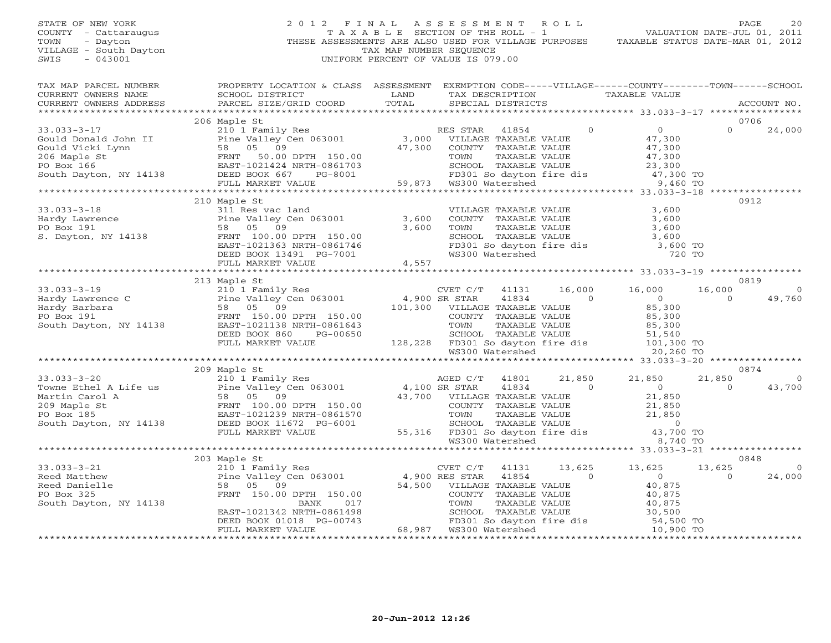## STATE OF NEW YORK 2 0 1 2 F I N A L A S S E S S M E N T R O L L PAGE 20 COUNTY - Cattaraugus T A X A B L E SECTION OF THE ROLL - 1 VALUATION DATE-JUL 01, 2011 TOWN - Dayton - Dayton 1999<br>
THESE ASSESSMENTS ARE ALSO USED FOR VILLAGE PURPOSES TAXABLE STATUS DATE-MAR 01, 2012<br>
TAX MAP NUMBER SEQUENCE VILLAGE - South Dayton TAX MAP NUMBER SEQUENCE<br>SWIS - 043001 SWIS - 043001 UNIFORM PERCENT OF VALUE IS 079.00

| TAX MAP PARCEL NUMBER<br>CURRENT OWNERS NAME<br>CURRENT OWNERS ADDRESS                                                                                                                                                                            | PROPERTY LOCATION & CLASS ASSESSMENT EXEMPTION CODE-----VILLAGE------COUNTY-------TOWN------SCHOOL<br>SCHOOL DISTRICT<br>PARCEL SIZE/GRID COORD | LAND<br>TOTAL |  |                       | TAX DESCRIPTION TAXABLE VALUE SPECIAL DISTRICTS                                                                                                                                    |                | ACCOUNT NO.            |
|---------------------------------------------------------------------------------------------------------------------------------------------------------------------------------------------------------------------------------------------------|-------------------------------------------------------------------------------------------------------------------------------------------------|---------------|--|-----------------------|------------------------------------------------------------------------------------------------------------------------------------------------------------------------------------|----------------|------------------------|
|                                                                                                                                                                                                                                                   |                                                                                                                                                 |               |  |                       |                                                                                                                                                                                    |                |                        |
|                                                                                                                                                                                                                                                   | 206 Maple St                                                                                                                                    |               |  |                       |                                                                                                                                                                                    |                | 0706                   |
|                                                                                                                                                                                                                                                   |                                                                                                                                                 |               |  |                       |                                                                                                                                                                                    |                |                        |
|                                                                                                                                                                                                                                                   |                                                                                                                                                 |               |  |                       |                                                                                                                                                                                    |                |                        |
|                                                                                                                                                                                                                                                   |                                                                                                                                                 |               |  |                       |                                                                                                                                                                                    |                |                        |
|                                                                                                                                                                                                                                                   |                                                                                                                                                 |               |  |                       |                                                                                                                                                                                    |                |                        |
|                                                                                                                                                                                                                                                   |                                                                                                                                                 |               |  |                       |                                                                                                                                                                                    |                |                        |
|                                                                                                                                                                                                                                                   |                                                                                                                                                 |               |  |                       |                                                                                                                                                                                    |                |                        |
|                                                                                                                                                                                                                                                   |                                                                                                                                                 |               |  |                       |                                                                                                                                                                                    |                |                        |
|                                                                                                                                                                                                                                                   | 210 Maple St                                                                                                                                    |               |  |                       |                                                                                                                                                                                    |                | 0912                   |
|                                                                                                                                                                                                                                                   |                                                                                                                                                 |               |  | VILLAGE TAXABLE VALUE | 3,600                                                                                                                                                                              |                |                        |
|                                                                                                                                                                                                                                                   |                                                                                                                                                 |               |  |                       |                                                                                                                                                                                    |                |                        |
|                                                                                                                                                                                                                                                   |                                                                                                                                                 |               |  |                       |                                                                                                                                                                                    |                |                        |
|                                                                                                                                                                                                                                                   |                                                                                                                                                 |               |  |                       |                                                                                                                                                                                    |                |                        |
|                                                                                                                                                                                                                                                   |                                                                                                                                                 |               |  |                       | COUNTY TAXABLE VALUE<br>TOWN TAXABLE VALUE<br>TOWN TAXABLE VALUE<br>S, 600<br>SCHOOL TAXABLE VALUE<br>3, 600<br>FD301 So dayton fire dis<br>3, 600 TO<br>WS300 Watershed<br>720 TO |                |                        |
| 33.033-3-18<br>Hardy Lawrence<br>PO Box 191<br>S. Dayton, NY 14138<br>THE STATE TO BOX 191<br>FRNT 100.00 DPTH 150.00<br>EAST-1021363 NRTH-0861746<br>PEED BOOK 13491 PG-7001<br>THE MARRIE FO BOY 150.00<br>FULL MARRIE FO BOY 150.00<br>FULL MA |                                                                                                                                                 |               |  |                       |                                                                                                                                                                                    |                |                        |
|                                                                                                                                                                                                                                                   |                                                                                                                                                 |               |  |                       |                                                                                                                                                                                    |                |                        |
|                                                                                                                                                                                                                                                   | 213 Maple St                                                                                                                                    |               |  |                       |                                                                                                                                                                                    |                | 0819                   |
|                                                                                                                                                                                                                                                   |                                                                                                                                                 |               |  |                       |                                                                                                                                                                                    | 16,000         | $\Omega$               |
|                                                                                                                                                                                                                                                   |                                                                                                                                                 |               |  |                       |                                                                                                                                                                                    | $\overline{0}$ | 49,760                 |
|                                                                                                                                                                                                                                                   |                                                                                                                                                 |               |  |                       |                                                                                                                                                                                    |                |                        |
|                                                                                                                                                                                                                                                   |                                                                                                                                                 |               |  |                       |                                                                                                                                                                                    |                |                        |
|                                                                                                                                                                                                                                                   |                                                                                                                                                 |               |  |                       |                                                                                                                                                                                    |                |                        |
|                                                                                                                                                                                                                                                   |                                                                                                                                                 |               |  |                       |                                                                                                                                                                                    |                |                        |
|                                                                                                                                                                                                                                                   |                                                                                                                                                 |               |  |                       |                                                                                                                                                                                    |                |                        |
|                                                                                                                                                                                                                                                   |                                                                                                                                                 |               |  |                       |                                                                                                                                                                                    |                |                        |
|                                                                                                                                                                                                                                                   |                                                                                                                                                 |               |  |                       |                                                                                                                                                                                    |                |                        |
|                                                                                                                                                                                                                                                   |                                                                                                                                                 |               |  |                       |                                                                                                                                                                                    | 21,850         | 0874<br>$\overline{0}$ |
|                                                                                                                                                                                                                                                   |                                                                                                                                                 |               |  |                       |                                                                                                                                                                                    | $\Omega$       | 43,700                 |
|                                                                                                                                                                                                                                                   |                                                                                                                                                 |               |  |                       |                                                                                                                                                                                    |                |                        |
|                                                                                                                                                                                                                                                   |                                                                                                                                                 |               |  |                       |                                                                                                                                                                                    |                |                        |
|                                                                                                                                                                                                                                                   |                                                                                                                                                 |               |  |                       |                                                                                                                                                                                    |                |                        |
|                                                                                                                                                                                                                                                   |                                                                                                                                                 |               |  |                       |                                                                                                                                                                                    |                |                        |
|                                                                                                                                                                                                                                                   |                                                                                                                                                 |               |  |                       |                                                                                                                                                                                    |                |                        |
|                                                                                                                                                                                                                                                   |                                                                                                                                                 |               |  |                       |                                                                                                                                                                                    |                |                        |
|                                                                                                                                                                                                                                                   |                                                                                                                                                 |               |  |                       |                                                                                                                                                                                    |                |                        |
|                                                                                                                                                                                                                                                   |                                                                                                                                                 |               |  |                       |                                                                                                                                                                                    |                | 0848                   |
|                                                                                                                                                                                                                                                   |                                                                                                                                                 |               |  |                       |                                                                                                                                                                                    | 13,625         | $\overline{0}$         |
|                                                                                                                                                                                                                                                   |                                                                                                                                                 |               |  |                       |                                                                                                                                                                                    | $\Omega$       | 24,000                 |
|                                                                                                                                                                                                                                                   |                                                                                                                                                 |               |  |                       |                                                                                                                                                                                    |                |                        |
|                                                                                                                                                                                                                                                   |                                                                                                                                                 |               |  |                       |                                                                                                                                                                                    |                |                        |
|                                                                                                                                                                                                                                                   |                                                                                                                                                 |               |  |                       |                                                                                                                                                                                    |                |                        |
|                                                                                                                                                                                                                                                   |                                                                                                                                                 |               |  |                       |                                                                                                                                                                                    |                |                        |
|                                                                                                                                                                                                                                                   |                                                                                                                                                 |               |  |                       |                                                                                                                                                                                    |                |                        |
|                                                                                                                                                                                                                                                   |                                                                                                                                                 |               |  |                       |                                                                                                                                                                                    |                |                        |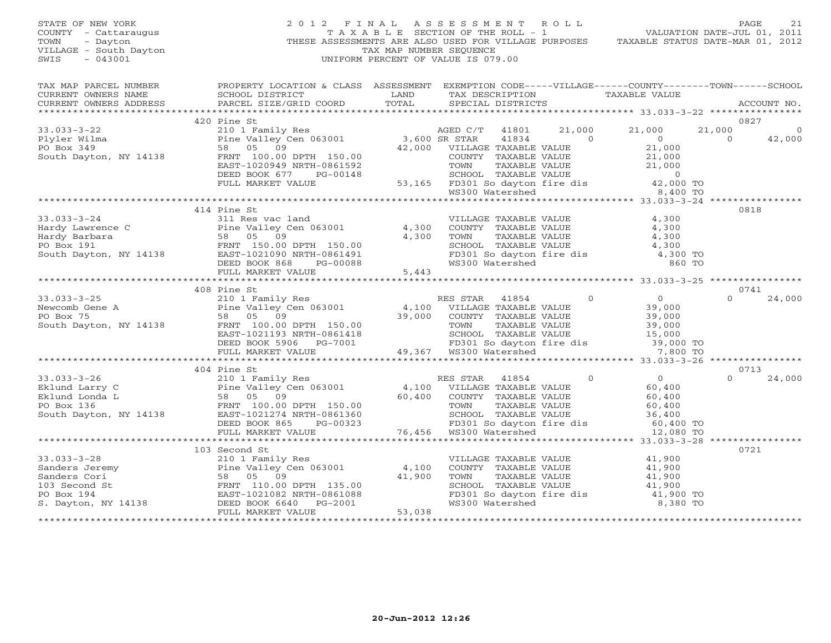| STATE OF NEW YORK<br>COUNTY - Cattaraugus<br>TOWN<br>- Dayton<br>VILLAGE - South Dayton<br>$-043001$<br>SWIS                                                                                                                                                                         | 2012 FINAL                                                                                                                                                                                                                                                 | T A X A B L E SECTION OF THE ROLL - 1<br>TAX MAP NUMBER SEQUENCE<br>UNIFORM PERCENT OF VALUE IS 079.00 | ASSESSMENT ROLL |                   |                                                                                    | VALUATION DATE-JUL 01, 2011<br>THESE ASSESSMENTS ARE ALSO USED FOR VILLAGE PURPOSES TAXABLE STATUS DATE-MAR 01, 2012                                                                                            |                          | PAGE<br>21        |
|--------------------------------------------------------------------------------------------------------------------------------------------------------------------------------------------------------------------------------------------------------------------------------------|------------------------------------------------------------------------------------------------------------------------------------------------------------------------------------------------------------------------------------------------------------|--------------------------------------------------------------------------------------------------------|-----------------|-------------------|------------------------------------------------------------------------------------|-----------------------------------------------------------------------------------------------------------------------------------------------------------------------------------------------------------------|--------------------------|-------------------|
| TAX MAP PARCEL NUMBER<br>CURRENT OWNERS NAME<br>CURRENT OWNERS ADDRESS                                                                                                                                                                                                               | PROPERTY LOCATION & CLASS ASSESSMENT EXEMPTION CODE-----VILLAGE------COUNTY-------TOWN------SCHOOL<br>SCHOOL DISTRICT<br>PARCEL SIZE/GRID COORD TOTAL                                                                                                      | LAND                                                                                                   |                 | SPECIAL DISTRICTS |                                                                                    | TAX DESCRIPTION TAXABLE VALUE                                                                                                                                                                                   |                          | ACCOUNT NO.       |
|                                                                                                                                                                                                                                                                                      | 420 Pine St                                                                                                                                                                                                                                                |                                                                                                        |                 |                   |                                                                                    |                                                                                                                                                                                                                 |                          | 0827              |
| $33.033 - 3 - 22$<br>Plyler Wilma<br>PO Box 349<br>South Dayton, NY 14138                                                                                                                                                                                                            | Pine St<br>210 1 Family Res<br>Pine Valley Cen 063001 3,600 SR STAR<br>2000 VILLAC<br>2000 VILLAC<br>2000 VILLAC<br>2000 VILLAC<br>FRNT 100.00 DPTH 150.00<br>EAST-1020949 NRTH-0861592<br>DEED BOOK 677<br>PG-00148                                       |                                                                                                        | AGED C/T        | 41801<br>41834    | 21,000<br>$\overline{0}$                                                           | 21,000<br>$\overline{0}$                                                                                                                                                                                        | 21,000<br>$\overline{0}$ | $\circ$<br>42,000 |
|                                                                                                                                                                                                                                                                                      | FULL MARKET VALUE                                                                                                                                                                                                                                          |                                                                                                        |                 |                   |                                                                                    |                                                                                                                                                                                                                 |                          |                   |
|                                                                                                                                                                                                                                                                                      |                                                                                                                                                                                                                                                            |                                                                                                        |                 |                   |                                                                                    |                                                                                                                                                                                                                 |                          |                   |
|                                                                                                                                                                                                                                                                                      | 414 Pine St                                                                                                                                                                                                                                                |                                                                                                        |                 |                   |                                                                                    |                                                                                                                                                                                                                 | 0818                     |                   |
| $33.033 - 3 - 24$<br>33.033-3-24<br>Hardy Lawrence C<br>Hardy Barbara<br>PO Box 191<br>South Dayton, NY 14138<br>South Dayton, NY 14138<br>PO Box 191<br>BOX 868<br>PO BOX 868<br>PO BOX 868<br>PO BOX 868<br>PO BOX 868<br>PO BOX 868<br>PO BOX 868<br>PO BOX 868<br>PO BOX 868<br> | 311 Res vac land<br>DEED BOOK 868<br>PG-00088                                                                                                                                                                                                              | 4,300<br>4,300                                                                                         |                 | WS300 Watershed   |                                                                                    | VILLAGE TAXABLE VALUE $4,300$<br>COUNTY TAXABLE VALUE $4,300$<br>TAXABLE VALUE $4,300$<br>TOWN TAXABLE VALUE<br>SCHOOL TAXABLE VALUE 4,300<br>FD301 So dayton fire dis 4,300 TO<br>4,300 TO<br>860 TO<br>860 TO |                          |                   |
|                                                                                                                                                                                                                                                                                      | FULL MARKET VALUE                                                                                                                                                                                                                                          | 5,443                                                                                                  |                 |                   |                                                                                    |                                                                                                                                                                                                                 |                          |                   |
|                                                                                                                                                                                                                                                                                      | 408 Pine St                                                                                                                                                                                                                                                |                                                                                                        |                 |                   |                                                                                    |                                                                                                                                                                                                                 |                          | 0741              |
| $33.033 - 3 - 25$<br>Newcomb Gene A<br>PO Box 75<br>South Dayton, NY 14138                                                                                                                                                                                                           | 210 1 Family Res<br>210 1 Family Res RES SIAR TIOLS (NLUE PIRE PRICE) 210 1 FAMIley Cen 063001<br>210 1 Family Res RES SIAR TAXABLE VALUE 39,000<br>39,000 COUNTY TAXABLE VALUE 39,000<br>29,000 TOWN TAXABLE VALUE 39,000<br>29,000 TOWN TAXABLE VALUE 39 |                                                                                                        | RES STAR 41854  |                   | $\overline{0}$                                                                     | $\overline{0}$                                                                                                                                                                                                  | $\Omega$                 | 24,000            |
|                                                                                                                                                                                                                                                                                      |                                                                                                                                                                                                                                                            |                                                                                                        |                 |                   |                                                                                    |                                                                                                                                                                                                                 |                          |                   |
|                                                                                                                                                                                                                                                                                      |                                                                                                                                                                                                                                                            |                                                                                                        |                 |                   |                                                                                    |                                                                                                                                                                                                                 |                          |                   |
|                                                                                                                                                                                                                                                                                      |                                                                                                                                                                                                                                                            |                                                                                                        |                 |                   |                                                                                    |                                                                                                                                                                                                                 | 0713                     |                   |
|                                                                                                                                                                                                                                                                                      |                                                                                                                                                                                                                                                            |                                                                                                        |                 |                   | $\overline{0}$                                                                     | $\overline{O}$<br>60,400<br>60,400<br>60,400<br>SCHOOL TAXABLE VALUE<br>FD301 So dayton fire dis 60,400 TO                                                                                                      |                          | 24,000            |
|                                                                                                                                                                                                                                                                                      |                                                                                                                                                                                                                                                            |                                                                                                        |                 |                   |                                                                                    | 12,080 TO                                                                                                                                                                                                       |                          |                   |
|                                                                                                                                                                                                                                                                                      |                                                                                                                                                                                                                                                            |                                                                                                        |                 |                   |                                                                                    |                                                                                                                                                                                                                 |                          |                   |
|                                                                                                                                                                                                                                                                                      | 103 Second St                                                                                                                                                                                                                                              |                                                                                                        |                 |                   |                                                                                    |                                                                                                                                                                                                                 | 0721                     |                   |
| $33.033 - 3 - 28$<br>33.033-3-28<br>Sanders Jeremy<br>Sanders Cori<br>Sanders Cori<br>103 Second St<br>PO Box 194<br>S. Dayton, NY 14138<br>S. Dayton, NY 14138<br>PO Box 194<br>EAST-1021082 NRTH-0861088<br>PO Box 194<br>EAST-1021082 NRTH-0861088<br>DEED BOOK 6640<br>PE        | 210 1 Family Res<br>Pine Valley Cen 063001<br>58 05 09                                                                                                                                                                                                     | 4,100<br>41,900                                                                                        |                 |                   | COUNTY TAXABLE VALUE                                                               | VILLAGE TAXABLE VALUE 41,900<br>COUNTY TAXABLE VALUE 41,900<br>41,900                                                                                                                                           |                          |                   |
|                                                                                                                                                                                                                                                                                      |                                                                                                                                                                                                                                                            |                                                                                                        |                 |                   |                                                                                    | 41,900<br>41,900                                                                                                                                                                                                |                          |                   |
|                                                                                                                                                                                                                                                                                      |                                                                                                                                                                                                                                                            |                                                                                                        |                 |                   | IRAABLE VALUE<br>SCHOOL TAXABLE VALUE<br>FD301 So down<br>FD301 So dayton fire dis | 41,900 TO                                                                                                                                                                                                       |                          |                   |
|                                                                                                                                                                                                                                                                                      | FULL MARKET VALUE                                                                                                                                                                                                                                          | 53,038                                                                                                 |                 | WS300 Watershed   |                                                                                    | 8,380 TO                                                                                                                                                                                                        |                          |                   |
|                                                                                                                                                                                                                                                                                      |                                                                                                                                                                                                                                                            |                                                                                                        |                 |                   |                                                                                    |                                                                                                                                                                                                                 |                          |                   |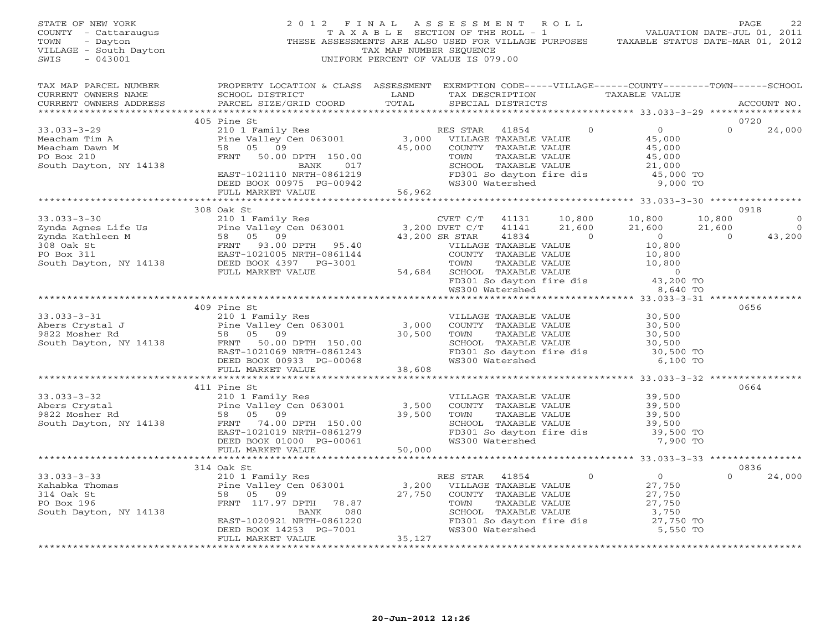| STATE OF NEW YORK<br>COUNTY - Cattaraugus<br>TOWN<br>- Dayton<br>VILLAGE - South Dayton<br>$-043001$<br>SWIS                                                                                                                                                                                                                                                       |                                                                                                                                                                                                                                                                                                                                                                                                           | TAX MAP NUMBER SEQUENCE<br>UNIFORM PERCENT OF VALUE IS 079.00 |  |                   | 2 0 1 2 F I N A L A S S E S S M E N T R O L L PAGE 22<br>T A X A B L E SECTION OF THE ROLL - 1 VALUATION DATE-JUL 01, 2011<br>THESE ASSESSMENTS ARE ALSO USED FOR VILLAGE PURPOSES TAXABLE STATUS DATE-MAR 01, 2012 |               |                                  |
|--------------------------------------------------------------------------------------------------------------------------------------------------------------------------------------------------------------------------------------------------------------------------------------------------------------------------------------------------------------------|-----------------------------------------------------------------------------------------------------------------------------------------------------------------------------------------------------------------------------------------------------------------------------------------------------------------------------------------------------------------------------------------------------------|---------------------------------------------------------------|--|-------------------|---------------------------------------------------------------------------------------------------------------------------------------------------------------------------------------------------------------------|---------------|----------------------------------|
| TAX MAP PARCEL NUMBER<br>CURRENT OWNERS NAME<br>CURRENT OWNERS ADDRESS                                                                                                                                                                                                                                                                                             | PROPERTY LOCATION & CLASS ASSESSMENT EXEMPTION CODE-----VILLAGE------COUNTY-------TOWN------SCHOOL<br>SCHOOL DISTRICT LAND<br>PARCEL SIZE/GRID COORD                                                                                                                                                                                                                                                      | TOTAL                                                         |  | SPECIAL DISTRICTS | TAX DESCRIPTION TAXABLE VALUE                                                                                                                                                                                       |               | ACCOUNT NO.                      |
|                                                                                                                                                                                                                                                                                                                                                                    | 405 Pine St                                                                                                                                                                                                                                                                                                                                                                                               |                                                               |  |                   |                                                                                                                                                                                                                     | 0720          |                                  |
| $33.033 - 3 - 29$<br>Meacham Tim A<br>Meacham Dawn M<br>PO Box 210<br>South Dayton, NY 14138                                                                                                                                                                                                                                                                       | $\begin{tabular}{lcccc} \texttt{Fine S.} & & & & & & \texttt{RES STAR} & 41854 & 0 & 0 \\ \texttt{Pine Valley Cen 063001} & & 3,000 & \texttt{VILLAGE TAXABLE VALUE} & & 45,000 \\ \texttt{B8} & 05 & 09 & & 45,000 & \texttt{COUNTY TAXABLE VALUE} & & 45,000 \\ \texttt{FRNT} & 50.00 \texttt{DPTH} & 150.00 & & 45,000 & \texttt{TOWIN TAXABLE VALUE} & & 45,000 \\ \texttt{BANK} & 017 & & 5 \texttt$ |                                                               |  |                   |                                                                                                                                                                                                                     | $\Omega$      | 24,000                           |
|                                                                                                                                                                                                                                                                                                                                                                    |                                                                                                                                                                                                                                                                                                                                                                                                           |                                                               |  |                   |                                                                                                                                                                                                                     |               |                                  |
|                                                                                                                                                                                                                                                                                                                                                                    | 308 Oak St                                                                                                                                                                                                                                                                                                                                                                                                |                                                               |  |                   |                                                                                                                                                                                                                     |               | 0918                             |
| $\begin{array}{cccc} 33.033-3-30 \\ 2 \text{ynda Agnes Life Us} & 2101 \text{ Family Res} \\ 2 \text{ynda Agnes Life Us} & 2101 \text{ Family Res} \\ 2 \text{ynda Kathleen M} & 58 & 05 & 09 \\ 58 & 05 & 09 & 43,200 \text{ DVET C/T} & 41141 & 21,600 & 21,600 & 21,600 \\ 58 & 05 & 09 & 43,200 \text{ SRTAR} & 41834 & 0 \\ 58 & 05 & 09 & 43,200 \text{ SRT$ |                                                                                                                                                                                                                                                                                                                                                                                                           |                                                               |  |                   |                                                                                                                                                                                                                     | $21,600$<br>0 | $\mathbf 0$<br>$\circ$<br>43,200 |
|                                                                                                                                                                                                                                                                                                                                                                    |                                                                                                                                                                                                                                                                                                                                                                                                           |                                                               |  |                   |                                                                                                                                                                                                                     |               |                                  |
|                                                                                                                                                                                                                                                                                                                                                                    |                                                                                                                                                                                                                                                                                                                                                                                                           |                                                               |  |                   |                                                                                                                                                                                                                     |               |                                  |
| 33.033-3-31 409 Pine St<br>Abers Crystal J<br>210 1 Family Res<br>210 1 Family Res<br>Pine Valley Cen 063001 3,000 COUNTY TAXABLE VALUE<br>30,500<br>30,500<br>30,500<br>South Dayton, NY 14138 FRNT 50.00 DPTH 150.00<br>EAST-1021069 NRTH-086                                                                                                                    | 409 Pine St                                                                                                                                                                                                                                                                                                                                                                                               |                                                               |  |                   | TOWN TAXABLE VALUE<br>TOWN TAXABLE VALUE<br>SCHOOL TAXABLE VALUE<br>FD301 So dayton fire dis<br>WS300 Watershed<br>6,100 TO                                                                                         |               | 0656                             |
|                                                                                                                                                                                                                                                                                                                                                                    |                                                                                                                                                                                                                                                                                                                                                                                                           |                                                               |  |                   |                                                                                                                                                                                                                     |               |                                  |
| 33.033-3-32<br>Abers Crystal 210 1 Family Res<br>210 1 Family Res<br>Pine Valley Cen 063001<br>9822 Mosher Rd<br>58 05 09<br>South Dayton, NY 14138 FRN 74.00 DPTH 150.00<br>ERST-1021019 NRTH-0861279<br>ERST-1021019 NRTH-0861279<br>ERST-1021                                                                                                                   | 411 Pine St                                                                                                                                                                                                                                                                                                                                                                                               |                                                               |  |                   |                                                                                                                                                                                                                     |               | 0664                             |
|                                                                                                                                                                                                                                                                                                                                                                    |                                                                                                                                                                                                                                                                                                                                                                                                           |                                                               |  |                   |                                                                                                                                                                                                                     |               |                                  |
|                                                                                                                                                                                                                                                                                                                                                                    | 314 Oak St                                                                                                                                                                                                                                                                                                                                                                                                |                                                               |  |                   |                                                                                                                                                                                                                     |               | 0836                             |
| $33.033 - 3 - 33$<br>Kahabka Thomas<br>314 Oak St<br>PO Box 196<br>PO Box 196<br>South Dayton, NY 14138                                                                                                                                                                                                                                                            | 0ak St<br>210 1 Family Res<br>Pine Valley Cen 063001<br>58 05 09<br>FRNT 117.97 DPTH 78.87<br>BANK 080<br>EAST-1020921 NRTH-0861220<br>DEED BOOK 14253 PG-7001<br>35.127<br>27.750 COUNTY TAXABLE VALUE<br>TOWN TAXABLE VALUE<br>TOWN TAXABLE VALUE<br>                                                                                                                                                   |                                                               |  |                   | 3,750<br>FD301 So dayton fire dis 27,750 TO<br>WS300 Watershed 5.550 TO<br>5,550 TO                                                                                                                                 | $\Omega$      | 24,000                           |
|                                                                                                                                                                                                                                                                                                                                                                    | ***********************                                                                                                                                                                                                                                                                                                                                                                                   |                                                               |  |                   |                                                                                                                                                                                                                     |               |                                  |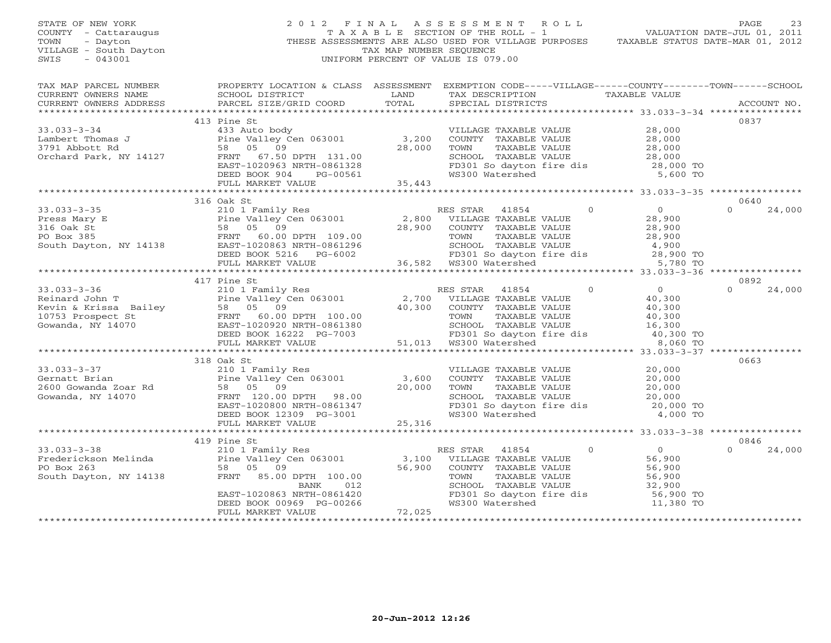| STATE OF NEW YORK<br>COUNTY - Cattaraugus<br>TOWN<br>- Dayton<br>VILLAGE - South Dayton<br>$-043001$<br>SWIS                                                                                                                                                                    | $\begin{array}{c} 2 \\ \hline \end{array}$ THI | TAX MAP NUMBER SEQUENCE | UNIFORM PERCENT OF VALUE IS 079.00                                                                                                                    | 2012 FINAL ASSESSMENT ROLL PAGE 23<br>TAXABLE SECTION OF THE ROLL - 1 VALUATION DATE-JUL 01, 2011<br>THESE ASSESSMENTS ARE ALSO USED FOR VILLAGE PURPOSES TAXABLE STATUS DATE-MAR 01, 2012                    |                  |        |
|---------------------------------------------------------------------------------------------------------------------------------------------------------------------------------------------------------------------------------------------------------------------------------|------------------------------------------------|-------------------------|-------------------------------------------------------------------------------------------------------------------------------------------------------|---------------------------------------------------------------------------------------------------------------------------------------------------------------------------------------------------------------|------------------|--------|
|                                                                                                                                                                                                                                                                                 |                                                |                         |                                                                                                                                                       |                                                                                                                                                                                                               |                  |        |
|                                                                                                                                                                                                                                                                                 | 413 Pine St                                    |                         |                                                                                                                                                       |                                                                                                                                                                                                               | 0837             |        |
| 33.033-3-34<br>Lambert Thomas J<br>Lambert Thomas J<br>3791 Abbott Rd<br>Orchard Park, NY 14127<br>FRNT 67.50 DPTH 131.00<br>EAST-1020963 NRTH-0861328<br>DEED BOOK 904 PG-00561<br>FRNT 67.50 DPTH 131.00<br>EAST-1020963 NRTH-0861328<br>PULL M                               |                                                |                         |                                                                                                                                                       | VILLAGE TAXABLE VALUE<br>COUNTY TAXABLE VALUE<br>TOWN TAXABLE VALUE<br>TOWN TAXABLE VALUE<br>28,000<br>SCHOOL TAXABLE VALUE<br>28,000<br>FD301 So dayton fire dis<br>28,000 TO<br>WS300 Watershed<br>5,600 TO |                  |        |
|                                                                                                                                                                                                                                                                                 |                                                |                         |                                                                                                                                                       |                                                                                                                                                                                                               |                  |        |
| 33.033-3-35<br>Press Mary E<br>Press Mary E<br>28,900<br>28,900<br>28,900<br>28,900<br>28,900<br>28,900<br>28,900<br>28,900<br>28,900<br>28,900<br>28,900<br>28,900<br>28,900<br>28,900<br>28,900<br>28,900<br>28,900<br>28,900<br>28,900<br>28,900<br>28,900<br>28,900<br>28,9 | 316 Oak St                                     |                         |                                                                                                                                                       |                                                                                                                                                                                                               | 0640<br>$\Omega$ | 24,000 |
|                                                                                                                                                                                                                                                                                 |                                                |                         |                                                                                                                                                       | TOWN TAXABLE VALUE 28,900<br>SCHOOL TAXABLE VALUE 4,900<br>FD301 So dayton fire dis 28,900 TO<br>WS300 Watershed 5,780 TO                                                                                     |                  |        |
| 33.033-3-36<br>Reinard John T<br>Reinard John T<br>EValley Cen 063001<br>Family Res<br>Pine Valley Cen 063001<br>Family Res<br>2,700 VILLAGE TAXABLE VALUE<br>2,700 VILLAGE TAXABLE VALUE<br>2,700 VILLAGE TAXABLE VALUE<br>40,300<br>COUNTY TAXABL                             | 417 Pine St                                    |                         |                                                                                                                                                       | SCHOOL TAXABLE VALUE 16,300<br>FD301 So dayton fire dis 40,300 TO<br>WS300 Watershed 8,060 TO<br>8,060 TO                                                                                                     | 0892<br>$\cap$   | 24,000 |
|                                                                                                                                                                                                                                                                                 |                                                |                         |                                                                                                                                                       |                                                                                                                                                                                                               |                  |        |
| 318 Oak St<br>Cernatt Brian 210 1 Family Res<br>2600 Gowanda Zoar Rd<br>2600 Gowanda Zoar Rd<br>20,000 FRNT 120.00 DPTH 98.00<br>20,000 EAST-1020800 NRTH-0861347<br>DEED BOOK 12309 PG-3001                                                                                    | 318 Oak St<br>FULL MARKET VALUE                | 25,316                  |                                                                                                                                                       | VILLAGE TAXABLE VALUE<br>COUNTY TAXABLE VALUE<br>TOWN TAXABLE VALUE<br>TOWN TAXABLE VALUE<br>SCHOOL TAXABLE VALUE<br>FD301 So dayton fire dis<br>WS300 Watershed<br>20,000 TO<br>4,000 TO                     | 0663             |        |
|                                                                                                                                                                                                                                                                                 |                                                |                         |                                                                                                                                                       |                                                                                                                                                                                                               |                  |        |
| 33.033-3-38<br>Frederickson Melinda<br>PO Box 263<br>South Dayton, NY 14138<br>PO Box 263<br>South Dayton, NY 14138<br>PRNT 85.00 DPTH 100.00<br>BANK 012<br>EAST-1020863 NRTH-0861420<br>DEED BOOK 00969 PG-00266<br>FULL MARKET VALUE<br>PULL MAR                             |                                                |                         | RES STAR 41854 0<br>VILLAGE TAXABLE VALUE 56,900<br>COUNTY TAXABLE VALUE 56,900<br>TOWN TAXABLE VALUE 56,900<br>SCHOOL TAXABLE VALUE 32,900<br>32,900 | ED301 So dayton fire dis<br>ED301 So dayton fire dis 56,900 TO<br>MS300 Watershed 11,380 TO                                                                                                                   | 0846<br>$\Omega$ | 24,000 |
|                                                                                                                                                                                                                                                                                 |                                                |                         |                                                                                                                                                       |                                                                                                                                                                                                               |                  |        |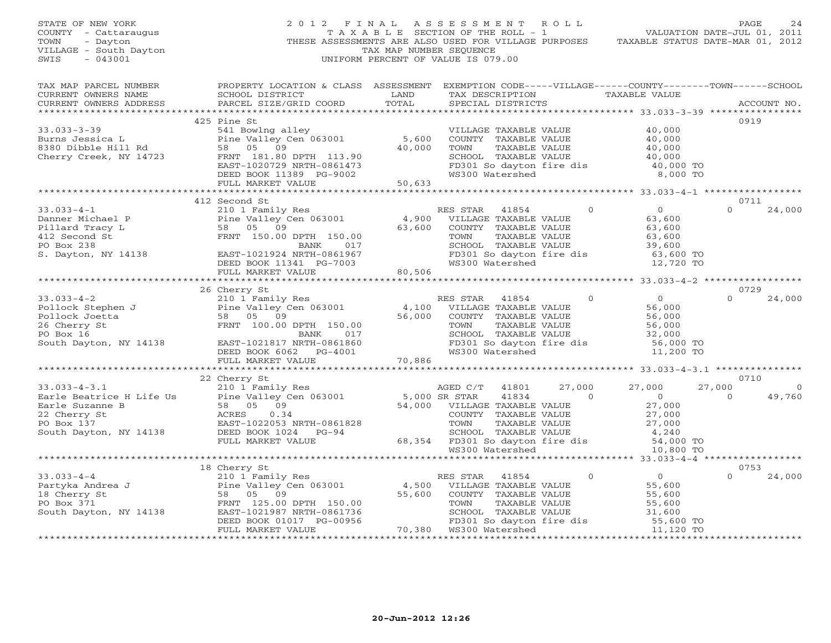| STATE OF NEW YORK<br>COUNTY - Cattaraugus<br>TOWN<br>- Dayton<br>VILLAGE - South Dayton<br>SWIS<br>$-043001$ | 2012 FINAL                                                                                                                                                                                                                             | TAX MAP NUMBER SEQUENCE | ASSESSMENT ROLL<br>T A X A B L E SECTION OF THE ROLL - 1<br>THESE ASSESSMENTS ARE ALSO USED FOR VILLAGE PURPOSES TAXABLE STATUS DATE-MAR 01, 2012<br>UNIFORM PERCENT OF VALUE IS 079.00 |                | VALUATION DATE-JUL 01, 2011                                                                                                                                                                                                                                                                                                                                                                                     | PAGE               | 24             |
|--------------------------------------------------------------------------------------------------------------|----------------------------------------------------------------------------------------------------------------------------------------------------------------------------------------------------------------------------------------|-------------------------|-----------------------------------------------------------------------------------------------------------------------------------------------------------------------------------------|----------------|-----------------------------------------------------------------------------------------------------------------------------------------------------------------------------------------------------------------------------------------------------------------------------------------------------------------------------------------------------------------------------------------------------------------|--------------------|----------------|
| TAX MAP PARCEL NUMBER<br>CURRENT OWNERS NAME<br>CURRENT OWNERS ADDRESS                                       | PROPERTY LOCATION & CLASS ASSESSMENT EXEMPTION CODE-----VILLAGE------COUNTY-------TOWN------SCHOOL<br>SCHOOL DISTRICT<br>PARCEL SIZE/GRID COORD                                                                                        | LAND<br>TOTAL           | TAX DESCRIPTION TAXABLE VALUE<br>SPECIAL DISTRICTS                                                                                                                                      |                |                                                                                                                                                                                                                                                                                                                                                                                                                 |                    | ACCOUNT NO.    |
|                                                                                                              | 425 Pine St                                                                                                                                                                                                                            |                         |                                                                                                                                                                                         |                |                                                                                                                                                                                                                                                                                                                                                                                                                 | 0919               |                |
| $33.033 - 3 - 39$                                                                                            |                                                                                                                                                                                                                                        |                         | VILLAGE TAXABLE VALUE                                                                                                                                                                   |                | 40,000                                                                                                                                                                                                                                                                                                                                                                                                          |                    |                |
| Burns Jessica L                                                                                              | 541 Bowlng alley<br>Pine Valley Cen 063001 5,600<br>58 05 09 40,000                                                                                                                                                                    |                         | COUNTY TAXABLE VALUE                                                                                                                                                                    |                |                                                                                                                                                                                                                                                                                                                                                                                                                 |                    |                |
| 8380 Dibble Hill Rd                                                                                          |                                                                                                                                                                                                                                        |                         | TAXABLE VALUE<br>TOWN                                                                                                                                                                   |                | 40,000<br>40,000                                                                                                                                                                                                                                                                                                                                                                                                |                    |                |
| Cherry Creek, NY 14723                                                                                       | FRNT 181.80 DPTH 113.90                                                                                                                                                                                                                |                         |                                                                                                                                                                                         |                | SCHOOL TAXABLE VALUE 40,000<br>FD301 So dayton fire dis 40,000 TO                                                                                                                                                                                                                                                                                                                                               |                    |                |
|                                                                                                              | EAST-1020729 NRTH-0861473                                                                                                                                                                                                              |                         |                                                                                                                                                                                         |                |                                                                                                                                                                                                                                                                                                                                                                                                                 |                    |                |
|                                                                                                              | DEED BOOK 11389 PG-9002                                                                                                                                                                                                                |                         | WS300 Watershed                                                                                                                                                                         |                | 8,000 TO                                                                                                                                                                                                                                                                                                                                                                                                        |                    |                |
|                                                                                                              | FULL MARKET VALUE                                                                                                                                                                                                                      | 50,633<br>************  |                                                                                                                                                                                         |                | ************************ 33.033-4-1 **************                                                                                                                                                                                                                                                                                                                                                              |                    |                |
|                                                                                                              | 412 Second St                                                                                                                                                                                                                          |                         |                                                                                                                                                                                         |                |                                                                                                                                                                                                                                                                                                                                                                                                                 | 0711               |                |
| $33.033 - 4 - 1$                                                                                             | 210 1 Family Res                                                                                                                                                                                                                       |                         | RES STAR<br>41854                                                                                                                                                                       | $\Omega$       | $\overline{0}$                                                                                                                                                                                                                                                                                                                                                                                                  | $\Omega$           | 24,000         |
|                                                                                                              |                                                                                                                                                                                                                                        | $4,900$<br>63           | VILLAGE TAXABLE VALUE                                                                                                                                                                   |                | 63,600                                                                                                                                                                                                                                                                                                                                                                                                          |                    |                |
|                                                                                                              | Pine Valley Cen 063001<br>58 05 09<br>Danner Michael P<br>Pillard Tracy L<br>412 Second St<br>PO Box 238<br>PO Box 238<br>PO Box 238<br>PO Box 238<br>PO Box 238<br>PO Box 238<br>PO Box 238<br>PO Box 238<br>PO Box 238<br>PO Box 238 | 63,600                  | COUNTY TAXABLE VALUE                                                                                                                                                                    |                | 63,600                                                                                                                                                                                                                                                                                                                                                                                                          |                    |                |
|                                                                                                              |                                                                                                                                                                                                                                        |                         | TAXABLE VALUE<br>TOWN                                                                                                                                                                   |                | 63,600                                                                                                                                                                                                                                                                                                                                                                                                          |                    |                |
|                                                                                                              |                                                                                                                                                                                                                                        |                         | SCHOOL TAXABLE VALUE                                                                                                                                                                    |                | 39,600                                                                                                                                                                                                                                                                                                                                                                                                          |                    |                |
| S. Dayton, NY 14138                                                                                          | EAST-1021924 NRTH-0861967                                                                                                                                                                                                              |                         |                                                                                                                                                                                         |                |                                                                                                                                                                                                                                                                                                                                                                                                                 |                    |                |
|                                                                                                              | DEED BOOK 11341 PG-7003                                                                                                                                                                                                                |                         |                                                                                                                                                                                         |                | FD301 So dayton fire dis 63,600 TO<br>WS300 Watershed 12,720 TO                                                                                                                                                                                                                                                                                                                                                 |                    |                |
|                                                                                                              | FULL MARKET VALUE                                                                                                                                                                                                                      | 80,506                  |                                                                                                                                                                                         |                |                                                                                                                                                                                                                                                                                                                                                                                                                 |                    |                |
|                                                                                                              |                                                                                                                                                                                                                                        |                         |                                                                                                                                                                                         |                |                                                                                                                                                                                                                                                                                                                                                                                                                 |                    |                |
|                                                                                                              | 26 Cherry St<br>Cherry St<br>210 1 Family Res<br>Pine Valley Cen 063001                                                                                                                                                                |                         |                                                                                                                                                                                         |                |                                                                                                                                                                                                                                                                                                                                                                                                                 | 0729               |                |
| $33.033 - 4 - 2$                                                                                             |                                                                                                                                                                                                                                        |                         | 41854<br>RES STAR                                                                                                                                                                       | $\overline{0}$ |                                                                                                                                                                                                                                                                                                                                                                                                                 | $\Omega$           | 24,000         |
| Pollock Stephen J<br>Pollock Joetta 58 05 09<br>26 Cherry St FRNT 100.00<br>PO Box 16                        |                                                                                                                                                                                                                                        | 4,100                   | VILLAGE TAXABLE VALUE                                                                                                                                                                   |                | $\begin{array}{c} 0 \\ 56,000 \\ 56,000 \\ 56,000 \\ 32,000 \\ \end{array}$                                                                                                                                                                                                                                                                                                                                     |                    |                |
|                                                                                                              | FRNT 100.00 DPTH 150.00                                                                                                                                                                                                                | 56,000                  | COUNTY TAXABLE VALUE<br>TOWN                                                                                                                                                            |                |                                                                                                                                                                                                                                                                                                                                                                                                                 |                    |                |
| PO Box 16                                                                                                    | 017<br>BANK                                                                                                                                                                                                                            |                         | SCHOOL TAXABLE VALUE                                                                                                                                                                    | TAXABLE VALUE  |                                                                                                                                                                                                                                                                                                                                                                                                                 |                    |                |
| South Dayton, NY 14138                                                                                       | EAST-1021817 NRTH-0861860                                                                                                                                                                                                              |                         | FD301 So dayton fire dis                                                                                                                                                                |                | 56,000 TO                                                                                                                                                                                                                                                                                                                                                                                                       |                    |                |
|                                                                                                              | DEED BOOK 6062 PG-4001                                                                                                                                                                                                                 |                         | WS300 Watershed                                                                                                                                                                         |                | 11,200 TO                                                                                                                                                                                                                                                                                                                                                                                                       |                    |                |
|                                                                                                              | FULL MARKET VALUE                                                                                                                                                                                                                      | 70,886                  |                                                                                                                                                                                         |                |                                                                                                                                                                                                                                                                                                                                                                                                                 |                    |                |
|                                                                                                              |                                                                                                                                                                                                                                        |                         |                                                                                                                                                                                         |                |                                                                                                                                                                                                                                                                                                                                                                                                                 |                    |                |
|                                                                                                              | 22 Cherry St<br>Cherry St<br>210 1 Family Res<br>Pine Valley Cen 063001 5,000 SR STAR 41834<br>54,000 VILLAGE TAXABLE VALUE<br>54,000 VILLAGE TAXABLE VALUE<br>COUNTY TAXABLE VALUE<br>TOWN TAXABLE VALUE                              |                         |                                                                                                                                                                                         |                |                                                                                                                                                                                                                                                                                                                                                                                                                 | 0710               |                |
| $33.033 - 4 - 3.1$                                                                                           |                                                                                                                                                                                                                                        |                         |                                                                                                                                                                                         | 27,000         |                                                                                                                                                                                                                                                                                                                                                                                                                 | 27,000             | $\overline{0}$ |
| e H Life Us B 10 1<br>B 58 6<br>ACRES <sub>RACT</sub><br>Earle Beatrice H Life Us                            |                                                                                                                                                                                                                                        |                         |                                                                                                                                                                                         | $\sim$ 0       | $27,000$<br>0<br>27,000<br>27.000                                                                                                                                                                                                                                                                                                                                                                               | $\Omega$           | 49,760         |
| Earle Suzanne B                                                                                              |                                                                                                                                                                                                                                        |                         |                                                                                                                                                                                         |                |                                                                                                                                                                                                                                                                                                                                                                                                                 |                    |                |
| 22 Cherry St                                                                                                 |                                                                                                                                                                                                                                        |                         | TOWN<br>SCHOOL TAXABLE VALUE<br>68,354 FD301 So dayton fire dis<br>WS300 Watershed<br>WS300 Watershed                                                                                   |                | 27,000<br>27,000                                                                                                                                                                                                                                                                                                                                                                                                |                    |                |
| PO Box 137                                                                                                   | EAST-1022053 NRTH-0861828                                                                                                                                                                                                              |                         |                                                                                                                                                                                         |                |                                                                                                                                                                                                                                                                                                                                                                                                                 |                    |                |
| South Dayton, NY 14138                                                                                       | DEED BOOK 1024 PG-94                                                                                                                                                                                                                   |                         |                                                                                                                                                                                         |                | 4,240                                                                                                                                                                                                                                                                                                                                                                                                           |                    |                |
|                                                                                                              | FULL MARKET VALUE                                                                                                                                                                                                                      |                         |                                                                                                                                                                                         |                | 54,000 TO                                                                                                                                                                                                                                                                                                                                                                                                       |                    |                |
|                                                                                                              |                                                                                                                                                                                                                                        |                         |                                                                                                                                                                                         |                | 10,800 TO                                                                                                                                                                                                                                                                                                                                                                                                       |                    |                |
|                                                                                                              | 18 Cherry St                                                                                                                                                                                                                           |                         |                                                                                                                                                                                         |                |                                                                                                                                                                                                                                                                                                                                                                                                                 | 0753               |                |
| $33.033 - 4 - 4$                                                                                             | 210 1 Family Res                                                                                                                                                                                                                       |                         | RES STAR<br>41854                                                                                                                                                                       | $\circ$        | $\overline{0}$                                                                                                                                                                                                                                                                                                                                                                                                  | $\Omega$           | 24,000         |
| Partyka Andrea J                                                                                             |                                                                                                                                                                                                                                        | $\frac{4}{500}$ , 500   | VILLAGE TAXABLE VALUE                                                                                                                                                                   |                | 55,600                                                                                                                                                                                                                                                                                                                                                                                                          |                    |                |
| 18 Cherry St                                                                                                 | 58 05 09<br>FRNT 125.00 DPTH 150.00                                                                                                                                                                                                    | 55,600                  | COUNTY TAXABLE VALUE                                                                                                                                                                    |                | 55,600                                                                                                                                                                                                                                                                                                                                                                                                          |                    |                |
| PO Box 371                                                                                                   |                                                                                                                                                                                                                                        |                         |                                                                                                                                                                                         |                |                                                                                                                                                                                                                                                                                                                                                                                                                 |                    |                |
| South Dayton, NY 14138                                                                                       | EAST-1021987 NRTH-0861736                                                                                                                                                                                                              |                         |                                                                                                                                                                                         |                |                                                                                                                                                                                                                                                                                                                                                                                                                 |                    |                |
|                                                                                                              | DEED BOOK 01017 PG-00956                                                                                                                                                                                                               |                         |                                                                                                                                                                                         |                | $\begin{tabular}{lllllllllll} \multicolumn{4}{c}{\textbf{55,600}} & \multicolumn{4}{c}{\textbf{55,600}} \\ \textbf{FD301 So dayton fire dis} & \multicolumn{4}{c}{\textbf{31,600}} \\ \textbf{W31,600} & \textbf{NO & 55,600 TO} \\ \textbf{W3100} & \textbf{Me} & \textbf{S10} & \textbf{55,600 TO} \\ \textbf{W3100} & \textbf{M31,600} & \multicolumn{4}{c}{\textbf{55,600 TO}} \\ \textbf{W310} & \textbf{$ |                    |                |
|                                                                                                              | FULL MARKET VALUE                                                                                                                                                                                                                      |                         | 70,380 WS300 Watershed                                                                                                                                                                  |                |                                                                                                                                                                                                                                                                                                                                                                                                                 |                    |                |
|                                                                                                              |                                                                                                                                                                                                                                        |                         |                                                                                                                                                                                         |                |                                                                                                                                                                                                                                                                                                                                                                                                                 | <b>+++++++++++</b> |                |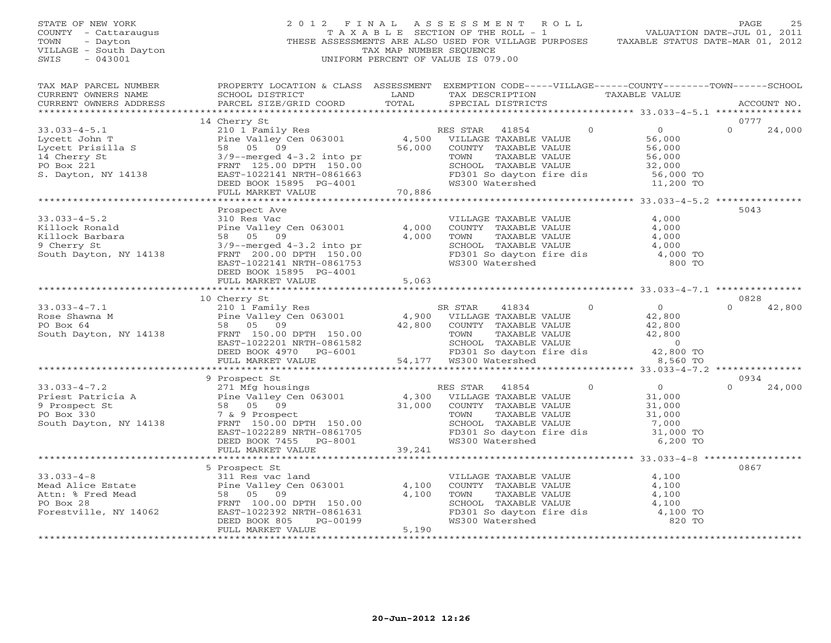STATE OF NEW YORK 2 0 1 2 F I N A L A S S E S S M E N T R O L L COUNTY - Cattaraugus T A X A B L E SECTION OF THE ROLL - 1<br>TOWN - Dayton - THESE ASSESSMENTS ARE ALSO USED FOR VILLAGE PU<br>VILLAGE - South Dayton - THESE ASSESSMENTS ARE ALSO USED FOR VILLAGE PU THESE ASSESSMENTS ARE ALSO USED FOR VILLAGE PURPOSE VILLAGE - South Dayton TAX MAP NUMBER SEQUENCE SWIS - 043001 SWIS - 043001 UNIFORM PERCENT OF VALUE IS 079.00

PAGE 25<br>771117 TON DATE THE 01 2011

|     |  | VALUATION DATE-JUL UI, ZUII      |  |
|-----|--|----------------------------------|--|
| F.S |  | TAXABLE STATUS DATE-MAR 01, 2012 |  |

| TAX MAP PARCEL NUMBER<br>CURRENT OWNERS NAME<br>CURRENT OWNERS ADDRESS                                                                                                                                                                                       | SCHOOL DISTRICT<br>PARCEL SIZE/GRID COORD                                                                                                                                              | LAND<br>TOTAL  | PROPERTY LOCATION & CLASS ASSESSMENT EXEMPTION CODE-----VILLAGE------COUNTY-------TOWN------SCHOOL<br>TAX DESCRIPTION TAXABLE VALUE<br>SPECIAL DISTRICTS                                                                   |                                                                                         | ACCOUNT NO.                |
|--------------------------------------------------------------------------------------------------------------------------------------------------------------------------------------------------------------------------------------------------------------|----------------------------------------------------------------------------------------------------------------------------------------------------------------------------------------|----------------|----------------------------------------------------------------------------------------------------------------------------------------------------------------------------------------------------------------------------|-----------------------------------------------------------------------------------------|----------------------------|
|                                                                                                                                                                                                                                                              |                                                                                                                                                                                        |                |                                                                                                                                                                                                                            |                                                                                         |                            |
|                                                                                                                                                                                                                                                              | 14 Cherry St                                                                                                                                                                           |                |                                                                                                                                                                                                                            |                                                                                         | 0777                       |
| $33.033 - 4 - 5.1$<br>Lycett John T<br>Lycett Prisilla S<br>14 Cherry St<br>PO Box 221<br>S. Dayton, NY 14138                                                                                                                                                | 210 1 Family Res<br>Pine Valley Cen 063001 4,500<br>58 05 09<br>$3/9$ --merged $4-3.2$ into pr<br>FRNT 125.00 DPTH 150.00<br>EAST-1022141 NRTH-0861663<br>DEED BOOK 15895 PG-4001      | 56,000         | $\overline{0}$<br>RES STAR<br>41854<br>VILLAGE TAXABLE VALUE<br>COUNTY TAXABLE VALUE<br>TOWN<br>TAXABLE VALUE<br>SCHOOL TAXABLE VALUE<br>FD301 So dayton fire dis<br>FD301 So dayton fire dis 56,000 TO<br>WS300 Watershed | $0 \qquad \qquad$<br>56,000<br>ხა<br>56,0სა<br>32,000<br>56,0 <sup>r</sup><br>11,200 TO | $\Omega$<br>24,000         |
|                                                                                                                                                                                                                                                              | FULL MARKET VALUE                                                                                                                                                                      | 70,886         |                                                                                                                                                                                                                            |                                                                                         |                            |
|                                                                                                                                                                                                                                                              |                                                                                                                                                                                        |                |                                                                                                                                                                                                                            |                                                                                         |                            |
| $33.033 - 4 - 5.2$<br>Killock Ronald<br>Killock Barbara<br>9 Cherry St<br>South Dayton, NY 14138                                                                                                                                                             | Prospect Ave<br>310 Res Vac<br>Pine Valley Cen 063001<br>58 05 09<br>$3/9$ --merged $4-3.2$ into pr<br>FRNT 200.00 DPTH 150.00<br>EAST-1022141 NRTH-0861753<br>DEED BOOK 15895 PG-4001 | 4,000<br>4,000 | VILLAGE TAXABLE VALUE 4,000<br>COUNTY TAXABLE VALUE<br>TOWN      TAXABLE VALUE<br>TOWN TAXABLE VALUE<br>SCHOOL TAXABLE VALUE<br>FD301 So dayton fire dis 4,000 TO<br>WS300 Watershed 800 TO                                | 4,000<br>4,000                                                                          | 5043                       |
|                                                                                                                                                                                                                                                              |                                                                                                                                                                                        |                |                                                                                                                                                                                                                            |                                                                                         |                            |
|                                                                                                                                                                                                                                                              |                                                                                                                                                                                        |                |                                                                                                                                                                                                                            |                                                                                         |                            |
|                                                                                                                                                                                                                                                              | 10 Cherry St                                                                                                                                                                           |                | $\overline{0}$                                                                                                                                                                                                             |                                                                                         | 0828<br>$\Omega$<br>42,800 |
| 33.033-4-7.1<br>Rose Shawna M<br>PO Box 64<br>Sendang Maria (1938) 19 and 19 and 19 and 19 and 19 and 19 and 19 and 19 and 19 and 19 and 19 and 19 and 19 and 19 and 19 and 19 and 19 and 19 and 19 and 19 and 19 and 19 and 19 and                          | EAST-1022201 NRTH-0861582<br>DEED BOOK 4970 $PG-6001$                                                                                                                                  |                | 42,800 COUNTY TAXABLE VALUE 42,800<br>TOWN TAXABLE VALUE 42,800<br>SCHOOL TAXABLE VALUE 42,800<br>FD301 So dayton fire dis 42,800 TO                                                                                       | $\begin{array}{c} 0 \\ 42,800 \end{array}$                                              |                            |
|                                                                                                                                                                                                                                                              | FULL MARKET VALUE                                                                                                                                                                      |                | 54,177 WS300 Watershed                                                                                                                                                                                                     | 8,560 TO                                                                                |                            |
|                                                                                                                                                                                                                                                              | *****************************                                                                                                                                                          |                | ***********************************                                                                                                                                                                                        | ********** 33.033-4-7.2 ***************                                                 |                            |
|                                                                                                                                                                                                                                                              | 9 Prospect St                                                                                                                                                                          |                |                                                                                                                                                                                                                            |                                                                                         | 0934                       |
| 33.033-4-7.2<br>Priest Patricia A<br>Priest Patricia A<br>Prospect St<br>Po Box 330<br>Po Box 330<br>South Dayton, NY 14138<br>PRNT 150.00 DPTH 150.00<br>PO Box 330<br>PO Box 330<br>PO Box 330<br>PO Box 330<br>PO Box 330<br>PO Box 320<br>PO Box 320<br> | FRNT 150.00 DEIN 150.00<br>EAST-1022289 NRTH-0861705<br>FEED DOOF 7455 DC-8001<br>DEED BOOK 7455 PG-8001<br>FULL MARKET VALUE                                                          | 39,241         | $\overline{0}$<br>TAXABLE VALUE<br>SCHOOL TAXABLE VALUE $7,000$<br>FD301 So dayton fire dis 31,000 TO<br>WS300 Watershed 6,200 TO                                                                                          | $\begin{array}{c} 0 \\ 31,000 \end{array}$<br>$31,000$<br>$31,000$                      | $\Omega$<br>24,000         |
|                                                                                                                                                                                                                                                              |                                                                                                                                                                                        |                |                                                                                                                                                                                                                            |                                                                                         |                            |
| $33.033 - 4 - 8$<br>PO Box 28<br>Forestville, NY 14062                                                                                                                                                                                                       | 5 Prospect St<br>311 Res vac land<br>FRNT 100.00 DPTH 150.00<br>EAST-1022392 NRTH-0861631<br>DEED BOOK 805<br>PG-00199                                                                 | 4,100<br>4,100 | VILLAGE TAXABLE VALUE<br>COUNTY TAXABLE VALUE<br>TOWN      TAXABLE VALUE<br>SCHOOL TAXABLE VALUE 4,100<br>FD301 So dayton fire dis 4,100 TO<br>WS300 Watershed                                                             | 4,100<br>4,100<br>4,100<br>820 TO                                                       | 0867                       |
|                                                                                                                                                                                                                                                              | FULL MARKET VALUE                                                                                                                                                                      | 5,190          |                                                                                                                                                                                                                            |                                                                                         |                            |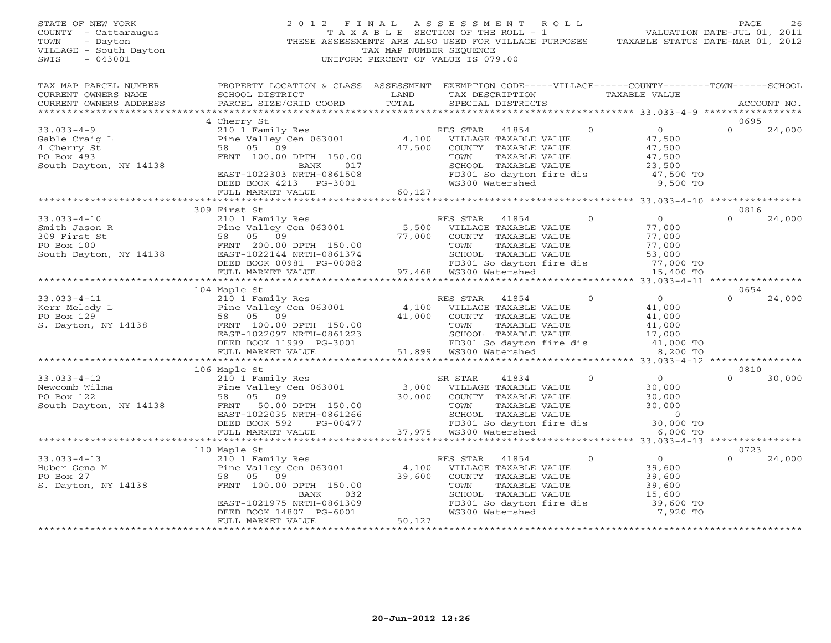STATE OF NEW YORK 2 0 1 2 F I N A L A S S E S S M E N T R O L L PAGE 26 COUNTY - Cattaraugus T A X A B L E SECTION OF THE ROLL - 1 VALUATION DATE-JUL 01, 2011 TOWN - Dayton THESE ASSESSMENTS ARE ALSO USED FOR VILLAGE PURPOSES TAXABLE STATUS DATE-MAR 01, 2012 VILLAGE - South Dayton TAX MAP NUMBER SEQUENCE<br>SWIS - 043001 UNIFORM PERCENT OF VALUE IS 079.00

| TAX MAP PARCEL NUMBER | PROPERTY LOCATION & CLASS ASSESSMENT EXEMPTION CODE-----VILLAGE------COUNTY-------TOWN------SCHOOL                                                                                                                                                   |         |                                                                  |                                                        |                    |
|-----------------------|------------------------------------------------------------------------------------------------------------------------------------------------------------------------------------------------------------------------------------------------------|---------|------------------------------------------------------------------|--------------------------------------------------------|--------------------|
|                       |                                                                                                                                                                                                                                                      |         | TAX DESCRIPTION                                                  | TAXABLE VALUE                                          |                    |
|                       |                                                                                                                                                                                                                                                      |         | SPECIAL DISTRICTS                                                |                                                        | ACCOUNT NO.        |
|                       |                                                                                                                                                                                                                                                      |         |                                                                  |                                                        |                    |
|                       | 4 Cherry St                                                                                                                                                                                                                                          |         |                                                                  |                                                        | 0695               |
|                       |                                                                                                                                                                                                                                                      |         |                                                                  |                                                        | 24,000<br>$\Omega$ |
|                       |                                                                                                                                                                                                                                                      |         |                                                                  |                                                        |                    |
|                       |                                                                                                                                                                                                                                                      |         |                                                                  |                                                        |                    |
|                       |                                                                                                                                                                                                                                                      |         |                                                                  |                                                        |                    |
|                       |                                                                                                                                                                                                                                                      |         |                                                                  |                                                        |                    |
|                       |                                                                                                                                                                                                                                                      |         |                                                                  |                                                        |                    |
|                       | EAST-1022303 NRTH-0861508 FD301 So dayton<br>DEED BOOK 4213 PG-3001 WS300 Watershed                                                                                                                                                                  |         | FD301 So dayton fire dis $47,500$ TO<br>WS300 Watershed 9,500 TO |                                                        |                    |
|                       | FULL MARKET VALUE                                                                                                                                                                                                                                    | 60,127  |                                                                  |                                                        |                    |
|                       |                                                                                                                                                                                                                                                      |         |                                                                  |                                                        |                    |
|                       | 309 First St                                                                                                                                                                                                                                         |         |                                                                  |                                                        | 0816               |
|                       | 33.033-4-10<br>Smith Jason R<br>309 First St<br>210 1 Family Res<br>Pine Valley Cen 063001<br>201.00 Tem 063001<br>201.00 Fine Valley Cen 063001<br>201.00 DPTH 150.00<br>201.00 TOWN TAXABLE VALUE<br>201.00 TOWN TAXABLE VALUE<br>277,000<br>277,0 |         |                                                                  |                                                        | 24,000<br>$\cap$   |
|                       |                                                                                                                                                                                                                                                      |         |                                                                  |                                                        |                    |
|                       |                                                                                                                                                                                                                                                      |         |                                                                  |                                                        |                    |
|                       |                                                                                                                                                                                                                                                      |         |                                                                  |                                                        |                    |
|                       |                                                                                                                                                                                                                                                      |         |                                                                  |                                                        |                    |
|                       |                                                                                                                                                                                                                                                      |         |                                                                  |                                                        |                    |
|                       |                                                                                                                                                                                                                                                      |         |                                                                  |                                                        |                    |
|                       |                                                                                                                                                                                                                                                      |         |                                                                  |                                                        |                    |
|                       | 104 Maple St                                                                                                                                                                                                                                         |         |                                                                  |                                                        | 0654               |
|                       |                                                                                                                                                                                                                                                      |         |                                                                  |                                                        |                    |
|                       |                                                                                                                                                                                                                                                      |         |                                                                  |                                                        |                    |
|                       |                                                                                                                                                                                                                                                      |         |                                                                  |                                                        |                    |
|                       |                                                                                                                                                                                                                                                      |         |                                                                  |                                                        |                    |
|                       |                                                                                                                                                                                                                                                      |         |                                                                  |                                                        |                    |
|                       |                                                                                                                                                                                                                                                      |         |                                                                  |                                                        |                    |
|                       |                                                                                                                                                                                                                                                      |         |                                                                  |                                                        |                    |
|                       |                                                                                                                                                                                                                                                      |         |                                                                  |                                                        |                    |
|                       |                                                                                                                                                                                                                                                      |         |                                                                  |                                                        |                    |
|                       | 106 Maple St                                                                                                                                                                                                                                         |         |                                                                  |                                                        | 0810               |
|                       |                                                                                                                                                                                                                                                      |         |                                                                  |                                                        | $\Omega$<br>30,000 |
|                       |                                                                                                                                                                                                                                                      |         |                                                                  |                                                        |                    |
|                       |                                                                                                                                                                                                                                                      |         |                                                                  |                                                        |                    |
|                       |                                                                                                                                                                                                                                                      |         |                                                                  |                                                        |                    |
|                       |                                                                                                                                                                                                                                                      |         |                                                                  | $\begin{array}{c} 0 \\ 30,000 \ \text{TO} \end{array}$ |                    |
|                       |                                                                                                                                                                                                                                                      |         |                                                                  |                                                        |                    |
|                       |                                                                                                                                                                                                                                                      |         |                                                                  | 6,000 TO                                               |                    |
|                       |                                                                                                                                                                                                                                                      |         |                                                                  |                                                        |                    |
|                       | 110 Maple St                                                                                                                                                                                                                                         |         |                                                                  |                                                        | 0723               |
|                       |                                                                                                                                                                                                                                                      |         | RES STAR 41854 0 0 0                                             |                                                        | $\Omega$<br>24,000 |
|                       | 33.033-4-13<br>Huber Gena M<br>PO Box 27<br>S. Dayton, NY 14138<br>Huber Gena M<br>PO Box 27<br>S. Dayton, NY 14138<br>PRNT 100.00 DPTH 150.00<br>PRNT 100.00 DPTH 150.00                                                                            |         | 4,100 VILLAGE TAXABLE VALUE<br>39,600 COUNTY TAXABLE VALUE       |                                                        |                    |
|                       |                                                                                                                                                                                                                                                      | 39,600  |                                                                  |                                                        |                    |
|                       |                                                                                                                                                                                                                                                      |         |                                                                  |                                                        |                    |
|                       |                                                                                                                                                                                                                                                      |         |                                                                  |                                                        |                    |
|                       | BANK 032<br>EAST-1021975 NRTH-0861309<br>DEED BOOK 14807 PG-6001                                                                                                                                                                                     |         |                                                                  | 39,600 TO<br>7,920 TO                                  |                    |
|                       |                                                                                                                                                                                                                                                      |         |                                                                  |                                                        |                    |
|                       | FULL MARKET VALUE                                                                                                                                                                                                                                    | 50, 127 |                                                                  |                                                        |                    |
|                       |                                                                                                                                                                                                                                                      |         |                                                                  |                                                        |                    |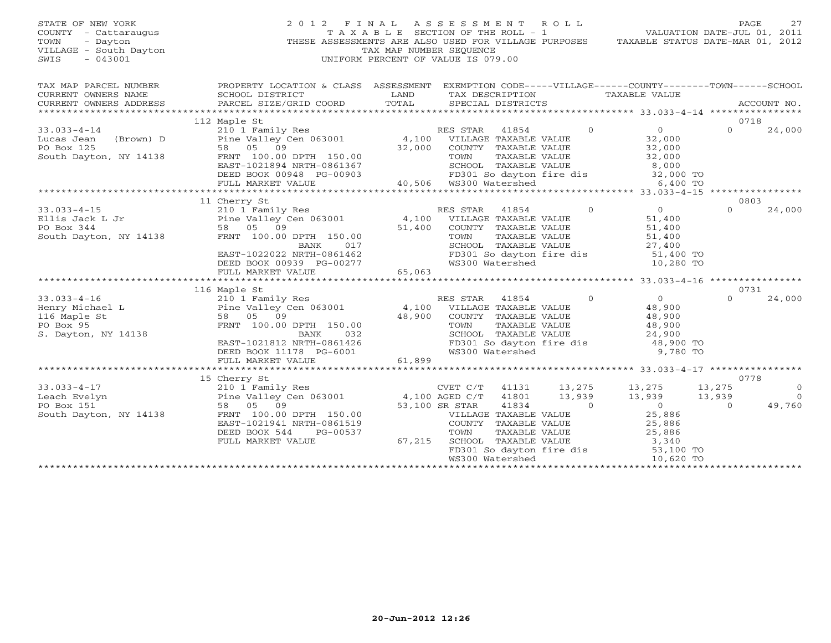#### STATE OF NEW YORK 2 0 1 2 F I N A L A S S E S S M E N T R O L L PAGE 27 COUNTY - Cattaraugus T A X A B L E SECTION OF THE ROLL - 1 VALUATION DATE-JUL 01, 2011 TOWN - Dayton - Dayton 1999<br>
THESE ASSESSMENTS ARE ALSO USED FOR VILLAGE PURPOSES TAXABLE STATUS DATE-MAR 01, 2012<br>
TAX MAP NUMBER SEQUENCE VILLAGE - South Dayton TAX MAP NUMBER SEQUENCE<br>SWIS - 043001 SWIS - 043001 UNIFORM PERCENT OF VALUE IS 079.00

| TAX MAP PARCEL NUMBER<br>CURRENT OWNERS NAME | PROPERTY LOCATION & CLASS ASSESSMENT EXEMPTION CODE-----VILLAGE------COUNTY-------TOWN------SCHOOL<br>SCHOOL DISTRICT                                                                                                                                                      | <b>EXAMPLE SERVICE SERVICE SERVICE SERVICE SERVICE SERVICE SERVICE SERVICE SERVICE SERVICE SERVICE SERVICE SERVICE</b> | TAX DESCRIPTION TAXABLE VALUE                                                                                                                                                                                 |                                                               |                           |
|----------------------------------------------|----------------------------------------------------------------------------------------------------------------------------------------------------------------------------------------------------------------------------------------------------------------------------|------------------------------------------------------------------------------------------------------------------------|---------------------------------------------------------------------------------------------------------------------------------------------------------------------------------------------------------------|---------------------------------------------------------------|---------------------------|
| CURRENT OWNERS ADDRESS                       |                                                                                                                                                                                                                                                                            |                                                                                                                        |                                                                                                                                                                                                               |                                                               |                           |
|                                              |                                                                                                                                                                                                                                                                            |                                                                                                                        |                                                                                                                                                                                                               |                                                               |                           |
|                                              | 112 Maple St                                                                                                                                                                                                                                                               |                                                                                                                        |                                                                                                                                                                                                               |                                                               | 0718                      |
| $33.033 - 4 - 14$                            | 210 1 Family Res                                                                                                                                                                                                                                                           | RES STAR                                                                                                               | 41854                                                                                                                                                                                                         | $\overline{0}$<br>$0 \qquad \qquad$                           | $\Omega$<br>24,000        |
| Lucas Jean<br>(Brown) D                      | Pine Valley Cen 063001 $\frac{1}{4}$ , 100 VILLAGE TAXABLE VALUE                                                                                                                                                                                                           |                                                                                                                        |                                                                                                                                                                                                               | 32,000                                                        |                           |
|                                              |                                                                                                                                                                                                                                                                            |                                                                                                                        |                                                                                                                                                                                                               |                                                               |                           |
|                                              |                                                                                                                                                                                                                                                                            |                                                                                                                        |                                                                                                                                                                                                               | 32,000<br>32,000                                              |                           |
|                                              |                                                                                                                                                                                                                                                                            |                                                                                                                        | SCHOOL TAXABLE VALUE 8,000                                                                                                                                                                                    |                                                               |                           |
|                                              | DEED BOOK 00948 PG-00903 FD301 So dayton<br>FULL MARKET VALUE 40,506 WS300 Watershed                                                                                                                                                                                       |                                                                                                                        | FD301 So dayton fire dis 32,000 TO<br>WS300 Watershed 6,400 TO                                                                                                                                                |                                                               |                           |
|                                              |                                                                                                                                                                                                                                                                            |                                                                                                                        |                                                                                                                                                                                                               |                                                               |                           |
|                                              |                                                                                                                                                                                                                                                                            |                                                                                                                        |                                                                                                                                                                                                               |                                                               |                           |
|                                              | 210 1 Family Res<br>Pine Valley Cen 063001 Manuson Music And Music Paxable Value<br>58 05 09 51.400 COUNTY TAXABLE VALUE                                                                                                                                                   |                                                                                                                        |                                                                                                                                                                                                               |                                                               | 0803                      |
| $33.033 - 4 - 15$                            |                                                                                                                                                                                                                                                                            |                                                                                                                        | RES STAR 41854 0 0<br>VILLAGE TAXABLE VALUE 51,400                                                                                                                                                            |                                                               | $\Omega$<br>24,000        |
| Ellis Jack L Jr                              |                                                                                                                                                                                                                                                                            |                                                                                                                        |                                                                                                                                                                                                               |                                                               |                           |
| PO Box 344                                   |                                                                                                                                                                                                                                                                            |                                                                                                                        |                                                                                                                                                                                                               |                                                               |                           |
| South Dayton, NY 14138                       |                                                                                                                                                                                                                                                                            |                                                                                                                        |                                                                                                                                                                                                               |                                                               |                           |
|                                              | FRNT 100.00 DPTH 150.00<br>FRNT 100.00 DPTH 150.00<br>BANK 017<br>EAST-1022022 NRTH-0861462<br>DEAST-1022022 NRTH-0861462<br>DEAST-1022022 NRTH-0861462<br>DEAST-1022022 NRTH-0861462<br>DEAST-1022022 NRTH-0861462<br>DEAST-1022023 NRTH-0861                             |                                                                                                                        |                                                                                                                                                                                                               |                                                               |                           |
|                                              |                                                                                                                                                                                                                                                                            |                                                                                                                        |                                                                                                                                                                                                               |                                                               |                           |
|                                              | DEED BOOK 00939 PG-00277<br>FULL MARKET VALUE 65,063                                                                                                                                                                                                                       |                                                                                                                        |                                                                                                                                                                                                               |                                                               |                           |
|                                              |                                                                                                                                                                                                                                                                            |                                                                                                                        |                                                                                                                                                                                                               |                                                               |                           |
|                                              | 116 Maple St                                                                                                                                                                                                                                                               |                                                                                                                        |                                                                                                                                                                                                               |                                                               | 0731                      |
|                                              |                                                                                                                                                                                                                                                                            |                                                                                                                        |                                                                                                                                                                                                               |                                                               | 24,000<br>$\Omega$        |
|                                              |                                                                                                                                                                                                                                                                            |                                                                                                                        |                                                                                                                                                                                                               |                                                               |                           |
|                                              |                                                                                                                                                                                                                                                                            |                                                                                                                        |                                                                                                                                                                                                               |                                                               |                           |
|                                              | 33.033-4-16<br>Henry Michael L 210 1 Family Res<br>Fine Valley Cen 063001 4,100 VILLAGE TAXABLE VALUE<br>116 Maple St 58 05 09<br>PO Box 95<br>PO Box 95<br>PO Box 95<br>PO Box 95<br>PO Box 95<br>58 05 09 48,900<br>FRNT 100.00 DPTH 150.00<br>EAST-1021812 NRTH-0861426 |                                                                                                                        | RES STAR 41854 0<br>VILLAGE TAXABLE VALUE 48,900<br>COUNTY TAXABLE VALUE 48,900<br>TOWN TAXABLE VALUE 48,900<br>SCHOOL TAXABLE VALUE 24,900<br>FD301 So dayton fire dis 48,900 TO<br>WS300 Watershed 9,780 TO |                                                               |                           |
| S. Dayton, NY 14138                          |                                                                                                                                                                                                                                                                            |                                                                                                                        |                                                                                                                                                                                                               |                                                               |                           |
|                                              |                                                                                                                                                                                                                                                                            |                                                                                                                        |                                                                                                                                                                                                               |                                                               |                           |
|                                              | DEED BOOK 11178 PG-6001                                                                                                                                                                                                                                                    |                                                                                                                        |                                                                                                                                                                                                               |                                                               |                           |
|                                              | FULL MARKET VALUE                                                                                                                                                                                                                                                          | 61,899                                                                                                                 |                                                                                                                                                                                                               |                                                               |                           |
|                                              |                                                                                                                                                                                                                                                                            |                                                                                                                        |                                                                                                                                                                                                               |                                                               |                           |
|                                              | 15 Cherry St<br>15 Cherry St<br>210 1 Family Res<br>Pine Valley Cen 063001 4,100 AGED C/T 41801<br>58 05 09 53,100 SR STAR 41834                                                                                                                                           |                                                                                                                        |                                                                                                                                                                                                               |                                                               | 0778                      |
| $33.033 - 4 - 17$                            |                                                                                                                                                                                                                                                                            |                                                                                                                        |                                                                                                                                                                                                               | 41131 13,275 13,275 13,275                                    | $\overline{0}$            |
| Leach Evelyn                                 |                                                                                                                                                                                                                                                                            |                                                                                                                        | 13,939<br>$\overline{0}$                                                                                                                                                                                      | $\begin{array}{ccc} 13,939 & & 13,939 \\ 0 & & 0 \end{array}$ | $\overline{0}$<br>39<br>0 |
| PO Box 151<br>South Dayton, NY 14138         | FRNT 100.00 DPTH 150.00                                                                                                                                                                                                                                                    |                                                                                                                        |                                                                                                                                                                                                               |                                                               | 49,760                    |
|                                              | EAST-1021941 NRTH-0861519                                                                                                                                                                                                                                                  |                                                                                                                        | VILLAGE TAXABLE VALUE                                                                                                                                                                                         | 25,886                                                        |                           |
|                                              | DEED BOOK 544<br>PG-00537                                                                                                                                                                                                                                                  |                                                                                                                        | COUNTY TAXABLE VALUE $25,886$<br>TOWN TAXABLE VALUE $25,886$<br>SCHOOL TAXABLE VALUE $3,340$                                                                                                                  |                                                               |                           |
|                                              | FULL MARKET VALUE                                                                                                                                                                                                                                                          | 67,215                                                                                                                 |                                                                                                                                                                                                               |                                                               |                           |
|                                              |                                                                                                                                                                                                                                                                            |                                                                                                                        | FD301 So dayton fire dis 53,100 TO                                                                                                                                                                            |                                                               |                           |
|                                              |                                                                                                                                                                                                                                                                            |                                                                                                                        | WS300 Watershed                                                                                                                                                                                               | $10,620$ TO                                                   |                           |
|                                              |                                                                                                                                                                                                                                                                            |                                                                                                                        |                                                                                                                                                                                                               |                                                               |                           |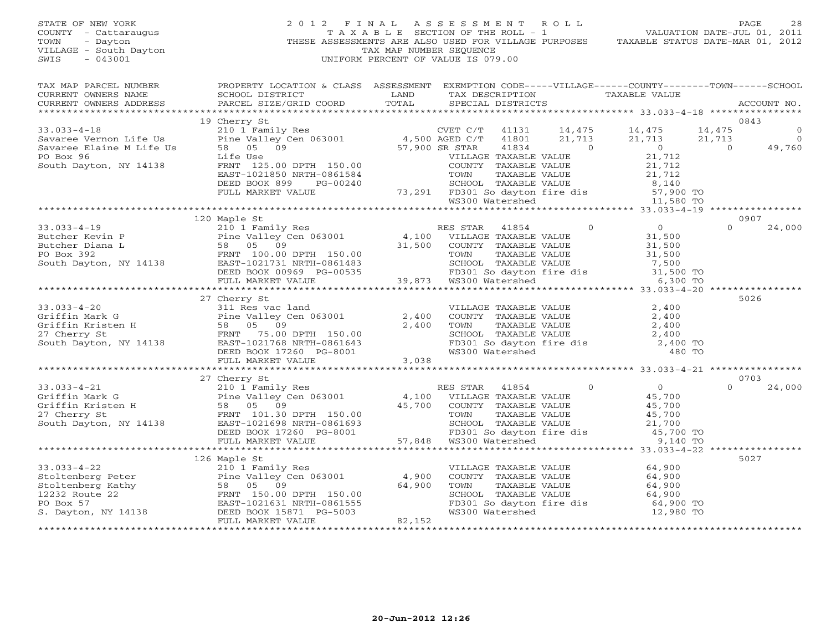# STATE OF NEW YORK 2 0 1 2 F I N A L A S S E S S M E N T R O L L PAGE 28 COUNTY - Cattaraugus T A X A B L E SECTION OF THE ROLL - 1 VALUATION DATE-JUL 01, 2011 VILLAGE - South Dayton TAX MAP NUMBER SEQUENCE<br>SWIS - 043001 SWIS - 043001 UNIFORM PERCENT OF VALUE IS 079.00

TOWN - Dayton THESE ASSESSMENTS ARE ALSO USED FOR VILLAGE PURPOSES TAXABLE STATUS DATE-MAR 01, 2012 TAX MAP PARCEL NUMBER PROPERTY LOCATION & CLASS ASSESSMENT EXEMPTION CODE-----VILLAGE------COUNTY--------TOWN------SCHOOL

| IAA MAF FARCED NOMBER | LUGBITOM & CHUSS WOODSMENT EVENITIOM CODE-----ATTHYGE-----COOMII------IOMM                                                                                                                                                                                                                                                                                                                              |  |  |  |      |
|-----------------------|---------------------------------------------------------------------------------------------------------------------------------------------------------------------------------------------------------------------------------------------------------------------------------------------------------------------------------------------------------------------------------------------------------|--|--|--|------|
|                       |                                                                                                                                                                                                                                                                                                                                                                                                         |  |  |  |      |
|                       |                                                                                                                                                                                                                                                                                                                                                                                                         |  |  |  |      |
|                       |                                                                                                                                                                                                                                                                                                                                                                                                         |  |  |  |      |
|                       | 19 Cherry St<br>$\begin{tabular}{lllllllllllll} 33.033-4-18 & 19 \mbox{Cherry St}& 21.713 & 14.475 & 14.475 & 14.475 & 14.475 & 14.475 & 14.475 & 14.475 & 14.475 & 14.475 & 14.475 & 14.475 & 14.475 & 14.475 & 14.475 & 14.475 & 14.475 & 14.475 & 14.475 & 14.475 & 14.475 & 14.475 & 14.47$                                                                                                         |  |  |  |      |
|                       |                                                                                                                                                                                                                                                                                                                                                                                                         |  |  |  |      |
|                       |                                                                                                                                                                                                                                                                                                                                                                                                         |  |  |  |      |
|                       |                                                                                                                                                                                                                                                                                                                                                                                                         |  |  |  |      |
|                       |                                                                                                                                                                                                                                                                                                                                                                                                         |  |  |  |      |
|                       |                                                                                                                                                                                                                                                                                                                                                                                                         |  |  |  |      |
|                       |                                                                                                                                                                                                                                                                                                                                                                                                         |  |  |  |      |
|                       |                                                                                                                                                                                                                                                                                                                                                                                                         |  |  |  |      |
|                       |                                                                                                                                                                                                                                                                                                                                                                                                         |  |  |  |      |
|                       |                                                                                                                                                                                                                                                                                                                                                                                                         |  |  |  |      |
|                       |                                                                                                                                                                                                                                                                                                                                                                                                         |  |  |  |      |
|                       | 120 Maple St                                                                                                                                                                                                                                                                                                                                                                                            |  |  |  | 0907 |
|                       |                                                                                                                                                                                                                                                                                                                                                                                                         |  |  |  |      |
|                       |                                                                                                                                                                                                                                                                                                                                                                                                         |  |  |  |      |
|                       |                                                                                                                                                                                                                                                                                                                                                                                                         |  |  |  |      |
|                       |                                                                                                                                                                                                                                                                                                                                                                                                         |  |  |  |      |
|                       |                                                                                                                                                                                                                                                                                                                                                                                                         |  |  |  |      |
|                       |                                                                                                                                                                                                                                                                                                                                                                                                         |  |  |  |      |
|                       |                                                                                                                                                                                                                                                                                                                                                                                                         |  |  |  |      |
|                       |                                                                                                                                                                                                                                                                                                                                                                                                         |  |  |  |      |
|                       | 27 Cherry St                                                                                                                                                                                                                                                                                                                                                                                            |  |  |  | 5026 |
|                       |                                                                                                                                                                                                                                                                                                                                                                                                         |  |  |  |      |
|                       |                                                                                                                                                                                                                                                                                                                                                                                                         |  |  |  |      |
|                       |                                                                                                                                                                                                                                                                                                                                                                                                         |  |  |  |      |
|                       |                                                                                                                                                                                                                                                                                                                                                                                                         |  |  |  |      |
|                       |                                                                                                                                                                                                                                                                                                                                                                                                         |  |  |  |      |
|                       |                                                                                                                                                                                                                                                                                                                                                                                                         |  |  |  |      |
|                       |                                                                                                                                                                                                                                                                                                                                                                                                         |  |  |  |      |
|                       |                                                                                                                                                                                                                                                                                                                                                                                                         |  |  |  |      |
|                       | 27 Cherry St                                                                                                                                                                                                                                                                                                                                                                                            |  |  |  | 0703 |
|                       |                                                                                                                                                                                                                                                                                                                                                                                                         |  |  |  |      |
|                       |                                                                                                                                                                                                                                                                                                                                                                                                         |  |  |  |      |
|                       |                                                                                                                                                                                                                                                                                                                                                                                                         |  |  |  |      |
|                       |                                                                                                                                                                                                                                                                                                                                                                                                         |  |  |  |      |
|                       |                                                                                                                                                                                                                                                                                                                                                                                                         |  |  |  |      |
|                       |                                                                                                                                                                                                                                                                                                                                                                                                         |  |  |  |      |
|                       |                                                                                                                                                                                                                                                                                                                                                                                                         |  |  |  |      |
|                       |                                                                                                                                                                                                                                                                                                                                                                                                         |  |  |  |      |
|                       | 126 Maple St                                                                                                                                                                                                                                                                                                                                                                                            |  |  |  | 5027 |
|                       |                                                                                                                                                                                                                                                                                                                                                                                                         |  |  |  |      |
|                       |                                                                                                                                                                                                                                                                                                                                                                                                         |  |  |  |      |
|                       |                                                                                                                                                                                                                                                                                                                                                                                                         |  |  |  |      |
|                       |                                                                                                                                                                                                                                                                                                                                                                                                         |  |  |  |      |
|                       |                                                                                                                                                                                                                                                                                                                                                                                                         |  |  |  |      |
|                       |                                                                                                                                                                                                                                                                                                                                                                                                         |  |  |  |      |
|                       | $\begin{tabular}{lllllllllllllllllllll} \text{33.033--4--22} & \text{120 Maple} & \text{120\n} & \text{20101\n} & \text{Family Res} & \text{VILLAGE TAXABLE VALUE} & \text{64,900\n} & \text{58.011\,m/s} & \text{59.02}\, \\ \text{Stoltenberg Peter} & \text{Path} & \text{58.05\,m/s} & \text{59.05\,m/s} & \text{64,900\,m/s} & \text{64,900\,m/s} \\ \text{12232 Route 22} & \text{ERN} & \text{5$ |  |  |  |      |
|                       |                                                                                                                                                                                                                                                                                                                                                                                                         |  |  |  |      |
|                       |                                                                                                                                                                                                                                                                                                                                                                                                         |  |  |  |      |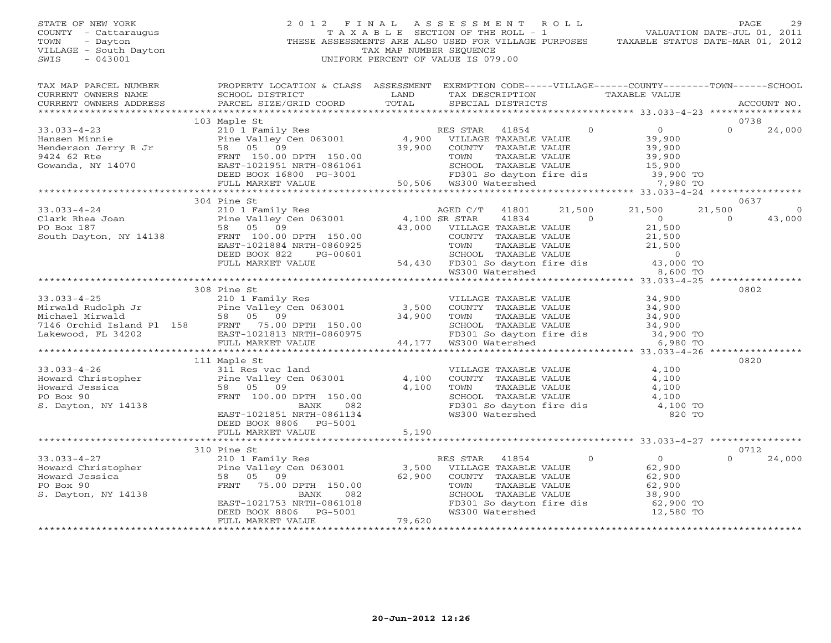## STATE OF NEW YORK 2 0 1 2 F I N A L A S S E S S M E N T R O L L PAGE 29 COUNTY - Cattaraugus T A X A B L E SECTION OF THE ROLL - 1 VALUATION DATE-JUL 01, 2011 TOWN - Dayton - Dayton 1999<br>
THESE ASSESSMENTS ARE ALSO USED FOR VILLAGE PURPOSES TAXABLE STATUS DATE-MAR 01, 2012<br>
TAX MAP NUMBER SEQUENCE VILLAGE - South Dayton TAX MAP NUMBER SEQUENCE<br>SWIS - 043001 SWIS - 043001 UNIFORM PERCENT OF VALUE IS 079.00

| TAX MAP PARCEL NUMBER<br>CURRENT OWNERS NAME<br>CURRENT OWNERS ADDRESS                                                                                                                                                                                                                                                                                                                                                             | PROPERTY LOCATION & CLASS ASSESSMENT<br>SCHOOL DISTRICT<br>PARCEL SIZE/GRID COORD                                                                                                                                                                        | <b>EXAMPLE AND STATE OF STATE AND STATE</b><br>TOTAL |                 |          | EXEMPTION CODE-----VILLAGE------COUNTY--------TOWN------SCHOOL<br>TAX DESCRIPTION TAXABLE VALUE SPECIAL DISTRICTS |          | ACCOUNT NO. |
|------------------------------------------------------------------------------------------------------------------------------------------------------------------------------------------------------------------------------------------------------------------------------------------------------------------------------------------------------------------------------------------------------------------------------------|----------------------------------------------------------------------------------------------------------------------------------------------------------------------------------------------------------------------------------------------------------|------------------------------------------------------|-----------------|----------|-------------------------------------------------------------------------------------------------------------------|----------|-------------|
|                                                                                                                                                                                                                                                                                                                                                                                                                                    |                                                                                                                                                                                                                                                          |                                                      |                 |          |                                                                                                                   |          |             |
|                                                                                                                                                                                                                                                                                                                                                                                                                                    | 103 Maple St<br>Maple St<br>210 1 Family Res<br>Pine Valley Cen 063001 4,900 VILLAGE TAXABLE VALUE 39,900<br>58 05 09 39,900 COUNTY TAXABLE VALUE 39,900<br>FRNT 150.00 DPTH 150.00 39,900 TOWN TAXABLE VALUE 39,900<br>EAST-1021951 NRTH-0861061 SCHOOL |                                                      |                 |          |                                                                                                                   |          | 0738        |
|                                                                                                                                                                                                                                                                                                                                                                                                                                    |                                                                                                                                                                                                                                                          |                                                      |                 |          |                                                                                                                   | $\Omega$ | 24,000      |
|                                                                                                                                                                                                                                                                                                                                                                                                                                    |                                                                                                                                                                                                                                                          |                                                      |                 |          |                                                                                                                   |          |             |
|                                                                                                                                                                                                                                                                                                                                                                                                                                    |                                                                                                                                                                                                                                                          |                                                      |                 |          |                                                                                                                   |          |             |
|                                                                                                                                                                                                                                                                                                                                                                                                                                    |                                                                                                                                                                                                                                                          |                                                      |                 |          |                                                                                                                   |          |             |
|                                                                                                                                                                                                                                                                                                                                                                                                                                    |                                                                                                                                                                                                                                                          |                                                      |                 |          |                                                                                                                   |          |             |
|                                                                                                                                                                                                                                                                                                                                                                                                                                    |                                                                                                                                                                                                                                                          |                                                      |                 |          | FD301 So dayton fire dis 39,900 TO<br>WS300 Watershed 7,980 TO                                                    |          |             |
|                                                                                                                                                                                                                                                                                                                                                                                                                                    |                                                                                                                                                                                                                                                          |                                                      |                 |          |                                                                                                                   |          |             |
|                                                                                                                                                                                                                                                                                                                                                                                                                                    | 304 Pine St                                                                                                                                                                                                                                              |                                                      |                 |          |                                                                                                                   |          | 0637        |
| $\begin{array}{ccccccccc} 33.033-4-24 & 210&1\text{ Family Res} & & & & & \text{AGED C/T} & 41801 & 21, \\ \text{Clark Rhea Joan} & & & & & \text{pine Valley Cen 063001} & & & 4,100\text{ SR STAR} & 41834 \\ \text{PO Box 187} & & & & & 58 & 05 & 09 & & 43,000 & \text{VILLAGE TAXABLE VALUE} \\ \text{South Dayton, NY 14138} & & & & \text{FRNT} & 100.00 DPTH & 150.00 & & & & \text{COUNTY TAXABLE VALUE} \\ &$           |                                                                                                                                                                                                                                                          |                                                      |                 | 21,500   | 21,500                                                                                                            | 21,500   | $\circ$     |
|                                                                                                                                                                                                                                                                                                                                                                                                                                    |                                                                                                                                                                                                                                                          |                                                      |                 |          |                                                                                                                   | $\Omega$ | 43,000      |
|                                                                                                                                                                                                                                                                                                                                                                                                                                    |                                                                                                                                                                                                                                                          |                                                      |                 |          |                                                                                                                   |          |             |
|                                                                                                                                                                                                                                                                                                                                                                                                                                    |                                                                                                                                                                                                                                                          |                                                      |                 |          |                                                                                                                   |          |             |
|                                                                                                                                                                                                                                                                                                                                                                                                                                    |                                                                                                                                                                                                                                                          |                                                      |                 |          |                                                                                                                   |          |             |
|                                                                                                                                                                                                                                                                                                                                                                                                                                    |                                                                                                                                                                                                                                                          |                                                      |                 |          |                                                                                                                   |          |             |
|                                                                                                                                                                                                                                                                                                                                                                                                                                    |                                                                                                                                                                                                                                                          |                                                      |                 |          |                                                                                                                   |          |             |
|                                                                                                                                                                                                                                                                                                                                                                                                                                    |                                                                                                                                                                                                                                                          |                                                      |                 |          |                                                                                                                   |          |             |
|                                                                                                                                                                                                                                                                                                                                                                                                                                    |                                                                                                                                                                                                                                                          |                                                      |                 |          |                                                                                                                   |          |             |
|                                                                                                                                                                                                                                                                                                                                                                                                                                    | 308 Pine St                                                                                                                                                                                                                                              |                                                      |                 |          |                                                                                                                   |          | 0802        |
|                                                                                                                                                                                                                                                                                                                                                                                                                                    |                                                                                                                                                                                                                                                          |                                                      |                 |          |                                                                                                                   |          |             |
|                                                                                                                                                                                                                                                                                                                                                                                                                                    |                                                                                                                                                                                                                                                          |                                                      |                 |          |                                                                                                                   |          |             |
|                                                                                                                                                                                                                                                                                                                                                                                                                                    |                                                                                                                                                                                                                                                          |                                                      |                 |          |                                                                                                                   |          |             |
|                                                                                                                                                                                                                                                                                                                                                                                                                                    |                                                                                                                                                                                                                                                          |                                                      |                 |          |                                                                                                                   |          |             |
|                                                                                                                                                                                                                                                                                                                                                                                                                                    |                                                                                                                                                                                                                                                          |                                                      |                 |          |                                                                                                                   |          |             |
| $\begin{array}{cccc} & 308 \text{ Fine St} & 108 \text{ Time St} & 108 \text{ Time St} \\ \text{Mirwald Rudolph Jr} & 210 1 \text{ Fan} & 34,900 & 108 \text{ Time Valley Cen 063001} & 3,500 & \text{COUNTY TAXABLE VALUE} & 34,900 \\ \text{Michael Mirwald Rudolph Jr} & 58 & 05 & 09 & 34,900 & 70 \text{ WINLAGE VALUE} & 34,900 \\ \text{Michael Mirwald Fland P1 158} & \text{FRTT} & 75.00 \text{ DPTH} & 150.00 & \text{$ |                                                                                                                                                                                                                                                          |                                                      |                 |          |                                                                                                                   |          |             |
|                                                                                                                                                                                                                                                                                                                                                                                                                                    | 111 Maple St                                                                                                                                                                                                                                             |                                                      |                 |          |                                                                                                                   |          | 0820        |
|                                                                                                                                                                                                                                                                                                                                                                                                                                    |                                                                                                                                                                                                                                                          |                                                      |                 |          |                                                                                                                   |          |             |
|                                                                                                                                                                                                                                                                                                                                                                                                                                    |                                                                                                                                                                                                                                                          |                                                      |                 |          |                                                                                                                   |          |             |
|                                                                                                                                                                                                                                                                                                                                                                                                                                    |                                                                                                                                                                                                                                                          |                                                      |                 |          |                                                                                                                   |          |             |
|                                                                                                                                                                                                                                                                                                                                                                                                                                    |                                                                                                                                                                                                                                                          |                                                      |                 |          |                                                                                                                   |          |             |
| 33.033-4-26<br>Howard Christopher<br>Howard Jessica by Cen 063001<br>Howard Jessica 58 05 09<br>PO Box 90<br>S. Dayton, NY 14138<br>EAST-1021851 NRTH-0861134<br>EAST-1021851 NRTH-0861134<br>EAST-1021851 NRTH-0861134<br>EAST-1021851 NRTH-08                                                                                                                                                                                    | 09<br>FRNT 100.00 DPTH 150.00<br>EAST-1021851 NRTH-0861134<br>DEED BOOK 8806                                                                                                                                                                             |                                                      |                 |          |                                                                                                                   |          |             |
|                                                                                                                                                                                                                                                                                                                                                                                                                                    |                                                                                                                                                                                                                                                          |                                                      |                 |          |                                                                                                                   |          |             |
|                                                                                                                                                                                                                                                                                                                                                                                                                                    | DEED BOOK 8806 PG-5001                                                                                                                                                                                                                                   |                                                      |                 |          |                                                                                                                   |          |             |
|                                                                                                                                                                                                                                                                                                                                                                                                                                    | FULL MARKET VALUE 5001 5,190                                                                                                                                                                                                                             |                                                      |                 |          |                                                                                                                   |          |             |
|                                                                                                                                                                                                                                                                                                                                                                                                                                    |                                                                                                                                                                                                                                                          |                                                      |                 |          |                                                                                                                   |          |             |
|                                                                                                                                                                                                                                                                                                                                                                                                                                    |                                                                                                                                                                                                                                                          |                                                      |                 |          |                                                                                                                   |          | 0712        |
|                                                                                                                                                                                                                                                                                                                                                                                                                                    |                                                                                                                                                                                                                                                          |                                                      |                 | $\Omega$ | $\overline{0}$                                                                                                    | $\Omega$ | 24,000      |
|                                                                                                                                                                                                                                                                                                                                                                                                                                    |                                                                                                                                                                                                                                                          |                                                      |                 |          | 62,900                                                                                                            |          |             |
|                                                                                                                                                                                                                                                                                                                                                                                                                                    |                                                                                                                                                                                                                                                          |                                                      |                 |          | 62,900                                                                                                            |          |             |
|                                                                                                                                                                                                                                                                                                                                                                                                                                    |                                                                                                                                                                                                                                                          |                                                      |                 |          | 62,900                                                                                                            |          |             |
|                                                                                                                                                                                                                                                                                                                                                                                                                                    | EAST-1021753 NRTH-0861018                                                                                                                                                                                                                                |                                                      |                 |          |                                                                                                                   |          |             |
|                                                                                                                                                                                                                                                                                                                                                                                                                                    | DEED BOOK 8806 PG-5001                                                                                                                                                                                                                                   |                                                      | WS300 Watershed |          | 12,580 TO                                                                                                         |          |             |
|                                                                                                                                                                                                                                                                                                                                                                                                                                    | FULL MARKET VALUE                                                                                                                                                                                                                                        | $\sqrt{1}$<br>79,620                                 |                 |          |                                                                                                                   |          |             |
|                                                                                                                                                                                                                                                                                                                                                                                                                                    |                                                                                                                                                                                                                                                          |                                                      |                 |          |                                                                                                                   |          |             |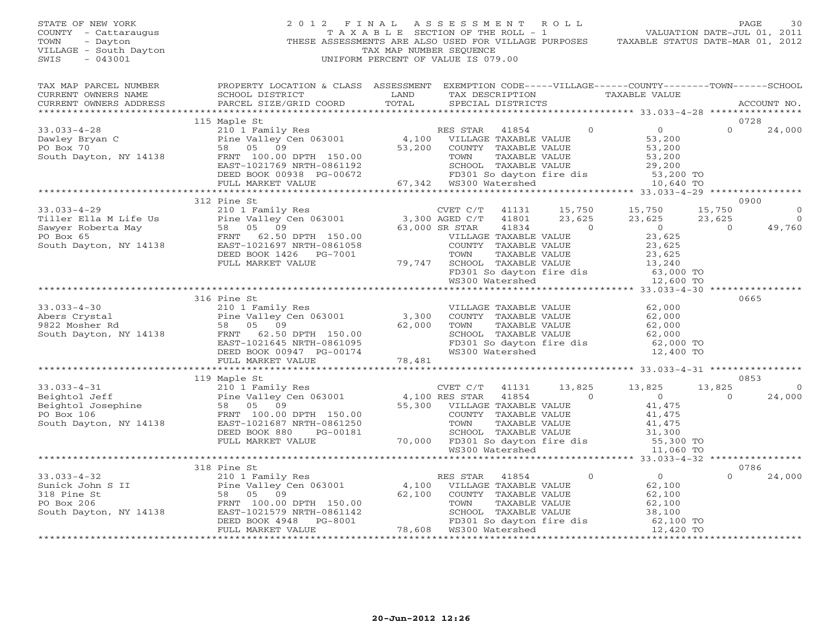## STATE OF NEW YORK 2 0 1 2 F I N A L A S S E S S M E N T R O L L PAGE 30 COUNTY - Cattaraugus T A X A B L E SECTION OF THE ROLL - 1 VALUATION DATE-JUL 01, 2011 TOWN - Dayton - Dayton 1999<br>
THESE ASSESSMENTS ARE ALSO USED FOR VILLAGE PURPOSES TAXABLE STATUS DATE-MAR 01, 2012<br>
TAX MAP NUMBER SEQUENCE VILLAGE - South Dayton TAX MAP NUMBER SEQUENCE<br>SWIS - 043001 SWIS - 043001 UNIFORM PERCENT OF VALUE IS 079.00

| TAX MAP PARCEL NUMBER                                                                                                                                                                                                                                                                                                                                                                                                     | PROPERTY LOCATION & CLASS ASSESSMENT EXEMPTION CODE-----VILLAGE------COUNTY-------TOWN------SCHOOL |                                                                                                                                               |                |                                                                                                                                                                                                                                                        |          |                |
|---------------------------------------------------------------------------------------------------------------------------------------------------------------------------------------------------------------------------------------------------------------------------------------------------------------------------------------------------------------------------------------------------------------------------|----------------------------------------------------------------------------------------------------|-----------------------------------------------------------------------------------------------------------------------------------------------|----------------|--------------------------------------------------------------------------------------------------------------------------------------------------------------------------------------------------------------------------------------------------------|----------|----------------|
| CURRENT OWNERS NAME SCHOOL DISTRICT LAND CURRENT OWNERS ADDRESS PARCEL SIZE/GRID COORD TOTAL                                                                                                                                                                                                                                                                                                                              |                                                                                                    | TAX DESCRIPTION TAXABLE VALUE                                                                                                                 |                |                                                                                                                                                                                                                                                        |          |                |
|                                                                                                                                                                                                                                                                                                                                                                                                                           |                                                                                                    | SPECIAL DISTRICTS                                                                                                                             |                |                                                                                                                                                                                                                                                        |          | ACCOUNT NO.    |
|                                                                                                                                                                                                                                                                                                                                                                                                                           |                                                                                                    |                                                                                                                                               |                |                                                                                                                                                                                                                                                        |          |                |
|                                                                                                                                                                                                                                                                                                                                                                                                                           | 115 Maple St                                                                                       |                                                                                                                                               |                |                                                                                                                                                                                                                                                        |          | 0728           |
|                                                                                                                                                                                                                                                                                                                                                                                                                           |                                                                                                    |                                                                                                                                               |                | $\overline{0}$<br>$\overline{0}$                                                                                                                                                                                                                       | $\Omega$ | 24,000         |
| 33.033-4-28<br>Dawley Bryan C<br>Po Box 70<br>South Dayton, NY 14138<br>Po Box 70<br>EAST-1021769 NRTH-0861192<br>PO BOX 70<br>EAST-1021769 NRTH-0861192<br>PEED BOOK 00938 PG-00672<br>FRIM 100.00 DPTH 150.00<br>FRIM 100.00 DPTH 150.00<br>FRIM                                                                                                                                                                        |                                                                                                    |                                                                                                                                               |                | VILLAGE TAXABLE VALUE<br>VILLAGE TAXABLE VALUE<br>TOWN TAXABLE VALUE<br>TOWN TAXABLE VALUE<br>S3,200<br>TOWN TAXABLE VALUE<br>S3,200<br>SCHOOL TAXABLE VALUE<br>FD301 So dayton fire dis<br>FD301 So dayton fire dis<br>S3,200 TO<br>WS300 Watershed   |          |                |
|                                                                                                                                                                                                                                                                                                                                                                                                                           |                                                                                                    | COUNTY TAXABLE VALUE                                                                                                                          |                |                                                                                                                                                                                                                                                        |          |                |
|                                                                                                                                                                                                                                                                                                                                                                                                                           |                                                                                                    |                                                                                                                                               |                |                                                                                                                                                                                                                                                        |          |                |
|                                                                                                                                                                                                                                                                                                                                                                                                                           |                                                                                                    |                                                                                                                                               |                |                                                                                                                                                                                                                                                        |          |                |
|                                                                                                                                                                                                                                                                                                                                                                                                                           |                                                                                                    |                                                                                                                                               |                |                                                                                                                                                                                                                                                        |          |                |
|                                                                                                                                                                                                                                                                                                                                                                                                                           |                                                                                                    |                                                                                                                                               |                |                                                                                                                                                                                                                                                        |          |                |
|                                                                                                                                                                                                                                                                                                                                                                                                                           |                                                                                                    |                                                                                                                                               |                |                                                                                                                                                                                                                                                        |          |                |
| 33.033-4-29<br>Tiller Ella M Life Us<br>Tiller Ella M Life Us<br>Sawyer Roberta May<br>Po Box 65<br>FRNT 62.50 DPTH 150.00<br>EAST-1021697 NRTH-0861058<br>Po Box 65<br>FRNT 62.50 DPTH 150.00<br>EAST-1021697 NRTH-0861058<br>PO BOX 65<br>COUNTY                                                                                                                                                                        | 312 Pine St                                                                                        |                                                                                                                                               |                |                                                                                                                                                                                                                                                        |          | 0900           |
|                                                                                                                                                                                                                                                                                                                                                                                                                           |                                                                                                    | CVET C/T 41131 15,750 15,750<br>AGED C/T 41801 23,625 23,625                                                                                  |                |                                                                                                                                                                                                                                                        | 15,750   | $\circ$        |
|                                                                                                                                                                                                                                                                                                                                                                                                                           |                                                                                                    |                                                                                                                                               |                | 23,625 23,625                                                                                                                                                                                                                                          |          | $\overline{0}$ |
|                                                                                                                                                                                                                                                                                                                                                                                                                           |                                                                                                    | 41834                                                                                                                                         | $\overline{0}$ | $\overline{0}$                                                                                                                                                                                                                                         | $\Omega$ | 49,760         |
|                                                                                                                                                                                                                                                                                                                                                                                                                           |                                                                                                    | EXAREL ALOUS<br>VILLAGE TAXABLE VALUE 23,625<br>COUNTY TAXABLE VALUE 23,625                                                                   |                |                                                                                                                                                                                                                                                        |          |                |
|                                                                                                                                                                                                                                                                                                                                                                                                                           |                                                                                                    |                                                                                                                                               |                |                                                                                                                                                                                                                                                        |          |                |
|                                                                                                                                                                                                                                                                                                                                                                                                                           | DEED BOOK 1426 PG-7001                                                                             |                                                                                                                                               |                |                                                                                                                                                                                                                                                        |          |                |
|                                                                                                                                                                                                                                                                                                                                                                                                                           | FULL MARKET VALUE                                                                                  |                                                                                                                                               |                |                                                                                                                                                                                                                                                        |          |                |
|                                                                                                                                                                                                                                                                                                                                                                                                                           |                                                                                                    |                                                                                                                                               |                |                                                                                                                                                                                                                                                        |          |                |
|                                                                                                                                                                                                                                                                                                                                                                                                                           |                                                                                                    | 3-7001<br>TOWN TAXABLE VALUE<br>TOWN TAXABLE VALUE<br>79,747 SCHOOL TAXABLE VALUE<br>FD301 So dayton fire dis<br>MS300 Watershed<br>12,600 TO |                |                                                                                                                                                                                                                                                        |          |                |
|                                                                                                                                                                                                                                                                                                                                                                                                                           |                                                                                                    |                                                                                                                                               |                |                                                                                                                                                                                                                                                        |          |                |
|                                                                                                                                                                                                                                                                                                                                                                                                                           | 316 Pine St                                                                                        |                                                                                                                                               |                |                                                                                                                                                                                                                                                        |          | 0665           |
| $33.033 - 4 - 30$                                                                                                                                                                                                                                                                                                                                                                                                         | 210 1 Family Res                                                                                   |                                                                                                                                               |                |                                                                                                                                                                                                                                                        |          |                |
|                                                                                                                                                                                                                                                                                                                                                                                                                           |                                                                                                    |                                                                                                                                               |                |                                                                                                                                                                                                                                                        |          |                |
|                                                                                                                                                                                                                                                                                                                                                                                                                           |                                                                                                    |                                                                                                                                               |                |                                                                                                                                                                                                                                                        |          |                |
|                                                                                                                                                                                                                                                                                                                                                                                                                           |                                                                                                    |                                                                                                                                               |                |                                                                                                                                                                                                                                                        |          |                |
|                                                                                                                                                                                                                                                                                                                                                                                                                           |                                                                                                    |                                                                                                                                               |                |                                                                                                                                                                                                                                                        |          |                |
|                                                                                                                                                                                                                                                                                                                                                                                                                           |                                                                                                    |                                                                                                                                               |                | VILLAGE TAXABLE VALUE<br>COUNTY TAXABLE VALUE<br>TOWN TAXABLE VALUE<br>SCHOOL TAXABLE VALUE<br>SCHOOL TAXABLE VALUE<br>FD301 So dayton fire dis<br>WS300 Watershed<br>Taxable Value<br>SC,000 TO<br>VS300 Watershed<br>Taxable dis<br>Taxable dis<br>S |          |                |
| 33.033-4-30<br>Abers Crystal<br>9822 Mosher Rd 58 05 09 62,000<br>58 05 09 62,000<br>58 05 09 62,000<br>58 05 09 62,000<br>58 05 09 62,000<br>EAST-1021645 NRTH-0861095<br>DEED BOOK 00947 PG-00174<br>FULL MARKET VALUE                                                                                                                                                                                                  |                                                                                                    |                                                                                                                                               |                |                                                                                                                                                                                                                                                        |          |                |
|                                                                                                                                                                                                                                                                                                                                                                                                                           |                                                                                                    |                                                                                                                                               |                |                                                                                                                                                                                                                                                        |          |                |
|                                                                                                                                                                                                                                                                                                                                                                                                                           | 119 Maple St                                                                                       |                                                                                                                                               |                |                                                                                                                                                                                                                                                        |          | 0853           |
|                                                                                                                                                                                                                                                                                                                                                                                                                           |                                                                                                    |                                                                                                                                               |                |                                                                                                                                                                                                                                                        | 13,825   | $\overline{0}$ |
|                                                                                                                                                                                                                                                                                                                                                                                                                           |                                                                                                    |                                                                                                                                               |                |                                                                                                                                                                                                                                                        | $\Omega$ | 24,000         |
|                                                                                                                                                                                                                                                                                                                                                                                                                           |                                                                                                    |                                                                                                                                               |                |                                                                                                                                                                                                                                                        |          |                |
|                                                                                                                                                                                                                                                                                                                                                                                                                           |                                                                                                    |                                                                                                                                               |                |                                                                                                                                                                                                                                                        |          |                |
|                                                                                                                                                                                                                                                                                                                                                                                                                           |                                                                                                    |                                                                                                                                               |                |                                                                                                                                                                                                                                                        |          |                |
|                                                                                                                                                                                                                                                                                                                                                                                                                           |                                                                                                    |                                                                                                                                               |                |                                                                                                                                                                                                                                                        |          |                |
|                                                                                                                                                                                                                                                                                                                                                                                                                           |                                                                                                    |                                                                                                                                               |                |                                                                                                                                                                                                                                                        |          |                |
|                                                                                                                                                                                                                                                                                                                                                                                                                           |                                                                                                    |                                                                                                                                               |                |                                                                                                                                                                                                                                                        |          |                |
|                                                                                                                                                                                                                                                                                                                                                                                                                           |                                                                                                    |                                                                                                                                               |                |                                                                                                                                                                                                                                                        |          |                |
|                                                                                                                                                                                                                                                                                                                                                                                                                           | 318 Pine St                                                                                        |                                                                                                                                               |                |                                                                                                                                                                                                                                                        |          | 0786           |
|                                                                                                                                                                                                                                                                                                                                                                                                                           |                                                                                                    |                                                                                                                                               |                | $41854$ 0 0<br>$0$ 62,100                                                                                                                                                                                                                              | $\Omega$ | 24,000         |
|                                                                                                                                                                                                                                                                                                                                                                                                                           |                                                                                                    |                                                                                                                                               |                | 62,100                                                                                                                                                                                                                                                 |          |                |
|                                                                                                                                                                                                                                                                                                                                                                                                                           |                                                                                                    | 62,100 COUNTY TAXABLE VALUE                                                                                                                   |                |                                                                                                                                                                                                                                                        |          |                |
|                                                                                                                                                                                                                                                                                                                                                                                                                           |                                                                                                    |                                                                                                                                               |                |                                                                                                                                                                                                                                                        |          |                |
|                                                                                                                                                                                                                                                                                                                                                                                                                           |                                                                                                    |                                                                                                                                               |                |                                                                                                                                                                                                                                                        |          |                |
|                                                                                                                                                                                                                                                                                                                                                                                                                           |                                                                                                    |                                                                                                                                               |                | VILLAGE TAXABLE VALUE<br>COUNTY TAXABLE VALUE 62,100<br>TOWN TAXABLE VALUE 62,100<br>SCHOOL TAXABLE VALUE 38,100<br>FD301 So dayton fire dis 62,100 TO<br>WS300 Watershed 12,420 TO                                                                    |          |                |
| $\begin{array}{ccccccccc} 33.033-4-32 & & & & 318 \text{ Pine St} & & & & \text{RES STR} & 41854 & 0 \\ \text{Sunick John S II} & & & & & & & \text{Pine Valley Cen 063001} & & & & & 4,100 & \text{VILLAGE TAXABLE VALUE} \\ 318 \text{ Pine St} & & & & & & \text{S8} & 05 & 09 & & & 62,100 & \text{COUNTY TAXABLE VALUE} \\ \text{PO Box 206} & & & & & & \text{FNNT} & 100.00 \text{ DPTH} & 150.00 & & & & \text{T$ |                                                                                                    |                                                                                                                                               |                |                                                                                                                                                                                                                                                        |          |                |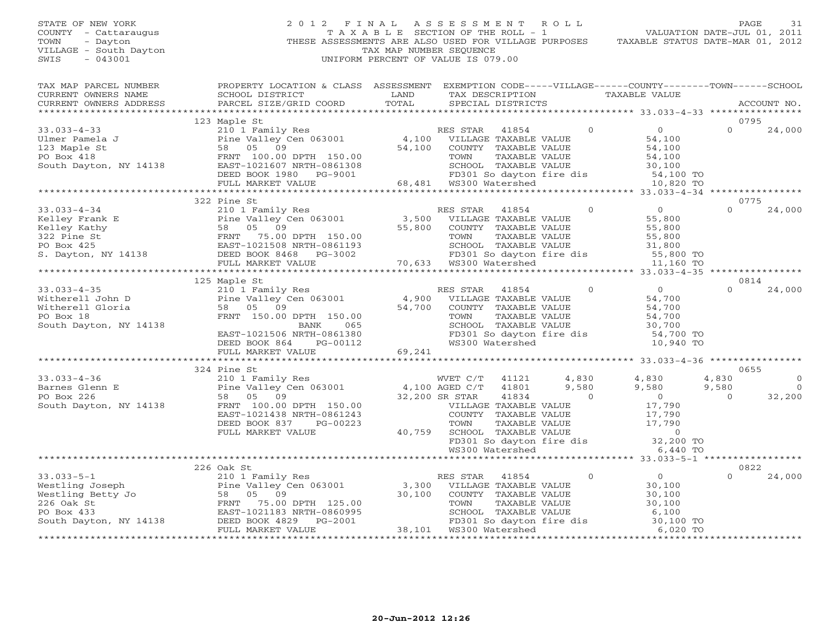#### STATE OF NEW YORK 2012 FINAL ASSESSMENT ROLL PAGE 31 COUNTY - Cattaraugus T A X A B L E SECTION OF THE ROLL - 1<br>TOWN - Dayton - THESE ASSESSMENTS ARE ALSO USED FOR VILLAGE PU<br>VILLAGE - South Dayton - THESE ASSESSMENTS ARE ALSO USED FOR VILLAGE PU THESE ASSESSMENTS ARE ALSO USED FOR VILLAGE PURPOSES TAXABLE STATUS DATE-MAR 01, 2012 VILLAGE - South Dayton TAX MAP NUMBER SEQUENCE<br>SWIS - 043001 SWIS - 043001 UNIFORM PERCENT OF VALUE IS 079.00

VALUATION DATE-JUL 01, 2011

| TAX MAP PARCEL NUMBER                | PROPERTY LOCATION & CLASS ASSESSMENT EXEMPTION CODE-----VILLAGE------COUNTY-------TOWN------SCHOOL                                        | LAND<br>TOTAL | TAX DESCRIPTION TAXABLE VALUE<br>SPECIAL DISTRICTS                                                                                                                                                                                                                                                                                                                                                                           |                |                                                                                                                    |                | ACCOUNT NO.                      |
|--------------------------------------|-------------------------------------------------------------------------------------------------------------------------------------------|---------------|------------------------------------------------------------------------------------------------------------------------------------------------------------------------------------------------------------------------------------------------------------------------------------------------------------------------------------------------------------------------------------------------------------------------------|----------------|--------------------------------------------------------------------------------------------------------------------|----------------|----------------------------------|
|                                      |                                                                                                                                           |               |                                                                                                                                                                                                                                                                                                                                                                                                                              |                |                                                                                                                    |                |                                  |
|                                      | 123 Maple St                                                                                                                              |               |                                                                                                                                                                                                                                                                                                                                                                                                                              |                |                                                                                                                    | 0795           |                                  |
|                                      | 210 1 Family Res<br>Pine Valley Cen 063001 (at 100 )<br>58 05 09 (54,100 )<br>54,100 COUNTY TAXABLE VALUE                                 |               |                                                                                                                                                                                                                                                                                                                                                                                                                              | $\overline{0}$ | $\overline{0}$                                                                                                     | $\Omega$       | 24,000                           |
|                                      |                                                                                                                                           |               |                                                                                                                                                                                                                                                                                                                                                                                                                              |                | 54,100                                                                                                             |                |                                  |
|                                      |                                                                                                                                           |               |                                                                                                                                                                                                                                                                                                                                                                                                                              |                | $\overline{54}$ , 100<br>$\overline{54}$ , 100<br>$\overline{30}$ , 100                                            |                |                                  |
|                                      |                                                                                                                                           |               | TAXABLE VALUE                                                                                                                                                                                                                                                                                                                                                                                                                |                |                                                                                                                    |                |                                  |
|                                      |                                                                                                                                           |               |                                                                                                                                                                                                                                                                                                                                                                                                                              |                |                                                                                                                    |                |                                  |
|                                      |                                                                                                                                           |               |                                                                                                                                                                                                                                                                                                                                                                                                                              |                |                                                                                                                    |                |                                  |
|                                      |                                                                                                                                           |               |                                                                                                                                                                                                                                                                                                                                                                                                                              |                | SCHOOL TAXABLE VALUE 30,100<br>FD301 So dayton fire dis 54,100 TO<br>WS300 Watershed 10,820 TO                     |                |                                  |
|                                      |                                                                                                                                           |               |                                                                                                                                                                                                                                                                                                                                                                                                                              |                |                                                                                                                    |                |                                  |
|                                      | 322 Pine St                                                                                                                               |               |                                                                                                                                                                                                                                                                                                                                                                                                                              |                |                                                                                                                    | 0775           |                                  |
|                                      |                                                                                                                                           |               |                                                                                                                                                                                                                                                                                                                                                                                                                              | $\overline{0}$ | $\overline{O}$                                                                                                     | $\Omega$       | 24,000                           |
|                                      |                                                                                                                                           |               |                                                                                                                                                                                                                                                                                                                                                                                                                              |                | 55,800                                                                                                             |                |                                  |
|                                      |                                                                                                                                           |               |                                                                                                                                                                                                                                                                                                                                                                                                                              |                |                                                                                                                    |                |                                  |
|                                      |                                                                                                                                           |               | TAXABLE VALUE                                                                                                                                                                                                                                                                                                                                                                                                                |                | 55,800<br>55,800<br>31,800                                                                                         |                |                                  |
|                                      |                                                                                                                                           |               |                                                                                                                                                                                                                                                                                                                                                                                                                              |                |                                                                                                                    |                |                                  |
|                                      |                                                                                                                                           |               |                                                                                                                                                                                                                                                                                                                                                                                                                              |                | SCHOOL TAXABLE VALUE 31,800<br>FD301 So dayton fire dis 55,800 TO<br>WS300 Watershed 11,160 TO                     |                |                                  |
|                                      |                                                                                                                                           |               |                                                                                                                                                                                                                                                                                                                                                                                                                              |                | 11,160 TO                                                                                                          |                |                                  |
|                                      | *************************************                                                                                                     |               | ***********************************                                                                                                                                                                                                                                                                                                                                                                                          |                | ********** 33.033-4-35 *****************                                                                           |                |                                  |
|                                      | 125 Maple St                                                                                                                              |               |                                                                                                                                                                                                                                                                                                                                                                                                                              |                |                                                                                                                    | 0814           |                                  |
| $33.033 - 4 - 35$                    | 210 1 Family Res<br>Pine Valley Cen 063001 $\begin{array}{ccc} 4,900 \\ 50 & 05 \\ 0 & 02 \end{array}$                                    |               | RES STAR<br>41854                                                                                                                                                                                                                                                                                                                                                                                                            | $\overline{0}$ | $0 \qquad \qquad$                                                                                                  | $\Omega$       | 24,000                           |
| Witherell John D                     |                                                                                                                                           |               | VILLAGE TAXABLE VALUE                                                                                                                                                                                                                                                                                                                                                                                                        |                | 54,700                                                                                                             |                |                                  |
| Witherell Gloria                     | 58 05 09                                                                                                                                  | 54,700        | COUNTY TAXABLE VALUE                                                                                                                                                                                                                                                                                                                                                                                                         |                | 54,700                                                                                                             |                |                                  |
| PO Box 18                            | FRNT 150.00 DPTH 150.00                                                                                                                   |               | TOWN<br>TAXABLE VALUE                                                                                                                                                                                                                                                                                                                                                                                                        |                | 54,700                                                                                                             |                |                                  |
| South Dayton, NY 14138               | 065<br>BANK                                                                                                                               |               | SCHOOL TAXABLE VALUE                                                                                                                                                                                                                                                                                                                                                                                                         |                | 30,700                                                                                                             |                |                                  |
|                                      | EAST-1021506 DANA<br>DRED BOOK 864 PG-00112                                                                                               |               |                                                                                                                                                                                                                                                                                                                                                                                                                              |                | FD301 So dayton fire dis 54,700 TO                                                                                 |                |                                  |
|                                      | DEED BOOK 864 PG-00112                                                                                                                    |               | WS300 Watershed                                                                                                                                                                                                                                                                                                                                                                                                              |                | 10,940 TO                                                                                                          |                |                                  |
|                                      | FULL MARKET VALUE                                                                                                                         | 69,241        |                                                                                                                                                                                                                                                                                                                                                                                                                              |                |                                                                                                                    |                |                                  |
|                                      |                                                                                                                                           |               |                                                                                                                                                                                                                                                                                                                                                                                                                              |                |                                                                                                                    |                |                                  |
|                                      | 210 1 Family Res<br>Pine Valley Cen 063001 (2,100 AGED C/T (41121 (2,830 (2,580 (3,580 )<br>58 05 09 (200 200 301 (3,580 ) 9,580 (3,580 ) |               |                                                                                                                                                                                                                                                                                                                                                                                                                              |                |                                                                                                                    | 0655           |                                  |
| $33.033 - 4 - 36$<br>Barnes Glenn E  |                                                                                                                                           |               |                                                                                                                                                                                                                                                                                                                                                                                                                              |                |                                                                                                                    | 4,830<br>9,580 | $\overline{0}$<br>$\overline{0}$ |
|                                      |                                                                                                                                           |               |                                                                                                                                                                                                                                                                                                                                                                                                                              |                |                                                                                                                    | $\Omega$       |                                  |
| PO Box 226<br>South Dayton, NY 14138 | FRNT 100.00 DPTH 150.00                                                                                                                   |               |                                                                                                                                                                                                                                                                                                                                                                                                                              |                |                                                                                                                    |                | 32,200                           |
|                                      | EAST-1021438 NRTH-0861243                                                                                                                 |               |                                                                                                                                                                                                                                                                                                                                                                                                                              |                |                                                                                                                    |                |                                  |
|                                      | DEED BOOK 837<br>PG-00223                                                                                                                 |               |                                                                                                                                                                                                                                                                                                                                                                                                                              |                |                                                                                                                    |                |                                  |
|                                      | FULL MARKET VALUE                                                                                                                         |               |                                                                                                                                                                                                                                                                                                                                                                                                                              |                |                                                                                                                    |                |                                  |
|                                      |                                                                                                                                           |               |                                                                                                                                                                                                                                                                                                                                                                                                                              |                |                                                                                                                    |                |                                  |
|                                      |                                                                                                                                           |               |                                                                                                                                                                                                                                                                                                                                                                                                                              |                |                                                                                                                    |                |                                  |
|                                      |                                                                                                                                           |               |                                                                                                                                                                                                                                                                                                                                                                                                                              |                |                                                                                                                    |                |                                  |
|                                      | 226 Oak St                                                                                                                                |               |                                                                                                                                                                                                                                                                                                                                                                                                                              |                |                                                                                                                    | 0822           |                                  |
|                                      |                                                                                                                                           | RES STAR      | $\begin{tabular}{c c c} & $\cdots$ & $9$,580$ \\ \hline \end{tabular} \hfill \begin{tabular}{c c c} {\small 0.1243} & $\quad$0$ & 0 \\ {\small 0.1243} & $\quad$COUNTY TAXABLE VALUE & $17,790$ \\ {\small 0.0223} & $\quad$TOWN TAXABLE VALUE & $17,790$ \\ \hline $40,759 & $\quad$SCHODL TAXABLE VALUE & $17,790$ \\ \hline $FDS00L TAXABLE VALUE & $0$ \\ $FDS00L S\ d\tspace{1mm} & $\quad$132,200 TO \\ \hline $W3300$ |                | $\overline{0}$                                                                                                     | $\Omega$       | 24,000                           |
|                                      |                                                                                                                                           |               |                                                                                                                                                                                                                                                                                                                                                                                                                              |                | 30,100                                                                                                             |                |                                  |
|                                      |                                                                                                                                           |               |                                                                                                                                                                                                                                                                                                                                                                                                                              |                |                                                                                                                    |                |                                  |
|                                      |                                                                                                                                           |               |                                                                                                                                                                                                                                                                                                                                                                                                                              |                | $\frac{1}{30}$ , 100<br>$\frac{3}{30}$ , 100                                                                       |                |                                  |
|                                      |                                                                                                                                           |               |                                                                                                                                                                                                                                                                                                                                                                                                                              |                |                                                                                                                    |                |                                  |
|                                      |                                                                                                                                           |               |                                                                                                                                                                                                                                                                                                                                                                                                                              |                | TOWN TAAABLE VALUE<br>SCHOOL TAXABLE VALUE 6,100<br>FD301 So dayton fire dis 30,100 TO<br>WS300 Watershed 6,020 TO |                |                                  |
|                                      | FULL MARKET VALUE                                                                                                                         |               |                                                                                                                                                                                                                                                                                                                                                                                                                              |                |                                                                                                                    |                |                                  |
|                                      |                                                                                                                                           |               |                                                                                                                                                                                                                                                                                                                                                                                                                              |                |                                                                                                                    |                |                                  |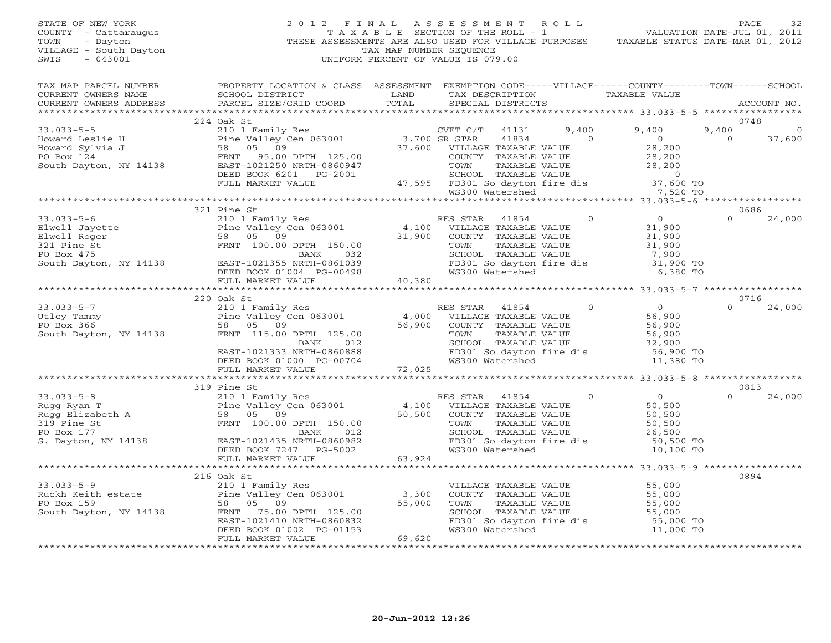STATE OF NEW YORK 2 0 1 2 F I N A L A S S E S S M E N T R O L L PAGE 32 COUNTY - Cattaraugus T A X A B L E SECTION OF THE ROLL - 1 VALUATION DATE-JUL 01, 2011 TOWN - Dayton THESE ASSESSMENTS ARE ALSO USED FOR VILLAGE PURPOSES TAXABLE STATUS DATE-MAR 01, 2012 VILLAGE - South Dayton TAX MAP NUMBER SEQUENCE SWIS - 043001 UNIFORM PERCENT OF VALUE IS 079.00 TAX MAP PARCEL NUMBER PROPERTY LOCATION & CLASS ASSESSMENT EXEMPTION CODE-----VILLAGE------COUNTY--------TOWN------SCHOOL<br>CURRENT OWNERS NAME SCHOOL DISTRICT LAND TAX DE \*\*\*\*\*\*\*\*\*\*\*\*\*\*\*\*\*\*\*\*\*\*\*\*\*\*\*\*\*\*\*\*\*\*\*\*\*\*\*\*\*\*\*\*\*\*\*\*\*\*\*\*\*\*\*\*\*\*\*\*\*\*\*\*\*\*\*\*\*\*\*\*\*\*\*\*\*\*\*\*\*\*\*\*\*\*\*\*\*\*\*\*\*\*\*\*\*\*\*\*\*\*\* 33.033-5-5 \*\*\*\*\*\*\*\*\*\*\*\*\*\*\*\*\* 224 Oak St 0748 33.033-5-5 210 1 Family Res CVET C/T 41131 9,400 9,400 9,400 0 Howard Leslie H Pine Valley Cen 063001 3,700 SR STAR 41834 0 0 0 37,600 Howard Sylvia J 58 05 09 37,600 VILLAGE TAXABLE VALUE 28,200 PO Box 124 FRNT 95.00 DPTH 125.00 COUNTY TAXABLE VALUE 28,200 South Dayton, NY 14138 EAST-1021250 NRTH-0860947 TOWN TAXABLE VALUE 28,200 DEED BOOK 6201 PG-2001 SCHOOL TAXABLE VALUE 0 FULL MARKET VALUE 47,595 FD301 So dayton fire dis 37,600 TO WS300 Watershed 7,520 TO \*\*\*\*\*\*\*\*\*\*\*\*\*\*\*\*\*\*\*\*\*\*\*\*\*\*\*\*\*\*\*\*\*\*\*\*\*\*\*\*\*\*\*\*\*\*\*\*\*\*\*\*\*\*\*\*\*\*\*\*\*\*\*\*\*\*\*\*\*\*\*\*\*\*\*\*\*\*\*\*\*\*\*\*\*\*\*\*\*\*\*\*\*\*\*\*\*\*\*\*\*\*\* 33.033-5-6 \*\*\*\*\*\*\*\*\*\*\*\*\*\*\*\*\* 321 Pine St 0686 33.033-5-6 210 1 Family Res RES STAR 41854 0 0 0 24,000 Elwell Jayette Pine Valley Cen 063001 4,100 VILLAGE TAXABLE VALUE 31,900 Elwell Roger 58 05 09 31,900 COUNTY TAXABLE VALUE 31,900

321 Pine St FRNT 100.00 DPTH 150.00 TOWN TAXABLE VALUE 31,900 PO Box 475 BANK 032 SCHOOL TAXABLE VALUE 7,900 South Dayton, NY 14138 EAST-1021355 NRTH-0861039 FD301 So dayton fire dis 31,900 TO DEED BOOK 01004 PG-00498 WS300 Watershed 6,380 TO

Utley Tammy Pine Valley Cen 063001 4,000 VILLAGE TAXABLE VALUE 56,900 PO Box 366 58 05 09 56,900 COUNTY TAXABLE VALUE 56,900 South Dayton, NY 14138 FRNT 115.00 DPTH 125.00 TOWN TAXABLE VALUE 56,900 BANK 012 SCHOOL TAXABLE VALUE 32,900 EAST-1021333 NRTH-0860888 FD301 So dayton fire dis 56,900 TO DEED BOOK 01000 PG-00704 WS300 Watershed 11,380 TO

Rugg Ryan T Pine Valley Cen 063001 4,100 VILLAGE TAXABLE VALUE 50,500 Rugg Elizabeth A 58 05 09 50,500 COUNTY TAXABLE VALUE 50,500 319 Pine St FRNT 100.00 DPTH 150.00 TOWN TAXABLE VALUE 50,500 PO Box 177 BANK 012 SCHOOL TAXABLE VALUE 26,500 S. Dayton, NY 14138 EAST-1021435 NRTH-0860982 FD301 So dayton fire dis 50,500 TO DEED BOOK 7247 PG-5002 WS300 Watershed 10,100 TO

33.033-5-9 210 1 Family Res VILLAGE TAXABLE VALUE 55,000 Ruckh Keith estate Pine Valley Cen 063001 3,300 COUNTY TAXABLE VALUE 55,000 PO Box 159 58 05 09 55,000 TOWN TAXABLE VALUE 55,000 South Dayton, NY 14138 FRNT 75.00 DPTH 125.00 SCHOOL TAXABLE VALUE 55,000 EAST-1021410 NRTH-0860832 FD301 So dayton fire dis 55,000 TO DEED BOOK 01002 PG-01153 WS300 Watershed 11,000 TO

\*\*\*\*\*\*\*\*\*\*\*\*\*\*\*\*\*\*\*\*\*\*\*\*\*\*\*\*\*\*\*\*\*\*\*\*\*\*\*\*\*\*\*\*\*\*\*\*\*\*\*\*\*\*\*\*\*\*\*\*\*\*\*\*\*\*\*\*\*\*\*\*\*\*\*\*\*\*\*\*\*\*\*\*\*\*\*\*\*\*\*\*\*\*\*\*\*\*\*\*\*\*\* 33.033-5-7 \*\*\*\*\*\*\*\*\*\*\*\*\*\*\*\*\*220 Oak St 0716 33.033-5-7 210 1 Family Res RES STAR 41854 0 0 0 24,000

\*\*\*\*\*\*\*\*\*\*\*\*\*\*\*\*\*\*\*\*\*\*\*\*\*\*\*\*\*\*\*\*\*\*\*\*\*\*\*\*\*\*\*\*\*\*\*\*\*\*\*\*\*\*\*\*\*\*\*\*\*\*\*\*\*\*\*\*\*\*\*\*\*\*\*\*\*\*\*\*\*\*\*\*\*\*\*\*\*\*\*\*\*\*\*\*\*\*\*\*\*\*\* 33.033-5-8 \*\*\*\*\*\*\*\*\*\*\*\*\*\*\*\*\* 319 Pine St 0813 33.033-5-8 210 1 Family Res RES STAR 41854 0 0 0 24,000

FULL MARKET VALUE 63,924 \*\*\*\*\*\*\*\*\*\*\*\*\*\*\*\*\*\*\*\*\*\*\*\*\*\*\*\*\*\*\*\*\*\*\*\*\*\*\*\*\*\*\*\*\*\*\*\*\*\*\*\*\*\*\*\*\*\*\*\*\*\*\*\*\*\*\*\*\*\*\*\*\*\*\*\*\*\*\*\*\*\*\*\*\*\*\*\*\*\*\*\*\*\*\*\*\*\*\*\*\*\*\* 33.033-5-9 \*\*\*\*\*\*\*\*\*\*\*\*\*\*\*\*\*

\*\*\*\*\*\*\*\*\*\*\*\*\*\*\*\*\*\*\*\*\*\*\*\*\*\*\*\*\*\*\*\*\*\*\*\*\*\*\*\*\*\*\*\*\*\*\*\*\*\*\*\*\*\*\*\*\*\*\*\*\*\*\*\*\*\*\*\*\*\*\*\*\*\*\*\*\*\*\*\*\*\*\*\*\*\*\*\*\*\*\*\*\*\*\*\*\*\*\*\*\*\*\*\*\*\*\*\*\*\*\*\*\*\*\*\*\*\*\*\*\*\*\*\*\*\*\*\*\*\*\*\*

 $0894$ 

216 Oak St 0894

FULL MARKET VALUE 40,380

FULL MARKET VALUE 72,025

FULL MARKET VALUE 69,620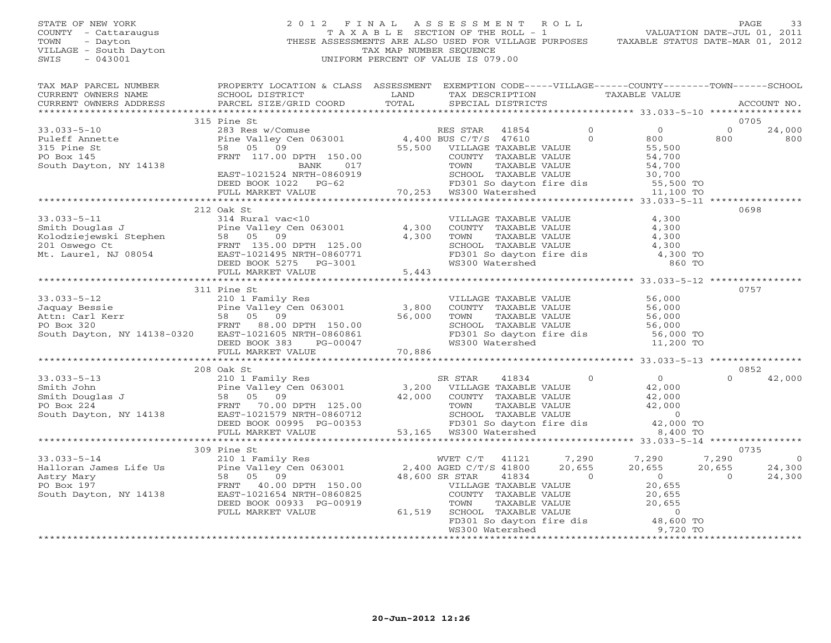## STATE OF NEW YORK 2 0 1 2 F I N A L A S S E S S M E N T R O L L PAGE 33 COUNTY - Cattaraugus T A X A B L E SECTION OF THE ROLL - 1 VALUATION DATE-JUL 01, 2011 TOWN - Dayton - Dayton 1999<br>
THESE ASSESSMENTS ARE ALSO USED FOR VILLAGE PURPOSES TAXABLE STATUS DATE-MAR 01, 2012<br>
TAX MAP NUMBER SEQUENCE VILLAGE - South Dayton TAX MAP NUMBER SEQUENCE<br>SWIS - 043001 SWIS - 043001 UNIFORM PERCENT OF VALUE IS 079.00

| TAX MAP PARCEL NUMBER                                                                                                                                                                                                                                                                                                                                                                                            | PROPERTY LOCATION & CLASS ASSESSMENT EXEMPTION CODE-----VILLAGE------COUNTY-------TOWN------SCHOOL |  |  |                               |                   |                |
|------------------------------------------------------------------------------------------------------------------------------------------------------------------------------------------------------------------------------------------------------------------------------------------------------------------------------------------------------------------------------------------------------------------|----------------------------------------------------------------------------------------------------|--|--|-------------------------------|-------------------|----------------|
|                                                                                                                                                                                                                                                                                                                                                                                                                  |                                                                                                    |  |  | TAX DESCRIPTION TAXABLE VALUE |                   |                |
|                                                                                                                                                                                                                                                                                                                                                                                                                  |                                                                                                    |  |  |                               |                   | ACCOUNT NO.    |
|                                                                                                                                                                                                                                                                                                                                                                                                                  |                                                                                                    |  |  |                               |                   |                |
|                                                                                                                                                                                                                                                                                                                                                                                                                  | 315 Pine St                                                                                        |  |  |                               | 0705              |                |
|                                                                                                                                                                                                                                                                                                                                                                                                                  |                                                                                                    |  |  |                               | $\overline{0}$    | 24,000         |
|                                                                                                                                                                                                                                                                                                                                                                                                                  |                                                                                                    |  |  |                               | 800               | 800            |
|                                                                                                                                                                                                                                                                                                                                                                                                                  |                                                                                                    |  |  |                               |                   |                |
|                                                                                                                                                                                                                                                                                                                                                                                                                  |                                                                                                    |  |  |                               |                   |                |
|                                                                                                                                                                                                                                                                                                                                                                                                                  |                                                                                                    |  |  |                               |                   |                |
|                                                                                                                                                                                                                                                                                                                                                                                                                  |                                                                                                    |  |  |                               |                   |                |
|                                                                                                                                                                                                                                                                                                                                                                                                                  |                                                                                                    |  |  |                               |                   |                |
|                                                                                                                                                                                                                                                                                                                                                                                                                  |                                                                                                    |  |  |                               |                   |                |
|                                                                                                                                                                                                                                                                                                                                                                                                                  |                                                                                                    |  |  |                               |                   |                |
|                                                                                                                                                                                                                                                                                                                                                                                                                  | 212 Oak St                                                                                         |  |  |                               |                   | 0698           |
| 33.033-5-11<br>Smith Douglas J<br>Example of the Valley Cen 063001<br>Example valley Cen 063001<br>FRNT 135.00 DPTH 125.00<br>201 Oswego Ct<br>Mt. Laurel, NJ 08054<br>EXAMELE VALUE<br>EXAMELE VALUE<br>EXAMELE VALUE<br>EXAMELE VALUE<br>EXAMELE                                                                                                                                                               |                                                                                                    |  |  |                               |                   |                |
|                                                                                                                                                                                                                                                                                                                                                                                                                  |                                                                                                    |  |  |                               |                   |                |
|                                                                                                                                                                                                                                                                                                                                                                                                                  |                                                                                                    |  |  |                               |                   |                |
|                                                                                                                                                                                                                                                                                                                                                                                                                  |                                                                                                    |  |  |                               |                   |                |
|                                                                                                                                                                                                                                                                                                                                                                                                                  |                                                                                                    |  |  |                               |                   |                |
|                                                                                                                                                                                                                                                                                                                                                                                                                  |                                                                                                    |  |  |                               |                   |                |
|                                                                                                                                                                                                                                                                                                                                                                                                                  |                                                                                                    |  |  |                               |                   |                |
|                                                                                                                                                                                                                                                                                                                                                                                                                  |                                                                                                    |  |  |                               |                   |                |
|                                                                                                                                                                                                                                                                                                                                                                                                                  | 311 Pine St                                                                                        |  |  |                               |                   | 0757           |
|                                                                                                                                                                                                                                                                                                                                                                                                                  |                                                                                                    |  |  |                               |                   |                |
|                                                                                                                                                                                                                                                                                                                                                                                                                  |                                                                                                    |  |  |                               |                   |                |
|                                                                                                                                                                                                                                                                                                                                                                                                                  |                                                                                                    |  |  |                               |                   |                |
|                                                                                                                                                                                                                                                                                                                                                                                                                  |                                                                                                    |  |  |                               |                   |                |
|                                                                                                                                                                                                                                                                                                                                                                                                                  |                                                                                                    |  |  |                               |                   |                |
|                                                                                                                                                                                                                                                                                                                                                                                                                  |                                                                                                    |  |  |                               |                   |                |
| $\begin{tabular}{lllllllllllllllllll} \hline 31.033-5-12 & 210 & \text{Family Res} \\ \hline \text{Jaquay Bessie} & 210 & \text{Family Res} & \text{VILLAGE TAXABLE VALUE} & 56,000 \\ \text{Pine Valley Cen 063001} & 3,800 & \text{COUNTY TAXABLE VALUE} & 56,000 \\ \text{Rth: Carl Kerr} & 58 & 05 & 09 \\ \text{PO Box 320} & 56,000 & \text{FINT} & 88.00 \text{ DPTH} & 150.00 \\ \text{South Dayton, NY$ |                                                                                                    |  |  |                               |                   |                |
|                                                                                                                                                                                                                                                                                                                                                                                                                  |                                                                                                    |  |  |                               |                   |                |
|                                                                                                                                                                                                                                                                                                                                                                                                                  | 208 Oak St                                                                                         |  |  |                               |                   | 0852           |
|                                                                                                                                                                                                                                                                                                                                                                                                                  |                                                                                                    |  |  |                               | $\cap$            | 42,000         |
|                                                                                                                                                                                                                                                                                                                                                                                                                  |                                                                                                    |  |  |                               |                   |                |
|                                                                                                                                                                                                                                                                                                                                                                                                                  |                                                                                                    |  |  |                               |                   |                |
|                                                                                                                                                                                                                                                                                                                                                                                                                  |                                                                                                    |  |  |                               |                   |                |
|                                                                                                                                                                                                                                                                                                                                                                                                                  |                                                                                                    |  |  |                               |                   |                |
| 33.033-5-13<br>Smith John 210 1 Family Res<br>Smith Douglas J<br>Pine Valley Cen 063001<br>210 1 Family Res<br>Po Box 224<br>FRNT 70.00 DPTH 125.00<br>224<br>FRNT 70.00 DPTH 125.00<br>South Dayton, NY 14138<br>DEED BOOK 00995 PG-00353<br>PO Bo                                                                                                                                                              |                                                                                                    |  |  |                               |                   |                |
|                                                                                                                                                                                                                                                                                                                                                                                                                  |                                                                                                    |  |  |                               |                   |                |
|                                                                                                                                                                                                                                                                                                                                                                                                                  |                                                                                                    |  |  |                               |                   |                |
|                                                                                                                                                                                                                                                                                                                                                                                                                  | 309 Pine St                                                                                        |  |  |                               |                   | 0735           |
|                                                                                                                                                                                                                                                                                                                                                                                                                  |                                                                                                    |  |  |                               |                   | $\overline{0}$ |
|                                                                                                                                                                                                                                                                                                                                                                                                                  |                                                                                                    |  |  |                               |                   | 24,300         |
|                                                                                                                                                                                                                                                                                                                                                                                                                  |                                                                                                    |  |  |                               | $20$ , $655$<br>0 | 24,300         |
|                                                                                                                                                                                                                                                                                                                                                                                                                  |                                                                                                    |  |  |                               |                   |                |
|                                                                                                                                                                                                                                                                                                                                                                                                                  |                                                                                                    |  |  |                               |                   |                |
|                                                                                                                                                                                                                                                                                                                                                                                                                  |                                                                                                    |  |  |                               |                   |                |
|                                                                                                                                                                                                                                                                                                                                                                                                                  |                                                                                                    |  |  |                               |                   |                |
|                                                                                                                                                                                                                                                                                                                                                                                                                  |                                                                                                    |  |  |                               |                   |                |
|                                                                                                                                                                                                                                                                                                                                                                                                                  |                                                                                                    |  |  |                               |                   |                |
|                                                                                                                                                                                                                                                                                                                                                                                                                  |                                                                                                    |  |  |                               |                   |                |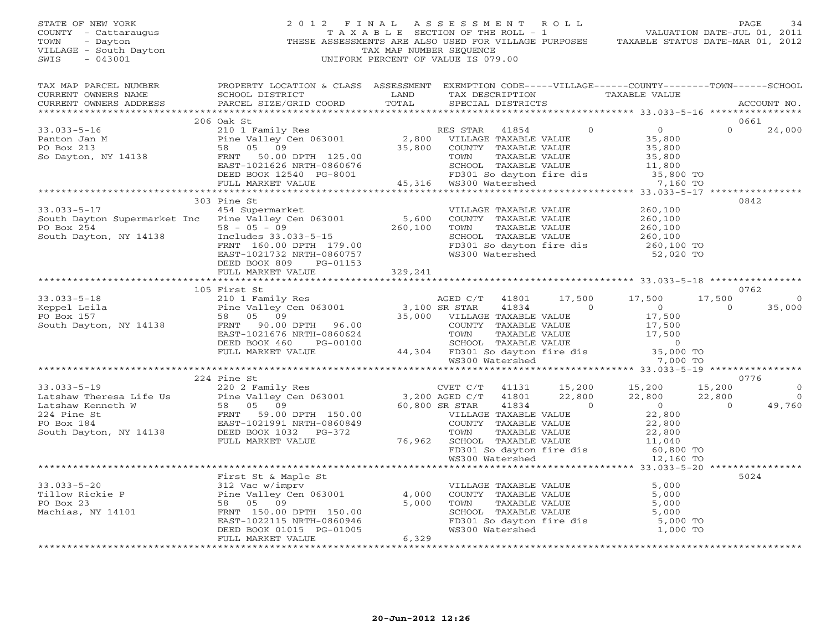STATE OF NEW YORK 2 0 1 2 F I N A L A S S E S S M E N T R O L L PAGE 34 COUNTY - Cattaraugus T A X A B L E SECTION OF THE ROLL - 1 VALUATION DATE-JUL 01, 2011 TOWN - Dayton THESE ASSESSMENTS ARE ALSO USED FOR VILLAGE PURPOSES TAXABLE STATUS DATE-MAR 01, 2012 VILLAGE - South Dayton TAX MAP NUMBER SEQUENCE SWIS - 043001 UNIFORM PERCENT OF VALUE IS 079.00 TAX MAP PARCEL NUMBER PROPERTY LOCATION & CLASS ASSESSMENT EXEMPTION CODE-----VILLAGE------COUNTY--------TOWN------SCHOOL<br>CURRENT OWNERS NAME SCHOOL DISTRICT LAND TAX DE \*\*\*\*\*\*\*\*\*\*\*\*\*\*\*\*\*\*\*\*\*\*\*\*\*\*\*\*\*\*\*\*\*\*\*\*\*\*\*\*\*\*\*\*\*\*\*\*\*\*\*\*\*\*\*\*\*\*\*\*\*\*\*\*\*\*\*\*\*\*\*\*\*\*\*\*\*\*\*\*\*\*\*\*\*\*\*\*\*\*\*\*\*\*\*\*\*\*\*\*\*\*\* 33.033-5-16 \*\*\*\*\*\*\*\*\*\*\*\*\*\*\*\* 206 Oak St 0661 33.033-5-16 210 1 Family Res RES STAR 41854 0 0 0 24,000 Panton Jan M Pine Valley Cen 063001 2,800 VILLAGE TAXABLE VALUE 35,800 PO Box 213 58 05 09 35,800 COUNTY TAXABLE VALUE 35,800 So Dayton, NY 14138 FRNT 50.00 DPTH 125.00 TOWN TAXABLE VALUE 35,800 EAST-1021626 NRTH-0860676 SCHOOL TAXABLE VALUE 11,800 DEED BOOK 12540 PG-8001 FD301 So dayton fire dis 35,800 TO FULL MARKET VALUE 45,316 WS300 Watershed 7,160 TO \*\*\*\*\*\*\*\*\*\*\*\*\*\*\*\*\*\*\*\*\*\*\*\*\*\*\*\*\*\*\*\*\*\*\*\*\*\*\*\*\*\*\*\*\*\*\*\*\*\*\*\*\*\*\*\*\*\*\*\*\*\*\*\*\*\*\*\*\*\*\*\*\*\*\*\*\*\*\*\*\*\*\*\*\*\*\*\*\*\*\*\*\*\*\*\*\*\*\*\*\*\*\* 33.033-5-17 \*\*\*\*\*\*\*\*\*\*\*\*\*\*\*\* 303 Pine St 084233.033-5-17 454 Supermarket VILLAGE TAXABLE VALUE 260,100 South Dayton Supermarket Inc Pine Valley Cen 063001 5,600 COUNTY TAXABLE VALUE 260,100 PO Box 254 58 - 05 - 09 260,100 TOWN TAXABLE VALUE 260,100 South Dayton, NY 14138 Includes 33.033-5-15 SCHOOL TAXABLE VALUE 260,100 FRNT 160.00 DPTH 179.00 FD301 So dayton fire dis 260,100 TO EAST-1021732 NRTH-0860757 WS300 Watershed 52,020 TO DEED BOOK 809 PG-01153 FULL MARKET VALUE 329,241 \*\*\*\*\*\*\*\*\*\*\*\*\*\*\*\*\*\*\*\*\*\*\*\*\*\*\*\*\*\*\*\*\*\*\*\*\*\*\*\*\*\*\*\*\*\*\*\*\*\*\*\*\*\*\*\*\*\*\*\*\*\*\*\*\*\*\*\*\*\*\*\*\*\*\*\*\*\*\*\*\*\*\*\*\*\*\*\*\*\*\*\*\*\*\*\*\*\*\*\*\*\*\* 33.033-5-18 \*\*\*\*\*\*\*\*\*\*\*\*\*\*\*\* 105 First St 0762 33.033-5-18 210 1 Family Res AGED C/T 41801 17,500 17,500 17,500 0 Keppel Leila Pine Valley Cen 063001 3,100 SR STAR 41834 0 0 0 35,000 PO Box 157 58 05 09 35,000 VILLAGE TAXABLE VALUE 17,500 South Dayton, NY 14138 FRNT 90.00 DPTH 96.00 COUNTY TAXABLE VALUE 17,500 EAST-1021676 NRTH-0860624 TOWN TAXABLE VALUE 17,500 DEED BOOK 460 PG-00100 SCHOOL TAXABLE VALUE 0 FULL MARKET VALUE 44,304 FD301 So dayton fire dis 35,000 TO WS300 Watershed 7,000 TO \*\*\*\*\*\*\*\*\*\*\*\*\*\*\*\*\*\*\*\*\*\*\*\*\*\*\*\*\*\*\*\*\*\*\*\*\*\*\*\*\*\*\*\*\*\*\*\*\*\*\*\*\*\*\*\*\*\*\*\*\*\*\*\*\*\*\*\*\*\*\*\*\*\*\*\*\*\*\*\*\*\*\*\*\*\*\*\*\*\*\*\*\*\*\*\*\*\*\*\*\*\*\* 33.033-5-19 \*\*\*\*\*\*\*\*\*\*\*\*\*\*\*\* 224 Pine St 0776 33.033-5-19 220 2 Family Res CVET C/T 41131 15,200 15,200 15,200 0 Latshaw Theresa Life Us Pine Valley Cen 063001 3,200 AGED C/T 41801 22,800 22,800 22,800 0 Latshaw Kenneth W 58 05 09 60,800 SR STAR 41834 0 0 0 49,760 224 Pine St FRNT 59.00 DPTH 150.00 VILLAGE TAXABLE VALUE 22,800 PO Box 184 EAST-1021991 NRTH-0860849 COUNTY TAXABLE VALUE 22,800 South Dayton, NY 14138 DEED BOOK 1032 PG-372 TOWN TAXABLE VALUE 22,800 FULL MARKET VALUE 76,962 SCHOOL TAXABLE VALUE 11,040 FD301 So dayton fire dis 60,800 TO WS300 Watershed 12,160 TO \*\*\*\*\*\*\*\*\*\*\*\*\*\*\*\*\*\*\*\*\*\*\*\*\*\*\*\*\*\*\*\*\*\*\*\*\*\*\*\*\*\*\*\*\*\*\*\*\*\*\*\*\*\*\*\*\*\*\*\*\*\*\*\*\*\*\*\*\*\*\*\*\*\*\*\*\*\*\*\*\*\*\*\*\*\*\*\*\*\*\*\*\*\*\*\*\*\*\*\*\*\*\* 33.033-5-20 \*\*\*\*\*\*\*\*\*\*\*\*\*\*\*\* First St & Maple St 5024 (1996) 2021 12:30 12:30 12:30 12:30 12:30 12:30 12:30 12:30 12:30 12:30 12:30 12:30 1 33.033-5-20 312 Vac w/imprv VILLAGE TAXABLE VALUE 5,000

Tillow Rickie P Pine Valley Cen 063001 4,000 COUNTY TAXABLE VALUE 5,000 PO Box 23 58 05 09 5,000 TOWN TAXABLE VALUE 5,000 Machias, NY 14101 FRNT 150.00 DPTH 150.00 SCHOOL TAXABLE VALUE 5,000 EAST-1022115 NRTH-0860946 FD301 So dayton fire dis 5,000 TO DEED BOOK 01015 PG-01005 WS300 Watershed 1,000 TO FULL MARKET VALUE 6,329 \*\*\*\*\*\*\*\*\*\*\*\*\*\*\*\*\*\*\*\*\*\*\*\*\*\*\*\*\*\*\*\*\*\*\*\*\*\*\*\*\*\*\*\*\*\*\*\*\*\*\*\*\*\*\*\*\*\*\*\*\*\*\*\*\*\*\*\*\*\*\*\*\*\*\*\*\*\*\*\*\*\*\*\*\*\*\*\*\*\*\*\*\*\*\*\*\*\*\*\*\*\*\*\*\*\*\*\*\*\*\*\*\*\*\*\*\*\*\*\*\*\*\*\*\*\*\*\*\*\*\*\*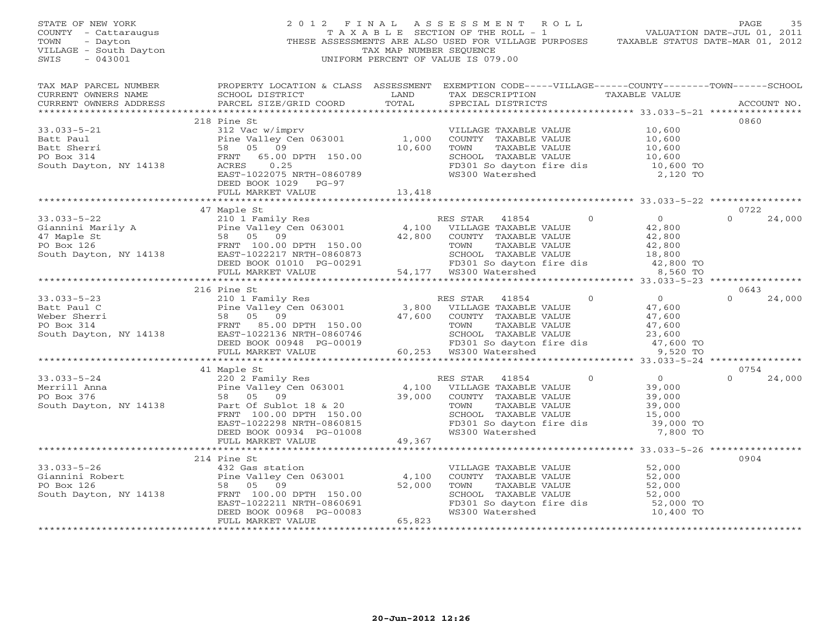| STATE OF NEW YORK<br>COUNTY - Cattaraugus<br>TOWN - Dayton<br>VILLAGE - South Dayton<br>~~~~ - 043001                                                                                                                                                                                                                                                                                                          |                      | TAX MAP NUMBER SEQUENCE | 2012 FINAL ASSESSMENT ROLL<br>כט באמאץ מיטור בישרא (או בישרא בישרא בישרא בישרא בישרא בישרא בישרא בישרא בישרא בישרא בישרא בישרא בישרא בישרא ב<br>VALUATION DATE-JUL 01, 2011<br>THESE ASSESSMENTS ARE ALSO USED FOR VILLAGE PURPOSES TAXABLE STATUS DATE-MAR 01, 2012<br>UNIFORM PERCENT OF VALUE IS 079.00 |          | PAGE<br>35                 |
|----------------------------------------------------------------------------------------------------------------------------------------------------------------------------------------------------------------------------------------------------------------------------------------------------------------------------------------------------------------------------------------------------------------|----------------------|-------------------------|------------------------------------------------------------------------------------------------------------------------------------------------------------------------------------------------------------------------------------------------------------------------------------------------------------|----------|----------------------------|
| CURRENT OWNERS ADDRESS                                                                                                                                                                                                                                                                                                                                                                                         |                      |                         |                                                                                                                                                                                                                                                                                                            |          | ACCOUNT NO.                |
|                                                                                                                                                                                                                                                                                                                                                                                                                | 218 Pine St          |                         |                                                                                                                                                                                                                                                                                                            |          | 0860                       |
| 33.033-5-21<br>Batt Paul<br>210 112 Voltom Pry MillAGE TAXABLE VALUE<br>210.600<br>Paut Sherri 58 05 09<br>PO Box 314<br>South Dayton, NY 14138<br>South Dayton, NY 14138<br>PO Box 314<br>South Dayton, NY 14138<br>PO Box 314<br>ERS 0.25<br>DEED B                                                                                                                                                          | DEED BOOK 1029 PG-97 |                         |                                                                                                                                                                                                                                                                                                            |          |                            |
|                                                                                                                                                                                                                                                                                                                                                                                                                | FULL MARKET VALUE    | 13,418                  |                                                                                                                                                                                                                                                                                                            |          |                            |
|                                                                                                                                                                                                                                                                                                                                                                                                                |                      |                         |                                                                                                                                                                                                                                                                                                            |          |                            |
| 33.033-5-22<br>Giannini Marily A<br>$\begin{array}{ccccccccc}\n & & & & & & 47 \\ \text{Giannini} & & & & & & 2101 & \text{Family Res} \\  & & & & & & 2101 & \text{Vamily Res} \\  & & & & & & 210 & \text{V1LLAGE TAXABLE VALUE} \\  & & & & & 58 & 05 & 09 & 42,800 & \text{COUNTY TAXABLE VALUE} \\  & & & & & & & 58 & 05 & 09 & 42,800 & \text{COUNTY TAXABLE VALUE} \\  & & & & & & & & 42,800 & \text$ | 47 Maple St          |                         |                                                                                                                                                                                                                                                                                                            |          | 0722<br>24,000<br>$\Omega$ |
|                                                                                                                                                                                                                                                                                                                                                                                                                |                      |                         |                                                                                                                                                                                                                                                                                                            |          |                            |
|                                                                                                                                                                                                                                                                                                                                                                                                                | 216 Pine St          |                         |                                                                                                                                                                                                                                                                                                            |          | 0643                       |
| 33.033-5-23<br>Batt Paul C<br>Meber Sherri 58 05 09<br>FRNT 85.00 DPTH 150.00<br>FRNT 85.00 DPTH 150.00<br>ED BOOK 0948 PG-00019<br>FRNT 1922136 NRTH-0860746<br>ELD BOOK 0948 PG-00019<br>FRNT 193.520 TO<br>FRNBLE VALUE<br>ELD BOOK 0948 PG-00                                                                                                                                                              |                      |                         |                                                                                                                                                                                                                                                                                                            |          | $\Omega$<br>24,000         |
|                                                                                                                                                                                                                                                                                                                                                                                                                |                      |                         |                                                                                                                                                                                                                                                                                                            |          |                            |
|                                                                                                                                                                                                                                                                                                                                                                                                                |                      |                         |                                                                                                                                                                                                                                                                                                            |          |                            |
|                                                                                                                                                                                                                                                                                                                                                                                                                | 41 Maple St          |                         | TOWN TAXABLE VALUE 39,000<br>SCHOOL TAXABLE VALUE 15,000<br>FD301 So dayton fire dis 39,000 TO                                                                                                                                                                                                             | 7,800 TO | 0754<br>$0 \t 24,000$      |
|                                                                                                                                                                                                                                                                                                                                                                                                                |                      |                         |                                                                                                                                                                                                                                                                                                            |          |                            |
|                                                                                                                                                                                                                                                                                                                                                                                                                |                      |                         |                                                                                                                                                                                                                                                                                                            |          |                            |
|                                                                                                                                                                                                                                                                                                                                                                                                                |                      |                         | VILLAGE TAXABLE VALUE<br>COUNTY TAXABLE VALUE<br>TOWN TAXABLE VALUE<br>SCHOOL TAXABLE VALUE<br>SCHOOL TAXABLE VALUE<br>FD301 So dayton fire dis<br>S2,000 TO<br>WS300 Watershed<br>10,400 TO                                                                                                               |          | 0904                       |
|                                                                                                                                                                                                                                                                                                                                                                                                                |                      |                         |                                                                                                                                                                                                                                                                                                            |          |                            |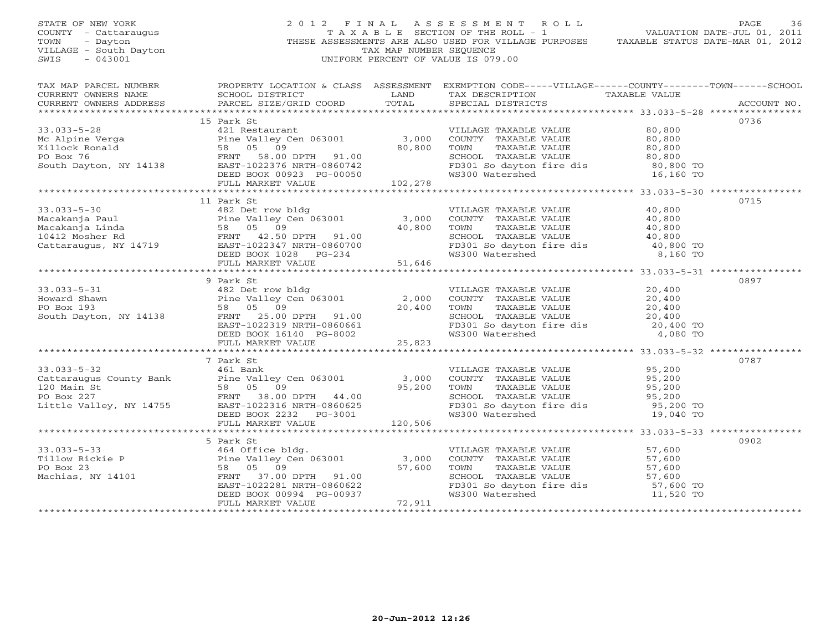STATE OF NEW YORK 2 0 1 2 F I N A L A S S E S S M E N T R O L L PAGE 36 COUNTY - Cattaraugus T A X A B L E SECTION OF THE ROLL - 1 VALUATION DATE-JUL 01, 2011 TOWN - Dayton THESE ASSESSMENTS ARE ALSO USED FOR VILLAGE PURPOSES TAXABLE STATUS DATE-MAR 01, 2012 VILLAGE - South Dayton TAX MAP NUMBER SEQUENCE SWIS - 043001 UNIFORM PERCENT OF VALUE IS 079.00 TAX MAP PARCEL NUMBER PROPERTY LOCATION & CLASS ASSESSMENT EXEMPTION CODE-----VILLAGE------COUNTY--------TOWN------SCHOOL<br>CURRENT OWNERS NAME SCHOOL DISTRICT LAND TAX DE \*\*\*\*\*\*\*\*\*\*\*\*\*\*\*\*\*\*\*\*\*\*\*\*\*\*\*\*\*\*\*\*\*\*\*\*\*\*\*\*\*\*\*\*\*\*\*\*\*\*\*\*\*\*\*\*\*\*\*\*\*\*\*\*\*\*\*\*\*\*\*\*\*\*\*\*\*\*\*\*\*\*\*\*\*\*\*\*\*\*\*\*\*\*\*\*\*\*\*\*\*\*\* 33.033-5-28 \*\*\*\*\*\*\*\*\*\*\*\*\*\*\*\* 15 Park St 0736 33.033-5-28 421 Restaurant VILLAGE TAXABLE VALUE 80,800 Mc Alpine Verga Pine Valley Cen 063001 3,000 COUNTY TAXABLE VALUE 80,800 Killock Ronald 58 05 09 80,800 TOWN TAXABLE VALUE 80,800 PO Box 76 FRNT 58.00 DPTH 91.00 SCHOOL TAXABLE VALUE 80,800 South Dayton, NY 14138 EAST-1022376 NRTH-0860742 FD301 So dayton fire dis 80,800 TO DEED BOOK 00923 PG-00050 WS300 Watershed 16,160 TO FULL MARKET VALUE 102,278 \*\*\*\*\*\*\*\*\*\*\*\*\*\*\*\*\*\*\*\*\*\*\*\*\*\*\*\*\*\*\*\*\*\*\*\*\*\*\*\*\*\*\*\*\*\*\*\*\*\*\*\*\*\*\*\*\*\*\*\*\*\*\*\*\*\*\*\*\*\*\*\*\*\*\*\*\*\*\*\*\*\*\*\*\*\*\*\*\*\*\*\*\*\*\*\*\*\*\*\*\*\*\* 33.033-5-30 \*\*\*\*\*\*\*\*\*\*\*\*\*\*\*\* 11 Park St 0715 33.033-5-30 482 Det row bldg VILLAGE TAXABLE VALUE 40,800 Macakanja Paul Pine Valley Cen 063001 3,000 COUNTY TAXABLE VALUE 40,800 Macakanja Linda 58 05 09 40,800 TOWN TAXABLE VALUE 40,800 10412 Mosher Rd FRNT 42.50 DPTH 91.00 SCHOOL TAXABLE VALUE 40,800 Cattaraugus, NY 14719 EAST-1022347 NRTH-0860700 FD301 So dayton fire dis 40,800 TO DEED BOOK 1028 PG-234 WS300 Watershed 8,160 TO FULL MARKET VALUE 51,646 \*\*\*\*\*\*\*\*\*\*\*\*\*\*\*\*\*\*\*\*\*\*\*\*\*\*\*\*\*\*\*\*\*\*\*\*\*\*\*\*\*\*\*\*\*\*\*\*\*\*\*\*\*\*\*\*\*\*\*\*\*\*\*\*\*\*\*\*\*\*\*\*\*\*\*\*\*\*\*\*\*\*\*\*\*\*\*\*\*\*\*\*\*\*\*\*\*\*\*\*\*\*\* 33.033-5-31 \*\*\*\*\*\*\*\*\*\*\*\*\*\*\*\* 9 Park St 089733.033-5-31 482 Det row bldg VILLAGE TAXABLE VALUE 20,400 Howard Shawn Pine Valley Cen 063001 2,000 COUNTY TAXABLE VALUE 20,400 PO Box 193 58 05 09 20,400 TOWN TAXABLE VALUE 20,400 South Dayton, NY 14138 FRNT 25.00 DPTH 91.00 SCHOOL TAXABLE VALUE 20,400 EAST-1022319 NRTH-0860661 FD301 So dayton fire dis 20,400 TO DEED BOOK 16140 PG-8002 WS300 Watershed 4,080 TO FULL MARKET VALUE 25,823 \*\*\*\*\*\*\*\*\*\*\*\*\*\*\*\*\*\*\*\*\*\*\*\*\*\*\*\*\*\*\*\*\*\*\*\*\*\*\*\*\*\*\*\*\*\*\*\*\*\*\*\*\*\*\*\*\*\*\*\*\*\*\*\*\*\*\*\*\*\*\*\*\*\*\*\*\*\*\*\*\*\*\*\*\*\*\*\*\*\*\*\*\*\*\*\*\*\*\*\*\*\*\* 33.033-5-32 \*\*\*\*\*\*\*\*\*\*\*\*\*\*\*\* 7 Park St 078733.033-5-32 461 Bank VILLAGE TAXABLE VALUE 95,200 Cattaraugus County Bank Pine Valley Cen 063001 3,000 COUNTY TAXABLE VALUE 95,200 120 Main St 58 05 09 95,200 TOWN TAXABLE VALUE 95,200 PO Box 227 FRNT 38.00 DPTH 44.00 SCHOOL TAXABLE VALUE 95,200 Little Valley, NY 14755 EAST-1022316 NRTH-0860625 FD301 So dayton fire dis 95,200 TO DEED BOOK 2232 PG-3001 WS300 Watershed 19,040 TO FULL MARKET VALUE 120,506 \*\*\*\*\*\*\*\*\*\*\*\*\*\*\*\*\*\*\*\*\*\*\*\*\*\*\*\*\*\*\*\*\*\*\*\*\*\*\*\*\*\*\*\*\*\*\*\*\*\*\*\*\*\*\*\*\*\*\*\*\*\*\*\*\*\*\*\*\*\*\*\*\*\*\*\*\*\*\*\*\*\*\*\*\*\*\*\*\*\*\*\*\*\*\*\*\*\*\*\*\*\*\* 33.033-5-33 \*\*\*\*\*\*\*\*\*\*\*\*\*\*\*\* 5 Park St 090233.033-5-33 464 Office bldg. VILLAGE TAXABLE VALUE 57,600 Tillow Rickie P Pine Valley Cen 063001 3,000 COUNTY TAXABLE VALUE 57,600 PO Box 23 58 05 09 57,600 TOWN TAXABLE VALUE 57,600 Machias, NY 14101 FRNT 37.00 DPTH 91.00 SCHOOL TAXABLE VALUE 57,600 EAST-1022281 NRTH-0860622 FD301 So dayton fire dis 57,600 TO DEED BOOK 00994 PG-00937 WS300 Watershed 11,520 TO FULL MARKET VALUE 72,911 \*\*\*\*\*\*\*\*\*\*\*\*\*\*\*\*\*\*\*\*\*\*\*\*\*\*\*\*\*\*\*\*\*\*\*\*\*\*\*\*\*\*\*\*\*\*\*\*\*\*\*\*\*\*\*\*\*\*\*\*\*\*\*\*\*\*\*\*\*\*\*\*\*\*\*\*\*\*\*\*\*\*\*\*\*\*\*\*\*\*\*\*\*\*\*\*\*\*\*\*\*\*\*\*\*\*\*\*\*\*\*\*\*\*\*\*\*\*\*\*\*\*\*\*\*\*\*\*\*\*\*\*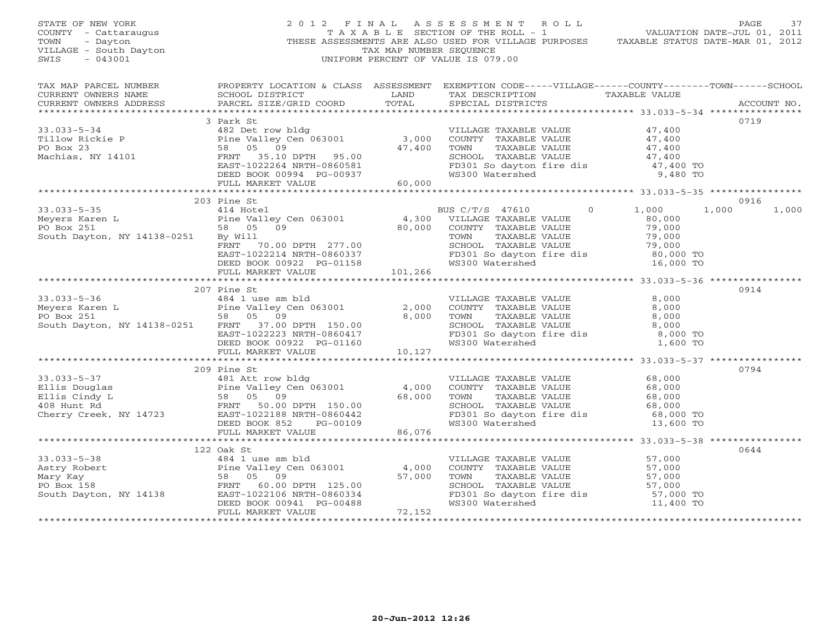| STATE OF NEW YORK<br>COUNTY - Cattaraugus<br>TOWN<br>- Dayton<br>VILLAGE - South Dayton<br>SWIS<br>$-043001$                                                                                                                                                            |                              | TAX MAP NUMBER SEQUENCE | PAGE 37<br>TAXABLE SECTION OF THE ROLL - 1 VALUATION DATE-JUL 01, 2011<br>2012 FINAL ASSESSMENT ROLL<br>THESE ASSESSMENTS ARE ALSO USED FOR VILLAGE PURPOSES TAXABLE STATUS DATE-MAR 01, 2012<br>UNIFORM PERCENT OF VALUE IS 079.00                                                                  |       |                        |
|-------------------------------------------------------------------------------------------------------------------------------------------------------------------------------------------------------------------------------------------------------------------------|------------------------------|-------------------------|------------------------------------------------------------------------------------------------------------------------------------------------------------------------------------------------------------------------------------------------------------------------------------------------------|-------|------------------------|
| CURRENT OWNERS ADDRESS                                                                                                                                                                                                                                                  | PARCEL SIZE/GRID COORD TOTAL |                         | LAND TAX DESCRIPTION TAXABLE VALUE<br>SPECIAL DISTRICTS                                                                                                                                                                                                                                              |       | ACCOUNT NO.            |
|                                                                                                                                                                                                                                                                         | 3 Park St                    |                         |                                                                                                                                                                                                                                                                                                      |       | 0719                   |
|                                                                                                                                                                                                                                                                         |                              |                         |                                                                                                                                                                                                                                                                                                      |       |                        |
| $33.033 - 5 - 35$<br>33.033-5-35<br>Meyers Karen L<br>PO Box 251<br>South Dayton, NY 14138-0251<br>South Dayton, NY 14138-0251<br>EXECTIVE BUSICITIES TAXABLE VALUE<br>FRNT 70.00 DPTH 277.00<br>EXECTIVE TAXABLE VALUE<br>TOWN TAXABLE VALUE<br>TOWN TAXABLE VALUE<br> | 203 Pine St<br>414 Hotel     |                         | BUS C/T/S 47610<br>$0 \qquad \qquad$                                                                                                                                                                                                                                                                 | 1,000 | 0916<br>1,000<br>1,000 |
|                                                                                                                                                                                                                                                                         |                              |                         |                                                                                                                                                                                                                                                                                                      |       |                        |
| 33.033-5-36<br>Meyers Karen L<br>PO Box 251<br>S8 05 09<br>South Dayton, NY 14138-0251<br>FRNT 37.00 DPTH 150.00<br>EAST-1022223 NRTH-0860417<br>FED BOOK 0922 PG-01160<br>FULL MARKET VALUE<br>FULL MARKET VALUE<br>FULL MARKET VALUE<br>FULL MARK                     | 207 Pine St                  |                         | VILLAGE TAXABLE VALUE $\begin{array}{ccccc} 8,000\ \text{COUNTY} & \text{TAXABLE VALUE} & 8,000\ \text{TOWN} & \text{TAXABLE VALUE} & 8,000\ \text{SCHOOL} & \text{TAXABLE VALUE} & 8,000\ \text{FD301 So dayton fire dis} & 8,000\ \text{WS300 Watershed} & 1,600\ \text{TO} & & & & & \end{array}$ |       | 0914                   |
|                                                                                                                                                                                                                                                                         |                              |                         |                                                                                                                                                                                                                                                                                                      |       |                        |
| 33.033-5-37<br>Ellis Douglas<br>Ellis Cindy L<br>408 Hunt Rd<br>Cherry Creek, NY 14723<br>FRNT 50.00 DPTH 150.00<br>ELLIS Cindy L<br>408 Hunt Rd<br>Cherry Creek, NY 14723<br>FRNT 50.00 DPTH 150.00<br>EAST-1022188 NRTH-0860442<br>DEED BOOK 852<br>                  | 209 Pine St                  |                         | VILLAGE TAXABLE VALUE 68,000<br>COUNTY TAXABLE VALUE 68,000<br>TOWN TAXABLE VALUE 68,000<br>SCHOOL TAXABLE VALUE 68,000<br>SCHOOL TAXABLE VALUE<br>FD301 So dayton fire dis 68,000 TO<br>WS300 Watershed 13,600 TO                                                                                   |       | 0794                   |
|                                                                                                                                                                                                                                                                         |                              |                         |                                                                                                                                                                                                                                                                                                      |       | 0644                   |
| 122 Oak St<br>33.033-5-38<br>Astry Robert<br>Mary Kay<br>PO Box 158<br>South Dayton, NY 14138<br>FRNT 60.00 DPTH 125.00<br>EAST-1022106 NRTH-0860334<br>DEED BOOK 0941 PG-00488<br>FULL MARKET VALUE<br>FULL MARKET VALUE                                               |                              | 57,000                  | VILLAGE TAXABLE VALUE<br>COUNTY TAXABLE VALUE<br>TOWN TAXABLE VALUE<br>ST,000<br>SCHOOL TAXABLE VALUE<br>FD301 So dayton fire dis<br>WS300 Watershed<br>THE ME ST,000 TO<br>TO 11,400 TO                                                                                                             |       |                        |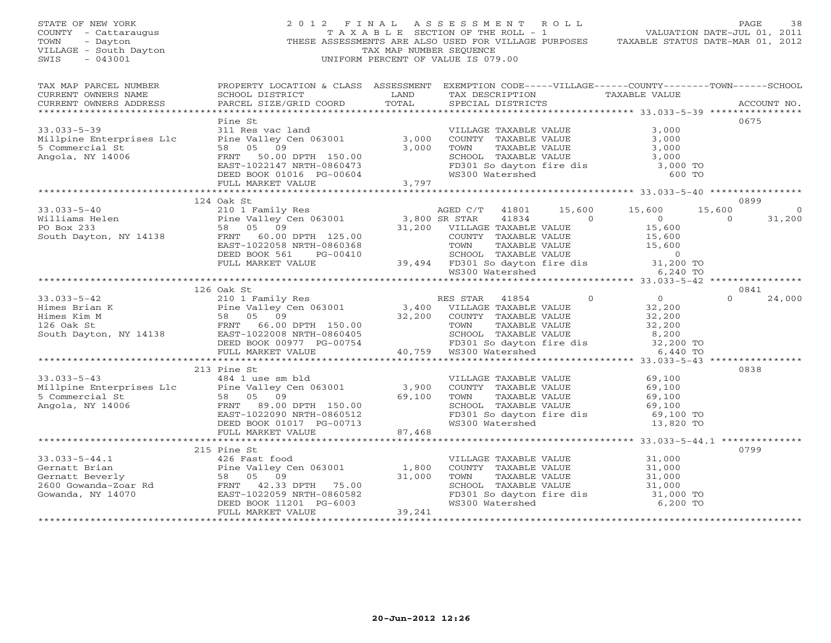| STATE OF NEW YORK<br>COUNTY - Cattaraugus<br>- Dayton<br>TOWN<br>VILLAGE - South Dayton<br>$-043001$<br>SWIS                                                                                                                                         | $\begin{aligned} \mathcal{L} \quad & \mathcal{L} \\ \text{THES} \end{aligned}$<br>2012 FINAL ASSESSMENT ROLL                                                                                                                            | TAX MAP NUMBER SEQUENCE<br>UNIFORM PERCENT OF VALUE IS 079.00 |                   | FINAL ASSESSMENT ROLL PAGE 38<br>TAXABLE SECTION OF THE ROLL - 1 VALUATION DATE-JUL 01, 2011<br>THESE ASSESSMENTS ARE ALSO USED FOR VILLAGE PURPOSES TAXABLE STATUS DATE-MAR 01, 2012 |                          |                           |
|------------------------------------------------------------------------------------------------------------------------------------------------------------------------------------------------------------------------------------------------------|-----------------------------------------------------------------------------------------------------------------------------------------------------------------------------------------------------------------------------------------|---------------------------------------------------------------|-------------------|---------------------------------------------------------------------------------------------------------------------------------------------------------------------------------------|--------------------------|---------------------------|
| TAX MAP PARCEL NUMBER<br>CURRENT OWNERS NAME<br>CURRENT OWNERS ADDRESS                                                                                                                                                                               | PROPERTY LOCATION & CLASS ASSESSMENT EXEMPTION CODE-----VILLAGE------COUNTY-------TOWN------SCHOOL<br>SCHOOL DISTRICT                       LAND        TAX DESCRIPTION                   TAXABLE VALUE<br>PARCEL SIZE/GRID COORD TOTAL |                                                               | SPECIAL DISTRICTS |                                                                                                                                                                                       |                          | ACCOUNT NO.               |
|                                                                                                                                                                                                                                                      | Pine St                                                                                                                                                                                                                                 |                                                               |                   |                                                                                                                                                                                       | 0675                     |                           |
|                                                                                                                                                                                                                                                      |                                                                                                                                                                                                                                         |                                                               |                   |                                                                                                                                                                                       |                          |                           |
| 33.033-5-40<br>Williams Helen Pine Valley Cen 063001<br>PO Box 233<br>Sa 05 09<br>South Dayton, NY 14138<br>TRNT 60.00 DPTH 125.00<br>DEED BOX 561 PG-00410<br>DEED BOX 561 PG-00410<br>PULL MARKET VALUE<br>PULL MARKET VALUE<br>PULL MARKET VAL    | 124 Oak St                                                                                                                                                                                                                              |                                                               |                   |                                                                                                                                                                                       | 15,600<br>$\overline{0}$ | 0899<br>$\circ$<br>31,200 |
|                                                                                                                                                                                                                                                      |                                                                                                                                                                                                                                         |                                                               |                   | *********** 33.033-5-42 ****************                                                                                                                                              |                          |                           |
| 33.033-5-42<br>Himes Brian K<br>Himes Brian K<br>ES STAR 41854 0<br>Himes Brian K<br>Himes Kim M<br>Sa 05 09<br>126 Oat St 58 05 09<br>21.00 DEED BOOK 00977 PG-00754 200 ECHOOL TAXABLE VALUE<br>South Dayton, NY 14138<br>EED BOOK 00977 PG-007    | 126 Oak St                                                                                                                                                                                                                              |                                                               |                   |                                                                                                                                                                                       | 0841<br>$\Omega$         | 24,000                    |
|                                                                                                                                                                                                                                                      | 213 Pine St                                                                                                                                                                                                                             |                                                               |                   |                                                                                                                                                                                       |                          | 0838                      |
| 33.033-5-43<br>484 1 use sm bld<br>Millpine Enterprises Llc<br>5 Commercial St<br>Angola, NY 14006<br>ERST-1022090 NRTH-0860512<br>DEED BOOK 01017 PG-00713<br>13.4030 Matershed<br>13.820<br>213 PINE VALUE<br>484 1 use sm bld<br>5 (2000 13)<br>5 |                                                                                                                                                                                                                                         |                                                               |                   | ounce in the value of the series of the FD301 So dayton fire dis the 69,100 TO<br>FD301 So dayton fire dis the 69,100 TO WS300 Watershed 13,820 TO                                    |                          |                           |
|                                                                                                                                                                                                                                                      |                                                                                                                                                                                                                                         |                                                               |                   |                                                                                                                                                                                       |                          |                           |
| 33.033-5-44.1<br>Gernatt Brian and 2015 Pine St<br>Gernatt Brian Pine Valley Cen 063001 1,800<br>Cernatt Beverly 58 05 09 31,000<br>2600 Gowanda-Zoar Rd FRNT 42.33 DPTH 75.00<br>Gowanda, NY 14070 EAST-1022059 NRTH-0860582<br>DEED BOOK           |                                                                                                                                                                                                                                         | 31,000                                                        |                   | VILLAGE TAXABLE VALUE<br>COUNTY TAXABLE VALUE 31,000<br>TOWN TAXABLE VALUE 31,000<br>SCHOOL TAXABLE VALUE 31,000<br>FD301 So dayton fire dis 31,000 TO<br>WS300 Watershed 6,200 TO    |                          | 0799                      |
|                                                                                                                                                                                                                                                      |                                                                                                                                                                                                                                         |                                                               |                   |                                                                                                                                                                                       |                          |                           |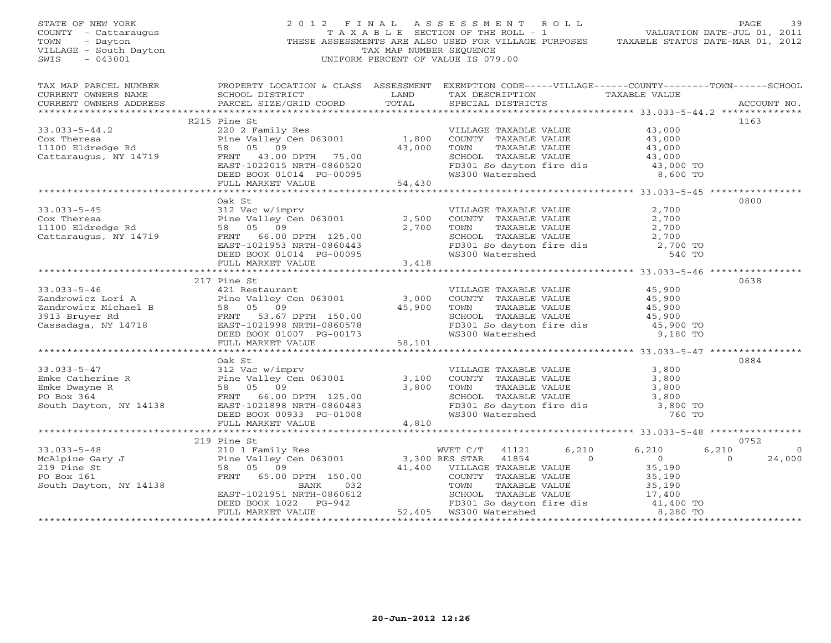| STATE OF NEW YORK<br>COUNTY - Cattaraugus<br>TOWN<br>- Dayton<br>VILLAGE - South Dayton<br>$-043001$<br>SWIS |                                                                                                                                                                                                                                                                                                                                                                                                                                                                                                                                                                                   | TAX MAP NUMBER SEQUENCE | PAGE 39<br>TAXABLE SECTION OF THE ROLL - 1 VALUATION DATE-JUL 01, 2011<br>2012 FINAL ASSESSMENT ROLL<br>THESE ASSESSMENTS ARE ALSO USED FOR VILLAGE PURPOSES TAXABLE STATUS DATE-MAR 01, 2012<br>UNIFORM PERCENT OF VALUE IS 079.00                |                          |
|--------------------------------------------------------------------------------------------------------------|-----------------------------------------------------------------------------------------------------------------------------------------------------------------------------------------------------------------------------------------------------------------------------------------------------------------------------------------------------------------------------------------------------------------------------------------------------------------------------------------------------------------------------------------------------------------------------------|-------------------------|----------------------------------------------------------------------------------------------------------------------------------------------------------------------------------------------------------------------------------------------------|--------------------------|
| CURRENT OWNERS ADDRESS                                                                                       | PARCEL SIZE/GRID COORD                                                                                                                                                                                                                                                                                                                                                                                                                                                                                                                                                            | TOTAL                   | SCHOOL DISTRICT                      LAND        TAX DESCRIPTION                   TAXABLE VALUE<br>SPECIAL DISTRICTS                                                                                                                              | ACCOUNT NO.              |
|                                                                                                              | R215 Pine St                                                                                                                                                                                                                                                                                                                                                                                                                                                                                                                                                                      |                         |                                                                                                                                                                                                                                                    | 1163                     |
|                                                                                                              | 33.033-5-44.2<br>Cox Theresa<br>Cox Theresa<br>Cox Theresa<br>Cox Theresa<br>Pine Valley Cen 063001<br>TAXABLE VALUE<br>TAXABLE VALUE<br>43,000<br>230 2 Panily Res<br>PENT 43.000<br>43,000<br>43,000<br>23.000<br>23.000<br>23.000<br>23.000<br>23.000<br>23.00                                                                                                                                                                                                                                                                                                                 |                         |                                                                                                                                                                                                                                                    |                          |
|                                                                                                              |                                                                                                                                                                                                                                                                                                                                                                                                                                                                                                                                                                                   |                         |                                                                                                                                                                                                                                                    |                          |
|                                                                                                              | Oak St<br>33.033-5-45<br>Cox Theresa<br>2,500<br>1100 Eldredge Rd<br>Cattaraugus, NY 14719<br>Cattaraugus, NY 14719<br>PEED BOOK 01014<br>PEED BOOK 01014<br>PEED BOOK 01014<br>PEED BOOK 01014<br>PEED BOOK 01014<br>PEED BOOK 01014<br>PEED BOOK 01014<br>PEED                                                                                                                                                                                                                                                                                                                  |                         | VILLAGE TAXABLE VALUE $2,700$<br>COUNTY TAXABLE VALUE $2,700$<br>TOWN TAXABLE VALUE $2,700$<br>SCHOOL TAXABLE VALUE $2,700$<br>FD301 So dayton fire dis $2,700$ TO<br>WS300 Watershed 540 TO                                                       | 0800                     |
|                                                                                                              |                                                                                                                                                                                                                                                                                                                                                                                                                                                                                                                                                                                   |                         |                                                                                                                                                                                                                                                    |                          |
|                                                                                                              |                                                                                                                                                                                                                                                                                                                                                                                                                                                                                                                                                                                   |                         |                                                                                                                                                                                                                                                    |                          |
| $33.033 - 5 - 46$                                                                                            | 217 Pine St<br>33.033-5-46<br>217 File Strautant<br>217 File Strautant<br>2217 File Strautant<br>218 File Strautant<br>218 File Strautant<br>218 File Strautant<br>218 File Strautant<br>218 File Strautant<br>218 File Strautant<br>218 File Strautant<br>218 Fil                                                                                                                                                                                                                                                                                                                |                         | VILLAGE TAXABLE VALUE<br>COUNTY TAXABLE VALUE<br>TOWN TAXABLE VALUE<br>TOWN TAXABLE VALUE<br>SCHOOL TAXABLE VALUE<br>FD301 So dayton fire dis<br>WS300 Watershed<br>The dis<br>Taxable VALUE<br>45,900 TO<br>45,900 TO<br>9,180 TO                 | 0638                     |
|                                                                                                              |                                                                                                                                                                                                                                                                                                                                                                                                                                                                                                                                                                                   |                         |                                                                                                                                                                                                                                                    |                          |
|                                                                                                              |                                                                                                                                                                                                                                                                                                                                                                                                                                                                                                                                                                                   |                         |                                                                                                                                                                                                                                                    |                          |
|                                                                                                              | Oak St<br>33.033-5-47<br>Emke Catherine R<br>Emke Dwayne R<br>PO Box 364<br>South Dayton, NY 14138<br>FRNT 66.00 DPTH 125.00<br>South Dayton, NY 14138<br>FRNT 66.00 DPTH 125.00<br>EAST-1021898 NRTH-0860483<br>PEED BOOK 00933 PG-01008<br>FULL MARKET VA                                                                                                                                                                                                                                                                                                                       |                         | VILLAGE TAXABLE VALUE<br>COUNTY TAXABLE VALUE<br>TOWN TAXABLE VALUE<br>SCHOOL TAXABLE VALUE<br>SCHOOL TAXABLE VALUE<br>TO301 So dayton fire dis<br>TO301 So dayton fire dis<br>TO300 Watershed<br>TO300 Watershed<br>TO300 Watershed<br>TO300 Wate | 0884                     |
|                                                                                                              |                                                                                                                                                                                                                                                                                                                                                                                                                                                                                                                                                                                   |                         |                                                                                                                                                                                                                                                    |                          |
|                                                                                                              |                                                                                                                                                                                                                                                                                                                                                                                                                                                                                                                                                                                   |                         |                                                                                                                                                                                                                                                    |                          |
|                                                                                                              |                                                                                                                                                                                                                                                                                                                                                                                                                                                                                                                                                                                   |                         |                                                                                                                                                                                                                                                    | 0752<br>6,210<br>$\circ$ |
|                                                                                                              |                                                                                                                                                                                                                                                                                                                                                                                                                                                                                                                                                                                   |                         |                                                                                                                                                                                                                                                    | $\overline{0}$<br>24,000 |
|                                                                                                              | $\begin{tabular}{lllllllllllllllllllllll} \text{\small $**$}\text{\small $**$}\text{\small $**$}\text{\small $**$}\text{\small $**$}\text{\small $**$}\text{\small $**$}\text{\small $**$}\text{\small $**$}\text{\small $**$}\text{\small $**$}\text{\small $**$}\text{\small $**$}\text{\small $**$}\text{\small $**$}\text{\small $**$}\text{\small $**$}\text{\small $**$}\text{\small $**$}\text{\small $**$}\text{\small $**$}\text{\small $**$}\text{\small $**$}\text{\small $**$}\text{\small $**$}\text{\small $**$}\text{\small $**$}\text{\small $**$}\text{\small $$ |                         |                                                                                                                                                                                                                                                    |                          |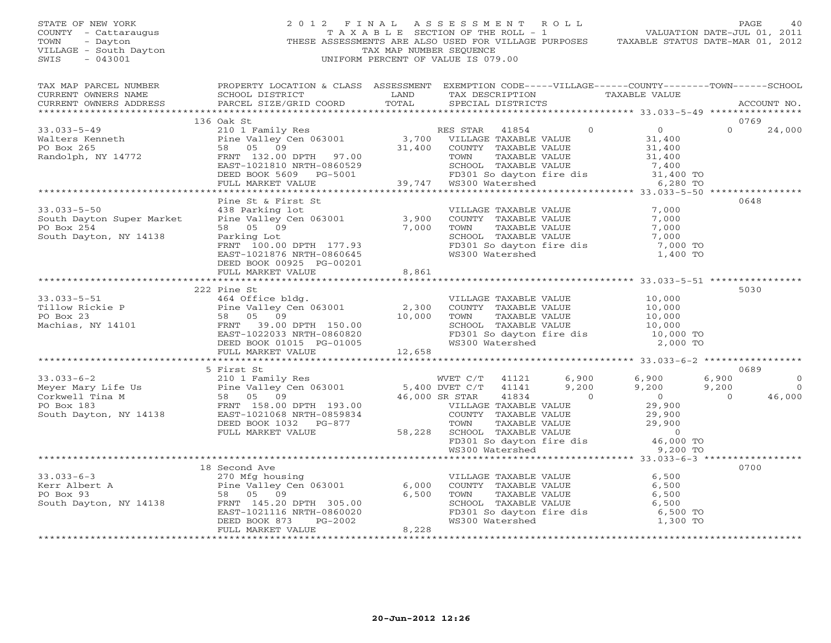# STATE OF NEW YORK 2 0 1 2 F I N A L A S S E S S M E N T R O L L PAGE 40 COUNTY - Cattaraugus T A X A B L E SECTION OF THE ROLL - 1 VALUATION DATE-JUL 01, 2011 TOWN - Dayton - Dayton 1999<br>
THESE ASSESSMENTS ARE ALSO USED FOR VILLAGE PURPOSES TAXABLE STATUS DATE-MAR 01, 2012<br>
TAX MAP NUMBER SEQUENCE VILLAGE - South Dayton TAX MAP NUMBER SEQUENCE<br>SWIS - 043001 SWIS - 043001 UNIFORM PERCENT OF VALUE IS 079.00

| TAX MAP PARCEL NUMBER<br>CURRENT OWNERS NAME<br>CURRENT OWNERS ADDRESS | PROPERTY LOCATION & CLASS ASSESSMENT EXEMPTION CODE-----VILLAGE------COUNTY-------TOWN------SCHOOL<br>SCHOOL DISTRICT<br>PARCEL SIZE/GRID COORD                                                                                                                                                                                                                                                                                                                              | <b>EXAMPLE SERVICE SERVICE SERVICE SERVICE SERVICE SERVICE SERVICE SERVICE SERVICE SERVICE SERVICE SERVICE SERVICE</b><br>TOTAL | TAX DESCRIPTION TAXABLE VALUE<br>SPECIAL DISTRICTS                                           |       |                                                                                                                                                                          |                                          | ACCOUNT NO.                                |
|------------------------------------------------------------------------|------------------------------------------------------------------------------------------------------------------------------------------------------------------------------------------------------------------------------------------------------------------------------------------------------------------------------------------------------------------------------------------------------------------------------------------------------------------------------|---------------------------------------------------------------------------------------------------------------------------------|----------------------------------------------------------------------------------------------|-------|--------------------------------------------------------------------------------------------------------------------------------------------------------------------------|------------------------------------------|--------------------------------------------|
|                                                                        |                                                                                                                                                                                                                                                                                                                                                                                                                                                                              |                                                                                                                                 |                                                                                              |       |                                                                                                                                                                          |                                          |                                            |
|                                                                        | 136 Oak St<br>33.033-5-49<br>Walters Kenneth 210 1 Family Res<br>Walters Kenneth Po Box 265<br>Randolph, NY 14772<br>EAST-1021810 NRTH-0860529<br>DEED BOOK 5609 PG-5001<br>PO Box 265<br>EAST-1021810 NRTH-0860529<br>DEED BOOK 5609 PG-5001<br>PO BOX 280 T                                                                                                                                                                                                                |                                                                                                                                 |                                                                                              |       |                                                                                                                                                                          | 0769<br>$\Omega$                         | 24,000                                     |
|                                                                        |                                                                                                                                                                                                                                                                                                                                                                                                                                                                              |                                                                                                                                 |                                                                                              |       |                                                                                                                                                                          |                                          |                                            |
|                                                                        |                                                                                                                                                                                                                                                                                                                                                                                                                                                                              |                                                                                                                                 |                                                                                              |       |                                                                                                                                                                          |                                          |                                            |
| $33.033 - 5 - 50$                                                      | Pine St & First St<br>438 Parking lot<br>33.033-5-50 $\footnotesize\begin{array}{cccc} 33.033-5-50 \\ \text{South Taylor} & Super Market \end{array}$ $\footnotesize\begin{array}{cccc} 438 \text{ Parking lot} \\ \text{Pinie Valley Cen 063001} \\ 58 & 05 & 09 \\ \text{South Taylor} & RNNT 100.00 \text{ DPTH} 177.93 \\ \text{Earth Taylor} & 100.00 \text{ DPTH} 177.93 \\ \text{EMST} & 100.00 \text{ DPTH} 177.93 \\ \text{EMST} & 100$<br>DEED BOOK 00925 PG-00201 |                                                                                                                                 | VILLAGE TAXABLE VALUE<br>COUNTY TAXABLE VALUE                                                |       | 7,000<br>FD301 So dayton fire dis $\begin{array}{ccc} - & - & - \\ 7,000 & \text{TO} \\ \text{WS300 Watershed} & 1,400 & \text{TO} \end{array}$                          | 0648                                     |                                            |
|                                                                        | FULL MARKET VALUE                                                                                                                                                                                                                                                                                                                                                                                                                                                            | 8,861                                                                                                                           |                                                                                              |       |                                                                                                                                                                          |                                          |                                            |
|                                                                        | 222 Pine St                                                                                                                                                                                                                                                                                                                                                                                                                                                                  |                                                                                                                                 |                                                                                              |       |                                                                                                                                                                          | 5030                                     |                                            |
|                                                                        | 33.033-5-51<br>Tillow Rickie P<br>PO Box 23<br>Machias, NY 14101<br>PO Box 23<br>Machias, NY 14101<br>PO Box 23<br>Machias, NY 14101<br>PO Box 23<br>PO Box 23<br>PO Box 23<br>PO Box 23<br>PO Box 23<br>PO Box 23<br>PERD BOOK 01015 PG-01005<br>PULL MARK                                                                                                                                                                                                                  |                                                                                                                                 |                                                                                              |       | VILLAGE TAXABLE VALUE<br>COUNTY TAXABLE VALUE 10,000<br>TOWN TAXABLE VALUE 10,000<br>SCHOOL TAXABLE VALUE 10,000<br>FD301 So dayton fire dis<br>WS300 Watershed 2,000 TO |                                          |                                            |
|                                                                        |                                                                                                                                                                                                                                                                                                                                                                                                                                                                              |                                                                                                                                 |                                                                                              |       |                                                                                                                                                                          |                                          |                                            |
|                                                                        | 33.033-6-2<br>Meyer Mary Life Us<br>Meyer Mary Life Us<br>Corkwell Tina M<br>FRAMELY COMENT COMENT CONTROVER CONTROLLY AND SOUND SOUTH ASSOCIATE SALL DELLA SOUTH 193.00<br>FRAMELY AND SOUTH 193.00<br>South Dayton, NY 14138<br>South Dayt<br>FULL MARKET VALUE                                                                                                                                                                                                            |                                                                                                                                 | WVET C/T 41121 6,900 6,900                                                                   | 9,200 | 9,200                                                                                                                                                                    | 0689<br>6,900<br>9,200<br>$\overline{0}$ | $\overline{0}$<br>$\overline{0}$<br>46,000 |
|                                                                        |                                                                                                                                                                                                                                                                                                                                                                                                                                                                              |                                                                                                                                 |                                                                                              |       |                                                                                                                                                                          |                                          |                                            |
|                                                                        | 18 Second Ave<br>18 Second Ave<br>Exer Albert A and the Malley Cen 063001 6,000<br>PO Box 93<br>South Dayton, NY 14138 FRNT 145.20 DPTH 305.00<br>EAST-1021116 NRTH-0860020<br>DEED BOOK 873 PG-2002<br>FULL MARKET VALUE                                                                                                                                                                                                                                                    | 6,000<br>6,500<br>8,228                                                                                                         | VILLAGE TAXABLE VALUE<br>COUNTY   TAXABLE VALUE<br>TOWN     TAXABLE VALUE<br>WS300 Watershed |       | 6,500<br>6,500<br>SCHOOL TAXABLE VALUE 6,500<br>FD301 So dayton fire dis 6,500 TO<br>1,300 TO                                                                            | 0700                                     |                                            |
|                                                                        |                                                                                                                                                                                                                                                                                                                                                                                                                                                                              |                                                                                                                                 |                                                                                              |       |                                                                                                                                                                          |                                          |                                            |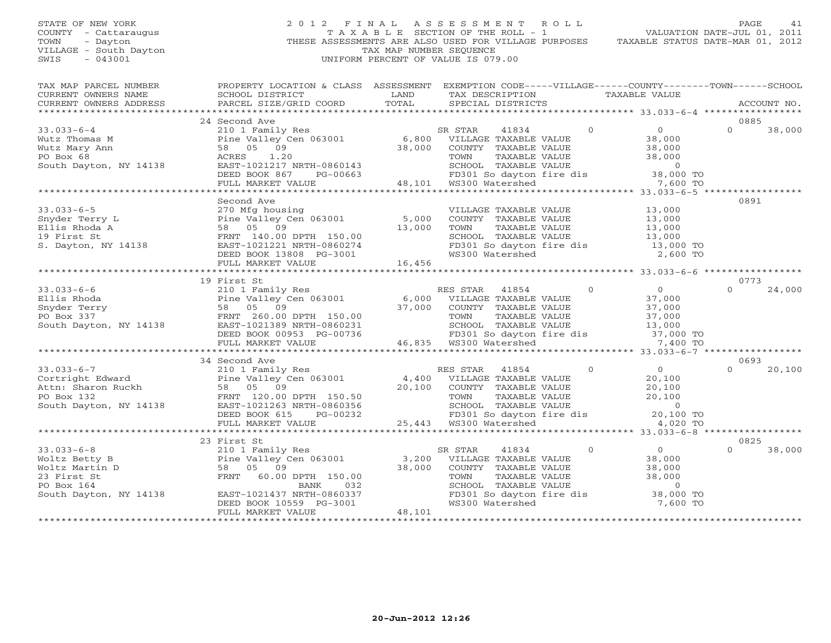# STATE OF NEW YORK 2 0 1 2 F I N A L A S S E S S M E N T R O L L PAGE 41 COUNTY - Cattaraugus T A X A B L E SECTION OF THE ROLL - 1 VALUATION DATE-JUL 01, 2011 TOWN - Dayton - Dayton 1999<br>
THESE ASSESSMENTS ARE ALSO USED FOR VILLAGE PURPOSES TAXABLE STATUS DATE-MAR 01, 2012<br>
TAX MAP NUMBER SEQUENCE VILLAGE - South Dayton TAX MAP NUMBER SEQUENCE<br>SWIS - 043001 SWIS - 043001 UNIFORM PERCENT OF VALUE IS 079.00

| TAX MAP PARCEL NUMBER<br>CURRENT OWNERS NAME<br>CURRENT OWNERS ADDRESS                    | PROPERTY LOCATION & CLASS ASSESSMENT<br>SCHOOL DISTRICT<br>PARCEL SIZE/GRID COORD                                                                                                                                                                                                     | LAND<br>TOTAL | EXEMPTION CODE-----VILLAGE------COUNTY-------TOWN------SCHOOL<br>TAX DESCRIPTION TAXABLE VALUE<br>SPECIAL DISTRICTS                                                                                  | ACCOUNT NO.                                                                                                                            |
|-------------------------------------------------------------------------------------------|---------------------------------------------------------------------------------------------------------------------------------------------------------------------------------------------------------------------------------------------------------------------------------------|---------------|------------------------------------------------------------------------------------------------------------------------------------------------------------------------------------------------------|----------------------------------------------------------------------------------------------------------------------------------------|
|                                                                                           |                                                                                                                                                                                                                                                                                       |               |                                                                                                                                                                                                      |                                                                                                                                        |
|                                                                                           | 24 Second Ave                                                                                                                                                                                                                                                                         |               |                                                                                                                                                                                                      | 0885<br>$\Omega$                                                                                                                       |
| $33.033 - 6 - 4$<br>Wutz Thomas M<br>Wutz Mary Ann<br>PO Box 68<br>South Dayton, NY 14138 | 210 1 Family Res<br>Pine Valley Cen 063001 6,800 VILLAGE TAXABLE VALUE<br>58 05 09<br>ACRES<br>1.20<br>EAST-1021217 NRTH-0860143                                                                                                                                                      | 38,000        | $\overline{0}$<br>SR STAR<br>41834<br>COUNTY TAXABLE VALUE<br>TOWN TAXABLE VALUE 38,000<br>SCHOOL TAXABLE VALUE 0<br>FD301 So dayton fire dis 38,000 TO<br>WS300 Watershed 7,600 TO                  | $\overline{0}$<br>38,000<br>38,000<br>38,000                                                                                           |
|                                                                                           | DEED BOOK 867<br>PG-00663                                                                                                                                                                                                                                                             |               | 0663 FD301 So dayton<br>48,101 WS300 Watershed                                                                                                                                                       |                                                                                                                                        |
|                                                                                           | FULL MARKET VALUE                                                                                                                                                                                                                                                                     |               |                                                                                                                                                                                                      |                                                                                                                                        |
|                                                                                           | Second Ave                                                                                                                                                                                                                                                                            |               |                                                                                                                                                                                                      | 0891                                                                                                                                   |
| $33.033 - 6 - 5$<br>Snyder Terry L<br>Ellis Rhoda A<br>19 First St<br>S. Dayton, NY 14138 | 58 05 09<br>FRNT 140.00 DPTH 150.00<br>FRNT 140.00 DPTH 150.00<br>EAST-1021221 NRTH-0860274<br>DEED BOOK 13808 PG-3001<br>FULL MARKET VALUE 16,456                                                                                                                                    | 13,000        | VILLAGE TAXABLE VALUE<br>COUNTY TAXABLE VALUE<br>TOWN TAXABLE VALUE<br>SCHOOL TAXABLE VALUE<br>FD301 So dayton fire dis<br>WS300 Watershed 2,600 TO                                                  | 13,000<br>س ره د 13<br>13 , 000<br>13,000<br>13,000                                                                                    |
|                                                                                           |                                                                                                                                                                                                                                                                                       |               |                                                                                                                                                                                                      |                                                                                                                                        |
|                                                                                           |                                                                                                                                                                                                                                                                                       |               |                                                                                                                                                                                                      |                                                                                                                                        |
|                                                                                           | 19 First St                                                                                                                                                                                                                                                                           |               |                                                                                                                                                                                                      | 0773                                                                                                                                   |
| $33.033 - 6 - 6$                                                                          | 210 1 Family Res<br>DEED BOOK 00953 PG-00736<br>FULL MARKET VALUE                                                                                                                                                                                                                     |               | $\overline{0}$<br>RES STAR 41854<br>VILLAGE TAXABLE VALUE<br>COUNTY TAXABLE VALUE<br>TOWN<br>TAXABLE VALUE<br>SCHOOL TAXABLE VALUE<br>FD301 So dayton fire dis 37,000 TO<br>WS300 Watershed 7,400 TO | $\overline{0}$<br>24,000<br>$\Omega$<br>37,000<br>37,000<br>37,000<br>13,000                                                           |
|                                                                                           |                                                                                                                                                                                                                                                                                       |               |                                                                                                                                                                                                      |                                                                                                                                        |
|                                                                                           | 34 Second Ave                                                                                                                                                                                                                                                                         |               |                                                                                                                                                                                                      | 0693                                                                                                                                   |
|                                                                                           | 33.033-6-7<br>Cortright Edward<br>Attn: Sharon Ruckh<br>PO Box 132<br>South Dayton, NY 14138<br>PO Box 132<br>South Dayton, NY 14138<br>PO Box 132<br>PO Box 132<br>PRNT 120.00 DPTH 150.50<br>PO Box 132<br>PRNT 120.00 DPTH 150.50<br>PO Box 132<br>PR<br>DEED BOOK 615<br>PG-00232 | 20,100        | $\Omega$<br>RES STAR<br>41854<br>4,400 VILLAGE TAXABLE VALUE<br>COUNTY TAXABLE VALUE<br>TOWN TAXABLE VALUE<br>SCHOOL TAXABLE VALUE<br>FD301 So dayton fire dis<br>WS300 Watershed                    | $\overline{0}$<br>$\Omega$<br>20,100<br>20,100<br>20,100<br>20,100<br>$\begin{smallmatrix}&&0\0&20\,,100&\mathrm{TO}\end{smallmatrix}$ |
|                                                                                           | FULL MARKET VALUE                                                                                                                                                                                                                                                                     |               |                                                                                                                                                                                                      | 4,020 TO                                                                                                                               |
|                                                                                           | 23 First St                                                                                                                                                                                                                                                                           |               |                                                                                                                                                                                                      | 0825                                                                                                                                   |
| $33.033 - 6 - 8$<br>Woltz Betty B                                                         | 210 1 Family Res                                                                                                                                                                                                                                                                      | 3,200         | $\overline{0}$<br>SR STAR<br>41834<br>VILLAGE TAXABLE VALUE                                                                                                                                          | $\overline{0}$<br>$\Omega$<br>38,000<br>38,000                                                                                         |
| Woltz Martin D                                                                            |                                                                                                                                                                                                                                                                                       | 38,000        | COUNTY TAXABLE VALUE                                                                                                                                                                                 | 38,000                                                                                                                                 |
| 23 First St                                                                               |                                                                                                                                                                                                                                                                                       |               | TOWN<br>TAXABLE VALUE                                                                                                                                                                                | 38,000                                                                                                                                 |
| PO Box 164                                                                                | BANK<br>032                                                                                                                                                                                                                                                                           |               | SCHOOL TAXABLE VALUE                                                                                                                                                                                 |                                                                                                                                        |
|                                                                                           | DEED BOOK 10559 PG-3001<br>FULL MARKET VALUE                                                                                                                                                                                                                                          | 48,101        | WS300 Watershed                                                                                                                                                                                      | 7,600 TO                                                                                                                               |
|                                                                                           | 210 1 ram11y Res<br>Pine Valley Cen 063001<br>58 05 09<br>FRNT 60.00 DPTH 150.00<br>South Dayton, NY 14138 EAST-1021437 NRTH-0860337                                                                                                                                                  |               | FD301 So dayton fire dis 38,000 TO                                                                                                                                                                   | $\overline{O}$                                                                                                                         |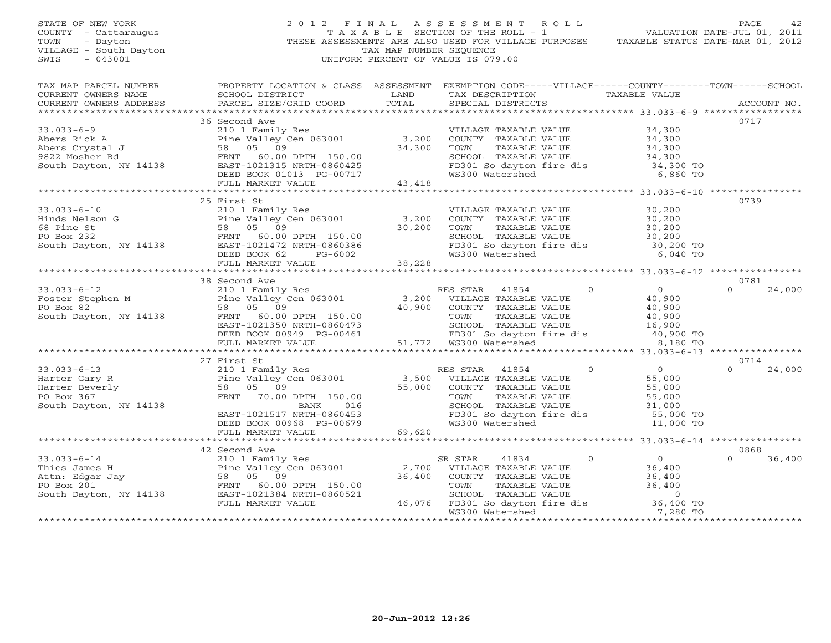STATE OF NEW YORK 2 0 1 2 F I N A L A S S E S S M E N T R O L L PAGE 42 COUNTY - Cattaraugus T A X A B L E SECTION OF THE ROLL - 1 VALUATION DATE-JUL 01, 2011 TOWN - Dayton - Dayton 1999<br>
THESE ASSESSMENTS ARE ALSO USED FOR VILLAGE PURPOSES TAXABLE STATUS DATE-MAR 01, 2012<br>
TAX MAP NUMBER SEQUENCE VILLAGE - South Dayton TAX MAP NUMBER SEQUENCE<br>SWIS - 043001 SWIS - 043001 UNIFORM PERCENT OF VALUE IS 079.00

| $\begin{tabular}{lllllll} \multicolumn{2}{l}{{\small\bf{CURRENT}}}& $\text{MWERS} $N$ABLE VALUE\\ & $\text{CURRENT} $ & $\text{RX DESCRIPTION}$ & $\text{TAX ABLE} $ & $\text{VALUE}$\\ & $\text{CURRENT} $ & $\text{ACCOUNT} $ & $\text{NOL} $\\ & $\text{PARES}$ & $\text{PACEL} $ & $\text{SIZE/GRID} $ & $\text{CORD}$ & $\text{TOTAL}$ & $\text{SPECIAL} $ & $\text{DISTRICTS}$\\ & $\text{AUCOUNT} $ & $\text{ACCOUNT} $ & $\text{AUCOUNT} $ & $\text{AUCVINT}$<br>0717<br>36 Second Ave<br>33.033-6-9<br>Abers Rick A<br>Abers Rick A<br>Pine Valley Cen 063001<br>210 1 Family Res<br>Past Crystal J<br>26 200 1 Family Res<br>210 1 Family Res<br>24,300<br>24,300<br>24,300<br>24,300<br>24,300<br>24,300<br>24,300<br>24,300<br>24,300<br>24,300<br>24,3<br>SCHOOL TAXABLE VALUE 34,300<br>FD301 So dayton fire dis 34,300 TO<br>6,860 TO<br>25 First St<br>0739<br>VILLAGE TAXABLE VALUE<br>COUNTY TAXABLE VALUE 30,200<br>TOWN TAXABLE VALUE 30,200<br>SCHOOL TAXABLE VALUE 30,200<br>FD301 So dayton fire dis<br>WS300 Watershed 6,040 TO<br>38 Second Ave<br>0781<br>RES STAR 41854 0<br>VILLAGE TAXABLE VALUE 40,900<br>COUNTY TAXABLE VALUE 40,900<br>TOWN TAXABLE VALUE 40,900<br>SCHOOL TAXABLE VALUE 40,900<br>SCHOOL TAXABLE VALUE 16,900<br>FD301 So dayton fire dis 40,900 TO<br>ws300 Watershed 8,180 TO<br>27 First St<br>0714<br>$\begin{array}{cccccccc} 33.033-6-13 & 27 \text{ First St} & \text{RES STA} & 0 & 0 \\ & 21011 \text{ Family Res} & \text{RES STAR} & 41854 & 0 & 0 \\ & 21011 \text{ Family Res} & 3,500 & \text{VILLLAGE\text{ TAXABLE VALUE}} & 55,000 \\ \text{Harter Beverly} & 58 & 05 & 09 & 55,000 & \text{COUNTY} & \text{TAXABLE VALUE} & 55,000 \\ & 58 & 05 & 09 & \text{FRNT} & 70.00 \text{ DPTH} & 150.00 & \text$<br>$0 \t 24,000$ |
|-----------------------------------------------------------------------------------------------------------------------------------------------------------------------------------------------------------------------------------------------------------------------------------------------------------------------------------------------------------------------------------------------------------------------------------------------------------------------------------------------------------------------------------------------------------------------------------------------------------------------------------------------------------------------------------------------------------------------------------------------------------------------------------------------------------------------------------------------------------------------------------------------------------------------------------------------------------------------------------------------------------------------------------------------------------------------------------------------------------------------------------------------------------------------------------------------------------------------------------------------------------------------------------------------------------------------------------------------------------------------------------------------------------------------------------------------------------------------------------------------------------------------------------------------------------------------------------------------------------------------------------------------------------------------------------------------------------------------------------------------------------------------------------------------|
|                                                                                                                                                                                                                                                                                                                                                                                                                                                                                                                                                                                                                                                                                                                                                                                                                                                                                                                                                                                                                                                                                                                                                                                                                                                                                                                                                                                                                                                                                                                                                                                                                                                                                                                                                                                               |
|                                                                                                                                                                                                                                                                                                                                                                                                                                                                                                                                                                                                                                                                                                                                                                                                                                                                                                                                                                                                                                                                                                                                                                                                                                                                                                                                                                                                                                                                                                                                                                                                                                                                                                                                                                                               |
|                                                                                                                                                                                                                                                                                                                                                                                                                                                                                                                                                                                                                                                                                                                                                                                                                                                                                                                                                                                                                                                                                                                                                                                                                                                                                                                                                                                                                                                                                                                                                                                                                                                                                                                                                                                               |
|                                                                                                                                                                                                                                                                                                                                                                                                                                                                                                                                                                                                                                                                                                                                                                                                                                                                                                                                                                                                                                                                                                                                                                                                                                                                                                                                                                                                                                                                                                                                                                                                                                                                                                                                                                                               |
|                                                                                                                                                                                                                                                                                                                                                                                                                                                                                                                                                                                                                                                                                                                                                                                                                                                                                                                                                                                                                                                                                                                                                                                                                                                                                                                                                                                                                                                                                                                                                                                                                                                                                                                                                                                               |
|                                                                                                                                                                                                                                                                                                                                                                                                                                                                                                                                                                                                                                                                                                                                                                                                                                                                                                                                                                                                                                                                                                                                                                                                                                                                                                                                                                                                                                                                                                                                                                                                                                                                                                                                                                                               |
|                                                                                                                                                                                                                                                                                                                                                                                                                                                                                                                                                                                                                                                                                                                                                                                                                                                                                                                                                                                                                                                                                                                                                                                                                                                                                                                                                                                                                                                                                                                                                                                                                                                                                                                                                                                               |
|                                                                                                                                                                                                                                                                                                                                                                                                                                                                                                                                                                                                                                                                                                                                                                                                                                                                                                                                                                                                                                                                                                                                                                                                                                                                                                                                                                                                                                                                                                                                                                                                                                                                                                                                                                                               |
|                                                                                                                                                                                                                                                                                                                                                                                                                                                                                                                                                                                                                                                                                                                                                                                                                                                                                                                                                                                                                                                                                                                                                                                                                                                                                                                                                                                                                                                                                                                                                                                                                                                                                                                                                                                               |
|                                                                                                                                                                                                                                                                                                                                                                                                                                                                                                                                                                                                                                                                                                                                                                                                                                                                                                                                                                                                                                                                                                                                                                                                                                                                                                                                                                                                                                                                                                                                                                                                                                                                                                                                                                                               |
|                                                                                                                                                                                                                                                                                                                                                                                                                                                                                                                                                                                                                                                                                                                                                                                                                                                                                                                                                                                                                                                                                                                                                                                                                                                                                                                                                                                                                                                                                                                                                                                                                                                                                                                                                                                               |
|                                                                                                                                                                                                                                                                                                                                                                                                                                                                                                                                                                                                                                                                                                                                                                                                                                                                                                                                                                                                                                                                                                                                                                                                                                                                                                                                                                                                                                                                                                                                                                                                                                                                                                                                                                                               |
|                                                                                                                                                                                                                                                                                                                                                                                                                                                                                                                                                                                                                                                                                                                                                                                                                                                                                                                                                                                                                                                                                                                                                                                                                                                                                                                                                                                                                                                                                                                                                                                                                                                                                                                                                                                               |
|                                                                                                                                                                                                                                                                                                                                                                                                                                                                                                                                                                                                                                                                                                                                                                                                                                                                                                                                                                                                                                                                                                                                                                                                                                                                                                                                                                                                                                                                                                                                                                                                                                                                                                                                                                                               |
|                                                                                                                                                                                                                                                                                                                                                                                                                                                                                                                                                                                                                                                                                                                                                                                                                                                                                                                                                                                                                                                                                                                                                                                                                                                                                                                                                                                                                                                                                                                                                                                                                                                                                                                                                                                               |
|                                                                                                                                                                                                                                                                                                                                                                                                                                                                                                                                                                                                                                                                                                                                                                                                                                                                                                                                                                                                                                                                                                                                                                                                                                                                                                                                                                                                                                                                                                                                                                                                                                                                                                                                                                                               |
|                                                                                                                                                                                                                                                                                                                                                                                                                                                                                                                                                                                                                                                                                                                                                                                                                                                                                                                                                                                                                                                                                                                                                                                                                                                                                                                                                                                                                                                                                                                                                                                                                                                                                                                                                                                               |
|                                                                                                                                                                                                                                                                                                                                                                                                                                                                                                                                                                                                                                                                                                                                                                                                                                                                                                                                                                                                                                                                                                                                                                                                                                                                                                                                                                                                                                                                                                                                                                                                                                                                                                                                                                                               |
|                                                                                                                                                                                                                                                                                                                                                                                                                                                                                                                                                                                                                                                                                                                                                                                                                                                                                                                                                                                                                                                                                                                                                                                                                                                                                                                                                                                                                                                                                                                                                                                                                                                                                                                                                                                               |
|                                                                                                                                                                                                                                                                                                                                                                                                                                                                                                                                                                                                                                                                                                                                                                                                                                                                                                                                                                                                                                                                                                                                                                                                                                                                                                                                                                                                                                                                                                                                                                                                                                                                                                                                                                                               |
|                                                                                                                                                                                                                                                                                                                                                                                                                                                                                                                                                                                                                                                                                                                                                                                                                                                                                                                                                                                                                                                                                                                                                                                                                                                                                                                                                                                                                                                                                                                                                                                                                                                                                                                                                                                               |
|                                                                                                                                                                                                                                                                                                                                                                                                                                                                                                                                                                                                                                                                                                                                                                                                                                                                                                                                                                                                                                                                                                                                                                                                                                                                                                                                                                                                                                                                                                                                                                                                                                                                                                                                                                                               |
|                                                                                                                                                                                                                                                                                                                                                                                                                                                                                                                                                                                                                                                                                                                                                                                                                                                                                                                                                                                                                                                                                                                                                                                                                                                                                                                                                                                                                                                                                                                                                                                                                                                                                                                                                                                               |
|                                                                                                                                                                                                                                                                                                                                                                                                                                                                                                                                                                                                                                                                                                                                                                                                                                                                                                                                                                                                                                                                                                                                                                                                                                                                                                                                                                                                                                                                                                                                                                                                                                                                                                                                                                                               |
|                                                                                                                                                                                                                                                                                                                                                                                                                                                                                                                                                                                                                                                                                                                                                                                                                                                                                                                                                                                                                                                                                                                                                                                                                                                                                                                                                                                                                                                                                                                                                                                                                                                                                                                                                                                               |
|                                                                                                                                                                                                                                                                                                                                                                                                                                                                                                                                                                                                                                                                                                                                                                                                                                                                                                                                                                                                                                                                                                                                                                                                                                                                                                                                                                                                                                                                                                                                                                                                                                                                                                                                                                                               |
|                                                                                                                                                                                                                                                                                                                                                                                                                                                                                                                                                                                                                                                                                                                                                                                                                                                                                                                                                                                                                                                                                                                                                                                                                                                                                                                                                                                                                                                                                                                                                                                                                                                                                                                                                                                               |
|                                                                                                                                                                                                                                                                                                                                                                                                                                                                                                                                                                                                                                                                                                                                                                                                                                                                                                                                                                                                                                                                                                                                                                                                                                                                                                                                                                                                                                                                                                                                                                                                                                                                                                                                                                                               |
|                                                                                                                                                                                                                                                                                                                                                                                                                                                                                                                                                                                                                                                                                                                                                                                                                                                                                                                                                                                                                                                                                                                                                                                                                                                                                                                                                                                                                                                                                                                                                                                                                                                                                                                                                                                               |
|                                                                                                                                                                                                                                                                                                                                                                                                                                                                                                                                                                                                                                                                                                                                                                                                                                                                                                                                                                                                                                                                                                                                                                                                                                                                                                                                                                                                                                                                                                                                                                                                                                                                                                                                                                                               |
|                                                                                                                                                                                                                                                                                                                                                                                                                                                                                                                                                                                                                                                                                                                                                                                                                                                                                                                                                                                                                                                                                                                                                                                                                                                                                                                                                                                                                                                                                                                                                                                                                                                                                                                                                                                               |
|                                                                                                                                                                                                                                                                                                                                                                                                                                                                                                                                                                                                                                                                                                                                                                                                                                                                                                                                                                                                                                                                                                                                                                                                                                                                                                                                                                                                                                                                                                                                                                                                                                                                                                                                                                                               |
|                                                                                                                                                                                                                                                                                                                                                                                                                                                                                                                                                                                                                                                                                                                                                                                                                                                                                                                                                                                                                                                                                                                                                                                                                                                                                                                                                                                                                                                                                                                                                                                                                                                                                                                                                                                               |
|                                                                                                                                                                                                                                                                                                                                                                                                                                                                                                                                                                                                                                                                                                                                                                                                                                                                                                                                                                                                                                                                                                                                                                                                                                                                                                                                                                                                                                                                                                                                                                                                                                                                                                                                                                                               |
|                                                                                                                                                                                                                                                                                                                                                                                                                                                                                                                                                                                                                                                                                                                                                                                                                                                                                                                                                                                                                                                                                                                                                                                                                                                                                                                                                                                                                                                                                                                                                                                                                                                                                                                                                                                               |
|                                                                                                                                                                                                                                                                                                                                                                                                                                                                                                                                                                                                                                                                                                                                                                                                                                                                                                                                                                                                                                                                                                                                                                                                                                                                                                                                                                                                                                                                                                                                                                                                                                                                                                                                                                                               |
|                                                                                                                                                                                                                                                                                                                                                                                                                                                                                                                                                                                                                                                                                                                                                                                                                                                                                                                                                                                                                                                                                                                                                                                                                                                                                                                                                                                                                                                                                                                                                                                                                                                                                                                                                                                               |
|                                                                                                                                                                                                                                                                                                                                                                                                                                                                                                                                                                                                                                                                                                                                                                                                                                                                                                                                                                                                                                                                                                                                                                                                                                                                                                                                                                                                                                                                                                                                                                                                                                                                                                                                                                                               |
|                                                                                                                                                                                                                                                                                                                                                                                                                                                                                                                                                                                                                                                                                                                                                                                                                                                                                                                                                                                                                                                                                                                                                                                                                                                                                                                                                                                                                                                                                                                                                                                                                                                                                                                                                                                               |
|                                                                                                                                                                                                                                                                                                                                                                                                                                                                                                                                                                                                                                                                                                                                                                                                                                                                                                                                                                                                                                                                                                                                                                                                                                                                                                                                                                                                                                                                                                                                                                                                                                                                                                                                                                                               |
| 0868<br>42 Second Ave                                                                                                                                                                                                                                                                                                                                                                                                                                                                                                                                                                                                                                                                                                                                                                                                                                                                                                                                                                                                                                                                                                                                                                                                                                                                                                                                                                                                                                                                                                                                                                                                                                                                                                                                                                         |
| $\Omega$<br>36,400                                                                                                                                                                                                                                                                                                                                                                                                                                                                                                                                                                                                                                                                                                                                                                                                                                                                                                                                                                                                                                                                                                                                                                                                                                                                                                                                                                                                                                                                                                                                                                                                                                                                                                                                                                            |
| $11834$ 0 0<br>TAXABLE VALUE 36,400                                                                                                                                                                                                                                                                                                                                                                                                                                                                                                                                                                                                                                                                                                                                                                                                                                                                                                                                                                                                                                                                                                                                                                                                                                                                                                                                                                                                                                                                                                                                                                                                                                                                                                                                                           |
|                                                                                                                                                                                                                                                                                                                                                                                                                                                                                                                                                                                                                                                                                                                                                                                                                                                                                                                                                                                                                                                                                                                                                                                                                                                                                                                                                                                                                                                                                                                                                                                                                                                                                                                                                                                               |
| 33.033-6-14<br>Thies James H<br>Thies James H<br>Pine Valley Cen 063001<br>Po Box 201<br>FRNT 60.00 DPTH 150.00<br>South Dayton, NY 14138<br>FRNT 60.00 DPTH 150.00<br>EAST-1021384<br>NRT 60.00 DPTH 150.00<br>TOWN TAXABLE VALUE<br>TOWN TAXABLE                                                                                                                                                                                                                                                                                                                                                                                                                                                                                                                                                                                                                                                                                                                                                                                                                                                                                                                                                                                                                                                                                                                                                                                                                                                                                                                                                                                                                                                                                                                                            |
|                                                                                                                                                                                                                                                                                                                                                                                                                                                                                                                                                                                                                                                                                                                                                                                                                                                                                                                                                                                                                                                                                                                                                                                                                                                                                                                                                                                                                                                                                                                                                                                                                                                                                                                                                                                               |
| FULL MARKET VALUE                                                                                                                                                                                                                                                                                                                                                                                                                                                                                                                                                                                                                                                                                                                                                                                                                                                                                                                                                                                                                                                                                                                                                                                                                                                                                                                                                                                                                                                                                                                                                                                                                                                                                                                                                                             |
| %001 2,700 VILLAGE TAXABLE VALUE<br>36,400 COUNTY TAXABLE VALUE 36,400<br>150.00 TOWN TAXABLE VALUE 36,400<br>3660521 SCHOOL TAXABLE VALUE 36,400<br>46,076 FD301 So dayton fire dis 36,400 TO<br>WS300 Watershed 7,280 TO                                                                                                                                                                                                                                                                                                                                                                                                                                                                                                                                                                                                                                                                                                                                                                                                                                                                                                                                                                                                                                                                                                                                                                                                                                                                                                                                                                                                                                                                                                                                                                    |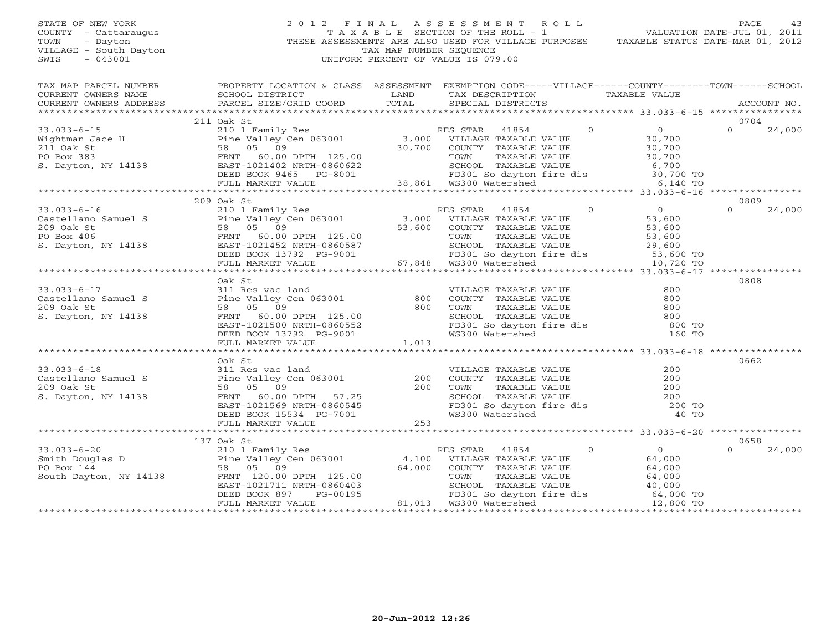# STATE OF NEW YORK 2 0 1 2 F I N A L A S S E S S M E N T R O L L PAGE 43 COUNTY - Cattaraugus T A X A B L E SECTION OF THE ROLL - 1 VALUATION DATE-JUL 01, 2011 TOWN - Dayton - Dayton 1999<br>
THESE ASSESSMENTS ARE ALSO USED FOR VILLAGE PURPOSES TAXABLE STATUS DATE-MAR 01, 2012<br>
TAX MAP NUMBER SEQUENCE VILLAGE - South Dayton TAX MAP NUMBER SEQUENCE<br>SWIS - 043001 SWIS - 043001 UNIFORM PERCENT OF VALUE IS 079.00

|                                                                                                                                                                                                                                                     |            | TAX MAP PARCEL NUMBER THE PROPERTY LOCATION & CLASS ASSESSMENT EXEMPTION CODE-----VILLAGE------COUNTY-------TOWN------SCHOOL                                                                                                                                                                                                                                                                                        |
|-----------------------------------------------------------------------------------------------------------------------------------------------------------------------------------------------------------------------------------------------------|------------|---------------------------------------------------------------------------------------------------------------------------------------------------------------------------------------------------------------------------------------------------------------------------------------------------------------------------------------------------------------------------------------------------------------------|
|                                                                                                                                                                                                                                                     |            |                                                                                                                                                                                                                                                                                                                                                                                                                     |
|                                                                                                                                                                                                                                                     |            |                                                                                                                                                                                                                                                                                                                                                                                                                     |
|                                                                                                                                                                                                                                                     |            |                                                                                                                                                                                                                                                                                                                                                                                                                     |
|                                                                                                                                                                                                                                                     | 211 Oak St | 0704                                                                                                                                                                                                                                                                                                                                                                                                                |
|                                                                                                                                                                                                                                                     |            | $\Omega$ and $\Omega$<br>24,000                                                                                                                                                                                                                                                                                                                                                                                     |
|                                                                                                                                                                                                                                                     |            |                                                                                                                                                                                                                                                                                                                                                                                                                     |
|                                                                                                                                                                                                                                                     |            |                                                                                                                                                                                                                                                                                                                                                                                                                     |
|                                                                                                                                                                                                                                                     |            |                                                                                                                                                                                                                                                                                                                                                                                                                     |
|                                                                                                                                                                                                                                                     |            |                                                                                                                                                                                                                                                                                                                                                                                                                     |
|                                                                                                                                                                                                                                                     |            |                                                                                                                                                                                                                                                                                                                                                                                                                     |
|                                                                                                                                                                                                                                                     |            |                                                                                                                                                                                                                                                                                                                                                                                                                     |
|                                                                                                                                                                                                                                                     |            |                                                                                                                                                                                                                                                                                                                                                                                                                     |
|                                                                                                                                                                                                                                                     | 209 Oak St | 0809                                                                                                                                                                                                                                                                                                                                                                                                                |
|                                                                                                                                                                                                                                                     |            | $\Omega$<br>24,000                                                                                                                                                                                                                                                                                                                                                                                                  |
|                                                                                                                                                                                                                                                     |            |                                                                                                                                                                                                                                                                                                                                                                                                                     |
|                                                                                                                                                                                                                                                     |            |                                                                                                                                                                                                                                                                                                                                                                                                                     |
|                                                                                                                                                                                                                                                     |            |                                                                                                                                                                                                                                                                                                                                                                                                                     |
|                                                                                                                                                                                                                                                     |            |                                                                                                                                                                                                                                                                                                                                                                                                                     |
|                                                                                                                                                                                                                                                     |            |                                                                                                                                                                                                                                                                                                                                                                                                                     |
|                                                                                                                                                                                                                                                     |            |                                                                                                                                                                                                                                                                                                                                                                                                                     |
|                                                                                                                                                                                                                                                     |            |                                                                                                                                                                                                                                                                                                                                                                                                                     |
|                                                                                                                                                                                                                                                     | Oak St     | 0808                                                                                                                                                                                                                                                                                                                                                                                                                |
|                                                                                                                                                                                                                                                     |            |                                                                                                                                                                                                                                                                                                                                                                                                                     |
|                                                                                                                                                                                                                                                     |            |                                                                                                                                                                                                                                                                                                                                                                                                                     |
|                                                                                                                                                                                                                                                     |            | VILLAGE TAXABLE VALUE<br>COUNTY TAXABLE VALUE 800<br>TOWN TAXABLE VALUE 800<br>SCHOOL TAXABLE VALUE 800<br>FD301 So dayton fire dis<br>WS300 Watershed 160 TO                                                                                                                                                                                                                                                       |
|                                                                                                                                                                                                                                                     |            |                                                                                                                                                                                                                                                                                                                                                                                                                     |
|                                                                                                                                                                                                                                                     |            |                                                                                                                                                                                                                                                                                                                                                                                                                     |
|                                                                                                                                                                                                                                                     |            |                                                                                                                                                                                                                                                                                                                                                                                                                     |
| 33.033-6-17<br>Castellano Samuel S<br>Castellano Samuel S<br>209 Oak St<br>Santi Bine Valley Cen 063001<br>58 05 09<br>S. Dayton, NY 14138<br>FRNT 60.00 DPTH 125.00<br>EAST-1021500 NRTH-0860552<br>DEED BOOK 13792 PG-9001<br>*****************   |            |                                                                                                                                                                                                                                                                                                                                                                                                                     |
|                                                                                                                                                                                                                                                     |            |                                                                                                                                                                                                                                                                                                                                                                                                                     |
|                                                                                                                                                                                                                                                     | Oak St     | 0662                                                                                                                                                                                                                                                                                                                                                                                                                |
|                                                                                                                                                                                                                                                     |            |                                                                                                                                                                                                                                                                                                                                                                                                                     |
|                                                                                                                                                                                                                                                     |            |                                                                                                                                                                                                                                                                                                                                                                                                                     |
|                                                                                                                                                                                                                                                     |            |                                                                                                                                                                                                                                                                                                                                                                                                                     |
|                                                                                                                                                                                                                                                     |            |                                                                                                                                                                                                                                                                                                                                                                                                                     |
|                                                                                                                                                                                                                                                     |            |                                                                                                                                                                                                                                                                                                                                                                                                                     |
|                                                                                                                                                                                                                                                     |            | VILLAGE TAXABLE VALUE $200$<br>COUNTY TAXABLE VALUE $200$<br>TOWN TAXABLE VALUE $200$<br>SCHOOL TAXABLE VALUE $200$<br>FD301 So dayton fire dis $200$ TO<br>WS300 Watershed $40$ TO                                                                                                                                                                                                                                 |
| 33.033-6-18<br>Castellano Samuel S<br>Castellano Samuel S<br>200 Oak St<br>SB 05 09<br>S. Dayton, NY 14138<br>TRNT 60.00 DPTH 57.25<br>EAST-1021569 NRTH-0860545<br>DEED BOOK 15534 PG-7001<br>FULL MARKET VALUE<br>PULL MARKET VALUE<br>PULL MARKE |            |                                                                                                                                                                                                                                                                                                                                                                                                                     |
|                                                                                                                                                                                                                                                     |            |                                                                                                                                                                                                                                                                                                                                                                                                                     |
|                                                                                                                                                                                                                                                     | 137 Oak St | 0658                                                                                                                                                                                                                                                                                                                                                                                                                |
|                                                                                                                                                                                                                                                     |            | $\Omega$<br>24,000                                                                                                                                                                                                                                                                                                                                                                                                  |
|                                                                                                                                                                                                                                                     |            |                                                                                                                                                                                                                                                                                                                                                                                                                     |
|                                                                                                                                                                                                                                                     |            |                                                                                                                                                                                                                                                                                                                                                                                                                     |
|                                                                                                                                                                                                                                                     |            |                                                                                                                                                                                                                                                                                                                                                                                                                     |
|                                                                                                                                                                                                                                                     |            |                                                                                                                                                                                                                                                                                                                                                                                                                     |
|                                                                                                                                                                                                                                                     |            |                                                                                                                                                                                                                                                                                                                                                                                                                     |
|                                                                                                                                                                                                                                                     |            | $\begin{tabular}{lllllllllllllllllllllll} \text{33.033-6-20} & & & & 137\text{ Oak St} & & & & \text{RES STAR} & 41854 & 0 & 0 \\ \text{Smith Douglas D} & & & & & & \text{Pine Valley Cen 063001} & & & 4,100 & \text{VILLAGE TAXABLE VALUE} & & 64,000 \\ \text{PO Box 144} & & & 58\text{ 05 09} & & 64,000 & \text{COUNTY TAXABLE VALUE} & & 64,000 \\ \text{South Dayton, NY 14138} & & & & \text{FRNT 120.00$ |
|                                                                                                                                                                                                                                                     |            |                                                                                                                                                                                                                                                                                                                                                                                                                     |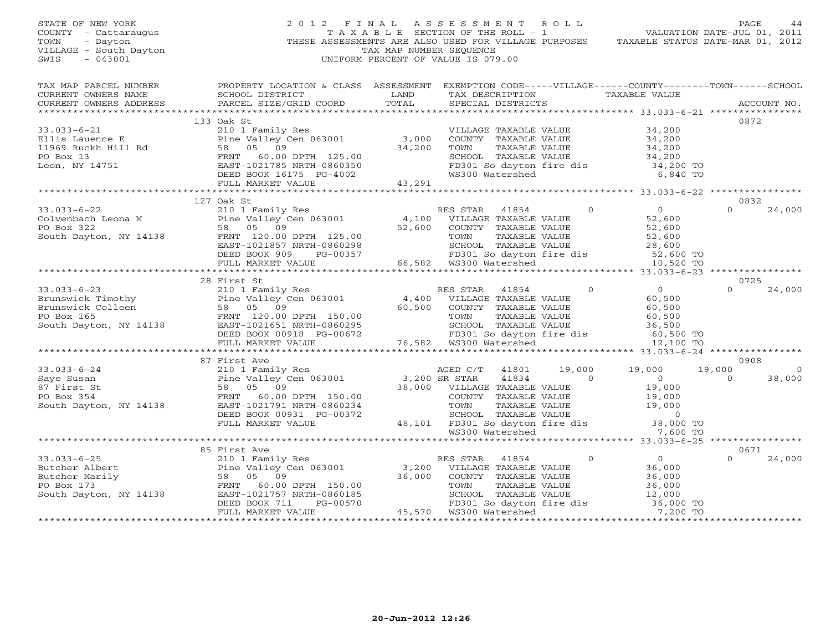STATE OF NEW YORK 2 0 1 2 F I N A L A S S E S S M E N T R O L L PAGE 44 COUNTY - Cattaraugus T A X A B L E SECTION OF THE ROLL - 1 VALUATION DATE-JUL 01, 2011 TOWN - Dayton THESE ASSESSMENTS ARE ALSO USED FOR VILLAGE PURPOSES TAXABLE STATUS DATE-MAR 01, 2012 VILLAGE - South Dayton TAX MAP NUMBER SEQUENCE SWIS - 043001 UNIFORM PERCENT OF VALUE IS 079.00 TAX MAP PARCEL NUMBER PROPERTY LOCATION & CLASS ASSESSMENT EXEMPTION CODE-----VILLAGE------COUNTY--------TOWN------SCHOOL<br>CURRENT OWNERS NAME SCHOOL DISTRICT LAND TAX DE \*\*\*\*\*\*\*\*\*\*\*\*\*\*\*\*\*\*\*\*\*\*\*\*\*\*\*\*\*\*\*\*\*\*\*\*\*\*\*\*\*\*\*\*\*\*\*\*\*\*\*\*\*\*\*\*\*\*\*\*\*\*\*\*\*\*\*\*\*\*\*\*\*\*\*\*\*\*\*\*\*\*\*\*\*\*\*\*\*\*\*\*\*\*\*\*\*\*\*\*\*\*\* 33.033-6-21 \*\*\*\*\*\*\*\*\*\*\*\*\*\*\*\* 133 Oak St 0872 33.033-6-21 210 1 Family Res VILLAGE TAXABLE VALUE 34,200 Ellis Lauence E Pine Valley Cen 063001 3,000 COUNTY TAXABLE VALUE 34,200 11969 Ruckh Hill Rd 58 05 09 34,200 TOWN TAXABLE VALUE 34,200 PO Box 13 FRNT 60.00 DPTH 125.00 SCHOOL TAXABLE VALUE 34,200 Leon, NY 14751 EAST-1021785 NRTH-0860350 FD301 So dayton fire dis 34,200 TO DEED BOOK 16175 PG-4002 WS300 Watershed 6,840 TO FULL MARKET VALUE 43,291 \*\*\*\*\*\*\*\*\*\*\*\*\*\*\*\*\*\*\*\*\*\*\*\*\*\*\*\*\*\*\*\*\*\*\*\*\*\*\*\*\*\*\*\*\*\*\*\*\*\*\*\*\*\*\*\*\*\*\*\*\*\*\*\*\*\*\*\*\*\*\*\*\*\*\*\*\*\*\*\*\*\*\*\*\*\*\*\*\*\*\*\*\*\*\*\*\*\*\*\*\*\*\* 33.033-6-22 \*\*\*\*\*\*\*\*\*\*\*\*\*\*\*\* 127 Oak St 0832 33.033-6-22 210 1 Family Res RES STAR 41854 0 0 0 24,000 Colvenbach Leona M Pine Valley Cen 063001 4,100 VILLAGE TAXABLE VALUE 52,600 PO Box 322 58 05 09 52,600 COUNTY TAXABLE VALUE 52,600 South Dayton, NY 14138 FRNT 120.00 DPTH 125.00 TOWN TAXABLE VALUE 52,600 EAST-1021857 NRTH-0860298 SCHOOL TAXABLE VALUE 28,600 DEED BOOK 909 PG-00357 FD301 So dayton fire dis 52,600 TO FULL MARKET VALUE 66,582 WS300 Watershed 10,520 TO \*\*\*\*\*\*\*\*\*\*\*\*\*\*\*\*\*\*\*\*\*\*\*\*\*\*\*\*\*\*\*\*\*\*\*\*\*\*\*\*\*\*\*\*\*\*\*\*\*\*\*\*\*\*\*\*\*\*\*\*\*\*\*\*\*\*\*\*\*\*\*\*\*\*\*\*\*\*\*\*\*\*\*\*\*\*\*\*\*\*\*\*\*\*\*\*\*\*\*\*\*\*\* 33.033-6-23 \*\*\*\*\*\*\*\*\*\*\*\*\*\*\*\* 28 First St 0725 33.033-6-23 210 1 Family Res RES STAR 41854 0 0 24,000 Brunswick Timothy Pine Valley Cen 063001 4,400 VILLAGE TAXABLE VALUE 60,500 Brunswick Colleen 58 05 09 60,500 COUNTY TAXABLE VALUE 60,500 PO Box 165 FRNT 120.00 DPTH 150.00 TOWN TAXABLE VALUE 60,500 South Dayton, NY 14138 EAST-1021651 NRTH-0860295 SCHOOL TAXABLE VALUE 36,500 DEED BOOK 00918 PG-00672 FD301 So dayton fire dis 60,500 TO FULL MARKET VALUE 76,582 WS300 Watershed 12,100 TO \*\*\*\*\*\*\*\*\*\*\*\*\*\*\*\*\*\*\*\*\*\*\*\*\*\*\*\*\*\*\*\*\*\*\*\*\*\*\*\*\*\*\*\*\*\*\*\*\*\*\*\*\*\*\*\*\*\*\*\*\*\*\*\*\*\*\*\*\*\*\*\*\*\*\*\*\*\*\*\*\*\*\*\*\*\*\*\*\*\*\*\*\*\*\*\*\*\*\*\*\*\*\* 33.033-6-24 \*\*\*\*\*\*\*\*\*\*\*\*\*\*\*\* 87 First Ave 0908 33.033-6-24 210 1 Family Res AGED C/T 41801 19,000 19,000 19,000 0 Saye Susan Pine Valley Cen 063001 3,200 SR STAR 41834 0 0 0 38,000 87 First St 58 05 09 38,000 VILLAGE TAXABLE VALUE 19,000 PO Box 354 FRNT 60.00 DPTH 150.00 COUNTY TAXABLE VALUE 19,000 South Dayton, NY 14138 EAST-1021791 NRTH-0860234 TOWN TAXABLE VALUE 19,000 DEED BOOK 00931 PG-00372 SCHOOL TAXABLE VALUE 0 FULL MARKET VALUE 48,101 FD301 So dayton fire dis 38,000 TO WS300 Watershed 7,600 TO \*\*\*\*\*\*\*\*\*\*\*\*\*\*\*\*\*\*\*\*\*\*\*\*\*\*\*\*\*\*\*\*\*\*\*\*\*\*\*\*\*\*\*\*\*\*\*\*\*\*\*\*\*\*\*\*\*\*\*\*\*\*\*\*\*\*\*\*\*\*\*\*\*\*\*\*\*\*\*\*\*\*\*\*\*\*\*\*\*\*\*\*\*\*\*\*\*\*\*\*\*\*\* 33.033-6-25 \*\*\*\*\*\*\*\*\*\*\*\*\*\*\*\* 85 First Ave 0671 33.033-6-25 210 1 Family Res RES STAR 41854 0 0 0 24,000 Butcher Albert Pine Valley Cen 063001 3,200 VILLAGE TAXABLE VALUE 36,000 Butcher Marily 58 05 09 36,000 COUNTY TAXABLE VALUE 36,000 PO Box 173 FRNT 60.00 DPTH 150.00 TOWN TAXABLE VALUE 36,000 South Dayton, NY 14138 EAST-1021757 NRTH-0860185 SCHOOL TAXABLE VALUE 12,000 DEED BOOK 711 PG-00570 FD301 So dayton fire dis 36,000 TO FULL MARKET VALUE 45,570 WS300 Watershed 7,200 TO \*\*\*\*\*\*\*\*\*\*\*\*\*\*\*\*\*\*\*\*\*\*\*\*\*\*\*\*\*\*\*\*\*\*\*\*\*\*\*\*\*\*\*\*\*\*\*\*\*\*\*\*\*\*\*\*\*\*\*\*\*\*\*\*\*\*\*\*\*\*\*\*\*\*\*\*\*\*\*\*\*\*\*\*\*\*\*\*\*\*\*\*\*\*\*\*\*\*\*\*\*\*\*\*\*\*\*\*\*\*\*\*\*\*\*\*\*\*\*\*\*\*\*\*\*\*\*\*\*\*\*\*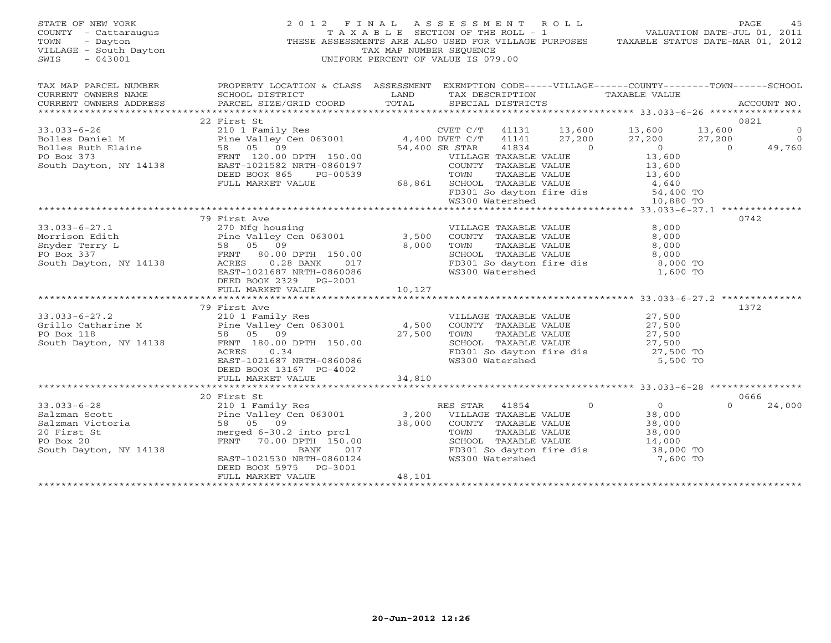STATE OF NEW YORK 2 0 1 2 F I N A L A S S E S S M E N T R O L L PAGE 45 COUNTY - Cattaraugus T A X A B L E SECTION OF THE ROLL - 1 VALUATION DATE-JUL 01, 2011 TOWN - Dayton - Dayton 1999<br>
THESE ASSESSMENTS ARE ALSO USED FOR VILLAGE PURPOSES TAXABLE STATUS DATE-MAR 01, 2012<br>
TAX MAP NUMBER SEQUENCE VILLAGE - South Dayton TAX MAP NUMBER SEQUENCE<br>SWIS - 043001 SWIS - 043001 UNIFORM PERCENT OF VALUE IS 079.00

| TAX MAP PARCEL NUMBER<br>CURRENT OWNERS NAME<br>CURRENT OWNERS ADDRESS                          | SCHOOL DISTRICT<br>PARCEL SIZE/GRID COORD                                                                                                                                                                                                                                     | LAND<br>TOTAL               | PROPERTY LOCATION & CLASS ASSESSMENT EXEMPTION CODE-----VILLAGE------COUNTY-------TOWN------SCHOOL<br>TAX DESCRIPTION<br>SPECIAL DISTRICTS                                                                                                                                                                                                                                                         | TAXABLE VALUE                                                                                   | ACCOUNT NO.                                 |
|-------------------------------------------------------------------------------------------------|-------------------------------------------------------------------------------------------------------------------------------------------------------------------------------------------------------------------------------------------------------------------------------|-----------------------------|----------------------------------------------------------------------------------------------------------------------------------------------------------------------------------------------------------------------------------------------------------------------------------------------------------------------------------------------------------------------------------------------------|-------------------------------------------------------------------------------------------------|---------------------------------------------|
| $33.033 - 6 - 26$                                                                               | 22 First St<br>210 1 Family Res<br>DEED BOOK 865<br>PG-00539<br>FULL MARKET VALUE                                                                                                                                                                                             | $\frac{197}{139}$<br>68,861 | CVET C/T 41131 13,600 13,600<br>$\begin{tabular}{llllll} \multicolumn{2}{c}{\textbf{COUNTY}} & \textbf{TAXABLE VALUE} & & & 13 \, , \, 600 \\ \multicolumn{2}{c}{\textbf{TOWN}} & \textbf{TAXABLE VALUE} & & 13 \, , \, 600 \\ \multicolumn{2}{c}{\textbf{SCHOOL}} & \textbf{TAXABLE VALUE} & & 4 \, , \, 640 \\ \end{tabular}$<br>FD301 So dayton fire dis 54,400 TO<br>WS300 Watershed 10,880 TO | 13,600<br>27,200<br>27,200<br>$\begin{matrix}0\\13.600\end{matrix}$<br>$\overline{0}$<br>13,600 | 0821<br>$\circ$<br>$\overline{0}$<br>49,760 |
|                                                                                                 |                                                                                                                                                                                                                                                                               |                             |                                                                                                                                                                                                                                                                                                                                                                                                    |                                                                                                 |                                             |
| $33.033 - 6 - 27.1$<br>Morrison Edith<br>Snyder Terry L<br>PO Box 337<br>South Dayton, NY 14138 | 79 First Ave<br>270 Mfg housing<br>Pine Valley Cen 063001 3,500<br>Fine Valley Cen 063001 3,500<br>58 05 09 8,000<br>FRNT 80.00 DPTH 150.00<br>Y 14138 ACRES 0.28 BANK 017<br>ACRES 0.28 BANK 017<br>EAST-1021687 NRTH-0860086<br>DEED BOOK 2329 PG-2001<br>FULL MARKET VALUE | 10,127                      | VILLAGE TAXABLE VALUE<br>COUNTY TAXABLE VALUE<br>TAXABLE VALUE<br>TOWN<br>SCHOOL TAXABLE VALUE<br>FD301 So dayton fire dis 8,000 TO<br>WS300 Watershed                                                                                                                                                                                                                                             | 8,000<br>8,000<br>8,000<br>8,000<br>1,600 TO                                                    | 0742                                        |
|                                                                                                 |                                                                                                                                                                                                                                                                               |                             |                                                                                                                                                                                                                                                                                                                                                                                                    |                                                                                                 |                                             |
|                                                                                                 | 79 First Ave<br>0.34<br>ACRES<br>EAST-1021687 NRTH-0860086<br>DEED BOOK 13167 PG-4002                                                                                                                                                                                         | 27,500                      | VILLAGE TAXABLE VALUE 27,500<br>COUNTY TAXABLE VALUE 27,500<br>TOWN<br>SCHOOL TAXABLE VALUE<br>FD301 So dayton fire dis 27,500 TO<br>WS300 Watershed                                                                                                                                                                                                                                               | 5,500 TO                                                                                        | 1372                                        |
|                                                                                                 | FULL MARKET VALUE                                                                                                                                                                                                                                                             | 34,810                      |                                                                                                                                                                                                                                                                                                                                                                                                    |                                                                                                 |                                             |
| South Dayton, NY 14138                                                                          | BANK<br>EAST-1021530 NRTH-0860124<br>DEED BOOK 5975<br>PG-3001<br>FULL MARKET VALUE                                                                                                                                                                                           | $017$<br>$0124$<br>48,101   | $\overline{0}$<br>RES STAR 41854<br>VILLAGE TAXABLE VALUE<br>COUNTY TAXABLE VALUE<br>TOWN<br>TAXABLE VALUE<br>SCHOOL TAXABLE VALUE<br>FD301 So dayton fire dis 38,000 TO<br>WS300 Watershed                                                                                                                                                                                                        | $\overline{O}$<br>38,000<br>38,000<br>38,000<br>14,000<br>7,600 TO                              | 0666<br>$\Omega$<br>24,000                  |
|                                                                                                 |                                                                                                                                                                                                                                                                               |                             |                                                                                                                                                                                                                                                                                                                                                                                                    |                                                                                                 |                                             |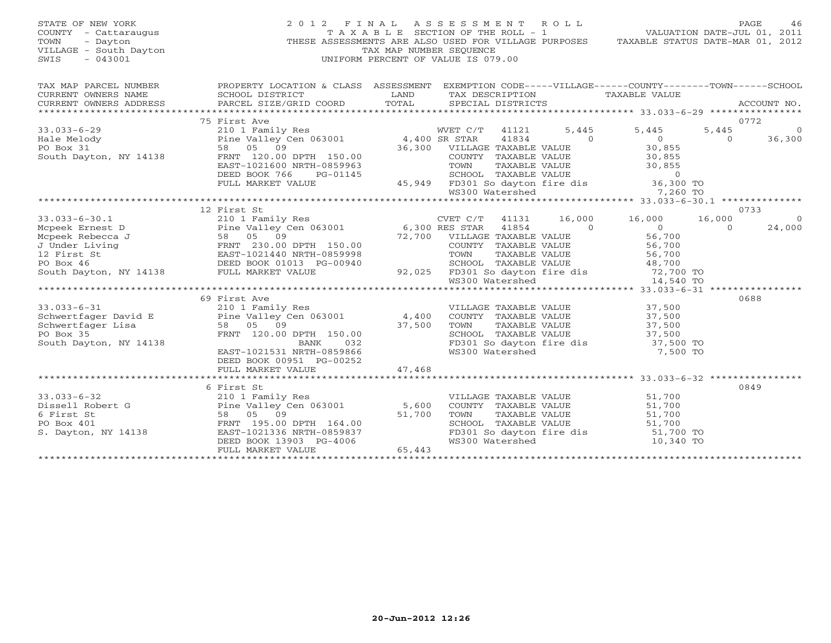| STATE OF NEW YORK<br>COUNTY - Cattaraugus<br>TOWN<br>- Dayton<br>VILLAGE - South Dayton<br>$-043001$<br>SWIS                                                                                                                               | 2012 FINAL ASSESSMENT ROLL                                                                                                                                                                   | TAX MAP NUMBER SEOUENCE<br>UNIFORM PERCENT OF VALUE IS 079.00 |                                                      |               |                | TAXABLE SECTION OF THE ROLL - 1 VALUATION DATE-JUL 01, 2011<br>THESE ASSESSMENTS ARE ALSO USED FOR VILLAGE PURPOSES TAXABLE STATUS DATE-MAR 01, 2012             |                | PAGE<br>46 |
|--------------------------------------------------------------------------------------------------------------------------------------------------------------------------------------------------------------------------------------------|----------------------------------------------------------------------------------------------------------------------------------------------------------------------------------------------|---------------------------------------------------------------|------------------------------------------------------|---------------|----------------|------------------------------------------------------------------------------------------------------------------------------------------------------------------|----------------|------------|
| TAX MAP PARCEL NUMBER                                                                                                                                                                                                                      | PROPERTY LOCATION & CLASS ASSESSMENT EXEMPTION CODE-----VILLAGE------COUNTY-------TOWN------SCHOOL                                                                                           |                                                               |                                                      |               |                |                                                                                                                                                                  |                |            |
|                                                                                                                                                                                                                                            |                                                                                                                                                                                              |                                                               |                                                      |               |                |                                                                                                                                                                  |                |            |
|                                                                                                                                                                                                                                            |                                                                                                                                                                                              |                                                               |                                                      |               |                |                                                                                                                                                                  |                |            |
|                                                                                                                                                                                                                                            | 75 First Ave                                                                                                                                                                                 |                                                               |                                                      |               |                |                                                                                                                                                                  |                | 0772       |
| $33.033 - 6 - 29$                                                                                                                                                                                                                          | TIS AVET C/T 41121 5,<br>210 1 Family Res MVET C/T 41121 5,<br>210 1 Family Res 4,400 SR STAR 41834<br>58 05 09 36,300 VILLAGE TAXABLE VALUE<br>FRNT 120.00 DPTH 150.00 60UNTY TAXABLE VALUE |                                                               |                                                      |               | 5,445          | 5,445                                                                                                                                                            | 5,445          | $\Omega$   |
| Hale Melody                                                                                                                                                                                                                                |                                                                                                                                                                                              |                                                               |                                                      |               | $\sim$ 0       | $\overline{0}$                                                                                                                                                   | $\overline{0}$ | 36,300     |
| PO Box 31                                                                                                                                                                                                                                  |                                                                                                                                                                                              |                                                               |                                                      |               |                | 30,855<br>30,855                                                                                                                                                 |                |            |
| South Dayton, NY 14138                                                                                                                                                                                                                     | FRNT 120.00 DPTH 150.00                                                                                                                                                                      |                                                               |                                                      |               |                |                                                                                                                                                                  |                |            |
|                                                                                                                                                                                                                                            | EAST-1021600 NRTH-0859963                                                                                                                                                                    |                                                               |                                                      |               |                |                                                                                                                                                                  |                |            |
|                                                                                                                                                                                                                                            | DEED BOOK 766<br>PG-01145                                                                                                                                                                    |                                                               |                                                      |               |                |                                                                                                                                                                  |                |            |
|                                                                                                                                                                                                                                            | FULL MARKET VALUE                                                                                                                                                                            |                                                               |                                                      |               |                | COUNTY TAXABLE VALUE 30,855<br>TOWN TAXABLE VALUE 30,855<br>SCHOOL TAXABLE VALUE 30,855<br>45,949 FD301 So dayton fire dis 36,300 TO<br>WS300 Watershed 7,260 TO |                |            |
|                                                                                                                                                                                                                                            |                                                                                                                                                                                              |                                                               |                                                      |               |                |                                                                                                                                                                  |                |            |
|                                                                                                                                                                                                                                            | 12 First St                                                                                                                                                                                  |                                                               |                                                      |               |                |                                                                                                                                                                  |                | 0733       |
| $33.033 - 6 - 30.1$                                                                                                                                                                                                                        |                                                                                                                                                                                              |                                                               |                                                      | 41131         | 16,000         | 16,000                                                                                                                                                           | 16,000         | $\circ$    |
|                                                                                                                                                                                                                                            | 210 1 Family Res<br>Pine Valley Cen 063001 6,300 RES STAR                                                                                                                                    |                                                               |                                                      | 41854         | $\overline{0}$ | $\overline{0}$                                                                                                                                                   | $\Omega$       | 24,000     |
|                                                                                                                                                                                                                                            |                                                                                                                                                                                              |                                                               | 72,700 VILLAGE TAXABLE VALUE<br>COUNTY TAXABLE VALUE |               |                |                                                                                                                                                                  |                |            |
|                                                                                                                                                                                                                                            |                                                                                                                                                                                              |                                                               | COUNTY TAXABLE VALUE                                 |               |                | $56,700$<br>$56,700$                                                                                                                                             |                |            |
|                                                                                                                                                                                                                                            |                                                                                                                                                                                              |                                                               |                                                      |               |                |                                                                                                                                                                  |                |            |
|                                                                                                                                                                                                                                            |                                                                                                                                                                                              |                                                               |                                                      |               |                |                                                                                                                                                                  |                |            |
| 33.033-6-30.1 210 1 Family Res<br>Mcpeek Ernest D Pine Valley Cen 063001<br>Mcpeek Rebecca J 58 05 09<br>J Under Living FRNT 230.00 DPTH 150.00<br>12 First St EAST-1021440 NRTH-0859998<br>PO Box 46 DEED BOOK 01013 PG-00940<br>South Da |                                                                                                                                                                                              |                                                               |                                                      |               |                |                                                                                                                                                                  |                |            |
|                                                                                                                                                                                                                                            |                                                                                                                                                                                              |                                                               |                                                      |               |                | 859998 TOWN TAXABLE VALUE<br>-00940 SCHOOL TAXABLE VALUE 48,700<br>92,025 FD301 So dayton fire dis 72,700 TO<br>WS300 Watershed 14,540 TO                        |                |            |
|                                                                                                                                                                                                                                            |                                                                                                                                                                                              |                                                               |                                                      |               |                |                                                                                                                                                                  |                |            |
|                                                                                                                                                                                                                                            | 69 First Ave                                                                                                                                                                                 |                                                               |                                                      |               |                |                                                                                                                                                                  |                | 0688       |
| $33.033 - 6 - 31$                                                                                                                                                                                                                          | 210 1 Family Res<br>Pine Valley Cen 063001                                                                                                                                                   | $4,400$                                                       | VILLAGE TAXABLE VALUE<br>COUNTY TAXABLE VALUE        |               |                | 37,500<br>37,500                                                                                                                                                 |                |            |
| Schwertfager David E<br>Schwertfager Lisa                                                                                                                                                                                                  | 58 05 09                                                                                                                                                                                     | 37,500                                                        | TOWN                                                 | TAXABLE VALUE |                | 37,500                                                                                                                                                           |                |            |
| PO Box 35                                                                                                                                                                                                                                  | FRNT 120.00 DPTH 150.00                                                                                                                                                                      |                                                               | SCHOOL TAXABLE VALUE                                 |               |                | 37,500                                                                                                                                                           |                |            |
| South Dayton, NY 14138                                                                                                                                                                                                                     | BANK<br>032                                                                                                                                                                                  |                                                               |                                                      |               |                | FD301 So dayton fire dis 37,500 TO                                                                                                                               |                |            |
|                                                                                                                                                                                                                                            | EAST-1021531 NRTH-0859866                                                                                                                                                                    |                                                               | WS300 Watershed                                      |               |                | 7,500 TO                                                                                                                                                         |                |            |
|                                                                                                                                                                                                                                            | DEED BOOK 00951 PG-00252                                                                                                                                                                     |                                                               |                                                      |               |                |                                                                                                                                                                  |                |            |
|                                                                                                                                                                                                                                            | FULL MARKET VALUE                                                                                                                                                                            | 47,468                                                        |                                                      |               |                |                                                                                                                                                                  |                |            |
|                                                                                                                                                                                                                                            |                                                                                                                                                                                              |                                                               |                                                      |               |                |                                                                                                                                                                  |                |            |
|                                                                                                                                                                                                                                            | 6 First St                                                                                                                                                                                   |                                                               |                                                      |               |                |                                                                                                                                                                  |                | 0849       |
| $33.033 - 6 - 32$                                                                                                                                                                                                                          |                                                                                                                                                                                              |                                                               | VILLAGE TAXABLE VALUE                                |               |                | 51,700                                                                                                                                                           |                |            |
| Dissell Robert G                                                                                                                                                                                                                           |                                                                                                                                                                                              |                                                               | COUNTY TAXABLE VALUE                                 |               |                |                                                                                                                                                                  |                |            |
| 6 First St                                                                                                                                                                                                                                 | 58 05<br>09                                                                                                                                                                                  | 51,700                                                        | TOWN                                                 | TAXABLE VALUE |                | 51,700                                                                                                                                                           |                |            |
| PO Box 401                                                                                                                                                                                                                                 | FRNT 195.00 DPTH 164.00                                                                                                                                                                      |                                                               | SCHOOL TAXABLE VALUE                                 |               |                | 51,700                                                                                                                                                           |                |            |
| S. Dayton, NY 14138                                                                                                                                                                                                                        | EAST-1021336 NRTH-0859837                                                                                                                                                                    |                                                               | WS300 Watershed                                      |               |                | FD301 So dayton fire dis 51,700 TO                                                                                                                               |                |            |
|                                                                                                                                                                                                                                            | DEED BOOK 13903 PG-4006<br>FULL MARKET VALUE                                                                                                                                                 | 65,443                                                        |                                                      |               |                | 10,340 TO                                                                                                                                                        |                |            |
|                                                                                                                                                                                                                                            |                                                                                                                                                                                              |                                                               |                                                      |               |                |                                                                                                                                                                  |                |            |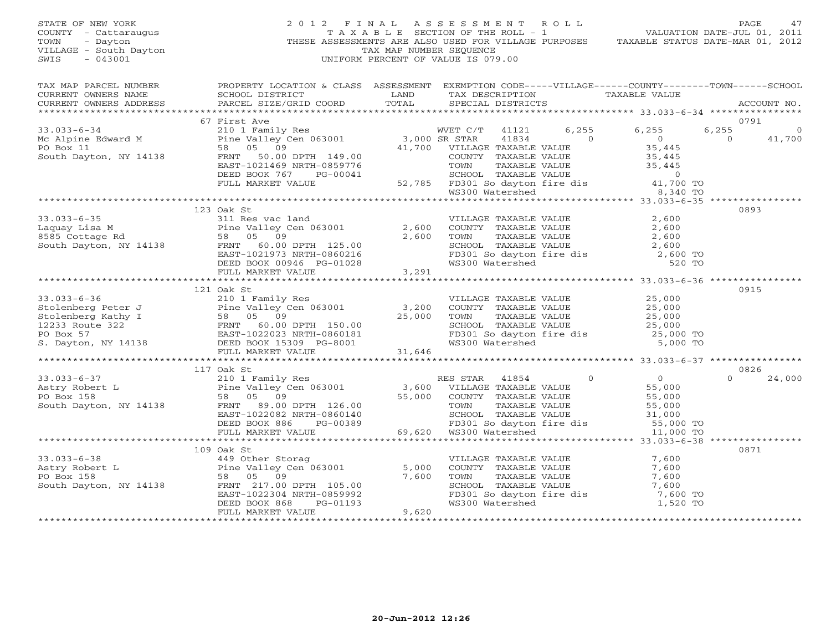| STATE OF NEW YORK<br>COUNTY - Cattaraugus<br>TOWN<br>- Dayton<br>VILLAGE - South Dayton<br>$-043001$<br>SWIS                                                                                                                                                  |                                                                                                                                                                                                                                                                                                                                                                                                                                                                                                                                                                                                                                                                                                                      | TAX MAP NUMBER SEQUENCE | 2012 FINAL ASSESSMENT ROLL<br>UNIFORM PERCENT OF VALUE IS 079.00                                               |                | 747 FINAL ASSESSMENT ROLL - VALUATION DATE-JUL 01, 2011<br>TAXABLE SECTION OF THE ROLL - 1 VALUATION DATE-JUL 01, 2011<br>THESE ASSESSMENTS ARE ALSO USED FOR VILLAGE PURPOSES TAXABLE STATUS DATE-MAR 01, 2012 | PAGE<br>47                             |
|---------------------------------------------------------------------------------------------------------------------------------------------------------------------------------------------------------------------------------------------------------------|----------------------------------------------------------------------------------------------------------------------------------------------------------------------------------------------------------------------------------------------------------------------------------------------------------------------------------------------------------------------------------------------------------------------------------------------------------------------------------------------------------------------------------------------------------------------------------------------------------------------------------------------------------------------------------------------------------------------|-------------------------|----------------------------------------------------------------------------------------------------------------|----------------|-----------------------------------------------------------------------------------------------------------------------------------------------------------------------------------------------------------------|----------------------------------------|
| TAX MAP PARCEL NUMBER<br>CURRENT OWNERS NAME<br>CURRENT OWNERS ADDRESS                                                                                                                                                                                        | PROPERTY LOCATION & CLASS ASSESSMENT EXEMPTION CODE-----VILLAGE------COUNTY-------TOWN------SCHOOL<br>SCHOOL DISTRICT<br>PARCEL SIZE/GRID COORD TOTAL                                                                                                                                                                                                                                                                                                                                                                                                                                                                                                                                                                |                         | LAND TAX DESCRIPTION TAXABLE VALUE<br>SPECIAL DISTRICTS                                                        |                |                                                                                                                                                                                                                 | ACCOUNT NO.                            |
|                                                                                                                                                                                                                                                               | 67 First Ave                                                                                                                                                                                                                                                                                                                                                                                                                                                                                                                                                                                                                                                                                                         |                         |                                                                                                                |                |                                                                                                                                                                                                                 | 0791                                   |
| $33.033 - 6 - 34$<br>Mc Alpine Edward M<br>PO Box 11<br>PO Box 11<br>South Dayton, NY 14138                                                                                                                                                                   | First Ave<br>210 1 Family Res<br>210 1 Family Res<br>58 05 09 09 41,700 VILLAGE TAXABLE VALUE<br>FRNT 50.00 DPTH 149.00 41,700 VILLAGE TAXABLE VALUE<br>EAST-1021469 NRTH-0859776 TOWN TAXABLE VALUE<br>$\begin{tabular}{lllllllllllllll} \multicolumn{3}{c}{\begin{tabular}{l} \multicolumn{3}{c}{\begin{tabular}{l} \multicolumn{3}{c}{\begin{tabular}{l} \multicolumn{3}{c}{\begin{tabular}{l} \multicolumn{3}{c}{\begin{tabular}{l} \multicolumn{3}{c}{\begin{tabular}{l} \multicolumn{3}{c}{\begin{tabular}{l} \multicolumn{3}{c}{\begin{tabular}{l} \multicolumn{3}{c}{\begin{tabular}{l} \multicolumn{3}{c}{\begin{tabular}{l} \multicolumn{3}{c}{\begin{tabular}{l} \multicolumn{3}{c}{\begin{tabular}{l} \$ |                         |                                                                                                                | $\overline{0}$ | 6,255 6,255<br>$\overline{0}$                                                                                                                                                                                   | 6,255<br>0<br>$\overline{0}$<br>41,700 |
|                                                                                                                                                                                                                                                               |                                                                                                                                                                                                                                                                                                                                                                                                                                                                                                                                                                                                                                                                                                                      |                         |                                                                                                                |                |                                                                                                                                                                                                                 |                                        |
|                                                                                                                                                                                                                                                               |                                                                                                                                                                                                                                                                                                                                                                                                                                                                                                                                                                                                                                                                                                                      |                         |                                                                                                                |                |                                                                                                                                                                                                                 |                                        |
| $33.033 - 6 - 35$                                                                                                                                                                                                                                             | 123 Oak St<br>311 Res vac land                                                                                                                                                                                                                                                                                                                                                                                                                                                                                                                                                                                                                                                                                       |                         |                                                                                                                |                |                                                                                                                                                                                                                 | 0893                                   |
| 33.033-6-35<br>Laquay Lisa M<br>8585 Cottage Rd<br>8585 Cottage Rd<br>58 05 09<br>50.00 DPTH<br>7125.00<br>7125.00<br>7138<br>7138<br>7138<br>7138<br>7138<br>725.00                                                                                          | FRNT 60.00 DPTH 125.00<br>EAST-1021973 NRTH-0860216<br>DEED BOOK 00946 PG-01028                                                                                                                                                                                                                                                                                                                                                                                                                                                                                                                                                                                                                                      | 2,600                   | 2,600 TOWN                                                                                                     |                | VILLAGE TAXABLE VALUE $2,600$<br>COUNTY TAXABLE VALUE $2,600$<br>TOWN TAXABLE VALUE $2,600$<br>SCHOOL TAXABLE VALUE $2,600$<br>FD301 So dayton fire dis $2,600$ TO<br>WS300 Watershed 520 TO                    |                                        |
|                                                                                                                                                                                                                                                               | FULL MARKET VALUE                                                                                                                                                                                                                                                                                                                                                                                                                                                                                                                                                                                                                                                                                                    | 3,291                   |                                                                                                                |                |                                                                                                                                                                                                                 |                                        |
|                                                                                                                                                                                                                                                               | 121 Oak St                                                                                                                                                                                                                                                                                                                                                                                                                                                                                                                                                                                                                                                                                                           |                         |                                                                                                                |                |                                                                                                                                                                                                                 | 0915                                   |
| $33.033 - 6 - 36$<br>3.000 COUNTY TAXABLE<br>Stolenberg Peter J<br>Stolenberg Kathy I and Pine Valley Cen 063001 3,200 COUNTY TAXABLE<br>Stolenberg Kathy I 58 05 09 25,000 TOWN TAXABLE<br>PO Box 57 EAST-1022023 NRTH-0860181 FD301 So dayton<br>S. Dayton, | 210 1 Family Res                                                                                                                                                                                                                                                                                                                                                                                                                                                                                                                                                                                                                                                                                                     |                         | VILLAGE TAXABLE VALUE<br>COUNTY TAXABLE VALUE 25,000<br>TOWN TAXABLE VALUE 25,000<br>TOWN TAXABLE VALUE 25,000 |                | SCHOOL TAXABLE VALUE $25,000$<br>FD301 So dayton fire dis $25,000$ TO<br>WS300 Watershed 5,000 TO                                                                                                               |                                        |
|                                                                                                                                                                                                                                                               |                                                                                                                                                                                                                                                                                                                                                                                                                                                                                                                                                                                                                                                                                                                      |                         |                                                                                                                |                |                                                                                                                                                                                                                 |                                        |
|                                                                                                                                                                                                                                                               | 117 Oak St                                                                                                                                                                                                                                                                                                                                                                                                                                                                                                                                                                                                                                                                                                           |                         |                                                                                                                |                |                                                                                                                                                                                                                 | 0826                                   |
|                                                                                                                                                                                                                                                               |                                                                                                                                                                                                                                                                                                                                                                                                                                                                                                                                                                                                                                                                                                                      |                         |                                                                                                                | $\overline{0}$ | $\overline{0}$<br>55,000<br>55,000<br>55.00<br>TOWN TAAADLE VALUE<br>SCHOOL TAXABLE VALUE 31,000<br>FD301 So dayton fire dis 55,000 TO                                                                          | 24,000<br>$\Omega$                     |
|                                                                                                                                                                                                                                                               |                                                                                                                                                                                                                                                                                                                                                                                                                                                                                                                                                                                                                                                                                                                      |                         |                                                                                                                |                | 11,000 TO                                                                                                                                                                                                       |                                        |
|                                                                                                                                                                                                                                                               | 109 Oak St                                                                                                                                                                                                                                                                                                                                                                                                                                                                                                                                                                                                                                                                                                           |                         |                                                                                                                |                |                                                                                                                                                                                                                 | 0871                                   |
| 33.033-6-38<br>Astry Robert L<br>PO Box 158<br>South Dayton, NY 14138<br>South Dayton, NY 14138<br>PRNT 217.00 DPTH 105.00                                                                                                                                    |                                                                                                                                                                                                                                                                                                                                                                                                                                                                                                                                                                                                                                                                                                                      | 5,000<br>7,600          | VILLAGE TAXABLE VALUE<br>COUNTY TAXABLE VALUE<br>TOWN TAXABLE VALUE<br>SCHOOL TAXABLE VALUE                    |                | 7,600<br>7,600<br>7,600                                                                                                                                                                                         |                                        |
|                                                                                                                                                                                                                                                               | EAST-1022304 NRTH-0859992<br>DEED BOOK 868<br>PG-01193                                                                                                                                                                                                                                                                                                                                                                                                                                                                                                                                                                                                                                                               | 9,620                   |                                                                                                                |                | 7,600<br>SCHOOL TAXABLE VALUE<br>FD301 So dayton fire dis 7,600 TO<br>1,520 TO100 Watarshed 1,520 TO                                                                                                            |                                        |
|                                                                                                                                                                                                                                                               | FULL MARKET VALUE                                                                                                                                                                                                                                                                                                                                                                                                                                                                                                                                                                                                                                                                                                    |                         |                                                                                                                |                |                                                                                                                                                                                                                 |                                        |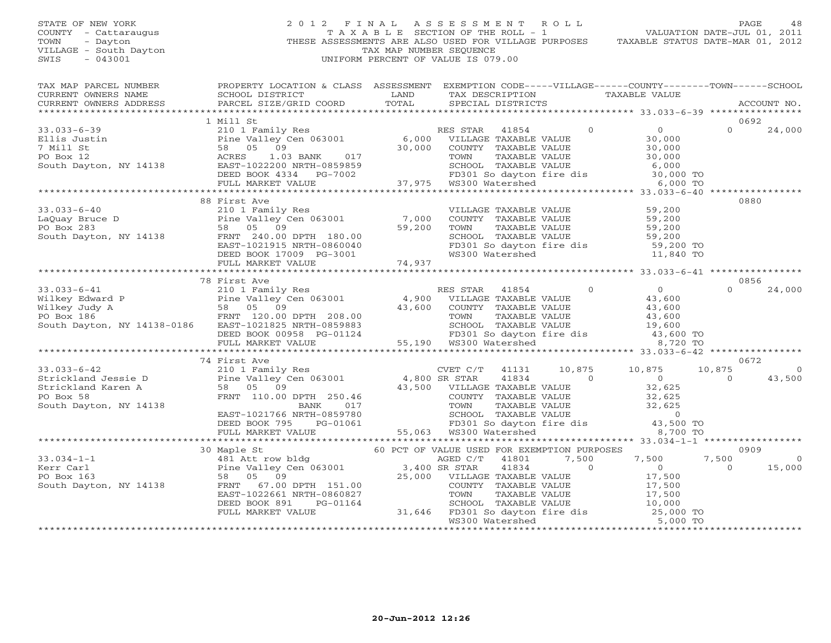# STATE OF NEW YORK 2 0 1 2 F I N A L A S S E S S M E N T R O L L PAGE 48 COUNTY - Cattaraugus T A X A B L E SECTION OF THE ROLL - 1 VALUATION DATE-JUL 01, 2011 TOWN - Dayton THESE ASSESSMENTS ARE ALSO USED FOR VILLAGE PURPOSES TAXABLE STATUS DATE-MAR 01, 2012 VILLAGE - South Dayton TAX MAP NUMBER SEQUENCE<br>SWIS - 043001 SWIS - 043001 UNIFORM PERCENT OF VALUE IS 079.00

| TAX MAP PARCEL NUMBER<br>CURRENT OWNERS NAME SCHOOL DISTRICT<br>CURRENT OWNERS ADDRESS PARCEL SIZE/GRII                                                                                                                                                                                                                                                                                                          | PROPERTY LOCATION & CLASS ASSESSMENT EXEMPTION CODE-----VILLAGE------COUNTY-------TOWN------SCHOOL                                                                                                                             | <b>EXAMPLE SERVICE SERVICE SERVICE SERVICE SERVICE SERVICE SERVICE SERVICE SERVICE SERVICE SERVICE SERVICE SERVICE</b> | TAX DESCRIPTION TAXABLE VALUE |                                                                                                                                                                                            |                        |                          |
|------------------------------------------------------------------------------------------------------------------------------------------------------------------------------------------------------------------------------------------------------------------------------------------------------------------------------------------------------------------------------------------------------------------|--------------------------------------------------------------------------------------------------------------------------------------------------------------------------------------------------------------------------------|------------------------------------------------------------------------------------------------------------------------|-------------------------------|--------------------------------------------------------------------------------------------------------------------------------------------------------------------------------------------|------------------------|--------------------------|
|                                                                                                                                                                                                                                                                                                                                                                                                                  | - CURRENT OWNERS ADDRESS PARCEL SIZE/GRID COORD TOTAL SPECIAL DISTRICTS (2000) ACCOUNT NO ACCOUNT NO ACCOUNT NO SPECIAL SECTION SERVERS AND A SERVERS ASSESS TRANSPORT ON A SERVERS AND A SERVERS AND THE SERVER OF THE SERVER |                                                                                                                        |                               |                                                                                                                                                                                            |                        |                          |
|                                                                                                                                                                                                                                                                                                                                                                                                                  | 1 Mill St                                                                                                                                                                                                                      |                                                                                                                        |                               |                                                                                                                                                                                            | 0692                   |                          |
|                                                                                                                                                                                                                                                                                                                                                                                                                  |                                                                                                                                                                                                                                |                                                                                                                        |                               |                                                                                                                                                                                            | $\cap$                 | 24,000                   |
|                                                                                                                                                                                                                                                                                                                                                                                                                  |                                                                                                                                                                                                                                |                                                                                                                        |                               |                                                                                                                                                                                            |                        |                          |
|                                                                                                                                                                                                                                                                                                                                                                                                                  |                                                                                                                                                                                                                                |                                                                                                                        |                               |                                                                                                                                                                                            |                        |                          |
|                                                                                                                                                                                                                                                                                                                                                                                                                  |                                                                                                                                                                                                                                |                                                                                                                        |                               |                                                                                                                                                                                            |                        |                          |
| 33.033-6-40<br>LaQuay Bruce D<br>Example 2010 I Family Res<br>PO Box 283<br>South Dayton, NY 14138<br>South Dayton, NY 14138<br>South Dayton, NY 14138<br>South Dayton, NY 14138<br>South Dayton, NY 14138<br>South Dayton, NY 14138<br>South Day                                                                                                                                                                | 88 First Ave                                                                                                                                                                                                                   |                                                                                                                        |                               | VILLAGE TAXABLE VALUE 59,200<br>COUNTY TAXABLE VALUE 59,200<br>TOWN TAXABLE VALUE 59,200<br>SCHOOL TAXABLE VALUE 59,200<br>FD301 So dayton fire dis 59,200 TO<br>WS300 Watershed 11,840 TO | 0880                   |                          |
|                                                                                                                                                                                                                                                                                                                                                                                                                  |                                                                                                                                                                                                                                |                                                                                                                        |                               |                                                                                                                                                                                            |                        |                          |
|                                                                                                                                                                                                                                                                                                                                                                                                                  |                                                                                                                                                                                                                                |                                                                                                                        |                               |                                                                                                                                                                                            |                        |                          |
|                                                                                                                                                                                                                                                                                                                                                                                                                  | 78 First Ave                                                                                                                                                                                                                   |                                                                                                                        |                               |                                                                                                                                                                                            | 0856                   |                          |
| 33.033-6-41<br>Wilkey Edward P<br>Wilkey Tem in the RES STAR 41854 0<br>Wilkey Judy A<br>FRIP 120.00 DPTH 208.00<br>South Dayton, NY 14138-0186 EAST-1021825 NRTH-0859883<br>SEED BOOK 0958 PG-01124 55,190 WILLAGE TAXABLE VALUE<br>TOWN T                                                                                                                                                                      |                                                                                                                                                                                                                                |                                                                                                                        |                               |                                                                                                                                                                                            | $\Omega$               | 24,000                   |
|                                                                                                                                                                                                                                                                                                                                                                                                                  |                                                                                                                                                                                                                                |                                                                                                                        |                               |                                                                                                                                                                                            |                        |                          |
|                                                                                                                                                                                                                                                                                                                                                                                                                  | 74 First Ave                                                                                                                                                                                                                   |                                                                                                                        |                               | $10,875$ $10,875$ $10,875$                                                                                                                                                                 | 0672<br>$\overline{0}$ | $\circ$<br>43,500        |
|                                                                                                                                                                                                                                                                                                                                                                                                                  |                                                                                                                                                                                                                                |                                                                                                                        |                               |                                                                                                                                                                                            |                        |                          |
|                                                                                                                                                                                                                                                                                                                                                                                                                  |                                                                                                                                                                                                                                |                                                                                                                        |                               |                                                                                                                                                                                            |                        |                          |
|                                                                                                                                                                                                                                                                                                                                                                                                                  |                                                                                                                                                                                                                                |                                                                                                                        |                               |                                                                                                                                                                                            |                        |                          |
|                                                                                                                                                                                                                                                                                                                                                                                                                  |                                                                                                                                                                                                                                |                                                                                                                        |                               |                                                                                                                                                                                            | 0909                   |                          |
| $\begin{tabular}{l cccccc} \texttt{\textbf{3.034--1--1}} & \texttt{\textbf{3.034--1--1}} & \texttt{\textbf{3.034--1--1}} & \texttt{\textbf{3.034--1--1}} & \texttt{\textbf{3.034--1--1}} & \texttt{\textbf{3.034--1--1}} & \texttt{\textbf{3.034--1--1}} & \texttt{\textbf{3.034--1--1}} & \texttt{\textbf{3.034--1--1}} & \texttt{\textbf{3.034--1--1}} & \texttt{\textbf{3.034--1--1}} & \texttt{\textbf{3.03$ |                                                                                                                                                                                                                                |                                                                                                                        |                               |                                                                                                                                                                                            | 7,500<br>$\Omega$      | $\overline{0}$<br>15,000 |
|                                                                                                                                                                                                                                                                                                                                                                                                                  |                                                                                                                                                                                                                                |                                                                                                                        |                               |                                                                                                                                                                                            |                        |                          |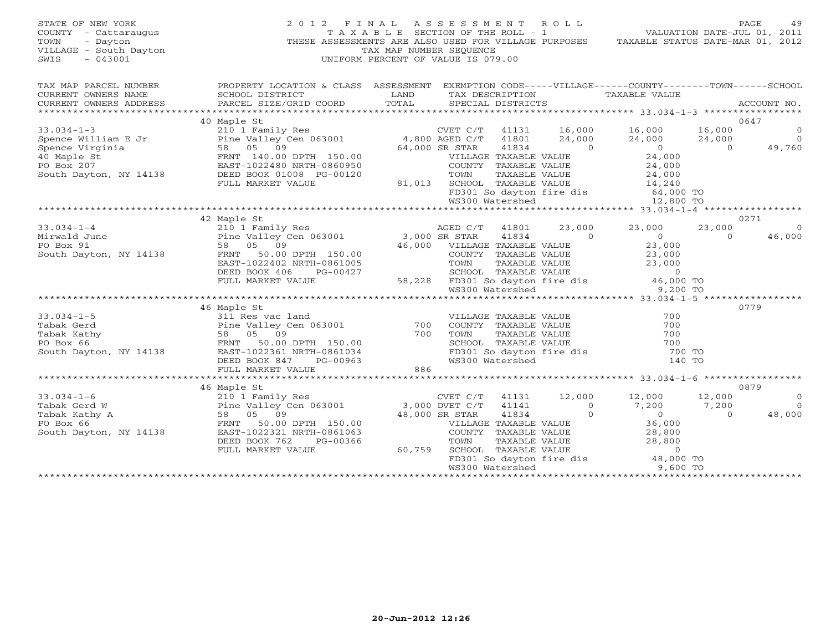## STATE OF NEW YORK 2 0 1 2 F I N A L A S S E S S M E N T R O L L PAGE 49 COUNTY - Cattaraugus T A X A B L E SECTION OF THE ROLL - 1 VALUATION DATE-JUL 01, 2011 TOWN - Dayton - Dayton 1999<br>
THESE ASSESSMENTS ARE ALSO USED FOR VILLAGE PURPOSES TAXABLE STATUS DATE-MAR 01, 2012<br>
TAX MAP NUMBER SEQUENCE VILLAGE - South Dayton TAX MAP NUMBER SEQUENCE<br>SWIS - 043001 SWIS - 043001 UNIFORM PERCENT OF VALUE IS 079.00

| TAX MAP PARCEL NUMBER  | PROPERTY LOCATION & CLASS ASSESSMENT EXEMPTION CODE-----VILLAGE------COUNTY-------TOWN------SCHOOL                                                                                                                                                    |  |  |  |                |
|------------------------|-------------------------------------------------------------------------------------------------------------------------------------------------------------------------------------------------------------------------------------------------------|--|--|--|----------------|
|                        | CURRENT OWNERS NAME SCHOOL DISTRICT AND TAX DESCRIPTION TAXABLE VALUE                                                                                                                                                                                 |  |  |  |                |
| CURRENT OWNERS ADDRESS |                                                                                                                                                                                                                                                       |  |  |  |                |
|                        |                                                                                                                                                                                                                                                       |  |  |  |                |
|                        | 40 Maple St                                                                                                                                                                                                                                           |  |  |  | 0647           |
|                        |                                                                                                                                                                                                                                                       |  |  |  |                |
|                        |                                                                                                                                                                                                                                                       |  |  |  |                |
|                        |                                                                                                                                                                                                                                                       |  |  |  |                |
|                        |                                                                                                                                                                                                                                                       |  |  |  |                |
|                        |                                                                                                                                                                                                                                                       |  |  |  |                |
|                        |                                                                                                                                                                                                                                                       |  |  |  |                |
|                        |                                                                                                                                                                                                                                                       |  |  |  |                |
|                        |                                                                                                                                                                                                                                                       |  |  |  |                |
|                        |                                                                                                                                                                                                                                                       |  |  |  |                |
|                        |                                                                                                                                                                                                                                                       |  |  |  |                |
|                        | 42 Maple St                                                                                                                                                                                                                                           |  |  |  | 0271           |
|                        |                                                                                                                                                                                                                                                       |  |  |  | $\Omega$       |
|                        |                                                                                                                                                                                                                                                       |  |  |  | 46,000         |
|                        |                                                                                                                                                                                                                                                       |  |  |  |                |
|                        |                                                                                                                                                                                                                                                       |  |  |  |                |
|                        |                                                                                                                                                                                                                                                       |  |  |  |                |
|                        |                                                                                                                                                                                                                                                       |  |  |  |                |
|                        |                                                                                                                                                                                                                                                       |  |  |  |                |
|                        | 33.034-1-4<br>Mirwald June<br>Mirwald June<br>PO Box 91<br>South Dayton, NY 14138<br>TRAFIE 150.00<br>ERST-1022402 TRAFIE 150.00<br>ERST-1022402 TRAFIE VALUE<br>DEED BOOK 406<br>PO BOX 406<br>PULL MARKET VALUE<br>PULL MARKET VALUE<br>TULL MARKET |  |  |  |                |
|                        |                                                                                                                                                                                                                                                       |  |  |  |                |
|                        | 46 Maple St                                                                                                                                                                                                                                           |  |  |  | 0779           |
|                        |                                                                                                                                                                                                                                                       |  |  |  |                |
|                        |                                                                                                                                                                                                                                                       |  |  |  |                |
|                        |                                                                                                                                                                                                                                                       |  |  |  |                |
|                        |                                                                                                                                                                                                                                                       |  |  |  |                |
|                        |                                                                                                                                                                                                                                                       |  |  |  |                |
|                        |                                                                                                                                                                                                                                                       |  |  |  |                |
|                        |                                                                                                                                                                                                                                                       |  |  |  |                |
|                        |                                                                                                                                                                                                                                                       |  |  |  |                |
|                        | 46 Maple St                                                                                                                                                                                                                                           |  |  |  | 0879           |
| $33.034 - 1 - 6$       | 210 1 Family Res<br>210 1 Family Res<br>Pine Valley Cen 063001 3,000 DVET C/T 41141 12,000 12,000 12,000<br>3,000 DVET C/T 41141 0 7,200 7,200<br>38 05 09 48,000 SR STAR 41834 0 0 0<br>FRNT 50.00 DPTH 150.00 VILLAGE TAXABLE VALUE 36              |  |  |  | $\overline{0}$ |
| Tabak Gerd W           |                                                                                                                                                                                                                                                       |  |  |  | $\overline{0}$ |
| Tabak Kathy A          |                                                                                                                                                                                                                                                       |  |  |  | 48,000         |
| PO Box 66              |                                                                                                                                                                                                                                                       |  |  |  |                |
| South Dayton, NY 14138 |                                                                                                                                                                                                                                                       |  |  |  |                |
|                        |                                                                                                                                                                                                                                                       |  |  |  |                |
|                        |                                                                                                                                                                                                                                                       |  |  |  |                |
|                        |                                                                                                                                                                                                                                                       |  |  |  |                |
|                        | EAST-1022321 NRTH-0861063<br>DEED BOOK 762 PG-00366 COUNTY TAXABLE VALUE 28,800<br>PULL MARKET VALUE 60,759 SCHOOL TAXABLE VALUE 28,800<br>FULL MARKET VALUE 60,759 SCHOOL TAXABLE VALUE 28,800<br>FULL MARKET VALUE 60,759 SCHOOL TAX                |  |  |  |                |
|                        |                                                                                                                                                                                                                                                       |  |  |  |                |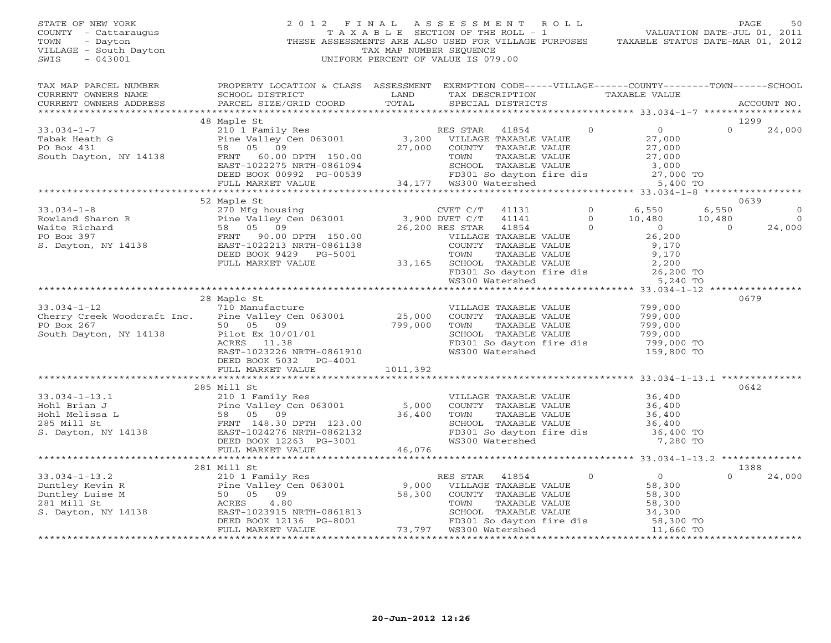## STATE OF NEW YORK 2 0 1 2 F I N A L A S S E S S M E N T R O L L PAGE 50COUNTY - Cattaraugus T A X A B L E SECTION OF THE ROLL - 1<br>TOWN - Dayton - THESE ASSESSMENTS ARE ALSO USED FOR VILLAGE PU<br>VILLAGE - South Dayton - THESE ASSESSMENTS ARE ALSO USED FOR VILLAGE PU THESE ASSESSMENTS ARE ALSO USED FOR VILLAGE PURPOSES TAXABLE STATUS DATE-MAR 01, 2012 VILLAGE - South Dayton TAX MAP NUMBER SEQUENCE<br>SWIS - 043001 SWIS - 043001 UNIFORM PERCENT OF VALUE IS 079.00

VALUATION DATE-JUL 01, 2011

| TAX MAP PARCEL NUMBER<br>CURRENT OWNERS NAME<br>CURRENT OWNERS ADDRESS                                                                                                                                                                             | PROPERTY LOCATION & CLASS ASSESSMENT EXEMPTION CODE-----VILLAGE------COUNTY-------TOWN------SCHOOL<br>SCHOOL DISTRICT<br>PARCEL SIZE/GRID COORD            | LAND<br>TOTAL            | TAX DESCRIPTION TAXABLE VALUE<br>SPECIAL DISTRICTS   |                |                                                                                                                                 | ACCOUNT NO.           |
|----------------------------------------------------------------------------------------------------------------------------------------------------------------------------------------------------------------------------------------------------|------------------------------------------------------------------------------------------------------------------------------------------------------------|--------------------------|------------------------------------------------------|----------------|---------------------------------------------------------------------------------------------------------------------------------|-----------------------|
|                                                                                                                                                                                                                                                    |                                                                                                                                                            |                          |                                                      |                |                                                                                                                                 |                       |
|                                                                                                                                                                                                                                                    | 48 Maple St                                                                                                                                                |                          |                                                      |                |                                                                                                                                 | 1299                  |
| $33.034 - 1 - 7$<br>Tabak Heath G<br>PO Box 431<br>South Dayton, NY 14138                                                                                                                                                                          | 210 1 Family Res<br>Pine Valley Cen 063001 3,200 VILLAGE TAXABLE VALUE<br>58 05 09 27,000 COUNTY TAXABLE VALUE<br>58 05 09<br>FRNT 60.00 DPTH 150.00       |                          | 27,000 COUNTY TAXABLE VALUE<br>TOWN<br>TAXABLE VALUE | $\overline{0}$ | $\overline{0}$<br>27,000<br>$\frac{27,000}{27,000}$                                                                             | $\Omega$<br>24,000    |
|                                                                                                                                                                                                                                                    | FRNT 60.00 DPTH 150.00<br>EAST-1022275 NRTH-0861094 SCHOOL TAXABLE<br>DEED BOOK 00992 PG-00539 FD301 So dayton<br>FULL MARKET VALUE 34,177 WS300 Watershed |                          |                                                      |                | CHOOL TAXABLE VALUE<br>SCHOOL TAXABLE VALUE<br>FD301 So dayton fire dis<br>WS300 Watershed 5,400 TO                             |                       |
|                                                                                                                                                                                                                                                    |                                                                                                                                                            |                          |                                                      |                |                                                                                                                                 |                       |
|                                                                                                                                                                                                                                                    |                                                                                                                                                            |                          |                                                      |                |                                                                                                                                 |                       |
|                                                                                                                                                                                                                                                    | 52 Maple St                                                                                                                                                |                          |                                                      |                |                                                                                                                                 | 0639                  |
|                                                                                                                                                                                                                                                    |                                                                                                                                                            |                          | 41131                                                | $\Omega$       | 6,550                                                                                                                           | $\circ$<br>6,550      |
|                                                                                                                                                                                                                                                    |                                                                                                                                                            |                          | 41141                                                | $\Omega$       | 10,480                                                                                                                          | 10,480<br>$\Omega$    |
|                                                                                                                                                                                                                                                    |                                                                                                                                                            |                          | 41854                                                | $\sim$ 0       | $\overline{0}$                                                                                                                  | $\Omega$<br>24,000    |
|                                                                                                                                                                                                                                                    |                                                                                                                                                            |                          | VILLAGE TAXABLE VALUE                                |                | 26,200                                                                                                                          |                       |
|                                                                                                                                                                                                                                                    |                                                                                                                                                            |                          | COUNTY TAXABLE VALUE                                 |                | 9,170<br>9,170                                                                                                                  |                       |
|                                                                                                                                                                                                                                                    | DEED BOOK 9429 PG-5001                                                                                                                                     |                          |                                                      |                |                                                                                                                                 |                       |
|                                                                                                                                                                                                                                                    | FULL MARKET VALUE                                                                                                                                          |                          |                                                      |                |                                                                                                                                 |                       |
|                                                                                                                                                                                                                                                    |                                                                                                                                                            |                          |                                                      |                | TOWN TAXABLE VALUE 9,170<br>33,165 SCHOOL TAXABLE VALUE 2,200<br>FD301 So dayton fire dis 26,200 TO<br>WS300 Watershed 5,240 TO |                       |
|                                                                                                                                                                                                                                                    |                                                                                                                                                            |                          |                                                      |                |                                                                                                                                 |                       |
|                                                                                                                                                                                                                                                    | 28 Maple St                                                                                                                                                |                          |                                                      |                |                                                                                                                                 | 0679                  |
| $33.034 - 1 - 12$                                                                                                                                                                                                                                  | 710 Manufacture                                                                                                                                            |                          | VILLAGE TAXABLE VALUE                                |                | 799,000                                                                                                                         |                       |
| Cherry Creek Woodcraft Inc. Pine Valley Cen 063001                                                                                                                                                                                                 |                                                                                                                                                            | 25,000                   | COUNTY TAXABLE VALUE                                 |                | 799,000                                                                                                                         |                       |
| PO Box 267                                                                                                                                                                                                                                         | 50 05 09                                                                                                                                                   | $\frac{23,000}{799,000}$ | TOWN<br>TAXABLE VALUE                                |                | 799,000                                                                                                                         |                       |
| NY 14138<br>South Dayton, NY 14138                                                                                                                                                                                                                 | Pilot Ex 10/01/01                                                                                                                                          |                          | SCHOOL TAXABLE VALUE                                 |                | 799,000                                                                                                                         |                       |
|                                                                                                                                                                                                                                                    | ACRES 11.38                                                                                                                                                |                          | FD301 So dayton fire dis                             |                | 799,000 TO                                                                                                                      |                       |
|                                                                                                                                                                                                                                                    | EAST-1023226 NRTH-0861910                                                                                                                                  |                          | WS300 Watershed                                      |                | 159,800 TO                                                                                                                      |                       |
|                                                                                                                                                                                                                                                    | DEED BOOK 5032 PG-4001                                                                                                                                     |                          |                                                      |                |                                                                                                                                 |                       |
|                                                                                                                                                                                                                                                    | FULL MARKET VALUE                                                                                                                                          | 1011,392                 |                                                      |                |                                                                                                                                 |                       |
|                                                                                                                                                                                                                                                    |                                                                                                                                                            |                          |                                                      |                |                                                                                                                                 |                       |
|                                                                                                                                                                                                                                                    | 285 Mill St                                                                                                                                                |                          |                                                      |                |                                                                                                                                 | 0642                  |
|                                                                                                                                                                                                                                                    |                                                                                                                                                            |                          | VILLAGE TAXABLE VALUE                                |                | 36,400                                                                                                                          |                       |
|                                                                                                                                                                                                                                                    |                                                                                                                                                            |                          | COUNTY TAXABLE VALUE                                 |                | $36,400$<br>$36,400$                                                                                                            |                       |
|                                                                                                                                                                                                                                                    |                                                                                                                                                            |                          | TAXABLE VALUE<br>TOWN                                |                |                                                                                                                                 |                       |
| 33.034-1-13.1<br>Hohl Brian J<br>Hohl Melissa L<br>285 Mill St<br>S. Dayton, NY 14138<br>S. Dayton, NY 14138<br>S. Dayton, NY 14138<br>PRNT 148.30 DPTH 123.00<br>EAST-10242766 NRTH-0862132<br>PRNT 148.30 DPTH 123.00<br>EAST-1024276 NRTH-08621 |                                                                                                                                                            |                          |                                                      |                | SCHOOL TAXABLE VALUE 36,400<br>FD301 So dayton fire dis 36,400 TO<br>WS300 Watershed 7,280 TO                                   |                       |
|                                                                                                                                                                                                                                                    | DEED BOOK 12263 PG-3001                                                                                                                                    |                          |                                                      |                |                                                                                                                                 |                       |
|                                                                                                                                                                                                                                                    | FULL MARKET VALUE                                                                                                                                          | 46,076                   |                                                      |                |                                                                                                                                 |                       |
|                                                                                                                                                                                                                                                    |                                                                                                                                                            |                          |                                                      |                |                                                                                                                                 |                       |
|                                                                                                                                                                                                                                                    | 281 Mill St                                                                                                                                                |                          |                                                      |                |                                                                                                                                 | 1388                  |
| $33.034 - 1 - 13.2$                                                                                                                                                                                                                                | 210 1 Family Res                                                                                                                                           |                          | RES STAR 41854                                       | $\overline{0}$ | $\overline{0}$                                                                                                                  | $\cap$<br>24,000      |
|                                                                                                                                                                                                                                                    |                                                                                                                                                            |                          |                                                      |                |                                                                                                                                 |                       |
| Duntley Kevin R<br>Duntley Luise M<br>281 Mill St<br>S. Dayton, NY 14138                                                                                                                                                                           | Pine Valley Cen 063001 9,000 VILLAGE TAXABLE VALUE<br>50 05 09 58,300 COUNTY TAXABLE VALUE                                                                 |                          | COUNTY TAXABLE VALUE                                 |                |                                                                                                                                 |                       |
|                                                                                                                                                                                                                                                    | 4.80<br>ACRES                                                                                                                                              |                          | TOWN<br>TAXABLE VALUE                                |                |                                                                                                                                 |                       |
|                                                                                                                                                                                                                                                    | EAST-1023915 NRTH-0861813<br>DEED BOOK 12136 PG-8001                                                                                                       |                          | SCHOOL TAXABLE VALUE                                 |                | 58,300<br>34,300                                                                                                                |                       |
|                                                                                                                                                                                                                                                    |                                                                                                                                                            |                          |                                                      |                | FD301 So dayton fire dis 58,300 TO<br>WS300 Watershed 11.660 TO                                                                 |                       |
|                                                                                                                                                                                                                                                    | FULL MARKET VALUE                                                                                                                                          |                          | 73,797 WS300 Watershed                               |                | 11,660 TO                                                                                                                       | <b>++++++++++++++</b> |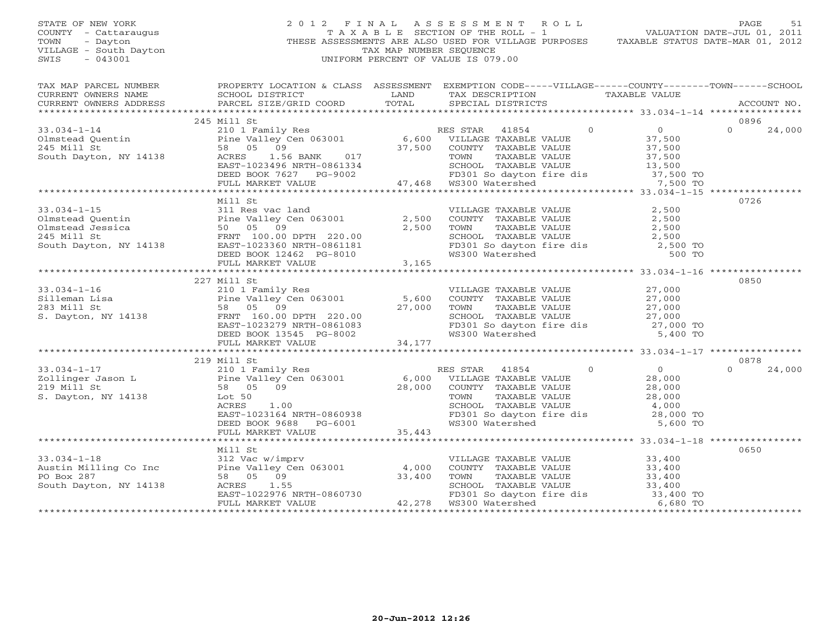STATE OF NEW YORK 2 0 1 2 F I N A L A S S E S S M E N T R O L L PAGE 51 COUNTY - Cattaraugus T A X A B L E SECTION OF THE ROLL - 1 VALUATION DATE-JUL 01, 2011 TOWN - Dayton - Dayton 1999<br>
THESE ASSESSMENTS ARE ALSO USED FOR VILLAGE PURPOSES TAXABLE STATUS DATE-MAR 01, 2012<br>
TAX MAP NUMBER SEQUENCE VILLAGE - South Dayton TAX MAP NUMBER SEQUENCE<br>SWIS - 043001 SWIS - 043001 UNIFORM PERCENT OF VALUE IS 079.00

|                                                                                                                                                                                                                                           | $\begin{array}{ccccccccc}\n\text{CURRENT} & \text{OWIERS} & \text{NALE} & \text{SCHOOL} & \text{DISTRICT} & \text{LAND} & \text{TAX} & \text{DESCRIPTION} & \text{TAXABLE VALUE} & \text{ACCOUNT NO.} \end{array}$                                                                                                                                                                                                                        |                            |
|-------------------------------------------------------------------------------------------------------------------------------------------------------------------------------------------------------------------------------------------|-------------------------------------------------------------------------------------------------------------------------------------------------------------------------------------------------------------------------------------------------------------------------------------------------------------------------------------------------------------------------------------------------------------------------------------------|----------------------------|
| 245 Mill St                                                                                                                                                                                                                               |                                                                                                                                                                                                                                                                                                                                                                                                                                           | 0896                       |
|                                                                                                                                                                                                                                           | $\begin{tabular}{lllllllllll} \text{33.034--1--14} & \text{245 Mill St} & \text{2101 Family Res} & \text{RES STAR} & \text{41854} & 0 & 0 \\ & \text{2101 Family Res} & \text{RES STAR} & \text{41854} & 0 & 0 \\ \text{Olmstead Quentin} & \text{Pine Valley Cen 063001} & 6,600 & \text{VILLAGE TAXABLE VALUE} & 37,500 \\ \text{245 Mill St} & 58 & 05 & 09 & 37,500 & \text{COUNTY TAXABLE VALUE} & 37,500 \\ \text{South Dayton, NY$ | $0 \t 24,000$              |
|                                                                                                                                                                                                                                           |                                                                                                                                                                                                                                                                                                                                                                                                                                           |                            |
| Mill St                                                                                                                                                                                                                                   |                                                                                                                                                                                                                                                                                                                                                                                                                                           | 0726                       |
| 227 Mill St                                                                                                                                                                                                                               |                                                                                                                                                                                                                                                                                                                                                                                                                                           | 0850                       |
|                                                                                                                                                                                                                                           |                                                                                                                                                                                                                                                                                                                                                                                                                                           |                            |
|                                                                                                                                                                                                                                           |                                                                                                                                                                                                                                                                                                                                                                                                                                           |                            |
|                                                                                                                                                                                                                                           |                                                                                                                                                                                                                                                                                                                                                                                                                                           |                            |
| 219 Mill St                                                                                                                                                                                                                               | 33.034-1-17<br>219 Mill St 210 1 Family Res RES STAR 41854 0<br>219 Mill St 58 05 09 28,000 COUNTY TAXABLE VALUE 28,000<br>219 Mill St 58 05 09 28,000 COUNTY TAXABLE VALUE 28,000<br>28,000 COUNTY TAXABLE VALUE 28,000<br>28,000 COU                                                                                                                                                                                                    | 0878<br>$\Omega$<br>24,000 |
|                                                                                                                                                                                                                                           |                                                                                                                                                                                                                                                                                                                                                                                                                                           |                            |
| Mill St<br>33.034-1-18<br>Austin Milling Co Inc and Milling Co Inc and Milling Co Inc and Milling Co Inc and Milling Co Inc and Milling Co Inc and Milling Co Inc and Milling Co Inc and Milling Co Inc and Milling Co Inc and Milling Co | VILLAGE TAXABLE VALUE<br>COUNTY TAXABLE VALUE 33,400<br>TOWN TAXABLE VALUE 33,400<br>SCHOOL TAXABLE VALUE 33,400<br>FD301 So dayton fire dis 33,400 TO<br>WS300 Watershed 6,680 TO                                                                                                                                                                                                                                                        | 0650                       |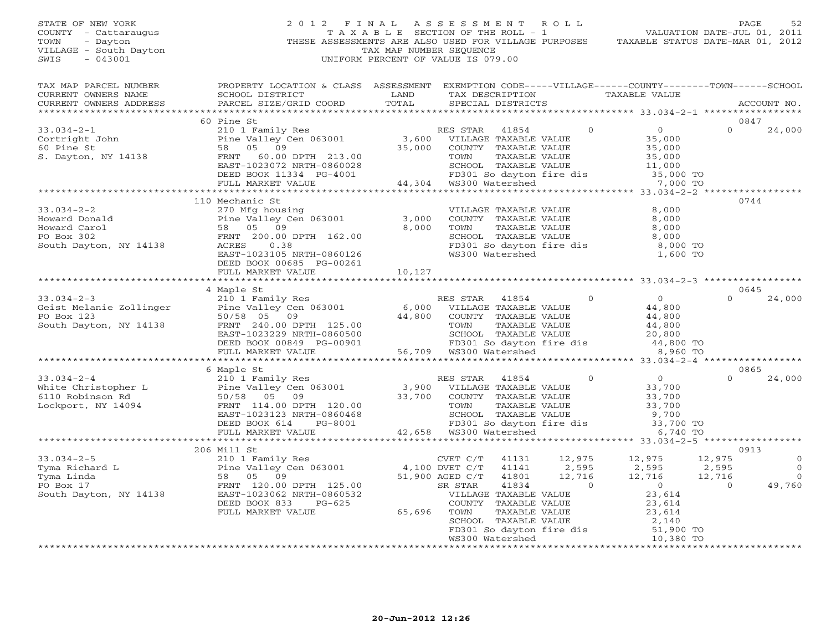STATE OF NEW YORK 2 0 1 2 F I N A L A S S E S S M E N T R O L L PAGE 52 COUNTY - Cattaraugus T A X A B L E SECTION OF THE ROLL - 1 VALUATION DATE-JUL 01, 2011 TOWN - Dayton - Dayton 1999<br>
THESE ASSESSMENTS ARE ALSO USED FOR VILLAGE PURPOSES TAXABLE STATUS DATE-MAR 01, 2012<br>
TAX MAP NUMBER SEQUENCE VILLAGE - South Dayton TAX MAP NUMBER SEQUENCE<br>SWIS - 043001 SWIS - 043001 UNIFORM PERCENT OF VALUE IS 079.00

| TAX MAP PARCEL NUMBER<br>CURRENT OWNERS NAME<br>CURRENT OWNERS ADDRESS                                                                                                                                                                                       | PROPERTY LOCATION & CLASS ASSESSMENT EXEMPTION CODE-----VILLAGE------COUNTY-------TOWN------SCHOOL<br>SCHOOL DISTRICT<br>PARCEL SIZE/GRID COORD        | LAND<br>TOTAL |                                                                          |                                                          | TAX DESCRIPTION TAXABLE VALUE SPECIAL DISTRICTS                                                                                                                                                      | ACCOUNT NO.                                                   |
|--------------------------------------------------------------------------------------------------------------------------------------------------------------------------------------------------------------------------------------------------------------|--------------------------------------------------------------------------------------------------------------------------------------------------------|---------------|--------------------------------------------------------------------------|----------------------------------------------------------|------------------------------------------------------------------------------------------------------------------------------------------------------------------------------------------------------|---------------------------------------------------------------|
|                                                                                                                                                                                                                                                              |                                                                                                                                                        |               |                                                                          |                                                          |                                                                                                                                                                                                      |                                                               |
|                                                                                                                                                                                                                                                              | 60 Pine St                                                                                                                                             |               |                                                                          |                                                          |                                                                                                                                                                                                      | 0847                                                          |
| $33.034 - 2 - 1$<br>Cortright John<br>60 Pine St<br>58 05 09<br>5. Dayton, NY 14138<br>7. Cortright John<br>58 05 09<br>FRNT 60.00 DPTH 213.00<br>52. PRNT 60.00 DPTH 213.00                                                                                 | 210 1 Family Res<br>Pine Valley Cen 063001 3,600 VILLAGE TAXABLE VALUE<br>58 05 09 35,000 COUNTY TAXABLE VALUE<br>FRNT 60.00 DPTH 213.00 35,000 metrix |               |                                                                          |                                                          |                                                                                                                                                                                                      | $\Omega$<br>24,000                                            |
|                                                                                                                                                                                                                                                              |                                                                                                                                                        |               |                                                                          |                                                          |                                                                                                                                                                                                      |                                                               |
|                                                                                                                                                                                                                                                              |                                                                                                                                                        |               |                                                                          |                                                          |                                                                                                                                                                                                      |                                                               |
|                                                                                                                                                                                                                                                              | 110 Mechanic St                                                                                                                                        |               |                                                                          |                                                          |                                                                                                                                                                                                      | 0744                                                          |
| $33.034 - 2 - 2$<br>Howard Donald<br>Howard Donald<br>Howard Carol 58 05 09<br>PO Box 302<br>South Dayton, NY 14138<br>TRIT 200.00 DPTH 162.00<br>TRIT 200.00 DPTH 162.00<br>CONSILERED 0.38<br>TRIT 200.00 DPTH 162.00                                      | 270 Mfg housing<br>EAST-1023105 NRTH-0860126<br>DEED BOOK 00685 PG-00261                                                                               |               | VILLAGE TAXABLE VALUE<br>COUNTY TAXABLE VALUE<br>TOWN                    | TAXABLE VALUE                                            | 8,000<br>8,000<br>8,000<br>TOWN TAXABLE VALUE 8,000<br>SCHOOL TAXABLE VALUE 8,000<br>FD301 So dayton fire dis 8,000 TO<br>WS300 Watershed 1,600 TO                                                   |                                                               |
|                                                                                                                                                                                                                                                              | FULL MARKET VALUE                                                                                                                                      | 10,127        |                                                                          |                                                          |                                                                                                                                                                                                      |                                                               |
|                                                                                                                                                                                                                                                              |                                                                                                                                                        |               |                                                                          |                                                          |                                                                                                                                                                                                      |                                                               |
|                                                                                                                                                                                                                                                              | 4 Maple St                                                                                                                                             |               |                                                                          |                                                          |                                                                                                                                                                                                      | 0645                                                          |
|                                                                                                                                                                                                                                                              |                                                                                                                                                        |               | RES STAR 41854                                                           | $\Omega$                                                 | $\begin{array}{c} 0 \\ 44,800 \end{array}$<br>44,800<br>44,800<br>SCHOOL TAXABLE VALUE 20,800<br>FD301 So dayton fire dis 44,800 TO<br>WS300 Watershed 8,960 TO                                      | $\Omega$<br>24,000                                            |
|                                                                                                                                                                                                                                                              |                                                                                                                                                        |               |                                                                          |                                                          |                                                                                                                                                                                                      |                                                               |
| 33.034-2-4<br>33.034-2-4<br>White Christopher L Pine Valley Cen 063001<br>6 Maple St<br>White Christopher L Pine Valley Cen 063001<br>Fine Valley Cen 063001<br>Fine Valley Cen 063001<br>33,700<br>2015 2015 2020123 NRTH-0860468<br>Lockport,              |                                                                                                                                                        |               |                                                                          |                                                          |                                                                                                                                                                                                      | 0865<br>$\cap$<br>24,000                                      |
|                                                                                                                                                                                                                                                              |                                                                                                                                                        |               |                                                                          |                                                          |                                                                                                                                                                                                      |                                                               |
|                                                                                                                                                                                                                                                              | 206 Mill St                                                                                                                                            |               | CVET C/T                                                                 |                                                          | 41131 12,975 12,975                                                                                                                                                                                  | 0913<br>12,975<br>$\circ$                                     |
| 33.034-2-5<br>Tyma Richard L<br>Tyma Linda<br>Pine Valley Cen 063001<br>PO Box 17<br>South Dayton, NY 14138<br>PU BOK 833<br>DEED BOOK 833<br>PU BOR 33.034-2-5<br>PO BOR 21.00 DPTH 125.00<br>SR STAR<br>SR STAR<br>SR STAR<br>VILLAGE<br>DEED BOOK 833<br> | FULL MARKET VALUE                                                                                                                                      | 65,696        | 41141<br>41801<br>41834<br>VILLAGE TAXABLE VALUE<br>COUNTY TAXABLE VALUE | $12, 9, 7$<br>2, 595<br>$\cdot$ 2, 716<br>$\overline{0}$ | 2,595<br>12,716<br>$\overline{0}$                                                                                                                                                                    | $\Omega$<br>2,595<br>12,716<br>$\Omega$<br>$\Omega$<br>49,760 |
|                                                                                                                                                                                                                                                              |                                                                                                                                                        |               |                                                                          |                                                          | X STAR (41634)<br>VILLAGE TAXABLE VALUE<br>COUNTY TAXABLE VALUE 23,614<br>TOWN TAXABLE VALUE 23,614<br>SCHOOL TAXABLE VALUE 2,140<br>FD301 So dayton fire dis 51,900 TO<br>WS300 Watershed 10,380 TO |                                                               |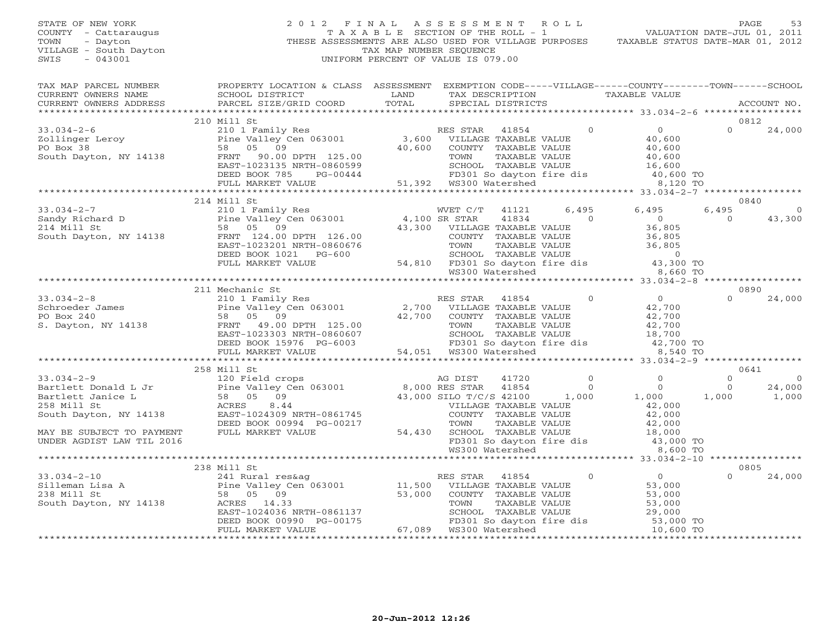# STATE OF NEW YORK 2 0 1 2 F I N A L A S S E S S M E N T R O L L PAGE 53 COUNTY - Cattaraugus T A X A B L E SECTION OF THE ROLL - 1 VALUATION DATE-JUL 01, 2011 TOWN - Dayton - Dayton 1999<br>
THESE ASSESSMENTS ARE ALSO USED FOR VILLAGE PURPOSES TAXABLE STATUS DATE-MAR 01, 2012<br>
TAX MAP NUMBER SEQUENCE VILLAGE - South Dayton TAX MAP NUMBER SEQUENCE<br>SWIS - 043001 SWIS - 043001 UNIFORM PERCENT OF VALUE IS 079.00

| TAX MAP PARCEL NUMBER | PROPERTY LOCATION & CLASS ASSESSMENT EXEMPTION CODE-----VILLAGE------COUNTY-------TOWN------SCHOOL<br>CURRENT OWNERS NAME SCHOOL DISTRICT<br>CURRENT OWNERS ADDRESS PARCEL SIZE/GRID COORD                                                                        | LAND |  | TAX DESCRIPTION TAXABLE VALUE |                |                |
|-----------------------|-------------------------------------------------------------------------------------------------------------------------------------------------------------------------------------------------------------------------------------------------------------------|------|--|-------------------------------|----------------|----------------|
|                       |                                                                                                                                                                                                                                                                   |      |  |                               |                |                |
|                       |                                                                                                                                                                                                                                                                   |      |  |                               |                |                |
|                       | 210 Mill St                                                                                                                                                                                                                                                       |      |  |                               | 0812           |                |
|                       |                                                                                                                                                                                                                                                                   |      |  |                               |                |                |
|                       |                                                                                                                                                                                                                                                                   |      |  |                               |                |                |
|                       |                                                                                                                                                                                                                                                                   |      |  |                               |                |                |
|                       |                                                                                                                                                                                                                                                                   |      |  |                               |                |                |
|                       |                                                                                                                                                                                                                                                                   |      |  |                               |                |                |
|                       |                                                                                                                                                                                                                                                                   |      |  |                               |                |                |
|                       |                                                                                                                                                                                                                                                                   |      |  |                               |                |                |
|                       |                                                                                                                                                                                                                                                                   |      |  |                               |                |                |
|                       | 214 Mill St                                                                                                                                                                                                                                                       |      |  |                               |                | 0840           |
|                       | 33.034-2-7<br>Sandy Richard D<br>214 Mill St<br>210 1 Family Res<br>210 1 Family Res<br>214 Mill St<br>214 Mill St<br>214 Mill St<br>214 Mill St<br>214 Mill St<br>216 Mill St<br>216 Mill St<br>216 Mill St<br>26.00<br>26,805<br>26,805<br>26,805<br>26,805<br> |      |  |                               | 6.495          | $\overline{0}$ |
|                       |                                                                                                                                                                                                                                                                   |      |  |                               | $\overline{0}$ | 43,300         |
|                       |                                                                                                                                                                                                                                                                   |      |  |                               |                |                |
|                       |                                                                                                                                                                                                                                                                   |      |  |                               |                |                |
|                       |                                                                                                                                                                                                                                                                   |      |  |                               |                |                |
|                       |                                                                                                                                                                                                                                                                   |      |  |                               |                |                |
|                       |                                                                                                                                                                                                                                                                   |      |  |                               |                |                |
|                       |                                                                                                                                                                                                                                                                   |      |  |                               |                |                |
|                       |                                                                                                                                                                                                                                                                   |      |  |                               |                |                |
|                       | 211 Mechanic St                                                                                                                                                                                                                                                   |      |  |                               |                | 0890           |
|                       |                                                                                                                                                                                                                                                                   |      |  |                               |                |                |
|                       |                                                                                                                                                                                                                                                                   |      |  |                               |                |                |
|                       |                                                                                                                                                                                                                                                                   |      |  |                               |                |                |
|                       |                                                                                                                                                                                                                                                                   |      |  |                               |                |                |
|                       |                                                                                                                                                                                                                                                                   |      |  |                               |                |                |
|                       |                                                                                                                                                                                                                                                                   |      |  |                               |                |                |
|                       |                                                                                                                                                                                                                                                                   |      |  |                               |                |                |
|                       |                                                                                                                                                                                                                                                                   |      |  |                               |                |                |
|                       | 258 Mill St                                                                                                                                                                                                                                                       |      |  |                               |                | 0641           |
|                       |                                                                                                                                                                                                                                                                   |      |  |                               |                | $\overline{0}$ |
|                       |                                                                                                                                                                                                                                                                   |      |  |                               |                | 24,000         |
|                       |                                                                                                                                                                                                                                                                   |      |  |                               |                | 1,000          |
|                       |                                                                                                                                                                                                                                                                   |      |  |                               |                |                |
|                       |                                                                                                                                                                                                                                                                   |      |  |                               |                |                |
|                       |                                                                                                                                                                                                                                                                   |      |  |                               |                |                |
|                       |                                                                                                                                                                                                                                                                   |      |  |                               |                |                |
|                       |                                                                                                                                                                                                                                                                   |      |  |                               |                |                |
|                       |                                                                                                                                                                                                                                                                   |      |  |                               |                |                |
|                       |                                                                                                                                                                                                                                                                   |      |  |                               |                |                |
|                       |                                                                                                                                                                                                                                                                   |      |  |                               |                | 0805           |
|                       | 33.034-2-10<br>33.034-2-10<br>33.034-2-10<br>341 Rural res&ag<br>238 Mill St<br>238 Mill St<br>238 Mill St<br>238 Mill St<br>238 Mill St<br>238 Mill St<br>238 Mill St<br>238 Mill St<br>238 Mill St<br>23.000<br>238 Mill St<br>23.000<br>238 Mill St<br>23.     |      |  |                               | $\Omega$       | 24,000         |
|                       |                                                                                                                                                                                                                                                                   |      |  |                               |                |                |
|                       |                                                                                                                                                                                                                                                                   |      |  |                               |                |                |
|                       |                                                                                                                                                                                                                                                                   |      |  |                               |                |                |
|                       |                                                                                                                                                                                                                                                                   |      |  |                               |                |                |
|                       |                                                                                                                                                                                                                                                                   |      |  |                               |                |                |
|                       |                                                                                                                                                                                                                                                                   |      |  |                               |                |                |
|                       |                                                                                                                                                                                                                                                                   |      |  |                               |                |                |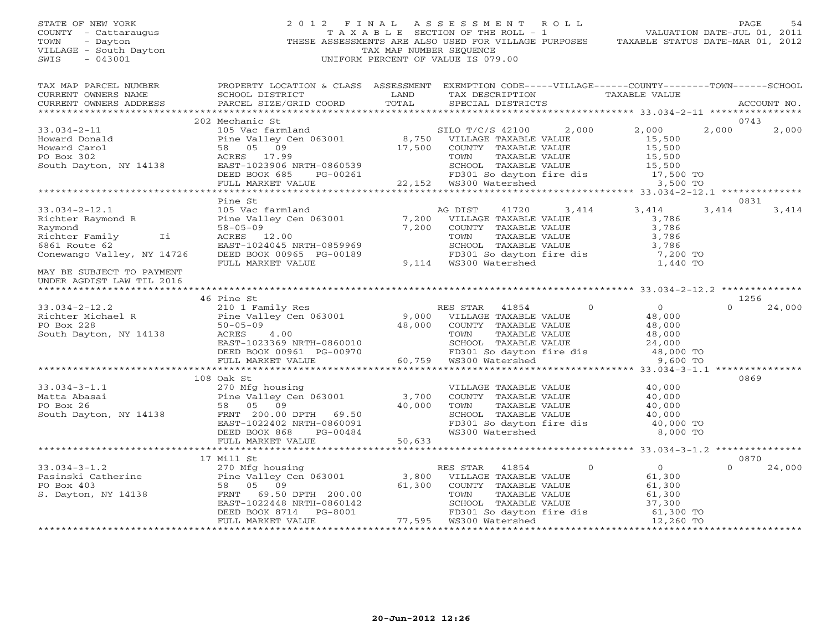# STATE OF NEW YORK 2 0 1 2 F I N A L A S S E S S M E N T R O L L PAGE 54 COUNTY - Cattaraugus T A X A B L E SECTION OF THE ROLL - 1 VALUATION DATE-JUL 01, 2011 TOWN - Dayton - Dayton 1999<br>
THESE ASSESSMENTS ARE ALSO USED FOR VILLAGE PURPOSES TAXABLE STATUS DATE-MAR 01, 2012<br>
TAX MAP NUMBER SEQUENCE VILLAGE - South Dayton TAX MAP NUMBER SEQUENCE<br>SWIS - 043001 SWIS - 043001 UNIFORM PERCENT OF VALUE IS 079.00

| TAX MAP PARCEL NUMBER                                                                                                                                                                                                                                                                                                                                                                 | PROPERTY LOCATION & CLASS ASSESSMENT EXEMPTION CODE-----VILLAGE------COUNTY-------TOWN------SCHOOL |                                                                                                                                                                                                                                                    |                   |          |             |
|---------------------------------------------------------------------------------------------------------------------------------------------------------------------------------------------------------------------------------------------------------------------------------------------------------------------------------------------------------------------------------------|----------------------------------------------------------------------------------------------------|----------------------------------------------------------------------------------------------------------------------------------------------------------------------------------------------------------------------------------------------------|-------------------|----------|-------------|
|                                                                                                                                                                                                                                                                                                                                                                                       |                                                                                                    | TAX DESCRIPTION TAXABLE VALUE                                                                                                                                                                                                                      |                   |          |             |
|                                                                                                                                                                                                                                                                                                                                                                                       |                                                                                                    | SPECIAL DISTRICTS                                                                                                                                                                                                                                  |                   |          | ACCOUNT NO. |
|                                                                                                                                                                                                                                                                                                                                                                                       |                                                                                                    |                                                                                                                                                                                                                                                    |                   |          |             |
|                                                                                                                                                                                                                                                                                                                                                                                       | 202 Mechanic St                                                                                    |                                                                                                                                                                                                                                                    |                   | 0743     |             |
|                                                                                                                                                                                                                                                                                                                                                                                       |                                                                                                    |                                                                                                                                                                                                                                                    |                   |          |             |
|                                                                                                                                                                                                                                                                                                                                                                                       |                                                                                                    |                                                                                                                                                                                                                                                    |                   |          |             |
|                                                                                                                                                                                                                                                                                                                                                                                       |                                                                                                    |                                                                                                                                                                                                                                                    |                   |          |             |
|                                                                                                                                                                                                                                                                                                                                                                                       |                                                                                                    |                                                                                                                                                                                                                                                    |                   |          |             |
|                                                                                                                                                                                                                                                                                                                                                                                       |                                                                                                    |                                                                                                                                                                                                                                                    |                   |          |             |
|                                                                                                                                                                                                                                                                                                                                                                                       |                                                                                                    |                                                                                                                                                                                                                                                    |                   |          |             |
|                                                                                                                                                                                                                                                                                                                                                                                       |                                                                                                    |                                                                                                                                                                                                                                                    |                   |          |             |
|                                                                                                                                                                                                                                                                                                                                                                                       |                                                                                                    |                                                                                                                                                                                                                                                    |                   |          |             |
|                                                                                                                                                                                                                                                                                                                                                                                       | Pine St                                                                                            |                                                                                                                                                                                                                                                    |                   | 0831     |             |
|                                                                                                                                                                                                                                                                                                                                                                                       |                                                                                                    |                                                                                                                                                                                                                                                    | 41720 3,414 3,414 | 3,414    | 3,414       |
|                                                                                                                                                                                                                                                                                                                                                                                       |                                                                                                    |                                                                                                                                                                                                                                                    |                   |          |             |
|                                                                                                                                                                                                                                                                                                                                                                                       |                                                                                                    |                                                                                                                                                                                                                                                    |                   |          |             |
|                                                                                                                                                                                                                                                                                                                                                                                       |                                                                                                    |                                                                                                                                                                                                                                                    |                   |          |             |
|                                                                                                                                                                                                                                                                                                                                                                                       |                                                                                                    |                                                                                                                                                                                                                                                    |                   |          |             |
|                                                                                                                                                                                                                                                                                                                                                                                       |                                                                                                    |                                                                                                                                                                                                                                                    |                   |          |             |
| 33.034-2-12.1<br>Richter Raymond R<br>Raymond B<br>Raymond 58-05-09<br>Richter Family Ii ACRES 12.00<br>6861 Route 62<br>Conewango Valley, NY 14726<br>DEED BOOK 00965 PG-00189<br>FULL MARKET VALUE<br>FULL MARKET VALUE<br>PULL MARKET VALUE<br>9,                                                                                                                                  |                                                                                                    | VILLAGE TAXABLE VALUE<br>COUNTY TAXABLE VALUE<br>TOWN TAXABLE VALUE<br>TOWN TAXABLE VALUE<br>SCHOOL TAXABLE VALUE<br>FD301 So dayton fire dis<br>WS300 Watershed<br>The dis<br>The CONS300 Watershed<br>The CONS300 Watershed<br>The CONS300 Water |                   |          |             |
| MAY BE SUBJECT TO PAYMENT                                                                                                                                                                                                                                                                                                                                                             |                                                                                                    |                                                                                                                                                                                                                                                    |                   |          |             |
| UNDER AGDIST LAW TIL 2016                                                                                                                                                                                                                                                                                                                                                             |                                                                                                    |                                                                                                                                                                                                                                                    |                   |          |             |
|                                                                                                                                                                                                                                                                                                                                                                                       |                                                                                                    |                                                                                                                                                                                                                                                    |                   |          |             |
|                                                                                                                                                                                                                                                                                                                                                                                       | 46 Pine St                                                                                         |                                                                                                                                                                                                                                                    |                   | 1256     |             |
| 33.034-2-12.2<br>Richter Michael R<br>PO Box 228<br>South Dayton, NY 14138<br>The Valley Cen 063001<br>210 1 Family Res<br>PO Box 228<br>50-05-09<br>24.000<br>South Dayton, NY 14138<br>RES STAR 41854<br>26 PO BOX 228<br>28,000<br>24,000<br>South Day                                                                                                                             |                                                                                                    |                                                                                                                                                                                                                                                    |                   | $\cap$   | 24,000      |
|                                                                                                                                                                                                                                                                                                                                                                                       |                                                                                                    |                                                                                                                                                                                                                                                    |                   |          |             |
|                                                                                                                                                                                                                                                                                                                                                                                       |                                                                                                    |                                                                                                                                                                                                                                                    |                   |          |             |
|                                                                                                                                                                                                                                                                                                                                                                                       |                                                                                                    |                                                                                                                                                                                                                                                    |                   |          |             |
|                                                                                                                                                                                                                                                                                                                                                                                       |                                                                                                    |                                                                                                                                                                                                                                                    |                   |          |             |
|                                                                                                                                                                                                                                                                                                                                                                                       |                                                                                                    |                                                                                                                                                                                                                                                    |                   |          |             |
|                                                                                                                                                                                                                                                                                                                                                                                       |                                                                                                    |                                                                                                                                                                                                                                                    |                   |          |             |
|                                                                                                                                                                                                                                                                                                                                                                                       |                                                                                                    |                                                                                                                                                                                                                                                    |                   |          |             |
|                                                                                                                                                                                                                                                                                                                                                                                       | 108 Oak St                                                                                         |                                                                                                                                                                                                                                                    |                   | 0869     |             |
| $33.034 - 3 - 1.1$                                                                                                                                                                                                                                                                                                                                                                    | 270 Mfg housing                                                                                    |                                                                                                                                                                                                                                                    |                   |          |             |
|                                                                                                                                                                                                                                                                                                                                                                                       |                                                                                                    |                                                                                                                                                                                                                                                    |                   |          |             |
|                                                                                                                                                                                                                                                                                                                                                                                       |                                                                                                    |                                                                                                                                                                                                                                                    |                   |          |             |
|                                                                                                                                                                                                                                                                                                                                                                                       |                                                                                                    | VILLAGE TAXABLE VALUE $40,000$<br>COUNTY TAXABLE VALUE $40,000$<br>TOWN TAXABLE VALUE $40,000$<br>SCHOOL TAXABLE VALUE $40,000$                                                                                                                    |                   |          |             |
|                                                                                                                                                                                                                                                                                                                                                                                       |                                                                                                    |                                                                                                                                                                                                                                                    |                   |          |             |
|                                                                                                                                                                                                                                                                                                                                                                                       |                                                                                                    |                                                                                                                                                                                                                                                    |                   |          |             |
|                                                                                                                                                                                                                                                                                                                                                                                       |                                                                                                    |                                                                                                                                                                                                                                                    |                   |          |             |
|                                                                                                                                                                                                                                                                                                                                                                                       |                                                                                                    |                                                                                                                                                                                                                                                    |                   |          |             |
|                                                                                                                                                                                                                                                                                                                                                                                       | 17 Mill St                                                                                         |                                                                                                                                                                                                                                                    |                   | 0870     |             |
|                                                                                                                                                                                                                                                                                                                                                                                       |                                                                                                    |                                                                                                                                                                                                                                                    |                   | $\Omega$ | 24,000      |
|                                                                                                                                                                                                                                                                                                                                                                                       |                                                                                                    |                                                                                                                                                                                                                                                    |                   |          |             |
|                                                                                                                                                                                                                                                                                                                                                                                       |                                                                                                    |                                                                                                                                                                                                                                                    |                   |          |             |
|                                                                                                                                                                                                                                                                                                                                                                                       |                                                                                                    |                                                                                                                                                                                                                                                    |                   |          |             |
|                                                                                                                                                                                                                                                                                                                                                                                       |                                                                                                    |                                                                                                                                                                                                                                                    |                   |          |             |
|                                                                                                                                                                                                                                                                                                                                                                                       |                                                                                                    |                                                                                                                                                                                                                                                    |                   |          |             |
| $\begin{tabular}{lllllllllllll} \text{33.034-3-1.2} & & & & 17 \text{ Mill St} & & & & \text{RES STRR} & 41854 & & & 0 & & 0 \\ \text{Pass STRR} & 41854 & & & 0 & & 0 & 0 & 0 \\ \text{Pass STRR} & 41854 & & & 0 & & 0 & 0 & 0 \\ \text{PO Box 403} & & & 58 & 05 & 09 & & 61,300 & \text{COUNTY TAXABLE VALUE} & & 61,300 \\ \text{S. Dayton, NY 14138} & & & 58 & 05 & 09 & & 61$ |                                                                                                    |                                                                                                                                                                                                                                                    |                   |          |             |
|                                                                                                                                                                                                                                                                                                                                                                                       |                                                                                                    |                                                                                                                                                                                                                                                    |                   |          |             |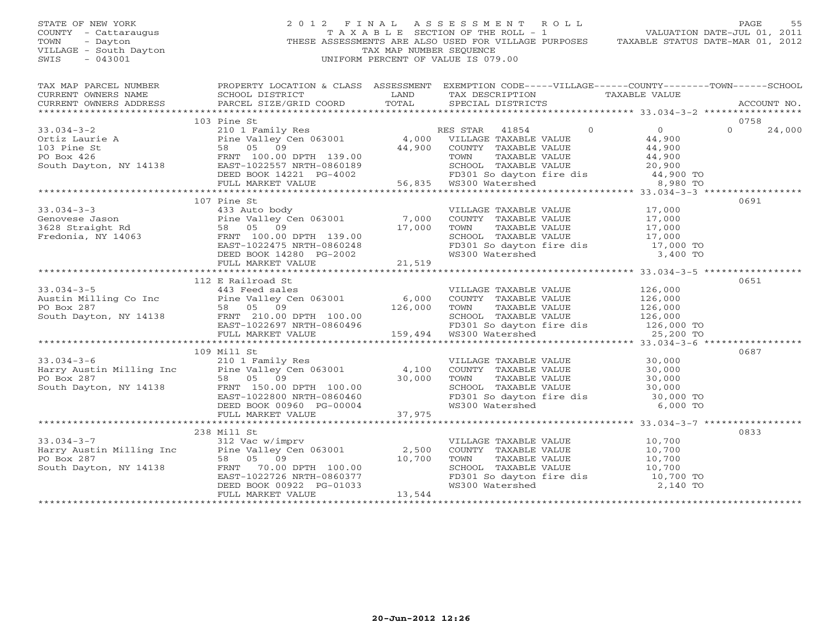# STATE OF NEW YORK 2 0 1 2 F I N A L A S S E S S M E N T R O L L PAGE 55 COUNTY - Cattaraugus T A X A B L E SECTION OF THE ROLL - 1 VALUATION DATE-JUL 01, 2011 TOWN - Dayton - Dayton 1999<br>
THESE ASSESSMENTS ARE ALSO USED FOR VILLAGE PURPOSES TAXABLE STATUS DATE-MAR 01, 2012<br>
TAX MAP NUMBER SEQUENCE VILLAGE - South Dayton TAX MAP NUMBER SEQUENCE<br>SWIS - 043001 SWIS - 043001 UNIFORM PERCENT OF VALUE IS 079.00

| TAX MAP PARCEL NUMBER |                                                                                                                                                                                                                                                  |        | PROPERTY LOCATION & CLASS ASSESSMENT EXEMPTION CODE-----VILLAGE------COUNTY--------TOWN------SCHOOL                                                                                                                                              |      |
|-----------------------|--------------------------------------------------------------------------------------------------------------------------------------------------------------------------------------------------------------------------------------------------|--------|--------------------------------------------------------------------------------------------------------------------------------------------------------------------------------------------------------------------------------------------------|------|
|                       |                                                                                                                                                                                                                                                  |        | TAX PARCES NONDER TRACTERITY AND MULTIPLE CONDUCTERITY ON THE CONDUCTER CONDUCTER CONDUCTERITY OF THE CONDUCTER<br>CURRENT OWNERS ADDRESS BORN BARCEL SIZE/GRID COORD TOTAL SPECIAL DISTRICTS ACCOUNT NO.<br>***********************             |      |
|                       |                                                                                                                                                                                                                                                  |        |                                                                                                                                                                                                                                                  |      |
|                       | 103 Pine St                                                                                                                                                                                                                                      |        |                                                                                                                                                                                                                                                  | 0758 |
|                       |                                                                                                                                                                                                                                                  |        |                                                                                                                                                                                                                                                  |      |
|                       |                                                                                                                                                                                                                                                  |        |                                                                                                                                                                                                                                                  |      |
|                       |                                                                                                                                                                                                                                                  |        |                                                                                                                                                                                                                                                  |      |
|                       |                                                                                                                                                                                                                                                  |        |                                                                                                                                                                                                                                                  |      |
|                       |                                                                                                                                                                                                                                                  |        |                                                                                                                                                                                                                                                  |      |
|                       |                                                                                                                                                                                                                                                  |        |                                                                                                                                                                                                                                                  |      |
|                       |                                                                                                                                                                                                                                                  |        |                                                                                                                                                                                                                                                  |      |
|                       |                                                                                                                                                                                                                                                  |        |                                                                                                                                                                                                                                                  |      |
|                       | 107 Pine St                                                                                                                                                                                                                                      |        | 33.034-3-3<br>Genovese Jason and the Value of the State of the VILLAGE TAXABLE VALUE of the Same of the Value of the Value of the Value of the Value of the Value of the Value of the Value of the Same of the Value of the Sam                  | 0691 |
|                       |                                                                                                                                                                                                                                                  |        |                                                                                                                                                                                                                                                  |      |
|                       |                                                                                                                                                                                                                                                  |        |                                                                                                                                                                                                                                                  |      |
|                       |                                                                                                                                                                                                                                                  |        |                                                                                                                                                                                                                                                  |      |
|                       |                                                                                                                                                                                                                                                  |        |                                                                                                                                                                                                                                                  |      |
|                       |                                                                                                                                                                                                                                                  |        |                                                                                                                                                                                                                                                  |      |
|                       |                                                                                                                                                                                                                                                  |        |                                                                                                                                                                                                                                                  |      |
|                       |                                                                                                                                                                                                                                                  |        |                                                                                                                                                                                                                                                  |      |
|                       |                                                                                                                                                                                                                                                  |        |                                                                                                                                                                                                                                                  |      |
|                       |                                                                                                                                                                                                                                                  |        |                                                                                                                                                                                                                                                  |      |
|                       |                                                                                                                                                                                                                                                  |        |                                                                                                                                                                                                                                                  |      |
|                       |                                                                                                                                                                                                                                                  |        |                                                                                                                                                                                                                                                  |      |
|                       |                                                                                                                                                                                                                                                  |        |                                                                                                                                                                                                                                                  |      |
|                       |                                                                                                                                                                                                                                                  |        |                                                                                                                                                                                                                                                  |      |
|                       |                                                                                                                                                                                                                                                  |        |                                                                                                                                                                                                                                                  |      |
|                       |                                                                                                                                                                                                                                                  |        | 33.034-3-5<br>33.034-3-5<br>26.000 EOLO PO Box 287<br>26.000 EOLO PO BOX 287<br>26.000 EOLO PO BOX 287<br>26.000 ENE VALUE PO BOX 287<br>26.000 ENET 100.00<br>26.000 ENET 100.00 ENET 100.00<br>26.000 ENET 100.00 ENET 100.00<br>26.000 ENET V |      |
|                       | 109 Mill St                                                                                                                                                                                                                                      |        |                                                                                                                                                                                                                                                  | 0687 |
|                       |                                                                                                                                                                                                                                                  |        |                                                                                                                                                                                                                                                  |      |
|                       |                                                                                                                                                                                                                                                  |        |                                                                                                                                                                                                                                                  |      |
|                       |                                                                                                                                                                                                                                                  |        |                                                                                                                                                                                                                                                  |      |
|                       |                                                                                                                                                                                                                                                  |        |                                                                                                                                                                                                                                                  |      |
|                       |                                                                                                                                                                                                                                                  |        |                                                                                                                                                                                                                                                  |      |
|                       |                                                                                                                                                                                                                                                  |        |                                                                                                                                                                                                                                                  |      |
|                       |                                                                                                                                                                                                                                                  |        |                                                                                                                                                                                                                                                  |      |
|                       | 238 Mill St                                                                                                                                                                                                                                      |        |                                                                                                                                                                                                                                                  | 0833 |
|                       |                                                                                                                                                                                                                                                  |        |                                                                                                                                                                                                                                                  |      |
|                       |                                                                                                                                                                                                                                                  |        |                                                                                                                                                                                                                                                  |      |
|                       |                                                                                                                                                                                                                                                  |        |                                                                                                                                                                                                                                                  |      |
|                       |                                                                                                                                                                                                                                                  |        |                                                                                                                                                                                                                                                  |      |
|                       |                                                                                                                                                                                                                                                  |        |                                                                                                                                                                                                                                                  |      |
|                       | 33.034-3-7<br>Harry Austin Milling Inc<br>PO Box 287<br>South Dayton, NY 14138<br>PO Box 287<br>South Dayton, NY 14138<br>PO Box 287<br>South Dayton, NY 14138<br>PRNT 70.00 DPTH 100.00<br>EAST-1022726 NRTH-0860377<br>DEED BOOK 009222 PG-010 |        | VILLAGE TAXABLE VALUE<br>COUNTY TAXABLE VALUE<br>TOWN TAXABLE VALUE<br>SCHOOL TAXABLE VALUE<br>SCHOOL TAXABLE VALUE<br>TD301 So dayton fire dis<br>TD301 So dayton fire dis<br>TD300 Watershed<br>TD,700 TO<br>TD300 Watershed<br>2,140 TO       |      |
|                       | FULL MARKET VALUE                                                                                                                                                                                                                                | 13,544 |                                                                                                                                                                                                                                                  |      |
|                       |                                                                                                                                                                                                                                                  |        |                                                                                                                                                                                                                                                  |      |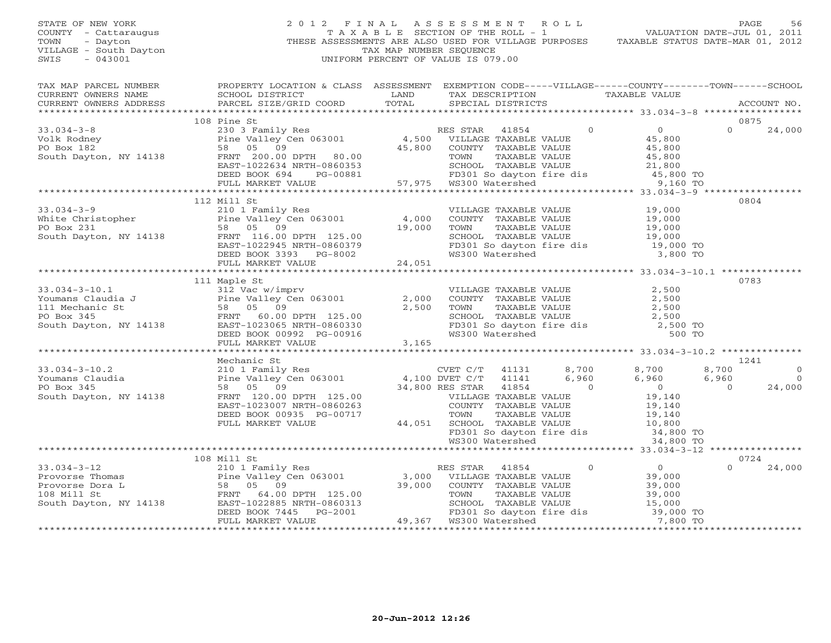# STATE OF NEW YORK 2 0 1 2 F I N A L A S S E S S M E N T R O L L PAGE 56 COUNTY - Cattaraugus T A X A B L E SECTION OF THE ROLL - 1 VALUATION DATE-JUL 01, 2011 TOWN - Dayton - Dayton 1999<br>
THESE ASSESSMENTS ARE ALSO USED FOR VILLAGE PURPOSES TAXABLE STATUS DATE-MAR 01, 2012<br>
TAX MAP NUMBER SEQUENCE VILLAGE - South Dayton TAX MAP NUMBER SEQUENCE<br>SWIS - 043001 SWIS - 043001 UNIFORM PERCENT OF VALUE IS 079.00

| TAX MAP PARCEL NUMBER<br>EN PARCEL SCHOOL DISTRICT & CHAIN ASSESSMENT ON REACT TRANSPORT TRANSPORT ON THE COUNT IN CONSULTED TRANSFERS SCHOOL DISTRICT TRANSPORT TRANSPORT TRANSPORT TRANSPORT TRANSPORT TRANSPORT TRANSPORT TRANSPORT TRANSPORT TRANSP                                                                                                                                                            | PROPERTY LOCATION & CLASS ASSESSMENT EXEMPTION CODE-----VILLAGE------COUNTY-------TOWN------SCHOOL |  |                                                                                                                                                                                             |              |                     |
|--------------------------------------------------------------------------------------------------------------------------------------------------------------------------------------------------------------------------------------------------------------------------------------------------------------------------------------------------------------------------------------------------------------------|----------------------------------------------------------------------------------------------------|--|---------------------------------------------------------------------------------------------------------------------------------------------------------------------------------------------|--------------|---------------------|
|                                                                                                                                                                                                                                                                                                                                                                                                                    |                                                                                                    |  |                                                                                                                                                                                             |              |                     |
|                                                                                                                                                                                                                                                                                                                                                                                                                    | 108 Pine St                                                                                        |  |                                                                                                                                                                                             | 0875         |                     |
| $\begin{array}{ccccccccc} 33.034-3-8 & & 108 \text{ Pine St} & & & & \text{RES STAR} & 41854 & 0 & 0 \\ & & 230 & 3\text{ Family Res} & & & & \text{RES STAR} & 41854 & 0 & 0 \\ \text{Volk Rodney} & & \text{Pie Valley Cen 063001} & & 4,500 & \text{VILLAGE TAXABLE VALUE} & & 45,800 \\ \text{PO Box 182} & & 58 & 05 & 09 & 45,800 & \text{COUNTY TAXABLE VALUE} & & 45,800 \\ \text{South Dayton, NY 14138}$ |                                                                                                    |  |                                                                                                                                                                                             | $\Omega$     | 24,000              |
|                                                                                                                                                                                                                                                                                                                                                                                                                    |                                                                                                    |  |                                                                                                                                                                                             |              |                     |
|                                                                                                                                                                                                                                                                                                                                                                                                                    | 112 Mill St                                                                                        |  |                                                                                                                                                                                             | 0804         |                     |
| 33.034-3-9<br>White Christopher<br>PO Box 231<br>South Dayton, NY 14138<br>PO Box 231<br>South Dayton, NY 14138<br>PERNT 116.00 DPTH 125.00<br>ERST-1022945 PRTH-0860379<br>DEED BOOK 3393 PG-8002<br>FULL MARKET VALUE<br>PULL MARKET VALUE<br>24,                                                                                                                                                                |                                                                                                    |  | VILLAGE TAXABLE VALUE<br>COUNTY TAXABLE VALUE<br>TOWN TAXABLE VALUE<br>SCHOOL TAXABLE VALUE<br>SCHOOL TAXABLE VALUE<br>FD301 So dayton fire dis<br>WS300 Watershed<br>19,000 TO<br>3,800 TO |              |                     |
|                                                                                                                                                                                                                                                                                                                                                                                                                    |                                                                                                    |  |                                                                                                                                                                                             |              |                     |
| 33.034-3-10.1<br>Youmans Claudia J<br>Youmans Claudia J<br>2,500<br>PO Box 345<br>South Dayton, NY 14138<br>TRIT 60.00 DPTH 125.00<br>DEED BOOK 00992 PG-00916<br>THE MARKET VALUE<br>THE MARKET VALUE<br>THE MARKET VALUE<br>THE MARKET VALUE<br>TH                                                                                                                                                               | 111 Maple St<br>Mechanic St                                                                        |  |                                                                                                                                                                                             | 0783<br>1241 | $\circ$<br>$\Omega$ |
|                                                                                                                                                                                                                                                                                                                                                                                                                    |                                                                                                    |  |                                                                                                                                                                                             |              | 24,000              |
|                                                                                                                                                                                                                                                                                                                                                                                                                    |                                                                                                    |  |                                                                                                                                                                                             |              |                     |
|                                                                                                                                                                                                                                                                                                                                                                                                                    | 108 Mill St                                                                                        |  |                                                                                                                                                                                             | 0724         | 24,000              |
|                                                                                                                                                                                                                                                                                                                                                                                                                    |                                                                                                    |  |                                                                                                                                                                                             |              |                     |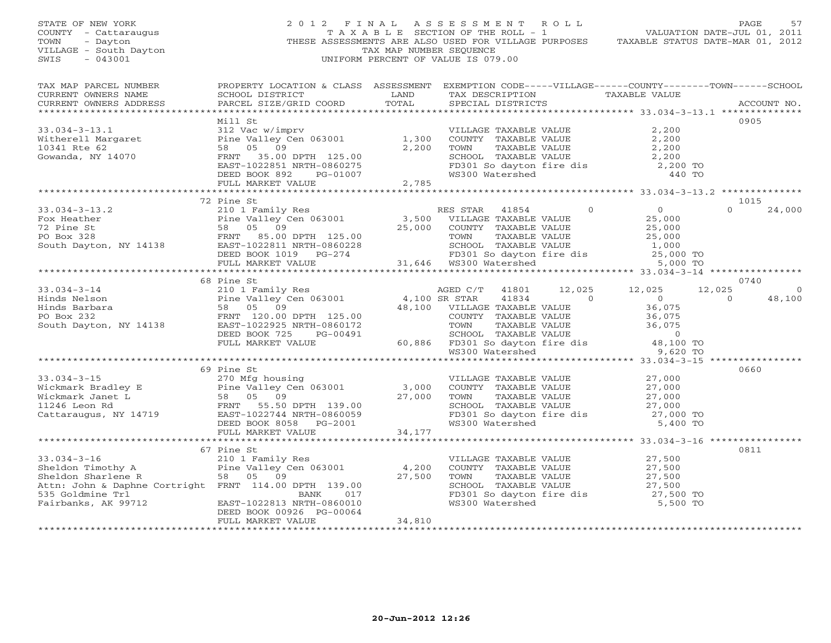STATE OF NEW YORK 2 0 1 2 F I N A L A S S E S S M E N T R O L L PAGE 57 COUNTY - Cattaraugus T A X A B L E SECTION OF THE ROLL - 1 VALUATION DATE-JUL 01, 2011 TOWN - Dayton THESE ASSESSMENTS ARE ALSO USED FOR VILLAGE PURPOSES TAXABLE STATUS DATE-MAR 01, 2012 VILLAGE - South Dayton TAX MAP NUMBER SEQUENCE SWIS - 043001 UNIFORM PERCENT OF VALUE IS 079.00 TAX MAP PARCEL NUMBER PROPERTY LOCATION & CLASS ASSESSMENT EXEMPTION CODE-----VILLAGE------COUNTY--------TOWN------SCHOOL<br>CURRENT OWNERS NAME SCHOOL DISTRICT LAND TAX DE \*\*\*\*\*\*\*\*\*\*\*\*\*\*\*\*\*\*\*\*\*\*\*\*\*\*\*\*\*\*\*\*\*\*\*\*\*\*\*\*\*\*\*\*\*\*\*\*\*\*\*\*\*\*\*\*\*\*\*\*\*\*\*\*\*\*\*\*\*\*\*\*\*\*\*\*\*\*\*\*\*\*\*\*\*\*\*\*\*\*\*\*\*\*\*\*\*\*\*\*\*\*\* 33.034-3-13.1 \*\*\*\*\*\*\*\*\*\*\*\*\*\* Mill St 0905 33.034-3-13.1 312 Vac w/imprv VILLAGE TAXABLE VALUE 2,200 Witherell Margaret Pine Valley Cen 063001 1,300 COUNTY TAXABLE VALUE 2,200 10341 Rte 62 58 05 09 2,200 TOWN TAXABLE VALUE 2,200 Gowanda, NY 14070 FRNT 35.00 DPTH 125.00 SCHOOL TAXABLE VALUE 2,200 EAST-1022851 NRTH-0860275 FD301 So dayton fire dis and the community of the state of the state of the state of<br>DEED BOOK 892 PG-01007 WS300 Watershed 440 TO FULL MARKET VALUE 2,785 FULL MARKET VALUE 2,785 Allows of the com 72 Pine St 1015 33.034-3-13.2 210 1 Family Res RES STAR 41854 0 0 0 24,000 Fox Heather Pine Valley Cen 063001 3,500 VILLAGE TAXABLE VALUE 25,000 72 Pine St 58 05 09 25,000 COUNTY TAXABLE VALUE 25,000 PO Box 328 FRNT 85.00 DPTH 125.00 TOWN TAXABLE VALUE 25,000 South Dayton, NY 14138 EAST-1022811 NRTH-0860228 SCHOOL TAXABLE VALUE 1,000 DEED BOOK 1019 PG-274 FD301 So dayton fire dis 25,000 TO FULL MARKET VALUE 31,646 WS300 Watershed 5,000 TO \*\*\*\*\*\*\*\*\*\*\*\*\*\*\*\*\*\*\*\*\*\*\*\*\*\*\*\*\*\*\*\*\*\*\*\*\*\*\*\*\*\*\*\*\*\*\*\*\*\*\*\*\*\*\*\*\*\*\*\*\*\*\*\*\*\*\*\*\*\*\*\*\*\*\*\*\*\*\*\*\*\*\*\*\*\*\*\*\*\*\*\*\*\*\*\*\*\*\*\*\*\*\* 33.034-3-14 \*\*\*\*\*\*\*\*\*\*\*\*\*\*\*\* 68 Pine St 0740 33.034-3-14 210 1 Family Res AGED C/T 41801 12,025 12,025 12,025 0 Hinds Nelson Pine Valley Cen 063001 4,100 SR STAR 41834 0 0 0 48,100 Hinds Barbara 58 05 09 48,100 VILLAGE TAXABLE VALUE 36,075 PO Box 232 FRNT 120.00 DPTH 125.00 COUNTY TAXABLE VALUE 36,075 South Dayton, NY 14138 EAST-1022925 NRTH-0860172 TOWN TAXABLE VALUE 36,075 DEED BOOK 725 PG-00491 SCHOOL TAXABLE VALUE 0 FULL MARKET VALUE 60,886 FD301 So dayton fire dis 48,100 TO WS300 Watershed 9,620 TO \*\*\*\*\*\*\*\*\*\*\*\*\*\*\*\*\*\*\*\*\*\*\*\*\*\*\*\*\*\*\*\*\*\*\*\*\*\*\*\*\*\*\*\*\*\*\*\*\*\*\*\*\*\*\*\*\*\*\*\*\*\*\*\*\*\*\*\*\*\*\*\*\*\*\*\*\*\*\*\*\*\*\*\*\*\*\*\*\*\*\*\*\*\*\*\*\*\*\*\*\*\*\* 33.034-3-15 \*\*\*\*\*\*\*\*\*\*\*\*\*\*\*\* 69 Pine St 0660 33.034-3-15 270 Mfg housing VILLAGE TAXABLE VALUE 27,000 Wickmark Bradley E Pine Valley Cen 063001 3,000 COUNTY TAXABLE VALUE 27,000 Wickmark Janet L 58 05 09 27,000 TOWN TAXABLE VALUE 27,000 11246 Leon Rd FRNT 55.50 DPTH 139.00 SCHOOL TAXABLE VALUE 27,000 Cattaraugus, NY 14719 EAST-1022744 NRTH-0860059 FD301 So dayton fire dis 27,000 TO DEED BOOK 8058 PG-2001 WS300 Watershed 5,400 TO FULL MARKET VALUE 34,177 \*\*\*\*\*\*\*\*\*\*\*\*\*\*\*\*\*\*\*\*\*\*\*\*\*\*\*\*\*\*\*\*\*\*\*\*\*\*\*\*\*\*\*\*\*\*\*\*\*\*\*\*\*\*\*\*\*\*\*\*\*\*\*\*\*\*\*\*\*\*\*\*\*\*\*\*\*\*\*\*\*\*\*\*\*\*\*\*\*\*\*\*\*\*\*\*\*\*\*\*\*\*\* 33.034-3-16 \*\*\*\*\*\*\*\*\*\*\*\*\*\*\*\* 67 Pine St 0811 33.034-3-16 210 1 Family Res VILLAGE TAXABLE VALUE 27,500 Sheldon Timothy A Pine Valley Cen 063001 4,200 COUNTY TAXABLE VALUE 27,500 Sheldon Sharlene R 58 05 09 27,500 TOWN TAXABLE VALUE 27,500 Attn: John & Daphne Cortright FRNT 114.00 DPTH 139.00 SCHOOL TAXABLE VALUE 27,500 535 Goldmine Trl BANK 017 FD301 So dayton fire dis 27,500 TO Fairbanks, AK 99712 EAST-1022813 NRTH-0860010 WS300 Watershed 5,500 TO DEED BOOK 00926 PG-00064 FULL MARKET VALUE 34,810 \*\*\*\*\*\*\*\*\*\*\*\*\*\*\*\*\*\*\*\*\*\*\*\*\*\*\*\*\*\*\*\*\*\*\*\*\*\*\*\*\*\*\*\*\*\*\*\*\*\*\*\*\*\*\*\*\*\*\*\*\*\*\*\*\*\*\*\*\*\*\*\*\*\*\*\*\*\*\*\*\*\*\*\*\*\*\*\*\*\*\*\*\*\*\*\*\*\*\*\*\*\*\*\*\*\*\*\*\*\*\*\*\*\*\*\*\*\*\*\*\*\*\*\*\*\*\*\*\*\*\*\*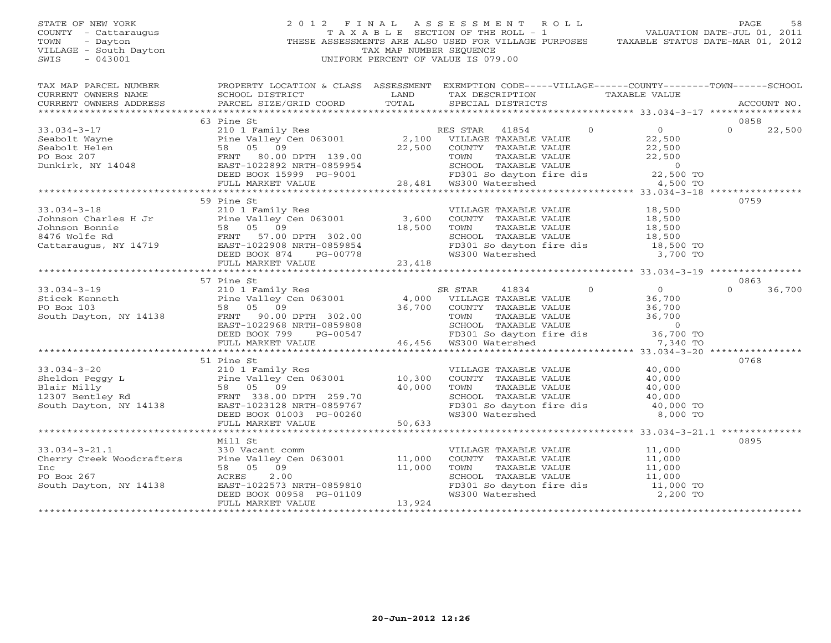## STATE OF NEW YORK 2 0 1 2 F I N A L A S S E S S M E N T R O L L PAGE 58COUNTY - Cattaraugus T A X A B L E SECTION OF THE ROLL - 1<br>TOWN - Dayton - THESE ASSESSMENTS ARE ALSO USED FOR VILLAGE PU<br>VILLAGE - South Dayton - THESE ASSESSMENTS ARE ALSO USED FOR VILLAGE PU THESE ASSESSMENTS ARE ALSO USED FOR VILLAGE PURPOSES TAXABLE STATUS DATE-MAR 01, 2012 VILLAGE - South Dayton TAX MAP NUMBER SEQUENCE<br>SWIS - 043001 SWIS - 043001 UNIFORM PERCENT OF VALUE IS 079.00

VALUATION DATE-JUL 01, 2011

| TAX MAP PARCEL NUMBER                                                       | PROPERTY LOCATION & CLASS ASSESSMENT EXEMPTION CODE-----VILLAGE------COUNTY-------TOWN------SCHOOL                                                                                                                                                                                                                                                                                         |                                                                                                                        |                                                                                                                                 |          |          |        |
|-----------------------------------------------------------------------------|--------------------------------------------------------------------------------------------------------------------------------------------------------------------------------------------------------------------------------------------------------------------------------------------------------------------------------------------------------------------------------------------|------------------------------------------------------------------------------------------------------------------------|---------------------------------------------------------------------------------------------------------------------------------|----------|----------|--------|
| CURRENT OWNERS NAME SCHOOL DISTRICT CURRENT OWNERS ADDRESS PARCEL SIZE/GRID |                                                                                                                                                                                                                                                                                                                                                                                            | <b>EXAMPLE SERVICE SERVICE SERVICE SERVICE SERVICE SERVICE SERVICE SERVICE SERVICE SERVICE SERVICE SERVICE SERVICE</b> | TAX DESCRIPTION TAXABLE VALUE                                                                                                   |          |          |        |
|                                                                             |                                                                                                                                                                                                                                                                                                                                                                                            |                                                                                                                        |                                                                                                                                 |          |          |        |
|                                                                             |                                                                                                                                                                                                                                                                                                                                                                                            |                                                                                                                        |                                                                                                                                 |          |          |        |
|                                                                             | 63 Pine St<br>$\begin{array}{cccccccc} 33.034-3-17 & 63 \  \  \, \text{Seabolt} & 210 & \text{Family Res} & \text{RES STAR} & 41854 & 0 & 0 & 22,500 \\ \text{Seabolt Wayne} & 210 & \text{Family Res} & 2,100 & \text{VILLAGE TAXABLE VALUE} & 22,500 & 0 & 22,500 \\ \text{Seabolt Weyne} & 58 & 05 & 09 & 22,500 & 0 & 22,500 \\ \text{Po Box 207} & 58 & 05 & 09 & \text{ERT} & 39.00$ |                                                                                                                        |                                                                                                                                 |          | 0858     |        |
|                                                                             |                                                                                                                                                                                                                                                                                                                                                                                            |                                                                                                                        |                                                                                                                                 |          |          |        |
|                                                                             |                                                                                                                                                                                                                                                                                                                                                                                            |                                                                                                                        |                                                                                                                                 |          |          |        |
|                                                                             |                                                                                                                                                                                                                                                                                                                                                                                            |                                                                                                                        |                                                                                                                                 |          |          |        |
|                                                                             |                                                                                                                                                                                                                                                                                                                                                                                            |                                                                                                                        |                                                                                                                                 |          |          |        |
|                                                                             |                                                                                                                                                                                                                                                                                                                                                                                            |                                                                                                                        |                                                                                                                                 |          |          |        |
|                                                                             |                                                                                                                                                                                                                                                                                                                                                                                            |                                                                                                                        |                                                                                                                                 |          |          |        |
|                                                                             |                                                                                                                                                                                                                                                                                                                                                                                            |                                                                                                                        |                                                                                                                                 |          |          |        |
|                                                                             |                                                                                                                                                                                                                                                                                                                                                                                            |                                                                                                                        |                                                                                                                                 |          |          |        |
|                                                                             | 59 Pine St                                                                                                                                                                                                                                                                                                                                                                                 |                                                                                                                        |                                                                                                                                 |          | 0759     |        |
|                                                                             |                                                                                                                                                                                                                                                                                                                                                                                            |                                                                                                                        |                                                                                                                                 |          |          |        |
|                                                                             |                                                                                                                                                                                                                                                                                                                                                                                            |                                                                                                                        |                                                                                                                                 |          |          |        |
|                                                                             |                                                                                                                                                                                                                                                                                                                                                                                            |                                                                                                                        |                                                                                                                                 |          |          |        |
|                                                                             |                                                                                                                                                                                                                                                                                                                                                                                            |                                                                                                                        |                                                                                                                                 |          |          |        |
|                                                                             |                                                                                                                                                                                                                                                                                                                                                                                            |                                                                                                                        |                                                                                                                                 |          |          |        |
|                                                                             |                                                                                                                                                                                                                                                                                                                                                                                            |                                                                                                                        |                                                                                                                                 |          |          |        |
|                                                                             |                                                                                                                                                                                                                                                                                                                                                                                            |                                                                                                                        |                                                                                                                                 |          |          |        |
|                                                                             |                                                                                                                                                                                                                                                                                                                                                                                            |                                                                                                                        |                                                                                                                                 |          |          |        |
|                                                                             |                                                                                                                                                                                                                                                                                                                                                                                            |                                                                                                                        |                                                                                                                                 |          |          |        |
|                                                                             | 57 Pine St                                                                                                                                                                                                                                                                                                                                                                                 |                                                                                                                        |                                                                                                                                 |          | 0863     |        |
|                                                                             |                                                                                                                                                                                                                                                                                                                                                                                            |                                                                                                                        |                                                                                                                                 |          | $\Omega$ | 36,700 |
|                                                                             |                                                                                                                                                                                                                                                                                                                                                                                            |                                                                                                                        |                                                                                                                                 |          |          |        |
|                                                                             |                                                                                                                                                                                                                                                                                                                                                                                            |                                                                                                                        |                                                                                                                                 |          |          |        |
|                                                                             |                                                                                                                                                                                                                                                                                                                                                                                            |                                                                                                                        |                                                                                                                                 |          |          |        |
|                                                                             |                                                                                                                                                                                                                                                                                                                                                                                            |                                                                                                                        |                                                                                                                                 |          |          |        |
|                                                                             |                                                                                                                                                                                                                                                                                                                                                                                            |                                                                                                                        |                                                                                                                                 |          |          |        |
|                                                                             | 33.034-3-19<br>Sticek Kenneth<br>Pine Valley Cen 063001<br>PO Box 103<br>Sticek Kenneth<br>PO Box 103<br>Sticek Kenneth<br>PO Box 103<br>Sticek Kenneth<br>BO Box 103<br>Sticek Kenneth<br>BO Box 103<br>Sticek Kenneth<br>BO BO BO BO BO BO BO BO BO B                                                                                                                                    |                                                                                                                        |                                                                                                                                 |          |          |        |
|                                                                             |                                                                                                                                                                                                                                                                                                                                                                                            |                                                                                                                        |                                                                                                                                 |          |          |        |
|                                                                             | 51 Pine St                                                                                                                                                                                                                                                                                                                                                                                 |                                                                                                                        |                                                                                                                                 |          | 0768     |        |
|                                                                             |                                                                                                                                                                                                                                                                                                                                                                                            |                                                                                                                        |                                                                                                                                 |          |          |        |
|                                                                             |                                                                                                                                                                                                                                                                                                                                                                                            |                                                                                                                        |                                                                                                                                 |          |          |        |
|                                                                             |                                                                                                                                                                                                                                                                                                                                                                                            |                                                                                                                        |                                                                                                                                 |          |          |        |
|                                                                             |                                                                                                                                                                                                                                                                                                                                                                                            |                                                                                                                        |                                                                                                                                 |          |          |        |
|                                                                             |                                                                                                                                                                                                                                                                                                                                                                                            |                                                                                                                        |                                                                                                                                 |          |          |        |
|                                                                             |                                                                                                                                                                                                                                                                                                                                                                                            |                                                                                                                        |                                                                                                                                 |          |          |        |
|                                                                             | 33.034-3-20<br>Sheldon Peggy L<br>Sheldon Peggy L<br>Pine Valley Cen 063001<br>Pine Valley Cen 063001<br>Pine Valley Cen 063001<br>210.300 COUNTY TAXABLE VALUE<br>40,000<br>210.300 COUNTY TAXABLE VALUE<br>20.000<br>210.300 COUNTY TAXABLE VAL                                                                                                                                          |                                                                                                                        |                                                                                                                                 |          |          |        |
|                                                                             |                                                                                                                                                                                                                                                                                                                                                                                            |                                                                                                                        |                                                                                                                                 |          |          |        |
|                                                                             | Mill St                                                                                                                                                                                                                                                                                                                                                                                    |                                                                                                                        |                                                                                                                                 |          | 0895     |        |
|                                                                             |                                                                                                                                                                                                                                                                                                                                                                                            |                                                                                                                        |                                                                                                                                 |          |          |        |
|                                                                             |                                                                                                                                                                                                                                                                                                                                                                                            |                                                                                                                        |                                                                                                                                 |          |          |        |
|                                                                             | 33.034-3-21.1 330 Vacant comm<br>Cherry Creek Woodcrafters Pine Valley Cen 063001 11,000<br>Inc 58 05 09 11,000                                                                                                                                                                                                                                                                            |                                                                                                                        |                                                                                                                                 |          |          |        |
|                                                                             |                                                                                                                                                                                                                                                                                                                                                                                            |                                                                                                                        | VILLAGE TAXABLE VALUE $11,000$<br>COUNTY TAXABLE VALUE $11,000$<br>TOWN TAXABLE VALUE $11,000$<br>SCHOOL TAXABLE VALUE $11,000$ |          |          |        |
| PO Box 267                                                                  |                                                                                                                                                                                                                                                                                                                                                                                            |                                                                                                                        |                                                                                                                                 |          |          |        |
| South Dayton, NY 14138                                                      |                                                                                                                                                                                                                                                                                                                                                                                            |                                                                                                                        | FD301 So dayton fire dis 11,000 TO                                                                                              |          |          |        |
|                                                                             | 11,000<br>ACRES 2.00<br>EAST-1022573 NRTH-0859810<br>DEED BOOK 00958 PG-01109<br>FULL MARKET VALUE 13,924                                                                                                                                                                                                                                                                                  |                                                                                                                        | WS300 Watershed                                                                                                                 | 2,200 TO |          |        |
|                                                                             |                                                                                                                                                                                                                                                                                                                                                                                            |                                                                                                                        |                                                                                                                                 |          |          |        |
|                                                                             |                                                                                                                                                                                                                                                                                                                                                                                            |                                                                                                                        |                                                                                                                                 |          |          |        |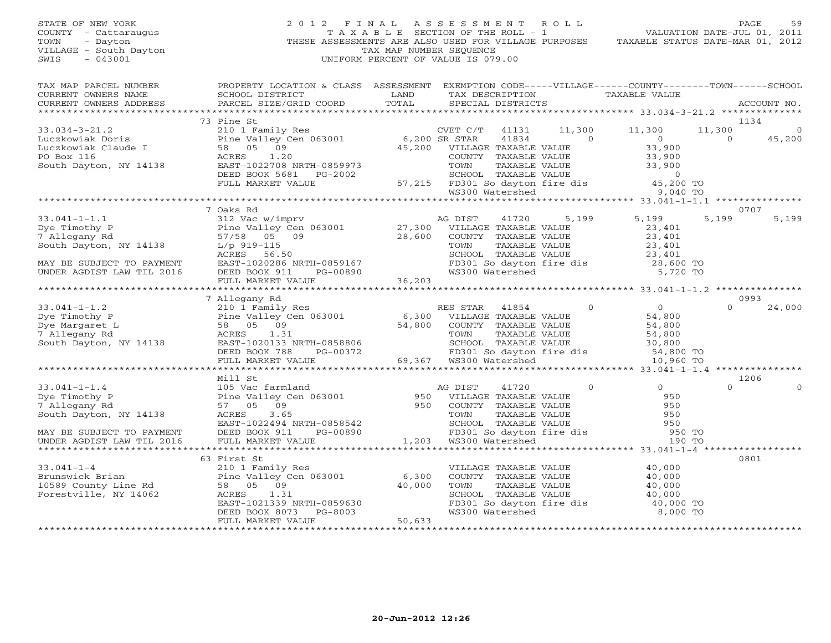STATE OF NEW YORK 2 0 1 2 F I N A L A S S E S S M E N T R O L L PAGE 59 COUNTY - Cattaraugus T A X A B L E SECTION OF THE ROLL - 1 VALUATION DATE-JUL 01, 2011 TOWN - Dayton THESE ASSESSMENTS ARE ALSO USED FOR VILLAGE PURPOSES TAXABLE STATUS DATE-MAR 01, 2012 VILLAGE - South Dayton TAX MAP NUMBER SEQUENCE SWIS - 043001 UNIFORM PERCENT OF VALUE IS 079.00 TAX MAP PARCEL NUMBER PROPERTY LOCATION & CLASS ASSESSMENT EXEMPTION CODE-----VILLAGE------COUNTY--------TOWN------SCHOOL<br>CURRENT OWNERS NAME SCHOOL DISTRICT LAND TAX DE \*\*\*\*\*\*\*\*\*\*\*\*\*\*\*\*\*\*\*\*\*\*\*\*\*\*\*\*\*\*\*\*\*\*\*\*\*\*\*\*\*\*\*\*\*\*\*\*\*\*\*\*\*\*\*\*\*\*\*\*\*\*\*\*\*\*\*\*\*\*\*\*\*\*\*\*\*\*\*\*\*\*\*\*\*\*\*\*\*\*\*\*\*\*\*\*\*\*\*\*\*\*\* 33.034-3-21.2 \*\*\*\*\*\*\*\*\*\*\*\*\*\* 73 Pine St 1134 33.034-3-21.2 210 1 Family Res CVET C/T 41131 11,300 11,300 11,300 0 Luczkowiak Doris Pine Valley Cen 063001 6,200 SR STAR 41834 0 0 0 45,200 Luczkowiak Claude I 58 05 09 45,200 VILLAGE TAXABLE VALUE 33,900 PO Box 116 ACRES 1.20 COUNTY TAXABLE VALUE 33,900 South Dayton, NY 14138 EAST-1022708 NRTH-0859973 TOWN TAXABLE VALUE 33,900 DEED BOOK 5681 PG-2002 SCHOOL TAXABLE VALUE 0 FULL MARKET VALUE 57,215 FD301 So dayton fire dis 45,200 TO WS300 Watershed 9,040 TO \*\*\*\*\*\*\*\*\*\*\*\*\*\*\*\*\*\*\*\*\*\*\*\*\*\*\*\*\*\*\*\*\*\*\*\*\*\*\*\*\*\*\*\*\*\*\*\*\*\*\*\*\*\*\*\*\*\*\*\*\*\*\*\*\*\*\*\*\*\*\*\*\*\*\*\*\*\*\*\*\*\*\*\*\*\*\*\*\*\*\*\*\*\*\*\*\*\*\*\*\*\*\* 33.041-1-1.1 \*\*\*\*\*\*\*\*\*\*\*\*\*\*\* 7 Oaks Rd 0707 33.041-1-1.1 312 Vac w/imprv AG DIST 41720 5,199 5,199 5,199 5,199 Dye Timothy P Pine Valley Cen 063001 27,300 VILLAGE TAXABLE VALUE 23,401 7 Allegany Rd 57/58 05 09 28,600 COUNTY TAXABLE VALUE 23,401 South Dayton, NY 14138 L/p 919-115 TOWN TAXABLE VALUE 23,401 ACRES 56.50 SCHOOL TAXABLE VALUE 23,401 MAY BE SUBJECT TO PAYMENT EAST-1020286 NRTH-0859167 FD301 So dayton fire dis 28,600 TO UNDER AGDIST LAW TIL 2016 DEED BOOK 911 PG-00890 WS300 Watershed 5,720 TO FULL MARKET VALUE 36,203 \*\*\*\*\*\*\*\*\*\*\*\*\*\*\*\*\*\*\*\*\*\*\*\*\*\*\*\*\*\*\*\*\*\*\*\*\*\*\*\*\*\*\*\*\*\*\*\*\*\*\*\*\*\*\*\*\*\*\*\*\*\*\*\*\*\*\*\*\*\*\*\*\*\*\*\*\*\*\*\*\*\*\*\*\*\*\*\*\*\*\*\*\*\*\*\*\*\*\*\*\*\*\* 33.041-1-1.2 \*\*\*\*\*\*\*\*\*\*\*\*\*\*\* 7 Allegany Rd 0993 33.041-1-1.2 210 1 Family Res RES STAR 41854 0 0 24,000 Dye Timothy P Pine Valley Cen 063001 6,300 VILLAGE TAXABLE VALUE 54,800 Dye Margaret L 58 05 09 54,800 COUNTY TAXABLE VALUE 54,800 7 Allegany Rd ACRES 1.31 TOWN TAXABLE VALUE 54,800 South Dayton, NY 14138 EAST-1020133 NRTH-0858806 SCHOOL TAXABLE VALUE 30,800 DEED BOOK 788 PG-00372 FD301 So dayton fire dis 54,800 TO FULL MARKET VALUE 69,367 WS300 Watershed 10,960 TO \*\*\*\*\*\*\*\*\*\*\*\*\*\*\*\*\*\*\*\*\*\*\*\*\*\*\*\*\*\*\*\*\*\*\*\*\*\*\*\*\*\*\*\*\*\*\*\*\*\*\*\*\*\*\*\*\*\*\*\*\*\*\*\*\*\*\*\*\*\*\*\*\*\*\*\*\*\*\*\*\*\*\*\*\*\*\*\*\*\*\*\*\*\*\*\*\*\*\*\*\*\*\* 33.041-1-1.4 \*\*\*\*\*\*\*\*\*\*\*\*\*\*\* Mill St 1206 33.041-1-1.4 105 Vac farmland AG DIST 41720 0 0 0 0 Dye Timothy P Pine Valley Cen 063001 950 VILLAGE TAXABLE VALUE 950 7 Allegany Rd 57 05 09 950 COUNTY TAXABLE VALUE 950 South Dayton, NY 14138 ACRES 3.65 TOWN TAXABLE VALUE 950 EAST-1022494 NRTH-0858542 SCHOOL TAXABLE VALUE 950 MAY BE SUBJECT TO PAYMENT DEED BOOK 911 PG-00890 FD301 So dayton fire dis 950 TO UNDER AGDIST LAW TIL 2016 FULL MARKET VALUE 1,203 WS300 Watershed 190 TO \*\*\*\*\*\*\*\*\*\*\*\*\*\*\*\*\*\*\*\*\*\*\*\*\*\*\*\*\*\*\*\*\*\*\*\*\*\*\*\*\*\*\*\*\*\*\*\*\*\*\*\*\*\*\*\*\*\*\*\*\*\*\*\*\*\*\*\*\*\*\*\*\*\*\*\*\*\*\*\*\*\*\*\*\*\*\*\*\*\*\*\*\*\*\*\*\*\*\*\*\*\*\* 33.041-1-4 \*\*\*\*\*\*\*\*\*\*\*\*\*\*\*\*\* 63 First St 0801 33.041-1-4 210 1 Family Res VILLAGE TAXABLE VALUE 40,000 Brunswick Brian Pine Valley Cen 063001 6,300 COUNTY TAXABLE VALUE 40,000 10589 County Line Rd 58 05 09 40,000 TOWN TAXABLE VALUE 40,000 Forestville, NY 14062 ACRES 1.31 SCHOOL TAXABLE VALUE 40,000 EAST-1021339 NRTH-0859630 FD301 So dayton fire dis 40,000 TO

FULL MARKET VALUE 50,633 \*\*\*\*\*\*\*\*\*\*\*\*\*\*\*\*\*\*\*\*\*\*\*\*\*\*\*\*\*\*\*\*\*\*\*\*\*\*\*\*\*\*\*\*\*\*\*\*\*\*\*\*\*\*\*\*\*\*\*\*\*\*\*\*\*\*\*\*\*\*\*\*\*\*\*\*\*\*\*\*\*\*\*\*\*\*\*\*\*\*\*\*\*\*\*\*\*\*\*\*\*\*\*\*\*\*\*\*\*\*\*\*\*\*\*\*\*\*\*\*\*\*\*\*\*\*\*\*\*\*\*\*

DEED BOOK 8073 PG-8003 WS300 Watershed 8,000 TO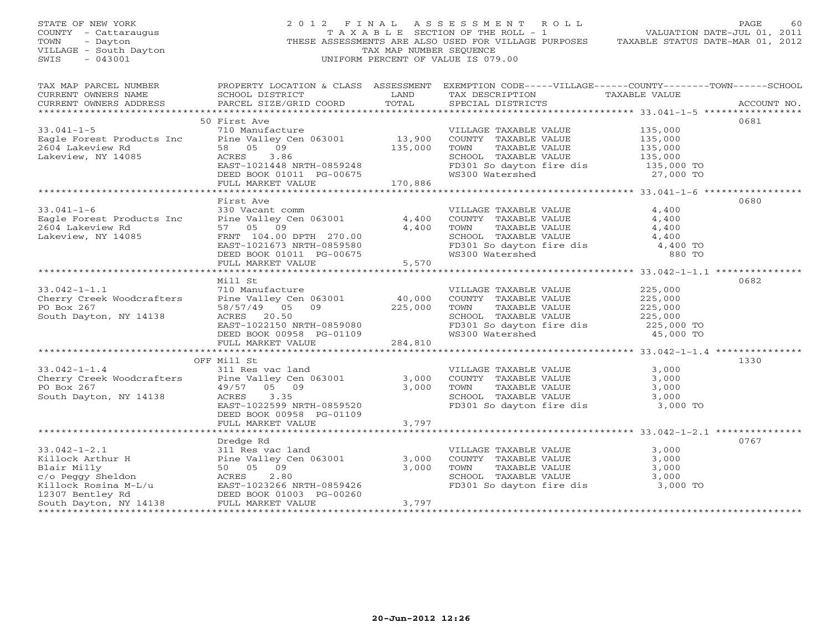| STATE OF NEW YORK<br>COUNTY - Cattaraugus<br>- Dayton<br>TOWN<br>VILLAGE - South Dayton<br>$-043001$<br>SWIS                                                                                                                                                                          |                                                                                                                                                                                                     | TAX MAP NUMBER SEQUENCE | 2012 FINAL ASSESSMENT ROLL<br>UNIFORM PERCENT OF VALUE IS 079.00                                                                                                                                                                                    | PAGE<br>60<br>THESE ASSESSMENTS ARE ALSO USED FOR VILLAGE PURPOSES TAXABLE STATUS DATE-MAR 01, 2012                                     |
|---------------------------------------------------------------------------------------------------------------------------------------------------------------------------------------------------------------------------------------------------------------------------------------|-----------------------------------------------------------------------------------------------------------------------------------------------------------------------------------------------------|-------------------------|-----------------------------------------------------------------------------------------------------------------------------------------------------------------------------------------------------------------------------------------------------|-----------------------------------------------------------------------------------------------------------------------------------------|
| CURRENT OWNERS NAME<br>CURRENT OWNERS ADDRESS PARCEL SIZE/GRID COORD TOTAL                                                                                                                                                                                                            |                                                                                                                                                                                                     |                         | SCHOOL DISTRICT                     LAND        TAX DESCRIPTION                  TAXABLE VALUE<br>SPECIAL DISTRICTS                                                                                                                                 | TAX MAP PARCEL NUMBER PROPERTY LOCATION & CLASS ASSESSMENT EXEMPTION CODE-----VILLAGE------COUNTY-------TOWN------SCHOOL<br>ACCOUNT NO. |
|                                                                                                                                                                                                                                                                                       | 50 First Ave                                                                                                                                                                                        |                         |                                                                                                                                                                                                                                                     | 0681                                                                                                                                    |
| 33.041-1-5<br>Eagle Forest Products Inc = 710 Manufacture = 710 Manufacture = 710 Manufacture = 710 Manufacture = 710 Manufacture = 710 Manufacture = 710 Manufacture = 710 Manufacture = 710 Manufacture = 710 Manufacture = 71                                                      |                                                                                                                                                                                                     |                         |                                                                                                                                                                                                                                                     |                                                                                                                                         |
|                                                                                                                                                                                                                                                                                       |                                                                                                                                                                                                     |                         |                                                                                                                                                                                                                                                     |                                                                                                                                         |
| $33.041 - 1 - 6$<br>Eagle Forest Products Inc<br>2604 Lakeview Rd<br>Lakeview, NY 14085                                                                                                                                                                                               | First Ave<br>330 Vacant comm<br>Pine Valley Cen 063001<br>57 05 09<br>57 05 09 4,400<br>FRNT 104.00 DPTH 270.00<br>EAST-1021673 NRTH-0859580<br>DEED BOOK 01011 PG-00675<br>FULL MARKET VALUE 5,570 |                         | VILLAGE TAXABLE VALUE 4,400<br>4,400 COUNTY TAXABLE VALUE 4,400<br>4,400 TOWN TAXABLE VALUE 4,400<br>SCHOOL TAXABLE VALUE 4,400<br>FD301 So dayton fire dis<br>WS300 Watershed 880 TO                                                               | 0680                                                                                                                                    |
|                                                                                                                                                                                                                                                                                       |                                                                                                                                                                                                     |                         |                                                                                                                                                                                                                                                     |                                                                                                                                         |
|                                                                                                                                                                                                                                                                                       |                                                                                                                                                                                                     |                         |                                                                                                                                                                                                                                                     |                                                                                                                                         |
|                                                                                                                                                                                                                                                                                       | Mill St                                                                                                                                                                                             |                         |                                                                                                                                                                                                                                                     | 0682                                                                                                                                    |
| South Dayton, NY 14138                                                                                                                                                                                                                                                                |                                                                                                                                                                                                     |                         | Prine Valley Cen 063001<br>Fine Valley Cen 063001<br>58/57/49 05 09<br>225,000 TOWN TAXABLE VALUE<br>225,000 SCHOOL<br>EAST-1022150 NRTH-0859080<br>DEED BOOK 00958 PG-01109<br>PULL MARKET VALUE<br>284,810<br>PULL MARKET VALUE<br>284,810<br>284 |                                                                                                                                         |
|                                                                                                                                                                                                                                                                                       |                                                                                                                                                                                                     |                         |                                                                                                                                                                                                                                                     |                                                                                                                                         |
|                                                                                                                                                                                                                                                                                       |                                                                                                                                                                                                     |                         |                                                                                                                                                                                                                                                     |                                                                                                                                         |
| 33.042-1-1.4<br>Cherry Creek Woodcrafters<br>Pine Valley Cen 063001<br>PO Box 267<br>South Dayton, NY 14138<br>$\frac{49/57}{100}$<br>$\frac{100}{100}$<br>$\frac{100}{100}$<br>$\frac{100}{100}$<br>$\frac{100}{100}$<br>$\frac{100}{100}$<br>$\frac{100}{100}$<br>$\frac{100}{100}$ | OFF Mill St<br>DEED BOOK 00958 PG-01109                                                                                                                                                             |                         | VILLAGE TAXABLE VALUE<br>3,000 COUNTY TAXABLE VALUE 3,000<br>3,000 TOWN TAXABLE VALUE 3,000<br>SCHOOL TAXABLE VALUE 3,000<br>FD301 So dayton fire dis 3,000                                                                                         | 1330<br>3,000<br>3,000 TO                                                                                                               |
|                                                                                                                                                                                                                                                                                       | FULL MARKET VALUE                                                                                                                                                                                   | $-0+10=$ 3,797          |                                                                                                                                                                                                                                                     |                                                                                                                                         |
|                                                                                                                                                                                                                                                                                       |                                                                                                                                                                                                     |                         |                                                                                                                                                                                                                                                     |                                                                                                                                         |
| 33.042-1-2.1<br>Xillock Arthur H 311 Res vac land<br>Xillock Arthur H 2011 Pine Valley Cen 063001<br>Blair Milly 50 05 09<br>Xillock Rosina M-L/u 20256 NRTH-0859426<br>Xillock Rosina M-L/u 20256 NRTH-0859426<br>Xillock Rosina M-L/u 20                                            |                                                                                                                                                                                                     |                         | FD301 So dayton fire dis 3,000 TO                                                                                                                                                                                                                   | 0767                                                                                                                                    |
|                                                                                                                                                                                                                                                                                       |                                                                                                                                                                                                     |                         |                                                                                                                                                                                                                                                     |                                                                                                                                         |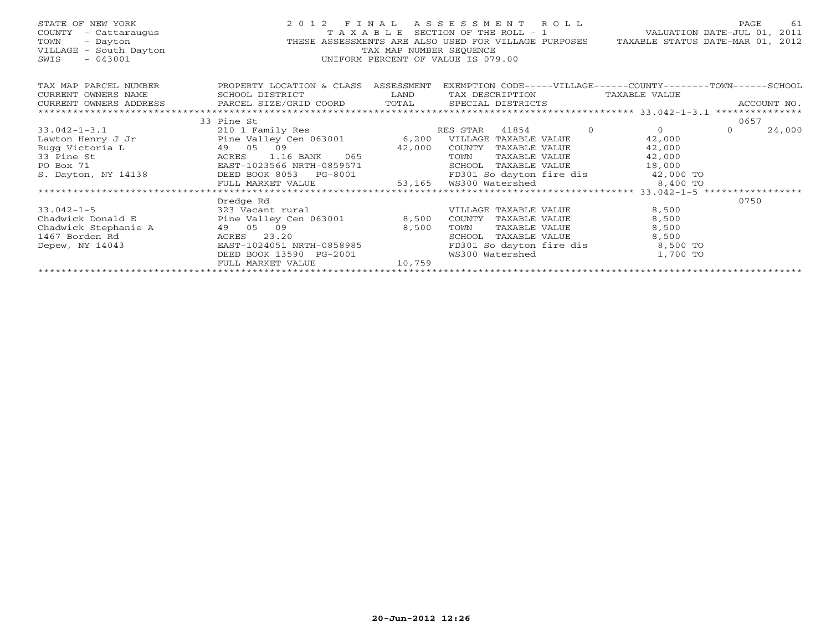| STATE OF NEW YORK<br>COUNTY - Cattaraugus<br>TOWN<br>- Dayton<br>VILLAGE - South Dayton<br>$-043001$<br>SWIS | 2012 FINAL ASSESSMENT ROLL<br>$\label{eq:2.1} \frac{1}{2} \int_{0}^{2\pi} \frac{1}{2} \left( \frac{1}{2} \int_{0}^{2\pi} \frac{1}{2} \left( \frac{1}{2} \int_{0}^{2\pi} \frac{1}{2} \right) \frac{1}{2} \right) \, d\mu$               | TAXABLE SECTION OF THE ROLL - 1<br>TAX MAP NUMBER SEOUENCE<br>UNIFORM PERCENT OF VALUE IS 079.00 |        |                       |                 | VALUATION DATE-JUL 01, 2011<br>THESE ASSESSMENTS ARE ALSO USED FOR VILLAGE PURPOSES TAXABLE STATUS DATE-MAR 01, 2012 | PAGE     | 61          |
|--------------------------------------------------------------------------------------------------------------|----------------------------------------------------------------------------------------------------------------------------------------------------------------------------------------------------------------------------------------|--------------------------------------------------------------------------------------------------|--------|-----------------------|-----------------|----------------------------------------------------------------------------------------------------------------------|----------|-------------|
| TAX MAP PARCEL NUMBER                                                                                        | PROPERTY LOCATION & CLASS ASSESSMENT                                                                                                                                                                                                   |                                                                                                  |        |                       |                 | EXEMPTION CODE-----VILLAGE------COUNTY-------TOWN------SCHOOL                                                        |          |             |
| CURRENT OWNERS NAME                                                                                          | SCHOOL DISTRICT                                                                                                                                                                                                                        | <b>LAND</b>                                                                                      |        |                       | TAX DESCRIPTION | TAXABLE VALUE                                                                                                        |          |             |
| CURRENT OWNERS ADDRESS                                                                                       | PARCEL SIZE/GRID COORD TOTAL SPECIAL DISTRICTS                                                                                                                                                                                         |                                                                                                  |        |                       |                 |                                                                                                                      |          | ACCOUNT NO. |
|                                                                                                              |                                                                                                                                                                                                                                        |                                                                                                  |        |                       |                 |                                                                                                                      |          |             |
|                                                                                                              | 33 Pine St                                                                                                                                                                                                                             |                                                                                                  |        |                       |                 |                                                                                                                      | 0657     |             |
| $33.042 - 1 - 3.1$                                                                                           | 210 1 Family Res                                                                                                                                                                                                                       |                                                                                                  |        |                       |                 | RES STAR 41854 0 0 0                                                                                                 | $\Omega$ | 24,000      |
| Lawton Henry J Jr <b>Example 2012</b> Pine Valley Cen 063001 6,200 VILLAGE TAXABLE VALUE                     |                                                                                                                                                                                                                                        |                                                                                                  |        |                       |                 | 42,000                                                                                                               |          |             |
| Rugg Victoria L                                                                                              |                                                                                                                                                                                                                                        |                                                                                                  |        |                       |                 |                                                                                                                      |          |             |
| Ta L (49 0)<br>ACRES EAST-1<br>33 Pine St                                                                    | 42,000 COUNTY TAXABLE VALUE 42,000<br>ACRES 1.16 BANK 065 TOWN TAXABLE VALUE 42,000<br>EAST-1023566 NRTH-0859571 SCHOOL TAXABLE VALUE 42,000<br>DEED BOOK 8053 PG-8001 53,165 WS300 Watershed 8,400 TO<br>FULL MARKET VALUE 53,165 WS3 |                                                                                                  |        |                       |                 |                                                                                                                      |          |             |
| PO Box 71                                                                                                    |                                                                                                                                                                                                                                        |                                                                                                  |        |                       |                 |                                                                                                                      |          |             |
| S. Dayton, NY 14138                                                                                          |                                                                                                                                                                                                                                        |                                                                                                  |        |                       |                 |                                                                                                                      |          |             |
|                                                                                                              |                                                                                                                                                                                                                                        |                                                                                                  |        |                       |                 |                                                                                                                      |          |             |
|                                                                                                              |                                                                                                                                                                                                                                        |                                                                                                  |        |                       |                 |                                                                                                                      |          |             |
|                                                                                                              | Dredge Rd                                                                                                                                                                                                                              |                                                                                                  |        |                       |                 |                                                                                                                      | 0750     |             |
| $33.042 - 1 - 5$                                                                                             | 323 Vacant rural                                                                                                                                                                                                                       |                                                                                                  |        | VILLAGE TAXABLE VALUE |                 | 8,500                                                                                                                |          |             |
| Chadwick Donald E                                                                                            | Pine Valley Cen 063001 8,500                                                                                                                                                                                                           |                                                                                                  |        | COUNTY TAXABLE VALUE  |                 | 8,500                                                                                                                |          |             |
| Chadwick Stephanie A and 49 05 09                                                                            |                                                                                                                                                                                                                                        | 8,500                                                                                            | TOWN   | TAXABLE VALUE         |                 | 8,500                                                                                                                |          |             |
| 1467 Borden Rd                                                                                               | ACRES 23.20                                                                                                                                                                                                                            |                                                                                                  | SCHOOL | TAXABLE VALUE         |                 | 8,500                                                                                                                |          |             |
| Depew, NY 14043                                                                                              | EAST-1024051 NRTH-0858985                                                                                                                                                                                                              |                                                                                                  |        |                       |                 | FD301 So dayton fire dis 8,500 TO                                                                                    |          |             |
|                                                                                                              | DEED BOOK 13590 PG-2001                                                                                                                                                                                                                |                                                                                                  |        |                       |                 | WS300 Watershed WS300 Watershed<br>1,700 TO                                                                          |          |             |
|                                                                                                              | FULL MARKET VALUE                                                                                                                                                                                                                      | 10,759                                                                                           |        |                       |                 |                                                                                                                      |          |             |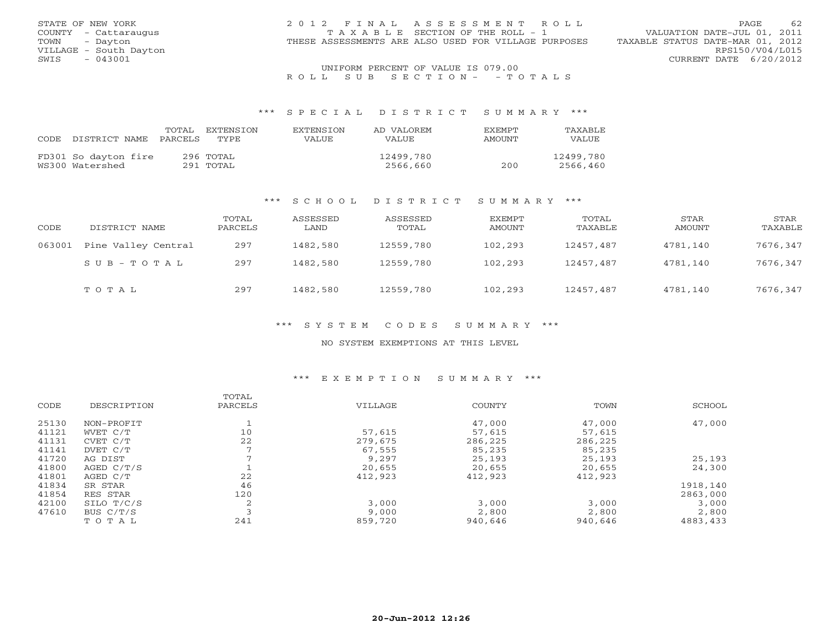| STATE OF NEW YORK      | 2012 FINAL ASSESSMENT ROLL                           | 62<br>PAGE.                      |
|------------------------|------------------------------------------------------|----------------------------------|
| COUNTY - Cattaraugus   | T A X A B L E SECTION OF THE ROLL - 1                | VALUATION DATE-JUL 01, 2011      |
| - Dayton<br>TOWN       | THESE ASSESSMENTS ARE ALSO USED FOR VILLAGE PURPOSES | TAXABLE STATUS DATE-MAR 01, 2012 |
| VILLAGE - South Dayton |                                                      | RPS150/V04/L015                  |
| $-043001$<br>SWIS      |                                                      | CURRENT DATE 6/20/2012           |
|                        | UNIFORM PERCENT OF VALUE IS 079.00                   |                                  |

R O L L S U B S E C T I O N - - T O T A L S

#### \*\*\* S P E C I A L D I S T R I C T S U M M A R Y \*\*\*

| CODE | DISTRICT NAME                           | TOTAL<br>PARCELS | EXTENSTON<br>TYPE      | <b>EXTENSION</b><br><b>VALUE</b> | AD VALOREM<br>VALUE   | <b>FXFMPT</b><br>AMOUNT | TAXABLE<br>VALUE      |
|------|-----------------------------------------|------------------|------------------------|----------------------------------|-----------------------|-------------------------|-----------------------|
|      | FD301 So dayton fire<br>WS300 Watershed |                  | 296 TOTAL<br>291 TOTAL |                                  | 12499,780<br>2566,660 | 200                     | 12499,780<br>2566,460 |

#### \*\*\* S C H O O L D I S T R I C T S U M M A R Y \*\*\*

| CODE   | DISTRICT NAME       | TOTAL<br>PARCELS | ASSESSED<br>LAND | ASSESSED<br>TOTAL | EXEMPT<br>AMOUNT | TOTAL<br>TAXABLE | STAR<br>AMOUNT | STAR<br>TAXABLE |
|--------|---------------------|------------------|------------------|-------------------|------------------|------------------|----------------|-----------------|
| 063001 | Pine Valley Central | 297              | 1482,580         | 12559,780         | 102,293          | 12457,487        | 4781,140       | 7676,347        |
|        | SUB-TOTAL           | 297              | 1482,580         | 12559,780         | 102,293          | 12457,487        | 4781,140       | 7676,347        |
|        | TOTAL               | 297              | 1482,580         | 12559,780         | 102,293          | 12457,487        | 4781,140       | 7676,347        |

#### \*\*\* S Y S T E M C O D E S S U M M A R Y \*\*\*

#### NO SYSTEM EXEMPTIONS AT THIS LEVEL

## \*\*\* E X E M P T I O N S U M M A R Y \*\*\*

|       |             | TOTAL   |         |         |         |          |
|-------|-------------|---------|---------|---------|---------|----------|
| CODE  | DESCRIPTION | PARCELS | VILLAGE | COUNTY  | TOWN    | SCHOOL   |
| 25130 | NON-PROFIT  |         |         | 47,000  | 47,000  | 47,000   |
| 41121 | WVET C/T    | 10      | 57,615  | 57,615  | 57,615  |          |
| 41131 | CVET C/T    | 22      | 279,675 | 286,225 | 286,225 |          |
| 41141 | DVET C/T    |         | 67,555  | 85,235  | 85,235  |          |
| 41720 | AG DIST     |         | 9,297   | 25,193  | 25,193  | 25,193   |
| 41800 | AGED C/T/S  |         | 20,655  | 20,655  | 20,655  | 24,300   |
| 41801 | AGED C/T    | 22      | 412,923 | 412,923 | 412,923 |          |
| 41834 | SR STAR     | 46      |         |         |         | 1918,140 |
| 41854 | RES STAR    | 120     |         |         |         | 2863,000 |
| 42100 | SILO T/C/S  | 2       | 3,000   | 3,000   | 3,000   | 3,000    |
| 47610 | BUS C/T/S   |         | 9,000   | 2,800   | 2,800   | 2,800    |
|       | TOTAL       | 241     | 859,720 | 940,646 | 940,646 | 4883,433 |
|       |             |         |         |         |         |          |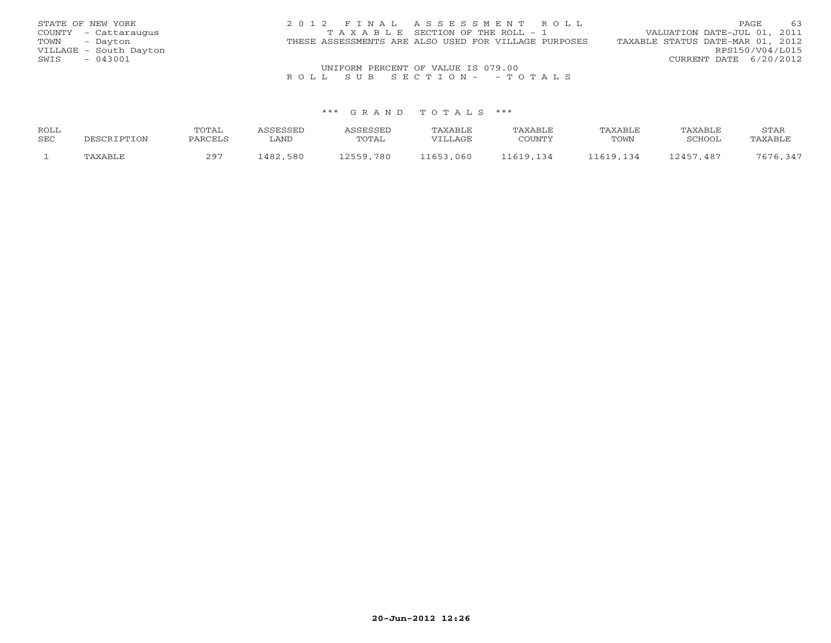| STATE OF NEW YORK      | 2012 FINAL ASSESSMENT ROLL                           | 63<br>PAGE.                      |
|------------------------|------------------------------------------------------|----------------------------------|
| COUNTY - Cattaraugus   | TAXABLE SECTION OF THE ROLL - 1                      | VALUATION DATE-JUL 01, 2011      |
| TOWN<br>- Dayton       | THESE ASSESSMENTS ARE ALSO USED FOR VILLAGE PURPOSES | TAXABLE STATUS DATE-MAR 01, 2012 |
| VILLAGE - South Dayton |                                                      | RPS150/V04/L015                  |
| $-043001$<br>SWIS      |                                                      | CURRENT DATE 6/20/2012           |
|                        | UNIFORM PERCENT OF VALUE IS 079.00                   |                                  |

# R O L L S U B S E C T I O N - - T O T A L S

#### \*\*\* G R A N D T O T A L S \*\*\*

| ROLL |                | TOTAL   | <b>CCFCCFT</b> |           | <b>TAXABLE</b> | TAXABLE  | TAXABLE   | TAXABLE   | STAR    |
|------|----------------|---------|----------------|-----------|----------------|----------|-----------|-----------|---------|
| SEC  | DESCRIPTION    | PARCELS | . AND          | TOTAL     | VILLAGE        | COUNTY   | TOWN      | SCHOOL    | TAXABLE |
|      | <b>TAXABLF</b> | つQワ     | 1482,580       | 12559.780 | 11653,060      | 1619 134 | 11619 134 | 12457.487 |         |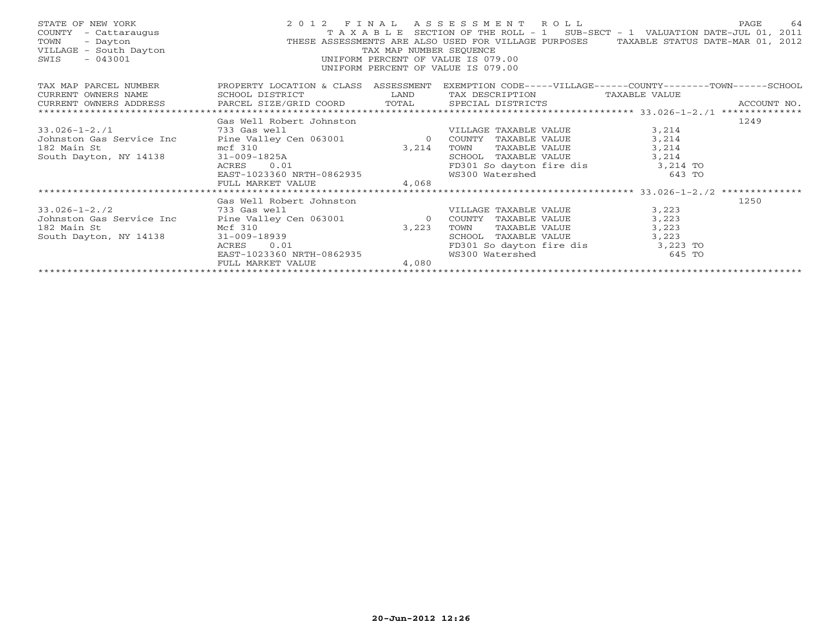| STATE OF NEW YORK<br>- Cattaraugus<br>COUNTY<br>TOWN<br>- Dayton<br>VILLAGE - South Dayton<br>$-043001$<br>SWIS                                                                                                                                                                                                                      |                           |                                    | 2012 FINAL ASSESSMENT ROLL<br>T A X A B L E SECTION OF THE ROLL - 1 SUB-SECT - 1 VALUATION DATE-JUL 01, 2011<br>THESE ASSESSMENTS ARE ALSO USED FOR VILLAGE PURPOSES TAXABLE STATUS DATE-MAR 01, 2012<br>TAX MAP NUMBER SEQUENCE<br>UNIFORM PERCENT OF VALUE IS 079.0 |          | PAGE<br>-64 |
|--------------------------------------------------------------------------------------------------------------------------------------------------------------------------------------------------------------------------------------------------------------------------------------------------------------------------------------|---------------------------|------------------------------------|-----------------------------------------------------------------------------------------------------------------------------------------------------------------------------------------------------------------------------------------------------------------------|----------|-------------|
| TAX MAP PARCEL NUMBER TROPERTY LOCATION & CLASS ASSESSMENT                                                                                                                                                                                                                                                                           |                           |                                    | EXEMPTION CODE-----VILLAGE------COUNTY--------TOWN------SCHOOL                                                                                                                                                                                                        |          |             |
| CURRENT OWNERS NAME                                                                                                                                                                                                                                                                                                                  | SCHOOL DISTRICT           | <b>EXAMPLE STATE SERVICE STATE</b> | TAX DESCRIPTION TAXABLE VALUE                                                                                                                                                                                                                                         |          |             |
|                                                                                                                                                                                                                                                                                                                                      |                           |                                    |                                                                                                                                                                                                                                                                       |          |             |
|                                                                                                                                                                                                                                                                                                                                      |                           |                                    |                                                                                                                                                                                                                                                                       |          |             |
|                                                                                                                                                                                                                                                                                                                                      | Gas Well Robert Johnston  |                                    |                                                                                                                                                                                                                                                                       |          | 1249        |
| 33.026-1-2./1<br>733 Gas well<br>733 Gas well<br>733 Gas well<br>9 COUNTY TAXABLE VALUE                                                                                                                                                                                                                                              |                           |                                    |                                                                                                                                                                                                                                                                       | 3,214    |             |
|                                                                                                                                                                                                                                                                                                                                      |                           |                                    |                                                                                                                                                                                                                                                                       | 3,214    |             |
|                                                                                                                                                                                                                                                                                                                                      |                           |                                    | TOWN TAXABLE VALUE                                                                                                                                                                                                                                                    | 3,214    |             |
| 3,214<br>South Dayton, NY 14138<br>South Dayton, NY 14138<br>$31-009-1825A$<br>ACRES<br>$B2 \text{ Main St}$<br>$B2 \text{ Main St}$<br>$B2 \text{ Main St}$<br>$B2 \text{ Main St}$<br>$B2 \text{ Main St}$<br>$B2 \text{ Main St}$<br>$B2 \text{ Main St}$<br>$B2 \text{ Main St}$<br>$B2 \text{ Main St}$<br>$B2 \text{ Main St}$ |                           |                                    | SCHOOL TAXABLE VALUE 3,214                                                                                                                                                                                                                                            |          |             |
|                                                                                                                                                                                                                                                                                                                                      |                           |                                    | FD301 So dayton fire dis 3,214 TO                                                                                                                                                                                                                                     |          |             |
|                                                                                                                                                                                                                                                                                                                                      |                           |                                    | WS300 Watershed                                                                                                                                                                                                                                                       | $643$ TO |             |
|                                                                                                                                                                                                                                                                                                                                      | FULL MARKET VALUE         | 4,068                              |                                                                                                                                                                                                                                                                       |          |             |
|                                                                                                                                                                                                                                                                                                                                      |                           |                                    |                                                                                                                                                                                                                                                                       |          |             |
|                                                                                                                                                                                                                                                                                                                                      | Gas Well Robert Johnston  |                                    |                                                                                                                                                                                                                                                                       |          | 1250        |
| 33.026-1-2./2 733 Gas well                                                                                                                                                                                                                                                                                                           |                           |                                    | VILLAGE TAXABLE VALUE                                                                                                                                                                                                                                                 | 3,223    |             |
| Johnston Gas Service Inc Pine Valley Cen 063001<br>Johnston Gas Service Inc<br>182 Main St<br>South Dayton, NY 14138<br>21-009-18939<br>ACRES<br>0.01                                                                                                                                                                                |                           | $\overline{0}$                     | COUNTY TAXABLE VALUE                                                                                                                                                                                                                                                  | 3,223    |             |
|                                                                                                                                                                                                                                                                                                                                      |                           | 3,223                              | TOWN<br>TAXABLE VALUE                                                                                                                                                                                                                                                 | 3,223    |             |
|                                                                                                                                                                                                                                                                                                                                      |                           |                                    | SCHOOL TAXABLE VALUE                                                                                                                                                                                                                                                  | 3,223    |             |
|                                                                                                                                                                                                                                                                                                                                      |                           |                                    | FD301 So dayton fire dis 3,223 TO                                                                                                                                                                                                                                     |          |             |
|                                                                                                                                                                                                                                                                                                                                      | EAST-1023360 NRTH-0862935 |                                    | WS300 Watershed                                                                                                                                                                                                                                                       | $645$ TO |             |
|                                                                                                                                                                                                                                                                                                                                      | FULL MARKET VALUE         | 4,080                              |                                                                                                                                                                                                                                                                       |          |             |
|                                                                                                                                                                                                                                                                                                                                      |                           |                                    |                                                                                                                                                                                                                                                                       |          |             |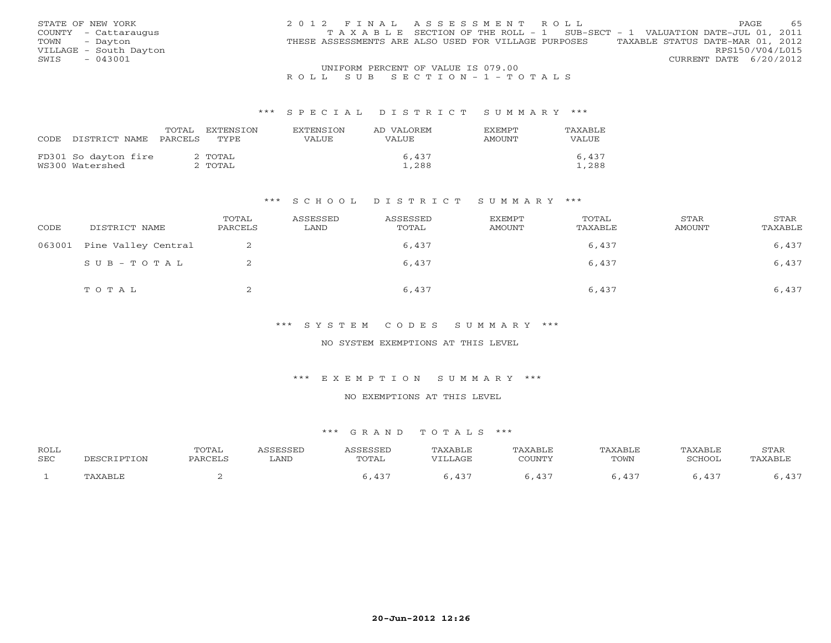| STATE OF NEW YORK      | 2012 FINAL ASSESSMENT ROLL                                                               | 65<br>PAGE             |
|------------------------|------------------------------------------------------------------------------------------|------------------------|
| COUNTY - Cattaraugus   | T A X A B L E SECTION OF THE ROLL - 1 SUB-SECT - 1 VALUATION DATE-JUL 01, 2011           |                        |
| TOWN - Dayton          | TAXABLE STATUS DATE-MAR 01, 2012<br>THESE ASSESSMENTS ARE ALSO USED FOR VILLAGE PURPOSES |                        |
| VILLAGE - South Dayton |                                                                                          | RPS150/V04/L015        |
| $-043001$<br>SWIS      |                                                                                          | CURRENT DATE 6/20/2012 |
|                        | UNIFORM PERCENT OF VALUE IS 079.00                                                       |                        |

## R O L L S U B S E C T I O N - 1 - T O T A L S

#### \*\*\* S P E C I A L D I S T R I C T S U M M A R Y \*\*\*

|      |                      | TOTAL   | EXTENSTON | <b>EXTENSION</b> | AD VALOREM | <b>FXFMPT</b> | TAXABLE      |
|------|----------------------|---------|-----------|------------------|------------|---------------|--------------|
| CODE | DISTRICT NAME        | PARCELS | TYPE.     | VALUE            | VALUE      | AMOUNT        | <b>VALUE</b> |
|      |                      |         |           |                  |            |               |              |
|      | FD301 So dayton fire |         | 2 TOTAL   |                  | 6,437      |               | 6,437        |
|      | WS300 Watershed      |         | 2 ТОТАL   |                  | 1,288      |               | 1,288        |

#### \*\*\* S C H O O L D I S T R I C T S U M M A R Y \*\*\*

| CODE   | DISTRICT NAME       | TOTAL<br>PARCELS | ASSESSED<br>LAND | ASSESSED<br>TOTAL | EXEMPT<br>AMOUNT | TOTAL<br>TAXABLE | <b>STAR</b><br>AMOUNT | STAR<br>TAXABLE |
|--------|---------------------|------------------|------------------|-------------------|------------------|------------------|-----------------------|-----------------|
| 063001 | Pine Valley Central |                  |                  | 6,437             |                  | 6,437            |                       | 6,437           |
|        | SUB-TOTAL           |                  |                  | 6,437             |                  | 6,437            |                       | 6,437           |
|        | тотаь               | ▵                |                  | 6,437             |                  | 6,437            |                       | 6,437           |

\*\*\* S Y S T E M C O D E S S U M M A R Y \*\*\*

NO SYSTEM EXEMPTIONS AT THIS LEVEL

\*\*\* E X E M P T I O N S U M M A R Y \*\*\*

NO EXEMPTIONS AT THIS LEVEL

#### \*\*\* G R A N D T O T A L S \*\*\*

| ROLL |             | TOTAL   | <i><b>\SSESSED</b></i> | ASSESSED | TAXABLE    | TAXABLE | TAXABLE | TAXABLE | STAR    |
|------|-------------|---------|------------------------|----------|------------|---------|---------|---------|---------|
| SEC  | DESCRIPTION | PARCELS | LAND                   | TOTAL    | VILLAGE    | COUNTY  | TOWN    | SCHOOL  | TAXABLE |
|      | TAXABLE     |         |                        |          | $\sqrt{2}$ | $12 -$  | $43^-$  |         | , 77,   |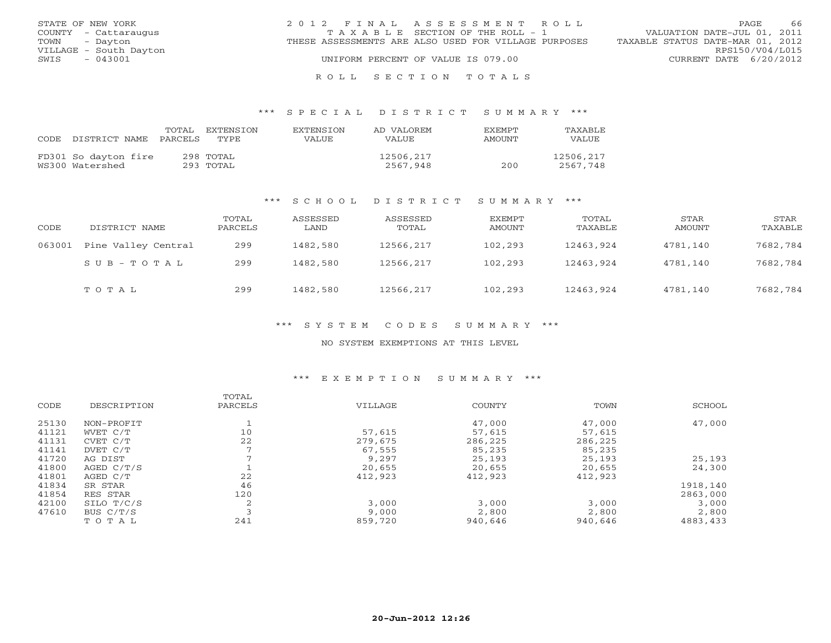| STATE OF NEW YORK      | 2012 FINAL ASSESSMENT ROLL                           | - 66<br><b>PAGE</b>              |
|------------------------|------------------------------------------------------|----------------------------------|
| COUNTY - Cattaraugus   | TAXABLE SECTION OF THE ROLL - 1                      | VALUATION DATE-JUL 01, 2011      |
| TOWN - Dayton          | THESE ASSESSMENTS ARE ALSO USED FOR VILLAGE PURPOSES | TAXABLE STATUS DATE-MAR 01, 2012 |
| VILLAGE - South Dayton |                                                      | RPS150/V04/L015                  |
| - 043001<br>SWIS       | UNIFORM PERCENT OF VALUE IS 079.00                   | CURRENT DATE 6/20/2012           |
|                        |                                                      |                                  |

#### R O L L S E C T I O N T O T A L S

#### \*\*\* S P E C I A L D I S T R I C T S U M M A R Y \*\*\*

| CODE. | DISTRICT NAME                           | TOTAL<br>PARCELS | <b>FXTENSTON</b><br>TYPE. | <b>EXTENSION</b><br>VALUE | AD VALOREM<br>VALUE   | <b>FXFMPT</b><br>AMOUNT | <b>TAXABLE</b><br>VALUE |
|-------|-----------------------------------------|------------------|---------------------------|---------------------------|-----------------------|-------------------------|-------------------------|
|       | FD301 So dayton fire<br>WS300 Watershed |                  | 298 TOTAL<br>293 TOTAL    |                           | 12506,217<br>2567,948 | 200                     | 12506,217<br>2567,748   |

#### \*\*\* S C H O O L D I S T R I C T S U M M A R Y \*\*\*

| CODE   | DISTRICT NAME       | TOTAL<br>PARCELS | ASSESSED<br>LAND | ASSESSED<br>TOTAL | EXEMPT<br>AMOUNT | TOTAL<br>TAXABLE | STAR<br>AMOUNT | STAR<br>TAXABLE |
|--------|---------------------|------------------|------------------|-------------------|------------------|------------------|----------------|-----------------|
| 063001 | Pine Valley Central | 299              | 1482,580         | 12566,217         | 102,293          | 12463,924        | 4781,140       | 7682,784        |
|        | $SUB - TO T AL$     | 299              | 1482,580         | 12566,217         | 102,293          | 12463,924        | 4781,140       | 7682,784        |
|        | TOTAL               | 299              | 1482,580         | 12566,217         | 102,293          | 12463,924        | 4781,140       | 7682,784        |

#### \*\*\* S Y S T E M C O D E S S U M M A R Y \*\*\*

#### NO SYSTEM EXEMPTIONS AT THIS LEVEL

## \*\*\* E X E M P T I O N S U M M A R Y \*\*\*

|       |             | TOTAL   |         |         |         |          |
|-------|-------------|---------|---------|---------|---------|----------|
| CODE  | DESCRIPTION | PARCELS | VILLAGE | COUNTY  | TOWN    | SCHOOL   |
| 25130 | NON-PROFIT  |         |         | 47,000  | 47,000  | 47,000   |
| 41121 | WVET C/T    | 10      | 57,615  | 57,615  | 57,615  |          |
| 41131 | CVET C/T    | 22      | 279,675 | 286,225 | 286,225 |          |
| 41141 | DVET C/T    |         | 67,555  | 85,235  | 85,235  |          |
| 41720 | AG DIST     |         | 9,297   | 25,193  | 25,193  | 25,193   |
| 41800 | AGED C/T/S  |         | 20,655  | 20,655  | 20,655  | 24,300   |
| 41801 | AGED C/T    | 22      | 412,923 | 412,923 | 412,923 |          |
| 41834 | SR STAR     | 46      |         |         |         | 1918,140 |
| 41854 | RES STAR    | 120     |         |         |         | 2863,000 |
| 42100 | SILO T/C/S  |         | 3,000   | 3,000   | 3,000   | 3,000    |
| 47610 | BUS C/T/S   |         | 9,000   | 2,800   | 2,800   | 2,800    |
|       | TOTAL       | 241     | 859,720 | 940,646 | 940,646 | 4883,433 |
|       |             |         |         |         |         |          |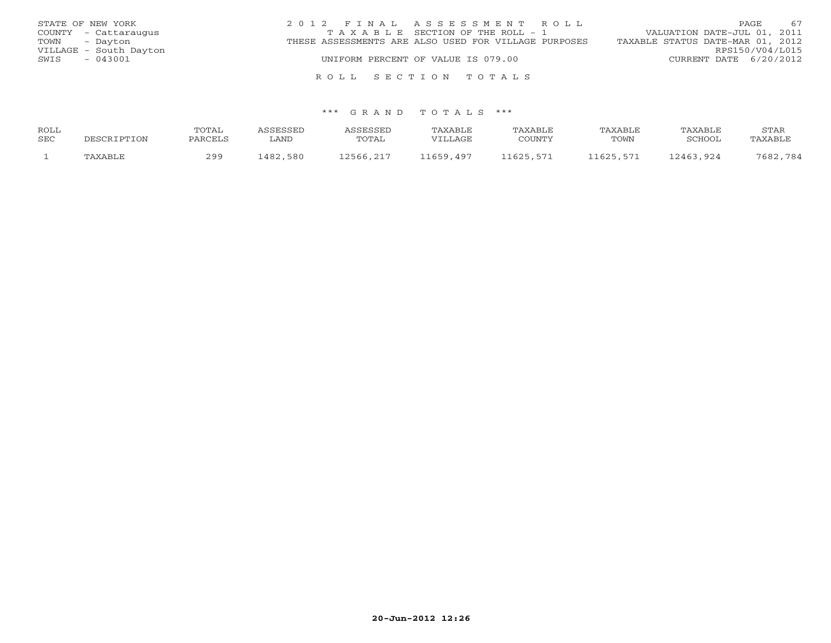| STATE OF NEW YORK      | 2012 FINAL ASSESSMENT ROLL                           | 67<br><b>PAGE</b>                |
|------------------------|------------------------------------------------------|----------------------------------|
| COUNTY - Cattaraugus   | TAXABLE SECTION OF THE ROLL - 1                      | VALUATION DATE-JUL 01, 2011      |
| TOWN - Dayton          | THESE ASSESSMENTS ARE ALSO USED FOR VILLAGE PURPOSES | TAXABLE STATUS DATE-MAR 01, 2012 |
| VILLAGE - South Dayton |                                                      | RPS150/V04/L015                  |
| - 043001<br>SWIS       | UNIFORM PERCENT OF VALUE IS 079.00                   | CURRENT DATE 6/20/2012           |
|                        |                                                      |                                  |

#### \*\*\* G R A N D T O T A L S \*\*\*

R O L L S E C T I O N T O T A L S

| ROLL |             | TOTAL   | ASSESSED | ASSESSED  | TAXABLE   | TAXABLE   | TAXABLE   | TAXABLE       | STAR     |
|------|-------------|---------|----------|-----------|-----------|-----------|-----------|---------------|----------|
| SEC  | DESCRIPTION | PARCELS | ∟AND     | TOTAL     | VILLAGE   | COUNTY    | TOWN      | <b>SCHOOL</b> | TAXABLE  |
|      | TAXABLE     | 299     | 1482,580 | 12566,217 | 11659,497 | 11625,571 | 11625,571 | 12463,924     | 7682,784 |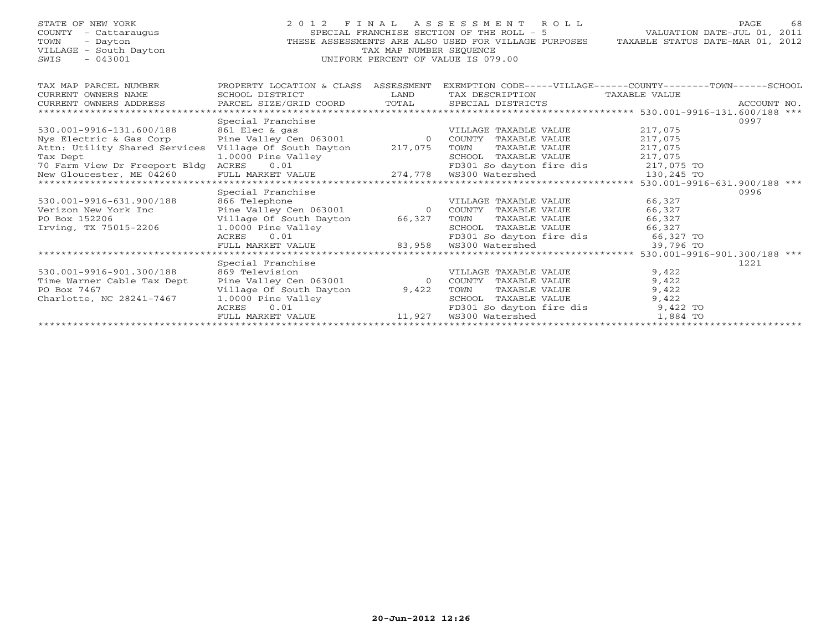| STATE OF NEW YORK<br>COUNTY - Cattaraugus<br>TOWN<br>- Dayton<br>VILLAGE - South Dayton<br>$-043001$<br>SWIS | FINAL ASSESSMENT ROLL<br>2 0 1 2<br>SPECIAL FRANCHISE SECTION OF THE ROLL - 5<br>THESE ASSESSMENTS ARE ALSO USED FOR VILLAGE PURPOSES<br>TAX MAP NUMBER SEOUENCE<br>UNIFORM PERCENT OF VALUE IS 079.00 | PAGE.<br>VALUATION DATE-JUL 01, 2011<br>TAXABLE STATUS DATE-MAR 01, 2012 | 68                                                           |                    |             |
|--------------------------------------------------------------------------------------------------------------|--------------------------------------------------------------------------------------------------------------------------------------------------------------------------------------------------------|--------------------------------------------------------------------------|--------------------------------------------------------------|--------------------|-------------|
| TAX MAP PARCEL NUMBER                                                                                        | PROPERTY LOCATION & CLASS ASSESSMENT                                                                                                                                                                   |                                                                          | EXEMPTION CODE-----VILLAGE------COUNTY-------TOWN-----SCHOOL |                    |             |
| CURRENT OWNERS NAME                                                                                          | SCHOOL DISTRICT                                                                                                                                                                                        | LAND                                                                     | TAX DESCRIPTION                                              | TAXABLE VALUE      |             |
| CURRENT OWNERS ADDRESS                                                                                       | PARCEL SIZE/GRID COORD                                                                                                                                                                                 | TOTAL                                                                    | SPECIAL DISTRICTS                                            |                    | ACCOUNT NO. |
| **************                                                                                               |                                                                                                                                                                                                        |                                                                          |                                                              |                    |             |
|                                                                                                              | Special Franchise                                                                                                                                                                                      |                                                                          |                                                              | 0997               |             |
| 530.001-9916-131.600/188<br>Nys Electric & Gas Corp                                                          | 861 Elec & gas<br>Pine Valley Cen 063001 0                                                                                                                                                             |                                                                          | VILLAGE TAXABLE VALUE<br>COUNTY TAXABLE VALUE                | 217,075<br>217,075 |             |
| Attn: Utility Shared Services                                                                                | Village Of South Dayton 217,075                                                                                                                                                                        |                                                                          | TOWN<br>TAXABLE VALUE                                        | 217,075            |             |
| Tax Dept                                                                                                     | 1.0000 Pine Valley                                                                                                                                                                                     |                                                                          | SCHOOL TAXABLE VALUE                                         | 217,075            |             |
| 70 Farm View Dr Freeport Bldg ACRES                                                                          | 0.01                                                                                                                                                                                                   |                                                                          | FD301 So dayton fire dis 217,075 TO                          |                    |             |
| New Gloucester, ME 04260                                                                                     | FULL MARKET VALUE                                                                                                                                                                                      |                                                                          |                                                              | 130,245 TO         |             |
| *************************                                                                                    |                                                                                                                                                                                                        |                                                                          |                                                              |                    |             |
|                                                                                                              | Special Franchise                                                                                                                                                                                      |                                                                          |                                                              | 0996               |             |
| 530.001-9916-631.900/188                                                                                     | 866 Telephone                                                                                                                                                                                          |                                                                          | VILLAGE TAXABLE VALUE                                        | 66,327             |             |
| Verizon New York Inc                                                                                         | Pine Valley Cen 063001                                                                                                                                                                                 | $\overline{0}$                                                           | COUNTY TAXABLE VALUE                                         | 66,327             |             |
| PO Box 152206                                                                                                | Village Of South Dayton                                                                                                                                                                                | 66,327                                                                   | TAXABLE VALUE<br>TOWN                                        | 66,327             |             |
| Irving, TX 75015-2206                                                                                        | 1.0000 Pine Valley                                                                                                                                                                                     |                                                                          | SCHOOL TAXABLE VALUE                                         | 66,327             |             |
|                                                                                                              | 0.01<br>ACRES                                                                                                                                                                                          |                                                                          | FD301 So dayton fire dis 66,327 TO                           |                    |             |
|                                                                                                              | FULL MARKET VALUE<br>************************                                                                                                                                                          | 83,958                                                                   | WS300 Watershed                                              | 39,796 TO          |             |
|                                                                                                              |                                                                                                                                                                                                        |                                                                          |                                                              |                    |             |
| 530.001-9916-901.300/188                                                                                     | Special Franchise<br>869 Television                                                                                                                                                                    |                                                                          | VILLAGE TAXABLE VALUE                                        | 1221<br>9,422      |             |
| Time Warner Cable Tax Dept                                                                                   | Pine Valley Cen 063001                                                                                                                                                                                 | $\overline{0}$                                                           | COUNTY TAXABLE VALUE                                         | 9,422              |             |
| PO Box 7467                                                                                                  | Village Of South Dayton                                                                                                                                                                                | 9,422                                                                    | TAXABLE VALUE<br>TOWN                                        | 9,422              |             |
| Charlotte, NC 28241-7467                                                                                     | 1.0000 Pine Valley                                                                                                                                                                                     |                                                                          | SCHOOL TAXABLE VALUE                                         | 9,422              |             |
|                                                                                                              | ACRES<br>0.01                                                                                                                                                                                          |                                                                          | FD301 So dayton fire dis                                     | 9,422 TO           |             |
|                                                                                                              | FULL MARKET VALUE                                                                                                                                                                                      | 11,927                                                                   | WS300 Watershed                                              | 1,884 TO           |             |
|                                                                                                              |                                                                                                                                                                                                        |                                                                          |                                                              |                    |             |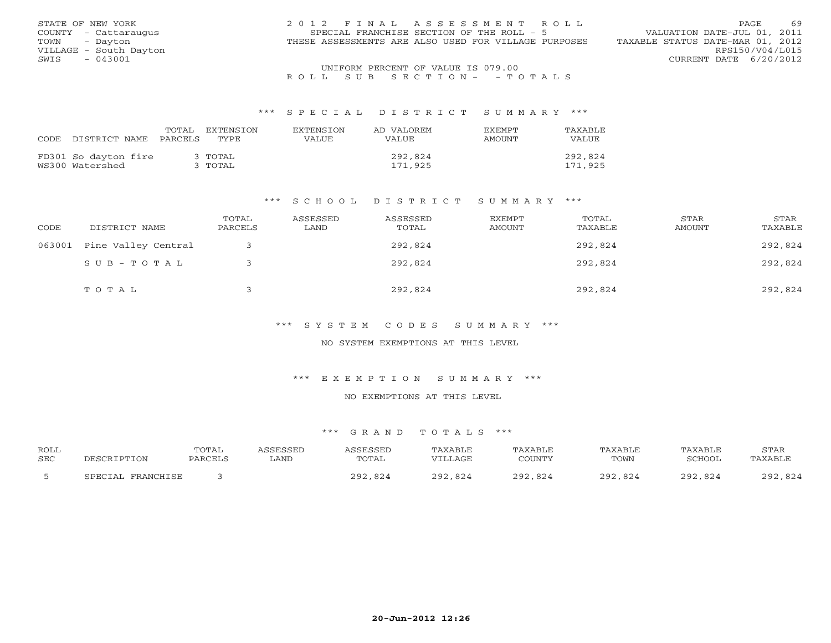| STATE OF NEW YORK      | 2012 FINAL ASSESSMENT ROLL                           | 69<br><b>PAGE</b>                |
|------------------------|------------------------------------------------------|----------------------------------|
| COUNTY - Cattaraugus   | SPECIAL FRANCHISE SECTION OF THE ROLL - 5            | VALUATION DATE-JUL 01, 2011      |
| TOWN<br>- Davton       | THESE ASSESSMENTS ARE ALSO USED FOR VILLAGE PURPOSES | TAXABLE STATUS DATE-MAR 01, 2012 |
| VILLAGE - South Dayton |                                                      | RPS150/V04/L015                  |
| - 043001<br>SWIS       |                                                      | CURRENT DATE 6/20/2012           |
|                        | UNIFORM PERCENT OF VALUE IS 079.00                   |                                  |

# R O L L S U B S E C T I O N - - T O T A L S

#### \*\*\* S P E C I A L D I S T R I C T S U M M A R Y \*\*\*

|      |                      | TOTAL   | EXTENSTON | <b>EXTENSION</b> | AD VALOREM   | <b>FXFMPT</b> | TAXABLE |
|------|----------------------|---------|-----------|------------------|--------------|---------------|---------|
| CODE | DISTRICT NAME        | PARCELS | TYPE.     | VALUE            | <b>VALUE</b> | AMOUNT        | VALUE   |
|      | FD301 So dayton fire |         | 3 TOTAL   |                  | 292,824      |               | 292,824 |
|      | WS300 Watershed      |         | 3 ТОТАL   |                  | 171,925      |               | 171,925 |

#### \*\*\* S C H O O L D I S T R I C T S U M M A R Y \*\*\*

| CODE   | DISTRICT NAME       | TOTAL<br>PARCELS | ASSESSED<br>LAND | ASSESSED<br>TOTAL | <b>EXEMPT</b><br>AMOUNT | TOTAL<br>TAXABLE | STAR<br>AMOUNT | STAR<br>TAXABLE |
|--------|---------------------|------------------|------------------|-------------------|-------------------------|------------------|----------------|-----------------|
| 063001 | Pine Valley Central |                  |                  | 292,824           |                         | 292,824          |                | 292,824         |
|        | $SUB - TO T AL$     |                  |                  | 292,824           |                         | 292,824          |                | 292,824         |
|        | TOTAL               |                  |                  | 292,824           |                         | 292,824          |                | 292,824         |

\*\*\* S Y S T E M C O D E S S U M M A R Y \*\*\*

NO SYSTEM EXEMPTIONS AT THIS LEVEL

\*\*\* E X E M P T I O N S U M M A R Y \*\*\*

NO EXEMPTIONS AT THIS LEVEL

#### \*\*\* G R A N D T O T A L S \*\*\*

| <b>ROLL</b> |        | TOTAL |      |                | $\sim$ $\sim$ $\sim$ |              | $\neg \land$ XAB <sub>L</sub> . | STAR                              |
|-------------|--------|-------|------|----------------|----------------------|--------------|---------------------------------|-----------------------------------|
| SEC         |        |       | LAND | TOTAL          |                      | TOWN         | "CHOOT                          |                                   |
|             | こDFCTA |       |      | $\cap$<br>ר מכ |                      | ר ה ר<br>n n |                                 | $\cap$ $\cap$ $\land$<br>מ מ<br>ັ |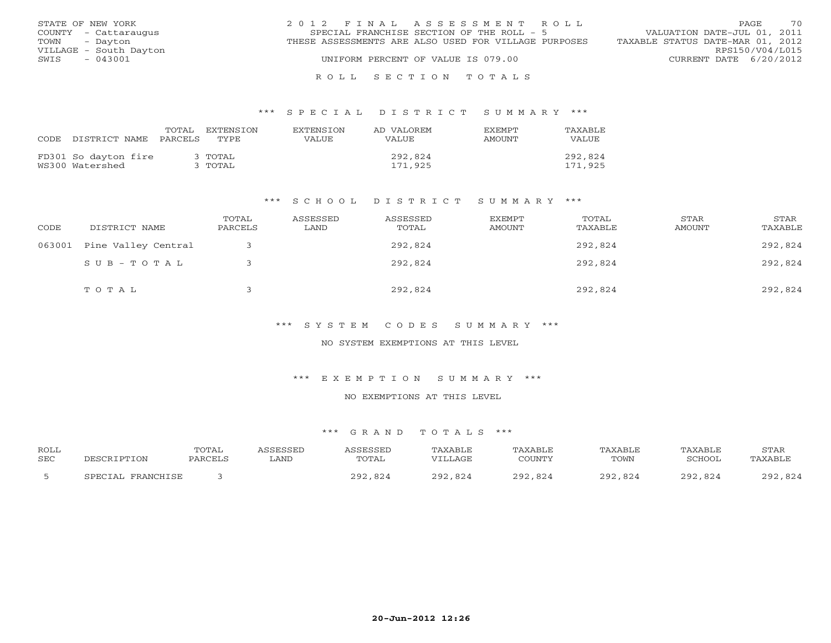| STATE OF NEW YORK      | 2012 FINAL ASSESSMENT ROLL                           | 70<br>PAGE.                      |
|------------------------|------------------------------------------------------|----------------------------------|
| COUNTY - Cattaraugus   | SPECIAL FRANCHISE SECTION OF THE ROLL - 5            | VALUATION DATE-JUL 01, 2011      |
| TOWN<br>- Dayton       | THESE ASSESSMENTS ARE ALSO USED FOR VILLAGE PURPOSES | TAXABLE STATUS DATE-MAR 01, 2012 |
| VILLAGE - South Dayton |                                                      | RPS150/V04/L015                  |
| $-043001$<br>SWIS      | UNIFORM PERCENT OF VALUE IS 079.00                   | CURRENT DATE 6/20/2012           |
|                        |                                                      |                                  |

## R O L L S E C T I O N T O T A L S

#### \*\*\* S P E C I A L D I S T R I C T S U M M A R Y \*\*\*

| CODE | DISTRICT NAME                           | TOTAL<br>PARCELS | EXTENSTON<br>TYPE   | <b>EXTENSION</b><br>VALUE | AD VALOREM<br>VALUE. | <b>EXEMPT</b><br><b>AMOUNT</b> | TAXABLE<br><b>VALUE</b> |
|------|-----------------------------------------|------------------|---------------------|---------------------------|----------------------|--------------------------------|-------------------------|
|      | FD301 So dayton fire<br>WS300 Watershed |                  | З ТОТАІ.<br>` ТОТАL |                           | 292,824<br>171,925   |                                | 292,824<br>171,925      |

#### \*\*\* S C H O O L D I S T R I C T S U M M A R Y \*\*\*

| CODE   | DISTRICT NAME       | TOTAL<br>PARCELS | ASSESSED<br>LAND | ASSESSED<br>TOTAL | EXEMPT<br>AMOUNT | TOTAL<br>TAXABLE | STAR<br>AMOUNT | STAR<br>TAXABLE |
|--------|---------------------|------------------|------------------|-------------------|------------------|------------------|----------------|-----------------|
| 063001 | Pine Valley Central |                  |                  | 292,824           |                  | 292,824          |                | 292,824         |
|        | $SUB - TO TAL$      |                  |                  | 292,824           |                  | 292,824          |                | 292,824         |
|        | TOTAL               |                  |                  | 292,824           |                  | 292,824          |                | 292,824         |

\*\*\* S Y S T E M C O D E S S U M M A R Y \*\*\*

NO SYSTEM EXEMPTIONS AT THIS LEVEL

\*\*\* E X E M P T I O N S U M M A R Y \*\*\*

NO EXEMPTIONS AT THIS LEVEL

#### \*\*\* G R A N D T O T A L S \*\*\*

| <b>ROLL</b> |        | TOTAL |       |           |                                |        |      |      | STAR                         |
|-------------|--------|-------|-------|-----------|--------------------------------|--------|------|------|------------------------------|
| SEC         |        |       | . AND | 'TAL      | $\lambda$ $\cap$ $\tau$<br>ATH | COUNTY | TOWN | ™∩∩T | $\cdots$ $\sqrt{Y} \wedge P$ |
|             | ごりロウェー |       |       | റി<br>מ ה |                                | n '    | ດດາ  |      | י הי                         |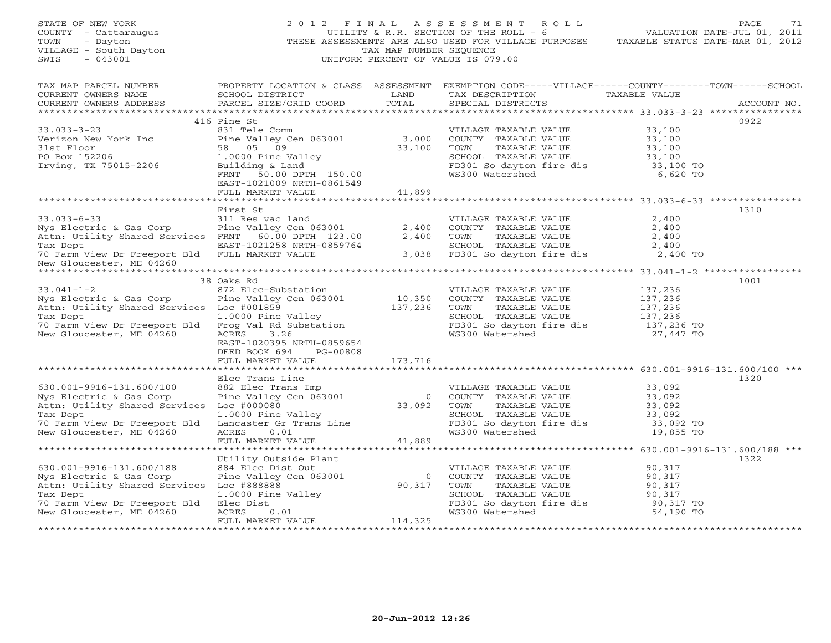| STATE OF NEW YORK<br>COUNTY - Cattaraugus<br>- Dayton<br>TOWN<br>VILLAGE - South Dayton<br>$-043001$<br>SWIS |                                           | TAX MAP NUMBER SEQUENCE                               | 2012 FINAL ASSESSMENT ROLL<br>UTILITY & R.R. SECTION OF THE ROLL - 6<br>THESE ASSESSMENTS ARE ALSO USED FOR VILLAGE PURPOSES<br>UNIFORM PERCENT OF VALUE IS 079.00 | TAXABLE STATUS DATE-MAR 01, 2012 | PAGE<br>71<br>VALUATION DATE-JUL 01, 2011 |
|--------------------------------------------------------------------------------------------------------------|-------------------------------------------|-------------------------------------------------------|--------------------------------------------------------------------------------------------------------------------------------------------------------------------|----------------------------------|-------------------------------------------|
| TAX MAP PARCEL NUMBER<br>CURRENT OWNERS NAME<br>CURRENT OWNERS ADDRESS                                       | SCHOOL DISTRICT<br>PARCEL SIZE/GRID COORD | LAND<br>TOTAL                                         | PROPERTY LOCATION & CLASS ASSESSMENT EXEMPTION CODE-----VILLAGE------COUNTY-------TOWN------SCHOOL<br>TAX DESCRIPTION<br>SPECIAL DISTRICTS                         | TAXABLE VALUE                    | ACCOUNT NO.                               |
|                                                                                                              |                                           |                                                       |                                                                                                                                                                    |                                  |                                           |
| $33.033 - 3 - 23$                                                                                            | 416 Pine St<br>831 Tele Comm              |                                                       | VILLAGE TAXABLE VALUE                                                                                                                                              | 33,100                           | 0922                                      |
| Verizon New York Inc                                                                                         | Pine Valley Cen 063001                    | 3,000                                                 | COUNTY TAXABLE VALUE                                                                                                                                               | 33,100                           |                                           |
| 31st Floor                                                                                                   | 58 05 09                                  | 33,100                                                | TOWN<br>TAXABLE VALUE                                                                                                                                              | 33,100                           |                                           |
| PO Box 152206                                                                                                | 1.0000 Pine Valley                        |                                                       | SCHOOL TAXABLE VALUE                                                                                                                                               | 33,100                           |                                           |
| Irving, TX 75015-2206                                                                                        | Building & Land                           |                                                       | FD301 So dayton fire dis<br>WS300 Watershed                                                                                                                        | 33,100 TO                        |                                           |
|                                                                                                              | FRNT 50.00 DPTH 150.00                    |                                                       |                                                                                                                                                                    | 6,620 TO                         |                                           |
|                                                                                                              | EAST-1021009 NRTH-0861549                 |                                                       |                                                                                                                                                                    |                                  |                                           |
|                                                                                                              | FULL MARKET VALUE                         | 41,899                                                |                                                                                                                                                                    |                                  |                                           |
|                                                                                                              | First St                                  |                                                       |                                                                                                                                                                    |                                  | 1310                                      |
| $33.033 - 6 - 33$                                                                                            | 311 Res vac land                          |                                                       | VILLAGE TAXABLE VALUE                                                                                                                                              | 2,400                            |                                           |
| Nys Electric & Gas Corp                                                                                      | Pine Valley Cen 063001                    | 2,400                                                 | COUNTY TAXABLE VALUE                                                                                                                                               | 2,400                            |                                           |
| Attn: Utility Shared Services FRNT 60.00 DPTH 123.00                                                         |                                           | 2,400                                                 | TOWN<br>TAXABLE VALUE                                                                                                                                              | 2,400                            |                                           |
| Tax Dept                                                                                                     | EAST-1021258 NRTH-0859764                 |                                                       | SCHOOL TAXABLE VALUE                                                                                                                                               | 2,400                            |                                           |
| 70 Farm View Dr Freeport Bld FULL MARKET VALUE<br>New Gloucester, ME 04260                                   |                                           |                                                       | 3,038 FD301 So dayton fire dis                                                                                                                                     | 2,400 TO                         |                                           |
|                                                                                                              |                                           |                                                       |                                                                                                                                                                    |                                  |                                           |
| $33.041 - 1 - 2$                                                                                             | 38 Oaks Rd<br>872 Elec-Substation         |                                                       | VILLAGE TAXABLE VALUE                                                                                                                                              | 137,236                          | 1001                                      |
| Nys Electric & Gas Corp                                                                                      | Pine Valley Cen 063001                    | 10,350                                                | COUNTY TAXABLE VALUE                                                                                                                                               | 137,236                          |                                           |
| Attn: Utility Shared Services Loc #001859                                                                    |                                           | 137,236                                               | TOWN<br>TAXABLE VALUE                                                                                                                                              | 137,236                          |                                           |
| Tax Dept                                                                                                     | 1.0000 Pine Valley                        |                                                       | SCHOOL TAXABLE VALUE                                                                                                                                               | 137,236                          |                                           |
| 70 Farm View Dr Freeport Bld                                                                                 | Frog Val Rd Substation                    |                                                       | FD301 So dayton fire dis                                                                                                                                           | 137,236 TO                       |                                           |
| New Gloucester, ME 04260                                                                                     | ACRES<br>3.26                             |                                                       | WS300 Watershed                                                                                                                                                    | 27,447 TO                        |                                           |
|                                                                                                              | EAST-1020395 NRTH-0859654                 |                                                       |                                                                                                                                                                    |                                  |                                           |
|                                                                                                              | DEED BOOK 694<br>PG-00808                 |                                                       |                                                                                                                                                                    |                                  |                                           |
|                                                                                                              | FULL MARKET VALUE                         | 173,716                                               |                                                                                                                                                                    |                                  |                                           |
|                                                                                                              | Elec Trans Line                           |                                                       |                                                                                                                                                                    |                                  | 1320                                      |
| 630.001-9916-131.600/100                                                                                     | 882 Elec Trans Imp                        |                                                       | VILLAGE TAXABLE VALUE                                                                                                                                              | 33,092                           |                                           |
| Nys Electric & Gas Corp                                                                                      | Pine Valley Cen 063001                    | $\overline{0}$                                        | COUNTY TAXABLE VALUE                                                                                                                                               | 33,092                           |                                           |
| Attn: Utility Shared Services                                                                                | Loc #000080                               | $\begin{smallmatrix}&&&0\0&3&3&,092\end{smallmatrix}$ | TOWN<br>TAXABLE VALUE                                                                                                                                              | 33,092                           |                                           |
| Tax Dept                                                                                                     | 1.0000 Pine Valley                        |                                                       | SCHOOL TAXABLE VALUE                                                                                                                                               | 33,092                           |                                           |
| 70 Farm View Dr Freeport Bld                                                                                 | Lancaster Gr Trans Line                   |                                                       | FD301 So dayton fire dis                                                                                                                                           | 33,092 TO                        |                                           |
| New Gloucester, ME 04260                                                                                     | <b>ACRES</b><br>0.01<br>FULL MARKET VALUE | 41,889                                                | WS300 Watershed                                                                                                                                                    | 19,855 TO                        |                                           |
| ****************************                                                                                 |                                           |                                                       |                                                                                                                                                                    |                                  |                                           |
|                                                                                                              | Utility Outside Plant                     |                                                       |                                                                                                                                                                    |                                  | 1322                                      |
| 630.001-9916-131.600/188                                                                                     | 884 Elec Dist Out                         |                                                       | VILLAGE TAXABLE VALUE                                                                                                                                              | 90,317                           |                                           |
| Nys Electric & Gas Corp                                                                                      | Pine Valley Cen 063001                    | $\circ$                                               | COUNTY TAXABLE VALUE                                                                                                                                               | 90,317                           |                                           |
| Attn: Utility Shared Services                                                                                | Loc #888888                               | 90,317                                                | TOWN<br>TAXABLE VALUE                                                                                                                                              | 90,317                           |                                           |
| Tax Dept                                                                                                     | 1.0000 Pine Valley                        |                                                       | SCHOOL TAXABLE VALUE                                                                                                                                               | 90,317                           |                                           |
| 70 Farm View Dr Freeport Bld                                                                                 | Elec Dist                                 |                                                       | FD301 So dayton fire dis                                                                                                                                           | 90,317 TO                        |                                           |
| New Gloucester, ME 04260                                                                                     | ACRES<br>0.01                             |                                                       | WS300 Watershed                                                                                                                                                    | 54,190 TO                        |                                           |
|                                                                                                              | FULL MARKET VALUE                         | 114,325                                               |                                                                                                                                                                    |                                  |                                           |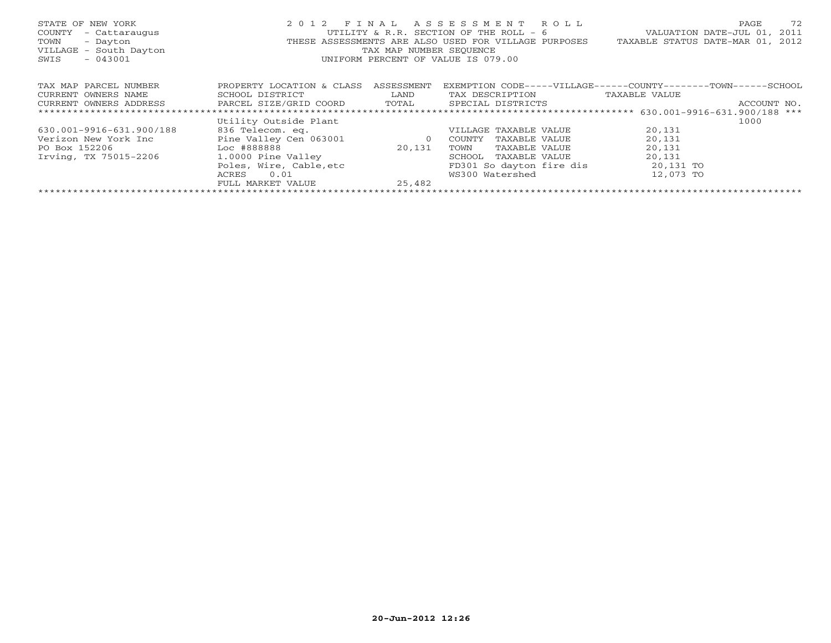| STATE OF NEW YORK<br>COUNTY<br>- Cattaraugus<br>TOWN<br>- Dayton<br>VILLAGE - South Dayton<br>$-043001$<br>SWIS |                           | TAX MAP NUMBER SEOUENCE              | 2012 FINAL ASSESSMENT ROLL<br>UTILITY & R.R. SECTION OF THE ROLL - 6<br>UNIFORM PERCENT OF VALUE IS 079.00 | PAGE<br>72<br>VALUATION DATE-JUL 01, 2011<br>THESE ASSESSMENTS ARE ALSO USED FOR VILLAGE PURPOSES TAXABLE STATUS DATE-MAR 01, 2012 |  |  |
|-----------------------------------------------------------------------------------------------------------------|---------------------------|--------------------------------------|------------------------------------------------------------------------------------------------------------|------------------------------------------------------------------------------------------------------------------------------------|--|--|
| TAX MAP PARCEL NUMBER                                                                                           | PROPERTY LOCATION & CLASS | ASSESSMENT                           |                                                                                                            | EXEMPTION CODE-----VILLAGE------COUNTY--------TOWN------SCHOOL                                                                     |  |  |
| CURRENT OWNERS NAME                                                                                             | SCHOOL DISTRICT           | <b>EXAMPLE DESCRIPTION OF A LAND</b> | TAX DESCRIPTION                                                                                            | TAXABLE VALUE                                                                                                                      |  |  |
| CURRENT OWNERS ADDRESS                                                                                          |                           |                                      | PARCEL SIZE/GRID COORD TOTAL SPECIAL DISTRICTS                                                             | ACCOUNT NO.                                                                                                                        |  |  |
|                                                                                                                 |                           |                                      |                                                                                                            |                                                                                                                                    |  |  |
|                                                                                                                 | Utility Outside Plant     |                                      |                                                                                                            | 1000                                                                                                                               |  |  |
| 630.001-9916-631.900/188                                                                                        | 836 Telecom. eq.          |                                      | VILLAGE TAXABLE VALUE                                                                                      | 20,131                                                                                                                             |  |  |
| Verizon New York Inc                                                                                            | Pine Valley Cen 063001    | $\overline{0}$                       | COUNTY<br>TAXABLE VALUE                                                                                    | 20,131                                                                                                                             |  |  |
| PO Box 152206                                                                                                   | $Loc$ #888888             | 20,131                               | TOWN<br>TAXABLE VALUE                                                                                      | 20,131                                                                                                                             |  |  |
| Irving, TX 75015-2206                                                                                           | 1.0000 Pine Valley        |                                      | SCHOOL<br>TAXABLE VALUE                                                                                    | 20,131                                                                                                                             |  |  |
|                                                                                                                 | Poles, Wire, Cable, etc   |                                      | FD301 So dayton fire dis                                                                                   | 20,131 TO                                                                                                                          |  |  |
|                                                                                                                 | 0.01<br>ACRES             |                                      | WS300 Watershed                                                                                            | 12,073 TO                                                                                                                          |  |  |
|                                                                                                                 | FULL MARKET VALUE         | 25,482                               |                                                                                                            |                                                                                                                                    |  |  |
|                                                                                                                 |                           |                                      |                                                                                                            |                                                                                                                                    |  |  |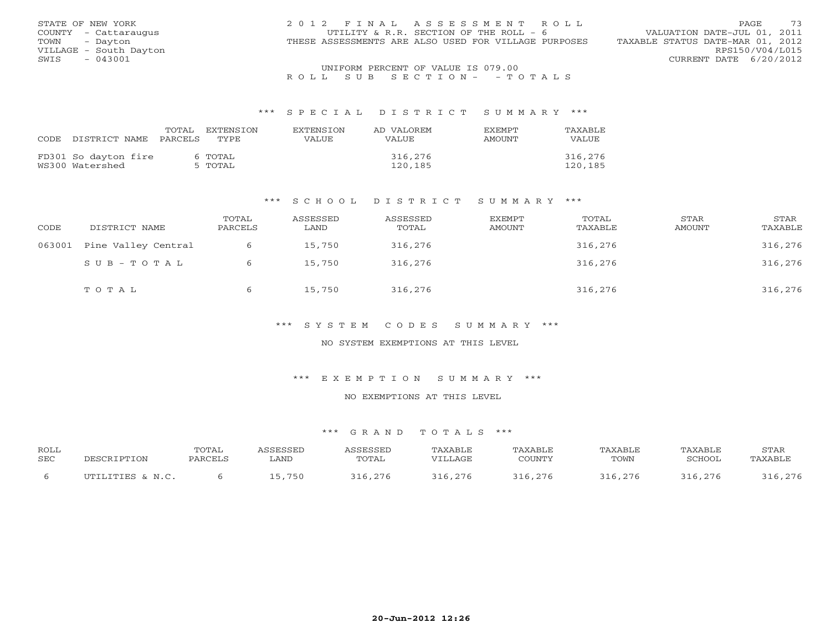| STATE OF NEW YORK      | 2012 FINAL ASSESSMENT ROLL                           | 73<br>PAGE.                      |
|------------------------|------------------------------------------------------|----------------------------------|
| COUNTY - Cattaraugus   | UTILITY & R.R. SECTION OF THE ROLL - 6               | VALUATION DATE-JUL 01, 2011      |
| TOWN<br>- Dayton       | THESE ASSESSMENTS ARE ALSO USED FOR VILLAGE PURPOSES | TAXABLE STATUS DATE-MAR 01, 2012 |
| VILLAGE - South Dayton |                                                      | RPS150/V04/L015                  |
| $-043001$<br>SWIS      |                                                      | CURRENT DATE 6/20/2012           |
|                        | UNIFORM PERCENT OF VALUE IS 079.00                   |                                  |

### R O L L S U B S E C T I O N - - T O T A L S

#### \*\*\* S P E C I A L D I S T R I C T S U M M A R Y \*\*\*

| CODE. | DISTRICT NAME                           | TOTAL<br>PARCELS | EXTENSTON<br>TYPE. | <b>EXTENSION</b><br>VALUE. | AD VALOREM<br>VALUE. | <b>EXEMPT</b><br>AMOUNT | TAXABLE<br>VALUE   |
|-------|-----------------------------------------|------------------|--------------------|----------------------------|----------------------|-------------------------|--------------------|
|       | FD301 So dayton fire<br>WS300 Watershed |                  | 6 TOTAL<br>5 TOTAL |                            | 316,276<br>120,185   |                         | 316,276<br>120,185 |

#### \*\*\* S C H O O L D I S T R I C T S U M M A R Y \*\*\*

| CODE   | DISTRICT NAME       | TOTAL<br>PARCELS | ASSESSED<br>LAND | ASSESSED<br>TOTAL | EXEMPT<br>AMOUNT | TOTAL<br>TAXABLE | STAR<br><b>AMOUNT</b> | STAR<br>TAXABLE |
|--------|---------------------|------------------|------------------|-------------------|------------------|------------------|-----------------------|-----------------|
| 063001 | Pine Valley Central |                  | 15,750           | 316,276           |                  | 316,276          |                       | 316,276         |
|        | SUB-TOTAL           |                  | 15,750           | 316,276           |                  | 316,276          |                       | 316,276         |
|        | TOTAL               |                  | 15,750           | 316,276           |                  | 316,276          |                       | 316,276         |

\*\*\* S Y S T E M C O D E S S U M M A R Y \*\*\*

NO SYSTEM EXEMPTIONS AT THIS LEVEL

\*\*\* E X E M P T I O N S U M M A R Y \*\*\*

NO EXEMPTIONS AT THIS LEVEL

#### \*\*\* G R A N D T O T A L S \*\*\*

| ROLL |                  | <b>TOTAL</b> |        | <b>ASSESSET</b> | <b>TAXABLE</b> | "AXABLE | <b>TAXABLE</b> | TAXABLE       | STAR    |
|------|------------------|--------------|--------|-----------------|----------------|---------|----------------|---------------|---------|
| SEC  | DESCRIPTION      | PARCELS      | LAND   | TOTAL           | VILLAGE        | COUNTY  | TOWN           | <b>SCHOOL</b> | TAXABLE |
|      | UTILITIES & N.C. |              | 15,750 | 316 276         | 316,276        |         | 316.276        | 316,276       | 316,276 |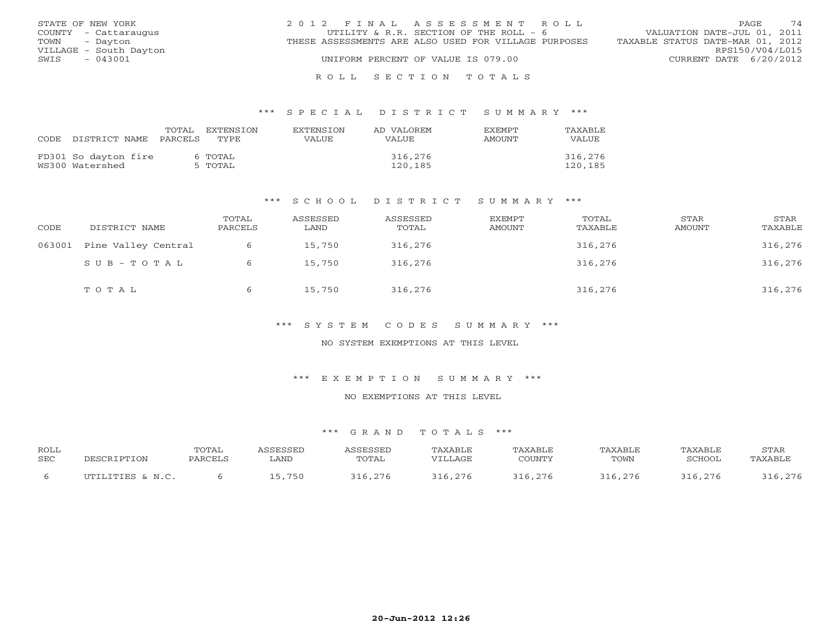| STATE OF NEW YORK      | 2012 FINAL ASSESSMENT ROLL                           | 74<br>PAGE.                      |
|------------------------|------------------------------------------------------|----------------------------------|
| COUNTY - Cattaraugus   | UTILITY & R.R. SECTION OF THE ROLL - 6               | VALUATION DATE-JUL 01, 2011      |
| TOWN<br>- Davton       | THESE ASSESSMENTS ARE ALSO USED FOR VILLAGE PURPOSES | TAXABLE STATUS DATE-MAR 01, 2012 |
| VILLAGE - South Dayton |                                                      | RPS150/V04/L015                  |
| SWIS<br>- 043001       | UNIFORM PERCENT OF VALUE IS 079.00                   | CURRENT DATE 6/20/2012           |
|                        |                                                      |                                  |

### R O L L S E C T I O N T O T A L S

#### \*\*\* S P E C I A L D I S T R I C T S U M M A R Y \*\*\*

| CODE. | DISTRICT NAME                           | TOTAL<br>PARCELS | EXTENSTON<br>TYPE. | <b>EXTENSION</b><br>VALUE | AD VALOREM<br>VALUE | <b>FXFMPT</b><br>AMOUNT | TAXABLE<br>VALUE   |
|-------|-----------------------------------------|------------------|--------------------|---------------------------|---------------------|-------------------------|--------------------|
|       | FD301 So dayton fire<br>WS300 Watershed |                  | 6 TOTAL<br>5 TOTAL |                           | 316,276<br>120,185  |                         | 316,276<br>120,185 |

#### \*\*\* S C H O O L D I S T R I C T S U M M A R Y \*\*\*

| CODE   | DISTRICT NAME       | TOTAL<br>PARCELS | ASSESSED<br>LAND | ASSESSED<br>TOTAL | <b>EXEMPT</b><br>AMOUNT | TOTAL<br>TAXABLE | STAR<br>AMOUNT | STAR<br>TAXABLE |
|--------|---------------------|------------------|------------------|-------------------|-------------------------|------------------|----------------|-----------------|
| 063001 | Pine Valley Central | 6                | 15,750           | 316,276           |                         | 316,276          |                | 316,276         |
|        | SUB-TOTAL           |                  | 15,750           | 316,276           |                         | 316,276          |                | 316,276         |
|        | TOTAL               |                  | 15,750           | 316,276           |                         | 316,276          |                | 316,276         |

\*\*\* S Y S T E M C O D E S S U M M A R Y \*\*\*

NO SYSTEM EXEMPTIONS AT THIS LEVEL

\*\*\* E X E M P T I O N S U M M A R Y \*\*\*

NO EXEMPTIONS AT THIS LEVEL

#### \*\*\* G R A N D T O T A L S \*\*\*

| ROLL |                  | <b>TOTAL</b> |        | <b><i><u>\SSESSED</u></i></b> | TAXABLE  | <b>TAXABLE</b> | TAXABLE | TAXABLE | STAR    |
|------|------------------|--------------|--------|-------------------------------|----------|----------------|---------|---------|---------|
| SEC  | DESCRIPTION      | PARCELS      | ∟AND   | TOTAL                         | VILLAGE. | COUNTY         | TOWN    | SCHOOL  | TAXABLE |
|      | UTILITIES & N.C. |              | 15,750 | 316,276                       | 316,276  | 316,276        | 316.276 | 316,276 | 316,276 |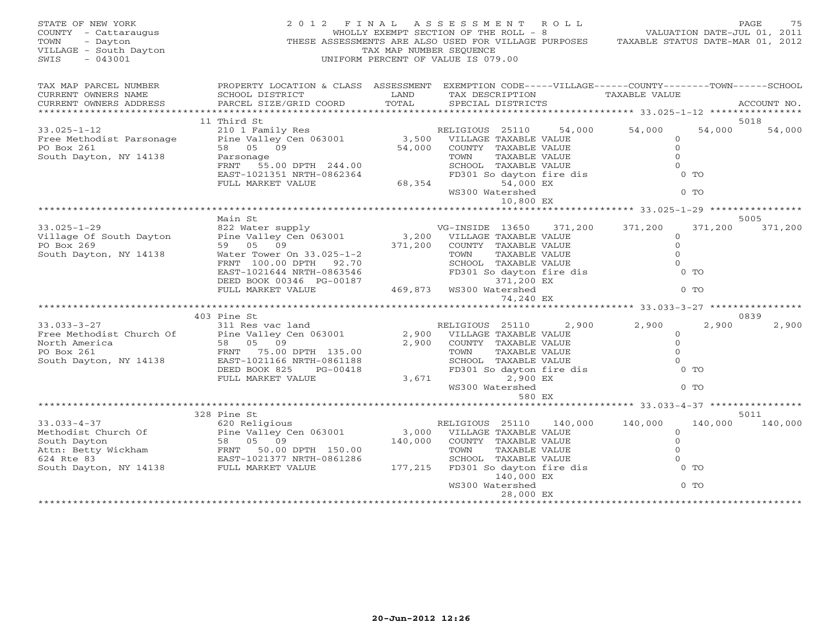| STATE OF NEW YORK<br>COUNTY - Cattaraugus<br>TOWN<br>- Dayton<br>VILLAGE - South Dayton<br>$-043001$<br>SWIS            | 2012 FINAL                                                                                                                                                                                       | TAX MAP NUMBER SEOUENCE | ASSESSMENT ROLL<br>WHOLLY EXEMPT SECTION OF THE ROLL - 8<br>THESE ASSESSMENTS ARE ALSO USED FOR VILLAGE PURPOSES TAXABLE STATUS DATE-MAR 01, 2012<br>UNIFORM PERCENT OF VALUE IS 079.00 |         | VALUATION DATE-JUL 01, 2011                 |         | PAGE<br>75  |
|-------------------------------------------------------------------------------------------------------------------------|--------------------------------------------------------------------------------------------------------------------------------------------------------------------------------------------------|-------------------------|-----------------------------------------------------------------------------------------------------------------------------------------------------------------------------------------|---------|---------------------------------------------|---------|-------------|
| TAX MAP PARCEL NUMBER<br>CURRENT OWNERS NAME<br>CURRENT OWNERS ADDRESS                                                  | PROPERTY LOCATION & CLASS ASSESSMENT EXEMPTION CODE-----VILLAGE------COUNTY-------TOWN------SCHOOL<br>SCHOOL DISTRICT<br>PARCEL SIZE/GRID COORD                                                  | LAND<br>TOTAL           | TAX DESCRIPTION TAXABLE VALUE<br>SPECIAL DISTRICTS                                                                                                                                      |         |                                             |         | ACCOUNT NO. |
|                                                                                                                         | 11 Third St                                                                                                                                                                                      |                         |                                                                                                                                                                                         |         |                                             |         | 5018        |
| $33.025 - 1 - 12$                                                                                                       | 210 1 Family Res                                                                                                                                                                                 |                         | RELIGIOUS 25110                                                                                                                                                                         | 54,000  | 54,000                                      | 54,000  | 54,000      |
| Free Methodist Parsonage<br>PO Box 261<br>South Dayton, NY 14138                                                        | Pine Valley Cen 063001 3,500 VILLAGE TAXABLE VALUE<br>58 05 09 54,000 VILLAGE TAXABLE VALUE<br>Parsonage TOWN TAXARI.F VALUE<br>Parsonage<br>FRNT 55.00 DPTH 244.00<br>EAST-1021351 NRTH-0862364 |                         | SCHOOL TAXABLE VALUE<br>FD301 So dayton fire dis                                                                                                                                        |         | $\Omega$<br>$\circ$<br>$\Omega$<br>$\Omega$ | $0$ TO  |             |
|                                                                                                                         | FULL MARKET VALUE                                                                                                                                                                                | $FD30$<br>68,354        | 54,000 EX<br>WS300 Watershed<br>10,800 EX                                                                                                                                               |         |                                             | $0$ TO  |             |
|                                                                                                                         |                                                                                                                                                                                                  |                         |                                                                                                                                                                                         |         |                                             |         |             |
|                                                                                                                         | Main St                                                                                                                                                                                          |                         |                                                                                                                                                                                         |         |                                             |         | 5005        |
| $33.025 - 1 - 29$                                                                                                       | 822 Water supply                                                                                                                                                                                 |                         | VG-INSIDE 13650                                                                                                                                                                         | 371,200 | 371,200                                     | 371,200 | 371,200     |
| Village Of South Dayton<br>PO Box 269                                                                                   | Pine Valley Cen 063001<br>59 05 09                                                                                                                                                               | 371,200                 | 3,200 VILLAGE TAXABLE VALUE<br>COUNTY TAXABLE VALUE                                                                                                                                     |         | $\circ$<br>$\circ$                          |         |             |
| South Dayton, NY 14138                                                                                                  |                                                                                                                                                                                                  |                         | TAXABLE VALUE<br>TOWN                                                                                                                                                                   |         | $\Omega$                                    |         |             |
|                                                                                                                         | water Tower On 33.025-1-2<br>FRNT 100.00 DPTH 92.70                                                                                                                                              |                         | SCHOOL TAXABLE VALUE                                                                                                                                                                    |         | $\Omega$                                    |         |             |
|                                                                                                                         | EAST-1021644 NRTH-0863546                                                                                                                                                                        |                         | FD301 So dayton fire dis                                                                                                                                                                |         |                                             | $0$ TO  |             |
|                                                                                                                         | DEED BOOK 00346 PG-00187                                                                                                                                                                         |                         | 371,200 EX                                                                                                                                                                              |         |                                             |         |             |
|                                                                                                                         | FULL MARKET VALUE                                                                                                                                                                                |                         | 469,873 WS300 Watershed<br>74,240 EX                                                                                                                                                    |         |                                             | $0$ TO  |             |
|                                                                                                                         |                                                                                                                                                                                                  |                         |                                                                                                                                                                                         |         |                                             |         |             |
|                                                                                                                         | 403 Pine St                                                                                                                                                                                      |                         |                                                                                                                                                                                         |         |                                             |         | 0839        |
| $33.033 - 3 - 27$                                                                                                       | 311 Res vac land                                                                                                                                                                                 |                         | RELIGIOUS 25110                                                                                                                                                                         | 2,900   | 2,900                                       | 2,900   | 2,900       |
| Free Methodist Church Of                                                                                                | Pine Valley Cen 063001                                                                                                                                                                           | 2,900                   | VILLAGE TAXABLE VALUE                                                                                                                                                                   |         | $\circ$                                     |         |             |
| North America                                                                                                           | 58 05 09                                                                                                                                                                                         | 2,900                   | COUNTY TAXABLE VALUE                                                                                                                                                                    |         | $\overline{0}$<br>$\Omega$                  |         |             |
| PO Box 261<br>South Dayton, NY 14138                                                                                    | FRNT 75.00 DPTH 135.00<br>EAST-1021166 NRTH-0861188                                                                                                                                              |                         | TAXABLE VALUE<br>TOWN<br>SCHOOL TAXABLE VALUE                                                                                                                                           |         | $\Omega$                                    |         |             |
|                                                                                                                         | DEED BOOK 825<br>PG-00418                                                                                                                                                                        |                         | FD301 So dayton fire dis                                                                                                                                                                |         |                                             | $0$ TO  |             |
|                                                                                                                         | FULL MARKET VALUE                                                                                                                                                                                | 3,671                   | 2,900 EX                                                                                                                                                                                |         |                                             |         |             |
|                                                                                                                         |                                                                                                                                                                                                  |                         | WS300 Watershed                                                                                                                                                                         |         |                                             | $0$ TO  |             |
|                                                                                                                         |                                                                                                                                                                                                  |                         |                                                                                                                                                                                         | 580 EX  |                                             |         |             |
|                                                                                                                         |                                                                                                                                                                                                  |                         |                                                                                                                                                                                         |         |                                             |         |             |
|                                                                                                                         | 328 Pine St                                                                                                                                                                                      |                         |                                                                                                                                                                                         |         |                                             |         | 5011        |
| $33.033 - 4 - 37$                                                                                                       | 620 Religious                                                                                                                                                                                    |                         | RELIGIOUS 25110 140,000                                                                                                                                                                 |         | 140,000                                     | 140,000 | 140,000     |
|                                                                                                                         |                                                                                                                                                                                                  | 3,000                   | VILLAGE TAXABLE VALUE                                                                                                                                                                   |         | $\overline{O}$                              |         |             |
|                                                                                                                         |                                                                                                                                                                                                  | 140,000                 | COUNTY TAXABLE VALUE<br>TAXABLE VALUE<br>TOWN                                                                                                                                           |         | $\overline{0}$<br>$\Omega$                  |         |             |
|                                                                                                                         |                                                                                                                                                                                                  |                         |                                                                                                                                                                                         |         | $\Omega$                                    |         |             |
| Methodist Church Of<br>South Dayton<br>Attn: Betty Wickham<br>624 Rte 83<br>South Dayton, NY 14138<br>FULL MARKET VALUE |                                                                                                                                                                                                  | 177,215                 | SCHOOL TAXABLE VALUE<br>FD301 So dayton fire dis                                                                                                                                        |         |                                             | $0$ TO  |             |
|                                                                                                                         |                                                                                                                                                                                                  |                         | 140,000 EX                                                                                                                                                                              |         |                                             |         |             |
|                                                                                                                         |                                                                                                                                                                                                  |                         | WS300 Watershed<br>28,000 EX                                                                                                                                                            |         |                                             | $0$ TO  |             |
|                                                                                                                         |                                                                                                                                                                                                  |                         |                                                                                                                                                                                         |         | **********************************          |         |             |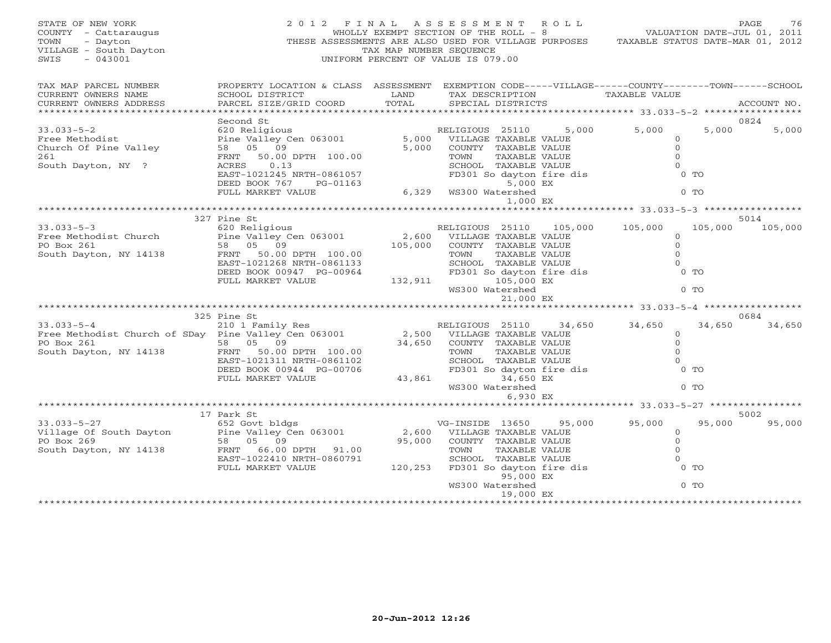| STATE OF NEW YORK<br>COUNTY - Cattaraugus<br>TOWN<br>- Dayton<br>VILLAGE - South Dayton<br>$-043001$<br>SWIS |                                                                                                                                                                                       | TAX MAP NUMBER SEQUENCE | 2012 FINAL ASSESSMENT ROLL<br>WHOLLY EXEMPT SECTION OF THE ROLL - 8<br>THESE ASSESSMENTS ARE ALSO USED FOR VILLAGE PURPOSES TAXABLE STATUS DATE-MAR 01, 2012<br>UNIFORM PERCENT OF VALUE IS 079.00 | VALUATION DATE-JUL 01, 2011                               |         | PAGE<br>76  |
|--------------------------------------------------------------------------------------------------------------|---------------------------------------------------------------------------------------------------------------------------------------------------------------------------------------|-------------------------|----------------------------------------------------------------------------------------------------------------------------------------------------------------------------------------------------|-----------------------------------------------------------|---------|-------------|
| TAX MAP PARCEL NUMBER<br>CURRENT OWNERS NAME<br>CURRENT OWNERS ADDRESS                                       | PROPERTY LOCATION & CLASS ASSESSMENT EXEMPTION CODE-----VILLAGE------COUNTY-------TOWN------SCHOOL<br>SCHOOL DISTRICT<br><b>EXAMPLE STATE SERVICE STATE</b><br>PARCEL SIZE/GRID COORD | TOTAL                   | TAX DESCRIPTION<br>SPECIAL DISTRICTS                                                                                                                                                               | TAXABLE VALUE                                             |         | ACCOUNT NO. |
|                                                                                                              | Second St                                                                                                                                                                             |                         |                                                                                                                                                                                                    |                                                           |         | 0824        |
| $33.033 - 5 - 2$                                                                                             | 620 Religious                                                                                                                                                                         |                         | RELIGIOUS 25110                                                                                                                                                                                    | 5,000 5,000                                               | 5,000   | 5,000       |
| Free Methodist<br>Church Of Pine Valley<br>261                                                               | 15 110 1114<br>Pine Valley Cen 063001 5,000 VILLAGE TAXABLE VALUE<br>58 05 09 5,000 COUNTY TAXABLE VALUE<br>FRNT 50.00 DPTH 100.00 5,000 TOWN TAXABLE VALUE                           |                         |                                                                                                                                                                                                    | $\Omega$<br>$\circ$<br>$\Omega$                           |         |             |
| South Dayton, NY ?                                                                                           | ACRES<br>0.13                                                                                                                                                                         |                         | SCHOOL TAXABLE VALUE                                                                                                                                                                               | $\Omega$                                                  |         |             |
|                                                                                                              | EAST-1021245 NRTH-0861057<br>EAST-1021245 NRTH-0861057<br>DEED BOOK 767<br>PG-01163                                                                                                   |                         | FD301 So dayton fire dis<br>5,000 EX                                                                                                                                                               |                                                           | $0$ TO  |             |
|                                                                                                              | FULL MARKET VALUE                                                                                                                                                                     |                         | 6,329 WS300 Watershed                                                                                                                                                                              |                                                           | $0$ TO  |             |
|                                                                                                              |                                                                                                                                                                                       |                         | 1,000 EX                                                                                                                                                                                           |                                                           |         |             |
|                                                                                                              | 327 Pine St                                                                                                                                                                           |                         |                                                                                                                                                                                                    |                                                           |         | 5014        |
| $33.033 - 5 - 3$                                                                                             |                                                                                                                                                                                       |                         | RELIGIOUS 25110 105,000 105,000                                                                                                                                                                    |                                                           | 105,000 | 105,000     |
| Free Methodist Church                                                                                        | find St<br>620 Religious<br>Pine Valley Cen 063001                                                                                                                                    |                         | RELIGIOUS 25110 105,<br>2,600 VILLAGE TAXABLE VALUE                                                                                                                                                | $\circ$                                                   |         |             |
| PO Box 261                                                                                                   | 105,000<br>58 05 09                                                                                                                                                                   |                         | COUNTY TAXABLE VALUE                                                                                                                                                                               | $\mathsf{O}$                                              |         |             |
| South Dayton, NY 14138                                                                                       | FRNT 50.00 DPTH 100.00                                                                                                                                                                |                         | TOWN<br>TAXABLE VALUE                                                                                                                                                                              | $\Omega$                                                  |         |             |
|                                                                                                              | EAST-1021268 NRTH-0861133                                                                                                                                                             |                         |                                                                                                                                                                                                    | $\Omega$                                                  |         |             |
|                                                                                                              | DEED BOOK 00947 PG-00964                                                                                                                                                              |                         | SCHOOL TAXABLE VALUE<br>FD301 So dayton fire dis                                                                                                                                                   |                                                           | $0$ TO  |             |
|                                                                                                              | FULL MARKET VALUE                                                                                                                                                                     | 132,911                 | 105,000 EX<br>WS300 Watershed                                                                                                                                                                      |                                                           | $0$ TO  |             |
|                                                                                                              |                                                                                                                                                                                       |                         | 21,000 EX                                                                                                                                                                                          | ***************************** 33.033-5-4 **************** |         |             |
|                                                                                                              | 325 Pine St                                                                                                                                                                           |                         |                                                                                                                                                                                                    |                                                           |         | 0684        |
|                                                                                                              |                                                                                                                                                                                       |                         |                                                                                                                                                                                                    | 34,650<br>34,650                                          | 34,650  | 34,650      |
| 33.033-5-4<br>Free Methodist Church of SDay Pine Valley Cen 063001                                           |                                                                                                                                                                                       |                         | RELIGIOUS 25110 34,<br>2,500 VILLAGE TAXABLE VALUE<br>34,650 COUNTY TAXABLE VALUE                                                                                                                  | $\circ$                                                   |         |             |
| PO Box 261                                                                                                   | 58 05 09                                                                                                                                                                              |                         |                                                                                                                                                                                                    | $\circ$                                                   |         |             |
| South Dayton, NY 14138                                                                                       | FRNT<br>50.00 DPTH 100.00                                                                                                                                                             |                         | TAXABLE VALUE<br>TOWN                                                                                                                                                                              | $\Omega$                                                  |         |             |
|                                                                                                              | EAST-1021311 NRTH-0861102                                                                                                                                                             |                         | SCHOOL TAXABLE VALUE<br>FD301 So dayton fire dis                                                                                                                                                   | $\Omega$                                                  |         |             |
|                                                                                                              | DEED BOOK 00944 PG-00706                                                                                                                                                              |                         |                                                                                                                                                                                                    |                                                           | $0$ TO  |             |
|                                                                                                              | FULL MARKET VALUE                                                                                                                                                                     | 43,861                  | 34,650 EX<br>WS300 Watershed                                                                                                                                                                       |                                                           | $0$ TO  |             |
|                                                                                                              |                                                                                                                                                                                       |                         | 6,930 EX                                                                                                                                                                                           |                                                           |         |             |
|                                                                                                              |                                                                                                                                                                                       |                         |                                                                                                                                                                                                    |                                                           |         |             |
|                                                                                                              | 17 Park St                                                                                                                                                                            |                         |                                                                                                                                                                                                    |                                                           |         | 5002        |
| $33.033 - 5 - 27$                                                                                            |                                                                                                                                                                                       |                         | VG-INSIDE 13650                                                                                                                                                                                    | 95,000<br>95,000                                          | 95,000  | 95,000      |
| Village Of South Dayton                                                                                      |                                                                                                                                                                                       | 2,600                   | VILLAGE TAXABLE VALUE                                                                                                                                                                              | $\circ$                                                   |         |             |
| PO Box 269                                                                                                   | 052 Govt bldgs<br>Pine Valley Cen 063001<br>58 05 09<br>FRAME                                                                                                                         | 95,000                  | COUNTY TAXABLE VALUE<br>TOWN TAXABLE VALUE<br>SCHOOL TAXABLE VALUE<br>FD301 So dayton fire dis                                                                                                     | $\circ$                                                   |         |             |
| South Dayton, NY 14138                                                                                       | FRNT 66.00 DPTH 91.00                                                                                                                                                                 |                         |                                                                                                                                                                                                    | $\Omega$                                                  |         |             |
|                                                                                                              | EAST-1022410 NRTH-0860791                                                                                                                                                             |                         |                                                                                                                                                                                                    | $\Omega$                                                  |         |             |
|                                                                                                              | FULL MARKET VALUE                                                                                                                                                                     | 120,253                 | 95,000 EX                                                                                                                                                                                          |                                                           | $0$ TO  |             |
|                                                                                                              |                                                                                                                                                                                       |                         | WS300 Watershed                                                                                                                                                                                    |                                                           | $0$ TO  |             |
|                                                                                                              |                                                                                                                                                                                       |                         | 19,000 EX                                                                                                                                                                                          |                                                           |         |             |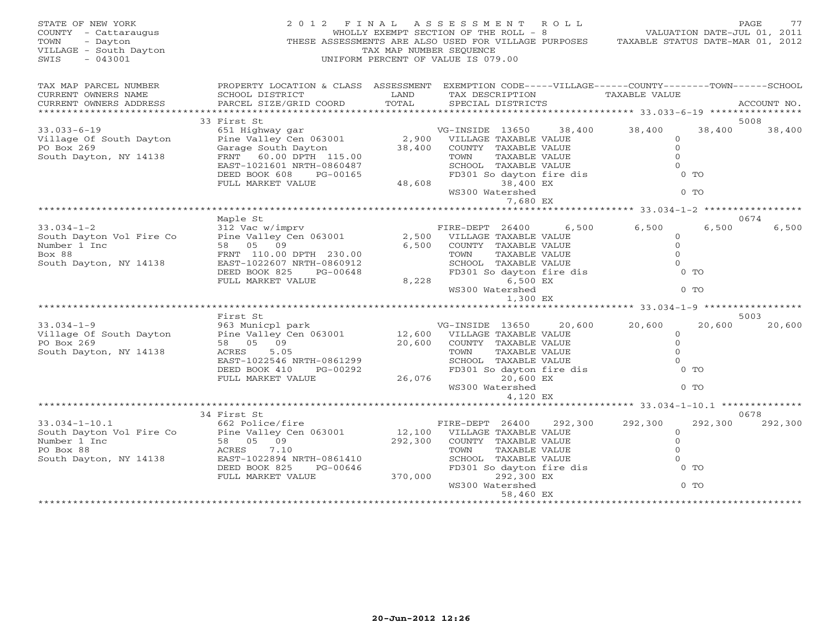| STATE OF NEW YORK<br>COUNTY - Cattaraugus<br>- Dayton<br>TOWN<br>VILLAGE - South Dayton<br>SWIS<br>$-043001$ | 2012 FINAL                                                                                                                                      | TAX MAP NUMBER SEQUENCE | A S S E S S M E N T<br>WHOLLY EXEMPT SECTION OF THE ROLL - 8<br>THESE ASSESSMENTS ARE ALSO USED FOR VILLAGE PURPOSES TAXABLE STATUS DATE-MAR 01, 2012<br>UNIFORM PERCENT OF VALUE IS 079.00 | R O L L | VALUATION DATE-JUL 01, 2011                               |                  | PAGE<br>77  |
|--------------------------------------------------------------------------------------------------------------|-------------------------------------------------------------------------------------------------------------------------------------------------|-------------------------|---------------------------------------------------------------------------------------------------------------------------------------------------------------------------------------------|---------|-----------------------------------------------------------|------------------|-------------|
| TAX MAP PARCEL NUMBER<br>CURRENT OWNERS NAME<br>CURRENT OWNERS ADDRESS<br>************************           | PROPERTY LOCATION & CLASS ASSESSMENT EXEMPTION CODE-----VILLAGE------COUNTY-------TOWN------SCHOOL<br>SCHOOL DISTRICT<br>PARCEL SIZE/GRID COORD | LAND<br>TOTAL           | TAX DESCRIPTION<br>SPECIAL DISTRICTS                                                                                                                                                        |         | <b>TAXABLE VALUE</b>                                      |                  | ACCOUNT NO. |
|                                                                                                              | 33 First St                                                                                                                                     |                         |                                                                                                                                                                                             |         |                                                           |                  | 5008        |
| $33.033 - 6 - 19$                                                                                            | 651 Highway gar                                                                                                                                 |                         | VG-INSIDE 13650                                                                                                                                                                             | 38,400  | 38,400                                                    | 38,400           | 38,400      |
| Village Of South Dayton<br>PO Box 269<br>South Dayton, NY 14138                                              | Pine Valley Cen 063001<br>Garage South Dayton<br>FRNT 60.00 DPTH 115.00<br>EAST-1021601 NRTH-0860487                                            | 38,400                  | 2,900 VILLAGE TAXABLE VALUE<br>COUNTY TAXABLE VALUE<br>TAXABLE VALUE<br>TOWN<br>SCHOOL TAXABLE VALUE                                                                                        |         | $\circ$<br>$\Omega$<br>$\mathbf{0}$<br>$\Omega$           |                  |             |
|                                                                                                              | DEED BOOK 608<br>PG-00165<br>FULL MARKET VALUE                                                                                                  | 48,608                  | FD301 So dayton fire dis<br>38,400 EX<br>WS300 Watershed                                                                                                                                    |         |                                                           | $0$ TO<br>$0$ TO |             |
|                                                                                                              |                                                                                                                                                 |                         | 7,680 EX                                                                                                                                                                                    |         |                                                           |                  |             |
|                                                                                                              | Maple St                                                                                                                                        |                         |                                                                                                                                                                                             |         |                                                           |                  | 0674        |
| $33.034 - 1 - 2$                                                                                             | 312 Vac w/imprv                                                                                                                                 |                         | FIRE-DEPT 26400                                                                                                                                                                             | 6,500   | 6,500                                                     | 6,500            | 6,500       |
| South Dayton Vol Fire Co                                                                                     | Pine Valley Cen 063001                                                                                                                          | 2,500                   | VILLAGE TAXABLE VALUE                                                                                                                                                                       |         | $\circ$                                                   |                  |             |
| Number 1 Inc                                                                                                 | 58 05 09                                                                                                                                        | 6,500                   | COUNTY TAXABLE VALUE                                                                                                                                                                        |         | $\overline{0}$                                            |                  |             |
| Box 88<br>South Dayton, NY 14138                                                                             | FRNT 110.00 DPTH 230.00<br>EAST-1022607 NRTH-0860912                                                                                            |                         | TOWN<br>TAXABLE VALUE<br>SCHOOL TAXABLE VALUE                                                                                                                                               |         | $\Omega$<br>$\Omega$                                      |                  |             |
|                                                                                                              | DEED BOOK 825<br>PG-00648                                                                                                                       |                         | FD301 So dayton fire dis                                                                                                                                                                    |         |                                                           | $0$ TO           |             |
|                                                                                                              | FULL MARKET VALUE                                                                                                                               | 8,228                   | 6,500 EX                                                                                                                                                                                    |         |                                                           |                  |             |
|                                                                                                              |                                                                                                                                                 |                         | WS300 Watershed<br>1,300 EX                                                                                                                                                                 |         |                                                           | $0$ TO           |             |
|                                                                                                              |                                                                                                                                                 |                         |                                                                                                                                                                                             |         | **************************** 33.034-1-9 ***************** |                  |             |
|                                                                                                              | First St                                                                                                                                        |                         |                                                                                                                                                                                             |         |                                                           |                  | 5003        |
| $33.034 - 1 - 9$                                                                                             | 963 Municpl park                                                                                                                                |                         | VG-INSIDE 13650                                                                                                                                                                             | 20,600  | 20,600                                                    | 20,600           | 20,600      |
| Village Of South Dayton                                                                                      | Pine Valley Cen 063001                                                                                                                          | 12,600                  | VILLAGE TAXABLE VALUE                                                                                                                                                                       |         | $\Omega$                                                  |                  |             |
| PO Box 269                                                                                                   | 58 05 09                                                                                                                                        | 20,600                  | COUNTY TAXABLE VALUE                                                                                                                                                                        |         | $\circ$                                                   |                  |             |
| South Dayton, NY 14138                                                                                       | ACRES<br>5.05                                                                                                                                   |                         | TOWN<br>TAXABLE VALUE                                                                                                                                                                       |         | $\Omega$                                                  |                  |             |
|                                                                                                              | EAST-1022546 NRTH-0861299                                                                                                                       |                         | SCHOOL TAXABLE VALUE                                                                                                                                                                        |         | $\Omega$                                                  |                  |             |
|                                                                                                              | DEED BOOK 410<br>PG-00292                                                                                                                       |                         | FD301 So dayton fire dis                                                                                                                                                                    |         |                                                           | $0$ TO           |             |
|                                                                                                              | FULL MARKET VALUE                                                                                                                               | 26,076                  | 20,600 EX<br>WS300 Watershed                                                                                                                                                                |         |                                                           | $0$ TO           |             |
|                                                                                                              |                                                                                                                                                 |                         | 4,120 EX                                                                                                                                                                                    |         | *********************** 33.034-1-10.1 ************        |                  |             |
|                                                                                                              | 34 First St                                                                                                                                     |                         |                                                                                                                                                                                             |         |                                                           |                  | 0678        |
| $33.034 - 1 - 10.1$                                                                                          | 662 Police/fire                                                                                                                                 |                         | FIRE-DEPT 26400                                                                                                                                                                             | 292,300 | 292,300                                                   | 292,300          | 292,300     |
| South Dayton Vol Fire Co                                                                                     | Pine Valley Cen 063001                                                                                                                          | 12,100                  | VILLAGE TAXABLE VALUE                                                                                                                                                                       |         | $\circ$                                                   |                  |             |
| Number 1 Inc                                                                                                 | 58 05 09                                                                                                                                        | 292,300                 | COUNTY TAXABLE VALUE                                                                                                                                                                        |         | $\mathbf{O}$                                              |                  |             |
| PO Box 88                                                                                                    | ACRES<br>7.10                                                                                                                                   |                         | TOWN<br>TAXABLE VALUE                                                                                                                                                                       |         | $\Omega$                                                  |                  |             |
| South Dayton, NY 14138                                                                                       | EAST-1022894 NRTH-0861410                                                                                                                       |                         | SCHOOL TAXABLE VALUE                                                                                                                                                                        |         | $\Omega$                                                  |                  |             |
|                                                                                                              | DEED BOOK 825<br>PG-00646                                                                                                                       |                         | FD301 So dayton fire dis                                                                                                                                                                    |         |                                                           | $0$ TO           |             |
|                                                                                                              | FULL MARKET VALUE                                                                                                                               | 370,000                 | 292,300 EX<br>WS300 Watershed                                                                                                                                                               |         |                                                           | $0$ TO           |             |
|                                                                                                              |                                                                                                                                                 |                         | 58,460 EX                                                                                                                                                                                   |         |                                                           |                  |             |
|                                                                                                              |                                                                                                                                                 |                         |                                                                                                                                                                                             |         |                                                           |                  |             |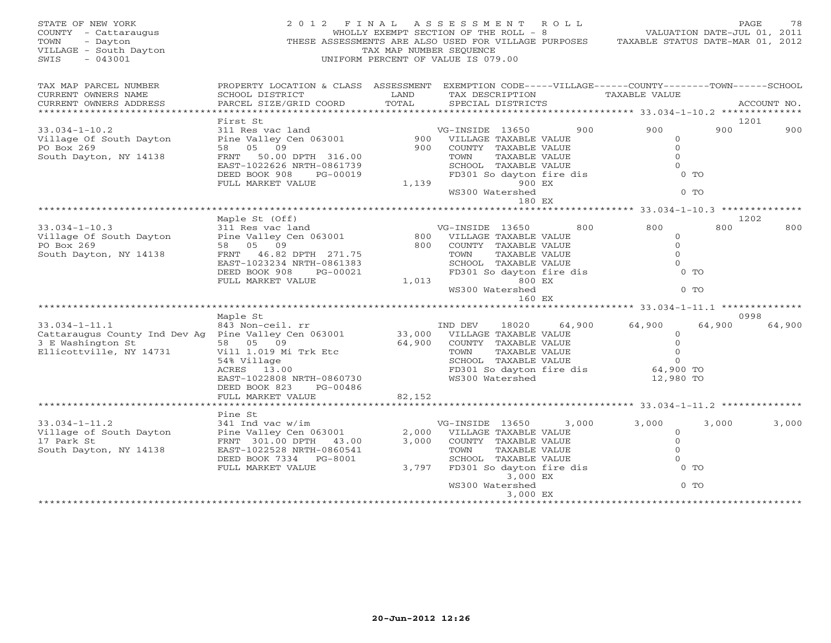| STATE OF NEW YORK<br>COUNTY - Cattaraugus<br>TOWN<br>- Dayton<br>VILLAGE - South Dayton<br>$-043001$<br>SWIS                | 2012 FINAL ASSESSMENT ROLL<br>THESE ASSESSMENTS ARE ALSO USED FOR VILLAGE PURPOSES                                                                          | TAX MAP NUMBER SEQUENCE | WHOLLY EXEMPT SECTION OF THE ROLL - 8<br>UNIFORM PERCENT OF VALUE IS 079.00                                 |                           |                                    | VALUATION DATE-JUL 01, 2011<br>TAXABLE STATUS DATE-MAR 01, 2012               |                  | PAGE<br>78  |
|-----------------------------------------------------------------------------------------------------------------------------|-------------------------------------------------------------------------------------------------------------------------------------------------------------|-------------------------|-------------------------------------------------------------------------------------------------------------|---------------------------|------------------------------------|-------------------------------------------------------------------------------|------------------|-------------|
| TAX MAP PARCEL NUMBER<br>CURRENT OWNERS NAME<br>CURRENT OWNERS ADDRESS                                                      | PROPERTY LOCATION & CLASS ASSESSMENT EXEMPTION CODE-----VILLAGE------COUNTY-------TOWN------SCHOOL<br>SCHOOL DISTRICT<br>PARCEL SIZE/GRID COORD             | LAND<br>TOTAL           | TAX DESCRIPTION<br>SPECIAL DISTRICTS                                                                        |                           |                                    | TAXABLE VALUE                                                                 |                  | ACCOUNT NO. |
|                                                                                                                             | First St                                                                                                                                                    |                         |                                                                                                             |                           |                                    |                                                                               |                  | 1201        |
| $33.034 - 1 - 10.2$<br>Village Of South Dayton<br>PO Box 269<br>South Dayton, NY 14138                                      | 311 Res vac land<br>Pine Valley Cen 063001<br>58 05 09<br>FRNT 50.00 DPTH 316.00<br>EAST-1022626 NRTH-0861739                                               | 900<br>900              | VG-INSIDE 13650<br>VILLAGE TAXABLE VALUE<br>COUNTY TAXABLE VALUE<br>TOWN<br>SCHOOL TAXABLE VALUE            | TAXABLE VALUE             | 900                                | 900<br>$\circ$<br>$\mathbf{O}$<br>$\Omega$<br>$\Omega$                        | 900              | 900         |
|                                                                                                                             | DEED BOOK 908<br>PG-00019<br>FULL MARKET VALUE                                                                                                              | 1,139                   | WS300 Watershed                                                                                             | 900 EX<br>180 EX          | FD301 So dayton fire dis           |                                                                               | $0$ TO<br>$0$ TO |             |
|                                                                                                                             |                                                                                                                                                             |                         |                                                                                                             |                           |                                    |                                                                               |                  |             |
| $33.034 - 1 - 10.3$                                                                                                         | Maple St (Off)<br>311 Res vac land                                                                                                                          |                         | VG-INSIDE 13650                                                                                             |                           | 800                                | 800                                                                           | 800              | 1202<br>800 |
| Village Of South Dayton<br>PO Box 269<br>South Dayton, NY 14138                                                             | Pine Valley Cen 063001<br>58 05 09<br>46.82 DPTH 271.75<br>FRNT<br>EAST-1023234 NRTH-0861383                                                                | 800<br>800              | VILLAGE TAXABLE VALUE<br>COUNTY TAXABLE VALUE<br>TOWN<br>SCHOOL TAXABLE VALUE                               | TAXABLE VALUE             |                                    | $\circ$<br>$\mathbf 0$<br>$\Omega$<br>$\Omega$                                |                  |             |
|                                                                                                                             | DEED BOOK 908<br>PG-00021<br>FULL MARKET VALUE                                                                                                              | 1,013                   | WS300 Watershed                                                                                             | 800 EX<br>160 EX          | FD301 So dayton fire dis           |                                                                               | $0$ TO<br>$0$ TO |             |
|                                                                                                                             |                                                                                                                                                             |                         |                                                                                                             |                           |                                    | ********************** 33.034-1-11.1 *********                                |                  |             |
|                                                                                                                             | Maple St                                                                                                                                                    |                         |                                                                                                             |                           |                                    |                                                                               |                  | 0998        |
| $33.034 - 1 - 11.1$<br>Cattaraugus County Ind Dev Ag Pine Valley Cen 063001<br>3 E Washington St<br>Ellicottville, NY 14731 | 843 Non-ceil. rr<br>58 05 09<br>Vill 1.019 Mi Trk Etc<br>54% Village<br>ACRES 13.00<br>EAST-1022808 NRTH-0860730<br>DEED BOOK 823<br>PG-00486               | 33,000<br>64,900        | IND DEV<br>VILLAGE TAXABLE VALUE<br>COUNTY TAXABLE VALUE<br>TOWN<br>SCHOOL TAXABLE VALUE<br>WS300 Watershed | 18020<br>TAXABLE VALUE    | 64,900<br>FD301 So dayton fire dis | 64,900<br>$\Omega$<br>$\circ$<br>$\circ$<br>$\circ$<br>64,900 TO<br>12,980 TO | 64,900           | 64,900      |
|                                                                                                                             | FULL MARKET VALUE                                                                                                                                           | 82,152                  |                                                                                                             |                           |                                    |                                                                               |                  |             |
|                                                                                                                             |                                                                                                                                                             |                         |                                                                                                             |                           |                                    | ********************* 33.034-1-11.2 **                                        |                  |             |
| $33.034 - 1 - 11.2$<br>Village of South Dayton<br>17 Park St<br>South Dayton, NY 14138                                      | Pine St<br>341 Ind vac w/im<br>Pine Valley Cen 063001<br>FRNT 301.00 DPTH 43.00<br>EAST-1022528 NRTH-0860541<br>DEED BOOK 7334 PG-8001<br>FULL MARKET VALUE | 2,000<br>3,000<br>3,797 | VG-INSIDE 13650<br>VILLAGE TAXABLE VALUE<br>COUNTY TAXABLE VALUE<br>TOWN<br>SCHOOL TAXABLE VALUE            | TAXABLE VALUE<br>3,000 EX | 3,000<br>FD301 So dayton fire dis  | 3,000<br>$\circ$<br>$\circ$<br>$\Omega$<br>$\Omega$                           | 3,000<br>$0$ TO  | 3,000       |
|                                                                                                                             |                                                                                                                                                             |                         | WS300 Watershed                                                                                             | 3,000 EX                  |                                    |                                                                               | $0$ TO           |             |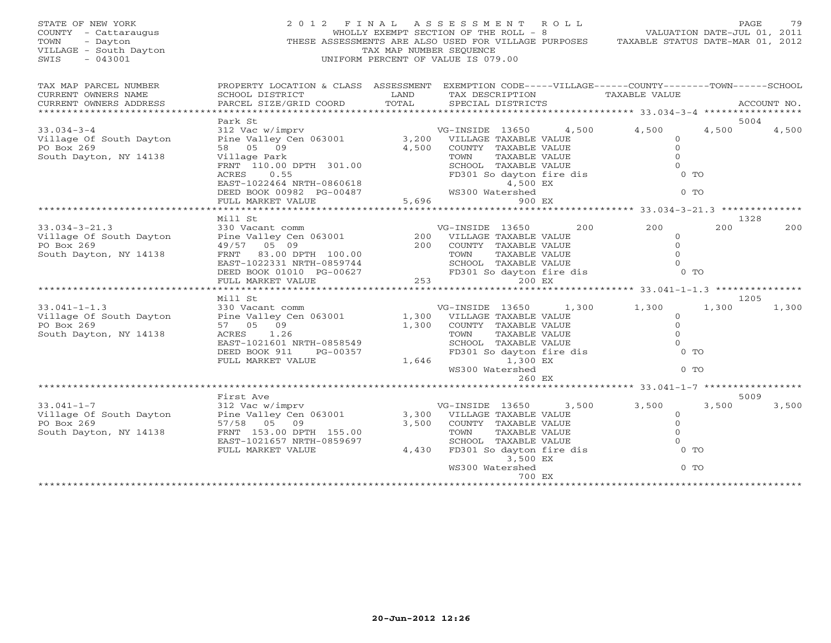| STATE OF NEW YORK<br>COUNTY - Cattaraugus<br>- Dayton<br>TOWN<br>VILLAGE - South Dayton<br>$-043001$<br>SWIS | 2012 FINAL                                                                                                            | TAX MAP NUMBER SEOUENCE | ASSESSMENT ROLL<br>WHOLLY EXEMPT SECTION OF THE ROLL - 8<br>THESE ASSESSMENTS ARE ALSO USED FOR VILLAGE PURPOSES<br>UNIFORM PERCENT OF VALUE IS 079.00 |       | VALUATION DATE-JUL 01, 2011<br>TAXABLE STATUS DATE-MAR 01, 2012 | PAGE          | 79          |
|--------------------------------------------------------------------------------------------------------------|-----------------------------------------------------------------------------------------------------------------------|-------------------------|--------------------------------------------------------------------------------------------------------------------------------------------------------|-------|-----------------------------------------------------------------|---------------|-------------|
| TAX MAP PARCEL NUMBER<br>CURRENT OWNERS NAME                                                                 | PROPERTY LOCATION & CLASS ASSESSMENT EXEMPTION CODE-----VILLAGE------COUNTY-------TOWN------SCHOOL<br>SCHOOL DISTRICT | LAND                    | TAX DESCRIPTION                                                                                                                                        |       | <b>TAXABLE VALUE</b>                                            |               |             |
| CURRENT OWNERS ADDRESS<br>***********************                                                            | PARCEL SIZE/GRID COORD                                                                                                | TOTAL                   | SPECIAL DISTRICTS                                                                                                                                      |       |                                                                 |               | ACCOUNT NO. |
|                                                                                                              | Park St                                                                                                               |                         |                                                                                                                                                        |       |                                                                 | 5004          |             |
| $33.034 - 3 - 4$<br>Village Of South Dayton                                                                  | 312 Vac w/imprv<br>Pine Valley Cen 063001                                                                             | 3,200                   | VG-INSIDE 13650<br>VILLAGE TAXABLE VALUE                                                                                                               | 4,500 | 4,500<br>$\mathbf 0$                                            | 4,500         | 4,500       |
| PO Box 269                                                                                                   | 58 05 09                                                                                                              | 4,500                   | COUNTY TAXABLE VALUE                                                                                                                                   |       | $\mathbf{0}$                                                    |               |             |
| South Dayton, NY 14138                                                                                       | Village Park                                                                                                          |                         | TAXABLE VALUE<br>TOWN                                                                                                                                  |       | $\Omega$                                                        |               |             |
|                                                                                                              | FRNT 110.00 DPTH 301.00                                                                                               |                         | SCHOOL TAXABLE VALUE                                                                                                                                   |       | $\Omega$                                                        |               |             |
|                                                                                                              | 0.55<br>ACRES                                                                                                         |                         | FD301 So dayton fire dis                                                                                                                               |       | 0 <sub>0</sub>                                                  |               |             |
|                                                                                                              | EAST-1022464 NRTH-0860618                                                                                             |                         | 4,500 EX                                                                                                                                               |       | $0$ TO                                                          |               |             |
|                                                                                                              | DEED BOOK 00982 PG-00487<br>FULL MARKET VALUE                                                                         | 5,696                   | WS300 Watershed<br>900 EX                                                                                                                              |       |                                                                 |               |             |
|                                                                                                              | *******************                                                                                                   | ************            |                                                                                                                                                        |       | ********************** 33.034-3-21.3 **************             |               |             |
|                                                                                                              | Mill St                                                                                                               |                         |                                                                                                                                                        |       |                                                                 | 1328          |             |
| $33.034 - 3 - 21.3$                                                                                          | 330 Vacant comm                                                                                                       |                         | VG-INSIDE 13650                                                                                                                                        | 200   | 200                                                             | 200           | 200         |
| Village Of South Dayton<br>PO Box 269                                                                        | Pine Valley Cen 063001                                                                                                | 200<br>200              | VILLAGE TAXABLE VALUE                                                                                                                                  |       | $\mathbf 0$<br>$\Omega$                                         |               |             |
| South Dayton, NY 14138                                                                                       | 49/57 05 09<br>83.00 DPTH 100.00<br>FRNT                                                                              |                         | COUNTY TAXABLE VALUE<br>TOWN<br>TAXABLE VALUE                                                                                                          |       | $\Omega$                                                        |               |             |
|                                                                                                              | EAST-1022331 NRTH-0859744                                                                                             |                         | SCHOOL TAXABLE VALUE                                                                                                                                   |       | $\Omega$                                                        |               |             |
|                                                                                                              | DEED BOOK 01010 PG-00627                                                                                              |                         | FD301 So dayton fire dis                                                                                                                               |       | $0$ TO                                                          |               |             |
|                                                                                                              | FULL MARKET VALUE                                                                                                     | 253                     | 200 EX                                                                                                                                                 |       |                                                                 |               |             |
|                                                                                                              |                                                                                                                       | * * * * * * * * * *     |                                                                                                                                                        |       | ********** 33.041-1-1.3 *********                               |               |             |
| $33.041 - 1 - 1.3$                                                                                           | Mill St<br>330 Vacant comm                                                                                            |                         | VG-INSIDE 13650                                                                                                                                        | 1,300 | 1,300                                                           | 1205<br>1,300 | 1,300       |
| Village Of South Dayton                                                                                      | Pine Valley Cen 063001                                                                                                | 1,300                   | VILLAGE TAXABLE VALUE                                                                                                                                  |       | 0                                                               |               |             |
| PO Box 269                                                                                                   | 57 05 09                                                                                                              | 1,300                   | COUNTY TAXABLE VALUE                                                                                                                                   |       | $\overline{0}$                                                  |               |             |
| South Dayton, NY 14138                                                                                       | ACRES<br>1.26                                                                                                         |                         | TAXABLE VALUE<br>TOWN                                                                                                                                  |       | $\Omega$                                                        |               |             |
|                                                                                                              | EAST-1021601 NRTH-0858549                                                                                             |                         | SCHOOL TAXABLE VALUE                                                                                                                                   |       | $\Omega$                                                        |               |             |
|                                                                                                              | DEED BOOK 911<br>PG-00357<br>FULL MARKET VALUE                                                                        | 1,646                   | FD301 So dayton fire dis<br>1,300 EX                                                                                                                   |       | $0$ TO                                                          |               |             |
|                                                                                                              |                                                                                                                       |                         | WS300 Watershed                                                                                                                                        |       | 0 <sub>T</sub>                                                  |               |             |
|                                                                                                              |                                                                                                                       |                         | 260 EX                                                                                                                                                 |       |                                                                 |               |             |
|                                                                                                              | **************************************                                                                                |                         |                                                                                                                                                        |       | ******** 33.041-1-7 ************                                |               |             |
|                                                                                                              | First Ave                                                                                                             |                         |                                                                                                                                                        |       |                                                                 | 5009          |             |
| $33.041 - 1 - 7$<br>Village Of South Dayton                                                                  | 312 Vac w/imprv<br>Pine Valley Cen 063001                                                                             | 3,300                   | VG-INSIDE 13650<br>VILLAGE TAXABLE VALUE                                                                                                               | 3,500 | 3,500<br>$\mathbf{0}$                                           | 3,500         | 3,500       |
| PO Box 269                                                                                                   | 57/58 05 09                                                                                                           | 3,500                   | COUNTY TAXABLE VALUE                                                                                                                                   |       | $\mathbf{O}$                                                    |               |             |
| South Dayton, NY 14138                                                                                       | FRNT 153.00 DPTH 155.00                                                                                               |                         | TOWN<br>TAXABLE VALUE                                                                                                                                  |       | $\mathbf{O}$                                                    |               |             |
|                                                                                                              | EAST-1021657 NRTH-0859697                                                                                             |                         | SCHOOL TAXABLE VALUE                                                                                                                                   |       | $\Omega$                                                        |               |             |
|                                                                                                              | FULL MARKET VALUE                                                                                                     | 4,430                   | FD301 So dayton fire dis                                                                                                                               |       | $0$ TO                                                          |               |             |
|                                                                                                              |                                                                                                                       |                         | 3,500 EX                                                                                                                                               |       | $0$ TO                                                          |               |             |
|                                                                                                              |                                                                                                                       |                         | WS300 Watershed<br>700 EX                                                                                                                              |       |                                                                 |               |             |
|                                                                                                              |                                                                                                                       |                         |                                                                                                                                                        |       |                                                                 |               |             |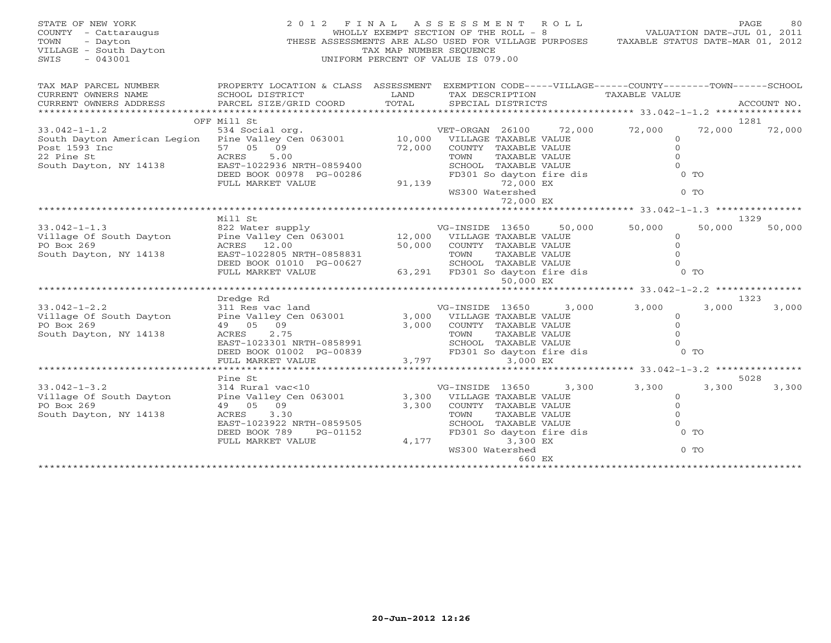| PROPERTY LOCATION & CLASS ASSESSMENT EXEMPTION CODE-----VILLAGE------COUNTY-------TOWN------SCHOOL                                                                                       |                                                                                                                                                |                |                                                                                                                                                                                                                            |                                                                                                                            |                                                                                                    |
|------------------------------------------------------------------------------------------------------------------------------------------------------------------------------------------|------------------------------------------------------------------------------------------------------------------------------------------------|----------------|----------------------------------------------------------------------------------------------------------------------------------------------------------------------------------------------------------------------------|----------------------------------------------------------------------------------------------------------------------------|----------------------------------------------------------------------------------------------------|
| LAND<br>TOTAL<br>PARCEL SIZE/GRID COORD                                                                                                                                                  | TAX DESCRIPTION<br>SPECIAL DISTRICTS                                                                                                           |                | <b>TAXABLE VALUE</b>                                                                                                                                                                                                       |                                                                                                                            | ACCOUNT NO.                                                                                        |
| VET-ORGAN 26100 72,000<br>South Dayton American Legion Pine Valley Cen 063001 10,000 VILLAGE TAXABLE VALUE<br>EAST-1022936 NRTH-0859400<br>DEED BOOK 00978 PG-00286<br>FULL MARKET VALUE | 72,000 COUNTY TAXABLE VALUE<br>TOWN<br>SCHOOL TAXABLE VALUE<br>FD301 So dayton fire dis<br>72,000 EX<br>91,139<br>WS300 Watershed<br>72,000 EX | TAXABLE VALUE  | 72,000<br>$\circ$<br>$\Omega$<br>$\Omega$<br>$\Omega$                                                                                                                                                                      | 72,000<br>$0$ TO<br>$0$ TO                                                                                                 | 1281<br>72,000                                                                                     |
| EAST-1022805 NRTH-0858831<br>DEED BOOK 01010 PG-00627<br>FULL MARKET VALUE                                                                                                               | 50,000 COUNTY TAXABLE VALUE                                                                                                                    | 50,000         | 50,000<br>$\circ$<br>$\mathbf{0}$<br>$\Omega$<br>$\Omega$                                                                                                                                                                  | 50,000                                                                                                                     | 1329<br>50,000                                                                                     |
|                                                                                                                                                                                          |                                                                                                                                                |                |                                                                                                                                                                                                                            |                                                                                                                            |                                                                                                    |
| Pine Valley Cen 063001<br>EAST-1023301 NRTH-0858991<br>DEED BOOK 01002 PG-00839                                                                                                          |                                                                                                                                                |                | $\circ$<br>$\Omega$<br>$\Omega$                                                                                                                                                                                            | 3,000                                                                                                                      | 3,000                                                                                              |
|                                                                                                                                                                                          |                                                                                                                                                |                |                                                                                                                                                                                                                            |                                                                                                                            |                                                                                                    |
| 314 Rural vac<10<br>Pine Valley Cen 063001<br>EAST-1023922 NRTH-0859505<br>PG-01152<br>4,177<br>FULL MARKET VALUE                                                                        | TOWN                                                                                                                                           |                | 3,300<br>$\circ$<br>$\Omega$<br>$\mathbf{0}$<br>$\Omega$                                                                                                                                                                   | 3,300                                                                                                                      | 5028<br>3,300                                                                                      |
|                                                                                                                                                                                          | FULL MARKET VALUE                                                                                                                              | 3,797<br>3,300 | 50,000 EX<br>311 Res vac land VG-INSIDE 13650<br>3,000 VILLAGE TAXABLE VALUE<br>3,000 COUNTY TAXABLE VALUE<br>3,000 EX<br>3,300<br>VG-INSIDE 13650<br>3,300 VILLAGE TAXABLE VALUE<br>COUNTY TAXABLE VALUE<br>TAXABLE VALUE | 30,000 COONT TAXABLE VALUE<br>TOWN TAXABLE VALUE<br>SCHOOL TAXABLE VALUE<br>63,291 FD301 So dayton fire dis<br>3,000 3,000 | $0$ TO<br>1323<br>TOWN TAXABLE VALUE<br>SCHOOL TAXABLE VALUE<br>FD301 So dayton fire dis<br>$0$ TO |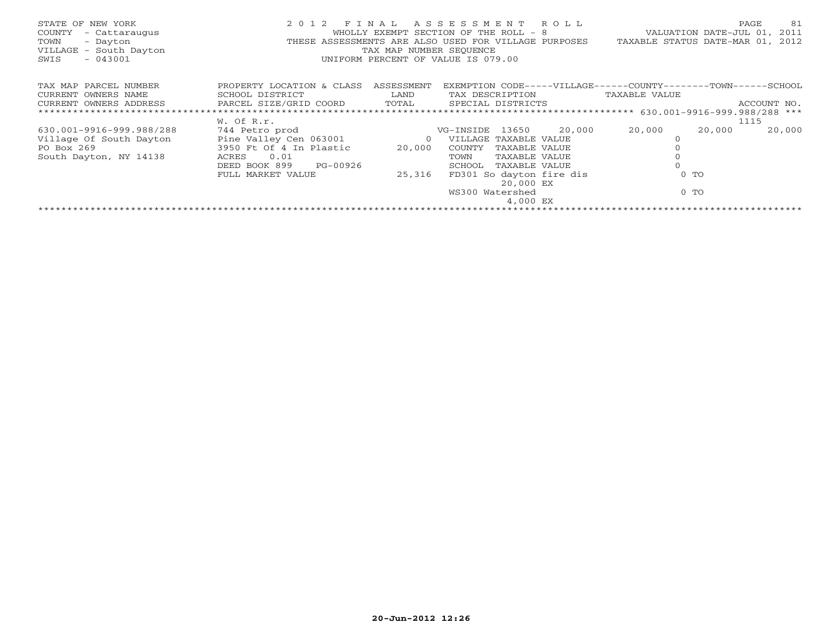| STATE OF NEW YORK<br>COUNTY<br>- Cattaraugus<br>TOWN<br>- Dayton<br>VILLAGE - South Dayton<br>$-043001$<br>SWIS | 2 0 1 2                                                                                                                                              | TAX MAP NUMBER SEOUENCE            | FINAL ASSESSMENT ROLL<br>WHOLLY EXEMPT SECTION OF THE ROLL - 8<br>THESE ASSESSMENTS ARE ALSO USED FOR VILLAGE PURPOSES<br>UNIFORM PERCENT OF VALUE IS 079.00                                              | PAGE<br>VALUATION DATE-JUL 01, 2011<br>TAXABLE STATUS DATE-MAR 01,                            | 81<br>2012 |
|-----------------------------------------------------------------------------------------------------------------|------------------------------------------------------------------------------------------------------------------------------------------------------|------------------------------------|-----------------------------------------------------------------------------------------------------------------------------------------------------------------------------------------------------------|-----------------------------------------------------------------------------------------------|------------|
| TAX MAP PARCEL NUMBER<br>CURRENT OWNERS NAME<br>CURRENT OWNERS ADDRESS                                          | PROPERTY LOCATION & CLASS<br>SCHOOL DISTRICT<br>PARCEL SIZE/GRID COORD TOTAL                                                                         | ASSESSMENT<br>LAND                 | TAX DESCRIPTION<br>SPECIAL DISTRICTS                                                                                                                                                                      | EXEMPTION CODE-----VILLAGE------COUNTY-------TOWN------SCHOOL<br>TAXABLE VALUE<br>ACCOUNT NO. |            |
| 630.001-9916-999.988/288<br>Village Of South Dayton<br>PO Box 269<br>South Dayton, NY 14138                     | W. Of R.r.<br>744 Petro prod<br>Pine Valley Cen 063001<br>3950 Ft Of 4 In Plastic<br>0.01<br>ACRES<br>PG-00926<br>DEED BOOK 899<br>FULL MARKET VALUE | $\overline{O}$<br>20,000<br>25,316 | VG-INSIDE 13650<br>20,000<br>VILLAGE TAXABLE VALUE<br>COUNTY<br>TAXABLE VALUE<br>TOWN<br>TAXABLE VALUE<br>TAXABLE VALUE<br>SCHOOL<br>FD301 So dayton fire dis<br>20,000 EX<br>WS300 Watershed<br>4,000 EX | 1115<br>20,000<br>20,000<br>20,000<br>$0$ TO<br>$0$ TO                                        |            |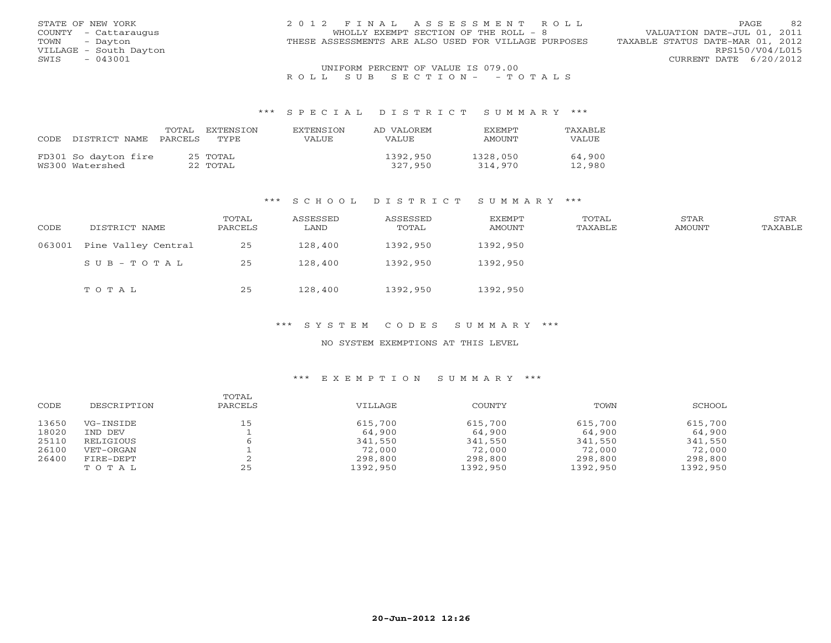| STATE OF NEW YORK      | 2012 FINAL ASSESSMENT ROLL                           | 82<br><b>PAGE</b>                |
|------------------------|------------------------------------------------------|----------------------------------|
| COUNTY - Cattaraugus   | WHOLLY EXEMPT SECTION OF THE ROLL - 8                | VALUATION DATE-JUL 01, 2011      |
| TOWN<br>- Dayton       | THESE ASSESSMENTS ARE ALSO USED FOR VILLAGE PURPOSES | TAXABLE STATUS DATE-MAR 01, 2012 |
| VILLAGE - South Dayton |                                                      | RPS150/V04/L015                  |
| $-043001$<br>SWIS      |                                                      | CURRENT DATE 6/20/2012           |
|                        | UNIFORM PERCENT OF VALUE IS 079.00                   |                                  |

### R O L L S U B S E C T I O N - - T O T A L S

#### \*\*\* S P E C I A L D I S T R I C T S U M M A R Y \*\*\*

| CODE | DISTRICT NAME                           | TOTAL<br>PARCELS | EXTENSTON<br>TYPE.   | <b>EXTENSTON</b><br>VALUE | AD VALOREM<br>VALUE | <b>EXEMPT</b><br>AMOUNT | <b>TAXABLE</b><br>VALUE |
|------|-----------------------------------------|------------------|----------------------|---------------------------|---------------------|-------------------------|-------------------------|
|      | FD301 So dayton fire<br>WS300 Watershed |                  | 25 TOTAL<br>22 TOTAL |                           | 1392,950<br>327,950 | 1328,050<br>314,970     | 64,900<br>12,980        |

### \*\*\* S C H O O L D I S T R I C T S U M M A R Y \*\*\*

| CODE   | DISTRICT NAME       | TOTAL<br>PARCELS | ASSESSED<br>LAND | ASSESSED<br>TOTAL | EXEMPT<br>AMOUNT | TOTAL<br>TAXABLE | STAR<br>AMOUNT | <b>STAR</b><br>TAXABLE |
|--------|---------------------|------------------|------------------|-------------------|------------------|------------------|----------------|------------------------|
| 063001 | Pine Valley Central | 25               | 128,400          | 1392,950          | 1392,950         |                  |                |                        |
|        | SUB-TOTAL           | 25               | 128,400          | 1392,950          | 1392,950         |                  |                |                        |
|        | TOTAL               | 25               | 128,400          | 1392,950          | 1392,950         |                  |                |                        |

### \*\*\* S Y S T E M C O D E S S U M M A R Y \*\*\*

### NO SYSTEM EXEMPTIONS AT THIS LEVEL

### \*\*\* E X E M P T I O N S U M M A R Y \*\*\*

| CODE  | DESCRIPTION | TOTAL<br>PARCELS | VTLLAGE  | COUNTY   | TOWN     | SCHOOL   |
|-------|-------------|------------------|----------|----------|----------|----------|
| 13650 | VG-INSIDE   | 15               | 615,700  | 615,700  | 615,700  | 615,700  |
| 18020 | IND DEV     |                  | 64,900   | 64,900   | 64,900   | 64,900   |
| 25110 | RELIGIOUS   |                  | 341,550  | 341,550  | 341,550  | 341,550  |
| 26100 | VET-ORGAN   |                  | 72,000   | 72,000   | 72,000   | 72,000   |
| 26400 | FIRE-DEPT   |                  | 298,800  | 298,800  | 298,800  | 298,800  |
|       | TOTAL       | 25               | 1392,950 | 1392,950 | 1392,950 | 1392,950 |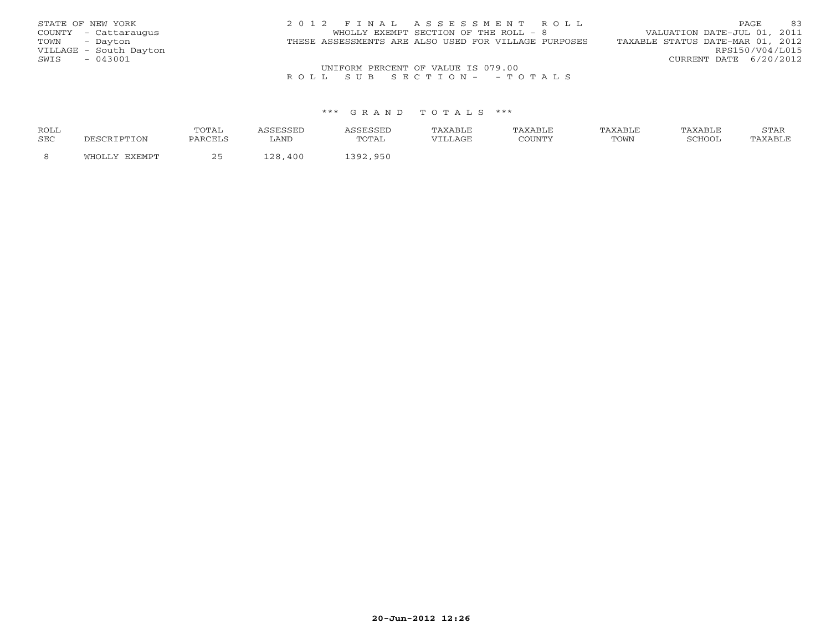| STATE OF NEW YORK      | 2012 FINAL ASSESSMENT ROLL                           | 83<br><b>PAGE</b>                |
|------------------------|------------------------------------------------------|----------------------------------|
| COUNTY - Cattaraugus   | WHOLLY EXEMPT SECTION OF THE ROLL - 8                | VALUATION DATE-JUL 01, 2011      |
| - Davton<br>TOWN       | THESE ASSESSMENTS ARE ALSO USED FOR VILLAGE PURPOSES | TAXABLE STATUS DATE-MAR 01, 2012 |
| VILLAGE - South Dayton |                                                      | RPS150/V04/L015                  |
| $-043001$<br>SWIS      |                                                      | CURRENT DATE 6/20/2012           |
|                        | UNIFORM PERCENT OF VALUE IS 079.00                   |                                  |

### R O L L S U B S E C T I O N - - T O T A L S

### \*\*\* G R A N D T O T A L S \*\*\*

| <b>ROLL</b> |               | TOTA.<br><u>UIII</u> |      |                         | TAXABLE     | <b>AXARLT</b> | TAXABLE | "AXABLE | <u>U 1711</u> |
|-------------|---------------|----------------------|------|-------------------------|-------------|---------------|---------|---------|---------------|
| SEC         | TON.          | PARCELS              | LAND | '   ' /∆<br><u>UIII</u> | <b>LAGE</b> |               | TOWN    | PCHOOL  | AXABLE        |
|             | <b>DVDMDT</b> |                      | 400  | 950                     |             |               |         |         |               |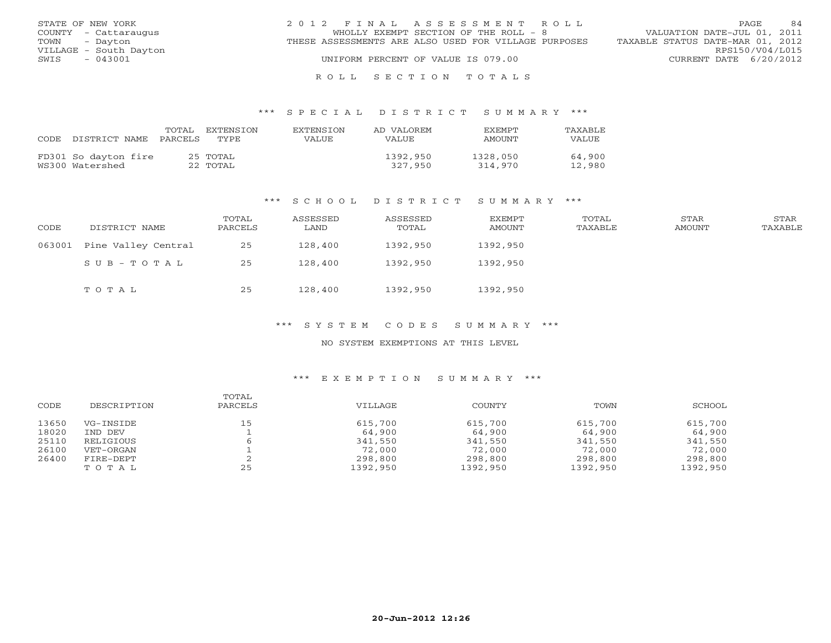|               | STATE OF NEW YORK      | 2012 FINAL ASSESSMENT ROLL                           | 84<br>PAGE                       |
|---------------|------------------------|------------------------------------------------------|----------------------------------|
|               | COUNTY - Cattaraugus   | WHOLLY EXEMPT SECTION OF THE ROLL - 8                | VALUATION DATE-JUL 01, 2011      |
| TOWN - Dayton |                        | THESE ASSESSMENTS ARE ALSO USED FOR VILLAGE PURPOSES | TAXABLE STATUS DATE-MAR 01, 2012 |
|               | VILLAGE - South Dayton |                                                      | RPS150/V04/L015                  |
| SWIS          | - 043001               | UNIFORM PERCENT OF VALUE IS 079.00                   | CURRENT DATE 6/20/2012           |
|               |                        |                                                      |                                  |

### R O L L S E C T I O N T O T A L S

#### \*\*\* S P E C I A L D I S T R I C T S U M M A R Y \*\*\*

| CODE. | DISTRICT NAME                           | TOTAL<br>PARCELS | EXTENSTON<br>TYPE.   | <b>EXTENSION</b><br>VALUE | AD VALOREM<br>VALUE | <b>FXFMPT</b><br>AMOUNT | <b>TAXABLE</b><br>VALUE |
|-------|-----------------------------------------|------------------|----------------------|---------------------------|---------------------|-------------------------|-------------------------|
|       | FD301 So dayton fire<br>WS300 Watershed |                  | 25 TOTAL<br>22 TOTAL |                           | 1392,950<br>327,950 | 1328,050<br>314,970     | 64,900<br>12,980        |

#### \*\*\* S C H O O L D I S T R I C T S U M M A R Y \*\*\*

| CODE   | DISTRICT NAME       | TOTAL<br>PARCELS | ASSESSED<br>LAND | ASSESSED<br>TOTAL | EXEMPT<br>AMOUNT | TOTAL<br>TAXABLE | STAR<br>AMOUNT | STAR<br>TAXABLE |
|--------|---------------------|------------------|------------------|-------------------|------------------|------------------|----------------|-----------------|
| 063001 | Pine Valley Central | 25               | 128,400          | 1392,950          | 1392,950         |                  |                |                 |
|        | SUB-TOTAL           | 25               | 128,400          | 1392,950          | 1392,950         |                  |                |                 |
|        | TOTAL               | 25               | 128,400          | 1392,950          | 1392,950         |                  |                |                 |

#### \*\*\* S Y S T E M C O D E S S U M M A R Y \*\*\*

### NO SYSTEM EXEMPTIONS AT THIS LEVEL

### \*\*\* E X E M P T I O N S U M M A R Y \*\*\*

| CODE  | DESCRIPTION | TOTAL<br>PARCELS | VILLAGE  | COUNTY   | TOWN     | SCHOOL   |
|-------|-------------|------------------|----------|----------|----------|----------|
| 13650 | VG-INSIDE   | 15               | 615,700  | 615,700  | 615,700  | 615,700  |
| 18020 | IND DEV     |                  | 64,900   | 64,900   | 64,900   | 64,900   |
| 25110 | RELIGIOUS   |                  | 341,550  | 341,550  | 341,550  | 341,550  |
| 26100 | VET-ORGAN   |                  | 72,000   | 72,000   | 72,000   | 72,000   |
| 26400 | FIRE-DEPT   |                  | 298,800  | 298,800  | 298,800  | 298,800  |
|       | TOTAL       | 25               | 1392,950 | 1392,950 | 1392,950 | 1392,950 |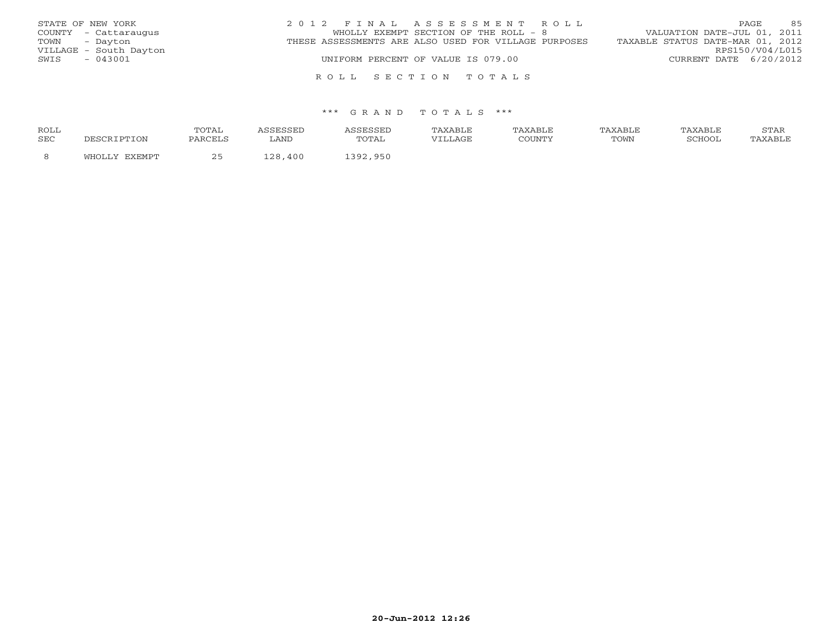| STATE OF NEW YORK      | 2012 FINAL ASSESSMENT ROLL                           | 85<br>PAGE.                      |
|------------------------|------------------------------------------------------|----------------------------------|
| COUNTY - Cattaraugus   | WHOLLY EXEMPT SECTION OF THE ROLL - 8                | VALUATION DATE-JUL 01, 2011      |
| TOWN - Dayton          | THESE ASSESSMENTS ARE ALSO USED FOR VILLAGE PURPOSES | TAXABLE STATUS DATE-MAR 01, 2012 |
| VILLAGE - South Dayton |                                                      | RPS150/V04/L015                  |
| - 043001<br>SWIS       | UNIFORM PERCENT OF VALUE IS 079.00                   | CURRENT DATE 6/20/2012           |
|                        |                                                      |                                  |
|                        | ROLL SECTION TOTALS                                  |                                  |

#### \*\*\* G R A N D T O T A L S \*\*\*

| <b>ROLL</b> |       | TOTAI   |            |            | TAXABLE | TAXABLE | TAXABLE | TAXABLE | $cm\pi$<br>بمدعدت |
|-------------|-------|---------|------------|------------|---------|---------|---------|---------|-------------------|
| SEC         | TON.  | PARCELS | LAND       | TOTAL      | VILLAGE | COUNTY  | TOWN    | SCHOOI  |                   |
|             | ™H∩T… |         | 400<br>. വ | 950<br>າດ1 |         |         |         |         |                   |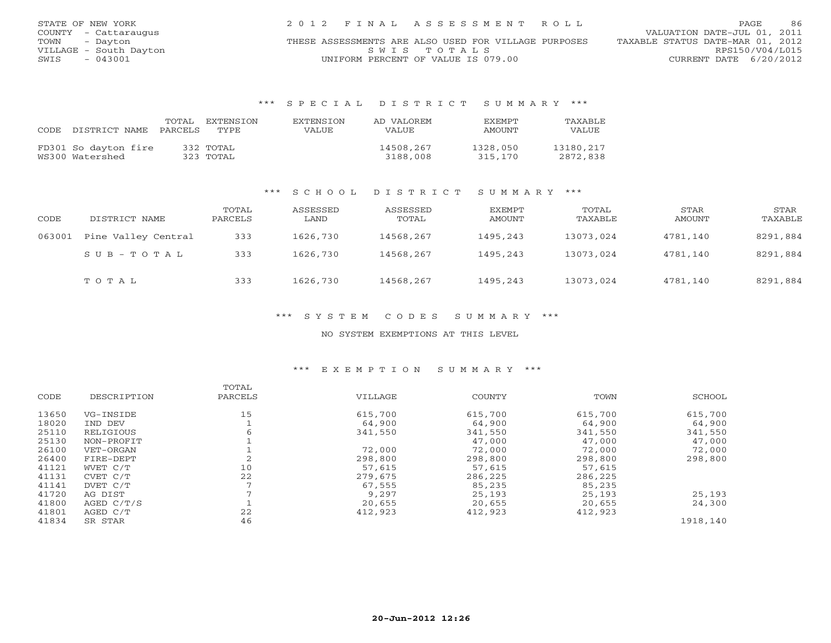| STATE OF NEW YORK      | 2012 FINAL ASSESSMENT ROLL                           | 86<br>PAGE.                      |
|------------------------|------------------------------------------------------|----------------------------------|
| COUNTY - Cattaraugus   |                                                      | VALUATION DATE-JUL 01, 2011      |
| TOWN - Dayton          | THESE ASSESSMENTS ARE ALSO USED FOR VILLAGE PURPOSES | TAXABLE STATUS DATE-MAR 01, 2012 |
| VILLAGE - South Dayton | SWTS TOTALS                                          | RPS150/V04/L015                  |
| $-043001$<br>SWIS      | UNIFORM PERCENT OF VALUE IS 079.00                   | CURRENT DATE $6/20/2012$         |

### \*\*\* S P E C I A L D I S T R I C T S U M M A R Y \*\*\*

| CODE DISTRICT NAME   | TOTAL<br>PARCELS | EXTENSTON<br>TYPE. | <b>EXTENSION</b><br>VALUE | AD VALOREM<br>VALUE | <b>FXFMPT</b><br>AMOUNT | TAXABLE<br>VALUE |
|----------------------|------------------|--------------------|---------------------------|---------------------|-------------------------|------------------|
| FD301 So dayton fire |                  | 332 TOTAL          |                           | 14508,267           | 1328,050                | 13180,217        |
| WS300 Watershed      |                  | 323 TOTAL          |                           | 3188,008            | 315,170                 | 2872,838         |

### \*\*\* S C H O O L D I S T R I C T S U M M A R Y \*\*\*

| CODE   | DISTRICT NAME       | TOTAL<br>PARCELS | ASSESSED<br>LAND | ASSESSED<br>TOTAL | EXEMPT<br>AMOUNT | TOTAL<br>TAXABLE | STAR<br>AMOUNT | STAR<br>TAXABLE |
|--------|---------------------|------------------|------------------|-------------------|------------------|------------------|----------------|-----------------|
| 063001 | Pine Valley Central | 333              | 1626,730         | 14568,267         | 1495,243         | 13073,024        | 4781,140       | 8291,884        |
|        | SUB-TOTAL           | 333              | 1626,730         | 14568,267         | 1495,243         | 13073,024        | 4781,140       | 8291,884        |
|        | TOTAL               | 333              | 1626,730         | 14568,267         | 1495,243         | 13073,024        | 4781,140       | 8291,884        |

### \*\*\* S Y S T E M C O D E S S U M M A R Y \*\*\*

#### NO SYSTEM EXEMPTIONS AT THIS LEVEL

#### \*\*\* E X E M P T I O N S U M M A R Y \*\*\*

|       |             | TOTAL   |         |         |         |          |
|-------|-------------|---------|---------|---------|---------|----------|
| CODE  | DESCRIPTION | PARCELS | VILLAGE | COUNTY  | TOWN    | SCHOOL   |
| 13650 | VG-INSIDE   | 15      | 615,700 | 615,700 | 615,700 | 615,700  |
| 18020 | IND DEV     |         | 64,900  | 64,900  | 64,900  | 64,900   |
| 25110 | RELIGIOUS   | 6       | 341,550 | 341,550 | 341,550 | 341,550  |
| 25130 | NON-PROFIT  |         |         | 47,000  | 47,000  | 47,000   |
| 26100 | VET-ORGAN   |         | 72,000  | 72,000  | 72,000  | 72,000   |
| 26400 | FIRE-DEPT   |         | 298,800 | 298,800 | 298,800 | 298,800  |
| 41121 | WVET C/T    | 10      | 57,615  | 57,615  | 57,615  |          |
| 41131 | CVET C/T    | 22      | 279,675 | 286,225 | 286,225 |          |
| 41141 | DVET C/T    |         | 67,555  | 85,235  | 85,235  |          |
| 41720 | AG DIST     |         | 9,297   | 25,193  | 25,193  | 25,193   |
| 41800 | AGED C/T/S  |         | 20,655  | 20,655  | 20,655  | 24,300   |
| 41801 | AGED C/T    | 22      | 412,923 | 412,923 | 412,923 |          |
| 41834 | SR STAR     | 46      |         |         |         | 1918,140 |
|       |             |         |         |         |         |          |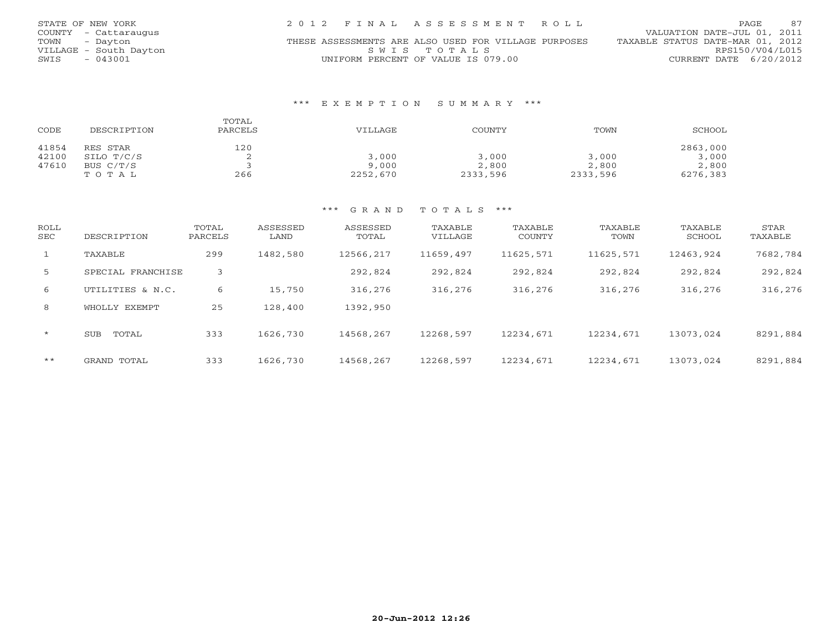| STATE OF NEW YORK      | 2012 FINAL ASSESSMENT ROLL                           | 87<br><b>PAGE</b>                |
|------------------------|------------------------------------------------------|----------------------------------|
| COUNTY - Cattaraugus   |                                                      | VALUATION DATE-JUL 01, 2011      |
| TOWN - Dayton          | THESE ASSESSMENTS ARE ALSO USED FOR VILLAGE PURPOSES | TAXABLE STATUS DATE-MAR 01, 2012 |
| VILLAGE - South Dayton | SWIS TOTALS                                          | RPS150/V04/L015                  |
| $-043001$<br>SWIS      | UNIFORM PERCENT OF VALUE IS 079.00                   | CURRENT DATE 6/20/2012           |

### \*\*\* E X E M P T I O N S U M M A R Y \*\*\*

| CODE  | DESCRIPTION | TOTAL<br>PARCELS | VILLAGE  | COUNTY   | TOWN     | SCHOOL   |
|-------|-------------|------------------|----------|----------|----------|----------|
| 41854 | RES STAR    | 120              |          |          |          | 2863,000 |
| 42100 | SILO T/C/S  |                  | 3,000    | 3,000    | 3,000    | 3,000    |
| 47610 | BUS C/T/S   |                  | 9,000    | 2,800    | 2,800    | 2,800    |
|       | TOTAL       | 266              | 2252,670 | 2333,596 | 2333,596 | 6276,383 |

### \*\*\* G R A N D T O T A L S \*\*\*

| <b>ROLL</b><br><b>SEC</b> | DESCRIPTION         | TOTAL<br>PARCELS | ASSESSED<br>LAND | ASSESSED<br>TOTAL | TAXABLE<br>VILLAGE | TAXABLE<br>COUNTY | TAXABLE<br>TOWN | TAXABLE<br>SCHOOL | STAR<br>TAXABLE |
|---------------------------|---------------------|------------------|------------------|-------------------|--------------------|-------------------|-----------------|-------------------|-----------------|
| $\mathbf{1}$              | TAXABLE             | 299              | 1482,580         | 12566,217         | 11659,497          | 11625,571         | 11625,571       | 12463,924         | 7682,784        |
| 5                         | SPECIAL FRANCHISE   | 3                |                  | 292,824           | 292,824            | 292,824           | 292,824         | 292,824           | 292,824         |
| 6                         | UTILITIES & N.C.    | 6                | 15,750           | 316,276           | 316,276            | 316,276           | 316,276         | 316,276           | 316,276         |
| 8                         | WHOLLY EXEMPT       | 25               | 128,400          | 1392,950          |                    |                   |                 |                   |                 |
| $\star$                   | TOTAL<br><b>SUB</b> | 333              | 1626,730         | 14568,267         | 12268,597          | 12234,671         | 12234,671       | 13073,024         | 8291,884        |
| $***$                     | GRAND TOTAL         | 333              | 1626,730         | 14568,267         | 12268,597          | 12234,671         | 12234,671       | 13073,024         | 8291,884        |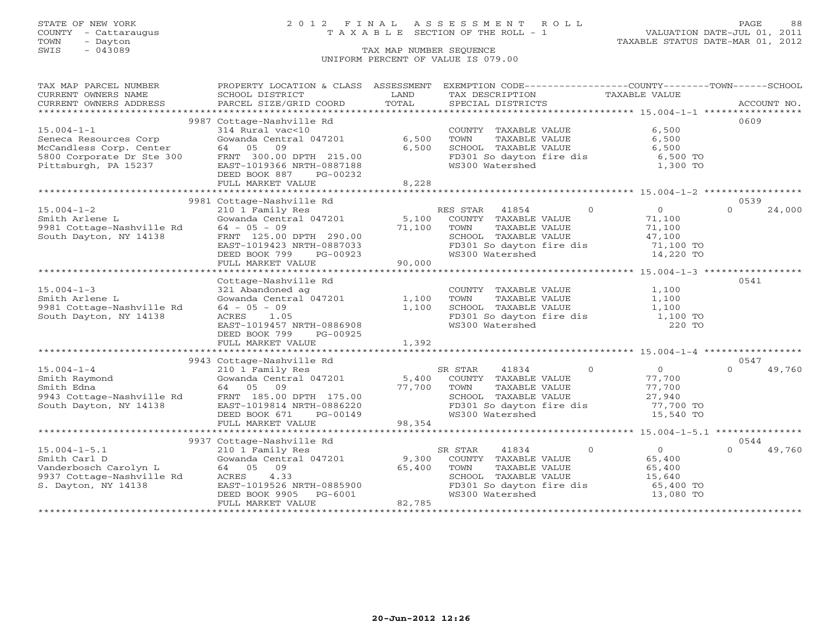# STATE OF NEW YORK 2 0 1 2 F I N A L A S S E S S M E N T R O L L PAGE 88 COUNTY - Cattaraugus T A X A B L E SECTION OF THE ROLL - 1 VALUATION DATE-JUL 01, 2011

TOWN - Dayton TAXABLE STATUS DATE-MAR 01, 2012

| TAX MAP PARCEL NUMBER                                                                                                                                                                                              | PROPERTY LOCATION & CLASS ASSESSMENT EXEMPTION CODE----------------COUNTY-------TOWN------SCHOOL |        |                                                           |                |                                                               |          |        |
|--------------------------------------------------------------------------------------------------------------------------------------------------------------------------------------------------------------------|--------------------------------------------------------------------------------------------------|--------|-----------------------------------------------------------|----------------|---------------------------------------------------------------|----------|--------|
| CURRENT OWNERS NAME                                                                                                                                                                                                | SCHOOL DISTRICT                                                                                  | LAND   | TAX DESCRIPTION TAXABLE VALUE                             |                |                                                               |          |        |
|                                                                                                                                                                                                                    |                                                                                                  |        |                                                           |                |                                                               |          |        |
|                                                                                                                                                                                                                    |                                                                                                  |        |                                                           |                |                                                               |          |        |
|                                                                                                                                                                                                                    | 9987 Cottage-Nashville Rd                                                                        |        |                                                           |                |                                                               | 0609     |        |
| $15.004 - 1 - 1$                                                                                                                                                                                                   | 314 Rural vac<10                                                                                 |        | COUNTY TAXABLE VALUE                                      |                | 6,500                                                         |          |        |
| Seneca Resources Corp<br>McCandless Corp. Center 64 05 09<br>5800 Corporate Dr Ste 300 FRNT 300.00 DPTH 215.00<br>Fittsburgh, PA 15237 EAST-1019366 NRTH-0887188<br>Pittsburgh, PA 15237 FAST-1019366 NRTH-0887188 |                                                                                                  | 6,500  | TOWN       TAXABLE  VALUE<br>SCHOOL    TAXABLE  VALUE     |                | 6,500                                                         |          |        |
|                                                                                                                                                                                                                    |                                                                                                  | 6,500  |                                                           |                | 6,500                                                         |          |        |
|                                                                                                                                                                                                                    |                                                                                                  |        |                                                           |                | FD301 So dayton fire dis 6,500 TO<br>WS300 Watershed 1,300 TO |          |        |
|                                                                                                                                                                                                                    |                                                                                                  |        |                                                           |                |                                                               |          |        |
|                                                                                                                                                                                                                    | DEED BOOK 887<br>PG-00232                                                                        |        |                                                           |                |                                                               |          |        |
|                                                                                                                                                                                                                    | FULL MARKET VALUE                                                                                | 8,228  |                                                           |                |                                                               |          |        |
|                                                                                                                                                                                                                    |                                                                                                  |        |                                                           |                |                                                               | 0539     |        |
| $15.004 - 1 - 2$                                                                                                                                                                                                   | 9981 Cottage-Nashville Rd<br>210 1 Family Res                                                    |        | RES STAR 41854                                            | $\cap$         | $\sim$ 0                                                      | $\Omega$ | 24,000 |
|                                                                                                                                                                                                                    |                                                                                                  |        |                                                           |                | 71,100                                                        |          |        |
|                                                                                                                                                                                                                    | Gowanda Central 047201 $\qquad \qquad 5,100$ COUNTY TAXABLE VALUE                                | 71,100 | TOWN                                                      | TAXABLE VALUE  | 71,100                                                        |          |        |
|                                                                                                                                                                                                                    |                                                                                                  |        |                                                           |                | 47,100                                                        |          |        |
| Smith Arlene L<br>9981 Cottage-Nashville Rd<br>500 South Dayton, NY 14138<br>72.00 DPTH 290.00<br>72.00 DPTH 290.00                                                                                                | EAST-1019423 NRTH-0887033                                                                        |        | SCHOOL TAXABLE VALUE<br>FD301 So dayton fire dis          |                | 71,100 TO                                                     |          |        |
|                                                                                                                                                                                                                    | DEED BOOK 799<br>PG-00923                                                                        |        | WS300 Watershed                                           |                | 14,220 TO                                                     |          |        |
|                                                                                                                                                                                                                    | FULL MARKET VALUE                                                                                | 90,000 |                                                           |                |                                                               |          |        |
|                                                                                                                                                                                                                    |                                                                                                  |        |                                                           |                |                                                               |          |        |
|                                                                                                                                                                                                                    | Cottage-Nashville Rd                                                                             |        |                                                           |                |                                                               | 0541     |        |
| $15.004 - 1 - 3$                                                                                                                                                                                                   |                                                                                                  |        | COUNTY TAXABLE VALUE                                      |                | 1,100                                                         |          |        |
| Smith Arlene L                                                                                                                                                                                                     |                                                                                                  |        | TOWN                                                      | TAXABLE VALUE  | 1,100                                                         |          |        |
| 9981 Cottage-Nashville Rd                                                                                                                                                                                          | 321 Abandoned ag<br>Gowanda Central 047201 1,100<br>64 - 05 - 09 1,100<br>ACPES 1.05             |        | SCHOOL TAXABLE VALUE                                      |                | 1,100                                                         |          |        |
| South Dayton, NY 14138                                                                                                                                                                                             | ACRES 1.05                                                                                       |        |                                                           |                | 1,100 TO                                                      |          |        |
|                                                                                                                                                                                                                    | EAST-1019457 NRTH-0886908                                                                        |        | FD301 So dayton fire dis<br>WS300 Watershed               |                | 220 TO                                                        |          |        |
|                                                                                                                                                                                                                    | DEED BOOK 799<br>PG-00925                                                                        |        |                                                           |                |                                                               |          |        |
|                                                                                                                                                                                                                    | FULL MARKET VALUE                                                                                | 1,392  |                                                           |                |                                                               |          |        |
|                                                                                                                                                                                                                    |                                                                                                  |        |                                                           |                |                                                               |          |        |
|                                                                                                                                                                                                                    | 9943 Cottage-Nashville Rd                                                                        |        |                                                           |                |                                                               | 0547     |        |
|                                                                                                                                                                                                                    |                                                                                                  |        |                                                           | $\overline{0}$ | $\overline{0}$                                                | $\Omega$ | 49,760 |
|                                                                                                                                                                                                                    |                                                                                                  |        |                                                           |                | 77,700                                                        |          |        |
|                                                                                                                                                                                                                    |                                                                                                  |        |                                                           | TAXABLE VALUE  |                                                               |          |        |
|                                                                                                                                                                                                                    |                                                                                                  |        |                                                           |                | 77,700<br>27,940                                              |          |        |
|                                                                                                                                                                                                                    |                                                                                                  |        |                                                           |                | FD301 So dayton fire dis 77,700 TO                            |          |        |
|                                                                                                                                                                                                                    |                                                                                                  |        | WS300 Watershed                                           |                | 15,540 TO                                                     |          |        |
|                                                                                                                                                                                                                    | FULL MARKET VALUE                                                                                | 98,354 |                                                           |                |                                                               |          |        |
|                                                                                                                                                                                                                    |                                                                                                  |        |                                                           |                |                                                               |          |        |
|                                                                                                                                                                                                                    | 9937 Cottage-Nashville Rd                                                                        |        |                                                           |                |                                                               | 0544     |        |
| $15.004 - 1 - 5.1$                                                                                                                                                                                                 | 210 1 Family Res                                                                                 |        | 41834<br>SR STAR                                          | $\overline{0}$ | $\overline{0}$                                                | $\Omega$ | 49,760 |
| Smith Carl D                                                                                                                                                                                                       | $Gowanda Central 047201$ 9,300                                                                   |        | COUNTY TAXABLE VALUE                                      |                | 65,400                                                        |          |        |
| Vanderbosch Carolyn L<br>9937 Cottage-Nashville Rd                                                                                                                                                                 | 64 05 09                                                                                         | 65,400 | TOWN      TAXABLE VALUE<br>SCHOOL   TAXABLE VALUE<br>TOWN |                | 65,400                                                        |          |        |
|                                                                                                                                                                                                                    | ACRES 4.33                                                                                       |        |                                                           |                | 15,640                                                        |          |        |
| S. Dayton, NY 14138                                                                                                                                                                                                | EAST-1019526 NRTH-0885900<br>DEED BOOK 9905 PG-6001                                              |        | FD301 So dayton fire dis                                  |                | 65,400 TO                                                     |          |        |
|                                                                                                                                                                                                                    |                                                                                                  | 82,785 | WS300 Watershed                                           |                | 13,080 TO                                                     |          |        |
|                                                                                                                                                                                                                    | FULL MARKET VALUE                                                                                |        |                                                           |                |                                                               |          |        |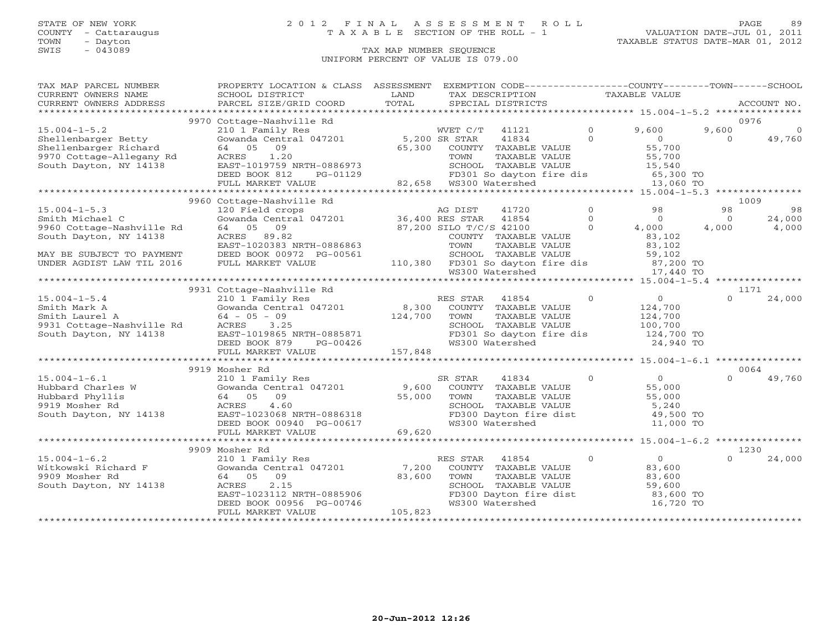## STATE OF NEW YORK 2 0 1 2 F I N A L A S S E S S M E N T R O L L PAGE 89 COUNTY - Cattaraugus T A X A B L E SECTION OF THE ROLL - 1 VALUATION DATE-JUL 01, 2011

| TAX MAP PARCEL NUMBER                                                                                 | PROPERTY LOCATION & CLASS ASSESSMENT                                                                                                                                                                                                                                                                                                                                                                                                                                                                                                  |         |                             |               |                      | EXEMPTION CODE-----------------COUNTY-------TOWN------SCHOOL                                                                                                                                                |                |                 |
|-------------------------------------------------------------------------------------------------------|---------------------------------------------------------------------------------------------------------------------------------------------------------------------------------------------------------------------------------------------------------------------------------------------------------------------------------------------------------------------------------------------------------------------------------------------------------------------------------------------------------------------------------------|---------|-----------------------------|---------------|----------------------|-------------------------------------------------------------------------------------------------------------------------------------------------------------------------------------------------------------|----------------|-----------------|
| CURRENT OWNERS NAME                                                                                   | SCHOOL DISTRICT                                                                                                                                                                                                                                                                                                                                                                                                                                                                                                                       | LAND    |                             |               |                      | TAX DESCRIPTION TAXABLE VALUE                                                                                                                                                                               |                |                 |
|                                                                                                       | $\begin{minipage}{.45\textwidth} \begin{minipage}{.45\textwidth} \begin{minipage}{.45\textwidth} \begin{minipage}{.45\textwidth} \begin{minipage}{.45\textwidth} \begin{minipage}{.45\textwidth} \begin{minipage}{.45\textwidth} \begin{minipage}{.45\textwidth} \begin{minipage}{.45\textwidth} \begin{minipage}{.45\textwidth} \begin{minipage}{.45\textwidth} \begin{minipage}{.45\textwidth} \begin{minipage}{.45\textwidth} \begin{minipage}{.45\textwidth} \begin{minipage}{.45\textwidth} \begin{minipage}{.45$                |         |                             |               |                      |                                                                                                                                                                                                             |                |                 |
|                                                                                                       |                                                                                                                                                                                                                                                                                                                                                                                                                                                                                                                                       |         |                             |               |                      |                                                                                                                                                                                                             |                |                 |
|                                                                                                       | 9970 Cottage-Nashville Rd                                                                                                                                                                                                                                                                                                                                                                                                                                                                                                             |         |                             |               |                      |                                                                                                                                                                                                             |                | 0976            |
| $15.004 - 1 - 5.2$                                                                                    | 210 1 Family Res<br>Gowanda Central 047201 5,200 SR STAR<br>64 05 09 65,300 COUNTY<br>ACRES 1.20 TOWN                                                                                                                                                                                                                                                                                                                                                                                                                                 |         | WVET C/T                    | 41121         | $\overline{0}$       | 9,600                                                                                                                                                                                                       | 9,600          | $\Omega$        |
| Shellenbarger Betty                                                                                   |                                                                                                                                                                                                                                                                                                                                                                                                                                                                                                                                       |         |                             |               |                      |                                                                                                                                                                                                             | $\Omega$       | 49,760          |
|                                                                                                       |                                                                                                                                                                                                                                                                                                                                                                                                                                                                                                                                       |         | 65,300 COUNTY TAXABLE VALUE |               |                      |                                                                                                                                                                                                             |                |                 |
| Shellenbarger Richard<br>9970 Cottage-Allegany Rd<br>South Dayton, NY 14138                           | ACRES 1.20                                                                                                                                                                                                                                                                                                                                                                                                                                                                                                                            |         |                             |               |                      |                                                                                                                                                                                                             |                |                 |
|                                                                                                       |                                                                                                                                                                                                                                                                                                                                                                                                                                                                                                                                       |         |                             |               |                      | EXECUTE 1834 0<br>COUNTY TAXABLE VALUE 55,700<br>TOWN TAXABLE VALUE 55,700<br>SCHOOL TAXABLE VALUE 55,700<br>SCHOOL TAXABLE VALUE 15,540<br>FD301 So dayton fire dis 65,300 TO<br>MS300 Watershed 13,060 TO |                |                 |
|                                                                                                       |                                                                                                                                                                                                                                                                                                                                                                                                                                                                                                                                       |         |                             |               |                      |                                                                                                                                                                                                             |                |                 |
|                                                                                                       |                                                                                                                                                                                                                                                                                                                                                                                                                                                                                                                                       |         |                             |               |                      |                                                                                                                                                                                                             |                |                 |
|                                                                                                       |                                                                                                                                                                                                                                                                                                                                                                                                                                                                                                                                       |         |                             |               |                      |                                                                                                                                                                                                             |                |                 |
|                                                                                                       | 9960 Cottage-Nashville Rd                                                                                                                                                                                                                                                                                                                                                                                                                                                                                                             |         |                             |               | 41720 0              | 98                                                                                                                                                                                                          | 98             | 1009<br>98      |
| $15.004 - 1 - 5.3$                                                                                    | 120 Field crops<br>Gowanda Central 047201 136,400 RES STAR 41854 1854 0                                                                                                                                                                                                                                                                                                                                                                                                                                                               |         |                             |               |                      |                                                                                                                                                                                                             |                |                 |
| Smith Michael C                                                                                       | 64 05 09                                                                                                                                                                                                                                                                                                                                                                                                                                                                                                                              |         | $37,200$ SILO T/C/S 42100   |               | $\Omega$             | $\overline{0}$                                                                                                                                                                                              | $\overline{0}$ | 24,000<br>4,000 |
| 9960 Cottage-Nashville Rd                                                                             |                                                                                                                                                                                                                                                                                                                                                                                                                                                                                                                                       |         |                             |               |                      | 4,000                                                                                                                                                                                                       | 4,000          |                 |
| South Dayton, NY 14138                                                                                | ACRES 89.82                                                                                                                                                                                                                                                                                                                                                                                                                                                                                                                           |         | COUNTY TAXABLE VALUE        |               |                      | 83,102                                                                                                                                                                                                      |                |                 |
|                                                                                                       | EAST-1020383 NRTH-0886863                                                                                                                                                                                                                                                                                                                                                                                                                                                                                                             |         |                             |               |                      |                                                                                                                                                                                                             |                |                 |
| MAY BE SUBJECT TO PAYMENT                                                                             | DEED BOOK 00972 PG-00561                                                                                                                                                                                                                                                                                                                                                                                                                                                                                                              |         |                             |               |                      |                                                                                                                                                                                                             |                |                 |
| UNDER AGDIST LAW TIL 2016                                                                             | FULL MARKET VALUE                                                                                                                                                                                                                                                                                                                                                                                                                                                                                                                     |         |                             |               |                      | TOWN TAXABLE VALUE 083,102<br>SCHOOL TAXABLE VALUE 59,102<br>110,380 FD301 So dayton fire dis 07,200 TO<br>WS300 Watershed 17,440 TO                                                                        |                |                 |
|                                                                                                       |                                                                                                                                                                                                                                                                                                                                                                                                                                                                                                                                       |         |                             |               |                      |                                                                                                                                                                                                             |                |                 |
|                                                                                                       | 9931 Cottage-Nashville Rd<br>$\begin{tabular}{lllllllllll} \multicolumn{2}{c}{\begin{tabular}{l} \multicolumn{2}{c}{\text{C1U 1 Family Res}}\\ \multicolumn{2}{c}{\text{Gowanda Central 047201}} \end{tabular} & \multicolumn{2}{c}{\begin{tabular}{l} \multicolumn{2}{c}{\text{RES STAR}} \end{tabular} & \multicolumn{2}{c}{\begin{tabular}{l} \multicolumn{2}{c}{\text{RES STR}} \end{tabular} & \multicolumn{2}{c}{\begin{tabular}{l} \multicolumn{2}{c}{\text{RES STR}} \end{tabular} & \multicolumn{2}{c}{\begin{tabular}{l} \$ |         |                             |               |                      |                                                                                                                                                                                                             |                | 1171            |
| $15.004 - 1 - 5.4$                                                                                    |                                                                                                                                                                                                                                                                                                                                                                                                                                                                                                                                       |         |                             |               | $\overline{0}$       |                                                                                                                                                                                                             | $\Omega$       | 24,000          |
|                                                                                                       |                                                                                                                                                                                                                                                                                                                                                                                                                                                                                                                                       |         |                             |               |                      | $\begin{array}{c} 0 \\ 124,700 \end{array}$                                                                                                                                                                 |                |                 |
| 15.004-1-5.4<br>Smith Mark A<br>Smith Laurel A<br>9931 Cottage-Nashville Rd<br>South Dayton, NY 14138 |                                                                                                                                                                                                                                                                                                                                                                                                                                                                                                                                       |         |                             | TAXABLE VALUE |                      |                                                                                                                                                                                                             |                |                 |
|                                                                                                       |                                                                                                                                                                                                                                                                                                                                                                                                                                                                                                                                       |         |                             |               |                      | 124,700<br>100,700                                                                                                                                                                                          |                |                 |
|                                                                                                       |                                                                                                                                                                                                                                                                                                                                                                                                                                                                                                                                       |         | FD301 So dayton fire dis    |               |                      |                                                                                                                                                                                                             |                |                 |
|                                                                                                       | ACKES 3.25<br>EAST-1019865 NRTH-0885871<br>DEED BOOK 879 PG-00426<br>THI WINGT-                                                                                                                                                                                                                                                                                                                                                                                                                                                       |         | WS300 Watershed             |               |                      | 124,700 TO<br>24,940 TO                                                                                                                                                                                     |                |                 |
|                                                                                                       | FULL MARKET VALUE                                                                                                                                                                                                                                                                                                                                                                                                                                                                                                                     | 157,848 |                             |               |                      |                                                                                                                                                                                                             |                |                 |
|                                                                                                       |                                                                                                                                                                                                                                                                                                                                                                                                                                                                                                                                       |         |                             |               |                      |                                                                                                                                                                                                             |                |                 |
|                                                                                                       | 9919 Mosher Rd                                                                                                                                                                                                                                                                                                                                                                                                                                                                                                                        |         |                             |               |                      |                                                                                                                                                                                                             |                | 0064            |
|                                                                                                       |                                                                                                                                                                                                                                                                                                                                                                                                                                                                                                                                       |         | SR STAR                     |               | 41834 0              | 0<br>55,000<br>55,000                                                                                                                                                                                       | $\cap$         | 49,760          |
|                                                                                                       |                                                                                                                                                                                                                                                                                                                                                                                                                                                                                                                                       |         |                             |               |                      |                                                                                                                                                                                                             |                |                 |
|                                                                                                       |                                                                                                                                                                                                                                                                                                                                                                                                                                                                                                                                       |         |                             |               |                      |                                                                                                                                                                                                             |                |                 |
|                                                                                                       | 210 Franch 197201<br>Gowanda Central 047201<br>9,600 COUNTY TAXABLE VALUE<br>64 05 09 55,000 TOWN TAXABLE VALUE<br>ACRES 4.60 SCHOOL TAXABLE VALUE                                                                                                                                                                                                                                                                                                                                                                                    |         |                             |               |                      |                                                                                                                                                                                                             |                |                 |
|                                                                                                       |                                                                                                                                                                                                                                                                                                                                                                                                                                                                                                                                       |         |                             |               |                      | SCHOOL TAXABLE VALUE<br>FD300 Dayton fire dist 5,240<br>49,500 TO 41,000 TO                                                                                                                                 |                |                 |
|                                                                                                       |                                                                                                                                                                                                                                                                                                                                                                                                                                                                                                                                       |         | WS300 Watershed             |               |                      | 11,000 TO                                                                                                                                                                                                   |                |                 |
|                                                                                                       | 15.004-1-6.1<br>Hubbard Charles W (Gowanda Central 047201<br>Hubbard Phyllis (4 05 09 55,000<br>9919 Mosher Rd (ACRES 4.60<br>South Dayton, NY 14138 EAST-1023068 NRTH-0886318<br>DEED BOOK 00940 PG-00617<br>THE MARKET VALUE (69,620                                                                                                                                                                                                                                                                                                |         |                             |               |                      |                                                                                                                                                                                                             |                |                 |
|                                                                                                       |                                                                                                                                                                                                                                                                                                                                                                                                                                                                                                                                       |         |                             |               |                      |                                                                                                                                                                                                             |                |                 |
|                                                                                                       | 9909 Mosher Rd                                                                                                                                                                                                                                                                                                                                                                                                                                                                                                                        |         |                             |               |                      |                                                                                                                                                                                                             |                | 1230            |
| $15.004 - 1 - 6.2$                                                                                    | 210 1 Family Res<br>Gowanda Central 047201 7,200<br>64 05 09                                                                                                                                                                                                                                                                                                                                                                                                                                                                          |         | RES STAR                    | 41854         | $\circ$              | $\begin{array}{c} 0 \\ 83,600 \end{array}$                                                                                                                                                                  | $\cap$         | 24,000          |
| Witkowski Richard F                                                                                   |                                                                                                                                                                                                                                                                                                                                                                                                                                                                                                                                       |         |                             |               | COUNTY TAXABLE VALUE |                                                                                                                                                                                                             |                |                 |
| 9909 Mosher Rd                                                                                        |                                                                                                                                                                                                                                                                                                                                                                                                                                                                                                                                       | 83,600  |                             |               |                      |                                                                                                                                                                                                             |                |                 |
| South Dayton, NY 14138                                                                                |                                                                                                                                                                                                                                                                                                                                                                                                                                                                                                                                       |         |                             |               |                      |                                                                                                                                                                                                             |                |                 |
|                                                                                                       |                                                                                                                                                                                                                                                                                                                                                                                                                                                                                                                                       |         |                             |               |                      | FD300 Dayton fire dist $83,600$ TO                                                                                                                                                                          |                |                 |
|                                                                                                       | EAST-1023112 NRTH-0885906<br>DEED BOOK 00956 PG-00746<br>FULL MARKET VALUE                                                                                                                                                                                                                                                                                                                                                                                                                                                            |         | WS300 Watershed             |               |                      | 16,720 TO                                                                                                                                                                                                   |                |                 |
|                                                                                                       | FULL MARKET VALUE                                                                                                                                                                                                                                                                                                                                                                                                                                                                                                                     | 105,823 |                             |               |                      |                                                                                                                                                                                                             |                |                 |
|                                                                                                       |                                                                                                                                                                                                                                                                                                                                                                                                                                                                                                                                       |         |                             |               |                      |                                                                                                                                                                                                             |                |                 |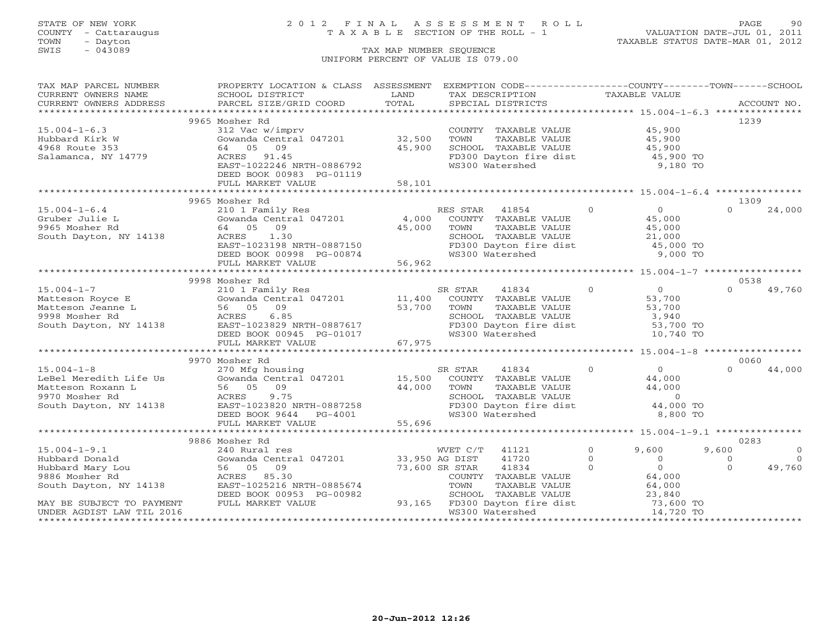# STATE OF NEW YORK 2 0 1 2 F I N A L A S S E S S M E N T R O L L PAGE 90 COUNTY - Cattaraugus T A X A B L E SECTION OF THE ROLL - 1 VALUATION DATE-JUL 01, 2011

TOWN - Dayton TAXABLE STATUS DATE-MAR 01, 2012

| TAX MAP PARCEL NUMBER                                                                                                                                                                                                                                                                                                                                                                                                                                                          | PROPERTY LOCATION & CLASS ASSESSMENT EXEMPTION CODE----------------COUNTY-------TOWN------SCHOOL                                                                                                                                       |        |                                                                                                                                                                                                                                            |                      |                         |
|--------------------------------------------------------------------------------------------------------------------------------------------------------------------------------------------------------------------------------------------------------------------------------------------------------------------------------------------------------------------------------------------------------------------------------------------------------------------------------|----------------------------------------------------------------------------------------------------------------------------------------------------------------------------------------------------------------------------------------|--------|--------------------------------------------------------------------------------------------------------------------------------------------------------------------------------------------------------------------------------------------|----------------------|-------------------------|
|                                                                                                                                                                                                                                                                                                                                                                                                                                                                                |                                                                                                                                                                                                                                        |        |                                                                                                                                                                                                                                            |                      |                         |
| $\begin{tabular}{lllllll} \multicolumn{2}{c}{\textbf{CURRENT}} & \multicolumn{2}{c}{\textbf{WWERS}} & \multicolumn{2}{c}{\textbf{NAME}} & \multicolumn{2}{c}{\textbf{SCHOOL}} & \multicolumn{2}{c}{\textbf{LAND}} & \multicolumn{2}{c}{\textbf{TAX} \textbf{DESCRIPTION}} & \multicolumn{2}{c}{\textbf{TAXABLE} \textbf{ VALUE}} & \multicolumn{2}{c}{\textbf{ACCOUNT NO.}} \\ & \multicolumn{2}{c}{\textbf{CURRENT}} & \multicolumn{2}{c}{\textbf{WURERS} \textbf{ ADDRES} &$ |                                                                                                                                                                                                                                        |        |                                                                                                                                                                                                                                            |                      |                         |
|                                                                                                                                                                                                                                                                                                                                                                                                                                                                                |                                                                                                                                                                                                                                        |        |                                                                                                                                                                                                                                            |                      |                         |
|                                                                                                                                                                                                                                                                                                                                                                                                                                                                                | 9965 Mosher Rd                                                                                                                                                                                                                         |        |                                                                                                                                                                                                                                            |                      | 1239                    |
| $15.004 - 1 - 6.3$                                                                                                                                                                                                                                                                                                                                                                                                                                                             | 312 Vac w/imprv                                                                                                                                                                                                                        |        | COUNTY TAXABLE VALUE $45,900$<br>TOWN TAXABLE VALUE $45,900$<br>SCHOOL TAXABLE VALUE $45,900$<br>FD300 Dayton fire dist $45,900$ TO<br>WS300 Watershed $9,180$ TO                                                                          |                      |                         |
| Hubbard Kirk W                                                                                                                                                                                                                                                                                                                                                                                                                                                                 | $\begin{array}{lll}\n\text{Gowanda} & \text{w/mprv} \\ \text{Gowanda} & \text{Central} & 047201 & 32,500\n\end{array}$                                                                                                                 |        |                                                                                                                                                                                                                                            |                      |                         |
| 4968 Route 353                                                                                                                                                                                                                                                                                                                                                                                                                                                                 | 64 05 09                                                                                                                                                                                                                               | 45,900 |                                                                                                                                                                                                                                            |                      |                         |
| Salamanca, NY 14779                                                                                                                                                                                                                                                                                                                                                                                                                                                            | ACRES 91.45                                                                                                                                                                                                                            |        |                                                                                                                                                                                                                                            |                      |                         |
|                                                                                                                                                                                                                                                                                                                                                                                                                                                                                | EAST-1022246 NRTH-0886792                                                                                                                                                                                                              |        |                                                                                                                                                                                                                                            |                      |                         |
|                                                                                                                                                                                                                                                                                                                                                                                                                                                                                | DEED BOOK 00983 PG-01119                                                                                                                                                                                                               |        |                                                                                                                                                                                                                                            |                      |                         |
|                                                                                                                                                                                                                                                                                                                                                                                                                                                                                | FULL MARKET VALUE                                                                                                                                                                                                                      | 58,101 |                                                                                                                                                                                                                                            |                      |                         |
|                                                                                                                                                                                                                                                                                                                                                                                                                                                                                |                                                                                                                                                                                                                                        |        |                                                                                                                                                                                                                                            |                      |                         |
|                                                                                                                                                                                                                                                                                                                                                                                                                                                                                | 9965 Mosher Rd                                                                                                                                                                                                                         |        |                                                                                                                                                                                                                                            |                      | 1309                    |
| $15.004 - 1 - 6.4$                                                                                                                                                                                                                                                                                                                                                                                                                                                             | 210 1 Family Res                                                                                                                                                                                                                       |        | RES STAR 41854                                                                                                                                                                                                                             | $\overline{0}$ 0     | $\Omega$<br>24,000      |
| Gruber Julie L                                                                                                                                                                                                                                                                                                                                                                                                                                                                 | Gowanda Central 047201 4,000                                                                                                                                                                                                           |        | COUNTY TAXABLE VALUE                                                                                                                                                                                                                       | $45,000$<br>$45,000$ |                         |
| 9965 Mosher Rd                                                                                                                                                                                                                                                                                                                                                                                                                                                                 |                                                                                                                                                                                                                                        |        |                                                                                                                                                                                                                                            |                      |                         |
| South Dayton, NY 14138                                                                                                                                                                                                                                                                                                                                                                                                                                                         |                                                                                                                                                                                                                                        |        |                                                                                                                                                                                                                                            |                      |                         |
|                                                                                                                                                                                                                                                                                                                                                                                                                                                                                |                                                                                                                                                                                                                                        |        |                                                                                                                                                                                                                                            |                      |                         |
|                                                                                                                                                                                                                                                                                                                                                                                                                                                                                |                                                                                                                                                                                                                                        |        |                                                                                                                                                                                                                                            |                      |                         |
|                                                                                                                                                                                                                                                                                                                                                                                                                                                                                | 1,000 COMM PARABLE VALUE 15 AGA 64 05 09<br>15 Mosher Rd 64 05 09 45,000 TOWN TAXABLE VALUE 45,000<br>16 EAST-1023198 NRTH-0887150 FD300 Dayton fire dist 45,000 TO<br>DEED BOOK 00998 PG-00874 66,962 FULL MARKET VALUE 56,962<br>FUL |        |                                                                                                                                                                                                                                            |                      |                         |
|                                                                                                                                                                                                                                                                                                                                                                                                                                                                                |                                                                                                                                                                                                                                        |        |                                                                                                                                                                                                                                            |                      |                         |
|                                                                                                                                                                                                                                                                                                                                                                                                                                                                                | 9998 Mosher Rd                                                                                                                                                                                                                         |        |                                                                                                                                                                                                                                            |                      | 0538                    |
|                                                                                                                                                                                                                                                                                                                                                                                                                                                                                |                                                                                                                                                                                                                                        |        |                                                                                                                                                                                                                                            |                      | 49,760<br>$\Omega$      |
|                                                                                                                                                                                                                                                                                                                                                                                                                                                                                |                                                                                                                                                                                                                                        |        |                                                                                                                                                                                                                                            |                      |                         |
|                                                                                                                                                                                                                                                                                                                                                                                                                                                                                |                                                                                                                                                                                                                                        |        |                                                                                                                                                                                                                                            |                      |                         |
|                                                                                                                                                                                                                                                                                                                                                                                                                                                                                |                                                                                                                                                                                                                                        |        |                                                                                                                                                                                                                                            |                      |                         |
|                                                                                                                                                                                                                                                                                                                                                                                                                                                                                |                                                                                                                                                                                                                                        |        |                                                                                                                                                                                                                                            |                      |                         |
|                                                                                                                                                                                                                                                                                                                                                                                                                                                                                |                                                                                                                                                                                                                                        |        |                                                                                                                                                                                                                                            |                      |                         |
|                                                                                                                                                                                                                                                                                                                                                                                                                                                                                |                                                                                                                                                                                                                                        |        |                                                                                                                                                                                                                                            |                      |                         |
|                                                                                                                                                                                                                                                                                                                                                                                                                                                                                | 9970 Mosher Rd                                                                                                                                                                                                                         |        |                                                                                                                                                                                                                                            |                      | 0060                    |
|                                                                                                                                                                                                                                                                                                                                                                                                                                                                                |                                                                                                                                                                                                                                        |        |                                                                                                                                                                                                                                            |                      | $\Omega$<br>44,000      |
|                                                                                                                                                                                                                                                                                                                                                                                                                                                                                |                                                                                                                                                                                                                                        |        |                                                                                                                                                                                                                                            |                      |                         |
|                                                                                                                                                                                                                                                                                                                                                                                                                                                                                |                                                                                                                                                                                                                                        |        |                                                                                                                                                                                                                                            |                      |                         |
|                                                                                                                                                                                                                                                                                                                                                                                                                                                                                |                                                                                                                                                                                                                                        |        |                                                                                                                                                                                                                                            |                      |                         |
|                                                                                                                                                                                                                                                                                                                                                                                                                                                                                |                                                                                                                                                                                                                                        |        |                                                                                                                                                                                                                                            |                      |                         |
|                                                                                                                                                                                                                                                                                                                                                                                                                                                                                |                                                                                                                                                                                                                                        |        | EXECUTE 11 THE SERVICE SERVICE SERVICE SERVICE SERVICE SERVICE SERVICE SERVICE SERVICE SERVICE SERVICE SERVICE<br>WES 1900 Watershed S.800 TO                                                                                              | 8,800 TO             |                         |
|                                                                                                                                                                                                                                                                                                                                                                                                                                                                                | FULL MARKET VALUE                                                                                                                                                                                                                      | 55,696 |                                                                                                                                                                                                                                            |                      |                         |
|                                                                                                                                                                                                                                                                                                                                                                                                                                                                                |                                                                                                                                                                                                                                        |        |                                                                                                                                                                                                                                            |                      |                         |
|                                                                                                                                                                                                                                                                                                                                                                                                                                                                                | 9886 Mosher Rd                                                                                                                                                                                                                         |        |                                                                                                                                                                                                                                            |                      | 0283                    |
| $15.004 - 1 - 9.1$                                                                                                                                                                                                                                                                                                                                                                                                                                                             | 240 Rural res                                                                                                                                                                                                                          |        | WVET C/T 41121 0                                                                                                                                                                                                                           | 9,600                | 9,600<br>$\overline{0}$ |
|                                                                                                                                                                                                                                                                                                                                                                                                                                                                                |                                                                                                                                                                                                                                        |        |                                                                                                                                                                                                                                            |                      | $\overline{0}$          |
| Hubbard Donald<br>Hubbard Mary Lou<br>9886 Mosher Rd<br>South Dayton, NY 14138                                                                                                                                                                                                                                                                                                                                                                                                 | Gowanda Central 047201 33,950 AG DIST<br>56 05 09 73,600 SR STAR                                                                                                                                                                       |        |                                                                                                                                                                                                                                            |                      | 49,760                  |
|                                                                                                                                                                                                                                                                                                                                                                                                                                                                                | ACRES 85.30                                                                                                                                                                                                                            |        |                                                                                                                                                                                                                                            |                      |                         |
|                                                                                                                                                                                                                                                                                                                                                                                                                                                                                | EAST-1025216 NRTH-0885674                                                                                                                                                                                                              |        |                                                                                                                                                                                                                                            |                      |                         |
|                                                                                                                                                                                                                                                                                                                                                                                                                                                                                | DEED BOOK 00953 PG-00982                                                                                                                                                                                                               |        |                                                                                                                                                                                                                                            |                      |                         |
| MAY BE SUBJECT TO PAYMENT                                                                                                                                                                                                                                                                                                                                                                                                                                                      | DEED BOOK 00953 I<br>FULL MARKET VALUE                                                                                                                                                                                                 |        | WVET C/T 41121 0 5,000 5,000 5,000<br>33,950 AG DIST 41720 0 0 0<br>73,600 SR STAR 41834 0 0 0 0<br>COUNTY TAXABLE VALUE 64,000<br>TOWN TAXABLE VALUE 64,000<br>3-00982 SCHOOL TAXABLE VALUE 23,840<br>93,165 FD300 Dayton fire dist 73,60 |                      |                         |
| UNDER AGDIST LAW TIL 2016                                                                                                                                                                                                                                                                                                                                                                                                                                                      |                                                                                                                                                                                                                                        |        |                                                                                                                                                                                                                                            |                      |                         |
|                                                                                                                                                                                                                                                                                                                                                                                                                                                                                |                                                                                                                                                                                                                                        |        |                                                                                                                                                                                                                                            |                      |                         |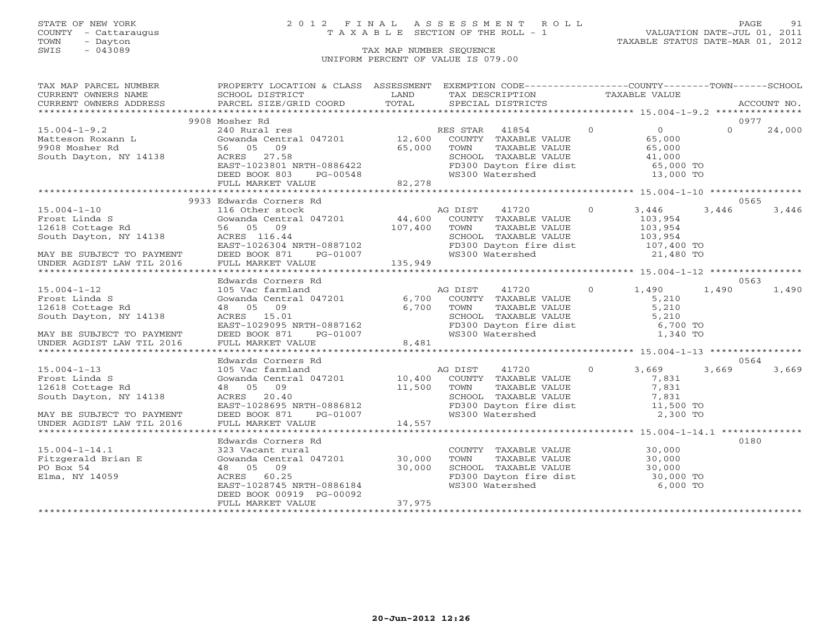COUNTY - Cattaraugus T A X A B L E SECTION OF THE ROLL - 1<br>TOWN - Dayton<br>SWIS - 043089 TAX MAP NUMBER SEQUENCE

# STATE OF NEW YORK 2 0 1 2 F I N A L A S S E S S M E N T R O L L PAGE 91

VALUATION DATE-JUL 01, 2011 TAXABLE STATUS DATE-MAR 01, 2012

### TAX MAP NUMBER SEQUENCE UNIFORM PERCENT OF VALUE IS 079.00

| TAX MAP PARCEL NUMBER                                                                                                                                                                                                                                                                                                                                                                 | PROPERTY LOCATION & CLASS ASSESSMENT EXEMPTION CODE----------------COUNTY-------TOWN------SCHOOL                                                                                                                                           |        |                                                                                                                                                         |          |          |        |
|---------------------------------------------------------------------------------------------------------------------------------------------------------------------------------------------------------------------------------------------------------------------------------------------------------------------------------------------------------------------------------------|--------------------------------------------------------------------------------------------------------------------------------------------------------------------------------------------------------------------------------------------|--------|---------------------------------------------------------------------------------------------------------------------------------------------------------|----------|----------|--------|
| CURRENT OWNERS NAME<br>CURRENT OWNERS NAME SCHOOL DISTRICT – ------ ------- ------- TAX DESCRIPTION TAXABLE VALUE<br>CURRENT OWNERS ADDRESS PARCEL SIZE/GRID COORD TOTAL SPECIAL DISTRICTS ACCOUNT NO.<br>*****************************                                                                                                                                               |                                                                                                                                                                                                                                            |        |                                                                                                                                                         |          |          |        |
|                                                                                                                                                                                                                                                                                                                                                                                       |                                                                                                                                                                                                                                            |        |                                                                                                                                                         |          |          |        |
|                                                                                                                                                                                                                                                                                                                                                                                       |                                                                                                                                                                                                                                            |        |                                                                                                                                                         |          |          |        |
|                                                                                                                                                                                                                                                                                                                                                                                       | 9908 Mosher Rd                                                                                                                                                                                                                             |        |                                                                                                                                                         |          | 0977     |        |
| $15.004 - 1 - 9.2$                                                                                                                                                                                                                                                                                                                                                                    | Mosher Rd<br>240 Rural res<br>Gwamda Central 047201 12,600 COUNTY TAXABLE VALUE 65,000<br>65,000 TOWN TAXABLE VALUE 65,000<br>ACRES 27.58 SCHOOL TAXABLE VALUE 65,000<br>EAST-1023801 NRTH-0886422 FD300 Dayton fire dist 41,000<br>DEED B |        |                                                                                                                                                         |          | $\Omega$ | 24,000 |
|                                                                                                                                                                                                                                                                                                                                                                                       |                                                                                                                                                                                                                                            |        |                                                                                                                                                         |          |          |        |
|                                                                                                                                                                                                                                                                                                                                                                                       |                                                                                                                                                                                                                                            |        |                                                                                                                                                         |          |          |        |
| Matteson Roxann L Gowanda Centra<br>9908 Mosher Rd 56 05 09<br>South Dayton, NY 14138 ACRES 27.58                                                                                                                                                                                                                                                                                     |                                                                                                                                                                                                                                            |        |                                                                                                                                                         |          |          |        |
|                                                                                                                                                                                                                                                                                                                                                                                       |                                                                                                                                                                                                                                            |        |                                                                                                                                                         |          |          |        |
|                                                                                                                                                                                                                                                                                                                                                                                       |                                                                                                                                                                                                                                            |        |                                                                                                                                                         |          |          |        |
|                                                                                                                                                                                                                                                                                                                                                                                       |                                                                                                                                                                                                                                            |        |                                                                                                                                                         |          |          |        |
|                                                                                                                                                                                                                                                                                                                                                                                       |                                                                                                                                                                                                                                            |        |                                                                                                                                                         |          |          |        |
|                                                                                                                                                                                                                                                                                                                                                                                       | 9933 Edwards Corners Rd                                                                                                                                                                                                                    |        |                                                                                                                                                         |          | 0565     |        |
|                                                                                                                                                                                                                                                                                                                                                                                       |                                                                                                                                                                                                                                            |        |                                                                                                                                                         |          |          |        |
|                                                                                                                                                                                                                                                                                                                                                                                       |                                                                                                                                                                                                                                            |        |                                                                                                                                                         |          |          |        |
|                                                                                                                                                                                                                                                                                                                                                                                       |                                                                                                                                                                                                                                            |        |                                                                                                                                                         |          |          |        |
|                                                                                                                                                                                                                                                                                                                                                                                       |                                                                                                                                                                                                                                            |        |                                                                                                                                                         |          |          |        |
|                                                                                                                                                                                                                                                                                                                                                                                       |                                                                                                                                                                                                                                            |        |                                                                                                                                                         |          |          |        |
| 15.004-1-10<br>Frost Linda S 2015 EXERC 2016 SOMMAN SUNG AND TAXABLE VALUE 103,954<br>16 Other stock and the stock and the stock and the stock and the stock of the stock and the stock and the stock<br>16 Other stock and the st                                                                                                                                                    |                                                                                                                                                                                                                                            |        |                                                                                                                                                         |          |          |        |
|                                                                                                                                                                                                                                                                                                                                                                                       |                                                                                                                                                                                                                                            |        |                                                                                                                                                         |          |          |        |
|                                                                                                                                                                                                                                                                                                                                                                                       |                                                                                                                                                                                                                                            |        |                                                                                                                                                         |          |          |        |
|                                                                                                                                                                                                                                                                                                                                                                                       | Edwards Corners Rd                                                                                                                                                                                                                         |        |                                                                                                                                                         |          | 0563     |        |
| $15.004 - 1 - 12$                                                                                                                                                                                                                                                                                                                                                                     |                                                                                                                                                                                                                                            |        |                                                                                                                                                         |          |          | 1,490  |
| Frost Linda S<br>12618 Cottage Rd                                                                                                                                                                                                                                                                                                                                                     |                                                                                                                                                                                                                                            |        |                                                                                                                                                         |          |          |        |
|                                                                                                                                                                                                                                                                                                                                                                                       |                                                                                                                                                                                                                                            |        |                                                                                                                                                         |          |          |        |
| South Dayton, NY 14138                                                                                                                                                                                                                                                                                                                                                                |                                                                                                                                                                                                                                            |        |                                                                                                                                                         |          |          |        |
| MAY BE SUBJECT TO PAYMENT                                                                                                                                                                                                                                                                                                                                                             |                                                                                                                                                                                                                                            |        |                                                                                                                                                         |          |          |        |
|                                                                                                                                                                                                                                                                                                                                                                                       | EURALIUS COMENT MANUS CONTRAINS CONTRAINS CONTRAINS AND TRIST AND TRIST AND RESUMING CONTRAINS AND TRIST AND TRIST AND TRIST AND TRIST AND SATISFY AND TRIST AND SATISFY AND SATISFY AND SATISFY AND SATISFY AND SATISFY AND S             |        |                                                                                                                                                         |          |          |        |
|                                                                                                                                                                                                                                                                                                                                                                                       |                                                                                                                                                                                                                                            |        |                                                                                                                                                         |          |          |        |
|                                                                                                                                                                                                                                                                                                                                                                                       | Edwards Corners Rd                                                                                                                                                                                                                         |        |                                                                                                                                                         |          | 0564     |        |
|                                                                                                                                                                                                                                                                                                                                                                                       |                                                                                                                                                                                                                                            |        |                                                                                                                                                         |          |          |        |
|                                                                                                                                                                                                                                                                                                                                                                                       |                                                                                                                                                                                                                                            |        |                                                                                                                                                         |          |          |        |
|                                                                                                                                                                                                                                                                                                                                                                                       |                                                                                                                                                                                                                                            |        |                                                                                                                                                         |          |          |        |
|                                                                                                                                                                                                                                                                                                                                                                                       |                                                                                                                                                                                                                                            |        |                                                                                                                                                         |          |          |        |
|                                                                                                                                                                                                                                                                                                                                                                                       |                                                                                                                                                                                                                                            |        |                                                                                                                                                         |          |          |        |
|                                                                                                                                                                                                                                                                                                                                                                                       |                                                                                                                                                                                                                                            |        |                                                                                                                                                         |          |          |        |
| $\begin{tabular}{lllllllllllllllllll} \textbf{15.004--1-13} & \textbf{Edwards Conners Rd} & \textbf{AG DIST} & \textbf{11720} & \textbf{0} & \textbf{3,669} & \textbf{3,669} & \textbf{3,669} & \textbf{3,669} & \textbf{3,669} & \textbf{3,669} & \textbf{3,669} & \textbf{3,669} & \textbf{3,669} & \textbf{3,669} & \textbf{3,669} & \textbf{3,669} & \textbf{3,669} & \textbf{3,$ |                                                                                                                                                                                                                                            |        |                                                                                                                                                         |          |          |        |
|                                                                                                                                                                                                                                                                                                                                                                                       |                                                                                                                                                                                                                                            |        |                                                                                                                                                         |          |          |        |
|                                                                                                                                                                                                                                                                                                                                                                                       | Edwards Corners Rd                                                                                                                                                                                                                         |        |                                                                                                                                                         |          | 0180     |        |
| $15.004 - 1 - 14.1$                                                                                                                                                                                                                                                                                                                                                                   |                                                                                                                                                                                                                                            |        | COUNTY TAXABLE VALUE<br>TOWN TAXABLE VALUE 30,000<br>SCHOOL TAXABLE VALUE 30,000<br>FD300 Dayton fire dist 30,000 TO<br>WS300 Maton fire dist 30,000 TO |          |          |        |
| 15.004-1-14.1<br>Fitzgerald Brian E<br>DO Berr LA                                                                                                                                                                                                                                                                                                                                     | 323 Vacant rural<br>Gowanda Central 047201     30,000<br>48  05   09                                                                                                                                                                       |        |                                                                                                                                                         |          |          |        |
| PO Box 54                                                                                                                                                                                                                                                                                                                                                                             | 48 05 09                                                                                                                                                                                                                                   | 30,000 |                                                                                                                                                         |          |          |        |
| Elma, NY 14059                                                                                                                                                                                                                                                                                                                                                                        |                                                                                                                                                                                                                                            |        |                                                                                                                                                         |          |          |        |
|                                                                                                                                                                                                                                                                                                                                                                                       | ACRES 60.25<br>EAST-1028745 NRTH-0886184                                                                                                                                                                                                   |        | WS300 Watershed                                                                                                                                         | 6,000 TO |          |        |
|                                                                                                                                                                                                                                                                                                                                                                                       | DEED BOOK 00919 PG-00092                                                                                                                                                                                                                   |        |                                                                                                                                                         |          |          |        |
|                                                                                                                                                                                                                                                                                                                                                                                       | FULL MARKET VALUE                                                                                                                                                                                                                          | 37,975 |                                                                                                                                                         |          |          |        |
|                                                                                                                                                                                                                                                                                                                                                                                       |                                                                                                                                                                                                                                            |        |                                                                                                                                                         |          |          |        |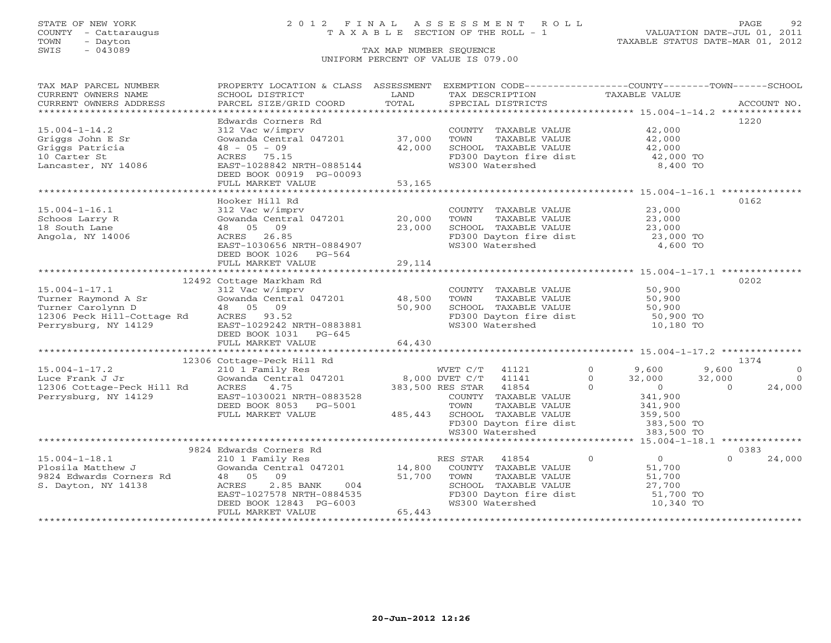# STATE OF NEW YORK 2 0 1 2 F I N A L A S S E S S M E N T R O L L PAGE 92 COUNTY - Cattaraugus T A X A B L E SECTION OF THE ROLL - 1 VALUATION DATE-JUL 01, 2011

| TAX MAP PARCEL NUMBER<br>CURRENT OWNERS NAME | PROPERTY LOCATION & CLASS ASSESSMENT<br>SCHOOL DISTRICT                | LAND    | EXEMPTION CODE----------------COUNTY-------TOWN------SCHOOL<br>TAX DESCRIPTION              | TAXABLE VALUE                         |                          |
|----------------------------------------------|------------------------------------------------------------------------|---------|---------------------------------------------------------------------------------------------|---------------------------------------|--------------------------|
| CURRENT OWNERS ADDRESS                       | PARCEL SIZE/GRID COORD                                                 | TOTAL   | SPECIAL DISTRICTS                                                                           |                                       | ACCOUNT NO.              |
|                                              |                                                                        |         |                                                                                             |                                       |                          |
|                                              | Edwards Corners Rd                                                     |         |                                                                                             |                                       | 1220                     |
| $15.004 - 1 - 14.2$                          | 312 Vac w/imprv                                                        |         | COUNTY TAXABLE VALUE 42,000                                                                 |                                       |                          |
| Griggs John E Sr                             | Gowanda Central 047201 37,000                                          |         | TOWN<br>TAXABLE VALUE                                                                       | 42,000<br>42,000                      |                          |
| Griggs Patricia                              | $48 - 05 - 09$                                                         | 42,000  | SCHOOL TAXABLE VALUE                                                                        |                                       |                          |
| 10 Carter St                                 | ACRES 75.15                                                            |         | FD300 Dayton fire dist<br>WS300 Watershed                                                   | 42,000 TO                             |                          |
| Lancaster, NY 14086                          | EAST-1028842 NRTH-0885144                                              |         |                                                                                             | 8,400 TO                              |                          |
|                                              | DEED BOOK 00919 PG-00093                                               |         |                                                                                             |                                       |                          |
|                                              | FULL MARKET VALUE                                                      | 53,165  |                                                                                             |                                       |                          |
|                                              | Hooker Hill Rd                                                         |         |                                                                                             |                                       | 0162                     |
| $15.004 - 1 - 16.1$                          | 312 Vac w/imprv                                                        |         |                                                                                             |                                       |                          |
| Schoos Larry R                               | Gowanda Central 047201 20,000                                          |         | COUNTY TAXABLE VALUE<br>TOWN     TAXABLE VALUE                                              |                                       |                          |
| 18 South Lane                                | 48 05 09                                                               |         |                                                                                             | $23,000$<br>23,000<br>23,000          |                          |
| Angola, NY 14006                             | ACRES 26.85                                                            | 23,000  |                                                                                             |                                       |                          |
|                                              | EAST-1030656 NRTH-0884907                                              |         | SCHOOL TAXABLE VALUE 23,000<br>FD300 Dayton fire dist 23,000 TO<br>WS300 Watershed 4,600 TO |                                       |                          |
|                                              | DEED BOOK 1026 PG-564                                                  |         |                                                                                             |                                       |                          |
|                                              | FULL MARKET VALUE                                                      | 29, 114 |                                                                                             |                                       |                          |
|                                              |                                                                        |         |                                                                                             |                                       |                          |
|                                              | 12492 Cottage Markham Rd                                               |         |                                                                                             |                                       | 0202                     |
| $15.004 - 1 - 17.1$                          | 312 Vac w/imprv                                                        |         | COUNTY TAXABLE VALUE                                                                        | 50,900                                |                          |
| Turner Raymond A Sr<br>Turner Carolynn D     | Gowanda Central 047201 48,500                                          |         | TOWN<br>TAXABLE VALUE                                                                       | 50,900<br>50,900                      |                          |
| Turner Carolynn D                            | 48 05 09                                                               | 50,900  | SCHOOL TAXABLE VALUE                                                                        |                                       |                          |
| 12306 Peck Hill-Cottage Rd                   | ACRES 93.52                                                            |         | FD300 Dayton fire dist<br>The state of the 190 TO 180 TO                                    |                                       |                          |
| Perrysburg, NY 14129                         | EAST-1029242 NRTH-0883881                                              |         | WS300 Watershed                                                                             | 10,180 TO                             |                          |
|                                              | DEED BOOK 1031 PG-645                                                  |         |                                                                                             |                                       |                          |
|                                              | FULL MARKET VALUE                                                      | 64,430  |                                                                                             |                                       |                          |
|                                              | 12306 Cottage-Peck Hill Rd                                             |         |                                                                                             |                                       | 1374                     |
| $15.004 - 1 - 17.2$                          | 210 1 Family Res                                                       |         | WVET C/T<br>41121                                                                           | $\Omega$<br>9,600                     | 9,600<br>$\Omega$        |
| Luce Frank J Jr                              | Gowanda Central 047201                                                 |         | 8,000 DVET C/T 41141                                                                        | $\Omega$<br>32,000                    | 32,000<br>$\overline{0}$ |
| 12306 Cottage-Peck Hill Rd                   | ACRES<br>4.75                                                          |         | $\overline{0}$<br>383,500 RES STAR 41854                                                    | $\overline{0}$                        | 24,000<br>$\Omega$       |
| Perrysburg, NY 14129                         | EAST-1030021 NRTH-0883528                                              |         | COUNTY TAXABLE VALUE                                                                        | 341,900                               |                          |
|                                              | DEED BOOK 8053 PG-5001                                                 |         | TAXABLE VALUE<br>TOWN                                                                       |                                       |                          |
|                                              | FULL MARKET VALUE                                                      | 485,443 |                                                                                             | 341,900<br>359,500                    |                          |
|                                              |                                                                        |         | SCHOOL TAXABLE VALUE<br>FD300 Dayton fire dist 383,500 TO                                   |                                       |                          |
|                                              |                                                                        |         | WS300 Watershed                                                                             | 383,500 TO                            |                          |
|                                              |                                                                        |         |                                                                                             |                                       |                          |
|                                              | 9824 Edwards Corners Rd                                                |         |                                                                                             |                                       | 0383                     |
| $15.004 - 1 - 18.1$                          | 210 1 Family Res<br>Gowanda Central 047201 14,800 COUNTY TAXABLE VALUE |         | $\sim$ 0                                                                                    | $\begin{array}{c} 0 \\ 0 \end{array}$ | 24,000<br>$\Omega$       |
| Plosila Matthew J                            |                                                                        |         |                                                                                             |                                       |                          |
| 9824 Edwards Corners Rd                      | 48 05 09                                                               | 51,700  | TAXABLE VALUE<br>TOWN                                                                       | 51,700                                |                          |
| S. Dayton, NY 14138                          | ACRES<br>2.85 BANK<br>004                                              |         | SCHOOL TAXABLE VALUE                                                                        | 27,700                                |                          |
|                                              | ACKES 2.00 --- .<br>EAST-1027578 NRTH-0884535                          |         | FD300 Dayton fire dist                                                                      | 51,700 TO                             |                          |
|                                              | DEED BOOK 12843 PG-6003                                                |         | WS300 Watershed                                                                             | 10,340 TO                             |                          |
|                                              | FULL MARKET VALUE                                                      | 65,443  |                                                                                             | *********************************     |                          |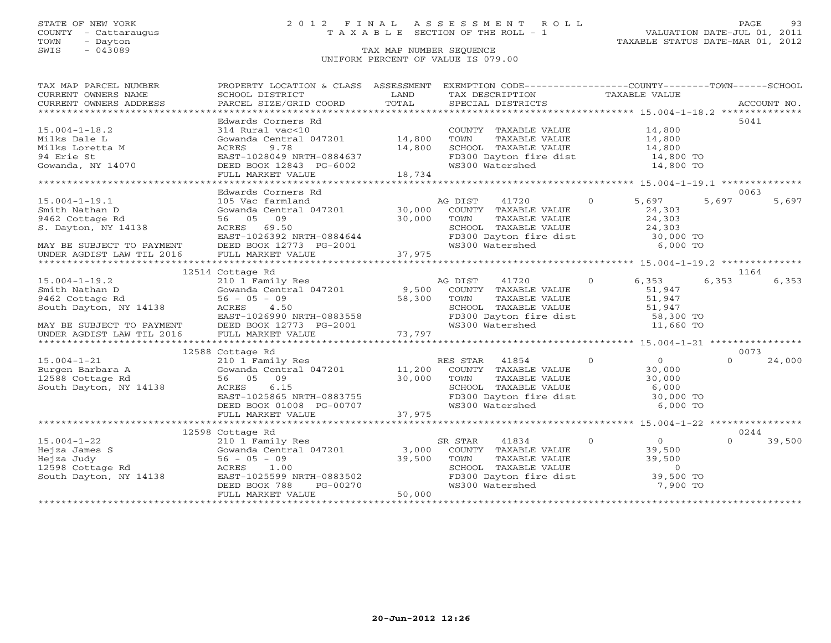# STATE OF NEW YORK 2 0 1 2 F I N A L A S S E S S M E N T R O L L PAGE 93 COUNTY - Cattaraugus T A X A B L E SECTION OF THE ROLL - 1 VALUATION DATE-JUL 01, 2011

| SCHOOL DISTRICT                                                                                                                                        | LAND                                                                           | TAX DESCRIPTION                                                                                                                                                     |                                                                                                                                                                             |                                                                                                                                                                                                                                                                                                                                                                                                                                                                                                                                                                                                                                                                                                                                                                                                                                                                                                                                                                                                                                                                                                                                                                                                                                                                                                                                                                                                                                                                                                                                                                                                                                                       |
|--------------------------------------------------------------------------------------------------------------------------------------------------------|--------------------------------------------------------------------------------|---------------------------------------------------------------------------------------------------------------------------------------------------------------------|-----------------------------------------------------------------------------------------------------------------------------------------------------------------------------|-------------------------------------------------------------------------------------------------------------------------------------------------------------------------------------------------------------------------------------------------------------------------------------------------------------------------------------------------------------------------------------------------------------------------------------------------------------------------------------------------------------------------------------------------------------------------------------------------------------------------------------------------------------------------------------------------------------------------------------------------------------------------------------------------------------------------------------------------------------------------------------------------------------------------------------------------------------------------------------------------------------------------------------------------------------------------------------------------------------------------------------------------------------------------------------------------------------------------------------------------------------------------------------------------------------------------------------------------------------------------------------------------------------------------------------------------------------------------------------------------------------------------------------------------------------------------------------------------------------------------------------------------------|
|                                                                                                                                                        | TOTAL                                                                          |                                                                                                                                                                     |                                                                                                                                                                             |                                                                                                                                                                                                                                                                                                                                                                                                                                                                                                                                                                                                                                                                                                                                                                                                                                                                                                                                                                                                                                                                                                                                                                                                                                                                                                                                                                                                                                                                                                                                                                                                                                                       |
| Edwards Corners Rd<br>314 Rural vac<10<br>FULL MARKET VALUE                                                                                            |                                                                                | TOWN<br>TAXABLE VALUE<br>WS300 Watershed                                                                                                                            | 14,800<br>14,800 TO                                                                                                                                                         | 5041                                                                                                                                                                                                                                                                                                                                                                                                                                                                                                                                                                                                                                                                                                                                                                                                                                                                                                                                                                                                                                                                                                                                                                                                                                                                                                                                                                                                                                                                                                                                                                                                                                                  |
|                                                                                                                                                        |                                                                                |                                                                                                                                                                     |                                                                                                                                                                             |                                                                                                                                                                                                                                                                                                                                                                                                                                                                                                                                                                                                                                                                                                                                                                                                                                                                                                                                                                                                                                                                                                                                                                                                                                                                                                                                                                                                                                                                                                                                                                                                                                                       |
| 105 Vac farmland<br>56 05 09<br>ACRES 69.50                                                                                                            | 30,000                                                                         | 41720<br>COUNTY TAXABLE VALUE                                                                                                                                       | $\Omega$<br>5,697<br>24,303                                                                                                                                                 | 0063<br>5,697<br>5,697                                                                                                                                                                                                                                                                                                                                                                                                                                                                                                                                                                                                                                                                                                                                                                                                                                                                                                                                                                                                                                                                                                                                                                                                                                                                                                                                                                                                                                                                                                                                                                                                                                |
|                                                                                                                                                        |                                                                                |                                                                                                                                                                     |                                                                                                                                                                             |                                                                                                                                                                                                                                                                                                                                                                                                                                                                                                                                                                                                                                                                                                                                                                                                                                                                                                                                                                                                                                                                                                                                                                                                                                                                                                                                                                                                                                                                                                                                                                                                                                                       |
| 12514 Cottage Rd                                                                                                                                       |                                                                                |                                                                                                                                                                     |                                                                                                                                                                             | 1164                                                                                                                                                                                                                                                                                                                                                                                                                                                                                                                                                                                                                                                                                                                                                                                                                                                                                                                                                                                                                                                                                                                                                                                                                                                                                                                                                                                                                                                                                                                                                                                                                                                  |
| $56 - 05 - 09$<br>ACRES 4.50                                                                                                                           | 58,300                                                                         | 41720<br>COUNTY TAXABLE VALUE                                                                                                                                       | 51,947                                                                                                                                                                      | 6,353<br>6,353                                                                                                                                                                                                                                                                                                                                                                                                                                                                                                                                                                                                                                                                                                                                                                                                                                                                                                                                                                                                                                                                                                                                                                                                                                                                                                                                                                                                                                                                                                                                                                                                                                        |
|                                                                                                                                                        |                                                                                |                                                                                                                                                                     |                                                                                                                                                                             | 0073                                                                                                                                                                                                                                                                                                                                                                                                                                                                                                                                                                                                                                                                                                                                                                                                                                                                                                                                                                                                                                                                                                                                                                                                                                                                                                                                                                                                                                                                                                                                                                                                                                                  |
| 210 1 Family Res<br>56 05 09<br>ACRES 6.15                                                                                                             | 30,000                                                                         | 41854<br>COUNTY TAXABLE VALUE<br>TOWN                                                                                                                               | $\Omega$<br>$\overline{O}$<br>30,000<br>30,000                                                                                                                              | $\Omega$<br>24,000                                                                                                                                                                                                                                                                                                                                                                                                                                                                                                                                                                                                                                                                                                                                                                                                                                                                                                                                                                                                                                                                                                                                                                                                                                                                                                                                                                                                                                                                                                                                                                                                                                    |
|                                                                                                                                                        |                                                                                |                                                                                                                                                                     |                                                                                                                                                                             | 0244                                                                                                                                                                                                                                                                                                                                                                                                                                                                                                                                                                                                                                                                                                                                                                                                                                                                                                                                                                                                                                                                                                                                                                                                                                                                                                                                                                                                                                                                                                                                                                                                                                                  |
| 210 1 Family Res<br>210 1 $r_{\text{a}m+1}$<br>Gowanda Centr<br>56 - 05 - 09<br>- 1 00<br>ACRES 1.00<br>DEED BOOK 788<br>PG-00270<br>FULL MARKET VALUE | 50,000                                                                         | 41834<br>SR STAR<br>COUNTY TAXABLE VALUE                                                                                                                            | $\overline{0}$<br>$\overline{0}$                                                                                                                                            | 39,500<br>$\Omega$                                                                                                                                                                                                                                                                                                                                                                                                                                                                                                                                                                                                                                                                                                                                                                                                                                                                                                                                                                                                                                                                                                                                                                                                                                                                                                                                                                                                                                                                                                                                                                                                                                    |
|                                                                                                                                                        | Edwards Corners Rd<br>210 1 Family Res<br>12588 Cottage Rd<br>12598 Cottage Rd | Gowanda Central 047201 14,800<br>Gowanda Central 047201 30,000<br>ACKES 4.30<br>EAST-1026990 NRTH-0883558<br>EAST-1025865 NRTH-0883755<br>EAST-1025599 NRTH-0883502 | ACRES 9.78<br>EAST-1028049 NRTH-0884637<br>ACRES 10043 PG-6002<br>18,734<br>AG DIST<br>AG DIST<br>Gowanda Central 047201 9,500<br>RES STAR<br>Gowanda Central 047201 11,200 | PROPERTY LOCATION & CLASS ASSESSMENT EXEMPTION CODE----------------COUNTY-------TOWN------SCHOOL<br>TAXABLE VALUE<br>$\begin{minipage}{.45\textwidth} \begin{minipage}{.45\textwidth} \begin{minipage}{.45\textwidth} \begin{minipage}{.45\textwidth} \begin{minipage}{.45\textwidth} \begin{minipage}{.45\textwidth} \begin{minipage}{.45\textwidth} \begin{minipage}{.45\textwidth} \begin{minipage}{.45\textwidth} \begin{minipage}{.45\textwidth} \begin{minipage}{.45\textwidth} \begin{minipage}{.45\textwidth} \begin{minipage}{.45\textwidth} \begin{minipage}{.45\textwidth} \begin{minipage}{.45\textwidth} \begin{minipage}{.45$<br>COUNTY TAXABLE VALUE 14,800<br>14,800<br>SCHOOL TAXABLE VALUE<br>FD300 Dayton fire dist 14,800 TO<br>TOWN TAXABLE value<br>SCHOOL TAXABLE VALUE 24, 30, 000 TO<br>FD300 Dayton fire dist 30,000 TO<br>TRIAN Matershed 6,000 TO<br>S. Dayton, NY 14138<br>EAST-1026392 NRTH-0884644 FD300 Dayton fire dist 30,000 TO<br>MAY BE SUBJECT TO PAYMENT DEED BOOK 12773 PG-2001 WS300 Watershed 6,000 TO<br>UNDER AGDIST LAW TIL 2016 FULL MARKET VALUE 37,975 75<br>*********<br>$\Omega$<br>6,353<br>TOWN TAXABLE VALUE<br>SCHOOL TAXABLE VALUE<br>FD300 Dayton fire dist 58,300 TO<br>The Condition of the state of the state of the state of the state of the state of the state of the state of the state of the state of the state of<br>TAXABLE VALUE<br>SCHOOL TAXABLE VALUE 6,000<br>FD300 Dayton fire dist 30,000 TO<br>WS300 Watershed 6,000 TO<br>COUNTY TAXABLE VALUE<br>TOWN TAXABLE VALUE<br>SCHOOL TAXABLE VALUE<br>FD300 Dayton fire dist<br>TONO Watershed<br>Tono Watershed<br>To 7,900 TO |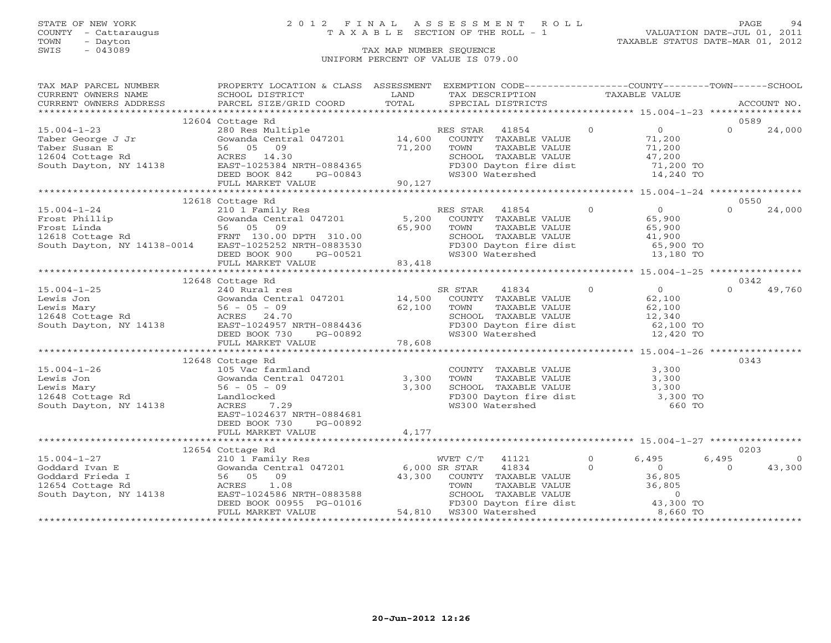# STATE OF NEW YORK 2 0 1 2 F I N A L A S S E S S M E N T R O L L PAGE 94 COUNTY - Cattaraugus T A X A B L E SECTION OF THE ROLL - 1 VALUATION DATE-JUL 01, 2011

TOWN - Dayton TAXABLE STATUS DATE-MAR 01, 2012

| TAX MAP PARCEL NUMBER                                                                                                                                                                                                                                                                                                                                                                                          | PROPERTY LOCATION & CLASS ASSESSMENT EXEMPTION CODE----------------COUNTY-------TOWN------SCHOOL |       |                                                                                                                                                                              |  |                |                |
|----------------------------------------------------------------------------------------------------------------------------------------------------------------------------------------------------------------------------------------------------------------------------------------------------------------------------------------------------------------------------------------------------------------|--------------------------------------------------------------------------------------------------|-------|------------------------------------------------------------------------------------------------------------------------------------------------------------------------------|--|----------------|----------------|
|                                                                                                                                                                                                                                                                                                                                                                                                                |                                                                                                  |       |                                                                                                                                                                              |  |                |                |
|                                                                                                                                                                                                                                                                                                                                                                                                                |                                                                                                  |       |                                                                                                                                                                              |  |                |                |
|                                                                                                                                                                                                                                                                                                                                                                                                                |                                                                                                  |       |                                                                                                                                                                              |  |                |                |
|                                                                                                                                                                                                                                                                                                                                                                                                                | 12604 Cottage Rd                                                                                 |       |                                                                                                                                                                              |  | 0589           |                |
|                                                                                                                                                                                                                                                                                                                                                                                                                |                                                                                                  |       |                                                                                                                                                                              |  | $\cap$         | 24,000         |
|                                                                                                                                                                                                                                                                                                                                                                                                                |                                                                                                  |       |                                                                                                                                                                              |  |                |                |
|                                                                                                                                                                                                                                                                                                                                                                                                                |                                                                                                  |       |                                                                                                                                                                              |  |                |                |
|                                                                                                                                                                                                                                                                                                                                                                                                                |                                                                                                  |       |                                                                                                                                                                              |  |                |                |
|                                                                                                                                                                                                                                                                                                                                                                                                                |                                                                                                  |       |                                                                                                                                                                              |  |                |                |
|                                                                                                                                                                                                                                                                                                                                                                                                                |                                                                                                  |       |                                                                                                                                                                              |  |                |                |
|                                                                                                                                                                                                                                                                                                                                                                                                                |                                                                                                  |       |                                                                                                                                                                              |  |                |                |
|                                                                                                                                                                                                                                                                                                                                                                                                                |                                                                                                  |       |                                                                                                                                                                              |  |                |                |
|                                                                                                                                                                                                                                                                                                                                                                                                                | 12618 Cottage Rd                                                                                 |       |                                                                                                                                                                              |  | 0550           |                |
| 15.004-1-24<br>Frost Phillip<br>Frost Linda<br>Frost Linda<br>16.004-1-24<br>Frost Linda<br>5,200<br>Frost Linda<br>56 05 09<br>12618 Cottage Rd<br>FRNT 130.00 DPTH 310.00<br>55,900<br>65,900<br>56 05 09<br>FRNT 130.00 DPTH 310.00<br>65,900<br>65,900<br>E                                                                                                                                                |                                                                                                  |       | RES STAR 41854 0<br>COUNTY TAXABLE VALUE 65,900<br>TOWN TAXABLE VALUE 65,900<br>SCHOOL TAXABLE VALUE 41,900<br>FD300 Dayton fire dist 65,900 TO<br>WS300 Watershed 13,180 TO |  | $\Omega$       | 24,000         |
|                                                                                                                                                                                                                                                                                                                                                                                                                |                                                                                                  |       |                                                                                                                                                                              |  |                |                |
|                                                                                                                                                                                                                                                                                                                                                                                                                |                                                                                                  |       |                                                                                                                                                                              |  |                |                |
|                                                                                                                                                                                                                                                                                                                                                                                                                |                                                                                                  |       |                                                                                                                                                                              |  |                |                |
|                                                                                                                                                                                                                                                                                                                                                                                                                |                                                                                                  |       |                                                                                                                                                                              |  |                |                |
|                                                                                                                                                                                                                                                                                                                                                                                                                |                                                                                                  |       |                                                                                                                                                                              |  |                |                |
|                                                                                                                                                                                                                                                                                                                                                                                                                |                                                                                                  |       |                                                                                                                                                                              |  |                |                |
|                                                                                                                                                                                                                                                                                                                                                                                                                |                                                                                                  |       |                                                                                                                                                                              |  |                |                |
|                                                                                                                                                                                                                                                                                                                                                                                                                | 12648 Cottage Rd                                                                                 |       |                                                                                                                                                                              |  | 0342           |                |
|                                                                                                                                                                                                                                                                                                                                                                                                                |                                                                                                  |       | $41834$ 0 0                                                                                                                                                                  |  |                |                |
|                                                                                                                                                                                                                                                                                                                                                                                                                |                                                                                                  |       |                                                                                                                                                                              |  |                |                |
|                                                                                                                                                                                                                                                                                                                                                                                                                |                                                                                                  |       |                                                                                                                                                                              |  |                |                |
|                                                                                                                                                                                                                                                                                                                                                                                                                |                                                                                                  |       |                                                                                                                                                                              |  |                |                |
|                                                                                                                                                                                                                                                                                                                                                                                                                |                                                                                                  |       |                                                                                                                                                                              |  |                |                |
|                                                                                                                                                                                                                                                                                                                                                                                                                |                                                                                                  |       |                                                                                                                                                                              |  |                |                |
|                                                                                                                                                                                                                                                                                                                                                                                                                |                                                                                                  |       |                                                                                                                                                                              |  |                |                |
| $\begin{tabular}{lllllllllllll} 15.004-1-25 & 240 \; \text{Rural} \; \text{res} & \text{SR \; STAR} & 41834 & 0 & 0 & 0 & 49,760 \\ \text{Lewis Jon} & & & & & & & & & & \\ \text{Lewis Aray} & & & & & & & & & & \\ \text{Levis Aray} & & & & & & & & & & & \\ 16.648 \; \text{Cottage Rd} & & & & & & & & & \\ 14.500 & & & & & & & & & & & & \\ 16.648 \; \text{Cottage Rd} & & & & & & & & & \\ 16.648 \;$ |                                                                                                  |       |                                                                                                                                                                              |  |                |                |
|                                                                                                                                                                                                                                                                                                                                                                                                                | 12648 Cottage Rd                                                                                 |       |                                                                                                                                                                              |  | 0343           |                |
|                                                                                                                                                                                                                                                                                                                                                                                                                |                                                                                                  |       |                                                                                                                                                                              |  |                |                |
|                                                                                                                                                                                                                                                                                                                                                                                                                |                                                                                                  |       |                                                                                                                                                                              |  |                |                |
|                                                                                                                                                                                                                                                                                                                                                                                                                |                                                                                                  |       |                                                                                                                                                                              |  |                |                |
|                                                                                                                                                                                                                                                                                                                                                                                                                |                                                                                                  |       |                                                                                                                                                                              |  |                |                |
| 15.004-1-26<br>Lewis Jon Cowanda Central 047201 3,300<br>Lewis Mary 56 - 05 - 09 3,300<br>12648 Cottage Rd Landlocked<br>South Dayton, NY 14138 ACRES 7.29<br>The Commute of Communication of the Communication of the Communication of                                                                                                                                                                        |                                                                                                  |       | COUNTY TAXABLE VALUE 3,300<br>TOWN TAXABLE VALUE 3,300<br>SCHOOL TAXABLE VALUE 3,300<br>FD300 Dayton fire dist 3,300 TO<br>WS300 Watershed 660 TO                            |  |                |                |
|                                                                                                                                                                                                                                                                                                                                                                                                                | EAST-1024637 NRTH-0884681                                                                        |       |                                                                                                                                                                              |  |                |                |
|                                                                                                                                                                                                                                                                                                                                                                                                                | DEED BOOK 730<br>PG-00892                                                                        |       |                                                                                                                                                                              |  |                |                |
|                                                                                                                                                                                                                                                                                                                                                                                                                | FULL MARKET VALUE                                                                                | 4,177 |                                                                                                                                                                              |  |                |                |
|                                                                                                                                                                                                                                                                                                                                                                                                                |                                                                                                  |       |                                                                                                                                                                              |  |                |                |
|                                                                                                                                                                                                                                                                                                                                                                                                                | 12654 Cottage Rd                                                                                 |       |                                                                                                                                                                              |  | 0203           |                |
|                                                                                                                                                                                                                                                                                                                                                                                                                |                                                                                                  |       |                                                                                                                                                                              |  | 6,495          | $\overline{0}$ |
| $\begin{tabular}{lllllllllllllllllll} \multicolumn{3}{l}{} & 12654 $\, \rm{Cottage\ Rd$} & 2101 $\, \rm{Fami1y\ Res}$ & WVET $C/T$ & 41121 & 0 & 6,495 & 6 \\ \hline \multicolumn{3}{l}{} & 2101 $\, \rm{Fami1y\ Res}$ & WVET $C/T$ & 41121 & 0 & 6,495 & 6 \\ \hline \multicolumn{3}{l}{} & 6000 and $\, \rm{a}$ & 6,495 & 0 & 0 \\ \hline \multicolumn{3}{l}{} & 6000 and $\, \rm{$                          |                                                                                                  |       |                                                                                                                                                                              |  | $\overline{0}$ | 43,300         |
|                                                                                                                                                                                                                                                                                                                                                                                                                |                                                                                                  |       |                                                                                                                                                                              |  |                |                |
|                                                                                                                                                                                                                                                                                                                                                                                                                |                                                                                                  |       |                                                                                                                                                                              |  |                |                |
|                                                                                                                                                                                                                                                                                                                                                                                                                |                                                                                                  |       |                                                                                                                                                                              |  |                |                |
|                                                                                                                                                                                                                                                                                                                                                                                                                |                                                                                                  |       |                                                                                                                                                                              |  |                |                |
|                                                                                                                                                                                                                                                                                                                                                                                                                |                                                                                                  |       |                                                                                                                                                                              |  |                |                |
|                                                                                                                                                                                                                                                                                                                                                                                                                |                                                                                                  |       |                                                                                                                                                                              |  |                |                |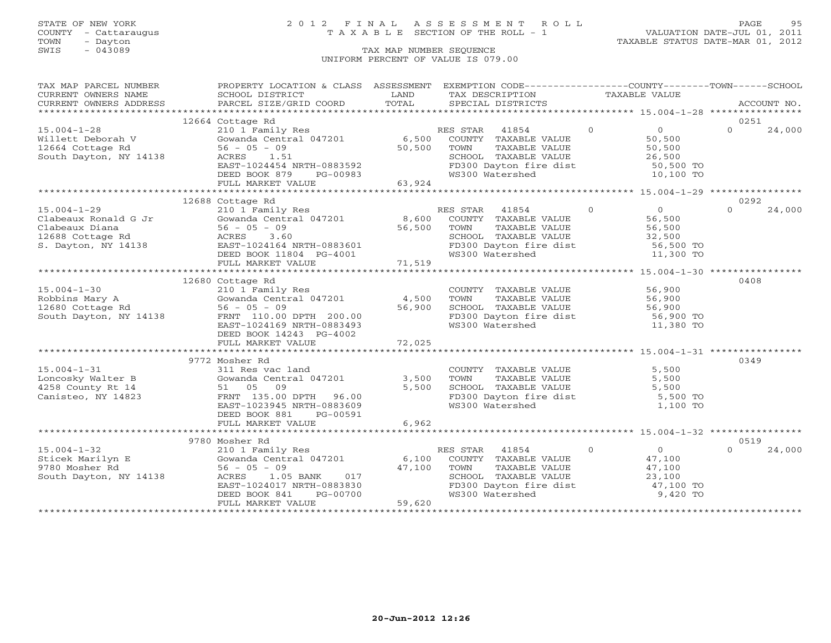# STATE OF NEW YORK 2 0 1 2 F I N A L A S S E S S M E N T R O L L PAGE 95 COUNTY - Cattaraugus T A X A B L E SECTION OF THE ROLL - 1 VALUATION DATE-JUL 01, 2011

| TAX MAP PARCEL NUMBER                                                                                                                                                                                                                           | PROPERTY LOCATION & CLASS ASSESSMENT EXEMPTION CODE----------------COUNTY-------TOWN------SCHOOL                                     |       |                                                                                                                                                     |               |                |                  |        |
|-------------------------------------------------------------------------------------------------------------------------------------------------------------------------------------------------------------------------------------------------|--------------------------------------------------------------------------------------------------------------------------------------|-------|-----------------------------------------------------------------------------------------------------------------------------------------------------|---------------|----------------|------------------|--------|
| CURRENT OWNERS NAME                                                                                                                                                                                                                             | SCHOOL DISTRICT                                                                                                                      | LAND  | TAX DESCRIPTION                                                                                                                                     | TAXABLE VALUE |                |                  |        |
|                                                                                                                                                                                                                                                 |                                                                                                                                      |       |                                                                                                                                                     |               |                |                  |        |
|                                                                                                                                                                                                                                                 |                                                                                                                                      |       |                                                                                                                                                     |               |                |                  |        |
|                                                                                                                                                                                                                                                 | 12664 Cottage Rd<br>210 1 Family Res                                                                                                 |       |                                                                                                                                                     |               |                | 0251<br>$\Omega$ |        |
| $15.004 - 1 - 28$                                                                                                                                                                                                                               |                                                                                                                                      |       | RES STAR 41854 0 0 0                                                                                                                                |               |                |                  | 24,000 |
|                                                                                                                                                                                                                                                 |                                                                                                                                      |       |                                                                                                                                                     |               |                |                  |        |
| Willett Deborah V Gowanda Centra<br>12664 Cottage Rd 56 - 05 - 09<br>South Dayton, NY 14138 ACRES 1.51                                                                                                                                          |                                                                                                                                      |       |                                                                                                                                                     |               |                |                  |        |
|                                                                                                                                                                                                                                                 |                                                                                                                                      |       |                                                                                                                                                     |               |                |                  |        |
|                                                                                                                                                                                                                                                 | 0, 300 COUNTY<br>ACRES 1.51 50, 500 TOWN<br>EAST-1024454 NRTH-0883592 50, 500 FD300 DA<br>DEED BOOK 879 DO COOSS                     |       | SCHOOL TAXABLE VALUE<br>FD300 Dayton fire dist 50,500 TO<br>WS300 Watershed 10,100 TO                                                               |               |                |                  |        |
|                                                                                                                                                                                                                                                 |                                                                                                                                      |       |                                                                                                                                                     |               |                |                  |        |
|                                                                                                                                                                                                                                                 |                                                                                                                                      |       |                                                                                                                                                     |               |                |                  |        |
|                                                                                                                                                                                                                                                 | 12688 Cottage Rd                                                                                                                     |       |                                                                                                                                                     |               |                | 0292             |        |
|                                                                                                                                                                                                                                                 |                                                                                                                                      |       |                                                                                                                                                     |               |                |                  |        |
|                                                                                                                                                                                                                                                 |                                                                                                                                      |       |                                                                                                                                                     |               |                |                  |        |
|                                                                                                                                                                                                                                                 |                                                                                                                                      |       |                                                                                                                                                     |               |                |                  |        |
|                                                                                                                                                                                                                                                 |                                                                                                                                      |       |                                                                                                                                                     |               |                |                  |        |
|                                                                                                                                                                                                                                                 |                                                                                                                                      |       |                                                                                                                                                     |               |                |                  |        |
|                                                                                                                                                                                                                                                 |                                                                                                                                      |       |                                                                                                                                                     |               |                |                  |        |
|                                                                                                                                                                                                                                                 |                                                                                                                                      |       |                                                                                                                                                     |               |                |                  |        |
|                                                                                                                                                                                                                                                 |                                                                                                                                      |       |                                                                                                                                                     |               |                |                  |        |
|                                                                                                                                                                                                                                                 | 12680 Cottage Rd                                                                                                                     |       |                                                                                                                                                     |               |                | 0408             |        |
|                                                                                                                                                                                                                                                 |                                                                                                                                      |       |                                                                                                                                                     |               |                |                  |        |
| 15.004-1-30<br>Robbins Mary A<br>12680 Cottage Rd 310 1 Family Res 36.900<br>210 1 Family Res 36.900<br>210 1 Family Res 36.900<br>210 1 Family Res 36.900<br>210 1 Family Res 36.900<br>36.900<br>210 2410 Pamily Res 36.900<br>212680 Cottage |                                                                                                                                      |       |                                                                                                                                                     |               |                |                  |        |
|                                                                                                                                                                                                                                                 |                                                                                                                                      |       |                                                                                                                                                     |               |                |                  |        |
|                                                                                                                                                                                                                                                 |                                                                                                                                      |       |                                                                                                                                                     |               |                |                  |        |
|                                                                                                                                                                                                                                                 |                                                                                                                                      |       |                                                                                                                                                     |               |                |                  |        |
|                                                                                                                                                                                                                                                 | DEED BOOK 14243 PG-4002                                                                                                              |       |                                                                                                                                                     |               |                |                  |        |
|                                                                                                                                                                                                                                                 |                                                                                                                                      |       |                                                                                                                                                     |               |                |                  |        |
|                                                                                                                                                                                                                                                 | 9772 Mosher Rd                                                                                                                       |       |                                                                                                                                                     |               |                | 0349             |        |
|                                                                                                                                                                                                                                                 |                                                                                                                                      |       |                                                                                                                                                     |               |                |                  |        |
|                                                                                                                                                                                                                                                 |                                                                                                                                      |       |                                                                                                                                                     |               |                |                  |        |
|                                                                                                                                                                                                                                                 |                                                                                                                                      |       |                                                                                                                                                     |               |                |                  |        |
| 15.004-1-31<br>Loncosky Walter B (Sowanda Central 047201 3,500<br>4258 County Rt 14 51 05 09 5,500<br>Canisteo, NY 14823 FRNT 135.00 DPTH 96.00                                                                                                 |                                                                                                                                      |       |                                                                                                                                                     |               |                |                  |        |
|                                                                                                                                                                                                                                                 | FRNT 135.00 DPTH 96.00<br>EAST-1023945 NDTH 2006-00<br>EAST-1023945 NRTH-0883609                                                     |       | COUNTY TAXABLE VALUE 5,500<br>TOWN TAXABLE VALUE 5,500<br>SCHOOL TAXABLE VALUE 5,500<br>FD300 Dayton fire dist 5,500 TO<br>WS300 Watershed 1,100 TO |               |                |                  |        |
|                                                                                                                                                                                                                                                 | DEED BOOK 881 PG-00591                                                                                                               |       |                                                                                                                                                     |               |                |                  |        |
|                                                                                                                                                                                                                                                 | FULL MARKET VALUE                                                                                                                    | 6,962 |                                                                                                                                                     |               |                |                  |        |
|                                                                                                                                                                                                                                                 |                                                                                                                                      |       |                                                                                                                                                     |               |                |                  |        |
|                                                                                                                                                                                                                                                 |                                                                                                                                      |       |                                                                                                                                                     |               |                | 0519             |        |
|                                                                                                                                                                                                                                                 |                                                                                                                                      |       | RES STAR 41854                                                                                                                                      | $\Omega$      | $\overline{O}$ | $\Omega$         | 24,000 |
|                                                                                                                                                                                                                                                 |                                                                                                                                      |       | COUNTY TAXABLE VALUE 47,100                                                                                                                         |               |                |                  |        |
|                                                                                                                                                                                                                                                 |                                                                                                                                      |       | TOWN TAXABLE VALUE<br>TOWN TAXABLE VALUE<br>SCHOOL TAXABLE VALUE<br>FD300 Dayton fire dist<br>WS300 Watershed<br>9,420 TO                           |               |                |                  |        |
|                                                                                                                                                                                                                                                 |                                                                                                                                      |       |                                                                                                                                                     |               |                |                  |        |
|                                                                                                                                                                                                                                                 |                                                                                                                                      |       |                                                                                                                                                     |               |                |                  |        |
|                                                                                                                                                                                                                                                 |                                                                                                                                      |       |                                                                                                                                                     |               |                |                  |        |
|                                                                                                                                                                                                                                                 | 56 - 05 - 09<br>ACRES 1.05 BANK 017<br>EAST-1024017 NRTH-0883830<br>DEED BOOK 841 PG-00700<br>FULL MARKET VALUE<br>FULL MARKET VALUE |       |                                                                                                                                                     |               |                |                  |        |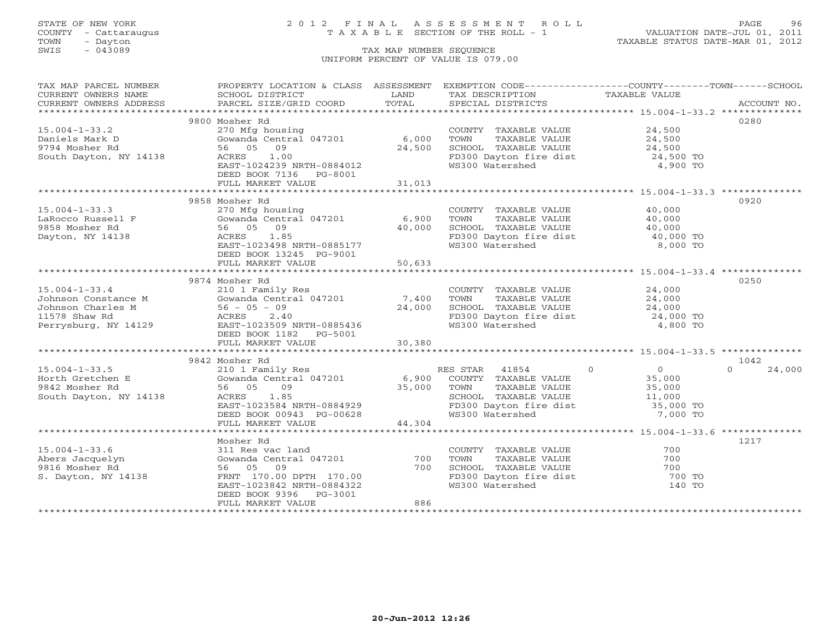# STATE OF NEW YORK 2 0 1 2 F I N A L A S S E S S M E N T R O L L PAGE 96 COUNTY - Cattaraugus T A X A B L E SECTION OF THE ROLL - 1 VALUATION DATE-JUL 01, 2011

TOWN - Dayton TAXABLE STATUS DATE-MAR 01, 2012

| $\begin{tabular}{lllllll} \multicolumn{2}{c}{\textbf{CURRENT}} & \multicolumn{2}{c}{\textbf{WNERS}} & \multicolumn{2}{c}{\textbf{NAME}} & \multicolumn{2}{c}{\textbf{SCHOOL}} & \multicolumn{2}{c}{\textbf{DISTRICT}} & \multicolumn{2}{c}{\textbf{LAND}} & \multicolumn{2}{c}{\textbf{TAX} \textbf{DESCRIPTION}} & \multicolumn{2}{c}{\textbf{TAXABLE} \textbf{ VALUE}} & \multicolumn{2}{c}{\textbf{NALUE}} \\ & & & & & & & \\ \multicolumn{2}{c}{\textbf{CURRENT}} & \multicolumn{2$<br>0280<br>9800 Mosher Rd<br>270 Mfg housing<br>$15.004 - 1 - 33.2$<br>COUNTY TAXABLE VALUE 24,500<br>Gowanda Central 047201 6,000<br>56 05 09 24,500<br>ACRES 1.00<br>Daniels Mark D<br>9794 Mosher Rd<br>South Dayton, NY 14138<br>FD300 Dayton fire dist 24,500 TO<br>WS300 Watershed 4,900 TO<br>EAST-1024239 NRTH-0884012<br>DEED BOOK 7136 PG-8001<br>31,013<br>FULL MARKET VALUE<br>9858 Mosher Rd<br>0920<br>$15.004 - 1 - 33.3$<br>COUNTY TAXABLE VALUE 40,000<br>270 Mfg housing<br>Gowanda Central 047201 6,900<br>56 05 09 40,000<br>ACRES 1.85<br>LaRocco Russell F<br>9858 Mosher Rd<br>Dayton, NY 14139<br>TOWN TAXABLE VALUE $40,000$<br>SCHOOL TAXABLE VALUE $40,000$<br>FD300 Dayton fire dist $40,000$ TO<br>WS300 Watershed $8,000$ TO<br>Dayton, NY 14138<br>EAST-1023498 NRTH-0885177<br>DEED BOOK 13245 PG-9001<br>FULL MARKET VALUE<br>50,633<br>9874 Mosher Rd<br>0250<br>15.004-1-33.4 210 1 Family Res<br>Johnson Constance M Gowanda Central 047201 7,400 TOWN TAXABLE VALUE 24,000<br>Johnson Charles M 56 - 05 - 09 24,000 SCHOOL TAXABLE VALUE 24,000<br>11578 Shaw Rd ACRES 2.40 FD300 Dayton fire dist<br>DEED BOOK 1182   PG-5001<br>30,380<br>FULL MARKET VALUE<br>1042<br>9842 Mosher Rd<br>15.004-1-33.5<br>Horth Gretchen E 210 1 Family Res<br>Horth Gretchen E 35,000<br>9842 Mosher Rd<br>South Dayton, NY 14138<br>EAST-1023584 NRTH-0884929<br>EED BOOK 00943 PG-00628<br>FD300 Dayton fire dist<br>$\begin{array}{cccccc}\n & 210 & 1 & Fami1y & Res & 0 & $<br>24,000<br>1217<br>Mosher Rd<br>$15.004 - 1 - 33.6$<br>700<br>COUNTY TAXABLE VALUE<br>TOWN TAXABLE VALUE<br>311 Res vac land<br>Gowanda Central 047201 100<br>Abers Jacquelyn<br>9816 Mosher Rd<br>S. Dayton, NY 14138<br>700<br>TOWN TAXABLE VALUE<br>SCHOOL TAXABLE VALUE<br>FD300 Dayton fire dist<br>Taxable 140 TO<br>Taxable 140 TO<br>Taxable 140 TO<br>56 05 09<br>SCHOOL TAXABLE VALUE<br>EAST-1023842 NRTH-0884322<br>DEED BOOK 9396 PG-3001<br>886<br>FULL MARKET VALUE | TAX MAP PARCEL NUMBER | PROPERTY LOCATION & CLASS ASSESSMENT EXEMPTION CODE----------------COUNTY-------TOWN------SCHOOL |  |  |
|----------------------------------------------------------------------------------------------------------------------------------------------------------------------------------------------------------------------------------------------------------------------------------------------------------------------------------------------------------------------------------------------------------------------------------------------------------------------------------------------------------------------------------------------------------------------------------------------------------------------------------------------------------------------------------------------------------------------------------------------------------------------------------------------------------------------------------------------------------------------------------------------------------------------------------------------------------------------------------------------------------------------------------------------------------------------------------------------------------------------------------------------------------------------------------------------------------------------------------------------------------------------------------------------------------------------------------------------------------------------------------------------------------------------------------------------------------------------------------------------------------------------------------------------------------------------------------------------------------------------------------------------------------------------------------------------------------------------------------------------------------------------------------------------------------------------------------------------------------------------------------------------------------------------------------------------------------------------------------------------------------------------------------------------------------------------------------------------------------------------------------------------------------------------------------------------------------------------------------------------------------------------------------------------------------------------------------------------------------------------------------------------------------------------------------------------------------------------------------------|-----------------------|--------------------------------------------------------------------------------------------------|--|--|
|                                                                                                                                                                                                                                                                                                                                                                                                                                                                                                                                                                                                                                                                                                                                                                                                                                                                                                                                                                                                                                                                                                                                                                                                                                                                                                                                                                                                                                                                                                                                                                                                                                                                                                                                                                                                                                                                                                                                                                                                                                                                                                                                                                                                                                                                                                                                                                                                                                                                                        |                       |                                                                                                  |  |  |
|                                                                                                                                                                                                                                                                                                                                                                                                                                                                                                                                                                                                                                                                                                                                                                                                                                                                                                                                                                                                                                                                                                                                                                                                                                                                                                                                                                                                                                                                                                                                                                                                                                                                                                                                                                                                                                                                                                                                                                                                                                                                                                                                                                                                                                                                                                                                                                                                                                                                                        |                       |                                                                                                  |  |  |
|                                                                                                                                                                                                                                                                                                                                                                                                                                                                                                                                                                                                                                                                                                                                                                                                                                                                                                                                                                                                                                                                                                                                                                                                                                                                                                                                                                                                                                                                                                                                                                                                                                                                                                                                                                                                                                                                                                                                                                                                                                                                                                                                                                                                                                                                                                                                                                                                                                                                                        |                       |                                                                                                  |  |  |
|                                                                                                                                                                                                                                                                                                                                                                                                                                                                                                                                                                                                                                                                                                                                                                                                                                                                                                                                                                                                                                                                                                                                                                                                                                                                                                                                                                                                                                                                                                                                                                                                                                                                                                                                                                                                                                                                                                                                                                                                                                                                                                                                                                                                                                                                                                                                                                                                                                                                                        |                       |                                                                                                  |  |  |
|                                                                                                                                                                                                                                                                                                                                                                                                                                                                                                                                                                                                                                                                                                                                                                                                                                                                                                                                                                                                                                                                                                                                                                                                                                                                                                                                                                                                                                                                                                                                                                                                                                                                                                                                                                                                                                                                                                                                                                                                                                                                                                                                                                                                                                                                                                                                                                                                                                                                                        |                       |                                                                                                  |  |  |
|                                                                                                                                                                                                                                                                                                                                                                                                                                                                                                                                                                                                                                                                                                                                                                                                                                                                                                                                                                                                                                                                                                                                                                                                                                                                                                                                                                                                                                                                                                                                                                                                                                                                                                                                                                                                                                                                                                                                                                                                                                                                                                                                                                                                                                                                                                                                                                                                                                                                                        |                       |                                                                                                  |  |  |
|                                                                                                                                                                                                                                                                                                                                                                                                                                                                                                                                                                                                                                                                                                                                                                                                                                                                                                                                                                                                                                                                                                                                                                                                                                                                                                                                                                                                                                                                                                                                                                                                                                                                                                                                                                                                                                                                                                                                                                                                                                                                                                                                                                                                                                                                                                                                                                                                                                                                                        |                       |                                                                                                  |  |  |
|                                                                                                                                                                                                                                                                                                                                                                                                                                                                                                                                                                                                                                                                                                                                                                                                                                                                                                                                                                                                                                                                                                                                                                                                                                                                                                                                                                                                                                                                                                                                                                                                                                                                                                                                                                                                                                                                                                                                                                                                                                                                                                                                                                                                                                                                                                                                                                                                                                                                                        |                       |                                                                                                  |  |  |
|                                                                                                                                                                                                                                                                                                                                                                                                                                                                                                                                                                                                                                                                                                                                                                                                                                                                                                                                                                                                                                                                                                                                                                                                                                                                                                                                                                                                                                                                                                                                                                                                                                                                                                                                                                                                                                                                                                                                                                                                                                                                                                                                                                                                                                                                                                                                                                                                                                                                                        |                       |                                                                                                  |  |  |
|                                                                                                                                                                                                                                                                                                                                                                                                                                                                                                                                                                                                                                                                                                                                                                                                                                                                                                                                                                                                                                                                                                                                                                                                                                                                                                                                                                                                                                                                                                                                                                                                                                                                                                                                                                                                                                                                                                                                                                                                                                                                                                                                                                                                                                                                                                                                                                                                                                                                                        |                       |                                                                                                  |  |  |
|                                                                                                                                                                                                                                                                                                                                                                                                                                                                                                                                                                                                                                                                                                                                                                                                                                                                                                                                                                                                                                                                                                                                                                                                                                                                                                                                                                                                                                                                                                                                                                                                                                                                                                                                                                                                                                                                                                                                                                                                                                                                                                                                                                                                                                                                                                                                                                                                                                                                                        |                       |                                                                                                  |  |  |
|                                                                                                                                                                                                                                                                                                                                                                                                                                                                                                                                                                                                                                                                                                                                                                                                                                                                                                                                                                                                                                                                                                                                                                                                                                                                                                                                                                                                                                                                                                                                                                                                                                                                                                                                                                                                                                                                                                                                                                                                                                                                                                                                                                                                                                                                                                                                                                                                                                                                                        |                       |                                                                                                  |  |  |
|                                                                                                                                                                                                                                                                                                                                                                                                                                                                                                                                                                                                                                                                                                                                                                                                                                                                                                                                                                                                                                                                                                                                                                                                                                                                                                                                                                                                                                                                                                                                                                                                                                                                                                                                                                                                                                                                                                                                                                                                                                                                                                                                                                                                                                                                                                                                                                                                                                                                                        |                       |                                                                                                  |  |  |
|                                                                                                                                                                                                                                                                                                                                                                                                                                                                                                                                                                                                                                                                                                                                                                                                                                                                                                                                                                                                                                                                                                                                                                                                                                                                                                                                                                                                                                                                                                                                                                                                                                                                                                                                                                                                                                                                                                                                                                                                                                                                                                                                                                                                                                                                                                                                                                                                                                                                                        |                       |                                                                                                  |  |  |
|                                                                                                                                                                                                                                                                                                                                                                                                                                                                                                                                                                                                                                                                                                                                                                                                                                                                                                                                                                                                                                                                                                                                                                                                                                                                                                                                                                                                                                                                                                                                                                                                                                                                                                                                                                                                                                                                                                                                                                                                                                                                                                                                                                                                                                                                                                                                                                                                                                                                                        |                       |                                                                                                  |  |  |
|                                                                                                                                                                                                                                                                                                                                                                                                                                                                                                                                                                                                                                                                                                                                                                                                                                                                                                                                                                                                                                                                                                                                                                                                                                                                                                                                                                                                                                                                                                                                                                                                                                                                                                                                                                                                                                                                                                                                                                                                                                                                                                                                                                                                                                                                                                                                                                                                                                                                                        |                       |                                                                                                  |  |  |
|                                                                                                                                                                                                                                                                                                                                                                                                                                                                                                                                                                                                                                                                                                                                                                                                                                                                                                                                                                                                                                                                                                                                                                                                                                                                                                                                                                                                                                                                                                                                                                                                                                                                                                                                                                                                                                                                                                                                                                                                                                                                                                                                                                                                                                                                                                                                                                                                                                                                                        |                       |                                                                                                  |  |  |
|                                                                                                                                                                                                                                                                                                                                                                                                                                                                                                                                                                                                                                                                                                                                                                                                                                                                                                                                                                                                                                                                                                                                                                                                                                                                                                                                                                                                                                                                                                                                                                                                                                                                                                                                                                                                                                                                                                                                                                                                                                                                                                                                                                                                                                                                                                                                                                                                                                                                                        |                       |                                                                                                  |  |  |
|                                                                                                                                                                                                                                                                                                                                                                                                                                                                                                                                                                                                                                                                                                                                                                                                                                                                                                                                                                                                                                                                                                                                                                                                                                                                                                                                                                                                                                                                                                                                                                                                                                                                                                                                                                                                                                                                                                                                                                                                                                                                                                                                                                                                                                                                                                                                                                                                                                                                                        |                       |                                                                                                  |  |  |
|                                                                                                                                                                                                                                                                                                                                                                                                                                                                                                                                                                                                                                                                                                                                                                                                                                                                                                                                                                                                                                                                                                                                                                                                                                                                                                                                                                                                                                                                                                                                                                                                                                                                                                                                                                                                                                                                                                                                                                                                                                                                                                                                                                                                                                                                                                                                                                                                                                                                                        |                       |                                                                                                  |  |  |
|                                                                                                                                                                                                                                                                                                                                                                                                                                                                                                                                                                                                                                                                                                                                                                                                                                                                                                                                                                                                                                                                                                                                                                                                                                                                                                                                                                                                                                                                                                                                                                                                                                                                                                                                                                                                                                                                                                                                                                                                                                                                                                                                                                                                                                                                                                                                                                                                                                                                                        |                       |                                                                                                  |  |  |
|                                                                                                                                                                                                                                                                                                                                                                                                                                                                                                                                                                                                                                                                                                                                                                                                                                                                                                                                                                                                                                                                                                                                                                                                                                                                                                                                                                                                                                                                                                                                                                                                                                                                                                                                                                                                                                                                                                                                                                                                                                                                                                                                                                                                                                                                                                                                                                                                                                                                                        |                       |                                                                                                  |  |  |
|                                                                                                                                                                                                                                                                                                                                                                                                                                                                                                                                                                                                                                                                                                                                                                                                                                                                                                                                                                                                                                                                                                                                                                                                                                                                                                                                                                                                                                                                                                                                                                                                                                                                                                                                                                                                                                                                                                                                                                                                                                                                                                                                                                                                                                                                                                                                                                                                                                                                                        |                       |                                                                                                  |  |  |
|                                                                                                                                                                                                                                                                                                                                                                                                                                                                                                                                                                                                                                                                                                                                                                                                                                                                                                                                                                                                                                                                                                                                                                                                                                                                                                                                                                                                                                                                                                                                                                                                                                                                                                                                                                                                                                                                                                                                                                                                                                                                                                                                                                                                                                                                                                                                                                                                                                                                                        |                       |                                                                                                  |  |  |
|                                                                                                                                                                                                                                                                                                                                                                                                                                                                                                                                                                                                                                                                                                                                                                                                                                                                                                                                                                                                                                                                                                                                                                                                                                                                                                                                                                                                                                                                                                                                                                                                                                                                                                                                                                                                                                                                                                                                                                                                                                                                                                                                                                                                                                                                                                                                                                                                                                                                                        |                       |                                                                                                  |  |  |
|                                                                                                                                                                                                                                                                                                                                                                                                                                                                                                                                                                                                                                                                                                                                                                                                                                                                                                                                                                                                                                                                                                                                                                                                                                                                                                                                                                                                                                                                                                                                                                                                                                                                                                                                                                                                                                                                                                                                                                                                                                                                                                                                                                                                                                                                                                                                                                                                                                                                                        |                       |                                                                                                  |  |  |
|                                                                                                                                                                                                                                                                                                                                                                                                                                                                                                                                                                                                                                                                                                                                                                                                                                                                                                                                                                                                                                                                                                                                                                                                                                                                                                                                                                                                                                                                                                                                                                                                                                                                                                                                                                                                                                                                                                                                                                                                                                                                                                                                                                                                                                                                                                                                                                                                                                                                                        |                       |                                                                                                  |  |  |
|                                                                                                                                                                                                                                                                                                                                                                                                                                                                                                                                                                                                                                                                                                                                                                                                                                                                                                                                                                                                                                                                                                                                                                                                                                                                                                                                                                                                                                                                                                                                                                                                                                                                                                                                                                                                                                                                                                                                                                                                                                                                                                                                                                                                                                                                                                                                                                                                                                                                                        |                       |                                                                                                  |  |  |
|                                                                                                                                                                                                                                                                                                                                                                                                                                                                                                                                                                                                                                                                                                                                                                                                                                                                                                                                                                                                                                                                                                                                                                                                                                                                                                                                                                                                                                                                                                                                                                                                                                                                                                                                                                                                                                                                                                                                                                                                                                                                                                                                                                                                                                                                                                                                                                                                                                                                                        |                       |                                                                                                  |  |  |
|                                                                                                                                                                                                                                                                                                                                                                                                                                                                                                                                                                                                                                                                                                                                                                                                                                                                                                                                                                                                                                                                                                                                                                                                                                                                                                                                                                                                                                                                                                                                                                                                                                                                                                                                                                                                                                                                                                                                                                                                                                                                                                                                                                                                                                                                                                                                                                                                                                                                                        |                       |                                                                                                  |  |  |
|                                                                                                                                                                                                                                                                                                                                                                                                                                                                                                                                                                                                                                                                                                                                                                                                                                                                                                                                                                                                                                                                                                                                                                                                                                                                                                                                                                                                                                                                                                                                                                                                                                                                                                                                                                                                                                                                                                                                                                                                                                                                                                                                                                                                                                                                                                                                                                                                                                                                                        |                       |                                                                                                  |  |  |
|                                                                                                                                                                                                                                                                                                                                                                                                                                                                                                                                                                                                                                                                                                                                                                                                                                                                                                                                                                                                                                                                                                                                                                                                                                                                                                                                                                                                                                                                                                                                                                                                                                                                                                                                                                                                                                                                                                                                                                                                                                                                                                                                                                                                                                                                                                                                                                                                                                                                                        |                       |                                                                                                  |  |  |
|                                                                                                                                                                                                                                                                                                                                                                                                                                                                                                                                                                                                                                                                                                                                                                                                                                                                                                                                                                                                                                                                                                                                                                                                                                                                                                                                                                                                                                                                                                                                                                                                                                                                                                                                                                                                                                                                                                                                                                                                                                                                                                                                                                                                                                                                                                                                                                                                                                                                                        |                       |                                                                                                  |  |  |
|                                                                                                                                                                                                                                                                                                                                                                                                                                                                                                                                                                                                                                                                                                                                                                                                                                                                                                                                                                                                                                                                                                                                                                                                                                                                                                                                                                                                                                                                                                                                                                                                                                                                                                                                                                                                                                                                                                                                                                                                                                                                                                                                                                                                                                                                                                                                                                                                                                                                                        |                       |                                                                                                  |  |  |
|                                                                                                                                                                                                                                                                                                                                                                                                                                                                                                                                                                                                                                                                                                                                                                                                                                                                                                                                                                                                                                                                                                                                                                                                                                                                                                                                                                                                                                                                                                                                                                                                                                                                                                                                                                                                                                                                                                                                                                                                                                                                                                                                                                                                                                                                                                                                                                                                                                                                                        |                       |                                                                                                  |  |  |
|                                                                                                                                                                                                                                                                                                                                                                                                                                                                                                                                                                                                                                                                                                                                                                                                                                                                                                                                                                                                                                                                                                                                                                                                                                                                                                                                                                                                                                                                                                                                                                                                                                                                                                                                                                                                                                                                                                                                                                                                                                                                                                                                                                                                                                                                                                                                                                                                                                                                                        |                       |                                                                                                  |  |  |
|                                                                                                                                                                                                                                                                                                                                                                                                                                                                                                                                                                                                                                                                                                                                                                                                                                                                                                                                                                                                                                                                                                                                                                                                                                                                                                                                                                                                                                                                                                                                                                                                                                                                                                                                                                                                                                                                                                                                                                                                                                                                                                                                                                                                                                                                                                                                                                                                                                                                                        |                       |                                                                                                  |  |  |
|                                                                                                                                                                                                                                                                                                                                                                                                                                                                                                                                                                                                                                                                                                                                                                                                                                                                                                                                                                                                                                                                                                                                                                                                                                                                                                                                                                                                                                                                                                                                                                                                                                                                                                                                                                                                                                                                                                                                                                                                                                                                                                                                                                                                                                                                                                                                                                                                                                                                                        |                       |                                                                                                  |  |  |
|                                                                                                                                                                                                                                                                                                                                                                                                                                                                                                                                                                                                                                                                                                                                                                                                                                                                                                                                                                                                                                                                                                                                                                                                                                                                                                                                                                                                                                                                                                                                                                                                                                                                                                                                                                                                                                                                                                                                                                                                                                                                                                                                                                                                                                                                                                                                                                                                                                                                                        |                       |                                                                                                  |  |  |
|                                                                                                                                                                                                                                                                                                                                                                                                                                                                                                                                                                                                                                                                                                                                                                                                                                                                                                                                                                                                                                                                                                                                                                                                                                                                                                                                                                                                                                                                                                                                                                                                                                                                                                                                                                                                                                                                                                                                                                                                                                                                                                                                                                                                                                                                                                                                                                                                                                                                                        |                       |                                                                                                  |  |  |
|                                                                                                                                                                                                                                                                                                                                                                                                                                                                                                                                                                                                                                                                                                                                                                                                                                                                                                                                                                                                                                                                                                                                                                                                                                                                                                                                                                                                                                                                                                                                                                                                                                                                                                                                                                                                                                                                                                                                                                                                                                                                                                                                                                                                                                                                                                                                                                                                                                                                                        |                       |                                                                                                  |  |  |
|                                                                                                                                                                                                                                                                                                                                                                                                                                                                                                                                                                                                                                                                                                                                                                                                                                                                                                                                                                                                                                                                                                                                                                                                                                                                                                                                                                                                                                                                                                                                                                                                                                                                                                                                                                                                                                                                                                                                                                                                                                                                                                                                                                                                                                                                                                                                                                                                                                                                                        |                       |                                                                                                  |  |  |
|                                                                                                                                                                                                                                                                                                                                                                                                                                                                                                                                                                                                                                                                                                                                                                                                                                                                                                                                                                                                                                                                                                                                                                                                                                                                                                                                                                                                                                                                                                                                                                                                                                                                                                                                                                                                                                                                                                                                                                                                                                                                                                                                                                                                                                                                                                                                                                                                                                                                                        |                       |                                                                                                  |  |  |
|                                                                                                                                                                                                                                                                                                                                                                                                                                                                                                                                                                                                                                                                                                                                                                                                                                                                                                                                                                                                                                                                                                                                                                                                                                                                                                                                                                                                                                                                                                                                                                                                                                                                                                                                                                                                                                                                                                                                                                                                                                                                                                                                                                                                                                                                                                                                                                                                                                                                                        |                       |                                                                                                  |  |  |
|                                                                                                                                                                                                                                                                                                                                                                                                                                                                                                                                                                                                                                                                                                                                                                                                                                                                                                                                                                                                                                                                                                                                                                                                                                                                                                                                                                                                                                                                                                                                                                                                                                                                                                                                                                                                                                                                                                                                                                                                                                                                                                                                                                                                                                                                                                                                                                                                                                                                                        |                       |                                                                                                  |  |  |
|                                                                                                                                                                                                                                                                                                                                                                                                                                                                                                                                                                                                                                                                                                                                                                                                                                                                                                                                                                                                                                                                                                                                                                                                                                                                                                                                                                                                                                                                                                                                                                                                                                                                                                                                                                                                                                                                                                                                                                                                                                                                                                                                                                                                                                                                                                                                                                                                                                                                                        |                       |                                                                                                  |  |  |
|                                                                                                                                                                                                                                                                                                                                                                                                                                                                                                                                                                                                                                                                                                                                                                                                                                                                                                                                                                                                                                                                                                                                                                                                                                                                                                                                                                                                                                                                                                                                                                                                                                                                                                                                                                                                                                                                                                                                                                                                                                                                                                                                                                                                                                                                                                                                                                                                                                                                                        |                       |                                                                                                  |  |  |
|                                                                                                                                                                                                                                                                                                                                                                                                                                                                                                                                                                                                                                                                                                                                                                                                                                                                                                                                                                                                                                                                                                                                                                                                                                                                                                                                                                                                                                                                                                                                                                                                                                                                                                                                                                                                                                                                                                                                                                                                                                                                                                                                                                                                                                                                                                                                                                                                                                                                                        |                       |                                                                                                  |  |  |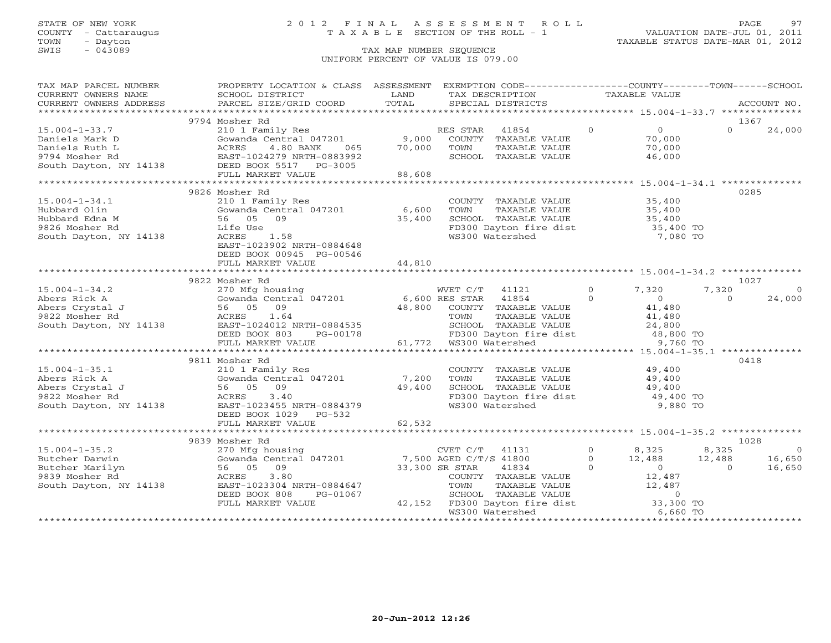# STATE OF NEW YORK 2 0 1 2 F I N A L A S S E S S M E N T R O L L PAGE 97 COUNTY - Cattaraugus T A X A B L E SECTION OF THE ROLL - 1 VALUATION DATE-JUL 01, 2011

| TAX MAP PARCEL NUMBER                                                                                                             | PROPERTY LOCATION & CLASS ASSESSMENT EXEMPTION CODE---------------COUNTY-------TOWN------SCHOOL                                                                          |                |                                                                                                                                                               |               |              |                               |                |             |
|-----------------------------------------------------------------------------------------------------------------------------------|--------------------------------------------------------------------------------------------------------------------------------------------------------------------------|----------------|---------------------------------------------------------------------------------------------------------------------------------------------------------------|---------------|--------------|-------------------------------|----------------|-------------|
| CURRENT OWNERS NAME                                                                                                               | SCHOOL DISTRICT                                                                                                                                                          | LAND           | TAX DESCRIPTION                                                                                                                                               |               |              | <b>TAXABLE VALUE</b>          |                |             |
| CURRENT OWNERS ADDRESS                                                                                                            | PARCEL SIZE/GRID COORD                                                                                                                                                   | TOTAL          | SPECIAL DISTRICTS                                                                                                                                             |               |              |                               |                | ACCOUNT NO. |
|                                                                                                                                   |                                                                                                                                                                          |                |                                                                                                                                                               |               |              |                               |                |             |
|                                                                                                                                   | 9794 Mosher Rd                                                                                                                                                           |                |                                                                                                                                                               |               |              |                               | 1367           |             |
| $15.004 - 1 - 33.7$                                                                                                               | 210 1 Family Res                                                                                                                                                         |                | RES STAR<br>41854                                                                                                                                             |               | $\Omega$     | $\overline{0}$                | $\Omega$       | 24,000      |
| Daniels Mark D                                                                                                                    | Gowanda Central 047201                                                                                                                                                   | 9,000          | COUNTY TAXABLE VALUE                                                                                                                                          |               |              | 70,000                        |                |             |
|                                                                                                                                   | 065                                                                                                                                                                      | 70,000         | TOWN                                                                                                                                                          | TAXABLE VALUE |              | 70,000                        |                |             |
| Daniels Ruth L<br>2008 1994 Mosher Rd<br>2009 1994 Mosher Rd<br>2008 2011 24279 NRTH-0883992<br>2011 24138 DEED BOOK 5517 26-3005 | EAST-1024279 NRTH-0883992                                                                                                                                                |                | SCHOOL TAXABLE VALUE                                                                                                                                          |               |              | 46,000                        |                |             |
|                                                                                                                                   |                                                                                                                                                                          |                |                                                                                                                                                               |               |              |                               |                |             |
|                                                                                                                                   | FULL MARKET VALUE                                                                                                                                                        | 88,608         |                                                                                                                                                               |               |              |                               |                |             |
|                                                                                                                                   |                                                                                                                                                                          |                |                                                                                                                                                               |               |              |                               |                |             |
|                                                                                                                                   | 9826 Mosher Rd                                                                                                                                                           |                |                                                                                                                                                               |               |              |                               | 0285           |             |
| $15.004 - 1 - 34.1$                                                                                                               | 210 1 Family Res                                                                                                                                                         |                | COUNTY TAXABLE VALUE 35,400                                                                                                                                   |               |              |                               |                |             |
| Hubbard Olin                                                                                                                      | Gowanda Central 047201                                                                                                                                                   | 6,600          | TOWN                                                                                                                                                          | TAXABLE VALUE |              |                               |                |             |
| Hubbard Edna M                                                                                                                    | 56 05 09                                                                                                                                                                 | 35,400         | SCHOOL TAXABLE VALUE                                                                                                                                          |               |              |                               |                |             |
| 9826 Mosher Rd                                                                                                                    | Life Use                                                                                                                                                                 |                | FD300 Dayton fire dist                                                                                                                                        |               |              | 35,400<br>35,400<br>35,400 TO |                |             |
| South Dayton, NY 14138                                                                                                            | ACRES<br>1.58                                                                                                                                                            |                | WS300 Watershed                                                                                                                                               |               |              | 7,080 TO                      |                |             |
|                                                                                                                                   | EAST-1023902 NRTH-0884648                                                                                                                                                |                |                                                                                                                                                               |               |              |                               |                |             |
|                                                                                                                                   | DEED BOOK 00945 PG-00546                                                                                                                                                 |                |                                                                                                                                                               |               |              |                               |                |             |
|                                                                                                                                   | FULL MARKET VALUE                                                                                                                                                        | 44,810         |                                                                                                                                                               |               |              |                               |                |             |
|                                                                                                                                   |                                                                                                                                                                          |                |                                                                                                                                                               |               |              |                               |                |             |
|                                                                                                                                   | 9822 Mosher Rd                                                                                                                                                           |                |                                                                                                                                                               |               |              |                               | 1027           |             |
| $15.004 - 1 - 34.2$                                                                                                               | 270 Mfg housing                                                                                                                                                          |                | WVET C/T 41121                                                                                                                                                |               | $\Omega$     | 7,320                         | 7,320          | $\Omega$    |
| Abers Rick A                                                                                                                      | Gowanda Centra<br>66 05 09<br>26 05 09<br>26 2013 24 25 25 26 26 27<br>26 26 26 26 27<br>26 26 26 26 27<br>26 26 26 27<br>26 26 27<br>26 26 27<br>Gowanda Central 047201 |                | 6,600 RES STAR 41854                                                                                                                                          |               | $\Omega$     | $\Omega$                      | $\Omega$       | 24,000      |
| Abers Crystal J                                                                                                                   |                                                                                                                                                                          | 48,800         | COUNTY TAXABLE VALUE                                                                                                                                          |               |              | 41,480                        |                |             |
| 9822 Mosher Rd                                                                                                                    | 1.64                                                                                                                                                                     |                | <b>TOWN TAXABLE VALUE<br/>SCHOOL TAXABLE VALUE</b>                                                                                                            | TAXABLE VALUE |              | 41,480<br>41,480<br>24,800    |                |             |
| South Dayton, NY 14138                                                                                                            | EAST-1024012 NRTH-0884535                                                                                                                                                |                |                                                                                                                                                               |               |              |                               |                |             |
|                                                                                                                                   | DEED BOOK 803<br>PG-00178                                                                                                                                                |                | FD300 Dayton fire dist 48,800 TO<br>WS300 Watershed 9,760 TO<br>FD300 Dayton file<br>FD300 Dayton file<br>61,772 WS300 Watershed                              |               |              |                               |                |             |
|                                                                                                                                   | FULL MARKET VALUE                                                                                                                                                        |                |                                                                                                                                                               |               |              |                               |                |             |
|                                                                                                                                   |                                                                                                                                                                          |                |                                                                                                                                                               |               |              |                               |                |             |
|                                                                                                                                   | 9811 Mosher Rd                                                                                                                                                           |                |                                                                                                                                                               |               |              |                               | 0418           |             |
| $15.004 - 1 - 35.1$                                                                                                               | 210 1 Family Res                                                                                                                                                         |                | COUNTY TAXABLE VALUE                                                                                                                                          |               |              | 49,400                        |                |             |
| Abers Rick A                                                                                                                      | Gowanda Central 047201                                                                                                                                                   | 7,200          | TOWN                                                                                                                                                          | TAXABLE VALUE |              | 49,400                        |                |             |
| Abers Crystal J                                                                                                                   |                                                                                                                                                                          | 49,400         | SCHOOL TAXABLE VALUE                                                                                                                                          |               |              |                               |                |             |
| 9822 Mosher Rd                                                                                                                    | Family<br>Gowanda Centi<br>56 05 09<br>ACRES<br>3.40                                                                                                                     |                | FD300 Dayton fire dist<br>W3100 Watershed                                                                                                                     |               |              | $49,400$ TO<br>$49,400$ TO    |                |             |
| South Dayton, NY 14138                                                                                                            | EAST-1023455 NRTH-0884379                                                                                                                                                |                | WS300 Watershed                                                                                                                                               |               |              | 9,880 TO                      |                |             |
|                                                                                                                                   | DEED BOOK 1029 PG-532                                                                                                                                                    |                |                                                                                                                                                               |               |              |                               |                |             |
|                                                                                                                                   | FULL MARKET VALUE                                                                                                                                                        | 62,532         |                                                                                                                                                               |               |              |                               |                |             |
|                                                                                                                                   |                                                                                                                                                                          |                |                                                                                                                                                               |               |              |                               |                |             |
|                                                                                                                                   | 9839 Mosher Rd                                                                                                                                                           |                |                                                                                                                                                               |               |              |                               | 1028           |             |
| $15.004 - 1 - 35.2$                                                                                                               | 270 Mfg housing                                                                                                                                                          |                | CVET C/T 41131                                                                                                                                                |               | $0 \t 8,325$ |                               | 8,325          | $\bigcirc$  |
| Butcher Darwin                                                                                                                    | Gowanda Central 047201 7,500 AGED C/T/S 41800                                                                                                                            |                |                                                                                                                                                               |               | $\Omega$     | 12,488                        | 12,488         | 16,650      |
| Butcher Marilyn                                                                                                                   | 56 05 09                                                                                                                                                                 | 33,300 SR STAR | 41834                                                                                                                                                         |               | $\circ$      | $\sim$ 0                      | $\overline{0}$ | 16,650      |
| 9839 Mosher Rd                                                                                                                    | 3.80<br>ACRES                                                                                                                                                            |                | COUNTY TAXABLE VALUE                                                                                                                                          |               |              | 12,487                        |                |             |
| South Dayton, NY 14138                                                                                                            | EAST-1023304 NRTH-0884647                                                                                                                                                |                |                                                                                                                                                               |               |              |                               |                |             |
|                                                                                                                                   | DEED BOOK 808<br>PG-01067                                                                                                                                                |                |                                                                                                                                                               |               |              |                               |                |             |
|                                                                                                                                   | FULL MARKET VALUE                                                                                                                                                        |                | COUNTY TAXABLE VALUE<br>TOWN TAXABLE VALUE<br>SCHOOL TAXABLE VALUE<br>42,152 FD300 Dayton fire dist<br>CONDITION Matershed<br>CONDITION Matershed<br>6,660 TO |               |              |                               |                |             |
|                                                                                                                                   |                                                                                                                                                                          |                |                                                                                                                                                               |               |              |                               |                |             |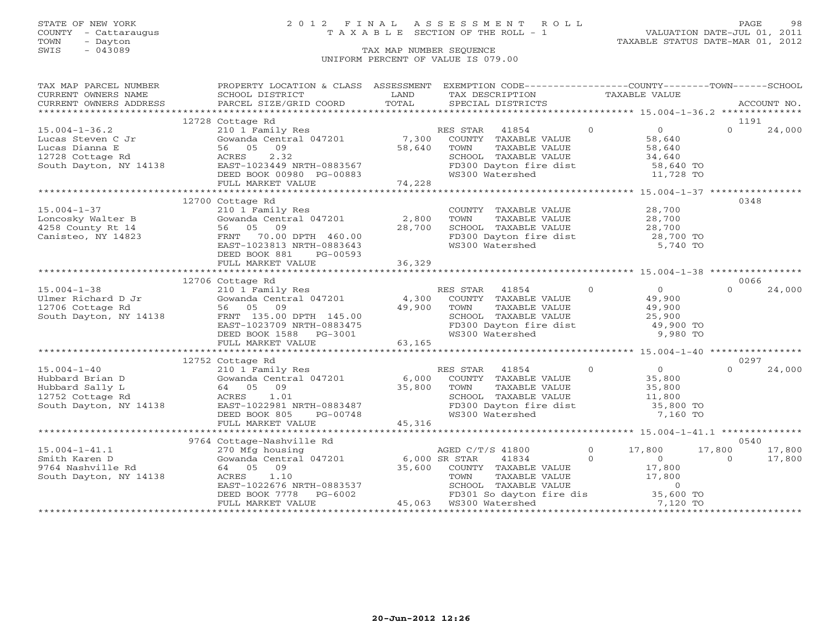# STATE OF NEW YORK 2 0 1 2 F I N A L A S S E S S M E N T R O L L PAGE 98 COUNTY - Cattaraugus T A X A B L E SECTION OF THE ROLL - 1 VALUATION DATE-JUL 01, 2011

TOWN - Dayton TAXABLE STATUS DATE-MAR 01, 2012

| TAX MAP PARCEL NUMBER                                        | PROPERTY LOCATION & CLASS ASSESSMENT EXEMPTION CODE----------------COUNTY-------TOWN------SCHOOL                                                                                                                                                                            |        |                                                                                                                                                                                                  |                                                                                         |          |             |
|--------------------------------------------------------------|-----------------------------------------------------------------------------------------------------------------------------------------------------------------------------------------------------------------------------------------------------------------------------|--------|--------------------------------------------------------------------------------------------------------------------------------------------------------------------------------------------------|-----------------------------------------------------------------------------------------|----------|-------------|
| CURRENT OWNERS NAME                                          | SCHOOL DISTRICT                                                                                                                                                                                                                                                             | LAND   | TAX DESCRIPTION TAXABLE VALUE                                                                                                                                                                    |                                                                                         |          |             |
| CURRENT OWNERS ADDRESS                                       |                                                                                                                                                                                                                                                                             |        |                                                                                                                                                                                                  |                                                                                         |          | ACCOUNT NO. |
|                                                              |                                                                                                                                                                                                                                                                             |        |                                                                                                                                                                                                  |                                                                                         |          |             |
|                                                              | 12728 Cottage Rd                                                                                                                                                                                                                                                            |        |                                                                                                                                                                                                  |                                                                                         | 1191     |             |
|                                                              | 210 1 Family Res                                                                                                                                                                                                                                                            |        |                                                                                                                                                                                                  |                                                                                         |          | 24,000      |
|                                                              |                                                                                                                                                                                                                                                                             |        |                                                                                                                                                                                                  |                                                                                         |          |             |
|                                                              |                                                                                                                                                                                                                                                                             |        |                                                                                                                                                                                                  |                                                                                         |          |             |
|                                                              |                                                                                                                                                                                                                                                                             |        |                                                                                                                                                                                                  |                                                                                         |          |             |
|                                                              |                                                                                                                                                                                                                                                                             |        |                                                                                                                                                                                                  |                                                                                         |          |             |
|                                                              |                                                                                                                                                                                                                                                                             |        |                                                                                                                                                                                                  |                                                                                         |          |             |
|                                                              |                                                                                                                                                                                                                                                                             |        |                                                                                                                                                                                                  |                                                                                         |          |             |
|                                                              |                                                                                                                                                                                                                                                                             |        |                                                                                                                                                                                                  |                                                                                         |          |             |
|                                                              | 12700 Cottage Rd                                                                                                                                                                                                                                                            |        |                                                                                                                                                                                                  |                                                                                         | 0348     |             |
| $15.004 - 1 - 37$                                            | 210 1 Family Res<br>Gowanda Central 047201 2,800<br>56 05 09 28,700                                                                                                                                                                                                         |        | COUNTY TAXABLE VALUE $28,700$<br>TOWN TAXABLE VALUE $28,700$<br>SCHOOL TAXABLE VALUE $28,700$<br>FD300 Dayton fire dist $28,700$<br>WS300 Watershed 5,740 TO                                     |                                                                                         |          |             |
|                                                              |                                                                                                                                                                                                                                                                             |        |                                                                                                                                                                                                  |                                                                                         |          |             |
|                                                              |                                                                                                                                                                                                                                                                             |        |                                                                                                                                                                                                  |                                                                                         |          |             |
| Loncosky Walter B<br>4258 County Rt 14<br>Canisteo, NY 14823 | Gowanda Central 047201 (1992)<br>56 05 09 (28,700 )<br>FRNT 70.00 DPTH 460.00<br>EAST-1023813 NRTH-0883643                                                                                                                                                                  |        |                                                                                                                                                                                                  |                                                                                         |          |             |
|                                                              |                                                                                                                                                                                                                                                                             |        |                                                                                                                                                                                                  |                                                                                         |          |             |
|                                                              | DEED BOOK 881<br>PG-00593                                                                                                                                                                                                                                                   |        |                                                                                                                                                                                                  |                                                                                         |          |             |
|                                                              | FULL MARKET VALUE                                                                                                                                                                                                                                                           | 36,329 |                                                                                                                                                                                                  |                                                                                         |          |             |
|                                                              |                                                                                                                                                                                                                                                                             |        |                                                                                                                                                                                                  |                                                                                         |          |             |
|                                                              | 12706 Cottage Rd                                                                                                                                                                                                                                                            |        |                                                                                                                                                                                                  |                                                                                         | 0066     |             |
|                                                              | 15.004-1-38<br>Ulmer Richard D Jr<br>210 1 Family Res<br>Cowanda Central 047201<br>2706 Cottage Rd<br>56 05 09<br>South Dayton, NY 14138<br>ERED BOOK 1588 PG-3001<br>FULL MARKET VALUE<br>FULL MARKET VALUE<br>FOR CONTY TAXABLE VALUE<br>49,900 T                         |        |                                                                                                                                                                                                  |                                                                                         | $\Omega$ | 24,000      |
|                                                              |                                                                                                                                                                                                                                                                             |        |                                                                                                                                                                                                  |                                                                                         |          |             |
|                                                              |                                                                                                                                                                                                                                                                             |        |                                                                                                                                                                                                  |                                                                                         |          |             |
|                                                              |                                                                                                                                                                                                                                                                             |        |                                                                                                                                                                                                  |                                                                                         |          |             |
|                                                              |                                                                                                                                                                                                                                                                             |        |                                                                                                                                                                                                  |                                                                                         |          |             |
|                                                              |                                                                                                                                                                                                                                                                             |        |                                                                                                                                                                                                  |                                                                                         |          |             |
|                                                              |                                                                                                                                                                                                                                                                             |        |                                                                                                                                                                                                  |                                                                                         |          |             |
|                                                              |                                                                                                                                                                                                                                                                             |        |                                                                                                                                                                                                  |                                                                                         |          |             |
|                                                              |                                                                                                                                                                                                                                                                             |        |                                                                                                                                                                                                  |                                                                                         |          |             |
|                                                              | 12752 Cottage Rd<br>15.004-1-40<br>Hubbard Brian D<br>Hubbard Sally L<br>(1 Family Res<br>Hubbard Sally L<br>(64 05 09<br>12752 Cottage Rd<br>(1 Recentral 047201<br>25,800 TOWN TAXABLE VALUE<br>25,800<br>25,800 TOWN TAXABLE VALUE<br>25,800<br>2752 Cottage Rd<br>(11,8 |        |                                                                                                                                                                                                  |                                                                                         | 0297     |             |
|                                                              |                                                                                                                                                                                                                                                                             |        |                                                                                                                                                                                                  |                                                                                         | $\Omega$ | 24,000      |
|                                                              |                                                                                                                                                                                                                                                                             |        |                                                                                                                                                                                                  |                                                                                         |          |             |
|                                                              |                                                                                                                                                                                                                                                                             |        |                                                                                                                                                                                                  |                                                                                         |          |             |
|                                                              |                                                                                                                                                                                                                                                                             |        | SCHOOL TAXABLE VALUE 11,800<br>FD300 Dayton fire dist 35,800 TO                                                                                                                                  |                                                                                         |          |             |
|                                                              |                                                                                                                                                                                                                                                                             |        |                                                                                                                                                                                                  |                                                                                         |          |             |
|                                                              |                                                                                                                                                                                                                                                                             |        |                                                                                                                                                                                                  | 7,160 TO                                                                                |          |             |
|                                                              |                                                                                                                                                                                                                                                                             |        |                                                                                                                                                                                                  |                                                                                         |          |             |
|                                                              |                                                                                                                                                                                                                                                                             |        |                                                                                                                                                                                                  |                                                                                         |          |             |
|                                                              | 9764 Cottage-Nashville Rd                                                                                                                                                                                                                                                   |        |                                                                                                                                                                                                  |                                                                                         | 0540     |             |
|                                                              |                                                                                                                                                                                                                                                                             |        | AGED C/T/S 41800                                                                                                                                                                                 | $\begin{array}{cccc} 0 & 17,800 & 17,800 & 0 & 17,800 \ 0 & 0 & 0 & 17,800 \end{array}$ |          |             |
|                                                              |                                                                                                                                                                                                                                                                             |        | $41834$ 0                                                                                                                                                                                        |                                                                                         |          | 17,800      |
|                                                              | 15.004-1-41.1<br>Smith Karen D Gowanda Central 047201 6,000 SR STAR<br>9764 Nashville Rd 64 05 09 35,600 COUNTY<br>South Dayton, NY 14138 ACRES 1.10 TOWN                                                                                                                   |        |                                                                                                                                                                                                  |                                                                                         |          |             |
|                                                              |                                                                                                                                                                                                                                                                             |        |                                                                                                                                                                                                  |                                                                                         |          |             |
|                                                              | CAST-1022676 NRTH-0883537<br>DEED BOOK 7778 PG-6002 FD301 So dayton<br>FULL MARKET VALUE 45,063 WS300 Watershed                                                                                                                                                             |        | 047201 6,000 SR STAR 41834 0<br>35,600 COUNTY TAXABLE VALUE 17,800<br>TH-0883537 SCHOOL TAXABLE VALUE 17,800<br>PG-6002 FD301 So dayton fire dis 35,600 TO<br>UE 45,063 WS300 Watershed 7,120 TO |                                                                                         |          |             |
|                                                              |                                                                                                                                                                                                                                                                             |        |                                                                                                                                                                                                  |                                                                                         |          |             |
|                                                              |                                                                                                                                                                                                                                                                             |        |                                                                                                                                                                                                  |                                                                                         |          |             |
|                                                              |                                                                                                                                                                                                                                                                             |        |                                                                                                                                                                                                  |                                                                                         |          |             |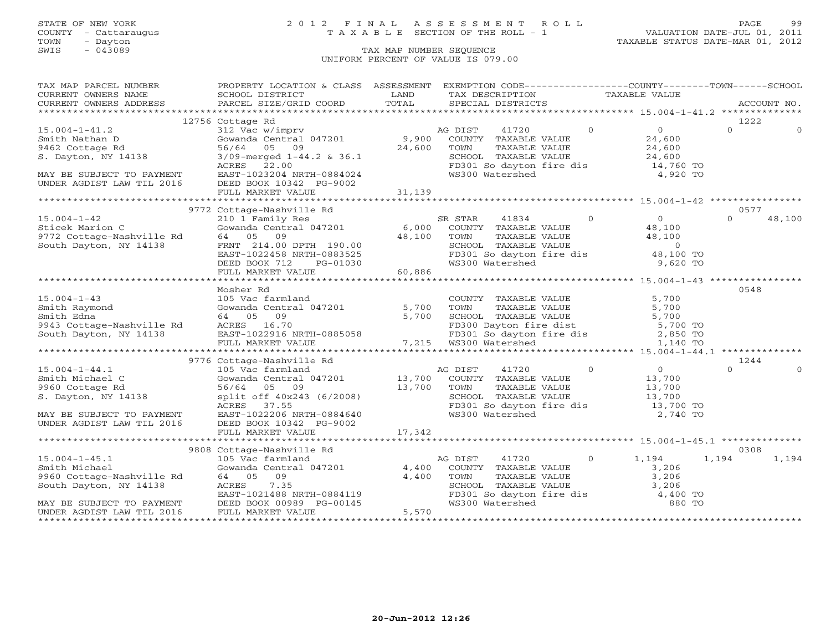# STATE OF NEW YORK 2 0 1 2 F I N A L A S S E S S M E N T R O L L PAGE 99 COUNTY - Cattaraugus T A X A B L E SECTION OF THE ROLL - 1 VALUATION DATE-JUL 01, 2011

TOWN - Dayton TAXABLE STATUS DATE-MAR 01, 2012

| TAX MAP PARCEL NUMBER                                                                                                                                                            | PROPERTY LOCATION & CLASS ASSESSMENT EXEMPTION CODE----------------COUNTY-------TOWN------SCHOOL                                                                                                                                                 |        |                                                                                                                                      |        |             |          |
|----------------------------------------------------------------------------------------------------------------------------------------------------------------------------------|--------------------------------------------------------------------------------------------------------------------------------------------------------------------------------------------------------------------------------------------------|--------|--------------------------------------------------------------------------------------------------------------------------------------|--------|-------------|----------|
|                                                                                                                                                                                  |                                                                                                                                                                                                                                                  |        | TAX DESCRIPTION TAXABLE VALUE                                                                                                        |        |             |          |
|                                                                                                                                                                                  |                                                                                                                                                                                                                                                  |        | SPECIAL DISTRICTS                                                                                                                    |        | ACCOUNT NO. |          |
|                                                                                                                                                                                  |                                                                                                                                                                                                                                                  |        |                                                                                                                                      |        |             |          |
|                                                                                                                                                                                  | 12756 Cottage Rd                                                                                                                                                                                                                                 |        |                                                                                                                                      |        | 1222        |          |
| $15.004 - 1 - 41.2$                                                                                                                                                              |                                                                                                                                                                                                                                                  |        |                                                                                                                                      |        | $\Omega$    | $\Omega$ |
| Smith Nathan D                                                                                                                                                                   | COCAGE NOT CONTROLLE ALLOHOLOGY AND TRIANGLE VALUE<br>312 Vac w/imprv<br>56/64 05 09 24,600 TOWN TAXABLE VALUE<br>319-merged 1-44.2 & 36.1 SCHOOL TAXABLE VALUE<br>ACRES 22.00 FD301 So dayton fire dis 14,760 TO<br>EAST-1023204 NRTH-0         |        |                                                                                                                                      |        |             |          |
| 9462 Cottage Rd<br>S. Dayton, NY 14138                                                                                                                                           |                                                                                                                                                                                                                                                  |        |                                                                                                                                      |        |             |          |
|                                                                                                                                                                                  |                                                                                                                                                                                                                                                  |        |                                                                                                                                      |        |             |          |
|                                                                                                                                                                                  |                                                                                                                                                                                                                                                  |        |                                                                                                                                      |        |             |          |
| MAY BE SUBJECT TO PAYMENT<br>UNDER AGDIST LAW TIL 2016                                                                                                                           |                                                                                                                                                                                                                                                  |        |                                                                                                                                      |        |             |          |
|                                                                                                                                                                                  | DEED BOOK 10342 PG-9002                                                                                                                                                                                                                          |        |                                                                                                                                      |        |             |          |
|                                                                                                                                                                                  |                                                                                                                                                                                                                                                  |        |                                                                                                                                      |        |             |          |
|                                                                                                                                                                                  |                                                                                                                                                                                                                                                  |        |                                                                                                                                      |        |             |          |
|                                                                                                                                                                                  | 9772 Cottage-Nashville Rd                                                                                                                                                                                                                        |        |                                                                                                                                      |        | 0577        |          |
| 15.004-1-42<br>Sticek Marion C<br>9772 Cottage-Nashville Rd<br>9772 Cottage-Nashville Rd<br>972 Cottage-Nashville Rd<br>84 05 09<br>FRNT 214.00<br>FRNT 214.00                   | Cottage-Nashville Rd<br>210 1 Family Res<br>Gowanda Central 047201 6,000 COUNTY TAXABLE VALUE<br>64 05 09 48,100 TOWN TAXABLE VALUE<br>FRNT 214.00 DPTH 190.00 48,100 TOWN TAXABLE VALUE<br>EAST-1022458 NRTH-0883525 FD301 So dayton fi         |        | $\begin{tabular}{llllll} \bf 41834 & 0 & 0 \\ \texttt{TXABLE VALUE} & & 48,100 \\ \texttt{TXABLE VALUE} & & 48,100 \\ \end{tabular}$ |        | $\Omega$    | 48,100   |
|                                                                                                                                                                                  |                                                                                                                                                                                                                                                  |        |                                                                                                                                      |        |             |          |
|                                                                                                                                                                                  |                                                                                                                                                                                                                                                  |        |                                                                                                                                      |        |             |          |
|                                                                                                                                                                                  |                                                                                                                                                                                                                                                  |        |                                                                                                                                      |        |             |          |
|                                                                                                                                                                                  |                                                                                                                                                                                                                                                  |        | SCHOOL TAXABLE VALUE<br>FD301 So dayton fire dis<br>WS300 Watershed 9,620 TO                                                         |        |             |          |
|                                                                                                                                                                                  |                                                                                                                                                                                                                                                  |        |                                                                                                                                      |        |             |          |
|                                                                                                                                                                                  |                                                                                                                                                                                                                                                  |        |                                                                                                                                      |        |             |          |
|                                                                                                                                                                                  |                                                                                                                                                                                                                                                  |        |                                                                                                                                      |        |             |          |
|                                                                                                                                                                                  | Mosher Rd                                                                                                                                                                                                                                        |        |                                                                                                                                      |        | 0548        |          |
|                                                                                                                                                                                  |                                                                                                                                                                                                                                                  |        | COUNTY TAXABLE VALUE                                                                                                                 | 5,700  |             |          |
| $15.004 - 1 - 43$                                                                                                                                                                | 105 Vac farmland<br>Gowanda Central 047201 5,700                                                                                                                                                                                                 |        | TOWN                                                                                                                                 | 5,700  |             |          |
|                                                                                                                                                                                  |                                                                                                                                                                                                                                                  |        | TAXABLE VALUE                                                                                                                        |        |             |          |
|                                                                                                                                                                                  |                                                                                                                                                                                                                                                  |        |                                                                                                                                      |        |             |          |
|                                                                                                                                                                                  |                                                                                                                                                                                                                                                  |        |                                                                                                                                      |        |             |          |
| Smith Raymond<br>Smith Edna 64 05 09<br>9943 Cottage-Nashville Rd<br>Smith Edna 64 05 09<br>9943 Cottage-Nashville Rd<br>South Dayton, NY 14138 EAST-1022916 1<br>EILL MARKET VZ |                                                                                                                                                                                                                                                  |        |                                                                                                                                      |        |             |          |
|                                                                                                                                                                                  | 64 05 09<br>ACRES 16.70<br>ACRES 16.70<br>EAST-1022916 NRTH-0885058<br>FULL MARKET VALUE<br>7,215 WS300 Watershed<br>7,215 WS300 Watershed<br>1,140 TO                                                                                           |        |                                                                                                                                      |        |             |          |
|                                                                                                                                                                                  |                                                                                                                                                                                                                                                  |        |                                                                                                                                      |        |             |          |
|                                                                                                                                                                                  | AG DIST 41720 0 0<br>Gowanda Central 047201 13,700 COUNTY TAXABLE VALUE 13,700<br>56/64 05 09 13,700 TOWN TAXABLE VALUE 13,700<br>split off 40x243 (6/2008) 13,700 TOWN TAXABLE VALUE 13,700<br>ACRES 37.55 FD301 So dayton fire dis 1           |        |                                                                                                                                      |        | 1244        |          |
| $15.004 - 1 - 44.1$                                                                                                                                                              |                                                                                                                                                                                                                                                  |        |                                                                                                                                      |        | $\Omega$    | $\Omega$ |
|                                                                                                                                                                                  |                                                                                                                                                                                                                                                  |        |                                                                                                                                      |        |             |          |
|                                                                                                                                                                                  |                                                                                                                                                                                                                                                  |        |                                                                                                                                      |        |             |          |
| Smith Michael C<br>9960 Cottage Rd<br>S. Dayton, NY 14138                                                                                                                        |                                                                                                                                                                                                                                                  |        |                                                                                                                                      |        |             |          |
|                                                                                                                                                                                  |                                                                                                                                                                                                                                                  |        |                                                                                                                                      |        |             |          |
| MAY BE SUBJECT TO PAYMENT EAST-1022206 NRTH-0884640                                                                                                                              |                                                                                                                                                                                                                                                  |        |                                                                                                                                      |        |             |          |
| UNDER AGDIST LAW TIL 2016 DEED BOOK 10342 PG-9002                                                                                                                                |                                                                                                                                                                                                                                                  |        |                                                                                                                                      |        |             |          |
|                                                                                                                                                                                  | FULL MARKET VALUE                                                                                                                                                                                                                                | 17,342 |                                                                                                                                      |        |             |          |
|                                                                                                                                                                                  |                                                                                                                                                                                                                                                  |        |                                                                                                                                      |        |             |          |
|                                                                                                                                                                                  | 9808 Cottage-Nashville Rd                                                                                                                                                                                                                        |        |                                                                                                                                      |        | 0308        |          |
| $15.004 - 1 - 45.1$                                                                                                                                                              |                                                                                                                                                                                                                                                  |        |                                                                                                                                      |        | 1,194       | 1,194    |
| Smith Michael                                                                                                                                                                    |                                                                                                                                                                                                                                                  |        |                                                                                                                                      |        |             |          |
| 9960 Cottage-Nashville Rd                                                                                                                                                        |                                                                                                                                                                                                                                                  |        |                                                                                                                                      |        |             |          |
| South Dayton, NY 14138                                                                                                                                                           |                                                                                                                                                                                                                                                  |        |                                                                                                                                      |        |             |          |
|                                                                                                                                                                                  | Cottage-Nashville Rd<br>105 Vac farmland<br>105 Vac farmland<br>64 05 09 1,400 COUNTY TAXABLE VALUE<br>4,400 TOWN TAXABLE VALUE<br>5,206 SCHOOL TAXABLE VALUE<br>1,400 TOWN TAXABLE VALUE<br>2,206 SCHOOL TAXABLE VALUE<br>3,206<br>1,400 TOWN T |        | FD301 So dayton fire dis $4,400$ TO                                                                                                  |        |             |          |
| MAY BE SUBJECT TO PAYMENT                                                                                                                                                        |                                                                                                                                                                                                                                                  |        | WS300 Watershed                                                                                                                      | 880 TO |             |          |
| UNDER AGDIST LAW TIL 2016                                                                                                                                                        |                                                                                                                                                                                                                                                  |        |                                                                                                                                      |        |             |          |
|                                                                                                                                                                                  |                                                                                                                                                                                                                                                  |        |                                                                                                                                      |        |             |          |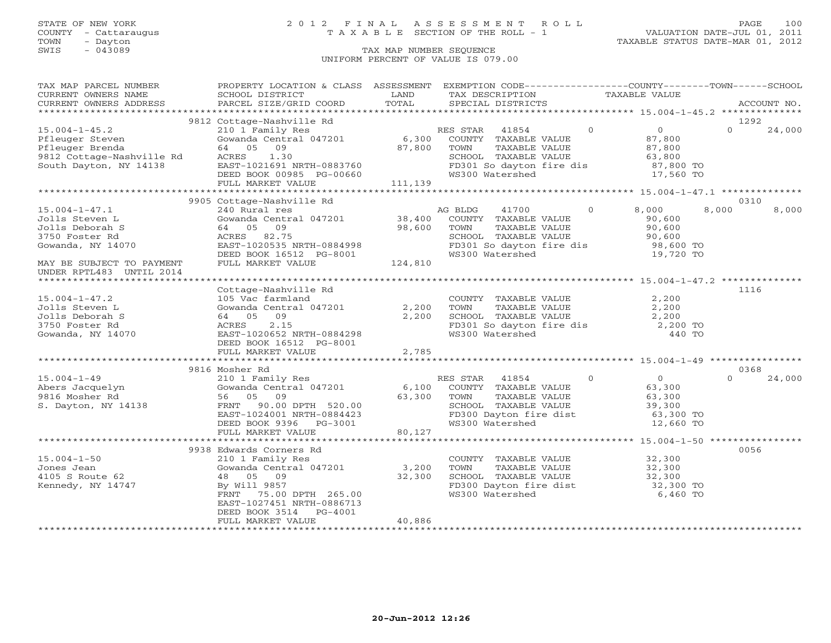## STATE OF NEW YORK 2 0 1 2 F I N A L A S S E S S M E N T R O L L PAGE 100 COUNTY - Cattaraugus T A X A B L E SECTION OF THE ROLL - 1 VALUATION DATE-JUL 01, 2011

| TAX MAP PARCEL NUMBER<br>CURRENT OWNERS NAME                                                                                                                                                                                                                                                                                                                                                                                                                                                                           | PROPERTY LOCATION & CLASS ASSESSMENT EXEMPTION CODE---------------COUNTY-------TOWN------SCHOOL<br>SCHOOL DISTRICT                                                                                                                                            | LAND           | TAX DESCRIPTION                                                                                                                                               | TAXABLE VALUE                                                                                                                                                                                                       |                            |
|------------------------------------------------------------------------------------------------------------------------------------------------------------------------------------------------------------------------------------------------------------------------------------------------------------------------------------------------------------------------------------------------------------------------------------------------------------------------------------------------------------------------|---------------------------------------------------------------------------------------------------------------------------------------------------------------------------------------------------------------------------------------------------------------|----------------|---------------------------------------------------------------------------------------------------------------------------------------------------------------|---------------------------------------------------------------------------------------------------------------------------------------------------------------------------------------------------------------------|----------------------------|
| $\begin{minipage}{.45\textwidth} \begin{minipage}{.45\textwidth} \begin{minipage}{.45\textwidth} \begin{minipage}{.45\textwidth} \begin{minipage}{.45\textwidth} \begin{minipage}{.45\textwidth} \begin{minipage}{.45\textwidth} \begin{minipage}{.45\textwidth} \begin{minipage}{.45\textwidth} \begin{minipage}{.45\textwidth} \begin{minipage}{.45\textwidth} \begin{minipage}{.45\textwidth} \begin{minipage}{.45\textwidth} \begin{minipage}{.45\textwidth} \begin{minipage}{.45\textwidth} \begin{minipage}{.45$ |                                                                                                                                                                                                                                                               |                |                                                                                                                                                               |                                                                                                                                                                                                                     |                            |
| 15.004-1-45.2<br>Pfleuger Steven (Gowanda Central 047201<br>Pfleuger Brenda (4 05 09 87,800 T<br>South Dayton, NY 14138 EAST-1021691 NRTH-0883760 F<br>FIII.I, MARKET VALUE 111,139                                                                                                                                                                                                                                                                                                                                    | 9812 Cottage-Nashville Rd<br>Collage-Mashville Rd<br>210 1 Family Res (300 COUNTY TAXABLE VALUE 87,800 COUNTY TAXABLE VALUE 87,800 COUNTY TAXABLE VALUE 87,800 COUNTY TAXABLE VALUE 87,800 COUNTY TAXABLE VALUE 87,800 COUNTY TAXABLE VALUE 87,800 COUNTY TAX |                |                                                                                                                                                               |                                                                                                                                                                                                                     | 1292<br>$\Omega$<br>24,000 |
|                                                                                                                                                                                                                                                                                                                                                                                                                                                                                                                        |                                                                                                                                                                                                                                                               |                |                                                                                                                                                               |                                                                                                                                                                                                                     |                            |
| $15.004 - 1 - 47.1$<br>Jolls Steven L<br>Jolls Deborah S<br>3750 Foster Rd<br>Gowanda, NY 14070<br>MAY BE SUBJECT TO PAYMENT                                                                                                                                                                                                                                                                                                                                                                                           | 9905 Cottage-Nashville Rd<br>240 Rural res<br>Gowanda Central 047201 38,400<br>64 05 09 98,600<br>ACRES 82.75<br>EAST-1020535 NRTH-0884998<br>DEED BOOK 16512 PG-8001<br>FULL MARKET VALUE 124,810                                                            |                | AG BLDG<br>41700<br>COUNTY TAXABLE VALUE<br>TOWN     TAXABLE VALUE<br>TOWN<br>WS300 Watershed                                                                 | $0 \qquad \qquad$<br>8,000<br>90,600<br>90,600<br>19,720 TO                                                                                                                                                         | 0310<br>8,000<br>8,000     |
| UNDER RPTL483 UNTIL 2014                                                                                                                                                                                                                                                                                                                                                                                                                                                                                               |                                                                                                                                                                                                                                                               |                |                                                                                                                                                               |                                                                                                                                                                                                                     |                            |
| $15.004 - 1 - 47.2$<br>Jolls Steven L<br>Jolls Deborah S<br>3750 Foster Rd<br>Gowanda, NY 14070                                                                                                                                                                                                                                                                                                                                                                                                                        | Cottage-Nashville Rd<br>105 Vac farmland<br>Gowanda Central 047201 2,200<br>64 05 09<br>2.15<br>ACRES<br>EAST-1020652 NRTH-0884298<br>DEED BOOK 16512 PG-8001<br>FULL MARKET VALUE                                                                            | 2,200<br>2,785 | COUNTY TAXABLE VALUE $2,200$<br>TOWN TAXABLE VALUE $2,200$<br>SCHOOL TAXABLE VALUE $2,200$<br>FD301 So dayton fire dis $2,200$ TO<br>WS300 Watershed $440$ TO |                                                                                                                                                                                                                     | 1116                       |
|                                                                                                                                                                                                                                                                                                                                                                                                                                                                                                                        | 9816 Mosher Rd                                                                                                                                                                                                                                                |                |                                                                                                                                                               |                                                                                                                                                                                                                     | 0368                       |
| S. Dayton, NY 14138                                                                                                                                                                                                                                                                                                                                                                                                                                                                                                    | FRNT 90.00 DPTH 520.00<br>EAST-1024001 NRTH-0884423<br>DEED BOOK 9396 PG-3001<br>FULL MARKET VALUE                                                                                                                                                            | 80,127         | SCHOOL TAXABLE VALUE 39,300<br>FD300 Dayton fire dist 63,300 TO<br>WS300 Watershed                                                                            | $\begin{tabular}{llllll} \bf 41854 & 0 & 0 \\ \bf TAXABLE \hspace{0.08cm} VALUE & 63,300 \\ \bf TAXABLE \hspace{0.08cm} VALUE & 63,300 \\ \bf TAXABLE \hspace{0.08cm} VALUE & 39,300 \\ \end{tabular}$<br>12,660 TO | $\cap$<br>24,000           |
|                                                                                                                                                                                                                                                                                                                                                                                                                                                                                                                        |                                                                                                                                                                                                                                                               |                |                                                                                                                                                               |                                                                                                                                                                                                                     |                            |
| $15.004 - 1 - 50$<br>Jones Jean<br>4105 S Route 62<br>Kennedy, NY 14747                                                                                                                                                                                                                                                                                                                                                                                                                                                | 9938 Edwards Corners Rd<br>210 1 Family Res<br>Gowanda Central 047201 3,200<br>48 05 09 32,300<br>By Will 9857<br>75.00 DPTH 265.00<br>FRNT<br>EAST-1027451 NRTH-0886713<br>DEED BOOK 3514 PG-4001<br>FULL MARKET VALUE                                       | 40,886         | COUNTY TAXABLE VALUE 32,300<br>FD300 Dayton fire dist 32,300 TO<br>WS300 Watershed 6,460 TO                                                                   |                                                                                                                                                                                                                     | 0056                       |
|                                                                                                                                                                                                                                                                                                                                                                                                                                                                                                                        |                                                                                                                                                                                                                                                               |                |                                                                                                                                                               |                                                                                                                                                                                                                     |                            |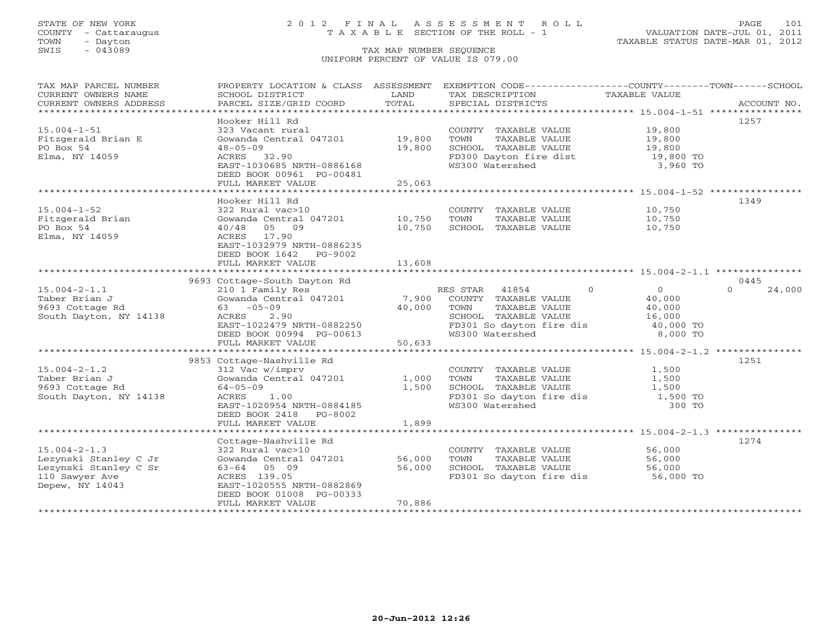## STATE OF NEW YORK 2 0 1 2 F I N A L A S S E S S M E N T R O L L PAGE 101 COUNTY - Cattaraugus T A X A B L E SECTION OF THE ROLL - 1 VALUATION DATE-JUL 01, 2011

| TAX MAP PARCEL NUMBER<br>CURRENT OWNERS NAME | PROPERTY LOCATION & CLASS ASSESSMENT         | LAND   | EXEMPTION CODE-----------------COUNTY-------TOWN------SCHOOL<br>TAX DESCRIPTION | TAXABLE VALUE              |                    |
|----------------------------------------------|----------------------------------------------|--------|---------------------------------------------------------------------------------|----------------------------|--------------------|
| CURRENT OWNERS ADDRESS                       | SCHOOL DISTRICT<br>PARCEL SIZE/GRID COORD    | TOTAL  | SPECIAL DISTRICTS                                                               |                            | ACCOUNT NO.        |
| ****************************                 |                                              |        |                                                                                 |                            |                    |
| $15.004 - 1 - 51$                            | Hooker Hill Rd<br>323 Vacant rural           |        | COUNTY TAXABLE VALUE 19,800                                                     |                            | 1257               |
| Fitzgerald Brian E                           | Gowanda Central 047201                       | 19,800 | TOWN<br>TAXABLE VALUE                                                           |                            |                    |
| PO Box 54                                    | $48 - 05 - 09$                               | 19,800 | SCHOOL TAXABLE VALUE                                                            | 19,800<br>19,800           |                    |
| Elma, NY 14059                               | ACRES 32.90                                  |        | FD300 Dayton fire dist                                                          | 19,800 TO                  |                    |
|                                              | EAST-1030685 NRTH-0886168                    |        | WS300 Watershed                                                                 | 3,960 TO                   |                    |
|                                              | DEED BOOK 00961 PG-00481                     |        |                                                                                 |                            |                    |
|                                              | FULL MARKET VALUE                            | 25,063 |                                                                                 |                            |                    |
|                                              |                                              |        |                                                                                 |                            |                    |
|                                              | Hooker Hill Rd                               |        |                                                                                 |                            | 1349               |
| $15.004 - 1 - 52$                            | 322 Rural vac>10                             |        | COUNTY TAXABLE VALUE                                                            | 10,750                     |                    |
| Fitzgerald Brian                             | Gowanda Central 047201                       | 10,750 | TOWN<br>TAXABLE VALUE                                                           | 10,750                     |                    |
| PO Box 54                                    | 40/48<br>05 09                               | 10,750 | SCHOOL TAXABLE VALUE                                                            | 10,750                     |                    |
| Elma, NY 14059                               | ACRES 17.90                                  |        |                                                                                 |                            |                    |
|                                              | EAST-1032979 NRTH-0886235                    |        |                                                                                 |                            |                    |
|                                              | DEED BOOK 1642 PG-9002                       |        |                                                                                 |                            |                    |
|                                              | FULL MARKET VALUE                            | 13,608 |                                                                                 |                            |                    |
|                                              | ****************************                 |        |                                                                                 |                            |                    |
|                                              | 9693 Cottage-South Dayton Rd                 |        |                                                                                 |                            | 0445               |
| $15.004 - 2 - 1.1$                           | 210 1 Family Res                             |        | RES STAR<br>41854                                                               | $\Omega$<br>$\overline{0}$ | $\Omega$<br>24,000 |
| Taber Brian J                                | Gowanda Central 047201                       | 7,900  | COUNTY TAXABLE VALUE                                                            | 40,000                     |                    |
| 9693 Cottage Rd                              | $63 - 05 - 09$                               | 40,000 | TAXABLE VALUE<br>TOWN                                                           | 40,000                     |                    |
| South Dayton, NY 14138                       | ACRES<br>2.90                                |        | SCHOOL TAXABLE VALUE                                                            | 16,000                     |                    |
|                                              | EAST-1022479 NRTH-0882250                    |        | FD301 So dayton fire dis                                                        | 40,000 TO                  |                    |
|                                              | DEED BOOK 00994 PG-00613                     |        | WS300 Watershed                                                                 | 8,000 TO                   |                    |
|                                              | FULL MARKET VALUE                            | 50,633 |                                                                                 |                            |                    |
|                                              |                                              |        |                                                                                 |                            | 1251               |
| $15.004 - 2 - 1.2$                           | 9853 Cottage-Nashville Rd<br>312 Vac w/imprv |        | COUNTY TAXABLE VALUE                                                            | 1,500                      |                    |
| Taber Brian J                                | Gowanda Central 047201                       | 1,000  | TOWN<br>TAXABLE VALUE                                                           | 1,500                      |                    |
| 9693 Cottage Rd                              | $64 - 05 - 09$                               | 1,500  | SCHOOL TAXABLE VALUE                                                            | 1,500                      |                    |
| South Dayton, NY 14138                       | ACRES 1.00                                   |        | FD301 So dayton fire dis                                                        | 1,500 TO                   |                    |
|                                              | EAST-1020954 NRTH-0884185                    |        | WS300 Watershed                                                                 | 300 TO                     |                    |
|                                              | DEED BOOK 2418 PG-8002                       |        |                                                                                 |                            |                    |
|                                              | FULL MARKET VALUE                            | 1,899  |                                                                                 |                            |                    |
|                                              |                                              |        |                                                                                 |                            |                    |
|                                              | Cottage-Nashville Rd                         |        |                                                                                 |                            | 1274               |
| $15.004 - 2 - 1.3$                           | 322 Rural vac>10                             |        | COUNTY TAXABLE VALUE                                                            | 56,000                     |                    |
| Lezynski Stanley C Jr                        | Gowanda Central 047201                       | 56,000 | TOWN<br>TAXABLE VALUE                                                           | 56,000                     |                    |
| Lezynski Stanley C Sr                        | $63 - 64$ 05 09                              | 56,000 | SCHOOL TAXABLE VALUE                                                            | 56,000                     |                    |
| 110 Sawyer Ave                               | ACRES 139.05                                 |        | FD301 So dayton fire dis                                                        | 56,000 TO                  |                    |
| Depew, NY 14043                              | EAST-1020555 NRTH-0882869                    |        |                                                                                 |                            |                    |
|                                              | DEED BOOK 01008 PG-00333                     |        |                                                                                 |                            |                    |
|                                              | FULL MARKET VALUE                            | 70,886 |                                                                                 |                            |                    |
|                                              |                                              |        |                                                                                 |                            |                    |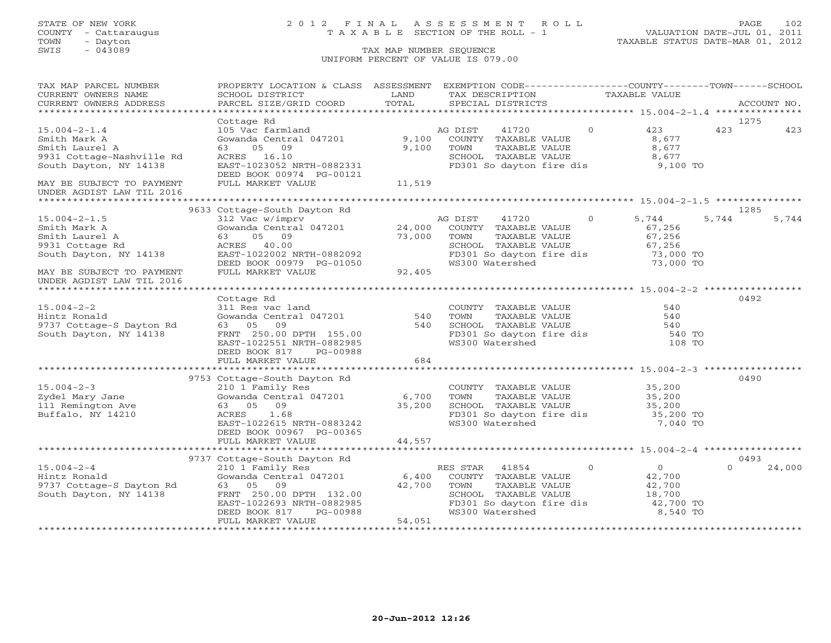# STATE OF NEW YORK 2 0 1 2 F I N A L A S S E S S M E N T R O L L PAGE 102 COUNTY - Cattaraugus T A X A B L E SECTION OF THE ROLL - 1 VALUATION DATE-JUL 01, 2011

TOWN - Dayton TAXABLE STATUS DATE-MAR 01, 2012

| TAX MAP PARCEL NUMBER     | PROPERTY LOCATION & CLASS ASSESSMENT EXEMPTION CODE----------------COUNTY-------TOWN------SCHOOL |        |                                                                |                        |                     |                    |
|---------------------------|--------------------------------------------------------------------------------------------------|--------|----------------------------------------------------------------|------------------------|---------------------|--------------------|
| CURRENT OWNERS NAME       | SCHOOL DISTRICT                                                                                  | LAND   | TAX DESCRIPTION                                                | TAXABLE VALUE          |                     |                    |
| CURRENT OWNERS ADDRESS    | PARCEL SIZE/GRID COORD                                                                           | TOTAL  | SPECIAL DISTRICTS                                              |                        |                     | ACCOUNT NO.        |
|                           |                                                                                                  |        |                                                                |                        |                     |                    |
|                           | Cottage Rd                                                                                       |        |                                                                |                        |                     | 1275               |
| $15.004 - 2 - 1.4$        | 105 Vac farmland                                                                                 |        | AG DIST<br>41720                                               | $\circ$                | 423                 | 423<br>423         |
| Smith Mark A              | Gowanda Central 047201                                                                           | 9,100  | COUNTY TAXABLE VALUE                                           |                        | 8,677               |                    |
| Smith Laurel A            | 05 09<br>63                                                                                      | 9,100  | TOWN<br>TAXABLE VALUE                                          |                        | 8,677               |                    |
| 9931 Cottage-Nashville Rd | ACRES 16.10                                                                                      |        | SCHOOL TAXABLE VALUE                                           |                        | 8,677               |                    |
| South Dayton, NY 14138    | EAST-1023052 NRTH-0882331                                                                        |        | FD301 So dayton fire dis 9,100 TO                              |                        |                     |                    |
|                           | DEED BOOK 00974 PG-00121                                                                         |        |                                                                |                        |                     |                    |
| MAY BE SUBJECT TO PAYMENT | FULL MARKET VALUE                                                                                | 11,519 |                                                                |                        |                     |                    |
| UNDER AGDIST LAW TIL 2016 |                                                                                                  |        |                                                                |                        |                     |                    |
|                           | 9633 Cottage-South Dayton Rd                                                                     |        |                                                                |                        |                     | 1285               |
| $15.004 - 2 - 1.5$        | 312 Vac w/imprv                                                                                  |        | AG DIST<br>41720                                               | $\overline{0}$         | 5,744               | 5,744<br>5,744     |
| Smith Mark A              | Gowanda Central 047201 24,000                                                                    |        | COUNTY TAXABLE VALUE                                           |                        | 67,256              |                    |
| Smith Laurel A            | 05 09<br>63                                                                                      | 73,000 | TOWN                                                           | TAXABLE VALUE          | 67,256              |                    |
| 9931 Cottage Rd           | ACRES 40.00                                                                                      |        | SCHOOL TAXABLE VALUE                                           |                        | 67,256              |                    |
|                           | EAST-1022002 NRTH-0882092                                                                        |        | FD301 So dayton fire dis                                       |                        | 67,256<br>73,000 TO |                    |
| South Dayton, NY 14138    |                                                                                                  |        | WS300 Watershed                                                |                        | 73,000 TO           |                    |
| MAY BE SUBJECT TO PAYMENT | DEED BOOK 00979 PG-01050<br>FULL MARKET VALUE 92,405                                             |        |                                                                |                        |                     |                    |
| UNDER AGDIST LAW TIL 2016 |                                                                                                  |        |                                                                |                        |                     |                    |
|                           |                                                                                                  |        |                                                                |                        |                     |                    |
|                           | Cottage Rd                                                                                       |        |                                                                |                        |                     | 0492               |
| $15.004 - 2 - 2$          | 311 Res vac land                                                                                 |        | COUNTY TAXABLE VALUE                                           |                        | 540                 |                    |
| Hintz Ronald              | Gowanda Central 047201                                                                           | 540    | TOWN<br>TAXABLE VALUE                                          |                        | 540                 |                    |
| 9737 Cottage-S Dayton Rd  | 09<br>63 05                                                                                      | 540    | SCHOOL TAXABLE VALUE                                           |                        | 540                 |                    |
| South Dayton, NY 14138    | FRNT 250.00 DPTH 155.00                                                                          |        | FD301 So dayton fire dis                                       |                        | 540 TO              |                    |
|                           | EAST-1022551 NRTH-0882985                                                                        |        | WS300 Watershed                                                |                        | 108 TO              |                    |
|                           | DEED BOOK 817<br>PG-00988                                                                        |        |                                                                |                        |                     |                    |
|                           | FULL MARKET VALUE                                                                                | 684    |                                                                |                        |                     |                    |
|                           |                                                                                                  |        |                                                                |                        |                     |                    |
|                           | 9753 Cottage-South Dayton Rd                                                                     |        |                                                                |                        |                     | 0490               |
| $15.004 - 2 - 3$          | 210 1 Family Res                                                                                 |        | COUNTY TAXABLE VALUE 35,200                                    |                        |                     |                    |
| Zydel Mary Jane           | $210 + 14 \text{ m} + 210$<br>Gowanda Central 047201 6,700                                       |        | TAXABLE VALUE<br>TOWN                                          |                        |                     |                    |
| 111 Remington Ave         | 63 05 09                                                                                         | 35,200 | SCHOOL TAXABLE VALUE                                           | $35, 200$<br>$35, 200$ |                     |                    |
| Buffalo, NY 14210         | 1.68<br>ACRES                                                                                    |        | FD301 So dayton fire dis 35,200 TO<br>WS300 Watershed 7,040 TO |                        |                     |                    |
|                           | EAST-1022615 NRTH-0883242                                                                        |        |                                                                |                        |                     |                    |
|                           | DEED BOOK 00967 PG-00365                                                                         |        |                                                                |                        |                     |                    |
|                           | FULL MARKET VALUE                                                                                | 44,557 |                                                                |                        |                     |                    |
|                           |                                                                                                  |        |                                                                |                        |                     |                    |
|                           | 9737 Cottage-South Dayton Rd                                                                     |        |                                                                |                        |                     | 0493               |
| $15.004 - 2 - 4$          | 210 1 Family Res                                                                                 |        | RES STAR<br>41854                                              | $\circ$                | 0                   | 24,000<br>$\Omega$ |
| Hintz Ronald              | Gowanda Central 047201                                                                           | 6,400  | COUNTY TAXABLE VALUE                                           |                        | 42,700              |                    |
| 9737 Cottage-S Dayton Rd  | 63 05<br>09                                                                                      | 42,700 | CHOOL TAXABLE VALUE<br>SCHOOL TAXABLE VALUE<br>FD301 So dow    |                        | 42,700              |                    |
| South Dayton, NY 14138    | FRNT 250.00 DPTH 132.00                                                                          |        |                                                                |                        | 18,700              |                    |
|                           | EAST-1022693 NRTH-0882985                                                                        |        | FD301 So dayton fire dis<br>Wall So dayton fire dis            |                        | 42,700 TO           |                    |
|                           | DEED BOOK 817<br>PG-00988                                                                        |        |                                                                |                        | 8,540 TO            |                    |
|                           | FULL MARKET VALUE                                                                                | 54,051 |                                                                |                        |                     |                    |
|                           |                                                                                                  |        |                                                                |                        |                     |                    |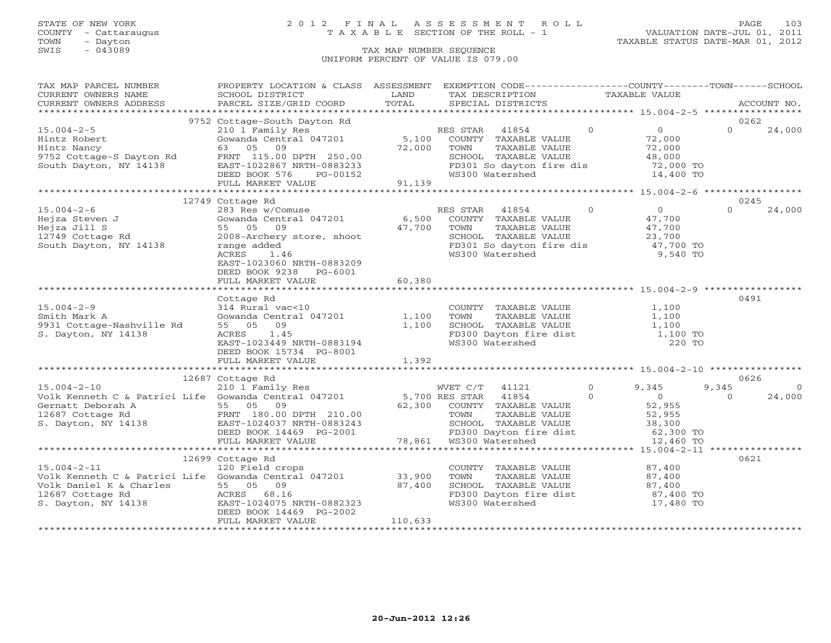# STATE OF NEW YORK 2 0 1 2 F I N A L A S S E S S M E N T R O L L PAGE 103 COUNTY - Cattaraugus T A X A B L E SECTION OF THE ROLL - 1 VALUATION DATE-JUL 01, 2011

TOWN - Dayton TAXABLE STATUS DATE-MAR 01, 2012

| TAX MAP PARCEL NUMBER                                   | PROPERTY LOCATION & CLASS ASSESSMENT EXEMPTION CODE----------------COUNTY-------TOWN------SCHOOL                                                                                                                                                     |                        |                                                                                                                                                               |                    |
|---------------------------------------------------------|------------------------------------------------------------------------------------------------------------------------------------------------------------------------------------------------------------------------------------------------------|------------------------|---------------------------------------------------------------------------------------------------------------------------------------------------------------|--------------------|
| CURRENT OWNERS NAME                                     | SCHOOL DISTRICT                                                                                                                                                                                                                                      | <b>Example 12</b> LAND | TAX DESCRIPTION TAXABLE VALUE                                                                                                                                 |                    |
|                                                         |                                                                                                                                                                                                                                                      |                        |                                                                                                                                                               | ACCOUNT NO.        |
|                                                         |                                                                                                                                                                                                                                                      |                        |                                                                                                                                                               |                    |
|                                                         | 9752 Cottage-South Dayton Rd                                                                                                                                                                                                                         |                        |                                                                                                                                                               | 0262               |
|                                                         |                                                                                                                                                                                                                                                      |                        |                                                                                                                                                               |                    |
|                                                         |                                                                                                                                                                                                                                                      |                        |                                                                                                                                                               |                    |
|                                                         |                                                                                                                                                                                                                                                      |                        |                                                                                                                                                               |                    |
|                                                         |                                                                                                                                                                                                                                                      |                        |                                                                                                                                                               |                    |
|                                                         |                                                                                                                                                                                                                                                      |                        |                                                                                                                                                               |                    |
|                                                         |                                                                                                                                                                                                                                                      |                        |                                                                                                                                                               |                    |
|                                                         |                                                                                                                                                                                                                                                      |                        |                                                                                                                                                               |                    |
|                                                         | 12749 Cottage Rd                                                                                                                                                                                                                                     |                        |                                                                                                                                                               | 0245               |
|                                                         | 15.004-2-6<br>Hejza Steven J<br>Hejza Steven J<br>Hejza Jill S<br>12749 Cottage Rd<br>South Dayton, NY 14138<br>Hejza Jill S<br>2008-Archery store, shoot<br>2008-Archery store, shoot<br>2008-Archery store, shoot<br>2008-Archery store, shoot<br> |                        |                                                                                                                                                               | $\Omega$<br>24,000 |
|                                                         |                                                                                                                                                                                                                                                      |                        |                                                                                                                                                               |                    |
|                                                         |                                                                                                                                                                                                                                                      |                        |                                                                                                                                                               |                    |
|                                                         |                                                                                                                                                                                                                                                      |                        |                                                                                                                                                               |                    |
|                                                         |                                                                                                                                                                                                                                                      |                        |                                                                                                                                                               |                    |
|                                                         |                                                                                                                                                                                                                                                      |                        | FD301 So dayton fire dis $\begin{bmatrix} 1/7 & 700 & \text{TO} \\ 47 & 700 & \text{TO} \end{bmatrix}$<br>WS300 Watershed 9,540 TO                            |                    |
|                                                         | EAST-1023060 NRTH-0883209                                                                                                                                                                                                                            |                        |                                                                                                                                                               |                    |
|                                                         | DEED BOOK 9238 PG-6001                                                                                                                                                                                                                               |                        |                                                                                                                                                               |                    |
|                                                         | FULL MARKET VALUE                                                                                                                                                                                                                                    | 60, 380                |                                                                                                                                                               |                    |
|                                                         |                                                                                                                                                                                                                                                      |                        |                                                                                                                                                               |                    |
|                                                         | Cottage Rd                                                                                                                                                                                                                                           |                        |                                                                                                                                                               | 0491               |
|                                                         | 314 Rural vac<10                                                                                                                                                                                                                                     |                        | COUNTY TAXABLE VALUE $1,100$                                                                                                                                  |                    |
| 15.004-2-9<br>Smith Mark A<br>9931 Cottage-Nashville Rd | 314 Rural vac<10<br>Gowanda Central 047201 1,100<br>55 05 09 1,100<br>ACRES 1.45<br>EAST-1023449 NRTH-0883194                                                                                                                                        |                        | TOWN TAXABLE VALUE 1,100<br>SCHOOL TAXABLE VALUE 1,100<br>FD300 Dayton fire dist 1,100 TO<br>WS300 Watershed 220 TO                                           |                    |
|                                                         |                                                                                                                                                                                                                                                      |                        |                                                                                                                                                               |                    |
| S. Dayton, NY 14138                                     |                                                                                                                                                                                                                                                      |                        |                                                                                                                                                               |                    |
|                                                         |                                                                                                                                                                                                                                                      |                        |                                                                                                                                                               |                    |
|                                                         | DEED BOOK 15734 PG-8001                                                                                                                                                                                                                              |                        |                                                                                                                                                               |                    |
|                                                         | FULL MARKET VALUE                                                                                                                                                                                                                                    | 1,392                  |                                                                                                                                                               |                    |
|                                                         |                                                                                                                                                                                                                                                      |                        |                                                                                                                                                               |                    |
|                                                         |                                                                                                                                                                                                                                                      |                        |                                                                                                                                                               |                    |
|                                                         |                                                                                                                                                                                                                                                      |                        |                                                                                                                                                               |                    |
|                                                         |                                                                                                                                                                                                                                                      |                        |                                                                                                                                                               |                    |
|                                                         |                                                                                                                                                                                                                                                      |                        |                                                                                                                                                               |                    |
|                                                         |                                                                                                                                                                                                                                                      |                        |                                                                                                                                                               |                    |
|                                                         |                                                                                                                                                                                                                                                      |                        |                                                                                                                                                               |                    |
|                                                         |                                                                                                                                                                                                                                                      |                        |                                                                                                                                                               |                    |
|                                                         |                                                                                                                                                                                                                                                      |                        |                                                                                                                                                               |                    |
|                                                         |                                                                                                                                                                                                                                                      |                        |                                                                                                                                                               |                    |
|                                                         | 12699 Cottage Rd                                                                                                                                                                                                                                     |                        |                                                                                                                                                               | 0621               |
|                                                         | 15.004-2-11 120 Field crops<br>Volk Kenneth C & Patrici Life Gowanda Central 047201 33,900<br>Volk Daniel K & Charlos                                                                                                                                |                        |                                                                                                                                                               |                    |
|                                                         |                                                                                                                                                                                                                                                      |                        |                                                                                                                                                               |                    |
|                                                         |                                                                                                                                                                                                                                                      |                        |                                                                                                                                                               |                    |
|                                                         | Volk Daniel K & Charles<br>12687 Cottage Rd 2687 Cottage Rd 2687 Cottage Rd 2687 Cottage Rd 2687 Cottage Rd 2687 Cottage Rd 2687 Cottage Rd 2687 Cottage Rd 2687 Cottage Rd 2687 Cottage Rd 2687 Cottage Rd 2687 Cottage Rd 2687                     |                        | COUNTY TAXABLE VALUE $87,400$<br>TOWN TAXABLE VALUE $87,400$<br>SCHOOL TAXABLE VALUE $87,400$<br>FD300 Dayton fire dist $87,400$<br>WS300 Watershed 17,480 TO |                    |
|                                                         |                                                                                                                                                                                                                                                      |                        |                                                                                                                                                               |                    |
|                                                         |                                                                                                                                                                                                                                                      |                        |                                                                                                                                                               |                    |
|                                                         | FULL MARKET VALUE                                                                                                                                                                                                                                    | 110,633                |                                                                                                                                                               |                    |
|                                                         |                                                                                                                                                                                                                                                      |                        |                                                                                                                                                               |                    |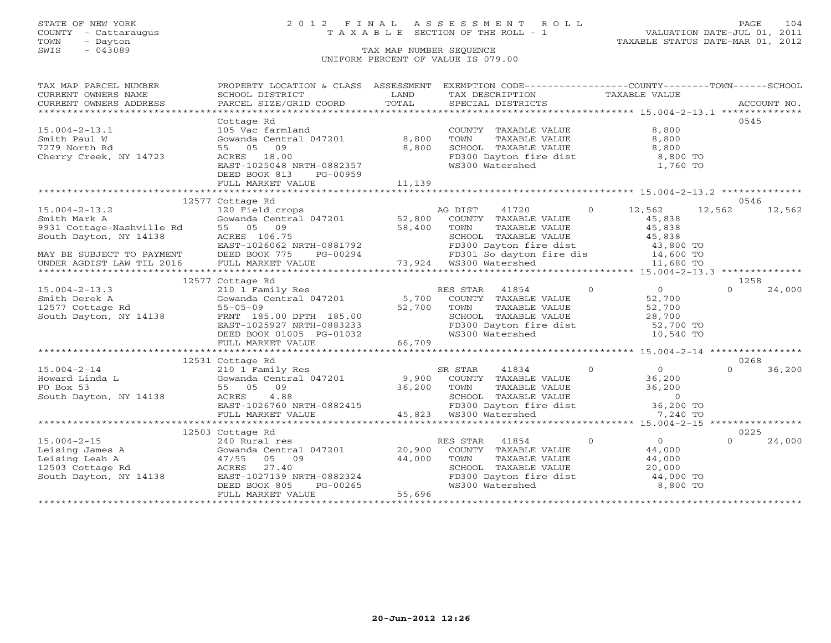# STATE OF NEW YORK 2 0 1 2 F I N A L A S S E S S M E N T R O L L PAGE 104 COUNTY - Cattaraugus T A X A B L E SECTION OF THE ROLL - 1 VALUATION DATE-JUL 01, 2011

| TAX MAP PARCEL NUMBER                                                                                                                                                                                                                                                                                                                                                                                                                                                                                                                            | PROPERTY LOCATION & CLASS ASSESSMENT                                           |                                      | EXEMPTION CODE-----------------COUNTY-------TOWN------SCHOOL                                                                                                                  |                                            |                    |
|--------------------------------------------------------------------------------------------------------------------------------------------------------------------------------------------------------------------------------------------------------------------------------------------------------------------------------------------------------------------------------------------------------------------------------------------------------------------------------------------------------------------------------------------------|--------------------------------------------------------------------------------|--------------------------------------|-------------------------------------------------------------------------------------------------------------------------------------------------------------------------------|--------------------------------------------|--------------------|
| CURRENT OWNERS NAME                                                                                                                                                                                                                                                                                                                                                                                                                                                                                                                              | SCHOOL DISTRICT                                                                | LAND                                 | TAX DESCRIPTION TAXABLE VALUE                                                                                                                                                 |                                            |                    |
| CURRENT OWNERS ADDRESS<br>$\begin{minipage}{.45\textwidth} \begin{minipage}{.45\textwidth} \begin{minipage}{.45\textwidth} \begin{minipage}{.45\textwidth} \begin{minipage}{.45\textwidth} \begin{minipage}{.45\textwidth} \begin{minipage}{.45\textwidth} \begin{minipage}{.45\textwidth} \begin{minipage}{.45\textwidth} \begin{minipage}{.45\textwidth} \begin{minipage}{.45\textwidth} \begin{minipage}{.45\textwidth} \begin{minipage}{.45\textwidth} \begin{minipage}{.45\textwidth} \begin{minipage}{.45\textwidth} \begin{minipage}{.45$ |                                                                                |                                      |                                                                                                                                                                               |                                            |                    |
|                                                                                                                                                                                                                                                                                                                                                                                                                                                                                                                                                  | Cottage Rd                                                                     |                                      |                                                                                                                                                                               |                                            | 0545               |
| $15.004 - 2 - 13.1$                                                                                                                                                                                                                                                                                                                                                                                                                                                                                                                              | 105 Vac farmland                                                               |                                      | COUNTY TAXABLE VALUE                                                                                                                                                          | 8,800                                      |                    |
| Smith Paul W                                                                                                                                                                                                                                                                                                                                                                                                                                                                                                                                     | Gowanda Central 047201 8,800                                                   |                                      | TOWN<br>TAXABLE VALUE                                                                                                                                                         | 8,800                                      |                    |
| 7279 North Rd                                                                                                                                                                                                                                                                                                                                                                                                                                                                                                                                    | 55 05 09                                                                       | 8,800                                | SCHOOL TAXABLE VALUE                                                                                                                                                          | 8,800                                      |                    |
| Cherry Creek, NY 14723                                                                                                                                                                                                                                                                                                                                                                                                                                                                                                                           | ACRES 18.00                                                                    |                                      | FD300 Dayton fire dist 8,800 TO                                                                                                                                               |                                            |                    |
|                                                                                                                                                                                                                                                                                                                                                                                                                                                                                                                                                  | EAST-1025048 NRTH-0882357                                                      |                                      | WS300 Watershed                                                                                                                                                               | 1,760 TO                                   |                    |
|                                                                                                                                                                                                                                                                                                                                                                                                                                                                                                                                                  | DEED BOOK 813<br>PG-00959                                                      |                                      |                                                                                                                                                                               |                                            |                    |
|                                                                                                                                                                                                                                                                                                                                                                                                                                                                                                                                                  | FULL MARKET VALUE                                                              | 11,139                               |                                                                                                                                                                               |                                            |                    |
|                                                                                                                                                                                                                                                                                                                                                                                                                                                                                                                                                  |                                                                                |                                      |                                                                                                                                                                               |                                            |                    |
|                                                                                                                                                                                                                                                                                                                                                                                                                                                                                                                                                  | 12577 Cottage Rd                                                               |                                      |                                                                                                                                                                               |                                            | 0546               |
| $15.004 - 2 - 13.2$<br>Smith Mark A                                                                                                                                                                                                                                                                                                                                                                                                                                                                                                              | 120 Field crops<br>Gowanda Central 047201 52,800                               |                                      | AG DIST                                                                                                                                                                       | 41720 0 12,562<br>45,838                   | 12,562<br>12,562   |
|                                                                                                                                                                                                                                                                                                                                                                                                                                                                                                                                                  | 55 05 09                                                                       |                                      | COUNTY TAXABLE VALUE<br>TOWN                                                                                                                                                  | 45,838                                     |                    |
| 9931 Cottage-Nashville Rd<br>South Davton, NY 14138<br>South Dayton, NY 14138                                                                                                                                                                                                                                                                                                                                                                                                                                                                    | 58,400<br>ACRES 106.75                                                         |                                      | TOWN      TAXABLE VALUE<br>SCHOOL   TAXABLE VALUE                                                                                                                             | 45,838                                     |                    |
|                                                                                                                                                                                                                                                                                                                                                                                                                                                                                                                                                  |                                                                                |                                      |                                                                                                                                                                               |                                            |                    |
| MAY BE SUBJECT TO PAYMENT                                                                                                                                                                                                                                                                                                                                                                                                                                                                                                                        | EAST-1026062 NRTH-0881792<br>DEED BOOK 775 PG-00294                            |                                      | CONCORRECTED MAINTENTIFUL MANUFACTURE MANUFACTURE MANUFACTURE MANUFACTURE MANUFACTURE MANUFACTURE MANUFACTURE<br>FD300 Dayton fire dis 14,600 TO<br>WS300 Watershed 11,680 TO |                                            |                    |
| UNDER AGDIST LAW TIL 2016                                                                                                                                                                                                                                                                                                                                                                                                                                                                                                                        | FULL MARKET VALUE                                                              |                                      |                                                                                                                                                                               |                                            |                    |
|                                                                                                                                                                                                                                                                                                                                                                                                                                                                                                                                                  |                                                                                |                                      |                                                                                                                                                                               |                                            |                    |
|                                                                                                                                                                                                                                                                                                                                                                                                                                                                                                                                                  | 12577 Cottage Rd                                                               |                                      |                                                                                                                                                                               |                                            | 1258               |
| $15.004 - 2 - 13.3$                                                                                                                                                                                                                                                                                                                                                                                                                                                                                                                              | Coccage Au<br>210 1 Family Res<br>Gowanda Central 047201 5,700                 |                                      | $\overline{0}$<br>RES STAR 41854                                                                                                                                              | $\overline{0}$                             | $\Omega$<br>24,000 |
| Smith Derek A                                                                                                                                                                                                                                                                                                                                                                                                                                                                                                                                    |                                                                                |                                      | COUNTY TAXABLE VALUE                                                                                                                                                          | 52,700                                     |                    |
| 12577 Cottage Rd                                                                                                                                                                                                                                                                                                                                                                                                                                                                                                                                 | $55 - 05 - 09$                                                                 | 52,700                               | TOWN TAXABLE VALUE 52,700<br>SCHOOL TAXABLE VALUE 28,700<br>FD300 Dayton fire dist 52,700 TO                                                                                  |                                            |                    |
| South Dayton, NY 14138                                                                                                                                                                                                                                                                                                                                                                                                                                                                                                                           | FRNT 185.00 DPTH 185.00                                                        |                                      |                                                                                                                                                                               |                                            |                    |
|                                                                                                                                                                                                                                                                                                                                                                                                                                                                                                                                                  | EAST-1025927 NRTH-0883233                                                      |                                      |                                                                                                                                                                               |                                            |                    |
|                                                                                                                                                                                                                                                                                                                                                                                                                                                                                                                                                  | DEED BOOK 01005 PG-01032                                                       |                                      | WS300 Watershed                                                                                                                                                               | 10,540 TO                                  |                    |
|                                                                                                                                                                                                                                                                                                                                                                                                                                                                                                                                                  | FULL MARKET VALUE                                                              | 66,709                               |                                                                                                                                                                               |                                            |                    |
|                                                                                                                                                                                                                                                                                                                                                                                                                                                                                                                                                  |                                                                                |                                      |                                                                                                                                                                               |                                            | 0268               |
| $\begin{tabular}{lllllllllllllllllll} \textsc{15.004-2-14} & & & & \textsc{210 1} \text{ Family Res} & & & \textsc{SR STAR} & 41834 & 0 \\ \textsc{Howard Linda L} & & \textsc{Gowanda Central 047201} & & & \textsc{9,900} & \textsc{COUNTY} & \textsc{TXABLE VALUE} \\ \textsc{PO Box 53} & & \textsc{55} & 05 & 09 & 36,200 & \textsc{TOWN} & \textsc{TXABLE VALUE} \\ \textsc{South Dayton, NY 14138} & & \textsc{ACRES} & & \textsc{4.8$                                                                                                    | 12531 Cottage Rd                                                               |                                      | $\overline{0}$                                                                                                                                                                |                                            | $\Omega$<br>36,200 |
|                                                                                                                                                                                                                                                                                                                                                                                                                                                                                                                                                  |                                                                                |                                      |                                                                                                                                                                               | $\begin{array}{c} 0 \\ 36,200 \end{array}$ |                    |
|                                                                                                                                                                                                                                                                                                                                                                                                                                                                                                                                                  |                                                                                |                                      |                                                                                                                                                                               |                                            |                    |
|                                                                                                                                                                                                                                                                                                                                                                                                                                                                                                                                                  |                                                                                |                                      |                                                                                                                                                                               |                                            |                    |
|                                                                                                                                                                                                                                                                                                                                                                                                                                                                                                                                                  | AUNES 4.88<br>EAST-1026760 NRTH-0882415<br>FULL MARKET WALLE                   |                                      |                                                                                                                                                                               |                                            |                    |
|                                                                                                                                                                                                                                                                                                                                                                                                                                                                                                                                                  | FULL MARKET VALUE                                                              |                                      | 45,823 WS300 Watershed                                                                                                                                                        |                                            |                    |
|                                                                                                                                                                                                                                                                                                                                                                                                                                                                                                                                                  |                                                                                |                                      |                                                                                                                                                                               |                                            |                    |
|                                                                                                                                                                                                                                                                                                                                                                                                                                                                                                                                                  | 12503 Cottage Rd                                                               |                                      |                                                                                                                                                                               |                                            | 0225               |
| $15.004 - 2 - 15$                                                                                                                                                                                                                                                                                                                                                                                                                                                                                                                                | 240 Rural res                                                                  |                                      | RES STAR 41854                                                                                                                                                                | $\Omega$<br>$\overline{0}$                 | $\cap$<br>24,000   |
| Leising James A                                                                                                                                                                                                                                                                                                                                                                                                                                                                                                                                  | Cowanda Central<br>47/55 05 09<br>ACRES 27.40<br>Gowanda Central 047201 20,900 |                                      | COUNTY TAXABLE VALUE                                                                                                                                                          | 44,000                                     |                    |
| Leising Leah A                                                                                                                                                                                                                                                                                                                                                                                                                                                                                                                                   |                                                                                | 44,000                               | TOWN<br>TAXABLE VALUE                                                                                                                                                         | 44,000                                     |                    |
| 12503 Cottage Rd                                                                                                                                                                                                                                                                                                                                                                                                                                                                                                                                 |                                                                                |                                      | SCHOOL TAXABLE VALUE                                                                                                                                                          | 20,000                                     |                    |
| South Dayton, NY 14138                                                                                                                                                                                                                                                                                                                                                                                                                                                                                                                           | EAST-1027139 NRTH-0882324                                                      |                                      | FD300 Dayton fire dist $44,000$ TO<br>WS300 Watershed 8,800 TO                                                                                                                |                                            |                    |
|                                                                                                                                                                                                                                                                                                                                                                                                                                                                                                                                                  | DEED BOOK 805                                                                  | H-0882324<br>PG-00265<br>'<br>55,696 |                                                                                                                                                                               |                                            |                    |
|                                                                                                                                                                                                                                                                                                                                                                                                                                                                                                                                                  | FULL MARKET VALUE                                                              |                                      |                                                                                                                                                                               |                                            |                    |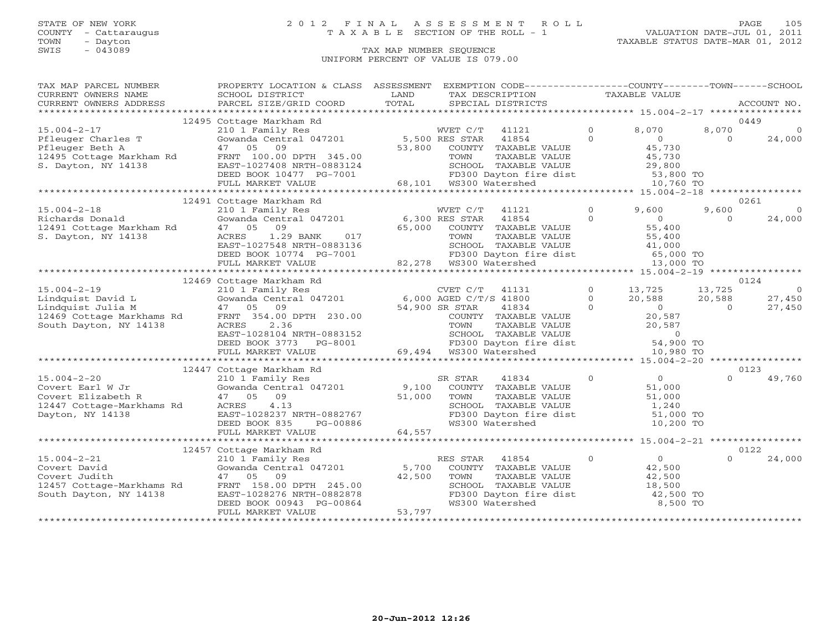# STATE OF NEW YORK 2 0 1 2 F I N A L A S S E S S M E N T R O L L PAGE 105 COUNTY - Cattaraugus T A X A B L E SECTION OF THE ROLL - 1 VALUATION DATE-JUL 01, 2011

| TAX MAP PARCEL NUMBER                 | PROPERTY LOCATION & CLASS ASSESSMENT                                           |                | EXEMPTION CODE----------------COUNTY-------TOWN------SCHOOL                                                                                                                             |                |                  |                |                |
|---------------------------------------|--------------------------------------------------------------------------------|----------------|-----------------------------------------------------------------------------------------------------------------------------------------------------------------------------------------|----------------|------------------|----------------|----------------|
| CURRENT OWNERS NAME                   | SCHOOL DISTRICT                                                                | LAND           | TAX DESCRIPTION                                                                                                                                                                         |                | TAXABLE VALUE    |                |                |
| CURRENT OWNERS ADDRESS                | PARCEL SIZE/GRID COORD                                                         | TOTAL          | SPECIAL DISTRICTS                                                                                                                                                                       |                |                  |                | ACCOUNT NO.    |
|                                       |                                                                                |                |                                                                                                                                                                                         |                |                  |                |                |
|                                       | 12495 Cottage Markham Rd                                                       |                |                                                                                                                                                                                         |                |                  |                | 0449           |
| $15.004 - 2 - 17$                     | 210 1 Family Res                                                               |                | WVET C/T<br>41121                                                                                                                                                                       | $\Omega$       | 8,070            | 8,070          | $\Omega$       |
| Pfleuger Charles T                    | Gowanda Central 047201                                                         | 5,500 RES STAR | 41854                                                                                                                                                                                   | $\Omega$       | $\overline{0}$   | $\Omega$       | 24,000         |
| Pfleuger Beth A                       | 09<br>47 05                                                                    | 53,800         | COUNTY TAXABLE VALUE                                                                                                                                                                    |                | 45,730           |                |                |
| 12495 Cottage Markham Rd              | FRNT 100.00 DPTH 345.00                                                        |                | TAXABLE VALUE<br>TOWN                                                                                                                                                                   |                | 45,730           |                |                |
| S. Dayton, NY 14138                   | EAST-1027408 NRTH-0883124                                                      |                | SCHOOL TAXABLE VALUE                                                                                                                                                                    |                | 29,800           |                |                |
|                                       | DEED BOOK 10477 PG-7001                                                        |                | FD300 Dayton fire dist 53,800 TO<br>WS300 Watershed 10,760 TO                                                                                                                           |                |                  |                |                |
|                                       | FULL MARKET VALUE                                                              |                | 68,101 WS300 Watershed                                                                                                                                                                  |                | 10,760 TO        |                |                |
|                                       |                                                                                |                |                                                                                                                                                                                         |                |                  |                |                |
|                                       | 12491 Cottage Markham Rd                                                       |                |                                                                                                                                                                                         |                |                  |                | 0261           |
| $15.004 - 2 - 18$                     | 210 1 Family Res<br>Gowanda Central 047201                                     |                | WVET C/T<br>41121                                                                                                                                                                       | $\circ$        | 9,600            | 9,600          | $\circ$        |
| Richards Donald                       |                                                                                | 6,300 RES STAR | 41854                                                                                                                                                                                   | $\Omega$       | $\overline{0}$   | $\Omega$       | 24,000         |
| 12491 Cottage Markham Rd              | 47 05 09                                                                       | 65,000         | COUNTY TAXABLE VALUE                                                                                                                                                                    |                | 55,400<br>55,400 |                |                |
| S. Dayton, NY 14138                   | 1.29 BANK<br>ACRES<br>017                                                      |                | TOWN<br>TAXABLE VALUE                                                                                                                                                                   |                |                  |                |                |
|                                       | EAST-1027548 NRTH-0883136                                                      |                | SCHOOL TAXABLE VALUE $\begin{array}{ccc} 41,000 \ \text{FD300\;} \text{Dayton} \text{ fire dist} & 65,000 \text{ TO} \ \text{WS300\;} \text{Watershed} & 13,000 \text{ TO} \end{array}$ |                |                  |                |                |
|                                       | DEED BOOK 10774 PG-7001                                                        |                | SCHOOL TAXABLE<br>FD300 Dayton fir<br>82,278 WS300 Watershed                                                                                                                            |                |                  |                |                |
|                                       | FULL MARKET VALUE                                                              |                |                                                                                                                                                                                         |                |                  |                |                |
|                                       |                                                                                |                |                                                                                                                                                                                         |                |                  |                |                |
|                                       | 12469 Cottage Markham Rd                                                       |                |                                                                                                                                                                                         |                |                  |                | 0124           |
| $15.004 - 2 - 19$                     | 210 1 Family Res                                                               |                | CVET C/T<br>41131                                                                                                                                                                       | $\overline{0}$ | 13,725           | 13,725         | $\overline{0}$ |
| Lindquist David L                     | Gowanda Central 047201 6,000 AGED C/T/S 41800<br>47 05 09 54,900 SR STAR 41834 |                |                                                                                                                                                                                         | $\Omega$       | 20,588           | 20,588         | 27,450         |
| Lindquist Julia M                     |                                                                                |                |                                                                                                                                                                                         | $\Omega$       | $\sim$ 0         | $\overline{0}$ | 27,450         |
| 12469 Cottage Markhams Rd             | FRNT 354.00 DPTH 230.00                                                        |                | COUNTY TAXABLE VALUE<br>TOWN     TAXABLE VALUE                                                                                                                                          |                | 20,587           |                |                |
| South Dayton, NY 14138                | 2.36<br>ACRES                                                                  |                |                                                                                                                                                                                         |                | 20,587           |                |                |
|                                       | EAST-1028104 NRTH-0883152                                                      |                |                                                                                                                                                                                         |                |                  |                |                |
|                                       | DEED BOOK 3773<br>PG-8001                                                      |                | SCHOOL TAXABLE VALUE<br>FD300 Dayton fire dist 54,900 TO<br>WS300 Watershed 10,980 TO                                                                                                   |                |                  |                |                |
|                                       | FULL MARKET VALUE                                                              |                | 69,494 WS300 Watershed                                                                                                                                                                  |                |                  |                |                |
|                                       |                                                                                |                |                                                                                                                                                                                         |                |                  |                | 0123           |
|                                       | 12447 Cottage Markham Rd                                                       |                |                                                                                                                                                                                         | $\overline{0}$ | $\sim$ 0         | $\Omega$       |                |
| $15.004 - 2 - 20$<br>Covert Earl W Jr | 210 1 Family Res                                                               |                | SR STAR<br>41834<br>9,100 COUNTY TAXABLE VALUE                                                                                                                                          |                | 51,000           |                | 49,760         |
| Covert Elizabeth R                    | Gowanda Central 047201<br>47 05<br>09                                          | 51,000         | TOWN<br>TAXABLE VALUE                                                                                                                                                                   |                | 51,000           |                |                |
| 12447 Cottage-Markhams Rd             | 4.13<br>ACRES                                                                  |                | SCHOOL TAXABLE VALUE                                                                                                                                                                    |                | 1,240            |                |                |
| Dayton, NY 14138                      | EAST-1028237 NRTH-0882767                                                      |                | FD300 Dayton fire dist                                                                                                                                                                  |                | 51,000 TO        |                |                |
|                                       | PG-00886<br>DEED BOOK 835                                                      |                | WS300 Watershed                                                                                                                                                                         |                | 10,200 TO        |                |                |
|                                       | FULL MARKET VALUE                                                              | 64,557         |                                                                                                                                                                                         |                |                  |                |                |
|                                       |                                                                                |                |                                                                                                                                                                                         |                |                  |                |                |
|                                       | 12457 Cottage Markham Rd                                                       |                |                                                                                                                                                                                         |                |                  |                | 0122           |
| $15.004 - 2 - 21$                     |                                                                                |                | RES STAR<br>41854                                                                                                                                                                       | $\overline{0}$ | $\overline{0}$   |                | 24,000         |
| Covert David                          | 210 1 Family Res<br>Gowanda Central 047201                                     | 5,700          | COUNTY TAXABLE VALUE                                                                                                                                                                    |                | 42,500           |                |                |
| Covert Judith                         | 47 05 09                                                                       | 42,500         | TOWN<br>TAXABLE VALUE                                                                                                                                                                   |                | 42,500           |                |                |
| 12457 Cottage-Markhams Rd             | FRNT 158.00 DPTH 245.00                                                        |                | SCHOOL TAXABLE VALUE                                                                                                                                                                    |                | 18,500           |                |                |
| South Dayton, NY 14138                | EAST-1028276 NRTH-0882878                                                      |                | FD300 Dayton fire dist                                                                                                                                                                  |                | 42,500 TO        |                |                |
|                                       | DEED BOOK 00943 PG-00864                                                       |                | WS300 Watershed                                                                                                                                                                         |                | 8,500 TO         |                |                |
|                                       | FULL MARKET VALUE                                                              | 53,797         |                                                                                                                                                                                         |                |                  |                |                |
|                                       |                                                                                |                |                                                                                                                                                                                         |                |                  |                |                |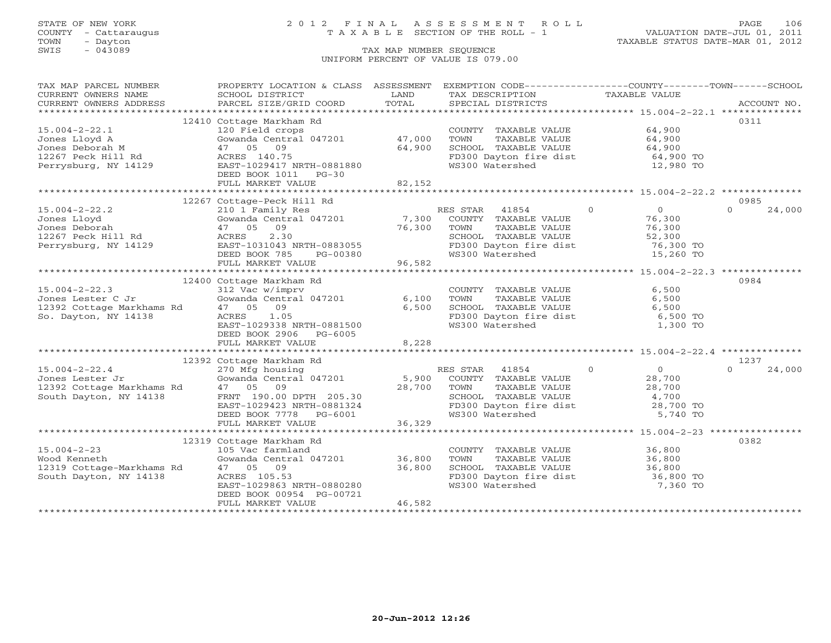# STATE OF NEW YORK 2 0 1 2 F I N A L A S S E S S M E N T R O L L PAGE 106 COUNTY - Cattaraugus T A X A B L E SECTION OF THE ROLL - 1 VALUATION DATE-JUL 01, 2011

| TAX MAP PARCEL NUMBER<br>CURRENT OWNERS NAME                                  | PROPERTY LOCATION & CLASS ASSESSMENT EXEMPTION CODE----------------COUNTY-------TOWN------SCHOOL<br>SCHOOL DISTRICT               | LAND   | TAX DESCRIPTION                                                                                                         | TAXABLE VALUE                |                    |
|-------------------------------------------------------------------------------|-----------------------------------------------------------------------------------------------------------------------------------|--------|-------------------------------------------------------------------------------------------------------------------------|------------------------------|--------------------|
| CURRENT OWNERS ADDRESS                                                        | PARCEL SIZE/GRID COORD                                                                                                            | TOTAL  | SPECIAL DISTRICTS                                                                                                       |                              | ACCOUNT NO.        |
|                                                                               |                                                                                                                                   |        |                                                                                                                         |                              |                    |
|                                                                               | 12410 Cottage Markham Rd                                                                                                          |        |                                                                                                                         |                              | 0311               |
| $15.004 - 2 - 22.1$                                                           | 120 Field crops                                                                                                                   |        | COUNTY TAXABLE VALUE 64,900                                                                                             |                              |                    |
| Jones Lloyd A                                                                 | Gowanda Central 047201 47,000                                                                                                     |        | TOWN<br>TAXABLE VALUE                                                                                                   | 64,900                       |                    |
| Jones Deborah M                                                               | 47 05 09                                                                                                                          | 64,900 | SCHOOL TAXABLE VALUE                                                                                                    | 64,900                       |                    |
|                                                                               |                                                                                                                                   |        | FD300 Dayton fire dist 64,900 TO                                                                                        |                              |                    |
|                                                                               |                                                                                                                                   |        | WS300 Watershed                                                                                                         | 12,980 TO                    |                    |
|                                                                               | DEED BOOK 1011 PG-30                                                                                                              |        |                                                                                                                         |                              |                    |
|                                                                               | FULL MARKET VALUE                                                                                                                 | 82,152 |                                                                                                                         |                              |                    |
|                                                                               |                                                                                                                                   |        |                                                                                                                         |                              |                    |
|                                                                               | 12267 Cottage-Peck Hill Rd                                                                                                        |        |                                                                                                                         |                              | 0985               |
| $15.004 - 2 - 22.2$                                                           | 210 1 Family Res                                                                                                                  |        | RES STAR 41854                                                                                                          | $\bigcirc$<br>$\overline{0}$ | $\Omega$<br>24,000 |
| Jones Lloyd                                                                   | Gowanda Central 047201 $\begin{array}{cccc} 7,300 & \text{COUNTY} & \text{TAXABLE VALUE} \\ 47 & 05 & 00 & 76,300 \\ \end{array}$ |        |                                                                                                                         | 76,300                       |                    |
| Jones Deborah                                                                 | 97, 300<br>47 05 09 76, 300<br>ACRES 2.30 76, 300<br>EAST-1031043 NRTH-0883055<br>47 05 09                                        |        | TAXABLE VALUE<br>TOWN                                                                                                   | 76,300                       |                    |
| 12267 Peck Hill Rd                                                            |                                                                                                                                   |        |                                                                                                                         | 52,300                       |                    |
| Perrysburg, NY 14129                                                          |                                                                                                                                   |        |                                                                                                                         | 76,300 TO                    |                    |
|                                                                               | DEED BOOK 785<br>PG-00380                                                                                                         |        | SCHOOL TAXABLE VALUE<br>FD300 Dayton fire dist<br>WS300 Watershed                                                       | 15,260 TO                    |                    |
|                                                                               | FULL MARKET VALUE                                                                                                                 | 96,582 |                                                                                                                         |                              |                    |
|                                                                               |                                                                                                                                   |        |                                                                                                                         |                              |                    |
|                                                                               | 12400 Cottage Markham Rd                                                                                                          |        |                                                                                                                         |                              | 0984               |
| $15.004 - 2 - 22.3$                                                           | 312 Vac w/imprv<br>Gowanda Central 047201 6,100                                                                                   |        | COUNTY TAXABLE VALUE                                                                                                    | 6,500                        |                    |
| Jones Lester C Jr                                                             |                                                                                                                                   |        | TOWN<br>TAXABLE VALUE                                                                                                   | 6,500                        |                    |
|                                                                               |                                                                                                                                   | 6,500  | SCHOOL TAXABLE VALUE                                                                                                    | 6,500                        |                    |
|                                                                               | ACRES 1.05                                                                                                                        |        | FD300 Dayton fire dist<br>WS300 Watershed                                                                               | 6,500 TO                     |                    |
|                                                                               | EAST-1029338 NRTH-0881500                                                                                                         |        |                                                                                                                         | 1,300 TO                     |                    |
|                                                                               | DEED BOOK 2906 PG-6005<br>FULL MARKET VALUE                                                                                       | 8,228  |                                                                                                                         |                              |                    |
|                                                                               |                                                                                                                                   |        |                                                                                                                         |                              |                    |
|                                                                               | 12392 Cottage Markham Rd                                                                                                          |        |                                                                                                                         |                              | 1237               |
| $15.004 - 2 - 22.4$                                                           | 270 Mfg housing                                                                                                                   |        | RES STAR 41854                                                                                                          | $\Omega$<br>$\overline{0}$   | $\Omega$<br>24,000 |
| Jones Lester Jr                                                               |                                                                                                                                   |        | COUNTY TAXABLE VALUE                                                                                                    | 28,700                       |                    |
|                                                                               | 47 05 09                                                                                                                          | 28,700 |                                                                                                                         |                              |                    |
| 12392 Cottage Markhams Rd<br>South Dayton, NY 14138<br>South Dayton, NY 14138 |                                                                                                                                   |        |                                                                                                                         |                              |                    |
|                                                                               |                                                                                                                                   |        |                                                                                                                         |                              |                    |
|                                                                               |                                                                                                                                   |        | TOWN TAXABLE VALUE 28,700<br>SCHOOL TAXABLE VALUE 4,700<br>FD300 Dayton fire dist 28,700 TO<br>WS300 Watershed 5,740 TO |                              |                    |
|                                                                               | EAST-1029423 NRTH-0881324<br>DEED BOOK 7778 PG-6001<br>FULL MARKET VALUE<br>FULL MARKET VALUE                                     | 36,329 |                                                                                                                         |                              |                    |
|                                                                               |                                                                                                                                   |        |                                                                                                                         |                              |                    |
|                                                                               | 12319 Cottage Markham Rd                                                                                                          |        |                                                                                                                         |                              | 0382               |
| $15.004 - 2 - 23$                                                             | 105 Vac farmland                                                                                                                  |        | COUNTY TAXABLE VALUE 36,800                                                                                             |                              |                    |
| Wood Kenneth                                                                  | Gowanda Central 047201 36,800                                                                                                     |        | TAXABLE VALUE<br>TOWN                                                                                                   |                              |                    |
| 12319 Cottage-Markhams Rd                                                     | 47 05 09                                                                                                                          | 36,800 |                                                                                                                         | 36,800<br>36,800             |                    |
| South Dayton, NY 14138                                                        | ACRES 105.53                                                                                                                      |        | SCHOOL TAXABLE VALUE 36,800<br>FD300 Dayton fire dist 36,800 TO                                                         |                              |                    |
|                                                                               | EAST-1029863 NRTH-0880280                                                                                                         |        | WS300 Watershed                                                                                                         | 7,360 TO                     |                    |
|                                                                               | DEED BOOK 00954 PG-00721                                                                                                          |        |                                                                                                                         |                              |                    |
|                                                                               | FULL MARKET VALUE                                                                                                                 | 46,582 |                                                                                                                         |                              |                    |
|                                                                               |                                                                                                                                   |        |                                                                                                                         |                              |                    |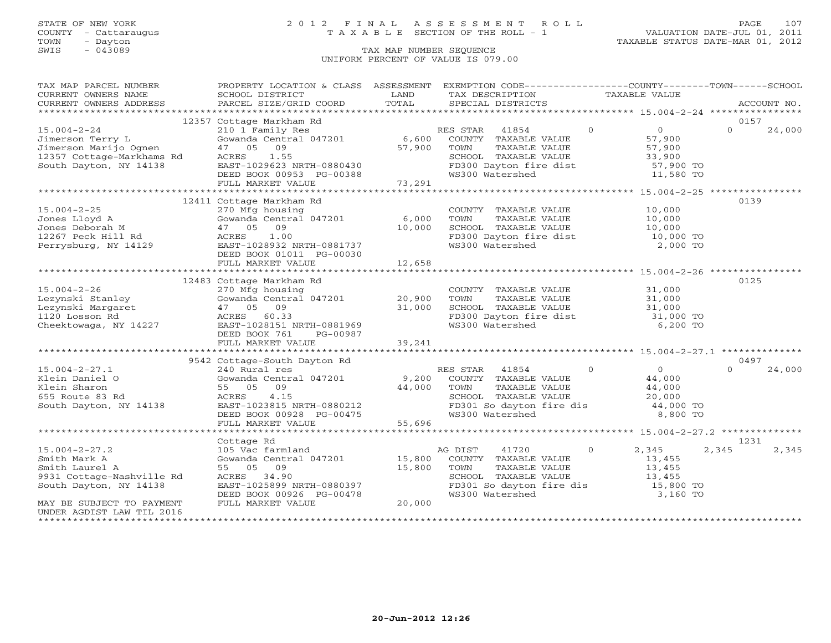# STATE OF NEW YORK 2 0 1 2 F I N A L A S S E S S M E N T R O L L PAGE 107 COUNTY - Cattaraugus T A X A B L E SECTION OF THE ROLL - 1 VALUATION DATE-JUL 01, 2011

| TAX MAP PARCEL NUMBER                 | PROPERTY LOCATION & CLASS ASSESSMENT EXEMPTION CODE----------------COUNTY-------TOWN------SCHOOL |        |                                                                        |               |                |          |             |
|---------------------------------------|--------------------------------------------------------------------------------------------------|--------|------------------------------------------------------------------------|---------------|----------------|----------|-------------|
| CURRENT OWNERS NAME                   | SCHOOL DISTRICT                                                                                  | LAND   | TAX DESCRIPTION                                                        | TAXABLE VALUE |                |          |             |
| CURRENT OWNERS ADDRESS                | PARCEL SIZE/GRID COORD                                                                           | TOTAL  | SPECIAL DISTRICTS                                                      |               |                |          | ACCOUNT NO. |
|                                       |                                                                                                  |        |                                                                        |               |                |          |             |
|                                       | 12357 Cottage Markham Rd                                                                         |        |                                                                        |               |                | 0157     |             |
| $15.004 - 2 - 24$                     | 210 1 Family Res                                                                                 |        | RES STAR<br>41854                                                      | $\Omega$      | $\overline{0}$ | $\Omega$ | 24,000      |
| Jimerson Terry L                      | Gowanda Central 047201                                                                           | 6,600  | COUNTY TAXABLE VALUE                                                   |               | 57,900         |          |             |
| Jimerson Marijo Ognen                 | 09<br>47 05                                                                                      | 57,900 | TOWN<br>TAXABLE VALUE                                                  |               | 57,900         |          |             |
| 12357 Cottage-Markhams Rd             | ACRES<br>1.55                                                                                    |        | SCHOOL TAXABLE VALUE<br>FD300 Dayton fire dist                         |               | 33,900         |          |             |
| South Dayton, NY 14138                | EAST-1029623 NRTH-0880430                                                                        |        |                                                                        |               | 57,900 TO      |          |             |
|                                       | DEED BOOK 00953 PG-00388                                                                         |        | WS300 Watershed                                                        |               | 11,580 TO      |          |             |
|                                       | FULL MARKET VALUE                                                                                | 73,291 |                                                                        |               |                |          |             |
|                                       |                                                                                                  |        |                                                                        |               |                |          |             |
| $15.004 - 2 - 25$                     | 12411 Cottage Markham Rd                                                                         |        |                                                                        |               |                | 0139     |             |
|                                       | 270 Mfg housing                                                                                  |        | COUNTY TAXABLE VALUE<br><b>TOWN</b>                                    |               | 10,000         |          |             |
| Jones Lloyd A                         | Gowanda Central 047201<br>47 05 09                                                               | 6,000  | TAXABLE VALUE                                                          |               | 10,000         |          |             |
| Jones Deborah M<br>12267 Peck Hill Rd |                                                                                                  | 10,000 | SCHOOL TAXABLE VALUE<br>SCHOOL TAXABLE VALUE<br>FD300 Dayton fire dist |               | 10,000         |          |             |
|                                       | ACRES<br>1.00                                                                                    |        |                                                                        |               | 10,000 TO      |          |             |
| Perrysburg, NY 14129                  | EAST-1028932 NRTH-0881737                                                                        |        | WS300 Watershed                                                        |               | 2,000 TO       |          |             |
|                                       | DEED BOOK 01011 PG-00030                                                                         |        |                                                                        |               |                |          |             |
|                                       | FULL MARKET VALUE                                                                                | 12,658 |                                                                        |               |                |          |             |
|                                       | 12483 Cottage Markham Rd                                                                         |        |                                                                        |               |                | 0125     |             |
| $15.004 - 2 - 26$                     | 270 Mfg housing                                                                                  |        | COUNTY TAXABLE VALUE                                                   |               | 31,000         |          |             |
| Lezynski Stanley                      | Gowanda Central 047201                                                                           | 20,900 | TOWN<br>TAXABLE VALUE                                                  |               | 31,000         |          |             |
| Lezynski Margaret                     | 09<br>47 05                                                                                      | 31,000 | SCHOOL TAXABLE VALUE                                                   |               | 31,000         |          |             |
| 1120 Losson Rd                        | ACRES<br>60.33                                                                                   |        | FD300 Dayton fire dist                                                 |               | 31,000 TO      |          |             |
| Cheektowaga, NY 14227                 | EAST-1028151 NRTH-0881969                                                                        |        | WS300 Watershed                                                        |               | 6,200 TO       |          |             |
|                                       | DEED BOOK 761<br>PG-00987                                                                        |        |                                                                        |               |                |          |             |
|                                       | FULL MARKET VALUE                                                                                | 39,241 |                                                                        |               |                |          |             |
|                                       |                                                                                                  |        |                                                                        |               |                |          |             |
|                                       | 9542 Cottage-South Dayton Rd                                                                     |        |                                                                        |               |                | 0497     |             |
| $15.004 - 2 - 27.1$                   | 240 Rural res                                                                                    |        | RES STAR<br>41854                                                      | $\Omega$      | $\Omega$       | $\Omega$ | 24,000      |
| Klein Daniel O                        | Gowanda Central 047201                                                                           | 9,200  | COUNTY TAXABLE VALUE                                                   |               | 44,000         |          |             |
| Klein Sharon                          | 55 05 09                                                                                         | 44,000 | TOWN<br>TAXABLE VALUE                                                  |               | 44,000         |          |             |
| 655 Route 83 Rd                       | 4.15<br>ACRES                                                                                    |        | SCHOOL TAXABLE VALUE                                                   |               | 20,000         |          |             |
| South Dayton, NY 14138                | EAST-1023815 NRTH-0880212                                                                        |        | FD301 So dayton fire dis                                               |               | 44,000 TO      |          |             |
|                                       | DEED BOOK 00928 PG-00475                                                                         |        | WS300 Watershed                                                        |               | 8,800 TO       |          |             |
|                                       | FULL MARKET VALUE                                                                                | 55,696 |                                                                        |               |                |          |             |
|                                       |                                                                                                  |        |                                                                        |               |                |          |             |
|                                       | Cottage Rd                                                                                       |        |                                                                        |               |                | 1231     |             |
| $15.004 - 2 - 27.2$                   | 105 Vac farmland                                                                                 |        | AG DIST<br>41720                                                       | $\circ$       | 2,345          | 2,345    | 2,345       |
| Smith Mark A                          | Gowanda Central 047201                                                                           | 15,800 | COUNTY TAXABLE VALUE                                                   |               | 13,455         |          |             |
| Smith Laurel A                        | 09<br>55 05                                                                                      | 15,800 | TOWN<br>TAXABLE VALUE                                                  |               | 13,455         |          |             |
| 9931 Cottage-Nashville Rd             | 34.90<br>ACRES                                                                                   |        | SCHOOL TAXABLE VALUE                                                   |               | 13,455         |          |             |
| South Dayton, NY 14138                | EAST-1025899 NRTH-0880397                                                                        |        | FD301 So dayton fire dis                                               |               | 15,800 TO      |          |             |
|                                       | DEED BOOK 00926 PG-00478                                                                         |        | WS300 Watershed                                                        |               | 3,160 TO       |          |             |
| MAY BE SUBJECT TO PAYMENT             | FULL MARKET VALUE                                                                                | 20,000 |                                                                        |               |                |          |             |
| UNDER AGDIST LAW TIL 2016             |                                                                                                  |        |                                                                        |               |                |          |             |
|                                       |                                                                                                  |        |                                                                        |               |                |          |             |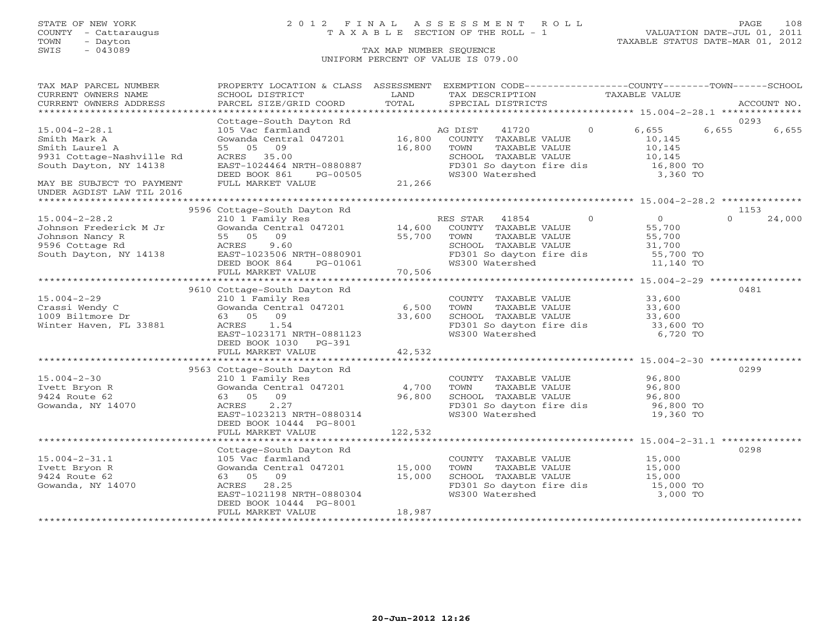## STATE OF NEW YORK 2 0 1 2 F I N A L A S S E S S M E N T R O L L PAGE 108 COUNTY - Cattaraugus T A X A B L E SECTION OF THE ROLL - 1 VALUATION DATE-JUL 01, 2011

| TAX MAP PARCEL NUMBER     | PROPERTY LOCATION & CLASS ASSESSMENT EXEMPTION CODE----------------COUNTY-------TOWN------SCHOOL                                                                                                                                                                                                                                                                                                        |         |                                                                                       |               |                                                                   |          |             |
|---------------------------|---------------------------------------------------------------------------------------------------------------------------------------------------------------------------------------------------------------------------------------------------------------------------------------------------------------------------------------------------------------------------------------------------------|---------|---------------------------------------------------------------------------------------|---------------|-------------------------------------------------------------------|----------|-------------|
| CURRENT OWNERS NAME       | SCHOOL DISTRICT                                                                                                                                                                                                                                                                                                                                                                                         | LAND    | TAX DESCRIPTION TAXABLE VALUE                                                         |               |                                                                   |          |             |
| CURRENT OWNERS ADDRESS    | PARCEL SIZE/GRID COORD                                                                                                                                                                                                                                                                                                                                                                                  | TOTAL   | SPECIAL DISTRICTS                                                                     |               |                                                                   |          | ACCOUNT NO. |
|                           |                                                                                                                                                                                                                                                                                                                                                                                                         |         |                                                                                       |               |                                                                   |          |             |
|                           | Cottage-South Dayton Rd                                                                                                                                                                                                                                                                                                                                                                                 |         |                                                                                       |               |                                                                   | 0293     |             |
| $15.004 - 2 - 28.1$       |                                                                                                                                                                                                                                                                                                                                                                                                         |         |                                                                                       | $\circ$       | 6,655                                                             | 6,655    | 6,655       |
| Smith Mark A              |                                                                                                                                                                                                                                                                                                                                                                                                         |         |                                                                                       |               | 10,145                                                            |          |             |
| Smith Laurel A            | 55 05 09                                                                                                                                                                                                                                                                                                                                                                                                | 16,800  | TOWN                                                                                  | TAXABLE VALUE | 10,145                                                            |          |             |
| 9931 Cottage-Nashville Rd |                                                                                                                                                                                                                                                                                                                                                                                                         |         | SCHOOL TAXABLE VALUE                                                                  |               | 10,145                                                            |          |             |
| South Dayton, NY 14138    |                                                                                                                                                                                                                                                                                                                                                                                                         |         |                                                                                       |               | FD301 So dayton fire dis 16,800 TO                                |          |             |
|                           | ACRES 35.00<br>EAST-1024464 NRTH-0880887<br>DEED BOOK 861 PG-00505<br>FULL MARKET VALUE 21,266                                                                                                                                                                                                                                                                                                          |         | WS300 Watershed                                                                       |               | 3,360 TO                                                          |          |             |
| MAY BE SUBJECT TO PAYMENT |                                                                                                                                                                                                                                                                                                                                                                                                         |         |                                                                                       |               |                                                                   |          |             |
| UNDER AGDIST LAW TIL 2016 |                                                                                                                                                                                                                                                                                                                                                                                                         |         |                                                                                       |               |                                                                   |          |             |
|                           |                                                                                                                                                                                                                                                                                                                                                                                                         |         |                                                                                       |               |                                                                   |          |             |
|                           | 9596 Cottage-South Dayton Rd<br>Examply Res RES STAR 41854<br>Gowanda Central 047201 14,600 COUNTY TAXABLE VALUE<br>55 05 09 55,700 TOWN TAXABLE VALUE<br>ACRES 9.60 SCHOOL MAYARE VALUE<br>EAST-1023506 NRTH 0000000                                                                                                                                                                                   |         |                                                                                       |               |                                                                   | 1153     |             |
| $15.004 - 2 - 28.2$       |                                                                                                                                                                                                                                                                                                                                                                                                         |         | RES STAR 41854 0                                                                      |               | $\begin{array}{c} 0 \\ 55 \text{ } 700 \end{array}$               | $\Omega$ | 24,000      |
|                           |                                                                                                                                                                                                                                                                                                                                                                                                         |         |                                                                                       |               | 55,700                                                            |          |             |
|                           |                                                                                                                                                                                                                                                                                                                                                                                                         |         |                                                                                       | TAXABLE VALUE |                                                                   |          |             |
|                           |                                                                                                                                                                                                                                                                                                                                                                                                         |         |                                                                                       |               | 55,700<br>31,700                                                  |          |             |
|                           |                                                                                                                                                                                                                                                                                                                                                                                                         |         |                                                                                       |               | SCHOOL TAXABLE VALUE 31,700<br>FD301 So dayton fire dis 55,700 TO |          |             |
|                           |                                                                                                                                                                                                                                                                                                                                                                                                         |         |                                                                                       |               |                                                                   |          |             |
|                           |                                                                                                                                                                                                                                                                                                                                                                                                         | 70,506  | WS300 Watershed                                                                       |               | 11,140 TO                                                         |          |             |
|                           | FULL MARKET VALUE                                                                                                                                                                                                                                                                                                                                                                                       |         |                                                                                       |               |                                                                   |          |             |
|                           |                                                                                                                                                                                                                                                                                                                                                                                                         |         |                                                                                       |               |                                                                   |          |             |
|                           | 9610 Cottage-South Dayton Rd                                                                                                                                                                                                                                                                                                                                                                            |         | COUNTY TAXABLE VALUE 33,600<br>TOWN TAXABLE VALUE 33,600<br>TOWN TAXABLE VALUE 33,600 |               |                                                                   | 0481     |             |
| $15.004 - 2 - 29$         | 210 1 Family Res                                                                                                                                                                                                                                                                                                                                                                                        |         |                                                                                       |               |                                                                   |          |             |
| Crassi Wendy C            | $210$ 1 $r_{\text{unit}}$ $r_{\text{unit}}$ $r_{\text{unit}}$ $r_{\text{unit}}$ $r_{\text{unit}}$ $r_{\text{unit}}$ $r_{\text{unit}}$ $r_{\text{unit}}$ $r_{\text{unit}}$ $r_{\text{unit}}$ $r_{\text{unit}}$ $r_{\text{unit}}$ $r_{\text{unit}}$ $r_{\text{unit}}$ $r_{\text{unit}}$ $r_{\text{unit}}$ $r_{\text{unit}}$ $r_{\text{unit}}$ $r_{\text{unit}}$ $r_{\text{unit}}$ $r_{\text{unit}}$ $r_{$ |         |                                                                                       |               |                                                                   |          |             |
| 1009 Biltmore Dr          | 63 05 09                                                                                                                                                                                                                                                                                                                                                                                                | 33,600  |                                                                                       |               | SCHOOL TAXABLE VALUE 33,600<br>FD301 So dayton fire dis 33,600 TO |          |             |
| Winter Haven, FL 33881    | 1.54<br>ACRES                                                                                                                                                                                                                                                                                                                                                                                           |         |                                                                                       |               |                                                                   |          |             |
|                           | EAST-1023171 NRTH-0881123                                                                                                                                                                                                                                                                                                                                                                               |         | WS300 Watershed                                                                       |               | 6,720 TO                                                          |          |             |
|                           | DEED BOOK 1030 PG-391                                                                                                                                                                                                                                                                                                                                                                                   |         |                                                                                       |               |                                                                   |          |             |
|                           | FULL MARKET VALUE                                                                                                                                                                                                                                                                                                                                                                                       | 42,532  |                                                                                       |               |                                                                   |          |             |
|                           |                                                                                                                                                                                                                                                                                                                                                                                                         |         |                                                                                       |               |                                                                   |          |             |
|                           | 9563 Cottage-South Dayton Rd                                                                                                                                                                                                                                                                                                                                                                            |         |                                                                                       |               |                                                                   | 0299     |             |
| $15.004 - 2 - 30$         | 210 1 Family Res                                                                                                                                                                                                                                                                                                                                                                                        |         | COUNTY TAXABLE VALUE 96,800                                                           |               |                                                                   |          |             |
| Ivett Bryon R             | Gowanda Central 047201 4,700                                                                                                                                                                                                                                                                                                                                                                            |         | TOWN                                                                                  | TAXABLE VALUE | 96,800                                                            |          |             |
| 9424 Route 62             | 63 05 09                                                                                                                                                                                                                                                                                                                                                                                                | 96,800  | SCHOOL TAXABLE VALUE                                                                  |               |                                                                   |          |             |
| Gowanda, NY 14070         | 2.27<br>ACRES                                                                                                                                                                                                                                                                                                                                                                                           |         |                                                                                       |               |                                                                   |          |             |
|                           | EAST-1023213 NRTH-0880314                                                                                                                                                                                                                                                                                                                                                                               |         | FD301 So dayton fire dis<br>WS300 Watershed                                           |               | 96,800<br>96,800 TO<br>19,360 TO                                  |          |             |
|                           | DEED BOOK 10444 PG-8001                                                                                                                                                                                                                                                                                                                                                                                 |         |                                                                                       |               |                                                                   |          |             |
|                           | FULL MARKET VALUE                                                                                                                                                                                                                                                                                                                                                                                       | 122,532 |                                                                                       |               |                                                                   |          |             |
|                           |                                                                                                                                                                                                                                                                                                                                                                                                         |         |                                                                                       |               |                                                                   |          |             |
|                           | Cottage-South Dayton Rd                                                                                                                                                                                                                                                                                                                                                                                 |         |                                                                                       |               |                                                                   | 0298     |             |
| $15.004 - 2 - 31.1$       | 105 Vac farmland                                                                                                                                                                                                                                                                                                                                                                                        |         |                                                                                       |               |                                                                   |          |             |
| Ivett Bryon R             | Gowanda Central 047201 15,000                                                                                                                                                                                                                                                                                                                                                                           |         | COUNTY TAXABLE VALUE 15,000<br>TOWN TAXABLE VALUE 15,000                              |               |                                                                   |          |             |
| 9424 Route 62             | 63 05 09                                                                                                                                                                                                                                                                                                                                                                                                |         |                                                                                       |               |                                                                   |          |             |
| Gowanda, NY 14070         | ACRES 28.25                                                                                                                                                                                                                                                                                                                                                                                             | 15,000  |                                                                                       |               | SCHOOL TAXABLE VALUE 15,000<br>FD301 So dayton fire dis 15,000 TO |          |             |
|                           |                                                                                                                                                                                                                                                                                                                                                                                                         |         |                                                                                       |               | 3,000 TO                                                          |          |             |
|                           | EAST-1021198 NRTH-0880304                                                                                                                                                                                                                                                                                                                                                                               |         | WS300 Watershed                                                                       |               |                                                                   |          |             |
|                           | DEED BOOK 10444 PG-8001                                                                                                                                                                                                                                                                                                                                                                                 |         |                                                                                       |               |                                                                   |          |             |
|                           | FULL MARKET VALUE                                                                                                                                                                                                                                                                                                                                                                                       | 18,987  |                                                                                       |               |                                                                   |          |             |
|                           |                                                                                                                                                                                                                                                                                                                                                                                                         |         |                                                                                       |               |                                                                   |          |             |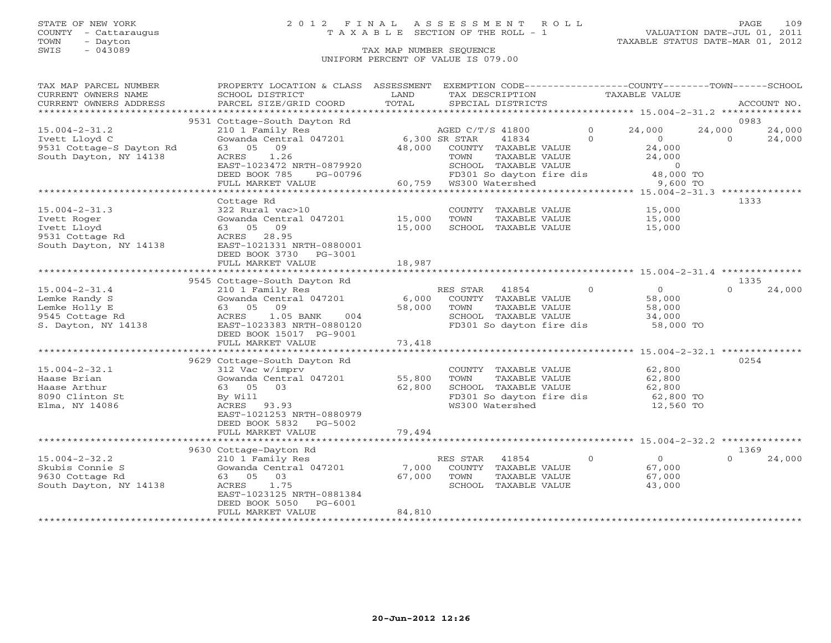### STATE OF NEW YORK 2 0 1 2 F I N A L A S S E S S M E N T R O L L PAGE 109 COUNTY - Cattaraugus T A X A B L E SECTION OF THE ROLL - 1 VALUATION DATE-JUL 01, 2011

| TAX MAP PARCEL NUMBER<br>CURRENT OWNERS NAME<br>CURRENT OWNERS ADDRESS | PROPERTY LOCATION & CLASS ASSESSMENT<br>SCHOOL DISTRICT<br>PARCEL SIZE/GRID COORD                                | LAND<br>TOTAL           | EXEMPTION CODE-----------------COUNTY-------TOWN------SCHOOL<br>TAX DESCRIPTION<br>SPECIAL DISTRICTS       |          | <b>TAXABLE VALUE</b>                                  |                  | ACCOUNT NO. |
|------------------------------------------------------------------------|------------------------------------------------------------------------------------------------------------------|-------------------------|------------------------------------------------------------------------------------------------------------|----------|-------------------------------------------------------|------------------|-------------|
| *************************                                              |                                                                                                                  |                         |                                                                                                            |          |                                                       |                  |             |
| $15.004 - 2 - 31.2$                                                    | 9531 Cottage-South Dayton Rd<br>210 1 Family Res                                                                 |                         | AGED C/T/S 41800                                                                                           | $\Omega$ | 24,000<br>24,000                                      | 0983             | 24,000      |
| Ivett Lloyd C<br>9531 Cottage-S Dayton Rd<br>South Dayton, NY 14138    | Gowanda Central 047201<br>09<br>63 05<br>1.26<br>ACRES<br>EAST-1023472 NRTH-0879920<br>DEED BOOK 785<br>PG-00796 | 6,300 SR STAR<br>48,000 | 41834<br>COUNTY TAXABLE VALUE<br>TAXABLE VALUE<br>TOWN<br>SCHOOL TAXABLE VALUE<br>FD301 So dayton fire dis | $\Omega$ | $\Omega$<br>24,000<br>24,000<br>$\Omega$<br>48,000 TO | $\Omega$         | 24,000      |
|                                                                        | FULL MARKET VALUE                                                                                                | 60,759                  | WS300 Watershed                                                                                            |          | 9,600 TO                                              |                  |             |
|                                                                        | *******************************                                                                                  |                         |                                                                                                            |          |                                                       |                  |             |
|                                                                        | Cottage Rd                                                                                                       |                         |                                                                                                            |          |                                                       | 1333             |             |
| $15.004 - 2 - 31.3$                                                    | 322 Rural vac>10                                                                                                 |                         | COUNTY TAXABLE VALUE                                                                                       |          | 15,000                                                |                  |             |
| Ivett Roger                                                            | Gowanda Central 047201                                                                                           | 15,000                  | TOWN<br>TAXABLE VALUE                                                                                      |          | 15,000                                                |                  |             |
| Ivett Lloyd                                                            | 09<br>63 05                                                                                                      | 15,000                  | SCHOOL TAXABLE VALUE                                                                                       |          | 15,000                                                |                  |             |
| 9531 Cottage Rd<br>South Dayton, NY 14138                              | ACRES<br>28.95<br>EAST-1021331 NRTH-0880001                                                                      |                         |                                                                                                            |          |                                                       |                  |             |
|                                                                        | DEED BOOK 3730 PG-3001                                                                                           |                         |                                                                                                            |          |                                                       |                  |             |
|                                                                        | FULL MARKET VALUE                                                                                                | 18,987                  |                                                                                                            |          |                                                       |                  |             |
|                                                                        |                                                                                                                  |                         |                                                                                                            |          |                                                       |                  |             |
| $15.004 - 2 - 31.4$                                                    | 9545 Cottage-South Dayton Rd<br>210 1 Family Res                                                                 |                         | 41854<br>RES STAR                                                                                          | $\Omega$ | $\Omega$                                              | 1335<br>$\Omega$ | 24,000      |
| Lemke Randy S                                                          | Gowanda Central 047201                                                                                           | 6,000                   | COUNTY TAXABLE VALUE                                                                                       |          | 58,000                                                |                  |             |
| Lemke Holly E                                                          | 63 05<br>09                                                                                                      | 58,000                  | TOWN<br>TAXABLE VALUE                                                                                      |          | 58,000                                                |                  |             |
| 9545 Cottage Rd                                                        | 1.05 BANK<br>ACRES<br>004                                                                                        |                         | SCHOOL TAXABLE VALUE                                                                                       |          | 34,000                                                |                  |             |
| S. Dayton, NY 14138                                                    | EAST-1023383 NRTH-0880120                                                                                        |                         | FD301 So dayton fire dis                                                                                   |          | 58,000 TO                                             |                  |             |
|                                                                        | DEED BOOK 15017 PG-9001                                                                                          |                         |                                                                                                            |          |                                                       |                  |             |
|                                                                        | FULL MARKET VALUE                                                                                                | 73,418                  |                                                                                                            |          |                                                       |                  |             |
|                                                                        | **********************                                                                                           |                         |                                                                                                            |          |                                                       |                  |             |
|                                                                        | 9629 Cottage-South Dayton Rd                                                                                     |                         |                                                                                                            |          |                                                       | 0254             |             |
| $15.004 - 2 - 32.1$                                                    | 312 Vac w/imprv                                                                                                  |                         | COUNTY TAXABLE VALUE                                                                                       |          | 62,800                                                |                  |             |
| Haase Brian                                                            | Gowanda Central 047201                                                                                           | 55,800                  | TAXABLE VALUE<br>TOWN                                                                                      |          | 62,800                                                |                  |             |
| Haase Arthur                                                           | 63 05 03                                                                                                         | 62,800                  | SCHOOL TAXABLE VALUE                                                                                       |          | 62,800                                                |                  |             |
| 8090 Clinton St                                                        | By Will                                                                                                          |                         | FD301 So dayton fire dis                                                                                   |          | 62,800 TO                                             |                  |             |
| Elma, NY 14086                                                         | ACRES 93.93                                                                                                      |                         | WS300 Watershed                                                                                            |          | 12,560 TO                                             |                  |             |
|                                                                        | EAST-1021253 NRTH-0880979                                                                                        |                         |                                                                                                            |          |                                                       |                  |             |
|                                                                        | DEED BOOK 5832<br>PG-5002                                                                                        |                         |                                                                                                            |          |                                                       |                  |             |
|                                                                        | FULL MARKET VALUE                                                                                                | 79,494                  |                                                                                                            |          |                                                       |                  |             |
|                                                                        |                                                                                                                  |                         |                                                                                                            |          |                                                       | 1369             |             |
| $15.004 - 2 - 32.2$                                                    | 9630 Cottage-Dayton Rd<br>210 1 Family Res                                                                       |                         | RES STAR<br>41854                                                                                          | $\Omega$ | $\Omega$                                              | $\cap$           | 24,000      |
| Skubis Connie S                                                        | Gowanda Central 047201                                                                                           | 7,000                   | COUNTY TAXABLE VALUE                                                                                       |          | 67,000                                                |                  |             |
| 9630 Cottage Rd                                                        | 63 05 03                                                                                                         | 67,000                  | TAXABLE VALUE<br>TOWN                                                                                      |          | 67,000                                                |                  |             |
| South Dayton, NY 14138                                                 | 1.75<br>ACRES                                                                                                    |                         | SCHOOL<br>TAXABLE VALUE                                                                                    |          | 43,000                                                |                  |             |
|                                                                        | EAST-1023125 NRTH-0881384                                                                                        |                         |                                                                                                            |          |                                                       |                  |             |
|                                                                        | DEED BOOK 5050<br>PG-6001                                                                                        |                         |                                                                                                            |          |                                                       |                  |             |
|                                                                        | FULL MARKET VALUE                                                                                                | 84,810                  |                                                                                                            |          |                                                       |                  |             |
|                                                                        |                                                                                                                  |                         |                                                                                                            |          |                                                       |                  |             |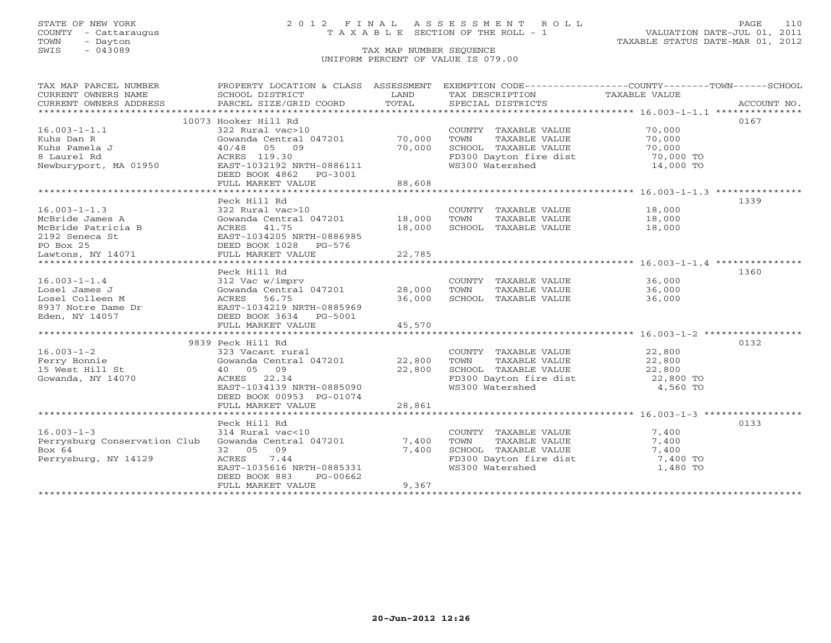### STATE OF NEW YORK 2 0 1 2 F I N A L A S S E S S M E N T R O L L PAGE 110 COUNTY - Cattaraugus T A X A B L E SECTION OF THE ROLL - 1 VALUATION DATE-JUL 01, 2011

| SCHOOL DISTRICT<br>LAND<br>TAX DESCRIPTION<br>TAXABLE VALUE<br>TOTAL<br>PARCEL SIZE/GRID COORD<br>SPECIAL DISTRICTS<br>ACCOUNT NO.<br>10073 Hooker Hill Rd<br>0167<br>$16.003 - 1 - 1.1$<br>70,000<br>322 Rural vac>10<br>COUNTY TAXABLE VALUE<br>70,000<br>Gowanda Central 047201<br>TOWN<br>TAXABLE VALUE<br>70,000<br>70,000<br>SCHOOL TAXABLE VALUE<br>05 09<br>70,000<br>40/48<br>FD300 Dayton fire dist<br>ACRES 119.30<br>70,000 TO<br>WS300 Watershed<br>Newburyport, MA 01950<br>EAST-1032192 NRTH-0886111<br>14,000 TO<br>DEED BOOK 4862 PG-3001<br>88,608<br>FULL MARKET VALUE<br>Peck Hill Rd<br>1339<br>$16.003 - 1 - 1.3$<br>322 Rural vac>10<br>COUNTY TAXABLE VALUE<br>18,000<br>McBride James A<br>Gowanda Central 047201<br>18,000<br>TOWN<br>TAXABLE VALUE<br>18,000<br>ACRES 41.75<br>18,000<br>McBride Patricia B<br>SCHOOL TAXABLE VALUE<br>18,000<br>EAST-1034205 NRTH-0886985<br>DEED BOOK 1028 PG-576<br>FULL MARKET VALUE<br>22,785<br>1360<br>Peck Hill Rd<br>$16.003 - 1 - 1.4$<br>COUNTY TAXABLE VALUE<br>36,000<br>312 Vac w/imprv<br>Gowanda Central 047201<br>28,000<br>Losel James J<br>TOWN<br>TAXABLE VALUE<br>36,000<br>Losel Colleen M<br>ACRES<br>56.75<br>36,000<br>SCHOOL TAXABLE VALUE<br>36,000<br>EAST-1034219 NRTH-0885969<br>8937 Notre Dame Dr<br>Eden, NY 14057<br>DEED BOOK 3634 PG-5001<br>FULL MARKET VALUE<br>45,570<br>9839 Peck Hill Rd<br>0132<br>$16.003 - 1 - 2$<br>323 Vacant rural<br>22,800<br>COUNTY TAXABLE VALUE<br>22,800<br>Ferry Bonnie<br>Gowanda Central 047201<br>TOWN<br>TAXABLE VALUE<br>22,800<br>22,800<br>SCHOOL TAXABLE VALUE<br>15 West Hill St<br>40 05 09<br>22,800<br>ACRES 22.34<br>FD300 Dayton fire dist<br>22,800 TO<br>Gowanda, NY 14070<br>EAST-1034139 NRTH-0885090<br>WS300 Watershed<br>4,560 TO<br>DEED BOOK 00953 PG-01074<br>28,861<br>FULL MARKET VALUE<br>0133<br>Peck Hill Rd<br>$16.003 - 1 - 3$<br>314 Rural vac<10<br>COUNTY TAXABLE VALUE<br>7,400<br>Perrysburg Conservation Club<br>Gowanda Central 047201<br>7,400<br>TOWN<br>TAXABLE VALUE<br>7,400<br>7,400<br>Bo $\times$ 64<br>32 05<br>09<br>SCHOOL TAXABLE VALUE<br>7,400<br>Perrysburg, NY 14129<br>ACRES<br>7.44<br>FD300 Dayton fire dist<br>7,400 TO<br>EAST-1035616 NRTH-0885331<br>WS300 Watershed<br>1,480 TO<br>DEED BOOK 883<br>PG-00662 | TAX MAP PARCEL NUMBER  | PROPERTY LOCATION & CLASS ASSESSMENT |  | EXEMPTION CODE-----------------COUNTY-------TOWN------SCHOOL |  |
|-------------------------------------------------------------------------------------------------------------------------------------------------------------------------------------------------------------------------------------------------------------------------------------------------------------------------------------------------------------------------------------------------------------------------------------------------------------------------------------------------------------------------------------------------------------------------------------------------------------------------------------------------------------------------------------------------------------------------------------------------------------------------------------------------------------------------------------------------------------------------------------------------------------------------------------------------------------------------------------------------------------------------------------------------------------------------------------------------------------------------------------------------------------------------------------------------------------------------------------------------------------------------------------------------------------------------------------------------------------------------------------------------------------------------------------------------------------------------------------------------------------------------------------------------------------------------------------------------------------------------------------------------------------------------------------------------------------------------------------------------------------------------------------------------------------------------------------------------------------------------------------------------------------------------------------------------------------------------------------------------------------------------------------------------------------------------------------------------------------------------------------------------------------------------------------------------------------------------------------------------------------------------------------------------------------|------------------------|--------------------------------------|--|--------------------------------------------------------------|--|
|                                                                                                                                                                                                                                                                                                                                                                                                                                                                                                                                                                                                                                                                                                                                                                                                                                                                                                                                                                                                                                                                                                                                                                                                                                                                                                                                                                                                                                                                                                                                                                                                                                                                                                                                                                                                                                                                                                                                                                                                                                                                                                                                                                                                                                                                                                             | CURRENT OWNERS NAME    |                                      |  |                                                              |  |
|                                                                                                                                                                                                                                                                                                                                                                                                                                                                                                                                                                                                                                                                                                                                                                                                                                                                                                                                                                                                                                                                                                                                                                                                                                                                                                                                                                                                                                                                                                                                                                                                                                                                                                                                                                                                                                                                                                                                                                                                                                                                                                                                                                                                                                                                                                             | CURRENT OWNERS ADDRESS |                                      |  |                                                              |  |
|                                                                                                                                                                                                                                                                                                                                                                                                                                                                                                                                                                                                                                                                                                                                                                                                                                                                                                                                                                                                                                                                                                                                                                                                                                                                                                                                                                                                                                                                                                                                                                                                                                                                                                                                                                                                                                                                                                                                                                                                                                                                                                                                                                                                                                                                                                             |                        |                                      |  |                                                              |  |
|                                                                                                                                                                                                                                                                                                                                                                                                                                                                                                                                                                                                                                                                                                                                                                                                                                                                                                                                                                                                                                                                                                                                                                                                                                                                                                                                                                                                                                                                                                                                                                                                                                                                                                                                                                                                                                                                                                                                                                                                                                                                                                                                                                                                                                                                                                             |                        |                                      |  |                                                              |  |
|                                                                                                                                                                                                                                                                                                                                                                                                                                                                                                                                                                                                                                                                                                                                                                                                                                                                                                                                                                                                                                                                                                                                                                                                                                                                                                                                                                                                                                                                                                                                                                                                                                                                                                                                                                                                                                                                                                                                                                                                                                                                                                                                                                                                                                                                                                             |                        |                                      |  |                                                              |  |
|                                                                                                                                                                                                                                                                                                                                                                                                                                                                                                                                                                                                                                                                                                                                                                                                                                                                                                                                                                                                                                                                                                                                                                                                                                                                                                                                                                                                                                                                                                                                                                                                                                                                                                                                                                                                                                                                                                                                                                                                                                                                                                                                                                                                                                                                                                             | Kuhs Dan R             |                                      |  |                                                              |  |
|                                                                                                                                                                                                                                                                                                                                                                                                                                                                                                                                                                                                                                                                                                                                                                                                                                                                                                                                                                                                                                                                                                                                                                                                                                                                                                                                                                                                                                                                                                                                                                                                                                                                                                                                                                                                                                                                                                                                                                                                                                                                                                                                                                                                                                                                                                             | Kuhs Pamela J          |                                      |  |                                                              |  |
|                                                                                                                                                                                                                                                                                                                                                                                                                                                                                                                                                                                                                                                                                                                                                                                                                                                                                                                                                                                                                                                                                                                                                                                                                                                                                                                                                                                                                                                                                                                                                                                                                                                                                                                                                                                                                                                                                                                                                                                                                                                                                                                                                                                                                                                                                                             | 8 Laurel Rd            |                                      |  |                                                              |  |
|                                                                                                                                                                                                                                                                                                                                                                                                                                                                                                                                                                                                                                                                                                                                                                                                                                                                                                                                                                                                                                                                                                                                                                                                                                                                                                                                                                                                                                                                                                                                                                                                                                                                                                                                                                                                                                                                                                                                                                                                                                                                                                                                                                                                                                                                                                             |                        |                                      |  |                                                              |  |
|                                                                                                                                                                                                                                                                                                                                                                                                                                                                                                                                                                                                                                                                                                                                                                                                                                                                                                                                                                                                                                                                                                                                                                                                                                                                                                                                                                                                                                                                                                                                                                                                                                                                                                                                                                                                                                                                                                                                                                                                                                                                                                                                                                                                                                                                                                             |                        |                                      |  |                                                              |  |
|                                                                                                                                                                                                                                                                                                                                                                                                                                                                                                                                                                                                                                                                                                                                                                                                                                                                                                                                                                                                                                                                                                                                                                                                                                                                                                                                                                                                                                                                                                                                                                                                                                                                                                                                                                                                                                                                                                                                                                                                                                                                                                                                                                                                                                                                                                             |                        |                                      |  |                                                              |  |
|                                                                                                                                                                                                                                                                                                                                                                                                                                                                                                                                                                                                                                                                                                                                                                                                                                                                                                                                                                                                                                                                                                                                                                                                                                                                                                                                                                                                                                                                                                                                                                                                                                                                                                                                                                                                                                                                                                                                                                                                                                                                                                                                                                                                                                                                                                             |                        |                                      |  |                                                              |  |
|                                                                                                                                                                                                                                                                                                                                                                                                                                                                                                                                                                                                                                                                                                                                                                                                                                                                                                                                                                                                                                                                                                                                                                                                                                                                                                                                                                                                                                                                                                                                                                                                                                                                                                                                                                                                                                                                                                                                                                                                                                                                                                                                                                                                                                                                                                             |                        |                                      |  |                                                              |  |
|                                                                                                                                                                                                                                                                                                                                                                                                                                                                                                                                                                                                                                                                                                                                                                                                                                                                                                                                                                                                                                                                                                                                                                                                                                                                                                                                                                                                                                                                                                                                                                                                                                                                                                                                                                                                                                                                                                                                                                                                                                                                                                                                                                                                                                                                                                             |                        |                                      |  |                                                              |  |
|                                                                                                                                                                                                                                                                                                                                                                                                                                                                                                                                                                                                                                                                                                                                                                                                                                                                                                                                                                                                                                                                                                                                                                                                                                                                                                                                                                                                                                                                                                                                                                                                                                                                                                                                                                                                                                                                                                                                                                                                                                                                                                                                                                                                                                                                                                             |                        |                                      |  |                                                              |  |
|                                                                                                                                                                                                                                                                                                                                                                                                                                                                                                                                                                                                                                                                                                                                                                                                                                                                                                                                                                                                                                                                                                                                                                                                                                                                                                                                                                                                                                                                                                                                                                                                                                                                                                                                                                                                                                                                                                                                                                                                                                                                                                                                                                                                                                                                                                             |                        |                                      |  |                                                              |  |
|                                                                                                                                                                                                                                                                                                                                                                                                                                                                                                                                                                                                                                                                                                                                                                                                                                                                                                                                                                                                                                                                                                                                                                                                                                                                                                                                                                                                                                                                                                                                                                                                                                                                                                                                                                                                                                                                                                                                                                                                                                                                                                                                                                                                                                                                                                             | 2192 Seneca St         |                                      |  |                                                              |  |
|                                                                                                                                                                                                                                                                                                                                                                                                                                                                                                                                                                                                                                                                                                                                                                                                                                                                                                                                                                                                                                                                                                                                                                                                                                                                                                                                                                                                                                                                                                                                                                                                                                                                                                                                                                                                                                                                                                                                                                                                                                                                                                                                                                                                                                                                                                             | PO Box 25              |                                      |  |                                                              |  |
|                                                                                                                                                                                                                                                                                                                                                                                                                                                                                                                                                                                                                                                                                                                                                                                                                                                                                                                                                                                                                                                                                                                                                                                                                                                                                                                                                                                                                                                                                                                                                                                                                                                                                                                                                                                                                                                                                                                                                                                                                                                                                                                                                                                                                                                                                                             | Lawtons, NY 14071      |                                      |  |                                                              |  |
|                                                                                                                                                                                                                                                                                                                                                                                                                                                                                                                                                                                                                                                                                                                                                                                                                                                                                                                                                                                                                                                                                                                                                                                                                                                                                                                                                                                                                                                                                                                                                                                                                                                                                                                                                                                                                                                                                                                                                                                                                                                                                                                                                                                                                                                                                                             |                        |                                      |  |                                                              |  |
|                                                                                                                                                                                                                                                                                                                                                                                                                                                                                                                                                                                                                                                                                                                                                                                                                                                                                                                                                                                                                                                                                                                                                                                                                                                                                                                                                                                                                                                                                                                                                                                                                                                                                                                                                                                                                                                                                                                                                                                                                                                                                                                                                                                                                                                                                                             |                        |                                      |  |                                                              |  |
|                                                                                                                                                                                                                                                                                                                                                                                                                                                                                                                                                                                                                                                                                                                                                                                                                                                                                                                                                                                                                                                                                                                                                                                                                                                                                                                                                                                                                                                                                                                                                                                                                                                                                                                                                                                                                                                                                                                                                                                                                                                                                                                                                                                                                                                                                                             |                        |                                      |  |                                                              |  |
|                                                                                                                                                                                                                                                                                                                                                                                                                                                                                                                                                                                                                                                                                                                                                                                                                                                                                                                                                                                                                                                                                                                                                                                                                                                                                                                                                                                                                                                                                                                                                                                                                                                                                                                                                                                                                                                                                                                                                                                                                                                                                                                                                                                                                                                                                                             |                        |                                      |  |                                                              |  |
|                                                                                                                                                                                                                                                                                                                                                                                                                                                                                                                                                                                                                                                                                                                                                                                                                                                                                                                                                                                                                                                                                                                                                                                                                                                                                                                                                                                                                                                                                                                                                                                                                                                                                                                                                                                                                                                                                                                                                                                                                                                                                                                                                                                                                                                                                                             |                        |                                      |  |                                                              |  |
|                                                                                                                                                                                                                                                                                                                                                                                                                                                                                                                                                                                                                                                                                                                                                                                                                                                                                                                                                                                                                                                                                                                                                                                                                                                                                                                                                                                                                                                                                                                                                                                                                                                                                                                                                                                                                                                                                                                                                                                                                                                                                                                                                                                                                                                                                                             |                        |                                      |  |                                                              |  |
|                                                                                                                                                                                                                                                                                                                                                                                                                                                                                                                                                                                                                                                                                                                                                                                                                                                                                                                                                                                                                                                                                                                                                                                                                                                                                                                                                                                                                                                                                                                                                                                                                                                                                                                                                                                                                                                                                                                                                                                                                                                                                                                                                                                                                                                                                                             |                        |                                      |  |                                                              |  |
|                                                                                                                                                                                                                                                                                                                                                                                                                                                                                                                                                                                                                                                                                                                                                                                                                                                                                                                                                                                                                                                                                                                                                                                                                                                                                                                                                                                                                                                                                                                                                                                                                                                                                                                                                                                                                                                                                                                                                                                                                                                                                                                                                                                                                                                                                                             |                        |                                      |  |                                                              |  |
|                                                                                                                                                                                                                                                                                                                                                                                                                                                                                                                                                                                                                                                                                                                                                                                                                                                                                                                                                                                                                                                                                                                                                                                                                                                                                                                                                                                                                                                                                                                                                                                                                                                                                                                                                                                                                                                                                                                                                                                                                                                                                                                                                                                                                                                                                                             |                        |                                      |  |                                                              |  |
|                                                                                                                                                                                                                                                                                                                                                                                                                                                                                                                                                                                                                                                                                                                                                                                                                                                                                                                                                                                                                                                                                                                                                                                                                                                                                                                                                                                                                                                                                                                                                                                                                                                                                                                                                                                                                                                                                                                                                                                                                                                                                                                                                                                                                                                                                                             |                        |                                      |  |                                                              |  |
|                                                                                                                                                                                                                                                                                                                                                                                                                                                                                                                                                                                                                                                                                                                                                                                                                                                                                                                                                                                                                                                                                                                                                                                                                                                                                                                                                                                                                                                                                                                                                                                                                                                                                                                                                                                                                                                                                                                                                                                                                                                                                                                                                                                                                                                                                                             |                        |                                      |  |                                                              |  |
|                                                                                                                                                                                                                                                                                                                                                                                                                                                                                                                                                                                                                                                                                                                                                                                                                                                                                                                                                                                                                                                                                                                                                                                                                                                                                                                                                                                                                                                                                                                                                                                                                                                                                                                                                                                                                                                                                                                                                                                                                                                                                                                                                                                                                                                                                                             |                        |                                      |  |                                                              |  |
|                                                                                                                                                                                                                                                                                                                                                                                                                                                                                                                                                                                                                                                                                                                                                                                                                                                                                                                                                                                                                                                                                                                                                                                                                                                                                                                                                                                                                                                                                                                                                                                                                                                                                                                                                                                                                                                                                                                                                                                                                                                                                                                                                                                                                                                                                                             |                        |                                      |  |                                                              |  |
|                                                                                                                                                                                                                                                                                                                                                                                                                                                                                                                                                                                                                                                                                                                                                                                                                                                                                                                                                                                                                                                                                                                                                                                                                                                                                                                                                                                                                                                                                                                                                                                                                                                                                                                                                                                                                                                                                                                                                                                                                                                                                                                                                                                                                                                                                                             |                        |                                      |  |                                                              |  |
|                                                                                                                                                                                                                                                                                                                                                                                                                                                                                                                                                                                                                                                                                                                                                                                                                                                                                                                                                                                                                                                                                                                                                                                                                                                                                                                                                                                                                                                                                                                                                                                                                                                                                                                                                                                                                                                                                                                                                                                                                                                                                                                                                                                                                                                                                                             |                        |                                      |  |                                                              |  |
|                                                                                                                                                                                                                                                                                                                                                                                                                                                                                                                                                                                                                                                                                                                                                                                                                                                                                                                                                                                                                                                                                                                                                                                                                                                                                                                                                                                                                                                                                                                                                                                                                                                                                                                                                                                                                                                                                                                                                                                                                                                                                                                                                                                                                                                                                                             |                        |                                      |  |                                                              |  |
|                                                                                                                                                                                                                                                                                                                                                                                                                                                                                                                                                                                                                                                                                                                                                                                                                                                                                                                                                                                                                                                                                                                                                                                                                                                                                                                                                                                                                                                                                                                                                                                                                                                                                                                                                                                                                                                                                                                                                                                                                                                                                                                                                                                                                                                                                                             |                        |                                      |  |                                                              |  |
|                                                                                                                                                                                                                                                                                                                                                                                                                                                                                                                                                                                                                                                                                                                                                                                                                                                                                                                                                                                                                                                                                                                                                                                                                                                                                                                                                                                                                                                                                                                                                                                                                                                                                                                                                                                                                                                                                                                                                                                                                                                                                                                                                                                                                                                                                                             |                        |                                      |  |                                                              |  |
|                                                                                                                                                                                                                                                                                                                                                                                                                                                                                                                                                                                                                                                                                                                                                                                                                                                                                                                                                                                                                                                                                                                                                                                                                                                                                                                                                                                                                                                                                                                                                                                                                                                                                                                                                                                                                                                                                                                                                                                                                                                                                                                                                                                                                                                                                                             |                        |                                      |  |                                                              |  |
|                                                                                                                                                                                                                                                                                                                                                                                                                                                                                                                                                                                                                                                                                                                                                                                                                                                                                                                                                                                                                                                                                                                                                                                                                                                                                                                                                                                                                                                                                                                                                                                                                                                                                                                                                                                                                                                                                                                                                                                                                                                                                                                                                                                                                                                                                                             |                        |                                      |  |                                                              |  |
|                                                                                                                                                                                                                                                                                                                                                                                                                                                                                                                                                                                                                                                                                                                                                                                                                                                                                                                                                                                                                                                                                                                                                                                                                                                                                                                                                                                                                                                                                                                                                                                                                                                                                                                                                                                                                                                                                                                                                                                                                                                                                                                                                                                                                                                                                                             |                        |                                      |  |                                                              |  |
|                                                                                                                                                                                                                                                                                                                                                                                                                                                                                                                                                                                                                                                                                                                                                                                                                                                                                                                                                                                                                                                                                                                                                                                                                                                                                                                                                                                                                                                                                                                                                                                                                                                                                                                                                                                                                                                                                                                                                                                                                                                                                                                                                                                                                                                                                                             |                        |                                      |  |                                                              |  |
|                                                                                                                                                                                                                                                                                                                                                                                                                                                                                                                                                                                                                                                                                                                                                                                                                                                                                                                                                                                                                                                                                                                                                                                                                                                                                                                                                                                                                                                                                                                                                                                                                                                                                                                                                                                                                                                                                                                                                                                                                                                                                                                                                                                                                                                                                                             |                        |                                      |  |                                                              |  |
|                                                                                                                                                                                                                                                                                                                                                                                                                                                                                                                                                                                                                                                                                                                                                                                                                                                                                                                                                                                                                                                                                                                                                                                                                                                                                                                                                                                                                                                                                                                                                                                                                                                                                                                                                                                                                                                                                                                                                                                                                                                                                                                                                                                                                                                                                                             |                        |                                      |  |                                                              |  |
|                                                                                                                                                                                                                                                                                                                                                                                                                                                                                                                                                                                                                                                                                                                                                                                                                                                                                                                                                                                                                                                                                                                                                                                                                                                                                                                                                                                                                                                                                                                                                                                                                                                                                                                                                                                                                                                                                                                                                                                                                                                                                                                                                                                                                                                                                                             |                        |                                      |  |                                                              |  |
| 9,367<br>FULL MARKET VALUE                                                                                                                                                                                                                                                                                                                                                                                                                                                                                                                                                                                                                                                                                                                                                                                                                                                                                                                                                                                                                                                                                                                                                                                                                                                                                                                                                                                                                                                                                                                                                                                                                                                                                                                                                                                                                                                                                                                                                                                                                                                                                                                                                                                                                                                                                  |                        |                                      |  |                                                              |  |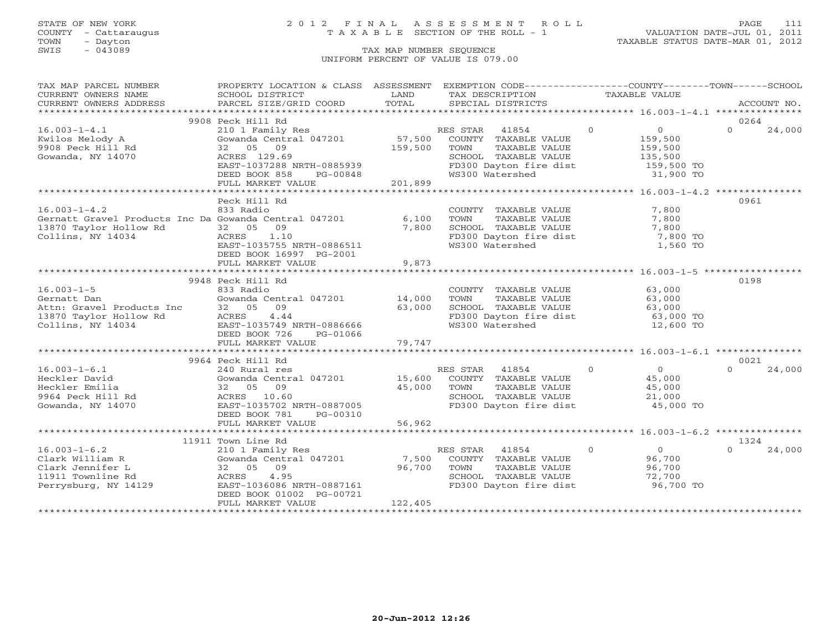## STATE OF NEW YORK 2 0 1 2 F I N A L A S S E S S M E N T R O L L PAGE 111 COUNTY - Cattaraugus T A X A B L E SECTION OF THE ROLL - 1 VALUATION DATE-JUL 01, 2011

TOWN - Dayton TAXABLE STATUS DATE-MAR 01, 2012

| TAX MAP PARCEL NUMBER                                                                                                                                                                                                                                                                                                                                                                                                                                                                                                  | PROPERTY LOCATION & CLASS ASSESSMENT EXEMPTION CODE----------------COUNTY-------TOWN------SCHOOL                                                                        |              |                                                              |                |                                  |          |        |
|------------------------------------------------------------------------------------------------------------------------------------------------------------------------------------------------------------------------------------------------------------------------------------------------------------------------------------------------------------------------------------------------------------------------------------------------------------------------------------------------------------------------|-------------------------------------------------------------------------------------------------------------------------------------------------------------------------|--------------|--------------------------------------------------------------|----------------|----------------------------------|----------|--------|
| CURRENT OWNERS NAME                                                                                                                                                                                                                                                                                                                                                                                                                                                                                                    | SCHOOL DISTRICT                                                                                                                                                         | LAND         | TAX DESCRIPTION                                              | TAXABLE VALUE  |                                  |          |        |
|                                                                                                                                                                                                                                                                                                                                                                                                                                                                                                                        |                                                                                                                                                                         |              |                                                              |                |                                  |          |        |
| $\begin{minipage}{.45\textwidth} \begin{minipage}{.45\textwidth} \begin{minipage}{.45\textwidth} \begin{minipage}{.45\textwidth} \begin{minipage}{.45\textwidth} \begin{minipage}{.45\textwidth} \begin{minipage}{.45\textwidth} \begin{minipage}{.45\textwidth} \begin{minipage}{.45\textwidth} \begin{minipage}{.45\textwidth} \begin{minipage}{.45\textwidth} \begin{minipage}{.45\textwidth} \begin{minipage}{.45\textwidth} \begin{minipage}{.45\textwidth} \begin{minipage}{.45\textwidth} \begin{minipage}{.45$ |                                                                                                                                                                         |              |                                                              |                |                                  |          |        |
|                                                                                                                                                                                                                                                                                                                                                                                                                                                                                                                        | 9908 Peck Hill Rd                                                                                                                                                       |              |                                                              |                |                                  | 0264     |        |
| $16.003 - 1 - 4.1$                                                                                                                                                                                                                                                                                                                                                                                                                                                                                                     | 210 1 Family Res                                                                                                                                                        |              | RES STAR 41854                                               | $\Omega$       | $\overline{0}$                   | $\Omega$ | 24,000 |
| Kwilos Melody A                                                                                                                                                                                                                                                                                                                                                                                                                                                                                                        | Gowanda Central 047201                                                                                                                                                  |              | 57,500 COUNTY TAXABLE VALUE                                  |                | 159,500                          |          |        |
| 9908 Peck Hill Rd                                                                                                                                                                                                                                                                                                                                                                                                                                                                                                      | 32 05 09                                                                                                                                                                | 159,500      | TOWN<br>TAXABLE VALUE                                        |                | 159,500                          |          |        |
| Gowanda, NY 14070                                                                                                                                                                                                                                                                                                                                                                                                                                                                                                      | ACRES 129.69                                                                                                                                                            |              |                                                              |                |                                  |          |        |
|                                                                                                                                                                                                                                                                                                                                                                                                                                                                                                                        | EAST-1037288 NRTH-0885939                                                                                                                                               |              | SCHOOL TAXABLE VALUE<br>FD300 Dayton fire dist               |                | 135,500<br>159,500 TO            |          |        |
|                                                                                                                                                                                                                                                                                                                                                                                                                                                                                                                        | DEED BOOK 858<br>PG-00848                                                                                                                                               |              | WS300 Watershed                                              |                | 31,900 TO                        |          |        |
|                                                                                                                                                                                                                                                                                                                                                                                                                                                                                                                        | FULL MARKET VALUE                                                                                                                                                       | $48$ 201,899 |                                                              |                |                                  |          |        |
|                                                                                                                                                                                                                                                                                                                                                                                                                                                                                                                        |                                                                                                                                                                         |              |                                                              |                |                                  |          |        |
|                                                                                                                                                                                                                                                                                                                                                                                                                                                                                                                        | Peck Hill Rd                                                                                                                                                            |              |                                                              |                |                                  | 0961     |        |
| $16.003 - 1 - 4.2$                                                                                                                                                                                                                                                                                                                                                                                                                                                                                                     | 833 Radio                                                                                                                                                               |              | COUNTY TAXABLE VALUE                                         |                | 7,800                            |          |        |
| Gernatt Gravel Products Inc Da Gowanda Central 047201 6,100                                                                                                                                                                                                                                                                                                                                                                                                                                                            |                                                                                                                                                                         |              | TOWN<br>TAXABLE VALUE                                        |                | 7,800                            |          |        |
| 13870 Taylor Hollow Rd                                                                                                                                                                                                                                                                                                                                                                                                                                                                                                 | 32 05 09                                                                                                                                                                | 7,800        | SCHOOL TAXABLE VALUE                                         |                | 7,800                            |          |        |
| Collins, NY 14034                                                                                                                                                                                                                                                                                                                                                                                                                                                                                                      | ACRES 1.10                                                                                                                                                              |              | FD300 Dayton fire dist                                       |                | 7,800 TO                         |          |        |
|                                                                                                                                                                                                                                                                                                                                                                                                                                                                                                                        | EAST-1035755 NRTH-0886511                                                                                                                                               |              | WS300 Watershed                                              |                | 1,560 TO                         |          |        |
|                                                                                                                                                                                                                                                                                                                                                                                                                                                                                                                        | DEED BOOK 16997 PG-2001                                                                                                                                                 |              |                                                              |                |                                  |          |        |
|                                                                                                                                                                                                                                                                                                                                                                                                                                                                                                                        | FULL MARKET VALUE                                                                                                                                                       | 9,873        |                                                              |                |                                  |          |        |
|                                                                                                                                                                                                                                                                                                                                                                                                                                                                                                                        |                                                                                                                                                                         |              |                                                              |                |                                  |          |        |
|                                                                                                                                                                                                                                                                                                                                                                                                                                                                                                                        | 9948 Peck Hill Rd                                                                                                                                                       |              |                                                              |                |                                  | 0198     |        |
| $16.003 - 1 - 5$                                                                                                                                                                                                                                                                                                                                                                                                                                                                                                       | 833 Radio                                                                                                                                                               |              | COUNTY TAXABLE VALUE                                         |                | 63,000                           |          |        |
| Gernatt Dan                                                                                                                                                                                                                                                                                                                                                                                                                                                                                                            | Gowanda Central 047201 14,000                                                                                                                                           |              | TOWN<br>TAXABLE VALUE                                        |                | 63,000                           |          |        |
|                                                                                                                                                                                                                                                                                                                                                                                                                                                                                                                        |                                                                                                                                                                         | 63,000       | SCHOOL TAXABLE VALUE                                         |                | 63,000<br>63,000 TO<br>10 600 TC |          |        |
| Attn: Gravel Products Inc 32 05 09<br>13870 Taylor Hollow Rd ACRES 4.44<br>Collins, NY 14034 EAST-1035749 NRTH-0886666                                                                                                                                                                                                                                                                                                                                                                                                 |                                                                                                                                                                         |              |                                                              |                |                                  |          |        |
|                                                                                                                                                                                                                                                                                                                                                                                                                                                                                                                        |                                                                                                                                                                         |              | FD300 Dayton fire dist<br>ws300 Watershed<br>WS300 Watershed |                |                                  |          |        |
|                                                                                                                                                                                                                                                                                                                                                                                                                                                                                                                        | DEED BOOK 726<br>PG-01066                                                                                                                                               |              |                                                              |                |                                  |          |        |
|                                                                                                                                                                                                                                                                                                                                                                                                                                                                                                                        | FULL MARKET VALUE                                                                                                                                                       | 79,747       |                                                              |                |                                  |          |        |
|                                                                                                                                                                                                                                                                                                                                                                                                                                                                                                                        |                                                                                                                                                                         |              |                                                              |                |                                  |          |        |
|                                                                                                                                                                                                                                                                                                                                                                                                                                                                                                                        | 9964 Peck Hill Rd                                                                                                                                                       |              |                                                              |                |                                  | 0021     |        |
|                                                                                                                                                                                                                                                                                                                                                                                                                                                                                                                        |                                                                                                                                                                         |              | $\sim$ 0                                                     |                | $\overline{0}$                   | $\cap$   |        |
| $16.003 - 1 - 6.1$                                                                                                                                                                                                                                                                                                                                                                                                                                                                                                     |                                                                                                                                                                         |              |                                                              |                | 45,000                           |          | 24,000 |
|                                                                                                                                                                                                                                                                                                                                                                                                                                                                                                                        |                                                                                                                                                                         |              |                                                              |                |                                  |          |        |
|                                                                                                                                                                                                                                                                                                                                                                                                                                                                                                                        |                                                                                                                                                                         |              |                                                              |                | 45,000<br>21,000                 |          |        |
|                                                                                                                                                                                                                                                                                                                                                                                                                                                                                                                        | 240 Rural res<br>Gowanda Central 047201 15,600 COUNTY TAXABLE VALUE<br>32 05 09 45,000 TOWN TAXABLE VALUE<br>ACRES 10.60 SCHOOL TAXABLE VALUE<br>FD300 Davton fire dist |              | FD300 Dayton fire dist 45,000 TO                             |                |                                  |          |        |
| Heckler David<br>Heckler Emilia (32 05 )<br>9964 Peck Hill Rd (1.60 )<br>ACRES 10.60 EAST-1035702 NRTH-0887005<br>MY 14070 (EAST-1035702 NRTH-0887005 )<br>DEED BOOK 781 PG-00310                                                                                                                                                                                                                                                                                                                                      |                                                                                                                                                                         |              |                                                              |                |                                  |          |        |
|                                                                                                                                                                                                                                                                                                                                                                                                                                                                                                                        |                                                                                                                                                                         |              |                                                              |                |                                  |          |        |
|                                                                                                                                                                                                                                                                                                                                                                                                                                                                                                                        |                                                                                                                                                                         | 56,962       |                                                              |                |                                  |          |        |
|                                                                                                                                                                                                                                                                                                                                                                                                                                                                                                                        |                                                                                                                                                                         |              |                                                              |                |                                  |          |        |
|                                                                                                                                                                                                                                                                                                                                                                                                                                                                                                                        | 11911 Town Line Rd                                                                                                                                                      |              |                                                              |                |                                  | 1324     |        |
| $16.003 - 1 - 6.2$                                                                                                                                                                                                                                                                                                                                                                                                                                                                                                     | 210 1 Family Res                                                                                                                                                        |              | RES STAR 41854                                               | $\overline{0}$ | $\overline{0}$                   | $\cap$   | 24,000 |
| Clark William R                                                                                                                                                                                                                                                                                                                                                                                                                                                                                                        | Gowanda Central 047201                                                                                                                                                  | 7,500        | COUNTY TAXABLE VALUE                                         |                | 96,700                           |          |        |
| Clark Jennifer L                                                                                                                                                                                                                                                                                                                                                                                                                                                                                                       | 32 05 09                                                                                                                                                                | 96,700       | TOWN<br>TOWN      TAXABLE VALUE<br>SCHOOL   TAXABLE VALUE    |                | 96,700                           |          |        |
| 11911 Townline Rd                                                                                                                                                                                                                                                                                                                                                                                                                                                                                                      | ACRES 4.95                                                                                                                                                              |              |                                                              |                | $72,700$<br>$25,700$             |          |        |
| Perrysburg, NY 14129                                                                                                                                                                                                                                                                                                                                                                                                                                                                                                   | EAST-1036086 NRTH-0887161                                                                                                                                               |              | FD300 Dayton fire dist                                       |                | 96,700 TO                        |          |        |
|                                                                                                                                                                                                                                                                                                                                                                                                                                                                                                                        | DEED BOOK 01002 PG-00721                                                                                                                                                |              |                                                              |                |                                  |          |        |
|                                                                                                                                                                                                                                                                                                                                                                                                                                                                                                                        | FULL MARKET VALUE                                                                                                                                                       | 122,405      |                                                              |                |                                  |          |        |
|                                                                                                                                                                                                                                                                                                                                                                                                                                                                                                                        |                                                                                                                                                                         |              |                                                              |                |                                  |          |        |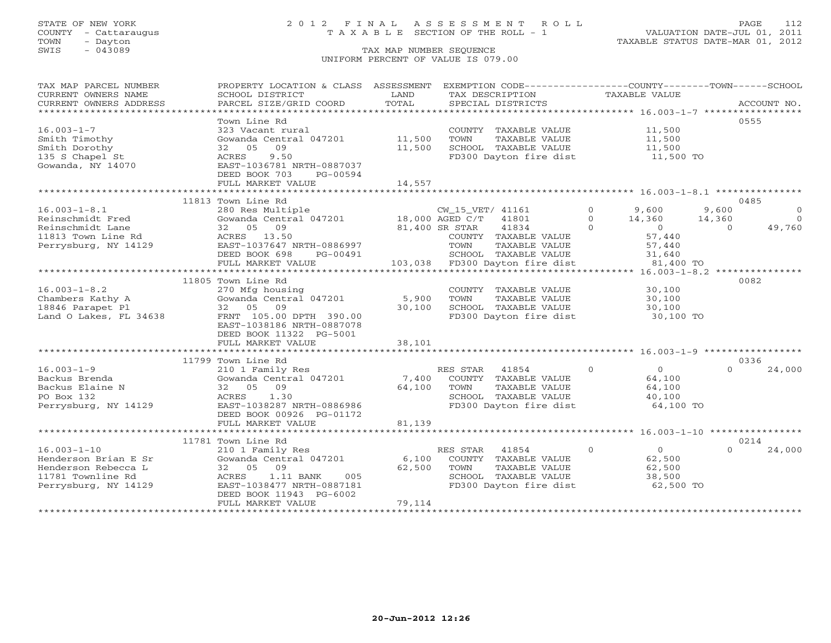## STATE OF NEW YORK 2 0 1 2 F I N A L A S S E S S M E N T R O L L PAGE 112 COUNTY - Cattaraugus T A X A B L E SECTION OF THE ROLL - 1 VALUATION DATE-JUL 01, 2011

| TAX MAP PARCEL NUMBER<br>CURRENT OWNERS NAME<br>CURRENT OWNERS ADDRESS | PROPERTY LOCATION & CLASS ASSESSMENT<br>SCHOOL DISTRICT<br>PARCEL SIZE/GRID COORD | LAND<br>TOTAL | EXEMPTION CODE----------------COUNTY-------TOWN-----SCHOOL<br>TAX DESCRIPTION<br>SPECIAL DISTRICTS | TAXABLE VALUE       | ACCOUNT NO.               |
|------------------------------------------------------------------------|-----------------------------------------------------------------------------------|---------------|----------------------------------------------------------------------------------------------------|---------------------|---------------------------|
|                                                                        |                                                                                   |               |                                                                                                    |                     |                           |
| $16.003 - 1 - 7$                                                       | Town Line Rd<br>323 Vacant rural                                                  |               | COUNTY TAXABLE VALUE                                                                               | 11,500              | 0555                      |
| Smith Timothy                                                          | Gowanda Central 047201                                                            | 11,500        | TOWN<br>TAXABLE VALUE                                                                              | 11,500              |                           |
| Smith Dorothy                                                          | 09<br>32 05                                                                       | 11,500        | SCHOOL TAXABLE VALUE                                                                               | 11,500              |                           |
| 135 S Chapel St                                                        | 9.50<br>ACRES                                                                     |               | FD300 Dayton fire dist                                                                             | 11,500 TO           |                           |
| Gowanda, NY 14070                                                      | EAST-1036781 NRTH-0887037                                                         |               |                                                                                                    |                     |                           |
|                                                                        | DEED BOOK 703<br>PG-00594                                                         |               |                                                                                                    |                     |                           |
|                                                                        | FULL MARKET VALUE                                                                 | 14,557        |                                                                                                    |                     |                           |
|                                                                        |                                                                                   |               |                                                                                                    |                     |                           |
| $16.003 - 1 - 8.1$                                                     | 11813 Town Line Rd<br>280 Res Multiple                                            |               | CW_15_VET/ 41161                                                                                   | $\Omega$<br>9,600   | 0485<br>9,600<br>$\Omega$ |
| Reinschmidt Fred                                                       | Gowanda Central 047201 18,000 AGED C/T 41801                                      |               |                                                                                                    | $\Omega$<br>14,360  | $\Omega$<br>14,360        |
| Reinschmidt Lane                                                       | 09<br>32 05                                                                       |               | 41834<br>81,400 SR STAR                                                                            | $\Omega$<br>$\cap$  | 49,760<br>$\Omega$        |
| 11813 Town Line Rd                                                     | ACRES 13.50                                                                       |               | COUNTY TAXABLE VALUE                                                                               | 57,440              |                           |
| Perrysburg, NY 14129                                                   | EAST-1037647 NRTH-0886997                                                         |               | TAXABLE VALUE<br>TOWN                                                                              | 57,440              |                           |
|                                                                        | DEED BOOK 698<br>PG-00491                                                         |               | SCHOOL TAXABLE VALUE                                                                               | 31,640              |                           |
|                                                                        | FULL MARKET VALUE                                                                 |               | 103,038 FD300 Dayton fire dist                                                                     | 81,400 TO           |                           |
|                                                                        |                                                                                   |               |                                                                                                    |                     |                           |
|                                                                        | 11805 Town Line Rd                                                                |               |                                                                                                    |                     | 0082                      |
| $16.003 - 1 - 8.2$                                                     | 270 Mfg housing                                                                   |               | COUNTY TAXABLE VALUE                                                                               | 30,100              |                           |
| Chambers Kathy A                                                       | Gowanda Central 047201                                                            | 5,900         | TOWN<br>TAXABLE VALUE                                                                              | 30,100              |                           |
| 18846 Parapet Pl                                                       | 32 05 09                                                                          | 30,100        | SCHOOL TAXABLE VALUE                                                                               | 30,100              |                           |
| Land O Lakes, FL 34638                                                 | FRNT 105.00 DPTH 390.00                                                           |               | FD300 Dayton fire dist                                                                             | 30,100 TO           |                           |
|                                                                        | EAST-1038186 NRTH-0887078<br>DEED BOOK 11322 PG-5001                              |               |                                                                                                    |                     |                           |
|                                                                        | FULL MARKET VALUE                                                                 | 38,101        |                                                                                                    |                     |                           |
|                                                                        |                                                                                   |               |                                                                                                    |                     |                           |
|                                                                        | 11799 Town Line Rd                                                                |               |                                                                                                    |                     | 0336                      |
| $16.003 - 1 - 9$                                                       | 210 1 Family Res                                                                  |               | RES STAR<br>41854                                                                                  | $\overline{0}$<br>0 | 24,000                    |
| Backus Brenda                                                          | Gowanda Central 047201                                                            | 7,400         | COUNTY TAXABLE VALUE                                                                               | 64,100              |                           |
| Backus Elaine N                                                        | 32 05 09                                                                          | 64,100        | TOWN<br>TAXABLE VALUE                                                                              | 64,100              |                           |
| PO Box 132                                                             | ACRES<br>1.30                                                                     |               | SCHOOL TAXABLE VALUE                                                                               | 40,100              |                           |
| Perrysburg, NY 14129                                                   | EAST-1038287 NRTH-0886986                                                         |               | FD300 Dayton fire dist                                                                             | 64,100 TO           |                           |
|                                                                        | DEED BOOK 00926 PG-01172                                                          |               |                                                                                                    |                     |                           |
|                                                                        | FULL MARKET VALUE                                                                 | 81,139        |                                                                                                    |                     |                           |
|                                                                        | 11781 Town Line Rd                                                                |               |                                                                                                    |                     | 0214                      |
| $16.003 - 1 - 10$                                                      | 210 1 Family Res                                                                  |               | RES STAR<br>41854                                                                                  | $\mathbf{O}$<br>0   | $\cap$<br>24,000          |
| Henderson Brian E Sr                                                   | Gowanda Central 047201                                                            | 6,100         | COUNTY TAXABLE VALUE                                                                               | 62,500              |                           |
| Henderson Rebecca L                                                    | 32 05 09                                                                          | 62,500        | TOWN<br>TAXABLE VALUE                                                                              | 62,500              |                           |
| 11781 Townline Rd                                                      | 1.11 BANK<br>005<br>ACRES                                                         |               | SCHOOL TAXABLE VALUE                                                                               | 38,500              |                           |
| Perrysburg, NY 14129                                                   | EAST-1038477 NRTH-0887181                                                         |               | FD300 Dayton fire dist                                                                             | 62,500 TO           |                           |
|                                                                        | DEED BOOK 11943 PG-6002                                                           |               |                                                                                                    |                     |                           |
|                                                                        | FULL MARKET VALUE                                                                 | 79,114        |                                                                                                    |                     |                           |
|                                                                        |                                                                                   |               |                                                                                                    |                     |                           |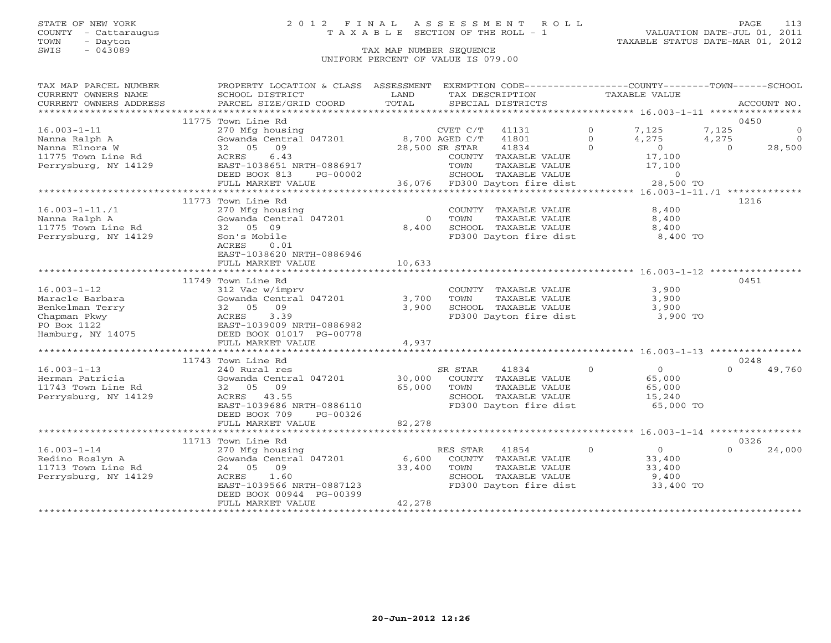## STATE OF NEW YORK 2 0 1 2 F I N A L A S S E S S M E N T R O L L PAGE 113 COUNTY - Cattaraugus T A X A B L E SECTION OF THE ROLL - 1 VALUATION DATE-JUL 01, 2011

| TAX MAP PARCEL NUMBER  | PROPERTY LOCATION & CLASS ASSESSMENT EXEMPTION CODE----------------COUNTY-------TOWN------SCHOOL |          |                               |                       |                    |
|------------------------|--------------------------------------------------------------------------------------------------|----------|-------------------------------|-----------------------|--------------------|
| CURRENT OWNERS NAME    | SCHOOL DISTRICT                                                                                  | LAND     | TAX DESCRIPTION               | TAXABLE VALUE         |                    |
| CURRENT OWNERS ADDRESS | PARCEL SIZE/GRID COORD                                                                           | TOTAL    | SPECIAL DISTRICTS             |                       | ACCOUNT NO.        |
|                        |                                                                                                  |          |                               |                       |                    |
|                        | 11775 Town Line Rd                                                                               |          |                               |                       | 0450               |
| $16.003 - 1 - 11$      | 270 Mfg housing                                                                                  |          | CVET C/T<br>41131             | $\Omega$<br>7,125     | 7,125<br>$\circ$   |
| Nanna Ralph A          | Gowanda Central 047201                                                                           |          | 8,700 AGED C/T<br>41801       | 4,275<br>$\Omega$     | $\bigcap$<br>4,275 |
| Nanna Elnora W         | 09<br>32 05                                                                                      |          | 41834<br>28,500 SR STAR       | $\Omega$<br>$\Omega$  | 28,500<br>$\Omega$ |
| 11775 Town Line Rd     | 6.43<br>ACRES                                                                                    |          | COUNTY TAXABLE VALUE          | 17,100                |                    |
| Perrysburg, NY 14129   | EAST-1038651 NRTH-0886917                                                                        |          | TOWN<br>TAXABLE VALUE         | 17,100                |                    |
|                        | DEED BOOK 813<br>PG-00002                                                                        |          | SCHOOL TAXABLE VALUE          | $\circ$               |                    |
|                        | FULL MARKET VALUE                                                                                |          | 36,076 FD300 Dayton fire dist | 28,500 TO             |                    |
|                        |                                                                                                  |          |                               |                       |                    |
|                        | 11773 Town Line Rd                                                                               |          |                               |                       | 1216               |
| $16.003 - 1 - 11./1$   | 270 Mfg housing                                                                                  |          | COUNTY TAXABLE VALUE          | 8,400                 |                    |
| Nanna Ralph A          | Gowanda Central 047201                                                                           | $\Omega$ | TOWN<br>TAXABLE VALUE         | 8,400                 |                    |
| 11775 Town Line Rd     | 32 05 09                                                                                         | 8,400    | SCHOOL TAXABLE VALUE          | 8,400                 |                    |
| Perrysburg, NY 14129   | Son's Mobile                                                                                     |          | FD300 Dayton fire dist        | 8,400 TO              |                    |
|                        | ACRES<br>0.01                                                                                    |          |                               |                       |                    |
|                        | EAST-1038620 NRTH-0886946                                                                        |          |                               |                       |                    |
|                        | FULL MARKET VALUE                                                                                | 10,633   |                               |                       |                    |
|                        |                                                                                                  |          |                               |                       |                    |
|                        | 11749 Town Line Rd                                                                               |          |                               |                       | 0451               |
| $16.003 - 1 - 12$      | 312 Vac w/imprv                                                                                  |          | COUNTY TAXABLE VALUE          | 3,900                 |                    |
| Maracle Barbara        | Gowanda Central 047201                                                                           | 3,700    | TOWN<br>TAXABLE VALUE         | 3,900                 |                    |
| Benkelman Terry        | 09<br>32 05                                                                                      | 3,900    | SCHOOL TAXABLE VALUE          | 3,900                 |                    |
| Chapman Pkwy           | 3.39<br>ACRES                                                                                    |          | FD300 Dayton fire dist        | 3,900 TO              |                    |
| PO Box 1122            | EAST-1039009 NRTH-0886982                                                                        |          |                               |                       |                    |
| Hamburg, NY 14075      | DEED BOOK 01017 PG-00778                                                                         |          |                               |                       |                    |
|                        | FULL MARKET VALUE                                                                                | 4,937    |                               |                       |                    |
|                        |                                                                                                  |          |                               |                       |                    |
|                        | 11743 Town Line Rd                                                                               |          |                               |                       | 0248               |
| $16.003 - 1 - 13$      | 240 Rural res                                                                                    |          | SR STAR<br>41834              | $\Omega$<br>$\Omega$  | 49,760             |
| Herman Patricia        | Gowanda Central 047201                                                                           | 30,000   | COUNTY TAXABLE VALUE          | 65,000                |                    |
| 11743 Town Line Rd     | 32 05 09                                                                                         | 65,000   | TAXABLE VALUE<br>TOWN         | 65,000                |                    |
| Perrysburg, NY 14129   | ACRES 43.55                                                                                      |          | SCHOOL TAXABLE VALUE          | 15,240                |                    |
|                        | EAST-1039686 NRTH-0886110                                                                        |          | FD300 Dayton fire dist        | 65,000 TO             |                    |
|                        | DEED BOOK 709<br>PG-00326                                                                        |          |                               |                       |                    |
|                        | FULL MARKET VALUE                                                                                | 82,278   |                               |                       |                    |
|                        |                                                                                                  |          |                               |                       |                    |
|                        | 11713 Town Line Rd                                                                               |          |                               |                       | 0326               |
| $16.003 - 1 - 14$      | 270 Mfg housing                                                                                  |          | RES STAR<br>41854             | $\circ$<br>$0 \qquad$ | 24,000             |
| Redino Roslyn A        | Gowanda Central 047201                                                                           | 6,600    | COUNTY TAXABLE VALUE          | 33,400                |                    |
| 11713 Town Line Rd     | 24 05 09                                                                                         | 33,400   | TOWN<br>TAXABLE VALUE         | 33,400                |                    |
| Perrysburg, NY 14129   | ACRES<br>1.60                                                                                    |          | SCHOOL TAXABLE VALUE          | 9,400                 |                    |
|                        | EAST-1039566 NRTH-0887123                                                                        |          | FD300 Dayton fire dist        | 33,400 TO             |                    |
|                        | DEED BOOK 00944 PG-00399                                                                         |          |                               |                       |                    |
|                        | FULL MARKET VALUE                                                                                | 42,278   |                               |                       |                    |
|                        |                                                                                                  |          |                               |                       |                    |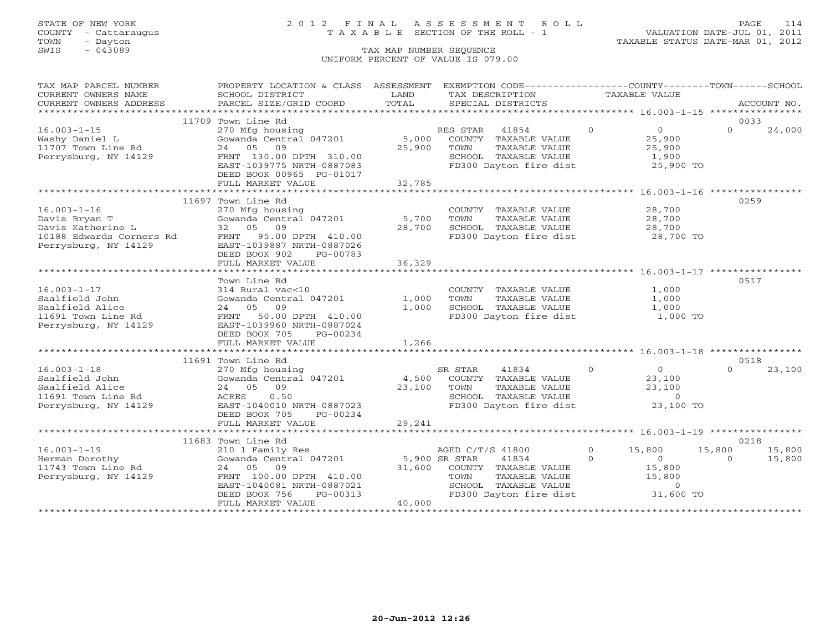TOWN - Dayton - Dayton 1989<br>
TAX MAP NUMBER SEQUENCE - TAXABLE STATUS DATE-MAR 01, 2012<br>
SWIS - 043089 - TAX MAP NUMBER SEQUENCE

### STATE OF NEW YORK 2 0 1 2 F I N A L A S S E S S M E N T R O L L PAGE 114 COUNTY - Cattaraugus T A X A B L E SECTION OF THE ROLL - 1 VALUATION DATE-JUL 01, 2011

### TAX MAP NUMBER SEQUENCE UNIFORM PERCENT OF VALUE IS 079.00

| TAX MAP PARCEL NUMBER                                                                                                                         | PROPERTY LOCATION & CLASS ASSESSMENT EXEMPTION CODE----------------COUNTY-------TOWN------SCHOOL                                                                                                    |        |                                                                                                                                    |          |                   |                |        |
|-----------------------------------------------------------------------------------------------------------------------------------------------|-----------------------------------------------------------------------------------------------------------------------------------------------------------------------------------------------------|--------|------------------------------------------------------------------------------------------------------------------------------------|----------|-------------------|----------------|--------|
| CURRENT OWNERS NAME                                                                                                                           | SCHOOL DISTRICT                                                                                                                                                                                     | LAND   | TAX DESCRIPTION                                                                                                                    |          | TAXABLE VALUE     |                |        |
|                                                                                                                                               |                                                                                                                                                                                                     |        |                                                                                                                                    |          |                   |                |        |
|                                                                                                                                               |                                                                                                                                                                                                     |        |                                                                                                                                    |          |                   |                |        |
|                                                                                                                                               | 11709 Town Line Rd                                                                                                                                                                                  |        |                                                                                                                                    |          |                   | 0033           |        |
| $16.003 - 1 - 15$                                                                                                                             | 270 Mfg housing                                                                                                                                                                                     |        | RES STAR 41854 0                                                                                                                   |          | $\overline{0}$    | $\Omega$       | 24,000 |
| Washy Daniel L                                                                                                                                | Gowanda Central 047201 5,000 COUNTY TAXABLE VALUE                                                                                                                                                   |        |                                                                                                                                    |          | 25,900<br>25,900  |                |        |
| 11707 Town Line Rd<br>11707 Town Line Rd                                                                                                      | 24 05 09                                                                                                                                                                                            | 25,900 | TAXABLE VALUE<br>TOWN                                                                                                              |          |                   |                |        |
| Perrysburg, NY 14129                                                                                                                          | FRNT 130.00 DPTH 310.00                                                                                                                                                                             |        | SCHOOL TAXABLE VALUE 1,900<br>FD300 Dayton fire dist 25,900 TO                                                                     |          |                   |                |        |
|                                                                                                                                               | EAST-1039775 NRTH-0887083                                                                                                                                                                           |        |                                                                                                                                    |          |                   |                |        |
|                                                                                                                                               | DEED BOOK 00965 PG-01017                                                                                                                                                                            |        |                                                                                                                                    |          |                   |                |        |
|                                                                                                                                               | FULL MARKET VALUE                                                                                                                                                                                   | 32,785 |                                                                                                                                    |          |                   |                |        |
|                                                                                                                                               |                                                                                                                                                                                                     |        |                                                                                                                                    |          |                   |                |        |
|                                                                                                                                               | 11697 Town Line Rd                                                                                                                                                                                  |        |                                                                                                                                    |          |                   | 0259           |        |
| $16.003 - 1 - 16$                                                                                                                             | 270 Mfg housing<br>Gowanda Central 047201 5,700<br>32 05 09 28,700                                                                                                                                  |        | COUNTY TAXABLE VALUE 28,700                                                                                                        |          |                   |                |        |
|                                                                                                                                               |                                                                                                                                                                                                     |        |                                                                                                                                    |          |                   |                |        |
| Davis Bryan T<br>Davis Katherine L<br>10188 Edwards Corners Rd<br>PENT 95.00 DPTH 410.00<br>Perrysburg, NY 14129<br>EAST-1039887 NRTH-0887026 |                                                                                                                                                                                                     | 28,700 | TOWN TAXABLE VALUE 28,700<br>SCHOOL TAXABLE VALUE 28,700<br>FD300 Dayton fire dist 28,700 TO                                       |          |                   |                |        |
|                                                                                                                                               |                                                                                                                                                                                                     |        |                                                                                                                                    |          |                   |                |        |
|                                                                                                                                               |                                                                                                                                                                                                     |        |                                                                                                                                    |          |                   |                |        |
|                                                                                                                                               | DEED BOOK 902<br>PG-00783                                                                                                                                                                           |        |                                                                                                                                    |          |                   |                |        |
|                                                                                                                                               | FULL MARKET VALUE                                                                                                                                                                                   | 36,329 |                                                                                                                                    |          |                   |                |        |
|                                                                                                                                               |                                                                                                                                                                                                     |        |                                                                                                                                    |          |                   |                |        |
|                                                                                                                                               | Town Line Rd                                                                                                                                                                                        |        |                                                                                                                                    |          |                   | 0517           |        |
| $16.003 - 1 - 17$                                                                                                                             | 314 Rural vac<10<br>314 Kurai vac<10<br>Gowanda Central 047201                                                                                                                                      | 1,000  | COUNTY TAXABLE VALUE                                                                                                               |          | 1,000             |                |        |
| Saalfield John<br>Saalfield Alice                                                                                                             | 24 05 09                                                                                                                                                                                            | 1,000  | TOWN<br>TAXABLE VALUE<br>SCHOOL TAXABLE VALUE                                                                                      |          | 1,000             |                |        |
| 11691 Town Line Rd                                                                                                                            | FRNT 50.00 DPTH 410.00                                                                                                                                                                              |        |                                                                                                                                    |          | 1,000<br>1,000 TO |                |        |
| Perrysburg, NY 14129                                                                                                                          | EAST-1039960 NRTH-0887024                                                                                                                                                                           |        | FD300 Dayton fire dist                                                                                                             |          |                   |                |        |
|                                                                                                                                               | DEED BOOK 705<br>PG-00234                                                                                                                                                                           |        |                                                                                                                                    |          |                   |                |        |
|                                                                                                                                               | FULL MARKET VALUE                                                                                                                                                                                   | 1,266  |                                                                                                                                    |          |                   |                |        |
|                                                                                                                                               |                                                                                                                                                                                                     |        |                                                                                                                                    |          |                   |                |        |
|                                                                                                                                               | 11691 Town Line Rd                                                                                                                                                                                  |        |                                                                                                                                    |          |                   | 0518           |        |
| $16.003 - 1 - 18$                                                                                                                             |                                                                                                                                                                                                     |        |                                                                                                                                    |          |                   | $\Omega$       | 23,100 |
| Saalfield John                                                                                                                                | $\begin{tabular}{lcccccc} 270 Mfg housing & & & & & & \text{SR STAR} & & 41834 & & 0 & & 0 \\ \text{Gowanda Central 047201} & & & & 4,500 & COUNTY & TAXABLE VALUE & & & & 23,100 \\ \end{tabular}$ |        |                                                                                                                                    |          |                   |                |        |
|                                                                                                                                               | 24 05 09                                                                                                                                                                                            | 23,100 | TOWN                                                                                                                               |          |                   |                |        |
|                                                                                                                                               | ACRES 0.50                                                                                                                                                                                          |        |                                                                                                                                    |          |                   |                |        |
| saalfield Alice<br>11691 Town Line Rd<br>Perrysburg, NY 14129                                                                                 | EAST-1040010 NRTH-0887023                                                                                                                                                                           |        | TOWN TAXABLE VALUE $23,100$<br>SCHOOL TAXABLE VALUE 0<br>FD300 Dayton fire dist 23,100 TO                                          |          |                   |                |        |
|                                                                                                                                               | DEED BOOK 705<br>PG-00234                                                                                                                                                                           |        |                                                                                                                                    |          |                   |                |        |
|                                                                                                                                               | FULL MARKET VALUE                                                                                                                                                                                   | 29,241 |                                                                                                                                    |          |                   |                |        |
|                                                                                                                                               |                                                                                                                                                                                                     |        |                                                                                                                                    |          |                   |                |        |
|                                                                                                                                               | 11683 Town Line Rd                                                                                                                                                                                  |        |                                                                                                                                    |          |                   | 0218           |        |
| $16.003 - 1 - 19$                                                                                                                             | 210 1 Family Res                                                                                                                                                                                    |        | AGED C/T/S 41800                                                                                                                   | $\Omega$ | 15,800            | 15,800 15,800  |        |
| Herman Dorothy<br>11743 Town Line Rd<br>Perrysburg, NY 14129                                                                                  | Gowanda Central 047201 5,900 SR STAR                                                                                                                                                                |        | 41834                                                                                                                              | $\Omega$ | $\overline{0}$    | $\overline{O}$ | 15,800 |
|                                                                                                                                               | 24 05 09                                                                                                                                                                                            |        |                                                                                                                                    |          |                   |                |        |
|                                                                                                                                               |                                                                                                                                                                                                     |        |                                                                                                                                    |          |                   |                |        |
|                                                                                                                                               |                                                                                                                                                                                                     |        |                                                                                                                                    |          |                   |                |        |
|                                                                                                                                               | FRNT 100.00 DPTH 410.00<br>EAST-1040081 NRTH-0887021<br>DEED BOOK 756 PG-00313                                                                                                                      |        | 31,600 COUNTY TAXABLE VALUE 15,800<br>TOWN TAXABLE VALUE 15,800<br>SCHOOL TAXABLE VALUE 15,800<br>FD300 Dayton fire dist 31,600 TO |          |                   |                |        |
|                                                                                                                                               | FULL MARKET VALUE                                                                                                                                                                                   | 40,000 |                                                                                                                                    |          |                   |                |        |
|                                                                                                                                               |                                                                                                                                                                                                     |        |                                                                                                                                    |          |                   |                |        |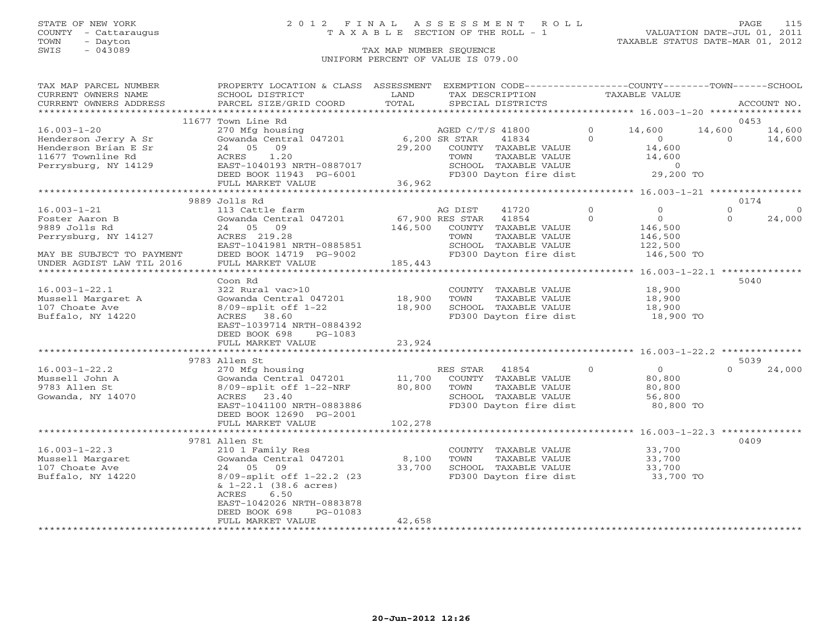## STATE OF NEW YORK 2 0 1 2 F I N A L A S S E S S M E N T R O L L PAGE 115 COUNTY - Cattaraugus T A X A B L E SECTION OF THE ROLL - 1 VALUATION DATE-JUL 01, 2011

| TAX MAP PARCEL NUMBER                                  | PROPERTY LOCATION & CLASS ASSESSMENT                                                       |                                                  |                  | EXEMPTION CODE----------------COUNTY-------TOWN------SCHOOL                          |                     |                  |                    |             |
|--------------------------------------------------------|--------------------------------------------------------------------------------------------|--------------------------------------------------|------------------|--------------------------------------------------------------------------------------|---------------------|------------------|--------------------|-------------|
| CURRENT OWNERS NAME                                    | SCHOOL DISTRICT                                                                            | LAND                                             | TAX DESCRIPTION  |                                                                                      | TAXABLE VALUE       |                  |                    |             |
| CURRENT OWNERS ADDRESS<br>***********************      | PARCEL SIZE/GRID COORD                                                                     | TOTAL                                            |                  | SPECIAL DISTRICTS                                                                    |                     |                  |                    | ACCOUNT NO. |
|                                                        |                                                                                            |                                                  |                  |                                                                                      |                     |                  |                    | 0453        |
|                                                        | 11677 Town Line Rd                                                                         |                                                  |                  |                                                                                      |                     |                  |                    |             |
| $16.003 - 1 - 20$                                      | 270 Mfg housing<br>Gowanda Central 047201                                                  | 6,200 SR STAR                                    | AGED C/T/S 41800 |                                                                                      | $\circ$<br>$\Omega$ | 14,600           | 14,600<br>$\Omega$ | 14,600      |
| Henderson Jerry A Sr                                   |                                                                                            |                                                  |                  | 41834                                                                                |                     | $\overline{0}$   |                    | 14,600      |
| Henderson Brian E Sr                                   | 24 05 09                                                                                   |                                                  |                  | 29,200 COUNTY TAXABLE VALUE                                                          |                     | 14,600<br>14,600 |                    |             |
| 11677 Townline Rd<br>Perrysburg, NY 14129              |                                                                                            |                                                  | TOWN             | TAXABLE VALUE                                                                        |                     |                  |                    |             |
|                                                        | ANNES 1.20<br>EAST-1040193 NRTH-0887017<br>DEED BOOK 11943 PG-6001<br>FULL MARKER 1111-112 |                                                  |                  | SCHOOL TAXABLE VALUE 0<br>FD300 Dayton fire dist 29,200 TO<br>FD300 Dayton fire dist |                     |                  |                    |             |
|                                                        | FULL MARKET VALUE                                                                          | 36,962                                           |                  |                                                                                      |                     |                  |                    |             |
|                                                        |                                                                                            |                                                  |                  |                                                                                      |                     |                  |                    |             |
|                                                        | 9889 Jolls Rd                                                                              |                                                  |                  |                                                                                      |                     |                  |                    | 0174        |
| $16.003 - 1 - 21$                                      | 113 Cattle farm                                                                            |                                                  | AG DIST          | 41720                                                                                | $\Omega$            | $\Omega$         | $\Omega$           | $\Omega$    |
| Foster Aaron B                                         | Gowanda Central 047201                                                                     |                                                  |                  | 41854                                                                                | $\Omega$            | 0                | $\Omega$           | 24,000      |
| 9889 Jolls Rd                                          | 24 05 09                                                                                   | $67,900$ RES STAR<br>$146,500$ COUNTY<br>146,500 |                  | COUNTY TAXABLE VALUE                                                                 |                     | 146,500          |                    |             |
| Perrysburg, NY 14127                                   | ACRES 219.28                                                                               |                                                  | TOWN             | TAXABLE VALUE                                                                        |                     | 146,500          |                    |             |
|                                                        | EAST-1041981 NRTH-0885851                                                                  |                                                  |                  | SCHOOL TAXABLE VALUE                                                                 |                     | 122,500          |                    |             |
|                                                        | DEED BOOK 14719 PG-9002                                                                    |                                                  |                  | FD300 Dayton fire dist                                                               |                     | 146,500 TO       |                    |             |
| MAY BE SUBJECT TO PAYMENT<br>UNDER AGDIST LAW TIL 2016 | FULL MARKET VALUE                                                                          | 185,443                                          |                  |                                                                                      |                     |                  |                    |             |
|                                                        |                                                                                            |                                                  |                  |                                                                                      |                     |                  |                    |             |
|                                                        | Coon Rd                                                                                    |                                                  |                  |                                                                                      |                     |                  |                    | 5040        |
| $16.003 - 1 - 22.1$                                    | 322 Rural vac>10                                                                           |                                                  |                  | COUNTY TAXABLE VALUE                                                                 |                     | 18,900           |                    |             |
| Mussell Margaret A                                     | Gowanda Central 047201                                                                     | 18,900                                           | TOWN             | TAXABLE VALUE                                                                        |                     |                  |                    |             |
| 107 Choate Ave                                         | 8/09-split off 1-22                                                                        | 18,900                                           |                  | SCHOOL TAXABLE VALUE                                                                 |                     | 18,900<br>18,900 |                    |             |
| Buffalo, NY 14220                                      | ACRES 38.60                                                                                |                                                  |                  | FD300 Dayton fire dist                                                               |                     | 18,900 TO        |                    |             |
|                                                        | EAST-1039714 NRTH-0884392                                                                  |                                                  |                  |                                                                                      |                     |                  |                    |             |
|                                                        | DEED BOOK 698<br>PG-1083                                                                   |                                                  |                  |                                                                                      |                     |                  |                    |             |
|                                                        | FULL MARKET VALUE                                                                          | 23,924                                           |                  |                                                                                      |                     |                  |                    |             |
|                                                        |                                                                                            |                                                  |                  |                                                                                      |                     |                  |                    |             |
|                                                        | 9783 Allen St                                                                              |                                                  |                  |                                                                                      |                     |                  |                    | 5039        |
| $16.003 - 1 - 22.2$                                    | 270 Mfg housing                                                                            |                                                  | RES STAR         | 41854                                                                                | $\circ$             | $\overline{0}$   | $\Omega$           | 24,000      |
| Mussell John A                                         | Gowanda Central 047201 11,700                                                              |                                                  |                  | COUNTY TAXABLE VALUE                                                                 |                     | 80,800           |                    |             |
| 9783 Allen St                                          | 8/09-split off 1-22-NRF                                                                    | 80,800                                           | TOWN             | TAXABLE VALUE                                                                        |                     | 80,800           |                    |             |
| Gowanda, NY 14070                                      | ACRES 23.40                                                                                |                                                  |                  | SCHOOL TAXABLE VALUE                                                                 |                     | 56,800           |                    |             |
|                                                        | EAST-1041100 NRTH-0883886                                                                  |                                                  |                  | FD300 Dayton fire dist                                                               |                     | 80,800 TO        |                    |             |
|                                                        | DEED BOOK 12690 PG-2001                                                                    |                                                  |                  |                                                                                      |                     |                  |                    |             |
|                                                        | FULL MARKET VALUE                                                                          | 102,278                                          |                  |                                                                                      |                     |                  |                    |             |
|                                                        |                                                                                            |                                                  |                  |                                                                                      |                     |                  |                    |             |
|                                                        | 9781 Allen St                                                                              |                                                  |                  |                                                                                      |                     |                  |                    | 0409        |
| $16.003 - 1 - 22.3$                                    | 210 1 Family Res                                                                           |                                                  |                  | COUNTY TAXABLE VALUE                                                                 |                     | 33,700           |                    |             |
| Mussell Margaret                                       | Gowanda Central 047201                                                                     | 8,100                                            | TOWN             | TAXABLE VALUE                                                                        |                     | 33,700           |                    |             |
| 107 Choate Ave                                         | 24 05<br>09                                                                                | 33,700                                           |                  | SCHOOL TAXABLE VALUE                                                                 |                     | 33,700           |                    |             |
| Buffalo, NY 14220                                      | 8/09-split off 1-22.2 (23                                                                  |                                                  |                  | FD300 Dayton fire dist                                                               |                     | 33,700 TO        |                    |             |
|                                                        | $\& 1-22.1$ (38.6 acres)                                                                   |                                                  |                  |                                                                                      |                     |                  |                    |             |
|                                                        | ACRES<br>6.50                                                                              |                                                  |                  |                                                                                      |                     |                  |                    |             |
|                                                        | EAST-1042026 NRTH-0883878                                                                  |                                                  |                  |                                                                                      |                     |                  |                    |             |
|                                                        | DEED BOOK 698<br>PG-01083                                                                  |                                                  |                  |                                                                                      |                     |                  |                    |             |
|                                                        | FULL MARKET VALUE                                                                          | 42,658                                           |                  |                                                                                      |                     |                  |                    |             |
|                                                        |                                                                                            |                                                  |                  |                                                                                      |                     |                  |                    |             |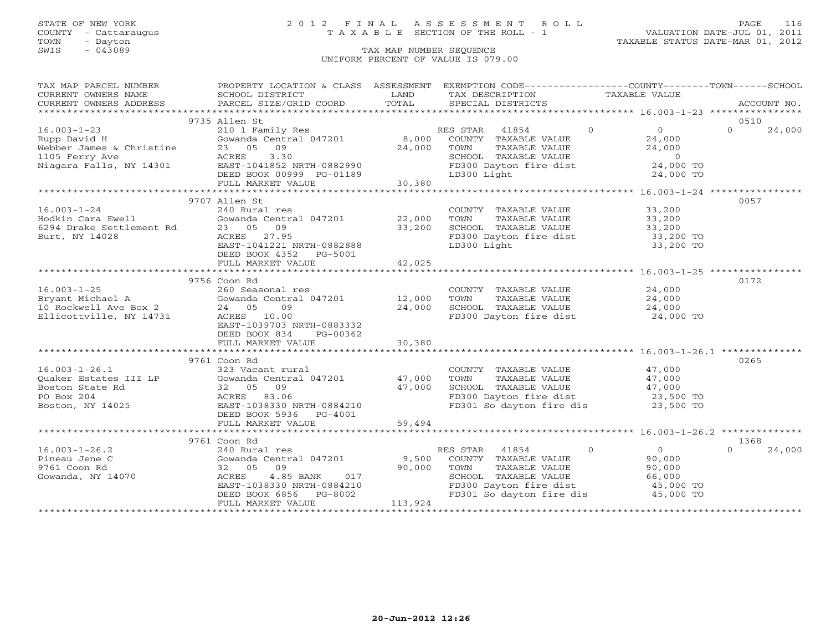### STATE OF NEW YORK 2 0 1 2 F I N A L A S S E S S M E N T R O L L PAGE 116 COUNTY - Cattaraugus T A X A B L E SECTION OF THE ROLL - 1 VALUATION DATE-JUL 01, 2011

| TAX MAP PARCEL NUMBER                         | PROPERTY LOCATION & CLASS ASSESSMENT EXEMPTION CODE---------------COUNTY-------TOWN------SCHOOL                              |                    |                                                                                     |                                  |                    |
|-----------------------------------------------|------------------------------------------------------------------------------------------------------------------------------|--------------------|-------------------------------------------------------------------------------------|----------------------------------|--------------------|
| CURRENT OWNERS NAME                           | SCHOOL DISTRICT                                                                                                              | LAND               | TAX DESCRIPTION                                                                     | TAXABLE VALUE                    |                    |
|                                               |                                                                                                                              |                    |                                                                                     |                                  |                    |
|                                               | 9735 Allen St                                                                                                                |                    |                                                                                     |                                  | 0510               |
|                                               | 210 1 Family Res                                                                                                             |                    | RES STAR 41854 0                                                                    | $\overline{0}$                   | $\Omega$<br>24,000 |
|                                               | Gowanda Central 047201 8,000 COUNTY TAXABLE VALUE                                                                            |                    |                                                                                     |                                  |                    |
|                                               |                                                                                                                              | 24,000             |                                                                                     | 24,000<br>24,000                 |                    |
|                                               |                                                                                                                              |                    |                                                                                     |                                  |                    |
|                                               |                                                                                                                              |                    | TOWN TAXABLE VALUE<br>SCHOOL TAXABLE VALUE<br>FD300 Dayton fire dist<br>LD300 Light | $0$<br>24,000 TO                 |                    |
|                                               |                                                                                                                              |                    |                                                                                     | 24,000 TO                        |                    |
|                                               |                                                                                                                              | $-01189$<br>30,380 |                                                                                     |                                  |                    |
|                                               |                                                                                                                              |                    |                                                                                     |                                  |                    |
|                                               | 9707 Allen St                                                                                                                |                    |                                                                                     |                                  | 0057               |
| $16.003 - 1 - 24$                             | 240 Rural res                                                                                                                |                    | COUNTY TAXABLE VALUE 33,200                                                         |                                  |                    |
| Hodkin Cara Ewell<br>6294 Drake Settlement Rd | Gowanda Central 047201 22,000                                                                                                |                    | TOWN                                                                                | 33,200<br>33,200                 |                    |
|                                               | 23 05 09                                                                                                                     | 33,200             | TOWN       TAXABLE  VALUE<br>SCHOOL    TAXABLE  VALUE                               |                                  |                    |
| Burt, NY 14028                                | ACRES 27.95                                                                                                                  |                    | FD300 Dayton fire dist                                                              | 33,200 TO                        |                    |
|                                               | EAST-1041221 NRTH-0882888                                                                                                    |                    | LD300 Light                                                                         | 33,200 TO                        |                    |
|                                               | DEED BOOK 4352 PG-5001                                                                                                       |                    |                                                                                     |                                  |                    |
|                                               | FULL MARKET VALUE                                                                                                            | 42,025             |                                                                                     |                                  |                    |
|                                               |                                                                                                                              |                    |                                                                                     |                                  |                    |
|                                               | 9756 Coon Rd                                                                                                                 |                    |                                                                                     |                                  | 0172               |
|                                               |                                                                                                                              |                    | COUNTY TAXABLE VALUE 24,000                                                         |                                  |                    |
|                                               |                                                                                                                              |                    | TOWN<br>TAXABLE VALUE                                                               | 24,000                           |                    |
|                                               |                                                                                                                              |                    |                                                                                     |                                  |                    |
| Ellicottville, NY 14731                       | ACRES 10.00                                                                                                                  |                    | SCHOOL TAXABLE VALUE $24,000$<br>FD300 Dayton fire dist $24,000$ TO                 |                                  |                    |
|                                               | EAST-1039703 NRTH-0883332                                                                                                    |                    |                                                                                     |                                  |                    |
|                                               | DEED BOOK 834<br>PG-00362                                                                                                    |                    |                                                                                     |                                  |                    |
|                                               | FULL MARKET VALUE                                                                                                            | 30,380             |                                                                                     |                                  |                    |
|                                               |                                                                                                                              |                    |                                                                                     |                                  |                    |
|                                               | 9761 Coon Rd                                                                                                                 |                    |                                                                                     |                                  | 0265               |
|                                               |                                                                                                                              |                    | COUNTY TAXABLE VALUE<br>TOWN     TAXABLE VALUE                                      | 47,000<br>47,000                 |                    |
|                                               |                                                                                                                              |                    |                                                                                     |                                  |                    |
|                                               |                                                                                                                              |                    |                                                                                     |                                  |                    |
|                                               | 16.003-1-26.1<br>Quaker Estates III LP (323 Vacant rural (2012)<br>Boston State Rd (32 05 09 47,000 47,000 PO Box 204 (2014) |                    | SCHOOL TAXABLE VALUE 47,000<br>FD300 Dayton fire dist 23,500 TO                     |                                  |                    |
| Boston, NY 14025                              | EAST-1038330 NRTH-0884210                                                                                                    |                    | FD301 So dayton fire dis 23,500 TO                                                  |                                  |                    |
|                                               | DEED BOOK 5936 PG-4001                                                                                                       |                    |                                                                                     |                                  |                    |
|                                               | FULL MARKET VALUE                                                                                                            | 59,494             |                                                                                     |                                  |                    |
|                                               |                                                                                                                              |                    |                                                                                     |                                  |                    |
|                                               | 9761 Coon Rd                                                                                                                 |                    |                                                                                     |                                  | 1368               |
| $16.003 - 1 - 26.2$                           | 240 Rural res                                                                                                                |                    | RES STAR 41854                                                                      | $\overline{0}$<br>$\overline{0}$ | 24,000             |
| Pineau Jene C                                 | Gowanda Central 047201 9,500                                                                                                 |                    | COUNTY TAXABLE VALUE                                                                | 90,000                           |                    |
| 9761 Coon Rd                                  | 32 05 09                                                                                                                     | 90,000             | TAXABLE VALUE<br>TOWN                                                               | 90,000                           |                    |
| Gowanda, NY 14070                             |                                                                                                                              |                    | SCHOOL TAXABLE VALUE                                                                | 66,000                           |                    |
|                                               | ACRES 4.85 BANK 017<br>EAST-1038330 NRTH-0884210<br>DEED BOOK 6856 PG-8002                                                   |                    | FD300 Dayton fire dist                                                              | 45,000 TO                        |                    |
|                                               |                                                                                                                              |                    | FD301 So dayton fire dis                                                            | 45,000 TO                        |                    |
|                                               | FULL MARKET VALUE                                                                                                            | 113,924            |                                                                                     |                                  |                    |
|                                               |                                                                                                                              |                    |                                                                                     |                                  |                    |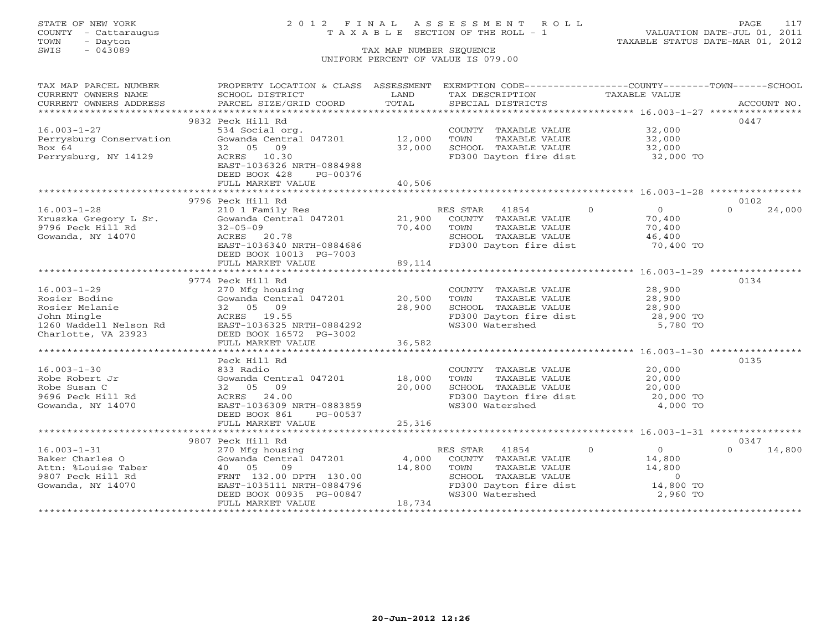COUNTY - Cattaraugus T A X A B L E SECTION OF THE ROLL - 1<br>TOWN - Dayton<br>SWIS - 043089 TAX MAP NUMBER SEQUENCE

# STATE OF NEW YORK 2 0 1 2 F I N A L A S S E S S M E N T R O L L PAGE 117

VALUATION DATE-JUL 01, 2011 TAXABLE STATUS DATE-MAR 01, 2012

### TAX MAP NUMBER SEQUENCE UNIFORM PERCENT OF VALUE IS 079.00

| TAX MAP PARCEL NUMBER<br>CURRENT OWNERS NAME                                         | PROPERTY LOCATION & CLASS ASSESSMENT<br>SCHOOL DISTRICT                                                                                                                              | LAND             | EXEMPTION CODE-----------------COUNTY--------TOWN------SCHOOL<br>TAX DESCRIPTION            | TAXABLE VALUE                                                    |                    |
|--------------------------------------------------------------------------------------|--------------------------------------------------------------------------------------------------------------------------------------------------------------------------------------|------------------|---------------------------------------------------------------------------------------------|------------------------------------------------------------------|--------------------|
| CURRENT OWNERS ADDRESS                                                               | PARCEL SIZE/GRID COORD                                                                                                                                                               | TOTAL            | SPECIAL DISTRICTS                                                                           |                                                                  | ACCOUNT NO.        |
|                                                                                      | 9832 Peck Hill Rd                                                                                                                                                                    |                  |                                                                                             |                                                                  | 0447               |
| $16.003 - 1 - 27$<br>Perrysburg Conservation<br>Box 64                               | 534 Social org.<br>Gowanda Central 047201 12,000<br>32 05 09                                                                                                                         | 32,000           | COUNTY TAXABLE VALUE 32,000<br>TOWN<br>TAXABLE VALUE<br>SCHOOL TAXABLE VALUE                | 32,000<br>32,000                                                 |                    |
| Perrysburg, NY 14129                                                                 | ACRES 10.30<br>EAST-1036326 NRTH-0884988<br>DEED BOOK 428<br>PG-00376<br>FULL MARKET VALUE                                                                                           | 40,506           | FD300 Dayton fire dist 32,000 TO                                                            |                                                                  |                    |
|                                                                                      |                                                                                                                                                                                      |                  |                                                                                             |                                                                  |                    |
|                                                                                      | 9796 Peck Hill Rd                                                                                                                                                                    |                  |                                                                                             |                                                                  | 0102               |
| $16.003 - 1 - 28$<br>Kruszka Gregory L Sr.<br>9796 Peck Hill Rd<br>Gowanda, NY 14070 | 210 1 Family Res<br>Gowanda Central 047201 21,900 COUNTY TAXABLE VALUE<br>$32 - 05 - 09$<br>ACRES 20.78<br>EAST-1036340 NRTH-0884686<br>DEED BOOK 10013 PG-7003<br>FULL MARKET VALUE | 70,400<br>89,114 | RES STAR 41854 0<br>TOWN<br>TAXABLE VALUE<br>SCHOOL TAXABLE VALUE<br>FD300 Dayton fire dist | $\overline{0}$<br>70,400<br>70,400<br>46,400<br>70,400 TO        | $\Omega$<br>24,000 |
|                                                                                      |                                                                                                                                                                                      |                  |                                                                                             | ********************************** 16.003-1-29 ***************** |                    |
|                                                                                      | 9774 Peck Hill Rd                                                                                                                                                                    |                  |                                                                                             |                                                                  | 0134               |
| $16.003 - 1 - 29$                                                                    | 270 Mfg housing                                                                                                                                                                      |                  | COUNTY TAXABLE VALUE 28,900                                                                 |                                                                  |                    |
| Rosier Bodine                                                                        | Gowanda Central 047201 20,500                                                                                                                                                        |                  | TOWN<br>TAXABLE VALUE<br>SCHOOL TAXABLE VALUE                                               | 28,900                                                           |                    |
| Rosier Melanie<br>John Mingle                                                        | 32 05 09<br>ACRES 19.55                                                                                                                                                              | 28,900           |                                                                                             | 28,900<br>28,900 TO                                              |                    |
| 1260 Waddell Nelson Rd<br>Charlotte, VA 23923                                        | EAST-1036325 NRTH-0884292<br>DEED BOOK 16572 PG-3002                                                                                                                                 |                  | FD300 Dayton fire dist<br>WS300 Watershed                                                   | 5,780 TO                                                         |                    |
|                                                                                      | FULL MARKET VALUE                                                                                                                                                                    | 36,582           |                                                                                             |                                                                  |                    |
|                                                                                      |                                                                                                                                                                                      |                  |                                                                                             |                                                                  |                    |
|                                                                                      | Peck Hill Rd                                                                                                                                                                         |                  |                                                                                             |                                                                  | 0135               |
| $16.003 - 1 - 30$                                                                    | 833 Radio                                                                                                                                                                            |                  | COUNTY TAXABLE VALUE<br>TOWN     TAXABLE VALUE                                              | 20,000<br>20.000                                                 |                    |
| Robe Robert Jr<br>Robe Susan C                                                       | Gowanda Central 047201 18,000<br>32 05 09                                                                                                                                            | 20,000           |                                                                                             | 20,000                                                           |                    |
| 9696 Peck Hill Rd                                                                    | ACRES 24.00                                                                                                                                                                          |                  | SCHOOL TAXABLE VALUE<br>FD300 Dayton fire dist                                              | 20,000<br>20,000 TO                                              |                    |
| Gowanda, NY 14070                                                                    | EAST-1036309 NRTH-0883859<br>DEED BOOK 861<br>PG-00537                                                                                                                               |                  | WS300 Watershed                                                                             | 4,000 TO                                                         |                    |
|                                                                                      | FULL MARKET VALUE                                                                                                                                                                    | 25,316           |                                                                                             |                                                                  |                    |
|                                                                                      | 9807 Peck Hill Rd                                                                                                                                                                    |                  |                                                                                             |                                                                  | 0347               |
| $16.003 - 1 - 31$                                                                    | 270 Mfg housing                                                                                                                                                                      |                  | RES STAR 41854                                                                              | $\Omega$<br>$\overline{0}$                                       | $\cap$<br>14,800   |
| Baker Charles O                                                                      | Gowanda Central 047201                                                                                                                                                               | 4,000            | COUNTY TAXABLE VALUE                                                                        | 14,800                                                           |                    |
| Attn: %Louise Taber                                                                  | 40 05<br>09                                                                                                                                                                          | 14,800           |                                                                                             | 14,800                                                           |                    |
| 9807 Peck Hill Rd                                                                    | FRNT 132.00 DPTH 130.00                                                                                                                                                              |                  | TOWN      TAXABLE VALUE<br>SCHOOL   TAXABLE VALUE                                           | $\overline{0}$                                                   |                    |
| Gowanda, NY 14070                                                                    | EAST-1035111 NRTH-0884796                                                                                                                                                            |                  | FD300 Dayton fire dist                                                                      | 14,800 TO                                                        |                    |
|                                                                                      | DEED BOOK 00935 PG-00847                                                                                                                                                             |                  | WS300 Watershed                                                                             | 2,960 TO                                                         |                    |
|                                                                                      | FULL MARKET VALUE                                                                                                                                                                    | 18,734           |                                                                                             |                                                                  |                    |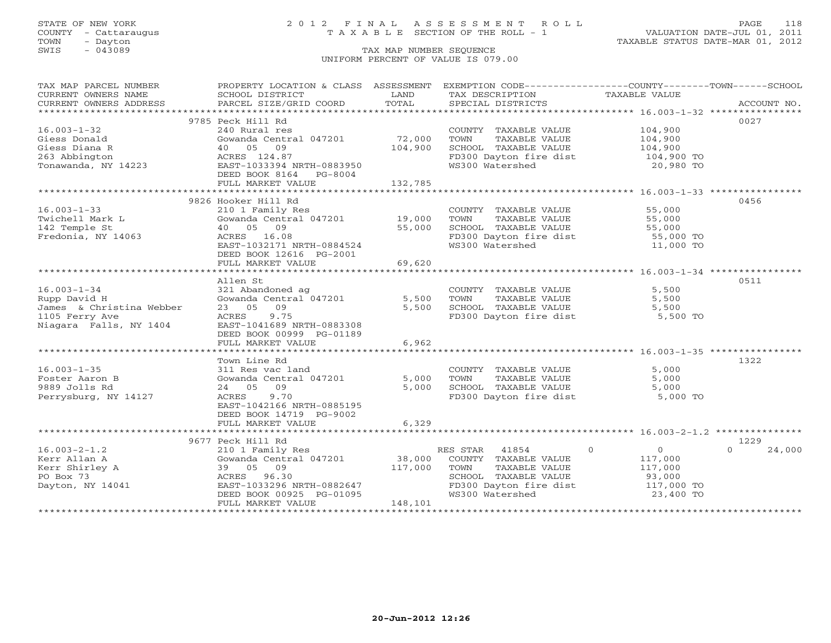COUNTY - Cattaraugus T A X A B L E SECTION OF THE ROLL - 1<br>TOWN - Dayton<br>SWIS - 043089 TAX MAP NUMBER SEQUENCE

# STATE OF NEW YORK 2 0 1 2 F I N A L A S S E S S M E N T R O L L PAGE 118

VALUATION DATE-JUL 01, 2011 TAXABLE STATUS DATE-MAR 01, 2012

### TAX MAP NUMBER SEQUENCE UNIFORM PERCENT OF VALUE IS 079.00

| TAX MAP PARCEL NUMBER                                                                                                                                                                                                          | PROPERTY LOCATION & CLASS ASSESSMENT EXEMPTION CODE----------------COUNTY-------TOWN------SCHOOL |                |                                               |                            |                    |
|--------------------------------------------------------------------------------------------------------------------------------------------------------------------------------------------------------------------------------|--------------------------------------------------------------------------------------------------|----------------|-----------------------------------------------|----------------------------|--------------------|
| CURRENT OWNERS NAME                                                                                                                                                                                                            | SCHOOL DISTRICT                                                                                  | LAND           | TAX DESCRIPTION                               | TAXABLE VALUE              |                    |
| .CURRENT OWNERS ADDRESS PARCEL SIZE/GRID COORD TOTAL SPECIAL DISTRICTS (ACCOUNT NO ACCOUNT NO ACCOUNT NO ACCOUNT NO ACCOUNT NO ACCOUNT SERVERS AND RESERVE ASSESS THAT A LIST AND A LIST AND A LIST OF A LIST AND A LIST AND A |                                                                                                  | TOTAL          |                                               |                            |                    |
|                                                                                                                                                                                                                                |                                                                                                  |                |                                               |                            |                    |
|                                                                                                                                                                                                                                | 9785 Peck Hill Rd                                                                                |                |                                               |                            | 0027               |
| $16.003 - 1 - 32$                                                                                                                                                                                                              | 240 Rural res                                                                                    |                | COUNTY TAXABLE VALUE                          | 104,900                    |                    |
| Giess Donald                                                                                                                                                                                                                   | Gowanda Central 047201                                                                           | 72,000         | TOWN<br>TAXABLE VALUE                         | 104,900<br>104,900         |                    |
| Giess Diana R                                                                                                                                                                                                                  | 40 05 09                                                                                         | 104,900        | SCHOOL TAXABLE VALUE                          |                            |                    |
| 263 Abbington                                                                                                                                                                                                                  | ACRES 124.87                                                                                     |                | FD300 Dayton fire dist                        | 104,900 TO                 |                    |
| Tonawanda, NY 14223                                                                                                                                                                                                            | ACRES 124.87<br>EAST-1033394 NRTH-0883950                                                        |                | WS300 Watershed                               | 20,980 TO                  |                    |
|                                                                                                                                                                                                                                | DEED BOOK 8164 PG-8004                                                                           |                |                                               |                            |                    |
|                                                                                                                                                                                                                                | FULL MARKET VALUE                                                                                | 132,785        |                                               |                            |                    |
|                                                                                                                                                                                                                                |                                                                                                  |                |                                               |                            |                    |
|                                                                                                                                                                                                                                | 9826 Hooker Hill Rd                                                                              |                |                                               |                            | 0456               |
| $16.003 - 1 - 33$                                                                                                                                                                                                              | 210 1 Family Res                                                                                 |                | COUNTY TAXABLE VALUE 55,000                   |                            |                    |
| Twichell Mark L                                                                                                                                                                                                                | Gowanda Central 047201 19,000                                                                    |                | TOWN<br>TAXABLE VALUE                         | 55,000                     |                    |
| 142 Temple St                                                                                                                                                                                                                  | 40 05 09                                                                                         | 55,000         | SCHOOL TAXABLE VALUE                          | 55,000                     |                    |
| Fredonia, NY 14063                                                                                                                                                                                                             | ACRES 16.08                                                                                      |                | FD300 Dayton fire dist                        | 55,000 TO<br>11,000 TO     |                    |
|                                                                                                                                                                                                                                | EAST-1032171 NRTH-0884524                                                                        |                | WS300 Watershed                               |                            |                    |
|                                                                                                                                                                                                                                | DEED BOOK 12616 PG-2001                                                                          | 69,620         |                                               |                            |                    |
|                                                                                                                                                                                                                                | FULL MARKET VALUE                                                                                |                |                                               |                            |                    |
|                                                                                                                                                                                                                                | Allen St                                                                                         |                |                                               |                            | 0511               |
| $16.003 - 1 - 34$                                                                                                                                                                                                              | 321 Abandoned ag                                                                                 |                |                                               | 5,500                      |                    |
|                                                                                                                                                                                                                                | Gowanda Central 047201                                                                           |                | COUNTY TAXABLE VALUE<br>TOWN<br>TAXABLE VALUE |                            |                    |
| Rupp David H<br>James & Christina Webber                                                                                                                                                                                       | 23 05 09                                                                                         | 5,500<br>5,500 | SCHOOL TAXABLE VALUE                          | 5,500<br>5,500             |                    |
| 1105 Ferry Ave                                                                                                                                                                                                                 | ACRES 9.75                                                                                       |                | FD300 Dayton fire dist                        | 5,500 TO                   |                    |
| Niagara Falls, NY 1404                                                                                                                                                                                                         | EAST-1041689 NRTH-0883308                                                                        |                |                                               |                            |                    |
|                                                                                                                                                                                                                                | DEED BOOK 00999 PG-01189                                                                         |                |                                               |                            |                    |
|                                                                                                                                                                                                                                | FULL MARKET VALUE                                                                                | 6,962          |                                               |                            |                    |
|                                                                                                                                                                                                                                |                                                                                                  |                |                                               |                            |                    |
|                                                                                                                                                                                                                                | Town Line Rd                                                                                     |                |                                               |                            | 1322               |
| $16.003 - 1 - 35$                                                                                                                                                                                                              | 311 Res vac land                                                                                 |                | COUNTY TAXABLE VALUE                          | 5,000                      |                    |
| Foster Aaron B                                                                                                                                                                                                                 | Gowanda Central 047201                                                                           | 5,000          | TAXABLE VALUE<br>TOWN                         | 5,000                      |                    |
| 9889 Jolls Rd                                                                                                                                                                                                                  | 24 05 09                                                                                         | 5,000          | SCHOOL TAXABLE VALUE                          | 5,000                      |                    |
| Perrysburg, NY 14127                                                                                                                                                                                                           | ACRES 9.70                                                                                       |                | FD300 Dayton fire dist                        | 5,000 TO                   |                    |
|                                                                                                                                                                                                                                | EAST-1042166 NRTH-0885195                                                                        |                |                                               |                            |                    |
|                                                                                                                                                                                                                                | DEED BOOK 14719 PG-9002                                                                          |                |                                               |                            |                    |
|                                                                                                                                                                                                                                | FULL MARKET VALUE                                                                                | 6,329          |                                               |                            |                    |
|                                                                                                                                                                                                                                |                                                                                                  |                |                                               |                            |                    |
|                                                                                                                                                                                                                                | 9677 Peck Hill Rd                                                                                |                |                                               |                            | 1229               |
| $16.003 - 2 - 1.2$                                                                                                                                                                                                             | 210 1 Family Res                                                                                 |                | RES STAR 41854                                | $\Omega$<br>$\overline{0}$ | $\Omega$<br>24,000 |
| Kerr Allan A                                                                                                                                                                                                                   | Gowanda Central 047201                                                                           | 38,000         | COUNTY TAXABLE VALUE                          | 117,000                    |                    |
| Kerr Shirley A                                                                                                                                                                                                                 | 39 05 09                                                                                         | 117,000        | TOWN<br>TAXABLE VALUE                         | 117,000                    |                    |
| PO Box 73                                                                                                                                                                                                                      | ACRES 96.30                                                                                      |                | SCHOOL TAXABLE VALUE                          | 93,000                     |                    |
| Dayton, NY 14041                                                                                                                                                                                                               | EAST-1033296 NRTH-0882647                                                                        |                | FD300 Dayton fire dist                        | 117,000 TO                 |                    |
|                                                                                                                                                                                                                                | DEED BOOK 00925 PG-01095                                                                         |                | WS300 Watershed                               | 23,400 TO                  |                    |
|                                                                                                                                                                                                                                | FULL MARKET VALUE                                                                                | 148,101        |                                               |                            |                    |
|                                                                                                                                                                                                                                |                                                                                                  |                |                                               |                            |                    |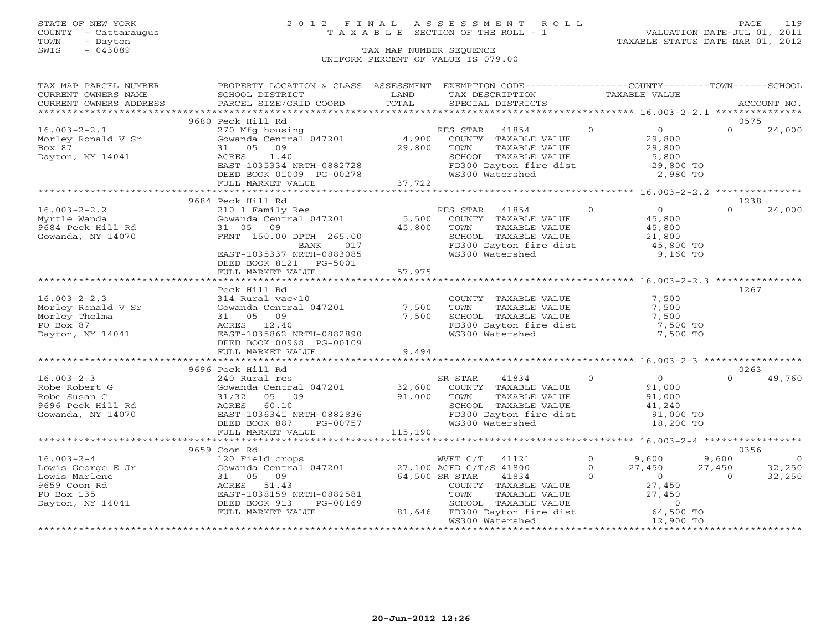## STATE OF NEW YORK 2 0 1 2 F I N A L A S S E S S M E N T R O L L PAGE 119 COUNTY - Cattaraugus T A X A B L E SECTION OF THE ROLL - 1 VALUATION DATE-JUL 01, 2011

| TAX MAP PARCEL NUMBER                                                               | PROPERTY LOCATION & CLASS ASSESSMENT EXEMPTION CODE---------------COUNTY-------TOWN------SCHOOL                                                                                                                                                      |                |                                                                                                                                                          |  |                |                     |                |                |
|-------------------------------------------------------------------------------------|------------------------------------------------------------------------------------------------------------------------------------------------------------------------------------------------------------------------------------------------------|----------------|----------------------------------------------------------------------------------------------------------------------------------------------------------|--|----------------|---------------------|----------------|----------------|
| CURRENT OWNERS NAME                                                                 | SCHOOL DISTRICT                                                                                                                                                                                                                                      | LAND           | TAX DESCRIPTION TAXABLE VALUE                                                                                                                            |  |                |                     |                |                |
| CURRENT OWNERS ADDRESS                                                              | SCHOOL DISTRICI<br>PARCEL SIZE/GRID COORD                                                                                                                                                                                                            | TOTAL          | SPECIAL DISTRICTS                                                                                                                                        |  |                |                     |                | ACCOUNT NO.    |
|                                                                                     |                                                                                                                                                                                                                                                      |                |                                                                                                                                                          |  |                |                     |                |                |
|                                                                                     | 9680 Peck Hill Rd                                                                                                                                                                                                                                    |                |                                                                                                                                                          |  |                | $\frac{0}{29}$      | 0575           |                |
| $16.003 - 2 - 2.1$                                                                  | 270 Mfg housing<br>Gowanda Central 047201 (1,900 COUNTY TAXABLE VALUE                                                                                                                                                                                |                | RES STAR 41854 0                                                                                                                                         |  |                |                     | $\Omega$       | 24,000         |
| Morley Ronald V Sr                                                                  |                                                                                                                                                                                                                                                      |                |                                                                                                                                                          |  |                |                     |                |                |
| Box 87                                                                              | 31 05 09                                                                                                                                                                                                                                             | 29,800         | TOWN<br>TOWN      TAXABLE VALUE<br>SCHOOL   TAXABLE VALUE                                                                                                |  |                |                     |                |                |
|                                                                                     |                                                                                                                                                                                                                                                      |                |                                                                                                                                                          |  |                | $29,800$<br>5,800   |                |                |
|                                                                                     |                                                                                                                                                                                                                                                      |                |                                                                                                                                                          |  |                |                     |                |                |
|                                                                                     |                                                                                                                                                                                                                                                      |                |                                                                                                                                                          |  |                |                     |                |                |
|                                                                                     |                                                                                                                                                                                                                                                      |                |                                                                                                                                                          |  |                |                     |                |                |
|                                                                                     | 2,980 EAST-1035334 NRTH-0882728 EAST-1035334 NRTH-0882728 EAST-1035334 NRTH-0882728 EAST-1035334 NRTH-0882728 EAST-1035334 NRTH-0882728 ED and the dist of the dist of the dist of the dist of the dist of the dist of the dis                       |                |                                                                                                                                                          |  |                |                     |                |                |
|                                                                                     | 9684 Peck Hill Rd                                                                                                                                                                                                                                    |                |                                                                                                                                                          |  |                |                     | 1238           |                |
| $16.003 - 2 - 2.2$                                                                  | 210 1 Family Res<br>Gowanda Central 047201 5,500 COUNTY TAXABLE VALUE 45,800<br>31 05 09 45,800 TOWN TAXABLE VALUE 45,800<br>FRNT 150.00 DPTH 265.00 5CHOOL TAXABLE VALUE 21,800<br>BANK 1000005 BANK 1000005 FD300 Dayton fire dist 4               |                |                                                                                                                                                          |  |                |                     | $\Omega$       | 24,000         |
| Myrtle Wanda                                                                        |                                                                                                                                                                                                                                                      |                |                                                                                                                                                          |  |                |                     |                |                |
| 9684 Peck Hill Rd                                                                   |                                                                                                                                                                                                                                                      |                |                                                                                                                                                          |  |                |                     |                |                |
| Gowanda, NY 14070                                                                   |                                                                                                                                                                                                                                                      |                |                                                                                                                                                          |  |                |                     |                |                |
|                                                                                     |                                                                                                                                                                                                                                                      |                |                                                                                                                                                          |  |                |                     |                |                |
|                                                                                     | EAST-1035337 NRTH-0883085                                                                                                                                                                                                                            |                | WS300 Watershed                                                                                                                                          |  |                | 9,160 TO            |                |                |
|                                                                                     | DEED BOOK 8121 PG-5001                                                                                                                                                                                                                               |                |                                                                                                                                                          |  |                |                     |                |                |
|                                                                                     | FULL MARKET VALUE                                                                                                                                                                                                                                    | 57,975         |                                                                                                                                                          |  |                |                     |                |                |
|                                                                                     | *************************                                                                                                                                                                                                                            | ************** | *********************************** 16.003-2-2.3 **************                                                                                          |  |                |                     |                |                |
|                                                                                     | Peck Hill Rd                                                                                                                                                                                                                                         |                |                                                                                                                                                          |  |                |                     | 1267           |                |
| $16.003 - 2 - 2.3$                                                                  |                                                                                                                                                                                                                                                      |                | COUNTY TAXABLE VALUE 7,500<br>TOWN TAXABLE VALUE 7,500                                                                                                   |  |                |                     |                |                |
| Morley Ronald V Sr<br>Morlov Thelma                                                 | 314 Rural vac<10<br>Gowanda Central 047201 7,500                                                                                                                                                                                                     |                |                                                                                                                                                          |  |                |                     |                |                |
|                                                                                     | 31 05 09                                                                                                                                                                                                                                             | 7,500          |                                                                                                                                                          |  |                |                     |                |                |
| PO Box 87                                                                           | ACRES 12.40                                                                                                                                                                                                                                          |                | FD300 Dayton fire dist                                                                                                                                   |  |                |                     |                |                |
| Dayton, NY 14041                                                                    | EAST-1035862 NRTH-0882890                                                                                                                                                                                                                            |                | WS300 Watershed                                                                                                                                          |  |                | 7,500 TO            |                |                |
|                                                                                     | DEED BOOK 00968 PG-00109                                                                                                                                                                                                                             |                |                                                                                                                                                          |  |                |                     |                |                |
|                                                                                     | FULL MARKET VALUE                                                                                                                                                                                                                                    | 9,494          |                                                                                                                                                          |  |                |                     |                |                |
|                                                                                     |                                                                                                                                                                                                                                                      |                |                                                                                                                                                          |  |                |                     |                |                |
|                                                                                     | 9696 Peck Hill Rd                                                                                                                                                                                                                                    |                |                                                                                                                                                          |  |                |                     | 0263           |                |
| $16.003 - 2 - 3$                                                                    | 240 Rural res                                                                                                                                                                                                                                        |                | 41834<br>SR STAR                                                                                                                                         |  | $\overline{0}$ | $\overline{0}$      | $\Omega$       | 49,760         |
| Robe Robert G                                                                       | Cowanda Central 047201 32,600 COUNTY TAXABLE VALUE<br>31/32 05 09 91,000 TOWN TAXABLE VALUE                                                                                                                                                          |                |                                                                                                                                                          |  |                | 91,000<br>91,000    |                |                |
|                                                                                     |                                                                                                                                                                                                                                                      |                |                                                                                                                                                          |  |                |                     |                |                |
|                                                                                     |                                                                                                                                                                                                                                                      |                | SCHOOL TAXABLE VALUE<br>FD300 Dayton fire dist                                                                                                           |  |                | 41,240<br>91,000 TO |                |                |
| Robe Robert G<br>Robe Susan C<br>9696 Peck Hill Rd<br>Gowanda, NY 14070<br>EAST-103 | ACRES 60.10<br>EAST-1036341 NRTH-0882836<br>DEED BOOK 887 PG-00757                                                                                                                                                                                   |                |                                                                                                                                                          |  |                |                     |                |                |
|                                                                                     |                                                                                                                                                                                                                                                      |                | WS300 Watershed                                                                                                                                          |  |                | 18,200 TO           |                |                |
|                                                                                     | FULL MARKET VALUE 115,190                                                                                                                                                                                                                            |                |                                                                                                                                                          |  |                |                     |                |                |
|                                                                                     |                                                                                                                                                                                                                                                      |                |                                                                                                                                                          |  |                |                     |                |                |
|                                                                                     | 9659 Coon Rd                                                                                                                                                                                                                                         |                |                                                                                                                                                          |  |                |                     | 0356           |                |
| $16.003 - 2 - 4$                                                                    | 120 Field crops                                                                                                                                                                                                                                      |                | WVET C/T 41121 0 9,600 9,600                                                                                                                             |  |                |                     |                | $\overline{0}$ |
|                                                                                     |                                                                                                                                                                                                                                                      |                |                                                                                                                                                          |  |                | $27,450$ $27,450$   |                | 32,250         |
|                                                                                     | 10.003-2-4<br>Lowis Gowarda Central 047201<br>Lowis Gowarda Central 047201<br>Lowis Marlene 31 05 09<br>9659 Coon Rd<br>27,100 AGED C/T/S 41800<br>41834<br>64,500 SR STAR<br>COUNTY TAXABLE VALUE<br>PO Box 135<br>PO Box 135<br>EAST-1038159 NRTH- |                | R STAR 41834 0 0<br>COUNTY TAXABLE VALUE 27,450                                                                                                          |  |                |                     | $\overline{0}$ | 32,250         |
|                                                                                     |                                                                                                                                                                                                                                                      |                |                                                                                                                                                          |  |                |                     |                |                |
|                                                                                     | EAST-1038159 NRTH-0882581                                                                                                                                                                                                                            |                |                                                                                                                                                          |  |                |                     |                |                |
| Dayton, NY 14041                                                                    | DEED BOOK 913<br>PG-00169                                                                                                                                                                                                                            |                |                                                                                                                                                          |  |                |                     |                |                |
|                                                                                     | FULL MARKET VALUE                                                                                                                                                                                                                                    |                | COUNTY TAAADLE VALUE<br>TOWN TAXABLE VALUE 27,450<br>SCHOOL TAXABLE VALUE 27,450<br>81,646 FD300 Dayton fire dist 64,500 TO<br>WS300 Watershed 12,900 TO |  |                |                     |                |                |
|                                                                                     |                                                                                                                                                                                                                                                      |                |                                                                                                                                                          |  |                |                     |                |                |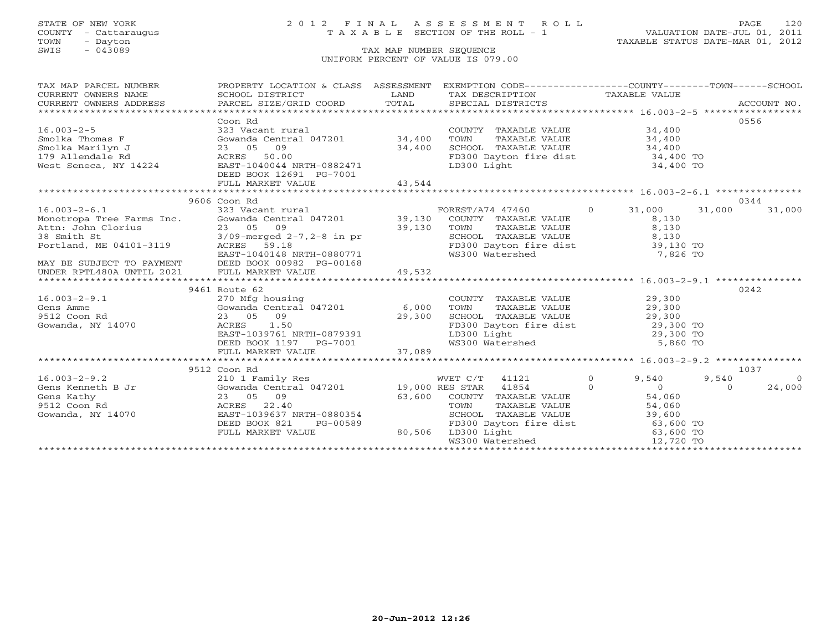## STATE OF NEW YORK 2 0 1 2 F I N A L A S S E S S M E N T R O L L PAGE 120 COUNTY - Cattaraugus T A X A B L E SECTION OF THE ROLL - 1 VALUATION DATE-JUL 01, 2011

| TAX MAP PARCEL NUMBER                                                                                                                                                                                                               | PROPERTY LOCATION & CLASS ASSESSMENT EXEMPTION CODE---------------COUNTY-------TOWN------SCHOOL                                                                                                                                                                    |                                                    |           |                  |
|-------------------------------------------------------------------------------------------------------------------------------------------------------------------------------------------------------------------------------------|--------------------------------------------------------------------------------------------------------------------------------------------------------------------------------------------------------------------------------------------------------------------|----------------------------------------------------|-----------|------------------|
| CURRENT OWNERS NAME                                                                                                                                                                                                                 |                                                                                                                                                                                                                                                                    |                                                    |           |                  |
| CURRENT OWNERS ADDRESS                                                                                                                                                                                                              |                                                                                                                                                                                                                                                                    |                                                    |           |                  |
|                                                                                                                                                                                                                                     |                                                                                                                                                                                                                                                                    |                                                    |           |                  |
|                                                                                                                                                                                                                                     | Coon Rd                                                                                                                                                                                                                                                            |                                                    |           | 0556             |
|                                                                                                                                                                                                                                     |                                                                                                                                                                                                                                                                    |                                                    |           |                  |
|                                                                                                                                                                                                                                     |                                                                                                                                                                                                                                                                    |                                                    |           |                  |
|                                                                                                                                                                                                                                     |                                                                                                                                                                                                                                                                    |                                                    |           |                  |
|                                                                                                                                                                                                                                     |                                                                                                                                                                                                                                                                    | FD300 Dayton fire dist 34,400 TO                   |           |                  |
|                                                                                                                                                                                                                                     |                                                                                                                                                                                                                                                                    |                                                    | 34,400 TO |                  |
|                                                                                                                                                                                                                                     | DEED BOOK 12691 PG-7001                                                                                                                                                                                                                                            |                                                    |           |                  |
|                                                                                                                                                                                                                                     |                                                                                                                                                                                                                                                                    |                                                    |           |                  |
|                                                                                                                                                                                                                                     |                                                                                                                                                                                                                                                                    |                                                    |           |                  |
|                                                                                                                                                                                                                                     | 9606 Coon Rd                                                                                                                                                                                                                                                       |                                                    |           | 0344             |
| 16.003-2-6.1<br>Monotropa Tree Farms Inc. 323 Vacant rural FOREST/A74 47460 0 31,000<br>Monotropa Tree Farms Inc. Gowanda Central 047201 39,130 COUNTY TAXABLE VALUE 8,130<br>Attn: John Clorius 23 05 09 39,130 TOWN TAXABLE VALUE |                                                                                                                                                                                                                                                                    |                                                    |           | 31,000<br>31,000 |
|                                                                                                                                                                                                                                     |                                                                                                                                                                                                                                                                    |                                                    |           |                  |
|                                                                                                                                                                                                                                     |                                                                                                                                                                                                                                                                    |                                                    |           |                  |
|                                                                                                                                                                                                                                     |                                                                                                                                                                                                                                                                    |                                                    |           |                  |
|                                                                                                                                                                                                                                     |                                                                                                                                                                                                                                                                    | FD300 Dayton fire dist 39,130 TO                   |           |                  |
|                                                                                                                                                                                                                                     |                                                                                                                                                                                                                                                                    |                                                    |           |                  |
|                                                                                                                                                                                                                                     |                                                                                                                                                                                                                                                                    |                                                    |           |                  |
|                                                                                                                                                                                                                                     |                                                                                                                                                                                                                                                                    |                                                    |           |                  |
|                                                                                                                                                                                                                                     | 9461 Route 62                                                                                                                                                                                                                                                      |                                                    |           | 0242             |
|                                                                                                                                                                                                                                     | 29,300<br>27,300 MHz<br>29,300 MHz<br>29,300 MHz<br>29,300 MHz<br>29,300 MHz<br>29,300 MHz<br>29,300 MHz<br>29,300 MHz<br>29,300 MHz<br>29,300 MHz<br>29,300 MHz<br>29,300 MHz<br>29,300 MHz<br>29,300 MHz<br>29,300 MHz<br>29,300 MHz<br>29,300 MHz<br>29,300 MHz |                                                    |           |                  |
| $16.003 - 2 - 9.1$<br>Gens Amme                                                                                                                                                                                                     |                                                                                                                                                                                                                                                                    |                                                    |           |                  |
| 9512 Coon Rd                                                                                                                                                                                                                        |                                                                                                                                                                                                                                                                    |                                                    |           |                  |
| Gowanda, NY 14070                                                                                                                                                                                                                   |                                                                                                                                                                                                                                                                    |                                                    |           |                  |
|                                                                                                                                                                                                                                     |                                                                                                                                                                                                                                                                    |                                                    |           |                  |
|                                                                                                                                                                                                                                     |                                                                                                                                                                                                                                                                    |                                                    |           |                  |
|                                                                                                                                                                                                                                     |                                                                                                                                                                                                                                                                    |                                                    |           |                  |
|                                                                                                                                                                                                                                     |                                                                                                                                                                                                                                                                    |                                                    |           |                  |
|                                                                                                                                                                                                                                     |                                                                                                                                                                                                                                                                    |                                                    |           | 1037             |
|                                                                                                                                                                                                                                     |                                                                                                                                                                                                                                                                    |                                                    |           | $\overline{0}$   |
|                                                                                                                                                                                                                                     |                                                                                                                                                                                                                                                                    |                                                    |           | 24,000           |
|                                                                                                                                                                                                                                     |                                                                                                                                                                                                                                                                    |                                                    |           |                  |
|                                                                                                                                                                                                                                     |                                                                                                                                                                                                                                                                    |                                                    |           |                  |
|                                                                                                                                                                                                                                     |                                                                                                                                                                                                                                                                    |                                                    |           |                  |
|                                                                                                                                                                                                                                     |                                                                                                                                                                                                                                                                    |                                                    |           |                  |
| 9512 Coon Rd 2010 1 Family Res 30 1 Family Res 30 1 Family Res 30 1 Family Res 30 1 Family Res 30 1 Family Res 30 1 Family Res 30 1 Family Res 30 1 Family Res 30 1 Family Res 30 1 Family Res 30 1 Family Res 30 1 Family Res      | DEED BOOK 821 PG-00589 FD300 Daytor<br>FULL MARKET VALUE 80,506 LD300 Light                                                                                                                                                                                        |                                                    |           |                  |
|                                                                                                                                                                                                                                     |                                                                                                                                                                                                                                                                    | LD300 Light 63,600 TO<br>WS300 Watershed 12,720 TO |           |                  |
|                                                                                                                                                                                                                                     |                                                                                                                                                                                                                                                                    |                                                    |           |                  |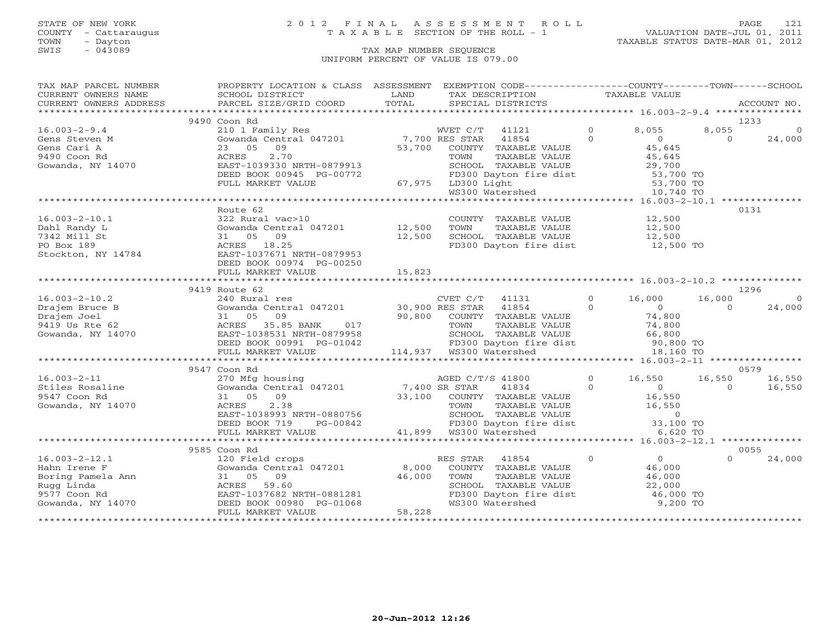## STATE OF NEW YORK 2 0 1 2 F I N A L A S S E S S M E N T R O L L PAGE 121 COUNTY - Cattaraugus T A X A B L E SECTION OF THE ROLL - 1 VALUATION DATE-JUL 01, 2011

| TAX MAP PARCEL NUMBER  | PROPERTY LOCATION & CLASS ASSESSMENT      |        | EXEMPTION CODE-----------------COUNTY-------TOWN------SCHOOL                                                                |                |                |          |             |
|------------------------|-------------------------------------------|--------|-----------------------------------------------------------------------------------------------------------------------------|----------------|----------------|----------|-------------|
| CURRENT OWNERS NAME    | SCHOOL DISTRICT                           | LAND   | TAX DESCRIPTION                                                                                                             |                | TAXABLE VALUE  |          |             |
| CURRENT OWNERS ADDRESS | PARCEL SIZE/GRID COORD                    | TOTAL  | SPECIAL DISTRICTS                                                                                                           |                |                |          | ACCOUNT NO. |
|                        |                                           |        |                                                                                                                             |                |                |          |             |
|                        | 9490 Coon Rd                              |        |                                                                                                                             |                |                |          | 1233        |
| $16.003 - 2 - 9.4$     | 210 1 Family Res                          |        | WVET C/T<br>41121                                                                                                           | $\circ$        | 8,055          | 8,055    |             |
| Gens Steven M          | Gowanda Central 047201 7,700 RES STAR     |        | 41854                                                                                                                       | $\Omega$       | $\overline{O}$ | $\Omega$ | 24,000      |
| Gens Cari A            | 23 05 09                                  | 53,700 | COUNTY TAXABLE VALUE                                                                                                        |                | 45,645         |          |             |
| 9490 Coon Rd           | 2.70<br>ACRES                             |        | TOWN<br>TAXABLE VALUE                                                                                                       |                | 45,645         |          |             |
| Gowanda, NY 14070      | EAST-1039330 NRTH-0879913                 |        | TOWN<br>SCHOOL TAXABLE VALUL<br>FD300 Dayton fire dist<br>-200 Light                                                        |                | 29,700         |          |             |
|                        | DEED BOOK 00945 PG-00772                  |        |                                                                                                                             |                | 53,700 TO      |          |             |
|                        | FULL MARKET VALUE                         |        | 67,975 LD300 Light                                                                                                          |                | 53,700 TO      |          |             |
|                        |                                           |        |                                                                                                                             |                | 10,740 TO      |          |             |
|                        |                                           |        |                                                                                                                             |                |                |          |             |
|                        | Route 62                                  |        |                                                                                                                             |                |                |          | 0131        |
| $16.003 - 2 - 10.1$    | 322 Rural vac>10                          |        | COUNTY TAXABLE VALUE                                                                                                        |                | 12,500         |          |             |
| Dahl Randy L           | Gowanda Central 047201                    | 12,500 | TOWN<br>TAXABLE VALUE                                                                                                       |                | 12,500         |          |             |
|                        |                                           |        |                                                                                                                             |                |                |          |             |
| 7342 Mill St           | 31 05 09                                  | 12,500 | SCHOOL TAXABLE VALUE                                                                                                        |                | 12,500         |          |             |
| PO Box 189             | ACRES 18.25                               |        | FD300 Dayton fire dist                                                                                                      |                | 12,500 TO      |          |             |
| Stockton, NY 14784     | EAST-1037671 NRTH-0879953                 |        |                                                                                                                             |                |                |          |             |
|                        | DEED BOOK 00974 PG-00250                  |        |                                                                                                                             |                |                |          |             |
|                        | FULL MARKET VALUE                         | 15,823 |                                                                                                                             |                |                |          |             |
|                        |                                           |        |                                                                                                                             |                |                |          |             |
|                        | 9419 Route 62                             |        |                                                                                                                             |                |                |          | 1296        |
| $16.003 - 2 - 10.2$    | 240 Rural res                             |        | CVET C/T 41131                                                                                                              | $\circ$        | 16,000         | 16,000   | $\Omega$    |
| Drajem Bruce B         | Gowanda Central 047201 30,900 RES STAR    |        | 41854                                                                                                                       | $\Omega$       | $\sim$ 0       | $\cap$   | 24,000      |
| Drajem Joel            | 09<br>31 05                               |        | 90,800 COUNTY TAXABLE VALUE                                                                                                 |                | 74,800         |          |             |
| 9419 Us Rte 62         | ACRES 35.85 BANK<br>017                   |        | TAXABLE VALUE<br>TOWN                                                                                                       |                | 74,800         |          |             |
| Gowanda, NY 14070      | EAST-1038531 NRTH-0879958                 |        |                                                                                                                             |                |                |          |             |
|                        | DEED BOOK 00991 PG-01042                  |        |                                                                                                                             |                |                |          |             |
|                        | FULL MARKET VALUE                         |        |                                                                                                                             |                | 18,160 TO      |          |             |
|                        |                                           |        |                                                                                                                             |                |                |          |             |
|                        | 9547 Coon Rd                              |        |                                                                                                                             |                |                |          | 0579        |
| $16.003 - 2 - 11$      | 270 Mfg housing                           |        | AGED C/T/S 41800                                                                                                            | $\overline{0}$ | 16,550         | 16,550   | 16,550      |
| Stiles Rosaline        | Gowanda Central 047201                    |        | 7,400 SR STAR<br>41834                                                                                                      | $\Omega$       | $\overline{0}$ | $\Omega$ | 16,550      |
| 9547 Coon Rd           | 09<br>31 05                               |        | 33,100 COUNTY TAXABLE VALUE                                                                                                 |                | 16,550         |          |             |
| Gowanda, NY 14070      | 2.38<br>ACRES                             |        |                                                                                                                             |                |                |          |             |
|                        | EAST-1038993 NRTH-0880756                 |        |                                                                                                                             |                |                |          |             |
|                        | DEED BOOK 719<br>PG-00842                 |        |                                                                                                                             |                |                |          |             |
|                        |                                           |        | TOWN TAXABLE VALUE 16,550<br>SCHOOL TAXABLE VALUE 0<br>FD300 Dayton fire dist 33,100 TO<br>TO300 Dayton fire dist 33,100 TO |                |                |          |             |
|                        | FULL MARKET VALUE                         | 41,899 | WS300 Watershed                                                                                                             |                | 6,620 TO       |          |             |
|                        |                                           |        |                                                                                                                             |                |                |          |             |
|                        | 9585 Coon Rd                              |        |                                                                                                                             |                |                |          | 0055        |
| $16.003 - 2 - 12.1$    | 120 Field crops<br>Gowanda Central 047201 |        | RES STAR<br>41854                                                                                                           | $\overline{0}$ | $\overline{0}$ | $\Omega$ | 24,000      |
| Hahn Irene F           |                                           | 8,000  | COUNTY TAXABLE VALUE                                                                                                        |                | 46,000         |          |             |
| Boring Pamela Ann      | 31 05 09                                  | 46,000 | TOWN<br>TAXABLE VALUE                                                                                                       |                | 46,000         |          |             |
| Rugg Linda             | ACRES 59.60                               |        | SCHOOL TAXABLE VALUE                                                                                                        |                | 22,000         |          |             |
| 9577 Coon Rd           | EAST-1037682 NRTH-0881281                 |        | FD300 Dayton fire dist                                                                                                      |                | 46,000 TO      |          |             |
| Gowanda, NY 14070      | DEED BOOK 00980 PG-01068                  |        | WS300 Watershed                                                                                                             |                | 9,200 TO       |          |             |
|                        | FULL MARKET VALUE                         | 58,228 |                                                                                                                             |                |                |          |             |
|                        |                                           |        |                                                                                                                             |                |                |          |             |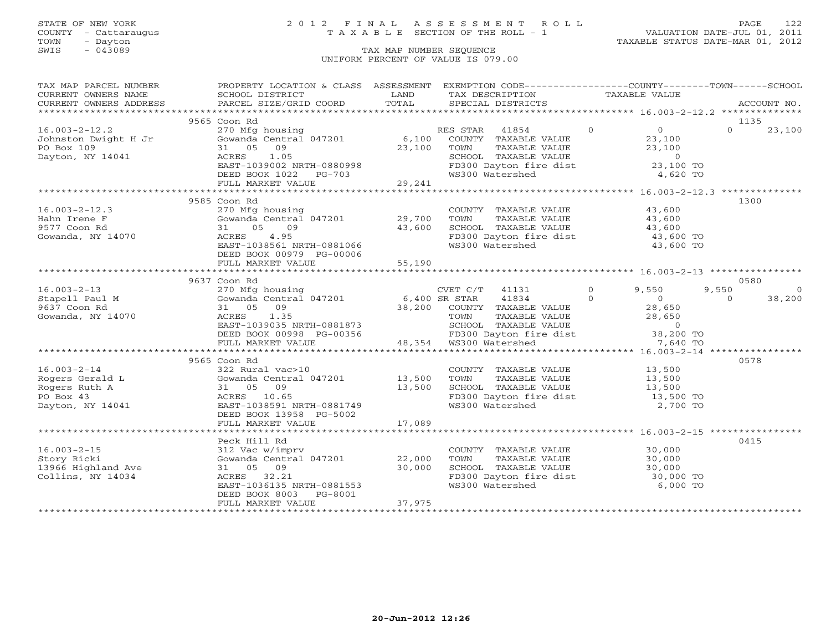## STATE OF NEW YORK 2 0 1 2 F I N A L A S S E S S M E N T R O L L PAGE 122 COUNTY - Cattaraugus T A X A B L E SECTION OF THE ROLL - 1 VALUATION DATE-JUL 01, 2011

| TAX MAP PARCEL NUMBER                                                                                                                                                                                                                                                      | PROPERTY LOCATION & CLASS ASSESSMENT EXEMPTION CODE----------------COUNTY-------TOWN------SCHOOL                                                                   |        |                                                                                                                                                  |                                              |
|----------------------------------------------------------------------------------------------------------------------------------------------------------------------------------------------------------------------------------------------------------------------------|--------------------------------------------------------------------------------------------------------------------------------------------------------------------|--------|--------------------------------------------------------------------------------------------------------------------------------------------------|----------------------------------------------|
| CURRENT OWNERS NAME SCHOOL DISTRICT                                                                                                                                                                                                                                        | <b>EXAMPLE DESCRIPTION OF STREET AND STREET AND STREET AND STREET AND STREET AND STREET AND STREET AND STREET AND</b>                                              |        | TAX DESCRIPTION TAXABLE VALUE                                                                                                                    |                                              |
| CURRENT OWNERS ADDRESS                                                                                                                                                                                                                                                     |                                                                                                                                                                    |        |                                                                                                                                                  |                                              |
|                                                                                                                                                                                                                                                                            | 9565 Coon Rd                                                                                                                                                       |        |                                                                                                                                                  | 1135                                         |
| 16.003-2-12.2<br>Johnston Dwight H Jr<br>Might H Jr<br>Might H Jr<br>Solomada Central 047201<br>23,100<br>23,100<br>23,100<br>23,100<br>23,100<br>23,100<br>23,100<br>23,100<br>23,100<br>23,100<br>23,100<br>23,100<br>23,100<br>23,100<br>23,100<br>23,100<br>23,100<br> |                                                                                                                                                                    |        |                                                                                                                                                  | $0 \t 23,100$                                |
|                                                                                                                                                                                                                                                                            |                                                                                                                                                                    |        |                                                                                                                                                  |                                              |
|                                                                                                                                                                                                                                                                            |                                                                                                                                                                    |        |                                                                                                                                                  |                                              |
|                                                                                                                                                                                                                                                                            |                                                                                                                                                                    |        |                                                                                                                                                  |                                              |
|                                                                                                                                                                                                                                                                            |                                                                                                                                                                    |        |                                                                                                                                                  |                                              |
|                                                                                                                                                                                                                                                                            | DEED BOOK 1022 PG-703<br>FULL MARKET VALUE 29,241                                                                                                                  |        |                                                                                                                                                  |                                              |
|                                                                                                                                                                                                                                                                            |                                                                                                                                                                    |        |                                                                                                                                                  |                                              |
|                                                                                                                                                                                                                                                                            | 9585 Coon Rd                                                                                                                                                       |        |                                                                                                                                                  | 1300                                         |
| $16.003 - 2 - 12.3$                                                                                                                                                                                                                                                        | COUNTY TAXABLE VALUE<br>31 05 09 43,600<br>ACRES 4.95 FAST-1038561 NRTH-0881066 WS300 Watershed 43,600 TOWN<br>FAST-1038561 NRTH-0881066 WS300 Watershed 43,600 TO |        |                                                                                                                                                  |                                              |
| Hahn Irene F                                                                                                                                                                                                                                                               |                                                                                                                                                                    |        |                                                                                                                                                  |                                              |
| 9577 Coon Rd                                                                                                                                                                                                                                                               |                                                                                                                                                                    |        |                                                                                                                                                  |                                              |
| Gowanda, NY 14070                                                                                                                                                                                                                                                          |                                                                                                                                                                    |        |                                                                                                                                                  |                                              |
|                                                                                                                                                                                                                                                                            |                                                                                                                                                                    |        |                                                                                                                                                  |                                              |
|                                                                                                                                                                                                                                                                            |                                                                                                                                                                    |        |                                                                                                                                                  |                                              |
|                                                                                                                                                                                                                                                                            |                                                                                                                                                                    |        |                                                                                                                                                  |                                              |
|                                                                                                                                                                                                                                                                            |                                                                                                                                                                    |        |                                                                                                                                                  |                                              |
|                                                                                                                                                                                                                                                                            | 9637 Coon Rd                                                                                                                                                       |        |                                                                                                                                                  | 0580                                         |
|                                                                                                                                                                                                                                                                            |                                                                                                                                                                    |        |                                                                                                                                                  | 9,550<br>$\circ$<br>$\overline{0}$<br>38,200 |
|                                                                                                                                                                                                                                                                            |                                                                                                                                                                    |        |                                                                                                                                                  |                                              |
|                                                                                                                                                                                                                                                                            |                                                                                                                                                                    |        |                                                                                                                                                  |                                              |
|                                                                                                                                                                                                                                                                            |                                                                                                                                                                    |        |                                                                                                                                                  |                                              |
|                                                                                                                                                                                                                                                                            |                                                                                                                                                                    |        |                                                                                                                                                  |                                              |
| 16.003-2-13<br>Stapell Paul M 303/COOI Rd<br>9637 Coon Rd<br>9637 Coon Rd<br>9637 Coon Rd<br>9637 Coon Rd<br>9637 Coon Rd<br>9637 Coon Rd<br>9637 Coon Rd<br>9637 Coon Rd<br>9637 Coon Rd<br>9637 Coon Rd<br>9637 Coon Rd<br>9637 Coon Rd<br>9637 Coon Rd<br>              |                                                                                                                                                                    |        |                                                                                                                                                  |                                              |
|                                                                                                                                                                                                                                                                            |                                                                                                                                                                    |        |                                                                                                                                                  |                                              |
|                                                                                                                                                                                                                                                                            | 9565 Coon Rd                                                                                                                                                       |        |                                                                                                                                                  | 0578                                         |
|                                                                                                                                                                                                                                                                            |                                                                                                                                                                    |        |                                                                                                                                                  |                                              |
|                                                                                                                                                                                                                                                                            |                                                                                                                                                                    |        |                                                                                                                                                  |                                              |
|                                                                                                                                                                                                                                                                            |                                                                                                                                                                    |        |                                                                                                                                                  |                                              |
| 16.003-2-14<br>Rogers Gerald L 322 Rural vac>10<br>Rogers Gerald L Gowanda Central 047201<br>Rogers Ruth A 31 05 09<br>PO Box 43<br>Dayton, NY 14041<br>Dayton, NY 14041<br>PO Box 43<br>Dayton, NY 14041<br>PO Box 43<br>PO Box 43<br>PO Box 43<br>PO                     |                                                                                                                                                                    |        | -- -----<br>13,500 SCHOOL TAXABLE VALUE 13,500<br>FD300 Dayton fire dist 13,500 TO<br>WS300 Watershed 2,700 TO                                   |                                              |
|                                                                                                                                                                                                                                                                            | DEED BOOK 13958 PG-5002                                                                                                                                            |        |                                                                                                                                                  |                                              |
|                                                                                                                                                                                                                                                                            | FULL MARKET VALUE                                                                                                                                                  | 17,089 |                                                                                                                                                  |                                              |
|                                                                                                                                                                                                                                                                            |                                                                                                                                                                    |        |                                                                                                                                                  |                                              |
|                                                                                                                                                                                                                                                                            | Peck Hill Rd                                                                                                                                                       |        |                                                                                                                                                  | 0415                                         |
| $16.003 - 2 - 15$                                                                                                                                                                                                                                                          |                                                                                                                                                                    |        |                                                                                                                                                  |                                              |
| 16.003-2-15<br>Story Ricki<br>13966 Highland Ave<br>Collins, NY 14034                                                                                                                                                                                                      | 312 Vac w/imprv<br>Gowanda Central 047201 22,000                                                                                                                   |        | COUNTY TAXABLE VALUE<br>TOWN TAXABLE VALUE 30,000<br>SCHOOL TAXABLE VALUE 30,000<br>FD300 Dayton fire dist 30,000 TO<br>WS300 Watershed 6,000 TO |                                              |
|                                                                                                                                                                                                                                                                            | 31 05 09                                                                                                                                                           | 30,000 |                                                                                                                                                  |                                              |
|                                                                                                                                                                                                                                                                            | ACRES 32.21                                                                                                                                                        |        |                                                                                                                                                  |                                              |
|                                                                                                                                                                                                                                                                            | EAST-1036135 NRTH-0881553                                                                                                                                          |        |                                                                                                                                                  |                                              |
|                                                                                                                                                                                                                                                                            | DEED BOOK 8003 PG-8001<br>FULL MARKET VALUE                                                                                                                        | 37,975 |                                                                                                                                                  |                                              |
|                                                                                                                                                                                                                                                                            |                                                                                                                                                                    |        |                                                                                                                                                  |                                              |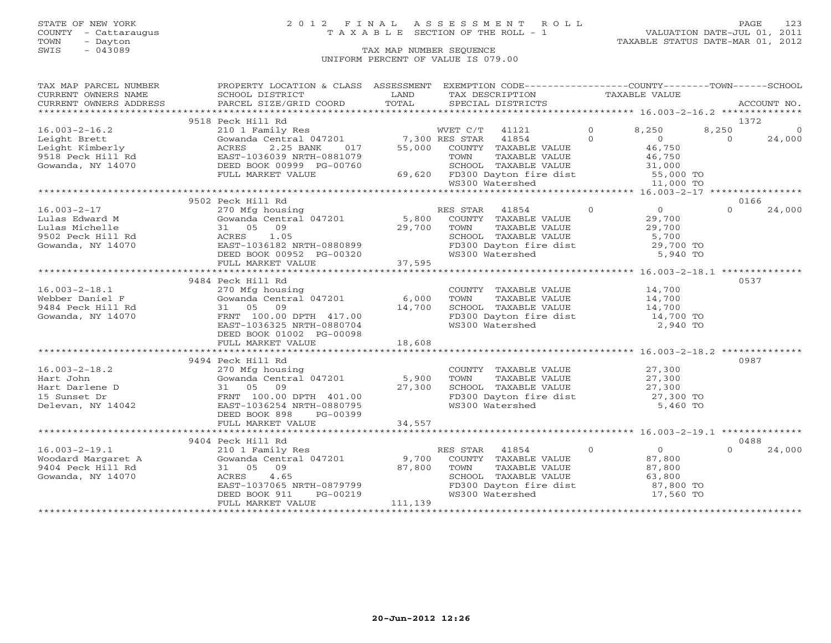### STATE OF NEW YORK 2 0 1 2 F I N A L A S S E S S M E N T R O L L PAGE 123 COUNTY - Cattaraugus T A X A B L E SECTION OF THE ROLL - 1 VALUATION DATE-JUL 01, 2011

| TAX MAP PARCEL NUMBER                                                                                                                                                                                                                                                                                                                                                                                                                                                             | PROPERTY LOCATION & CLASS ASSESSMENT EXEMPTION CODE----------------COUNTY-------TOWN------SCHOOL                                                                                                                               |          |                 |                                                                                               |          |                |          |
|-----------------------------------------------------------------------------------------------------------------------------------------------------------------------------------------------------------------------------------------------------------------------------------------------------------------------------------------------------------------------------------------------------------------------------------------------------------------------------------|--------------------------------------------------------------------------------------------------------------------------------------------------------------------------------------------------------------------------------|----------|-----------------|-----------------------------------------------------------------------------------------------|----------|----------------|----------|
| $\begin{tabular}{lllllll} \multicolumn{2}{c}{\textbf{CURRENT}} & \multicolumn{2}{c}{\textbf{WWERS}} & \multicolumn{2}{c}{\textbf{NAME}} & \multicolumn{2}{c}{\textbf{SCHOOL}} & \multicolumn{2}{c}{\textbf{LAND}} & \multicolumn{2}{c}{\textbf{TAX} \textbf{DESCRIPTION}} & \multicolumn{2}{c}{\textbf{TAXABLE} \textbf{ VALUE}} & \multicolumn{2}{c}{\textbf{ACCOUNT NO.}} \\ & & & & & & & \multicolumn{2}{c}{\textbf{CURRENT}} & \multicolumn{2}{c}{\textbf{WALUE}} & \multic$ |                                                                                                                                                                                                                                |          |                 |                                                                                               |          |                |          |
|                                                                                                                                                                                                                                                                                                                                                                                                                                                                                   |                                                                                                                                                                                                                                |          |                 |                                                                                               |          |                |          |
|                                                                                                                                                                                                                                                                                                                                                                                                                                                                                   |                                                                                                                                                                                                                                |          |                 |                                                                                               |          |                |          |
|                                                                                                                                                                                                                                                                                                                                                                                                                                                                                   | 9518 Peck Hill Rd                                                                                                                                                                                                              |          |                 |                                                                                               |          |                | 1372     |
|                                                                                                                                                                                                                                                                                                                                                                                                                                                                                   |                                                                                                                                                                                                                                |          |                 |                                                                                               |          | 8,250          | $\Omega$ |
|                                                                                                                                                                                                                                                                                                                                                                                                                                                                                   |                                                                                                                                                                                                                                |          |                 |                                                                                               |          | $\overline{0}$ | 24,000   |
|                                                                                                                                                                                                                                                                                                                                                                                                                                                                                   |                                                                                                                                                                                                                                |          |                 |                                                                                               |          |                |          |
|                                                                                                                                                                                                                                                                                                                                                                                                                                                                                   |                                                                                                                                                                                                                                |          |                 |                                                                                               |          |                |          |
|                                                                                                                                                                                                                                                                                                                                                                                                                                                                                   |                                                                                                                                                                                                                                |          |                 |                                                                                               |          |                |          |
|                                                                                                                                                                                                                                                                                                                                                                                                                                                                                   |                                                                                                                                                                                                                                |          |                 |                                                                                               |          |                |          |
|                                                                                                                                                                                                                                                                                                                                                                                                                                                                                   |                                                                                                                                                                                                                                |          |                 |                                                                                               |          |                |          |
|                                                                                                                                                                                                                                                                                                                                                                                                                                                                                   |                                                                                                                                                                                                                                |          |                 |                                                                                               |          |                |          |
| 16.003-2-17<br>Lulas Edward M Gowanda Central 047201 5,800<br>Lulas Michelle 31 05 09 29,700<br>9502 Peck Hill Rd ACRES 1.05<br>Gowanda, NY 14070 BEED BOOK 00952 PG-00320<br>PEED BOOK 00952 PG-00320<br>FIILL MARKET VALUE 37,595<br>37                                                                                                                                                                                                                                         |                                                                                                                                                                                                                                |          |                 |                                                                                               |          | 0166           |          |
|                                                                                                                                                                                                                                                                                                                                                                                                                                                                                   | COMPTRIGHT AND THE STAR AND RESSEAR AND THE STAR MEDICAL CONSIST OF THE STAR AND SUPPOSE ON THE STAR AND TRIAL TRISP OF THE STARD AND TRISP OF THE STARD TRISP OF THE STARD TRISP OF THE STARD TRISP OF THE STARD OF THE STARD |          |                 |                                                                                               |          | $\Omega$       | 24,000   |
|                                                                                                                                                                                                                                                                                                                                                                                                                                                                                   |                                                                                                                                                                                                                                |          |                 |                                                                                               |          |                |          |
|                                                                                                                                                                                                                                                                                                                                                                                                                                                                                   |                                                                                                                                                                                                                                |          |                 |                                                                                               |          |                |          |
|                                                                                                                                                                                                                                                                                                                                                                                                                                                                                   |                                                                                                                                                                                                                                |          |                 |                                                                                               |          |                |          |
|                                                                                                                                                                                                                                                                                                                                                                                                                                                                                   |                                                                                                                                                                                                                                |          |                 |                                                                                               |          |                |          |
|                                                                                                                                                                                                                                                                                                                                                                                                                                                                                   |                                                                                                                                                                                                                                |          | WS300 Watershed |                                                                                               | 5,940 TO |                |          |
|                                                                                                                                                                                                                                                                                                                                                                                                                                                                                   |                                                                                                                                                                                                                                |          |                 |                                                                                               |          |                |          |
|                                                                                                                                                                                                                                                                                                                                                                                                                                                                                   |                                                                                                                                                                                                                                |          |                 |                                                                                               |          |                |          |
|                                                                                                                                                                                                                                                                                                                                                                                                                                                                                   | 9484 Peck Hill Rd                                                                                                                                                                                                              |          |                 |                                                                                               |          | 0537           |          |
|                                                                                                                                                                                                                                                                                                                                                                                                                                                                                   |                                                                                                                                                                                                                                |          |                 |                                                                                               |          |                |          |
|                                                                                                                                                                                                                                                                                                                                                                                                                                                                                   |                                                                                                                                                                                                                                |          |                 |                                                                                               |          |                |          |
|                                                                                                                                                                                                                                                                                                                                                                                                                                                                                   |                                                                                                                                                                                                                                |          |                 |                                                                                               |          |                |          |
|                                                                                                                                                                                                                                                                                                                                                                                                                                                                                   |                                                                                                                                                                                                                                |          |                 |                                                                                               |          |                |          |
|                                                                                                                                                                                                                                                                                                                                                                                                                                                                                   | EAST-1036325 NRTH-0880704                                                                                                                                                                                                      |          |                 | FD300 Dayton fire dist<br>WS300 Watershed                                                     | 2,940 TO |                |          |
|                                                                                                                                                                                                                                                                                                                                                                                                                                                                                   | DEED BOOK 01002 PG-00098                                                                                                                                                                                                       |          |                 |                                                                                               |          |                |          |
|                                                                                                                                                                                                                                                                                                                                                                                                                                                                                   |                                                                                                                                                                                                                                |          |                 |                                                                                               |          |                |          |
|                                                                                                                                                                                                                                                                                                                                                                                                                                                                                   |                                                                                                                                                                                                                                |          |                 |                                                                                               |          |                |          |
|                                                                                                                                                                                                                                                                                                                                                                                                                                                                                   |                                                                                                                                                                                                                                |          |                 |                                                                                               |          |                | 0987     |
|                                                                                                                                                                                                                                                                                                                                                                                                                                                                                   | 9494 Peck Hill Rd                                                                                                                                                                                                              |          |                 |                                                                                               |          |                |          |
|                                                                                                                                                                                                                                                                                                                                                                                                                                                                                   |                                                                                                                                                                                                                                |          |                 |                                                                                               |          |                |          |
|                                                                                                                                                                                                                                                                                                                                                                                                                                                                                   |                                                                                                                                                                                                                                |          |                 |                                                                                               |          |                |          |
|                                                                                                                                                                                                                                                                                                                                                                                                                                                                                   |                                                                                                                                                                                                                                |          |                 |                                                                                               |          |                |          |
|                                                                                                                                                                                                                                                                                                                                                                                                                                                                                   |                                                                                                                                                                                                                                |          |                 | CHOOL TAXABLE VALUE (27,300<br>FD300 Dayton fire dist (27,300 TO<br>WS300 Watershed (5,460 TO |          |                |          |
|                                                                                                                                                                                                                                                                                                                                                                                                                                                                                   |                                                                                                                                                                                                                                |          |                 |                                                                                               |          |                |          |
|                                                                                                                                                                                                                                                                                                                                                                                                                                                                                   | PG-00399<br>DEED BOOK 898                                                                                                                                                                                                      |          |                 |                                                                                               |          |                |          |
|                                                                                                                                                                                                                                                                                                                                                                                                                                                                                   |                                                                                                                                                                                                                                |          |                 |                                                                                               |          |                |          |
|                                                                                                                                                                                                                                                                                                                                                                                                                                                                                   |                                                                                                                                                                                                                                |          |                 |                                                                                               |          |                |          |
|                                                                                                                                                                                                                                                                                                                                                                                                                                                                                   | 9404 Peck Hill Rd                                                                                                                                                                                                              |          |                 |                                                                                               |          |                | 0488     |
|                                                                                                                                                                                                                                                                                                                                                                                                                                                                                   |                                                                                                                                                                                                                                |          |                 | RES STAR 41854 0 0 0                                                                          |          | $\Omega$       | 24,000   |
|                                                                                                                                                                                                                                                                                                                                                                                                                                                                                   |                                                                                                                                                                                                                                |          |                 |                                                                                               |          |                |          |
| 16.003-2-19.1<br>Woodard Margaret A 210 1 Family Res RES STAR 41854 0 0<br>9,700 COUNTY TAXABLE VALUE 87,800<br>9404 Peck Hill Rd 31 05 09 87,800 TOWN TAXABLE VALUE 87,800<br>Gowanda, NY 14070 ACRES 4.65<br>53,800 Countral SCHOOL T                                                                                                                                                                                                                                           |                                                                                                                                                                                                                                |          |                 |                                                                                               |          |                |          |
|                                                                                                                                                                                                                                                                                                                                                                                                                                                                                   |                                                                                                                                                                                                                                |          |                 |                                                                                               |          |                |          |
|                                                                                                                                                                                                                                                                                                                                                                                                                                                                                   |                                                                                                                                                                                                                                |          |                 | FD300 Dayton fire dist<br>FD300 Dayton fire dist<br>WS300 Watershed 17,560 TO                 |          |                |          |
|                                                                                                                                                                                                                                                                                                                                                                                                                                                                                   | EAST-1037065 NRTH-0879799<br>DEED BOOK 911 PG-00219<br>FULL MARKET VALUE                                                                                                                                                       |          |                 |                                                                                               |          |                |          |
|                                                                                                                                                                                                                                                                                                                                                                                                                                                                                   | FULL MARKET VALUE                                                                                                                                                                                                              | 111, 139 |                 |                                                                                               |          |                |          |
|                                                                                                                                                                                                                                                                                                                                                                                                                                                                                   |                                                                                                                                                                                                                                |          |                 |                                                                                               |          |                |          |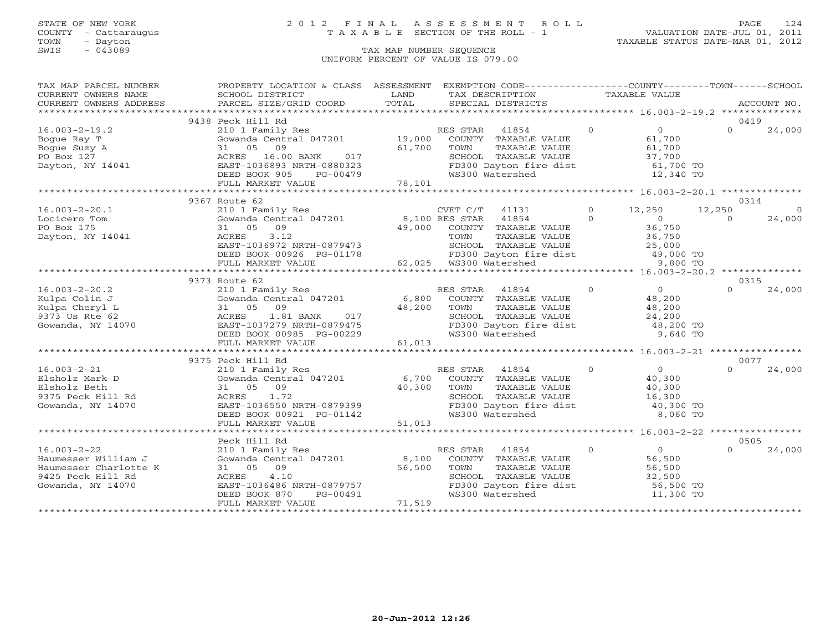### STATE OF NEW YORK 2 0 1 2 F I N A L A S S E S S M E N T R O L L PAGE 124 COUNTY - Cattaraugus T A X A B L E SECTION OF THE ROLL - 1 VALUATION DATE-JUL 01, 2011

| TAX MAP PARCEL NUMBER                                                                                                                                                                                                          | PROPERTY LOCATION & CLASS ASSESSMENT EXEMPTION CODE----------------COUNTY-------TOWN------SCHOOL |        |                                                                     |                |                                            |                    |
|--------------------------------------------------------------------------------------------------------------------------------------------------------------------------------------------------------------------------------|--------------------------------------------------------------------------------------------------|--------|---------------------------------------------------------------------|----------------|--------------------------------------------|--------------------|
| CURRENT OWNERS NAME                                                                                                                                                                                                            | SCHOOL DISTRICT                                                                                  | LAND   | TAX DESCRIPTION                                                     | TAXABLE VALUE  |                                            |                    |
| - OURRENT OWNERS ADDRESS . PARCEL SIZE/GRID COORD . TOTAL SPECIAL DISTRICTS . ACCOUNT NO . ACCOUNT NO . ARCOUNT NO . ARE . A TAKE THE SERVER . A SPECIAL SERVERS . A SPECIAL STRICTS . A SPECIAL STRICTS . SAMPLISHING . A SPE |                                                                                                  |        |                                                                     |                |                                            |                    |
|                                                                                                                                                                                                                                |                                                                                                  |        |                                                                     |                |                                            |                    |
|                                                                                                                                                                                                                                | 9438 Peck Hill Rd                                                                                |        |                                                                     |                |                                            | 0419               |
| $16.003 - 2 - 19.2$                                                                                                                                                                                                            | 210 1 Family Res                                                                                 |        | RES STAR<br>41854                                                   | $\Omega$       | 0                                          | $\Omega$<br>24,000 |
| Bogue Ray T                                                                                                                                                                                                                    | Gowanda Central 047201 19,000 COUNTY TAXABLE VALUE                                               |        |                                                                     |                | 61,700                                     |                    |
| Bogue Suzy A                                                                                                                                                                                                                   | 09<br>31 05                                                                                      | 61,700 | TOWN<br>TAXABLE VALUE                                               |                | 61,700                                     |                    |
| PO Box 127                                                                                                                                                                                                                     | ACRES 16.00 BANK 017<br>EAST-1036893 NRTH-0880323                                                |        |                                                                     |                |                                            |                    |
| Dayton, NY 14041                                                                                                                                                                                                               | EAST-1036893 NRTH-0880323                                                                        |        | SCHOOL TAXABLE VALUE<br>FD300 Dayton fire dist                      |                | 37,700<br>61,700 TO                        |                    |
|                                                                                                                                                                                                                                | DEED BOOK 905<br>PG-00479                                                                        | 78,101 | WS300 Watershed                                                     |                | 12,340 TO                                  |                    |
|                                                                                                                                                                                                                                | FULL MARKET VALUE                                                                                |        |                                                                     |                |                                            |                    |
|                                                                                                                                                                                                                                |                                                                                                  |        |                                                                     |                |                                            |                    |
|                                                                                                                                                                                                                                | 9367 Route 62                                                                                    |        |                                                                     |                |                                            | 0314               |
| $16.003 - 2 - 20.1$                                                                                                                                                                                                            |                                                                                                  |        |                                                                     | $\overline{0}$ | 12,250<br>12,250                           |                    |
| Locicero Tom                                                                                                                                                                                                                   |                                                                                                  |        |                                                                     | $\Omega$       | $\overline{0}$                             | 24,000<br>$\Omega$ |
| PO Box 175                                                                                                                                                                                                                     |                                                                                                  |        | COUNTY TAXABLE VALUE                                                |                | 36,750                                     |                    |
| Dayton, NY 14041                                                                                                                                                                                                               | 3.12<br>ACRES                                                                                    |        | TOWN      TAXABLE VALUE<br>SCHOOL   TAXABLE VALUE                   |                | 36,750                                     |                    |
|                                                                                                                                                                                                                                | EAST-1036972 NRTH-0879473                                                                        |        |                                                                     |                | 25,000                                     |                    |
|                                                                                                                                                                                                                                | DEED BOOK 00926 PG-01178 FD300 Dayton fii<br>FULL MARKET VALUE 62,025 WS300 Watershed            |        | FD300 Dayton fire dist<br>WS300 Watershed 19,000 TO                 |                |                                            |                    |
|                                                                                                                                                                                                                                |                                                                                                  |        |                                                                     |                |                                            |                    |
|                                                                                                                                                                                                                                |                                                                                                  |        |                                                                     |                |                                            |                    |
|                                                                                                                                                                                                                                | 9373 Route 62                                                                                    |        |                                                                     |                |                                            | 0315               |
| $16.003 - 2 - 20.2$                                                                                                                                                                                                            |                                                                                                  |        | RES STAR<br>41854                                                   | $\overline{O}$ | $\overline{0}$                             | 24,000             |
| Kulpa Colin J                                                                                                                                                                                                                  | 210 1 Family Res<br>Gowanda Central 047201                                                       |        | 6,800 COUNTY TAXABLE VALUE                                          |                | 48,200                                     |                    |
| Kulpa Cheryl L                                                                                                                                                                                                                 | 31 05 09                                                                                         | 48,200 | TAXABLE VALUE<br>TOWN                                               |                | 48,200                                     |                    |
| 9373 Us Rte 62                                                                                                                                                                                                                 | ACRES<br>1.81 BANK 017                                                                           |        |                                                                     |                |                                            |                    |
| Gowanda, NY 14070                                                                                                                                                                                                              | EAST-1037279 NRTH-0879475                                                                        |        | SCHOOL TAXABLE VALUE $24,200$<br>FD300 Dayton fire dist $48,200$ TO |                |                                            |                    |
|                                                                                                                                                                                                                                | DEED BOOK 00985 PG-00229                                                                         |        | WS300 Watershed                                                     |                | 9,640 TO                                   |                    |
|                                                                                                                                                                                                                                | FULL MARKET VALUE                                                                                | 61,013 |                                                                     |                |                                            |                    |
|                                                                                                                                                                                                                                |                                                                                                  |        |                                                                     |                |                                            |                    |
|                                                                                                                                                                                                                                | 9375 Peck Hill Rd                                                                                |        |                                                                     |                |                                            | 0077               |
|                                                                                                                                                                                                                                | 210 1 Family Res                                                                                 |        | $\overline{0}$<br>RES STAR 41854                                    |                | $\begin{array}{c} 0 \\ 40,300 \end{array}$ | 24,000<br>$\cap$   |
|                                                                                                                                                                                                                                | Gowanda Central 047201                                                                           | 6,700  | COUNTY TAXABLE VALUE                                                |                |                                            |                    |
| 16.003-2-21<br>Elsholz Mark D<br>Path                                                                                                                                                                                          | 31 05 09                                                                                         | 40,300 | TAXABLE VALUE<br>TOWN                                               |                |                                            |                    |
| 9375 Peck Hill Rd                                                                                                                                                                                                              |                                                                                                  |        |                                                                     |                |                                            |                    |
| Gowanda, NY 14070                                                                                                                                                                                                              |                                                                                                  |        | SCHOOL TAXABLE VALUE 16,300<br>FD300 Dayton fire dist 40,300 TO     |                | $40,300$<br>$16,300$                       |                    |
|                                                                                                                                                                                                                                | ACRES 1.72<br>EAST-1036550 NRTH-0879399<br>DEED BOOK 00921 PG-01142<br>PILL YORK-00921 PG-01142  |        | WS300 Watershed                                                     |                | 8,060 TO                                   |                    |
|                                                                                                                                                                                                                                | FULL MARKET VALUE                                                                                | 51,013 |                                                                     |                |                                            |                    |
|                                                                                                                                                                                                                                |                                                                                                  |        |                                                                     |                |                                            |                    |
|                                                                                                                                                                                                                                | Peck Hill Rd                                                                                     |        |                                                                     |                |                                            | 0505               |
| $16.003 - 2 - 22$                                                                                                                                                                                                              | 210 1 Family Res                                                                                 |        | RES STAR 41854                                                      | $\overline{0}$ | $\overline{0}$                             | $\Omega$<br>24,000 |
| Haumesser William J                                                                                                                                                                                                            | Gowanda Central 047201                                                                           | 8,100  | COUNTY TAXABLE VALUE                                                |                | 56,500                                     |                    |
| Haumesser Charlotte K                                                                                                                                                                                                          | 31 05 09                                                                                         | 56,500 |                                                                     |                | 56,500                                     |                    |
| 9425 Peck Hill Rd                                                                                                                                                                                                              | ACRES<br>4.10                                                                                    |        | TOWN      TAXABLE VALUE<br>SCHOOL   TAXABLE VALUE                   |                | 32,500                                     |                    |
| Gowanda, NY 14070                                                                                                                                                                                                              | EAST-1036486 NRTH-0879757                                                                        |        | FD300 Dayton fire dist                                              |                | 56,500 TO                                  |                    |
|                                                                                                                                                                                                                                | DEED BOOK 870<br>PG-00491                                                                        |        | WS300 Watershed                                                     |                | 11,300 TO                                  |                    |
|                                                                                                                                                                                                                                | FULL MARKET VALUE                                                                                | 71,519 |                                                                     |                |                                            |                    |
|                                                                                                                                                                                                                                |                                                                                                  |        |                                                                     |                |                                            |                    |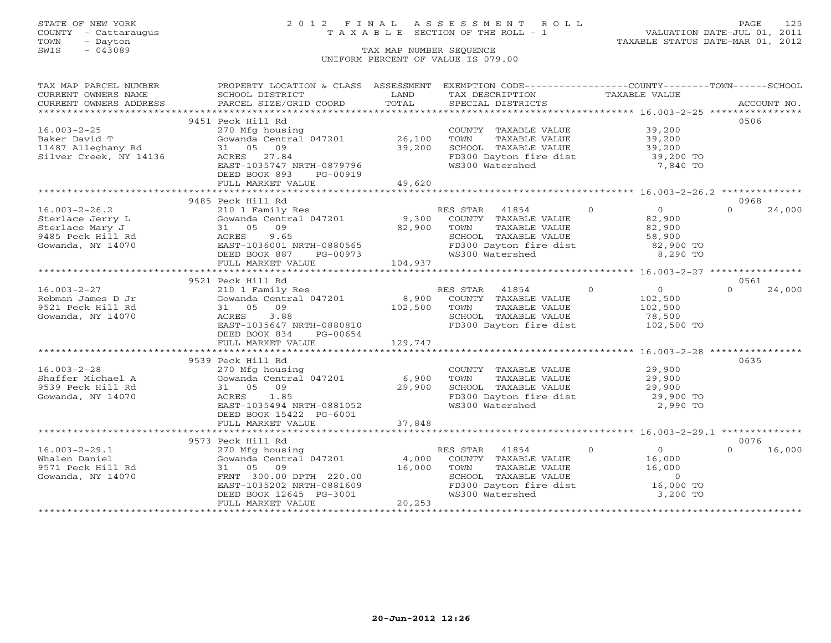## STATE OF NEW YORK 2 0 1 2 F I N A L A S S E S S M E N T R O L L PAGE 125 COUNTY - Cattaraugus T A X A B L E SECTION OF THE ROLL - 1 VALUATION DATE-JUL 01, 2011

| TAX MAP PARCEL NUMBER                                                                                                                                                                                                                                                                                                                                                                                                                        | PROPERTY LOCATION & CLASS ASSESSMENT EXEMPTION CODE----------------COUNTY-------TOWN------SCHOOL |                |                 |                                                            |                |                                             |          |        |
|----------------------------------------------------------------------------------------------------------------------------------------------------------------------------------------------------------------------------------------------------------------------------------------------------------------------------------------------------------------------------------------------------------------------------------------------|--------------------------------------------------------------------------------------------------|----------------|-----------------|------------------------------------------------------------|----------------|---------------------------------------------|----------|--------|
| CURRENT OWNERS NAME                                                                                                                                                                                                                                                                                                                                                                                                                          | SCHOOL DISTRICT                                                                                  | LAND           | TAX DESCRIPTION |                                                            | TAXABLE VALUE  |                                             |          |        |
| $\begin{minipage}{0.5in} \begin{minipage}{0.5in} \begin{minipage}{0.5in} \end{minipage}{0.5in} \begin{minipage}{0.5in} \begin{minipage}{0.5in} \end{minipage}{0.5in} \begin{minipage}{0.5in} \end{minipage}{0.5in} \begin{minipage}{0.5in} \end{minipage}{0.5in} \begin{minipage}{0.5in} \end{minipage}{0.5in} \begin{minipage}{0.5in} \end{minipage}{0.5in} \begin{minipage}{0.5in} \end{minipage}{0.5in} \begin{minipage}{0.5in} \end{min$ |                                                                                                  |                |                 |                                                            |                |                                             |          |        |
|                                                                                                                                                                                                                                                                                                                                                                                                                                              |                                                                                                  |                |                 |                                                            |                |                                             |          |        |
|                                                                                                                                                                                                                                                                                                                                                                                                                                              | 9451 Peck Hill Rd                                                                                |                |                 |                                                            |                |                                             | 0506     |        |
| $16.003 - 2 - 25$                                                                                                                                                                                                                                                                                                                                                                                                                            | 270 Mfg housing                                                                                  |                |                 | COUNTY TAXABLE VALUE 39,200                                |                |                                             |          |        |
| Baker David T                                                                                                                                                                                                                                                                                                                                                                                                                                | Gowanda Central 047201                                                                           | 26,100         | TOWN            | TAXABLE VALUE                                              |                |                                             |          |        |
| 11487 Alleghany Rd                                                                                                                                                                                                                                                                                                                                                                                                                           | 31 05 09                                                                                         | 39,200         |                 | SCHOOL TAXABLE VALUE                                       |                | 39,200<br>39,200                            |          |        |
| Silver Creek, NY 14136                                                                                                                                                                                                                                                                                                                                                                                                                       | ACRES 27.84                                                                                      |                |                 | FD300 Dayton fire dist                                     |                | 39,200 TO                                   |          |        |
|                                                                                                                                                                                                                                                                                                                                                                                                                                              | EAST-1035747 NRTH-0879796                                                                        |                | WS300 Watershed |                                                            |                | 7,840 TO                                    |          |        |
|                                                                                                                                                                                                                                                                                                                                                                                                                                              | DEED BOOK 893<br>PG-00919                                                                        |                |                 |                                                            |                |                                             |          |        |
|                                                                                                                                                                                                                                                                                                                                                                                                                                              | FULL MARKET VALUE                                                                                | 49,620         |                 |                                                            |                |                                             |          |        |
|                                                                                                                                                                                                                                                                                                                                                                                                                                              |                                                                                                  | *************  |                 | **************************** 16.003-2-26.2 *************** |                |                                             |          |        |
|                                                                                                                                                                                                                                                                                                                                                                                                                                              | 9485 Peck Hill Rd                                                                                |                |                 |                                                            |                |                                             | 0968     |        |
| $16.003 - 2 - 26.2$                                                                                                                                                                                                                                                                                                                                                                                                                          | 210 1 Family Res                                                                                 |                | RES STAR 41854  |                                                            | $\Omega$       | $\overline{0}$                              | $\cap$   | 24,000 |
| Sterlace Jerry L                                                                                                                                                                                                                                                                                                                                                                                                                             | Gowanda Central 047201                                                                           |                |                 | 9,300 COUNTY TAXABLE VALUE<br>82,900 TOWN TAXABLE VALUE    |                | 82,900                                      |          |        |
| Sterlace Mary J                                                                                                                                                                                                                                                                                                                                                                                                                              | 31 05 09                                                                                         | 82,900         |                 |                                                            |                | 82,900                                      |          |        |
| 9485 Peck Hill Rd                                                                                                                                                                                                                                                                                                                                                                                                                            |                                                                                                  |                |                 |                                                            |                | 58,900                                      |          |        |
| Gowanda, NY 14070                                                                                                                                                                                                                                                                                                                                                                                                                            | ACRES 9.65<br>EAST-1036001 NRTH-0880565                                                          |                |                 | SCHOOL TAXABLE VALUE<br>FD300 Dayton fire dist             |                | 82,900 TO                                   |          |        |
|                                                                                                                                                                                                                                                                                                                                                                                                                                              | DEED BOOK 887<br>PG-00973                                                                        |                | WS300 Watershed |                                                            |                | 8,290 TO                                    |          |        |
|                                                                                                                                                                                                                                                                                                                                                                                                                                              | FULL MARKET VALUE                                                                                | 973<br>104,937 |                 |                                                            |                |                                             |          |        |
|                                                                                                                                                                                                                                                                                                                                                                                                                                              |                                                                                                  |                |                 |                                                            |                |                                             |          |        |
|                                                                                                                                                                                                                                                                                                                                                                                                                                              | 9521 Peck Hill Rd                                                                                |                |                 |                                                            |                |                                             | 0561     |        |
| $16.003 - 2 - 27$                                                                                                                                                                                                                                                                                                                                                                                                                            | 210 1 Family Res                                                                                 |                | RES STAR 41854  |                                                            | $\overline{0}$ | $\begin{array}{c} 0 \\ 102,500 \end{array}$ | $\Omega$ | 24,000 |
| Rebman James D Jr                                                                                                                                                                                                                                                                                                                                                                                                                            | Gowanda Central 047201                                                                           | 8,900          |                 | COUNTY TAXABLE VALUE                                       |                |                                             |          |        |
| 9521 Peck Hill Rd                                                                                                                                                                                                                                                                                                                                                                                                                            | 31 05 09                                                                                         | 102,500        | TOWN            | TAXABLE VALUE                                              |                | 102,500                                     |          |        |
| Gowanda, NY 14070                                                                                                                                                                                                                                                                                                                                                                                                                            | ACRES<br>3.88                                                                                    |                |                 | SCHOOL TAXABLE VALUE                                       |                | 78,500                                      |          |        |
|                                                                                                                                                                                                                                                                                                                                                                                                                                              | EAST-1035647 NRTH-0880810                                                                        |                |                 | FD300 Dayton fire dist 102,500 TO                          |                |                                             |          |        |
|                                                                                                                                                                                                                                                                                                                                                                                                                                              | DEED BOOK 834<br>PG-00654                                                                        |                |                 |                                                            |                |                                             |          |        |
|                                                                                                                                                                                                                                                                                                                                                                                                                                              | FULL MARKET VALUE                                                                                | 129,747        |                 |                                                            |                |                                             |          |        |
|                                                                                                                                                                                                                                                                                                                                                                                                                                              |                                                                                                  |                |                 |                                                            |                |                                             |          |        |
|                                                                                                                                                                                                                                                                                                                                                                                                                                              | 9539 Peck Hill Rd                                                                                |                |                 |                                                            |                |                                             | 0635     |        |
| $16.003 - 2 - 28$                                                                                                                                                                                                                                                                                                                                                                                                                            | 270 Mfg housing                                                                                  |                |                 | COUNTY TAXABLE VALUE                                       |                | 29,900                                      |          |        |
| Shaffer Michael A                                                                                                                                                                                                                                                                                                                                                                                                                            | Gowanda Central 047201                                                                           | 6,900          | TOWN            | TAXABLE VALUE                                              |                | 29,900                                      |          |        |
| 9539 Peck Hill Rd                                                                                                                                                                                                                                                                                                                                                                                                                            | 31 05 09                                                                                         | 29,900         |                 | SCHOOL TAXABLE VALUE                                       |                | 29,900<br>29,900 TO                         |          |        |
| Gowanda, NY 14070                                                                                                                                                                                                                                                                                                                                                                                                                            | ACRES 1.85                                                                                       |                |                 | FD300 Dayton fire dist                                     |                |                                             |          |        |
|                                                                                                                                                                                                                                                                                                                                                                                                                                              | EAST-1035494 NRTH-0881052                                                                        |                | WS300 Watershed |                                                            |                | 2,990 TO                                    |          |        |
|                                                                                                                                                                                                                                                                                                                                                                                                                                              | DEED BOOK 15422 PG-6001                                                                          |                |                 |                                                            |                |                                             |          |        |
|                                                                                                                                                                                                                                                                                                                                                                                                                                              | FULL MARKET VALUE                                                                                | 37,848         |                 |                                                            |                |                                             |          |        |
|                                                                                                                                                                                                                                                                                                                                                                                                                                              |                                                                                                  |                |                 |                                                            |                |                                             |          |        |
|                                                                                                                                                                                                                                                                                                                                                                                                                                              | 9573 Peck Hill Rd                                                                                |                |                 |                                                            |                |                                             | 0076     |        |
| $16.003 - 2 - 29.1$                                                                                                                                                                                                                                                                                                                                                                                                                          | 270 Mfg housing                                                                                  |                | RES STAR 41854  |                                                            | $\overline{0}$ | $\overline{0}$                              | $\Omega$ | 16,000 |
| Whalen Daniel                                                                                                                                                                                                                                                                                                                                                                                                                                | Gowanda Central 047201                                                                           | 4,000          |                 | COUNTY TAXABLE VALUE                                       |                | 16,000                                      |          |        |
| 9571 Peck Hill Rd                                                                                                                                                                                                                                                                                                                                                                                                                            | 31 05 09                                                                                         | 16,000         |                 | TOWN      TAXABLE VALUE<br>SCHOOL   TAXABLE VALUE          |                | 16,000                                      |          |        |
| Gowanda, NY 14070                                                                                                                                                                                                                                                                                                                                                                                                                            |                                                                                                  |                |                 |                                                            |                | $\sim$ 0                                    |          |        |
|                                                                                                                                                                                                                                                                                                                                                                                                                                              | FRNT 300.00 DPTH 220.00<br>EAST-1035202 NRTH-0881609<br>DEED BOOK 12645 PG-3001                  |                |                 | FD300 Dayton fire dist                                     |                | 16,000 TO                                   |          |        |
|                                                                                                                                                                                                                                                                                                                                                                                                                                              |                                                                                                  |                | WS300 Watershed |                                                            |                | 3,200 TO                                    |          |        |
|                                                                                                                                                                                                                                                                                                                                                                                                                                              | FULL MARKET VALUE                                                                                | 20, 253        |                 |                                                            |                |                                             |          |        |
|                                                                                                                                                                                                                                                                                                                                                                                                                                              |                                                                                                  |                |                 |                                                            |                |                                             |          |        |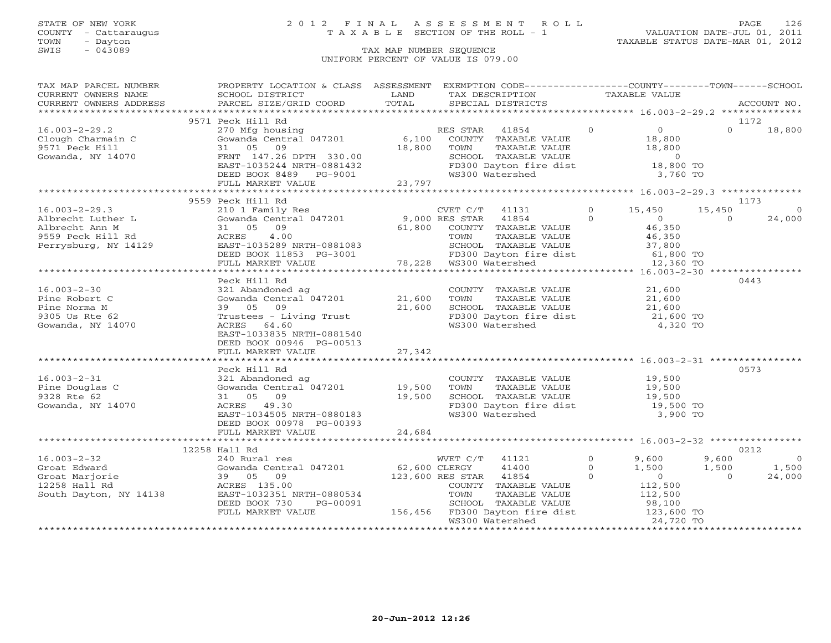## STATE OF NEW YORK 2 0 1 2 F I N A L A S S E S S M E N T R O L L PAGE 126 COUNTY - Cattaraugus T A X A B L E SECTION OF THE ROLL - 1 VALUATION DATE-JUL 01, 2011

| TAX MAP PARCEL NUMBER                                                                                                                                                                                                                                                                                                                                                                                                                                                               | PROPERTY LOCATION & CLASS ASSESSMENT EXEMPTION CODE---------------COUNTY-------TOWN------SCHOOL |        |                                                                                                                                                                                 |              |                |                    |
|-------------------------------------------------------------------------------------------------------------------------------------------------------------------------------------------------------------------------------------------------------------------------------------------------------------------------------------------------------------------------------------------------------------------------------------------------------------------------------------|-------------------------------------------------------------------------------------------------|--------|---------------------------------------------------------------------------------------------------------------------------------------------------------------------------------|--------------|----------------|--------------------|
| $\begin{tabular}{lllllll} \multicolumn{2}{c}{\textbf{CURRENT}} & \multicolumn{2}{c}{\textbf{WWERS}} & \multicolumn{2}{c}{\textbf{NAME}} & \multicolumn{2}{c}{\textbf{SCHOOL}} & \multicolumn{2}{c}{\textbf{LAND}} & \multicolumn{2}{c}{\textbf{TAX} \textbf{DESCRIPTION}} & \multicolumn{2}{c}{\textbf{TAXABLE VALUE}} & \multicolumn{2}{c}{\textbf{NALUE}} \\ & & & & & & & \multicolumn{2}{c}{\textbf{CURRENT}} & \multicolumn{2}{c}{\textbf{WURERS}} & \multicolumn{2}{c}{\text$ |                                                                                                 |        |                                                                                                                                                                                 |              |                |                    |
|                                                                                                                                                                                                                                                                                                                                                                                                                                                                                     |                                                                                                 |        |                                                                                                                                                                                 |              |                |                    |
|                                                                                                                                                                                                                                                                                                                                                                                                                                                                                     |                                                                                                 |        |                                                                                                                                                                                 |              |                |                    |
|                                                                                                                                                                                                                                                                                                                                                                                                                                                                                     | 9571 Peck Hill Rd                                                                               |        |                                                                                                                                                                                 |              |                | 1172               |
| $16.003 - 2 - 29.2$                                                                                                                                                                                                                                                                                                                                                                                                                                                                 | 270 Mfg housing<br>Gowanda Central 047201 6,100 COUNTY TAXABLE VALUE 18,800                     |        |                                                                                                                                                                                 |              |                | $\Omega$<br>18,800 |
|                                                                                                                                                                                                                                                                                                                                                                                                                                                                                     |                                                                                                 |        |                                                                                                                                                                                 |              |                |                    |
|                                                                                                                                                                                                                                                                                                                                                                                                                                                                                     |                                                                                                 |        |                                                                                                                                                                                 |              |                |                    |
| Clough Charmain C<br>9571 Peck Hill<br>Gowanda, NY 14070                                                                                                                                                                                                                                                                                                                                                                                                                            |                                                                                                 |        |                                                                                                                                                                                 |              |                |                    |
|                                                                                                                                                                                                                                                                                                                                                                                                                                                                                     |                                                                                                 |        |                                                                                                                                                                                 |              |                |                    |
|                                                                                                                                                                                                                                                                                                                                                                                                                                                                                     |                                                                                                 |        |                                                                                                                                                                                 |              |                |                    |
|                                                                                                                                                                                                                                                                                                                                                                                                                                                                                     |                                                                                                 |        |                                                                                                                                                                                 |              |                |                    |
| Clough Charmain C (1908)<br>9571 Peck Hill 31 05.000 18,800 TOMN TAXABLE VALUE<br>31 05 09 18,800 TOMN TAXABLE VALUE<br>Gowanda, NY 14070 FRNT 147.26 DPTH 330.00 SCHOOL TAXABLE VALUE<br>ERST-1035244 NRTH-0881432 FD300 Dayton fire                                                                                                                                                                                                                                               |                                                                                                 |        |                                                                                                                                                                                 |              |                |                    |
|                                                                                                                                                                                                                                                                                                                                                                                                                                                                                     | 9559 Peck Hill Rd                                                                               |        |                                                                                                                                                                                 |              |                | 1173               |
|                                                                                                                                                                                                                                                                                                                                                                                                                                                                                     |                                                                                                 |        |                                                                                                                                                                                 |              | 15,450         | $\Omega$           |
|                                                                                                                                                                                                                                                                                                                                                                                                                                                                                     |                                                                                                 |        |                                                                                                                                                                                 |              | $\Omega$       | 24,000             |
|                                                                                                                                                                                                                                                                                                                                                                                                                                                                                     |                                                                                                 |        |                                                                                                                                                                                 |              |                |                    |
|                                                                                                                                                                                                                                                                                                                                                                                                                                                                                     |                                                                                                 |        |                                                                                                                                                                                 |              |                |                    |
|                                                                                                                                                                                                                                                                                                                                                                                                                                                                                     |                                                                                                 |        |                                                                                                                                                                                 |              |                |                    |
|                                                                                                                                                                                                                                                                                                                                                                                                                                                                                     |                                                                                                 |        |                                                                                                                                                                                 |              |                |                    |
|                                                                                                                                                                                                                                                                                                                                                                                                                                                                                     |                                                                                                 |        |                                                                                                                                                                                 |              |                |                    |
|                                                                                                                                                                                                                                                                                                                                                                                                                                                                                     |                                                                                                 |        |                                                                                                                                                                                 |              |                |                    |
|                                                                                                                                                                                                                                                                                                                                                                                                                                                                                     |                                                                                                 |        |                                                                                                                                                                                 |              |                | 0443               |
| $16.003 - 2 - 30$                                                                                                                                                                                                                                                                                                                                                                                                                                                                   | 321 Abandoned ag<br>Gowanda Central 047201 21,600                                               |        | COUNTY TAXABLE VALUE 21,600                                                                                                                                                     |              |                |                    |
| Pine Robert C                                                                                                                                                                                                                                                                                                                                                                                                                                                                       |                                                                                                 |        |                                                                                                                                                                                 |              |                |                    |
| Pine Norma M                                                                                                                                                                                                                                                                                                                                                                                                                                                                        |                                                                                                 |        | TOWN TAXABLE VALUE 21,600<br>SCHOOL TAXABLE VALUE 21,600<br>SCHOOL TAXABLE VALUE                                                                                                |              |                |                    |
| 9305 Us Rte 62                                                                                                                                                                                                                                                                                                                                                                                                                                                                      | $39$ 05 09 21,600<br>Trustees - Living Trust 21,600<br>ACRES 64.60                              |        | FD300 Dayton fire dist 21,600 TO                                                                                                                                                |              |                |                    |
| Gowanda, NY 14070                                                                                                                                                                                                                                                                                                                                                                                                                                                                   | ACRES 64.60                                                                                     |        | WS300 Watershed                                                                                                                                                                 | 4,320 TO     |                |                    |
|                                                                                                                                                                                                                                                                                                                                                                                                                                                                                     | EAST-1033835 NRTH-0881540                                                                       |        |                                                                                                                                                                                 |              |                |                    |
|                                                                                                                                                                                                                                                                                                                                                                                                                                                                                     | DEED BOOK 00946 PG-00513                                                                        |        |                                                                                                                                                                                 |              |                |                    |
|                                                                                                                                                                                                                                                                                                                                                                                                                                                                                     | FULL MARKET VALUE                                                                               | 27,342 |                                                                                                                                                                                 |              |                |                    |
|                                                                                                                                                                                                                                                                                                                                                                                                                                                                                     |                                                                                                 |        |                                                                                                                                                                                 |              |                |                    |
|                                                                                                                                                                                                                                                                                                                                                                                                                                                                                     | Peck Hill Rd                                                                                    |        |                                                                                                                                                                                 |              |                | 0573               |
| $16.003 - 2 - 31$                                                                                                                                                                                                                                                                                                                                                                                                                                                                   | 321 Abandoned ag                                                                                |        |                                                                                                                                                                                 |              |                |                    |
| Pine Douglas C                                                                                                                                                                                                                                                                                                                                                                                                                                                                      |                                                                                                 |        |                                                                                                                                                                                 |              |                |                    |
| 9328 Rte 62                                                                                                                                                                                                                                                                                                                                                                                                                                                                         | 50 19,500<br>31 05 09 19,500<br>31 05 09 19,500                                                 |        |                                                                                                                                                                                 |              |                |                    |
| Gowanda, NY 14070                                                                                                                                                                                                                                                                                                                                                                                                                                                                   | ACRES 49.30                                                                                     |        |                                                                                                                                                                                 |              |                |                    |
|                                                                                                                                                                                                                                                                                                                                                                                                                                                                                     | ACRES 49.30<br>EAST-1034505 NRTH-0880183                                                        |        | COUNTY TAXABLE VALUE $19,500$<br>TOWN TAXABLE VALUE $19,500$<br>SCHOOL TAXABLE VALUE $19,500$<br>FD300 Dayton fire dist $19,500$<br>FD300 Watershed 3,900 TO<br>WS300 Watershed | 3,900 TO     |                |                    |
|                                                                                                                                                                                                                                                                                                                                                                                                                                                                                     | DEED BOOK 00978 PG-00393                                                                        |        |                                                                                                                                                                                 |              |                |                    |
|                                                                                                                                                                                                                                                                                                                                                                                                                                                                                     | FULL MARKET VALUE                                                                               | 24,684 |                                                                                                                                                                                 |              |                |                    |
|                                                                                                                                                                                                                                                                                                                                                                                                                                                                                     |                                                                                                 |        |                                                                                                                                                                                 |              |                |                    |
|                                                                                                                                                                                                                                                                                                                                                                                                                                                                                     | 12258 Hall Rd                                                                                   |        |                                                                                                                                                                                 |              |                | 0212               |
| $16.003 - 2 - 32$                                                                                                                                                                                                                                                                                                                                                                                                                                                                   | 240 Rural res                                                                                   |        | WVET C/T 41121                                                                                                                                                                  | $0 \t 9,600$ | 9,600          | $\bigcirc$         |
|                                                                                                                                                                                                                                                                                                                                                                                                                                                                                     |                                                                                                 |        | 41400 0                                                                                                                                                                         | 1,500        | 1,500          | 1,500              |
|                                                                                                                                                                                                                                                                                                                                                                                                                                                                                     |                                                                                                 |        |                                                                                                                                                                                 |              | $\overline{O}$ | 24,000             |
|                                                                                                                                                                                                                                                                                                                                                                                                                                                                                     |                                                                                                 |        |                                                                                                                                                                                 |              |                |                    |
| $\begin{array}{cccc} \text{16.003--2--32} & \text{240 Rural res} \\ \text{Groat Edward} & \text{Gowanda Central 047201} & \text{62,600 CLERGY} & \text{41400} \\ \text{Groat Marjorie} & \text{39} & \text{05} & \text{09} & \text{123,600 RES STAR} & \text{41854} \\ \text{39.05} & \text{09} & \text{123,600 RES STAR} & \text{41854} \\ \text{39.05} & \text{2000000} & \text{5000000} & \text{50000$                                                                           |                                                                                                 |        | ES STAR 41854 0<br>COUNTY TAXABLE VALUE 112,500<br>TOWN TAXABLE VALUE 112,500                                                                                                   |              |                |                    |
|                                                                                                                                                                                                                                                                                                                                                                                                                                                                                     |                                                                                                 |        | TOWN TAXABLE VALUE<br>SCHOOL TAXABLE VALUE                                                                                                                                      |              |                |                    |
|                                                                                                                                                                                                                                                                                                                                                                                                                                                                                     |                                                                                                 |        |                                                                                                                                                                                 |              |                |                    |
|                                                                                                                                                                                                                                                                                                                                                                                                                                                                                     | FULL MARKET VALUE                                                                               |        | 4 TOWN TAXABLE VALUE<br>156,456 FD300 Dayton fire dist 123,600 TO<br>156,456 FD300 Dayton fire dist 123,600 TO<br>123,600 TO                                                    |              |                |                    |
|                                                                                                                                                                                                                                                                                                                                                                                                                                                                                     |                                                                                                 |        |                                                                                                                                                                                 |              |                |                    |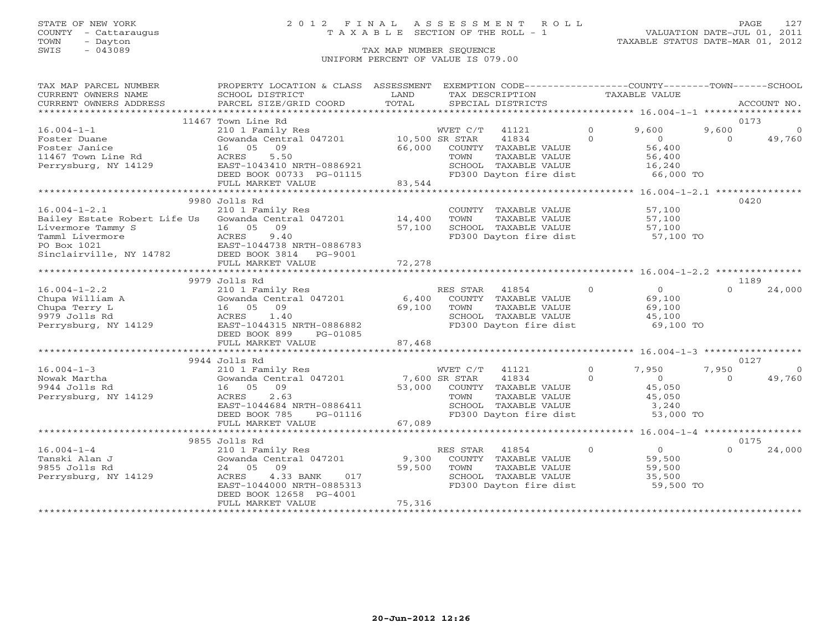### STATE OF NEW YORK 2 0 1 2 F I N A L A S S E S S M E N T R O L L PAGE 127 COUNTY - Cattaraugus T A X A B L E SECTION OF THE ROLL - 1 VALUATION DATE-JUL 01, 2011

| TAX MAP PARCEL NUMBER<br>CURRENT OWNERS NAME | PROPERTY LOCATION & CLASS ASSESSMENT<br>SCHOOL DISTRICT | LAND<br>TOTAL   |                | EXEMPTION CODE----------------COUNTY-------TOWN------SCHOOL<br>TAX DESCRIPTION |                | TAXABLE VALUE                                   |          |             |
|----------------------------------------------|---------------------------------------------------------|-----------------|----------------|--------------------------------------------------------------------------------|----------------|-------------------------------------------------|----------|-------------|
| CURRENT OWNERS ADDRESS                       | PARCEL SIZE/GRID COORD                                  |                 |                | SPECIAL DISTRICTS                                                              |                |                                                 |          | ACCOUNT NO. |
|                                              | 11467 Town Line Rd                                      |                 |                |                                                                                |                |                                                 |          | 0173        |
| $16.004 - 1 - 1$                             | 210 1 Family Res                                        |                 | WVET C/T       | 41121                                                                          | $\Omega$       | 9,600                                           | 9,600    | - 0         |
| Foster Duane                                 | Gowanda Central 047201                                  | 10,500 SR STAR  |                | 41834                                                                          | $\Omega$       | $\overline{0}$                                  | $\Omega$ | 49,760      |
| Foster Janice                                | 16 05 09                                                | 66,000          |                | COUNTY TAXABLE VALUE                                                           |                | 56,400                                          |          |             |
| 11467 Town Line Rd                           | ACRES<br>5.50                                           |                 | TOWN           | TAXABLE VALUE                                                                  |                | 56,400                                          |          |             |
| Perrysburg, NY 14129                         | EAST-1043410 NRTH-0886921                               |                 |                | SCHOOL TAXABLE VALUE                                                           |                | 16,240                                          |          |             |
|                                              | DEED BOOK 00733 PG-01115                                |                 |                | FD300 Dayton fire dist                                                         |                | 66,000 TO                                       |          |             |
|                                              | FULL MARKET VALUE                                       | 83,544          |                |                                                                                |                |                                                 |          |             |
|                                              | 9980 Jolls Rd                                           |                 |                |                                                                                |                |                                                 |          | 0420        |
| $16.004 - 1 - 2.1$                           | 210 1 Family Res                                        |                 |                | COUNTY TAXABLE VALUE                                                           |                | 57,100                                          |          |             |
|                                              | Bailey Estate Robert Life Us Gowanda Central 047201     | 14,400          | TOWN           | TAXABLE VALUE                                                                  |                | 57,100                                          |          |             |
| Livermore Tammy S                            | 16 05<br>09                                             | 57,100          |                | SCHOOL TAXABLE VALUE                                                           |                | 57,100                                          |          |             |
| Tamml Livermore                              | 9.40<br>ACRES                                           |                 |                | FD300 Dayton fire dist                                                         |                | 57,100 TO                                       |          |             |
| PO Box 1021                                  | EAST-1044738 NRTH-0886783                               |                 |                |                                                                                |                |                                                 |          |             |
| Sinclairville, NY 14782                      | DEED BOOK 3814<br>PG-9001                               |                 |                |                                                                                |                |                                                 |          |             |
|                                              | FULL MARKET VALUE                                       | 72,278          |                |                                                                                |                |                                                 |          |             |
|                                              |                                                         |                 |                |                                                                                |                |                                                 |          |             |
|                                              | 9979 Jolls Rd                                           |                 |                |                                                                                |                |                                                 |          | 1189        |
| $16.004 - 1 - 2.2$                           | 210 1 Family Res                                        |                 | RES STAR       | 41854                                                                          | $\overline{0}$ | $\overline{0}$                                  |          | 24,000      |
| Chupa William A                              | Gowanda Central 047201                                  | 6,400           |                | COUNTY TAXABLE VALUE                                                           |                | 69,100                                          |          |             |
| Chupa Terry L                                | 16 05<br>09                                             | 69,100          | TOWN           | TAXABLE VALUE                                                                  |                | 69,100                                          |          |             |
| 9979 Jolls Rd                                | ACRES<br>1.40                                           |                 |                | SCHOOL TAXABLE VALUE                                                           |                | 45,100                                          |          |             |
| Perrysburg, NY 14129                         | EAST-1044315 NRTH-0886882<br>DEED BOOK 899              |                 |                | FD300 Dayton fire dist                                                         |                | 69,100 TO                                       |          |             |
|                                              | PG-01085<br>FULL MARKET VALUE                           | 87,468          |                |                                                                                |                |                                                 |          |             |
|                                              |                                                         |                 |                |                                                                                |                |                                                 |          |             |
|                                              | 9944 Jolls Rd                                           |                 |                |                                                                                |                |                                                 |          | 0127        |
| $16.004 - 1 - 3$                             | 210 1 Family Res                                        |                 | WVET C/T       | 41121                                                                          | $\circ$        | 7,950                                           | 7,950    | $\Omega$    |
| Nowak Martha                                 | Gowanda Central 047201                                  |                 | 7,600 SR STAR  | 41834                                                                          | $\Omega$       | $\bigcirc$                                      | $\Omega$ | 49,760      |
| 9944 Jolls Rd                                | 16 05 09                                                | 53,000          |                | COUNTY TAXABLE VALUE                                                           |                | 45,050                                          |          |             |
| Perrysburg, NY 14129                         | 2.63<br>ACRES                                           |                 | TOWN           | TAXABLE VALUE                                                                  |                | 45,050                                          |          |             |
|                                              | EAST-1044684 NRTH-0886411                               |                 |                | SCHOOL TAXABLE VALUE                                                           |                | 3,240                                           |          |             |
|                                              | DEED BOOK 785<br>PG-01116                               |                 |                | FD300 Dayton fire dist                                                         |                | 53,000 TO                                       |          |             |
|                                              | FULL MARKET VALUE                                       | 67,089          |                |                                                                                |                |                                                 |          |             |
|                                              |                                                         |                 |                |                                                                                |                | ***************** 16.004-1-4 ****************** |          |             |
|                                              | 9855 Jolls Rd                                           |                 |                |                                                                                |                |                                                 | $\cap$   | 0175        |
| $16.004 - 1 - 4$                             | 210 1 Family Res                                        |                 | RES STAR 41854 |                                                                                | $\Omega$       | $\overline{0}$<br>59,500                        |          | 24,000      |
| Tanski Alan J<br>9855 Jolls Rd               | Gowanda Central 047201<br>24 05 09                      | 9,300<br>59,500 | TOWN           | COUNTY TAXABLE VALUE<br>TAXABLE VALUE                                          |                | 59,500                                          |          |             |
| Perrysburg, NY 14129                         | 4.33 BANK<br>017<br>ACRES                               |                 |                | SCHOOL TAXABLE VALUE                                                           |                | 35,500                                          |          |             |
|                                              | EAST-1044000 NRTH-0885313                               |                 |                | FD300 Dayton fire dist                                                         |                | 59,500 TO                                       |          |             |
|                                              | DEED BOOK 12658 PG-4001                                 |                 |                |                                                                                |                |                                                 |          |             |
|                                              | FULL MARKET VALUE                                       | 75,316          |                |                                                                                |                |                                                 |          |             |
|                                              |                                                         |                 |                |                                                                                |                |                                                 |          |             |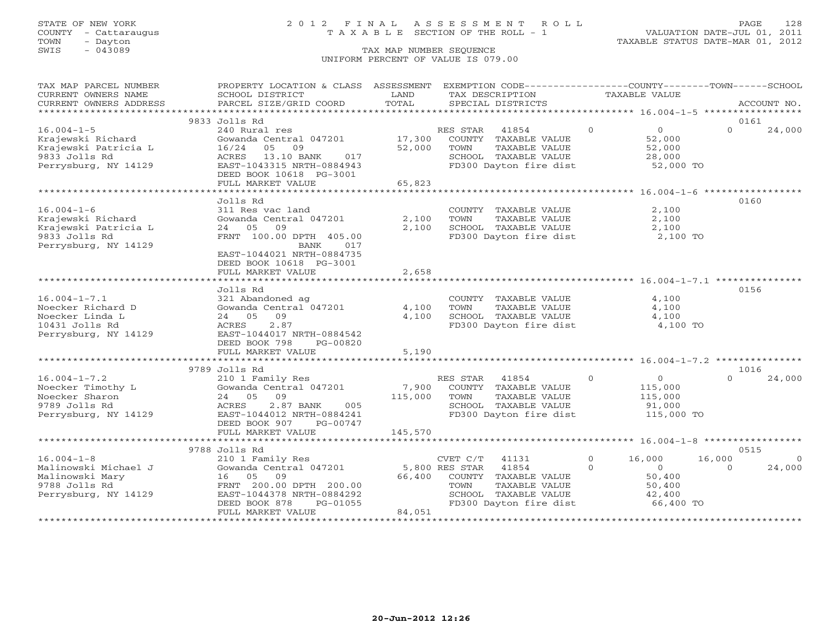### STATE OF NEW YORK 2 0 1 2 F I N A L A S S E S S M E N T R O L L PAGE 128 COUNTY - Cattaraugus T A X A B L E SECTION OF THE ROLL - 1 VALUATION DATE-JUL 01, 2011

| TAX MAP PARCEL NUMBER  | PROPERTY LOCATION & CLASS ASSESSMENT EXEMPTION CODE---------------COUNTY-------TOWN------SCHOOL                                                                                                                        |         |          |                                                        |                |                      |          |             |
|------------------------|------------------------------------------------------------------------------------------------------------------------------------------------------------------------------------------------------------------------|---------|----------|--------------------------------------------------------|----------------|----------------------|----------|-------------|
| CURRENT OWNERS NAME    | SCHOOL DISTRICT                                                                                                                                                                                                        | LAND    |          | TAX DESCRIPTION                                        | TAXABLE VALUE  |                      |          |             |
| CURRENT OWNERS ADDRESS | PARCEL SIZE/GRID COORD                                                                                                                                                                                                 | TOTAL   |          | SPECIAL DISTRICTS                                      |                |                      |          | ACCOUNT NO. |
|                        |                                                                                                                                                                                                                        |         |          |                                                        |                |                      |          |             |
|                        | 9833 Jolls Rd                                                                                                                                                                                                          |         |          |                                                        |                |                      | 0161     |             |
| $16.004 - 1 - 5$       | 240 Rural res                                                                                                                                                                                                          |         | RES STAR | $\sim$ 0<br>41854                                      |                | $\overline{O}$       | $\Omega$ | 24,000      |
| Krajewski Richard      | Gowanda Central 047201                                                                                                                                                                                                 | 17,300  |          | COUNTY TAXABLE VALUE                                   |                | 52,000               |          |             |
| Krajewski Patricia L   | 16/24<br>05<br>09                                                                                                                                                                                                      | 52,000  | TOWN     | TAXABLE VALUE                                          |                | 52,000               |          |             |
| 9833 Jolls Rd          | ACRES 13.10 BANK<br>017                                                                                                                                                                                                |         |          | SCHOOL TAXABLE VALUE                                   |                | 28,000               |          |             |
| Perrysburg, NY 14129   | EAST-1043315 NRTH-0884943                                                                                                                                                                                              |         |          | FD300 Dayton fire dist 52,000 TO                       |                |                      |          |             |
|                        | DEED BOOK 10618 PG-3001                                                                                                                                                                                                |         |          |                                                        |                |                      |          |             |
|                        | FULL MARKET VALUE                                                                                                                                                                                                      | 65,823  |          |                                                        |                |                      |          |             |
|                        |                                                                                                                                                                                                                        |         |          |                                                        |                |                      |          |             |
|                        | Jolls Rd                                                                                                                                                                                                               |         |          |                                                        |                |                      | 0160     |             |
| $16.004 - 1 - 6$       |                                                                                                                                                                                                                        |         |          |                                                        |                | 2,100                |          |             |
|                        | 311 Res vac land<br>Gowanda Central 047201                                                                                                                                                                             |         |          | COUNTY TAXABLE VALUE                                   |                |                      |          |             |
| Krajewski Richard      |                                                                                                                                                                                                                        | 2,100   | TOWN     | TAXABLE VALUE                                          |                | 2,100                |          |             |
| Krajewski Patricia L   | 24 05 09                                                                                                                                                                                                               | 2,100   |          | SCHOOL TAXABLE VALUE                                   |                | 2,100                |          |             |
| 9833 Jolls Rd          | FRNT 100.00 DPTH 405.00                                                                                                                                                                                                |         |          | FD300 Dayton fire dist 2,100 TO                        |                |                      |          |             |
| Perrysburg, NY 14129   | 017<br>BANK                                                                                                                                                                                                            |         |          |                                                        |                |                      |          |             |
|                        | EAST-1044021 NRTH-0884735                                                                                                                                                                                              |         |          |                                                        |                |                      |          |             |
|                        | DEED BOOK 10618 PG-3001                                                                                                                                                                                                |         |          |                                                        |                |                      |          |             |
|                        | FULL MARKET VALUE                                                                                                                                                                                                      | 2,658   |          |                                                        |                |                      |          |             |
|                        |                                                                                                                                                                                                                        |         |          |                                                        |                |                      |          |             |
|                        | Jolls Rd                                                                                                                                                                                                               |         |          |                                                        |                |                      | 0156     |             |
| $16.004 - 1 - 7.1$     | 321 Abandoned ag                                                                                                                                                                                                       |         |          | COUNTY TAXABLE VALUE                                   |                | 4,100                |          |             |
| Noecker Richard D      | Gowanda Central 047201                                                                                                                                                                                                 | 4,100   | TOWN     | TAXABLE VALUE                                          |                | 4,100                |          |             |
| Noecker Linda L        | 24 05 09                                                                                                                                                                                                               | 4,100   |          | TOWN<br>SCHOOL TAXABLE VALUE<br>TRAAA Pouton fire dist |                | 4,100                |          |             |
| 10431 Jolls Rd         | 2.87<br>ACRES                                                                                                                                                                                                          |         |          |                                                        |                | 4,100 TO             |          |             |
| Perrysburg, NY 14129   | EAST-1044017 NRTH-0884542                                                                                                                                                                                              |         |          |                                                        |                |                      |          |             |
|                        | DEED BOOK 798<br>PG-00820                                                                                                                                                                                              |         |          |                                                        |                |                      |          |             |
|                        | FULL MARKET VALUE                                                                                                                                                                                                      | 5,190   |          |                                                        |                |                      |          |             |
|                        |                                                                                                                                                                                                                        |         |          |                                                        |                |                      |          |             |
|                        | 9789 Jolls Rd                                                                                                                                                                                                          |         |          |                                                        |                |                      | 1016     |             |
| $16.004 - 1 - 7.2$     | 210 1 Family Res                                                                                                                                                                                                       |         |          | RES STAR 41854 0                                       |                | $\overline{0}$       | $\Omega$ | 24,000      |
|                        |                                                                                                                                                                                                                        |         |          |                                                        |                |                      |          |             |
| Noecker Timothy L      | Gowanda Central 047201                                                                                                                                                                                                 |         |          | 7,900 COUNTY TAXABLE VALUE                             |                | 115,000              |          |             |
| Noecker Sharon         | 24 05<br>09                                                                                                                                                                                                            | 115,000 | TOWN     | TAXABLE VALUE                                          |                | 115,000              |          |             |
| 9789 Jolls Rd          | ACRES<br>2.87 BANK<br>005                                                                                                                                                                                              |         |          | SCHOOL TAXABLE VALUE                                   |                | 91,000<br>115,000 TO |          |             |
| Perrysburg, NY 14129   | EAST-1044012 NRTH-0884241                                                                                                                                                                                              |         |          | FD300 Dayton fire dist                                 |                |                      |          |             |
|                        | DEED BOOK 907 PG-00747                                                                                                                                                                                                 |         |          |                                                        |                |                      |          |             |
|                        | FULL MARKET VALUE                                                                                                                                                                                                      | 145,570 |          |                                                        |                |                      |          |             |
|                        |                                                                                                                                                                                                                        |         |          |                                                        |                |                      |          |             |
|                        | 9788 Jolls Rd                                                                                                                                                                                                          |         |          |                                                        |                |                      | 0515     |             |
| $16.004 - 1 - 8$       |                                                                                                                                                                                                                        |         |          | 41131                                                  | $\overline{O}$ | 16,000               | 16,000   | $\circ$     |
| Malinowski Michael J   | $\begin{tabular}{lllllllllll} \textbf{210} & \textbf{1} & \textbf{Family} & \textbf{Res} & & & \textbf{CVET C/T} & 41131 \\ \textbf{Gowanda Central} & 047201 & & & 5,800 & \textbf{RES STR} & 41854 \\ \end{tabular}$ |         |          |                                                        | $\Omega$       | $\overline{0}$       | $\Omega$ | 24,000      |
| Malinowski Mary        | 16 05<br>09                                                                                                                                                                                                            |         |          | 66,400 COUNTY TAXABLE VALUE                            |                | 50,400               |          |             |
| 9788 Jolls Rd          | FRNT 200.00 DPTH 200.00                                                                                                                                                                                                |         | TOWN     | TAXABLE VALUE                                          |                | 50,400               |          |             |
| Perrysburg, NY 14129   | EAST-1044378 NRTH-0884292                                                                                                                                                                                              |         |          | SCHOOL TAXABLE VALUE                                   |                | 42,400               |          |             |
|                        | DEED BOOK 878<br>PG-01055                                                                                                                                                                                              |         |          | FD300 Dayton fire dist                                 |                | 66,400 TO            |          |             |
|                        | FULL MARKET VALUE                                                                                                                                                                                                      | 84,051  |          |                                                        |                |                      |          |             |
|                        |                                                                                                                                                                                                                        |         |          |                                                        |                |                      |          |             |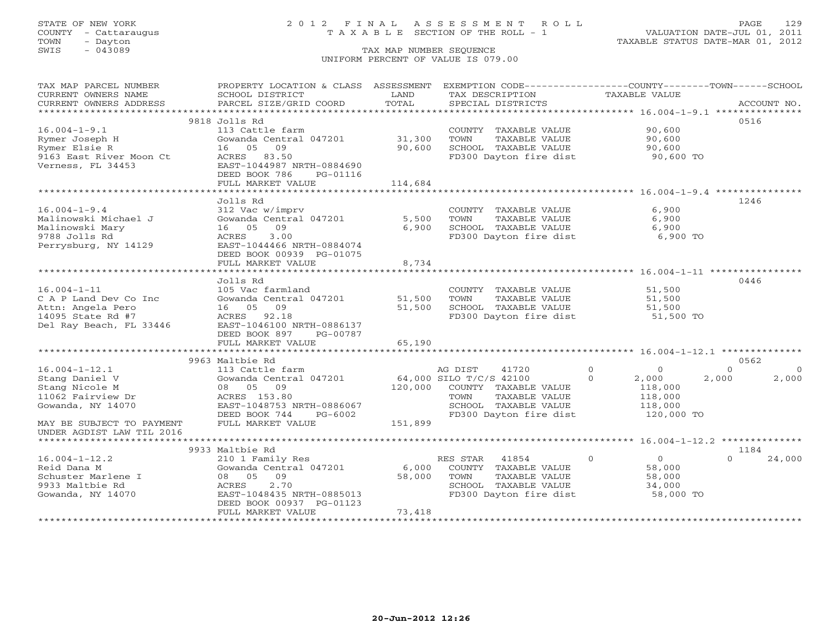## STATE OF NEW YORK 2 0 1 2 F I N A L A S S E S S M E N T R O L L PAGE 129 COUNTY - Cattaraugus T A X A B L E SECTION OF THE ROLL - 1 VALUATION DATE-JUL 01, 2011

| TAX MAP PARCEL NUMBER     | PROPERTY LOCATION & CLASS ASSESSMENT EXEMPTION CODE----------------COUNTY-------TOWN------SCHOOL |         |                                  |                            |                      |
|---------------------------|--------------------------------------------------------------------------------------------------|---------|----------------------------------|----------------------------|----------------------|
| CURRENT OWNERS NAME       | SCHOOL DISTRICT                                                                                  | LAND    | TAX DESCRIPTION                  | TAXABLE VALUE              |                      |
| CURRENT OWNERS ADDRESS    | PARCEL SIZE/GRID COORD                                                                           | TOTAL   | SPECIAL DISTRICTS                |                            | ACCOUNT NO.          |
|                           |                                                                                                  |         |                                  |                            |                      |
|                           | 9818 Jolls Rd                                                                                    |         |                                  |                            | 0516                 |
| $16.004 - 1 - 9.1$        | 113 Cattle farm                                                                                  |         | COUNTY TAXABLE VALUE             | 90,600                     |                      |
| Rymer Joseph H            | Gowanda Central 047201                                                                           | 31,300  | TOWN<br>TAXABLE VALUE            | 90,600                     |                      |
| Rymer Elsie R             | 09<br>16 05                                                                                      | 90,600  | SCHOOL TAXABLE VALUE             | 90,600                     |                      |
| 9163 East River Moon Ct   | ACRES 83.50                                                                                      |         | FD300 Dayton fire dist           | 90,600 TO                  |                      |
| Verness, FL 34453         | EAST-1044987 NRTH-0884690                                                                        |         |                                  |                            |                      |
|                           | DEED BOOK 786<br>PG-01116                                                                        |         |                                  |                            |                      |
|                           | FULL MARKET VALUE                                                                                | 114,684 |                                  |                            |                      |
|                           |                                                                                                  |         |                                  |                            |                      |
|                           | Jolls Rd                                                                                         |         |                                  |                            | 1246                 |
| $16.004 - 1 - 9.4$        | 312 Vac w/imprv                                                                                  |         | COUNTY TAXABLE VALUE             | 6,900                      |                      |
| Malinowski Michael J      | Gowanda Central 047201                                                                           | 5,500   | TOWN<br>TAXABLE VALUE            | 6,900                      |                      |
| Malinowski Mary           | 16 05 09                                                                                         | 6,900   | SCHOOL TAXABLE VALUE             | 6,900                      |                      |
| 9788 Jolls Rd             | 3.00<br>ACRES                                                                                    |         | FD300 Dayton fire dist           | 6,900 TO                   |                      |
| Perrysburg, NY 14129      | EAST-1044466 NRTH-0884074                                                                        |         |                                  |                            |                      |
|                           | DEED BOOK 00939 PG-01075                                                                         |         |                                  |                            |                      |
|                           | FULL MARKET VALUE                                                                                | 8,734   |                                  |                            |                      |
|                           |                                                                                                  |         |                                  |                            |                      |
|                           | Jolls Rd                                                                                         |         |                                  |                            | 0446                 |
| $16.004 - 1 - 11$         | 105 Vac farmland                                                                                 |         | COUNTY TAXABLE VALUE             | 51,500                     |                      |
| C A P Land Dev Co Inc     | Gowanda Central 047201                                                                           | 51,500  | TOWN<br>TAXABLE VALUE            | 51,500                     |                      |
| Attn: Angela Pero         | 16 05 09                                                                                         | 51,500  | SCHOOL TAXABLE VALUE             | 51,500                     |                      |
| 14095 State Rd #7         | ACRES 92.18                                                                                      |         | FD300 Dayton fire dist 51,500 TO |                            |                      |
| Del Ray Beach, FL 33446   | EAST-1046100 NRTH-0886137                                                                        |         |                                  |                            |                      |
|                           | DEED BOOK 897<br>PG-00787                                                                        |         |                                  |                            |                      |
|                           | FULL MARKET VALUE                                                                                | 65,190  |                                  |                            |                      |
|                           |                                                                                                  |         |                                  |                            |                      |
|                           | 9963 Maltbie Rd                                                                                  |         |                                  |                            | 0562                 |
| $16.004 - 1 - 12.1$       | 113 Cattle farm                                                                                  |         | 41720<br>AG DIST                 | $\circ$<br>$\overline{0}$  | $\Omega$<br>$\Omega$ |
| Stang Daniel V            | Gowanda Central 047201                                                                           |         | 64,000 SILO T/C/S 42100          | $\circ$<br>2,000           | 2,000<br>2,000       |
| Stang Nicole M            | 08 05 09                                                                                         |         | 120,000 COUNTY TAXABLE VALUE     | 118,000                    |                      |
| 11062 Fairview Dr         | ACRES 153.80                                                                                     |         | TOWN<br>TAXABLE VALUE            | 118,000                    |                      |
| Gowanda, NY 14070         | EAST-1048753 NRTH-0886067                                                                        |         | SCHOOL TAXABLE VALUE             | 118,000                    |                      |
|                           | DEED BOOK 744<br>PG-6002                                                                         |         | FD300 Dayton fire dist           | 120,000 TO                 |                      |
| MAY BE SUBJECT TO PAYMENT | FULL MARKET VALUE                                                                                | 151,899 |                                  |                            |                      |
| UNDER AGDIST LAW TIL 2016 |                                                                                                  |         |                                  |                            |                      |
|                           |                                                                                                  |         |                                  |                            |                      |
|                           | 9933 Maltbie Rd                                                                                  |         |                                  |                            | 1184                 |
| $16.004 - 1 - 12.2$       | 210 1 Family Res                                                                                 |         | RES STAR<br>41854                | $\Omega$<br>$\overline{O}$ | 24,000<br>$\Omega$   |
| Reid Dana M               | Gowanda Central 047201                                                                           | 6,000   | COUNTY TAXABLE VALUE             | 58,000                     |                      |
| Schuster Marlene I        | 08 05 09                                                                                         | 58,000  | TAXABLE VALUE<br>TOWN            | 58,000                     |                      |
| 9933 Maltbie Rd           | ACRES<br>2.70                                                                                    |         | SCHOOL TAXABLE VALUE             | 34,000                     |                      |
| Gowanda, NY 14070         | EAST-1048435 NRTH-0885013                                                                        |         | FD300 Dayton fire dist           | 58,000 TO                  |                      |
|                           | DEED BOOK 00937 PG-01123                                                                         |         |                                  |                            |                      |
|                           | FULL MARKET VALUE                                                                                | 73,418  |                                  |                            |                      |
|                           |                                                                                                  |         |                                  |                            |                      |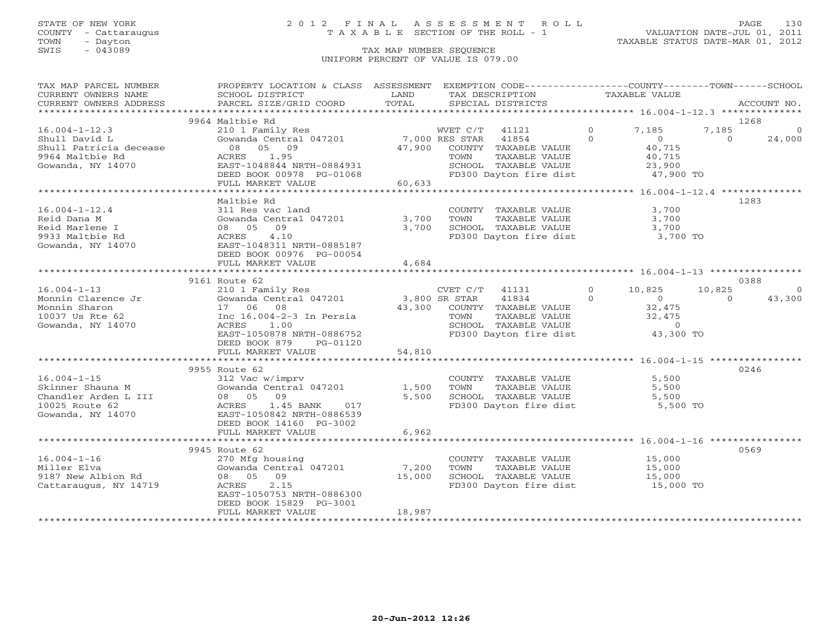### STATE OF NEW YORK 2 0 1 2 F I N A L A S S E S S M E N T R O L L PAGE 130 COUNTY - Cattaraugus T A X A B L E SECTION OF THE ROLL - 1 VALUATION DATE-JUL 01, 2011

| TAX MAP PARCEL NUMBER                                   | PROPERTY LOCATION & CLASS ASSESSMENT EXEMPTION CODE---------------COUNTY-------TOWN------SCHOOL                                                                            |        |                                                   |                |                                  |                                 |             |
|---------------------------------------------------------|----------------------------------------------------------------------------------------------------------------------------------------------------------------------------|--------|---------------------------------------------------|----------------|----------------------------------|---------------------------------|-------------|
| CURRENT OWNERS NAME                                     | SCHOOL DISTRICT                                                                                                                                                            | LAND   | TAX DESCRIPTION                                   |                | TAXABLE VALUE                    |                                 |             |
| CURRENT OWNERS ADDRESS                                  | PARCEL SIZE/GRID COORD                                                                                                                                                     | TOTAL  | SPECIAL DISTRICTS                                 |                |                                  |                                 | ACCOUNT NO. |
|                                                         |                                                                                                                                                                            |        |                                                   |                |                                  |                                 |             |
|                                                         | 9964 Maltbie Rd                                                                                                                                                            |        |                                                   |                |                                  |                                 | 1268        |
| $16.004 - 1 - 12.3$                                     | $\begin{tabular}{lllllllll} 210&1 & Family & Res & & WVET & C/T & 41121 \\ \hline \text{Gowanda Central} & 047201 & & & 7,000 & RES \text{ STAR} & 41854 \\ \end{tabular}$ |        |                                                   | $\overline{0}$ | 7,185                            | 7,185                           | $\Omega$    |
| Shull David L                                           |                                                                                                                                                                            |        |                                                   | $\Omega$       | $\overline{0}$                   | $\Omega$                        | 24,000      |
| Shull Patricia decease 08 05 09                         |                                                                                                                                                                            |        | 47,900 COUNTY TAXABLE VALUE                       |                | $40,715$<br>$40,715$             |                                 |             |
| 9964 Maltbie Rd                                         | ACRES 1.95                                                                                                                                                                 |        | TOWN<br>TAXABLE VALUE                             |                |                                  |                                 |             |
| Gowanda, NY 14070                                       | EAST-1048844 NRTH-0884931                                                                                                                                                  |        | SCHOOL TAXABLE VALUE                              |                | 23,900                           |                                 |             |
|                                                         | DEED BOOK 00978 PG-01068                                                                                                                                                   |        | FD300 Dayton fire dist                            |                | 47,900 TO                        |                                 |             |
|                                                         | a da baran da sala<br>FULL MARKET VALUE                                                                                                                                    | 60,633 |                                                   |                |                                  |                                 |             |
|                                                         |                                                                                                                                                                            |        |                                                   |                |                                  |                                 |             |
|                                                         | Maltbie Rd                                                                                                                                                                 |        |                                                   |                |                                  |                                 | 1283        |
| $16.004 - 1 - 12.4$                                     | 311 Res vac land                                                                                                                                                           |        | COUNTY TAXABLE VALUE                              |                | 3,700                            |                                 |             |
| Reid Dana M                                             | Gowanda Central 047201 3,700                                                                                                                                               |        | TOWN                                              |                | TAXABLE VALUE 3,700              |                                 |             |
| Reid Marlene I                                          | 08 05 09                                                                                                                                                                   | 3,700  | SCHOOL TAXABLE VALUE                              |                | 3,700                            |                                 |             |
| 9933 Maltbie Rd                                         | 4.10<br>ACRES                                                                                                                                                              |        | FD300 Dayton fire dist 3,700 TO                   |                |                                  |                                 |             |
|                                                         | EAST-1048311 NRTH-0885187                                                                                                                                                  |        |                                                   |                |                                  |                                 |             |
| Gowanda, NY 14070                                       |                                                                                                                                                                            |        |                                                   |                |                                  |                                 |             |
|                                                         | DEED BOOK 00976 PG-00054                                                                                                                                                   |        |                                                   |                |                                  |                                 |             |
|                                                         | FULL MARKET VALUE                                                                                                                                                          | 4,684  |                                                   |                |                                  |                                 |             |
|                                                         |                                                                                                                                                                            |        |                                                   |                |                                  |                                 |             |
|                                                         | 9161 Route 62                                                                                                                                                              |        |                                                   |                |                                  |                                 | 0388        |
| $16.004 - 1 - 13$                                       | 210 1 Family Res                                                                                                                                                           |        | CVET $C/T$ 41131                                  | $\Omega$       | 10,825                           | 10,825                          | $\Omega$    |
| Monnin Clarence Jr                                      | 210 1 Family Res<br>Gowanda Central 047201 3,800 SR STAR<br>17 06 08 43,300 COUNTY<br>Inc 16.004-2-3 In Persia TOWN                                                        |        | 41834                                             | $\Omega$       |                                  | $\begin{matrix}0&0\end{matrix}$ | 43,300      |
| Monnin Sharon                                           |                                                                                                                                                                            |        | 43,300 COUNTY TAXABLE VALUE                       |                | $\frac{32}{32}$ , 475<br>32, 475 |                                 |             |
| 10037 Us Rte 62                                         |                                                                                                                                                                            |        | TOWN      TAXABLE VALUE<br>SCHOOL   TAXABLE VALUE |                |                                  |                                 |             |
| Gowanda, NY 14070                                       | ACRES<br>1.00                                                                                                                                                              |        |                                                   |                |                                  |                                 |             |
|                                                         | EAST-1050878 NRTH-0886752                                                                                                                                                  |        | FD300 Dayton fire dist 43,300 TO                  |                |                                  |                                 |             |
|                                                         | DEED BOOK 879<br>PG-01120                                                                                                                                                  |        |                                                   |                |                                  |                                 |             |
|                                                         | FULL MARKET VALUE                                                                                                                                                          | 54,810 |                                                   |                |                                  |                                 |             |
|                                                         |                                                                                                                                                                            |        |                                                   |                |                                  |                                 |             |
|                                                         | 9955 Route 62                                                                                                                                                              |        |                                                   |                |                                  |                                 | 0246        |
|                                                         | 312 Vac w/imprv                                                                                                                                                            |        | COUNTY TAXABLE VALUE 5,500                        |                |                                  |                                 |             |
|                                                         |                                                                                                                                                                            | 1,500  | TOWN<br>TAXABLE VALUE                             |                | 5,500                            |                                 |             |
| 16.004-1-15<br>Skinner Shauna M<br>Chandler Arden L III | 08 05 09                                                                                                                                                                   | 5,500  | SCHOOL TAXABLE VALUE                              |                | 5,500                            |                                 |             |
|                                                         | ACRES 1.45 BANK 017                                                                                                                                                        |        | FD300 Dayton fire dist                            |                | 5,500 TO                         |                                 |             |
| Gowanda, NY 14070                                       | EAST-1050842 NRTH-0886539                                                                                                                                                  |        |                                                   |                |                                  |                                 |             |
|                                                         | DEED BOOK 14160 PG-3002                                                                                                                                                    |        |                                                   |                |                                  |                                 |             |
|                                                         | FULL MARKET VALUE                                                                                                                                                          | 6,962  |                                                   |                |                                  |                                 |             |
|                                                         |                                                                                                                                                                            |        |                                                   |                |                                  |                                 |             |
|                                                         | 9945 Route 62                                                                                                                                                              |        |                                                   |                |                                  |                                 | 0569        |
| $16.004 - 1 - 16$                                       | 270 Mfg housing                                                                                                                                                            |        | COUNTY TAXABLE VALUE                              |                |                                  |                                 |             |
| Miller Elva                                             | Gowanda Central 047201 7,200                                                                                                                                               |        | TAXABLE VALUE<br>TOWN                             |                | 15,000<br>15,000                 |                                 |             |
| 9187 New Albion Rd                                      | 08 05 09                                                                                                                                                                   | 15,000 |                                                   |                |                                  |                                 |             |
| Cattaraugus, NY 14719                                   | ACRES<br>2.15                                                                                                                                                              |        | SCHOOL TAXABLE VALUE<br>FD300 Dayton fire dist    |                | 15,000<br>15,000 TO              |                                 |             |
|                                                         | EAST-1050753 NRTH-0886300                                                                                                                                                  |        |                                                   |                |                                  |                                 |             |
|                                                         | DEED BOOK 15829 PG-3001                                                                                                                                                    |        |                                                   |                |                                  |                                 |             |
|                                                         | FULL MARKET VALUE                                                                                                                                                          | 18,987 |                                                   |                |                                  |                                 |             |
|                                                         |                                                                                                                                                                            |        |                                                   |                |                                  |                                 |             |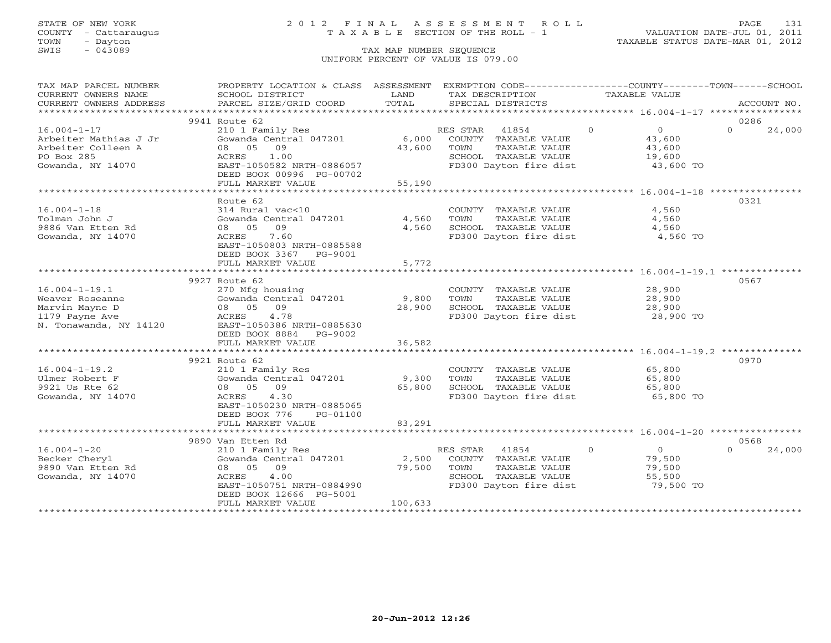### STATE OF NEW YORK 2 0 1 2 F I N A L A S S E S S M E N T R O L L PAGE 131 COUNTY - Cattaraugus T A X A B L E SECTION OF THE ROLL - 1 VALUATION DATE-JUL 01, 2011

TOWN - Dayton TAXABLE STATUS DATE-MAR 01, 2012

| TAX MAP PARCEL NUMBER   | PROPERTY LOCATION & CLASS ASSESSMENT                        |         | EXEMPTION CODE-----------------COUNTY-------TOWN------SCHOOL |                                   |                    |
|-------------------------|-------------------------------------------------------------|---------|--------------------------------------------------------------|-----------------------------------|--------------------|
| CURRENT OWNERS NAME     | SCHOOL DISTRICT                                             | LAND    | TAX DESCRIPTION                                              | TAXABLE VALUE                     |                    |
| CURRENT OWNERS ADDRESS  | PARCEL SIZE/GRID COORD                                      | TOTAL   | SPECIAL DISTRICTS                                            |                                   | ACCOUNT NO.        |
| *********************** |                                                             |         |                                                              |                                   |                    |
|                         | 9941 Route 62                                               |         |                                                              |                                   | 0286               |
| $16.004 - 1 - 17$       | 210 1 Family Res                                            |         | RES STAR<br>41854                                            | $\Omega$<br>$\overline{0}$        | $\Omega$<br>24,000 |
| Arbeiter Mathias J Jr   | Gowanda Central 047201                                      |         | 6,000 COUNTY TAXABLE VALUE                                   | 43,600                            |                    |
| Arbeiter Colleen A      | 09<br>08 05                                                 | 43,600  | TOWN<br>TAXABLE VALUE                                        | 43,600                            |                    |
| PO Box 285              | ACRES<br>1.00                                               |         |                                                              | 19,600                            |                    |
| Gowanda, NY 14070       | EAST-1050582 NRTH-0886057                                   |         | SCHOOL TAXABLE VALUE<br>FD300 Dayton fire dist               | 43,600 TO                         |                    |
|                         |                                                             |         |                                                              |                                   |                    |
|                         | DEED BOOK 00996 PG-00702                                    |         |                                                              |                                   |                    |
|                         | FULL MARKET VALUE<br>************************************** | 55,190  |                                                              |                                   |                    |
|                         |                                                             |         |                                                              |                                   |                    |
|                         | Route 62                                                    |         |                                                              |                                   | 0321               |
| $16.004 - 1 - 18$       | 314 Rural vac<10                                            |         | COUNTY TAXABLE VALUE                                         | 4,560                             |                    |
| Tolman John J           | Gowanda Central 047201                                      | 4,560   | TOWN<br>TAXABLE VALUE                                        | 4,560                             |                    |
| 9886 Van Etten Rd       | 08 05<br>09                                                 | 4,560   | SCHOOL TAXABLE VALUE                                         | 4,560                             |                    |
| Gowanda, NY 14070       | ACRES<br>7.60                                               |         | FD300 Dayton fire dist                                       | 4,560 TO                          |                    |
|                         | EAST-1050803 NRTH-0885588                                   |         |                                                              |                                   |                    |
|                         | DEED BOOK 3367<br>PG-9001                                   |         |                                                              |                                   |                    |
|                         | FULL MARKET VALUE                                           | 5,772   |                                                              |                                   |                    |
|                         |                                                             |         |                                                              |                                   |                    |
|                         | 9927 Route 62                                               |         |                                                              |                                   | 0567               |
| $16.004 - 1 - 19.1$     | 270 Mfg housing                                             |         | COUNTY TAXABLE VALUE                                         | 28,900                            |                    |
| Weaver Roseanne         | Gowanda Central 047201                                      | 9,800   | TOWN<br>TAXABLE VALUE                                        | 28,900                            |                    |
| Marvin Mayne D          | 08 05 09                                                    | 28,900  | SCHOOL TAXABLE VALUE                                         |                                   |                    |
| 1179 Payne Ave          | ACRES 4.78                                                  |         | FD300 Dayton fire dist                                       | 28,900<br>28,900 TO               |                    |
|                         | EAST-1050386 NRTH-0885630                                   |         |                                                              |                                   |                    |
| N. Tonawanda, NY 14120  |                                                             |         |                                                              |                                   |                    |
|                         | DEED BOOK 8884 PG-9002                                      |         |                                                              |                                   |                    |
|                         | FULL MARKET VALUE                                           | 36,582  |                                                              |                                   |                    |
|                         |                                                             |         |                                                              |                                   |                    |
|                         | 9921 Route 62                                               |         |                                                              |                                   | 0970               |
| $16.004 - 1 - 19.2$     | 210 1 Family Res                                            |         | COUNTY TAXABLE VALUE                                         | 65,800                            |                    |
| Ulmer Robert F          | Gowanda Central 047201                                      | 9,300   | TOWN<br>TAXABLE VALUE                                        | 65,800                            |                    |
| 9921 Us Rte 62          | 08 05 09                                                    | 65,800  | SCHOOL TAXABLE VALUE                                         |                                   |                    |
| Gowanda, NY 14070       | 4.30<br>ACRES                                               |         | FD300 Dayton fire dist                                       | 65, <sub>0</sub> .、<br>65, 800 TO |                    |
|                         | EAST-1050230 NRTH-0885065                                   |         |                                                              |                                   |                    |
|                         | DEED BOOK 776<br>PG-01100                                   |         |                                                              |                                   |                    |
|                         | FULL MARKET VALUE                                           | 83,291  |                                                              |                                   |                    |
|                         |                                                             |         |                                                              |                                   |                    |
|                         | 9890 Van Etten Rd                                           |         |                                                              |                                   | 0568               |
| $16.004 - 1 - 20$       | 210 1 Family Res                                            |         | RES STAR 41854                                               | $\Omega$<br>$\overline{0}$        | $\cap$<br>24,000   |
| Becker Cheryl           | Gowanda Central 047201                                      | 2,500   | COUNTY TAXABLE VALUE                                         | 79,500                            |                    |
| 9890 Van Etten Rd       | 08 05 09                                                    | 79,500  | TOWN<br>TAXABLE VALUE                                        | 79,500                            |                    |
| Gowanda, NY 14070       | 4.00<br>ACRES                                               |         | SCHOOL TAXABLE VALUE                                         | 55,500                            |                    |
|                         | EAST-1050751 NRTH-0884990                                   |         | FD300 Dayton fire dist                                       | 79,500 TO                         |                    |
|                         |                                                             |         |                                                              |                                   |                    |
|                         | DEED BOOK 12666 PG-5001                                     |         |                                                              |                                   |                    |
|                         | FULL MARKET VALUE                                           | 100,633 |                                                              |                                   |                    |
|                         |                                                             |         |                                                              |                                   |                    |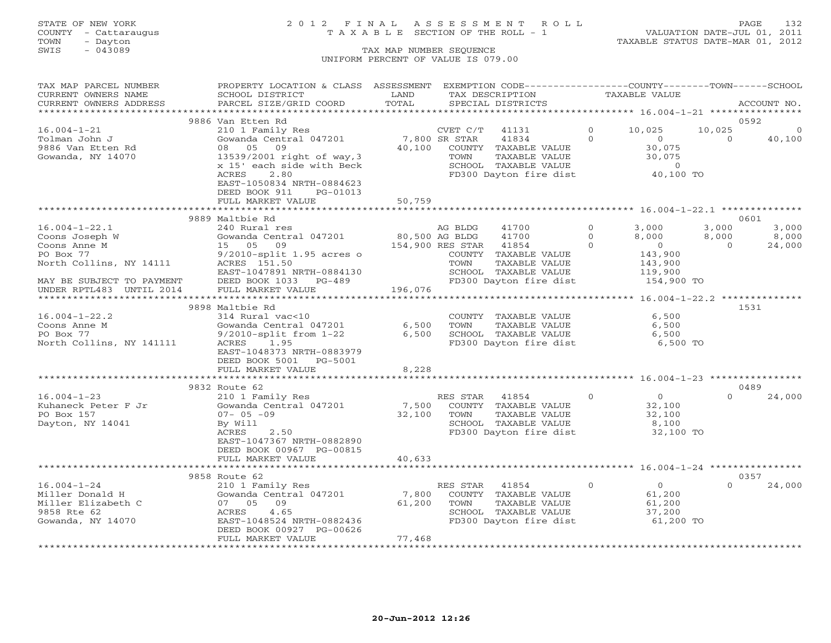## STATE OF NEW YORK 2 0 1 2 F I N A L A S S E S S M E N T R O L L PAGE 132 COUNTY - Cattaraugus T A X A B L E SECTION OF THE ROLL - 1 VALUATION DATE-JUL 01, 2011

TOWN - Dayton TAXABLE STATUS DATE-MAR 01, 2012

| TAX MAP PARCEL NUMBER     | PROPERTY LOCATION & CLASS ASSESSMENT |                     | EXEMPTION CODE-----------------COUNTY-------TOWN------SCHOOL |          |                                          |                |             |
|---------------------------|--------------------------------------|---------------------|--------------------------------------------------------------|----------|------------------------------------------|----------------|-------------|
| CURRENT OWNERS NAME       | SCHOOL DISTRICT                      | LAND                | TAX DESCRIPTION                                              |          | TAXABLE VALUE                            |                |             |
| CURRENT OWNERS ADDRESS    | PARCEL SIZE/GRID COORD               | TOTAL               | SPECIAL DISTRICTS                                            |          |                                          |                | ACCOUNT NO. |
|                           |                                      |                     |                                                              |          |                                          |                |             |
|                           | 9886 Van Etten Rd                    |                     |                                                              |          |                                          |                | 0592        |
| $16.004 - 1 - 21$         | 210 1 Family Res                     |                     | CVET C/T 41131                                               | $\circ$  | 10,025                                   | 10,025         | $\mathbf 0$ |
| Tolman John J             | Gowanda Central 047201               | 7,800 SR STAR       | 41834                                                        | $\Omega$ | $\overline{0}$                           | $\Omega$       | 40,100      |
| 9886 Van Etten Rd         | 08 05 09                             | 40,100              | COUNTY TAXABLE VALUE                                         |          | 30,075                                   |                |             |
| Gowanda, NY 14070         | 13539/2001 right of way, 3           |                     | TOWN<br>TAXABLE VALUE                                        |          | 30,075                                   |                |             |
|                           | x 15' each side with Beck            |                     | SCHOOL TAXABLE VALUE                                         |          | $\circ$                                  |                |             |
|                           | ACRES<br>2.80                        |                     | FD300 Dayton fire dist                                       |          | 40,100 TO                                |                |             |
|                           | EAST-1050834 NRTH-0884623            |                     |                                                              |          |                                          |                |             |
|                           |                                      |                     |                                                              |          |                                          |                |             |
|                           | DEED BOOK 911<br>PG-01013            |                     |                                                              |          |                                          |                |             |
|                           | FULL MARKET VALUE                    | 50,759              |                                                              |          |                                          |                |             |
|                           |                                      |                     |                                                              |          |                                          |                |             |
|                           | 9889 Maltbie Rd                      |                     |                                                              |          |                                          |                | 0601        |
| $16.004 - 1 - 22.1$       | 240 Rural res                        |                     | 41700<br>AG BLDG                                             | $\Omega$ | 3,000                                    | 3,000          | 3,000       |
| Coons Joseph W            | Gowanda Central 047201               | 80,500 AG BLDG      | 41700                                                        | $\Omega$ | 8,000                                    | 8,000          | 8,000       |
| Coons Anne M              | 15 05 09                             |                     | 154,900 RES STAR<br>41854                                    | $\Omega$ | $\overline{0}$                           | $\overline{0}$ | 24,000      |
| PO Box 77                 | $9/2010$ -split 1.95 acres o         |                     | COUNTY TAXABLE VALUE                                         |          | 143,900                                  |                |             |
| North Collins, NY 14111   | ACRES 151.50                         |                     | TOWN<br>TAXABLE VALUE                                        |          | 143,900                                  |                |             |
|                           | EAST-1047891 NRTH-0884130            |                     | SCHOOL TAXABLE VALUE                                         |          | 119,900                                  |                |             |
| MAY BE SUBJECT TO PAYMENT | DEED BOOK 1033 PG-489                |                     | FD300 Dayton fire dist                                       |          | 154,900 TO                               |                |             |
| UNDER RPTL483 UNTIL 2014  | FULL MARKET VALUE                    | 196,076             |                                                              |          |                                          |                |             |
|                           |                                      |                     |                                                              |          | *********** 16.004-1-22.2 ************** |                |             |
|                           | 9898 Maltbie Rd                      |                     |                                                              |          |                                          |                | 1531        |
| $16.004 - 1 - 22.2$       | 314 Rural vac<10                     |                     | COUNTY TAXABLE VALUE                                         |          | 6,500                                    |                |             |
| Coons Anne M              | Gowanda Central 047201               | 6,500               | TOWN<br>TAXABLE VALUE                                        |          | 6,500                                    |                |             |
| PO Box 77                 | $9/2010$ -split from $1-22$          | 6,500               | SCHOOL TAXABLE VALUE                                         |          | 6,500                                    |                |             |
| North Collins, NY 141111  | ACRES 1.95                           |                     | FD300 Dayton fire dist                                       |          | 6,500 TO                                 |                |             |
|                           | EAST-1048373 NRTH-0883979            |                     |                                                              |          |                                          |                |             |
|                           | DEED BOOK 5001 PG-5001               |                     |                                                              |          |                                          |                |             |
|                           | FULL MARKET VALUE                    | 8,228               |                                                              |          |                                          |                |             |
|                           |                                      |                     |                                                              |          |                                          |                |             |
|                           | 9832 Route 62                        |                     |                                                              |          |                                          |                | 0489        |
| $16.004 - 1 - 23$         | 210 1 Family Res                     |                     |                                                              | $\Omega$ | $\overline{0}$                           | $\Omega$       | 24,000      |
|                           |                                      |                     | RES STAR<br>41854                                            |          |                                          |                |             |
| Kuhaneck Peter F Jr       | Gowanda Central 047201               | 7,500               | COUNTY TAXABLE VALUE                                         |          | 32,100                                   |                |             |
| PO Box 157                | $07 - 05 - 09$                       | 32,100              | TAXABLE VALUE<br>TOWN                                        |          | 32,100                                   |                |             |
| Dayton, NY 14041          | By Will                              |                     | SCHOOL TAXABLE VALUE                                         |          | 8,100                                    |                |             |
|                           | 2.50<br>ACRES                        |                     | FD300 Dayton fire dist                                       |          | 32,100 TO                                |                |             |
|                           | EAST-1047367 NRTH-0882890            |                     |                                                              |          |                                          |                |             |
|                           | DEED BOOK 00967 PG-00815             |                     |                                                              |          |                                          |                |             |
|                           | FULL MARKET VALUE                    | 40,633              |                                                              |          |                                          |                |             |
|                           |                                      |                     |                                                              |          |                                          |                |             |
|                           | 9858 Route 62                        |                     |                                                              |          |                                          |                | 0357        |
| $16.004 - 1 - 24$         | 210 1 Family Res                     |                     | RES STAR 41854                                               | $\Omega$ | $\overline{0}$                           | $\Omega$       | 24,000      |
| Miller Donald H           | Gowanda Central 047201               | 7,800               | COUNTY TAXABLE VALUE                                         |          | 61,200                                   |                |             |
| Miller Elizabeth C        | 07 05 09                             | 61,200              | TOWN<br>TAXABLE VALUE                                        |          | 61,200                                   |                |             |
| 9858 Rte 62               | 4.65<br>ACRES                        |                     | SCHOOL TAXABLE VALUE                                         |          | 37,200                                   |                |             |
| Gowanda, NY 14070         | EAST-1048524 NRTH-0882436            |                     | FD300 Dayton fire dist                                       |          | 61,200 TO                                |                |             |
|                           | DEED BOOK 00927 PG-00626             |                     |                                                              |          |                                          |                |             |
|                           | FULL MARKET VALUE                    | 77,468              |                                                              |          |                                          |                |             |
|                           | *************************            | ******************* |                                                              |          |                                          |                |             |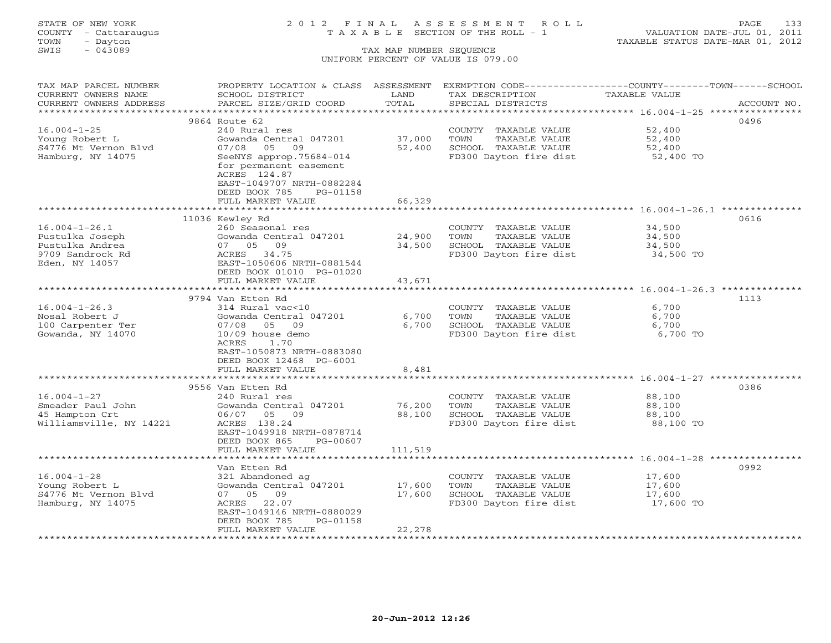# STATE OF NEW YORK 2 0 1 2 F I N A L A S S E S S M E N T R O L L PAGE 133 COUNTY - Cattaraugus T A X A B L E SECTION OF THE ROLL - 1 VALUATION DATE-JUL 01, 2011

| TAX MAP PARCEL NUMBER   |                           |              |                        | PROPERTY LOCATION & CLASS ASSESSMENT EXEMPTION CODE-----------------COUNTY-------TOWN------SCHOOL |
|-------------------------|---------------------------|--------------|------------------------|---------------------------------------------------------------------------------------------------|
| CURRENT OWNERS NAME     | SCHOOL DISTRICT           | LAND         | TAX DESCRIPTION        | TAXABLE VALUE                                                                                     |
| CURRENT OWNERS ADDRESS  | PARCEL SIZE/GRID COORD    | TOTAL        | SPECIAL DISTRICTS      | ACCOUNT NO.                                                                                       |
|                         |                           |              |                        |                                                                                                   |
|                         | 9864 Route 62             |              |                        | 0496                                                                                              |
| $16.004 - 1 - 25$       | 240 Rural res             |              | COUNTY TAXABLE VALUE   | 52,400                                                                                            |
| Young Robert L          | Gowanda Central 047201    | 37,000       | TOWN<br>TAXABLE VALUE  | 52,400                                                                                            |
| S4776 Mt Vernon Blvd    | 07/08<br>05<br>09         | 52,400       | SCHOOL TAXABLE VALUE   | 52,400                                                                                            |
| Hamburg, NY 14075       | SeeNYS approp.75684-014   |              | FD300 Dayton fire dist | 52,400 TO                                                                                         |
|                         |                           |              |                        |                                                                                                   |
|                         | for permanent easement    |              |                        |                                                                                                   |
|                         | ACRES 124.87              |              |                        |                                                                                                   |
|                         | EAST-1049707 NRTH-0882284 |              |                        |                                                                                                   |
|                         | DEED BOOK 785<br>PG-01158 |              |                        |                                                                                                   |
|                         | FULL MARKET VALUE         | 66,329       |                        |                                                                                                   |
|                         | **********************    | ************ |                        | ********************************* 16.004-1-26.1 *********                                         |
|                         | 11036 Kewley Rd           |              |                        | 0616                                                                                              |
| $16.004 - 1 - 26.1$     | 260 Seasonal res          |              | COUNTY TAXABLE VALUE   | 34,500                                                                                            |
| Pustulka Joseph         | Gowanda Central 047201    | 24,900       | TAXABLE VALUE<br>TOWN  | 34,500                                                                                            |
| Pustulka Andrea         | 07 05 09                  | 34,500       | SCHOOL TAXABLE VALUE   | 34,500                                                                                            |
| 9709 Sandrock Rd        | ACRES 34.75               |              | FD300 Dayton fire dist | 34,500 TO                                                                                         |
| Eden, NY 14057          | EAST-1050606 NRTH-0881544 |              |                        |                                                                                                   |
|                         | DEED BOOK 01010 PG-01020  |              |                        |                                                                                                   |
|                         | FULL MARKET VALUE         | 43,671       |                        |                                                                                                   |
|                         |                           |              |                        |                                                                                                   |
|                         | 9794 Van Etten Rd         |              |                        | 1113                                                                                              |
| $16.004 - 1 - 26.3$     | 314 Rural vac<10          |              | COUNTY TAXABLE VALUE   | 6,700                                                                                             |
| Nosal Robert J          | Gowanda Central 047201    | 6,700        | TOWN<br>TAXABLE VALUE  | 6,700                                                                                             |
| 100 Carpenter Ter       | 05 09<br>07/08            | 6,700        | SCHOOL TAXABLE VALUE   | 6,700                                                                                             |
| Gowanda, NY 14070       | 10/09 house demo          |              | FD300 Dayton fire dist | 6,700 TO                                                                                          |
|                         | ACRES<br>1.70             |              |                        |                                                                                                   |
|                         |                           |              |                        |                                                                                                   |
|                         | EAST-1050873 NRTH-0883080 |              |                        |                                                                                                   |
|                         | DEED BOOK 12468 PG-6001   |              |                        |                                                                                                   |
|                         | FULL MARKET VALUE         | 8,481        |                        |                                                                                                   |
|                         |                           |              |                        |                                                                                                   |
|                         | 9556 Van Etten Rd         |              |                        | 0386                                                                                              |
| $16.004 - 1 - 27$       | 240 Rural res             |              | COUNTY TAXABLE VALUE   | 88,100                                                                                            |
| Smeader Paul John       | Gowanda Central 047201    | 76,200       | TAXABLE VALUE<br>TOWN  | 88,100                                                                                            |
| 45 Hampton Crt          | 06/07 05 09               | 88,100       | SCHOOL TAXABLE VALUE   | 88,100                                                                                            |
| Williamsville, NY 14221 | ACRES 138.24              |              | FD300 Dayton fire dist | 88,100 TO                                                                                         |
|                         | EAST-1049918 NRTH-0878714 |              |                        |                                                                                                   |
|                         | DEED BOOK 865<br>PG-00607 |              |                        |                                                                                                   |
|                         | FULL MARKET VALUE         | 111,519      |                        |                                                                                                   |
|                         |                           |              |                        |                                                                                                   |
|                         | Van Etten Rd              |              |                        | 0992                                                                                              |
| $16.004 - 1 - 28$       | 321 Abandoned ag          |              | COUNTY TAXABLE VALUE   | 17,600                                                                                            |
| Young Robert L          | Gowanda Central 047201    | 17,600       | TOWN<br>TAXABLE VALUE  | 17,600                                                                                            |
| S4776 Mt Vernon Blyd    | 07 05 09                  | 17,600       | SCHOOL TAXABLE VALUE   | 17,600                                                                                            |
| Hamburg, NY 14075       | ACRES 22.07               |              | FD300 Dayton fire dist | 17,600 TO                                                                                         |
|                         | EAST-1049146 NRTH-0880029 |              |                        |                                                                                                   |
|                         | DEED BOOK 785<br>PG-01158 |              |                        |                                                                                                   |
|                         | FULL MARKET VALUE         | 22,278       |                        |                                                                                                   |
|                         |                           |              |                        |                                                                                                   |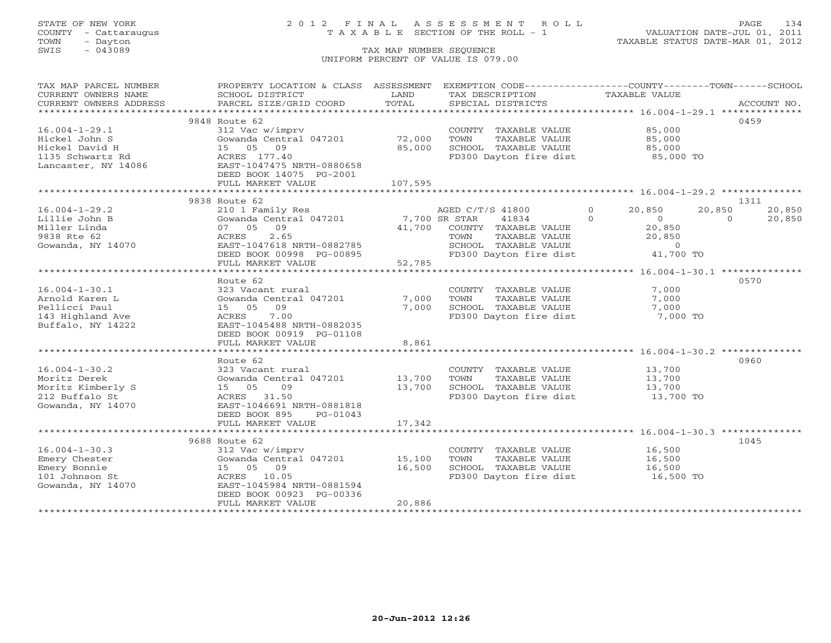## STATE OF NEW YORK 2 0 1 2 F I N A L A S S E S S M E N T R O L L PAGE 134 COUNTY - Cattaraugus T A X A B L E SECTION OF THE ROLL - 1 VALUATION DATE-JUL 01, 2011

| TAX MAP PARCEL NUMBER  | PROPERTY LOCATION & CLASS ASSESSMENT |         | EXEMPTION CODE-----------------COUNTY-------TOWN------SCHOOL |                            |                    |
|------------------------|--------------------------------------|---------|--------------------------------------------------------------|----------------------------|--------------------|
| CURRENT OWNERS NAME    | SCHOOL DISTRICT                      | LAND    | TAX DESCRIPTION                                              | TAXABLE VALUE              |                    |
| CURRENT OWNERS ADDRESS | PARCEL SIZE/GRID COORD               | TOTAL   | SPECIAL DISTRICTS                                            |                            | ACCOUNT NO.        |
|                        |                                      |         |                                                              |                            |                    |
|                        | 9848 Route 62                        |         |                                                              |                            | 0459               |
| $16.004 - 1 - 29.1$    | 312 Vac w/imprv                      |         | COUNTY TAXABLE VALUE                                         | 85,000                     |                    |
| Hickel John S          | Gowanda Central 047201               | 72,000  | TOWN<br>TAXABLE VALUE                                        | 85,000                     |                    |
| Hickel David H         | 15 05 09                             | 85,000  | SCHOOL TAXABLE VALUE                                         | 85,000                     |                    |
| 1135 Schwartz Rd       | ACRES 177.40                         |         | FD300 Dayton fire dist                                       | 85,000 TO                  |                    |
| Lancaster, NY 14086    | EAST-1047475 NRTH-0880658            |         |                                                              |                            |                    |
|                        | DEED BOOK 14075 PG-2001              |         |                                                              |                            |                    |
|                        | FULL MARKET VALUE                    | 107,595 |                                                              |                            |                    |
|                        | *******************************      |         |                                                              |                            |                    |
|                        | 9838 Route 62                        |         |                                                              |                            | 1311               |
| $16.004 - 1 - 29.2$    | 210 1 Family Res                     |         | AGED C/T/S 41800                                             | $\Omega$<br>20,850         | 20,850<br>20,850   |
| Lillie John B          | Gowanda Central 047201               |         | 7,700 SR STAR<br>41834                                       | $\Omega$<br>$\overline{0}$ | $\Omega$<br>20,850 |
| Miller Linda           | 09<br>07 05                          | 41,700  | COUNTY TAXABLE VALUE                                         | 20,850                     |                    |
| 9838 Rte 62            | 2.65<br>ACRES                        |         | TAXABLE VALUE<br>TOWN                                        | 20,850                     |                    |
| Gowanda, NY 14070      | EAST-1047618 NRTH-0882785            |         | SCHOOL TAXABLE VALUE                                         | $\overline{0}$             |                    |
|                        | DEED BOOK 00998 PG-00895             |         | FD300 Dayton fire dist                                       | 41,700 TO                  |                    |
|                        | FULL MARKET VALUE                    | 52,785  |                                                              |                            |                    |
|                        |                                      |         |                                                              |                            |                    |
|                        | Route 62                             |         |                                                              |                            | 0570               |
| $16.004 - 1 - 30.1$    | 323 Vacant rural                     |         | COUNTY TAXABLE VALUE                                         | 7,000                      |                    |
| Arnold Karen L         | Gowanda Central 047201               | 7,000   | TOWN<br>TAXABLE VALUE                                        | 7,000                      |                    |
| Pellicci Paul          | 09<br>15 05                          | 7,000   | SCHOOL TAXABLE VALUE                                         | 7,000                      |                    |
| 143 Highland Ave       | 7.00<br>ACRES                        |         | FD300 Dayton fire dist                                       | 7,000 TO                   |                    |
| Buffalo, NY 14222      | EAST-1045488 NRTH-0882035            |         |                                                              |                            |                    |
|                        | DEED BOOK 00919 PG-01108             |         |                                                              |                            |                    |
|                        | FULL MARKET VALUE                    | 8,861   |                                                              |                            |                    |
|                        |                                      |         |                                                              |                            |                    |
|                        | Route 62                             |         |                                                              |                            | 0960               |
| $16.004 - 1 - 30.2$    | 323 Vacant rural                     |         | COUNTY TAXABLE VALUE                                         | 13,700                     |                    |
| Moritz Derek           | Gowanda Central 047201               | 13,700  | TOWN<br>TAXABLE VALUE                                        | 13,700                     |                    |
| Moritz Kimberly S      | 15 05<br>09                          | 13,700  | SCHOOL TAXABLE VALUE                                         | 13,700                     |                    |
| 212 Buffalo St         | ACRES 31.50                          |         | FD300 Dayton fire dist                                       | 13,700 TO                  |                    |
| Gowanda, NY 14070      | EAST-1046691 NRTH-0881818            |         |                                                              |                            |                    |
|                        | DEED BOOK 895<br>PG-01043            |         |                                                              |                            |                    |
|                        | FULL MARKET VALUE                    | 17,342  |                                                              |                            |                    |
|                        |                                      |         |                                                              |                            |                    |
|                        | 9688 Route 62                        |         |                                                              |                            | 1045               |
| $16.004 - 1 - 30.3$    | 312 Vac w/imprv                      |         | COUNTY TAXABLE VALUE                                         | 16,500                     |                    |
| Emery Chester          | Gowanda Central 047201               | 15,100  | TAXABLE VALUE<br>TOWN                                        | 16,500                     |                    |
| Emery Bonnie           | 15 05 09                             | 16,500  | SCHOOL TAXABLE VALUE                                         | 16,500                     |                    |
| 101 Johnson St         | ACRES 10.05                          |         | FD300 Dayton fire dist                                       | 16,500 TO                  |                    |
| Gowanda, NY 14070      | EAST-1045984 NRTH-0881594            |         |                                                              |                            |                    |
|                        | DEED BOOK 00923 PG-00336             |         |                                                              |                            |                    |
|                        | FULL MARKET VALUE                    | 20,886  |                                                              |                            |                    |
|                        |                                      |         |                                                              |                            |                    |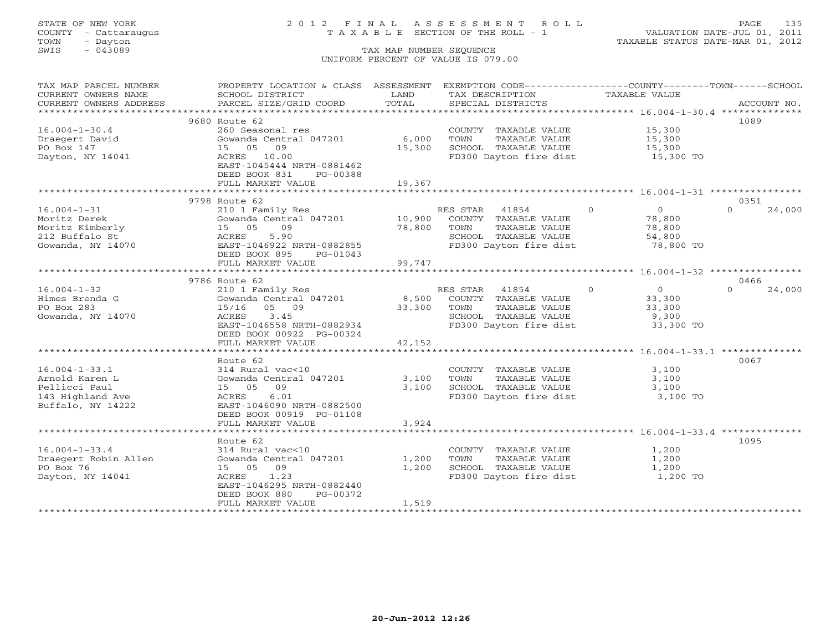## STATE OF NEW YORK 2 0 1 2 F I N A L A S S E S S M E N T R O L L PAGE 135 COUNTY - Cattaraugus T A X A B L E SECTION OF THE ROLL - 1 VALUATION DATE-JUL 01, 2011

| TAX MAP PARCEL NUMBER                               | PROPERTY LOCATION & CLASS ASSESSMENT EXEMPTION CODE----------------COUNTY-------TOWN------SCHOOL |        |                                                                 |                                  |                    |
|-----------------------------------------------------|--------------------------------------------------------------------------------------------------|--------|-----------------------------------------------------------------|----------------------------------|--------------------|
| CURRENT OWNERS NAME                                 | SCHOOL DISTRICT                                                                                  | LAND   | TAX DESCRIPTION                                                 | TAXABLE VALUE                    |                    |
| CURRENT OWNERS ADDRESS                              | PARCEL SIZE/GRID COORD                                                                           | TOTAL  | SPECIAL DISTRICTS                                               |                                  | ACCOUNT NO.        |
| *************************                           |                                                                                                  |        |                                                                 |                                  |                    |
|                                                     | 9680 Route 62                                                                                    |        |                                                                 |                                  | 1089               |
| $16.004 - 1 - 30.4$                                 | 260 Seasonal res                                                                                 |        | COUNTY TAXABLE VALUE 15,300                                     |                                  |                    |
| Draegert David                                      | Gowanda Central 047201                                                                           | 6,000  | TOWN<br>TAXABLE VALUE                                           | 15,300                           |                    |
| PO Box 147                                          | 15 05 09                                                                                         | 15,300 | SCHOOL TAXABLE VALUE                                            | 15,300                           |                    |
| Dayton, NY 14041                                    | ACRES 10.00                                                                                      |        | FD300 Dayton fire dist 15,300 TO                                |                                  |                    |
|                                                     | EAST-1045444 NRTH-0881462                                                                        |        |                                                                 |                                  |                    |
|                                                     | DEED BOOK 831<br>PG-00388                                                                        |        |                                                                 |                                  |                    |
|                                                     | FULL MARKET VALUE                                                                                | 19,367 |                                                                 |                                  |                    |
|                                                     |                                                                                                  |        |                                                                 |                                  |                    |
|                                                     | 9798 Route 62                                                                                    |        |                                                                 |                                  | 0351               |
| $16.004 - 1 - 31$                                   | 210 1 Family Res                                                                                 |        |                                                                 | $\Omega$<br>$\overline{0}$       | $\Omega$<br>24,000 |
| Moritz Derek                                        |                                                                                                  |        |                                                                 | 78,800                           |                    |
|                                                     | 15 05<br>09                                                                                      | 78,800 | TOWN<br>TAXABLE VALUE                                           | 78,800                           |                    |
| Moritz Kimberly<br>212 Buffalo St<br>212 Buffalo St | 5.90<br>ACRES                                                                                    |        |                                                                 |                                  |                    |
| Gowanda, NY 14070                                   | EAST-1046922 NRTH-0882855                                                                        |        | SCHOOL TAXABLE VALUE 54,800<br>FD300 Dayton fire dist 78,800 TO |                                  |                    |
|                                                     | DEED BOOK 895<br>PG-01043                                                                        |        |                                                                 |                                  |                    |
|                                                     | FULL MARKET VALUE                                                                                | 99,747 |                                                                 |                                  |                    |
|                                                     |                                                                                                  |        |                                                                 |                                  |                    |
|                                                     | 9786 Route 62                                                                                    |        |                                                                 |                                  | 0466               |
| $16.004 - 1 - 32$                                   | 210 1 Family Res                                                                                 |        | RES STAR 41854                                                  | $\overline{0}$<br>$\overline{0}$ | 24,000<br>$\Omega$ |
| Himes Brenda G                                      | Gowanda Central 047201                                                                           |        | 8,500 COUNTY TAXABLE VALUE                                      | 33,300                           |                    |
| PO Box 283                                          | 15/16 05 09                                                                                      | 33,300 | TOWN                                                            |                                  |                    |
| Gowanda, NY 14070                                   | ACRES 3.45                                                                                       |        | TAXABLE VALUE<br>SCHOOL TAXABLE VALUE                           | 33,300<br>9,300                  |                    |
|                                                     | EAST-1046558 NRTH-0882934                                                                        |        | FD300 Dayton fire dist 33,300 TO                                |                                  |                    |
|                                                     |                                                                                                  |        |                                                                 |                                  |                    |
|                                                     | DEED BOOK 00922 PG-00324<br>FULL MARKET VALUE                                                    | 42,152 |                                                                 |                                  |                    |
|                                                     |                                                                                                  |        |                                                                 |                                  |                    |
|                                                     |                                                                                                  |        |                                                                 |                                  |                    |
|                                                     | Route 62                                                                                         |        |                                                                 |                                  | 0067               |
| $16.004 - 1 - 33.1$                                 | 314 Rural vac<10                                                                                 |        | COUNTY TAXABLE VALUE                                            | 3,100                            |                    |
| Arnold Karen L                                      | Gowanda Central 047201                                                                           | 3,100  | TAXABLE VALUE<br>TOWN                                           | 3,100                            |                    |
| Pellicci Paul                                       | 15 05 09                                                                                         | 3,100  | SCHOOL TAXABLE VALUE<br>FD300 Dayton fire dist                  | 3,100                            |                    |
| 143 Highland Ave                                    | ACRES<br>6.01                                                                                    |        |                                                                 | 3,100 TO                         |                    |
| Buffalo, NY 14222                                   | EAST-1046090 NRTH-0882500                                                                        |        |                                                                 |                                  |                    |
|                                                     | DEED BOOK 00919 PG-01108                                                                         |        |                                                                 |                                  |                    |
|                                                     | FULL MARKET VALUE                                                                                | 3,924  |                                                                 |                                  |                    |
|                                                     |                                                                                                  |        |                                                                 |                                  |                    |
|                                                     | Route 62                                                                                         |        |                                                                 |                                  | 1095               |
| $16.004 - 1 - 33.4$                                 | 314 Rural vac<10                                                                                 |        | COUNTY TAXABLE VALUE                                            | 1,200                            |                    |
| Draegert Robin Allen                                | Gowanda Central 047201                                                                           | 1,200  | TOWN<br>TAXABLE VALUE                                           | 1,200                            |                    |
| PO Box 76                                           | 15 05 09                                                                                         | 1,200  | SCHOOL TAXABLE VALUE<br>FD300 Dayton fire dist                  | 1,200                            |                    |
| Dayton, NY 14041                                    | ACRES 1.23                                                                                       |        |                                                                 | 1,200 TO                         |                    |
|                                                     | EAST-1046295 NRTH-0882440                                                                        |        |                                                                 |                                  |                    |
|                                                     | DEED BOOK 880<br>PG-00372                                                                        |        |                                                                 |                                  |                    |
|                                                     | FULL MARKET VALUE                                                                                | 1,519  |                                                                 |                                  |                    |
|                                                     |                                                                                                  |        |                                                                 |                                  |                    |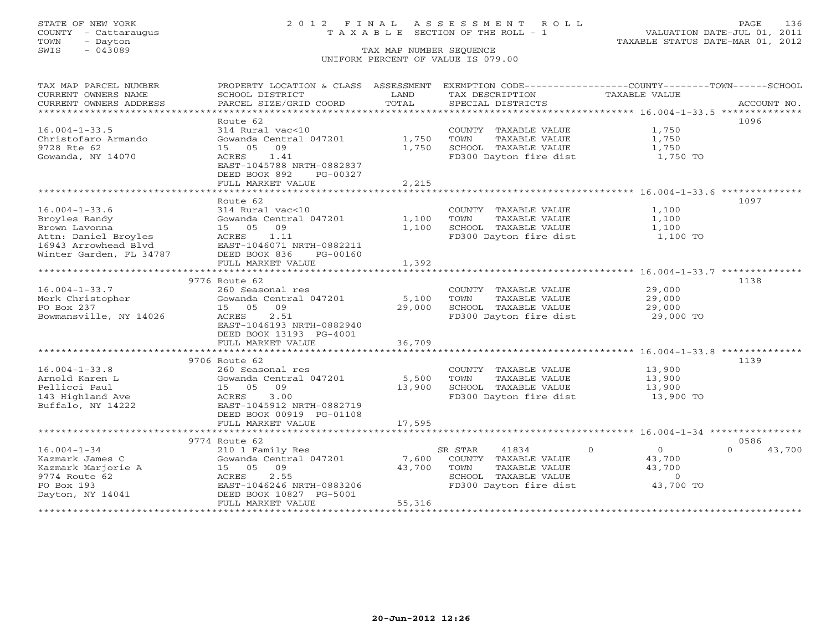COUNTY - Cattaraugus T A X A B L E SECTION OF THE ROLL - 1<br>TOWN - Dayton<br>SWIS - 043089 TAX MAP NUMBER SEQUENCE

# STATE OF NEW YORK 2 0 1 2 F I N A L A S S E S S M E N T R O L L PAGE 136

VALUATION DATE-JUL 01, 2011 TAXABLE STATUS DATE-MAR 01, 2012

### TAX MAP NUMBER SEQUENCE UNIFORM PERCENT OF VALUE IS 079.00

| TAX MAP PARCEL NUMBER<br>CURRENT OWNERS NAME<br>CURRENT OWNERS ADDRESS                                | PROPERTY LOCATION & CLASS ASSESSMENT<br>SCHOOL DISTRICT<br>PARCEL SIZE/GRID COORD                                                                | LAND<br>TOTAL   | EXEMPTION CODE----------------COUNTY-------TOWN------SCHOOL<br>TAX DESCRIPTION<br>SPECIAL DISTRICTS | TAXABLE VALUE                                               | ACCOUNT NO.                |
|-------------------------------------------------------------------------------------------------------|--------------------------------------------------------------------------------------------------------------------------------------------------|-----------------|-----------------------------------------------------------------------------------------------------|-------------------------------------------------------------|----------------------------|
|                                                                                                       |                                                                                                                                                  |                 |                                                                                                     |                                                             |                            |
| $16.004 - 1 - 33.5$<br>Christofaro Armando<br>9728 Rte 62<br>Gowanda, NY 14070                        | Route 62<br>314 Rural vac<10<br>Gowanda Central 047201<br>09<br>15 05<br>1.41<br>ACRES<br>EAST-1045788 NRTH-0882837<br>DEED BOOK 892<br>PG-00327 | 1,750<br>1,750  | COUNTY TAXABLE VALUE<br>TOWN<br>TAXABLE VALUE<br>SCHOOL TAXABLE VALUE<br>FD300 Dayton fire dist     | 1,750<br>1,750<br>1,750<br>1,750 TO                         | 1096                       |
|                                                                                                       | FULL MARKET VALUE                                                                                                                                | 2,215           |                                                                                                     |                                                             |                            |
|                                                                                                       |                                                                                                                                                  |                 |                                                                                                     |                                                             |                            |
| $16.004 - 1 - 33.6$<br>Broyles Randy<br>Brown Lavonna<br>Attn: Daniel Broyles<br>16943 Arrowhead Blvd | Route 62<br>314 Rural vac<10<br>Gowanda Central 047201<br>09<br>15 05<br>ACRES<br>1.11<br>EAST-1046071 NRTH-0882211                              | 1,100<br>1,100  | COUNTY TAXABLE VALUE<br>TOWN<br>TAXABLE VALUE<br>SCHOOL TAXABLE VALUE<br>FD300 Dayton fire dist     | 1,100<br>1,100<br>1,100<br>1,100 TO                         | 1097                       |
| Winter Garden, FL 34787                                                                               | DEED BOOK 836<br>PG-00160                                                                                                                        |                 |                                                                                                     |                                                             |                            |
|                                                                                                       | FULL MARKET VALUE                                                                                                                                | 1,392           |                                                                                                     |                                                             |                            |
|                                                                                                       | *************************                                                                                                                        | **********      |                                                                                                     | ********************************** 16.004-1-33.7 ********** |                            |
|                                                                                                       | 9776 Route 62                                                                                                                                    |                 |                                                                                                     |                                                             | 1138                       |
| $16.004 - 1 - 33.7$<br>Merk Christopher                                                               | 260 Seasonal res<br>Gowanda Central 047201                                                                                                       | 5,100           | COUNTY TAXABLE VALUE<br>TOWN<br>TAXABLE VALUE                                                       | 29,000<br>29,000                                            |                            |
| PO Box 237                                                                                            | 09<br>15 05                                                                                                                                      | 29,000          | SCHOOL TAXABLE VALUE                                                                                | 29,000                                                      |                            |
| Bowmansville, NY 14026                                                                                | ACRES<br>2.51<br>EAST-1046193 NRTH-0882940<br>DEED BOOK 13193 PG-4001                                                                            |                 | FD300 Dayton fire dist                                                                              | 29,000 TO                                                   |                            |
|                                                                                                       | FULL MARKET VALUE                                                                                                                                | 36,709          |                                                                                                     |                                                             |                            |
|                                                                                                       |                                                                                                                                                  |                 |                                                                                                     |                                                             |                            |
| $16.004 - 1 - 33.8$                                                                                   | 9706 Route 62<br>260 Seasonal res                                                                                                                |                 | COUNTY TAXABLE VALUE                                                                                | 13,900                                                      | 1139                       |
| Arnold Karen L                                                                                        | Gowanda Central 047201                                                                                                                           | 5,500           | TOWN<br>TAXABLE VALUE                                                                               | 13,900                                                      |                            |
| Pellicci Paul                                                                                         | 15 05 09                                                                                                                                         | 13,900          | SCHOOL TAXABLE VALUE                                                                                | 13,900                                                      |                            |
| 143 Highland Ave<br>Buffalo, NY 14222                                                                 | 3.00<br>ACRES<br>EAST-1045912 NRTH-0882719<br>DEED BOOK 00919 PG-01108                                                                           |                 | FD300 Dayton fire dist                                                                              | 13,900 TO                                                   |                            |
|                                                                                                       | FULL MARKET VALUE                                                                                                                                | 17,595          |                                                                                                     |                                                             |                            |
|                                                                                                       |                                                                                                                                                  |                 |                                                                                                     |                                                             |                            |
| $16.004 - 1 - 34$                                                                                     | 9774 Route 62<br>210 1 Family Res                                                                                                                |                 | 41834<br>SR STAR                                                                                    | $\Omega$<br>$\overline{O}$                                  | 0586<br>$\Omega$<br>43,700 |
| Kazmark James C<br>Kazmark Marjorie A<br>9774 Route 62                                                | Gowanda Central 047201<br>15 05 09<br>2.55<br>ACRES                                                                                              | 7,600<br>43,700 | COUNTY TAXABLE VALUE<br>TOWN<br>TAXABLE VALUE<br>SCHOOL TAXABLE VALUE                               | 43,700<br>43,700<br>$\Omega$                                |                            |
| PO Box 193<br>Dayton, NY 14041                                                                        | EAST-1046246 NRTH-0883206<br>DEED BOOK 10827 PG-5001<br>FULL MARKET VALUE                                                                        | 55,316          | FD300 Dayton fire dist                                                                              | 43,700 TO                                                   |                            |
|                                                                                                       |                                                                                                                                                  |                 |                                                                                                     |                                                             |                            |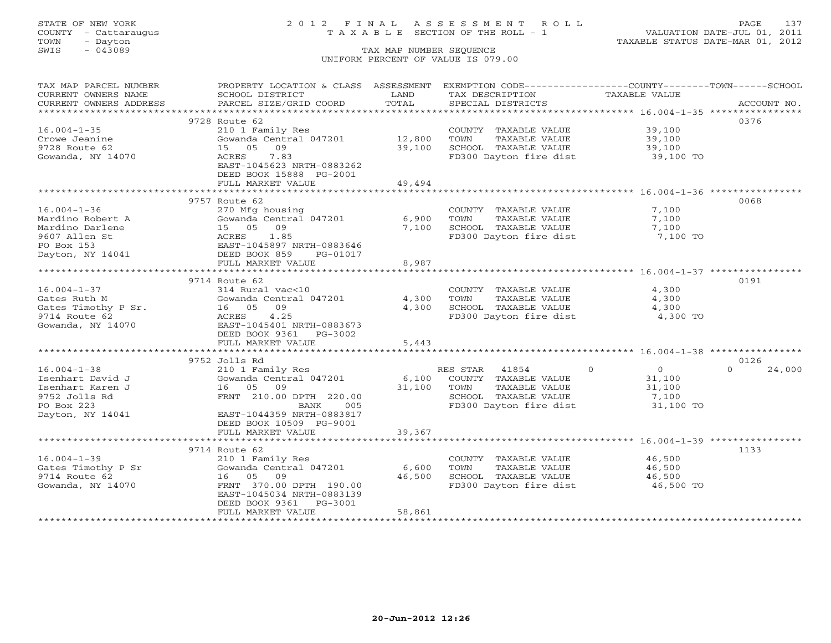## STATE OF NEW YORK 2 0 1 2 F I N A L A S S E S S M E N T R O L L PAGE 137 COUNTY - Cattaraugus T A X A B L E SECTION OF THE ROLL - 1 VALUATION DATE-JUL 01, 2011

| TAX MAP PARCEL NUMBER  | PROPERTY LOCATION & CLASS ASSESSMENT         |        | EXEMPTION CODE-----------------COUNTY-------TOWN------SCHOOL |                    |                  |
|------------------------|----------------------------------------------|--------|--------------------------------------------------------------|--------------------|------------------|
| CURRENT OWNERS NAME    | SCHOOL DISTRICT                              | LAND   | TAX DESCRIPTION                                              | TAXABLE VALUE      |                  |
| CURRENT OWNERS ADDRESS | PARCEL SIZE/GRID COORD                       | TOTAL  | SPECIAL DISTRICTS                                            |                    | ACCOUNT NO.      |
|                        |                                              |        |                                                              |                    |                  |
|                        | 9728 Route 62                                |        |                                                              |                    | 0376             |
| $16.004 - 1 - 35$      | 210 1 Family Res                             |        | COUNTY TAXABLE VALUE                                         | 39,100             |                  |
| Crowe Jeanine          | Gowanda Central 047201                       | 12,800 | TAXABLE VALUE<br>TOWN                                        | 39,100             |                  |
| 9728 Route 62          | 09<br>15 05                                  | 39,100 | SCHOOL TAXABLE VALUE                                         | 39,100             |                  |
| Gowanda, NY 14070      | 7.83<br>ACRES                                |        | FD300 Dayton fire dist                                       | 39,100 TO          |                  |
|                        | EAST-1045623 NRTH-0883262                    |        |                                                              |                    |                  |
|                        | DEED BOOK 15888 PG-2001                      |        |                                                              |                    |                  |
|                        | FULL MARKET VALUE                            | 49,494 |                                                              |                    |                  |
|                        |                                              |        |                                                              |                    |                  |
|                        | 9757 Route 62                                |        |                                                              |                    | 0068             |
| $16.004 - 1 - 36$      | 270 Mfg housing                              |        | COUNTY TAXABLE VALUE                                         | 7,100              |                  |
| Mardino Robert A       | Gowanda Central 047201                       | 6,900  | TAXABLE VALUE<br>TOWN                                        | 7,100              |                  |
| Mardino Darlene        | 15 05 09                                     | 7,100  | SCHOOL TAXABLE VALUE                                         | 7,100              |                  |
| 9607 Allen St          | ACRES<br>1.85                                |        | FD300 Dayton fire dist                                       | 7,100 TO           |                  |
| PO Box 153             | EAST-1045897 NRTH-0883646                    |        |                                                              |                    |                  |
| Dayton, NY 14041       | DEED BOOK 859<br>PG-01017                    |        |                                                              |                    |                  |
|                        | FULL MARKET VALUE                            | 8,987  |                                                              |                    |                  |
|                        |                                              |        |                                                              |                    |                  |
|                        | 9714 Route 62                                |        |                                                              |                    | 0191             |
| $16.004 - 1 - 37$      | 314 Rural vac<10                             |        | COUNTY TAXABLE VALUE                                         | 4,300              |                  |
| Gates Ruth M           | Gowanda Central 047201                       | 4,300  | TAXABLE VALUE<br>TOWN                                        | 4,300              |                  |
| Gates Timothy P Sr.    | 16 05<br>09                                  | 4,300  | SCHOOL TAXABLE VALUE                                         | 4,300              |                  |
| 9714 Route 62          | 4.25<br>ACRES                                |        | FD300 Dayton fire dist                                       | 4,300 TO           |                  |
| Gowanda, NY 14070      | EAST-1045401 NRTH-0883673                    |        |                                                              |                    |                  |
|                        | DEED BOOK 9361<br>$PG-3002$                  |        |                                                              |                    |                  |
|                        | FULL MARKET VALUE                            | 5,443  |                                                              |                    |                  |
|                        |                                              |        |                                                              |                    |                  |
|                        | 9752 Jolls Rd                                |        |                                                              |                    | 0126<br>$\Omega$ |
| $16.004 - 1 - 38$      | 210 1 Family Res                             |        | RES STAR<br>41854                                            | $\circ$<br>$\circ$ | 24,000           |
| Isenhart David J       | Gowanda Central 047201                       | 6,100  | COUNTY TAXABLE VALUE                                         | 31,100             |                  |
| Isenhart Karen J       | 16 05 09                                     | 31,100 | TOWN<br>TAXABLE VALUE<br>SCHOOL TAXABLE VALUE                | 31,100             |                  |
| 9752 Jolls Rd          | FRNT 210.00 DPTH 220.00<br>005               |        | FD300 Dayton fire dist                                       | 7,100              |                  |
| PO Box 223             | BANK                                         |        |                                                              | 31,100 TO          |                  |
| Dayton, NY 14041       | EAST-1044359 NRTH-0883817                    |        |                                                              |                    |                  |
|                        | DEED BOOK 10509 PG-9001<br>FULL MARKET VALUE | 39,367 |                                                              |                    |                  |
|                        |                                              |        |                                                              |                    |                  |
|                        | 9714 Route 62                                |        |                                                              |                    | 1133             |
| $16.004 - 1 - 39$      |                                              |        | COUNTY TAXABLE VALUE                                         | 46,500             |                  |
| Gates Timothy P Sr     | 210 1 Family Res<br>Gowanda Central 047201   | 6,600  | TOWN<br>TAXABLE VALUE                                        | 46,500             |                  |
| 9714 Route 62          | 16 05 09                                     | 46,500 | SCHOOL TAXABLE VALUE                                         | 46,500             |                  |
| Gowanda, NY 14070      | FRNT 370.00 DPTH 190.00                      |        | FD300 Dayton fire dist                                       | 46,500 TO          |                  |
|                        | EAST-1045034 NRTH-0883139                    |        |                                                              |                    |                  |
|                        | DEED BOOK 9361<br>PG-3001                    |        |                                                              |                    |                  |
|                        | FULL MARKET VALUE                            | 58,861 |                                                              |                    |                  |
|                        |                                              |        |                                                              |                    |                  |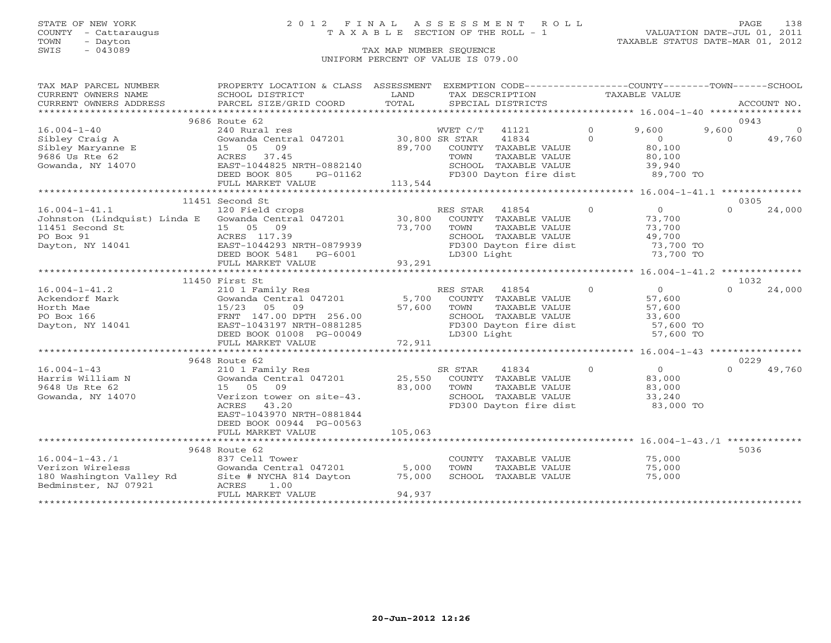## STATE OF NEW YORK 2 0 1 2 F I N A L A S S E S S M E N T R O L L PAGE 138 COUNTY - Cattaraugus T A X A B L E SECTION OF THE ROLL - 1 VALUATION DATE-JUL 01, 2011

| TAX MAP PARCEL NUMBER<br>CURRENT OWNERS NAME | PROPERTY LOCATION & CLASS ASSESSMENT<br>SCHOOL DISTRICT    | LAND    |                | EXEMPTION CODE-----------------COUNTY-------TOWN------SCHOOL<br>TAX DESCRIPTION |                | TAXABLE VALUE          |          |                |
|----------------------------------------------|------------------------------------------------------------|---------|----------------|---------------------------------------------------------------------------------|----------------|------------------------|----------|----------------|
| CURRENT OWNERS ADDRESS                       | PARCEL SIZE/GRID COORD                                     | TOTAL   |                | SPECIAL DISTRICTS                                                               |                |                        |          | ACCOUNT NO.    |
|                                              |                                                            |         |                |                                                                                 |                |                        |          |                |
|                                              | 9686 Route 62                                              |         |                |                                                                                 |                |                        |          | 0943           |
| $16.004 - 1 - 40$                            | 240 Rural res                                              |         | WVET C/T 41121 |                                                                                 | $\Omega$       | 9,600                  | 9,600    | $\overline{0}$ |
| Sibley Craig A                               | Gowanda Central 047201 30,800 SR STAR                      |         |                | 41834                                                                           | $\Omega$       | $\Omega$               | $\Omega$ | 49,760         |
| Sibley Maryanne E                            | 15 05<br>09                                                | 89,700  |                | COUNTY TAXABLE VALUE                                                            |                | 80,100                 |          |                |
| 9686 Us Rte 62<br>Gowanda, NY 14070          | 37.45<br>ACRES<br>EAST-1044825 NRTH-0882140                |         | TOWN           | TAXABLE VALUE<br>SCHOOL TAXABLE VALUE                                           |                | 80,100                 |          |                |
|                                              | PG-01162                                                   |         |                | SCHOOL TAXABLE VALUE<br>FD300 Dayton fire dist                                  |                | 39,940<br>89,700 TO    |          |                |
|                                              | DEED BOOK 805<br>FULL MARKET VALUE                         | 113,544 |                |                                                                                 |                |                        |          |                |
|                                              |                                                            |         |                |                                                                                 |                |                        |          |                |
|                                              | 11451 Second St                                            |         |                |                                                                                 |                |                        |          | 0305           |
| $16.004 - 1 - 41.1$                          | 120 Field crops                                            |         | RES STAR 41854 |                                                                                 | $\overline{0}$ | $\Omega$               | $\Omega$ | 24,000         |
|                                              | Johnston (Lindquist) Linda E Gowanda Central 047201 30,800 |         |                | COUNTY TAXABLE VALUE                                                            |                | 73,700                 |          |                |
| 11451 Second St                              | 15 05 09                                                   | 73,700  | TOWN           | TAXABLE VALUE                                                                   |                | 73,700                 |          |                |
| PO Box 91                                    | ACRES 117.39                                               |         |                | SCHOOL TAXABLE VALUE                                                            |                | 49,700                 |          |                |
| Dayton, NY 14041                             | EAST-1044293 NRTH-0879939                                  |         |                | FD300 Dayton fire dist                                                          |                | 73,700 TO              |          |                |
|                                              | DEED BOOK 5481<br>PG-6001                                  |         | LD300 Light    |                                                                                 |                | 73,700 TO              |          |                |
|                                              | FULL MARKET VALUE                                          | 93,291  |                |                                                                                 |                |                        |          |                |
|                                              |                                                            |         |                |                                                                                 |                |                        |          |                |
|                                              | 11450 First St                                             |         |                |                                                                                 |                |                        |          | 1032           |
| $16.004 - 1 - 41.2$                          | 210 1 Family Res                                           |         | RES STAR 41854 |                                                                                 | $\Omega$       | 0                      | $\Omega$ | 24,000         |
| Ackendorf Mark                               | Gowanda Central 047201                                     | 5,700   |                | COUNTY TAXABLE VALUE                                                            |                | 57,600                 |          |                |
| Horth Mae                                    | 15/23<br>05<br>09                                          | 57,600  | TOWN           | TAXABLE VALUE                                                                   |                | 57,600                 |          |                |
| PO Box 166                                   | FRNT 147.00 DPTH 256.00<br>EAST-1043197 NRTH-0881285       |         |                | SCHOOL TAXABLE VALUE<br>FD300 Dayton fire dist                                  |                | 33,600                 |          |                |
| Dayton, NY 14041                             | DEED BOOK 01008 PG-00049                                   |         | LD300 Light    |                                                                                 |                | 57,600 TO<br>57,600 TO |          |                |
|                                              | FULL MARKET VALUE                                          | 72,911  |                |                                                                                 |                |                        |          |                |
|                                              |                                                            |         |                |                                                                                 |                |                        |          |                |
|                                              | 9648 Route 62                                              |         |                |                                                                                 |                |                        |          | 0229           |
| $16.004 - 1 - 43$                            | 210 1 Family Res                                           |         | SR STAR        | 41834                                                                           | $\Omega$       | $\Omega$               | $\Omega$ | 49,760         |
| Harris William N                             | Gowanda Central 047201                                     | 25,550  |                | COUNTY TAXABLE VALUE                                                            |                | 83,000                 |          |                |
| 9648 Us Rte 62                               | 15 05 09                                                   | 83,000  | TOWN           | TAXABLE VALUE                                                                   |                | 83,000                 |          |                |
| Gowanda, NY 14070                            | Verizon tower on site-43.                                  |         |                | SCHOOL TAXABLE VALUE                                                            |                | 33,240                 |          |                |
|                                              | 43.20<br>ACRES                                             |         |                | FD300 Dayton fire dist                                                          |                | 83,000 TO              |          |                |
|                                              | EAST-1043970 NRTH-0881844                                  |         |                |                                                                                 |                |                        |          |                |
|                                              | DEED BOOK 00944 PG-00563                                   |         |                |                                                                                 |                |                        |          |                |
|                                              | FULL MARKET VALUE                                          | 105,063 |                |                                                                                 |                |                        |          |                |
|                                              |                                                            |         |                |                                                                                 |                |                        |          |                |
|                                              | 9648 Route 62                                              |         |                |                                                                                 |                |                        |          | 5036           |
| $16.004 - 1 - 43.71$                         | 837 Cell Tower                                             |         |                | COUNTY TAXABLE VALUE                                                            |                | 75,000                 |          |                |
| Verizon Wireless                             | Gowanda Central 047201 5,000                               |         | TOWN           | TAXABLE VALUE                                                                   |                | 75,000                 |          |                |
| 180 Washington Valley Rd                     | Site # NYCHA 814 Dayton                                    | 75,000  |                | SCHOOL TAXABLE VALUE                                                            |                | 75,000                 |          |                |
| Bedminster, NJ 07921                         | ACRES<br>1.00                                              |         |                |                                                                                 |                |                        |          |                |
|                                              | FULL MARKET VALUE                                          | 94,937  |                |                                                                                 |                |                        |          |                |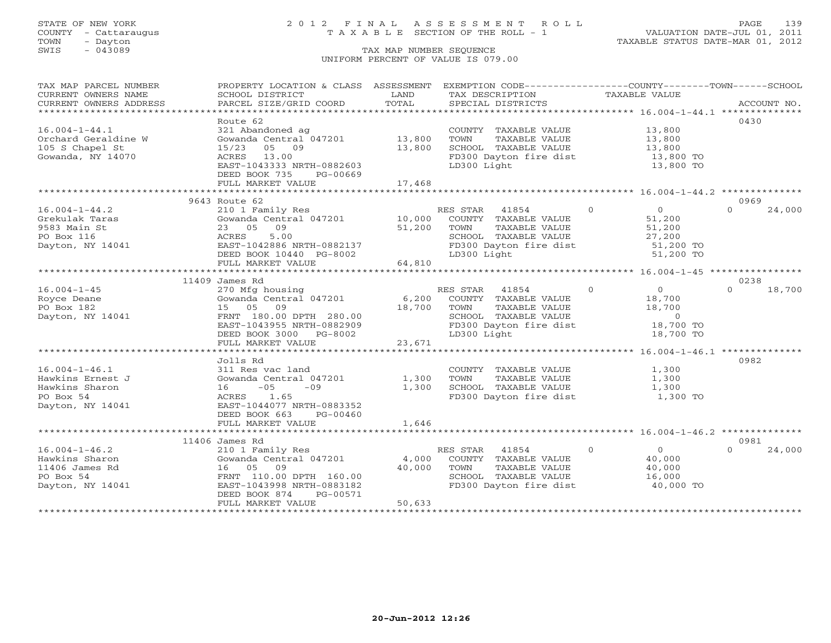COUNTY - Cattaraugus T A X A B L E SECTION OF THE ROLL - 1<br>TOWN - Dayton<br>SWIS - 043089 TAX MAP NUMBER SEQUENCE

# STATE OF NEW YORK 2 0 1 2 F I N A L A S S E S S M E N T R O L L PAGE 139

VALUATION DATE-JUL 01, 2011 TAXABLE STATUS DATE-MAR 01, 2012

### TAX MAP NUMBER SEQUENCE UNIFORM PERCENT OF VALUE IS 079.00

| TAX MAP PARCEL NUMBER | PROPERTY LOCATION & CLASS ASSESSMENT                                                                       |             | EXEMPTION CODE----------------COUNTY-------TOWN------SCHOOL |                                            |                    |
|-----------------------|------------------------------------------------------------------------------------------------------------|-------------|-------------------------------------------------------------|--------------------------------------------|--------------------|
| CURRENT OWNERS NAME   | SCHOOL DISTRICT                                                                                            | LAND        | TAX DESCRIPTION                                             | TAXABLE VALUE                              |                    |
|                       |                                                                                                            |             |                                                             |                                            |                    |
|                       |                                                                                                            |             |                                                             |                                            |                    |
|                       | Route 62                                                                                                   |             |                                                             |                                            | 0430               |
| $16.004 - 1 - 44.1$   | 321 Abandoned ag                                                                                           |             | COUNTY TAXABLE VALUE 13,800                                 |                                            |                    |
| Orchard Geraldine W   | Gowanda Central 047201 13,800                                                                              |             | TOWN<br>TAXABLE VALUE                                       |                                            |                    |
| 105 S Chapel St       | 15/23<br>05 09                                                                                             | 13,800      | SCHOOL TAXABLE VALUE                                        | 13,800<br>13,800                           |                    |
| Gowanda, NY 14070     | ACRES 13.00                                                                                                |             | FD300 Dayton fire dist                                      | 13,800 TO                                  |                    |
|                       | EAST-1043333 NRTH-0882603                                                                                  |             | LD300 Light                                                 | 13,800 TO                                  |                    |
|                       | DEED BOOK 735<br>PG-00669                                                                                  |             |                                                             |                                            |                    |
|                       | FULL MARKET VALUE                                                                                          | 17,468      |                                                             |                                            |                    |
|                       |                                                                                                            |             |                                                             |                                            |                    |
|                       | 9643 Route 62                                                                                              |             |                                                             |                                            | 0969               |
| $16.004 - 1 - 44.2$   |                                                                                                            |             | RES STAR 41854 0                                            | $\begin{array}{c}\n0 \\ 51\n\end{array}$   | $\Omega$<br>24,000 |
| Grekulak Taras        | 210 1 Family Res RE<br>Gowanda Central 047201 10,000                                                       |             | COUNTY TAXABLE VALUE                                        |                                            |                    |
| 9583 Main St          | 23 05 09                                                                                                   | 51,200      | TAXABLE VALUE<br>TOWN                                       | 51,200                                     |                    |
| PO Box 116            | 5.00<br>ACRES                                                                                              |             |                                                             | 27,200                                     |                    |
| Dayton, NY 14041      | EAST-1042886 NRTH-0882137                                                                                  |             | SCHOOL TAXABLE VALUE<br>FD300 Dayton fire dist              | 51,200 TO                                  |                    |
|                       | DEED BOOK 10440 PG-8002                                                                                    |             | LD300 Light                                                 | 51,200 TO                                  |                    |
|                       | FULL MARKET VALUE                                                                                          | 64,810      |                                                             |                                            |                    |
|                       |                                                                                                            |             |                                                             |                                            |                    |
|                       | 11409 James Rd                                                                                             |             |                                                             |                                            | 0238               |
| $16.004 - 1 - 45$     | 270 Mfg housing                                                                                            |             | RES STAR 41854 0                                            |                                            | 18,700<br>$\cap$   |
| Royce Deane           | 270 Mig nousing<br>Gowanda Central 047201 6,200 COUNTY TAXABLE VALUE                                       |             |                                                             | $\begin{array}{c} 0 \\ 18,700 \end{array}$ |                    |
| PO Box 182            | 15 05 09                                                                                                   | 18,700 TOWN |                                                             | TAXABLE VALUE 18,700                       |                    |
| Dayton, NY 14041      |                                                                                                            |             |                                                             |                                            |                    |
|                       |                                                                                                            |             | SCHOOL TAXABLE VALUE 0<br>FD300 Dayton fire dist 18,700 TO  |                                            |                    |
|                       |                                                                                                            |             | LD300 Light                                                 | 18,700 TO                                  |                    |
|                       | FRNT 180.00 DPTH 280.00<br>EAST-1043955 NRTH-0882909<br>DEED BOOK 3000 PG-8002<br>FULL MARKET VALUE 23,671 |             |                                                             |                                            |                    |
|                       |                                                                                                            |             |                                                             |                                            |                    |
|                       | Jolls Rd                                                                                                   |             |                                                             |                                            | 0982               |
| $16.004 - 1 - 46.1$   | 311 Res vac land                                                                                           |             | COUNTY TAXABLE VALUE                                        | 1,300                                      |                    |
| Hawkins Ernest J      | Gowanda Central 047201                                                                                     | 1,300       | TOWN<br>TAXABLE VALUE                                       | 1,300                                      |                    |
| Hawkins Sharon        | $16 - 05$<br>$-09$                                                                                         | 1,300       | SCHOOL TAXABLE VALUE                                        | 1,300                                      |                    |
| PO Box 54             | ACRES 1.65                                                                                                 |             | FD300 Dayton fire dist                                      | 1,300 TO                                   |                    |
| Dayton, NY 14041      | EAST-1044077 NRTH-0883352                                                                                  |             |                                                             |                                            |                    |
|                       | DEED BOOK 663<br>PG-00460                                                                                  |             |                                                             |                                            |                    |
|                       | FULL MARKET VALUE                                                                                          | 1,646       |                                                             |                                            |                    |
|                       |                                                                                                            |             |                                                             |                                            |                    |
|                       | 11406 James Rd                                                                                             |             |                                                             |                                            | 0981               |
| $16.004 - 1 - 46.2$   | 210 1 Family Res                                                                                           |             | RES STAR 41854                                              | $\overline{0}$<br>$\Omega$                 | $\Omega$<br>24,000 |
| Hawkins Sharon        | Gowanda Central $047201$ 4,000                                                                             |             | COUNTY TAXABLE VALUE                                        | 40,000                                     |                    |
| 11406 James Rd        | 16 05 09                                                                                                   | 40,000      | TOWN<br>TAXABLE VALUE                                       | 40,000                                     |                    |
| PO Box 54             | FRNT 110.00 DPTH 160.00                                                                                    |             | SCHOOL TAXABLE VALUE                                        | 16,000                                     |                    |
| Dayton, NY 14041      | EAST-1043998 NRTH-0883182                                                                                  |             | FD300 Dayton fire dist                                      | 40,000 TO                                  |                    |
|                       | PG-00571<br>DEED BOOK 874                                                                                  |             |                                                             |                                            |                    |
|                       | FULL MARKET VALUE                                                                                          | 50,633      |                                                             |                                            |                    |
|                       |                                                                                                            |             |                                                             |                                            |                    |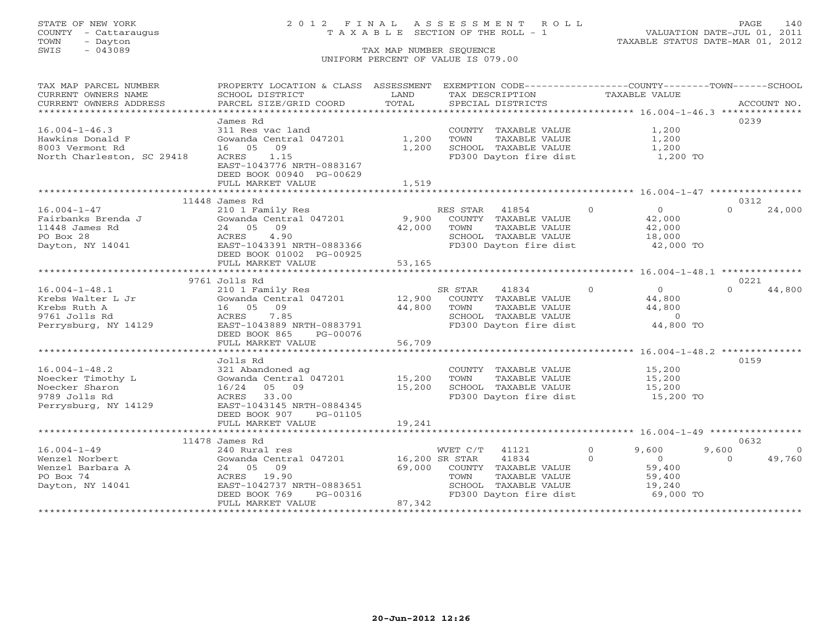| TAX MAP PARCEL NUMBER      | PROPERTY LOCATION & CLASS ASSESSMENT EXEMPTION CODE----------------COUNTY-------TOWN------SCHOOL |                |                                                |                                     |                     |
|----------------------------|--------------------------------------------------------------------------------------------------|----------------|------------------------------------------------|-------------------------------------|---------------------|
| CURRENT OWNERS NAME        | SCHOOL DISTRICT                                                                                  | LAND           | TAX DESCRIPTION                                | <b>TAXABLE VALUE</b>                |                     |
| CURRENT OWNERS ADDRESS     | PARCEL SIZE/GRID COORD                                                                           | TOTAL          | SPECIAL DISTRICTS                              |                                     | ACCOUNT NO.         |
|                            |                                                                                                  |                |                                                |                                     |                     |
|                            | James Rd                                                                                         |                |                                                |                                     | 0239                |
| $16.004 - 1 - 46.3$        | 311 Res vac land                                                                                 |                | COUNTY TAXABLE VALUE                           | 1,200                               |                     |
| Hawkins Donald F           | Gowanda Central 047201                                                                           | 1,200          | TOWN<br>TAXABLE VALUE                          | 1,200                               |                     |
| 8003 Vermont Rd            | 09<br>16 05                                                                                      | 1,200          | SCHOOL TAXABLE VALUE                           | 1,200                               |                     |
| North Charleston, SC 29418 | 1.15<br>ACRES                                                                                    |                | FD300 Dayton fire dist                         | 1,200 TO                            |                     |
|                            | EAST-1043776 NRTH-0883167                                                                        |                |                                                |                                     |                     |
|                            | DEED BOOK 00940 PG-00629                                                                         |                |                                                |                                     |                     |
|                            | FULL MARKET VALUE                                                                                | 1,519          |                                                |                                     |                     |
|                            | *************************                                                                        | ***********    |                                                |                                     |                     |
|                            | 11448 James Rd                                                                                   |                |                                                |                                     | 0312                |
| $16.004 - 1 - 47$          | 210 1 Family Res                                                                                 |                | RES STAR 41854                                 | $\overline{0}$<br>$0 \qquad \qquad$ | 24,000<br>$\Omega$  |
| Fairbanks Brenda J         | Gowanda Central 047201                                                                           |                | 9,900 COUNTY TAXABLE VALUE                     | 42,000                              |                     |
| 11448 James Rd             | 09<br>24 05                                                                                      | 42,000         | TAXABLE VALUE<br>TOWN                          | 42,000                              |                     |
| PO Box 28                  | 4.90<br>ACRES                                                                                    |                |                                                | 18,000                              |                     |
| Dayton, NY 14041           | EAST-1043391 NRTH-0883366                                                                        |                | SCHOOL TAXABLE VALUE<br>FD300 Dayton fire dist | 42,000 TO                           |                     |
|                            | DEED BOOK 01002 PG-00925                                                                         |                |                                                |                                     |                     |
|                            | FULL MARKET VALUE                                                                                | 53,165         |                                                |                                     |                     |
|                            |                                                                                                  |                |                                                |                                     |                     |
|                            | 9761 Jolls Rd                                                                                    |                |                                                |                                     | 0221                |
| $16.004 - 1 - 48.1$        | 210 1 Family Res                                                                                 |                | SR STAR<br>41834                               | $\overline{0}$<br>$\overline{0}$    | 44,800              |
| Krebs Walter L Jr          | Gowanda Central 047201                                                                           |                | 12,900 COUNTY TAXABLE VALUE                    | 44,800                              |                     |
| Krebs Ruth A               | 16  05  09                                                                                       | 44,800         | TOWN<br>TAXABLE VALUE                          | 44,800                              |                     |
| 9761 Jolls Rd              | ACRES<br>7.85                                                                                    |                | SCHOOL TAXABLE VALUE                           | $\overline{0}$                      |                     |
| Perrysburg, NY 14129       | EAST-1043889 NRTH-0883791                                                                        |                | FD300 Dayton fire dist                         | 44,800 TO                           |                     |
|                            | DEED BOOK 865<br>PG-00076                                                                        |                |                                                |                                     |                     |
|                            | FULL MARKET VALUE                                                                                | 56,709         |                                                |                                     |                     |
|                            |                                                                                                  |                |                                                |                                     |                     |
|                            |                                                                                                  |                |                                                |                                     | 0159                |
| $16.004 - 1 - 48.2$        | Jolls Rd                                                                                         |                |                                                |                                     |                     |
|                            | 321 Abandoned ag<br>321 Abandoned ag<br>Gowanda Central 047201             15,200                |                | COUNTY TAXABLE VALUE                           | 15,200                              |                     |
| Noecker Timothy L          |                                                                                                  |                | TOWN<br>TAXABLE VALUE                          | 15,200                              |                     |
| Noecker Sharon             | 16/24 05 09                                                                                      | 15,200         | SCHOOL TAXABLE VALUE                           | 15,200<br>15,200 TO                 |                     |
| 9789 Jolls Rd              | ACRES 33.00                                                                                      |                | FD300 Dayton fire dist                         |                                     |                     |
| Perrysburg, NY 14129       | EAST-1043145 NRTH-0884345                                                                        |                |                                                |                                     |                     |
|                            | DEED BOOK 907<br>PG-01105                                                                        |                |                                                |                                     |                     |
|                            | FULL MARKET VALUE                                                                                | 19,241         |                                                |                                     |                     |
|                            |                                                                                                  |                |                                                |                                     |                     |
|                            | 11478 James Rd                                                                                   |                |                                                |                                     | 0632                |
| $16.004 - 1 - 49$          | 240 Rural res                                                                                    |                | WVET C/T 41121                                 | $\circ$<br>9,600                    | 9,600<br>$\bigcirc$ |
| Wenzel Norbert             | Gowanda Central 047201                                                                           | 16,200 SR STAR | 41834                                          | $\Omega$<br>$\overline{0}$          | 49,760<br>$\Omega$  |
| Wenzel Barbara A           | 24 05 09                                                                                         |                | 69,000 COUNTY TAXABLE VALUE                    | 59,400                              |                     |
| PO Box 74                  | ACRES 19.90                                                                                      |                | TAXABLE VALUE<br>TOWN                          | 59,400                              |                     |
| Dayton, NY 14041           | EAST-1042737 NRTH-0883651                                                                        |                | SCHOOL TAXABLE VALUE                           | 19,240                              |                     |
|                            | DEED BOOK 769<br>PG-00316                                                                        |                | FD300 Dayton fire dist                         | 69,000 TO                           |                     |
|                            | FULL MARKET VALUE                                                                                | 87,342         |                                                |                                     |                     |
|                            |                                                                                                  |                |                                                |                                     |                     |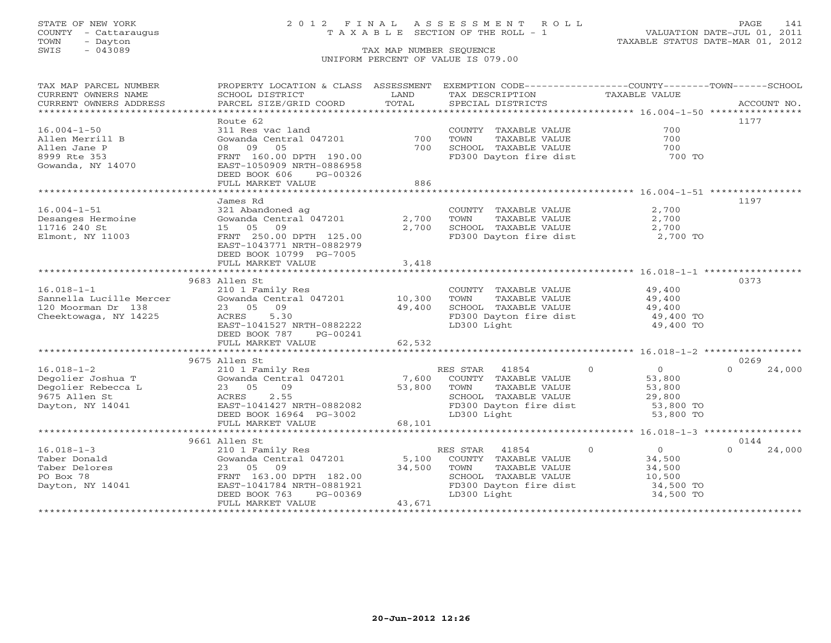## STATE OF NEW YORK 2 0 1 2 F I N A L A S S E S S M E N T R O L L PAGE 141 COUNTY - Cattaraugus T A X A B L E SECTION OF THE ROLL - 1 VALUATION DATE-JUL 01, 2011

| TAX MAP PARCEL NUMBER                                                | PROPERTY LOCATION & CLASS ASSESSMENT                                                                                                                                                                                                                                                                                                                                                                                                                                                                                         |        | EXEMPTION CODE----------------COUNTY-------TOWN------SCHOOL |                                  |                    |
|----------------------------------------------------------------------|------------------------------------------------------------------------------------------------------------------------------------------------------------------------------------------------------------------------------------------------------------------------------------------------------------------------------------------------------------------------------------------------------------------------------------------------------------------------------------------------------------------------------|--------|-------------------------------------------------------------|----------------------------------|--------------------|
| CURRENT OWNERS NAME                                                  | SCHOOL DISTRICT                                                                                                                                                                                                                                                                                                                                                                                                                                                                                                              | LAND   | TAX DESCRIPTION                                             | TAXABLE VALUE                    |                    |
| CURRENT OWNERS ADDRESS                                               |                                                                                                                                                                                                                                                                                                                                                                                                                                                                                                                              |        |                                                             |                                  |                    |
| ******************************                                       | ${\small \begin{minipage}{0.5\textwidth} \begin{minipage}{0.5\textwidth} \begin{minipage}{0.5\textwidth} \begin{minipage}{0.5\textwidth} \begin{minipage}{0.5\textwidth} \begin{minipage}{0.5\textwidth} \begin{minipage}{0.5\textwidth} \begin{minipage}{0.5\textwidth} \begin{minipage}{0.5\textwidth} \begin{minipage}{0.5\textwidth} \begin{minipage}{0.5\textwidth} \begin{minipage}{0.5\textwidth} \begin{minipage}{0.5\textwidth} \begin{minipage}{0.5\textwidth} \begin{minipage}{0.5\textwidth} \begin{minipage}{0$ |        |                                                             |                                  |                    |
|                                                                      | Route 62                                                                                                                                                                                                                                                                                                                                                                                                                                                                                                                     |        |                                                             |                                  | 1177               |
| $16.004 - 1 - 50$                                                    | 311 Res vac land                                                                                                                                                                                                                                                                                                                                                                                                                                                                                                             |        | COUNTY TAXABLE VALUE                                        | 700                              |                    |
| Allen Merrill B                                                      | Gowanda Central 047201                                                                                                                                                                                                                                                                                                                                                                                                                                                                                                       | 700    | TOWN<br>TAXABLE VALUE                                       | 700                              |                    |
| Allen Jane P                                                         | 08 09 05                                                                                                                                                                                                                                                                                                                                                                                                                                                                                                                     | 700    | SCHOOL TAXABLE VALUE                                        | 700                              |                    |
| 8999 Rte 353                                                         | FRNT 160.00 DPTH 190.00                                                                                                                                                                                                                                                                                                                                                                                                                                                                                                      |        | FD300 Dayton fire dist                                      | 700 TO                           |                    |
| Gowanda, NY 14070                                                    | EAST-1050909 NRTH-0886958                                                                                                                                                                                                                                                                                                                                                                                                                                                                                                    |        |                                                             |                                  |                    |
|                                                                      | DEED BOOK 606<br>PG-00326                                                                                                                                                                                                                                                                                                                                                                                                                                                                                                    |        |                                                             |                                  |                    |
|                                                                      | FULL MARKET VALUE                                                                                                                                                                                                                                                                                                                                                                                                                                                                                                            | 886    |                                                             |                                  |                    |
|                                                                      |                                                                                                                                                                                                                                                                                                                                                                                                                                                                                                                              |        |                                                             |                                  |                    |
|                                                                      | James Rd                                                                                                                                                                                                                                                                                                                                                                                                                                                                                                                     |        |                                                             |                                  | 1197               |
| $16.004 - 1 - 51$                                                    | 321 Abandoned ag                                                                                                                                                                                                                                                                                                                                                                                                                                                                                                             |        | COUNTY TAXABLE VALUE                                        | 2,700                            |                    |
| Desanges Hermoine                                                    | Gowanda Central 047201                                                                                                                                                                                                                                                                                                                                                                                                                                                                                                       | 2,700  | TOWN<br>TAXABLE VALUE                                       | 2,700                            |                    |
| 11716 240 St                                                         | 09<br>15 05                                                                                                                                                                                                                                                                                                                                                                                                                                                                                                                  | 2,700  | SCHOOL TAXABLE VALUE                                        | 2,700                            |                    |
| Elmont, NY 11003                                                     | FRNT 250.00 DPTH 125.00                                                                                                                                                                                                                                                                                                                                                                                                                                                                                                      |        | FD300 Dayton fire dist                                      | 2,700 TO                         |                    |
|                                                                      | EAST-1043771 NRTH-0882979                                                                                                                                                                                                                                                                                                                                                                                                                                                                                                    |        |                                                             |                                  |                    |
|                                                                      | DEED BOOK 10799 PG-7005                                                                                                                                                                                                                                                                                                                                                                                                                                                                                                      |        |                                                             |                                  |                    |
|                                                                      | FULL MARKET VALUE                                                                                                                                                                                                                                                                                                                                                                                                                                                                                                            | 3,418  |                                                             |                                  |                    |
|                                                                      |                                                                                                                                                                                                                                                                                                                                                                                                                                                                                                                              |        |                                                             |                                  |                    |
|                                                                      | 9683 Allen St                                                                                                                                                                                                                                                                                                                                                                                                                                                                                                                |        |                                                             |                                  | 0373               |
| $16.018 - 1 - 1$                                                     | 210 1 Family Res                                                                                                                                                                                                                                                                                                                                                                                                                                                                                                             |        | COUNTY TAXABLE VALUE                                        | 49,400                           |                    |
|                                                                      | Gowanda Central 047201                                                                                                                                                                                                                                                                                                                                                                                                                                                                                                       | 10,300 | TOWN<br>TAXABLE VALUE                                       | 49,400                           |                    |
| Sannella Lucille Mercer<br>120 Moorman Dr 1138<br>Theoktors: Tr: 138 | 23 05 09                                                                                                                                                                                                                                                                                                                                                                                                                                                                                                                     | 49,400 | SCHOOL TAXABLE VALUE                                        |                                  |                    |
| Cheektowaga, NY 14225                                                | ACRES<br>5.30                                                                                                                                                                                                                                                                                                                                                                                                                                                                                                                |        | FD300 Dayton fire dist                                      | 49,400<br>49,400 TO              |                    |
|                                                                      | EAST-1041527 NRTH-0882222                                                                                                                                                                                                                                                                                                                                                                                                                                                                                                    |        | LD300 Light                                                 | 49,400 TO                        |                    |
|                                                                      | DEED BOOK 787                                                                                                                                                                                                                                                                                                                                                                                                                                                                                                                |        |                                                             |                                  |                    |
|                                                                      | PG-00241<br>FULL MARKET VALUE                                                                                                                                                                                                                                                                                                                                                                                                                                                                                                | 62,532 |                                                             |                                  |                    |
|                                                                      |                                                                                                                                                                                                                                                                                                                                                                                                                                                                                                                              |        |                                                             |                                  |                    |
|                                                                      |                                                                                                                                                                                                                                                                                                                                                                                                                                                                                                                              |        |                                                             |                                  |                    |
|                                                                      | 9675 Allen St                                                                                                                                                                                                                                                                                                                                                                                                                                                                                                                |        |                                                             |                                  | 0269<br>$\cap$     |
| $16.018 - 1 - 2$                                                     | 210 1 Family Res                                                                                                                                                                                                                                                                                                                                                                                                                                                                                                             |        | $\overline{0}$<br>RES STAR 41854                            | $\overline{0}$<br>53,800         | 24,000             |
| Degolier Joshua T                                                    | Gowanda Central 047201                                                                                                                                                                                                                                                                                                                                                                                                                                                                                                       | 7,600  | COUNTY TAXABLE VALUE                                        |                                  |                    |
| Degolier Rebecca L                                                   | 23 05<br>09                                                                                                                                                                                                                                                                                                                                                                                                                                                                                                                  | 53,800 | TAXABLE VALUE<br>TOWN                                       | 53,800                           |                    |
| 9675 Allen St                                                        | 2.55<br>ACRES                                                                                                                                                                                                                                                                                                                                                                                                                                                                                                                |        | SCHOOL TAXABLE VALUE                                        | 29,800                           |                    |
| Dayton, NY 14041                                                     | EAST-1041427 NRTH-0882082                                                                                                                                                                                                                                                                                                                                                                                                                                                                                                    |        | FD300 Dayton fire dist                                      | 53,800 TO                        |                    |
|                                                                      | DEED BOOK 16964 PG-3002                                                                                                                                                                                                                                                                                                                                                                                                                                                                                                      |        | LD300 Light                                                 | 53,800 TO                        |                    |
|                                                                      | FULL MARKET VALUE                                                                                                                                                                                                                                                                                                                                                                                                                                                                                                            | 68,101 |                                                             |                                  |                    |
|                                                                      |                                                                                                                                                                                                                                                                                                                                                                                                                                                                                                                              |        |                                                             |                                  |                    |
|                                                                      | 9661 Allen St                                                                                                                                                                                                                                                                                                                                                                                                                                                                                                                |        |                                                             |                                  | 0144               |
| $16.018 - 1 - 3$                                                     | 210 1 Family Res                                                                                                                                                                                                                                                                                                                                                                                                                                                                                                             |        | RES STAR 41854                                              | $\overline{0}$<br>$\overline{0}$ | $\Omega$<br>24,000 |
| Taber Donald                                                         | Gowanda Central 047201                                                                                                                                                                                                                                                                                                                                                                                                                                                                                                       | 5,100  | COUNTY TAXABLE VALUE                                        | 34,500                           |                    |
| Taber Delores                                                        | 23 05 09                                                                                                                                                                                                                                                                                                                                                                                                                                                                                                                     | 34,500 | TAXABLE VALUE<br>TOWN                                       | 34,500                           |                    |
| PO Box 78                                                            | FRNT 163.00 DPTH 182.00                                                                                                                                                                                                                                                                                                                                                                                                                                                                                                      |        | SCHOOL TAXABLE VALUE                                        | 10,500                           |                    |
| Dayton, NY 14041                                                     | EAST-1041784 NRTH-0881921                                                                                                                                                                                                                                                                                                                                                                                                                                                                                                    |        | FD300 Dayton fire dist                                      | 34,500 TO                        |                    |
|                                                                      | DEED BOOK 763<br>PG-00369                                                                                                                                                                                                                                                                                                                                                                                                                                                                                                    |        | LD300 Light                                                 | 34,500 TO                        |                    |
|                                                                      | FULL MARKET VALUE                                                                                                                                                                                                                                                                                                                                                                                                                                                                                                            | 43,671 |                                                             |                                  |                    |
|                                                                      |                                                                                                                                                                                                                                                                                                                                                                                                                                                                                                                              |        |                                                             |                                  |                    |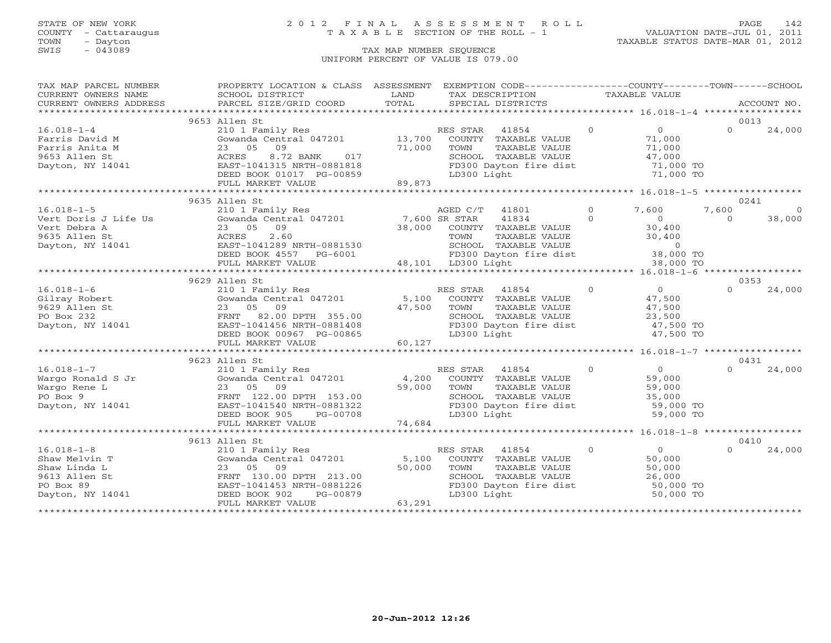TOWN - Dayton TAXABLE STATUS DATE-MAR 01, 2012 SWIS - Dayton - Dayton - Dayton - Dayton - Dayton - Dayton - Dayton - Dayton - Dayton - Dayton - Dayton - Dayton - Dayton - Dayton - Dayton - Dayton - Dayton - Dayton - Dayton - Dayton - Dayton - Dayton - Dayton - Dayton -

## STATE OF NEW YORK 2 0 1 2 F I N A L A S S E S S M E N T R O L L PAGE 142 COUNTY - Cattaraugus T A X A B L E SECTION OF THE ROLL - 1 VALUATION DATE-JUL 01, 2011

### UNIFORM PERCENT OF VALUE IS 079.00

| TAX MAP PARCEL NUMBER | PROPERTY LOCATION & CLASS ASSESSMENT EXEMPTION CODE----------------COUNTY-------TOWN------SCHOOL                                                                                                                                                                                                                                                                                                                                                                                                                       |        |                                                                                                                                    |                  |          |                |          |
|-----------------------|------------------------------------------------------------------------------------------------------------------------------------------------------------------------------------------------------------------------------------------------------------------------------------------------------------------------------------------------------------------------------------------------------------------------------------------------------------------------------------------------------------------------|--------|------------------------------------------------------------------------------------------------------------------------------------|------------------|----------|----------------|----------|
| CURRENT OWNERS NAME   | SCHOOL DISTRICT                                                                                                                                                                                                                                                                                                                                                                                                                                                                                                        | LAND   | TAX DESCRIPTION                                                                                                                    | TAXABLE VALUE    |          |                |          |
|                       | $\begin{minipage}{.45\textwidth} \begin{minipage}{.45\textwidth} \begin{minipage}{.45\textwidth} \begin{minipage}{.45\textwidth} \begin{minipage}{.45\textwidth} \begin{minipage}{.45\textwidth} \begin{minipage}{.45\textwidth} \begin{minipage}{.45\textwidth} \begin{minipage}{.45\textwidth} \begin{minipage}{.45\textwidth} \begin{minipage}{.45\textwidth} \begin{minipage}{.45\textwidth} \begin{minipage}{.45\textwidth} \begin{minipage}{.45\textwidth} \begin{minipage}{.45\textwidth} \begin{minipage}{.45$ |        |                                                                                                                                    |                  |          |                |          |
|                       |                                                                                                                                                                                                                                                                                                                                                                                                                                                                                                                        |        |                                                                                                                                    |                  |          |                |          |
|                       | 9653 Allen St                                                                                                                                                                                                                                                                                                                                                                                                                                                                                                          |        |                                                                                                                                    |                  |          | 0013           |          |
| $16.018 - 1 - 4$      | 210 1 Family Res 60 RES STAR 41854 (1954)                                                                                                                                                                                                                                                                                                                                                                                                                                                                              |        |                                                                                                                                    |                  | $\sim$ 0 | $\Omega$       | 24,000   |
|                       |                                                                                                                                                                                                                                                                                                                                                                                                                                                                                                                        |        |                                                                                                                                    |                  |          |                |          |
|                       |                                                                                                                                                                                                                                                                                                                                                                                                                                                                                                                        |        |                                                                                                                                    |                  |          |                |          |
|                       |                                                                                                                                                                                                                                                                                                                                                                                                                                                                                                                        |        |                                                                                                                                    |                  |          |                |          |
|                       |                                                                                                                                                                                                                                                                                                                                                                                                                                                                                                                        |        |                                                                                                                                    |                  |          |                |          |
|                       |                                                                                                                                                                                                                                                                                                                                                                                                                                                                                                                        |        |                                                                                                                                    |                  |          |                |          |
|                       |                                                                                                                                                                                                                                                                                                                                                                                                                                                                                                                        |        |                                                                                                                                    |                  |          |                |          |
|                       | $\begin{array}{cccccccc} 16.018-1-4 & 210 & 1 &\text{Fam1ly Res} & \text{KES STAR} & 41554 & 0 & 0 & 24,000 \\ \text{Farris David M} & \text{Gowand General 047201} & 23 & 05 & 09 & 71,000 & \text{COMNT} & \text{TAXABLE VALUE} & 71,000 \\ \text{Farris Anita M} & 23 & 05 & 09 & 71,000 & \text{COMNT Y RXXBLE VALUE} & 71,000 \\ \text{9653 Allen St} & \text{ACRES} & 8.72 BANK & 017 & \text{SC$                                                                                                                |        |                                                                                                                                    |                  |          |                |          |
|                       | 9635 Allen St                                                                                                                                                                                                                                                                                                                                                                                                                                                                                                          |        |                                                                                                                                    |                  |          | 0241           |          |
|                       |                                                                                                                                                                                                                                                                                                                                                                                                                                                                                                                        |        |                                                                                                                                    |                  |          | 7,600          | $\Omega$ |
|                       |                                                                                                                                                                                                                                                                                                                                                                                                                                                                                                                        |        |                                                                                                                                    |                  |          | $\overline{0}$ | 38,000   |
|                       |                                                                                                                                                                                                                                                                                                                                                                                                                                                                                                                        |        |                                                                                                                                    |                  |          |                |          |
|                       |                                                                                                                                                                                                                                                                                                                                                                                                                                                                                                                        |        |                                                                                                                                    |                  |          |                |          |
|                       |                                                                                                                                                                                                                                                                                                                                                                                                                                                                                                                        |        |                                                                                                                                    |                  |          |                |          |
|                       |                                                                                                                                                                                                                                                                                                                                                                                                                                                                                                                        |        |                                                                                                                                    |                  |          |                |          |
|                       | 16.018-1-5<br>Vert Doris J Life Us<br>Vert Doris J Life Us<br>Solomonda Central 047201<br>Vert Debra A<br>23 05 09<br>23 05 09<br>23 05 09<br>23 05 09<br>23 05 09<br>23 05 09<br>23 05 09<br>23 05 09<br>23 05 09<br>23 05 09<br>23 05 09<br>23 07 00 000NTY                                                                                                                                                                                                                                                          |        | TOWN TAXABLE VALUE<br>SCHOOL TAXABLE VALUE<br>FD300 Dayton fire dist 38,000 TO<br>LD300 Light 38,000 TO                            |                  |          |                |          |
|                       |                                                                                                                                                                                                                                                                                                                                                                                                                                                                                                                        |        |                                                                                                                                    |                  |          |                |          |
|                       | 9629 Allen St                                                                                                                                                                                                                                                                                                                                                                                                                                                                                                          |        |                                                                                                                                    |                  |          | 0353           |          |
|                       |                                                                                                                                                                                                                                                                                                                                                                                                                                                                                                                        |        |                                                                                                                                    |                  |          | $\cap$         | 24,000   |
|                       |                                                                                                                                                                                                                                                                                                                                                                                                                                                                                                                        |        |                                                                                                                                    |                  |          |                |          |
|                       |                                                                                                                                                                                                                                                                                                                                                                                                                                                                                                                        |        |                                                                                                                                    |                  |          |                |          |
|                       |                                                                                                                                                                                                                                                                                                                                                                                                                                                                                                                        |        |                                                                                                                                    |                  |          |                |          |
|                       |                                                                                                                                                                                                                                                                                                                                                                                                                                                                                                                        |        |                                                                                                                                    |                  |          |                |          |
|                       |                                                                                                                                                                                                                                                                                                                                                                                                                                                                                                                        |        |                                                                                                                                    |                  |          |                |          |
|                       |                                                                                                                                                                                                                                                                                                                                                                                                                                                                                                                        |        |                                                                                                                                    |                  |          |                |          |
|                       |                                                                                                                                                                                                                                                                                                                                                                                                                                                                                                                        |        |                                                                                                                                    |                  |          |                |          |
|                       | 9623 Allen St                                                                                                                                                                                                                                                                                                                                                                                                                                                                                                          |        |                                                                                                                                    |                  |          | 0431           |          |
|                       |                                                                                                                                                                                                                                                                                                                                                                                                                                                                                                                        |        | RES STAR 41854 0 0 0                                                                                                               |                  |          |                |          |
|                       |                                                                                                                                                                                                                                                                                                                                                                                                                                                                                                                        |        |                                                                                                                                    |                  |          |                |          |
|                       |                                                                                                                                                                                                                                                                                                                                                                                                                                                                                                                        |        |                                                                                                                                    |                  |          |                |          |
|                       |                                                                                                                                                                                                                                                                                                                                                                                                                                                                                                                        |        |                                                                                                                                    |                  |          |                |          |
|                       |                                                                                                                                                                                                                                                                                                                                                                                                                                                                                                                        |        |                                                                                                                                    |                  |          |                |          |
|                       |                                                                                                                                                                                                                                                                                                                                                                                                                                                                                                                        |        |                                                                                                                                    |                  |          |                |          |
|                       |                                                                                                                                                                                                                                                                                                                                                                                                                                                                                                                        |        |                                                                                                                                    |                  |          |                |          |
|                       |                                                                                                                                                                                                                                                                                                                                                                                                                                                                                                                        |        |                                                                                                                                    |                  |          |                |          |
|                       | 9613 Allen St                                                                                                                                                                                                                                                                                                                                                                                                                                                                                                          |        |                                                                                                                                    |                  |          | 0410           |          |
|                       |                                                                                                                                                                                                                                                                                                                                                                                                                                                                                                                        |        | RES STAR 41854                                                                                                                     | $\overline{0}$ 0 |          | $\Omega$       | 24,000   |
|                       |                                                                                                                                                                                                                                                                                                                                                                                                                                                                                                                        |        |                                                                                                                                    |                  |          |                |          |
|                       |                                                                                                                                                                                                                                                                                                                                                                                                                                                                                                                        |        | SS STAR 41854<br>COUNTY TAXABLE VALUE 50,000<br>TOUNI TAXABLE VALUE 50,000                                                         |                  |          |                |          |
|                       |                                                                                                                                                                                                                                                                                                                                                                                                                                                                                                                        |        |                                                                                                                                    |                  |          |                |          |
|                       |                                                                                                                                                                                                                                                                                                                                                                                                                                                                                                                        |        |                                                                                                                                    |                  |          |                |          |
|                       | 16.018-1-8<br>Shaw Melvin T<br>Shaw Linda L<br>Shaw Linda L<br>Shaw Linda L<br>23 05 09<br>9613 Allen St<br>PO Box 89<br>Dayton, NY 14041<br>DEED BOOK 90<br>FRNT 130.00 DPTH 213.00<br>DEED BOOK 90<br>DEED BOOK 90<br>FRNT 130.00 DPTH 213.00<br>DEED BO                                                                                                                                                                                                                                                             |        | TOWN TAXABLE VALUE 50,000<br>SCHOOL TAXABLE VALUE 26,000<br>FD300 Dayton fire dist 50,000 TO<br>LD300 Light 50,000 TO<br>50,000 TO |                  |          |                |          |
|                       | FULL MARKET VALUE                                                                                                                                                                                                                                                                                                                                                                                                                                                                                                      | 63,291 |                                                                                                                                    |                  |          |                |          |
|                       |                                                                                                                                                                                                                                                                                                                                                                                                                                                                                                                        |        |                                                                                                                                    |                  |          |                |          |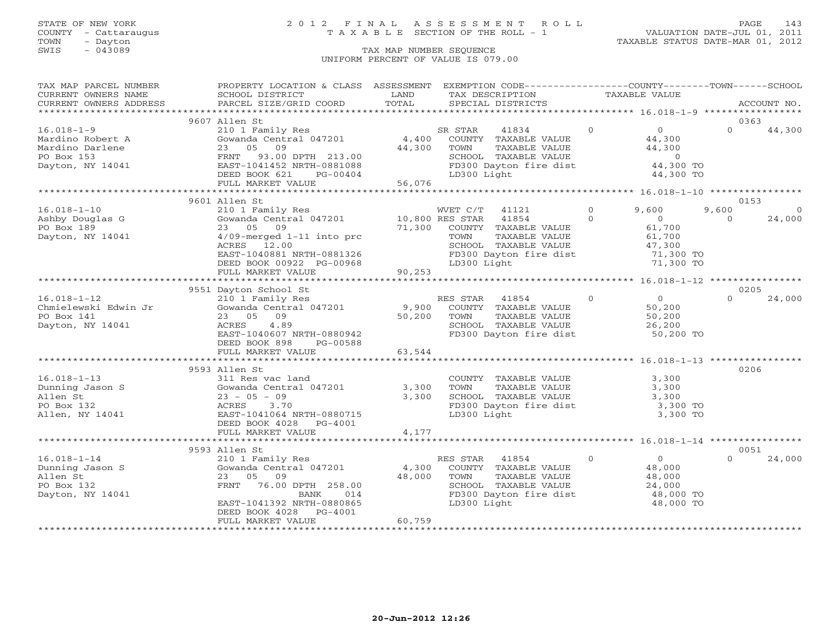## STATE OF NEW YORK 2 0 1 2 F I N A L A S S E S S M E N T R O L L PAGE 143 COUNTY - Cattaraugus T A X A B L E SECTION OF THE ROLL - 1 VALUATION DATE-JUL 01, 2011

| TAX MAP PARCEL NUMBER  | PROPERTY LOCATION & CLASS ASSESSMENT        |                 | EXEMPTION CODE-----------------COUNTY-------TOWN------SCHOOL |               |                                            |          |             |
|------------------------|---------------------------------------------|-----------------|--------------------------------------------------------------|---------------|--------------------------------------------|----------|-------------|
| CURRENT OWNERS NAME    | SCHOOL DISTRICT                             | LAND<br>TOTAL   | TAX DESCRIPTION                                              | TAXABLE VALUE |                                            |          | ACCOUNT NO. |
| CURRENT OWNERS ADDRESS | PARCEL SIZE/GRID COORD                      |                 | SPECIAL DISTRICTS                                            |               |                                            |          |             |
|                        | 9607 Allen St                               |                 |                                                              |               |                                            | 0363     |             |
| $16.018 - 1 - 9$       | 210 1 Family Res                            |                 | 41834<br>SR STAR                                             | $\circ$       | $\overline{0}$                             | $\Omega$ | 44,300      |
| Mardino Robert A       | Gowanda Central 047201                      | 4,400           | COUNTY TAXABLE VALUE                                         |               | 44,300                                     |          |             |
| Mardino Darlene        | 05<br>09<br>23                              | 44,300          | TOWN<br>TAXABLE VALUE                                        |               | 44,300                                     |          |             |
| PO Box 153             | FRNT<br>93.00 DPTH 213.00                   |                 | SCHOOL TAXABLE VALUE                                         |               | $\sim$ 0                                   |          |             |
| Dayton, NY 14041       | EAST-1041452 NRTH-0881088                   |                 | FD300 Dayton fire dist                                       |               | 44,300 TO                                  |          |             |
|                        | DEED BOOK 621<br>PG-00404                   |                 | LD300 Light                                                  |               | 44,300 TO                                  |          |             |
|                        | FULL MARKET VALUE                           | 56,076          |                                                              |               |                                            |          |             |
|                        |                                             |                 |                                                              |               |                                            |          |             |
|                        | 9601 Allen St                               |                 |                                                              |               |                                            | 0153     |             |
| $16.018 - 1 - 10$      | 210 1 Family Res                            |                 | WVET C/T<br>41121                                            | $\Omega$      | 9,600                                      | 9,600    | $\circ$     |
| Ashby Douglas G        | Gowanda Central 047201                      | 10,800 RES STAR | 41854                                                        | $\Omega$      | $\overline{0}$                             | $\Omega$ | 24,000      |
| PO Box 189             | 23 05 09                                    | 71,300          | COUNTY TAXABLE VALUE                                         |               | 61,700                                     |          |             |
| Dayton, NY 14041       | $4/09$ -merged $1-11$ into prc              |                 | TAXABLE VALUE<br>TOWN                                        |               | 61,700                                     |          |             |
|                        | ACRES 12.00                                 |                 | SCHOOL TAXABLE VALUE                                         |               | 47,300<br>71,300 TO                        |          |             |
|                        | EAST-1040881 NRTH-0881326                   |                 | FD300 Dayton fire dist                                       |               |                                            |          |             |
|                        | DEED BOOK 00922 PG-00968                    |                 | LD300 Light                                                  |               | 71,300 TO                                  |          |             |
|                        | FULL MARKET VALUE                           | 90,253          |                                                              |               |                                            |          |             |
|                        |                                             |                 |                                                              |               |                                            |          |             |
|                        | 9551 Dayton School St                       |                 |                                                              |               |                                            | 0205     |             |
| $16.018 - 1 - 12$      | 210 1 Family Res                            |                 | RES STAR<br>41854                                            | $\circ$       | $\begin{array}{c} 0 \\ 50,200 \end{array}$ | $\Omega$ | 24,000      |
| Chmielewski Edwin Jr   | Gowanda Central 047201                      | 9,900           | COUNTY TAXABLE VALUE                                         |               |                                            |          |             |
| PO Box 141             | 23 05 09                                    | 50,200          | TOWN<br>TAXABLE VALUE                                        |               |                                            |          |             |
| Dayton, NY 14041       | 4.89<br>ACRES                               |                 | SCHOOL TAXABLE VALUE                                         |               | $\frac{50,200}{26,200}$                    |          |             |
|                        | EAST-1040607 NRTH-0880942                   |                 | FD300 Dayton fire dist 50,200 TO                             |               |                                            |          |             |
|                        | DEED BOOK 898 PG-00588                      |                 |                                                              |               |                                            |          |             |
|                        | FULL MARKET VALUE                           | 63,544          |                                                              |               |                                            |          |             |
|                        |                                             |                 |                                                              |               |                                            |          |             |
|                        | 9593 Allen St                               |                 |                                                              |               |                                            | 0206     |             |
| $16.018 - 1 - 13$      | 311 Res vac land                            |                 | COUNTY TAXABLE VALUE                                         |               | 3,300                                      |          |             |
| Dunning Jason S        | Gowanda Central 047201                      | 3,300           | TAXABLE VALUE<br>TOWN                                        |               | 3,300                                      |          |             |
| Allen St               | $23 - 05 - 09$                              | 3,300           | SCHOOL TAXABLE VALUE                                         |               | 3,300                                      |          |             |
| PO Box 132             | ACRES<br>3.70                               |                 | FD300 Dayton fire dist                                       |               | 3,300 TO                                   |          |             |
| Allen, NY 14041        | EAST-1041064 NRTH-0880715                   |                 | LD300 Light                                                  |               | 3,300 TO                                   |          |             |
|                        | DEED BOOK 4028 PG-4001<br>FULL MARKET VALUE | 4,177           |                                                              |               |                                            |          |             |
|                        |                                             |                 |                                                              |               |                                            |          |             |
|                        | 9593 Allen St                               |                 |                                                              |               |                                            | 0051     |             |
| $16.018 - 1 - 14$      | 210 1 Family Res                            |                 | RES STAR 41854                                               | $\circ$       | $\overline{0}$                             | $\Omega$ | 24,000      |
| Dunning Jason S        | Gowanda Central 047201                      | 4,300           | COUNTY TAXABLE VALUE                                         |               | 48,000                                     |          |             |
| Allen St               | 23 05<br>09                                 | 48,000          | TOWN<br>TAXABLE VALUE                                        |               | 48,000                                     |          |             |
| PO Box 132             | FRNT<br>76.00 DPTH 258.00                   |                 | SCHOOL TAXABLE VALUE                                         |               |                                            |          |             |
| Dayton, NY 14041       | BANK<br>014                                 |                 | FD300 Dayton fire dist                                       |               | 24,000<br>48,000 TO                        |          |             |
|                        | EAST-1041392 NRTH-0880865                   |                 | LD300 Light                                                  |               | 48,000 TO                                  |          |             |
|                        | PG-4001<br>DEED BOOK 4028                   |                 |                                                              |               |                                            |          |             |
|                        | FULL MARKET VALUE                           | 60,759          |                                                              |               |                                            |          |             |
|                        |                                             |                 |                                                              |               |                                            |          |             |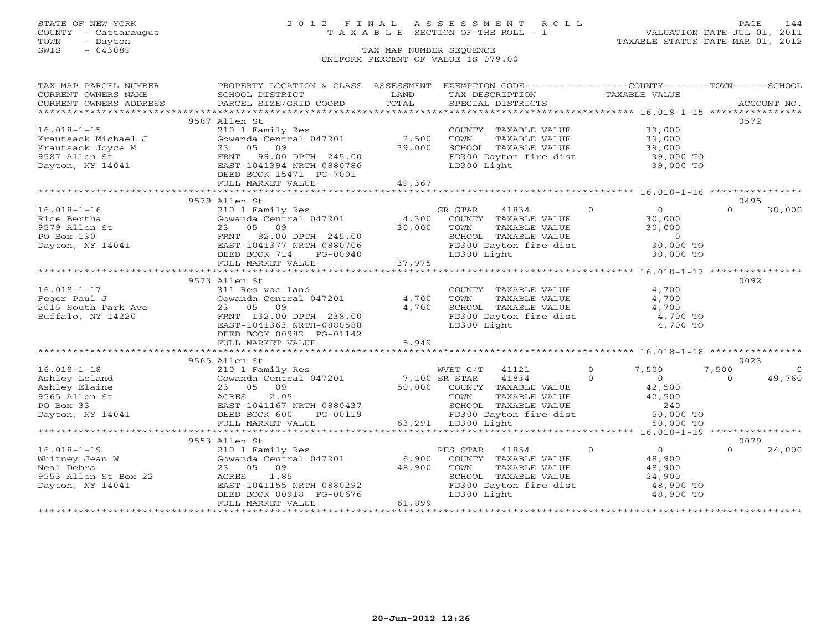## STATE OF NEW YORK 2 0 1 2 F I N A L A S S E S S M E N T R O L L PAGE 144 COUNTY - Cattaraugus T A X A B L E SECTION OF THE ROLL - 1 VALUATION DATE-JUL 01, 2011

| TAX MAP PARCEL NUMBER                         | PROPERTY LOCATION & CLASS ASSESSMENT          |               | EXEMPTION CODE----------------COUNTY-------TOWN------SCHOOL |                                  |                         |
|-----------------------------------------------|-----------------------------------------------|---------------|-------------------------------------------------------------|----------------------------------|-------------------------|
| CURRENT OWNERS NAME<br>CURRENT OWNERS ADDRESS | SCHOOL DISTRICT<br>PARCEL SIZE/GRID COORD     | LAND<br>TOTAL | TAX DESCRIPTION<br>SPECIAL DISTRICTS                        | TAXABLE VALUE                    | ACCOUNT NO.             |
|                                               |                                               |               |                                                             |                                  |                         |
|                                               | 9587 Allen St                                 |               |                                                             |                                  | 0572                    |
| $16.018 - 1 - 15$                             | 210 1 Family Res                              |               | COUNTY TAXABLE VALUE                                        | 39,000                           |                         |
| Krautsack Michael J                           | Gowanda Central 047201                        | 2,500         | TOWN<br>TAXABLE VALUE                                       | 39,000                           |                         |
| Krautsack Joyce M                             | 23 05<br>09                                   | 39,000        | SCHOOL TAXABLE VALUE                                        | 39,000<br>39,000                 |                         |
| 9587 Allen St                                 | FRNT<br>99.00 DPTH 245.00                     |               | FD300 Dayton fire dist                                      | 39,000 TO                        |                         |
| Dayton, NY 14041                              | EAST-1041394 NRTH-0880786                     |               | LD300 Light                                                 | 39,000 TO                        |                         |
|                                               | DEED BOOK 15471 PG-7001                       |               |                                                             |                                  |                         |
|                                               | FULL MARKET VALUE                             | 49,367        |                                                             |                                  |                         |
|                                               |                                               |               |                                                             |                                  |                         |
|                                               | 9579 Allen St                                 |               |                                                             |                                  | 0495                    |
| $16.018 - 1 - 16$                             | 210 1 Family Res                              |               | SR STAR<br>41834                                            | $\overline{0}$<br>$\overline{0}$ | $\Omega$<br>30,000      |
| Rice Bertha                                   | Gowanda Central 047201                        | 4,300         | COUNTY TAXABLE VALUE                                        | 30,000                           |                         |
| 9579 Allen St                                 | 23 05 09                                      | 30,000        | TOWN<br>TAXABLE VALUE                                       | 30,000                           |                         |
| PO Box 130                                    | FRNT<br>82.00 DPTH 245.00                     |               | SCHOOL TAXABLE VALUE                                        | $\sim$ 0                         |                         |
| Dayton, NY 14041                              | EAST-1041377 NRTH-0880706                     |               | FD300 Dayton fire dist                                      | 30,000 TO                        |                         |
|                                               | DEED BOOK 714<br>PG-00940                     |               | LD300 Light                                                 | 30,000 TO                        |                         |
|                                               | FULL MARKET VALUE                             | 37,975        |                                                             |                                  |                         |
|                                               |                                               |               |                                                             |                                  |                         |
|                                               | 9573 Allen St                                 |               |                                                             |                                  | 0092                    |
| $16.018 - 1 - 17$                             | 311 Res vac land                              |               | COUNTY TAXABLE VALUE                                        | 4,700                            |                         |
| Feger Paul J                                  | Gowanda Central 047201                        | 4,700         | TOWN<br>TAXABLE VALUE                                       | 4,700                            |                         |
| 2015 South Park Ave                           | 23 05<br>09                                   | 4,700         | SCHOOL TAXABLE VALUE                                        | 4,700                            |                         |
| Buffalo, NY 14220                             | FRNT 132.00 DPTH 238.00                       |               | FD300 Dayton fire dist                                      | 4,700 TO                         |                         |
|                                               | EAST-1041363 NRTH-0880588                     |               | LD300 Light                                                 | 4,700 TO                         |                         |
|                                               | DEED BOOK 00982 PG-01142<br>FULL MARKET VALUE | 5,949         |                                                             |                                  |                         |
|                                               |                                               |               |                                                             |                                  |                         |
|                                               | 9565 Allen St                                 |               |                                                             |                                  | 0023                    |
| $16.018 - 1 - 18$                             | 210 1 Family Res                              |               | WVET C/T<br>41121                                           | $\circ$<br>7,500                 | 7,500<br>$\overline{0}$ |
| Ashley Leland                                 | 210 1 Family Res<br>Gowanda Central 047201    | 7,100 SR STAR | 41834                                                       | $\Omega$<br>$\circ$              | $\Omega$<br>49,760      |
| Ashley Elaine                                 | 23 05 09                                      |               | 50,000 COUNTY TAXABLE VALUE                                 | 42,500                           |                         |
| 9565 Allen St                                 | 2.05<br>ACRES                                 |               | TOWN<br>TAXABLE VALUE                                       | 42,500                           |                         |
| PO Box 33                                     | EAST-1041167 NRTH-0880437                     |               | SCHOOL TAXABLE VALUE                                        | 240                              |                         |
| Dayton, NY 14041                              | DEED BOOK 600<br>PG-00119                     |               |                                                             | 50,000 TO                        |                         |
|                                               | FULL MARKET VALUE                             |               | FD300 Dayton fire dist<br>LD300 Light<br>63,291 LD300 Light | 50,000 TO                        |                         |
|                                               |                                               |               |                                                             |                                  |                         |
|                                               | 9553 Allen St                                 |               |                                                             |                                  | 0079                    |
| $16.018 - 1 - 19$                             | 210 1 Family Res                              |               | RES STAR 41854                                              | $\Omega$<br>$\overline{0}$       | $\Omega$<br>24,000      |
| Whitney Jean W                                | Gowanda Central 047201                        | 6,900         | COUNTY TAXABLE VALUE                                        | 48,900                           |                         |
| Neal Debra                                    | 23 05 09                                      | 48,900        | TOWN<br>TAXABLE VALUE                                       | 48,900                           |                         |
| 9553 Allen St Box 22                          | ACRES<br>1.85                                 |               | SCHOOL TAXABLE VALUE                                        | 24,900                           |                         |
| Dayton, NY 14041                              | EAST-1041155 NRTH-0880292                     |               | FD300 Dayton fire dist                                      | 48,900 TO                        |                         |
|                                               | DEED BOOK 00918 PG-00676                      |               | LD300 Light                                                 | 48,900 TO                        |                         |
|                                               | FULL MARKET VALUE                             | 61,899        |                                                             |                                  |                         |
|                                               |                                               |               |                                                             |                                  |                         |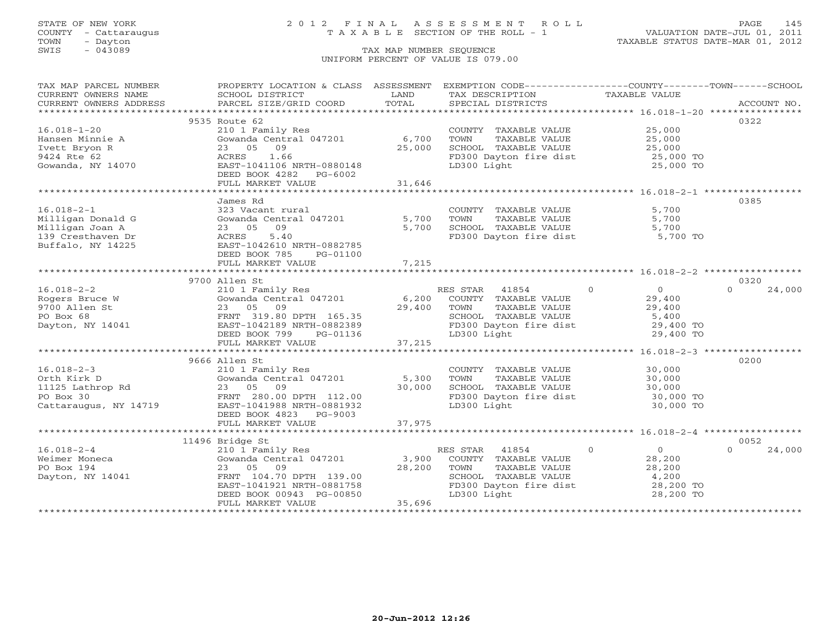### STATE OF NEW YORK 2 0 1 2 F I N A L A S S E S S M E N T R O L L PAGE 145 COUNTY - Cattaraugus T A X A B L E SECTION OF THE ROLL - 1 VALUATION DATE-JUL 01, 2011

| TAX MAP PARCEL NUMBER | PROPERTY LOCATION & CLASS ASSESSMENT EXEMPTION CODE----------------COUNTY-------TOWN------SCHOOL |                |                                                                |                                  |                    |
|-----------------------|--------------------------------------------------------------------------------------------------|----------------|----------------------------------------------------------------|----------------------------------|--------------------|
| CURRENT OWNERS NAME   | SCHOOL DISTRICT                                                                                  | LAND           | TAX DESCRIPTION                                                | TAXABLE VALUE                    |                    |
|                       |                                                                                                  |                |                                                                |                                  |                    |
|                       |                                                                                                  |                |                                                                |                                  |                    |
|                       | 9535 Route 62                                                                                    |                |                                                                |                                  | 0322               |
| $16.018 - 1 - 20$     | 210 1 Family Res                                                                                 |                | COUNTY TAXABLE VALUE                                           | 25,000                           |                    |
| Hansen Minnie A       | Gowanda Central 047201                                                                           | 6,700          | TOWN<br>TAXABLE VALUE                                          |                                  |                    |
| Ivett Bryon R         | 23 05 09                                                                                         | 25,000         | SCHOOL TAXABLE VALUE                                           | 25,000<br>25,000                 |                    |
| 9424 Rte 62           | 1.66<br>ACRES                                                                                    |                | FD300 Dayton fire dist                                         | 25,000 TO                        |                    |
| Gowanda, NY 14070     | EAST-1041106 NRTH-0880148                                                                        |                | LD300 Light                                                    | 25,000 TO                        |                    |
|                       | DEED BOOK 4282 PG-6002                                                                           |                |                                                                |                                  |                    |
|                       | FULL MARKET VALUE                                                                                | 31,646         |                                                                |                                  |                    |
|                       | *******************************                                                                  | ************** |                                                                |                                  |                    |
|                       | James Rd                                                                                         |                |                                                                |                                  | 0385               |
| $16.018 - 2 - 1$      | 323 Vacant rural                                                                                 |                | COUNTY TAXABLE VALUE                                           | 5,700                            |                    |
| Milligan Donald G     | Gowanda Central 047201                                                                           | 5,700          | TOWN<br>TAXABLE VALUE                                          | 5,700                            |                    |
| Milligan Joan A       | 23 05 09                                                                                         | 5,700          | SCHOOL TAXABLE VALUE                                           | 5,700                            |                    |
| 139 Cresthaven Dr     | 5.40<br>ACRES                                                                                    |                | FD300 Dayton fire dist 5,700 TO                                |                                  |                    |
| Buffalo, NY 14225     | EAST-1042610 NRTH-0882785                                                                        |                |                                                                |                                  |                    |
|                       | DEED BOOK 785<br>PG-01100                                                                        |                |                                                                |                                  |                    |
|                       | FULL MARKET VALUE                                                                                | 7,215          |                                                                |                                  |                    |
|                       |                                                                                                  |                |                                                                |                                  |                    |
|                       | 9700 Allen St                                                                                    |                |                                                                |                                  | 0320               |
|                       |                                                                                                  |                |                                                                |                                  | $\Omega$           |
| $16.018 - 2 - 2$      | 210 1 Family Res<br>Gowanda Central 047201                                                       |                | RES STAR 41854                                                 | $\overline{0}$<br>$\overline{0}$ | 24,000             |
| Rogers Bruce W        |                                                                                                  | 6,200          | COUNTY TAXABLE VALUE                                           | 29,400                           |                    |
| 9700 Allen St         | 23 05 09                                                                                         | 29,400         | TAXABLE VALUE<br>TOWN                                          | 29,400                           |                    |
| PO Box 68             | FRNT 319.80 DPTH 165.35<br>FRNT 319.80 DPTH 165.35<br>EAST-1042189 NRTH-0882389                  |                | SCHOOL TAXABLE VALUE 5,400<br>FD300 Dayton fire dist 29,400 TO |                                  |                    |
| Dayton, NY 14041      |                                                                                                  |                |                                                                |                                  |                    |
|                       | DEED BOOK 799<br>PG-01136                                                                        |                | LD300 Light                                                    | 29,400 TO                        |                    |
|                       | FULL MARKET VALUE                                                                                | 37,215         |                                                                |                                  |                    |
|                       |                                                                                                  |                |                                                                |                                  |                    |
|                       | 9666 Allen St                                                                                    |                |                                                                |                                  | 0200               |
| $16.018 - 2 - 3$      | 210 1 Family Res                                                                                 |                | COUNTY TAXABLE VALUE                                           | 30,000<br>30,000                 |                    |
| Orth Kirk D           | Gowanda Central 047201 5,300                                                                     |                | TOWN<br>TAXABLE VALUE                                          |                                  |                    |
| 11125 Lathrop Rd      | 23 05 09                                                                                         | 30,000         |                                                                | 30,000<br>30,000 TO              |                    |
| PO Box 30             | FRNT 280.00 DPTH 112.00                                                                          |                | SCHOOL TAXABLE VALUE<br>FD300 Dayton fire dist<br>LD300 Light  |                                  |                    |
| Cattaraugus, NY 14719 | EAST-1041988 NRTH-0881932                                                                        |                | LD300 Light                                                    | 30,000 TO                        |                    |
|                       | DEED BOOK 4823 PG-9003                                                                           |                |                                                                |                                  |                    |
|                       |                                                                                                  |                |                                                                |                                  |                    |
|                       |                                                                                                  |                |                                                                |                                  |                    |
|                       | 11496 Bridge St                                                                                  |                |                                                                |                                  | 0052               |
| $16.018 - 2 - 4$      | 210 1 Family Res                                                                                 |                | RES STAR 41854                                                 | $\overline{0}$<br>$\overline{0}$ | $\Omega$<br>24,000 |
| Weimer Moneca         | Gowanda Central 047201                                                                           | 3,900          | COUNTY TAXABLE VALUE                                           | 28,200                           |                    |
| PO Box 194            | 23 05 09                                                                                         | 28,200         | TAXABLE VALUE<br>TOWN                                          | 28,200                           |                    |
| Dayton, NY 14041      | FRNT 104.70 DPTH 139.00                                                                          |                | SCHOOL TAXABLE VALUE                                           | 4,200                            |                    |
|                       |                                                                                                  |                | FD300 Dayton fire dist                                         | 28,200 TO                        |                    |
|                       | EAST-1041921 NRTH-0881758<br>DEED BOOK 00943 PG-00850<br>FULL MARKER WAY                         |                | LD300 Light                                                    | 28,200 TO                        |                    |
|                       | FULL MARKET VALUE                                                                                | 35,696         |                                                                |                                  |                    |
|                       |                                                                                                  |                |                                                                |                                  |                    |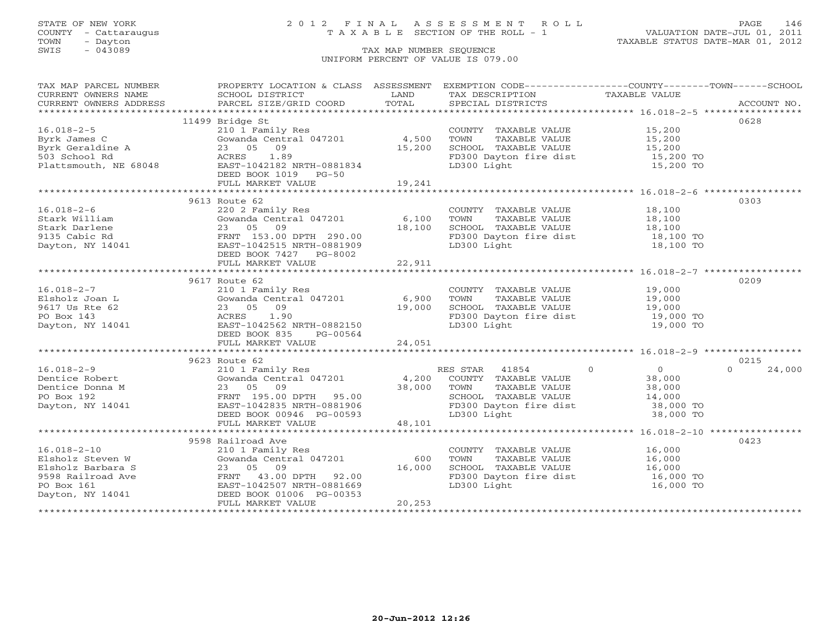TOWN - Dayton - Dayton 1989<br>
TAX MAP NUMBER SEQUENCE - TAXABLE STATUS DATE-MAR 01, 2012<br>
SWIS - 043089 - TAX MAP NUMBER SEQUENCE

### STATE OF NEW YORK 2 0 1 2 F I N A L A S S E S S M E N T R O L L PAGE 146 COUNTY - Cattaraugus T A X A B L E SECTION OF THE ROLL - 1 VALUATION DATE-JUL 01, 2011

### TAX MAP NUMBER SEQUENCE UNIFORM PERCENT OF VALUE IS 079.00

| TAX MAP PARCEL NUMBER                                                                                                                                                                                                       | PROPERTY LOCATION & CLASS ASSESSMENT EXEMPTION CODE----------------COUNTY-------TOWN------SCHOOL                                                                      |         |                                                                                                                                                                                                                                                                                                                                                                                                                                                                                                                             |           |                    |
|-----------------------------------------------------------------------------------------------------------------------------------------------------------------------------------------------------------------------------|-----------------------------------------------------------------------------------------------------------------------------------------------------------------------|---------|-----------------------------------------------------------------------------------------------------------------------------------------------------------------------------------------------------------------------------------------------------------------------------------------------------------------------------------------------------------------------------------------------------------------------------------------------------------------------------------------------------------------------------|-----------|--------------------|
|                                                                                                                                                                                                                             | <b>Example 19</b> LAND                                                                                                                                                |         | TAX DESCRIPTION TAXABLE VALUE                                                                                                                                                                                                                                                                                                                                                                                                                                                                                               |           |                    |
|                                                                                                                                                                                                                             |                                                                                                                                                                       |         |                                                                                                                                                                                                                                                                                                                                                                                                                                                                                                                             |           |                    |
|                                                                                                                                                                                                                             |                                                                                                                                                                       |         |                                                                                                                                                                                                                                                                                                                                                                                                                                                                                                                             |           |                    |
|                                                                                                                                                                                                                             | 11499 Bridge St                                                                                                                                                       |         |                                                                                                                                                                                                                                                                                                                                                                                                                                                                                                                             |           | 0628               |
| $16.018 - 2 - 5$                                                                                                                                                                                                            | 210 1 Family Res                                                                                                                                                      |         | COUNTY TAXABLE VALUE 15,200                                                                                                                                                                                                                                                                                                                                                                                                                                                                                                 |           |                    |
|                                                                                                                                                                                                                             | Gowanda Central 047201 (4,500)<br>23 05 09 (15,200)                                                                                                                   |         |                                                                                                                                                                                                                                                                                                                                                                                                                                                                                                                             |           |                    |
|                                                                                                                                                                                                                             |                                                                                                                                                                       |         |                                                                                                                                                                                                                                                                                                                                                                                                                                                                                                                             |           |                    |
|                                                                                                                                                                                                                             |                                                                                                                                                                       |         |                                                                                                                                                                                                                                                                                                                                                                                                                                                                                                                             |           |                    |
| Byrk James C<br>Byrk Geraldine A<br>Byrk Geraldine A<br>23 05 09 15,200<br>503 School Rd<br>Plattsmouth, NE 68048<br>EAST-1042182 NRTH-0881834<br>DEED BOOK 1019 PG-50                                                      |                                                                                                                                                                       |         | ED300 Dayton fire dist<br>TD300 Dayton fire dist 15,200 TO<br>T.D300 Light 15,200 TO                                                                                                                                                                                                                                                                                                                                                                                                                                        |           |                    |
|                                                                                                                                                                                                                             | DEED BOOK 1019 PG-50                                                                                                                                                  |         |                                                                                                                                                                                                                                                                                                                                                                                                                                                                                                                             |           |                    |
|                                                                                                                                                                                                                             | FULL MARKET VALUE                                                                                                                                                     | 19,241  |                                                                                                                                                                                                                                                                                                                                                                                                                                                                                                                             |           |                    |
|                                                                                                                                                                                                                             |                                                                                                                                                                       |         |                                                                                                                                                                                                                                                                                                                                                                                                                                                                                                                             |           |                    |
|                                                                                                                                                                                                                             | 9613 Route 62                                                                                                                                                         |         |                                                                                                                                                                                                                                                                                                                                                                                                                                                                                                                             |           | 0303               |
| $16.018 - 2 - 6$                                                                                                                                                                                                            | 220 2 Family Res<br>220 2 Family Res<br>Gowanda Central 047201 6,100 TOWN TAXABLE VALUE 18,100<br>23 05 09 18,100 SCHOOL TAXABLE VALUE 18,100                         |         |                                                                                                                                                                                                                                                                                                                                                                                                                                                                                                                             |           |                    |
|                                                                                                                                                                                                                             |                                                                                                                                                                       |         |                                                                                                                                                                                                                                                                                                                                                                                                                                                                                                                             |           |                    |
| Stark William<br>Stark Darlene (23 05 09)<br>9135 Cabic Rd<br>Dayton, NY 14041<br>23 05 09<br>EAST-1042515 NRTH-0881909<br>DEED BOOK 7427 PG-8002<br>FULL MARKET VALUE                                                      |                                                                                                                                                                       |         |                                                                                                                                                                                                                                                                                                                                                                                                                                                                                                                             |           |                    |
|                                                                                                                                                                                                                             |                                                                                                                                                                       |         | FD300 Dayton fire dist 18,100 TO<br>LD300 Light 18,100 TO                                                                                                                                                                                                                                                                                                                                                                                                                                                                   |           |                    |
|                                                                                                                                                                                                                             |                                                                                                                                                                       |         |                                                                                                                                                                                                                                                                                                                                                                                                                                                                                                                             |           |                    |
|                                                                                                                                                                                                                             |                                                                                                                                                                       |         |                                                                                                                                                                                                                                                                                                                                                                                                                                                                                                                             |           |                    |
|                                                                                                                                                                                                                             |                                                                                                                                                                       |         |                                                                                                                                                                                                                                                                                                                                                                                                                                                                                                                             |           |                    |
|                                                                                                                                                                                                                             |                                                                                                                                                                       |         |                                                                                                                                                                                                                                                                                                                                                                                                                                                                                                                             |           |                    |
|                                                                                                                                                                                                                             | 9617 Route 62                                                                                                                                                         |         |                                                                                                                                                                                                                                                                                                                                                                                                                                                                                                                             |           | 0209               |
| $16.018 - 2 - 7$                                                                                                                                                                                                            |                                                                                                                                                                       |         |                                                                                                                                                                                                                                                                                                                                                                                                                                                                                                                             |           |                    |
|                                                                                                                                                                                                                             |                                                                                                                                                                       |         |                                                                                                                                                                                                                                                                                                                                                                                                                                                                                                                             |           |                    |
| 16.018-2-7 210 1 Family Res<br>Elsholz Joan L Gowanda Central 047201 6,900<br>9617 Us Rte 62 23 05 09 19,000<br>PO Box 143 ACRES 1.90<br>Dayton, NY 14041 EAST-1042562 NRTH-0882150                                         | 210 1 Family Res<br>Gowanda Central 047201 6,900 TOWN TAXABLE VALUE 19,000<br>23 05 09 19,000 SCHOOL TAXABLE VALUE 19,000<br>ACRES 1.90 FD300 Dayton fire dist 19,000 |         | SCHOOL TAXABLE VALUE<br>SCHOOL TAXABLE VALUE 19,000<br>FD300 Dayton fire dist 19,000 TO                                                                                                                                                                                                                                                                                                                                                                                                                                     |           |                    |
|                                                                                                                                                                                                                             |                                                                                                                                                                       |         |                                                                                                                                                                                                                                                                                                                                                                                                                                                                                                                             |           |                    |
|                                                                                                                                                                                                                             |                                                                                                                                                                       |         | FD300 Dayton fire dist<br>LD300 Light                                                                                                                                                                                                                                                                                                                                                                                                                                                                                       | 19,000 TO |                    |
|                                                                                                                                                                                                                             | DEED BOOK 835 PG-00564                                                                                                                                                |         |                                                                                                                                                                                                                                                                                                                                                                                                                                                                                                                             |           |                    |
|                                                                                                                                                                                                                             |                                                                                                                                                                       |         |                                                                                                                                                                                                                                                                                                                                                                                                                                                                                                                             |           |                    |
|                                                                                                                                                                                                                             |                                                                                                                                                                       |         |                                                                                                                                                                                                                                                                                                                                                                                                                                                                                                                             |           |                    |
|                                                                                                                                                                                                                             | 9623 Route 62                                                                                                                                                         |         |                                                                                                                                                                                                                                                                                                                                                                                                                                                                                                                             |           | 0215               |
| $[16.018-2-9\nDentice Robert\n16.018-2-9\nDentice Robert\n16.018-2-9\n36.000\n37.000\n38.000\n39.000\n30.000\n31.01\n32.05 09\n33.000\n34.000\n35.000\n36.000\n37.000\n38.000\n39.000\n30.000\n31.01\n32.05 09\n33.000\n34$ |                                                                                                                                                                       |         |                                                                                                                                                                                                                                                                                                                                                                                                                                                                                                                             |           | $\Omega$<br>24,000 |
|                                                                                                                                                                                                                             |                                                                                                                                                                       |         |                                                                                                                                                                                                                                                                                                                                                                                                                                                                                                                             |           |                    |
|                                                                                                                                                                                                                             |                                                                                                                                                                       |         |                                                                                                                                                                                                                                                                                                                                                                                                                                                                                                                             |           |                    |
|                                                                                                                                                                                                                             |                                                                                                                                                                       |         |                                                                                                                                                                                                                                                                                                                                                                                                                                                                                                                             |           |                    |
|                                                                                                                                                                                                                             |                                                                                                                                                                       |         |                                                                                                                                                                                                                                                                                                                                                                                                                                                                                                                             |           |                    |
|                                                                                                                                                                                                                             |                                                                                                                                                                       |         |                                                                                                                                                                                                                                                                                                                                                                                                                                                                                                                             |           |                    |
|                                                                                                                                                                                                                             |                                                                                                                                                                       |         |                                                                                                                                                                                                                                                                                                                                                                                                                                                                                                                             |           |                    |
|                                                                                                                                                                                                                             |                                                                                                                                                                       |         |                                                                                                                                                                                                                                                                                                                                                                                                                                                                                                                             |           |                    |
|                                                                                                                                                                                                                             | 9598 Railroad Ave                                                                                                                                                     |         |                                                                                                                                                                                                                                                                                                                                                                                                                                                                                                                             |           | 0423               |
| $16.018 - 2 - 10$                                                                                                                                                                                                           | 210 1 Family Res                                                                                                                                                      |         |                                                                                                                                                                                                                                                                                                                                                                                                                                                                                                                             |           |                    |
|                                                                                                                                                                                                                             | Gowanda Central 047201 600                                                                                                                                            |         | $\begin{tabular}{llllll} \multicolumn{2}{l}{{\small\texttt{COUNTY}}} & \multicolumn{2}{l}{\small\texttt{TAXABLE VALUE}} & & \\ \multicolumn{2}{l}{\small\texttt{TOWN}} & \multicolumn{2}{l}{\small\texttt{TAXABLE VALUE}} & & \\ \multicolumn{2}{l}{\small\texttt{TOWN}} & \multicolumn{2}{l}{\small\texttt{TAXABLE VALUE}} & & \\ \multicolumn{2}{l}{\small\texttt{16,000}} & & \\ \multicolumn{2}{l}{\small\texttt{TOWN}} & \multicolumn{2}{l}{\small\texttt{TAXABLE VALUE}} & & \\ \multicolumn{2}{l}{\small\texttt{16,$ |           |                    |
|                                                                                                                                                                                                                             |                                                                                                                                                                       | 16,000  |                                                                                                                                                                                                                                                                                                                                                                                                                                                                                                                             |           |                    |
|                                                                                                                                                                                                                             |                                                                                                                                                                       |         | SCHOOL TAXABLE VALUE $16,000$<br>FD300 Dayton fire dist $16,000$ TO<br>LD300 Light $16,000$ TO                                                                                                                                                                                                                                                                                                                                                                                                                              |           |                    |
|                                                                                                                                                                                                                             |                                                                                                                                                                       |         |                                                                                                                                                                                                                                                                                                                                                                                                                                                                                                                             |           |                    |
|                                                                                                                                                                                                                             |                                                                                                                                                                       |         |                                                                                                                                                                                                                                                                                                                                                                                                                                                                                                                             |           |                    |
|                                                                                                                                                                                                                             | FULL MARKET VALUE                                                                                                                                                     | 20, 253 |                                                                                                                                                                                                                                                                                                                                                                                                                                                                                                                             |           |                    |
|                                                                                                                                                                                                                             |                                                                                                                                                                       |         |                                                                                                                                                                                                                                                                                                                                                                                                                                                                                                                             |           |                    |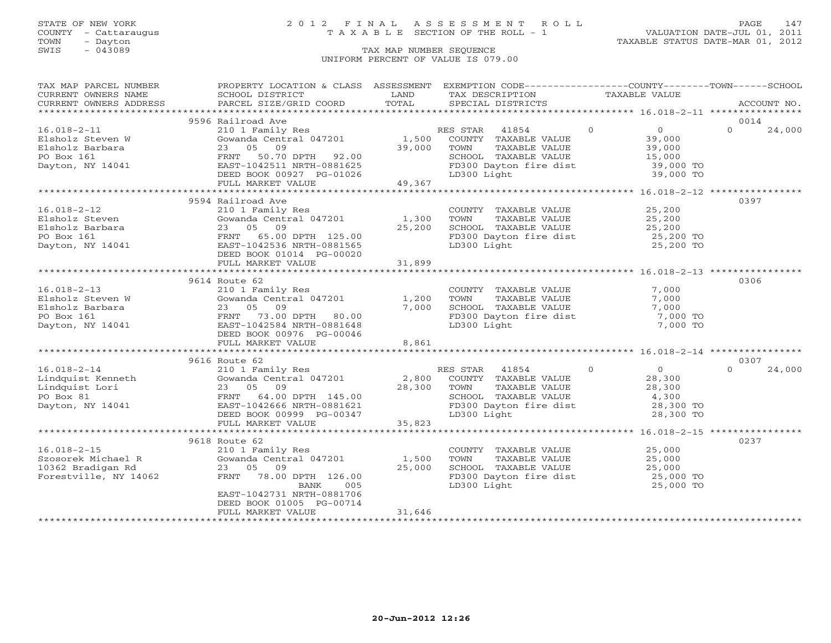### STATE OF NEW YORK 2 0 1 2 F I N A L A S S E S S M E N T R O L L PAGE 147 COUNTY - Cattaraugus T A X A B L E SECTION OF THE ROLL - 1 VALUATION DATE-JUL 01, 2011

| TAX MAP PARCEL NUMBER                                                                                                                                                                                                            | PROPERTY LOCATION & CLASS ASSESSMENT EXEMPTION CODE---------------COUNTY-------TOWN------SCHOOL            |                                    |                                                                                                                                    |                |                                            |          |             |
|----------------------------------------------------------------------------------------------------------------------------------------------------------------------------------------------------------------------------------|------------------------------------------------------------------------------------------------------------|------------------------------------|------------------------------------------------------------------------------------------------------------------------------------|----------------|--------------------------------------------|----------|-------------|
| CURRENT OWNERS NAME                                                                                                                                                                                                              | SCHOOL DISTRICT                                                                                            | LAND                               | TAX DESCRIPTION                                                                                                                    | TAXABLE VALUE  |                                            |          |             |
| CURRENT OWNERS ADDRESS FORCEL SIZE/GRID COORD TOTAL SPECIAL DISTRICTS (2000) ACCOUNT NO.<br>EURRENT OWNERS ADDRESS PARCEL SIZE/GRID COORD TOTAL SPECIAL DISTRICTS                                                                |                                                                                                            |                                    |                                                                                                                                    |                |                                            |          | ACCOUNT NO. |
|                                                                                                                                                                                                                                  |                                                                                                            |                                    |                                                                                                                                    |                |                                            |          |             |
|                                                                                                                                                                                                                                  | 9596 Railroad Ave                                                                                          |                                    |                                                                                                                                    |                |                                            | 0014     |             |
| $16.018 - 2 - 11$                                                                                                                                                                                                                | 210 1 Family Res                                                                                           |                                    | $\sim$ 0                                                                                                                           |                |                                            | $\Omega$ | 24,000      |
| Elsholz Steven W                                                                                                                                                                                                                 | 210 1 Family Res<br>Gowanda Central 047201                                                                 |                                    | RES STAR 41854<br>1,500 COUNTY TAXABLE VALUE                                                                                       |                | $\begin{array}{c} 0 \\ 39,000 \end{array}$ |          |             |
| Elsholz Barbara                                                                                                                                                                                                                  | 23 05 09                                                                                                   | 39,000                             | TOWN                                                                                                                               |                |                                            |          |             |
| PO Box 161                                                                                                                                                                                                                       |                                                                                                            |                                    | TAXABLE VALUE 39,000<br>TAXABLE VALUE 15,000<br>SCHOOL TAXABLE VALUE                                                               |                |                                            |          |             |
| Dayton, NY 14041                                                                                                                                                                                                                 | FRNT 50.70 DPTH 92.00<br>EAST-1042511 NRTH-0881625<br>DEED BOOK 00927 PG-01026<br>FULL MARKET VALUE 49,367 |                                    | FD300 Dayton fire dist 39,000 TO                                                                                                   |                |                                            |          |             |
|                                                                                                                                                                                                                                  |                                                                                                            |                                    | LD300 Light                                                                                                                        |                | 39,000 TO                                  |          |             |
|                                                                                                                                                                                                                                  |                                                                                                            |                                    |                                                                                                                                    |                |                                            |          |             |
|                                                                                                                                                                                                                                  |                                                                                                            |                                    |                                                                                                                                    |                |                                            |          |             |
|                                                                                                                                                                                                                                  | 9594 Railroad Ave                                                                                          |                                    |                                                                                                                                    |                |                                            | 0397     |             |
|                                                                                                                                                                                                                                  |                                                                                                            |                                    | COUNTY TAXABLE VALUE                                                                                                               |                | 25,200                                     |          |             |
|                                                                                                                                                                                                                                  | Gowanda Central 047201 1,300                                                                               |                                    | TOWN                                                                                                                               |                |                                            |          |             |
|                                                                                                                                                                                                                                  |                                                                                                            | 25,200                             | TAXABLE VALUE 25,200<br>TAXABLE VALUE 25,200<br>SCHOOL TAXABLE VALUE                                                               |                |                                            |          |             |
|                                                                                                                                                                                                                                  |                                                                                                            |                                    | FD300 Dayton fire dist 25,200 TO                                                                                                   |                |                                            |          |             |
|                                                                                                                                                                                                                                  | EAST-1042536 NRTH-0881565                                                                                  |                                    | LD300 Light                                                                                                                        |                | 25,200 TO                                  |          |             |
| And The Cowanda Central 047201<br>Elsholz Barbara<br>PO Box 161<br>Dayton, NY 14041<br>Dayton, NY 14041<br>CONFERNT 65.00 DPTH 125.00<br>EAST-1042536 NPTH 0001565                                                               | DEED BOOK 01014 PG-00020                                                                                   |                                    |                                                                                                                                    |                |                                            |          |             |
|                                                                                                                                                                                                                                  |                                                                                                            |                                    |                                                                                                                                    |                |                                            |          |             |
|                                                                                                                                                                                                                                  |                                                                                                            |                                    |                                                                                                                                    |                |                                            |          |             |
|                                                                                                                                                                                                                                  | 9614 Route 62                                                                                              |                                    |                                                                                                                                    |                |                                            | 0306     |             |
| $16.018 - 2 - 13$                                                                                                                                                                                                                | 210 1 Family Res                                                                                           |                                    | COUNTY TAXABLE VALUE                                                                                                               |                | 7,000                                      |          |             |
|                                                                                                                                                                                                                                  |                                                                                                            | 1,200                              | TOWN<br>TAXABLE VALUE                                                                                                              |                | 7,000                                      |          |             |
| 210 1 Family Res<br>Elsholz Steven W Gowanda Central 047201<br>Elsholz Barbara 23 05 09<br>PO Box 161 FRNT 73.00 DPTH 80.00<br>Dayton, NY 14041 ERRT 1042584 NRTH-0881648                                                        |                                                                                                            | 7,000                              | SCHOOL TAXABLE VALUE                                                                                                               |                | 7,000                                      |          |             |
|                                                                                                                                                                                                                                  |                                                                                                            |                                    |                                                                                                                                    |                | 7,000 TO                                   |          |             |
|                                                                                                                                                                                                                                  |                                                                                                            |                                    | FD300 Dayton fire dist<br>LD300 Light                                                                                              |                | 7,000 TO                                   |          |             |
|                                                                                                                                                                                                                                  | DEED BOOK 00976 PG-00046                                                                                   |                                    |                                                                                                                                    |                |                                            |          |             |
|                                                                                                                                                                                                                                  | FULL MARKET VALUE                                                                                          | 8,861                              |                                                                                                                                    |                |                                            |          |             |
|                                                                                                                                                                                                                                  |                                                                                                            |                                    |                                                                                                                                    |                |                                            |          |             |
|                                                                                                                                                                                                                                  | 9616 Route 62                                                                                              |                                    |                                                                                                                                    |                |                                            | 0307     |             |
| $16.018 - 2 - 14$                                                                                                                                                                                                                | 210 1 Family Res                                                                                           |                                    | $\overline{0}$<br>RES STAR 41854                                                                                                   | $\overline{0}$ |                                            | $\Omega$ | 24,000      |
| Eindquist Kenneth<br>Lindquist Lori 500 and 2 = 0.000 and 2 = 0.000 and 2 = 0.000 and 2 = 0.000 and 2 = 0.000 and 2 = 0.000 and 2 = 0.000 and 2 = 0.000 and 2 = 0.000 and 2 = 0.000 and 2 = 0.000 and 2 = 0.000 and 2 = 0.000 an | Gowanda Central 047201 2,800 COUNTY TAXABLE VALUE                                                          |                                    |                                                                                                                                    |                | 28,300                                     |          |             |
|                                                                                                                                                                                                                                  |                                                                                                            |                                    |                                                                                                                                    |                | 28,300                                     |          |             |
|                                                                                                                                                                                                                                  |                                                                                                            |                                    | TOWN      TAXABLE VALUE<br>SCHOOL   TAXABLE VALUE                                                                                  |                | 4,300                                      |          |             |
|                                                                                                                                                                                                                                  |                                                                                                            | $28,300$ TOWN<br>SCHOOL<br>FD300 L |                                                                                                                                    |                | 28,300 TO                                  |          |             |
|                                                                                                                                                                                                                                  | DEED BOOK 00999 PG-00347                                                                                   |                                    | FD300 Dayton fire dist<br>LD300 Light<br>LD300 Light                                                                               |                | 28,300 TO                                  |          |             |
|                                                                                                                                                                                                                                  | FULL MARKET VALUE                                                                                          | 35,823                             |                                                                                                                                    |                |                                            |          |             |
|                                                                                                                                                                                                                                  |                                                                                                            |                                    |                                                                                                                                    |                |                                            |          |             |
|                                                                                                                                                                                                                                  | 9618 Route 62                                                                                              |                                    |                                                                                                                                    |                |                                            | 0237     |             |
| $16.018 - 2 - 15$                                                                                                                                                                                                                | 210 1 Family Res                                                                                           |                                    | COUNTY TAXABLE VALUE 25,000                                                                                                        |                |                                            |          |             |
| Szosorek Michael R<br>10362 Bradigan Rd<br>Forestrills Arms 1000                                                                                                                                                                 | Gowanda Central 047201                                                                                     | 1,500                              |                                                                                                                                    |                |                                            |          |             |
|                                                                                                                                                                                                                                  | 23 05 09                                                                                                   | 25,000                             |                                                                                                                                    |                |                                            |          |             |
| Forestville, NY 14062                                                                                                                                                                                                            | FRNT 78.00 DPTH 126.00                                                                                     |                                    |                                                                                                                                    |                |                                            |          |             |
|                                                                                                                                                                                                                                  | BANK<br>005                                                                                                |                                    | TOWN TAXABLE VALUE 25,000<br>SCHOOL TAXABLE VALUE 25,000<br>FD300 Dayton fire dist 25,000 TO<br>LD300 Light 25,000 TO<br>25,000 TO |                |                                            |          |             |
|                                                                                                                                                                                                                                  | EAST-1042731 NRTH-0881706                                                                                  |                                    |                                                                                                                                    |                |                                            |          |             |
|                                                                                                                                                                                                                                  | DEED BOOK 01005 PG-00714                                                                                   |                                    |                                                                                                                                    |                |                                            |          |             |
|                                                                                                                                                                                                                                  | FULL MARKET VALUE                                                                                          | 31,646                             |                                                                                                                                    |                |                                            |          |             |
|                                                                                                                                                                                                                                  |                                                                                                            |                                    |                                                                                                                                    |                |                                            |          |             |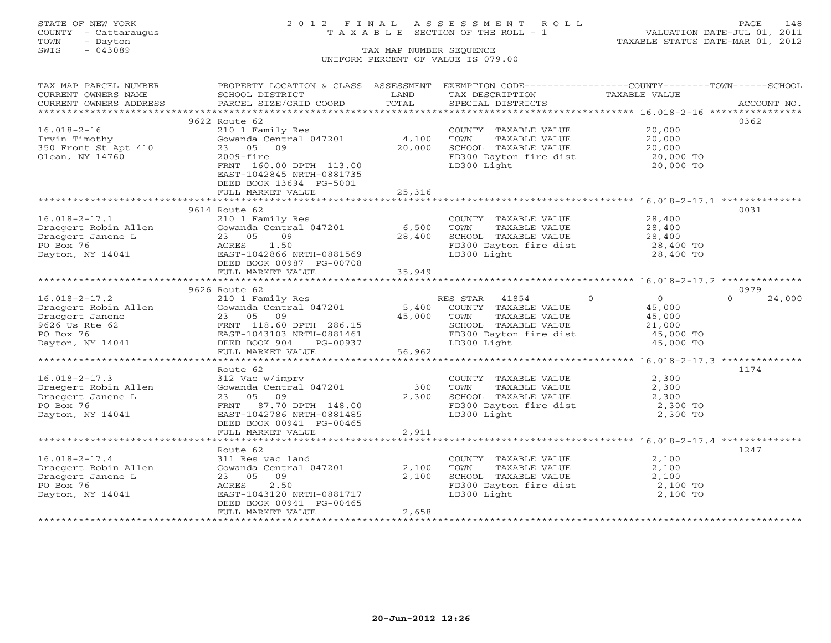## STATE OF NEW YORK 2 0 1 2 F I N A L A S S E S S M E N T R O L L PAGE 148 COUNTY - Cattaraugus T A X A B L E SECTION OF THE ROLL - 1 VALUATION DATE-JUL 01, 2011

| TAX MAP PARCEL NUMBER  | PROPERTY LOCATION & CLASS ASSESSMENT       |                           | EXEMPTION CODE-----------------COUNTY-------TOWN------SCHOOL |                      |             |
|------------------------|--------------------------------------------|---------------------------|--------------------------------------------------------------|----------------------|-------------|
| CURRENT OWNERS NAME    | SCHOOL DISTRICT                            | LAND                      | TAX DESCRIPTION                                              | TAXABLE VALUE        |             |
| CURRENT OWNERS ADDRESS | PARCEL SIZE/GRID COORD                     | TOTAL                     | SPECIAL DISTRICTS                                            |                      | ACCOUNT NO. |
|                        |                                            |                           |                                                              |                      |             |
|                        | 9622 Route 62                              |                           |                                                              |                      | 0362        |
| $16.018 - 2 - 16$      | 210 1 Family Res                           |                           | COUNTY TAXABLE VALUE                                         | 20,000               |             |
| Irvin Timothy          | Gowanda Central 047201                     | 4,100                     | TOWN<br>TAXABLE VALUE                                        | 20,000               |             |
| 350 Front St Apt 410   | 23 05 09                                   | 20,000                    | SCHOOL TAXABLE VALUE                                         | 20,000               |             |
| Olean, NY 14760        | $2009 - $ fire                             |                           | FD300 Dayton fire dist                                       | 20,000 TO            |             |
|                        | FRNT 160.00 DPTH 113.00                    |                           | LD300 Light                                                  | 20,000 TO            |             |
|                        | EAST-1042845 NRTH-0881735                  |                           |                                                              |                      |             |
|                        | DEED BOOK 13694 PG-5001                    |                           |                                                              |                      |             |
|                        | FULL MARKET VALUE                          | 25,316                    |                                                              |                      |             |
|                        |                                            |                           |                                                              |                      |             |
|                        | 9614 Route 62                              |                           |                                                              |                      | 0031        |
| $16.018 - 2 - 17.1$    | 210 1 Family Res                           |                           | COUNTY TAXABLE VALUE                                         | 28,400               |             |
| Draegert Robin Allen   | Gowanda Central 047201                     | 6,500                     | TAXABLE VALUE<br>TOWN                                        | 28,400               |             |
| Draegert Janene L      | 23 05<br>09                                | 28,400                    | SCHOOL TAXABLE VALUE                                         | 28,400               |             |
| PO Box 76              | 1.50<br>ACRES                              |                           | FD300 Dayton fire dist                                       | 28,400 TO            |             |
| Dayton, NY 14041       | EAST-1042866 NRTH-0881569                  |                           | LD300 Light                                                  | 28,400 TO            |             |
|                        | DEED BOOK 00987 PG-00708                   |                           |                                                              |                      |             |
|                        | FULL MARKET VALUE                          | 35,949                    |                                                              |                      |             |
|                        |                                            |                           |                                                              |                      | 0979        |
| $16.018 - 2 - 17.2$    | 9626 Route 62                              |                           | 41854<br>RES STAR                                            | $\Omega$<br>$\Omega$ | $\Omega$    |
| Draegert Robin Allen   | 210 1 Family Res<br>Gowanda Central 047201 | 5,400                     | COUNTY TAXABLE VALUE                                         | 45,000               | 24,000      |
| Draegert Janene        | 23 05 09                                   | 45,000                    | TOWN<br>TAXABLE VALUE                                        | 45,000               |             |
| 9626 Us Rte 62         | FRNT 118.60 DPTH 286.15                    |                           | SCHOOL TAXABLE VALUE                                         | 21,000               |             |
| PO Box 76              | EAST-1043103 NRTH-0881461                  |                           | FD300 Dayton fire dist                                       | 45,000 TO            |             |
| Dayton, NY 14041       | DEED BOOK 904<br>PG-00937                  |                           | LD300 Light                                                  | 45,000 TO            |             |
|                        | FULL MARKET VALUE                          | 56,962                    |                                                              |                      |             |
|                        |                                            |                           |                                                              |                      |             |
|                        | Route 62                                   |                           |                                                              |                      | 1174        |
| $16.018 - 2 - 17.3$    | 312 Vac w/imprv                            |                           | COUNTY TAXABLE VALUE                                         | 2,300                |             |
| Draegert Robin Allen   | Gowanda Central 047201                     | 300                       | TOWN<br>TAXABLE VALUE                                        | 2,300                |             |
| Draegert Janene L      | 23 05 09                                   | 2,300                     | SCHOOL TAXABLE VALUE                                         | 2,300                |             |
| PO Box 76              | FRNT<br>87.70 DPTH 148.00                  |                           | FD300 Dayton fire dist                                       | 2,300 TO             |             |
| Dayton, NY 14041       | EAST-1042786 NRTH-0881485                  |                           | LD300 Light                                                  | 2,300 TO             |             |
|                        | DEED BOOK 00941 PG-00465                   |                           |                                                              |                      |             |
|                        | FULL MARKET VALUE                          | 2,911                     |                                                              |                      |             |
|                        | ************************                   | * * * * * * * * * * * * * |                                                              |                      |             |
|                        | Route 62                                   |                           |                                                              |                      | 1247        |
| $16.018 - 2 - 17.4$    | 311 Res vac land                           |                           | COUNTY TAXABLE VALUE                                         | 2,100                |             |
| Draegert Robin Allen   | Gowanda Central 047201                     | 2,100                     | TOWN<br>TAXABLE VALUE                                        | 2,100                |             |
| Draegert Janene L      | 23 05 09                                   | 2,100                     | SCHOOL TAXABLE VALUE                                         | 2,100                |             |
| PO Box 76              | 2.50<br>ACRES                              |                           | FD300 Dayton fire dist                                       | 2,100 TO             |             |
| Dayton, NY 14041       | EAST-1043120 NRTH-0881717                  |                           | LD300 Light                                                  | 2,100 TO             |             |
|                        | DEED BOOK 00941 PG-00465                   |                           |                                                              |                      |             |
|                        | FULL MARKET VALUE                          | 2,658                     |                                                              |                      |             |
|                        |                                            |                           |                                                              |                      |             |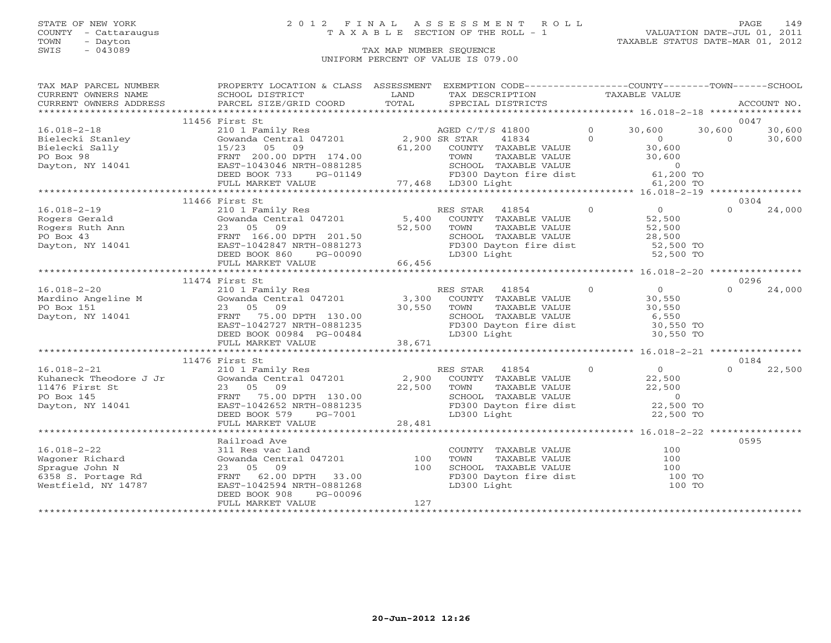## STATE OF NEW YORK 2 0 1 2 F I N A L A S S E S S M E N T R O L L PAGE 149 COUNTY - Cattaraugus T A X A B L E SECTION OF THE ROLL - 1 VALUATION DATE-JUL 01, 2011

| $\begin{tabular}{lllllll} \multicolumn{2}{l}{{\small\sc{CURRENT}}}& $\text{MME}$ & $\text{SCHOOL} & $\text{DISTRICT}$ & $\text{LAND}$ & $\text{TAX} & $\text{DESCRIFTION}$ & $\text{TAXABLE} & $\text{VALUE}$ \\ & $\text{CURERNT} & $\text{WWERS} & $\text{ADDRESS}$ & $\text{PARGEL} & $\text{STZE/GRID} & $\text{COORD}$ & $\text{TOTAL}$ & $\text{SPECIAL} & $\text{DISTRICTS}$ & $\text{RCCOUNT NO} \\ & $\text{*} \times \text{*} \times \text{*} \times \text{*} \times \text$<br>CURRENT OWNERS ADDRESS<br>11456 First St<br>0047<br>1 1 20 1 Family Res<br>2,900 SR STAR 41834 0 0 30,600 0 30,600 30,600<br>30,600 0 30,600 15/23 05 09 61,200 COUNTY TAXABLE VALUE 30,600<br>0304<br>11466 First St<br>$\Omega$<br>24,000<br>0296<br>11474 First St<br>11476 First St<br>0184<br>22,500<br>0595<br>Railroad Ave<br>$\begin{tabular}{lllllllll} \multicolumn{2}{c}{\textbf{COUNTY}} & \textbf{TAXABLE VALUE} & & & & & 100 \\ \multicolumn{2}{c}{\textbf{TONN}} & \textbf{TAXABLE VALUE} & & & & 100 \\ \end{tabular}$<br>$16.018 - 2 - 22$<br>311 Res vac land<br>Gowanda Central 047201 100<br>SCHOOL TAXABLE VALUE 100<br>FD300 Dayton fire dist 100 TO<br>LD300 Light<br>100 TO<br>PG-00096<br>DEED BOOK 908<br>127<br>FULL MARKET VALUE | TAX MAP PARCEL NUMBER | PROPERTY LOCATION & CLASS ASSESSMENT EXEMPTION CODE----------------COUNTY-------TOWN------SCHOOL |  |  |  |
|--------------------------------------------------------------------------------------------------------------------------------------------------------------------------------------------------------------------------------------------------------------------------------------------------------------------------------------------------------------------------------------------------------------------------------------------------------------------------------------------------------------------------------------------------------------------------------------------------------------------------------------------------------------------------------------------------------------------------------------------------------------------------------------------------------------------------------------------------------------------------------------------------------------------------------------------------------------------------------------------------------------------------------------------------------------------------------------------------------------------------------------------------------------------------------------------------------------------------------------------------------|-----------------------|--------------------------------------------------------------------------------------------------|--|--|--|
|                                                                                                                                                                                                                                                                                                                                                                                                                                                                                                                                                                                                                                                                                                                                                                                                                                                                                                                                                                                                                                                                                                                                                                                                                                                        |                       |                                                                                                  |  |  |  |
|                                                                                                                                                                                                                                                                                                                                                                                                                                                                                                                                                                                                                                                                                                                                                                                                                                                                                                                                                                                                                                                                                                                                                                                                                                                        |                       |                                                                                                  |  |  |  |
|                                                                                                                                                                                                                                                                                                                                                                                                                                                                                                                                                                                                                                                                                                                                                                                                                                                                                                                                                                                                                                                                                                                                                                                                                                                        |                       |                                                                                                  |  |  |  |
|                                                                                                                                                                                                                                                                                                                                                                                                                                                                                                                                                                                                                                                                                                                                                                                                                                                                                                                                                                                                                                                                                                                                                                                                                                                        |                       |                                                                                                  |  |  |  |
|                                                                                                                                                                                                                                                                                                                                                                                                                                                                                                                                                                                                                                                                                                                                                                                                                                                                                                                                                                                                                                                                                                                                                                                                                                                        |                       |                                                                                                  |  |  |  |
|                                                                                                                                                                                                                                                                                                                                                                                                                                                                                                                                                                                                                                                                                                                                                                                                                                                                                                                                                                                                                                                                                                                                                                                                                                                        |                       |                                                                                                  |  |  |  |
|                                                                                                                                                                                                                                                                                                                                                                                                                                                                                                                                                                                                                                                                                                                                                                                                                                                                                                                                                                                                                                                                                                                                                                                                                                                        |                       |                                                                                                  |  |  |  |
|                                                                                                                                                                                                                                                                                                                                                                                                                                                                                                                                                                                                                                                                                                                                                                                                                                                                                                                                                                                                                                                                                                                                                                                                                                                        |                       |                                                                                                  |  |  |  |
|                                                                                                                                                                                                                                                                                                                                                                                                                                                                                                                                                                                                                                                                                                                                                                                                                                                                                                                                                                                                                                                                                                                                                                                                                                                        |                       |                                                                                                  |  |  |  |
|                                                                                                                                                                                                                                                                                                                                                                                                                                                                                                                                                                                                                                                                                                                                                                                                                                                                                                                                                                                                                                                                                                                                                                                                                                                        |                       |                                                                                                  |  |  |  |
|                                                                                                                                                                                                                                                                                                                                                                                                                                                                                                                                                                                                                                                                                                                                                                                                                                                                                                                                                                                                                                                                                                                                                                                                                                                        |                       |                                                                                                  |  |  |  |
|                                                                                                                                                                                                                                                                                                                                                                                                                                                                                                                                                                                                                                                                                                                                                                                                                                                                                                                                                                                                                                                                                                                                                                                                                                                        |                       |                                                                                                  |  |  |  |
|                                                                                                                                                                                                                                                                                                                                                                                                                                                                                                                                                                                                                                                                                                                                                                                                                                                                                                                                                                                                                                                                                                                                                                                                                                                        |                       |                                                                                                  |  |  |  |
|                                                                                                                                                                                                                                                                                                                                                                                                                                                                                                                                                                                                                                                                                                                                                                                                                                                                                                                                                                                                                                                                                                                                                                                                                                                        |                       |                                                                                                  |  |  |  |
|                                                                                                                                                                                                                                                                                                                                                                                                                                                                                                                                                                                                                                                                                                                                                                                                                                                                                                                                                                                                                                                                                                                                                                                                                                                        |                       |                                                                                                  |  |  |  |
|                                                                                                                                                                                                                                                                                                                                                                                                                                                                                                                                                                                                                                                                                                                                                                                                                                                                                                                                                                                                                                                                                                                                                                                                                                                        |                       |                                                                                                  |  |  |  |
|                                                                                                                                                                                                                                                                                                                                                                                                                                                                                                                                                                                                                                                                                                                                                                                                                                                                                                                                                                                                                                                                                                                                                                                                                                                        |                       |                                                                                                  |  |  |  |
|                                                                                                                                                                                                                                                                                                                                                                                                                                                                                                                                                                                                                                                                                                                                                                                                                                                                                                                                                                                                                                                                                                                                                                                                                                                        |                       |                                                                                                  |  |  |  |
|                                                                                                                                                                                                                                                                                                                                                                                                                                                                                                                                                                                                                                                                                                                                                                                                                                                                                                                                                                                                                                                                                                                                                                                                                                                        |                       |                                                                                                  |  |  |  |
|                                                                                                                                                                                                                                                                                                                                                                                                                                                                                                                                                                                                                                                                                                                                                                                                                                                                                                                                                                                                                                                                                                                                                                                                                                                        |                       |                                                                                                  |  |  |  |
|                                                                                                                                                                                                                                                                                                                                                                                                                                                                                                                                                                                                                                                                                                                                                                                                                                                                                                                                                                                                                                                                                                                                                                                                                                                        |                       |                                                                                                  |  |  |  |
|                                                                                                                                                                                                                                                                                                                                                                                                                                                                                                                                                                                                                                                                                                                                                                                                                                                                                                                                                                                                                                                                                                                                                                                                                                                        |                       |                                                                                                  |  |  |  |
|                                                                                                                                                                                                                                                                                                                                                                                                                                                                                                                                                                                                                                                                                                                                                                                                                                                                                                                                                                                                                                                                                                                                                                                                                                                        |                       |                                                                                                  |  |  |  |
|                                                                                                                                                                                                                                                                                                                                                                                                                                                                                                                                                                                                                                                                                                                                                                                                                                                                                                                                                                                                                                                                                                                                                                                                                                                        |                       |                                                                                                  |  |  |  |
|                                                                                                                                                                                                                                                                                                                                                                                                                                                                                                                                                                                                                                                                                                                                                                                                                                                                                                                                                                                                                                                                                                                                                                                                                                                        |                       |                                                                                                  |  |  |  |
|                                                                                                                                                                                                                                                                                                                                                                                                                                                                                                                                                                                                                                                                                                                                                                                                                                                                                                                                                                                                                                                                                                                                                                                                                                                        |                       |                                                                                                  |  |  |  |
|                                                                                                                                                                                                                                                                                                                                                                                                                                                                                                                                                                                                                                                                                                                                                                                                                                                                                                                                                                                                                                                                                                                                                                                                                                                        |                       |                                                                                                  |  |  |  |
|                                                                                                                                                                                                                                                                                                                                                                                                                                                                                                                                                                                                                                                                                                                                                                                                                                                                                                                                                                                                                                                                                                                                                                                                                                                        |                       |                                                                                                  |  |  |  |
|                                                                                                                                                                                                                                                                                                                                                                                                                                                                                                                                                                                                                                                                                                                                                                                                                                                                                                                                                                                                                                                                                                                                                                                                                                                        |                       |                                                                                                  |  |  |  |
|                                                                                                                                                                                                                                                                                                                                                                                                                                                                                                                                                                                                                                                                                                                                                                                                                                                                                                                                                                                                                                                                                                                                                                                                                                                        |                       |                                                                                                  |  |  |  |
|                                                                                                                                                                                                                                                                                                                                                                                                                                                                                                                                                                                                                                                                                                                                                                                                                                                                                                                                                                                                                                                                                                                                                                                                                                                        |                       |                                                                                                  |  |  |  |
|                                                                                                                                                                                                                                                                                                                                                                                                                                                                                                                                                                                                                                                                                                                                                                                                                                                                                                                                                                                                                                                                                                                                                                                                                                                        |                       |                                                                                                  |  |  |  |
|                                                                                                                                                                                                                                                                                                                                                                                                                                                                                                                                                                                                                                                                                                                                                                                                                                                                                                                                                                                                                                                                                                                                                                                                                                                        |                       |                                                                                                  |  |  |  |
|                                                                                                                                                                                                                                                                                                                                                                                                                                                                                                                                                                                                                                                                                                                                                                                                                                                                                                                                                                                                                                                                                                                                                                                                                                                        |                       |                                                                                                  |  |  |  |
|                                                                                                                                                                                                                                                                                                                                                                                                                                                                                                                                                                                                                                                                                                                                                                                                                                                                                                                                                                                                                                                                                                                                                                                                                                                        |                       |                                                                                                  |  |  |  |
|                                                                                                                                                                                                                                                                                                                                                                                                                                                                                                                                                                                                                                                                                                                                                                                                                                                                                                                                                                                                                                                                                                                                                                                                                                                        |                       |                                                                                                  |  |  |  |
|                                                                                                                                                                                                                                                                                                                                                                                                                                                                                                                                                                                                                                                                                                                                                                                                                                                                                                                                                                                                                                                                                                                                                                                                                                                        |                       |                                                                                                  |  |  |  |
|                                                                                                                                                                                                                                                                                                                                                                                                                                                                                                                                                                                                                                                                                                                                                                                                                                                                                                                                                                                                                                                                                                                                                                                                                                                        |                       |                                                                                                  |  |  |  |
|                                                                                                                                                                                                                                                                                                                                                                                                                                                                                                                                                                                                                                                                                                                                                                                                                                                                                                                                                                                                                                                                                                                                                                                                                                                        |                       |                                                                                                  |  |  |  |
|                                                                                                                                                                                                                                                                                                                                                                                                                                                                                                                                                                                                                                                                                                                                                                                                                                                                                                                                                                                                                                                                                                                                                                                                                                                        |                       |                                                                                                  |  |  |  |
|                                                                                                                                                                                                                                                                                                                                                                                                                                                                                                                                                                                                                                                                                                                                                                                                                                                                                                                                                                                                                                                                                                                                                                                                                                                        |                       |                                                                                                  |  |  |  |
|                                                                                                                                                                                                                                                                                                                                                                                                                                                                                                                                                                                                                                                                                                                                                                                                                                                                                                                                                                                                                                                                                                                                                                                                                                                        |                       |                                                                                                  |  |  |  |
|                                                                                                                                                                                                                                                                                                                                                                                                                                                                                                                                                                                                                                                                                                                                                                                                                                                                                                                                                                                                                                                                                                                                                                                                                                                        |                       |                                                                                                  |  |  |  |
|                                                                                                                                                                                                                                                                                                                                                                                                                                                                                                                                                                                                                                                                                                                                                                                                                                                                                                                                                                                                                                                                                                                                                                                                                                                        |                       |                                                                                                  |  |  |  |
|                                                                                                                                                                                                                                                                                                                                                                                                                                                                                                                                                                                                                                                                                                                                                                                                                                                                                                                                                                                                                                                                                                                                                                                                                                                        |                       |                                                                                                  |  |  |  |
|                                                                                                                                                                                                                                                                                                                                                                                                                                                                                                                                                                                                                                                                                                                                                                                                                                                                                                                                                                                                                                                                                                                                                                                                                                                        |                       |                                                                                                  |  |  |  |
|                                                                                                                                                                                                                                                                                                                                                                                                                                                                                                                                                                                                                                                                                                                                                                                                                                                                                                                                                                                                                                                                                                                                                                                                                                                        |                       |                                                                                                  |  |  |  |
|                                                                                                                                                                                                                                                                                                                                                                                                                                                                                                                                                                                                                                                                                                                                                                                                                                                                                                                                                                                                                                                                                                                                                                                                                                                        |                       |                                                                                                  |  |  |  |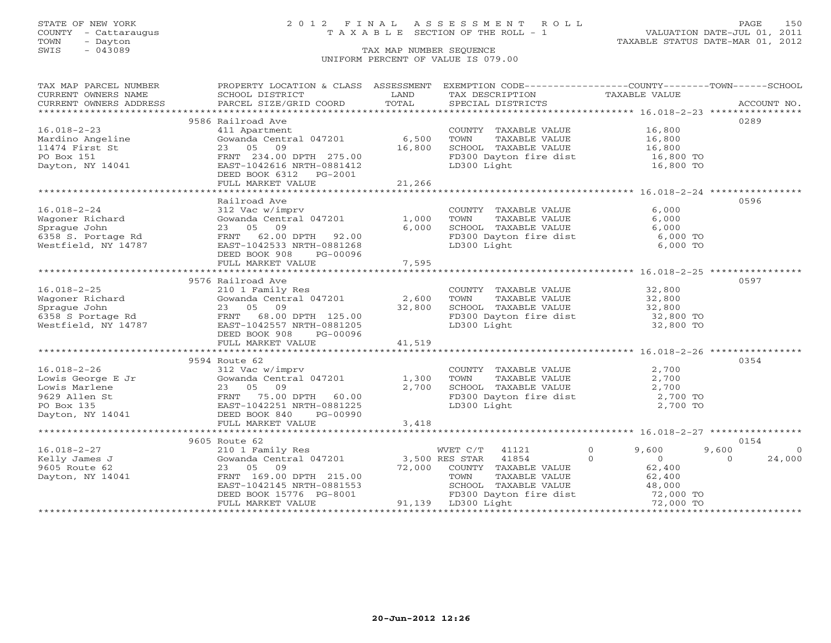### STATE OF NEW YORK 2 0 1 2 F I N A L A S S E S S M E N T R O L L PAGE 150 COUNTY - Cattaraugus T A X A B L E SECTION OF THE ROLL - 1 VALUATION DATE-JUL 01, 2011

| TAX MAP PARCEL NUMBER                                                                                                                                                                                       | PROPERTY LOCATION & CLASS ASSESSMENT EXEMPTION CODE----------------COUNTY-------TOWN------SCHOOL                                                           |        |                                                                                                                                                                                            |                         |                         |
|-------------------------------------------------------------------------------------------------------------------------------------------------------------------------------------------------------------|------------------------------------------------------------------------------------------------------------------------------------------------------------|--------|--------------------------------------------------------------------------------------------------------------------------------------------------------------------------------------------|-------------------------|-------------------------|
| TAX MAF FARCED SCHOOL DISTRICT<br>CURRENT OWNERS NAME SCHOOL SIZE/GRID COORD<br>CURRENT OWNERS ADDRESS PARCEL SIZE/GRID COORD                                                                               | <b>Example 12</b> LAND                                                                                                                                     |        | TAX DESCRIPTION TAXABLE VALUE                                                                                                                                                              |                         |                         |
|                                                                                                                                                                                                             |                                                                                                                                                            |        |                                                                                                                                                                                            |                         |                         |
|                                                                                                                                                                                                             |                                                                                                                                                            |        |                                                                                                                                                                                            |                         |                         |
|                                                                                                                                                                                                             | 9586 Railroad Ave                                                                                                                                          |        |                                                                                                                                                                                            |                         | 0289                    |
| $16.018 - 2 - 23$                                                                                                                                                                                           | 411 Apartment                                                                                                                                              |        | COUNTY TAXABLE VALUE 16,800                                                                                                                                                                |                         |                         |
|                                                                                                                                                                                                             | Gowanda Central 047201 6,500                                                                                                                               |        |                                                                                                                                                                                            |                         |                         |
| Mardino Angeline<br>11474 First St                                                                                                                                                                          | 23 05 09                                                                                                                                                   | 16,800 |                                                                                                                                                                                            |                         |                         |
| PO Box 151                                                                                                                                                                                                  | FRNT 234.00 DPTH 275.00                                                                                                                                    |        |                                                                                                                                                                                            |                         |                         |
| Dayton, NY 14041                                                                                                                                                                                            | EAST-1042616 NRTH-0881412                                                                                                                                  |        | FD300 Dayton fire dist 16,800 TO<br>LD300 Light 16,800 TO<br>LD300 Light                                                                                                                   |                         |                         |
|                                                                                                                                                                                                             | DEED BOOK 6312 PG-2001                                                                                                                                     |        |                                                                                                                                                                                            |                         |                         |
|                                                                                                                                                                                                             | FULL MARKET VALUE                                                                                                                                          | 21,266 |                                                                                                                                                                                            |                         |                         |
|                                                                                                                                                                                                             |                                                                                                                                                            |        |                                                                                                                                                                                            |                         |                         |
|                                                                                                                                                                                                             | Railroad Ave                                                                                                                                               |        |                                                                                                                                                                                            |                         | 0596                    |
| $16.018 - 2 - 24$                                                                                                                                                                                           |                                                                                                                                                            |        | COUNTY TAXABLE VALUE                                                                                                                                                                       | 6,000                   |                         |
|                                                                                                                                                                                                             | 312 Vac w/imprv<br>Gowanda Central 047201 1,000                                                                                                            |        |                                                                                                                                                                                            | 6,000                   |                         |
|                                                                                                                                                                                                             |                                                                                                                                                            | 6,000  | TOWN       TAXABLE  VALUE<br>SCHOOL    TAXABLE  VALUE                                                                                                                                      | 6,000                   |                         |
| Wagoner Richard (Cowanda Central 047201)<br>Sprague John 23 05 09<br>6358 S. Portage Rd (FRNT 62.00 DPTH 92.00<br>Westfield, NY 14787 (EAST-1042533 NRTH-0881268                                            | FRNT 62.00 DPTH 92.00                                                                                                                                      |        |                                                                                                                                                                                            | 6,000 TO                |                         |
|                                                                                                                                                                                                             |                                                                                                                                                            |        | FD300 Dayton fire dist<br>LD300 Light                                                                                                                                                      | 6,000 TO                |                         |
|                                                                                                                                                                                                             | DEED BOOK 908<br>PG-00096                                                                                                                                  |        |                                                                                                                                                                                            |                         |                         |
|                                                                                                                                                                                                             | FULL MARKET VALUE                                                                                                                                          | 7,595  |                                                                                                                                                                                            |                         |                         |
|                                                                                                                                                                                                             |                                                                                                                                                            |        |                                                                                                                                                                                            |                         |                         |
|                                                                                                                                                                                                             | 9576 Railroad Ave                                                                                                                                          |        |                                                                                                                                                                                            |                         | 0597                    |
| $16.018 - 2 - 25$                                                                                                                                                                                           |                                                                                                                                                            |        | COUNTY TAXABLE VALUE 32,800                                                                                                                                                                |                         |                         |
|                                                                                                                                                                                                             | 210 1 Family Res<br>Gowanda Central 047201 2,600                                                                                                           |        |                                                                                                                                                                                            |                         |                         |
| 16.018-2-25<br>Wagoner Richard<br>Sprague John 23 05 09<br>6358 S Portage Rd<br>Westfield, NY 14787<br>TENT 68.00 DPTH 125.00<br>ERNT 68.00 DPTH 125.00<br>Mestfield, NY 14787<br>TENT-1042557 NRTH-0881205 |                                                                                                                                                            | 32,800 | CONN TAXABLE VALUE<br>TOWN TAXABLE VALUE 32,800<br>FD300 Dayton fire dist 32,800 TO<br>32,800 TO<br>32,800 TO                                                                              |                         |                         |
|                                                                                                                                                                                                             |                                                                                                                                                            |        |                                                                                                                                                                                            |                         |                         |
|                                                                                                                                                                                                             |                                                                                                                                                            |        |                                                                                                                                                                                            |                         |                         |
|                                                                                                                                                                                                             | DEED BOOK 908<br>PG-00096                                                                                                                                  |        |                                                                                                                                                                                            |                         |                         |
|                                                                                                                                                                                                             | FULL MARKET VALUE                                                                                                                                          | 41,519 |                                                                                                                                                                                            |                         |                         |
|                                                                                                                                                                                                             |                                                                                                                                                            |        |                                                                                                                                                                                            |                         |                         |
|                                                                                                                                                                                                             | 9594 Route 62                                                                                                                                              |        |                                                                                                                                                                                            |                         | 0354                    |
|                                                                                                                                                                                                             |                                                                                                                                                            |        |                                                                                                                                                                                            |                         |                         |
|                                                                                                                                                                                                             |                                                                                                                                                            |        |                                                                                                                                                                                            |                         |                         |
|                                                                                                                                                                                                             |                                                                                                                                                            |        |                                                                                                                                                                                            |                         |                         |
|                                                                                                                                                                                                             |                                                                                                                                                            |        |                                                                                                                                                                                            |                         |                         |
|                                                                                                                                                                                                             |                                                                                                                                                            |        | COUNTY TAXABLE VALUE $2,700$<br>TOWN TAXABLE VALUE $2,700$<br>SCHOOL TAXABLE VALUE $2,700$<br>FD300 Dayton fire dist $2,700$ TO<br>LD300 Light $2,700$ TO                                  |                         |                         |
|                                                                                                                                                                                                             |                                                                                                                                                            |        |                                                                                                                                                                                            |                         |                         |
|                                                                                                                                                                                                             | FULL MARKET VALUE                                                                                                                                          | 3,418  |                                                                                                                                                                                            |                         |                         |
|                                                                                                                                                                                                             |                                                                                                                                                            |        |                                                                                                                                                                                            |                         |                         |
|                                                                                                                                                                                                             | 9605 Route 62                                                                                                                                              |        |                                                                                                                                                                                            |                         | 0154                    |
| $16.018 - 2 - 27$                                                                                                                                                                                           | 210 1 Family Res                                                                                                                                           |        | WVET C/T 41121                                                                                                                                                                             | $\overline{0}$<br>9,600 | 9,600<br>$\overline{0}$ |
| Kelly James J                                                                                                                                                                                               |                                                                                                                                                            |        | $\overline{0}$                                                                                                                                                                             | $\sim$ 0                | $\Omega$<br>24,000      |
| 9605 Route 62                                                                                                                                                                                               | 23 05 09                                                                                                                                                   |        |                                                                                                                                                                                            |                         |                         |
| Dayton, NY 14041                                                                                                                                                                                            | FRNT 169.00 DPTH 215.00                                                                                                                                    |        |                                                                                                                                                                                            |                         |                         |
|                                                                                                                                                                                                             |                                                                                                                                                            |        |                                                                                                                                                                                            |                         |                         |
|                                                                                                                                                                                                             |                                                                                                                                                            |        |                                                                                                                                                                                            |                         |                         |
|                                                                                                                                                                                                             | FRNT 169.00 DPTH 215.00 TOWN TAXA<br>EAST-1042145 NRTH-0881553 SCHOOL TAXA<br>DEED BOOK 15776 PG-8001 PD300 Daytor<br>FULL MARKET VALUE 91,139 LD300 Light |        | 72,000 COUNTY TAXABLE VALUE<br>TOWN TAXABLE VALUE 62,400<br>SCHOOL TAXABLE VALUE 62,400<br>SCHOOL TAXABLE VALUE 48,000<br>FD300 Dayton fire dist 72,000 TO<br>91,139 LD300 Light 72,000 TO |                         |                         |
|                                                                                                                                                                                                             |                                                                                                                                                            |        |                                                                                                                                                                                            |                         |                         |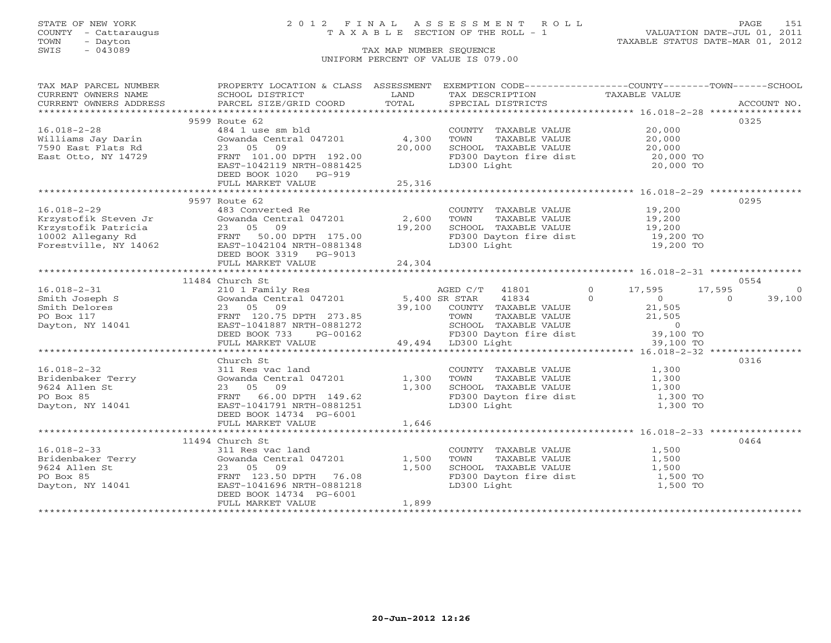COUNTY - Cattaraugus T A X A B L E SECTION OF THE ROLL - 1<br>TOWN - Dayton<br>SWIS - 043089 TAX MAP NUMBER SEQUENCE

# STATE OF NEW YORK 2 0 1 2 F I N A L A S S E S S M E N T R O L L PAGE 151

VALUATION DATE-JUL 01, 2011 TAXABLE STATUS DATE-MAR 01, 2012

### TAX MAP NUMBER SEQUENCE UNIFORM PERCENT OF VALUE IS 079.00

| TAX MAP PARCEL NUMBER | PROPERTY LOCATION & CLASS ASSESSMENT EXEMPTION CODE----------------COUNTY-------TOWN------SCHOOL                                                                                                                                                                                                                                                                                                                                                                                                              |       |                                                                                                                                                                                                    |      |
|-----------------------|---------------------------------------------------------------------------------------------------------------------------------------------------------------------------------------------------------------------------------------------------------------------------------------------------------------------------------------------------------------------------------------------------------------------------------------------------------------------------------------------------------------|-------|----------------------------------------------------------------------------------------------------------------------------------------------------------------------------------------------------|------|
|                       |                                                                                                                                                                                                                                                                                                                                                                                                                                                                                                               |       |                                                                                                                                                                                                    |      |
|                       |                                                                                                                                                                                                                                                                                                                                                                                                                                                                                                               |       |                                                                                                                                                                                                    |      |
|                       |                                                                                                                                                                                                                                                                                                                                                                                                                                                                                                               |       |                                                                                                                                                                                                    |      |
|                       | 9599 Route 62                                                                                                                                                                                                                                                                                                                                                                                                                                                                                                 |       |                                                                                                                                                                                                    | 0325 |
| $16.018 - 2 - 28$     | ROULE 62<br>4,300 TOWN TAXABLE VALUE 20,000<br>23 05 09<br>FRNT 101.00 DPTH 192.00<br>EAST-104211 92.00<br>20,000 SCHOOL TAXABLE VALUE 20,000<br>FRNT 101.00 DPTH 192.00<br>EAST-1042119 NRTH-0881425<br>EAST-1042119 NRTH-0881425<br>THE CONSID                                                                                                                                                                                                                                                              |       |                                                                                                                                                                                                    |      |
|                       |                                                                                                                                                                                                                                                                                                                                                                                                                                                                                                               |       |                                                                                                                                                                                                    |      |
|                       |                                                                                                                                                                                                                                                                                                                                                                                                                                                                                                               |       |                                                                                                                                                                                                    |      |
|                       |                                                                                                                                                                                                                                                                                                                                                                                                                                                                                                               |       |                                                                                                                                                                                                    |      |
|                       |                                                                                                                                                                                                                                                                                                                                                                                                                                                                                                               |       |                                                                                                                                                                                                    |      |
|                       |                                                                                                                                                                                                                                                                                                                                                                                                                                                                                                               |       |                                                                                                                                                                                                    |      |
|                       |                                                                                                                                                                                                                                                                                                                                                                                                                                                                                                               |       |                                                                                                                                                                                                    |      |
|                       |                                                                                                                                                                                                                                                                                                                                                                                                                                                                                                               |       |                                                                                                                                                                                                    |      |
|                       | 9597 Route 62                                                                                                                                                                                                                                                                                                                                                                                                                                                                                                 |       |                                                                                                                                                                                                    | 0295 |
|                       |                                                                                                                                                                                                                                                                                                                                                                                                                                                                                                               |       |                                                                                                                                                                                                    |      |
|                       |                                                                                                                                                                                                                                                                                                                                                                                                                                                                                                               |       |                                                                                                                                                                                                    |      |
|                       |                                                                                                                                                                                                                                                                                                                                                                                                                                                                                                               |       |                                                                                                                                                                                                    |      |
|                       |                                                                                                                                                                                                                                                                                                                                                                                                                                                                                                               |       |                                                                                                                                                                                                    |      |
|                       |                                                                                                                                                                                                                                                                                                                                                                                                                                                                                                               |       |                                                                                                                                                                                                    |      |
|                       |                                                                                                                                                                                                                                                                                                                                                                                                                                                                                                               |       |                                                                                                                                                                                                    |      |
|                       | 16.018-2-29<br>Xrzystofik Steven Jr<br>Xrzystofik Patricia (147201 - 2,600 TOWN TAXABLE VALUE 19,200<br>Xrzystofik Patricia 23 05 09<br>19.200 ENEXABLE VALUE 19,200<br>19.200 ECHOOL TAXABLE VALUE 19,200<br>19.200 ECHOOL TAXABLE VALUE                                                                                                                                                                                                                                                                     |       |                                                                                                                                                                                                    |      |
|                       |                                                                                                                                                                                                                                                                                                                                                                                                                                                                                                               |       |                                                                                                                                                                                                    |      |
|                       | 11484 Church St                                                                                                                                                                                                                                                                                                                                                                                                                                                                                               |       |                                                                                                                                                                                                    | 0554 |
|                       |                                                                                                                                                                                                                                                                                                                                                                                                                                                                                                               |       |                                                                                                                                                                                                    |      |
|                       |                                                                                                                                                                                                                                                                                                                                                                                                                                                                                                               |       |                                                                                                                                                                                                    |      |
|                       |                                                                                                                                                                                                                                                                                                                                                                                                                                                                                                               |       |                                                                                                                                                                                                    |      |
|                       |                                                                                                                                                                                                                                                                                                                                                                                                                                                                                                               |       |                                                                                                                                                                                                    |      |
|                       |                                                                                                                                                                                                                                                                                                                                                                                                                                                                                                               |       |                                                                                                                                                                                                    |      |
|                       |                                                                                                                                                                                                                                                                                                                                                                                                                                                                                                               |       |                                                                                                                                                                                                    |      |
|                       |                                                                                                                                                                                                                                                                                                                                                                                                                                                                                                               |       |                                                                                                                                                                                                    |      |
|                       |                                                                                                                                                                                                                                                                                                                                                                                                                                                                                                               |       |                                                                                                                                                                                                    |      |
|                       | Church St                                                                                                                                                                                                                                                                                                                                                                                                                                                                                                     |       |                                                                                                                                                                                                    | 0316 |
|                       |                                                                                                                                                                                                                                                                                                                                                                                                                                                                                                               |       |                                                                                                                                                                                                    |      |
|                       |                                                                                                                                                                                                                                                                                                                                                                                                                                                                                                               |       |                                                                                                                                                                                                    |      |
|                       |                                                                                                                                                                                                                                                                                                                                                                                                                                                                                                               |       |                                                                                                                                                                                                    |      |
|                       | Church St<br>311 Res vac land<br>Gowanda Central 047201<br>23 05 09 1,300 TOWN TAXABLE VALUE<br>23 05 09 1,300 SCHOOL TAXABLE VALUE<br>FRNT 66.00 DPTH 149.62<br>EAST-1041791 NRTH-0881251<br>23 05 09 1,300 SCHOOL TAXABLE VALUE<br>20 1,300<br>16.018-2-32<br>Bridenbaker Terry<br>9624 Allen St<br>PO Box 85<br>Dayton, NY 14041<br>PO Box 85<br>Dayton, NY 14041<br>PO Box 85<br>PO Box 85<br>Dayton, NY 14041<br>PO BOX 85<br>PO BOX 85<br>DEED BOOK 14734<br>PO BOX 85<br>DEED BOOK 14734<br>PO BOX 147 |       |                                                                                                                                                                                                    |      |
|                       |                                                                                                                                                                                                                                                                                                                                                                                                                                                                                                               |       |                                                                                                                                                                                                    |      |
|                       |                                                                                                                                                                                                                                                                                                                                                                                                                                                                                                               |       |                                                                                                                                                                                                    |      |
|                       |                                                                                                                                                                                                                                                                                                                                                                                                                                                                                                               |       |                                                                                                                                                                                                    |      |
|                       |                                                                                                                                                                                                                                                                                                                                                                                                                                                                                                               |       |                                                                                                                                                                                                    |      |
|                       | 11494 Church St                                                                                                                                                                                                                                                                                                                                                                                                                                                                                               |       |                                                                                                                                                                                                    | 0464 |
|                       |                                                                                                                                                                                                                                                                                                                                                                                                                                                                                                               |       | $\begin{tabular}{lllllllll} \multicolumn{2}{c}{\textbf{COUNTY}} & \textbf{TAXABLE VALUE} & & & & 1,500 \\ \multicolumn{2}{c}{\textbf{TOWN}} & \textbf{TAXABLE VALUE} & & & 1,500 \\ \end{tabular}$ |      |
|                       |                                                                                                                                                                                                                                                                                                                                                                                                                                                                                                               |       |                                                                                                                                                                                                    |      |
|                       | 16.018-2-33<br>Bridenbaker Terry 311 Res vac land<br>9624 Allen St<br>PO Box 85<br>Dayton, NY 14041<br>PO Box 85<br>Dayton, NY 14041<br>PO Box 85<br>DREST-1041<br>PO BORTH 0681218<br>PO BORTH 0681218<br>PO BORTH 0681218<br>PO BORTH 0681218<br>PO BO                                                                                                                                                                                                                                                      |       | SCHOOL TAXABLE VALUE<br>FD300 Dayton fire dist 1,500 TO<br>LD300 Light 1,500 TO<br>1,500 TO                                                                                                        |      |
|                       |                                                                                                                                                                                                                                                                                                                                                                                                                                                                                                               |       |                                                                                                                                                                                                    |      |
|                       |                                                                                                                                                                                                                                                                                                                                                                                                                                                                                                               |       | LD300 Light                                                                                                                                                                                        |      |
|                       | DEED BOOK 14734 PG-6001                                                                                                                                                                                                                                                                                                                                                                                                                                                                                       |       |                                                                                                                                                                                                    |      |
|                       | FULL MARKET VALUE                                                                                                                                                                                                                                                                                                                                                                                                                                                                                             | 1,899 |                                                                                                                                                                                                    |      |
|                       |                                                                                                                                                                                                                                                                                                                                                                                                                                                                                                               |       |                                                                                                                                                                                                    |      |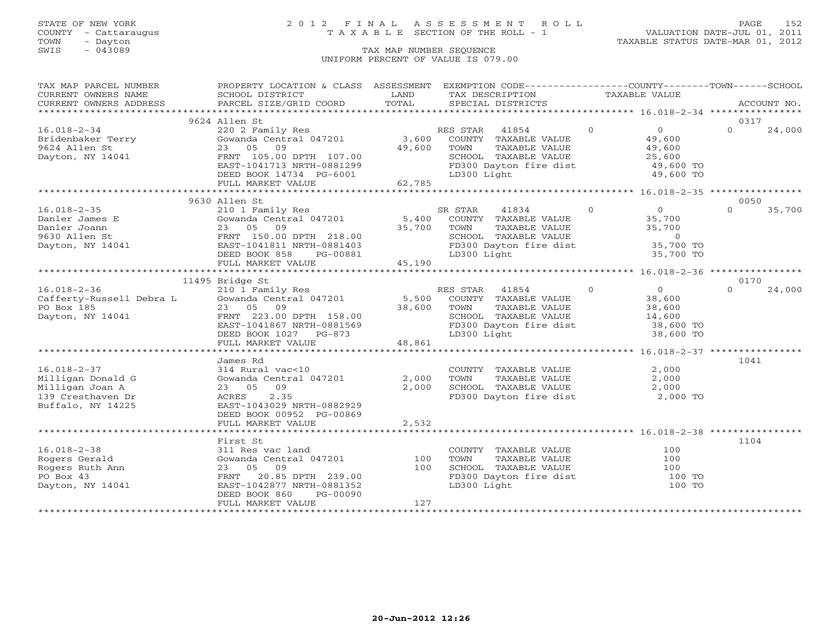COUNTY - Cattaraugus T A X A B L E SECTION OF THE ROLL - 1<br>TOWN - Dayton<br>SWIS - 043089 TAX MAP NUMBER SEQUENCE

# STATE OF NEW YORK 2012 FINAL ASSESSMENT ROLL PAGE 152

VALUATION DATE-JUL 01, 2011 TAXABLE STATUS DATE-MAR 01, 2012

### TAX MAP NUMBER SEQUENCE UNIFORM PERCENT OF VALUE IS 079.00

| TAX MAP PARCEL NUMBER                                                                                                                               | PROPERTY LOCATION & CLASS ASSESSMENT                                                                     |             | EXEMPTION CODE----------------COUNTY-------TOWN------SCHOOL                                                                  |                |                                           |          |             |
|-----------------------------------------------------------------------------------------------------------------------------------------------------|----------------------------------------------------------------------------------------------------------|-------------|------------------------------------------------------------------------------------------------------------------------------|----------------|-------------------------------------------|----------|-------------|
| CURRENT OWNERS NAME                                                                                                                                 | SCHOOL DISTRICT                                                                                          | LAND        | TAX DESCRIPTION                                                                                                              | TAXABLE VALUE  |                                           |          |             |
| CURRENT OWNERS ADDRESS                                                                                                                              | PARCEL SIZE/GRID COORD                                                                                   | TOTAL       | SPECIAL DISTRICTS                                                                                                            |                |                                           |          | ACCOUNT NO. |
|                                                                                                                                                     |                                                                                                          |             |                                                                                                                              |                |                                           |          |             |
|                                                                                                                                                     | 9624 Allen St                                                                                            |             |                                                                                                                              |                |                                           | 0317     |             |
| 16.018-2-34                                                                                                                                         | 220 2 Family Res                                                                                         |             | RES STAR 41854 0                                                                                                             |                | $\overline{0}$                            | $\Omega$ | 24,000      |
| Bridenbaker Terry<br>9624 Allen St                                                                                                                  | Gowanda Central 047201                                                                                   |             | 3,600 COUNTY TAXABLE VALUE<br>49,600 TOWN TAXABLE VALUE                                                                      |                | 49,600<br>49,600                          |          |             |
|                                                                                                                                                     | 23 05 09                                                                                                 |             |                                                                                                                              |                |                                           |          |             |
| Dayton, NY 14041                                                                                                                                    | FRNT 105.00 DPTH 107.00<br>EAST-1041713 NRTH-0881299                                                     |             |                                                                                                                              |                | 25,600<br>49,600 TO                       |          |             |
|                                                                                                                                                     | DEED BOOK 14734 PG-6001                                                                                  |             | SCHOOL TAXABLE VALUE<br>FD300 Dayton fire dist<br>LD300 Light                                                                |                | 49,600 TO                                 |          |             |
|                                                                                                                                                     | FULL MARKET VALUE                                                                                        | 62,785      |                                                                                                                              |                |                                           |          |             |
|                                                                                                                                                     |                                                                                                          |             |                                                                                                                              |                |                                           |          |             |
|                                                                                                                                                     | 9630 Allen St                                                                                            |             |                                                                                                                              |                |                                           | 0050     |             |
| $16.018 - 2 - 35$                                                                                                                                   | 210 1 Family Res                                                                                         |             | 41834 0<br>SR STAR                                                                                                           |                | $\overline{0}$                            | $\cap$   | 35,700      |
|                                                                                                                                                     |                                                                                                          |             |                                                                                                                              |                | 35,700                                    |          |             |
|                                                                                                                                                     | COWARD CONTY TAXABLE VALUE<br>23 05 09 35.700 TOWNTY TAXABLE VALUE<br>23 05 09 35.700 TOWN TAXABLE VALUE | 35,700 TOWN | TOWN TAXABLE VALUE<br>TOWN TAXABLE VALUE 35,700<br>SCHOOL TAXABLE VALUE 0<br>FD300 Dayton fire dist 35,700 TO                |                |                                           |          |             |
|                                                                                                                                                     |                                                                                                          |             |                                                                                                                              |                |                                           |          |             |
|                                                                                                                                                     |                                                                                                          |             |                                                                                                                              |                |                                           |          |             |
|                                                                                                                                                     | DEED BOOK 858<br>PG-00881                                                                                |             | LD300 Light                                                                                                                  |                | 35,700 TO                                 |          |             |
|                                                                                                                                                     | FULL MARKET VALUE                                                                                        | 45,190      |                                                                                                                              |                |                                           |          |             |
|                                                                                                                                                     |                                                                                                          |             |                                                                                                                              |                |                                           |          |             |
|                                                                                                                                                     | 11495 Bridge St                                                                                          |             |                                                                                                                              |                |                                           | 0170     |             |
| 16.018-2-36<br>Cafferty-Russell Debra L Gowanda Central 047201 5,500 COUNTY TAXABLE VALUE<br>PO Box 185 23 05 09 23 05 00 2000 COUNTY TAXABLE VALUE |                                                                                                          |             |                                                                                                                              | $\overline{0}$ | $\begin{array}{c} 0 \ 38,600 \end{array}$ | $\Omega$ | 24,000      |
|                                                                                                                                                     |                                                                                                          |             |                                                                                                                              |                |                                           |          |             |
| PO Box 185                                                                                                                                          | 23 05 09                                                                                                 | 38,600 TOWN | TAXABLE VALUE                                                                                                                |                | 38,600                                    |          |             |
| Dayton, NY 14041                                                                                                                                    | FRNT 223.00 DPTH 158.00<br>FRNT 223.00 DPTH 158.00<br>EAST-1041867 NRTH-0881569                          |             | SCHOOL TAXABLE VALUE 14,600<br>FD300 Dayton fire dist 38,600 TO                                                              |                |                                           |          |             |
|                                                                                                                                                     |                                                                                                          |             |                                                                                                                              |                |                                           |          |             |
|                                                                                                                                                     | DEED BOOK 1027 PG-873                                                                                    |             | LD300 Light                                                                                                                  |                | 38,600 TO                                 |          |             |
|                                                                                                                                                     | FULL MARKET VALUE                                                                                        | 48,861      |                                                                                                                              |                |                                           |          |             |
|                                                                                                                                                     |                                                                                                          |             |                                                                                                                              |                |                                           |          |             |
| $16.018 - 2 - 37$                                                                                                                                   | James Rd<br>314 Rural vac<10                                                                             |             |                                                                                                                              |                |                                           | 1041     |             |
| Milligan Donald G                                                                                                                                   | Gowanda Central 047201                                                                                   | 2,000       |                                                                                                                              |                |                                           |          |             |
| Milligan Joan A                                                                                                                                     | 23 05 09                                                                                                 | 2,000       |                                                                                                                              |                |                                           |          |             |
| 139 Cresthaven Dr                                                                                                                                   | 2.35<br>ACRES                                                                                            |             | COUNTY TAXABLE VALUE $2,000$<br>TOWN TAXABLE VALUE $2,000$<br>SCHOOL TAXABLE VALUE $2,000$<br>FD300 Dayton fire dist $2,000$ |                | 2,000 TO                                  |          |             |
| Buffalo, NY 14225                                                                                                                                   | EAST-1043029 NRTH-0882929                                                                                |             |                                                                                                                              |                |                                           |          |             |
|                                                                                                                                                     | DEED BOOK 00952 PG-00869                                                                                 |             |                                                                                                                              |                |                                           |          |             |
|                                                                                                                                                     | FULL MARKET VALUE                                                                                        | 2,532       |                                                                                                                              |                |                                           |          |             |
|                                                                                                                                                     |                                                                                                          |             |                                                                                                                              |                |                                           |          |             |
|                                                                                                                                                     | First St                                                                                                 |             |                                                                                                                              |                |                                           | 1104     |             |
| $16.018 - 2 - 38$                                                                                                                                   | 311 Res vac land                                                                                         |             | COUNTY TAXABLE VALUE                                                                                                         |                | 100                                       |          |             |
| Rogers Gerald                                                                                                                                       | Gowanda Central 047201                                                                                   | 100         | TOWN<br>TAXABLE VALUE                                                                                                        |                | 100                                       |          |             |
| Rogers Ruth Ann                                                                                                                                     | 23 05 09                                                                                                 | 100         | SCHOOL TAXABLE VALUE                                                                                                         |                |                                           |          |             |
| PO Box 43                                                                                                                                           | 20.85 DPTH 239.00<br>FRNT                                                                                |             | FD300 Dayton fire dist                                                                                                       |                | 100<br>100 TO                             |          |             |
| Dayton, NY 14041                                                                                                                                    | EAST-1042877 NRTH-0881352                                                                                |             | LD300 Light                                                                                                                  |                | 100 TO                                    |          |             |
|                                                                                                                                                     | DEED BOOK 860<br>PG-00090                                                                                |             |                                                                                                                              |                |                                           |          |             |
|                                                                                                                                                     | FULL MARKET VALUE                                                                                        | 127         |                                                                                                                              |                |                                           |          |             |
|                                                                                                                                                     |                                                                                                          |             |                                                                                                                              |                |                                           |          |             |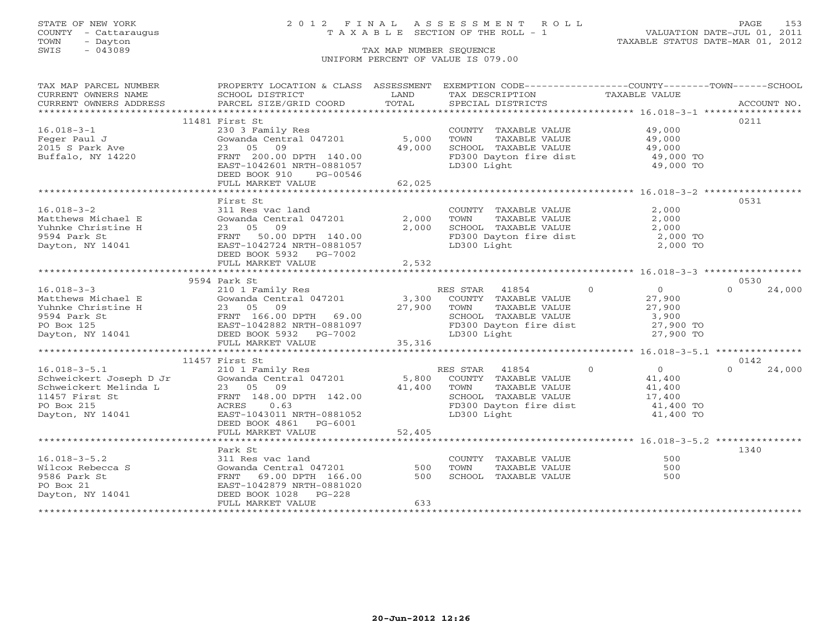TOWN - Dayton TAXABLE STATUS DATE-MAR 01, 2012 SWIS - Dayton - Dayton - Dayton - Dayton - Dayton - Dayton - Dayton - Dayton - Dayton - Dayton - Dayton - Dayton - Dayton - Dayton - Dayton - Dayton - Dayton - Dayton - Dayton - Dayton - Dayton - Dayton - Dayton - Dayton -

### STATE OF NEW YORK 2 0 1 2 F I N A L A S S E S S M E N T R O L L PAGE 153 COUNTY - Cattaraugus T A X A B L E SECTION OF THE ROLL - 1 VALUATION DATE-JUL 01, 2011

### UNIFORM PERCENT OF VALUE IS 079.00

| TAX MAP PARCEL NUMBER                                                                                                                                                                                                                      | PROPERTY LOCATION & CLASS ASSESSMENT |        | EXEMPTION CODE----------------COUNTY-------TOWN------SCHOOL                                                                                                           |               |                    |
|--------------------------------------------------------------------------------------------------------------------------------------------------------------------------------------------------------------------------------------------|--------------------------------------|--------|-----------------------------------------------------------------------------------------------------------------------------------------------------------------------|---------------|--------------------|
| CURRENT OWNERS NAME                                                                                                                                                                                                                        | SCHOOL DISTRICT                      | LAND   | TAX DESCRIPTION                                                                                                                                                       | TAXABLE VALUE |                    |
|                                                                                                                                                                                                                                            |                                      |        |                                                                                                                                                                       |               |                    |
|                                                                                                                                                                                                                                            |                                      |        |                                                                                                                                                                       |               |                    |
|                                                                                                                                                                                                                                            | 11481 First St                       |        |                                                                                                                                                                       |               | 0211               |
| $16.018 - 3 - 1$                                                                                                                                                                                                                           | 230 3 Family Res                     |        | COUNTY TAXABLE VALUE 49,000                                                                                                                                           |               |                    |
| Feger Paul J<br>2015 S Park Ave                                                                                                                                                                                                            | Gowanda Central 047201               | 5,000  |                                                                                                                                                                       |               |                    |
|                                                                                                                                                                                                                                            | 23 05 09                             | 49,000 |                                                                                                                                                                       |               |                    |
| Buffalo, NY 14220                                                                                                                                                                                                                          | FRNT 200.00 DPTH 140.00              |        | FD300 Dayton fire dist $\begin{array}{ccc} 49,000 & \text{TO} \\ -0.00 & 0.00 & \text{TO} \end{array}$                                                                |               |                    |
|                                                                                                                                                                                                                                            | EAST-1042601 NRTH-0881057            |        | LD300 Light                                                                                                                                                           | 49,000 TO     |                    |
|                                                                                                                                                                                                                                            | DEED BOOK 910<br>PG-00546            |        |                                                                                                                                                                       |               |                    |
|                                                                                                                                                                                                                                            | FULL MARKET VALUE                    | 62,025 |                                                                                                                                                                       |               |                    |
|                                                                                                                                                                                                                                            |                                      |        |                                                                                                                                                                       |               |                    |
|                                                                                                                                                                                                                                            | First St                             |        |                                                                                                                                                                       |               | 0531               |
| $16.018 - 3 - 2$                                                                                                                                                                                                                           | 311 Res vac land                     |        | $\begin{tabular}{lllllll} \multicolumn{2}{l}{{\small \texttt{COUNTY}}} & \multicolumn{2}{l}{\small \texttt{TAXABLE VALUE}} & \\ & & & & 2\texttt{,000} \end{tabular}$ |               |                    |
|                                                                                                                                                                                                                                            | Gowanda Central 047201               | 2,000  |                                                                                                                                                                       |               |                    |
|                                                                                                                                                                                                                                            | 23 05 09                             | 2,000  |                                                                                                                                                                       |               |                    |
| Matthews Michael E<br>Yuhnke Christine H<br>9594 Park St<br>Dayton, NY 14041                                                                                                                                                               | FRNT 50.00 DPTH 140.00               |        | FD300 Dayton fire dist 2,000 TO<br>LD300 Light 2,000 TO                                                                                                               |               |                    |
|                                                                                                                                                                                                                                            | EAST-1042724 NRTH-0881057            |        |                                                                                                                                                                       |               |                    |
|                                                                                                                                                                                                                                            | DEED BOOK 5932 PG-7002               |        |                                                                                                                                                                       |               |                    |
|                                                                                                                                                                                                                                            | FULL MARKET VALUE                    | 2,532  |                                                                                                                                                                       |               |                    |
|                                                                                                                                                                                                                                            |                                      |        |                                                                                                                                                                       |               |                    |
|                                                                                                                                                                                                                                            | 9594 Park St                         |        |                                                                                                                                                                       |               | 0530               |
| 16.018-3-3<br>Matthews Michael E<br>Yuhnke Christine H<br>Served B (Sowanda Central 047201 3,300 COUNTY TAXABLE VALUE<br>Yuhnke Christine H<br>23 05 09 27,900 TOWN TAXABLE VALUE<br>PO Box 125<br>Dayton, NY 14041 BEED BOOK 5932 PG-7002 |                                      |        | RES STAR 41854 0 0<br>COUNTY TAXABLE VALUE 27,900                                                                                                                     |               | $\Omega$<br>24,000 |
|                                                                                                                                                                                                                                            |                                      |        |                                                                                                                                                                       |               |                    |
|                                                                                                                                                                                                                                            |                                      |        | TOWN TAXABLE VALUE<br>TOWN TAXABLE VALUE 27,900<br>SCHOOL TAXABLE VALUE 3,900<br>FD300 Dayton fire dist 27,900 TO                                                     |               |                    |
|                                                                                                                                                                                                                                            |                                      |        |                                                                                                                                                                       |               |                    |
|                                                                                                                                                                                                                                            |                                      |        |                                                                                                                                                                       |               |                    |
|                                                                                                                                                                                                                                            |                                      |        |                                                                                                                                                                       | 27,900 TO     |                    |
|                                                                                                                                                                                                                                            |                                      |        |                                                                                                                                                                       |               |                    |
|                                                                                                                                                                                                                                            |                                      |        |                                                                                                                                                                       |               |                    |
|                                                                                                                                                                                                                                            | 11457 First St                       |        |                                                                                                                                                                       |               | 0142               |
|                                                                                                                                                                                                                                            |                                      |        | RES STAR 41854 0 0<br>COUNTY TAXABLE VALUE 41,400                                                                                                                     |               | $\cap$<br>24,000   |
| 16.018-3-5.1 210 1 Family Res RE<br>Schweickert Joseph D Jr Gowanda Central 047201 5,800                                                                                                                                                   |                                      |        |                                                                                                                                                                       |               |                    |
|                                                                                                                                                                                                                                            |                                      | 41,400 | TOWN                                                                                                                                                                  |               |                    |
|                                                                                                                                                                                                                                            |                                      |        | TOWN TAXABLE VALUE<br>SCHOOL TAXABLE VALUE 41,400<br>FD300 Dayton fire dist 41,400 TO<br>41,400 TO                                                                    |               |                    |
|                                                                                                                                                                                                                                            |                                      |        |                                                                                                                                                                       |               |                    |
| Schweickert Melinda L<br>11457 First St<br>PO Box 215<br>Dayton, NY 14041<br>23 05 09<br>23 05 09<br>FRNT 148.00 DPTH 142.00<br>23 05 09<br>23 05 09<br>23 05 09<br>23 05 09                                                               | EAST-1043011 NRTH-0881052            |        | LD300 Light                                                                                                                                                           | 41,400 TO     |                    |
|                                                                                                                                                                                                                                            | DEED BOOK 4861 PG-6001               |        |                                                                                                                                                                       |               |                    |
|                                                                                                                                                                                                                                            | FULL MARKET VALUE                    | 52,405 |                                                                                                                                                                       |               |                    |
|                                                                                                                                                                                                                                            |                                      |        |                                                                                                                                                                       |               |                    |
|                                                                                                                                                                                                                                            | Park St                              |        |                                                                                                                                                                       |               | 1340               |
| $16.018 - 3 - 5.2$                                                                                                                                                                                                                         | 311 Res vac land                     |        | COUNTY TAXABLE VALUE                                                                                                                                                  | 500           |                    |
| Wilcox Rebecca S                                                                                                                                                                                                                           | Gowanda Central 047201               | 500    | TOWN<br>TAXABLE VALUE                                                                                                                                                 | 500           |                    |
| 9586 Park St                                                                                                                                                                                                                               | FRNT 69.00 DPTH 166.00               | 500    | SCHOOL TAXABLE VALUE                                                                                                                                                  | 500           |                    |
| PO Box 21                                                                                                                                                                                                                                  | EAST-1042879 NRTH-0881020            |        |                                                                                                                                                                       |               |                    |
| Dayton, NY 14041                                                                                                                                                                                                                           | DEED BOOK 1028 PG-228                |        |                                                                                                                                                                       |               |                    |
|                                                                                                                                                                                                                                            | FULL MARKET VALUE                    | 633    |                                                                                                                                                                       |               |                    |
|                                                                                                                                                                                                                                            |                                      |        |                                                                                                                                                                       |               |                    |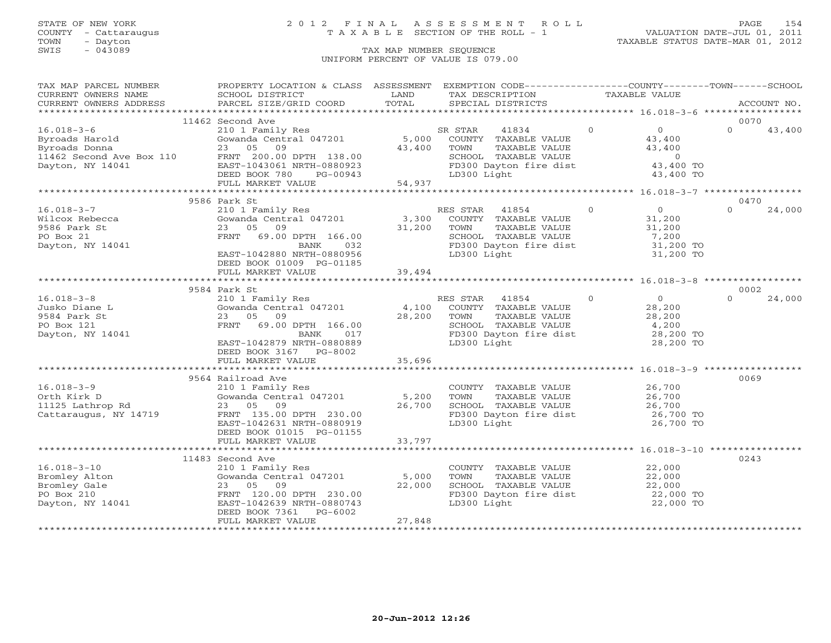### STATE OF NEW YORK 2 0 1 2 F I N A L A S S E S S M E N T R O L L PAGE 154 COUNTY - Cattaraugus T A X A B L E SECTION OF THE ROLL - 1 VALUATION DATE-JUL 01, 2011

| TAX MAP PARCEL NUMBER                                                                                                                                                                                    | PROPERTY LOCATION & CLASS ASSESSMENT EXEMPTION CODE---------------COUNTY-------TOWN------SCHOOL            |               |                                                            |                                |                            |             |
|----------------------------------------------------------------------------------------------------------------------------------------------------------------------------------------------------------|------------------------------------------------------------------------------------------------------------|---------------|------------------------------------------------------------|--------------------------------|----------------------------|-------------|
| CURRENT OWNERS NAME<br>CURRENT OWNERS ADDRESS                                                                                                                                                            | SCHOOL DISTRICT<br>PARCEL SIZE/GRID COORD                                                                  | LAND<br>TOTAL | TAX DESCRIPTION<br>SPECIAL DISTRICTS                       | TAXABLE VALUE                  |                            | ACCOUNT NO. |
|                                                                                                                                                                                                          |                                                                                                            |               |                                                            |                                |                            |             |
|                                                                                                                                                                                                          | 11462 Second Ave                                                                                           |               |                                                            |                                |                            | 0070        |
| $16.018 - 3 - 6$                                                                                                                                                                                         |                                                                                                            |               | SR STAR<br>41834                                           | $\Omega$                       | $\overline{0}$<br>$\Omega$ | 43,400      |
| 16.018-3-0<br>Byroads Harold<br>Byroads Donna<br>Byroads Donna<br>11462 Second Ave Box 110<br>TRNT 200.00 DPTH 138.00<br>11462 Second Ave Box 110<br>EAST-1043061 NRTH-0880923<br>DEED BOOK 780 PG-00943 | 210 1 Family Res SF<br>Gowanda Central 047201 5,000                                                        |               | COUNTY TAXABLE VALUE                                       |                                | 43,400                     |             |
|                                                                                                                                                                                                          |                                                                                                            | 43,400        | TOWN<br>TAXABLE VALUE                                      |                                | 43,400                     |             |
|                                                                                                                                                                                                          |                                                                                                            |               |                                                            |                                |                            |             |
|                                                                                                                                                                                                          |                                                                                                            |               | SCHOOL TAXABLE VALUE 0<br>FD300 Dayton fire dist 43,400 TO |                                |                            |             |
|                                                                                                                                                                                                          |                                                                                                            |               | LD300 Light                                                |                                | 43,400 TO                  |             |
|                                                                                                                                                                                                          | FRNT 200.00 DPTH 138.00<br>EAST-1043061 NRTH-0880923<br>DEED BOOK 780 PG-00943<br>FULL MARKET VALUE 54,937 |               |                                                            |                                |                            |             |
|                                                                                                                                                                                                          |                                                                                                            |               |                                                            |                                |                            |             |
|                                                                                                                                                                                                          | 9586 Park St                                                                                               |               |                                                            |                                |                            | 0470        |
| $16.018 - 3 - 7$                                                                                                                                                                                         | 210 1 Family Res                                                                                           |               | RES STAR 41854                                             | $\Omega$                       | $\overline{0}$<br>$\Omega$ | 24,000      |
| Wilcox Rebecca                                                                                                                                                                                           | Gowanda Central 047201                                                                                     | 3,300         | COUNTY TAXABLE VALUE                                       |                                | 31,200                     |             |
| 9586 Park St                                                                                                                                                                                             | 23 05 09                                                                                                   | 31,200        | TOWN<br>TAXABLE VALUE                                      |                                | 31,200                     |             |
| PO Box 21                                                                                                                                                                                                | FRNT 69.00 DPTH 166.00                                                                                     |               | SCHOOL TAXABLE VALUE                                       |                                | 7,200                      |             |
| Dayton, NY 14041                                                                                                                                                                                         | BANK<br>032                                                                                                |               | FD300 Dayton fire dist                                     |                                | 31,200 TO                  |             |
|                                                                                                                                                                                                          | EAST-1042880 NRTH-0880956                                                                                  |               | LD300 Light                                                |                                | 31,200 TO                  |             |
|                                                                                                                                                                                                          | DEED BOOK 01009 PG-01185                                                                                   |               |                                                            |                                |                            |             |
|                                                                                                                                                                                                          | FULL MARKET VALUE                                                                                          | 39,494        |                                                            |                                |                            |             |
|                                                                                                                                                                                                          |                                                                                                            |               |                                                            |                                |                            |             |
|                                                                                                                                                                                                          | 9584 Park St                                                                                               |               |                                                            |                                |                            | 0002        |
| $16.018 - 3 - 8$                                                                                                                                                                                         |                                                                                                            |               | $\sim$ 0<br>RES STAR<br>41854                              |                                | $\overline{0}$<br>$\Omega$ | 24,000      |
| Jusko Diane L                                                                                                                                                                                            | 210 1 Family Res<br>Gowanda Central 047201                                                                 | 4,100         | COUNTY TAXABLE VALUE                                       |                                | 28,200                     |             |
| 9584 Park St                                                                                                                                                                                             | 23 05 09                                                                                                   | 28,200        | TAXABLE VALUE<br>TOWN                                      |                                |                            |             |
| PO Box 121                                                                                                                                                                                               | FRNT<br>69.00 DPTH 166.00                                                                                  |               | SCHOOL TAXABLE VALUE                                       | $\frac{28}{4}, \frac{200}{20}$ |                            |             |
| Dayton, NY 14041                                                                                                                                                                                         | 017<br>BANK                                                                                                |               | FD300 Dayton fire dist                                     | 28,200 TO                      |                            |             |
|                                                                                                                                                                                                          | EAST-1042879 NRTH-0880889                                                                                  |               | LD300 Light                                                |                                | 28,200 TO                  |             |
|                                                                                                                                                                                                          | DEED BOOK 3167 PG-8002                                                                                     |               |                                                            |                                |                            |             |
|                                                                                                                                                                                                          | FULL MARKET VALUE                                                                                          | 35,696        |                                                            |                                |                            |             |
|                                                                                                                                                                                                          |                                                                                                            |               |                                                            |                                |                            |             |
|                                                                                                                                                                                                          | 9564 Railroad Ave                                                                                          |               |                                                            |                                |                            | 0069        |
| $16.018 - 3 - 9$                                                                                                                                                                                         | 210 1 Family Res                                                                                           |               | COUNTY TAXABLE VALUE                                       |                                | 26,700                     |             |
| Orth Kirk D                                                                                                                                                                                              | Gowanda Central 047201 5,200                                                                               |               | TOWN<br>TAXABLE VALUE                                      |                                | 26,700                     |             |
| 11125 Lathrop Rd                                                                                                                                                                                         | 23 05 09                                                                                                   | 26,700        | SCHOOL TAXABLE VALUE                                       |                                | 26,700                     |             |
| Cattaraugus, NY 14719                                                                                                                                                                                    | FRNT 135.00 DPTH 230.00                                                                                    |               | FD300 Dayton fire dist                                     |                                | 26,700 TO                  |             |
|                                                                                                                                                                                                          | EAST-1042631 NRTH-0880919                                                                                  |               | LD300 Light                                                |                                | 26,700 TO                  |             |
|                                                                                                                                                                                                          | DEED BOOK 01015 PG-01155                                                                                   |               |                                                            |                                |                            |             |
|                                                                                                                                                                                                          | FULL MARKET VALUE                                                                                          | 33,797        |                                                            |                                |                            |             |
|                                                                                                                                                                                                          |                                                                                                            |               |                                                            |                                |                            |             |
|                                                                                                                                                                                                          | 11483 Second Ave                                                                                           |               |                                                            |                                |                            | 0243        |
| $16.018 - 3 - 10$                                                                                                                                                                                        | 210 1 Family Res                                                                                           |               | COUNTY TAXABLE VALUE 22,000                                |                                |                            |             |
| Bromley Alton                                                                                                                                                                                            | Gowanda Central 047201                                                                                     | 5,000         | TOWN<br>TAXABLE VALUE                                      |                                | 22,000                     |             |
| Bromley Gale                                                                                                                                                                                             | 23 05<br>09                                                                                                | 22,000        | SCHOOL TAXABLE VALUE                                       |                                | 22,000<br>22,000 TO        |             |
| PO Box 210                                                                                                                                                                                               | FRNT 120.00 DPTH 230.00                                                                                    |               | FD300 Dayton fire dist                                     |                                |                            |             |
| Dayton, NY 14041                                                                                                                                                                                         | EAST-1042639 NRTH-0880743                                                                                  |               | LD300 Light                                                |                                | 22,000 TO                  |             |
|                                                                                                                                                                                                          | DEED BOOK 7361 PG-6002                                                                                     |               |                                                            |                                |                            |             |
|                                                                                                                                                                                                          | FULL MARKET VALUE                                                                                          | 27,848        |                                                            |                                |                            |             |
|                                                                                                                                                                                                          |                                                                                                            |               |                                                            |                                |                            |             |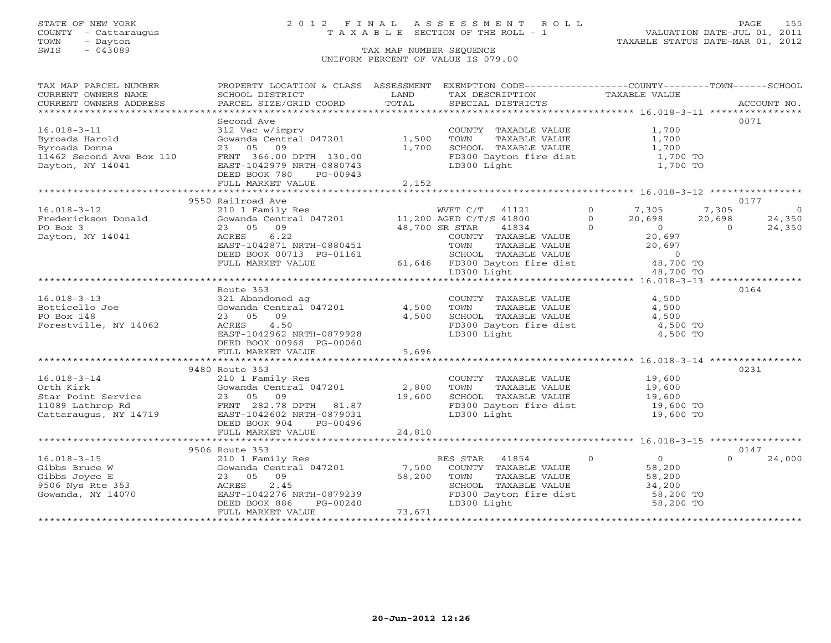### STATE OF NEW YORK 2 0 1 2 F I N A L A S S E S S M E N T R O L L PAGE 155 COUNTY - Cattaraugus T A X A B L E SECTION OF THE ROLL - 1 VALUATION DATE-JUL 01, 2011

| TAX MAP PARCEL NUMBER                                                                                                                                                                                                                              | PROPERTY LOCATION & CLASS ASSESSMENT EXEMPTION CODE----------------COUNTY-------TOWN------SCHOOL |                      |                                                               |                                                               |                    |
|----------------------------------------------------------------------------------------------------------------------------------------------------------------------------------------------------------------------------------------------------|--------------------------------------------------------------------------------------------------|----------------------|---------------------------------------------------------------|---------------------------------------------------------------|--------------------|
| CURRENT OWNERS NAME                                                                                                                                                                                                                                | SCHOOL DISTRICT                                                                                  | LAND                 | TAX DESCRIPTION TAXABLE VALUE                                 |                                                               |                    |
|                                                                                                                                                                                                                                                    |                                                                                                  |                      |                                                               |                                                               |                    |
|                                                                                                                                                                                                                                                    |                                                                                                  |                      |                                                               |                                                               |                    |
|                                                                                                                                                                                                                                                    | Second Ave                                                                                       |                      |                                                               |                                                               | 0071               |
| $16.018 - 3 - 11$                                                                                                                                                                                                                                  | 312 Vac w/imprv<br>Gowanda Central 047201                                                        |                      | COUNTY TAXABLE VALUE                                          | 1,700                                                         |                    |
|                                                                                                                                                                                                                                                    |                                                                                                  | 1,500                | TOWN      TAXABLE VALUE<br>SCHOOL   TAXABLE VALUE             | 1,700                                                         |                    |
| Byroads Harold<br>Byroads Harold                                                                                                                                                                                                                   | 23 05 09                                                                                         | 1,700                |                                                               | 1,700                                                         |                    |
| 11462 Second Ave Box 110                                                                                                                                                                                                                           | FRNT 366.00 DPTH 130.00                                                                          |                      | FD300 Dayton fire dist<br>LD300 Light                         | 1,700 TO                                                      |                    |
| Dayton, NY 14041                                                                                                                                                                                                                                   | EAST-1042979 NRTH-0880743                                                                        |                      |                                                               | 1,700 TO                                                      |                    |
|                                                                                                                                                                                                                                                    | DEED BOOK 780 PG-00943                                                                           |                      |                                                               |                                                               |                    |
|                                                                                                                                                                                                                                                    | FULL MARKET VALUE                                                                                | 2,152                |                                                               |                                                               |                    |
|                                                                                                                                                                                                                                                    |                                                                                                  |                      |                                                               |                                                               |                    |
|                                                                                                                                                                                                                                                    | 9550 Railroad Ave                                                                                |                      |                                                               |                                                               | 0177               |
| $16.018 - 3 - 12$                                                                                                                                                                                                                                  |                                                                                                  |                      |                                                               |                                                               | $\overline{0}$     |
| Frederickson Donald                                                                                                                                                                                                                                |                                                                                                  |                      |                                                               |                                                               | 24,350             |
| PO Box 3                                                                                                                                                                                                                                           | 48,700 SR STAR                                                                                   |                      |                                                               |                                                               | 24,350             |
| Dayton, NY 14041                                                                                                                                                                                                                                   | 6.22<br>ACRES                                                                                    |                      |                                                               |                                                               |                    |
|                                                                                                                                                                                                                                                    | EAST-1042871 NRTH-0880451                                                                        |                      |                                                               |                                                               |                    |
|                                                                                                                                                                                                                                                    | DEED BOOK 00713 PG-01161                                                                         |                      |                                                               |                                                               |                    |
|                                                                                                                                                                                                                                                    | FULL MARKET VALUE                                                                                |                      |                                                               |                                                               |                    |
|                                                                                                                                                                                                                                                    |                                                                                                  |                      |                                                               |                                                               |                    |
|                                                                                                                                                                                                                                                    |                                                                                                  |                      |                                                               |                                                               |                    |
|                                                                                                                                                                                                                                                    | Route 353                                                                                        |                      |                                                               |                                                               |                    |
| $16.018 - 3 - 13$                                                                                                                                                                                                                                  | 321 Abandoned ag                                                                                 |                      | COUNTY TAXABLE VALUE<br>TOWN      TAXABLE VALUE               | $\frac{4}{1}$ , 500                                           |                    |
| Botticello Joe                                                                                                                                                                                                                                     | Gowanda Central 047201 4,500 TOWN                                                                |                      |                                                               |                                                               |                    |
| PO Box 148                                                                                                                                                                                                                                         | 23 05 09                                                                                         | 4,500                | SCHOOL TAXABLE VALUE 4,500<br>FD300 Dayton fire dist 4,500 TO |                                                               |                    |
| Forestville, NY 14062                                                                                                                                                                                                                              | 4.50<br>ACRES                                                                                    |                      |                                                               |                                                               |                    |
|                                                                                                                                                                                                                                                    | EAST-1042962 NRTH-0879928                                                                        |                      | LD300 Light                                                   | 4,500 TO                                                      |                    |
|                                                                                                                                                                                                                                                    | DEED BOOK 00968 PG-00060                                                                         |                      |                                                               |                                                               |                    |
|                                                                                                                                                                                                                                                    | FULL MARKET VALUE                                                                                | 5,696                |                                                               |                                                               |                    |
|                                                                                                                                                                                                                                                    |                                                                                                  |                      |                                                               |                                                               |                    |
|                                                                                                                                                                                                                                                    | 9480 Route 353                                                                                   |                      |                                                               |                                                               | 0231               |
| $16.018 - 3 - 14$                                                                                                                                                                                                                                  | 210 1 Family Res                                                                                 |                      | COUNTY TAXABLE VALUE 19,600                                   |                                                               |                    |
|                                                                                                                                                                                                                                                    | Gowanda Central 047201 2,800                                                                     |                      |                                                               |                                                               |                    |
|                                                                                                                                                                                                                                                    |                                                                                                  | 19,600               |                                                               |                                                               |                    |
| Corth Kirk<br>Star Point Service<br>11089 Lathrop Rd<br>Cattaraugus, NY 14719<br>Cattaraugus, NY 14719<br>Cattaraugus, NY 14719<br>Cattaraugus, NY 14719<br>Cattaraugus, NY 14719<br>Cattaraugus, NY 14719<br>Cattaraugus, NY 14719<br>Cattaraugus |                                                                                                  |                      | FD300 Dayton fire dist 19,600 TO                              |                                                               |                    |
|                                                                                                                                                                                                                                                    |                                                                                                  |                      | LD300 Light                                                   | 19,600 TO                                                     |                    |
|                                                                                                                                                                                                                                                    | DEED BOOK 904<br>PG-00496                                                                        |                      |                                                               |                                                               |                    |
|                                                                                                                                                                                                                                                    | FULL MARKET VALUE                                                                                | 24,810               |                                                               |                                                               |                    |
|                                                                                                                                                                                                                                                    |                                                                                                  |                      |                                                               |                                                               |                    |
|                                                                                                                                                                                                                                                    | 9506 Route 353                                                                                   |                      |                                                               |                                                               | 0147               |
| $16.018 - 3 - 15$                                                                                                                                                                                                                                  | 210 1 Family Res<br>Gowanda Central 047201 7,500 COUNTY TAXABLE VALUE                            |                      |                                                               | $\begin{array}{c} 0 \\ 58,200 \end{array}$                    | $\Omega$<br>24,000 |
|                                                                                                                                                                                                                                                    |                                                                                                  |                      |                                                               |                                                               |                    |
| Gibbs Bruce W<br>Gibbs Joyce E<br>9506 Nys Rte 353                                                                                                                                                                                                 | GC<br>23<br>ACRES<br>EAST<br>TEF<br>23 05 09                                                     | $\frac{7}{58}$ , 200 | TOWN                                                          | TAXABLE VALUE<br>TAXABLE VALUE 58,200<br>TAXABLE VALUE 34,200 |                    |
|                                                                                                                                                                                                                                                    | 2.45                                                                                             |                      | SCHOOL TAXABLE VALUE                                          |                                                               |                    |
| Gowanda, NY 14070                                                                                                                                                                                                                                  |                                                                                                  |                      | FD300 Dayton fire dist 58,200 TO                              |                                                               |                    |
|                                                                                                                                                                                                                                                    | EAST-1042276 NRTH-0879239<br>DEED BOOK 886 PG-00240<br>PHI MORTH-                                |                      | LD300 Light                                                   | 58,200 TO                                                     |                    |
|                                                                                                                                                                                                                                                    | FULL MARKET VALUE                                                                                | 73,671               |                                                               |                                                               |                    |
|                                                                                                                                                                                                                                                    |                                                                                                  |                      |                                                               |                                                               |                    |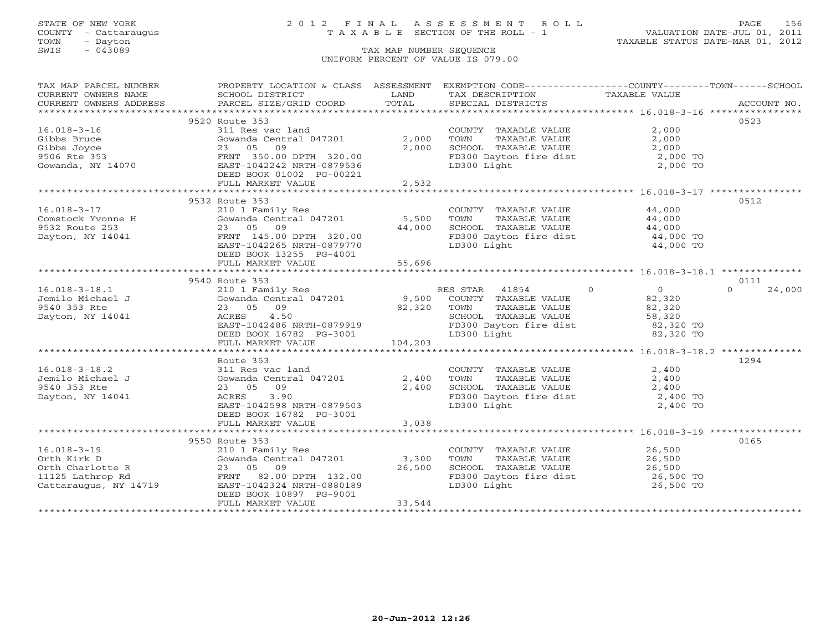### STATE OF NEW YORK 2 0 1 2 F I N A L A S S E S S M E N T R O L L PAGE 156 COUNTY - Cattaraugus T A X A B L E SECTION OF THE ROLL - 1 VALUATION DATE-JUL 01, 2011

| TAX MAP PARCEL NUMBER                                                | PROPERTY LOCATION & CLASS ASSESSMENT EXEMPTION CODE-----------------COUNTY--------TOWN------SCHOOL                                                                                                                                                                                                                                                                                                                                                                                      |        |                                                                                                                         |       |        |
|----------------------------------------------------------------------|-----------------------------------------------------------------------------------------------------------------------------------------------------------------------------------------------------------------------------------------------------------------------------------------------------------------------------------------------------------------------------------------------------------------------------------------------------------------------------------------|--------|-------------------------------------------------------------------------------------------------------------------------|-------|--------|
|                                                                      | $\begin{tabular}{lllllll} \multicolumn{2}{c}{\textbf{CURRENT}} & \multicolumn{2}{c}{\textbf{WNERS}} & \multicolumn{2}{c}{\textbf{NAME}} & \multicolumn{2}{c}{\textbf{SCHODL}} & \multicolumn{2}{c}{\textbf{LAND}} & \multicolumn{2}{c}{\textbf{TAX} \textbf{DESCRIPTION}} & \multicolumn{2}{c}{\textbf{TAXABLE} \textbf{ VALUE}} & \multicolumn{2}{c}{\textbf{NALUE}} \\ & & & & & & & \\ \multicolumn{2}{c}{\textbf{CURRENT}} & \multicolumn{2}{c}{\textbf{WNERS} \textbf{ ADDRES}} &$ |        |                                                                                                                         |       |        |
|                                                                      |                                                                                                                                                                                                                                                                                                                                                                                                                                                                                         |        |                                                                                                                         |       |        |
|                                                                      |                                                                                                                                                                                                                                                                                                                                                                                                                                                                                         |        |                                                                                                                         |       |        |
|                                                                      | 9520 Route 353                                                                                                                                                                                                                                                                                                                                                                                                                                                                          |        |                                                                                                                         |       | 0523   |
| $16.018 - 3 - 16$                                                    | 311 Res vac land                                                                                                                                                                                                                                                                                                                                                                                                                                                                        |        | COUNTY TAXABLE VALUE                                                                                                    | 2,000 |        |
|                                                                      | Gowanda Central 047201 2,000                                                                                                                                                                                                                                                                                                                                                                                                                                                            |        |                                                                                                                         |       |        |
|                                                                      |                                                                                                                                                                                                                                                                                                                                                                                                                                                                                         | 2,000  |                                                                                                                         |       |        |
|                                                                      |                                                                                                                                                                                                                                                                                                                                                                                                                                                                                         |        |                                                                                                                         |       |        |
|                                                                      | Gibbs Bruce<br>Gowanda Central 047201<br>9506 Rte 353<br>Gowanda, NY 14070<br>Gowanda, NY 14070<br>Cowanda, NY 14070<br>Computer 1042242 NRTH-0879536<br>Computer 1042242 NRTH-0879536                                                                                                                                                                                                                                                                                                  |        | FD300 Dayton fire dist<br>LD300 Light<br>2,000 TO<br>2,000 TO<br>LD300 Light                                            |       |        |
|                                                                      | DEED BOOK 01002 PG-00221                                                                                                                                                                                                                                                                                                                                                                                                                                                                |        |                                                                                                                         |       |        |
|                                                                      | FULL MARKET VALUE                                                                                                                                                                                                                                                                                                                                                                                                                                                                       | 2,532  |                                                                                                                         |       |        |
|                                                                      |                                                                                                                                                                                                                                                                                                                                                                                                                                                                                         |        |                                                                                                                         |       |        |
|                                                                      | 9532 Route 353                                                                                                                                                                                                                                                                                                                                                                                                                                                                          |        |                                                                                                                         |       | 0512   |
|                                                                      |                                                                                                                                                                                                                                                                                                                                                                                                                                                                                         |        |                                                                                                                         |       |        |
|                                                                      |                                                                                                                                                                                                                                                                                                                                                                                                                                                                                         |        |                                                                                                                         |       |        |
|                                                                      |                                                                                                                                                                                                                                                                                                                                                                                                                                                                                         |        |                                                                                                                         |       |        |
|                                                                      |                                                                                                                                                                                                                                                                                                                                                                                                                                                                                         |        |                                                                                                                         |       |        |
|                                                                      |                                                                                                                                                                                                                                                                                                                                                                                                                                                                                         |        | FD300 Dayton fire dist $44,000$ TO<br>LD300 Light $44,000$ TO                                                           |       |        |
|                                                                      | DEED BOOK 13255 PG-4001                                                                                                                                                                                                                                                                                                                                                                                                                                                                 |        |                                                                                                                         |       |        |
|                                                                      | FULL MARKET VALUE                                                                                                                                                                                                                                                                                                                                                                                                                                                                       | 55,696 |                                                                                                                         |       |        |
|                                                                      |                                                                                                                                                                                                                                                                                                                                                                                                                                                                                         |        |                                                                                                                         |       |        |
|                                                                      | 9540 Route 353                                                                                                                                                                                                                                                                                                                                                                                                                                                                          |        |                                                                                                                         |       | 0111   |
|                                                                      |                                                                                                                                                                                                                                                                                                                                                                                                                                                                                         |        |                                                                                                                         |       | 24,000 |
|                                                                      |                                                                                                                                                                                                                                                                                                                                                                                                                                                                                         |        |                                                                                                                         |       |        |
|                                                                      |                                                                                                                                                                                                                                                                                                                                                                                                                                                                                         |        |                                                                                                                         |       |        |
|                                                                      |                                                                                                                                                                                                                                                                                                                                                                                                                                                                                         |        |                                                                                                                         |       |        |
|                                                                      |                                                                                                                                                                                                                                                                                                                                                                                                                                                                                         |        |                                                                                                                         |       |        |
|                                                                      |                                                                                                                                                                                                                                                                                                                                                                                                                                                                                         |        |                                                                                                                         |       |        |
|                                                                      | ACRES 4.50 SCHOOL TAXABLE VALUE 58,320<br>EAST-1042486 NRTH-0879919 FD300 Dayton fire dist 82,320 TO<br>DEED BOOK 16782 PG-3001 LO4,203 LD300 Light 82,320 TO<br>FULL MARKET VALUE 104,203                                                                                                                                                                                                                                                                                              |        |                                                                                                                         |       |        |
|                                                                      |                                                                                                                                                                                                                                                                                                                                                                                                                                                                                         |        |                                                                                                                         |       |        |
|                                                                      | Route 353                                                                                                                                                                                                                                                                                                                                                                                                                                                                               |        |                                                                                                                         |       | 1294   |
| $16.018 - 3 - 18.2$                                                  |                                                                                                                                                                                                                                                                                                                                                                                                                                                                                         |        |                                                                                                                         |       |        |
|                                                                      |                                                                                                                                                                                                                                                                                                                                                                                                                                                                                         |        |                                                                                                                         |       |        |
| Jemilo Michael J<br>Jemilo Michael J<br>^^*^ ^~? Pta<br>9540 353 Rte |                                                                                                                                                                                                                                                                                                                                                                                                                                                                                         |        |                                                                                                                         |       |        |
| Dayton, NY 14041                                                     | XOUNTY TAXABLE VALUE 2,400<br>311 Res vac land 2,400 TOWN TAXABLE VALUE 2,400<br>23 05 09 2,400 SCHOOL TAXABLE VALUE 2,400<br>ACRES 3.90 FD300 Dayton fire dist 2,400 TO<br>EAST-1042598 NRTH-0879503 LD300 Light 2,400 TO                                                                                                                                                                                                                                                              |        |                                                                                                                         |       |        |
|                                                                      |                                                                                                                                                                                                                                                                                                                                                                                                                                                                                         |        |                                                                                                                         |       |        |
|                                                                      | DEED BOOK 16782 PG-3001                                                                                                                                                                                                                                                                                                                                                                                                                                                                 |        |                                                                                                                         |       |        |
|                                                                      | FULL MARKET VALUE                                                                                                                                                                                                                                                                                                                                                                                                                                                                       | 3,038  |                                                                                                                         |       |        |
|                                                                      |                                                                                                                                                                                                                                                                                                                                                                                                                                                                                         |        |                                                                                                                         |       |        |
|                                                                      |                                                                                                                                                                                                                                                                                                                                                                                                                                                                                         |        |                                                                                                                         |       | 0165   |
|                                                                      |                                                                                                                                                                                                                                                                                                                                                                                                                                                                                         |        |                                                                                                                         |       |        |
|                                                                      | 10.018-3-19<br>0rth Kirk D<br>0rth Charlotte R<br>1125 Lathrop Rd<br>Cattaraugus, NY 14719<br>23 05 09<br>26,500<br>26,500<br>26,500<br>26,500<br>26,500<br>26,500<br>26,500<br>271042324<br>271042324<br>271042324<br>280189                                                                                                                                                                                                                                                           |        | COUNTY TAXABLE VALUE 26,500<br>TOWN TAXABLE VALUE 26,500<br>TOWN                                                        |       |        |
|                                                                      |                                                                                                                                                                                                                                                                                                                                                                                                                                                                                         |        | CONSIDER THE CONSIDER SCHOOL TAXABLE VALUE<br>FD300 Dayton fire dist<br>LD300 Light 26,500 TO<br>26,500 TO<br>26,500 TO |       |        |
|                                                                      |                                                                                                                                                                                                                                                                                                                                                                                                                                                                                         |        |                                                                                                                         |       |        |
|                                                                      |                                                                                                                                                                                                                                                                                                                                                                                                                                                                                         |        |                                                                                                                         |       |        |
|                                                                      |                                                                                                                                                                                                                                                                                                                                                                                                                                                                                         |        |                                                                                                                         |       |        |
|                                                                      | FULL MARKET VALUE                                                                                                                                                                                                                                                                                                                                                                                                                                                                       | 33,544 |                                                                                                                         |       |        |
|                                                                      |                                                                                                                                                                                                                                                                                                                                                                                                                                                                                         |        |                                                                                                                         |       |        |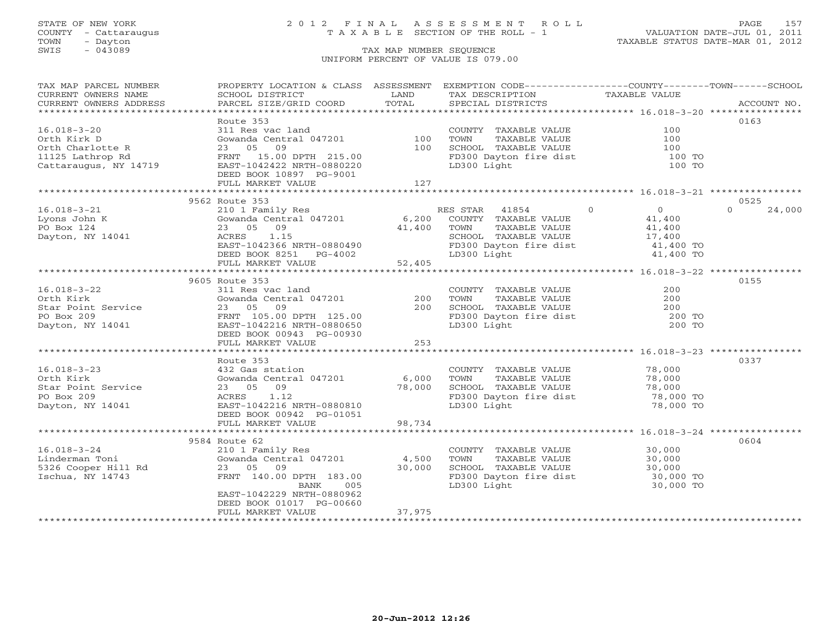### STATE OF NEW YORK 2 0 1 2 F I N A L A S S E S S M E N T R O L L PAGE 157 COUNTY - Cattaraugus T A X A B L E SECTION OF THE ROLL - 1 VALUATION DATE-JUL 01, 2011

| TAX MAP PARCEL NUMBER                                                                                                                                                             | PROPERTY LOCATION & CLASS ASSESSMENT EXEMPTION CODE----------------COUNTY-------TOWN------SCHOOL |                                           |                                                                                                                                                |                                  |                    |
|-----------------------------------------------------------------------------------------------------------------------------------------------------------------------------------|--------------------------------------------------------------------------------------------------|-------------------------------------------|------------------------------------------------------------------------------------------------------------------------------------------------|----------------------------------|--------------------|
| CURRENT OWNERS NAME                                                                                                                                                               | SCHOOL DISTRICT                                                                                  | LAND                                      | TAX DESCRIPTION                                                                                                                                | TAXABLE VALUE                    |                    |
| CURRENT OWNERS ADDRESS                                                                                                                                                            | PARCEL SIZE/GRID COORD                                                                           | TOTAL                                     | SPECIAL DISTRICTS                                                                                                                              |                                  | ACCOUNT NO.        |
|                                                                                                                                                                                   |                                                                                                  |                                           |                                                                                                                                                |                                  |                    |
|                                                                                                                                                                                   | Route 353                                                                                        |                                           |                                                                                                                                                |                                  | 0163               |
| $16.018 - 3 - 20$                                                                                                                                                                 | 311 Res vac land                                                                                 | $\begin{array}{c} 100 \\ 100 \end{array}$ | COUNTY TAXABLE VALUE                                                                                                                           | 100                              |                    |
| Orth Kirk D                                                                                                                                                                       | Gowanda Central 047201<br>23 05 09                                                               |                                           | TOWN<br>TAXABLE VALUE                                                                                                                          | 100                              |                    |
| Orth Charlotte R                                                                                                                                                                  | 23 05 09                                                                                         |                                           | SCHOOL TAXABLE VALUE                                                                                                                           | 100                              |                    |
| 11125 Lathrop Rd                                                                                                                                                                  | FRNT 15.00 DPTH 215.00                                                                           |                                           | FD300 Dayton fire dist                                                                                                                         | 100 TO                           |                    |
| Cattaraugus, NY 14719                                                                                                                                                             | EAST-1042422 NRTH-0880220                                                                        |                                           | LD300 Light                                                                                                                                    | 100 TO                           |                    |
|                                                                                                                                                                                   | DEED BOOK 10897 PG-9001                                                                          |                                           |                                                                                                                                                |                                  |                    |
|                                                                                                                                                                                   | FULL MARKET VALUE                                                                                | 127                                       |                                                                                                                                                |                                  |                    |
|                                                                                                                                                                                   |                                                                                                  |                                           |                                                                                                                                                |                                  |                    |
|                                                                                                                                                                                   | 9562 Route 353                                                                                   |                                           |                                                                                                                                                |                                  | 0525               |
| $16.018 - 3 - 21$                                                                                                                                                                 | 210 1 Family Res                                                                                 |                                           | RES STAR 41854                                                                                                                                 | $\overline{0}$<br>$\overline{0}$ | $\Omega$<br>24,000 |
| Lyons John K                                                                                                                                                                      | Gowanda Central 047201 6,200                                                                     |                                           | COUNTY TAXABLE VALUE                                                                                                                           | 41,400                           |                    |
| PO Box 124                                                                                                                                                                        | 23 05 09                                                                                         | 41,400 TOWN<br>SCHOO                      | TAXABLE VALUE                                                                                                                                  | 41,400                           |                    |
| Dayton, NY 14041                                                                                                                                                                  | ACRES 1.15<br>EAST-1042366 NRTH-0880490                                                          |                                           | EXERCISE MARINE WALLER AND MARINE PROPERTY AND MARINE SCHOOL TAXABLE VALUE 17,400<br>FD300 Dayton fire dist 41,400 TO<br>LD300 Light 41,400 TO |                                  |                    |
|                                                                                                                                                                                   |                                                                                                  |                                           |                                                                                                                                                |                                  |                    |
|                                                                                                                                                                                   |                                                                                                  |                                           |                                                                                                                                                |                                  |                    |
|                                                                                                                                                                                   |                                                                                                  |                                           |                                                                                                                                                |                                  |                    |
| 014 11/100 11/100 11/100 11/100 11/100 11/100 11/100 11<br>DBBD BOOK 8251 PG-4002 1D300 Light 41,400 TO<br>DED 52,405 52,405 1D300 11ght 52,405 11/100 1108 11/400 1108 11/400 11 |                                                                                                  |                                           |                                                                                                                                                |                                  |                    |
|                                                                                                                                                                                   | 9605 Route 353                                                                                   |                                           |                                                                                                                                                |                                  | 0155               |
| $16.018 - 3 - 22$                                                                                                                                                                 | 311 Res vac land                                                                                 |                                           | COUNTY TAXABLE VALUE                                                                                                                           | 200                              |                    |
| Orth Kirk                                                                                                                                                                         | Gowanda Central 047201                                                                           | 200                                       | TOWN       TAXABLE  VALUE<br>SCHOOL    TAXABLE  VALUE                                                                                          | 200                              |                    |
| Star Point Service                                                                                                                                                                | 23 05 09                                                                                         | 200                                       |                                                                                                                                                | 200                              |                    |
| PO Box 209                                                                                                                                                                        | FRNT 105.00 DPTH 125.00                                                                          |                                           | FD300 Dayton fire dist                                                                                                                         | 200 TO                           |                    |
| Dayton, NY 14041                                                                                                                                                                  | EAST-1042216 NRTH-0880650                                                                        |                                           | LD300 Light                                                                                                                                    | 200 TO                           |                    |
|                                                                                                                                                                                   | DEED BOOK 00943 PG-00930                                                                         |                                           |                                                                                                                                                |                                  |                    |
|                                                                                                                                                                                   | FULL MARKET VALUE                                                                                | 253                                       |                                                                                                                                                |                                  |                    |
|                                                                                                                                                                                   |                                                                                                  |                                           |                                                                                                                                                |                                  |                    |
|                                                                                                                                                                                   | Route 353                                                                                        |                                           |                                                                                                                                                |                                  | 0337               |
| $16.018 - 3 - 23$                                                                                                                                                                 | 432 Gas station                                                                                  |                                           | COUNTY TAXABLE VALUE 78,000<br>TOWN TAXABLE VALUE 78,000                                                                                       |                                  |                    |
| Orth Kirk                                                                                                                                                                         | Gowanda Central 047201 6,000                                                                     |                                           |                                                                                                                                                |                                  |                    |
| Star Point Service                                                                                                                                                                | 23 05 09                                                                                         | 78,000                                    | SCHOOL TAXABLE VALUE                                                                                                                           | 78,000                           |                    |
| PO Box 209                                                                                                                                                                        | 1.12<br>ACRES                                                                                    |                                           | FD300 Dayton fire dist                                                                                                                         | 78,000 TO                        |                    |
| Dayton, NY 14041                                                                                                                                                                  | EAST-1042216 NRTH-0880810                                                                        |                                           | LD300 Light                                                                                                                                    | 78,000 TO                        |                    |
|                                                                                                                                                                                   | DEED BOOK 00942 PG-01051                                                                         |                                           |                                                                                                                                                |                                  |                    |
|                                                                                                                                                                                   | FULL MARKET VALUE                                                                                | 98,734                                    |                                                                                                                                                |                                  |                    |
|                                                                                                                                                                                   |                                                                                                  |                                           |                                                                                                                                                |                                  |                    |
|                                                                                                                                                                                   | 9584 Route 62                                                                                    |                                           |                                                                                                                                                |                                  | 0604               |
| $16.018 - 3 - 24$                                                                                                                                                                 | 210 1 Family Res                                                                                 |                                           | COUNTY TAXABLE VALUE 30,000                                                                                                                    |                                  |                    |
|                                                                                                                                                                                   | Gowanda Central 047201                                                                           | 4,500                                     | TOWN<br>TAXABLE VALUE                                                                                                                          | $30,000$<br>$30,000$             |                    |
|                                                                                                                                                                                   | 23 05 09                                                                                         | 30,000                                    | SCHOOL TAXABLE VALUE                                                                                                                           |                                  |                    |
| Linderman Toni<br>5326 Cooper Hill Rd<br>Ischua, NY 14743                                                                                                                         | FRNT 140.00 DPTH 183.00                                                                          |                                           | $FD300$ Dayton fire dist $30,000$ TO                                                                                                           |                                  |                    |
|                                                                                                                                                                                   | BANK<br>005                                                                                      |                                           | LD300 Light                                                                                                                                    | 30,000 TO                        |                    |
|                                                                                                                                                                                   | EAST-1042229 NRTH-0880962                                                                        |                                           |                                                                                                                                                |                                  |                    |
|                                                                                                                                                                                   | DEED BOOK 01017 PG-00660                                                                         |                                           |                                                                                                                                                |                                  |                    |
|                                                                                                                                                                                   | FULL MARKET VALUE                                                                                | 37,975                                    |                                                                                                                                                |                                  |                    |
|                                                                                                                                                                                   |                                                                                                  |                                           |                                                                                                                                                |                                  |                    |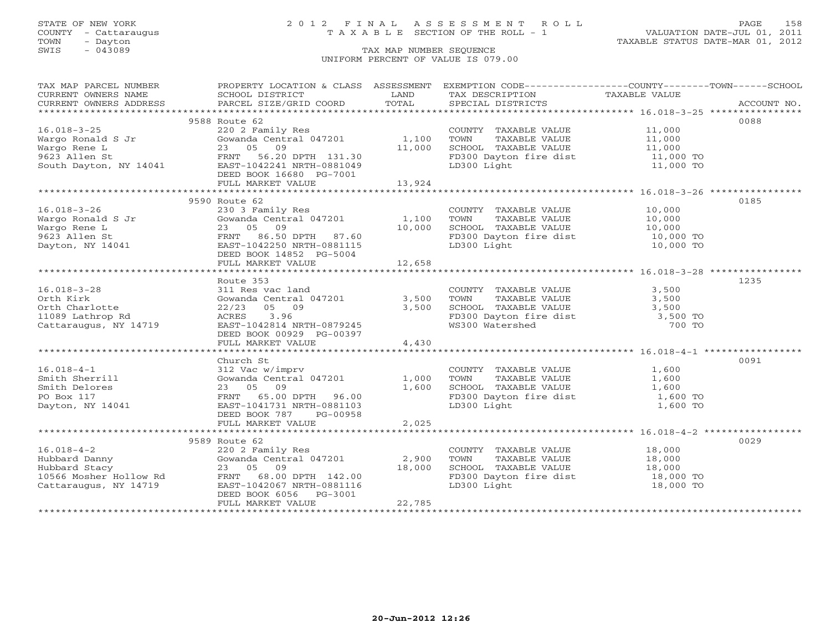### STATE OF NEW YORK 2 0 1 2 F I N A L A S S E S S M E N T R O L L PAGE 158 COUNTY - Cattaraugus T A X A B L E SECTION OF THE ROLL - 1 VALUATION DATE-JUL 01, 2011

TOWN - Dayton TAXABLE STATUS DATE-MAR 01, 2012

| TAX MAP PARCEL NUMBER                                                                                                                                                                                                                                   | PROPERTY LOCATION & CLASS ASSESSMENT EXEMPTION CODE-----------------COUNTY-------TOWN------SCHOOL                                                                                                                                            |        |                                                                                                |      |
|---------------------------------------------------------------------------------------------------------------------------------------------------------------------------------------------------------------------------------------------------------|----------------------------------------------------------------------------------------------------------------------------------------------------------------------------------------------------------------------------------------------|--------|------------------------------------------------------------------------------------------------|------|
|                                                                                                                                                                                                                                                         |                                                                                                                                                                                                                                              |        |                                                                                                |      |
|                                                                                                                                                                                                                                                         |                                                                                                                                                                                                                                              |        |                                                                                                |      |
|                                                                                                                                                                                                                                                         |                                                                                                                                                                                                                                              |        |                                                                                                |      |
|                                                                                                                                                                                                                                                         | 9588 Route 62                                                                                                                                                                                                                                |        |                                                                                                | 0088 |
|                                                                                                                                                                                                                                                         |                                                                                                                                                                                                                                              |        |                                                                                                |      |
|                                                                                                                                                                                                                                                         |                                                                                                                                                                                                                                              |        |                                                                                                |      |
|                                                                                                                                                                                                                                                         |                                                                                                                                                                                                                                              |        |                                                                                                |      |
|                                                                                                                                                                                                                                                         |                                                                                                                                                                                                                                              |        |                                                                                                |      |
|                                                                                                                                                                                                                                                         |                                                                                                                                                                                                                                              |        |                                                                                                |      |
|                                                                                                                                                                                                                                                         | Route 62<br>220 2 Family Res<br>Gowanda Central 047201 1,100 TOWN TAXABLE VALUE<br>23 05 09 11,000 SCHOOL TAXABLE VALUE 11,000<br>FRNT 56.20 DPTH 131.30 FD300 Dayton fire dist 11,000 TO<br>11,000 TO<br>LD300 Light 11,000 TO<br>11,000 TO |        |                                                                                                |      |
|                                                                                                                                                                                                                                                         |                                                                                                                                                                                                                                              |        |                                                                                                |      |
| 16.018-3-25<br>Wargo Ronald S Jr (200 2 Family Res 1,100<br>Wargo Rene L 23 05 09<br>9623 Allen St FRNT 56.20 DPTH 131.30<br>South Dayton, NY 14041 EAST-1042241 NRTH-0881049<br>DEED BOOK 16680 PG-7001<br>FULL MARKET VALUE 13,924<br>TUL             |                                                                                                                                                                                                                                              |        |                                                                                                |      |
|                                                                                                                                                                                                                                                         | 9590 Route 62                                                                                                                                                                                                                                |        |                                                                                                | 0185 |
| 16.018-3-26<br>Wargo Ronald S Jr (230 3 Family Res COUNTY TAXABLE VALUE 10,000<br>Wargo Rene L 23 05 09 10,000 SCHOOL TAXABLE VALUE 10,000<br>9623 Allen St (230 3 FRNT 86.50 DPTH 87.60 FD300 Dayton fire dist 10,000 TO<br>9623 All                   |                                                                                                                                                                                                                                              |        |                                                                                                |      |
|                                                                                                                                                                                                                                                         |                                                                                                                                                                                                                                              |        |                                                                                                |      |
|                                                                                                                                                                                                                                                         |                                                                                                                                                                                                                                              |        |                                                                                                |      |
|                                                                                                                                                                                                                                                         |                                                                                                                                                                                                                                              |        |                                                                                                |      |
|                                                                                                                                                                                                                                                         |                                                                                                                                                                                                                                              |        |                                                                                                |      |
|                                                                                                                                                                                                                                                         | DEED BOOK 14852 PG-5004                                                                                                                                                                                                                      |        |                                                                                                |      |
|                                                                                                                                                                                                                                                         | FULL MARKET VALUE                                                                                                                                                                                                                            | 12,658 |                                                                                                |      |
|                                                                                                                                                                                                                                                         |                                                                                                                                                                                                                                              |        |                                                                                                |      |
|                                                                                                                                                                                                                                                         | Route 353                                                                                                                                                                                                                                    |        |                                                                                                | 1235 |
| $16.018 - 3 - 28$                                                                                                                                                                                                                                       |                                                                                                                                                                                                                                              |        |                                                                                                |      |
|                                                                                                                                                                                                                                                         |                                                                                                                                                                                                                                              |        |                                                                                                |      |
|                                                                                                                                                                                                                                                         |                                                                                                                                                                                                                                              |        |                                                                                                |      |
| 16.018-3-28 311 Res vac land<br>Orth Kirk Gowanda Central 047201 3,500<br>Orth Charlotte 22/23 05 09 3,500<br>11089 Lathrop Rd ACRES 3.96<br>Cattaraugus, NY 14719 EAST-1042814 NRTH-0879245                                                            | 3.11 Res vac land<br>Gowanda Central 047201 3,500 TOWN TAXABLE VALUE 3,500<br>22/23 05 09 3,500 SCHOOL TAXABLE VALUE 3,500<br>ACRES 3.96 FD300 Dayton fire dist 3,500 TO<br>EAST-1042814 NRTH-0879245 WS300 Watershed 700 TO                 |        |                                                                                                |      |
|                                                                                                                                                                                                                                                         |                                                                                                                                                                                                                                              |        |                                                                                                |      |
|                                                                                                                                                                                                                                                         | DEED BOOK 00929 PG-00397                                                                                                                                                                                                                     |        |                                                                                                |      |
|                                                                                                                                                                                                                                                         | FULL MARKET VALUE                                                                                                                                                                                                                            | 4,430  |                                                                                                |      |
|                                                                                                                                                                                                                                                         |                                                                                                                                                                                                                                              |        |                                                                                                |      |
|                                                                                                                                                                                                                                                         | Church St                                                                                                                                                                                                                                    |        |                                                                                                | 0091 |
| 16.018-4-1<br>Smith Sherrill 312 Vac w/imprv<br>Smith Delores 23 05 09<br>PO Box 117<br>Dayton, NY 14041<br>Dayton, NY 14041<br>Dayton, NY 14041<br>Dayton, NY 14041<br>Dayton, NY 14041<br>Dayton, NY 14041<br>Dayton, NY 14041<br>Dayton, NY 14041    |                                                                                                                                                                                                                                              |        |                                                                                                |      |
|                                                                                                                                                                                                                                                         |                                                                                                                                                                                                                                              |        |                                                                                                |      |
|                                                                                                                                                                                                                                                         |                                                                                                                                                                                                                                              |        |                                                                                                |      |
|                                                                                                                                                                                                                                                         |                                                                                                                                                                                                                                              |        |                                                                                                |      |
|                                                                                                                                                                                                                                                         |                                                                                                                                                                                                                                              |        |                                                                                                |      |
|                                                                                                                                                                                                                                                         | DEED BOOK 787 PG-00958                                                                                                                                                                                                                       |        |                                                                                                |      |
|                                                                                                                                                                                                                                                         | FULL MARKET VALUE                                                                                                                                                                                                                            | 2,025  |                                                                                                |      |
|                                                                                                                                                                                                                                                         |                                                                                                                                                                                                                                              |        |                                                                                                |      |
|                                                                                                                                                                                                                                                         | 9589 Route 62                                                                                                                                                                                                                                |        |                                                                                                | 0029 |
|                                                                                                                                                                                                                                                         |                                                                                                                                                                                                                                              |        |                                                                                                |      |
| 16.018-4-2<br>Hubbard Danny<br>Hubbard Stacy<br>Hubbard Stacy<br>18,000<br>18,000<br>18,000<br>18,000<br>23 05 09<br>18,000<br>18,000<br>23 05 09<br>18,000<br>18,000<br>23 05 09<br>18,000<br>23 05 09<br>18,000<br>23 05 09<br>18,000<br>23 05 18,000 |                                                                                                                                                                                                                                              |        | COUNTY TAXABLE VALUE 18,000<br>TOWN TAXABLE VALUE 18,000                                       |      |
|                                                                                                                                                                                                                                                         |                                                                                                                                                                                                                                              |        | SCHOOL TAXABLE VALUE<br>FD300 Dayton fire dist 18,000 TO<br>LD300 Light 18,000 TO<br>18,000 TO |      |
|                                                                                                                                                                                                                                                         |                                                                                                                                                                                                                                              |        |                                                                                                |      |
|                                                                                                                                                                                                                                                         |                                                                                                                                                                                                                                              |        |                                                                                                |      |
|                                                                                                                                                                                                                                                         | DEED BOOK 6056 PG-3001                                                                                                                                                                                                                       |        |                                                                                                |      |
|                                                                                                                                                                                                                                                         | FULL MARKET VALUE                                                                                                                                                                                                                            | 22,785 |                                                                                                |      |
|                                                                                                                                                                                                                                                         |                                                                                                                                                                                                                                              |        |                                                                                                |      |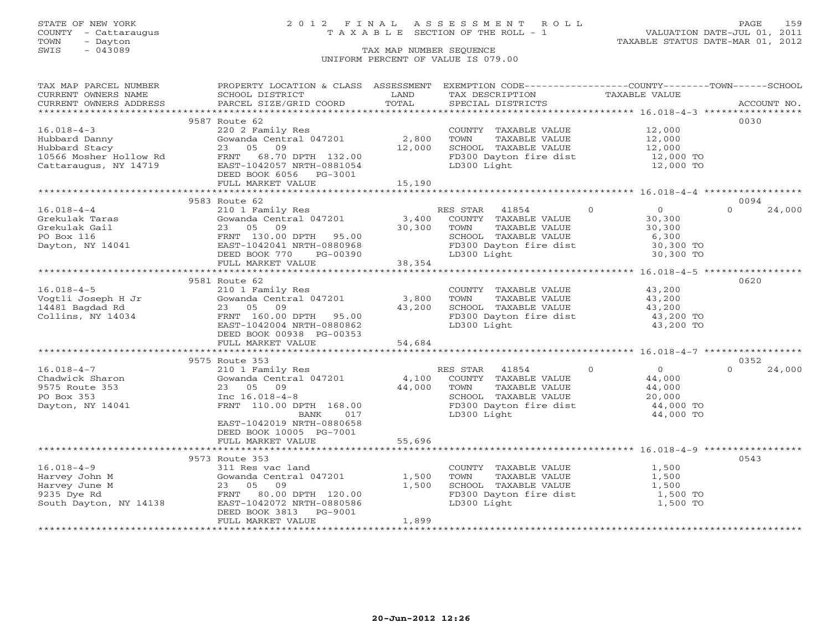## STATE OF NEW YORK 2 0 1 2 F I N A L A S S E S S M E N T R O L L PAGE 159 COUNTY - Cattaraugus T A X A B L E SECTION OF THE ROLL - 1 VALUATION DATE-JUL 01, 2011

| TAX MAP PARCEL NUMBER<br>CURRENT OWNERS NAME                                            | PROPERTY LOCATION & CLASS ASSESSMENT EXEMPTION CODE---------------COUNTY-------TOWN------SCHOOL<br>SCHOOL DISTRICT                                                                                                                                                                                                                                                                                                                                                                                                     | LAND                          | TAX DESCRIPTION                                                                                                                                          | TAXABLE VALUE                                                                            |                    |
|-----------------------------------------------------------------------------------------|------------------------------------------------------------------------------------------------------------------------------------------------------------------------------------------------------------------------------------------------------------------------------------------------------------------------------------------------------------------------------------------------------------------------------------------------------------------------------------------------------------------------|-------------------------------|----------------------------------------------------------------------------------------------------------------------------------------------------------|------------------------------------------------------------------------------------------|--------------------|
|                                                                                         | $\begin{minipage}{.45\textwidth} \begin{minipage}{.45\textwidth} \begin{minipage}{.45\textwidth} \begin{minipage}{.45\textwidth} \begin{minipage}{.45\textwidth} \begin{minipage}{.45\textwidth} \begin{minipage}{.45\textwidth} \begin{minipage}{.45\textwidth} \begin{minipage}{.45\textwidth} \begin{minipage}{.45\textwidth} \begin{minipage}{.45\textwidth} \begin{minipage}{.45\textwidth} \begin{minipage}{.45\textwidth} \begin{minipage}{.45\textwidth} \begin{minipage}{.45\textwidth} \begin{minipage}{.45$ |                               |                                                                                                                                                          |                                                                                          |                    |
|                                                                                         |                                                                                                                                                                                                                                                                                                                                                                                                                                                                                                                        |                               |                                                                                                                                                          |                                                                                          |                    |
| $16.018 - 4 - 3$<br>Hubbard Danny                                                       | 9587 Route 62<br>220 2 Family Res<br>Gowanda Central 047201 2,800                                                                                                                                                                                                                                                                                                                                                                                                                                                      |                               | COUNTY TAXABLE VALUE<br>TOWN<br>TAXABLE VALUE                                                                                                            | 12,000<br>12,000                                                                         | 0030               |
| Hubbard Stacy<br>10566 Mosher Hollow Rd<br>Cattaraugus, NY 14719                        | 23 05<br>09<br>FRNT 68.70 DPTH 132.00<br>EAST-1042057 NRTH-0881054<br>DEED BOOK 6056 PG-3001                                                                                                                                                                                                                                                                                                                                                                                                                           | 12,000                        | SCHOOL TAXABLE VALUE<br>FD300 Dayton fire dist<br>LD300 Light                                                                                            | 12,000<br>12,000 TO<br>12,000 TO                                                         |                    |
|                                                                                         | FULL MARKET VALUE                                                                                                                                                                                                                                                                                                                                                                                                                                                                                                      | 15,190                        |                                                                                                                                                          |                                                                                          |                    |
|                                                                                         |                                                                                                                                                                                                                                                                                                                                                                                                                                                                                                                        |                               |                                                                                                                                                          |                                                                                          |                    |
|                                                                                         | 9583 Route 62                                                                                                                                                                                                                                                                                                                                                                                                                                                                                                          |                               |                                                                                                                                                          |                                                                                          | 0094               |
| $16.018 - 4 - 4$<br>Grekulak Taras<br>Grekulak Gail<br>PO Box 116<br>Dayton, NY 14041   | 210 1 Family Res<br>Gowanda Central 047201<br>09<br>23 05<br>FRNT 130.00 DPTH 95.00<br>EAST-1042041 NRTH-0880968<br>DEED BOOK 770<br>PG-00390                                                                                                                                                                                                                                                                                                                                                                          | $\frac{3}{2}$ , 400<br>30,300 | RES STAR 41854<br>COUNTY TAXABLE VALUE<br>TAXABLE VALUE<br>TOWN<br>SCHOOL TAXABLE VALUE<br>SUNUUL TAXABLE VALUE<br>FD300 Dayton fire dist<br>LD300 Light | $\Omega$<br>$\Omega$<br>30,300<br>30,300<br>6,300<br>30,300 TO<br>30,300 TO              | $\Omega$<br>24,000 |
|                                                                                         | FULL MARKET VALUE                                                                                                                                                                                                                                                                                                                                                                                                                                                                                                      | 38,354                        |                                                                                                                                                          |                                                                                          |                    |
|                                                                                         |                                                                                                                                                                                                                                                                                                                                                                                                                                                                                                                        |                               |                                                                                                                                                          |                                                                                          |                    |
| $16.018 - 4 - 5$                                                                        | 9581 Route 62<br>210 1 Family Res                                                                                                                                                                                                                                                                                                                                                                                                                                                                                      |                               | COUNTY TAXABLE VALUE                                                                                                                                     | 43,200                                                                                   | 0620               |
| Vogtli Joseph H Jr<br>14481 Bagdad Rd<br>Collins, NY 14034                              | Gowanda Central 047201<br>23 05 09<br>FRNT 160.00 DPTH 95.00<br>EAST-1042004 NRTH-0880862<br>DEED BOOK 00938 PG-00353                                                                                                                                                                                                                                                                                                                                                                                                  | 3,800<br>43,200               | TOWN<br>TAXABLE VALUE<br>SCHOOL TAXABLE VALUE<br>FD300 Dayton fire dist<br>LD300 Light                                                                   | 43,200<br>43,200<br>43,200 TO<br>43,200 TO                                               |                    |
|                                                                                         | FULL MARKET VALUE                                                                                                                                                                                                                                                                                                                                                                                                                                                                                                      | 54,684                        |                                                                                                                                                          |                                                                                          |                    |
|                                                                                         |                                                                                                                                                                                                                                                                                                                                                                                                                                                                                                                        |                               |                                                                                                                                                          |                                                                                          |                    |
|                                                                                         | 9575 Route 353                                                                                                                                                                                                                                                                                                                                                                                                                                                                                                         |                               |                                                                                                                                                          |                                                                                          | 0352               |
| $16.018 - 4 - 7$<br>Chadwick Sharon<br>9575 Route 353<br>PO Box 353<br>Dayton, NY 14041 | 210 1 Family Res<br>Gowanda Central 047201<br>23 05 09<br>Inc $16.018-4-8$<br>FRNT 110.00 DPTH 168.00<br>017<br>BANK<br>EAST-1042019 NRTH-0880658                                                                                                                                                                                                                                                                                                                                                                      | 4,100<br>44,000               | RES STAR 41854<br>COUNTY TAXABLE VALUE<br>TOWN      TAXABLE VALUE<br>SCHOOL   TAXABLE VALUE<br>TOWN<br>FD300 Dayton fire dist<br>LD300 Light             | $\overline{0}$<br>$\overline{0}$<br>44,000<br>44,000<br>20,000<br>44,000 TO<br>44,000 TO | $\Omega$<br>24,000 |
|                                                                                         | DEED BOOK 10005 PG-7001                                                                                                                                                                                                                                                                                                                                                                                                                                                                                                |                               |                                                                                                                                                          |                                                                                          |                    |
|                                                                                         | FULL MARKET VALUE                                                                                                                                                                                                                                                                                                                                                                                                                                                                                                      | 55,696                        |                                                                                                                                                          |                                                                                          |                    |
|                                                                                         |                                                                                                                                                                                                                                                                                                                                                                                                                                                                                                                        |                               |                                                                                                                                                          |                                                                                          |                    |
| $16.018 - 4 - 9$                                                                        | 9573 Route 353<br>311 Res vac land                                                                                                                                                                                                                                                                                                                                                                                                                                                                                     |                               | COUNTY TAXABLE VALUE                                                                                                                                     | 1,500                                                                                    | 0543               |
| Harvey John M<br>Harvey June M                                                          | Gowanda Central 047201<br>09<br>23 05                                                                                                                                                                                                                                                                                                                                                                                                                                                                                  | 1,500<br>1,500                | TOWN<br>TAXABLE VALUE<br>SCHOOL TAXABLE VALUE                                                                                                            | 1,500<br>1,500                                                                           |                    |
| 9235 Dye Rd<br>South Dayton, NY 14138                                                   | FRNT 80.00 DPTH 120.00<br>EAST-1042072 NRTH-0880586<br>DEED BOOK 3813<br>PG-9001                                                                                                                                                                                                                                                                                                                                                                                                                                       |                               | FD300 Dayton fire dist<br>LD300 Light<br>LD300 Light                                                                                                     | 1,500 TO<br>1,500 TO                                                                     |                    |
|                                                                                         | FULL MARKET VALUE                                                                                                                                                                                                                                                                                                                                                                                                                                                                                                      | 1,899                         |                                                                                                                                                          |                                                                                          |                    |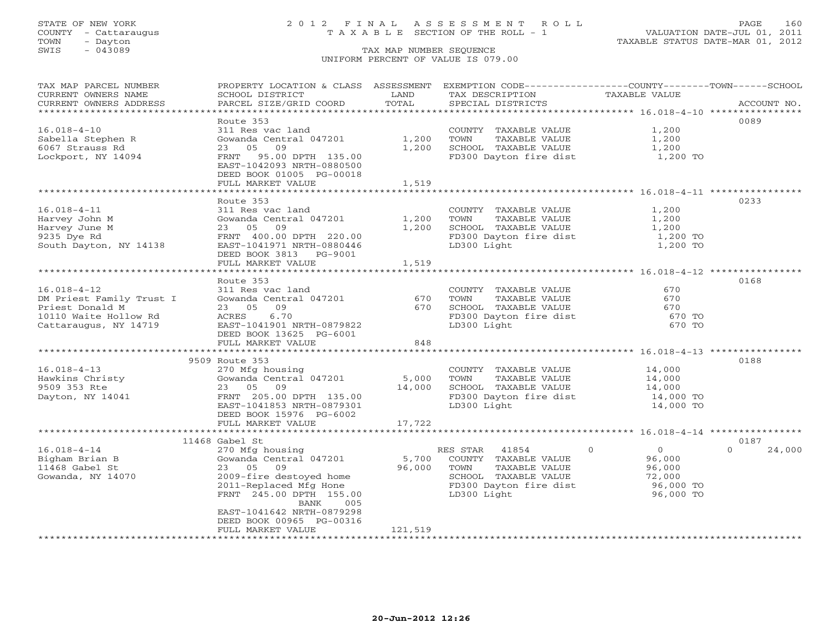### STATE OF NEW YORK 2 0 1 2 F I N A L A S S E S S M E N T R O L L PAGE 160 COUNTY - Cattaraugus T A X A B L E SECTION OF THE ROLL - 1 VALUATION DATE-JUL 01, 2011

| TAX MAP PARCEL NUMBER<br>CURRENT OWNERS NAME                                                                                                                  | PROPERTY LOCATION & CLASS ASSESSMENT<br>SCHOOL DISTRICT | LAND           | EXEMPTION CODE-----------------COUNTY--------TOWN------SCHOOL<br>TAX DESCRIPTION                                                                                                   | TAXABLE VALUE  |                    |
|---------------------------------------------------------------------------------------------------------------------------------------------------------------|---------------------------------------------------------|----------------|------------------------------------------------------------------------------------------------------------------------------------------------------------------------------------|----------------|--------------------|
| CURRENT OWNERS ADDRESS                                                                                                                                        | PARCEL SIZE/GRID COORD                                  | TOTAL          | SPECIAL DISTRICTS                                                                                                                                                                  |                | ACCOUNT NO.        |
| *********************                                                                                                                                         |                                                         |                |                                                                                                                                                                                    |                |                    |
|                                                                                                                                                               | Route 353                                               |                |                                                                                                                                                                                    |                | 0089               |
| $16.018 - 4 - 10$                                                                                                                                             | 311 Res vac land                                        |                | COUNTY TAXABLE VALUE<br>TOWN      TAXABLE VALUE                                                                                                                                    | 1,200<br>1,200 |                    |
| Sabella Stephen R<br>The Chrones Rd                                                                                                                           | Gowanda Central 047201                                  | 1,200          |                                                                                                                                                                                    |                |                    |
| 6067 Strauss Rd                                                                                                                                               | 23 05 09                                                | 1,200          |                                                                                                                                                                                    |                |                    |
| Lockport, NY 14094                                                                                                                                            | FRNT 95.00 DPTH 135.00                                  |                | CONN TAXABLE VALUE 1,200<br>SCHOOL TAXABLE VALUE 1,200<br>FD300 Dayton fire dist 1,200 TO                                                                                          |                |                    |
|                                                                                                                                                               | EAST-1042093 NRTH-0880500                               |                |                                                                                                                                                                                    |                |                    |
|                                                                                                                                                               | DEED BOOK 01005 PG-00018                                |                |                                                                                                                                                                                    |                |                    |
|                                                                                                                                                               | FULL MARKET VALUE                                       | 1,519          |                                                                                                                                                                                    |                |                    |
|                                                                                                                                                               |                                                         |                |                                                                                                                                                                                    |                |                    |
|                                                                                                                                                               | Route 353                                               |                |                                                                                                                                                                                    |                | 0233               |
| $16.018 - 4 - 11$                                                                                                                                             | 311 Res vac land                                        |                |                                                                                                                                                                                    |                |                    |
| Harvey John M                                                                                                                                                 | Gowanda Central 047201                                  | 1,200<br>1,200 |                                                                                                                                                                                    |                |                    |
| Harvey June M<br>9235 Dye Rd                                                                                                                                  | 23 05 09<br>FRNT 400.00 DPTH 220.00                     |                | COUNTY TAXABLE VALUE $1,200$<br>TOWN TAXABLE VALUE $1,200$<br>SCHOOL TAXABLE VALUE $1,200$<br>FD300 Dayton fire dist $1,200$ TO                                                    |                |                    |
| South Dayton, NY 14138                                                                                                                                        | EAST-1041971 NRTH-0880446                               |                | LD300 Light                                                                                                                                                                        | 1,200 TO       |                    |
|                                                                                                                                                               | DEED BOOK 3813 PG-9001                                  |                |                                                                                                                                                                                    |                |                    |
|                                                                                                                                                               | FULL MARKET VALUE                                       | 1,519          |                                                                                                                                                                                    |                |                    |
|                                                                                                                                                               |                                                         | *************  |                                                                                                                                                                                    |                |                    |
|                                                                                                                                                               | Route 353                                               |                |                                                                                                                                                                                    |                | 0168               |
| $16.018 - 4 - 12$                                                                                                                                             |                                                         |                |                                                                                                                                                                                    |                |                    |
|                                                                                                                                                               |                                                         |                |                                                                                                                                                                                    |                |                    |
| DM Priest Family Trust I<br>Priest Donald M<br>10110 Waite Hollow Rd                                                                                          |                                                         |                |                                                                                                                                                                                    |                |                    |
|                                                                                                                                                               |                                                         |                |                                                                                                                                                                                    |                |                    |
| Cattaraugus, NY 14719                                                                                                                                         | EAST-1041901 NRTH-0879822                               |                | LD300 Light                                                                                                                                                                        | 670 TO         |                    |
|                                                                                                                                                               | DEED BOOK 13625 PG-6001                                 |                |                                                                                                                                                                                    |                |                    |
|                                                                                                                                                               | FULL MARKET VALUE                                       | 848            |                                                                                                                                                                                    |                |                    |
|                                                                                                                                                               |                                                         |                |                                                                                                                                                                                    |                |                    |
|                                                                                                                                                               | 9509 Route 353                                          |                |                                                                                                                                                                                    |                | 0188               |
| $16.018 - 4 - 13$                                                                                                                                             | 270 Mfg housing                                         |                | COUNTY TAXABLE VALUE 14,000<br>5,000 TOWN TAXABLE VALUE 14,000<br>14,000 SCHOOL TAXABLE VALUE 14,000<br>FD300 Dayton fire dist 14,000 TO                                           |                |                    |
| 16.018-4-13<br>Hawkins Christy (Gowanda Central 047201 5,000 TOWN<br>9509 353 Rte 23 05 09 14,000 SCHOOL<br>Dayton, NY 14041 FRNT 205.00 DPTH 135.00 FD300 De |                                                         |                |                                                                                                                                                                                    |                |                    |
|                                                                                                                                                               |                                                         |                |                                                                                                                                                                                    |                |                    |
|                                                                                                                                                               |                                                         |                |                                                                                                                                                                                    |                |                    |
|                                                                                                                                                               | EAST-1041853 NRTH-0879301                               |                | LD300 Light                                                                                                                                                                        | 14,000 TO      |                    |
|                                                                                                                                                               | DEED BOOK 15976 PG-6002                                 |                |                                                                                                                                                                                    |                |                    |
|                                                                                                                                                               | FULL MARKET VALUE                                       | 17,722         |                                                                                                                                                                                    |                |                    |
|                                                                                                                                                               | 11468 Gabel St                                          |                |                                                                                                                                                                                    |                | 0187               |
| $16.018 - 4 - 14$                                                                                                                                             |                                                         |                |                                                                                                                                                                                    |                | $\Omega$<br>24,000 |
| Bigham Brian B                                                                                                                                                | 270 Mfg housing<br>Gowanda Central 047201 5,700         |                | RES STAR 41854 0<br>COUNTY TAXABLE VALUE 96,000                                                                                                                                    |                |                    |
|                                                                                                                                                               | 23 05 09                                                | 96,000 TOWN    |                                                                                                                                                                                    |                |                    |
| 11468 Gabel St<br>Gowanda, NY 14070                                                                                                                           |                                                         |                | TOWN TAXABLE VALUE<br>SCHOOL TAXABLE VALUE<br>FD300 Dayton fire dist<br>LD300 Light<br>LD300 Light<br>TLD300 Light<br>TLD300 Light<br>CLD300 Light<br>CLD300 Light<br>CLD300 Light |                |                    |
|                                                                                                                                                               | 2009-fire destoyed home<br>2011-Replaced Mfg Hone       |                |                                                                                                                                                                                    |                |                    |
|                                                                                                                                                               | FRNT 245.00 DPTH 155.00                                 |                |                                                                                                                                                                                    |                |                    |
|                                                                                                                                                               | BANK<br>005                                             |                |                                                                                                                                                                                    |                |                    |
|                                                                                                                                                               | EAST-1041642 NRTH-0879298                               |                |                                                                                                                                                                                    |                |                    |
|                                                                                                                                                               | DEED BOOK 00965 PG-00316                                |                |                                                                                                                                                                                    |                |                    |
|                                                                                                                                                               | FULL MARKET VALUE                                       | 121,519        |                                                                                                                                                                                    |                |                    |
|                                                                                                                                                               |                                                         |                |                                                                                                                                                                                    |                |                    |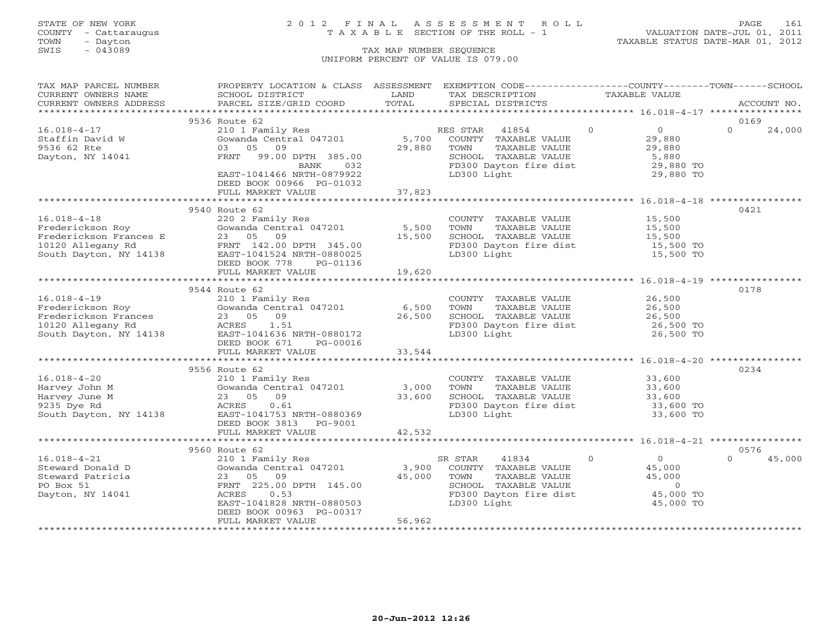## STATE OF NEW YORK 2 0 1 2 F I N A L A S S E S S M E N T R O L L PAGE 161 COUNTY - Cattaraugus T A X A B L E SECTION OF THE ROLL - 1 VALUATION DATE-JUL 01, 2011

TOWN - Dayton TAXABLE STATUS DATE-MAR 01, 2012

| TAX MAP PARCEL NUMBER                | PROPERTY LOCATION & CLASS ASSESSMENT EXEMPTION CODE---------------COUNTY-------TOWN------SCHOOL                                                                                           |             |                                                   |                                              |                    |
|--------------------------------------|-------------------------------------------------------------------------------------------------------------------------------------------------------------------------------------------|-------------|---------------------------------------------------|----------------------------------------------|--------------------|
| CURRENT OWNERS NAME                  | SCHOOL DISTRICT                                                                                                                                                                           | LAND        | TAX DESCRIPTION                                   | TAXABLE VALUE                                |                    |
| CURRENT OWNERS ADDRESS               | PARCEL SIZE/GRID COORD                                                                                                                                                                    | TOTAL       | SPECIAL DISTRICTS                                 |                                              | ACCOUNT NO.        |
|                                      |                                                                                                                                                                                           |             |                                                   |                                              |                    |
|                                      | 9536 Route 62                                                                                                                                                                             |             |                                                   |                                              | 0169               |
|                                      |                                                                                                                                                                                           |             |                                                   | $\overline{0}$<br>$\overline{O}$             | $\Omega$<br>24,000 |
| $16.018 - 4 - 17$<br>Staffin David W | 210 1 Family Res<br>Gowanda Central 047201 5,700 COUNTY TAXABLE VALUE<br>COLORED 1000 TOUNTY TAXABLE VALUE                                                                                |             |                                                   | 29,880                                       |                    |
| 9536 62 Rte                          | 03 05 09                                                                                                                                                                                  | 29,880      | TOWN<br>TAXABLE VALUE                             | 29,880                                       |                    |
| Dayton, NY 14041                     | FRNT 99.00 DPTH 385.00                                                                                                                                                                    |             | SCHOOL TAXABLE VALUE                              | 5,880                                        |                    |
|                                      | BANK<br>032                                                                                                                                                                               |             | FD300 Dayton fire dist<br>ID300 Light             | 29,880 TO                                    |                    |
|                                      | EAST-1041466 NRTH-0879922                                                                                                                                                                 |             |                                                   | 29,880 TO                                    |                    |
|                                      | DEED BOOK 00966 PG-01032                                                                                                                                                                  |             |                                                   |                                              |                    |
|                                      | FULL MARKET VALUE                                                                                                                                                                         | 37,823      |                                                   |                                              |                    |
|                                      |                                                                                                                                                                                           |             |                                                   |                                              |                    |
|                                      | 9540 Route 62                                                                                                                                                                             |             |                                                   |                                              | 0421               |
|                                      | 220 2 Family Res                                                                                                                                                                          |             | COUNTY TAXABLE VALUE 15,500                       |                                              |                    |
|                                      | Gowanda Central 047201 5,500                                                                                                                                                              |             | TOWN                                              | TAXABLE VALUE 15,500<br>TAXABLE VALUE 15,500 |                    |
|                                      |                                                                                                                                                                                           | 15,500      | SCHOOL TAXABLE VALUE                              |                                              |                    |
|                                      |                                                                                                                                                                                           |             | FD300 Dayton fire dist 15,500 TO                  |                                              |                    |
|                                      |                                                                                                                                                                                           |             | LD300 Light                                       | 15,500 TO                                    |                    |
|                                      |                                                                                                                                                                                           |             |                                                   |                                              |                    |
|                                      |                                                                                                                                                                                           | 19,620      |                                                   |                                              |                    |
|                                      |                                                                                                                                                                                           |             |                                                   |                                              |                    |
|                                      | 9544 Route 62                                                                                                                                                                             |             |                                                   |                                              | 0178               |
|                                      |                                                                                                                                                                                           |             | COUNTY TAXABLE VALUE<br>TOWN     TAXABLE VALUE    | 26,500                                       |                    |
|                                      |                                                                                                                                                                                           |             |                                                   | 26,500                                       |                    |
|                                      |                                                                                                                                                                                           |             |                                                   |                                              |                    |
|                                      |                                                                                                                                                                                           |             |                                                   |                                              |                    |
| South Dayton, NY 14138               | EAST-1041636 NRTH-0880172                                                                                                                                                                 |             | LD300 Light                                       | 26,500 TO                                    |                    |
|                                      | DEED BOOK 671 PG-00016                                                                                                                                                                    |             |                                                   |                                              |                    |
|                                      | FULL MARKET VALUE                                                                                                                                                                         | 33,544      |                                                   |                                              |                    |
|                                      |                                                                                                                                                                                           |             |                                                   |                                              |                    |
|                                      | 9556 Route 62                                                                                                                                                                             |             |                                                   |                                              | 0234               |
|                                      |                                                                                                                                                                                           |             | COUNTY TAXABLE VALUE                              | 33,600                                       |                    |
|                                      |                                                                                                                                                                                           |             | TAXABLE VALUE<br>TOWN                             | 33,600                                       |                    |
|                                      |                                                                                                                                                                                           |             | SCHOOL TAXABLE VALUE                              | 33,600                                       |                    |
|                                      |                                                                                                                                                                                           |             | FD300 Dayton fire dist<br>ID300 Light             | 33,600 TO                                    |                    |
|                                      | 16.018-4-20 210 1 Family Res<br>Harvey John M Gowanda Central 047201 3,000<br>Harvey June M 23 05 09 33,600<br>9235 Dye Rd ACRES 0.61<br>South Dayton, NY 14138 EAST-1041753 NRTH-0880369 |             | LD300 Light                                       | 33,600 TO                                    |                    |
|                                      | DEED BOOK 3813 PG-9001                                                                                                                                                                    |             |                                                   |                                              |                    |
|                                      | FULL MARKET VALUE                                                                                                                                                                         | 42,532      |                                                   |                                              |                    |
|                                      |                                                                                                                                                                                           |             |                                                   |                                              |                    |
|                                      | 9560 Route 62                                                                                                                                                                             |             |                                                   |                                              | 0576               |
| $16.018 - 4 - 21$                    | 210 1 Family Res                                                                                                                                                                          |             | $\overline{0}$<br>SR STAR<br>41834                | $\overline{O}$                               | $\Omega$<br>45,000 |
| Steward Donald D                     | Gowanda Central 047201 3,900 COUNTY TAXABLE VALUE                                                                                                                                         |             |                                                   | 45,000                                       |                    |
| Steward Patricia                     | 23 05 09                                                                                                                                                                                  | 45,000 TOWN | TOWN      TAXABLE VALUE<br>SCHOOL   TAXABLE VALUE | 45,000                                       |                    |
| PO Box 51                            | FRNT 225.00 DPTH 145.00                                                                                                                                                                   |             |                                                   | $\overline{0}$                               |                    |
| Dayton, NY 14041                     | 0.53<br>ACRES                                                                                                                                                                             |             | FD300 Dayton fire dist<br>LD300 Light             | 45,000 TO                                    |                    |
|                                      | EAST-1041828 NRTH-0880503                                                                                                                                                                 |             |                                                   | 45,000 TO                                    |                    |
|                                      | DEED BOOK 00963 PG-00317<br>FULL MARKET VALUE                                                                                                                                             | 56,962      |                                                   |                                              |                    |
|                                      |                                                                                                                                                                                           |             |                                                   |                                              |                    |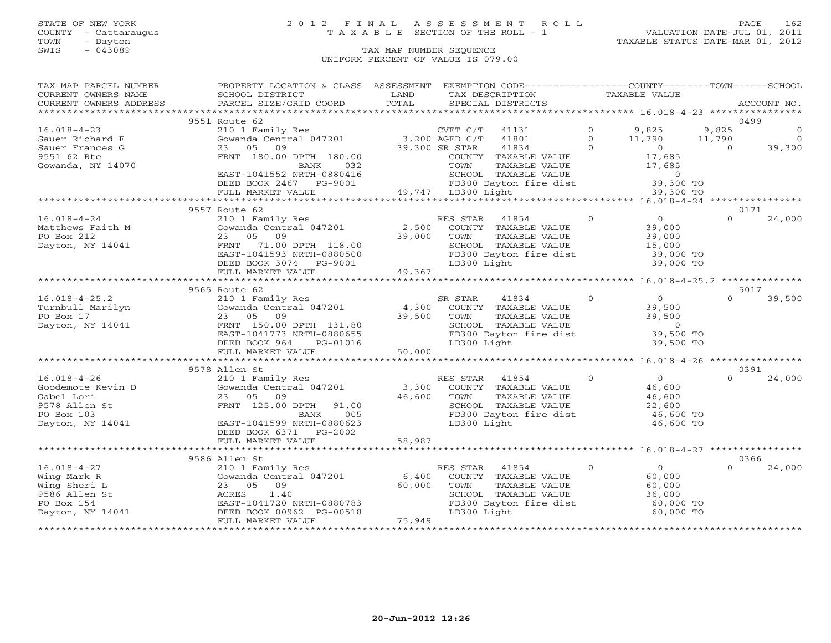## STATE OF NEW YORK 2 0 1 2 F I N A L A S S E S S M E N T R O L L PAGE 162 COUNTY - Cattaraugus T A X A B L E SECTION OF THE ROLL - 1 VALUATION DATE-JUL 01, 2011

| TAX MAP PARCEL NUMBER           | PROPERTY LOCATION & CLASS ASSESSMENT                                                                                                                                                                                                                                                                                                                                             |                                                                |                | EXEMPTION CODE-----------------COUNTY-------TOWN------SCHOOL                                                          |                |                                            |            |                |
|---------------------------------|----------------------------------------------------------------------------------------------------------------------------------------------------------------------------------------------------------------------------------------------------------------------------------------------------------------------------------------------------------------------------------|----------------------------------------------------------------|----------------|-----------------------------------------------------------------------------------------------------------------------|----------------|--------------------------------------------|------------|----------------|
| CURRENT OWNERS NAME             | SCHOOL DISTRICT                                                                                                                                                                                                                                                                                                                                                                  | LAND<br>TOTAL                                                  |                | TAX DESCRIPTION                                                                                                       |                | TAXABLE VALUE                              |            | ACCOUNT NO.    |
| CURRENT OWNERS ADDRESS          | PARCEL SIZE/GRID COORD                                                                                                                                                                                                                                                                                                                                                           |                                                                |                | SPECIAL DISTRICTS                                                                                                     |                |                                            |            |                |
|                                 | 9551 Route 62                                                                                                                                                                                                                                                                                                                                                                    |                                                                |                |                                                                                                                       |                |                                            |            | 0499           |
| $16.018 - 4 - 23$               |                                                                                                                                                                                                                                                                                                                                                                                  |                                                                |                | 41131                                                                                                                 | $\circ$        | 9,825                                      | 9,825      | $\circ$        |
| Sauer Richard E                 | $\begin{tabular}{llllll} \bf 210 & 1 \  \  \, Family \  \, Res & \  \  \, \tt CVET \  \, C/T \\ \bf Gowanda \  \, Central \  \, 047201 & \  \  \, & \  \  \, & \  \  \, & \  \  \, & \  \  \, & \  \  \, & \  \  \, & \  \  \, & \  \  \, & \  \  \, & \  \  \, & \  \  \, & \  \  \, & \  \  \, & \  \  \, & \  \  \, & \  \  \, & \  \  \, & \  \  \, & \  \  \, & \  \  \, &$ |                                                                |                | 41801                                                                                                                 | $\Omega$       | 11,790                                     | 11,790     | $\overline{0}$ |
| Sauer Frances G                 | 23 05<br>09                                                                                                                                                                                                                                                                                                                                                                      | 39,300 SR STAR                                                 |                | 41834                                                                                                                 | $\Omega$       |                                            | $\bigcirc$ | 39,300         |
| 9551 62 Rte                     | FRNT 180.00 DPTH 180.00                                                                                                                                                                                                                                                                                                                                                          |                                                                |                | COUNTY TAXABLE VALUE                                                                                                  |                | $\begin{array}{c} 0 \\ 17,685 \end{array}$ |            |                |
| Gowanda, NY 14070               | 032<br>BANK                                                                                                                                                                                                                                                                                                                                                                      |                                                                |                |                                                                                                                       |                |                                            |            |                |
|                                 | EAST-1041552 NRTH-0880416                                                                                                                                                                                                                                                                                                                                                        | TOWN TAXE<br>SCHOOL TAXE<br>FD300 Daytor<br>49,747 LD300 Light |                | TOWN TAXABLE VALUE 17,685<br>SCHOOL TAXABLE VALUE 17,685<br>FD300 Dayton fire dist 39,300 TO<br>LD300 Light 39,300 TO |                |                                            |            |                |
|                                 | DEED BOOK 2467 PG-9001                                                                                                                                                                                                                                                                                                                                                           |                                                                |                |                                                                                                                       |                |                                            |            |                |
|                                 | FULL MARKET VALUE                                                                                                                                                                                                                                                                                                                                                                |                                                                |                |                                                                                                                       |                |                                            |            |                |
|                                 |                                                                                                                                                                                                                                                                                                                                                                                  |                                                                |                |                                                                                                                       |                |                                            |            |                |
|                                 | 9557 Route 62                                                                                                                                                                                                                                                                                                                                                                    |                                                                |                |                                                                                                                       |                |                                            |            | 0171           |
| $16.018 - 4 - 24$               | 210 1 Family Res<br>Gowanda Central 047201 2,500                                                                                                                                                                                                                                                                                                                                 |                                                                | RES STAR       | $\overline{0}$<br>41854                                                                                               |                | $\overline{0}$                             | $\Omega$   | 24,000         |
| Matthews Faith M                |                                                                                                                                                                                                                                                                                                                                                                                  |                                                                |                | COUNTY TAXABLE VALUE                                                                                                  |                | 39,000                                     |            |                |
| PO Box 212                      | 23 05 09                                                                                                                                                                                                                                                                                                                                                                         | 2,300 COUNT                                                    |                | TAXABLE VALUE                                                                                                         |                | 39,000                                     |            |                |
| Dayton, NY 14041                | FRNT 71.00 DPTH 118.00                                                                                                                                                                                                                                                                                                                                                           |                                                                |                | SCHOOL TAXABLE VALUE                                                                                                  |                | 33,000<br>15,000                           |            |                |
|                                 | EAST-1041593 NRTH-0880500                                                                                                                                                                                                                                                                                                                                                        |                                                                |                | FD300 Dayton fire dist                                                                                                |                | 39,000 TO                                  |            |                |
|                                 | DEED BOOK 3074 PG-9001                                                                                                                                                                                                                                                                                                                                                           |                                                                | LD300 Light    |                                                                                                                       |                | 39,000 TO                                  |            |                |
|                                 | FULL MARKET VALUE                                                                                                                                                                                                                                                                                                                                                                | 49,367                                                         |                |                                                                                                                       |                |                                            |            |                |
|                                 |                                                                                                                                                                                                                                                                                                                                                                                  |                                                                |                |                                                                                                                       |                |                                            |            |                |
|                                 | 9565 Route 62                                                                                                                                                                                                                                                                                                                                                                    |                                                                |                |                                                                                                                       |                |                                            |            | 5017           |
| $16.018 - 4 - 25.2$             | 210 1 Family Res<br>Gowanda Central 047201 4,300                                                                                                                                                                                                                                                                                                                                 |                                                                | SR STAR        | $\overline{0}$<br>41834                                                                                               |                | $\overline{0}$                             | $\Omega$   | 39,500         |
| Turnbull Marilyn                |                                                                                                                                                                                                                                                                                                                                                                                  |                                                                |                | COUNTY TAXABLE VALUE                                                                                                  |                | 39,500                                     |            |                |
| PO Box 17                       | 23 05<br>09                                                                                                                                                                                                                                                                                                                                                                      | 39,500                                                         | TOWN           | TAXABLE VALUE                                                                                                         |                | 39,500                                     |            |                |
| Dayton, NY 14041                | FRNT 150.00 DPTH 131.80                                                                                                                                                                                                                                                                                                                                                          |                                                                |                | SCHOOL TAXABLE VALUE                                                                                                  |                | $\sim$ 0                                   |            |                |
|                                 | EAST-1041773 NRTH-0880655                                                                                                                                                                                                                                                                                                                                                        |                                                                |                | FD300 Dayton fire dist 39,500 TO                                                                                      |                |                                            |            |                |
|                                 | DEED BOOK 964 PG-01016                                                                                                                                                                                                                                                                                                                                                           |                                                                | LD300 Light    |                                                                                                                       |                | 39,500 TO                                  |            |                |
|                                 | FULL MARKET VALUE                                                                                                                                                                                                                                                                                                                                                                | 50,000                                                         |                |                                                                                                                       |                |                                            |            |                |
|                                 |                                                                                                                                                                                                                                                                                                                                                                                  |                                                                |                |                                                                                                                       |                |                                            |            |                |
|                                 | 9578 Allen St                                                                                                                                                                                                                                                                                                                                                                    |                                                                |                |                                                                                                                       |                |                                            |            | 0391           |
| $16.018 - 4 - 26$               | 210 1 Family Res<br>Gowanda Central 047201                                                                                                                                                                                                                                                                                                                                       |                                                                | RES STAR 41854 |                                                                                                                       | $\circ$        | $\overline{0}$                             | $\Omega$   | 24,000         |
| Goodemote Kevin D<br>Gabel Lori | 23 05 09                                                                                                                                                                                                                                                                                                                                                                         | 3,300<br>46,600                                                |                | COUNTY TAXABLE VALUE                                                                                                  |                | 46,600                                     |            |                |
| 9578 Allen St                   | FRNT 125.00 DPTH<br>91.00                                                                                                                                                                                                                                                                                                                                                        |                                                                | TOWN           | TAXABLE VALUE<br>SCHOOL TAXABLE VALUE                                                                                 |                | 46,600<br>22,600                           |            |                |
| PO Box 103                      | 005<br>BANK                                                                                                                                                                                                                                                                                                                                                                      |                                                                |                | FD300 Dayton fire dist                                                                                                |                | 46,600 TO                                  |            |                |
| Dayton, NY 14041                | EAST-1041599 NRTH-0880623                                                                                                                                                                                                                                                                                                                                                        |                                                                | LD300 Light    |                                                                                                                       |                | 46,600 TO                                  |            |                |
|                                 | DEED BOOK 6371 PG-2002                                                                                                                                                                                                                                                                                                                                                           |                                                                |                |                                                                                                                       |                |                                            |            |                |
|                                 | FULL MARKET VALUE                                                                                                                                                                                                                                                                                                                                                                | 58,987                                                         |                |                                                                                                                       |                |                                            |            |                |
|                                 |                                                                                                                                                                                                                                                                                                                                                                                  |                                                                |                |                                                                                                                       |                |                                            |            |                |
|                                 | 9586 Allen St                                                                                                                                                                                                                                                                                                                                                                    |                                                                |                |                                                                                                                       |                |                                            |            | 0366           |
| $16.018 - 4 - 27$               | 210 1 Family Res                                                                                                                                                                                                                                                                                                                                                                 |                                                                | RES STAR       | 41854                                                                                                                 | $\overline{0}$ | $\overline{0}$                             | $\Omega$   | 24,000         |
| Wing Mark R                     | Gowanda Central 047201                                                                                                                                                                                                                                                                                                                                                           | 6,400                                                          |                | COUNTY TAXABLE VALUE                                                                                                  |                | 60,000                                     |            |                |
| Wing Sheri L                    | 23 05<br>09                                                                                                                                                                                                                                                                                                                                                                      | 60,000                                                         | TOWN           | TAXABLE VALUE                                                                                                         |                | 60,000                                     |            |                |
| 9586 Allen St                   | ACRES<br>1.40                                                                                                                                                                                                                                                                                                                                                                    |                                                                |                | SCHOOL TAXABLE VALUE                                                                                                  |                | 36,000                                     |            |                |
| PO Box 154                      | EAST-1041720 NRTH-0880783                                                                                                                                                                                                                                                                                                                                                        |                                                                |                | FD300 Dayton fire dist                                                                                                |                | 60,000 TO                                  |            |                |
| Dayton, NY 14041                | DEED BOOK 00962 PG-00518                                                                                                                                                                                                                                                                                                                                                         |                                                                | LD300 Light    |                                                                                                                       |                | 60,000 TO                                  |            |                |
|                                 | FULL MARKET VALUE                                                                                                                                                                                                                                                                                                                                                                | 75,949                                                         |                |                                                                                                                       |                |                                            |            |                |
|                                 |                                                                                                                                                                                                                                                                                                                                                                                  |                                                                |                |                                                                                                                       |                |                                            |            |                |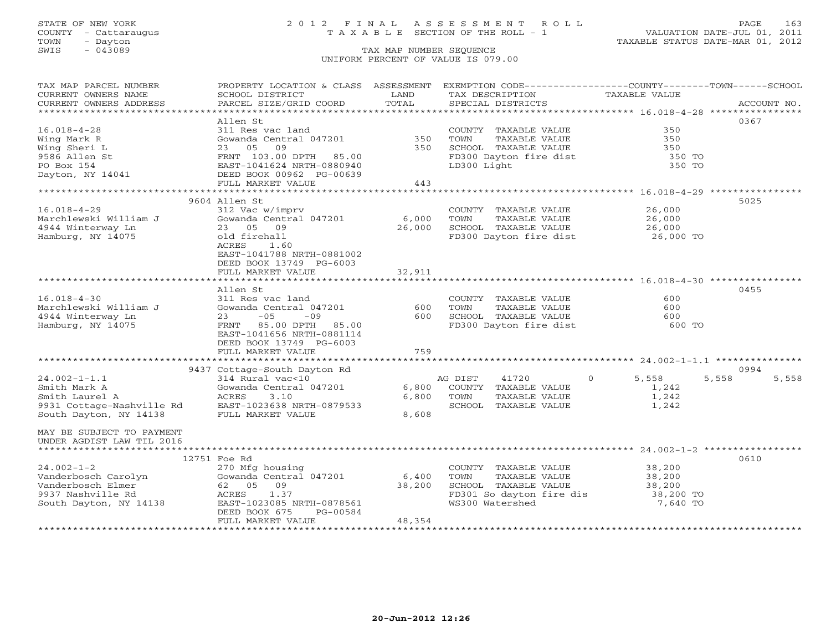### STATE OF NEW YORK 2 0 1 2 F I N A L A S S E S S M E N T R O L L PAGE 163 COUNTY - Cattaraugus T A X A B L E SECTION OF THE ROLL - 1 VALUATION DATE-JUL 01, 2011

| TAX MAP PARCEL NUMBER                      | PROPERTY LOCATION & CLASS ASSESSMENT           |                         | EXEMPTION CODE-----------------COUNTY-------TOWN------SCHOOL |                      |                |
|--------------------------------------------|------------------------------------------------|-------------------------|--------------------------------------------------------------|----------------------|----------------|
| CURRENT OWNERS NAME                        | SCHOOL DISTRICT                                | LAND                    | TAX DESCRIPTION                                              | <b>TAXABLE VALUE</b> |                |
| CURRENT OWNERS ADDRESS<br>.                | PARCEL SIZE/GRID COORD                         | TOTAL                   | SPECIAL DISTRICTS                                            |                      | ACCOUNT NO.    |
|                                            |                                                |                         |                                                              |                      |                |
|                                            | Allen St                                       |                         |                                                              |                      | 0367           |
| $16.018 - 4 - 28$                          | 311 Res vac land                               |                         | COUNTY TAXABLE VALUE                                         | 350                  |                |
| Wing Mark R                                | Gowanda Central 047201                         | 350                     | TOWN<br>TAXABLE VALUE                                        | 350                  |                |
| Wing Sheri L                               | 23 05<br>09                                    | 350                     | SCHOOL TAXABLE VALUE                                         | 350                  |                |
| 9586 Allen St                              | FRNT 103.00 DPTH 85.00                         |                         | FD300 Dayton fire dist                                       | 350 TO               |                |
| PO Box 154                                 | EAST-1041624 NRTH-0880940                      |                         | LD300 Light                                                  | 350 TO               |                |
| Dayton, NY 14041                           | DEED BOOK 00962 PG-00639                       |                         |                                                              |                      |                |
|                                            | FULL MARKET VALUE                              | 443                     |                                                              |                      |                |
|                                            |                                                |                         |                                                              |                      |                |
|                                            | 9604 Allen St                                  |                         |                                                              |                      | 5025           |
| $16.018 - 4 - 29$                          | 312 Vac w/imprv                                |                         | COUNTY TAXABLE VALUE                                         | 26,000               |                |
| Marchlewski William J                      | Gowanda Central 047201                         | 6,000                   | TAXABLE VALUE<br>TOWN                                        | 26,000               |                |
| 4944 Winterway Ln                          | 09<br>23 05                                    | 26,000                  | SCHOOL TAXABLE VALUE                                         | 26,000               |                |
| Hamburg, NY 14075                          | old firehall                                   |                         | FD300 Dayton fire dist                                       | 26,000 TO            |                |
|                                            | 1.60<br>ACRES                                  |                         |                                                              |                      |                |
|                                            | EAST-1041788 NRTH-0881002                      |                         |                                                              |                      |                |
|                                            | DEED BOOK 13749 PG-6003                        |                         |                                                              |                      |                |
|                                            | FULL MARKET VALUE<br>************************* | 32,911<br>************* |                                                              |                      |                |
|                                            |                                                |                         |                                                              |                      | 0455           |
|                                            | Allen St                                       |                         |                                                              | 600                  |                |
| $16.018 - 4 - 30$<br>Marchlewski William J | 311 Res vac land                               | 600                     | COUNTY TAXABLE VALUE<br>TOWN<br>TAXABLE VALUE                | 600                  |                |
| 4944 Winterway Ln                          | Gowanda Central 047201<br>$-05$<br>23          | 600                     | SCHOOL TAXABLE VALUE                                         | 600                  |                |
| Hamburg, NY 14075                          | $-09$<br>85.00 DPTH<br>85.00<br>FRNT           |                         |                                                              | 600 TO               |                |
|                                            |                                                |                         | FD300 Dayton fire dist                                       |                      |                |
|                                            | EAST-1041656 NRTH-0881114                      |                         |                                                              |                      |                |
|                                            | DEED BOOK 13749 PG-6003                        | 759                     |                                                              |                      |                |
|                                            | FULL MARKET VALUE                              |                         |                                                              |                      |                |
|                                            | 9437 Cottage-South Dayton Rd                   |                         |                                                              |                      | 0994           |
| $24.002 - 1 - 1.1$                         | 314 Rural vac<10                               |                         |                                                              | $\Omega$             |                |
| Smith Mark A                               |                                                | 6,800                   | AG DIST<br>41720                                             | 5,558                | 5,558<br>5,558 |
|                                            | Gowanda Central 047201<br>3.10                 |                         | COUNTY TAXABLE VALUE                                         | 1,242                |                |
| Smith Laurel A                             | ACRES                                          | 6,800                   | TOWN<br>TAXABLE VALUE                                        | 1,242                |                |
| 9931 Cottage-Nashville Rd                  | EAST-1023638 NRTH-0879533                      |                         | SCHOOL<br>TAXABLE VALUE                                      | 1,242                |                |
| South Dayton, NY 14138                     | FULL MARKET VALUE                              | 8,608                   |                                                              |                      |                |
| MAY BE SUBJECT TO PAYMENT                  |                                                |                         |                                                              |                      |                |
| UNDER AGDIST LAW TIL 2016                  |                                                |                         |                                                              |                      |                |
|                                            |                                                |                         |                                                              |                      |                |
|                                            |                                                |                         |                                                              |                      | 0610           |
| $24.002 - 1 - 2$                           | 12751 Foe Rd                                   |                         | COUNTY TAXABLE VALUE                                         |                      |                |
|                                            | 270 Mfg housing<br>Gowanda Central 047201      |                         | TAXABLE VALUE                                                | 38,200               |                |
| Vanderbosch Carolyn<br>Vanderbosch Elmer   | 62 05<br>09                                    | 6,400<br>38,200         | TOWN<br>SCHOOL TAXABLE VALUE                                 | 38,200               |                |
| 9937 Nashville Rd                          | 1.37<br>ACRES                                  |                         | FD301 So dayton fire dis                                     | 38,200<br>38,200 TO  |                |
| South Dayton, NY 14138                     | EAST-1023085 NRTH-0878561                      |                         | WS300 Watershed                                              | 7,640 TO             |                |
|                                            | DEED BOOK 675<br>PG-00584                      |                         |                                                              |                      |                |
|                                            | FULL MARKET VALUE                              | 48,354                  |                                                              |                      |                |
|                                            |                                                |                         |                                                              |                      |                |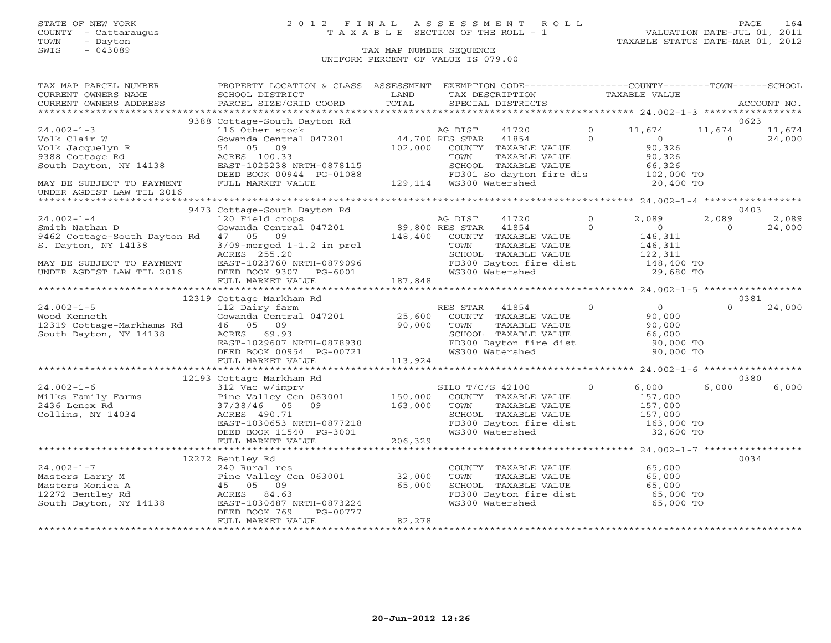### STATE OF NEW YORK 2 0 1 2 F I N A L A S S E S S M E N T R O L L PAGE 164 COUNTY - Cattaraugus T A X A B L E SECTION OF THE ROLL - 1 VALUATION DATE-JUL 01, 2011

| TAX MAP PARCEL NUMBER                                                                                                                                                                                                                            | PROPERTY LOCATION & CLASS ASSESSMENT EXEMPTION CODE---------------COUNTY-------TOWN------SCHOOL                                                                                                                                                                   |               |                                                                                     |                |                                  |          |             |
|--------------------------------------------------------------------------------------------------------------------------------------------------------------------------------------------------------------------------------------------------|-------------------------------------------------------------------------------------------------------------------------------------------------------------------------------------------------------------------------------------------------------------------|---------------|-------------------------------------------------------------------------------------|----------------|----------------------------------|----------|-------------|
| CURRENT OWNERS NAME<br>CURRENT OWNERS ADDRESS                                                                                                                                                                                                    | SCHOOL DISTRICT<br>PARCEL SIZE/GRID COORD                                                                                                                                                                                                                         | LAND<br>TOTAL | TAX DESCRIPTION TAXABLE VALUE<br>SPECIAL DISTRICTS                                  |                |                                  |          | ACCOUNT NO. |
|                                                                                                                                                                                                                                                  |                                                                                                                                                                                                                                                                   |               |                                                                                     |                |                                  |          |             |
|                                                                                                                                                                                                                                                  | 9388 Cottage-South Dayton Rd                                                                                                                                                                                                                                      |               |                                                                                     |                |                                  |          | 0623        |
| $24.002 - 1 - 3$                                                                                                                                                                                                                                 | 116 Other stock and the Magnus Cowanda Central 047201<br>Gowanda Central 047201<br>102,000 COUNTY TAXABLE VALUE<br>ACRES 100.33<br>ACRES 100.33                                                                                                                   |               | 41720 0 11,674                                                                      |                |                                  | 11,674   | 11,674      |
|                                                                                                                                                                                                                                                  |                                                                                                                                                                                                                                                                   |               |                                                                                     | $\Omega$       | $\overline{0}$                   | $\Omega$ | 24,000      |
|                                                                                                                                                                                                                                                  |                                                                                                                                                                                                                                                                   |               |                                                                                     |                |                                  |          |             |
| Volk Clair W Gowanda Central 047201<br>Volk Jacquelyn R 54 05 09<br>9388 Cottage Rd ACRES 100.33<br>South Dayton, NY 14138 EAST-1025238 NRTH-0878115                                                                                             |                                                                                                                                                                                                                                                                   |               |                                                                                     |                | $90,326$<br>$90,326$<br>$90,326$ |          |             |
|                                                                                                                                                                                                                                                  |                                                                                                                                                                                                                                                                   |               |                                                                                     |                |                                  |          |             |
|                                                                                                                                                                                                                                                  |                                                                                                                                                                                                                                                                   |               |                                                                                     |                |                                  |          |             |
| MAY BE SUBJECT TO PAYMENT FULL MARKET VALUE                                                                                                                                                                                                      | ACRES 100.33<br>EAST-1025238 NRTH-0878115<br>DEED BOOK 00944 PG-01088 PD301 So dayton fire dis 102,000 TO<br>FULL MARKET VALUE 129,114 WS300 Watershed 20,400 TO                                                                                                  |               |                                                                                     |                |                                  |          |             |
| UNDER AGDIST LAW TIL 2016                                                                                                                                                                                                                        |                                                                                                                                                                                                                                                                   |               |                                                                                     |                |                                  |          |             |
|                                                                                                                                                                                                                                                  |                                                                                                                                                                                                                                                                   |               |                                                                                     |                |                                  |          |             |
|                                                                                                                                                                                                                                                  | 9473 Cottage-South Dayton Rd<br>Cottage-South Dayton Rd<br>120 Field crops<br>Gowanda Central 047201 89,800 RES STAR 41854 0<br>47 05 09<br>3/09-merged 1-1.2 in prcl<br>TOWN TAXABLE VALUE<br>COUNTY TAXABLE VALUE<br>TOWN TAXABLE VALUE<br>COUNTY TAXABLE VALUE |               |                                                                                     |                |                                  |          | 0403        |
| 24.002-1-4<br>Smith Nathan D                                                                                                                                                                                                                     |                                                                                                                                                                                                                                                                   |               |                                                                                     | $\overline{0}$ | 2,089                            | 2,089    | 2,089       |
|                                                                                                                                                                                                                                                  |                                                                                                                                                                                                                                                                   |               |                                                                                     |                | $\overline{0}$                   | $\Omega$ | 24,000      |
| 9462 Cottage-South Dayton Rd 47 05 09                                                                                                                                                                                                            |                                                                                                                                                                                                                                                                   |               |                                                                                     |                | 146,311<br>146,311               |          |             |
| S. Dayton, NY 14138                                                                                                                                                                                                                              |                                                                                                                                                                                                                                                                   |               |                                                                                     |                |                                  |          |             |
|                                                                                                                                                                                                                                                  | ACRES 255.20                                                                                                                                                                                                                                                      |               | SCHOOL TAXABLE VALUE 122,311<br>FD300 Dayton fire dist 148,400 TO                   |                |                                  |          |             |
|                                                                                                                                                                                                                                                  |                                                                                                                                                                                                                                                                   |               | WS300 Watershed                                                                     |                | 29,680 TO                        |          |             |
| MAY BE SUBJECT TO PAYMENT<br>UNDER AGDIST LAW TIL 2016 DEED BOOK 9307 PG-6001<br>FULL MARKET VALUE 187,848                                                                                                                                       |                                                                                                                                                                                                                                                                   |               |                                                                                     |                |                                  |          |             |
|                                                                                                                                                                                                                                                  |                                                                                                                                                                                                                                                                   |               |                                                                                     |                |                                  |          |             |
|                                                                                                                                                                                                                                                  | 12319 Cottage Markham Rd                                                                                                                                                                                                                                          |               |                                                                                     |                |                                  |          | 0381        |
| $24.002 - 1 - 5$                                                                                                                                                                                                                                 | 112 Dairy farm                                                                                                                                                                                                                                                    |               | RES STAR 41854 0                                                                    |                | $\overline{0}$                   | $\cap$   | 24,000      |
|                                                                                                                                                                                                                                                  | Gowanda Central 047201 25,600                                                                                                                                                                                                                                     |               |                                                                                     |                |                                  |          |             |
| 24.002-1-5<br>Wood Kenneth<br>12319 Cottage-Markhams Rd                                                                                                                                                                                          | 46 05 09                                                                                                                                                                                                                                                          |               | COUNTY TAXABLE VALUE 90,000<br>TOWN TAXABLE VALUE 90.000<br>TOWN<br>TAXABLE VALUE   |                | 90,000                           |          |             |
| South Dayton, NY 14138                                                                                                                                                                                                                           | 90,000                                                                                                                                                                                                                                                            |               | SCHOOL TAXABLE VALUE                                                                |                |                                  |          |             |
|                                                                                                                                                                                                                                                  | AURES 09.93<br>EAST-1029607 NRTH-0878930<br>DEED BOOK 00051 55.0550                                                                                                                                                                                               |               |                                                                                     |                | 66,000<br>90,000 TO              |          |             |
|                                                                                                                                                                                                                                                  |                                                                                                                                                                                                                                                                   |               | FD300 Dayton fire dist 90,000 TO<br>WS300 Watershed 90,000 TO                       |                |                                  |          |             |
|                                                                                                                                                                                                                                                  | DEED BOOK 00954 PG-00721<br>FULL MARKET VALUE 113,924                                                                                                                                                                                                             |               |                                                                                     |                |                                  |          |             |
|                                                                                                                                                                                                                                                  |                                                                                                                                                                                                                                                                   |               |                                                                                     |                |                                  |          |             |
|                                                                                                                                                                                                                                                  |                                                                                                                                                                                                                                                                   |               |                                                                                     |                |                                  |          | 0380        |
|                                                                                                                                                                                                                                                  |                                                                                                                                                                                                                                                                   |               | SILO T/C/S 42100                                                                    | $\circ$        | 6,000                            | 6,000    | 6,000       |
|                                                                                                                                                                                                                                                  |                                                                                                                                                                                                                                                                   |               | COUNTY TAXABLE VALUE                                                                |                | 157,000                          |          |             |
| 12193 Cottage Markham Rd<br>24.002-1-6 12193 Cottage Markham Rd<br>312 Vac w/imprv<br>Pine Valley Cen 063001 150,000<br>2436 Lenox Rd<br>2436 Lenox Rd<br>2436 Lenox Rd<br>263101 163,000<br>2636 290.71<br>267.000<br>27/38/46 05 09<br>263,000 |                                                                                                                                                                                                                                                                   |               | TOWN<br>TOWN      TAXABLE VALUE<br>SCHOOL   TAXABLE VALUE                           |                | 157,000<br>157,000               |          |             |
|                                                                                                                                                                                                                                                  |                                                                                                                                                                                                                                                                   |               |                                                                                     |                |                                  |          |             |
|                                                                                                                                                                                                                                                  | EAST-1030653 NRTH-0877218<br>DEED BOOK 11540 PG-3001                                                                                                                                                                                                              |               | FD300 Dayton fire dist<br>WS300 Watershed                                           |                | 163,000 TO<br>32,600 TO          |          |             |
|                                                                                                                                                                                                                                                  | FULL MARKET VALUE                                                                                                                                                                                                                                                 | 206,329       |                                                                                     |                |                                  |          |             |
|                                                                                                                                                                                                                                                  |                                                                                                                                                                                                                                                                   |               |                                                                                     |                |                                  |          |             |
|                                                                                                                                                                                                                                                  | 12272 Bentley Rd                                                                                                                                                                                                                                                  |               |                                                                                     |                |                                  |          | 0034        |
|                                                                                                                                                                                                                                                  |                                                                                                                                                                                                                                                                   |               | COUNTY TAXABLE VALUE 65,000                                                         |                |                                  |          |             |
|                                                                                                                                                                                                                                                  |                                                                                                                                                                                                                                                                   |               |                                                                                     |                |                                  |          |             |
| 24.002-1-7<br>Masters Larry M<br>Masters Larry M<br>Masters Monica A<br>12272 Bentley Rd<br>South Dayton, NY 14138<br>2772 Bentley Rd<br>South Dayton, NY 14138<br>28ST-1030487 NRTH-0873224<br>28ST-1030487 NRTH-0873224                        |                                                                                                                                                                                                                                                                   |               | TOWN TAXABLE VALUE<br>SCHOOL TAXABLE VALUE 65,000<br>SCHOOL TAXABLE VALUE 65,000 TO |                |                                  |          |             |
|                                                                                                                                                                                                                                                  |                                                                                                                                                                                                                                                                   |               |                                                                                     |                |                                  |          |             |
|                                                                                                                                                                                                                                                  |                                                                                                                                                                                                                                                                   |               | FD300 Dayton fire dist<br>WS300 Watershed<br>WS300 Watershed                        |                | 65,000 TO                        |          |             |
|                                                                                                                                                                                                                                                  | DEED BOOK 769<br>PG-00777                                                                                                                                                                                                                                         |               |                                                                                     |                |                                  |          |             |
|                                                                                                                                                                                                                                                  | FULL MARKET VALUE                                                                                                                                                                                                                                                 | 82,278        |                                                                                     |                |                                  |          |             |
|                                                                                                                                                                                                                                                  |                                                                                                                                                                                                                                                                   |               |                                                                                     |                |                                  |          |             |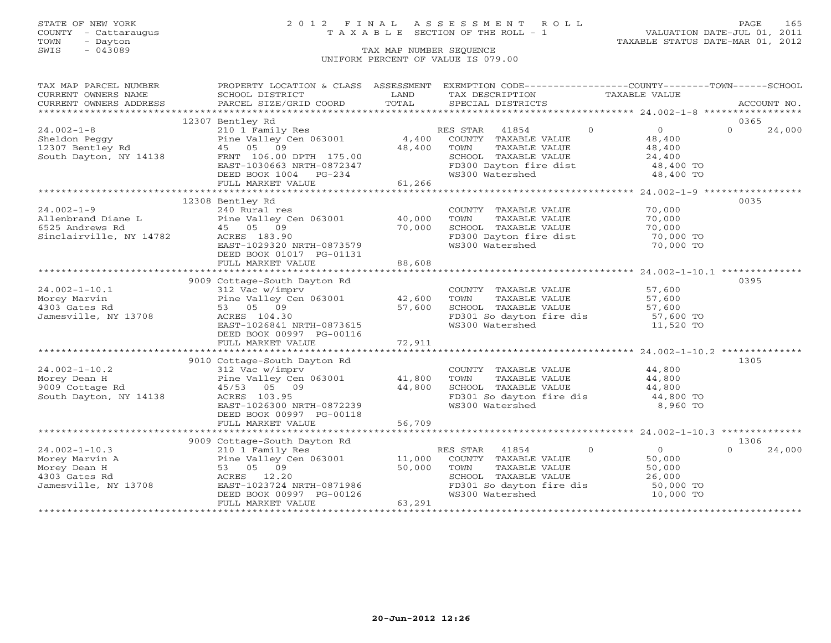## STATE OF NEW YORK 2 0 1 2 F I N A L A S S E S S M E N T R O L L PAGE 165 COUNTY - Cattaraugus T A X A B L E SECTION OF THE ROLL - 1 VALUATION DATE-JUL 01, 2011

TOWN - Dayton TAXABLE STATUS DATE-MAR 01, 2012

| TAX MAP PARCEL NUMBER                | PROPERTY LOCATION & CLASS ASSESSMENT EXEMPTION CODE----------------COUNTY-------TOWN------SCHOOL                                                                                                                                                                                                                                                                                                                                                                                                                       |        |                                                                                                                                              |                                  |                    |
|--------------------------------------|------------------------------------------------------------------------------------------------------------------------------------------------------------------------------------------------------------------------------------------------------------------------------------------------------------------------------------------------------------------------------------------------------------------------------------------------------------------------------------------------------------------------|--------|----------------------------------------------------------------------------------------------------------------------------------------------|----------------------------------|--------------------|
| CURRENT OWNERS NAME                  | SCHOOL DISTRICT                                                                                                                                                                                                                                                                                                                                                                                                                                                                                                        | LAND   | TAX DESCRIPTION TAXABLE VALUE                                                                                                                |                                  |                    |
|                                      |                                                                                                                                                                                                                                                                                                                                                                                                                                                                                                                        |        |                                                                                                                                              |                                  |                    |
|                                      | $\begin{minipage}{.45\textwidth} \begin{minipage}{.45\textwidth} \begin{minipage}{.45\textwidth} \begin{minipage}{.45\textwidth} \begin{minipage}{.45\textwidth} \begin{minipage}{.45\textwidth} \begin{minipage}{.45\textwidth} \begin{minipage}{.45\textwidth} \begin{minipage}{.45\textwidth} \begin{minipage}{.45\textwidth} \begin{minipage}{.45\textwidth} \begin{minipage}{.45\textwidth} \begin{minipage}{.45\textwidth} \begin{minipage}{.45\textwidth} \begin{minipage}{.45\textwidth} \begin{minipage}{.45$ |        |                                                                                                                                              |                                  |                    |
|                                      | 12307 Bentley Rd                                                                                                                                                                                                                                                                                                                                                                                                                                                                                                       |        |                                                                                                                                              |                                  | 0365               |
| $24.002 - 1 - 8$                     | 210 1 Family Res                                                                                                                                                                                                                                                                                                                                                                                                                                                                                                       |        | RES STAR 41854                                                                                                                               | $\Omega$<br>$\overline{0}$       | $\Omega$<br>24,000 |
| Sheldon Peggy                        | Pine Valley Cen 063001                                                                                                                                                                                                                                                                                                                                                                                                                                                                                                 |        | 4,400 COUNTY TAXABLE VALUE                                                                                                                   | 48,400                           |                    |
| 12307 Bentley Rd                     | 45 05 09                                                                                                                                                                                                                                                                                                                                                                                                                                                                                                               | 48,400 | TOWN<br>TAXABLE VALUE                                                                                                                        | 48,400                           |                    |
| South Dayton, NY 14138               | FRNT 106.00 DPTH 175.00                                                                                                                                                                                                                                                                                                                                                                                                                                                                                                |        | -<br>SCHOOL TAXABLE VALUE<br>FD300 Dayton fire dist                                                                                          | 24,400                           |                    |
|                                      | EAST-1030663 NRTH-0872347                                                                                                                                                                                                                                                                                                                                                                                                                                                                                              |        |                                                                                                                                              | $44,400$ To $48,400$ To          |                    |
|                                      | DEED BOOK 1004 PG-234                                                                                                                                                                                                                                                                                                                                                                                                                                                                                                  | 61,266 | WS300 Watershed                                                                                                                              | 48,400 TO                        |                    |
|                                      | FULL MARKET VALUE                                                                                                                                                                                                                                                                                                                                                                                                                                                                                                      |        |                                                                                                                                              |                                  |                    |
|                                      |                                                                                                                                                                                                                                                                                                                                                                                                                                                                                                                        |        |                                                                                                                                              |                                  |                    |
|                                      | 12308 Bentley Rd                                                                                                                                                                                                                                                                                                                                                                                                                                                                                                       |        |                                                                                                                                              |                                  | 0035               |
|                                      |                                                                                                                                                                                                                                                                                                                                                                                                                                                                                                                        |        | COUNTY TAXABLE VALUE                                                                                                                         | 70,000                           |                    |
|                                      |                                                                                                                                                                                                                                                                                                                                                                                                                                                                                                                        |        | TOWN<br>TAXABLE VALUE                                                                                                                        | 70,000                           |                    |
|                                      | 24.002-1-3<br>Allenbrand Diane L<br>Eine Valley Cen 063001 (40,000<br>6525 Andrews Rd<br>24.05 09 (70,000                                                                                                                                                                                                                                                                                                                                                                                                              |        | SCHOOL TAXABLE VALUE                                                                                                                         |                                  |                    |
| Sinclairville, NY 14782 ACRES 183.90 |                                                                                                                                                                                                                                                                                                                                                                                                                                                                                                                        |        | FD300 Dayton fire dist<br>10300 Matarched                                                                                                    | 70,000<br>70,000 TO<br>70,000 TO |                    |
|                                      | EAST-1029320 NRTH-0873579                                                                                                                                                                                                                                                                                                                                                                                                                                                                                              |        | WS300 Watershed                                                                                                                              |                                  |                    |
|                                      | DEED BOOK 01017 PG-01131                                                                                                                                                                                                                                                                                                                                                                                                                                                                                               |        |                                                                                                                                              |                                  |                    |
|                                      | FULL MARKET VALUE                                                                                                                                                                                                                                                                                                                                                                                                                                                                                                      | 88,608 |                                                                                                                                              |                                  |                    |
|                                      |                                                                                                                                                                                                                                                                                                                                                                                                                                                                                                                        |        |                                                                                                                                              |                                  |                    |
|                                      | 9009 Cottage-South Dayton Rd                                                                                                                                                                                                                                                                                                                                                                                                                                                                                           |        |                                                                                                                                              |                                  | 0395               |
| $24.002 - 1 - 10.1$                  | 312 Vac w/imprv                                                                                                                                                                                                                                                                                                                                                                                                                                                                                                        |        | COUNTY TAXABLE VALUE                                                                                                                         |                                  |                    |
| Morey Marvin                         |                                                                                                                                                                                                                                                                                                                                                                                                                                                                                                                        |        |                                                                                                                                              | 57,600<br>57,600                 |                    |
| 4303 Gates Rd                        | 312 Vac w/imprv<br>Pine Valley Cen 063001      42,600<br>53   05   09          57.600<br>53 05 09                                                                                                                                                                                                                                                                                                                                                                                                                      | 57,600 | TOWN TAXABLE VALUE<br>SCHOOL TAXABLE VALUE 57,600<br>FD301 So dayton fire dis 57,600 TO<br>The Constitution of the contract of the 11,520 TO |                                  |                    |
| Jamesville, NY 13708                 | ACRES 104.30                                                                                                                                                                                                                                                                                                                                                                                                                                                                                                           |        |                                                                                                                                              |                                  |                    |
|                                      | EAST-1026841 NRTH-0873615                                                                                                                                                                                                                                                                                                                                                                                                                                                                                              |        |                                                                                                                                              |                                  |                    |
|                                      | DEED BOOK 00997 PG-00116                                                                                                                                                                                                                                                                                                                                                                                                                                                                                               |        |                                                                                                                                              |                                  |                    |
|                                      | FULL MARKET VALUE                                                                                                                                                                                                                                                                                                                                                                                                                                                                                                      | 72,911 |                                                                                                                                              |                                  |                    |
|                                      |                                                                                                                                                                                                                                                                                                                                                                                                                                                                                                                        |        |                                                                                                                                              |                                  |                    |
|                                      | 9010 Cottage-South Dayton Rd                                                                                                                                                                                                                                                                                                                                                                                                                                                                                           |        |                                                                                                                                              |                                  | 1305               |
| $24.002 - 1 - 10.2$                  | 312 Vac w/imprv                                                                                                                                                                                                                                                                                                                                                                                                                                                                                                        |        |                                                                                                                                              |                                  |                    |
| Morey Dean H                         |                                                                                                                                                                                                                                                                                                                                                                                                                                                                                                                        |        | COUNTY TAXABLE VALUE<br>TOWN      TAXABLE VALUE                                                                                              | 44,800<br>44,800                 |                    |
| 9009 Cottage Rd                      | 312 Vac w/imprv<br>Pine Valley Cen 063001 41,800<br>45/53 05 09 44,800                                                                                                                                                                                                                                                                                                                                                                                                                                                 |        | SCHOOL TAXABLE VALUE                                                                                                                         |                                  |                    |
| South Dayton, NY 14138               | ACRES 103.95                                                                                                                                                                                                                                                                                                                                                                                                                                                                                                           |        | FD301 So dayton fire dis                                                                                                                     | 44,800<br>44,800 TO              |                    |
|                                      | EAST-1026300 NRTH-0872239                                                                                                                                                                                                                                                                                                                                                                                                                                                                                              |        | WS300 Watershed                                                                                                                              | 8,960 TO                         |                    |
|                                      | DEED BOOK 00997 PG-00118                                                                                                                                                                                                                                                                                                                                                                                                                                                                                               |        |                                                                                                                                              |                                  |                    |
|                                      | FULL MARKET VALUE                                                                                                                                                                                                                                                                                                                                                                                                                                                                                                      | 56,709 |                                                                                                                                              |                                  |                    |
|                                      |                                                                                                                                                                                                                                                                                                                                                                                                                                                                                                                        |        |                                                                                                                                              |                                  |                    |
|                                      |                                                                                                                                                                                                                                                                                                                                                                                                                                                                                                                        |        |                                                                                                                                              |                                  | 1306               |
| $24.002 - 1 - 10.3$                  |                                                                                                                                                                                                                                                                                                                                                                                                                                                                                                                        |        | RES STAR 41854                                                                                                                               | $\overline{0}$<br>$\overline{0}$ | $\cap$<br>24,000   |
| Morey Marvin A                       | 210 1 Family Res<br>Pine Valley Cen 063001<br>53 05 09<br>20052                                                                                                                                                                                                                                                                                                                                                                                                                                                        |        | COUNTY TAXABLE VALUE                                                                                                                         | 50,000                           |                    |
| Morey Dean H                         |                                                                                                                                                                                                                                                                                                                                                                                                                                                                                                                        |        | TOWN                                                                                                                                         | 50,000                           |                    |
| 4303 Gates Rd                        |                                                                                                                                                                                                                                                                                                                                                                                                                                                                                                                        |        | TAXABLE VALUE<br>TAXABLE VALUE<br>TAXABLE VALUE<br>SCHOOL TAXABLE VALUE                                                                      | 26,000                           |                    |
| Jamesville, NY 13708                 | EAST-1023724 NRTH-0871986                                                                                                                                                                                                                                                                                                                                                                                                                                                                                              |        | FD301 So dayton fire dis                                                                                                                     | 50,000 TO                        |                    |
|                                      | DEED BOOK 00997 PG-00126                                                                                                                                                                                                                                                                                                                                                                                                                                                                                               |        | WS300 Watershed                                                                                                                              | 10,000 TO                        |                    |
|                                      | FULL MARKET VALUE                                                                                                                                                                                                                                                                                                                                                                                                                                                                                                      | 63,291 |                                                                                                                                              |                                  |                    |
|                                      |                                                                                                                                                                                                                                                                                                                                                                                                                                                                                                                        |        |                                                                                                                                              |                                  |                    |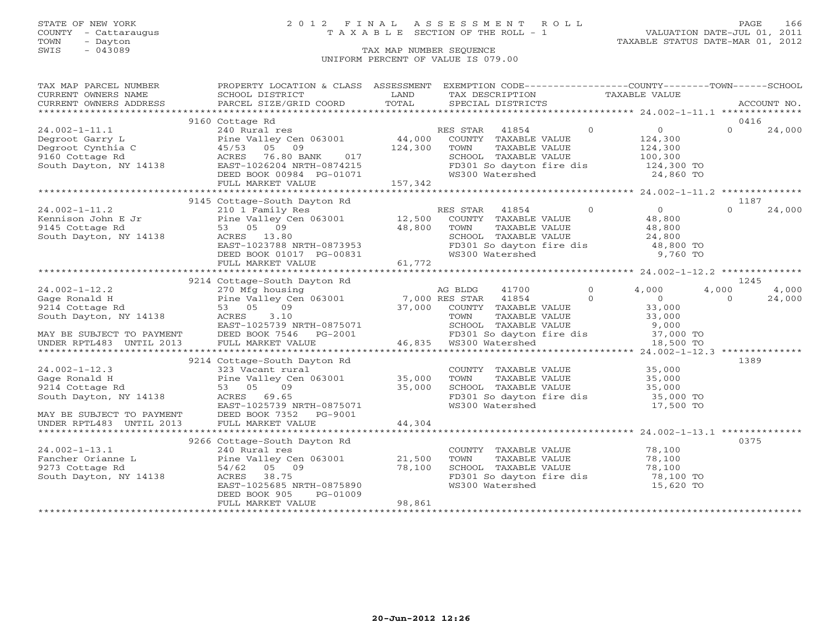TOWN - Dayton - Dayton 1989<br>
TAX MAP NUMBER SEQUENCE - TAXABLE STATUS DATE-MAR 01, 2012<br>
SWIS - 043089 - TAX MAP NUMBER SEQUENCE

### STATE OF NEW YORK 2 0 1 2 F I N A L A S S E S S M E N T R O L L PAGE 166 COUNTY - Cattaraugus T A X A B L E SECTION OF THE ROLL - 1 VALUATION DATE-JUL 01, 2011

### TAX MAP NUMBER SEQUENCE UNIFORM PERCENT OF VALUE IS 079.00

|                                                                                                                                                                                                                                                                                                                                                                                                                         | TAX MAP PARCEL NUMBER THE PROPERTY LOCATION & CLASS ASSESSMENT EXEMPTION CODE--------------COUNTY-------TOWN------SCHOOL |        |                                                                                                                               |           |             |        |
|-------------------------------------------------------------------------------------------------------------------------------------------------------------------------------------------------------------------------------------------------------------------------------------------------------------------------------------------------------------------------------------------------------------------------|--------------------------------------------------------------------------------------------------------------------------|--------|-------------------------------------------------------------------------------------------------------------------------------|-----------|-------------|--------|
|                                                                                                                                                                                                                                                                                                                                                                                                                         |                                                                                                                          |        |                                                                                                                               |           |             |        |
|                                                                                                                                                                                                                                                                                                                                                                                                                         |                                                                                                                          |        |                                                                                                                               |           | ACCOUNT NO. |        |
|                                                                                                                                                                                                                                                                                                                                                                                                                         |                                                                                                                          |        |                                                                                                                               |           |             |        |
|                                                                                                                                                                                                                                                                                                                                                                                                                         |                                                                                                                          |        |                                                                                                                               |           |             |        |
|                                                                                                                                                                                                                                                                                                                                                                                                                         |                                                                                                                          |        |                                                                                                                               |           |             |        |
|                                                                                                                                                                                                                                                                                                                                                                                                                         |                                                                                                                          |        |                                                                                                                               |           |             |        |
|                                                                                                                                                                                                                                                                                                                                                                                                                         |                                                                                                                          |        |                                                                                                                               |           |             |        |
|                                                                                                                                                                                                                                                                                                                                                                                                                         |                                                                                                                          |        |                                                                                                                               |           |             |        |
|                                                                                                                                                                                                                                                                                                                                                                                                                         |                                                                                                                          |        |                                                                                                                               |           |             |        |
|                                                                                                                                                                                                                                                                                                                                                                                                                         |                                                                                                                          |        |                                                                                                                               |           |             |        |
|                                                                                                                                                                                                                                                                                                                                                                                                                         |                                                                                                                          |        |                                                                                                                               |           |             |        |
|                                                                                                                                                                                                                                                                                                                                                                                                                         |                                                                                                                          |        |                                                                                                                               |           |             |        |
|                                                                                                                                                                                                                                                                                                                                                                                                                         | 9145 Cottage-South Dayton Rd                                                                                             |        |                                                                                                                               |           | 1187        |        |
|                                                                                                                                                                                                                                                                                                                                                                                                                         |                                                                                                                          |        |                                                                                                                               |           | $\Omega$    | 24,000 |
|                                                                                                                                                                                                                                                                                                                                                                                                                         |                                                                                                                          |        |                                                                                                                               |           |             |        |
|                                                                                                                                                                                                                                                                                                                                                                                                                         |                                                                                                                          |        |                                                                                                                               |           |             |        |
|                                                                                                                                                                                                                                                                                                                                                                                                                         |                                                                                                                          |        |                                                                                                                               |           |             |        |
| $\begin{tabular}{lllllllllllll} \multicolumn{3}{c}{\begin{tabular}{c} $\times$ 14.9 $\cup$ U.49 $\cup$ U.49 $\cup$ in the M119 Res.}\\ & $214$ & $210$ & Famiion John E Jr &\\ & $210$ & Famiion John E Jr &\\ & $210$ & Fami V Rmily Res &\\ & $120$ & Panily Res &\\ & $120$ & Panily Res &\\ & $120$ & O &\\ & $120$ & O &\\ & $120$ & O &\\ & $120$ & O &\\ & $120$ & O &\\ & $120$ & O &\\ & $120$ & O &\\ & $120$ |                                                                                                                          |        |                                                                                                                               |           |             |        |
|                                                                                                                                                                                                                                                                                                                                                                                                                         |                                                                                                                          |        |                                                                                                                               |           |             |        |
|                                                                                                                                                                                                                                                                                                                                                                                                                         |                                                                                                                          |        |                                                                                                                               |           |             |        |
|                                                                                                                                                                                                                                                                                                                                                                                                                         |                                                                                                                          |        |                                                                                                                               |           |             |        |
|                                                                                                                                                                                                                                                                                                                                                                                                                         | 9214 Cottage-South Dayton Rd                                                                                             |        |                                                                                                                               |           | 1245        |        |
|                                                                                                                                                                                                                                                                                                                                                                                                                         |                                                                                                                          |        |                                                                                                                               |           |             |        |
|                                                                                                                                                                                                                                                                                                                                                                                                                         |                                                                                                                          |        |                                                                                                                               |           |             |        |
|                                                                                                                                                                                                                                                                                                                                                                                                                         |                                                                                                                          |        |                                                                                                                               |           |             |        |
|                                                                                                                                                                                                                                                                                                                                                                                                                         |                                                                                                                          |        |                                                                                                                               |           |             |        |
|                                                                                                                                                                                                                                                                                                                                                                                                                         |                                                                                                                          |        |                                                                                                                               |           |             |        |
|                                                                                                                                                                                                                                                                                                                                                                                                                         |                                                                                                                          |        |                                                                                                                               |           |             |        |
|                                                                                                                                                                                                                                                                                                                                                                                                                         |                                                                                                                          |        |                                                                                                                               |           |             |        |
|                                                                                                                                                                                                                                                                                                                                                                                                                         |                                                                                                                          |        |                                                                                                                               |           |             |        |
|                                                                                                                                                                                                                                                                                                                                                                                                                         | 9214 Cottage-South Dayton Rd                                                                                             |        |                                                                                                                               |           | 1389        |        |
|                                                                                                                                                                                                                                                                                                                                                                                                                         |                                                                                                                          |        |                                                                                                                               |           |             |        |
|                                                                                                                                                                                                                                                                                                                                                                                                                         |                                                                                                                          |        |                                                                                                                               |           |             |        |
|                                                                                                                                                                                                                                                                                                                                                                                                                         |                                                                                                                          |        |                                                                                                                               |           |             |        |
|                                                                                                                                                                                                                                                                                                                                                                                                                         |                                                                                                                          |        |                                                                                                                               |           |             |        |
|                                                                                                                                                                                                                                                                                                                                                                                                                         |                                                                                                                          |        |                                                                                                                               |           |             |        |
|                                                                                                                                                                                                                                                                                                                                                                                                                         |                                                                                                                          |        |                                                                                                                               |           |             |        |
|                                                                                                                                                                                                                                                                                                                                                                                                                         |                                                                                                                          |        |                                                                                                                               |           |             |        |
|                                                                                                                                                                                                                                                                                                                                                                                                                         | 9266 Cottage-South Dayton Rd                                                                                             |        |                                                                                                                               |           | 0375        |        |
|                                                                                                                                                                                                                                                                                                                                                                                                                         |                                                                                                                          |        |                                                                                                                               |           |             |        |
| 24.002-1-13.1<br>Fancher Orianne L<br>9273 Cottage Rd<br>South Dayton, NY 14138<br>Fancher Orianne L<br>9273 Cottage Rd<br>54/62 05 09<br>88.75<br>EAST-1025685 NRTH-0875890<br>PERD ROCK 905<br>PERD ROCK 905<br>PERD ROCK 905<br>PERD ROCK 905<br>PERD                                                                                                                                                                |                                                                                                                          |        | COUNTY TAXABLE VALUE 78,100<br>TOWN TAXABLE VALUE 78,100<br>SCHOOL TAXABLE VALUE 78,100<br>FD301 So dayton fire dis 78,100 TO |           |             |        |
|                                                                                                                                                                                                                                                                                                                                                                                                                         |                                                                                                                          |        |                                                                                                                               |           |             |        |
|                                                                                                                                                                                                                                                                                                                                                                                                                         |                                                                                                                          |        |                                                                                                                               |           |             |        |
|                                                                                                                                                                                                                                                                                                                                                                                                                         |                                                                                                                          |        | WS300 Watershed                                                                                                               | 15,620 TO |             |        |
|                                                                                                                                                                                                                                                                                                                                                                                                                         | PG-01009<br>DEED BOOK 905                                                                                                |        |                                                                                                                               |           |             |        |
|                                                                                                                                                                                                                                                                                                                                                                                                                         | FULL MARKET VALUE                                                                                                        | 98,861 |                                                                                                                               |           |             |        |
|                                                                                                                                                                                                                                                                                                                                                                                                                         |                                                                                                                          |        |                                                                                                                               |           |             |        |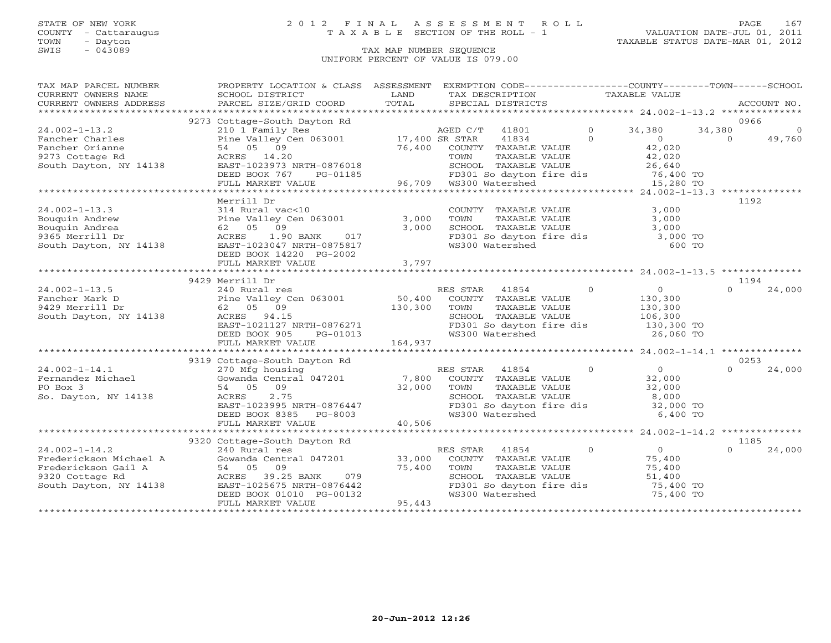### STATE OF NEW YORK 2 0 1 2 F I N A L A S S E S S M E N T R O L L PAGE 167 COUNTY - Cattaraugus T A X A B L E SECTION OF THE ROLL - 1 VALUATION DATE-JUL 01, 2011

| TAX MAP PARCEL NUMBER                         | PROPERTY LOCATION & CLASS ASSESSMENT EXEMPTION CODE---------------COUNTY-------TOWN------SCHOOL |                |                                                     |                |                                                            |          |             |
|-----------------------------------------------|-------------------------------------------------------------------------------------------------|----------------|-----------------------------------------------------|----------------|------------------------------------------------------------|----------|-------------|
| CURRENT OWNERS NAME<br>CURRENT OWNERS ADDRESS | SCHOOL DISTRICT<br>PARCEL SIZE/GRID COORD                                                       | LAND<br>TOTAL  | TAX DESCRIPTION<br>SPECIAL DISTRICTS                |                | TAXABLE VALUE                                              |          | ACCOUNT NO. |
|                                               |                                                                                                 |                |                                                     |                |                                                            |          |             |
|                                               | 9273 Cottage-South Dayton Rd                                                                    |                |                                                     |                |                                                            | 0966     |             |
| $24.002 - 1 - 13.2$                           | 210 1 Family Res                                                                                |                | AGED C/T<br>41801                                   | $\overline{O}$ | 34,380                                                     | 34,380   | $\Omega$    |
| Fancher Charles                               | Pine Valley Cen 063001 17,400 SR STAR                                                           |                | 41834                                               | $\Omega$       | $\overline{0}$                                             | $\Omega$ | 49,760      |
| Fancher Orianne                               | 54 05 09                                                                                        | 76,400         | COUNTY TAXABLE VALUE                                |                | 42,020                                                     |          |             |
| 9273 Cottage Rd                               | ACRES 14.20                                                                                     |                | TOWN<br>TAXABLE VALUE                               |                | 42,020                                                     |          |             |
| South Dayton, NY 14138                        | EAST-1023973 NRTH-0876018                                                                       |                | SCHOOL TAXABLE VALUE                                |                | 26,640                                                     |          |             |
|                                               | DEED BOOK 767<br>PG-01185                                                                       |                | FD301 So dayton fire dis 76,400 TO                  |                |                                                            |          |             |
|                                               | FULL MARKET VALUE                                                                               |                | 96,709 WS300 Watershed                              |                | 15,280 TO                                                  |          |             |
|                                               |                                                                                                 |                |                                                     |                |                                                            |          |             |
|                                               | Merrill Dr                                                                                      |                |                                                     |                |                                                            | 1192     |             |
| $24.002 - 1 - 13.3$                           | 314 Rural vac<10                                                                                |                | COUNTY TAXABLE VALUE                                |                | 3,000                                                      |          |             |
| Bouquin Andrew                                | Pine Valley Cen 063001                                                                          | 3,000          | TOWN<br>TAXABLE VALUE                               |                | 3,000                                                      |          |             |
| Bouquin Andrea                                | 62 05 09                                                                                        | 3,000          | SCHOOL TAXABLE VALUE                                |                | 3,000                                                      |          |             |
| 9365 Merrill Dr                               | ACRES<br>1.90 BANK<br>017                                                                       |                |                                                     |                | 3,000 TO                                                   |          |             |
| South Dayton, NY 14138                        | EAST-1023047 NRTH-0875817                                                                       |                | FD301 So dayton fire dis<br>Wall So dayton fire dis |                | 600 TO                                                     |          |             |
|                                               | DEED BOOK 14220 PG-2002                                                                         |                |                                                     |                |                                                            |          |             |
|                                               | FULL MARKET VALUE                                                                               | 3,797          |                                                     |                |                                                            |          |             |
|                                               | **************************                                                                      | ************** |                                                     |                | **************************** 24.002-1-13.5 *************** |          |             |
|                                               | 9429 Merrill Dr                                                                                 |                |                                                     |                |                                                            | 1194     |             |
| $24.002 - 1 - 13.5$                           | 240 Rural res                                                                                   |                | RES STAR<br>41854                                   | $\Omega$       | $\overline{0}$                                             | $\Omega$ | 24,000      |
| Fancher Mark D                                | Pine Valley Cen 063001                                                                          | 50,400         | COUNTY TAXABLE VALUE                                |                | 130,300                                                    |          |             |
| 9429 Merrill Dr                               | 62 05 09                                                                                        | 130,300        | TOWN<br>TAXABLE VALUE                               |                | 130,300                                                    |          |             |
| South Dayton, NY 14138                        | ACRES 94.15                                                                                     |                | SCHOOL TAXABLE VALUE                                |                | 106,300                                                    |          |             |
|                                               | EAST-1021127 NRTH-0876271                                                                       |                | FD301 So dayton fire dis                            |                | 130,300 TO                                                 |          |             |
|                                               | DEED BOOK 905<br>PG-01013                                                                       |                | WS300 Watershed                                     |                | 26,060 TO                                                  |          |             |
|                                               | FULL MARKET VALUE                                                                               | 164,937        |                                                     |                |                                                            |          |             |
|                                               |                                                                                                 |                |                                                     |                |                                                            |          |             |
|                                               | 9319 Cottage-South Dayton Rd                                                                    |                |                                                     |                |                                                            | 0253     |             |
| $24.002 - 1 - 14.1$                           | 270 Mfg housing                                                                                 |                | RES STAR<br>41854                                   | $\overline{0}$ | 0                                                          |          | 24,000      |
| Fernandez Michael                             | Gowanda Central 047201                                                                          | 7,800          | COUNTY TAXABLE VALUE                                |                | 32,000                                                     |          |             |
| PO Box 3                                      | 54 05 09                                                                                        | 32,000         | TAXABLE VALUE<br>TOWN                               |                | 32,000                                                     |          |             |
| So. Dayton, NY 14138                          | 2.75<br>ACRES                                                                                   |                | SCHOOL TAXABLE VALUE                                |                | 8,000                                                      |          |             |
|                                               | EAST-1023995 NRTH-0876447                                                                       |                | FD301 So dayton fire dis 32,000 TO                  |                |                                                            |          |             |
|                                               | DEED BOOK 8385<br>PG-8003                                                                       |                | WS300 Watershed                                     |                | 6,400 TO                                                   |          |             |
|                                               | FULL MARKET VALUE                                                                               | 40,506         |                                                     |                |                                                            |          |             |
|                                               |                                                                                                 |                |                                                     |                |                                                            |          |             |
|                                               | 9320 Cottage-South Dayton Rd                                                                    |                |                                                     |                |                                                            | 1185     |             |
| $24.002 - 1 - 14.2$                           | 240 Rural res                                                                                   |                | RES STAR<br>41854                                   | $\Omega$       | $\overline{0}$                                             |          | 24,000      |
| Frederickson Michael A                        | Gowanda Central 047201                                                                          | 33,000         | COUNTY TAXABLE VALUE                                |                | 75,400                                                     |          |             |
| Frederickson Gail A                           | 54 05 09                                                                                        | 75,400         | TAXABLE VALUE<br>TOWN                               |                | 75,400                                                     |          |             |
| 9320 Cottage Rd                               | ACRES 39.25 BANK<br>079                                                                         |                | SCHOOL TAXABLE VALUE                                |                | 51,400                                                     |          |             |
| South Dayton, NY 14138                        | EAST-1025675 NRTH-0876442                                                                       |                | FD301 So dayton fire dis                            |                | 75,400 TO                                                  |          |             |
|                                               | DEED BOOK 01010 PG-00132                                                                        |                | WS300 Watershed                                     |                | 75,400 TO                                                  |          |             |
|                                               | FULL MARKET VALUE                                                                               | 95,443         |                                                     |                |                                                            |          |             |
|                                               |                                                                                                 |                |                                                     |                |                                                            |          |             |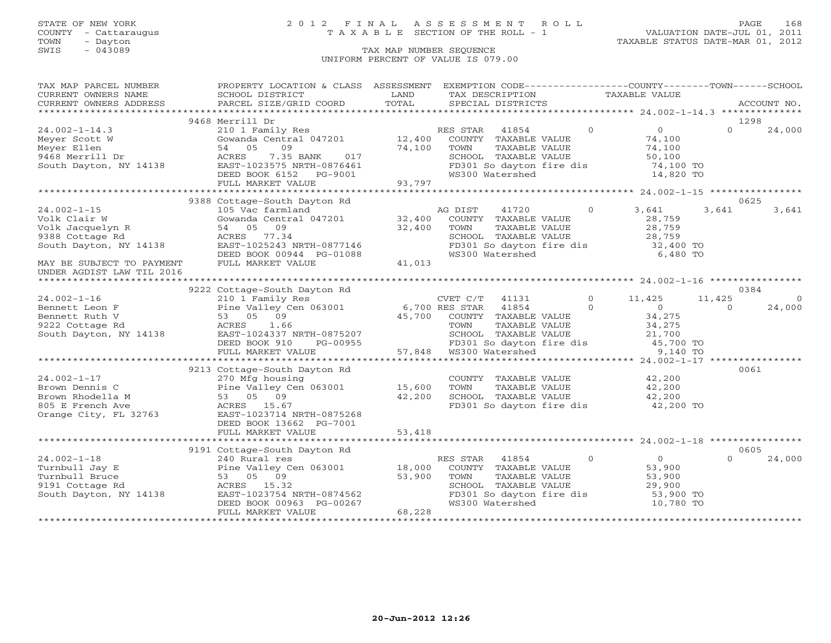### STATE OF NEW YORK 2 0 1 2 F I N A L A S S E S S M E N T R O L L PAGE 168 COUNTY - Cattaraugus T A X A B L E SECTION OF THE ROLL - 1 VALUATION DATE-JUL 01, 2011

TOWN - Dayton TAXABLE STATUS DATE-MAR 01, 2012

| TAX MAP PARCEL NUMBER                                                                                               | PROPERTY LOCATION & CLASS ASSESSMENT                                                                                                                                                                                                                                                                                                                                            |        | EXEMPTION CODE-----------------COUNTY-------TOWN------SCHOOL                                                         |          |                                   |          |             |
|---------------------------------------------------------------------------------------------------------------------|---------------------------------------------------------------------------------------------------------------------------------------------------------------------------------------------------------------------------------------------------------------------------------------------------------------------------------------------------------------------------------|--------|----------------------------------------------------------------------------------------------------------------------|----------|-----------------------------------|----------|-------------|
| CURRENT OWNERS NAME                                                                                                 | SCHOOL DISTRICT                                                                                                                                                                                                                                                                                                                                                                 | LAND   | TAX DESCRIPTION TAXABLE VALUE                                                                                        |          |                                   |          |             |
| CURRENT OWNERS ADDRESS                                                                                              | PARCEL SIZE/GRID COORD                                                                                                                                                                                                                                                                                                                                                          | TOTAL  | SPECIAL DISTRICTS                                                                                                    |          |                                   |          | ACCOUNT NO. |
|                                                                                                                     |                                                                                                                                                                                                                                                                                                                                                                                 |        |                                                                                                                      |          |                                   |          |             |
|                                                                                                                     | 9468 Merrill Dr                                                                                                                                                                                                                                                                                                                                                                 |        |                                                                                                                      |          |                                   |          | 1298        |
| $24.002 - 1 - 14.3$                                                                                                 |                                                                                                                                                                                                                                                                                                                                                                                 |        |                                                                                                                      | $\sim$ 0 | $\overline{0}$                    | $\Omega$ | 24,000      |
|                                                                                                                     |                                                                                                                                                                                                                                                                                                                                                                                 |        |                                                                                                                      |          |                                   |          |             |
|                                                                                                                     |                                                                                                                                                                                                                                                                                                                                                                                 |        |                                                                                                                      |          |                                   |          |             |
|                                                                                                                     |                                                                                                                                                                                                                                                                                                                                                                                 |        |                                                                                                                      |          |                                   |          |             |
|                                                                                                                     |                                                                                                                                                                                                                                                                                                                                                                                 |        |                                                                                                                      |          |                                   |          |             |
|                                                                                                                     |                                                                                                                                                                                                                                                                                                                                                                                 |        |                                                                                                                      |          |                                   |          |             |
|                                                                                                                     |                                                                                                                                                                                                                                                                                                                                                                                 |        |                                                                                                                      |          |                                   |          |             |
|                                                                                                                     |                                                                                                                                                                                                                                                                                                                                                                                 |        |                                                                                                                      |          |                                   |          |             |
|                                                                                                                     | 9388 Cottage-South Dayton Rd                                                                                                                                                                                                                                                                                                                                                    |        |                                                                                                                      |          |                                   |          | 0625        |
| $24.002 - 1 - 15$                                                                                                   | 105 Vac farmland                                                                                                                                                                                                                                                                                                                                                                |        | AG DIST 41720 0 3,641                                                                                                |          |                                   | 3,641    | 3,641       |
| Volk Clair W<br>Volk Jacquelyn R<br>Volk Jacquelyn R<br>9388 Cottage Rd<br>South Dayton, NY 14138<br>EAST-1025243 M | Gowanda Central 047201 32,400                                                                                                                                                                                                                                                                                                                                                   |        | COUNTY TAXABLE VALUE                                                                                                 |          | 28,759                            |          |             |
|                                                                                                                     |                                                                                                                                                                                                                                                                                                                                                                                 |        | TOWN<br>TAXABLE VALUE                                                                                                |          | 28,759                            |          |             |
|                                                                                                                     |                                                                                                                                                                                                                                                                                                                                                                                 | 32,400 | CHOOL TAXABLE VALUE<br>SCHOOL TAXABLE VALUE 28,759<br>FD301 So dayton fire dis 32,400 TO<br>WS300 Watershed 6,480 TO |          |                                   |          |             |
|                                                                                                                     |                                                                                                                                                                                                                                                                                                                                                                                 |        |                                                                                                                      |          |                                   |          |             |
|                                                                                                                     | EAST-1025243 NRTH-0877146                                                                                                                                                                                                                                                                                                                                                       |        |                                                                                                                      |          |                                   |          |             |
|                                                                                                                     | $\begin{array}{lll}\n\texttt{EBD BOK} & 00944 & \texttt{PG}-01088 \\ \texttt{FULL} \texttt{MARKET} \texttt{VALUE} & & & & \\ \end{array} \hspace{.5in} \begin{array}{lll} \texttt{AGR} & \texttt{P1} & \texttt{P2} & \texttt{P1} & \texttt{P2} \\ \texttt{P1} & \texttt{P2} & \texttt{P3} & \texttt{P4} & \texttt{P5} \\ \end{array} \hspace{.5in} \begin{array}{lll} \texttt{$ |        |                                                                                                                      |          |                                   |          |             |
| MAY BE SUBJECT TO PAYMENT                                                                                           |                                                                                                                                                                                                                                                                                                                                                                                 |        |                                                                                                                      |          |                                   |          |             |
| UNDER AGDIST LAW TIL 2016                                                                                           |                                                                                                                                                                                                                                                                                                                                                                                 |        |                                                                                                                      |          |                                   |          |             |
|                                                                                                                     |                                                                                                                                                                                                                                                                                                                                                                                 |        |                                                                                                                      |          |                                   |          |             |
|                                                                                                                     | 9222 Cottage-South Dayton Rd                                                                                                                                                                                                                                                                                                                                                    |        |                                                                                                                      |          |                                   |          | 0384        |
|                                                                                                                     |                                                                                                                                                                                                                                                                                                                                                                                 |        | CVET C/T 41131 0 11,425<br>6.700 RES STAR 41854 0                                                                    |          |                                   | 11,425   | $\Omega$    |
|                                                                                                                     |                                                                                                                                                                                                                                                                                                                                                                                 |        |                                                                                                                      |          |                                   | $\Omega$ | 24,000      |
|                                                                                                                     |                                                                                                                                                                                                                                                                                                                                                                                 |        |                                                                                                                      |          |                                   |          |             |
|                                                                                                                     |                                                                                                                                                                                                                                                                                                                                                                                 |        |                                                                                                                      |          |                                   |          |             |
|                                                                                                                     |                                                                                                                                                                                                                                                                                                                                                                                 |        |                                                                                                                      |          |                                   |          |             |
|                                                                                                                     |                                                                                                                                                                                                                                                                                                                                                                                 |        |                                                                                                                      |          |                                   |          |             |
|                                                                                                                     |                                                                                                                                                                                                                                                                                                                                                                                 |        |                                                                                                                      |          |                                   |          |             |
|                                                                                                                     |                                                                                                                                                                                                                                                                                                                                                                                 |        |                                                                                                                      |          |                                   |          |             |
|                                                                                                                     | 9213 Cottage-South Dayton Rd                                                                                                                                                                                                                                                                                                                                                    |        |                                                                                                                      |          |                                   |          | 0061        |
| $24.002 - 1 - 17$                                                                                                   | 270 Mfg housing                                                                                                                                                                                                                                                                                                                                                                 |        | COUNTY TAXABLE VALUE 42,200                                                                                          |          |                                   |          |             |
|                                                                                                                     |                                                                                                                                                                                                                                                                                                                                                                                 |        | TOWN                                                                                                                 |          |                                   |          |             |
|                                                                                                                     |                                                                                                                                                                                                                                                                                                                                                                                 |        |                                                                                                                      |          |                                   |          |             |
|                                                                                                                     |                                                                                                                                                                                                                                                                                                                                                                                 |        | TOWN TAXABLE VALUE $42,200$<br>SCHOOL TAXABLE VALUE $42,200$<br>FD301 So dayton fire dis $42,200$ TO                 |          |                                   |          |             |
|                                                                                                                     |                                                                                                                                                                                                                                                                                                                                                                                 |        |                                                                                                                      |          |                                   |          |             |
|                                                                                                                     | DEED BOOK 13662 PG-7001                                                                                                                                                                                                                                                                                                                                                         |        |                                                                                                                      |          |                                   |          |             |
|                                                                                                                     |                                                                                                                                                                                                                                                                                                                                                                                 |        |                                                                                                                      |          |                                   |          |             |
|                                                                                                                     |                                                                                                                                                                                                                                                                                                                                                                                 |        |                                                                                                                      |          |                                   |          |             |
|                                                                                                                     |                                                                                                                                                                                                                                                                                                                                                                                 |        |                                                                                                                      |          |                                   |          | 0605        |
|                                                                                                                     |                                                                                                                                                                                                                                                                                                                                                                                 |        |                                                                                                                      |          | $\begin{matrix}0\\52\end{matrix}$ | $\Omega$ |             |
| $24.002 - 1 - 18$                                                                                                   |                                                                                                                                                                                                                                                                                                                                                                                 |        |                                                                                                                      |          |                                   |          | 24,000      |
| Turnbull Jay E                                                                                                      | 240 Rural res<br>Pine Valley Cen 063001 18,000 COUNTY TAXABLE VALUE<br>53 05 09 53,900 TOWN TAXABLE VALUE<br>24138 EACRES 15.32                                                                                                                                                                                                                                                 |        |                                                                                                                      |          |                                   |          |             |
| Turnbull Bruce                                                                                                      |                                                                                                                                                                                                                                                                                                                                                                                 |        |                                                                                                                      |          | 53,900<br>29,900                  |          |             |
|                                                                                                                     |                                                                                                                                                                                                                                                                                                                                                                                 |        |                                                                                                                      |          |                                   |          |             |
|                                                                                                                     |                                                                                                                                                                                                                                                                                                                                                                                 |        | FD301 So dayton fire dis 53,900 TO                                                                                   |          |                                   |          |             |
|                                                                                                                     | South Dayton, NY 14138<br>EAST-1023754 NRTH-0874562<br>DEED BOOK 00963 PG-00267<br>NEED BOOK 00963 PG-00267                                                                                                                                                                                                                                                                     |        | WS300 Watershed                                                                                                      |          | 10,780 TO                         |          |             |
|                                                                                                                     | FULL MARKET VALUE                                                                                                                                                                                                                                                                                                                                                               | 68,228 |                                                                                                                      |          |                                   |          |             |
|                                                                                                                     |                                                                                                                                                                                                                                                                                                                                                                                 |        |                                                                                                                      |          |                                   |          |             |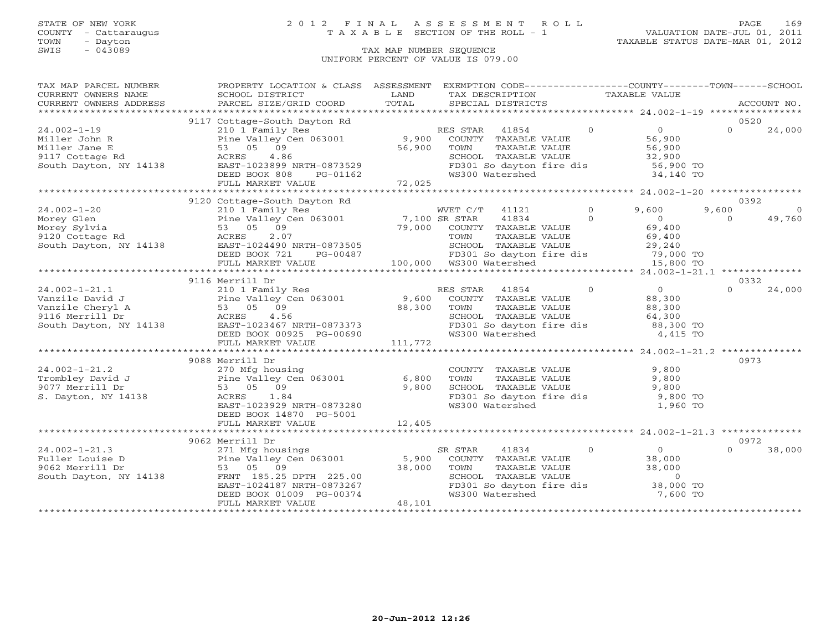### STATE OF NEW YORK 2 0 1 2 F I N A L A S S E S S M E N T R O L L PAGE 169 COUNTY - Cattaraugus T A X A B L E SECTION OF THE ROLL - 1 VALUATION DATE-JUL 01, 2011

| TAX MAP PARCEL NUMBER                                                                           | PROPERTY LOCATION & CLASS ASSESSMENT EXEMPTION CODE----------------COUNTY-------TOWN------SCHOOL                                                                                                                                          |                     |                                                                                                                           |                                     |                                               |          |             |
|-------------------------------------------------------------------------------------------------|-------------------------------------------------------------------------------------------------------------------------------------------------------------------------------------------------------------------------------------------|---------------------|---------------------------------------------------------------------------------------------------------------------------|-------------------------------------|-----------------------------------------------|----------|-------------|
| CURRENT OWNERS NAME                                                                             | SCHOOL DISTRICT                                                                                                                                                                                                                           | LAND                | TAX DESCRIPTION                                                                                                           | TAXABLE VALUE                       |                                               |          |             |
| CURRENT OWNERS ADDRESS                                                                          | PARCEL SIZE/GRID COORD                                                                                                                                                                                                                    | TOTAL               | SPECIAL DISTRICTS                                                                                                         |                                     |                                               |          | ACCOUNT NO. |
|                                                                                                 |                                                                                                                                                                                                                                           |                     |                                                                                                                           |                                     |                                               |          |             |
|                                                                                                 | 9117 Cottage-South Dayton Rd                                                                                                                                                                                                              |                     |                                                                                                                           |                                     |                                               | 0520     |             |
| $24.002 - 1 - 19$                                                                               | 210 1 Family Res                                                                                                                                                                                                                          |                     | RES STAR 41854                                                                                                            | $\Omega$                            | $\overline{0}$                                | $\Omega$ | 24,000      |
|                                                                                                 | Pine Valley Cen 063001 9,900 COUNTY TAXABLE VALUE                                                                                                                                                                                         |                     |                                                                                                                           |                                     |                                               |          |             |
|                                                                                                 |                                                                                                                                                                                                                                           | 56,900              | TAXABLE VALUE<br>TOWN                                                                                                     |                                     | 56,900<br>56,900                              |          |             |
|                                                                                                 |                                                                                                                                                                                                                                           |                     |                                                                                                                           |                                     |                                               |          |             |
|                                                                                                 |                                                                                                                                                                                                                                           |                     | SCHOOL TAXABLE VALUE 32,900<br>FD301 So dayton fire dis 56,900 TO                                                         |                                     |                                               |          |             |
|                                                                                                 | DEED BOOK 808<br>PG-01162                                                                                                                                                                                                                 |                     | WS300 Watershed                                                                                                           |                                     | 34,140 TO                                     |          |             |
|                                                                                                 | FULL MARKET VALUE                                                                                                                                                                                                                         | $01162$<br>$72,025$ |                                                                                                                           |                                     |                                               |          |             |
|                                                                                                 |                                                                                                                                                                                                                                           |                     |                                                                                                                           |                                     |                                               |          |             |
|                                                                                                 | 9120 Cottage-South Dayton Rd<br>210 1 Family Res <sup>2</sup> 1121 6<br>Pine Valley Cen 063001 7,100 SR STAR 41834 6<br>53 05 09 79,000 COUNTY TAXABLE VALUE<br>ACRES 2.07 1100 SR STAR 41834 6<br>TOWN TAXABLE VALUE                     |                     |                                                                                                                           |                                     |                                               | 0392     |             |
| $24.002 - 1 - 20$                                                                               |                                                                                                                                                                                                                                           |                     |                                                                                                                           |                                     | 9,600                                         | 9,600    |             |
|                                                                                                 |                                                                                                                                                                                                                                           |                     |                                                                                                                           |                                     | $\overline{0}$                                | $\Omega$ | 49,760      |
| 24.002-1-20<br>Morey Glen<br>Morey Sylvia<br>9120 Cottage Rd<br>9120 Cottage Rd<br>2.07<br>2.07 |                                                                                                                                                                                                                                           |                     |                                                                                                                           |                                     | 69,400                                        |          |             |
|                                                                                                 |                                                                                                                                                                                                                                           |                     |                                                                                                                           |                                     | 69,400                                        |          |             |
|                                                                                                 | Subsequent Market Monday 2130 MRTH-0873505                                                                                                                                                                                                |                     | TOWN      TAXABLE VALUE<br>SCHOOL   TAXABLE VALUE                                                                         |                                     | 29,240                                        |          |             |
|                                                                                                 | DEED BOOK 721<br>PG-00487                                                                                                                                                                                                                 |                     | Taxable<br>3CHOOL TAXABLE<br>00487 FD301 So dayton<br>100,000 WS300 Watershed                                             |                                     |                                               |          |             |
|                                                                                                 | FULL MARKET VALUE                                                                                                                                                                                                                         |                     | FD301 So dayton fire dis 79,000 TO<br>WS300 Watershed 15,800 TO                                                           |                                     |                                               |          |             |
|                                                                                                 |                                                                                                                                                                                                                                           |                     |                                                                                                                           |                                     |                                               |          |             |
|                                                                                                 | 9116 Merrill Dr                                                                                                                                                                                                                           |                     |                                                                                                                           |                                     |                                               | 0332     |             |
|                                                                                                 |                                                                                                                                                                                                                                           |                     | RES STAR<br>41854                                                                                                         | $\overline{0}$                      | $\begin{array}{c} 0 \\ \text{88} \end{array}$ | $\cap$   | 24,000      |
|                                                                                                 |                                                                                                                                                                                                                                           |                     |                                                                                                                           |                                     |                                               |          |             |
|                                                                                                 |                                                                                                                                                                                                                                           |                     | COUNTY TAXABLE VALUE<br>TOWN     TAXABLE VALUE                                                                            |                                     | 88,300                                        |          |             |
|                                                                                                 |                                                                                                                                                                                                                                           |                     |                                                                                                                           |                                     |                                               |          |             |
|                                                                                                 |                                                                                                                                                                                                                                           |                     | SCHOOL TAXABLE VALUE 64,300<br>FD301 So dayton fire dis 88,300 TO                                                         |                                     |                                               |          |             |
|                                                                                                 | 24.002-1-21.1 210 1 Family Res RE<br>Vanzile David J Pine Valley Cen 063001 9,600<br>Vanzile Cheryl A 53 05 09 88,300<br>9116 Merrill Dr ACRES 4.56<br>South Dayton, NY 14138 BEST-1023467 NRTH-0873373<br>DEED BOOK 00925 PG-00690<br>WA |                     | WS300 Watershed                                                                                                           |                                     | 4,415 TO                                      |          |             |
|                                                                                                 | FULL MARKET VALUE                                                                                                                                                                                                                         | 111,772             |                                                                                                                           |                                     |                                               |          |             |
|                                                                                                 |                                                                                                                                                                                                                                           |                     |                                                                                                                           |                                     |                                               |          |             |
|                                                                                                 | 9088 Merrill Dr                                                                                                                                                                                                                           |                     |                                                                                                                           |                                     |                                               | 0973     |             |
| $24.002 - 1 - 21.2$                                                                             | 270 Mfg housing                                                                                                                                                                                                                           |                     |                                                                                                                           |                                     |                                               |          |             |
| Trombley David J                                                                                |                                                                                                                                                                                                                                           |                     |                                                                                                                           |                                     |                                               |          |             |
| 9077 Merrill Dr                                                                                 |                                                                                                                                                                                                                                           |                     |                                                                                                                           |                                     |                                               |          |             |
| S. Dayton, NY 14138                                                                             | 270 Mfg housing<br>Pine Valley Cen 063001 6,800<br>53 05 09 9,800<br>ACRES 1.84<br>ACRES 1.84                                                                                                                                             |                     | COUNTY TAXABLE VALUE 9,800<br>TOWN TAXABLE VALUE 9,800<br>SCHOOL TAXABLE VALUE 9,800<br>FD301 So dayton fire dis 9,800 TO |                                     |                                               |          |             |
|                                                                                                 | EAST-1023929 NRTH-0873280                                                                                                                                                                                                                 |                     | WS300 Watershed                                                                                                           |                                     | 1,960 TO                                      |          |             |
|                                                                                                 | DEED BOOK 14870 PG-5001                                                                                                                                                                                                                   |                     |                                                                                                                           |                                     |                                               |          |             |
|                                                                                                 | FULL MARKET VALUE                                                                                                                                                                                                                         | 12,405              |                                                                                                                           |                                     |                                               |          |             |
|                                                                                                 |                                                                                                                                                                                                                                           |                     |                                                                                                                           |                                     |                                               |          |             |
|                                                                                                 | 9062 Merrill Dr                                                                                                                                                                                                                           |                     |                                                                                                                           |                                     |                                               | 0972     |             |
|                                                                                                 |                                                                                                                                                                                                                                           |                     | 41834<br>SR STAR                                                                                                          | $\Omega$                            | $\overline{0}$                                | $\Omega$ | 38,000      |
|                                                                                                 |                                                                                                                                                                                                                                           |                     | COUNTY TAXABLE VALUE                                                                                                      |                                     | 38,000                                        |          |             |
|                                                                                                 |                                                                                                                                                                                                                                           |                     | TOWN                                                                                                                      |                                     | 38,000                                        |          |             |
|                                                                                                 |                                                                                                                                                                                                                                           |                     | SCHOOL TAXABLE VALUE                                                                                                      | -<br>TAXABLE VALUE<br>TAXABLE VALUE | $\overline{0}$                                |          |             |
|                                                                                                 |                                                                                                                                                                                                                                           |                     | FD301 So dayton fire dis                                                                                                  |                                     | 38,000 TO                                     |          |             |
|                                                                                                 |                                                                                                                                                                                                                                           |                     | WS300 Watershed                                                                                                           |                                     | 7,600 TO                                      |          |             |
|                                                                                                 | FULL MARKET VALUE                                                                                                                                                                                                                         | 48,101              |                                                                                                                           |                                     |                                               |          |             |
|                                                                                                 |                                                                                                                                                                                                                                           |                     |                                                                                                                           |                                     |                                               |          |             |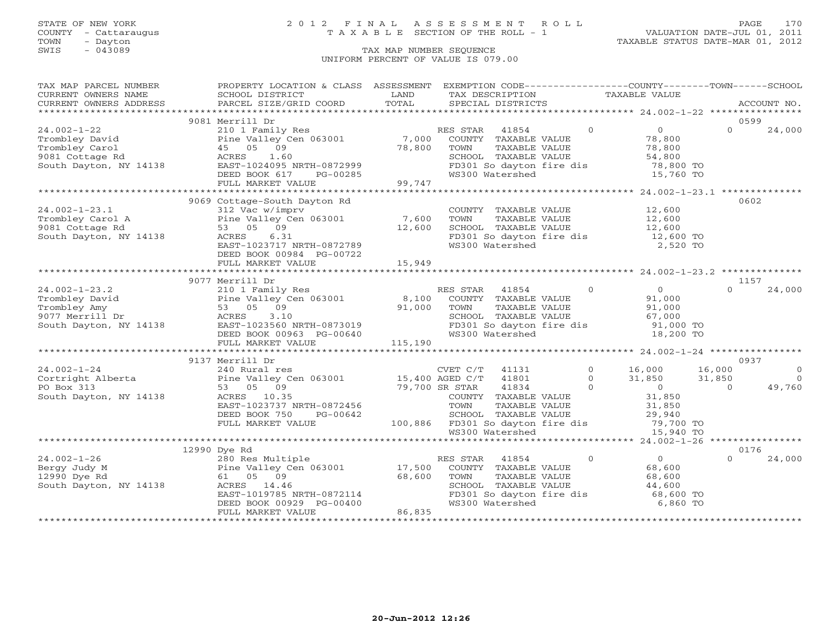### STATE OF NEW YORK 2 0 1 2 F I N A L A S S E S S M E N T R O L L PAGE 170 COUNTY - Cattaraugus T A X A B L E SECTION OF THE ROLL - 1 VALUATION DATE-JUL 01, 2011

| CURRENT OWNERS NAME<br>SCHOOL DISTRICT<br>LAND<br>TAX DESCRIPTION<br><b>TAXABLE VALUE</b><br>TOTAL<br>PARCEL SIZE/GRID COORD<br>SPECIAL DISTRICTS<br>CURRENT OWNERS ADDRESS<br>ACCOUNT NO.<br>9081 Merrill Dr<br>0599<br>$24.002 - 1 - 22$<br>41854<br>$\Omega$<br>$\overline{O}$<br>$\Omega$<br>24,000<br>210 1 Family Res<br>RES STAR<br>Pine Valley Cen 063001 7,000<br>Trombley David<br>COUNTY TAXABLE VALUE<br>78,800<br>Trombley Carol<br>45 05 09<br>78,800<br>TAXABLE VALUE<br>78,800<br>TOWN<br>SCHOOL TAXABLE VALUE<br>9081 Cottage Rd<br>ACRES<br>1.60<br>54,800<br>South Dayton, NY 14138<br>EAST-1024095 NRTH-0872999<br>FD301 So dayton fire dis<br>78,800 TO<br>WS300 Watershed<br>15,760 TO<br>DEED BOOK 617<br>PG-00285<br>99,747<br>FULL MARKET VALUE<br>0602<br>9069 Cottage-South Dayton Rd<br>12,600<br>$24.002 - 1 - 23.1$<br>312 Vac w/imprv<br>COUNTY TAXABLE VALUE<br>TAXABLE VALUE<br>12,600<br>Pine Valley Cen 063001 7,600<br>Trombley Carol A<br>TOWN<br>53 05 09<br>9081 Cottage Rd<br>12,600<br>SCHOOL TAXABLE VALUE<br>12,600<br>FD301 So dayton fire dis 12,600 TO<br>6.31<br>South Dayton, NY 14138<br>ACRES<br>WS300 Watershed<br>2,520 TO<br>EAST-1023717 NRTH-0872789<br>DEED BOOK 00984 PG-00722<br>15,949<br>FULL MARKET VALUE<br>9077 Merrill Dr<br>1157<br>$24.002 - 1 - 23.2$<br>210 1 Family Res<br>$\Omega$<br>$\overline{0}$<br>$\cap$<br>24,000<br>RES STAR<br>41854<br>Pine Valley <sup>(</sup><br>53 05 09<br>8,100<br>91,000<br>Trombley David<br>Pine Valley Cen 063001<br>COUNTY TAXABLE VALUE<br>91,000<br>Trombley Amy<br>91,000<br>TOWN<br>TAXABLE VALUE<br>9077 Merrill Dr<br>South Dayton, NY 14138<br>ACRES<br>3.10<br>SCHOOL TAXABLE VALUE<br>67,000<br>ACRES<br>EAST-1023560 NRTH-0873019<br>DEED BOOK 00963 PG-00640<br>91,000 TO<br>SCHOOL TAAADDD VALLED<br>FD301 So dayton fire dis<br>DEED BOOK 00963 PG-00640<br>18,200 TO<br>115,190<br>FULL MARKET VALUE<br>9137 Merrill Dr<br>0937<br>$24.002 - 1 - 24$<br>$\circ$<br>16,000<br>$\overline{0}$<br>CVET C/T<br>41131<br>16,000<br>240 Rural res<br>41801<br>$\circ$<br>31,850<br>31,850<br>$\overline{0}$<br>LJ, HUU AGED C/T<br>79,700 SR STAR<br>49,760<br>53 05 09<br>$\Omega$<br>$\overline{0}$<br>41834<br>$\Omega$<br>31,850<br>South Dayton, NY 14138<br>ACRES 10.35<br>COUNTY TAXABLE VALUE<br>EAST-1023737 NRTH-0872456<br>TOWN<br>TAXABLE VALUE<br>31,850<br>DEED BOOK 750<br>PG-00642<br>SCHOOL TAXABLE VALUE<br>29,940<br>100,886 FD301 So dayton fire dis 79,700 TO<br>FULL MARKET VALUE<br>WS300 Watershed<br>15,940 TO<br>0176<br>12990 Dye Rd<br>$24.002 - 1 - 26$<br>280 Res Multiple<br>Pine Valley Cen 063001 17,500<br>RES STAR<br>41854<br>$\overline{0}$<br>$\overline{0}$<br>24,000<br>$\Omega$<br>Bergy Judy M<br>COUNTY TAXABLE VALUE<br>68,600<br>68,600<br>12990 Dye Rd<br>61 05 09<br>TOWN<br>TAXABLE VALUE<br>68,600<br>South Dayton, NY 14138<br>ACRES 14.46<br>SCHOOL TAXABLE VALUE<br>44,600<br>$PAST = 1019785$ NRTH-0872114<br>DEED ROOK 00929 PG-00400<br>FD301 So dayton fire dis<br>68,600 TO<br>6,860 TO<br>DEED BOOK 00929 PG-00400<br>WS300 Watershed<br>86,835<br>FULL MARKET VALUE | TAX MAP PARCEL NUMBER | PROPERTY LOCATION & CLASS ASSESSMENT EXEMPTION CODE----------------COUNTY-------TOWN------SCHOOL |  |  |
|--------------------------------------------------------------------------------------------------------------------------------------------------------------------------------------------------------------------------------------------------------------------------------------------------------------------------------------------------------------------------------------------------------------------------------------------------------------------------------------------------------------------------------------------------------------------------------------------------------------------------------------------------------------------------------------------------------------------------------------------------------------------------------------------------------------------------------------------------------------------------------------------------------------------------------------------------------------------------------------------------------------------------------------------------------------------------------------------------------------------------------------------------------------------------------------------------------------------------------------------------------------------------------------------------------------------------------------------------------------------------------------------------------------------------------------------------------------------------------------------------------------------------------------------------------------------------------------------------------------------------------------------------------------------------------------------------------------------------------------------------------------------------------------------------------------------------------------------------------------------------------------------------------------------------------------------------------------------------------------------------------------------------------------------------------------------------------------------------------------------------------------------------------------------------------------------------------------------------------------------------------------------------------------------------------------------------------------------------------------------------------------------------------------------------------------------------------------------------------------------------------------------------------------------------------------------------------------------------------------------------------------------------------------------------------------------------------------------------------------------------------------------------------------------------------------------------------------------------------------------------------------------------------------------------------------------------------------------------------------------------------------------------------------------------------------------------------------------------------------------------------------------------|-----------------------|--------------------------------------------------------------------------------------------------|--|--|
|                                                                                                                                                                                                                                                                                                                                                                                                                                                                                                                                                                                                                                                                                                                                                                                                                                                                                                                                                                                                                                                                                                                                                                                                                                                                                                                                                                                                                                                                                                                                                                                                                                                                                                                                                                                                                                                                                                                                                                                                                                                                                                                                                                                                                                                                                                                                                                                                                                                                                                                                                                                                                                                                                                                                                                                                                                                                                                                                                                                                                                                                                                                                                  |                       |                                                                                                  |  |  |
|                                                                                                                                                                                                                                                                                                                                                                                                                                                                                                                                                                                                                                                                                                                                                                                                                                                                                                                                                                                                                                                                                                                                                                                                                                                                                                                                                                                                                                                                                                                                                                                                                                                                                                                                                                                                                                                                                                                                                                                                                                                                                                                                                                                                                                                                                                                                                                                                                                                                                                                                                                                                                                                                                                                                                                                                                                                                                                                                                                                                                                                                                                                                                  |                       |                                                                                                  |  |  |
|                                                                                                                                                                                                                                                                                                                                                                                                                                                                                                                                                                                                                                                                                                                                                                                                                                                                                                                                                                                                                                                                                                                                                                                                                                                                                                                                                                                                                                                                                                                                                                                                                                                                                                                                                                                                                                                                                                                                                                                                                                                                                                                                                                                                                                                                                                                                                                                                                                                                                                                                                                                                                                                                                                                                                                                                                                                                                                                                                                                                                                                                                                                                                  |                       |                                                                                                  |  |  |
|                                                                                                                                                                                                                                                                                                                                                                                                                                                                                                                                                                                                                                                                                                                                                                                                                                                                                                                                                                                                                                                                                                                                                                                                                                                                                                                                                                                                                                                                                                                                                                                                                                                                                                                                                                                                                                                                                                                                                                                                                                                                                                                                                                                                                                                                                                                                                                                                                                                                                                                                                                                                                                                                                                                                                                                                                                                                                                                                                                                                                                                                                                                                                  |                       |                                                                                                  |  |  |
|                                                                                                                                                                                                                                                                                                                                                                                                                                                                                                                                                                                                                                                                                                                                                                                                                                                                                                                                                                                                                                                                                                                                                                                                                                                                                                                                                                                                                                                                                                                                                                                                                                                                                                                                                                                                                                                                                                                                                                                                                                                                                                                                                                                                                                                                                                                                                                                                                                                                                                                                                                                                                                                                                                                                                                                                                                                                                                                                                                                                                                                                                                                                                  |                       |                                                                                                  |  |  |
|                                                                                                                                                                                                                                                                                                                                                                                                                                                                                                                                                                                                                                                                                                                                                                                                                                                                                                                                                                                                                                                                                                                                                                                                                                                                                                                                                                                                                                                                                                                                                                                                                                                                                                                                                                                                                                                                                                                                                                                                                                                                                                                                                                                                                                                                                                                                                                                                                                                                                                                                                                                                                                                                                                                                                                                                                                                                                                                                                                                                                                                                                                                                                  |                       |                                                                                                  |  |  |
|                                                                                                                                                                                                                                                                                                                                                                                                                                                                                                                                                                                                                                                                                                                                                                                                                                                                                                                                                                                                                                                                                                                                                                                                                                                                                                                                                                                                                                                                                                                                                                                                                                                                                                                                                                                                                                                                                                                                                                                                                                                                                                                                                                                                                                                                                                                                                                                                                                                                                                                                                                                                                                                                                                                                                                                                                                                                                                                                                                                                                                                                                                                                                  |                       |                                                                                                  |  |  |
|                                                                                                                                                                                                                                                                                                                                                                                                                                                                                                                                                                                                                                                                                                                                                                                                                                                                                                                                                                                                                                                                                                                                                                                                                                                                                                                                                                                                                                                                                                                                                                                                                                                                                                                                                                                                                                                                                                                                                                                                                                                                                                                                                                                                                                                                                                                                                                                                                                                                                                                                                                                                                                                                                                                                                                                                                                                                                                                                                                                                                                                                                                                                                  |                       |                                                                                                  |  |  |
|                                                                                                                                                                                                                                                                                                                                                                                                                                                                                                                                                                                                                                                                                                                                                                                                                                                                                                                                                                                                                                                                                                                                                                                                                                                                                                                                                                                                                                                                                                                                                                                                                                                                                                                                                                                                                                                                                                                                                                                                                                                                                                                                                                                                                                                                                                                                                                                                                                                                                                                                                                                                                                                                                                                                                                                                                                                                                                                                                                                                                                                                                                                                                  |                       |                                                                                                  |  |  |
|                                                                                                                                                                                                                                                                                                                                                                                                                                                                                                                                                                                                                                                                                                                                                                                                                                                                                                                                                                                                                                                                                                                                                                                                                                                                                                                                                                                                                                                                                                                                                                                                                                                                                                                                                                                                                                                                                                                                                                                                                                                                                                                                                                                                                                                                                                                                                                                                                                                                                                                                                                                                                                                                                                                                                                                                                                                                                                                                                                                                                                                                                                                                                  |                       |                                                                                                  |  |  |
|                                                                                                                                                                                                                                                                                                                                                                                                                                                                                                                                                                                                                                                                                                                                                                                                                                                                                                                                                                                                                                                                                                                                                                                                                                                                                                                                                                                                                                                                                                                                                                                                                                                                                                                                                                                                                                                                                                                                                                                                                                                                                                                                                                                                                                                                                                                                                                                                                                                                                                                                                                                                                                                                                                                                                                                                                                                                                                                                                                                                                                                                                                                                                  |                       |                                                                                                  |  |  |
|                                                                                                                                                                                                                                                                                                                                                                                                                                                                                                                                                                                                                                                                                                                                                                                                                                                                                                                                                                                                                                                                                                                                                                                                                                                                                                                                                                                                                                                                                                                                                                                                                                                                                                                                                                                                                                                                                                                                                                                                                                                                                                                                                                                                                                                                                                                                                                                                                                                                                                                                                                                                                                                                                                                                                                                                                                                                                                                                                                                                                                                                                                                                                  |                       |                                                                                                  |  |  |
|                                                                                                                                                                                                                                                                                                                                                                                                                                                                                                                                                                                                                                                                                                                                                                                                                                                                                                                                                                                                                                                                                                                                                                                                                                                                                                                                                                                                                                                                                                                                                                                                                                                                                                                                                                                                                                                                                                                                                                                                                                                                                                                                                                                                                                                                                                                                                                                                                                                                                                                                                                                                                                                                                                                                                                                                                                                                                                                                                                                                                                                                                                                                                  |                       |                                                                                                  |  |  |
|                                                                                                                                                                                                                                                                                                                                                                                                                                                                                                                                                                                                                                                                                                                                                                                                                                                                                                                                                                                                                                                                                                                                                                                                                                                                                                                                                                                                                                                                                                                                                                                                                                                                                                                                                                                                                                                                                                                                                                                                                                                                                                                                                                                                                                                                                                                                                                                                                                                                                                                                                                                                                                                                                                                                                                                                                                                                                                                                                                                                                                                                                                                                                  |                       |                                                                                                  |  |  |
|                                                                                                                                                                                                                                                                                                                                                                                                                                                                                                                                                                                                                                                                                                                                                                                                                                                                                                                                                                                                                                                                                                                                                                                                                                                                                                                                                                                                                                                                                                                                                                                                                                                                                                                                                                                                                                                                                                                                                                                                                                                                                                                                                                                                                                                                                                                                                                                                                                                                                                                                                                                                                                                                                                                                                                                                                                                                                                                                                                                                                                                                                                                                                  |                       |                                                                                                  |  |  |
|                                                                                                                                                                                                                                                                                                                                                                                                                                                                                                                                                                                                                                                                                                                                                                                                                                                                                                                                                                                                                                                                                                                                                                                                                                                                                                                                                                                                                                                                                                                                                                                                                                                                                                                                                                                                                                                                                                                                                                                                                                                                                                                                                                                                                                                                                                                                                                                                                                                                                                                                                                                                                                                                                                                                                                                                                                                                                                                                                                                                                                                                                                                                                  |                       |                                                                                                  |  |  |
|                                                                                                                                                                                                                                                                                                                                                                                                                                                                                                                                                                                                                                                                                                                                                                                                                                                                                                                                                                                                                                                                                                                                                                                                                                                                                                                                                                                                                                                                                                                                                                                                                                                                                                                                                                                                                                                                                                                                                                                                                                                                                                                                                                                                                                                                                                                                                                                                                                                                                                                                                                                                                                                                                                                                                                                                                                                                                                                                                                                                                                                                                                                                                  |                       |                                                                                                  |  |  |
|                                                                                                                                                                                                                                                                                                                                                                                                                                                                                                                                                                                                                                                                                                                                                                                                                                                                                                                                                                                                                                                                                                                                                                                                                                                                                                                                                                                                                                                                                                                                                                                                                                                                                                                                                                                                                                                                                                                                                                                                                                                                                                                                                                                                                                                                                                                                                                                                                                                                                                                                                                                                                                                                                                                                                                                                                                                                                                                                                                                                                                                                                                                                                  |                       |                                                                                                  |  |  |
|                                                                                                                                                                                                                                                                                                                                                                                                                                                                                                                                                                                                                                                                                                                                                                                                                                                                                                                                                                                                                                                                                                                                                                                                                                                                                                                                                                                                                                                                                                                                                                                                                                                                                                                                                                                                                                                                                                                                                                                                                                                                                                                                                                                                                                                                                                                                                                                                                                                                                                                                                                                                                                                                                                                                                                                                                                                                                                                                                                                                                                                                                                                                                  |                       |                                                                                                  |  |  |
|                                                                                                                                                                                                                                                                                                                                                                                                                                                                                                                                                                                                                                                                                                                                                                                                                                                                                                                                                                                                                                                                                                                                                                                                                                                                                                                                                                                                                                                                                                                                                                                                                                                                                                                                                                                                                                                                                                                                                                                                                                                                                                                                                                                                                                                                                                                                                                                                                                                                                                                                                                                                                                                                                                                                                                                                                                                                                                                                                                                                                                                                                                                                                  |                       |                                                                                                  |  |  |
|                                                                                                                                                                                                                                                                                                                                                                                                                                                                                                                                                                                                                                                                                                                                                                                                                                                                                                                                                                                                                                                                                                                                                                                                                                                                                                                                                                                                                                                                                                                                                                                                                                                                                                                                                                                                                                                                                                                                                                                                                                                                                                                                                                                                                                                                                                                                                                                                                                                                                                                                                                                                                                                                                                                                                                                                                                                                                                                                                                                                                                                                                                                                                  |                       |                                                                                                  |  |  |
|                                                                                                                                                                                                                                                                                                                                                                                                                                                                                                                                                                                                                                                                                                                                                                                                                                                                                                                                                                                                                                                                                                                                                                                                                                                                                                                                                                                                                                                                                                                                                                                                                                                                                                                                                                                                                                                                                                                                                                                                                                                                                                                                                                                                                                                                                                                                                                                                                                                                                                                                                                                                                                                                                                                                                                                                                                                                                                                                                                                                                                                                                                                                                  |                       |                                                                                                  |  |  |
|                                                                                                                                                                                                                                                                                                                                                                                                                                                                                                                                                                                                                                                                                                                                                                                                                                                                                                                                                                                                                                                                                                                                                                                                                                                                                                                                                                                                                                                                                                                                                                                                                                                                                                                                                                                                                                                                                                                                                                                                                                                                                                                                                                                                                                                                                                                                                                                                                                                                                                                                                                                                                                                                                                                                                                                                                                                                                                                                                                                                                                                                                                                                                  |                       |                                                                                                  |  |  |
|                                                                                                                                                                                                                                                                                                                                                                                                                                                                                                                                                                                                                                                                                                                                                                                                                                                                                                                                                                                                                                                                                                                                                                                                                                                                                                                                                                                                                                                                                                                                                                                                                                                                                                                                                                                                                                                                                                                                                                                                                                                                                                                                                                                                                                                                                                                                                                                                                                                                                                                                                                                                                                                                                                                                                                                                                                                                                                                                                                                                                                                                                                                                                  |                       |                                                                                                  |  |  |
|                                                                                                                                                                                                                                                                                                                                                                                                                                                                                                                                                                                                                                                                                                                                                                                                                                                                                                                                                                                                                                                                                                                                                                                                                                                                                                                                                                                                                                                                                                                                                                                                                                                                                                                                                                                                                                                                                                                                                                                                                                                                                                                                                                                                                                                                                                                                                                                                                                                                                                                                                                                                                                                                                                                                                                                                                                                                                                                                                                                                                                                                                                                                                  |                       |                                                                                                  |  |  |
|                                                                                                                                                                                                                                                                                                                                                                                                                                                                                                                                                                                                                                                                                                                                                                                                                                                                                                                                                                                                                                                                                                                                                                                                                                                                                                                                                                                                                                                                                                                                                                                                                                                                                                                                                                                                                                                                                                                                                                                                                                                                                                                                                                                                                                                                                                                                                                                                                                                                                                                                                                                                                                                                                                                                                                                                                                                                                                                                                                                                                                                                                                                                                  |                       |                                                                                                  |  |  |
|                                                                                                                                                                                                                                                                                                                                                                                                                                                                                                                                                                                                                                                                                                                                                                                                                                                                                                                                                                                                                                                                                                                                                                                                                                                                                                                                                                                                                                                                                                                                                                                                                                                                                                                                                                                                                                                                                                                                                                                                                                                                                                                                                                                                                                                                                                                                                                                                                                                                                                                                                                                                                                                                                                                                                                                                                                                                                                                                                                                                                                                                                                                                                  |                       |                                                                                                  |  |  |
|                                                                                                                                                                                                                                                                                                                                                                                                                                                                                                                                                                                                                                                                                                                                                                                                                                                                                                                                                                                                                                                                                                                                                                                                                                                                                                                                                                                                                                                                                                                                                                                                                                                                                                                                                                                                                                                                                                                                                                                                                                                                                                                                                                                                                                                                                                                                                                                                                                                                                                                                                                                                                                                                                                                                                                                                                                                                                                                                                                                                                                                                                                                                                  |                       |                                                                                                  |  |  |
|                                                                                                                                                                                                                                                                                                                                                                                                                                                                                                                                                                                                                                                                                                                                                                                                                                                                                                                                                                                                                                                                                                                                                                                                                                                                                                                                                                                                                                                                                                                                                                                                                                                                                                                                                                                                                                                                                                                                                                                                                                                                                                                                                                                                                                                                                                                                                                                                                                                                                                                                                                                                                                                                                                                                                                                                                                                                                                                                                                                                                                                                                                                                                  |                       |                                                                                                  |  |  |
|                                                                                                                                                                                                                                                                                                                                                                                                                                                                                                                                                                                                                                                                                                                                                                                                                                                                                                                                                                                                                                                                                                                                                                                                                                                                                                                                                                                                                                                                                                                                                                                                                                                                                                                                                                                                                                                                                                                                                                                                                                                                                                                                                                                                                                                                                                                                                                                                                                                                                                                                                                                                                                                                                                                                                                                                                                                                                                                                                                                                                                                                                                                                                  |                       |                                                                                                  |  |  |
|                                                                                                                                                                                                                                                                                                                                                                                                                                                                                                                                                                                                                                                                                                                                                                                                                                                                                                                                                                                                                                                                                                                                                                                                                                                                                                                                                                                                                                                                                                                                                                                                                                                                                                                                                                                                                                                                                                                                                                                                                                                                                                                                                                                                                                                                                                                                                                                                                                                                                                                                                                                                                                                                                                                                                                                                                                                                                                                                                                                                                                                                                                                                                  |                       |                                                                                                  |  |  |
|                                                                                                                                                                                                                                                                                                                                                                                                                                                                                                                                                                                                                                                                                                                                                                                                                                                                                                                                                                                                                                                                                                                                                                                                                                                                                                                                                                                                                                                                                                                                                                                                                                                                                                                                                                                                                                                                                                                                                                                                                                                                                                                                                                                                                                                                                                                                                                                                                                                                                                                                                                                                                                                                                                                                                                                                                                                                                                                                                                                                                                                                                                                                                  |                       |                                                                                                  |  |  |
|                                                                                                                                                                                                                                                                                                                                                                                                                                                                                                                                                                                                                                                                                                                                                                                                                                                                                                                                                                                                                                                                                                                                                                                                                                                                                                                                                                                                                                                                                                                                                                                                                                                                                                                                                                                                                                                                                                                                                                                                                                                                                                                                                                                                                                                                                                                                                                                                                                                                                                                                                                                                                                                                                                                                                                                                                                                                                                                                                                                                                                                                                                                                                  |                       |                                                                                                  |  |  |
|                                                                                                                                                                                                                                                                                                                                                                                                                                                                                                                                                                                                                                                                                                                                                                                                                                                                                                                                                                                                                                                                                                                                                                                                                                                                                                                                                                                                                                                                                                                                                                                                                                                                                                                                                                                                                                                                                                                                                                                                                                                                                                                                                                                                                                                                                                                                                                                                                                                                                                                                                                                                                                                                                                                                                                                                                                                                                                                                                                                                                                                                                                                                                  |                       |                                                                                                  |  |  |
|                                                                                                                                                                                                                                                                                                                                                                                                                                                                                                                                                                                                                                                                                                                                                                                                                                                                                                                                                                                                                                                                                                                                                                                                                                                                                                                                                                                                                                                                                                                                                                                                                                                                                                                                                                                                                                                                                                                                                                                                                                                                                                                                                                                                                                                                                                                                                                                                                                                                                                                                                                                                                                                                                                                                                                                                                                                                                                                                                                                                                                                                                                                                                  |                       |                                                                                                  |  |  |
|                                                                                                                                                                                                                                                                                                                                                                                                                                                                                                                                                                                                                                                                                                                                                                                                                                                                                                                                                                                                                                                                                                                                                                                                                                                                                                                                                                                                                                                                                                                                                                                                                                                                                                                                                                                                                                                                                                                                                                                                                                                                                                                                                                                                                                                                                                                                                                                                                                                                                                                                                                                                                                                                                                                                                                                                                                                                                                                                                                                                                                                                                                                                                  |                       |                                                                                                  |  |  |
|                                                                                                                                                                                                                                                                                                                                                                                                                                                                                                                                                                                                                                                                                                                                                                                                                                                                                                                                                                                                                                                                                                                                                                                                                                                                                                                                                                                                                                                                                                                                                                                                                                                                                                                                                                                                                                                                                                                                                                                                                                                                                                                                                                                                                                                                                                                                                                                                                                                                                                                                                                                                                                                                                                                                                                                                                                                                                                                                                                                                                                                                                                                                                  |                       |                                                                                                  |  |  |
|                                                                                                                                                                                                                                                                                                                                                                                                                                                                                                                                                                                                                                                                                                                                                                                                                                                                                                                                                                                                                                                                                                                                                                                                                                                                                                                                                                                                                                                                                                                                                                                                                                                                                                                                                                                                                                                                                                                                                                                                                                                                                                                                                                                                                                                                                                                                                                                                                                                                                                                                                                                                                                                                                                                                                                                                                                                                                                                                                                                                                                                                                                                                                  |                       |                                                                                                  |  |  |
|                                                                                                                                                                                                                                                                                                                                                                                                                                                                                                                                                                                                                                                                                                                                                                                                                                                                                                                                                                                                                                                                                                                                                                                                                                                                                                                                                                                                                                                                                                                                                                                                                                                                                                                                                                                                                                                                                                                                                                                                                                                                                                                                                                                                                                                                                                                                                                                                                                                                                                                                                                                                                                                                                                                                                                                                                                                                                                                                                                                                                                                                                                                                                  |                       |                                                                                                  |  |  |
|                                                                                                                                                                                                                                                                                                                                                                                                                                                                                                                                                                                                                                                                                                                                                                                                                                                                                                                                                                                                                                                                                                                                                                                                                                                                                                                                                                                                                                                                                                                                                                                                                                                                                                                                                                                                                                                                                                                                                                                                                                                                                                                                                                                                                                                                                                                                                                                                                                                                                                                                                                                                                                                                                                                                                                                                                                                                                                                                                                                                                                                                                                                                                  |                       |                                                                                                  |  |  |
|                                                                                                                                                                                                                                                                                                                                                                                                                                                                                                                                                                                                                                                                                                                                                                                                                                                                                                                                                                                                                                                                                                                                                                                                                                                                                                                                                                                                                                                                                                                                                                                                                                                                                                                                                                                                                                                                                                                                                                                                                                                                                                                                                                                                                                                                                                                                                                                                                                                                                                                                                                                                                                                                                                                                                                                                                                                                                                                                                                                                                                                                                                                                                  |                       |                                                                                                  |  |  |
|                                                                                                                                                                                                                                                                                                                                                                                                                                                                                                                                                                                                                                                                                                                                                                                                                                                                                                                                                                                                                                                                                                                                                                                                                                                                                                                                                                                                                                                                                                                                                                                                                                                                                                                                                                                                                                                                                                                                                                                                                                                                                                                                                                                                                                                                                                                                                                                                                                                                                                                                                                                                                                                                                                                                                                                                                                                                                                                                                                                                                                                                                                                                                  |                       |                                                                                                  |  |  |
|                                                                                                                                                                                                                                                                                                                                                                                                                                                                                                                                                                                                                                                                                                                                                                                                                                                                                                                                                                                                                                                                                                                                                                                                                                                                                                                                                                                                                                                                                                                                                                                                                                                                                                                                                                                                                                                                                                                                                                                                                                                                                                                                                                                                                                                                                                                                                                                                                                                                                                                                                                                                                                                                                                                                                                                                                                                                                                                                                                                                                                                                                                                                                  |                       |                                                                                                  |  |  |
|                                                                                                                                                                                                                                                                                                                                                                                                                                                                                                                                                                                                                                                                                                                                                                                                                                                                                                                                                                                                                                                                                                                                                                                                                                                                                                                                                                                                                                                                                                                                                                                                                                                                                                                                                                                                                                                                                                                                                                                                                                                                                                                                                                                                                                                                                                                                                                                                                                                                                                                                                                                                                                                                                                                                                                                                                                                                                                                                                                                                                                                                                                                                                  |                       |                                                                                                  |  |  |
|                                                                                                                                                                                                                                                                                                                                                                                                                                                                                                                                                                                                                                                                                                                                                                                                                                                                                                                                                                                                                                                                                                                                                                                                                                                                                                                                                                                                                                                                                                                                                                                                                                                                                                                                                                                                                                                                                                                                                                                                                                                                                                                                                                                                                                                                                                                                                                                                                                                                                                                                                                                                                                                                                                                                                                                                                                                                                                                                                                                                                                                                                                                                                  |                       |                                                                                                  |  |  |
|                                                                                                                                                                                                                                                                                                                                                                                                                                                                                                                                                                                                                                                                                                                                                                                                                                                                                                                                                                                                                                                                                                                                                                                                                                                                                                                                                                                                                                                                                                                                                                                                                                                                                                                                                                                                                                                                                                                                                                                                                                                                                                                                                                                                                                                                                                                                                                                                                                                                                                                                                                                                                                                                                                                                                                                                                                                                                                                                                                                                                                                                                                                                                  |                       |                                                                                                  |  |  |
|                                                                                                                                                                                                                                                                                                                                                                                                                                                                                                                                                                                                                                                                                                                                                                                                                                                                                                                                                                                                                                                                                                                                                                                                                                                                                                                                                                                                                                                                                                                                                                                                                                                                                                                                                                                                                                                                                                                                                                                                                                                                                                                                                                                                                                                                                                                                                                                                                                                                                                                                                                                                                                                                                                                                                                                                                                                                                                                                                                                                                                                                                                                                                  |                       |                                                                                                  |  |  |
|                                                                                                                                                                                                                                                                                                                                                                                                                                                                                                                                                                                                                                                                                                                                                                                                                                                                                                                                                                                                                                                                                                                                                                                                                                                                                                                                                                                                                                                                                                                                                                                                                                                                                                                                                                                                                                                                                                                                                                                                                                                                                                                                                                                                                                                                                                                                                                                                                                                                                                                                                                                                                                                                                                                                                                                                                                                                                                                                                                                                                                                                                                                                                  |                       |                                                                                                  |  |  |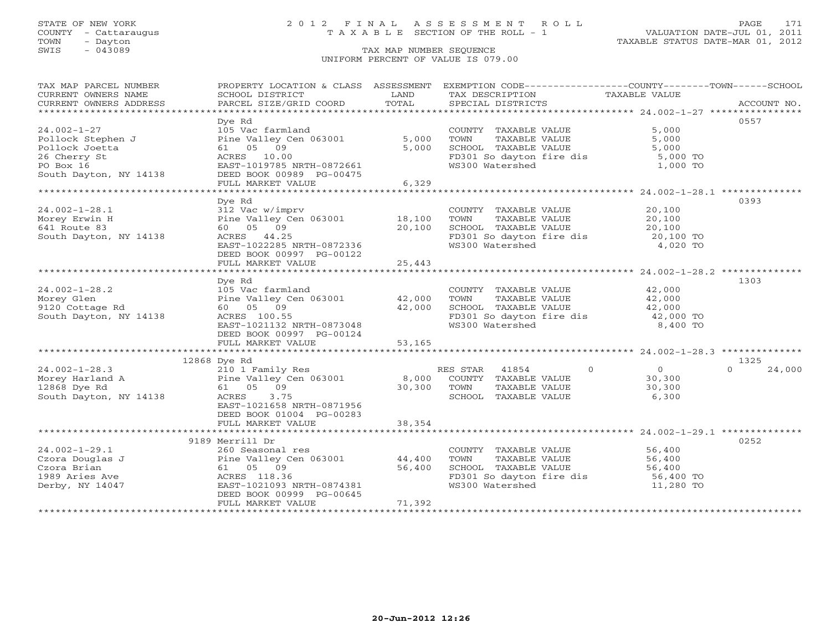## STATE OF NEW YORK 2 0 1 2 F I N A L A S S E S S M E N T R O L L PAGE 171 COUNTY - Cattaraugus T A X A B L E SECTION OF THE ROLL - 1 VALUATION DATE-JUL 01, 2011

| TAX MAP PARCEL NUMBER                                                                                                                                                                                                                                                                                                                                                                                                                                                                                                  |                                                                               |        | PROPERTY LOCATION & CLASS ASSESSMENT EXEMPTION CODE----------------COUNTY-------TOWN------SCHOOL |                            |                  |
|------------------------------------------------------------------------------------------------------------------------------------------------------------------------------------------------------------------------------------------------------------------------------------------------------------------------------------------------------------------------------------------------------------------------------------------------------------------------------------------------------------------------|-------------------------------------------------------------------------------|--------|--------------------------------------------------------------------------------------------------|----------------------------|------------------|
| CURRENT OWNERS NAME                                                                                                                                                                                                                                                                                                                                                                                                                                                                                                    | SCHOOL DISTRICT                                                               | LAND   | TAX DESCRIPTION                                                                                  | TAXABLE VALUE              |                  |
| $\begin{minipage}{.45\textwidth} \begin{minipage}{.45\textwidth} \begin{minipage}{.45\textwidth} \begin{minipage}{.45\textwidth} \begin{minipage}{.45\textwidth} \begin{minipage}{.45\textwidth} \begin{minipage}{.45\textwidth} \begin{minipage}{.45\textwidth} \begin{minipage}{.45\textwidth} \begin{minipage}{.45\textwidth} \begin{minipage}{.45\textwidth} \begin{minipage}{.45\textwidth} \begin{minipage}{.45\textwidth} \begin{minipage}{.45\textwidth} \begin{minipage}{.45\textwidth} \begin{minipage}{.45$ |                                                                               |        |                                                                                                  |                            |                  |
|                                                                                                                                                                                                                                                                                                                                                                                                                                                                                                                        | Dye Rd                                                                        |        |                                                                                                  |                            | 0557             |
| $24.002 - 1 - 27$                                                                                                                                                                                                                                                                                                                                                                                                                                                                                                      | 105 Vac farmland                                                              |        | COUNTY TAXABLE VALUE                                                                             | 5,000                      |                  |
|                                                                                                                                                                                                                                                                                                                                                                                                                                                                                                                        | Pine Valley Cen 063001                                                        | 5,000  |                                                                                                  | 5,000                      |                  |
| Pollock Stephen J<br>Pollock Joetta                                                                                                                                                                                                                                                                                                                                                                                                                                                                                    | 61 05 09                                                                      | 5,000  | TOWN        TAXABLE  VALUE<br>SCHOOL    TAXABLE  VALUE                                           | 5,000                      |                  |
| 26 Cherry St                                                                                                                                                                                                                                                                                                                                                                                                                                                                                                           | ACRES 10.00                                                                   |        |                                                                                                  |                            |                  |
| PO Box 16                                                                                                                                                                                                                                                                                                                                                                                                                                                                                                              | EAST-1019785 NRTH-0872661                                                     |        | FD301 So dayton fire dis 5,000 TO<br>WS300 Watershed 1,000 TO                                    |                            |                  |
| South Dayton, NY 14138                                                                                                                                                                                                                                                                                                                                                                                                                                                                                                 | DEED BOOK 00989 PG-00475                                                      |        |                                                                                                  |                            |                  |
|                                                                                                                                                                                                                                                                                                                                                                                                                                                                                                                        | FULL MARKET VALUE                                                             | 6,329  |                                                                                                  |                            |                  |
|                                                                                                                                                                                                                                                                                                                                                                                                                                                                                                                        |                                                                               |        |                                                                                                  |                            |                  |
|                                                                                                                                                                                                                                                                                                                                                                                                                                                                                                                        | Dye Rd                                                                        |        |                                                                                                  |                            | 0393             |
| $24.002 - 1 - 28.1$                                                                                                                                                                                                                                                                                                                                                                                                                                                                                                    | 312 Vac w/imprv                                                               |        | COUNTY TAXABLE VALUE 20,100                                                                      |                            |                  |
| Morey Erwin H                                                                                                                                                                                                                                                                                                                                                                                                                                                                                                          | Pine Valley Cen 063001 18,100                                                 |        | TOWN<br>TAXABLE VALUE                                                                            | 20,100<br>20,100           |                  |
| 641 Route 83                                                                                                                                                                                                                                                                                                                                                                                                                                                                                                           | 60 05 09                                                                      | 20,100 | SCHOOL TAXABLE VALUE                                                                             |                            |                  |
| South Dayton, NY 14138                                                                                                                                                                                                                                                                                                                                                                                                                                                                                                 | ACRES 44.25                                                                   |        | FD301 So dayton fire dis 20,100 TO<br>WS300 Watershed 4,020 TO                                   |                            |                  |
|                                                                                                                                                                                                                                                                                                                                                                                                                                                                                                                        | EAST-1022285 NRTH-0872336                                                     |        |                                                                                                  |                            |                  |
|                                                                                                                                                                                                                                                                                                                                                                                                                                                                                                                        | DEED BOOK 00997 PG-00122                                                      |        |                                                                                                  |                            |                  |
|                                                                                                                                                                                                                                                                                                                                                                                                                                                                                                                        | FULL MARKET VALUE                                                             | 25,443 |                                                                                                  |                            |                  |
|                                                                                                                                                                                                                                                                                                                                                                                                                                                                                                                        | Dye Rd                                                                        |        |                                                                                                  |                            | 1303             |
| $24.002 - 1 - 28.2$                                                                                                                                                                                                                                                                                                                                                                                                                                                                                                    | 105 Vac farmland                                                              |        | COUNTY TAXABLE VALUE 42,000                                                                      |                            |                  |
| Morey Glen                                                                                                                                                                                                                                                                                                                                                                                                                                                                                                             | Pine Valley Cen 063001 42,000                                                 |        | TOWN<br>TAXABLE VALUE                                                                            | 42,000                     |                  |
| 9120 Cottage Rd                                                                                                                                                                                                                                                                                                                                                                                                                                                                                                        | 60 05 09                                                                      | 42,000 | SCHOOL TAXABLE VALUE                                                                             | 42,000                     |                  |
| South Dayton, NY 14138                                                                                                                                                                                                                                                                                                                                                                                                                                                                                                 | ACRES 100.55                                                                  |        |                                                                                                  | 42,000 TO                  |                  |
|                                                                                                                                                                                                                                                                                                                                                                                                                                                                                                                        | EAST-1021132 NRTH-0873048                                                     |        | FD301 So dayton fire dis<br>WS300 Watershed                                                      | 8,400 TO                   |                  |
|                                                                                                                                                                                                                                                                                                                                                                                                                                                                                                                        | DEED BOOK 00997 PG-00124                                                      |        |                                                                                                  |                            |                  |
|                                                                                                                                                                                                                                                                                                                                                                                                                                                                                                                        | FULL MARKET VALUE                                                             | 53,165 |                                                                                                  |                            |                  |
|                                                                                                                                                                                                                                                                                                                                                                                                                                                                                                                        |                                                                               |        |                                                                                                  |                            |                  |
|                                                                                                                                                                                                                                                                                                                                                                                                                                                                                                                        | 12868 Dye Rd                                                                  |        |                                                                                                  |                            | 1325             |
|                                                                                                                                                                                                                                                                                                                                                                                                                                                                                                                        |                                                                               |        | RES STAR 41854 0                                                                                 | $\overline{O}$             | $\cap$<br>24,000 |
|                                                                                                                                                                                                                                                                                                                                                                                                                                                                                                                        |                                                                               |        |                                                                                                  | 30,300                     |                  |
|                                                                                                                                                                                                                                                                                                                                                                                                                                                                                                                        |                                                                               | 30,300 | TAXABLE VALUE                                                                                    | 30,300                     |                  |
| South Dayton, NY 14138                                                                                                                                                                                                                                                                                                                                                                                                                                                                                                 | ACRES 3.75                                                                    |        | SCHOOL TAXABLE VALUE                                                                             | 6,300                      |                  |
|                                                                                                                                                                                                                                                                                                                                                                                                                                                                                                                        | EAST-1021658 NRTH-0871956                                                     |        |                                                                                                  |                            |                  |
|                                                                                                                                                                                                                                                                                                                                                                                                                                                                                                                        | DEED BOOK 01004 PG-00283<br>FULL MARKET VALUE                                 | 38,354 |                                                                                                  |                            |                  |
|                                                                                                                                                                                                                                                                                                                                                                                                                                                                                                                        |                                                                               |        |                                                                                                  |                            |                  |
|                                                                                                                                                                                                                                                                                                                                                                                                                                                                                                                        |                                                                               |        |                                                                                                  |                            | 0252             |
| $24.002 - 1 - 29.1$                                                                                                                                                                                                                                                                                                                                                                                                                                                                                                    |                                                                               |        | COUNTY TAXABLE VALUE                                                                             | 56,400                     |                  |
| Czora Douglas J                                                                                                                                                                                                                                                                                                                                                                                                                                                                                                        | 260 Seasonal res<br>Pine Valley Cen 063001 44,400<br>61 05 09<br>ACRES 119 26 |        | TAXABLE VALUE<br><b>TOWN</b>                                                                     | 56,400                     |                  |
| Czora Brian                                                                                                                                                                                                                                                                                                                                                                                                                                                                                                            |                                                                               |        | SCHOOL TAXABLE VALUE                                                                             |                            |                  |
| 1989 Aries Ave                                                                                                                                                                                                                                                                                                                                                                                                                                                                                                         |                                                                               |        | FD301 So dayton fire dis                                                                         | $56,400$<br>is $56,400$ TO |                  |
| Derby, NY 14047                                                                                                                                                                                                                                                                                                                                                                                                                                                                                                        | EAST-1021093 NRTH-0874381                                                     |        | WS300 Watershed                                                                                  | 11,280 TO                  |                  |
|                                                                                                                                                                                                                                                                                                                                                                                                                                                                                                                        | DEED BOOK 00999 PG-00645                                                      |        |                                                                                                  |                            |                  |
|                                                                                                                                                                                                                                                                                                                                                                                                                                                                                                                        | FULL MARKET VALUE                                                             | 71,392 |                                                                                                  |                            |                  |
|                                                                                                                                                                                                                                                                                                                                                                                                                                                                                                                        |                                                                               |        |                                                                                                  |                            |                  |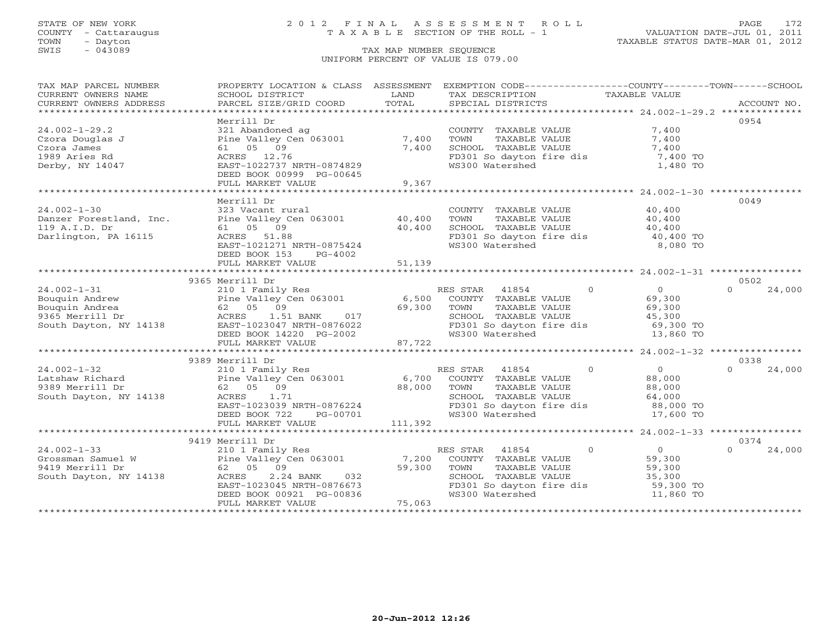### STATE OF NEW YORK 2 0 1 2 F I N A L A S S E S S M E N T R O L L PAGE 172 COUNTY - Cattaraugus T A X A B L E SECTION OF THE ROLL - 1 VALUATION DATE-JUL 01, 2011

| TAX MAP PARCEL NUMBER   |                                                        |               | PROPERTY LOCATION & CLASS ASSESSMENT EXEMPTION CODE---------------COUNTY-------TOWN------SCHOOL |                            |                    |
|-------------------------|--------------------------------------------------------|---------------|-------------------------------------------------------------------------------------------------|----------------------------|--------------------|
| CURRENT OWNERS NAME     | SCHOOL DISTRICT                                        | LAND<br>TOTAL | TAX DESCRIPTION                                                                                 | TAXABLE VALUE              |                    |
| CURRENT OWNERS ADDRESS  | PARCEL SIZE/GRID COORD                                 |               | SPECIAL DISTRICTS                                                                               |                            | ACCOUNT NO.        |
|                         | Merrill Dr                                             |               |                                                                                                 |                            | 0954               |
| $24.002 - 1 - 29.2$     | 321 Abandoned ag                                       |               | COUNTY TAXABLE VALUE                                                                            | 7,400                      |                    |
| Czora Douglas J         | Pine Valley Cen 063001                                 | 7,400         | TOWN<br>TAXABLE VALUE                                                                           | 7,400                      |                    |
| Czora James             | 61 05 09                                               | 7,400         | SCHOOL TAXABLE VALUE                                                                            | 7,400                      |                    |
| 1989 Aries Rd           | ACRES 12.76                                            |               | FD301 So dayton fire dis 7,400 TO                                                               |                            |                    |
| Derby, NY 14047         | EAST-1022737 NRTH-0874829                              |               | WS300 Watershed                                                                                 | 1,480 TO                   |                    |
|                         | DEED BOOK 00999 PG-00645                               |               |                                                                                                 |                            |                    |
|                         | FULL MARKET VALUE                                      | 9,367         |                                                                                                 |                            |                    |
|                         |                                                        |               |                                                                                                 |                            |                    |
|                         | Merrill Dr                                             |               |                                                                                                 |                            | 0049               |
| $24.002 - 1 - 30$       | 323 Vacant rural                                       |               | COUNTY TAXABLE VALUE 40,400                                                                     |                            |                    |
| Danzer Forestland, Inc. | Pine Valley Cen 063001 40,400                          |               | TOWN<br>TAXABLE VALUE                                                                           | 40,400                     |                    |
| 119 A.I.D. Dr           | 61 05 09                                               | 40,400        | SCHOOL TAXABLE VALUE                                                                            | 40,400<br>40,400           |                    |
| Darlington, PA 16115    | ACRES 51.88                                            |               | FD301 So dayton fire dis                                                                        | 40,400 TO                  |                    |
|                         | EAST-1021271 NRTH-0875424                              |               | WS300 Watershed                                                                                 | 8,080 TO                   |                    |
|                         | DEED BOOK 153<br>PG-4002                               |               |                                                                                                 |                            |                    |
|                         | FULL MARKET VALUE                                      | 51,139        |                                                                                                 |                            |                    |
|                         |                                                        |               |                                                                                                 |                            |                    |
|                         | 9365 Merrill Dr                                        |               |                                                                                                 |                            | 0502               |
| $24.002 - 1 - 31$       | 210 1 Family Res                                       |               | RES STAR 41854                                                                                  | $\Omega$<br>$\Omega$       | 24,000<br>$\Omega$ |
| Bouquin Andrew          | Pine Valley Cen 063001<br>62   05   09                 |               | 6,500 COUNTY TAXABLE VALUE                                                                      | 69,300                     |                    |
| Bouquin Andrea          | 62 05 09                                               | 69,300        | TOWN<br>TAXABLE VALUE                                                                           | 69,300                     |                    |
| 9365 Merrill Dr         | 1.51 BANK 017<br>ACRES                                 |               | SCHOOL TAXABLE VALUE                                                                            | 45,300                     |                    |
| South Dayton, NY 14138  | EAST-1023047 NRTH-0876022                              |               | FD301 So dayton fire dis<br>WS300 Watershed                                                     | 69,300 TO                  |                    |
|                         | DEED BOOK 14220 PG-2002<br>FULL MARKET VALUE           | 87,722        |                                                                                                 | 13,860 TO                  |                    |
|                         |                                                        |               |                                                                                                 |                            |                    |
|                         | 9389 Merrill Dr                                        |               |                                                                                                 |                            | 0338               |
| $24.002 - 1 - 32$       | 210 1 Family Res                                       |               | RES STAR<br>41854                                                                               | $\overline{0}$<br>0        | 24,000             |
| Latshaw Richard         | Pine Valley Cen 063001                                 | 6,700         | COUNTY TAXABLE VALUE                                                                            | 88,000                     |                    |
| 9389 Merrill Dr         | 62 05 09                                               | 88,000        | TAXABLE VALUE<br>TOWN                                                                           | 88,000                     |                    |
| South Dayton, NY 14138  | ACRES<br>1.71                                          |               | SCHOOL TAXABLE VALUE                                                                            | 64,000                     |                    |
|                         | EAST-1023039 NRTH-0876224                              |               | FD301 So dayton fire dis 88,000 TO                                                              |                            |                    |
|                         | DEED BOOK 722<br>PG-00701                              |               | WS300 Watershed                                                                                 | 17,600 TO                  |                    |
|                         | FULL MARKET VALUE                                      | 111,392       |                                                                                                 |                            |                    |
|                         |                                                        |               |                                                                                                 |                            |                    |
|                         | 9419 Merrill Dr                                        |               |                                                                                                 |                            | 0374               |
| $24.002 - 1 - 33$       |                                                        |               | RES STAR 41854                                                                                  | $\Omega$<br>$\overline{0}$ | $\Omega$<br>24,000 |
| Grossman Samuel W       | 210 1 Family Res<br>Pine Valley Cen 063001<br>62 05 00 | 7,200         | COUNTY TAXABLE VALUE                                                                            | 59,300                     |                    |
| 9419 Merrill Dr         |                                                        | 59,300        | TAXABLE VALUE<br>TOWN                                                                           | 59,300                     |                    |
| South Dayton, NY 14138  | 2.24 BANK<br>ACRES<br>032                              |               | SCHOOL TAXABLE VALUE                                                                            | 35,300                     |                    |
|                         | EAST-1023045 NRTH-0876673                              |               | FD301 So dayton fire dis                                                                        | 59,300 TO                  |                    |
|                         | DEED BOOK 00921 PG-00836                               |               | WS300 Watershed                                                                                 | 11,860 TO                  |                    |
|                         | FULL MARKET VALUE                                      | 75,063        |                                                                                                 |                            |                    |
|                         |                                                        |               |                                                                                                 |                            |                    |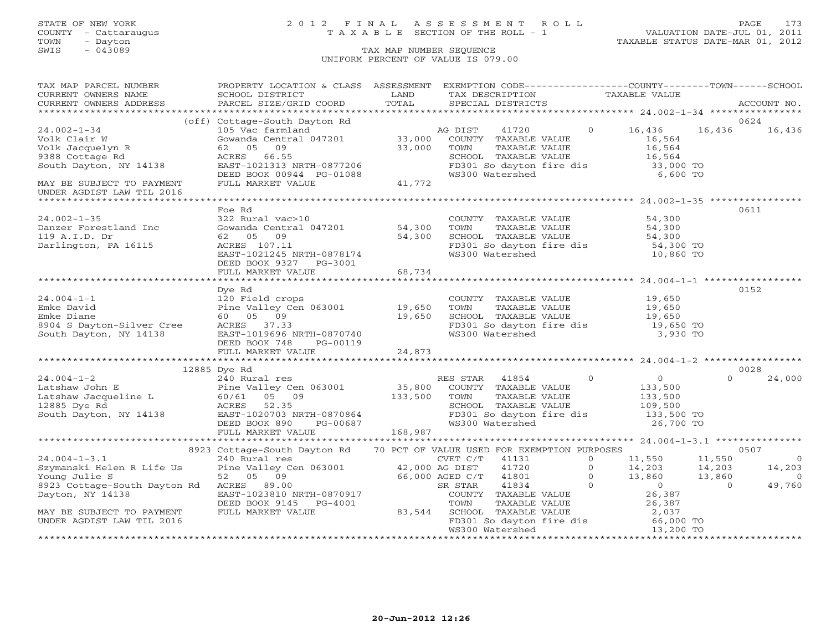### STATE OF NEW YORK 2 0 1 2 F I N A L A S S E S S M E N T R O L L PAGE 173 COUNTY - Cattaraugus T A X A B L E SECTION OF THE ROLL - 1 VALUATION DATE-JUL 01, 2011

| TAX MAP PARCEL NUMBER                                                                                                                                                                                                                                                                                                                                                                                                                                                                                                                                              | PROPERTY LOCATION & CLASS ASSESSMENT EXEMPTION CODE----------------COUNTY-------TOWN------SCHOOL                                                                                                                                                         |        |                                                                                                                                                                                         |                        |                       |
|--------------------------------------------------------------------------------------------------------------------------------------------------------------------------------------------------------------------------------------------------------------------------------------------------------------------------------------------------------------------------------------------------------------------------------------------------------------------------------------------------------------------------------------------------------------------|----------------------------------------------------------------------------------------------------------------------------------------------------------------------------------------------------------------------------------------------------------|--------|-----------------------------------------------------------------------------------------------------------------------------------------------------------------------------------------|------------------------|-----------------------|
| CURRENT OWNERS NAME SCHOOL DISTRICT<br>CURRENT OWNERS ADDRESS PARCEL SIZE/GRID COORD<br>$\begin{tabular}{lllllll} \multicolumn{2}{c}{\textbf{CURRENT}} & \multicolumn{2}{c}{\textbf{WMERS}} & \multicolumn{2}{c}{\textbf{NAME}} & \multicolumn{2}{c}{\textbf{SCHOOL}} & \multicolumn{2}{c}{\textbf{IISTRICT}} & \multicolumn{2}{c}{\textbf{LAND}} & \multicolumn{2}{c}{\textbf{TAX} BESCRIPTION} & \multicolumn{2}{c}{\textbf{TAXABLE} & \textbf{VALUE} & \textbf{ACCOUNT NO.} \\ & \multicolumn{2}{c}{\textbf{CURRENT}} & \multicolumn{2}{c}{\textbf{NOCOUNT NO.$ |                                                                                                                                                                                                                                                          |        |                                                                                                                                                                                         |                        |                       |
|                                                                                                                                                                                                                                                                                                                                                                                                                                                                                                                                                                    |                                                                                                                                                                                                                                                          |        |                                                                                                                                                                                         |                        |                       |
|                                                                                                                                                                                                                                                                                                                                                                                                                                                                                                                                                                    |                                                                                                                                                                                                                                                          |        |                                                                                                                                                                                         |                        |                       |
|                                                                                                                                                                                                                                                                                                                                                                                                                                                                                                                                                                    | (off) Cottage-South Dayton Rd                                                                                                                                                                                                                            |        |                                                                                                                                                                                         |                        | 0624                  |
| $24.002 - 1 - 34$<br>24.002-1-34<br>Volk Clair W<br>Volk Jacquelyn R<br>9388 Cottage Rd<br>South Dayton, NY 14138                                                                                                                                                                                                                                                                                                                                                                                                                                                  | 105 Vac farmland<br>Gowanda Central 047201 (33,000 COUNTY TAXABLE VALUE<br>62 05 09 (32,000 COUNTY TAXABLE VALUE                                                                                                                                         |        |                                                                                                                                                                                         | $0 \t16,436$<br>16,436 | 16,436                |
|                                                                                                                                                                                                                                                                                                                                                                                                                                                                                                                                                                    |                                                                                                                                                                                                                                                          |        |                                                                                                                                                                                         |                        |                       |
|                                                                                                                                                                                                                                                                                                                                                                                                                                                                                                                                                                    | 62 05 09                                                                                                                                                                                                                                                 | 33,000 | TOWN<br>COUNTY TAXABLE VALUE<br>TOWN TAXABLE VALUE 16,564<br>SCHOOL TAXABLE VALUE 16,564<br>FD301 So dayton fire dis 33,000 TO<br>TALLE 16,564<br>33,000 TO<br>TALLE 16,564<br>6,600 TO |                        |                       |
|                                                                                                                                                                                                                                                                                                                                                                                                                                                                                                                                                                    | EAST-1021313 NRTH-0877206<br>EAST-1021313 NRTH-0877206                                                                                                                                                                                                   |        |                                                                                                                                                                                         |                        |                       |
|                                                                                                                                                                                                                                                                                                                                                                                                                                                                                                                                                                    |                                                                                                                                                                                                                                                          |        |                                                                                                                                                                                         |                        |                       |
|                                                                                                                                                                                                                                                                                                                                                                                                                                                                                                                                                                    | DEED BOOK 00944 PG-01088<br>FULL MARKET VALUE 41,772                                                                                                                                                                                                     |        |                                                                                                                                                                                         |                        |                       |
| MAY BE SUBJECT TO PAYMENT                                                                                                                                                                                                                                                                                                                                                                                                                                                                                                                                          |                                                                                                                                                                                                                                                          |        |                                                                                                                                                                                         |                        |                       |
| UNDER AGDIST LAW TIL 2016                                                                                                                                                                                                                                                                                                                                                                                                                                                                                                                                          |                                                                                                                                                                                                                                                          |        |                                                                                                                                                                                         |                        |                       |
|                                                                                                                                                                                                                                                                                                                                                                                                                                                                                                                                                                    | Foe Rd                                                                                                                                                                                                                                                   |        |                                                                                                                                                                                         |                        | 0611                  |
| $24.002 - 1 - 35$                                                                                                                                                                                                                                                                                                                                                                                                                                                                                                                                                  |                                                                                                                                                                                                                                                          |        |                                                                                                                                                                                         |                        |                       |
|                                                                                                                                                                                                                                                                                                                                                                                                                                                                                                                                                                    |                                                                                                                                                                                                                                                          |        |                                                                                                                                                                                         |                        |                       |
| Danzer Forestland Inc<br>119 A.I.D. Dr                                                                                                                                                                                                                                                                                                                                                                                                                                                                                                                             |                                                                                                                                                                                                                                                          |        |                                                                                                                                                                                         |                        |                       |
| Darlington, PA 16115                                                                                                                                                                                                                                                                                                                                                                                                                                                                                                                                               |                                                                                                                                                                                                                                                          |        |                                                                                                                                                                                         |                        |                       |
|                                                                                                                                                                                                                                                                                                                                                                                                                                                                                                                                                                    | For the Magnetic Human S22 Rural vac>10<br>322 Rural vac>10<br>Gowanda Central 047201<br>54,300<br>54,300<br>54,300<br>54,300<br>54,300<br>54,300<br>54,300<br>54,300<br>EAST-1021245 NRTH-0878174<br>EAST-1021245 NRTH-0878174<br>EAST-1021245 NRTH-087 |        |                                                                                                                                                                                         |                        |                       |
|                                                                                                                                                                                                                                                                                                                                                                                                                                                                                                                                                                    | DEED BOOK 9327 PG-3001                                                                                                                                                                                                                                   |        |                                                                                                                                                                                         |                        |                       |
|                                                                                                                                                                                                                                                                                                                                                                                                                                                                                                                                                                    | FULL MARKET VALUE                                                                                                                                                                                                                                        | 68,734 |                                                                                                                                                                                         |                        |                       |
|                                                                                                                                                                                                                                                                                                                                                                                                                                                                                                                                                                    |                                                                                                                                                                                                                                                          |        |                                                                                                                                                                                         |                        |                       |
|                                                                                                                                                                                                                                                                                                                                                                                                                                                                                                                                                                    | Dye Rd                                                                                                                                                                                                                                                   |        |                                                                                                                                                                                         |                        | 0152                  |
|                                                                                                                                                                                                                                                                                                                                                                                                                                                                                                                                                                    |                                                                                                                                                                                                                                                          |        |                                                                                                                                                                                         |                        |                       |
|                                                                                                                                                                                                                                                                                                                                                                                                                                                                                                                                                                    |                                                                                                                                                                                                                                                          |        |                                                                                                                                                                                         |                        |                       |
|                                                                                                                                                                                                                                                                                                                                                                                                                                                                                                                                                                    |                                                                                                                                                                                                                                                          |        |                                                                                                                                                                                         |                        |                       |
|                                                                                                                                                                                                                                                                                                                                                                                                                                                                                                                                                                    |                                                                                                                                                                                                                                                          |        |                                                                                                                                                                                         |                        |                       |
| 24.004-1-1<br>Emke David<br>Emke Diane<br>8904 S Dayton-Silver Cree<br>8904 S Dayton-Silver Cree<br>8904 S Dayton, NY 14138<br>8904 Dayton, NY 14138<br>8905 09<br>8904 S Dayton, NY 14138<br>8905-1019696 NRTH-0870740<br>890740                                                                                                                                                                                                                                                                                                                                  |                                                                                                                                                                                                                                                          |        | COUNTY TAXABLE VALUE 19,650<br>TOWN TAXABLE VALUE 19,650<br>SCHOOL TAXABLE VALUE 19,650<br>FD301 So dayton fire dis 19,650 TO<br>WS300 Watershed 3,930 TO                               |                        |                       |
|                                                                                                                                                                                                                                                                                                                                                                                                                                                                                                                                                                    | DEED BOOK 748 PG-00119                                                                                                                                                                                                                                   |        |                                                                                                                                                                                         |                        |                       |
|                                                                                                                                                                                                                                                                                                                                                                                                                                                                                                                                                                    |                                                                                                                                                                                                                                                          |        |                                                                                                                                                                                         |                        |                       |
|                                                                                                                                                                                                                                                                                                                                                                                                                                                                                                                                                                    |                                                                                                                                                                                                                                                          |        |                                                                                                                                                                                         |                        |                       |
|                                                                                                                                                                                                                                                                                                                                                                                                                                                                                                                                                                    | 12885 Dye Rd                                                                                                                                                                                                                                             |        |                                                                                                                                                                                         |                        | 0028                  |
|                                                                                                                                                                                                                                                                                                                                                                                                                                                                                                                                                                    |                                                                                                                                                                                                                                                          |        |                                                                                                                                                                                         |                        |                       |
|                                                                                                                                                                                                                                                                                                                                                                                                                                                                                                                                                                    |                                                                                                                                                                                                                                                          |        |                                                                                                                                                                                         |                        |                       |
|                                                                                                                                                                                                                                                                                                                                                                                                                                                                                                                                                                    |                                                                                                                                                                                                                                                          |        |                                                                                                                                                                                         |                        |                       |
|                                                                                                                                                                                                                                                                                                                                                                                                                                                                                                                                                                    |                                                                                                                                                                                                                                                          |        |                                                                                                                                                                                         |                        |                       |
|                                                                                                                                                                                                                                                                                                                                                                                                                                                                                                                                                                    |                                                                                                                                                                                                                                                          |        |                                                                                                                                                                                         |                        |                       |
|                                                                                                                                                                                                                                                                                                                                                                                                                                                                                                                                                                    |                                                                                                                                                                                                                                                          |        |                                                                                                                                                                                         |                        |                       |
|                                                                                                                                                                                                                                                                                                                                                                                                                                                                                                                                                                    |                                                                                                                                                                                                                                                          |        |                                                                                                                                                                                         |                        |                       |
|                                                                                                                                                                                                                                                                                                                                                                                                                                                                                                                                                                    |                                                                                                                                                                                                                                                          |        |                                                                                                                                                                                         |                        |                       |
|                                                                                                                                                                                                                                                                                                                                                                                                                                                                                                                                                                    |                                                                                                                                                                                                                                                          |        |                                                                                                                                                                                         |                        | 0507                  |
|                                                                                                                                                                                                                                                                                                                                                                                                                                                                                                                                                                    |                                                                                                                                                                                                                                                          |        |                                                                                                                                                                                         |                        | $\overline{0}$        |
|                                                                                                                                                                                                                                                                                                                                                                                                                                                                                                                                                                    |                                                                                                                                                                                                                                                          |        |                                                                                                                                                                                         |                        |                       |
|                                                                                                                                                                                                                                                                                                                                                                                                                                                                                                                                                                    |                                                                                                                                                                                                                                                          |        |                                                                                                                                                                                         |                        | 14,203<br>0<br>49,760 |
|                                                                                                                                                                                                                                                                                                                                                                                                                                                                                                                                                                    |                                                                                                                                                                                                                                                          |        |                                                                                                                                                                                         |                        |                       |
|                                                                                                                                                                                                                                                                                                                                                                                                                                                                                                                                                                    |                                                                                                                                                                                                                                                          |        |                                                                                                                                                                                         |                        |                       |
|                                                                                                                                                                                                                                                                                                                                                                                                                                                                                                                                                                    |                                                                                                                                                                                                                                                          |        |                                                                                                                                                                                         |                        |                       |
|                                                                                                                                                                                                                                                                                                                                                                                                                                                                                                                                                                    |                                                                                                                                                                                                                                                          |        |                                                                                                                                                                                         |                        |                       |
|                                                                                                                                                                                                                                                                                                                                                                                                                                                                                                                                                                    |                                                                                                                                                                                                                                                          |        |                                                                                                                                                                                         |                        |                       |
|                                                                                                                                                                                                                                                                                                                                                                                                                                                                                                                                                                    |                                                                                                                                                                                                                                                          |        |                                                                                                                                                                                         |                        |                       |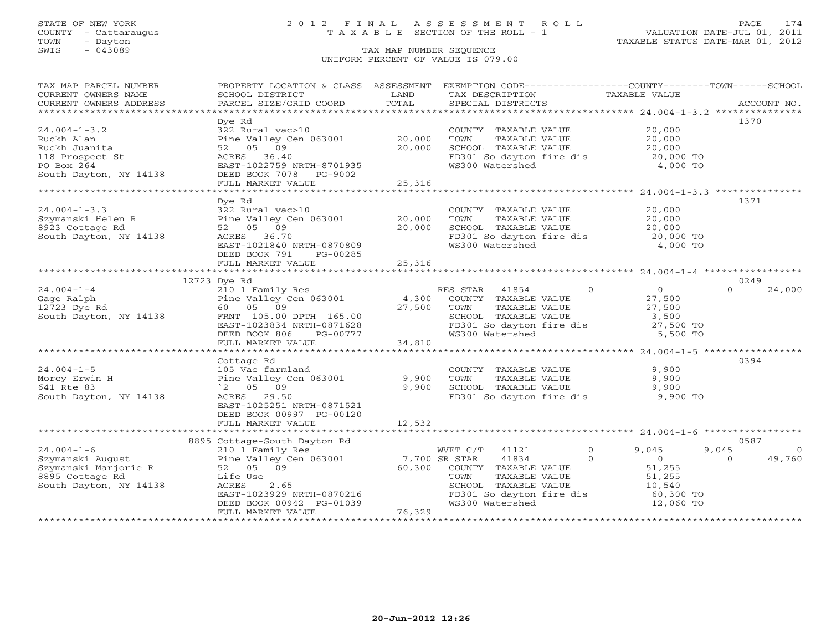### STATE OF NEW YORK 2 0 1 2 F I N A L A S S E S S M E N T R O L L PAGE 174 COUNTY - Cattaraugus T A X A B L E SECTION OF THE ROLL - 1 VALUATION DATE-JUL 01, 2011

| TAX MAP PARCEL NUMBER                                                                                                                                                                                                                                                                                                                                                                                                                                                                                                  |                                                                            |        | PROPERTY LOCATION & CLASS ASSESSMENT EXEMPTION CODE----------------COUNTY-------TOWN------SCHOOL |                         |                         |
|------------------------------------------------------------------------------------------------------------------------------------------------------------------------------------------------------------------------------------------------------------------------------------------------------------------------------------------------------------------------------------------------------------------------------------------------------------------------------------------------------------------------|----------------------------------------------------------------------------|--------|--------------------------------------------------------------------------------------------------|-------------------------|-------------------------|
| CURRENT OWNERS NAME                                                                                                                                                                                                                                                                                                                                                                                                                                                                                                    | SCHOOL DISTRICT                                                            | LAND   | TAX DESCRIPTION                                                                                  | TAXABLE VALUE           |                         |
| $\begin{minipage}{.45\textwidth} \begin{minipage}{.45\textwidth} \begin{minipage}{.45\textwidth} \begin{minipage}{.45\textwidth} \begin{minipage}{.45\textwidth} \begin{minipage}{.45\textwidth} \begin{minipage}{.45\textwidth} \begin{minipage}{.45\textwidth} \begin{minipage}{.45\textwidth} \begin{minipage}{.45\textwidth} \begin{minipage}{.45\textwidth} \begin{minipage}{.45\textwidth} \begin{minipage}{.45\textwidth} \begin{minipage}{.45\textwidth} \begin{minipage}{.45\textwidth} \begin{minipage}{.45$ |                                                                            |        |                                                                                                  |                         |                         |
|                                                                                                                                                                                                                                                                                                                                                                                                                                                                                                                        |                                                                            |        |                                                                                                  |                         |                         |
|                                                                                                                                                                                                                                                                                                                                                                                                                                                                                                                        | Dye Rd                                                                     |        |                                                                                                  |                         | 1370                    |
| $24.004 - 1 - 3.2$                                                                                                                                                                                                                                                                                                                                                                                                                                                                                                     | 322 Rural vac>10                                                           |        | COUNTY TAXABLE VALUE                                                                             | 20,000                  |                         |
| Ruckh Alan                                                                                                                                                                                                                                                                                                                                                                                                                                                                                                             | Pine Valley Cen 063001 20,000                                              |        | TOWN<br>TAXABLE VALUE                                                                            | 20,000                  |                         |
| Ruckh Juanita                                                                                                                                                                                                                                                                                                                                                                                                                                                                                                          | 52 05 09                                                                   | 20,000 | SCHOOL TAXABLE VALUE                                                                             | 20,000                  |                         |
| 118 Prospect St                                                                                                                                                                                                                                                                                                                                                                                                                                                                                                        | ACRES 36.40                                                                |        | FD301 So dayton fire dis                                                                         | 20,000 TO               |                         |
| PO Box 264                                                                                                                                                                                                                                                                                                                                                                                                                                                                                                             | EAST-1022759 NRTH-8701935                                                  |        | WS300 Watershed                                                                                  | 4,000 TO                |                         |
| South Dayton, NY 14138                                                                                                                                                                                                                                                                                                                                                                                                                                                                                                 | DEED BOOK 7078 PG-9002                                                     |        |                                                                                                  |                         |                         |
|                                                                                                                                                                                                                                                                                                                                                                                                                                                                                                                        | FULL MARKET VALUE                                                          | 25,316 |                                                                                                  |                         |                         |
|                                                                                                                                                                                                                                                                                                                                                                                                                                                                                                                        |                                                                            |        |                                                                                                  |                         |                         |
|                                                                                                                                                                                                                                                                                                                                                                                                                                                                                                                        | Dye Rd                                                                     |        |                                                                                                  |                         | 1371                    |
| $24.004 - 1 - 3.3$                                                                                                                                                                                                                                                                                                                                                                                                                                                                                                     | 322 Rural vac>10                                                           |        | COUNTY TAXABLE VALUE                                                                             | 20,000                  |                         |
| Szymanski Helen R<br>0003 Cottage Rd                                                                                                                                                                                                                                                                                                                                                                                                                                                                                   | Pine Valley Cen 063001 20,000                                              |        | TAXABLE VALUE<br>TOWN                                                                            | 20,000                  |                         |
| 8923 Cottage Rd                                                                                                                                                                                                                                                                                                                                                                                                                                                                                                        | 52 05 09                                                                   | 20,000 | SCHOOL TAXABLE VALUE                                                                             | 20,000                  |                         |
| South Dayton, NY 14138                                                                                                                                                                                                                                                                                                                                                                                                                                                                                                 | ACRES 36.70                                                                |        | FD301 So dayton fire dis 20,000 TO                                                               |                         |                         |
|                                                                                                                                                                                                                                                                                                                                                                                                                                                                                                                        | EAST-1021840 NRTH-0870809                                                  |        | WS300 Watershed                                                                                  | 4,000 TO                |                         |
|                                                                                                                                                                                                                                                                                                                                                                                                                                                                                                                        | DEED BOOK 791<br>PG-00285                                                  |        |                                                                                                  |                         |                         |
|                                                                                                                                                                                                                                                                                                                                                                                                                                                                                                                        | FULL MARKET VALUE                                                          | 25,316 |                                                                                                  |                         |                         |
|                                                                                                                                                                                                                                                                                                                                                                                                                                                                                                                        |                                                                            |        |                                                                                                  |                         |                         |
|                                                                                                                                                                                                                                                                                                                                                                                                                                                                                                                        | 12723 Dye Rd                                                               |        |                                                                                                  |                         | 0249                    |
| $24.004 - 1 - 4$                                                                                                                                                                                                                                                                                                                                                                                                                                                                                                       | 210 1 Family Res                                                           |        | $\overline{0}$<br>41854<br>RES STAR                                                              | $\overline{0}$          | $\Omega$<br>24,000      |
| Gage Ralph                                                                                                                                                                                                                                                                                                                                                                                                                                                                                                             | 210 1 Family Res<br>Pine Valley Cen 063001<br>60 05 09                     | 4,300  | COUNTY TAXABLE VALUE                                                                             | 27,500                  |                         |
| 12723 Dye Rd                                                                                                                                                                                                                                                                                                                                                                                                                                                                                                           |                                                                            | 27,500 | TOWN<br>TAXABLE VALUE                                                                            | 27,500                  |                         |
| South Dayton, NY 14138                                                                                                                                                                                                                                                                                                                                                                                                                                                                                                 | FRNT 105.00 DPTH 165.00                                                    |        | SCHOOL TAXABLE VALUE                                                                             | 3,500                   |                         |
|                                                                                                                                                                                                                                                                                                                                                                                                                                                                                                                        | EAST-1023834 NRTH-0871628                                                  |        | FD301 So dayton fire dis<br>WS300 Watershed                                                      | 27,500 TO               |                         |
|                                                                                                                                                                                                                                                                                                                                                                                                                                                                                                                        | DEED BOOK 806<br>PG-00777                                                  |        |                                                                                                  | 5,500 TO                |                         |
|                                                                                                                                                                                                                                                                                                                                                                                                                                                                                                                        | FULL MARKET VALUE                                                          | 34,810 |                                                                                                  |                         |                         |
|                                                                                                                                                                                                                                                                                                                                                                                                                                                                                                                        |                                                                            |        |                                                                                                  |                         |                         |
|                                                                                                                                                                                                                                                                                                                                                                                                                                                                                                                        | Cottage Rd                                                                 |        |                                                                                                  |                         | 0394                    |
| $24.004 - 1 - 5$                                                                                                                                                                                                                                                                                                                                                                                                                                                                                                       | 105 Vac farmland                                                           |        | COUNTY TAXABLE VALUE                                                                             | 9,900                   |                         |
| Morey Erwin H                                                                                                                                                                                                                                                                                                                                                                                                                                                                                                          | Pine Valley Cen 063001                                                     | 9,900  | TOWN<br>TAXABLE VALUE                                                                            | 9,900                   |                         |
| 641 Rte 83                                                                                                                                                                                                                                                                                                                                                                                                                                                                                                             | $^{\circ}2$ 05 09                                                          | 9,900  | SCHOOL TAXABLE VALUE                                                                             | 9,900                   |                         |
| South Dayton, NY 14138                                                                                                                                                                                                                                                                                                                                                                                                                                                                                                 | ACRES 29.50                                                                |        | FD301 So dayton fire dis                                                                         | 9,900 TO                |                         |
|                                                                                                                                                                                                                                                                                                                                                                                                                                                                                                                        | EAST-1025251 NRTH-0871521                                                  |        |                                                                                                  |                         |                         |
|                                                                                                                                                                                                                                                                                                                                                                                                                                                                                                                        | DEED BOOK 00997 PG-00120                                                   |        |                                                                                                  |                         |                         |
|                                                                                                                                                                                                                                                                                                                                                                                                                                                                                                                        | FULL MARKET VALUE                                                          | 12,532 |                                                                                                  |                         |                         |
|                                                                                                                                                                                                                                                                                                                                                                                                                                                                                                                        |                                                                            |        |                                                                                                  |                         |                         |
|                                                                                                                                                                                                                                                                                                                                                                                                                                                                                                                        | 8895 Cottage-South Dayton Rd                                               |        |                                                                                                  |                         | 0587                    |
| $24.004 - 1 - 6$                                                                                                                                                                                                                                                                                                                                                                                                                                                                                                       | 210 1 Family Res                                                           |        | WVET C/T 41121                                                                                   | $\overline{0}$<br>9,045 | 9,045<br>$\overline{O}$ |
|                                                                                                                                                                                                                                                                                                                                                                                                                                                                                                                        |                                                                            |        | 41834<br>$\Omega$                                                                                | $\overline{0}$          | 49,760<br>$\Omega$      |
| Z4.004-1-0<br>Szymanski August<br>Szymanski Marjorie R<br>8895 Cottage Rd<br>South Davton, NY 14138                                                                                                                                                                                                                                                                                                                                                                                                                    | Pine Valley Cen 063001 7,700 SR STAR<br>52 05 09 60,300 COUNTY<br>52 05 09 |        | COUNTY TAXABLE VALUE                                                                             | 51,255                  |                         |
|                                                                                                                                                                                                                                                                                                                                                                                                                                                                                                                        | Life Use                                                                   |        | TOWN<br>TAXABLE VALUE                                                                            | 51,255                  |                         |
|                                                                                                                                                                                                                                                                                                                                                                                                                                                                                                                        | 2.65<br>ACRES                                                              |        | SCHOOL TAXABLE VALUE                                                                             | 10,540                  |                         |
|                                                                                                                                                                                                                                                                                                                                                                                                                                                                                                                        | EAST-1023929 NRTH-0870216                                                  |        | FD301 So dayton fire dis                                                                         | 60,300 TO               |                         |
|                                                                                                                                                                                                                                                                                                                                                                                                                                                                                                                        | DEED BOOK 00942 PG-01039                                                   |        | WS300 Watershed                                                                                  | 12,060 TO               |                         |
|                                                                                                                                                                                                                                                                                                                                                                                                                                                                                                                        | FULL MARKET VALUE                                                          | 76,329 |                                                                                                  |                         |                         |
|                                                                                                                                                                                                                                                                                                                                                                                                                                                                                                                        |                                                                            |        |                                                                                                  |                         |                         |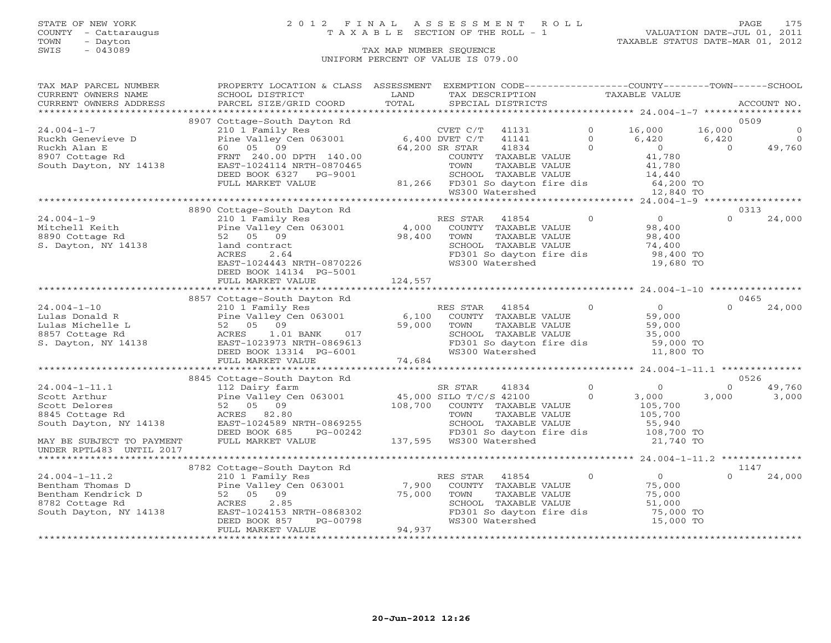### STATE OF NEW YORK 2 0 1 2 F I N A L A S S E S S M E N T R O L L PAGE 175 COUNTY - Cattaraugus T A X A B L E SECTION OF THE ROLL - 1 VALUATION DATE-JUL 01, 2011

| TAX MAP PARCEL NUMBER                                     | PROPERTY LOCATION & CLASS ASSESSMENT                                                |                               |                   |                          |                | EXEMPTION CODE-----------------COUNTY-------TOWN------SCHOOL                                          |                |                |
|-----------------------------------------------------------|-------------------------------------------------------------------------------------|-------------------------------|-------------------|--------------------------|----------------|-------------------------------------------------------------------------------------------------------|----------------|----------------|
| CURRENT OWNERS NAME                                       | SCHOOL DISTRICT                                                                     | LAND                          | TAX DESCRIPTION   |                          |                | TAXABLE VALUE                                                                                         |                |                |
| CURRENT OWNERS ADDRESS                                    | PARCEL SIZE/GRID COORD                                                              | TOTAL                         | SPECIAL DISTRICTS |                          |                |                                                                                                       |                | ACCOUNT NO.    |
|                                                           |                                                                                     |                               |                   |                          |                |                                                                                                       |                |                |
|                                                           | 8907 Cottage-South Dayton Rd                                                        |                               |                   |                          |                |                                                                                                       |                | 0509           |
| $24.004 - 1 - 7$                                          | 210 1 Family Res <sup>CVET C/T</sup> CVET C/T Pine Valley Cen 063001 6,400 DVET C/T |                               | CVET $C/T$ 41131  |                          | $\Omega$       | 16,000                                                                                                | 16,000         | $\mathbf{0}$   |
| Ruckh Genevieve D                                         |                                                                                     |                               |                   | 41141                    | $\overline{0}$ | 6,420                                                                                                 | 6,420          | $\overline{0}$ |
| Ruckh Alan E                                              | 60 05 09                                                                            | 64,200 SR STAR                |                   | 41834                    | $\sim$ 0       | $0$<br>41,780<br>41,780                                                                               | $\overline{0}$ | 49,760         |
| 8907 Cottage Rd                                           | FRNT 240.00 DPTH 140.00                                                             |                               |                   | COUNTY TAXABLE VALUE     |                |                                                                                                       |                |                |
| South Dayton, NY 14138                                    | EAST-1024114 NRTH-0870465                                                           |                               | TOWN              | TAXABLE VALUE            |                |                                                                                                       |                |                |
|                                                           | DEED BOOK 6327 PG-9001                                                              |                               |                   |                          |                |                                                                                                       |                |                |
|                                                           | FULL MARKET VALUE                                                                   |                               |                   |                          |                |                                                                                                       |                |                |
|                                                           |                                                                                     |                               |                   |                          |                | SCHOOL TAXABLE VALUE 14,440<br>81,266 FD301 So dayton fire dis 64,200 TO<br>WS300 Watershed 12,840 TO |                |                |
|                                                           |                                                                                     |                               |                   |                          |                |                                                                                                       |                |                |
|                                                           | 8890 Cottage-South Dayton Rd                                                        |                               |                   |                          |                |                                                                                                       |                | 0313           |
| $24.004 - 1 - 9$                                          | 210 1 Family Res<br>Pine Valley Cen 063001 4,000 COUNTY TAXABLE VALUE               |                               |                   | $\sim$ 0                 |                | $\overline{0}$                                                                                        | $\Omega$       | 24,000         |
| Mitchell Keith                                            |                                                                                     |                               |                   |                          |                | 98,400                                                                                                |                |                |
| 8890 Cottage Rd                                           | 52 05 09                                                                            | 98,400                        | TOWN              | TAXABLE VALUE            |                |                                                                                                       |                |                |
| S. Dayton, NY 14138                                       | land contract                                                                       |                               |                   | SCHOOL TAXABLE VALUE     |                | 98,400<br>74,400                                                                                      |                |                |
|                                                           | ACRES<br>2.64                                                                       |                               |                   |                          |                | FD301 So dayton fire dis 98,400 TO                                                                    |                |                |
|                                                           | EAST-1024443 NRTH-0870226                                                           |                               | WS300 Watershed   |                          |                | 19,680 TO                                                                                             |                |                |
|                                                           | DEED BOOK 14134 PG-5001                                                             |                               |                   |                          |                |                                                                                                       |                |                |
|                                                           | FULL MARKET VALUE                                                                   | 124,557                       |                   |                          |                |                                                                                                       |                |                |
|                                                           |                                                                                     |                               |                   |                          |                |                                                                                                       |                |                |
|                                                           | 8857 Cottage-South Dayton Rd                                                        |                               |                   |                          |                |                                                                                                       |                | 0465           |
| $24.004 - 1 - 10$                                         | 210 1 Family Res                                                                    |                               | RES STAR          | 41854                    | $\overline{0}$ | $\overline{O}$                                                                                        | $\Omega$       | 24,000         |
| Lulas Donald R                                            | Pine Valley Cen 063001 6,100                                                        |                               |                   | COUNTY TAXABLE VALUE     |                | 59,000                                                                                                |                |                |
| Lulas Michelle L                                          | 52 05 09                                                                            |                               |                   | TAXABLE VALUE            |                | 59,000                                                                                                |                |                |
| 8857 Cottage Rd                                           | 1.01 BANK<br>017<br>ACRES                                                           | 59,000 TOWN<br>SCHOO<br>FD301 |                   | SCHOOL TAXABLE VALUE     |                | 35,000<br>59,000 TO                                                                                   |                |                |
| S. Dayton, NY 14138                                       | EAST-1023973 NRTH-0869613                                                           |                               |                   | FD301 So dayton fire dis |                |                                                                                                       |                |                |
|                                                           | DEED BOOK 13314 PG-6001                                                             |                               | WS300 Watershed   |                          |                | 11,800 TO                                                                                             |                |                |
|                                                           | FULL MARKET VALUE                                                                   | 74,684                        |                   |                          |                |                                                                                                       |                |                |
|                                                           |                                                                                     |                               |                   |                          |                |                                                                                                       |                |                |
|                                                           | 8845 Cottage-South Dayton Rd                                                        |                               |                   |                          |                |                                                                                                       |                | 0526           |
| $24.004 - 1 - 11.1$                                       |                                                                                     |                               |                   | 41834                    | $\overline{0}$ | $\overline{0}$                                                                                        | $\Omega$       | 49,760         |
| Scott Arthur                                              | 112 Dairy farm 5R STAR 41834<br>Pine Valley Cen 063001 45,000 SILO T/C/S 42100      |                               |                   |                          | $\circ$        | 3,000                                                                                                 | 3,000          | 3,000          |
| Scott Delores                                             |                                                                                     | 108,700                       |                   | COUNTY TAXABLE VALUE     |                | 105,700                                                                                               |                |                |
| 8845 Cottage Rd                                           | Pine Valley Co<br>52 05 09<br>ACRES 82.80                                           |                               | TOWN              | TAXABLE VALUE            |                | 105,700                                                                                               |                |                |
| South Dayton, NY 14138                                    | EAST-1024589 NRTH-0869255                                                           |                               |                   | SCHOOL TAXABLE VALUE     |                | 55,940                                                                                                |                |                |
|                                                           | DEED BOOK 685<br>PG-00242                                                           |                               |                   |                          |                | FD301 So dayton fire dis 108,700 TO                                                                   |                |                |
| MAY BE SUBJECT TO PAYMENT                                 | FULL MARKET VALUE                                                                   |                               |                   |                          |                | 21,740 TO                                                                                             |                |                |
| UNDER RPTL483 UNTIL 2017                                  |                                                                                     |                               |                   |                          |                |                                                                                                       |                |                |
|                                                           |                                                                                     |                               |                   |                          |                |                                                                                                       |                |                |
|                                                           | 8782 Cottage-South Dayton Rd                                                        |                               |                   |                          |                |                                                                                                       |                | 1147           |
| $24.004 - 1 - 11.2$                                       | 210 1 Family Res                                                                    |                               | RES STAR          | 41854                    | $\Omega$       | $\overline{0}$                                                                                        | $\Omega$       | 24,000         |
|                                                           |                                                                                     |                               |                   | COUNTY TAXABLE VALUE     |                | 75,000                                                                                                |                |                |
| Bentham Thomas D<br>Bentham Kendrick D<br>8782 Cottage Rd |                                                                                     |                               | TOWN              | TAXABLE VALUE            |                | 75,000                                                                                                |                |                |
|                                                           | ACRES<br>2.85                                                                       |                               |                   | SCHOOL TAXABLE VALUE     |                | 51,000                                                                                                |                |                |
| South Dayton, NY 14138                                    | EAST-1024153 NRTH-0868302                                                           |                               |                   | FD301 So dayton fire dis |                | 75,000 TO                                                                                             |                |                |
|                                                           | PG-00798<br>DEED BOOK 857                                                           |                               | WS300 Watershed   |                          |                | 15,000 TO                                                                                             |                |                |
|                                                           | FULL MARKET VALUE                                                                   | 94,937                        |                   |                          |                |                                                                                                       |                |                |
|                                                           |                                                                                     |                               |                   |                          |                |                                                                                                       |                |                |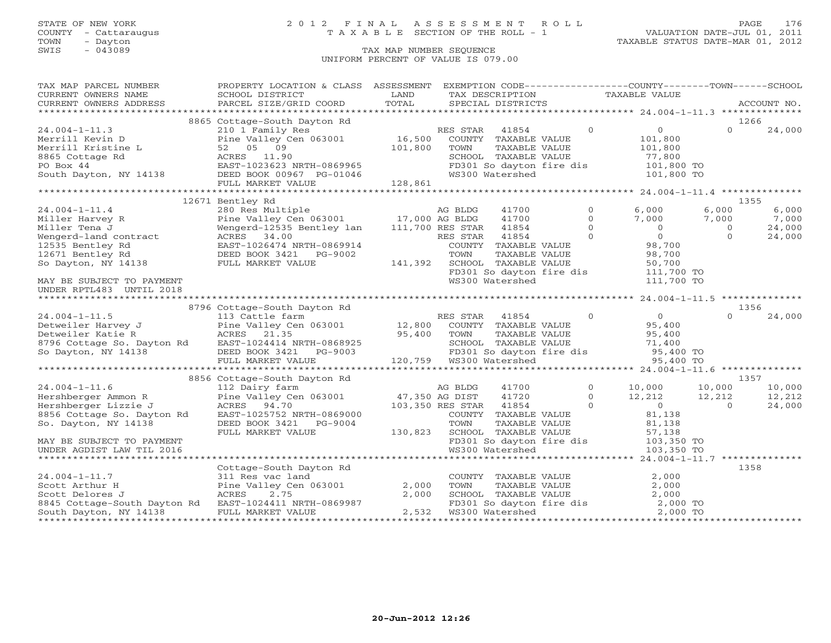TOWN - Dayton TAXABLE STATUS DATE-MAR 01, 2012 SWIS - Dayton - Dayton - Dayton - Dayton - Dayton - Dayton - Dayton - Dayton - Dayton - Dayton - Dayton - Dayton - Dayton - Dayton - Dayton - Dayton - Dayton - Dayton - Dayton - Dayton - Dayton - Dayton - Dayton - Dayton -

### STATE OF NEW YORK 2 0 1 2 F I N A L A S S E S S M E N T R O L L PAGE 176 COUNTY - Cattaraugus T A X A B L E SECTION OF THE ROLL - 1 VALUATION DATE-JUL 01, 2011

## UNIFORM PERCENT OF VALUE IS 079.00

| TAX MAP PARCEL NUMBER<br>CURRENT OWNERS NAME<br>CURRENT OWNERS ADDRESS                                                                          | PROPERTY LOCATION & CLASS ASSESSMENT<br>SCHOOL DISTRICT                                                                             | LAND<br>TOTAL                | EXEMPTION CODE-----------------COUNTY-------TOWN------SCHOOL<br>TAX DESCRIPTION<br>SPECIAL DISTRICTS                     |                                                               | TAXABLE VALUE                                                              |                                       | ACCOUNT NO.                        |
|-------------------------------------------------------------------------------------------------------------------------------------------------|-------------------------------------------------------------------------------------------------------------------------------------|------------------------------|--------------------------------------------------------------------------------------------------------------------------|---------------------------------------------------------------|----------------------------------------------------------------------------|---------------------------------------|------------------------------------|
|                                                                                                                                                 | PARCEL SIZE/GRID COORD                                                                                                              |                              |                                                                                                                          |                                                               |                                                                            |                                       |                                    |
|                                                                                                                                                 | 8865 Cottage-South Dayton Rd                                                                                                        |                              |                                                                                                                          |                                                               |                                                                            |                                       | 1266                               |
| $24.004 - 1 - 11.3$<br>Merrill Kevin D<br>Merrill Kristine L<br>8865 Cottage Rd<br>PO Box 44<br>South Dayton, NY 14138 DEED BOOK 00967 PG-01046 | 210 1 Family Res<br>Pine Valley Cen 063001<br>52 05 09<br>ACRES 11.90<br>EAST-1023623 NRTH-0869965<br>FULL MARKET VALUE             | 16,500<br>101,800<br>128,861 | 41854<br>RES STAR<br>COUNTY TAXABLE VALUE<br>TOWN<br>SCHOOL TAXABLE VALUE<br>FD301 So dayton fire dis<br>WS300 Watershed | $\Omega$<br>TAXABLE VALUE                                     | $\overline{0}$<br>101,800<br>101,800<br>77,800<br>101,800 TO<br>101,800 TO | $\Omega$                              | 24,000                             |
|                                                                                                                                                 |                                                                                                                                     |                              |                                                                                                                          |                                                               |                                                                            |                                       |                                    |
|                                                                                                                                                 | 12671 Bentley Rd                                                                                                                    |                              |                                                                                                                          |                                                               |                                                                            |                                       | 1355                               |
| $24.004 - 1 - 11.4$<br>Miller Harvey R<br>Miller Tena J<br>Wengerd-land contract<br>12535 Bentley Rd<br>12671 Bentley Rd                        | 280 Res Multiple<br>Wengerd-12535 Bentley lan<br>ACRES 34.00<br>EAST-1026474 NRTH-0869914<br>DEED BOOK 3421 PG-9002                 |                              | AG BLDG<br>41700<br>41700<br>41854<br>111,700 RES STAR<br>41854<br>RES STAR<br>COUNTY TAXABLE VALUE<br>TOWN              | $\Omega$<br>$\Omega$<br>$\Omega$<br>$\Omega$<br>TAXABLE VALUE | 6,000<br>7,000<br>$\overline{0}$<br>$\overline{0}$<br>98,700<br>98,700     | 6,000<br>7,000<br>$\circ$<br>$\Omega$ | 6,000<br>7,000<br>24,000<br>24,000 |
| So Dayton, NY 14138<br>MAY BE SUBJECT TO PAYMENT<br>UNDER RPTL483 UNTIL 2018                                                                    | FULL MARKET VALUE                                                                                                                   | 141,392                      | SCHOOL TAXABLE VALUE<br>FD301 So dayton fire dis<br>WS300 Watershed                                                      |                                                               | 50,700<br>111,700 TO<br>111,700 TO                                         |                                       |                                    |
|                                                                                                                                                 |                                                                                                                                     |                              |                                                                                                                          |                                                               |                                                                            |                                       |                                    |
| $24.004 - 1 - 11.5$<br>Detweiler Harvey J<br>So Dayton, NY 14138                                                                                | 8796 Cottage-South Dayton Rd<br>113 Cattle farm<br>Pine Valley Cen 063001<br>DEED BOOK 3421 PG-9003<br>FULL MARKET VALUE            | 12,800<br>95,400             | RES STAR<br>41854<br>COUNTY TAXABLE VALUE<br>TOWN<br>SCHOOL TAXABLE VALUE<br>FD301 So dayton fire dis                    | $\circ$<br>TAXABLE VALUE                                      | 0<br>95,400<br>95,400<br>71,400<br>95,400 TO<br>95,400 TO                  | $\Omega$                              | 1356<br>24,000                     |
|                                                                                                                                                 |                                                                                                                                     |                              |                                                                                                                          |                                                               |                                                                            |                                       |                                    |
|                                                                                                                                                 | 8856 Cottage-South Dayton Rd                                                                                                        |                              |                                                                                                                          |                                                               |                                                                            |                                       | 1357                               |
| $24.004 - 1 - 11.6$<br>Hershberger Ammon R<br>Hershberger Lizzie J<br>8856 Cottage So. Dayton Rd<br>So. Dayton, NY 14138                        | 112 Dairy farm<br>Pine Valley Cen 063001<br>ACRES 94.70<br>EAST-1025752 NRTH-0869000<br>DEED BOOK 3421 PG-9004<br>FULL MARKET VALUE | 47,350 AG DIST<br>130,823    | 41700<br>AG BLDG<br>41720<br>103,350 RES STAR<br>41854<br>COUNTY TAXABLE VALUE<br>TOWN<br>SCHOOL TAXABLE VALUE           | $\circ$<br>$\Omega$<br>$\Omega$<br>TAXABLE VALUE              | 10,000<br>12,212<br>$\overline{0}$<br>81,138<br>81,138<br>57,138           | 10,000<br>12,212<br>$\Omega$          | 10,000<br>12,212<br>24,000         |
| MAY BE SUBJECT TO PAYMENT<br>UNDER AGDIST LAW TIL 2016                                                                                          |                                                                                                                                     |                              | FD301 So dayton fire dis<br>WS300 Watershed                                                                              |                                                               | 103,350 TO<br>103,350 TO                                                   |                                       |                                    |
|                                                                                                                                                 | Cottage-South Dayton Rd                                                                                                             |                              |                                                                                                                          |                                                               |                                                                            |                                       | 1358                               |
| $24.004 - 1 - 11.7$<br>Scott Arthur H<br>Scott Delores J<br>8845 Cottage-South Dayton Rd<br>South Dayton, NY 14138                              | 311 Res vac land<br>Pine Valley Cen 063001<br>ACRES<br>2.75<br>EAST-1024411 NRTH-0869987<br>FULL MARKET VALUE                       | 2,000<br>2,000<br>2,532      | COUNTY TAXABLE VALUE<br>TOWN<br>SCHOOL TAXABLE VALUE<br>FD301 So dayton fire dis<br>"C300 Watershed<br>WS300 Watershed   | TAXABLE VALUE                                                 | 2,000<br>2,000<br>2,000<br>2,000 TO<br>2,000 TO                            |                                       |                                    |
|                                                                                                                                                 |                                                                                                                                     |                              |                                                                                                                          |                                                               |                                                                            |                                       |                                    |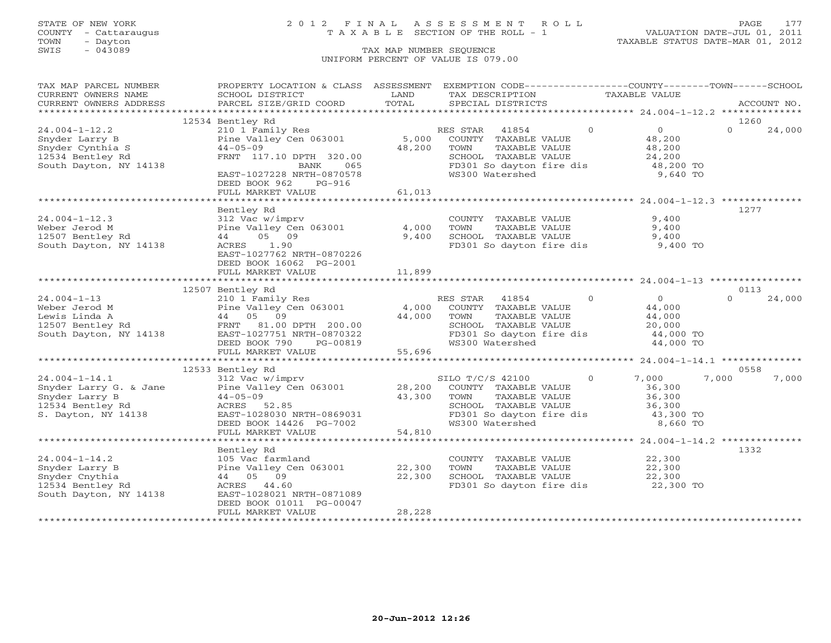### STATE OF NEW YORK 2 0 1 2 F I N A L A S S E S S M E N T R O L L PAGE 177 COUNTY - Cattaraugus T A X A B L E SECTION OF THE ROLL - 1 VALUATION DATE-JUL 01, 2011

| TAX MAP PARCEL NUMBER                                                                                                     | PROPERTY LOCATION & CLASS ASSESSMENT                                                     |                       | EXEMPTION CODE-----------------COUNTY-------TOWN------SCHOOL      |                                  |                    |
|---------------------------------------------------------------------------------------------------------------------------|------------------------------------------------------------------------------------------|-----------------------|-------------------------------------------------------------------|----------------------------------|--------------------|
| CURRENT OWNERS NAME                                                                                                       | SCHOOL DISTRICT                                                                          | LAND                  | TAX DESCRIPTION                                                   | TAXABLE VALUE                    |                    |
| CURRENT OWNERS ADDRESS                                                                                                    | PARCEL SIZE/GRID COORD                                                                   | TOTAL                 | SPECIAL DISTRICTS                                                 |                                  | ACCOUNT NO.        |
|                                                                                                                           |                                                                                          |                       |                                                                   |                                  |                    |
|                                                                                                                           | 12534 Bentley Rd                                                                         |                       |                                                                   |                                  | 1260               |
| $24.004 - 1 - 12.2$                                                                                                       | 210 1 Family Res<br>Pine Valley Cen 063001                                               |                       | RES STAR<br>41854                                                 | $\overline{0}$<br>$\overline{0}$ | $\Omega$<br>24,000 |
| Snyder Larry B                                                                                                            |                                                                                          | $5,000$ <sup>--</sup> | COUNTY TAXABLE VALUE                                              | 48,200                           |                    |
| Snyder Cynthia S                                                                                                          | $44 - 05 - 09$                                                                           | 48,200                | TOWN<br>TAXABLE VALUE                                             | 48,200                           |                    |
| 12534 Bentley Rd                                                                                                          | FRNT 117.10 DPTH 320.00                                                                  |                       | SCHOOL TAXABLE VALUE                                              | 24,200                           |                    |
| South Dayton, NY 14138                                                                                                    | 065<br>BANK                                                                              |                       | FD301 So dayton fire dis 48,200 TO                                |                                  |                    |
|                                                                                                                           | EAST-1027228 NRTH-0870578                                                                |                       | WS300 Watershed                                                   | 9,640 TO                         |                    |
|                                                                                                                           | DEED BOOK 962<br>PG-916                                                                  |                       |                                                                   |                                  |                    |
|                                                                                                                           | FULL MARKET VALUE                                                                        | 61,013                |                                                                   |                                  |                    |
|                                                                                                                           |                                                                                          |                       |                                                                   |                                  |                    |
|                                                                                                                           | Bentley Rd                                                                               |                       |                                                                   |                                  | 1277               |
| $24.004 - 1 - 12.3$                                                                                                       | 312 Vac w/imprv                                                                          |                       | COUNTY TAXABLE VALUE                                              | 9,400                            |                    |
| Weber Jerod M                                                                                                             | Pine Valley Cen 063001                                                                   | 4,000                 | TOWN<br>TAXABLE VALUE                                             | 9,400                            |                    |
| 12507 Bentley Rd                                                                                                          | 44 05 09                                                                                 | 9,400                 | SCHOOL TAXABLE VALUE                                              | 9,400                            |                    |
| South Dayton, NY 14138                                                                                                    | ACRES 1.90                                                                               |                       | FD301 So dayton fire dis                                          | 9,400 TO                         |                    |
|                                                                                                                           | EAST-1027762 NRTH-0870226                                                                |                       |                                                                   |                                  |                    |
|                                                                                                                           | DEED BOOK 16062 PG-2001                                                                  |                       |                                                                   |                                  |                    |
|                                                                                                                           | FULL MARKET VALUE                                                                        | 11,899                |                                                                   |                                  |                    |
|                                                                                                                           |                                                                                          |                       |                                                                   |                                  |                    |
|                                                                                                                           |                                                                                          |                       |                                                                   |                                  |                    |
|                                                                                                                           | 12507 Bentley Rd                                                                         |                       |                                                                   |                                  | 0113               |
| $24.004 - 1 - 13$                                                                                                         | 210 1 Family Res                                                                         |                       | RES STAR 41854                                                    | $\overline{0}$<br>$\overline{0}$ | $\Omega$<br>24,000 |
|                                                                                                                           | Pine Valley Cen 063001 4,000 COUNTY TAXABLE VALUE                                        |                       |                                                                   | 44,000                           |                    |
|                                                                                                                           |                                                                                          | 44,000 TOWN           | TAXABLE VALUE                                                     | 44,000                           |                    |
|                                                                                                                           |                                                                                          |                       | SCHOOL TAXABLE VALUE                                              | 20,000                           |                    |
|                                                                                                                           |                                                                                          |                       | FD301 So dayton fire dis                                          | 44,000 TO                        |                    |
|                                                                                                                           | DEED BOOK 790<br>PG-00819                                                                |                       | WS300 Watershed                                                   | 44,000 TO                        |                    |
|                                                                                                                           | FULL MARKET VALUE                                                                        | 55,696                |                                                                   |                                  |                    |
|                                                                                                                           |                                                                                          |                       |                                                                   |                                  |                    |
|                                                                                                                           | 12533 Bentley Rd                                                                         |                       |                                                                   |                                  | 0558               |
| $24.004 - 1 - 14.1$                                                                                                       | $312$ Vac w/imprv                                                                        |                       | SILO T/C/S 42100                                                  | $\circ$<br>7,000                 | 7,000<br>7,000     |
|                                                                                                                           | Pine Valley Cen 063001 28,200 COUNTY TAXABLE VALUE<br>44-05-09 43,300 TOWN TAXABLE VALUE |                       |                                                                   | 36,300                           |                    |
|                                                                                                                           |                                                                                          |                       |                                                                   | 36,300                           |                    |
| Snyder Larry G. & Jane<br>Snyder Larry B<br>12534 Bentley Rd<br>Snyder Larry B<br>12534 Bentley Rd<br>S. Dayton, NY 14138 | ACRES 52.85                                                                              |                       | SCHOOL TAXABLE VALUE                                              | 36,300                           |                    |
|                                                                                                                           | EAST-1028030 NRTH-0869031                                                                |                       | FD301 So dayton fire dis 30,300 TO                                |                                  |                    |
|                                                                                                                           | DEED BOOK 14426 PG-7002                                                                  |                       | WS300 Watershed                                                   | 8,660 TO                         |                    |
|                                                                                                                           | FULL MARKET VALUE                                                                        | 54,810                |                                                                   |                                  |                    |
|                                                                                                                           |                                                                                          |                       |                                                                   |                                  |                    |
|                                                                                                                           | Bentley Rd                                                                               |                       |                                                                   |                                  | 1332               |
| $24.004 - 1 - 14.2$                                                                                                       | 105 Vac farmland                                                                         |                       |                                                                   |                                  |                    |
| Snyder Larry B                                                                                                            | Pine Valley Cen 063001 22,300                                                            |                       | COUNTY TAXABLE VALUE<br>TOWN     TAXABLE VALUE                    | 22,300<br>22,300                 |                    |
| Snyder Cnythia                                                                                                            | 44 05 09                                                                                 | 22,300                |                                                                   |                                  |                    |
| 12534 Bentley Rd                                                                                                          | ACRES 44.60                                                                              |                       | SCHOOL TAXABLE VALUE 22,300<br>FD301 So dayton fire dis 22,300 TO |                                  |                    |
| South Dayton, NY 14138                                                                                                    | EAST-1028021 NRTH-0871089                                                                |                       |                                                                   |                                  |                    |
|                                                                                                                           | DEED BOOK 01011 PG-00047                                                                 |                       |                                                                   |                                  |                    |
|                                                                                                                           | FULL MARKET VALUE                                                                        | 28,228                |                                                                   |                                  |                    |
|                                                                                                                           |                                                                                          |                       |                                                                   |                                  |                    |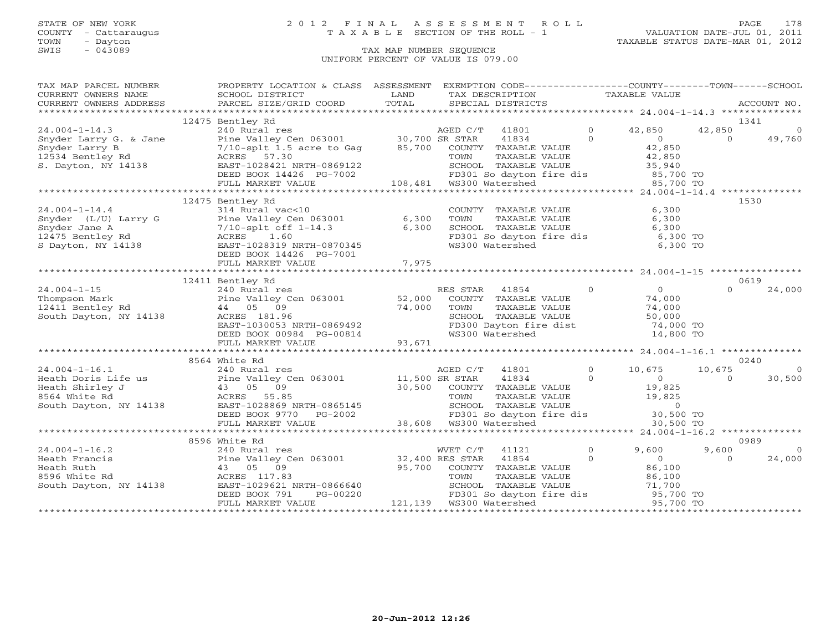## STATE OF NEW YORK 2 0 1 2 F I N A L A S S E S S M E N T R O L L PAGE 178 COUNTY - Cattaraugus T A X A B L E SECTION OF THE ROLL - 1 VALUATION DATE-JUL 01, 2011

| TAX MAP PARCEL NUMBER THE PROPERTY LOCATION & CLASS ASSESSMENT EXEMPTION CODE--------------COUNTY-------TOWN------SCHOOL                                                                                                                                                                                                                                |  |  |          |          |
|---------------------------------------------------------------------------------------------------------------------------------------------------------------------------------------------------------------------------------------------------------------------------------------------------------------------------------------------------------|--|--|----------|----------|
|                                                                                                                                                                                                                                                                                                                                                         |  |  |          |          |
|                                                                                                                                                                                                                                                                                                                                                         |  |  |          |          |
|                                                                                                                                                                                                                                                                                                                                                         |  |  |          |          |
| 12475 Bentley Rd                                                                                                                                                                                                                                                                                                                                        |  |  |          | 1341     |
|                                                                                                                                                                                                                                                                                                                                                         |  |  |          |          |
|                                                                                                                                                                                                                                                                                                                                                         |  |  |          |          |
|                                                                                                                                                                                                                                                                                                                                                         |  |  |          |          |
|                                                                                                                                                                                                                                                                                                                                                         |  |  |          |          |
|                                                                                                                                                                                                                                                                                                                                                         |  |  |          |          |
|                                                                                                                                                                                                                                                                                                                                                         |  |  |          |          |
|                                                                                                                                                                                                                                                                                                                                                         |  |  |          |          |
|                                                                                                                                                                                                                                                                                                                                                         |  |  |          |          |
| 12475 Bentley Rd                                                                                                                                                                                                                                                                                                                                        |  |  |          | 1530     |
|                                                                                                                                                                                                                                                                                                                                                         |  |  |          |          |
|                                                                                                                                                                                                                                                                                                                                                         |  |  |          |          |
|                                                                                                                                                                                                                                                                                                                                                         |  |  |          |          |
|                                                                                                                                                                                                                                                                                                                                                         |  |  |          |          |
|                                                                                                                                                                                                                                                                                                                                                         |  |  |          |          |
|                                                                                                                                                                                                                                                                                                                                                         |  |  |          |          |
|                                                                                                                                                                                                                                                                                                                                                         |  |  |          |          |
|                                                                                                                                                                                                                                                                                                                                                         |  |  |          |          |
|                                                                                                                                                                                                                                                                                                                                                         |  |  |          |          |
| 12411 Bentley Rd                                                                                                                                                                                                                                                                                                                                        |  |  |          | 0619     |
|                                                                                                                                                                                                                                                                                                                                                         |  |  | $\Omega$ | 24,000   |
|                                                                                                                                                                                                                                                                                                                                                         |  |  |          |          |
|                                                                                                                                                                                                                                                                                                                                                         |  |  |          |          |
|                                                                                                                                                                                                                                                                                                                                                         |  |  |          |          |
|                                                                                                                                                                                                                                                                                                                                                         |  |  |          |          |
|                                                                                                                                                                                                                                                                                                                                                         |  |  |          |          |
| $\begin{tabular}{lllllllllllll} 24.004-1-15 & 240 \; \text{Ric} & 240 \; \text{Ric} & 240 \; \text{Ric} & 240 \; \text{Ric} & 240 \; \text{Ric} & 240 \; \text{Ric} & 240 \; \text{Ric} & 240 \; \text{Ric} & 240 \; \text{Ric} & 240 \; \text{Ric} & 240 \; \text{Ric} & 240 \; \text{Ric} & 240 \; \text{Ric} & 240 \; \text{Ric} & 240 \; \text{Ric$ |  |  |          |          |
|                                                                                                                                                                                                                                                                                                                                                         |  |  |          |          |
| 8564 White Rd                                                                                                                                                                                                                                                                                                                                           |  |  |          | 0240     |
|                                                                                                                                                                                                                                                                                                                                                         |  |  |          |          |
|                                                                                                                                                                                                                                                                                                                                                         |  |  |          |          |
|                                                                                                                                                                                                                                                                                                                                                         |  |  |          |          |
|                                                                                                                                                                                                                                                                                                                                                         |  |  |          |          |
|                                                                                                                                                                                                                                                                                                                                                         |  |  |          |          |
|                                                                                                                                                                                                                                                                                                                                                         |  |  |          |          |
|                                                                                                                                                                                                                                                                                                                                                         |  |  |          |          |
|                                                                                                                                                                                                                                                                                                                                                         |  |  |          |          |
| 8596 White Rd                                                                                                                                                                                                                                                                                                                                           |  |  |          | 0989     |
|                                                                                                                                                                                                                                                                                                                                                         |  |  | 9,600    | $\sim$ 0 |
|                                                                                                                                                                                                                                                                                                                                                         |  |  | $\Omega$ | 24,000   |
|                                                                                                                                                                                                                                                                                                                                                         |  |  |          |          |
|                                                                                                                                                                                                                                                                                                                                                         |  |  |          |          |
|                                                                                                                                                                                                                                                                                                                                                         |  |  |          |          |
|                                                                                                                                                                                                                                                                                                                                                         |  |  |          |          |
|                                                                                                                                                                                                                                                                                                                                                         |  |  |          |          |
|                                                                                                                                                                                                                                                                                                                                                         |  |  |          |          |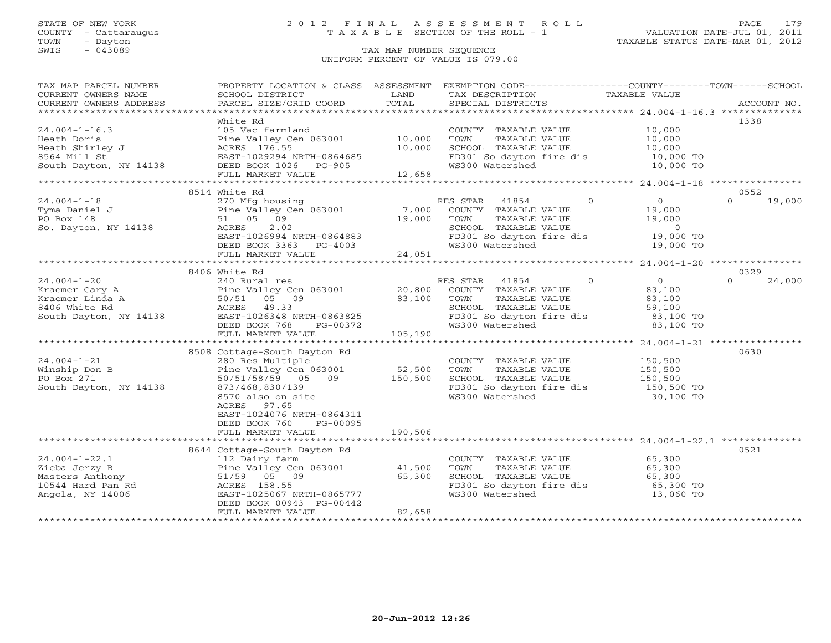### STATE OF NEW YORK 2 0 1 2 F I N A L A S S E S S M E N T R O L L PAGE 179 COUNTY - Cattaraugus T A X A B L E SECTION OF THE ROLL - 1 VALUATION DATE-JUL 01, 2011

### SWIS - Dayton - Dayton - Dayton - Dayton - Dayton - Dayton - Dayton - Dayton - Dayton - Dayton - Dayton - Dayton - Dayton - Dayton - Dayton - Dayton - Dayton - Dayton - Dayton - Dayton - Dayton - Dayton - Dayton - Dayton -UNIFORM PERCENT OF VALUE IS 079.00

| TAX MAP PARCEL NUMBER                | PROPERTY LOCATION & CLASS ASSESSMENT      |         |                          |                   | EXEMPTION CODE-----------------COUNTY-------TOWN------SCHOOL |                    |  |
|--------------------------------------|-------------------------------------------|---------|--------------------------|-------------------|--------------------------------------------------------------|--------------------|--|
| CURRENT OWNERS NAME                  | SCHOOL DISTRICT                           | LAND    | TAX DESCRIPTION          |                   | TAXABLE VALUE                                                |                    |  |
| CURRENT OWNERS ADDRESS               | PARCEL SIZE/GRID COORD                    | TOTAL   | SPECIAL DISTRICTS        |                   |                                                              | ACCOUNT NO.        |  |
|                                      |                                           |         |                          |                   |                                                              |                    |  |
|                                      | White Rd                                  |         |                          |                   |                                                              | 1338               |  |
| $24.004 - 1 - 16.3$                  | 105 Vac farmland                          |         | COUNTY TAXABLE VALUE     |                   | 10,000                                                       |                    |  |
| Heath Doris                          | Pine Valley Cen 063001                    | 10,000  | TOWN                     | TAXABLE VALUE     | 10,000                                                       |                    |  |
| Heath Shirley J                      | ACRES 176.55                              | 10,000  | SCHOOL TAXABLE VALUE     |                   | 10,000                                                       |                    |  |
| 8564 Mill St                         | EAST-1029294 NRTH-0864685                 |         | FD301 So dayton fire dis |                   | 10,000 TO                                                    |                    |  |
| South Dayton, NY 14138               | DEED BOOK 1026 PG-905                     |         | WS300 Watershed          |                   | 10,000 TO                                                    |                    |  |
|                                      | FULL MARKET VALUE                         | 12,658  |                          |                   |                                                              |                    |  |
|                                      | 8514 White Rd                             |         |                          |                   |                                                              | 0552               |  |
| $24.004 - 1 - 18$                    | 270 Mfg housing                           |         | RES STAR                 | $\Omega$<br>41854 | $\overline{0}$                                               | $\cap$<br>19,000   |  |
| Tyma Daniel J                        | Pine Valley Cen 063001                    | 7,000   | COUNTY TAXABLE VALUE     |                   | 19,000                                                       |                    |  |
| PO Box 148                           | 51 05 09                                  | 19,000  | TOWN                     | TAXABLE VALUE     | 19,000                                                       |                    |  |
| So. Dayton, NY 14138                 | 2.02<br>ACRES                             |         | SCHOOL TAXABLE VALUE     |                   | $\overline{0}$                                               |                    |  |
|                                      | EAST-1026994 NRTH-0864883                 |         | FD301 So dayton fire dis |                   | 19,000 TO                                                    |                    |  |
|                                      | DEED BOOK 3363 PG-4003                    |         | WS300 Watershed          |                   | 19,000 TO                                                    |                    |  |
|                                      | FULL MARKET VALUE                         | 24,051  |                          |                   |                                                              |                    |  |
|                                      |                                           |         |                          |                   |                                                              |                    |  |
|                                      | 8406 White Rd                             |         |                          |                   |                                                              | 0329               |  |
| $24.004 - 1 - 20$                    | 240 Rural res                             |         | RES STAR 41854           | $\Omega$          | $\overline{0}$                                               | $\Omega$<br>24,000 |  |
| Kraemer Gary A                       | Pine Valley Cen 063001                    | 20,800  | COUNTY TAXABLE VALUE     |                   | 83,100                                                       |                    |  |
| Kraemer Linda A                      | 50/51 05 09                               | 83,100  | TOWN                     | TAXABLE VALUE     | 83,100                                                       |                    |  |
| 8406 White Rd                        | ACRES 49.33                               |         | SCHOOL TAXABLE VALUE     |                   | 59,100                                                       |                    |  |
| South Dayton, NY 14138               | EAST-1026348 NRTH-0863825                 |         | FD301 So dayton fire dis |                   | 83,100 TO                                                    |                    |  |
|                                      | DEED BOOK 768<br>PG-00372                 |         | WS300 Watershed          |                   | 83,100 TO                                                    |                    |  |
|                                      | FULL MARKET VALUE                         | 105,190 |                          |                   |                                                              |                    |  |
|                                      |                                           |         |                          |                   |                                                              |                    |  |
|                                      | 8508 Cottage-South Dayton Rd              |         |                          |                   |                                                              | 0630               |  |
| $24.004 - 1 - 21$                    | 280 Res Multiple                          |         | COUNTY TAXABLE VALUE     |                   | 150,500                                                      |                    |  |
| Winship Don B                        | Pine Valley Cen 063001                    | 52,500  | TOWN                     | TAXABLE VALUE     | 150,500                                                      |                    |  |
| PO Box 271                           | 50/51/58/59 05 09                         | 150,500 | SCHOOL TAXABLE VALUE     |                   | 150,500                                                      |                    |  |
| South Dayton, NY 14138               | 873/468,830/139                           |         |                          |                   | FD301 So dayton fire dis 150,500 TO                          |                    |  |
|                                      | 8570 also on site                         |         | WS300 Watershed          |                   | 30,100 TO                                                    |                    |  |
|                                      | ACRES<br>97.65                            |         |                          |                   |                                                              |                    |  |
|                                      | EAST-1024076 NRTH-0864311                 |         |                          |                   |                                                              |                    |  |
|                                      | DEED BOOK 760<br>PG-00095                 |         |                          |                   |                                                              |                    |  |
|                                      | FULL MARKET VALUE                         | 190,506 |                          |                   |                                                              |                    |  |
|                                      |                                           |         |                          |                   |                                                              |                    |  |
|                                      | 8644 Cottage-South Dayton Rd              |         |                          |                   |                                                              | 0521               |  |
| $24.004 - 1 - 22.1$                  | 112 Dairy farm                            |         | COUNTY TAXABLE VALUE     |                   | 65,300<br>65,300                                             |                    |  |
| Zieba Jerzy R                        | Pine Valley Cen 063001                    | 41,500  | TOWN                     | TAXABLE VALUE     |                                                              |                    |  |
| Masters Anthony<br>10544 Hard Pan Rd | 51/59 05 09                               | 65,300  | SCHOOL TAXABLE VALUE     |                   | 65,300<br>65,300 TO                                          |                    |  |
|                                      | ACRES 158.55<br>EAST-1025067 NRTH-0865777 |         | FD301 So dayton fire dis |                   |                                                              |                    |  |
| Angola, NY 14006                     |                                           |         | WS300 Watershed          |                   | 13,060 TO                                                    |                    |  |
|                                      | DEED BOOK 00943 PG-00442                  | 82,658  |                          |                   |                                                              |                    |  |
|                                      | FULL MARKET VALUE                         |         |                          |                   |                                                              |                    |  |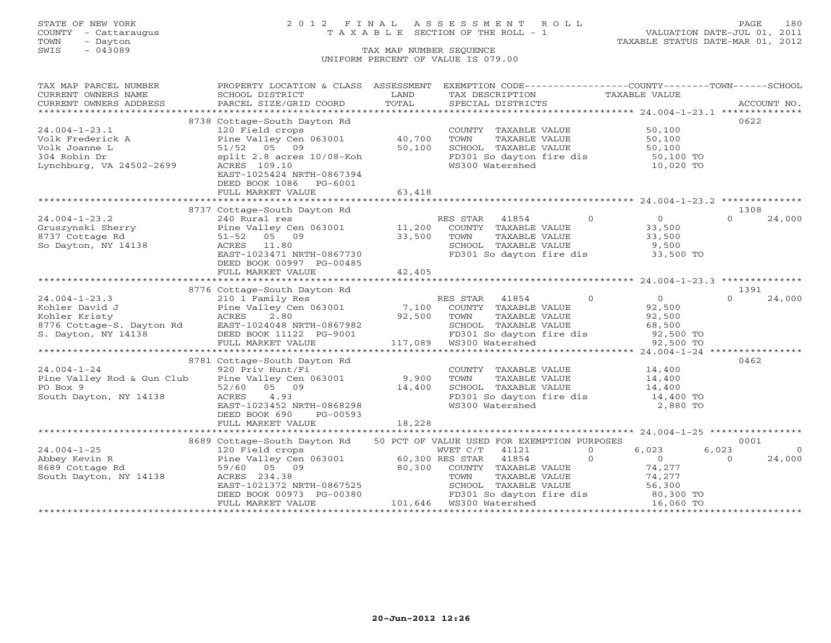### STATE OF NEW YORK 2 0 1 2 F I N A L A S S E S S M E N T R O L L PAGE 180 COUNTY - Cattaraugus T A X A B L E SECTION OF THE ROLL - 1 VALUATION DATE-JUL 01, 2011

| TAX MAP PARCEL NUMBER    | PROPERTY LOCATION & CLASS ASSESSMENT                                                                                                                                                                                                                                                                                                                                                                                                                                                                                   |        | EXEMPTION CODE----------------COUNTY-------TOWN------SCHOOL                                                          |                                                     |                         |
|--------------------------|------------------------------------------------------------------------------------------------------------------------------------------------------------------------------------------------------------------------------------------------------------------------------------------------------------------------------------------------------------------------------------------------------------------------------------------------------------------------------------------------------------------------|--------|----------------------------------------------------------------------------------------------------------------------|-----------------------------------------------------|-------------------------|
| CURRENT OWNERS NAME      | SCHOOL DISTRICT                                                                                                                                                                                                                                                                                                                                                                                                                                                                                                        | LAND   | TAX DESCRIPTION                                                                                                      | TAXABLE VALUE                                       |                         |
|                          |                                                                                                                                                                                                                                                                                                                                                                                                                                                                                                                        |        |                                                                                                                      |                                                     |                         |
|                          | $\begin{minipage}{.45\textwidth} \begin{minipage}{.45\textwidth} \begin{minipage}{.45\textwidth} \begin{minipage}{.45\textwidth} \begin{minipage}{.45\textwidth} \begin{minipage}{.45\textwidth} \begin{minipage}{.45\textwidth} \begin{minipage}{.45\textwidth} \begin{minipage}{.45\textwidth} \begin{minipage}{.45\textwidth} \begin{minipage}{.45\textwidth} \begin{minipage}{.45\textwidth} \begin{minipage}{.45\textwidth} \begin{minipage}{.45\textwidth} \begin{minipage}{.45\textwidth} \begin{minipage}{.45$ |        |                                                                                                                      |                                                     |                         |
|                          | 8738 Cottage-South Dayton Rd                                                                                                                                                                                                                                                                                                                                                                                                                                                                                           |        |                                                                                                                      |                                                     | 0622                    |
| $24.004 - 1 - 23.1$      | 120 Field crops                                                                                                                                                                                                                                                                                                                                                                                                                                                                                                        |        | COUNTY TAXABLE VALUE                                                                                                 | 50,100                                              |                         |
| Volk Frederick A         | Pine Valley Cen 063001                                                                                                                                                                                                                                                                                                                                                                                                                                                                                                 | 40,700 |                                                                                                                      |                                                     |                         |
| Volk Joanne L            | 51/52 05 09                                                                                                                                                                                                                                                                                                                                                                                                                                                                                                            | 50,100 |                                                                                                                      |                                                     |                         |
|                          | split 2.8 acres 10/08-Koh                                                                                                                                                                                                                                                                                                                                                                                                                                                                                              |        |                                                                                                                      |                                                     |                         |
| Lynchburg, VA 24502-2699 | ACRES 109.10                                                                                                                                                                                                                                                                                                                                                                                                                                                                                                           |        | FD301 So dayton fire dis 50,100 TO<br>WS300 Watershed 10,020 TO                                                      |                                                     |                         |
|                          | EAST-1025424 NRTH-0867394                                                                                                                                                                                                                                                                                                                                                                                                                                                                                              |        |                                                                                                                      |                                                     |                         |
|                          | DEED BOOK 1086 PG-6001                                                                                                                                                                                                                                                                                                                                                                                                                                                                                                 |        |                                                                                                                      |                                                     |                         |
|                          | FULL MARKET VALUE                                                                                                                                                                                                                                                                                                                                                                                                                                                                                                      | 63,418 |                                                                                                                      |                                                     |                         |
|                          |                                                                                                                                                                                                                                                                                                                                                                                                                                                                                                                        |        |                                                                                                                      |                                                     |                         |
|                          | 8737 Cottage-South Dayton Rd                                                                                                                                                                                                                                                                                                                                                                                                                                                                                           |        |                                                                                                                      |                                                     | 1308                    |
|                          |                                                                                                                                                                                                                                                                                                                                                                                                                                                                                                                        |        | RES STAR 41854                                                                                                       | $\overline{0}$<br>$\overline{O}$                    | $\Omega$<br>24,000      |
|                          |                                                                                                                                                                                                                                                                                                                                                                                                                                                                                                                        |        | COUNTY TAXABLE VALUE                                                                                                 | 33,500                                              |                         |
|                          |                                                                                                                                                                                                                                                                                                                                                                                                                                                                                                                        |        |                                                                                                                      |                                                     |                         |
|                          |                                                                                                                                                                                                                                                                                                                                                                                                                                                                                                                        |        | TOWN      TAXABLE VALUE<br>SCHOOL   TAXABLE VALUE                                                                    | 33,500<br>9,500                                     |                         |
|                          | EAST-1023471 NRTH-0867730                                                                                                                                                                                                                                                                                                                                                                                                                                                                                              |        | FD301 So dayton fire dis 33,500 TO                                                                                   |                                                     |                         |
|                          | DEED BOOK 00997 PG-00485                                                                                                                                                                                                                                                                                                                                                                                                                                                                                               |        |                                                                                                                      |                                                     |                         |
|                          | FULL MARKET VALUE                                                                                                                                                                                                                                                                                                                                                                                                                                                                                                      | 42,405 |                                                                                                                      |                                                     |                         |
|                          |                                                                                                                                                                                                                                                                                                                                                                                                                                                                                                                        |        |                                                                                                                      |                                                     |                         |
|                          | 8776 Cottage-South Dayton Rd                                                                                                                                                                                                                                                                                                                                                                                                                                                                                           |        |                                                                                                                      |                                                     | 1391                    |
| $24.004 - 1 - 23.3$      | 210 1 Family Res                                                                                                                                                                                                                                                                                                                                                                                                                                                                                                       |        | RES STAR 41854                                                                                                       | $\overline{0}$<br>$\Omega$                          | $\cap$<br>24,000        |
|                          |                                                                                                                                                                                                                                                                                                                                                                                                                                                                                                                        |        | COUNTY TAXABLE VALUE                                                                                                 | 92,500                                              |                         |
|                          |                                                                                                                                                                                                                                                                                                                                                                                                                                                                                                                        | 92,500 | TAXABLE VALUE<br>TOWN                                                                                                | 92,500                                              |                         |
|                          |                                                                                                                                                                                                                                                                                                                                                                                                                                                                                                                        |        | SCHOOL TAXABLE VALUE 68,500                                                                                          |                                                     |                         |
|                          |                                                                                                                                                                                                                                                                                                                                                                                                                                                                                                                        |        |                                                                                                                      |                                                     |                         |
|                          |                                                                                                                                                                                                                                                                                                                                                                                                                                                                                                                        |        | FD301 So dayton fire dis 92,500 TO<br>WS300 Watershed 92,500 TO<br>901 FD301 So aayton<br>117,089 WS300 Watershed    |                                                     |                         |
|                          |                                                                                                                                                                                                                                                                                                                                                                                                                                                                                                                        |        |                                                                                                                      |                                                     |                         |
|                          | 8781 Cottage-South Dayton Rd                                                                                                                                                                                                                                                                                                                                                                                                                                                                                           |        |                                                                                                                      |                                                     | 0462                    |
|                          |                                                                                                                                                                                                                                                                                                                                                                                                                                                                                                                        |        | COUNTY TAXABLE VALUE                                                                                                 |                                                     |                         |
|                          | $24.004-1-24$ 920 Priv Hunt/Fi <sup>-</sup><br>Pine Valley Rod & Gun Club Pine Valley Cen 063001 9,900                                                                                                                                                                                                                                                                                                                                                                                                                 |        | TOWN<br>TAXABLE VALUE                                                                                                | 14,400<br>14,400                                    |                         |
|                          |                                                                                                                                                                                                                                                                                                                                                                                                                                                                                                                        | 14,400 | SCHOOL TAXABLE VALUE                                                                                                 |                                                     |                         |
|                          |                                                                                                                                                                                                                                                                                                                                                                                                                                                                                                                        |        | FD301 So dayton fire dis                                                                                             | $\begin{array}{cc} 14,400 \\ 14,400 \end{array}$ TO |                         |
|                          | EAST-1023452 NRTH-0868298                                                                                                                                                                                                                                                                                                                                                                                                                                                                                              |        | WS300 Watershed                                                                                                      | 2,880 TO                                            |                         |
|                          | DEED BOOK 690<br>PG-00593                                                                                                                                                                                                                                                                                                                                                                                                                                                                                              |        |                                                                                                                      |                                                     |                         |
|                          | FULL MARKET VALUE                                                                                                                                                                                                                                                                                                                                                                                                                                                                                                      | 18,228 |                                                                                                                      |                                                     |                         |
|                          |                                                                                                                                                                                                                                                                                                                                                                                                                                                                                                                        |        |                                                                                                                      |                                                     |                         |
|                          | 8689 Cottage-South Dayton Rd                                                                                                                                                                                                                                                                                                                                                                                                                                                                                           |        | 50 PCT OF VALUE USED FOR EXEMPTION PURPOSES                                                                          |                                                     | 0001                    |
|                          |                                                                                                                                                                                                                                                                                                                                                                                                                                                                                                                        |        |                                                                                                                      | 6,023<br>$\overline{0}$                             | 6,023<br>$\overline{0}$ |
|                          |                                                                                                                                                                                                                                                                                                                                                                                                                                                                                                                        |        | $\overline{0}$                                                                                                       | $\overline{0}$                                      | $\Omega$<br>24,000      |
|                          |                                                                                                                                                                                                                                                                                                                                                                                                                                                                                                                        |        |                                                                                                                      |                                                     |                         |
|                          | 24.004-1-25<br>Abbey Kevin R<br>8689 Cottage Rd<br>South Dayton, NY 14138<br>South Dayton, NY 14138<br>234.38<br>234.38<br>234.38<br>234.38<br>234.38<br>234.38<br>234.38<br>234.38<br>234.38<br>234.38                                                                                                                                                                                                                                                                                                                |        | COUNTY TAXABLE VALUE<br>TOWN      TAXABLE VALUE                                                                      | 74,277<br>74,277                                    |                         |
|                          |                                                                                                                                                                                                                                                                                                                                                                                                                                                                                                                        |        |                                                                                                                      |                                                     |                         |
|                          | EAST-1021372 NRTH-0867525<br>DEED BOOK 00973 PG-00380 FD301 So dayton<br>FULL MARKET VALUE 101,646 WS300 Watershed                                                                                                                                                                                                                                                                                                                                                                                                     |        | TOWN TAXABLE VALUE<br>SCHOOL TAXABLE VALUE 56,300<br>FD301 So dayton fire dis 80,300 TO<br>WS300 Watershed 16,060 TO |                                                     |                         |
|                          |                                                                                                                                                                                                                                                                                                                                                                                                                                                                                                                        |        |                                                                                                                      |                                                     |                         |
|                          |                                                                                                                                                                                                                                                                                                                                                                                                                                                                                                                        |        |                                                                                                                      |                                                     |                         |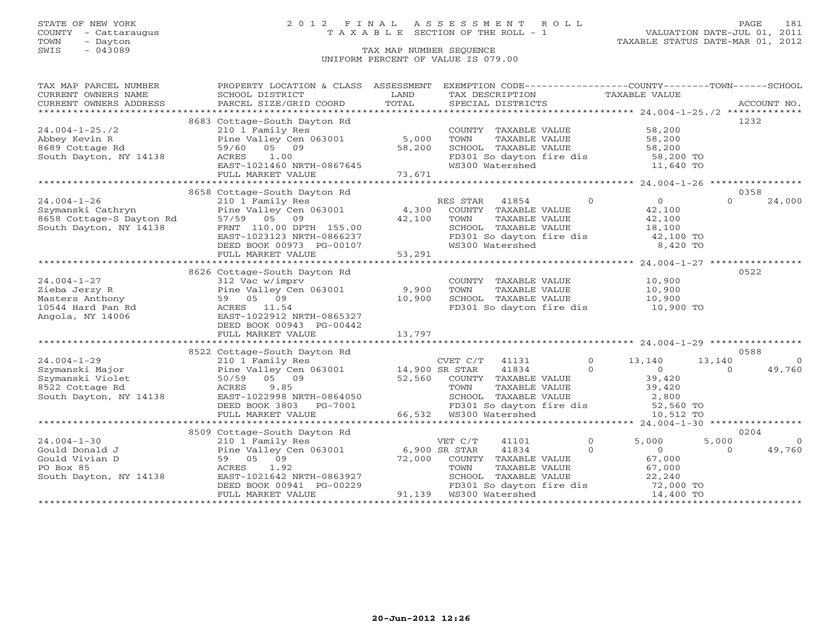## STATE OF NEW YORK 2 0 1 2 F I N A L A S S E S S M E N T R O L L PAGE 181 COUNTY - Cattaraugus T A X A B L E SECTION OF THE ROLL - 1 VALUATION DATE-JUL 01, 2011

| TAX MAP PARCEL NUMBER                                        | PROPERTY LOCATION & CLASS ASSESSMENT                                                                                                                                                                                                                                                                                                                                                                                                                                                                                   |                  | EXEMPTION CODE-----------------COUNTY-------TOWN------SCHOOL                                 |                                                                                                                                                                                                                                                                                                                                                                                                                                                                             |                          |
|--------------------------------------------------------------|------------------------------------------------------------------------------------------------------------------------------------------------------------------------------------------------------------------------------------------------------------------------------------------------------------------------------------------------------------------------------------------------------------------------------------------------------------------------------------------------------------------------|------------------|----------------------------------------------------------------------------------------------|-----------------------------------------------------------------------------------------------------------------------------------------------------------------------------------------------------------------------------------------------------------------------------------------------------------------------------------------------------------------------------------------------------------------------------------------------------------------------------|--------------------------|
| CURRENT OWNERS NAME                                          | SCHOOL DISTRICT                                                                                                                                                                                                                                                                                                                                                                                                                                                                                                        | LAND             | TAX DESCRIPTION TAXABLE VALUE                                                                |                                                                                                                                                                                                                                                                                                                                                                                                                                                                             |                          |
|                                                              | $\begin{minipage}{.45\textwidth} \begin{minipage}{.45\textwidth} \begin{minipage}{.45\textwidth} \begin{minipage}{.45\textwidth} \begin{minipage}{.45\textwidth} \begin{minipage}{.45\textwidth} \begin{minipage}{.45\textwidth} \begin{minipage}{.45\textwidth} \begin{minipage}{.45\textwidth} \begin{minipage}{.45\textwidth} \begin{minipage}{.45\textwidth} \begin{minipage}{.45\textwidth} \begin{minipage}{.45\textwidth} \begin{minipage}{.45\textwidth} \begin{minipage}{.45\textwidth} \begin{minipage}{.45$ |                  |                                                                                              |                                                                                                                                                                                                                                                                                                                                                                                                                                                                             |                          |
|                                                              | 8683 Cottage-South Dayton Rd                                                                                                                                                                                                                                                                                                                                                                                                                                                                                           |                  |                                                                                              |                                                                                                                                                                                                                                                                                                                                                                                                                                                                             | 1232                     |
| $24.004 - 1 - 25.72$                                         | 210 1 Family Res                                                                                                                                                                                                                                                                                                                                                                                                                                                                                                       |                  | COUNTY TAXABLE VALUE 58,200                                                                  |                                                                                                                                                                                                                                                                                                                                                                                                                                                                             |                          |
| Abbey Kevin R                                                | Pine Valley Cen $063001$ 5,000                                                                                                                                                                                                                                                                                                                                                                                                                                                                                         |                  | TOWN                                                                                         |                                                                                                                                                                                                                                                                                                                                                                                                                                                                             |                          |
| 8689 Cottage Rd                                              | 59/60 05 09                                                                                                                                                                                                                                                                                                                                                                                                                                                                                                            | 58,200           | SCHOOL TAXABLE VALUE                                                                         | TAXABLE VALUE<br>TAXABLE VALUE 58,200<br>TAXABLE VALUE 58,200                                                                                                                                                                                                                                                                                                                                                                                                               |                          |
| South Dayton, NY 14138 ACRES 1.00                            |                                                                                                                                                                                                                                                                                                                                                                                                                                                                                                                        |                  | FD301 So dayton fire dis 58,200 TO                                                           |                                                                                                                                                                                                                                                                                                                                                                                                                                                                             |                          |
|                                                              |                                                                                                                                                                                                                                                                                                                                                                                                                                                                                                                        |                  | WS300 Watershed                                                                              | 11,640 TO                                                                                                                                                                                                                                                                                                                                                                                                                                                                   |                          |
|                                                              | ACRES 1.00<br>EAST-1021460 NRTH-0867645<br>FULL MARKET VALUE 73,671                                                                                                                                                                                                                                                                                                                                                                                                                                                    |                  |                                                                                              |                                                                                                                                                                                                                                                                                                                                                                                                                                                                             |                          |
|                                                              |                                                                                                                                                                                                                                                                                                                                                                                                                                                                                                                        |                  |                                                                                              |                                                                                                                                                                                                                                                                                                                                                                                                                                                                             |                          |
|                                                              | 8658 Cottage-South Dayton Rd                                                                                                                                                                                                                                                                                                                                                                                                                                                                                           |                  |                                                                                              |                                                                                                                                                                                                                                                                                                                                                                                                                                                                             | 0358                     |
| $24.004 - 1 - 26$                                            | 210 1 Family Res                                                                                                                                                                                                                                                                                                                                                                                                                                                                                                       |                  | $\overline{0}$<br>RES STAR<br>41854                                                          | $\overline{0}$                                                                                                                                                                                                                                                                                                                                                                                                                                                              | $\Omega$<br>24,000       |
| z4.004-1-20<br>Szymanski Cathryn<br>8658 Cottage-S Dayton Rd | Pine Valley Cen 063001 4,300                                                                                                                                                                                                                                                                                                                                                                                                                                                                                           |                  | COUNTY TAXABLE VALUE                                                                         | 42,100                                                                                                                                                                                                                                                                                                                                                                                                                                                                      |                          |
|                                                              | 57/59 05 09                                                                                                                                                                                                                                                                                                                                                                                                                                                                                                            | 42,100           | TAXABLE VALUE<br>TOWN                                                                        | 42,100                                                                                                                                                                                                                                                                                                                                                                                                                                                                      |                          |
| South Dayton, NY 14138                                       | FRNT 110.00 DPTH 155.00                                                                                                                                                                                                                                                                                                                                                                                                                                                                                                |                  |                                                                                              |                                                                                                                                                                                                                                                                                                                                                                                                                                                                             |                          |
|                                                              | EAST-1023123 NRTH-0866237                                                                                                                                                                                                                                                                                                                                                                                                                                                                                              |                  |                                                                                              |                                                                                                                                                                                                                                                                                                                                                                                                                                                                             |                          |
|                                                              | DEED BOOK 00973 PG-00107                                                                                                                                                                                                                                                                                                                                                                                                                                                                                               | $3-00107$ 53,291 | CHOOL TAXABLE VALUE 18,100<br>FD301 So dayton fire dis 42,100 TO<br>WS300 Watershed 8,420 TO |                                                                                                                                                                                                                                                                                                                                                                                                                                                                             |                          |
|                                                              | FULL MARKET VALUE                                                                                                                                                                                                                                                                                                                                                                                                                                                                                                      |                  |                                                                                              |                                                                                                                                                                                                                                                                                                                                                                                                                                                                             |                          |
|                                                              |                                                                                                                                                                                                                                                                                                                                                                                                                                                                                                                        |                  |                                                                                              |                                                                                                                                                                                                                                                                                                                                                                                                                                                                             |                          |
|                                                              | 8626 Cottage-South Dayton Rd                                                                                                                                                                                                                                                                                                                                                                                                                                                                                           |                  |                                                                                              |                                                                                                                                                                                                                                                                                                                                                                                                                                                                             | 0522                     |
| $24.004 - 1 - 27$                                            | 312 Vac w/imprv                                                                                                                                                                                                                                                                                                                                                                                                                                                                                                        |                  | COUNTY TAXABLE VALUE 10,900                                                                  |                                                                                                                                                                                                                                                                                                                                                                                                                                                                             |                          |
| Zieba Jerzy R                                                | Pine Valley Cen 063001 9,900<br>59 05 09 10,900                                                                                                                                                                                                                                                                                                                                                                                                                                                                        |                  | TAXABLE VALUE<br>TOWN                                                                        | 10,900<br>10,900                                                                                                                                                                                                                                                                                                                                                                                                                                                            |                          |
| Masters Anthony                                              |                                                                                                                                                                                                                                                                                                                                                                                                                                                                                                                        |                  | SCHOOL TAXABLE VALUE                                                                         |                                                                                                                                                                                                                                                                                                                                                                                                                                                                             |                          |
| 10544 Hard Pan Rd                                            | ACRES 11.54                                                                                                                                                                                                                                                                                                                                                                                                                                                                                                            |                  | FD301 So dayton fire dis 10,900 TO                                                           |                                                                                                                                                                                                                                                                                                                                                                                                                                                                             |                          |
| Angola, NY 14006                                             | EAST-1022912 NRTH-0865327                                                                                                                                                                                                                                                                                                                                                                                                                                                                                              |                  |                                                                                              |                                                                                                                                                                                                                                                                                                                                                                                                                                                                             |                          |
|                                                              | DEED BOOK 00943 PG-00442                                                                                                                                                                                                                                                                                                                                                                                                                                                                                               |                  |                                                                                              |                                                                                                                                                                                                                                                                                                                                                                                                                                                                             |                          |
|                                                              |                                                                                                                                                                                                                                                                                                                                                                                                                                                                                                                        |                  |                                                                                              |                                                                                                                                                                                                                                                                                                                                                                                                                                                                             |                          |
|                                                              | 8522 Cottage-South Dayton Rd                                                                                                                                                                                                                                                                                                                                                                                                                                                                                           |                  |                                                                                              |                                                                                                                                                                                                                                                                                                                                                                                                                                                                             | 0588                     |
| $24.004 - 1 - 29$                                            | 210 1 Family Res                                                                                                                                                                                                                                                                                                                                                                                                                                                                                                       |                  | CVET C/T 41131 0 13,140                                                                      |                                                                                                                                                                                                                                                                                                                                                                                                                                                                             | 13,140<br>$\overline{0}$ |
| Szymanski Major                                              | Pine Valley Cen 063001 $14,900$ SR STAR                                                                                                                                                                                                                                                                                                                                                                                                                                                                                |                  |                                                                                              |                                                                                                                                                                                                                                                                                                                                                                                                                                                                             | 49,760<br>$\Omega$       |
| Szymanski Violet                                             | 50/59 05 09                                                                                                                                                                                                                                                                                                                                                                                                                                                                                                            | 52,560           | COUNTY TAXABLE VALUE                                                                         | $\begin{tabular}{c c c c} \multicolumn{1}{c }{\textbf{41834}} & \multicolumn{1}{c }{\textbf{0}} & \multicolumn{1}{c }{\textbf{0}} \\ \multicolumn{1}{c }{\textbf{TXABLE VALUE}} & \multicolumn{1}{c }{\textbf{39,420}} \\ \multicolumn{1}{c }{\textbf{TXABLE VALUE}} & \multicolumn{1}{c }{\textbf{39,420}} \\ \multicolumn{1}{c }{\textbf{TXABLE VALUE}} & \multicolumn{1}{c }{\textbf{39,420}} \\ \multicolumn{1}{c }{\textbf{TXABLE VALUE}} & \multicolumn{1}{c }{\text$ |                          |
| 8522 Cottage Rd                                              | ACRES<br>9.85                                                                                                                                                                                                                                                                                                                                                                                                                                                                                                          |                  | TOWN                                                                                         |                                                                                                                                                                                                                                                                                                                                                                                                                                                                             |                          |
| 14138<br>South Dayton, NY 14138                              | EAST-1022998 NRTH-0864050                                                                                                                                                                                                                                                                                                                                                                                                                                                                                              |                  |                                                                                              |                                                                                                                                                                                                                                                                                                                                                                                                                                                                             |                          |
|                                                              |                                                                                                                                                                                                                                                                                                                                                                                                                                                                                                                        |                  |                                                                                              |                                                                                                                                                                                                                                                                                                                                                                                                                                                                             |                          |
|                                                              |                                                                                                                                                                                                                                                                                                                                                                                                                                                                                                                        |                  |                                                                                              |                                                                                                                                                                                                                                                                                                                                                                                                                                                                             |                          |
|                                                              |                                                                                                                                                                                                                                                                                                                                                                                                                                                                                                                        |                  |                                                                                              |                                                                                                                                                                                                                                                                                                                                                                                                                                                                             |                          |
|                                                              | 8509 Cottage-South Dayton Rd                                                                                                                                                                                                                                                                                                                                                                                                                                                                                           |                  |                                                                                              |                                                                                                                                                                                                                                                                                                                                                                                                                                                                             | 0204                     |
| $24.004 - 1 - 30$                                            | 210 1 Family Res                                                                                                                                                                                                                                                                                                                                                                                                                                                                                                       |                  | VET C/T<br>41101                                                                             | $\Omega$<br>5,000                                                                                                                                                                                                                                                                                                                                                                                                                                                           | 5,000<br>$\overline{0}$  |
| Gould Donald J                                               | Pine Valley Cen 063001 6,900 SR STAR                                                                                                                                                                                                                                                                                                                                                                                                                                                                                   |                  | $\sim$ 0<br>41834                                                                            | $\overline{0}$                                                                                                                                                                                                                                                                                                                                                                                                                                                              | 49,760<br>$\Omega$       |
| Gould Vivian D                                               | 59 05 09                                                                                                                                                                                                                                                                                                                                                                                                                                                                                                               |                  |                                                                                              | 67,000                                                                                                                                                                                                                                                                                                                                                                                                                                                                      |                          |
| PO Box 85                                                    | ACRES 1.92                                                                                                                                                                                                                                                                                                                                                                                                                                                                                                             |                  | 72,000 COUNTY TAXABLE VALUE 67,000<br>TOWN TAXABLE VALUE 67,000                              |                                                                                                                                                                                                                                                                                                                                                                                                                                                                             |                          |
| South Dayton, NY 14138                                       |                                                                                                                                                                                                                                                                                                                                                                                                                                                                                                                        |                  |                                                                                              |                                                                                                                                                                                                                                                                                                                                                                                                                                                                             |                          |
|                                                              |                                                                                                                                                                                                                                                                                                                                                                                                                                                                                                                        |                  |                                                                                              |                                                                                                                                                                                                                                                                                                                                                                                                                                                                             |                          |
|                                                              | ACRES 1.92<br>EAST-1021642 NRTH-0863927<br>DEED BOOK 00941 PG-00229 PD301 Sodayton<br>FINIL MARKET VALUE 91,139 WS300 Wattitished                                                                                                                                                                                                                                                                                                                                                                                      |                  | CHOOL TAXABLE VALUE<br>FD301 So dayton fire dis 32,240<br>WS300 Watershed 14,400 TO          |                                                                                                                                                                                                                                                                                                                                                                                                                                                                             |                          |
|                                                              |                                                                                                                                                                                                                                                                                                                                                                                                                                                                                                                        |                  |                                                                                              |                                                                                                                                                                                                                                                                                                                                                                                                                                                                             |                          |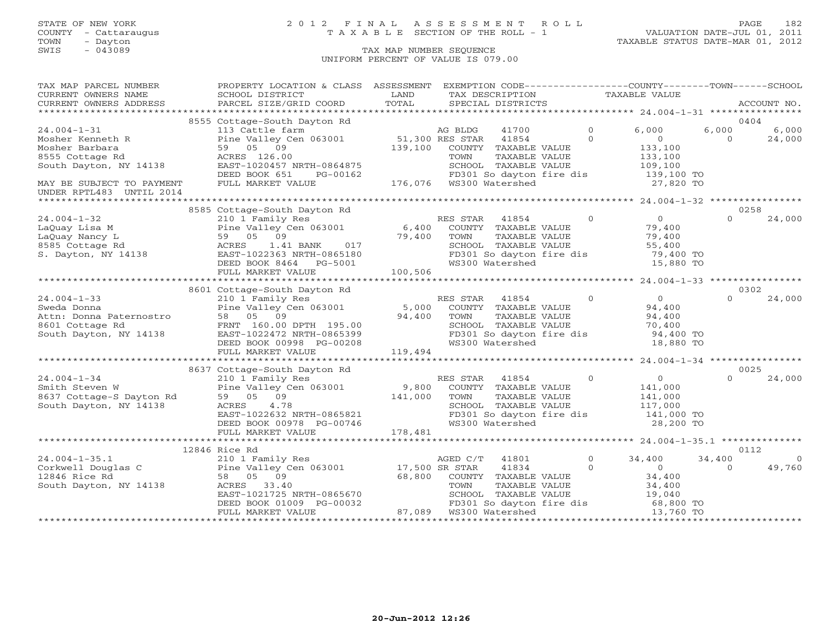### STATE OF NEW YORK 2 0 1 2 F I N A L A S S E S S M E N T R O L L PAGE 182 COUNTY - Cattaraugus T A X A B L E SECTION OF THE ROLL - 1 VALUATION DATE-JUL 01, 2011

| TAX MAP PARCEL NUMBER                                                                                                                                                                                                                                                                                                                                                             | PROPERTY LOCATION & CLASS ASSESSMENT                                                                                                                                     |         | EXEMPTION CODE-----------------COUNTY-------TOWN------SCHOOL                                    |                |                                                                                                                                       |          |                |
|-----------------------------------------------------------------------------------------------------------------------------------------------------------------------------------------------------------------------------------------------------------------------------------------------------------------------------------------------------------------------------------|--------------------------------------------------------------------------------------------------------------------------------------------------------------------------|---------|-------------------------------------------------------------------------------------------------|----------------|---------------------------------------------------------------------------------------------------------------------------------------|----------|----------------|
| CURRENT OWNERS NAME                                                                                                                                                                                                                                                                                                                                                               | SCHOOL DISTRICT                                                                                                                                                          | LAND    | TAX DESCRIPTION                                                                                 |                | TAXABLE VALUE                                                                                                                         |          |                |
| CURRENT OWNERS ADDRESS                                                                                                                                                                                                                                                                                                                                                            | PARCEL SIZE/GRID COORD                                                                                                                                                   | TOTAL   | SPECIAL DISTRICTS                                                                               |                |                                                                                                                                       |          | ACCOUNT NO.    |
|                                                                                                                                                                                                                                                                                                                                                                                   |                                                                                                                                                                          |         |                                                                                                 |                |                                                                                                                                       |          |                |
|                                                                                                                                                                                                                                                                                                                                                                                   | 8555 Cottage-South Dayton Rd                                                                                                                                             |         |                                                                                                 |                |                                                                                                                                       | 0404     |                |
| $24.004 - 1 - 31$                                                                                                                                                                                                                                                                                                                                                                 | 113 Cattle farm and a cattle farm and the Valley Cen 063001 51,300 RES STAR<br>59 05 09 139,100 COUNTY<br>ACRES 126.00 TOWN                                              |         | 41700                                                                                           | $\Omega$       | 6,000                                                                                                                                 | 6,000    | 6,000          |
| Mosher Kenneth R Pine Valley Cen 063001<br>Mosher Barbara 59 05 09<br>8555 Cottage Rd ACRES 126.00<br>South Dayton, NY 14138 EAST-1020457 NRTH-0864875                                                                                                                                                                                                                            |                                                                                                                                                                          |         | 41854                                                                                           | $\Omega$       | $\overline{0}$                                                                                                                        | $\Omega$ | 24,000         |
|                                                                                                                                                                                                                                                                                                                                                                                   |                                                                                                                                                                          |         | COUNTY TAXABLE VALUE                                                                            |                | 133,100                                                                                                                               |          |                |
|                                                                                                                                                                                                                                                                                                                                                                                   |                                                                                                                                                                          |         | TAXABLE VALUE                                                                                   |                | 133,100                                                                                                                               |          |                |
|                                                                                                                                                                                                                                                                                                                                                                                   |                                                                                                                                                                          |         | CHOOL TAXABLE VALUE 109,100<br>FD301 So dayton fire dis 109,100 TO<br>WS300 Watershed 27,820 TO |                |                                                                                                                                       |          |                |
|                                                                                                                                                                                                                                                                                                                                                                                   | DEED BOOK 651<br>PG-00162                                                                                                                                                |         |                                                                                                 |                |                                                                                                                                       |          |                |
| MAY BE SUBJECT TO PAYMENT                                                                                                                                                                                                                                                                                                                                                         | FULL MARKET VALUE                                                                                                                                                        |         |                                                                                                 |                |                                                                                                                                       |          |                |
| UNDER RPTL483 UNTIL 2014                                                                                                                                                                                                                                                                                                                                                          |                                                                                                                                                                          |         |                                                                                                 |                |                                                                                                                                       |          |                |
|                                                                                                                                                                                                                                                                                                                                                                                   |                                                                                                                                                                          |         |                                                                                                 |                |                                                                                                                                       |          |                |
|                                                                                                                                                                                                                                                                                                                                                                                   | 8585 Cottage-South Dayton Rd                                                                                                                                             |         |                                                                                                 |                |                                                                                                                                       | 0258     |                |
| $24.004 - 1 - 32$                                                                                                                                                                                                                                                                                                                                                                 | 210 1 Family Responsibility Report of the Valley Cen 063001<br>Fine Valley Cen 063001 6,400<br>59 05 09 79,400<br>REST-1022363 NRTH-0865180<br>DEED BOOK 8464 PG-5001    |         | RES STAR<br>41854                                                                               | $\Omega$       | $\overline{0}$                                                                                                                        | $\Omega$ | 24,000         |
| Exercise 1.41 Band Manual Pine Valley Cen 063001<br>LaQuay Nancy L<br>8585 Cottage Rd 198585 Cottage Rd 198585 Cottage Rd 19865180<br>8. Dayton, NY 14138                                                                                                                                                                                                                         |                                                                                                                                                                          |         | COUNTY TAXABLE VALUE                                                                            |                | 79,400                                                                                                                                |          |                |
|                                                                                                                                                                                                                                                                                                                                                                                   |                                                                                                                                                                          |         | TAXABLE VALUE<br>TOWN                                                                           |                | $79,40$<br>55,400<br>$79.40$                                                                                                          |          |                |
|                                                                                                                                                                                                                                                                                                                                                                                   |                                                                                                                                                                          |         | SCHOOL TAXABLE VALUE                                                                            |                |                                                                                                                                       |          |                |
|                                                                                                                                                                                                                                                                                                                                                                                   |                                                                                                                                                                          |         |                                                                                                 |                | FD301 So dayton fire dis $\begin{array}{ccc} & 75,130 \\ 79,400 \text{ TO} \\ \text{WS300 Watershed} & 15,880 \text{ TO} \end{array}$ |          |                |
|                                                                                                                                                                                                                                                                                                                                                                                   |                                                                                                                                                                          |         |                                                                                                 |                |                                                                                                                                       |          |                |
|                                                                                                                                                                                                                                                                                                                                                                                   | FULL MARKET VALUE                                                                                                                                                        | 100,506 |                                                                                                 |                |                                                                                                                                       |          |                |
|                                                                                                                                                                                                                                                                                                                                                                                   |                                                                                                                                                                          |         |                                                                                                 |                |                                                                                                                                       |          |                |
| $\begin{array}{lllllllllll} \text{24.004--1--33} & \text{---} & \text{---} & \text{---} & \text{Dayton Rd} \\ \text{Sweda Donna} & 210 & 1 \text{ Family Res} & \text{Pine Valley Cen 063001} & 5,000 & \text{RE} \\ \text{Attn: Donna Paternostro} & 58 & 05 & 09 & 94,400 \\ \text{8601 Cottage Rd} & \text{FRNT} & 160.00 DPTH & 195.00 & \text{94,400} \end{array}$           |                                                                                                                                                                          |         |                                                                                                 |                |                                                                                                                                       | 0302     |                |
|                                                                                                                                                                                                                                                                                                                                                                                   |                                                                                                                                                                          |         | RES STAR 41854                                                                                  | $\overline{0}$ | $\begin{array}{c} 0 \\ 94,400 \end{array}$                                                                                            | $\Omega$ | 24,000         |
|                                                                                                                                                                                                                                                                                                                                                                                   |                                                                                                                                                                          |         | COUNTY TAXABLE VALUE                                                                            |                |                                                                                                                                       |          |                |
|                                                                                                                                                                                                                                                                                                                                                                                   |                                                                                                                                                                          |         |                                                                                                 |                | 94,400                                                                                                                                |          |                |
|                                                                                                                                                                                                                                                                                                                                                                                   |                                                                                                                                                                          |         | TOWN      TAXABLE VALUE<br>SCHOOL   TAXABLE VALUE                                               |                | 94,400<br>70,400                                                                                                                      |          |                |
|                                                                                                                                                                                                                                                                                                                                                                                   |                                                                                                                                                                          |         |                                                                                                 |                |                                                                                                                                       |          |                |
| South Dayton, NY 14138<br>EAST-1022472 NRTH-0865399<br>DEED BOOK 00998 PG-00208                                                                                                                                                                                                                                                                                                   | 21 505001<br>195.00<br>194,400 TOWN<br>195.00<br>198 PG-00208<br>198 PG-00208<br>DEED BOOK 00998 PG-00208                                                                |         | SCHOOD IAADDD .<br>FD301 So dayton fire dis<br>Warershed                                        |                | 94,400 TO<br>18,880 TO                                                                                                                |          |                |
|                                                                                                                                                                                                                                                                                                                                                                                   | FULL MARKET VALUE                                                                                                                                                        | 119,494 |                                                                                                 |                |                                                                                                                                       |          |                |
|                                                                                                                                                                                                                                                                                                                                                                                   |                                                                                                                                                                          |         |                                                                                                 |                |                                                                                                                                       |          |                |
|                                                                                                                                                                                                                                                                                                                                                                                   | 8637 Cottage-South Dayton Rd                                                                                                                                             |         |                                                                                                 |                |                                                                                                                                       | 0025     |                |
| $24.004 - 1 - 34$                                                                                                                                                                                                                                                                                                                                                                 |                                                                                                                                                                          |         |                                                                                                 |                | $\overline{0}$                                                                                                                        | $\Omega$ | 24,000         |
|                                                                                                                                                                                                                                                                                                                                                                                   |                                                                                                                                                                          |         |                                                                                                 |                |                                                                                                                                       |          |                |
|                                                                                                                                                                                                                                                                                                                                                                                   |                                                                                                                                                                          |         |                                                                                                 |                | 141,000<br>141,000                                                                                                                    |          |                |
| 24.004-1-34 210 1 Family<br>Smith Steven W Pine Valley C<br>8637 Cottage-S Dayton Rd 59 05 09<br>South Dayton, NY 14138 ACRES 4.78                                                                                                                                                                                                                                                | Cottage-south Extracts of RES STAR 41004<br>210 1 Family Res Rine Valley Cen 063001<br>59 05 09 141,000 TOWN TAXABLE VALUE<br>59 05 09 141,000 TOWN SCHOOL TAXABLE VALUE |         |                                                                                                 |                |                                                                                                                                       |          |                |
|                                                                                                                                                                                                                                                                                                                                                                                   | ACAS<br>EAST-1022632 NRTH-0865821<br>DEED BOOK 00978 PG-00746                                                                                                            |         |                                                                                                 |                | SCHOOL TAXABLE VALUE 117,000<br>FD301 So dayton fire dis 141,000 TO                                                                   |          |                |
|                                                                                                                                                                                                                                                                                                                                                                                   |                                                                                                                                                                          |         | WS300 Watershed                                                                                 |                | 28,200 TO                                                                                                                             |          |                |
|                                                                                                                                                                                                                                                                                                                                                                                   | FULL MARKET VALUE                                                                                                                                                        | 178,481 |                                                                                                 |                |                                                                                                                                       |          |                |
|                                                                                                                                                                                                                                                                                                                                                                                   |                                                                                                                                                                          |         |                                                                                                 |                |                                                                                                                                       |          |                |
|                                                                                                                                                                                                                                                                                                                                                                                   | 12846 Rice Rd                                                                                                                                                            |         |                                                                                                 |                |                                                                                                                                       | 0112     |                |
|                                                                                                                                                                                                                                                                                                                                                                                   |                                                                                                                                                                          |         | AGED C/T<br>41801                                                                               |                | $\overline{0}$<br>34,400                                                                                                              | 34,400   | $\overline{0}$ |
|                                                                                                                                                                                                                                                                                                                                                                                   |                                                                                                                                                                          |         | 41834                                                                                           | $\circ$        | $\overline{0}$                                                                                                                        | $\Omega$ | 49,760         |
|                                                                                                                                                                                                                                                                                                                                                                                   |                                                                                                                                                                          |         |                                                                                                 |                |                                                                                                                                       |          |                |
| $\begin{array}{llllll} \mbox{24.004--1-35.1} & \mbox{210 1 Family Res} & \mbox{AGED C/T} \\ \mbox{Corkwell Douglas C} & \mbox{Pine Valley Cen 063001} & \mbox{17,500 SR STAR} \\ \mbox{12846 Rice Rd} & \mbox{58} & \mbox{05} & \mbox{09} & \mbox{68,800} & \mbox{COUNTY} \\ \mbox{South Dayton, NY 14138} & \mbox{ACRES} & \mbox{33.40} & \mbox{TOWN} & \mbox{TOWN} \end{array}$ |                                                                                                                                                                          |         | 68,800 COUNTY TAXABLE VALUE 34,400<br>TOWN TAXABLE VALUE 34,400                                 |                |                                                                                                                                       |          |                |
|                                                                                                                                                                                                                                                                                                                                                                                   |                                                                                                                                                                          |         |                                                                                                 |                |                                                                                                                                       |          |                |
|                                                                                                                                                                                                                                                                                                                                                                                   |                                                                                                                                                                          |         |                                                                                                 |                |                                                                                                                                       |          |                |
|                                                                                                                                                                                                                                                                                                                                                                                   |                                                                                                                                                                          |         |                                                                                                 |                |                                                                                                                                       |          |                |
|                                                                                                                                                                                                                                                                                                                                                                                   |                                                                                                                                                                          |         |                                                                                                 |                |                                                                                                                                       |          |                |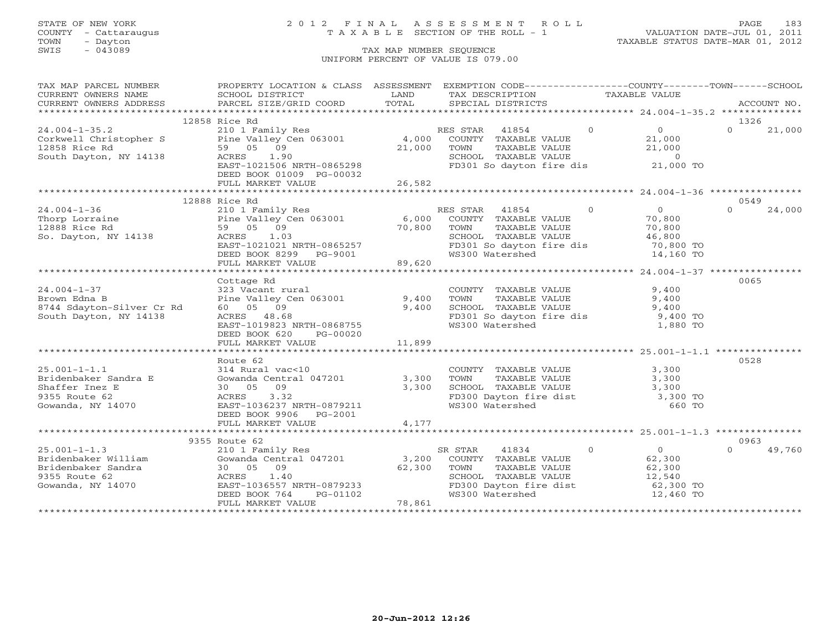## STATE OF NEW YORK 2 0 1 2 F I N A L A S S E S S M E N T R O L L PAGE 183 COUNTY - Cattaraugus T A X A B L E SECTION OF THE ROLL - 1 VALUATION DATE-JUL 01, 2011

| TAX MAP PARCEL NUMBER                                                                                                                                                                                                                   | PROPERTY LOCATION & CLASS ASSESSMENT                                                                                                                                                                                              |        | EXEMPTION CODE-----------------COUNTY-------TOWN------SCHOOL                                                                                      |                |                       |                |        |
|-----------------------------------------------------------------------------------------------------------------------------------------------------------------------------------------------------------------------------------------|-----------------------------------------------------------------------------------------------------------------------------------------------------------------------------------------------------------------------------------|--------|---------------------------------------------------------------------------------------------------------------------------------------------------|----------------|-----------------------|----------------|--------|
| CURRENT OWNERS NAME                                                                                                                                                                                                                     | SCHOOL DISTRICT                                                                                                                                                                                                                   | LAND   | TAX DESCRIPTION                                                                                                                                   | TAXABLE VALUE  |                       |                |        |
| CURRENT OWNERS ADDRESS                                                                                                                                                                                                                  |                                                                                                                                                                                                                                   |        |                                                                                                                                                   |                |                       |                |        |
|                                                                                                                                                                                                                                         | - CURRENT OWNERS ADDRESS - PARCEL SIZE/GRID COORD - TOTAL - SPECIAL DISTRICTS - ACCOUNT NO.<br>- ARCOUNT NO - ARCEL SIZE/GRID COORD - TOTAL - SPECIAL DISTRICTS - ARCOUNT NO - ARCOUNT NO - ARCOUNT NO - ARCOUNT NO - A - A - A - |        |                                                                                                                                                   |                |                       |                |        |
|                                                                                                                                                                                                                                         | 12858 Rice Rd                                                                                                                                                                                                                     |        |                                                                                                                                                   |                |                       | 1326           |        |
| 210 1 Family Res<br>Corkwell Christopher S<br>210 1 Family Res<br>210 1 Family Res<br>210 1 Family Res<br>21 000 COUNTY TAXABLE VALUE<br>21 000 COUNTY TAXABLE VALUE<br>21 000 COUNTY TAXABLE VALUE                                     |                                                                                                                                                                                                                                   |        |                                                                                                                                                   | $\Omega$       | $0 \qquad \qquad$     | $\Omega$       | 21,000 |
|                                                                                                                                                                                                                                         |                                                                                                                                                                                                                                   |        |                                                                                                                                                   |                | 21,000                |                |        |
|                                                                                                                                                                                                                                         |                                                                                                                                                                                                                                   |        |                                                                                                                                                   |                |                       |                |        |
| South Dayton, NY 14138 ACRES                                                                                                                                                                                                            | 1.90                                                                                                                                                                                                                              |        |                                                                                                                                                   |                |                       |                |        |
|                                                                                                                                                                                                                                         | EAST-1021506 NRTH-0865298                                                                                                                                                                                                         |        | TOWN TAXABLE VALUE (21,000<br>SCHOOL TAXABLE VALUE (21,000<br>FD301 So dayton fire dis (21,000 TO                                                 |                |                       |                |        |
|                                                                                                                                                                                                                                         | DEED BOOK 01009 PG-00032                                                                                                                                                                                                          |        |                                                                                                                                                   |                |                       |                |        |
|                                                                                                                                                                                                                                         | FULL MARKET VALUE                                                                                                                                                                                                                 | 26,582 |                                                                                                                                                   |                |                       |                |        |
|                                                                                                                                                                                                                                         |                                                                                                                                                                                                                                   |        |                                                                                                                                                   |                |                       |                |        |
|                                                                                                                                                                                                                                         | 12888 Rice Rd                                                                                                                                                                                                                     |        |                                                                                                                                                   |                |                       | 0549           |        |
| 12000 110 1 Market Res RES STAR 41854<br>24.004-1-36 210 1 Family Res RES STAR 41854<br>2888 Rice Rd 59 05 09 70,800 TOWN TAXABLE VALUE<br>So. Dayton, NY 14138 ACRES 1.03<br>EAST-1021021 NRTH-0865257 FD301 So dayton fire d:<br>DEED |                                                                                                                                                                                                                                   |        | RES STAR 41854                                                                                                                                    | $\overline{0}$ | $\overline{0}$        | $\Omega$       | 24,000 |
|                                                                                                                                                                                                                                         |                                                                                                                                                                                                                                   |        |                                                                                                                                                   |                |                       |                |        |
|                                                                                                                                                                                                                                         |                                                                                                                                                                                                                                   |        |                                                                                                                                                   |                | 70,800                |                |        |
|                                                                                                                                                                                                                                         |                                                                                                                                                                                                                                   |        | TAXABLE VALUE                                                                                                                                     |                | 70,800                |                |        |
|                                                                                                                                                                                                                                         |                                                                                                                                                                                                                                   |        | SCHOOL TAXABLE VALUE 46,800<br>FD301 So dayton fire dis 70,800 TO                                                                                 |                |                       |                |        |
|                                                                                                                                                                                                                                         |                                                                                                                                                                                                                                   |        |                                                                                                                                                   |                |                       |                |        |
|                                                                                                                                                                                                                                         |                                                                                                                                                                                                                                   |        |                                                                                                                                                   |                | 14,160 TO             |                |        |
|                                                                                                                                                                                                                                         |                                                                                                                                                                                                                                   |        |                                                                                                                                                   |                |                       |                |        |
|                                                                                                                                                                                                                                         |                                                                                                                                                                                                                                   |        |                                                                                                                                                   |                |                       |                |        |
|                                                                                                                                                                                                                                         | Cottage Rd                                                                                                                                                                                                                        |        |                                                                                                                                                   |                |                       | 0065           |        |
| $24.004 - 1 - 37$                                                                                                                                                                                                                       | 323 Vacant rural                                                                                                                                                                                                                  |        | COUNTY TAXABLE VALUE<br>TOWN      TAXABLE VALUE                                                                                                   |                | 9,400                 |                |        |
| Brown Edna B                                                                                                                                                                                                                            | Pine Valley Cen 063001 9,400 TOWN                                                                                                                                                                                                 |        |                                                                                                                                                   |                | 9,400                 |                |        |
| 8744 Sdayton-Silver Cr Rd                                                                                                                                                                                                               | 60 05 09                                                                                                                                                                                                                          | 9,400  | SCHOOL TAXABLE VALUE                                                                                                                              |                |                       |                |        |
| South Dayton, NY 14138                                                                                                                                                                                                                  | ACRES 48.68                                                                                                                                                                                                                       |        | FD301 So dayton fire dis                                                                                                                          |                | $9,400$<br>$9,400$ TO |                |        |
|                                                                                                                                                                                                                                         | EAST-1019823 NRTH-0868755                                                                                                                                                                                                         |        | WS300 Watershed                                                                                                                                   |                | 1,880 TO              |                |        |
|                                                                                                                                                                                                                                         | DEED BOOK 620 PG-00020                                                                                                                                                                                                            |        |                                                                                                                                                   |                |                       |                |        |
|                                                                                                                                                                                                                                         | FULL MARKET VALUE                                                                                                                                                                                                                 | 11,899 |                                                                                                                                                   |                |                       |                |        |
|                                                                                                                                                                                                                                         |                                                                                                                                                                                                                                   |        |                                                                                                                                                   |                |                       |                |        |
|                                                                                                                                                                                                                                         | Route 62                                                                                                                                                                                                                          |        |                                                                                                                                                   |                |                       | 0528           |        |
| $25.001 - 1 - 1.1$                                                                                                                                                                                                                      | 314 Rural vac<10                                                                                                                                                                                                                  |        |                                                                                                                                                   |                |                       |                |        |
|                                                                                                                                                                                                                                         | Gowanda Central 047201                                                                                                                                                                                                            | 3,300  |                                                                                                                                                   |                |                       |                |        |
| 25.001-1-1.1<br>Bridenbaker Sandra E<br>Shaffer Inez E                                                                                                                                                                                  | 30 05 09                                                                                                                                                                                                                          | 3,300  |                                                                                                                                                   |                |                       |                |        |
| 9355 Route 62                                                                                                                                                                                                                           | $\text{ACRES}$ 3.32                                                                                                                                                                                                               |        |                                                                                                                                                   |                |                       |                |        |
| Gowanda, NY 14070                                                                                                                                                                                                                       | EAST-1036237 NRTH-0879211                                                                                                                                                                                                         |        | COUNTY TAXABLE VALUE 3,300<br>TOWN TAXABLE VALUE 3,300<br>SCHOOL TAXABLE VALUE 3,300<br>FD300 Dayton fire dist 3,300 TO<br>WS300 Watershed 660 TO |                |                       |                |        |
|                                                                                                                                                                                                                                         | DEED BOOK 9906 PG-2001                                                                                                                                                                                                            |        |                                                                                                                                                   |                |                       |                |        |
|                                                                                                                                                                                                                                         | FULL MARKET VALUE                                                                                                                                                                                                                 | 4,177  |                                                                                                                                                   |                |                       |                |        |
|                                                                                                                                                                                                                                         |                                                                                                                                                                                                                                   |        |                                                                                                                                                   |                |                       |                |        |
|                                                                                                                                                                                                                                         |                                                                                                                                                                                                                                   |        |                                                                                                                                                   |                |                       |                |        |
|                                                                                                                                                                                                                                         | 9355 Route 62                                                                                                                                                                                                                     |        |                                                                                                                                                   | $\Omega$       |                       | 0963<br>$\cap$ |        |
| $25.001 - 1 - 1.3$                                                                                                                                                                                                                      | 210 1 Family Res                                                                                                                                                                                                                  |        | 41834<br>SR STAR                                                                                                                                  |                | $\overline{0}$        |                | 49,760 |
|                                                                                                                                                                                                                                         |                                                                                                                                                                                                                                   |        | COUNTY TAXABLE VALUE                                                                                                                              |                | 62,300                |                |        |
| Exidenbaker William (Cowanda Central 047201)<br>Bridenbaker Sandra (Cowanda Central 047201) (3,200)<br>9355 Route 62 (2) (2) ACRES 1.40                                                                                                 |                                                                                                                                                                                                                                   |        | TOWN      TAXABLE VALUE<br>SCHOOL   TAXABLE VALUE<br>TOWN                                                                                         |                | 62,300                |                |        |
| 9355 Route 62                                                                                                                                                                                                                           | ACRES 1.40                                                                                                                                                                                                                        |        |                                                                                                                                                   |                | 12,540                |                |        |
| Gowanda, NY 14070                                                                                                                                                                                                                       |                                                                                                                                                                                                                                   |        | $FDS00$ Dayton fire dist 62,300 TO                                                                                                                |                |                       |                |        |
|                                                                                                                                                                                                                                         | EAST-1036557 NRTH-0879233<br>DEED BOOK 764<br>FULL MARKET 11 PG-01102                                                                                                                                                             |        | WS300 Watershed                                                                                                                                   |                | 12,460 TO             |                |        |
|                                                                                                                                                                                                                                         | FULL MARKET VALUE                                                                                                                                                                                                                 | 78,861 |                                                                                                                                                   |                |                       |                |        |
|                                                                                                                                                                                                                                         |                                                                                                                                                                                                                                   |        |                                                                                                                                                   |                |                       |                |        |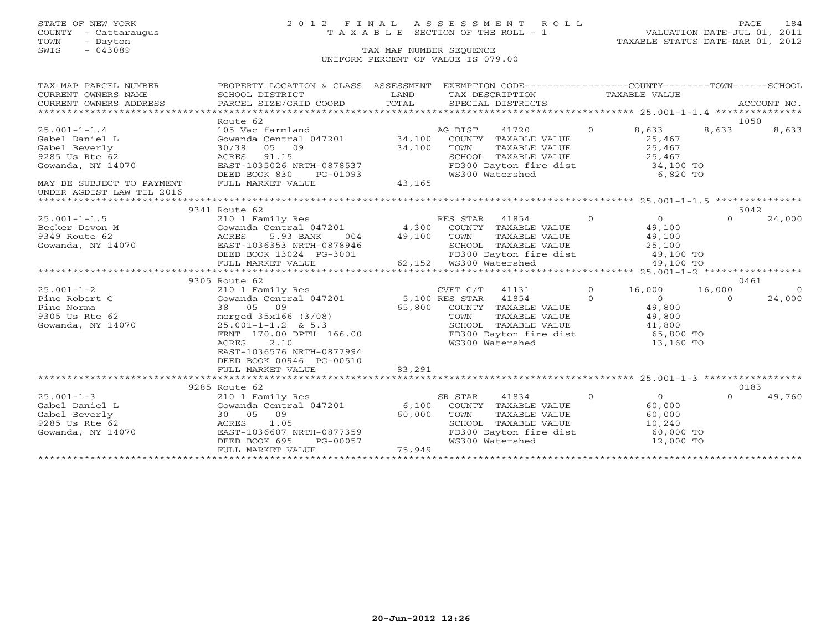### STATE OF NEW YORK 2 0 1 2 F I N A L A S S E S S M E N T R O L L PAGE 184 COUNTY - Cattaraugus T A X A B L E SECTION OF THE ROLL - 1 VALUATION DATE-JUL 01, 2011

| TAX MAP PARCEL NUMBER                      | PROPERTY LOCATION & CLASS ASSESSMENT EXEMPTION CODE----------------COUNTY-------TOWN------SCHOOL      |                        |                   |                                                                                                                                                                                                                                                                                                                                    |                |                                                      |          |             |
|--------------------------------------------|-------------------------------------------------------------------------------------------------------|------------------------|-------------------|------------------------------------------------------------------------------------------------------------------------------------------------------------------------------------------------------------------------------------------------------------------------------------------------------------------------------------|----------------|------------------------------------------------------|----------|-------------|
| CURRENT OWNERS NAME                        | SCHOOL DISTRICT                                                                                       | <b>Example 12</b> LAND |                   | TAX DESCRIPTION TAXABLE VALUE                                                                                                                                                                                                                                                                                                      |                |                                                      |          |             |
| CURRENT OWNERS ADDRESS                     | PARCEL SIZE/GRID COORD                                                                                | TOTAL                  | SPECIAL DISTRICTS |                                                                                                                                                                                                                                                                                                                                    |                |                                                      |          | ACCOUNT NO. |
|                                            |                                                                                                       |                        |                   |                                                                                                                                                                                                                                                                                                                                    |                |                                                      |          |             |
|                                            | Route 62                                                                                              |                        |                   |                                                                                                                                                                                                                                                                                                                                    |                |                                                      |          | 1050        |
| $25.001 - 1 - 1.4$                         | 105 Vac farmland                                                                                      | AG DIST                |                   | 41720                                                                                                                                                                                                                                                                                                                              |                | 0 8,633                                              | 8,633    | 8,633       |
| Gabel Daniel L                             | Gowanda Central 047201 34,100 COUNTY TAXABLE VALUE                                                    |                        |                   |                                                                                                                                                                                                                                                                                                                                    |                | 25,467                                               |          |             |
| Gabel Beverly                              |                                                                                                       |                        | TOWN              | TAXABLE VALUE 25,467                                                                                                                                                                                                                                                                                                               |                |                                                      |          |             |
| 9285 Us Rte 62                             |                                                                                                       |                        |                   |                                                                                                                                                                                                                                                                                                                                    |                |                                                      |          |             |
| Gowanda, NY 14070                          | 30/38 05 09 34,100<br>ACRES 91.15<br>EAST-1035026 NRTH-0878537                                        |                        |                   | SCHOOL TAXABLE VALUE 25,467<br>FD300 Dayton fire dist 34,100 TO                                                                                                                                                                                                                                                                    |                |                                                      |          |             |
|                                            | DEED BOOK 830                                                                                         | PG-01093               | WS300 Watershed   |                                                                                                                                                                                                                                                                                                                                    |                | 6,820 TO                                             |          |             |
| MAY BE SUBJECT TO PAYMENT                  | FULL MARKET VALUE                                                                                     | 43,165                 |                   |                                                                                                                                                                                                                                                                                                                                    |                |                                                      |          |             |
| UNDER AGDIST LAW TIL 2016                  |                                                                                                       |                        |                   |                                                                                                                                                                                                                                                                                                                                    |                |                                                      |          |             |
|                                            |                                                                                                       |                        |                   |                                                                                                                                                                                                                                                                                                                                    |                |                                                      |          |             |
|                                            | 9341 Route 62                                                                                         |                        |                   |                                                                                                                                                                                                                                                                                                                                    |                |                                                      |          | 5042        |
|                                            |                                                                                                       |                        |                   | $\overline{0}$                                                                                                                                                                                                                                                                                                                     |                | $\begin{array}{c} 0 \\ 49,100 \\ 49,100 \end{array}$ | $\Omega$ | 24,000      |
|                                            |                                                                                                       |                        |                   |                                                                                                                                                                                                                                                                                                                                    |                |                                                      |          |             |
|                                            | Gowanda Central 047201 (4,300 COUNTY TAXABLE VALUE<br>ACRES 5.93 BANK (004 (49,100 TOWN TAXABLE VALUE |                        |                   |                                                                                                                                                                                                                                                                                                                                    |                |                                                      |          |             |
|                                            |                                                                                                       |                        |                   | SCHOOL TAXABLE VALUE 25,100                                                                                                                                                                                                                                                                                                        |                |                                                      |          |             |
|                                            |                                                                                                       |                        |                   | FD300 Dayton fire dist 49,100 TO                                                                                                                                                                                                                                                                                                   |                |                                                      |          |             |
|                                            |                                                                                                       |                        |                   |                                                                                                                                                                                                                                                                                                                                    |                | 49,100 TO                                            |          |             |
|                                            |                                                                                                       |                        |                   |                                                                                                                                                                                                                                                                                                                                    |                |                                                      |          |             |
|                                            | 9305 Route 62                                                                                         |                        |                   |                                                                                                                                                                                                                                                                                                                                    |                |                                                      |          | 0461        |
| $25.001 - 1 - 2$                           | 210 1 Family Res                                                                                      |                        |                   | $CVET C/T$ 41131                                                                                                                                                                                                                                                                                                                   | $\Omega$       | 16,000 16,000                                        |          | $\Omega$    |
| Pine Robert C                              | Gowanda Central 047201 5,100 RES STAR 41854                                                           |                        |                   | $\overline{a}$ and $\overline{a}$ and $\overline{a}$ and $\overline{a}$ and $\overline{a}$ and $\overline{a}$ and $\overline{a}$ and $\overline{a}$ and $\overline{a}$ and $\overline{a}$ and $\overline{a}$ and $\overline{a}$ and $\overline{a}$ and $\overline{a}$ and $\overline{a}$ and $\overline{a}$ and $\overline{a}$ and |                |                                                      | $\Omega$ | 24,000      |
| Pine Norma                                 | 38 05 09                                                                                              |                        |                   |                                                                                                                                                                                                                                                                                                                                    |                | $\begin{array}{c}0\\49,800\end{array}$               |          |             |
| 9305 Us Rte 62                             | merged 35x166 (3/08)                                                                                  |                        | TOWN              | TAXABLE VALUE 49,800                                                                                                                                                                                                                                                                                                               |                |                                                      |          |             |
| Gowanda, NY 14070 $25.001 - 1 - 1.2$ & 5.3 |                                                                                                       |                        |                   | SCHOOL TAXABLE VALUE 41,800                                                                                                                                                                                                                                                                                                        |                |                                                      |          |             |
|                                            | FRNT 170.00 DPTH 166.00                                                                               |                        |                   | FD300 Dayton fire dist 65,800 TO                                                                                                                                                                                                                                                                                                   |                |                                                      |          |             |
|                                            | 2.10<br>ACRES                                                                                         |                        | WS300 Watershed   |                                                                                                                                                                                                                                                                                                                                    |                | 13,160 TO                                            |          |             |
|                                            | EAST-1036576 NRTH-0877994                                                                             |                        |                   |                                                                                                                                                                                                                                                                                                                                    |                |                                                      |          |             |
|                                            | DEED BOOK 00946 PG-00510                                                                              |                        |                   |                                                                                                                                                                                                                                                                                                                                    |                |                                                      |          |             |
|                                            | FULL MARKET VALUE                                                                                     | 83,291                 |                   |                                                                                                                                                                                                                                                                                                                                    |                |                                                      |          |             |
|                                            |                                                                                                       |                        |                   |                                                                                                                                                                                                                                                                                                                                    |                |                                                      |          |             |
|                                            | 9285 Route 62                                                                                         |                        |                   |                                                                                                                                                                                                                                                                                                                                    |                |                                                      | 0183     |             |
| $25.001 - 1 - 3$                           | 210 1 Family Res                                                                                      |                        | SR STAR           | 41834                                                                                                                                                                                                                                                                                                                              | $\overline{0}$ | $\overline{O}$                                       | $\Omega$ | 49,760      |
| Gabel Daniel L                             | Gowanda Central 047201 6,100 COUNTY TAXABLE VALUE 60,000                                              |                        |                   |                                                                                                                                                                                                                                                                                                                                    |                |                                                      |          |             |
| Gabel Beverly                              | 30 05 09                                                                                              | 60,000                 | TOWN              |                                                                                                                                                                                                                                                                                                                                    |                |                                                      |          |             |
| 9285 Us Rte 62                             | 30 05 09<br>ACRES 1.05                                                                                |                        |                   |                                                                                                                                                                                                                                                                                                                                    |                |                                                      |          |             |
| Gowanda, NY 14070                          | EAST-1036607 NRTH-0877359                                                                             |                        |                   | FD300 Dayton fire dist 60,000 TO                                                                                                                                                                                                                                                                                                   |                |                                                      |          |             |
|                                            | DEED BOOK 695                                                                                         |                        |                   | WS300 Watershed                                                                                                                                                                                                                                                                                                                    |                | 12,000 TO                                            |          |             |
|                                            | FULL MARKET VALUE                                                                                     | PG-00057<br>B 75,949   |                   |                                                                                                                                                                                                                                                                                                                                    |                |                                                      |          |             |
|                                            |                                                                                                       |                        |                   |                                                                                                                                                                                                                                                                                                                                    |                |                                                      |          |             |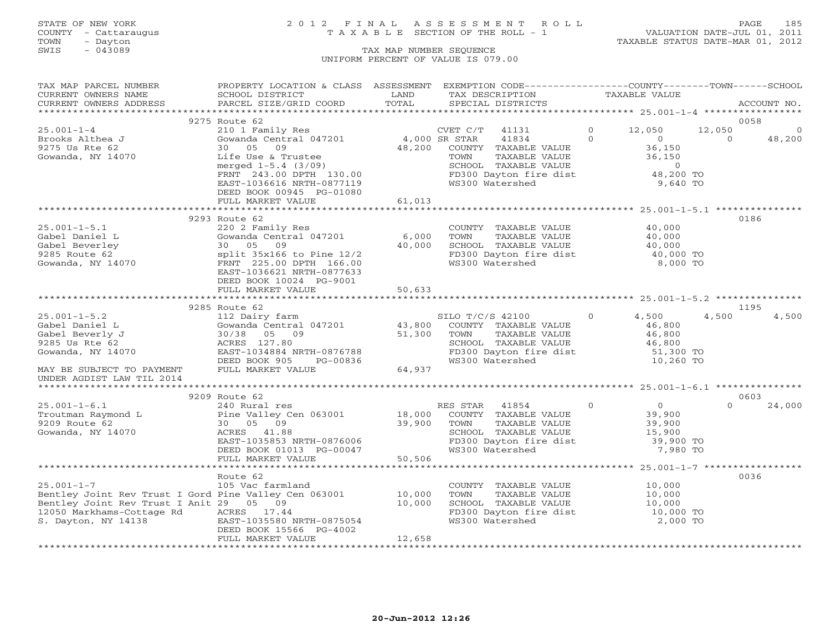### STATE OF NEW YORK 2 0 1 2 F I N A L A S S E S S M E N T R O L L PAGE 185 COUNTY - Cattaraugus T A X A B L E SECTION OF THE ROLL - 1 VALUATION DATE-JUL 01, 2011

| TAX MAP PARCEL NUMBER                                        | PROPERTY LOCATION & CLASS ASSESSMENT EXEMPTION CODE---------------COUNTY-------TOWN------SCHOOL |               |                                                  |               |                |          |              |
|--------------------------------------------------------------|-------------------------------------------------------------------------------------------------|---------------|--------------------------------------------------|---------------|----------------|----------|--------------|
| CURRENT OWNERS NAME                                          | SCHOOL DISTRICT                                                                                 | LAND          | TAX DESCRIPTION                                  | TAXABLE VALUE |                |          |              |
| CURRENT OWNERS ADDRESS                                       | PARCEL SIZE/GRID COORD                                                                          | TOTAL         | SPECIAL DISTRICTS                                |               |                |          | ACCOUNT NO.  |
|                                                              | 9275 Route 62                                                                                   |               |                                                  |               |                | 0058     |              |
| $25.001 - 1 - 4$                                             | 210 1 Family Res                                                                                |               | CVET C/T 41131                                   | $\Omega$      | 12,050         | 12,050   | $\mathbf{0}$ |
| Brooks Althea J                                              | Gowanda Central 047201                                                                          | 4,000 SR STAR | 41834                                            | $\Omega$      | $\overline{0}$ | $\Omega$ | 48,200       |
| 9275 Us Rte 62                                               | 30 05 09                                                                                        | 48,200        | COUNTY TAXABLE VALUE                             |               | 36,150         |          |              |
| Gowanda, NY 14070                                            | Life Use & Trustee                                                                              |               | TOWN<br>TAXABLE VALUE                            |               | 36,150         |          |              |
|                                                              | merged $1-5.4$ $(3/09)$                                                                         |               | SCHOOL TAXABLE VALUE                             |               | $\overline{0}$ |          |              |
|                                                              | FRNT 243.00 DPTH 130.00                                                                         |               | FD300 Dayton fire dist                           |               | 48,200 TO      |          |              |
|                                                              | EAST-1036616 NRTH-0877119                                                                       |               | WS300 Watershed                                  |               | 9,640 TO       |          |              |
|                                                              | DEED BOOK 00945 PG-01080                                                                        |               |                                                  |               |                |          |              |
|                                                              | FULL MARKET VALUE                                                                               | 61,013        |                                                  |               |                |          |              |
|                                                              |                                                                                                 |               |                                                  |               |                |          |              |
|                                                              | 9293 Route 62                                                                                   |               |                                                  |               |                | 0186     |              |
| $25.001 - 1 - 5.1$                                           | 220 2 Family Res                                                                                |               | COUNTY TAXABLE VALUE                             |               | 40,000         |          |              |
| Gabel Daniel L                                               | Gowanda Central 047201                                                                          | 6,000         | TAXABLE VALUE<br>TOWN                            |               | 40,000         |          |              |
| Gabel Beverley                                               | 30 05 09                                                                                        | 40,000        | SCHOOL TAXABLE VALUE                             |               | 40,000         |          |              |
| 9285 Route 62                                                | split $35x166$ to Pine $12/2$                                                                   |               | FD300 Dayton fire dist<br>FD300 Dayton fire dist |               | 40,000 TO      |          |              |
| Gowanda, NY 14070                                            | FRNT 225.00 DPTH 166.00                                                                         |               | WS300 Watershed                                  |               | 8,000 TO       |          |              |
|                                                              | EAST-1036621 NRTH-0877633                                                                       |               |                                                  |               |                |          |              |
|                                                              | DEED BOOK 10024 PG-9001                                                                         |               |                                                  |               |                |          |              |
|                                                              | FULL MARKET VALUE                                                                               | 50,633        |                                                  |               |                |          |              |
|                                                              |                                                                                                 |               |                                                  |               |                |          |              |
|                                                              | 9285 Route 62                                                                                   |               |                                                  |               |                | 1195     |              |
| $25.001 - 1 - 5.2$                                           | 112 Dairy farm                                                                                  |               | SILO T/C/S 42100                                 | $\Omega$      | 4,500          | 4,500    | 4,500        |
| Gabel Daniel L                                               | Gowanda Central 047201                                                                          | 43,800        | COUNTY TAXABLE VALUE                             |               | 46,800         |          |              |
| Gabel Beverly J                                              | 30/38 05 09                                                                                     | 51,300        | TAXABLE VALUE<br>TOWN                            |               | 46,800         |          |              |
| 9285 Us Rte 62                                               | ACRES 127.80                                                                                    |               | SCHOOL TAXABLE VALUE<br>FD300 Dayton fire dist   |               | 46,800         |          |              |
| Gowanda, NY 14070                                            | EAST-1034884 NRTH-0876788                                                                       |               |                                                  |               | 51,300 TO      |          |              |
|                                                              | DEED BOOK 905<br>PG-00836                                                                       |               | WS300 Watershed                                  |               | 10,260 TO      |          |              |
| MAY BE SUBJECT TO PAYMENT                                    | FULL MARKET VALUE                                                                               | 64,937        |                                                  |               |                |          |              |
| UNDER AGDIST LAW TIL 2014                                    |                                                                                                 |               |                                                  |               |                |          |              |
|                                                              | 9209 Route 62                                                                                   |               |                                                  |               |                | 0603     |              |
| $25.001 - 1 - 6.1$                                           | 240 Rural res                                                                                   |               | RES STAR 41854                                   | $\Omega$      | 0              | $\cap$   | 24,000       |
| Troutman Raymond L                                           | Pine Valley Cen 063001                                                                          | 18,000        | COUNTY TAXABLE VALUE                             |               | 39,900         |          |              |
| 9209 Route 62                                                | 30 05 09                                                                                        | 39,900        | TAXABLE VALUE<br>TOWN                            |               | 39,900         |          |              |
| Gowanda, NY 14070                                            | ACRES 41.88                                                                                     |               |                                                  |               | 15,900         |          |              |
|                                                              | EAST-1035853 NRTH-0876006                                                                       |               | SCHOOL TAXABLE ville<br>FD300 Dayton fire dist   |               | 39,900 TO      |          |              |
|                                                              | DEED BOOK 01013 PG-00047                                                                        |               |                                                  |               | 7,980 TO       |          |              |
|                                                              | FULL MARKET VALUE                                                                               | 50,506        |                                                  |               |                |          |              |
|                                                              |                                                                                                 |               |                                                  |               |                |          |              |
|                                                              | Route 62                                                                                        |               |                                                  |               |                | 0036     |              |
| $25.001 - 1 - 7$                                             | 105 Vac farmland                                                                                |               | COUNTY TAXABLE VALUE                             |               | 10,000         |          |              |
| Bentley Joint Rev Trust I Gord Pine Valley Cen 063001 10,000 |                                                                                                 |               | TAXABLE VALUE<br>TOWN                            |               | 10,000         |          |              |
| Bentley Joint Rev Trust I Anit 29 05 09                      |                                                                                                 | 10,000        | SCHOOL TAXABLE VALUE                             |               | 10,000         |          |              |
| 12050 Markhams-Cottage Rd                                    | ACRES 17.44                                                                                     |               | FD300 Dayton fire dist                           |               | 10,000 TO      |          |              |
| S. Dayton, NY 14138                                          | EAST-1035580 NRTH-0875054                                                                       |               | WS300 Watershed                                  |               | 2,000 TO       |          |              |
|                                                              | DEED BOOK 15566 PG-4002                                                                         |               |                                                  |               |                |          |              |
|                                                              | FULL MARKET VALUE                                                                               | 12,658        |                                                  |               |                |          |              |
|                                                              |                                                                                                 |               |                                                  |               |                |          |              |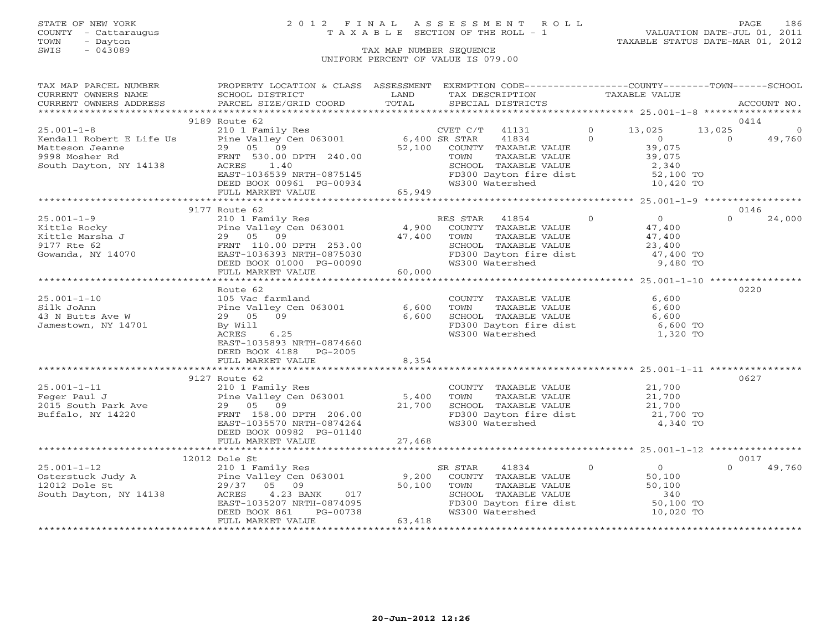### STATE OF NEW YORK 2 0 1 2 F I N A L A S S E S S M E N T R O L L PAGE 186 COUNTY - Cattaraugus T A X A B L E SECTION OF THE ROLL - 1 VALUATION DATE-JUL 01, 2011

| TAX MAP PARCEL NUMBER          | PROPERTY LOCATION & CLASS ASSESSMENT EXEMPTION CODE---------------COUNTY-------TOWN------SCHOOL                                                                                                                                                      |               |         |                                                                                                                                                                   |                |          |             |
|--------------------------------|------------------------------------------------------------------------------------------------------------------------------------------------------------------------------------------------------------------------------------------------------|---------------|---------|-------------------------------------------------------------------------------------------------------------------------------------------------------------------|----------------|----------|-------------|
| CURRENT OWNERS NAME            | <b>Example 12</b> LAND<br>SCHOOL DISTRICT<br>FSS PARCEL SIZE/GRID COORD                                                                                                                                                                              |               |         | TAX DESCRIPTION TAXABLE VALUE                                                                                                                                     |                |          |             |
| CURRENT OWNERS ADDRESS         |                                                                                                                                                                                                                                                      | LAND<br>TOTAL |         | SPECIAL DISTRICTS                                                                                                                                                 |                |          | ACCOUNT NO. |
|                                |                                                                                                                                                                                                                                                      |               |         |                                                                                                                                                                   |                |          |             |
|                                | 9189 Route 62                                                                                                                                                                                                                                        |               |         |                                                                                                                                                                   |                |          | 0414        |
|                                |                                                                                                                                                                                                                                                      |               |         | CVET C/T 41131 0 13,025 13,025 0<br>49,760 13,025 13,025 0 13,025 0                                                                                               |                |          |             |
|                                |                                                                                                                                                                                                                                                      |               |         |                                                                                                                                                                   | $\overline{0}$ |          |             |
|                                |                                                                                                                                                                                                                                                      |               |         | COUNTY TAXABLE VALUE<br>TOWN TAXABLE VALUE<br>SCHOOL TAXABLE VALUE<br>SCHOOL TAXABLE VALUE<br>FD300 Dayton fire dist<br>WS300 Watershed<br>TO,420 TO<br>TO,420 TO |                |          |             |
|                                |                                                                                                                                                                                                                                                      |               |         |                                                                                                                                                                   |                |          |             |
|                                |                                                                                                                                                                                                                                                      |               |         |                                                                                                                                                                   |                |          |             |
|                                |                                                                                                                                                                                                                                                      |               |         |                                                                                                                                                                   |                |          |             |
|                                |                                                                                                                                                                                                                                                      |               |         |                                                                                                                                                                   |                |          |             |
|                                |                                                                                                                                                                                                                                                      |               |         |                                                                                                                                                                   |                |          |             |
|                                | 210 1 Family Res Rittle Rocky<br>ES STAR 41854 0<br>EX Pine Valley Cen 063001 4,900 COUNTY TAXABLE VALUE 47,400<br>EX PINE VALUE 47,400<br>SOWARD TOWN TAXABLE VALUE 47,400<br>SOWARD PRINT 110.00 DPTH 253.00<br>Gowarda, NY 14070 EAST-1           |               |         |                                                                                                                                                                   |                |          |             |
|                                |                                                                                                                                                                                                                                                      |               |         |                                                                                                                                                                   |                |          | 0146        |
|                                |                                                                                                                                                                                                                                                      |               |         |                                                                                                                                                                   |                | $\Omega$ | 24,000      |
|                                |                                                                                                                                                                                                                                                      |               |         |                                                                                                                                                                   |                |          |             |
|                                |                                                                                                                                                                                                                                                      |               |         | TOWN TAXABLE VALUE $47,400$<br>SCHOOL TAXABLE VALUE 23,400<br>FD300 Dayton fire dist $47,400$ TO<br>WS300 Watershed 9,480 TO                                      |                |          |             |
|                                |                                                                                                                                                                                                                                                      |               |         |                                                                                                                                                                   |                |          |             |
|                                |                                                                                                                                                                                                                                                      |               |         |                                                                                                                                                                   |                |          |             |
|                                |                                                                                                                                                                                                                                                      |               |         |                                                                                                                                                                   |                |          |             |
|                                |                                                                                                                                                                                                                                                      |               |         |                                                                                                                                                                   |                |          |             |
|                                |                                                                                                                                                                                                                                                      |               |         |                                                                                                                                                                   |                |          |             |
|                                | Route 62                                                                                                                                                                                                                                             |               |         |                                                                                                                                                                   |                |          | 0220        |
| $25.001 - 1 - 10$              |                                                                                                                                                                                                                                                      |               |         |                                                                                                                                                                   | 6,600          |          |             |
|                                | 105 Vac farmland<br>Pine Valley Cen 063001 6,600                                                                                                                                                                                                     |               |         | COUNTY TAXABLE VALUE<br>TOWN TAXABLE VALUE                                                                                                                        | 6,600          |          |             |
| Silk JoAnn<br>43 N Butts Ave W | 29 05 09                                                                                                                                                                                                                                             | 6,600         |         |                                                                                                                                                                   |                |          |             |
| Jamestown, NY 14701            | By Will                                                                                                                                                                                                                                              |               |         | CHOOL TAXABLE VALUE<br>FD300 Dayton fire dist 6,600 TO<br>WS300 Watershed 1,320 TO                                                                                |                |          |             |
|                                | ACRES 6.25                                                                                                                                                                                                                                           |               |         |                                                                                                                                                                   |                |          |             |
|                                | EAST-1035893 NRTH-0874660                                                                                                                                                                                                                            |               |         |                                                                                                                                                                   |                |          |             |
|                                | DEED BOOK 4188 PG-2005                                                                                                                                                                                                                               |               |         |                                                                                                                                                                   |                |          |             |
|                                | FULL MARKET VALUE                                                                                                                                                                                                                                    | 8,354         |         |                                                                                                                                                                   |                |          |             |
|                                |                                                                                                                                                                                                                                                      |               |         |                                                                                                                                                                   |                |          |             |
|                                | 9127 Route 62                                                                                                                                                                                                                                        |               |         |                                                                                                                                                                   |                |          | 0627        |
|                                |                                                                                                                                                                                                                                                      |               |         |                                                                                                                                                                   |                |          |             |
|                                |                                                                                                                                                                                                                                                      |               |         |                                                                                                                                                                   |                |          |             |
|                                |                                                                                                                                                                                                                                                      |               |         |                                                                                                                                                                   |                |          |             |
|                                | 9127 Route 62<br>Peger Paul J<br>2015 South Park Ave and Park Point (2015 South Park Ave and Park Ave and Park 158.00 DPTH 206.00<br>Buffalo, NY 14220 FRNT 158.00 DPTH 206.00<br>EAST 108.00 DPTH 206.00<br>EAST 10874264<br>Providence 2           |               |         |                                                                                                                                                                   |                |          |             |
|                                |                                                                                                                                                                                                                                                      |               |         |                                                                                                                                                                   |                |          |             |
|                                | DEED BOOK 00982 PG-01140                                                                                                                                                                                                                             |               |         |                                                                                                                                                                   |                |          |             |
|                                |                                                                                                                                                                                                                                                      |               |         |                                                                                                                                                                   |                |          |             |
|                                |                                                                                                                                                                                                                                                      |               |         |                                                                                                                                                                   |                |          |             |
|                                |                                                                                                                                                                                                                                                      |               |         |                                                                                                                                                                   |                |          | 0017        |
|                                | 12012 Dole St<br>25.001-1-12<br>Osterstuck Judy A<br>12012 Dole St<br>29/37 05 09 50,100<br>South Dayton, NY 14138<br>PEED BOOK 861 PG-00738<br>FULL MARKET VALUE<br>29/37 05 09 50,100<br>29/37 05 09 50,100<br>EED BOOK 861 PG-00738<br>PULL MARKE |               | SR STAR | $\begin{tabular}{llll} \bf 41834 & 0 & 0 \\ \bf TAXABLE VALUE & 50,100 \\ \bf TAXABLE VALUE & 50,100 \\ \bf TAXABLE VALUE & 340 \\ \end{tabular}$                 |                | $\Omega$ | 49,760      |
|                                |                                                                                                                                                                                                                                                      |               |         | COUNTY TAXABLE VALUE                                                                                                                                              |                |          |             |
|                                |                                                                                                                                                                                                                                                      |               | TOWN    |                                                                                                                                                                   |                |          |             |
|                                |                                                                                                                                                                                                                                                      |               |         | SCHOOL TAXABLE VALUE 340<br>FD300 Dayton fire dist 50,100 TO<br>WS300 Watershed 10,020 TO                                                                         |                |          |             |
|                                |                                                                                                                                                                                                                                                      |               |         |                                                                                                                                                                   |                |          |             |
|                                |                                                                                                                                                                                                                                                      |               |         |                                                                                                                                                                   |                |          |             |
|                                |                                                                                                                                                                                                                                                      |               |         |                                                                                                                                                                   |                |          |             |
|                                |                                                                                                                                                                                                                                                      |               |         |                                                                                                                                                                   |                |          |             |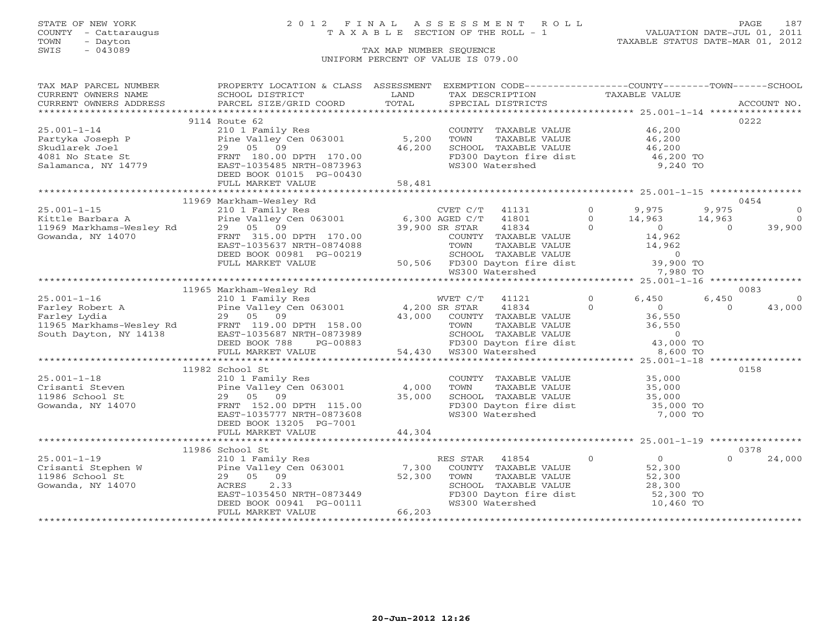### STATE OF NEW YORK 2 0 1 2 F I N A L A S S E S S M E N T R O L L PAGE 187 COUNTY - Cattaraugus T A X A B L E SECTION OF THE ROLL - 1 VALUATION DATE-JUL 01, 2011

| TAX MAP PARCEL NUMBER                                                         | PROPERTY LOCATION & CLASS ASSESSMENT EXEMPTION CODE----------------COUNTY-------TOWN------SCHOOL                                                                                                                                                                                                                                                                                         |        |                                                                                                                                                                                                                                                                                                                                                                     |                                            |                     |
|-------------------------------------------------------------------------------|------------------------------------------------------------------------------------------------------------------------------------------------------------------------------------------------------------------------------------------------------------------------------------------------------------------------------------------------------------------------------------------|--------|---------------------------------------------------------------------------------------------------------------------------------------------------------------------------------------------------------------------------------------------------------------------------------------------------------------------------------------------------------------------|--------------------------------------------|---------------------|
| CURRENT OWNERS NAME                                                           | SCHOOL DISTRICT                                                                                                                                                                                                                                                                                                                                                                          | LAND   | TAX DESCRIPTION TAXABLE VALUE                                                                                                                                                                                                                                                                                                                                       |                                            |                     |
|                                                                               |                                                                                                                                                                                                                                                                                                                                                                                          |        |                                                                                                                                                                                                                                                                                                                                                                     |                                            |                     |
|                                                                               | .CURRENT OWNERS ADDRESS PARCEL SIZE/GRID COORD TOTAL SPECIAL DISTRICTS ACCOUNT NO ACCOUNT NO ACCOUNT NO ACCOUNT NO ARRENT OWNERS ADDRESS PARCEL SIZE/GRID COORD TOTAL SPECIAL DISTRICTS                                                                                                                                                                                                  |        |                                                                                                                                                                                                                                                                                                                                                                     |                                            |                     |
|                                                                               | 9114 Route 62                                                                                                                                                                                                                                                                                                                                                                            |        |                                                                                                                                                                                                                                                                                                                                                                     |                                            | 0222                |
| $25.001 - 1 - 14$                                                             | 210 1 Family Res<br>Pine Valley Cen 063001 5,200<br>29 05 09 46,200                                                                                                                                                                                                                                                                                                                      |        | COUNTY TAXABLE VALUE<br>TOWN TAXABLE VALUE<br>SCHOOL TAXABLE VALUE<br>TOWN TAXABLE VALUE<br>TOWN TAY 46,200<br>TOWN DAVCON fire dist<br>46,200 TO<br>9,240 TO                                                                                                                                                                                                       |                                            |                     |
|                                                                               |                                                                                                                                                                                                                                                                                                                                                                                          |        |                                                                                                                                                                                                                                                                                                                                                                     |                                            |                     |
|                                                                               | 29 05 09                                                                                                                                                                                                                                                                                                                                                                                 | 46,200 |                                                                                                                                                                                                                                                                                                                                                                     |                                            |                     |
| Partyka Joseph P<br>Skudlarek Joel<br>4081 No State St<br>Salamanca, NY 14779 | FRNT 180.00 DPTH 170.00                                                                                                                                                                                                                                                                                                                                                                  |        |                                                                                                                                                                                                                                                                                                                                                                     |                                            |                     |
|                                                                               | EAST-1035485 NRTH-0873963                                                                                                                                                                                                                                                                                                                                                                |        |                                                                                                                                                                                                                                                                                                                                                                     |                                            |                     |
|                                                                               | DEED BOOK 01015 PG-00430                                                                                                                                                                                                                                                                                                                                                                 |        |                                                                                                                                                                                                                                                                                                                                                                     |                                            |                     |
|                                                                               | FULL MARKET VALUE                                                                                                                                                                                                                                                                                                                                                                        | 58,481 |                                                                                                                                                                                                                                                                                                                                                                     |                                            |                     |
|                                                                               |                                                                                                                                                                                                                                                                                                                                                                                          |        |                                                                                                                                                                                                                                                                                                                                                                     |                                            |                     |
|                                                                               |                                                                                                                                                                                                                                                                                                                                                                                          |        |                                                                                                                                                                                                                                                                                                                                                                     |                                            | 0454                |
|                                                                               | Xittle Barbara A<br>210 1 Family Res<br>29 05 09 05 09 053001<br>Gowanda, NY 14070 29 05 09 170 00 39,900 SR STAR 41834<br>Cowanda, NY 14070 29,900 SR STAR 41834                                                                                                                                                                                                                        |        |                                                                                                                                                                                                                                                                                                                                                                     | $0 \t 9,975$                               | 9,975<br>$\circ$    |
|                                                                               |                                                                                                                                                                                                                                                                                                                                                                                          |        |                                                                                                                                                                                                                                                                                                                                                                     |                                            | $\overline{0}$      |
|                                                                               |                                                                                                                                                                                                                                                                                                                                                                                          |        |                                                                                                                                                                                                                                                                                                                                                                     |                                            | 39,900              |
|                                                                               |                                                                                                                                                                                                                                                                                                                                                                                          |        |                                                                                                                                                                                                                                                                                                                                                                     |                                            |                     |
|                                                                               |                                                                                                                                                                                                                                                                                                                                                                                          |        |                                                                                                                                                                                                                                                                                                                                                                     |                                            |                     |
|                                                                               | EAST-1035637 NRTH-0874088                                                                                                                                                                                                                                                                                                                                                                |        |                                                                                                                                                                                                                                                                                                                                                                     |                                            |                     |
|                                                                               | DEED BOOK 00981 PG-00219                                                                                                                                                                                                                                                                                                                                                                 |        |                                                                                                                                                                                                                                                                                                                                                                     |                                            |                     |
|                                                                               | FULL MARKET VALUE                                                                                                                                                                                                                                                                                                                                                                        |        |                                                                                                                                                                                                                                                                                                                                                                     |                                            |                     |
|                                                                               |                                                                                                                                                                                                                                                                                                                                                                                          |        | $\begin{array}{cccccccccccc} 6,300 & \text{AGED C/T} & 411501 & 0 & 3,975 & 9,975 \\ 6,300 & \text{AGED C/T} & 41801 & 0 & 14,963 & 14,963 \\ 39,900 & \text{SR STAR} & 41834 & 0 & 0 & 0 \\ 6,300 & \text{CORTR} & 41834 & 0 & 0 & 0 \\ 70\text{WN} & \text{TAXABLE VALUE} & 14,962 & 0 \\ 8\text{CHOOL} & \text{TAXABLE VALUE} & 14,962 & 0 \\ 8\text{GHOOL} & \$ |                                            |                     |
|                                                                               |                                                                                                                                                                                                                                                                                                                                                                                          |        |                                                                                                                                                                                                                                                                                                                                                                     |                                            |                     |
|                                                                               | 11965 Markham-Wesley Rd                                                                                                                                                                                                                                                                                                                                                                  |        |                                                                                                                                                                                                                                                                                                                                                                     |                                            | 0083                |
|                                                                               |                                                                                                                                                                                                                                                                                                                                                                                          |        |                                                                                                                                                                                                                                                                                                                                                                     |                                            | 6,450<br>$\bigcirc$ |
|                                                                               |                                                                                                                                                                                                                                                                                                                                                                                          |        |                                                                                                                                                                                                                                                                                                                                                                     |                                            | 43,000<br>$\Omega$  |
|                                                                               |                                                                                                                                                                                                                                                                                                                                                                                          |        |                                                                                                                                                                                                                                                                                                                                                                     |                                            |                     |
|                                                                               |                                                                                                                                                                                                                                                                                                                                                                                          |        |                                                                                                                                                                                                                                                                                                                                                                     |                                            |                     |
|                                                                               |                                                                                                                                                                                                                                                                                                                                                                                          |        |                                                                                                                                                                                                                                                                                                                                                                     |                                            |                     |
|                                                                               |                                                                                                                                                                                                                                                                                                                                                                                          |        |                                                                                                                                                                                                                                                                                                                                                                     |                                            |                     |
|                                                                               | $\begin{tabular}{lcccc} 25.001-1-16 & 11965 Markham-Wesley Rd & WET C/T & 41121 & 0 & 6,450 & 6 \\ \hline\texttt{Farley Robert A} & 210 & 1 Family Res & 4,200 SR STRAR & 41834 & 0 & 6,450 & 6 \\ \texttt{Farley Lydia} & 29 & 05 & 09 & 43,000 & \texttt{COUNTY TAXABLE VALUE} & 36,550 & 36,550 \\ \texttt{1965 Markhams-Wesley Rd} & 29 & 05 & 09 & 43,000 & \texttt{COUNTY TAXABLE$ |        |                                                                                                                                                                                                                                                                                                                                                                     |                                            |                     |
|                                                                               |                                                                                                                                                                                                                                                                                                                                                                                          |        |                                                                                                                                                                                                                                                                                                                                                                     |                                            |                     |
|                                                                               | 11982 School St                                                                                                                                                                                                                                                                                                                                                                          |        |                                                                                                                                                                                                                                                                                                                                                                     |                                            | 0158                |
| $25.001 - 1 - 18$                                                             | 210 1 Family Res                                                                                                                                                                                                                                                                                                                                                                         |        | COUNTY TAXABLE VALUE 35,000                                                                                                                                                                                                                                                                                                                                         |                                            |                     |
|                                                                               | Pine Valley Cen 063001                                                                                                                                                                                                                                                                                                                                                                   | 4,000  | TOWN                                                                                                                                                                                                                                                                                                                                                                |                                            |                     |
|                                                                               | 29 05 09                                                                                                                                                                                                                                                                                                                                                                                 | 35,000 |                                                                                                                                                                                                                                                                                                                                                                     |                                            |                     |
| Crisanti Steven<br>11986 School St<br>Gowanda, NY 14070                       | FRNT 152.00 DPTH 115.00                                                                                                                                                                                                                                                                                                                                                                  |        |                                                                                                                                                                                                                                                                                                                                                                     |                                            |                     |
|                                                                               | EAST-1035777 NRTH-0873608                                                                                                                                                                                                                                                                                                                                                                |        | FD300 Dayton fire dist 35,000 TO<br>WS300 Watershed 7,000 TO                                                                                                                                                                                                                                                                                                        |                                            |                     |
|                                                                               | DEED BOOK 13205 PG-7001                                                                                                                                                                                                                                                                                                                                                                  |        |                                                                                                                                                                                                                                                                                                                                                                     |                                            |                     |
|                                                                               |                                                                                                                                                                                                                                                                                                                                                                                          |        |                                                                                                                                                                                                                                                                                                                                                                     |                                            |                     |
|                                                                               |                                                                                                                                                                                                                                                                                                                                                                                          |        |                                                                                                                                                                                                                                                                                                                                                                     |                                            |                     |
|                                                                               |                                                                                                                                                                                                                                                                                                                                                                                          |        |                                                                                                                                                                                                                                                                                                                                                                     |                                            | 0378                |
|                                                                               |                                                                                                                                                                                                                                                                                                                                                                                          |        | $\overline{0}$<br>RES STAR<br>41854                                                                                                                                                                                                                                                                                                                                 |                                            | $\cap$<br>24,000    |
|                                                                               | 1993<br>Crisanti Stephen W 210 1 Family Res<br>210 1 Family Res<br>Pine Valley Cen 063001 7,300<br>29 05 09 52,300<br>29 05 09 52,300                                                                                                                                                                                                                                                    |        | COUNTY TAXABLE VALUE                                                                                                                                                                                                                                                                                                                                                | $\begin{array}{c} 0 \\ 52,300 \end{array}$ |                     |
|                                                                               |                                                                                                                                                                                                                                                                                                                                                                                          |        |                                                                                                                                                                                                                                                                                                                                                                     |                                            |                     |
|                                                                               |                                                                                                                                                                                                                                                                                                                                                                                          |        |                                                                                                                                                                                                                                                                                                                                                                     |                                            |                     |
|                                                                               |                                                                                                                                                                                                                                                                                                                                                                                          |        |                                                                                                                                                                                                                                                                                                                                                                     |                                            |                     |
|                                                                               |                                                                                                                                                                                                                                                                                                                                                                                          |        | TOWN TAXABLE VALUE 52,300<br>SCHOOL TAXABLE VALUE 28,300<br>FD300 Dayton fire dist 52,300 TO<br>WS300 Watershed 10,460 TO                                                                                                                                                                                                                                           |                                            |                     |
|                                                                               | EAST-1035450 NRTH-0873449<br>DEED BOOK 00941 PG-00111<br>FULL MARKET VALUE<br>FULL MARKET VALUE                                                                                                                                                                                                                                                                                          | 66,203 |                                                                                                                                                                                                                                                                                                                                                                     |                                            |                     |
|                                                                               |                                                                                                                                                                                                                                                                                                                                                                                          |        |                                                                                                                                                                                                                                                                                                                                                                     |                                            |                     |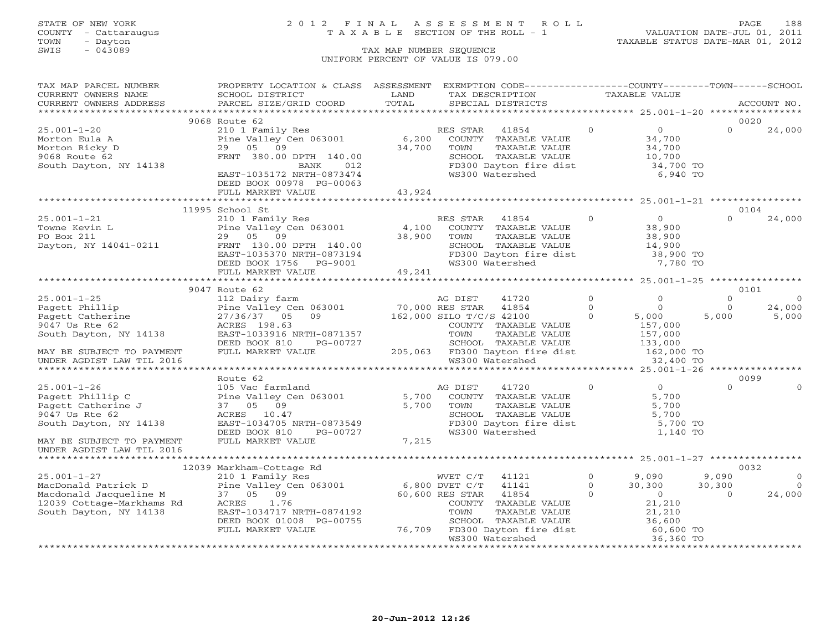COUNTY - Cattaraugus T A X A B L E SECTION OF THE ROLL - 1<br>
TOWN - Dayton<br>
SWIS - 043089 TAX MAP NUMBER SEQUENCE

# STATE OF NEW YORK 2 0 1 2 F I N A L A S S E S S M E N T R O L L PAGE 188

VALUATION DATE-JUL 01, 2011 TAXABLE STATUS DATE-MAR 01, 2012

#### TAX MAP NUMBER SEQUENCE UNIFORM PERCENT OF VALUE IS 079.00

| TAX MAP PARCEL NUMBER                               | PROPERTY LOCATION & CLASS ASSESSMENT                                                    |        | EXEMPTION CODE----------------COUNTY-------TOWN------SCHOOL                                                                         |                  |                     |                |                |
|-----------------------------------------------------|-----------------------------------------------------------------------------------------|--------|-------------------------------------------------------------------------------------------------------------------------------------|------------------|---------------------|----------------|----------------|
| CURRENT OWNERS NAME                                 | SCHOOL DISTRICT                                                                         | LAND   | TAX DESCRIPTION                                                                                                                     | TAXABLE VALUE    |                     |                |                |
| CURRENT OWNERS ADDRESS                              | PARCEL SIZE/GRID COORD                                                                  | TOTAL  | SPECIAL DISTRICTS                                                                                                                   |                  |                     |                | ACCOUNT NO.    |
|                                                     |                                                                                         |        |                                                                                                                                     |                  |                     |                |                |
|                                                     | 9068 Route 62                                                                           |        |                                                                                                                                     |                  |                     | 0020           |                |
| $25.001 - 1 - 20$                                   | 210 1 Family Res                                                                        |        | RES STAR 41854                                                                                                                      | $\Omega$         | $\Omega$            | $\Omega$       | 24,000         |
| Morton Eula A                                       | $210 \text{ T} \cdot \text{cm}$<br>Pine Valley Cen 063001 6,200                         |        | COUNTY TAXABLE VALUE                                                                                                                | 34,700<br>34,700 |                     |                |                |
| Morton Ricky D                                      | 29 05 09                                                                                | 34,700 | TOWN<br>TAXABLE VALUE                                                                                                               |                  |                     |                |                |
| 9068 Route 62                                       | FRNT 380.00 DPTH 140.00                                                                 |        | SCHOOL TAXABLE VALUE<br>FD300 Dayton fire dist                                                                                      |                  | 10,700<br>34,700 TO |                |                |
| South Dayton, NY 14138                              | 012<br>BANK                                                                             |        |                                                                                                                                     |                  |                     |                |                |
|                                                     | EAST-1035172 NRTH-0873474                                                               |        | WS300 Watershed                                                                                                                     |                  | 6,940 TO            |                |                |
|                                                     | DEED BOOK 00978 PG-00063                                                                |        |                                                                                                                                     |                  |                     |                |                |
|                                                     | FULL MARKET VALUE                                                                       | 43,924 |                                                                                                                                     |                  |                     |                |                |
|                                                     |                                                                                         |        |                                                                                                                                     |                  |                     |                |                |
|                                                     | 11995 School St                                                                         |        |                                                                                                                                     |                  |                     | 0104           |                |
| $25.001 - 1 - 21$                                   | 210 1 Family Res                                                                        |        | RES STAR<br>41854                                                                                                                   | $\Omega$         | $\overline{0}$      | $\Omega$       | 24,000         |
| Towne Kevin L                                       | $210$ T $F$ anily $F$ $F$ $4,100$<br>Pine Valley Cen 063001 $4,100$                     |        | COUNTY TAXABLE VALUE                                                                                                                |                  | 38,900              |                |                |
| PO Box 211                                          | 29 05 09                                                                                | 38,900 | TOWN<br>TAXABLE VALUE                                                                                                               |                  | 38,900              |                |                |
| Dayton, NY 14041-0211                               | FRNT 130.00 DPTH 140.00                                                                 |        | SCHOOL TAXABLE VALUE<br>SCHOOL TAXABLE WILLET<br>FD300 Dayton fire dist                                                             |                  | 14,900              |                |                |
|                                                     | EAST-1035370 NRTH-0873194                                                               |        |                                                                                                                                     |                  | 38,900 TO           |                |                |
|                                                     | DEED BOOK 1756 PG-9001                                                                  |        |                                                                                                                                     |                  | 7,780 TO            |                |                |
|                                                     | FULL MARKET VALUE                                                                       | 49,241 |                                                                                                                                     |                  |                     |                |                |
|                                                     |                                                                                         |        |                                                                                                                                     |                  |                     |                |                |
|                                                     | 9047 Route 62                                                                           |        |                                                                                                                                     |                  |                     | 0101           |                |
| $25.001 - 1 - 25$                                   | 112 Dairy farm                                                                          |        | 41720<br>AG DIST                                                                                                                    | $\Omega$         | $\Omega$            | $\Omega$       | $\overline{0}$ |
| Pagett Phillip                                      | Pine Valley Cen 063001 70,000 RES STAR 41854<br>27/36/37 05 09 162,000 SILO T/C/S 42100 |        |                                                                                                                                     | $\overline{0}$   | $\overline{0}$      | $\circ$        | 24,000         |
| Pagett Catherine                                    | 27/36/37 05 09<br>ACRES 198.63                                                          |        |                                                                                                                                     | $\Omega$         | 5,000               | 5,000          | 5,000          |
| 9047 Us Rte 62                                      | ACRES 198.63                                                                            |        | COUNTY TAXABLE VALUE                                                                                                                |                  | 157,000             |                |                |
| South Dayton, NY 14138                              | EAST-1033916 NRTH-0871357                                                               |        | TOWN<br>TAXABLE VALUE                                                                                                               |                  | 157,000             |                |                |
|                                                     | DEED BOOK 810<br>PG-00727                                                               |        | SCHOOL TAXABLE VALUE                                                                                                                |                  | 133,000             |                |                |
| MAY BE SUBJECT TO PAYMENT                           | FULL MARKET VALUE                                                                       |        | 205,063 FD300 Dayton fire dist                                                                                                      |                  | 162,000 TO          |                |                |
| UNDER AGDIST LAW TIL 2016                           |                                                                                         |        | WS300 Watershed                                                                                                                     |                  | 32,400 TO           |                |                |
|                                                     |                                                                                         |        |                                                                                                                                     |                  |                     |                |                |
|                                                     | Route 62                                                                                |        |                                                                                                                                     |                  |                     | 0099           |                |
| $25.001 - 1 - 26$                                   | 105 Vac farmland                                                                        |        | 41720<br>AG DIST                                                                                                                    | $\overline{0}$   | $\overline{0}$      | $\Omega$       | $\Omega$       |
| Pagett Phillip C                                    | Pine Valley Cen 063001 5,700                                                            |        | COUNTY TAXABLE VALUE                                                                                                                |                  | 5,700               |                |                |
| Pagett Catherine J                                  | 37 05 09                                                                                |        | 5,700 TOWN<br>TAXABLE VALUE                                                                                                         |                  | 5,700               |                |                |
| 9047 Us Rte 62                                      | ACRES 10.47                                                                             |        | SCHOOL TAXABLE VALUE                                                                                                                |                  | 5,700               |                |                |
| South Dayton, NY 14138                              | EAST-1034705 NRTH-0873549                                                               |        | FD300 Dayton fire dist                                                                                                              |                  | 5,700 TO            |                |                |
|                                                     | PG-00727<br>DEED BOOK 810                                                               | 7,215  | WS300 Watershed                                                                                                                     |                  | 1,140 TO            |                |                |
| MAY BE SUBJECT TO PAYMENT                           | FULL MARKET VALUE                                                                       |        |                                                                                                                                     |                  |                     |                |                |
| UNDER AGDIST LAW TIL 2016                           |                                                                                         |        |                                                                                                                                     |                  |                     |                |                |
|                                                     |                                                                                         |        |                                                                                                                                     |                  |                     |                |                |
|                                                     | 12039 Markham-Cottage Rd                                                                |        |                                                                                                                                     |                  |                     | 0032           |                |
| $25.001 - 1 - 27$                                   | 210 1 Family Res<br>210 1 Family Res WVET C/T<br>Pine Valley Cen 063001 6,800 DVET C/T  |        | WVET C/T<br>41121                                                                                                                   | $\Omega$         | 9,090               | 9,090          | $\Omega$       |
| MacDonald Patrick D                                 |                                                                                         |        | 41141                                                                                                                               | $\circ$          | 30,300              | 30,300         | $\circ$        |
| Macdonald Jacqueline M<br>12039 Cottage-Markhams Rd | $37$ 05 09<br>$37$ 05 09<br>$60,600$ RES STAR<br>$75$ COUNTY                            |        | 41854                                                                                                                               | $\Omega$         | $\overline{0}$      | $\overline{0}$ | 24,000         |
|                                                     | ACRES 1.76                                                                              |        | COUNTY TAXABLE VALUE                                                                                                                |                  | 21,210              |                |                |
| South Dayton, NY 14138                              | EAST-1034717 NRTH-0874192                                                               |        | TOWN      TAXABLE VALUE<br>SCHOOL   TAXABLE VALUE                                                                                   |                  | 21,210              |                |                |
|                                                     | DEED BOOK 01008 PG-00755                                                                |        |                                                                                                                                     |                  |                     |                |                |
|                                                     | FULL MARKET VALUE                                                                       |        | TOWN TAXABLE VALUE<br>SCHOOL TAXABLE VALUE 36,600<br>76,709 FD300 Dayton fire dist 60,600 TO<br>56,360 TO WS300 Watershed 36,360 TO |                  |                     |                |                |
|                                                     |                                                                                         |        |                                                                                                                                     |                  |                     |                |                |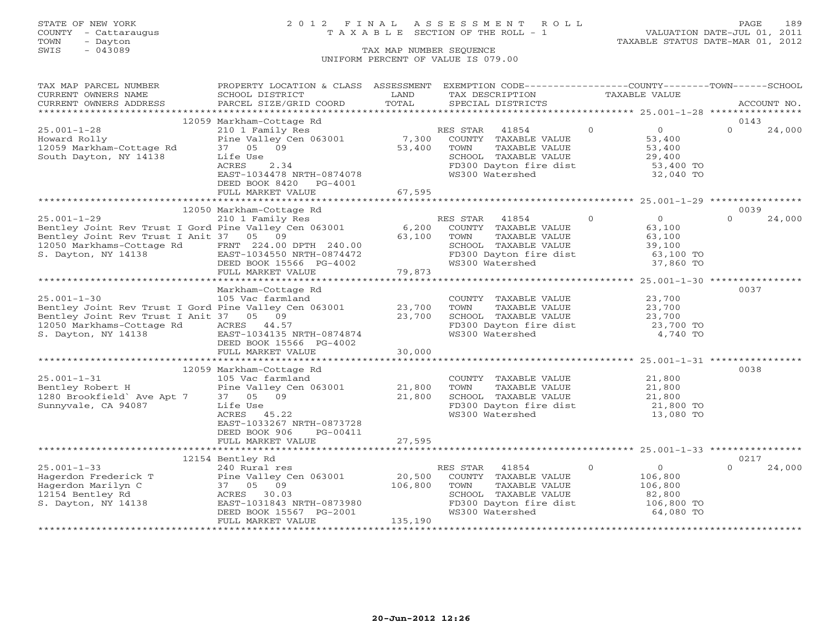### STATE OF NEW YORK 2 0 1 2 F I N A L A S S E S S M E N T R O L L PAGE 189 COUNTY - Cattaraugus T A X A B L E SECTION OF THE ROLL - 1 VALUATION DATE-JUL 01, 2011

| TAX MAP PARCEL NUMBER                                 | PROPERTY LOCATION & CLASS ASSESSMENT               |                                   |          | EXEMPTION CODE-----------------COUNTY--------TOWN------SCHOOL |          |                                                     |          |             |
|-------------------------------------------------------|----------------------------------------------------|-----------------------------------|----------|---------------------------------------------------------------|----------|-----------------------------------------------------|----------|-------------|
| CURRENT OWNERS NAME                                   | SCHOOL DISTRICT                                    | LAND                              |          | TAX DESCRIPTION                                               |          | <b>TAXABLE VALUE</b>                                |          |             |
| CURRENT OWNERS ADDRESS                                | PARCEL SIZE/GRID COORD                             | TOTAL                             |          | SPECIAL DISTRICTS                                             |          |                                                     |          | ACCOUNT NO. |
| **********************                                |                                                    |                                   |          |                                                               |          |                                                     |          |             |
|                                                       | 12059 Markham-Cottage Rd                           |                                   |          |                                                               |          |                                                     | 0143     |             |
| $25.001 - 1 - 28$                                     | 210 1 Family Res                                   |                                   | RES STAR | 41854                                                         | $\Omega$ | $\circ$                                             | $\Omega$ | 24,000      |
| Howard Rolly                                          | Pine Valley Cen 063001                             | 7,300                             |          | COUNTY TAXABLE VALUE                                          |          | 53,400                                              |          |             |
| 12059 Markham-Cottage Rd                              | 37 05 09                                           | 53,400                            | TOWN     | TAXABLE VALUE                                                 |          | 53,400                                              |          |             |
| South Dayton, NY 14138                                | Life Use                                           |                                   |          | SCHOOL TAXABLE VALUE                                          |          | 29,400                                              |          |             |
|                                                       | ACRES<br>2.34                                      |                                   |          | FD300 Dayton fire dist                                        |          | 53,400 TO                                           |          |             |
|                                                       | EAST-1034478 NRTH-0874078                          |                                   |          | WS300 Watershed                                               |          | 32,040 TO                                           |          |             |
|                                                       | DEED BOOK 8420<br>$PG-4001$                        |                                   |          |                                                               |          |                                                     |          |             |
|                                                       | FULL MARKET VALUE<br>***************************** | 67,595                            |          |                                                               |          |                                                     |          |             |
|                                                       |                                                    |                                   |          |                                                               |          |                                                     |          |             |
|                                                       | 12050 Markham-Cottage Rd                           |                                   |          |                                                               |          |                                                     | 0039     |             |
| $25.001 - 1 - 29$                                     | 210 1 Family Res                                   |                                   | RES STAR | 41854                                                         | $\Omega$ | $\Omega$                                            | $\Omega$ | 24,000      |
| Bentley Joint Rev Trust I Gord Pine Valley Cen 063001 |                                                    | 6,200                             |          | COUNTY TAXABLE VALUE                                          |          | 63,100                                              |          |             |
| Bentley Joint Rev Trust I Anit 37 05 09               |                                                    | 63,100                            | TOWN     | TAXABLE VALUE                                                 |          | 63,100                                              |          |             |
| 12050 Markhams-Cottage Rd                             | FRNT 224.00 DPTH 240.00                            |                                   |          | SCHOOL TAXABLE VALUE                                          |          | 39,100                                              |          |             |
| S. Dayton, NY 14138                                   | EAST-1034550 NRTH-0874472                          |                                   |          | FD300 Dayton fire dist                                        |          | 63,100 TO                                           |          |             |
|                                                       | DEED BOOK 15566 PG-4002                            |                                   |          | WS300 Watershed                                               |          | 37,860 TO                                           |          |             |
|                                                       | FULL MARKET VALUE<br>************************      | 79,873<br>************            |          |                                                               |          |                                                     |          |             |
|                                                       |                                                    |                                   |          |                                                               |          | ******************** 25.001-1-30 **************     |          |             |
|                                                       | Markham-Cottage Rd                                 |                                   |          |                                                               |          |                                                     | 0037     |             |
| $25.001 - 1 - 30$                                     | 105 Vac farmland                                   |                                   |          | COUNTY TAXABLE VALUE                                          |          | 23,700                                              |          |             |
| Bentley Joint Rev Trust I Gord Pine Valley Cen 063001 |                                                    | 23,700                            | TOWN     | TAXABLE VALUE                                                 |          | 23,700                                              |          |             |
| Bentley Joint Rev Trust I Anit 37 05 09               |                                                    | 23,700                            |          | SCHOOL TAXABLE VALUE                                          |          | 23,700                                              |          |             |
| 12050 Markhams-Cottage Rd                             | ACRES 44.57                                        |                                   |          | FD300 Dayton fire dist                                        |          | 23,700 TO                                           |          |             |
| S. Dayton, NY 14138                                   | EAST-1034135 NRTH-0874874                          |                                   |          | WS300 Watershed                                               |          | 4,740 TO                                            |          |             |
|                                                       | DEED BOOK 15566 PG-4002                            |                                   |          |                                                               |          |                                                     |          |             |
|                                                       | FULL MARKET VALUE                                  | 30,000                            |          |                                                               |          |                                                     |          |             |
|                                                       |                                                    |                                   |          |                                                               |          |                                                     |          |             |
|                                                       | 12059 Markham-Cottage Rd                           |                                   |          |                                                               |          |                                                     | 0038     |             |
| $25.001 - 1 - 31$                                     | 105 Vac farmland                                   |                                   |          | COUNTY TAXABLE VALUE                                          |          | 21,800                                              |          |             |
| Bentley Robert H                                      | Pine Valley Cen 063001                             | 21,800                            | TOWN     | TAXABLE VALUE                                                 |          | 21,800                                              |          |             |
| 1280 Brookfield' Ave Apt 7                            | 37 05 09                                           | 21,800                            |          | SCHOOL TAXABLE VALUE                                          |          | 21,800                                              |          |             |
| Sunnyvale, CA 94087                                   | Life Use                                           |                                   |          | FD300 Dayton fire dist                                        |          | 21,800 TO                                           |          |             |
|                                                       | 45.22<br>ACRES                                     |                                   |          | WS300 Watershed                                               |          | 13,080 TO                                           |          |             |
|                                                       | EAST-1033267 NRTH-0873728                          |                                   |          |                                                               |          |                                                     |          |             |
|                                                       | DEED BOOK 906<br>PG-00411                          |                                   |          |                                                               |          |                                                     |          |             |
|                                                       | FULL MARKET VALUE<br>************************      | 27,595<br>* * * * * * * * * * * * |          |                                                               |          | ********************* 25.001-1-33 ***************** |          |             |
|                                                       |                                                    |                                   |          |                                                               |          |                                                     |          |             |
|                                                       | 12154 Bentley Rd                                   |                                   |          |                                                               |          |                                                     | 0217     |             |
| $25.001 - 1 - 33$                                     | 240 Rural res                                      |                                   | RES STAR | 41854                                                         | $\circ$  | $\circ$                                             | $\Omega$ | 24,000      |
| Hagerdon Frederick T                                  | Pine Valley Cen 063001                             | 20,500                            |          | COUNTY TAXABLE VALUE                                          |          | 106,800                                             |          |             |
| Hagerdon Marilyn C                                    | 37 05 09                                           | 106,800                           | TOWN     | TAXABLE VALUE                                                 |          | 106,800                                             |          |             |
| 12154 Bentley Rd                                      | ACRES 30.03                                        |                                   |          | SCHOOL TAXABLE VALUE                                          |          | 82,800                                              |          |             |
| S. Dayton, NY 14138                                   | EAST-1031843 NRTH-0873980                          |                                   |          | FD300 Dayton fire dist                                        |          | 106,800 TO                                          |          |             |
|                                                       | DEED BOOK 15567 PG-2001                            |                                   |          | WS300 Watershed                                               |          | 64,080 TO                                           |          |             |
|                                                       | FULL MARKET VALUE                                  | 135,190                           |          |                                                               |          |                                                     |          |             |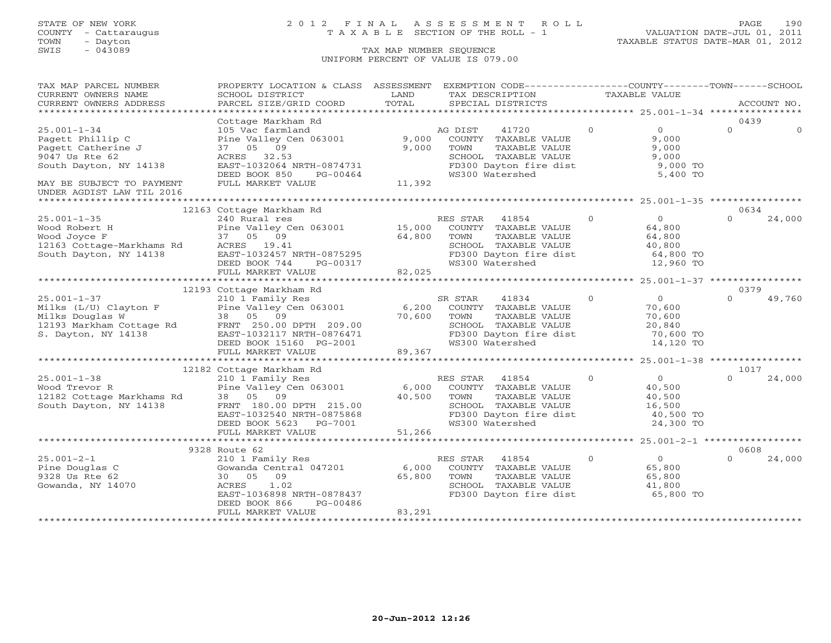### STATE OF NEW YORK 2 0 1 2 F I N A L A S S E S S M E N T R O L L PAGE 190 COUNTY - Cattaraugus T A X A B L E SECTION OF THE ROLL - 1 VALUATION DATE-JUL 01, 2011

| TAX MAP PARCEL NUMBER                                                                                                                                                          | PROPERTY LOCATION & CLASS ASSESSMENT |        | EXEMPTION CODE-----------------COUNTY-------TOWN------SCHOOL |                |                |          |             |
|--------------------------------------------------------------------------------------------------------------------------------------------------------------------------------|--------------------------------------|--------|--------------------------------------------------------------|----------------|----------------|----------|-------------|
| CURRENT OWNERS NAME                                                                                                                                                            | SCHOOL DISTRICT                      | LAND   | TAX DESCRIPTION                                              | TAXABLE VALUE  |                |          |             |
| CURRENT OWNERS ADDRESS                                                                                                                                                         | PARCEL SIZE/GRID COORD               | TOTAL  | SPECIAL DISTRICTS                                            |                |                |          | ACCOUNT NO. |
| ***********************                                                                                                                                                        |                                      |        |                                                              |                |                |          |             |
|                                                                                                                                                                                | Cottage Markham Rd                   |        |                                                              |                |                | 0439     |             |
| $25.001 - 1 - 34$                                                                                                                                                              | 105 Vac farmland                     |        | 41720<br>AG DIST                                             | $\Omega$       | $\overline{0}$ | $\Omega$ |             |
| Pagett Phillip C                                                                                                                                                               | Pine Valley Cen 063001               | 9,000  | COUNTY TAXABLE VALUE                                         |                | 9,000          |          |             |
| Pagett Catherine J                                                                                                                                                             | 37 05<br>09                          | 9,000  | TAXABLE VALUE<br>TOWN                                        |                | 9,000          |          |             |
| 9047 Us Rte 62                                                                                                                                                                 | ACRES 32.53                          |        | SCHOOL TAXABLE VALUE                                         |                | 9,000          |          |             |
| South Dayton, NY 14138                                                                                                                                                         | EAST-1032064 NRTH-0874731            |        | FD300 Dayton fire dist                                       |                | 9,000 TO       |          |             |
|                                                                                                                                                                                | DEED BOOK 850<br>PG-00464            |        | WS300 Watershed                                              |                | 5,400 TO       |          |             |
| MAY BE SUBJECT TO PAYMENT                                                                                                                                                      | FULL MARKET VALUE                    | 11,392 |                                                              |                |                |          |             |
| UNDER AGDIST LAW TIL 2016                                                                                                                                                      |                                      |        |                                                              |                |                |          |             |
|                                                                                                                                                                                |                                      |        |                                                              |                |                |          |             |
|                                                                                                                                                                                | 12163 Cottage Markham Rd             |        |                                                              |                |                | 0634     |             |
| $25.001 - 1 - 35$                                                                                                                                                              | 240 Rural res                        |        | RES STAR<br>41854                                            | $\Omega$       | $\overline{0}$ | $\Omega$ | 24,000      |
| Wood Robert H                                                                                                                                                                  | Pine Valley Cen 063001 15,000        |        | COUNTY TAXABLE VALUE                                         |                | 64,800         |          |             |
| Wood Joyce F                                                                                                                                                                   | 37 05 09                             | 64,800 | TAXABLE VALUE<br>TOWN                                        |                | 64,800         |          |             |
| Wood Joyce F<br>12163 Cottage-Markhams Rd                                                                                                                                      | ACRES 19.41                          |        | SCHOOL TAXABLE VALUE                                         |                | 40,800         |          |             |
| South Dayton, NY 14138                                                                                                                                                         | EAST-1032457 NRTH-0875295            |        | FD300 Dayton fire dist                                       |                | 64,800 TO      |          |             |
|                                                                                                                                                                                | DEED BOOK 744<br>PG-00317            |        | WS300 Watershed                                              |                | 12,960 TO      |          |             |
|                                                                                                                                                                                | FULL MARKET VALUE                    | 82,025 |                                                              |                |                |          |             |
|                                                                                                                                                                                |                                      |        |                                                              |                |                |          |             |
|                                                                                                                                                                                | 12193 Cottage Markham Rd             |        |                                                              |                |                | 0379     |             |
| $25.001 - 1 - 37$                                                                                                                                                              | 210 1 Family Res                     |        | SR STAR<br>41834                                             | $\Omega$       | $\Omega$       | $\Omega$ | 49,760      |
|                                                                                                                                                                                | Pine Valley Cen 063001               | 6,200  | COUNTY TAXABLE VALUE                                         |                | 70,600         |          |             |
|                                                                                                                                                                                |                                      | 70,600 | TOWN<br>TAXABLE VALUE                                        |                | 70,600         |          |             |
|                                                                                                                                                                                |                                      |        | SCHOOL TAXABLE VALUE                                         |                | 20,840         |          |             |
|                                                                                                                                                                                |                                      |        | FD300 Dayton fire dist                                       |                | 70,600 TO      |          |             |
| Milks (L/U) Clayton r<br>Milks Douglas W 38 05 09<br>12193 Markham Cottage Rd FRNT 250.00 DPTH 209.00<br>Shorton, NY 14138 EAST-1032117 NRTH-0876471<br>FRD BOOK 15160 PG-2001 |                                      |        | WS300 Watershed                                              |                | 14,120 TO      |          |             |
|                                                                                                                                                                                | FULL MARKET VALUE                    | 89,367 |                                                              |                |                |          |             |
|                                                                                                                                                                                |                                      |        |                                                              |                |                |          |             |
|                                                                                                                                                                                | 12182 Cottage Markham Rd             |        |                                                              |                |                | 1017     |             |
| $25.001 - 1 - 38$                                                                                                                                                              | 210 1 Family Res                     |        | RES STAR<br>41854                                            | $\Omega$       | $\overline{0}$ | $\Omega$ | 24,000      |
|                                                                                                                                                                                | Pine Valley Cen 063001               | 6,000  | COUNTY TAXABLE VALUE                                         |                | 40,500         |          |             |
| zɔ.uui-i-38<br>Wood Trevor R<br>12182 Cottage Markhams Rd                                                                                                                      | 38 05 09                             | 40,500 | TOWN<br>TAXABLE VALUE                                        |                | 40,500         |          |             |
| South Dayton, NY 14138                                                                                                                                                         | FRNT 180.00 DPTH 215.00              |        | SCHOOL TAXABLE VALUE                                         |                | 16,500         |          |             |
|                                                                                                                                                                                | EAST-1032540 NRTH-0875868            |        | FD300 Dayton fire dist                                       |                | 40,500 TO      |          |             |
|                                                                                                                                                                                | DEED BOOK 5623 PG-7001               |        | WS300 Watershed                                              |                | 24,300 TO      |          |             |
|                                                                                                                                                                                | FULL MARKET VALUE                    | 51,266 |                                                              |                |                |          |             |
|                                                                                                                                                                                |                                      |        |                                                              |                |                |          |             |
|                                                                                                                                                                                | 9328 Route 62                        |        |                                                              |                |                | 0608     |             |
| $25.001 - 2 - 1$                                                                                                                                                               | 210 1 Family Res                     |        | 41854<br>RES STAR                                            | $\overline{0}$ | $\overline{0}$ | $\Omega$ | 24,000      |
| Pine Douglas C                                                                                                                                                                 | Gowanda Central 047201               | 6,000  | COUNTY TAXABLE VALUE                                         |                | 65,800         |          |             |
| 9328 Us Rte 62                                                                                                                                                                 | 30 05 09                             | 65,800 | TOWN<br>TAXABLE VALUE                                        |                | 65,800         |          |             |
| Gowanda, NY 14070                                                                                                                                                              | 1.02<br>ACRES                        |        | SCHOOL TAXABLE VALUE                                         |                | 41,800         |          |             |
|                                                                                                                                                                                | EAST-1036898 NRTH-0878437            |        | FD300 Dayton fire dist                                       |                | 65,800 TO      |          |             |
|                                                                                                                                                                                | PG-00486<br>DEED BOOK 866            |        |                                                              |                |                |          |             |
|                                                                                                                                                                                | FULL MARKET VALUE                    | 83,291 |                                                              |                |                |          |             |
|                                                                                                                                                                                |                                      |        |                                                              |                |                |          |             |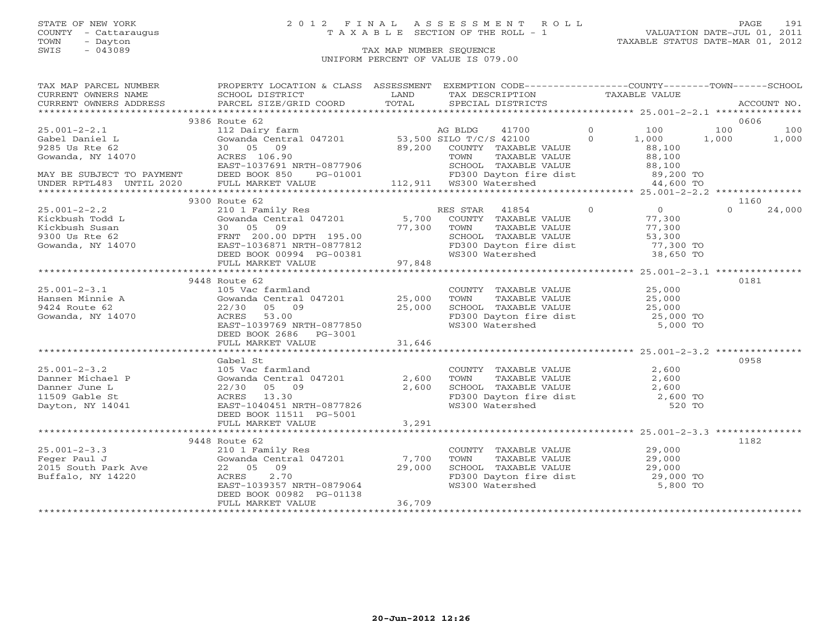### STATE OF NEW YORK 2 0 1 2 F I N A L A S S E S S M E N T R O L L PAGE 191 COUNTY - Cattaraugus T A X A B L E SECTION OF THE ROLL - 1 VALUATION DATE-JUL 01, 2011

| TAX MAP PARCEL NUMBER                                                                                                                                                                                                                                                                                                                                                                                                                                                                                    | PROPERTY LOCATION & CLASS ASSESSMENT EXEMPTION CODE----------------COUNTY-------TOWN------SCHOOL                                                                                                                                                                                       |        |                                                                                                                                                                   |  |          |        |
|----------------------------------------------------------------------------------------------------------------------------------------------------------------------------------------------------------------------------------------------------------------------------------------------------------------------------------------------------------------------------------------------------------------------------------------------------------------------------------------------------------|----------------------------------------------------------------------------------------------------------------------------------------------------------------------------------------------------------------------------------------------------------------------------------------|--------|-------------------------------------------------------------------------------------------------------------------------------------------------------------------|--|----------|--------|
| CURRENT OWNERS NAME<br>$\begin{tabular}{lllllll} \multicolumn{2}{c}{\textbf{CURRENT}} & \multicolumn{2}{c}{\textbf{WMERS}} & \multicolumn{2}{c}{\textbf{NAME}} & \multicolumn{2}{c}{\textbf{SCHOOL}} & \multicolumn{2}{c}{\textbf{LAND}} & \multicolumn{2}{c}{\textbf{TAX} \textbf{DESCRIPTION}} & \multicolumn{2}{c}{\textbf{TAXABLE} \textbf{ VALUE}} & \multicolumn{2}{c}{\textbf{ACCOUNT NO.}} \\ & & & & & & & \\ \multicolumn{2}{c}{\textbf{CURRENT}} & \multicolumn{2}{c}{\textbf{WMERS} \textbf$ |                                                                                                                                                                                                                                                                                        |        |                                                                                                                                                                   |  |          |        |
|                                                                                                                                                                                                                                                                                                                                                                                                                                                                                                          |                                                                                                                                                                                                                                                                                        |        |                                                                                                                                                                   |  |          |        |
|                                                                                                                                                                                                                                                                                                                                                                                                                                                                                                          |                                                                                                                                                                                                                                                                                        |        |                                                                                                                                                                   |  |          |        |
|                                                                                                                                                                                                                                                                                                                                                                                                                                                                                                          | 9386 Route 62                                                                                                                                                                                                                                                                          |        |                                                                                                                                                                   |  |          | 0606   |
|                                                                                                                                                                                                                                                                                                                                                                                                                                                                                                          |                                                                                                                                                                                                                                                                                        |        |                                                                                                                                                                   |  |          |        |
|                                                                                                                                                                                                                                                                                                                                                                                                                                                                                                          |                                                                                                                                                                                                                                                                                        |        |                                                                                                                                                                   |  |          |        |
|                                                                                                                                                                                                                                                                                                                                                                                                                                                                                                          |                                                                                                                                                                                                                                                                                        |        |                                                                                                                                                                   |  |          |        |
|                                                                                                                                                                                                                                                                                                                                                                                                                                                                                                          |                                                                                                                                                                                                                                                                                        |        |                                                                                                                                                                   |  |          |        |
|                                                                                                                                                                                                                                                                                                                                                                                                                                                                                                          |                                                                                                                                                                                                                                                                                        |        |                                                                                                                                                                   |  |          |        |
|                                                                                                                                                                                                                                                                                                                                                                                                                                                                                                          |                                                                                                                                                                                                                                                                                        |        |                                                                                                                                                                   |  |          |        |
|                                                                                                                                                                                                                                                                                                                                                                                                                                                                                                          |                                                                                                                                                                                                                                                                                        |        |                                                                                                                                                                   |  |          |        |
|                                                                                                                                                                                                                                                                                                                                                                                                                                                                                                          |                                                                                                                                                                                                                                                                                        |        |                                                                                                                                                                   |  |          |        |
|                                                                                                                                                                                                                                                                                                                                                                                                                                                                                                          | 9300 Route 62                                                                                                                                                                                                                                                                          |        |                                                                                                                                                                   |  |          | 1160   |
| $\begin{array}{cccccc} 25.001-2-2.2 & & & 2101111& & & & 210118& & & & 210118& & & & 210118& & & & 210118& & & & 210118& & & & 210118& & & & 210118& & & & & 210118& & & & & 210118& & & & & 210118& & & & & 210118& & & & & 21018& & & & 21018& & & & & 21018& & & & 21018& & & & & 21018& & & & 21018$                                                                                                                                                                                                 |                                                                                                                                                                                                                                                                                        |        |                                                                                                                                                                   |  | $\Omega$ | 24,000 |
|                                                                                                                                                                                                                                                                                                                                                                                                                                                                                                          |                                                                                                                                                                                                                                                                                        |        |                                                                                                                                                                   |  |          |        |
|                                                                                                                                                                                                                                                                                                                                                                                                                                                                                                          |                                                                                                                                                                                                                                                                                        |        |                                                                                                                                                                   |  |          |        |
|                                                                                                                                                                                                                                                                                                                                                                                                                                                                                                          |                                                                                                                                                                                                                                                                                        |        |                                                                                                                                                                   |  |          |        |
|                                                                                                                                                                                                                                                                                                                                                                                                                                                                                                          |                                                                                                                                                                                                                                                                                        |        |                                                                                                                                                                   |  |          |        |
|                                                                                                                                                                                                                                                                                                                                                                                                                                                                                                          |                                                                                                                                                                                                                                                                                        |        |                                                                                                                                                                   |  |          |        |
|                                                                                                                                                                                                                                                                                                                                                                                                                                                                                                          |                                                                                                                                                                                                                                                                                        |        |                                                                                                                                                                   |  |          |        |
|                                                                                                                                                                                                                                                                                                                                                                                                                                                                                                          |                                                                                                                                                                                                                                                                                        |        |                                                                                                                                                                   |  |          |        |
|                                                                                                                                                                                                                                                                                                                                                                                                                                                                                                          | 9448 Route 62                                                                                                                                                                                                                                                                          |        |                                                                                                                                                                   |  |          | 0181   |
|                                                                                                                                                                                                                                                                                                                                                                                                                                                                                                          |                                                                                                                                                                                                                                                                                        |        |                                                                                                                                                                   |  |          |        |
|                                                                                                                                                                                                                                                                                                                                                                                                                                                                                                          | 105 Vac farmland<br>Gowanda Central 047201 25,000                                                                                                                                                                                                                                      |        |                                                                                                                                                                   |  |          |        |
|                                                                                                                                                                                                                                                                                                                                                                                                                                                                                                          |                                                                                                                                                                                                                                                                                        |        |                                                                                                                                                                   |  |          |        |
| 25.001-2-3.1<br>Hansen Minnie A<br>9424 Route 62<br>Coverda - NY 14070                                                                                                                                                                                                                                                                                                                                                                                                                                   | 22/30 05 09 25,000<br>ACRES 53.00 25,000<br>EAST-1039769 NRTH-0877850                                                                                                                                                                                                                  |        | COUNTY TAXABLE VALUE $25,000$<br>TOWN TAXABLE VALUE $25,000$<br>SCHOOL TAXABLE VALUE $25,000$<br>FD300 Dayton fire dist $25,000$ TO<br>WS300 Watershed $5,000$ TO |  |          |        |
|                                                                                                                                                                                                                                                                                                                                                                                                                                                                                                          |                                                                                                                                                                                                                                                                                        |        |                                                                                                                                                                   |  |          |        |
|                                                                                                                                                                                                                                                                                                                                                                                                                                                                                                          | DEED BOOK 2686    PG-3001                                                                                                                                                                                                                                                              |        |                                                                                                                                                                   |  |          |        |
|                                                                                                                                                                                                                                                                                                                                                                                                                                                                                                          | FULL MARKET VALUE                                                                                                                                                                                                                                                                      | 31,646 |                                                                                                                                                                   |  |          |        |
|                                                                                                                                                                                                                                                                                                                                                                                                                                                                                                          |                                                                                                                                                                                                                                                                                        |        |                                                                                                                                                                   |  |          |        |
|                                                                                                                                                                                                                                                                                                                                                                                                                                                                                                          | Gabel St                                                                                                                                                                                                                                                                               |        |                                                                                                                                                                   |  |          | 0958   |
| $25.001 - 2 - 3.2$                                                                                                                                                                                                                                                                                                                                                                                                                                                                                       |                                                                                                                                                                                                                                                                                        |        |                                                                                                                                                                   |  |          |        |
|                                                                                                                                                                                                                                                                                                                                                                                                                                                                                                          |                                                                                                                                                                                                                                                                                        |        |                                                                                                                                                                   |  |          |        |
|                                                                                                                                                                                                                                                                                                                                                                                                                                                                                                          |                                                                                                                                                                                                                                                                                        |        |                                                                                                                                                                   |  |          |        |
| 25.001-2-3.2<br>Danner Michael P<br>Danner June L<br>11509 Gable St                                                                                                                                                                                                                                                                                                                                                                                                                                      | 2,600<br>105 Vac farmland<br>COUNTY TAXABLE VALUE<br>2,600<br>2,600<br>2,600<br>2,600<br>2,600<br>2,600<br>2,600<br>2,600<br>2,600<br>2,600<br>2,600<br>2,600<br>2,600<br>2,600<br>2,600<br>2,600<br>2,600<br>2,600<br>2,600<br>2,600<br>2,600<br>2,600<br>2,600<br>2,600<br>2,600<br> |        |                                                                                                                                                                   |  |          |        |
| Dayton, NY 14041                                                                                                                                                                                                                                                                                                                                                                                                                                                                                         |                                                                                                                                                                                                                                                                                        |        |                                                                                                                                                                   |  |          |        |
|                                                                                                                                                                                                                                                                                                                                                                                                                                                                                                          | DEED BOOK 11511 PG-5001                                                                                                                                                                                                                                                                |        |                                                                                                                                                                   |  |          |        |
|                                                                                                                                                                                                                                                                                                                                                                                                                                                                                                          | FULL MARKET VALUE                                                                                                                                                                                                                                                                      | 3,291  |                                                                                                                                                                   |  |          |        |
|                                                                                                                                                                                                                                                                                                                                                                                                                                                                                                          |                                                                                                                                                                                                                                                                                        |        |                                                                                                                                                                   |  |          |        |
|                                                                                                                                                                                                                                                                                                                                                                                                                                                                                                          | 9448 Route 62                                                                                                                                                                                                                                                                          |        |                                                                                                                                                                   |  |          | 1182   |
|                                                                                                                                                                                                                                                                                                                                                                                                                                                                                                          |                                                                                                                                                                                                                                                                                        |        |                                                                                                                                                                   |  |          |        |
|                                                                                                                                                                                                                                                                                                                                                                                                                                                                                                          |                                                                                                                                                                                                                                                                                        |        | COUNTY TAXABLE VALUE<br>TOWN TAXABLE VALUE 29,000<br>SCHOOL TAXABLE VALUE 29,000<br>FD300 Dayton fire dist 29,000 TO<br>WS300 Watershed 5,800 TO                  |  |          |        |
|                                                                                                                                                                                                                                                                                                                                                                                                                                                                                                          |                                                                                                                                                                                                                                                                                        |        |                                                                                                                                                                   |  |          |        |
|                                                                                                                                                                                                                                                                                                                                                                                                                                                                                                          |                                                                                                                                                                                                                                                                                        |        |                                                                                                                                                                   |  |          |        |
|                                                                                                                                                                                                                                                                                                                                                                                                                                                                                                          | EAST-1039357 NRTH-0879064                                                                                                                                                                                                                                                              |        |                                                                                                                                                                   |  |          |        |
|                                                                                                                                                                                                                                                                                                                                                                                                                                                                                                          | DEED BOOK 00982 PG-01138                                                                                                                                                                                                                                                               |        |                                                                                                                                                                   |  |          |        |
|                                                                                                                                                                                                                                                                                                                                                                                                                                                                                                          | FULL MARKET VALUE                                                                                                                                                                                                                                                                      | 36,709 |                                                                                                                                                                   |  |          |        |
|                                                                                                                                                                                                                                                                                                                                                                                                                                                                                                          |                                                                                                                                                                                                                                                                                        |        |                                                                                                                                                                   |  |          |        |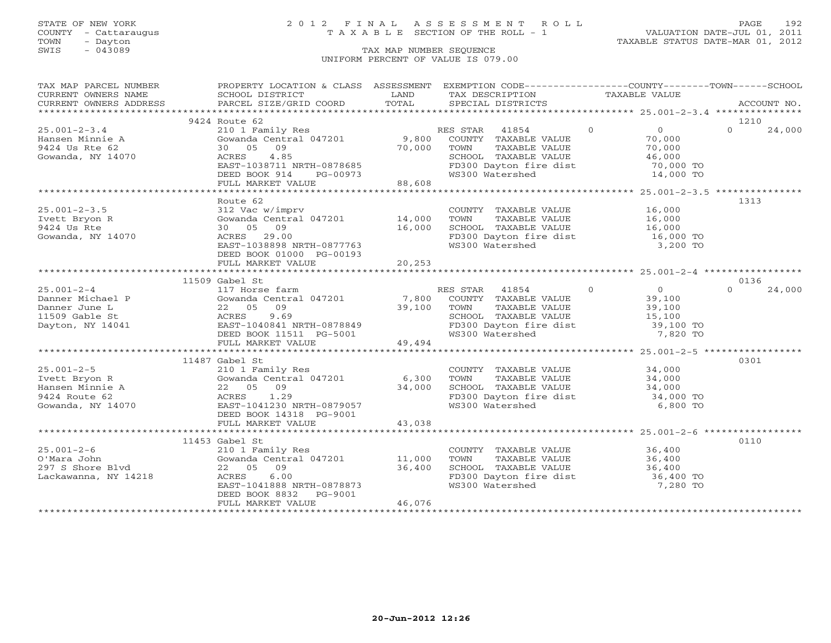### STATE OF NEW YORK 2 0 1 2 F I N A L A S S E S S M E N T R O L L PAGE 192 COUNTY - Cattaraugus T A X A B L E SECTION OF THE ROLL - 1 VALUATION DATE-JUL 01, 2011

| TAX MAP PARCEL NUMBER  | PROPERTY LOCATION & CLASS ASSESSMENT EXEMPTION CODE----------------COUNTY-------TOWN------SCHOOL                                                                                        |               |                                                                                                                                           |                                                               |                    |
|------------------------|-----------------------------------------------------------------------------------------------------------------------------------------------------------------------------------------|---------------|-------------------------------------------------------------------------------------------------------------------------------------------|---------------------------------------------------------------|--------------------|
| CURRENT OWNERS NAME    | SCHOOL DISTRICT                                                                                                                                                                         | LAND          | TAX DESCRIPTION                                                                                                                           | TAXABLE VALUE                                                 |                    |
| CURRENT OWNERS ADDRESS | .CURRENT OWNERS ADDRESS PARCEL SIZE/GRID COORD TOTAL SPECIAL DISTRICTS ACCOUNT NO ACCOUNT NO ACCOUNT NO ACCOUNT NO ARRENT OWNERS ADDRESS PARCEL SIZE/GRID COORD TOTAL SPECIAL DISTRICTS |               |                                                                                                                                           |                                                               |                    |
|                        |                                                                                                                                                                                         |               |                                                                                                                                           |                                                               |                    |
|                        | 9424 Route 62                                                                                                                                                                           |               |                                                                                                                                           |                                                               | 1210               |
| $25.001 - 2 - 3.4$     | 210 1 Family Res                                                                                                                                                                        |               | RES STAR 41854                                                                                                                            | $\Omega$<br>$\overline{0}$                                    | $\Omega$<br>24,000 |
| Hansen Minnie A        | Gowanda Central 047201 9,800 COUNTY TAXABLE VALUE                                                                                                                                       |               |                                                                                                                                           | 70,000                                                        |                    |
| 9424 Us Rte 62         | 09<br>30 05                                                                                                                                                                             | 70,000        | TAXABLE VALUE<br>TOWN                                                                                                                     | 70,000                                                        |                    |
| Gowanda, NY 14070      | 4.85<br>ACRES                                                                                                                                                                           |               |                                                                                                                                           | 46,000                                                        |                    |
|                        | EAST-1038711 NRTH-0878685                                                                                                                                                               |               | SCHOOL TAXABLE VALUE<br>FD300 Dayton fire dist                                                                                            | $70,000$ TO                                                   |                    |
|                        | DEED BOOK 914                                                                                                                                                                           |               | WS300 Watershed                                                                                                                           | 14,000 TO                                                     |                    |
|                        | PG-00973<br>LUE 88,608<br>FULL MARKET VALUE                                                                                                                                             |               |                                                                                                                                           |                                                               |                    |
|                        |                                                                                                                                                                                         |               |                                                                                                                                           |                                                               |                    |
|                        | Route 62                                                                                                                                                                                |               |                                                                                                                                           |                                                               | 1313               |
| $25.001 - 2 - 3.5$     |                                                                                                                                                                                         |               | COUNTY TAXABLE VALUE 16,000                                                                                                               |                                                               |                    |
| Ivett Bryon R          | 312 Vac w/imprv<br>Gowanda Central 047201 14,000                                                                                                                                        |               |                                                                                                                                           |                                                               |                    |
| 9424 Us Rte            | 30 05 09                                                                                                                                                                                | 16,000        |                                                                                                                                           |                                                               |                    |
| Gowanda, NY 14070      | ACRES 29.00                                                                                                                                                                             |               | TOWN TAXABLE VALUE 16,000<br>SCHOOL TAXABLE VALUE 16,000<br>FD300 Dayton fire dist 16,000 TO<br>FD300 Dayton fire dist<br>WS300 Watershed |                                                               |                    |
|                        | EAST-1038898 NRTH-0877763                                                                                                                                                               |               |                                                                                                                                           | 3,200 TO                                                      |                    |
|                        | DEED BOOK 01000 PG-00193                                                                                                                                                                |               |                                                                                                                                           |                                                               |                    |
|                        | FULL MARKET VALUE                                                                                                                                                                       | 20,253        |                                                                                                                                           |                                                               |                    |
|                        |                                                                                                                                                                                         |               |                                                                                                                                           |                                                               |                    |
|                        |                                                                                                                                                                                         |               |                                                                                                                                           |                                                               | 0136               |
|                        |                                                                                                                                                                                         |               | $\overline{0}$<br>RES STAR 41854                                                                                                          |                                                               | $\Omega$<br>24,000 |
|                        |                                                                                                                                                                                         |               | 7,800 COUNTY TAXABLE VALUE                                                                                                                | $\begin{array}{c} 0 \\ 39,100 \end{array}$                    |                    |
|                        |                                                                                                                                                                                         | $39,100$ TOWN |                                                                                                                                           | TAXABLE VALUE<br>TAXABLE VALUE 39,100<br>TAXABLE VALUE 15,100 |                    |
|                        |                                                                                                                                                                                         |               |                                                                                                                                           |                                                               |                    |
|                        |                                                                                                                                                                                         |               | SCHOOL TAXABLE VALUE 15,100<br>FD300 Dayton fire dist 39,100 TO                                                                           |                                                               |                    |
|                        |                                                                                                                                                                                         |               | WS300 Watershed                                                                                                                           | 7,820 TO                                                      |                    |
|                        |                                                                                                                                                                                         |               |                                                                                                                                           |                                                               |                    |
|                        |                                                                                                                                                                                         |               |                                                                                                                                           |                                                               |                    |
|                        |                                                                                                                                                                                         |               |                                                                                                                                           |                                                               | 0301               |
|                        | 11487 Gabel St                                                                                                                                                                          |               |                                                                                                                                           |                                                               |                    |
|                        |                                                                                                                                                                                         |               | COUNTY TAXABLE VALUE 34,000<br>TOWN TAXABLE VALUE 34,000                                                                                  |                                                               |                    |
|                        |                                                                                                                                                                                         |               |                                                                                                                                           |                                                               |                    |
|                        |                                                                                                                                                                                         |               |                                                                                                                                           |                                                               |                    |
|                        |                                                                                                                                                                                         |               | SCHOOL TAXABLE VALUE<br>FD300 Dayton fire dist 34,000 TO<br>WS300 Watershed 6,800 TO                                                      |                                                               |                    |
|                        |                                                                                                                                                                                         |               |                                                                                                                                           |                                                               |                    |
|                        | DEED BOOK 14318 PG-9001                                                                                                                                                                 |               |                                                                                                                                           |                                                               |                    |
|                        | FULL MARKET VALUE                                                                                                                                                                       | 43,038        |                                                                                                                                           |                                                               |                    |
|                        |                                                                                                                                                                                         |               |                                                                                                                                           |                                                               |                    |
|                        | 11453 Gabel St                                                                                                                                                                          |               |                                                                                                                                           |                                                               | 0110               |
| $25.001 - 2 - 6$       | 210 1 Family Res                                                                                                                                                                        |               | COUNTY TAXABLE VALUE 36,400                                                                                                               |                                                               |                    |
| O'Mara John            | Gowanda Central 047201 11,000                                                                                                                                                           |               | TOWN                                                                                                                                      | TAXABLE VALUE 36,400                                          |                    |
| 297 S Shore Blvd       | 22 05 09                                                                                                                                                                                | 36,400        | SCHOOL TAXABLE VALUE<br>FD300 Dayton fire dist                                                                                            | 36,400<br>36,400 TO                                           |                    |
| Lackawanna, NY 14218   | 6.00<br>ACRES                                                                                                                                                                           |               |                                                                                                                                           |                                                               |                    |
|                        | EAST-1041888 NRTH-0878873                                                                                                                                                               |               | WS300 Watershed                                                                                                                           | 7,280 TO                                                      |                    |
|                        | DEED BOOK 8832 PG-9001                                                                                                                                                                  |               |                                                                                                                                           |                                                               |                    |
|                        | FULL MARKET VALUE                                                                                                                                                                       | 46,076        |                                                                                                                                           |                                                               |                    |
|                        |                                                                                                                                                                                         |               |                                                                                                                                           |                                                               |                    |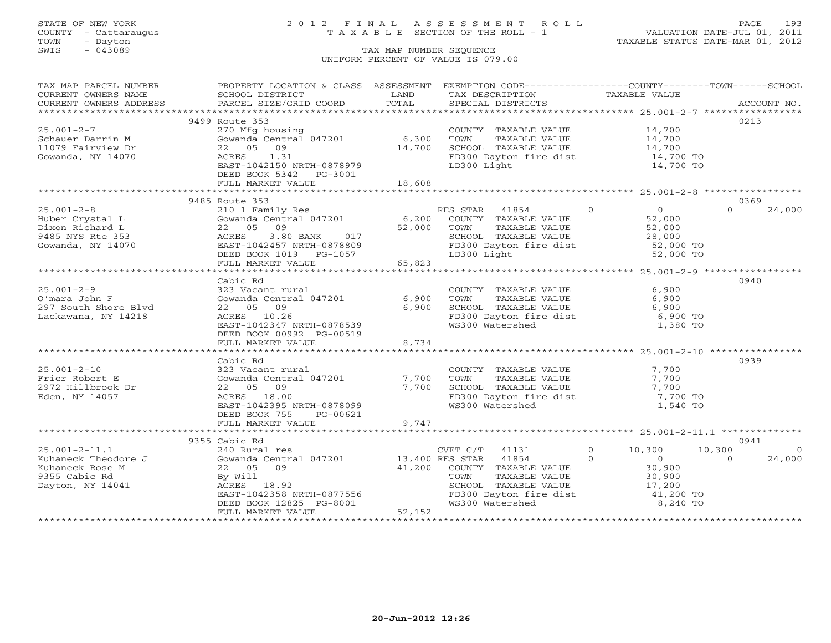## STATE OF NEW YORK 2 0 1 2 F I N A L A S S E S S M E N T R O L L PAGE 193 COUNTY - Cattaraugus T A X A B L E SECTION OF THE ROLL - 1 VALUATION DATE-JUL 01, 2011

| TAX MAP PARCEL NUMBER               | PROPERTY LOCATION & CLASS ASSESSMENT EXEMPTION CODE----------------COUNTY-------TOWN------SCHOOL |                 |                                                              |                            |                    |
|-------------------------------------|--------------------------------------------------------------------------------------------------|-----------------|--------------------------------------------------------------|----------------------------|--------------------|
| CURRENT OWNERS NAME                 | SCHOOL DISTRICT                                                                                  | LAND<br>TOTAL   | TAX DESCRIPTION                                              | TAXABLE VALUE              |                    |
| CURRENT OWNERS ADDRESS              | PARCEL SIZE/GRID COORD                                                                           |                 | SPECIAL DISTRICTS                                            |                            | ACCOUNT NO.        |
|                                     | 9499 Route 353                                                                                   |                 |                                                              |                            | 0213               |
| $25.001 - 2 - 7$                    | 270 Mfg housing                                                                                  |                 | COUNTY TAXABLE VALUE                                         | 14,700                     |                    |
| Schauer Darrin M                    | Gowanda Central 047201                                                                           | 6,300           | TOWN<br>TAXABLE VALUE                                        | 14,700                     |                    |
| 11079 Fairview Dr                   | 09<br>22 05                                                                                      | 14,700          | SCHOOL TAXABLE VALUE                                         | $14,700$<br>$14,700$       |                    |
| Gowanda, NY 14070                   | 1.31<br>ACRES                                                                                    |                 | FD300 Dayton fire dist                                       |                            |                    |
|                                     | EAST-1042150 NRTH-0878979                                                                        |                 | LD300 Light                                                  | 14,700 TO<br>14,700 TO     |                    |
|                                     | DEED BOOK 5342 PG-3001                                                                           |                 |                                                              |                            |                    |
|                                     | FULL MARKET VALUE                                                                                | 18,608          |                                                              |                            |                    |
|                                     |                                                                                                  |                 |                                                              |                            |                    |
|                                     | 9485 Route 353                                                                                   |                 |                                                              |                            | 0369               |
| $25.001 - 2 - 8$                    | 210 1 Family Res<br>$Gowanda Central 047201$ 6,200                                               |                 | RES STAR 41854                                               | $\Omega$<br>$\overline{0}$ | $\Omega$<br>24,000 |
| Huber Crystal L                     | 22 05 09                                                                                         |                 | COUNTY TAXABLE VALUE                                         | 52,000                     |                    |
| Dixon Richard L<br>9485 NYS Rte 353 | $3.80$ BANK<br>017<br>ACRES                                                                      | 52,000          | TAXABLE VALUE<br>TOWN<br>SCHOOL TAXABLE VALUE                | 52,000                     |                    |
| Gowanda, NY 14070                   | EAST-1042457 NRTH-0878809                                                                        |                 |                                                              | 28,000                     |                    |
|                                     | DEED BOOK $1019$ PG- $1057$                                                                      |                 | FD300 Dayton fire dist 52,000 TO<br>LD300 Light 52,000 TO    |                            |                    |
|                                     | FULL MARKET VALUE                                                                                | 65,823          |                                                              |                            |                    |
|                                     |                                                                                                  |                 |                                                              |                            |                    |
|                                     | Cabic Rd                                                                                         |                 |                                                              |                            | 0940               |
| $25.001 - 2 - 9$                    | 323 Vacant rural                                                                                 |                 | COUNTY TAXABLE VALUE                                         | 6,900                      |                    |
| O'mara John F                       | Gowanda Central 047201                                                                           | 6,900           | TOWN<br>TAXABLE VALUE                                        | 6,900                      |                    |
| 297 South Shore Blvd                | 22 05 09                                                                                         | 6,900           | SCHOOL TAXABLE VALUE                                         | 6,900                      |                    |
| Lackawana, NY 14218                 | ACRES 10.26                                                                                      |                 | FD300 Dayton fire dist                                       | 6,900 TO                   |                    |
|                                     | EAST-1042347 NRTH-0878539                                                                        |                 | WS300 Watershed                                              | 1,380 TO                   |                    |
|                                     | DEED BOOK 00992 PG-00519                                                                         |                 |                                                              |                            |                    |
|                                     | FULL MARKET VALUE                                                                                | 8,734           |                                                              |                            |                    |
|                                     | Cabic Rd                                                                                         |                 |                                                              |                            | 0939               |
| $25.001 - 2 - 10$                   | 323 Vacant rural                                                                                 |                 | COUNTY TAXABLE VALUE                                         | 7,700                      |                    |
| Frier Robert E                      | Gowanda Central 047201 7,700                                                                     |                 | TOWN<br>TAXABLE VALUE                                        | 7,700                      |                    |
| 2972 Hillbrook Dr                   | 22 05 09                                                                                         | 7,700           |                                                              | 7,700                      |                    |
| Eden, NY 14057                      | ACRES 18.00                                                                                      |                 | SCHOOL TAXABLE VALUE<br>FD300 Dayton fire dist               | $7,700$ TO                 |                    |
|                                     | EAST-1042395 NRTH-0878099                                                                        |                 | WS300 Watershed                                              | 1,540 TO                   |                    |
|                                     | DEED BOOK 755<br>PG-00621                                                                        |                 |                                                              |                            |                    |
|                                     | FULL MARKET VALUE                                                                                | 9,747           |                                                              |                            |                    |
|                                     |                                                                                                  |                 |                                                              |                            |                    |
|                                     | 9355 Cabic Rd                                                                                    |                 |                                                              |                            | 0941               |
| $25.001 - 2 - 11.1$                 | 240 Rural res                                                                                    |                 | CVET C/T 41131                                               | $0 \t 10,300$              | 10,300<br>$\Omega$ |
| Kuhaneck Theodore J                 | Gowanda Central 047201                                                                           | 13,400 RES STAR | 41854                                                        | $\Omega$<br>$\overline{0}$ | 24,000<br>$\Omega$ |
| Kuhaneck Rose M                     | 09<br>22 05                                                                                      | 41,200          | COUNTY TAXABLE VALUE                                         | 30,900                     |                    |
| 9355 Cabic Rd                       | By Will                                                                                          |                 | TAXABLE VALUE<br>TOWN                                        | 30,900<br>17,200           |                    |
| Dayton, NY 14041                    | ACRES 18.92<br>EAST-1042358 NRTH-0877556                                                         |                 | SCHOOL TAXABLE VALUE                                         | 41,200 TO                  |                    |
|                                     | DEED BOOK 12825 PG-8001                                                                          |                 | FD300 Dayton fire dist<br>WS300 Watershed<br>WS300 Watershed | 8,240 TO                   |                    |
|                                     | FULL MARKET VALUE                                                                                | 52,152          |                                                              |                            |                    |
|                                     |                                                                                                  |                 |                                                              |                            |                    |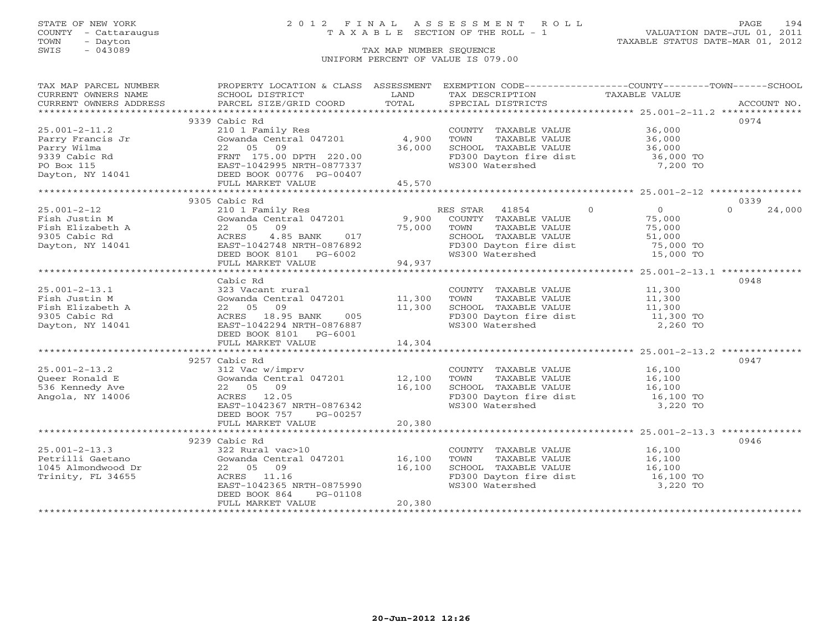### STATE OF NEW YORK 2 0 1 2 F I N A L A S S E S S M E N T R O L L PAGE 194 COUNTY - Cattaraugus T A X A B L E SECTION OF THE ROLL - 1 VALUATION DATE-JUL 01, 2011

| TAX MAP PARCEL NUMBER                                                                                                                                                                                                                                                                                                                                       | PROPERTY LOCATION & CLASS ASSESSMENT EXEMPTION CODE----------------COUNTY-------TOWN------SCHOOL                                                                                             |        |                                                                                                                                                   |          |                    |
|-------------------------------------------------------------------------------------------------------------------------------------------------------------------------------------------------------------------------------------------------------------------------------------------------------------------------------------------------------------|----------------------------------------------------------------------------------------------------------------------------------------------------------------------------------------------|--------|---------------------------------------------------------------------------------------------------------------------------------------------------|----------|--------------------|
| CURRENT OWNERS NAME SCHOOL DISTRICT                                                                                                                                                                                                                                                                                                                         | <b>Example 12 DE LAND</b>                                                                                                                                                                    |        | TAX DESCRIPTION TAXABLE VALUE                                                                                                                     |          |                    |
| CURRENT OWNERS ADDRESS                                                                                                                                                                                                                                                                                                                                      |                                                                                                                                                                                              |        |                                                                                                                                                   |          |                    |
|                                                                                                                                                                                                                                                                                                                                                             |                                                                                                                                                                                              |        |                                                                                                                                                   |          |                    |
|                                                                                                                                                                                                                                                                                                                                                             | 9339 Cabic Rd                                                                                                                                                                                |        |                                                                                                                                                   |          | 0974               |
| $25.001 - 2 - 11.2$                                                                                                                                                                                                                                                                                                                                         | 210 1 Family Res                                                                                                                                                                             |        | COUNTY TAXABLE VALUE 36,000                                                                                                                       |          |                    |
|                                                                                                                                                                                                                                                                                                                                                             | Gowanda Central 047201 4,900                                                                                                                                                                 |        |                                                                                                                                                   |          |                    |
|                                                                                                                                                                                                                                                                                                                                                             |                                                                                                                                                                                              |        |                                                                                                                                                   |          |                    |
|                                                                                                                                                                                                                                                                                                                                                             |                                                                                                                                                                                              |        | FD300 Dayton fire dist 36,000 TO<br>WS300 Watershed                                                                                               | 7,200 TO |                    |
|                                                                                                                                                                                                                                                                                                                                                             |                                                                                                                                                                                              |        |                                                                                                                                                   |          |                    |
|                                                                                                                                                                                                                                                                                                                                                             | FULL MARKET VALUE                                                                                                                                                                            | 45,570 |                                                                                                                                                   |          |                    |
|                                                                                                                                                                                                                                                                                                                                                             |                                                                                                                                                                                              |        |                                                                                                                                                   |          |                    |
| $\begin{tabular}{lllllllllllll} \textsc{25.001-2-12} & \textsc{25.001-x} & \textsc{25.001-x} & \textsc{25.001-x} & \textsc{25.001-x} & \textsc{25.001-x} & \textsc{25.001-x} & \textsc{25.001-x} & \textsc{25.001-x} & \textsc{25.001-x} & \textsc{25.001-x} & \textsc{25.001-x} & \textsc{25.001-x} & \textsc{25.001-x} & \textsc{25.001-x} & \textsc{25.$ |                                                                                                                                                                                              |        |                                                                                                                                                   |          | 0339               |
|                                                                                                                                                                                                                                                                                                                                                             |                                                                                                                                                                                              |        |                                                                                                                                                   |          | $\Omega$<br>24,000 |
|                                                                                                                                                                                                                                                                                                                                                             |                                                                                                                                                                                              |        |                                                                                                                                                   |          |                    |
|                                                                                                                                                                                                                                                                                                                                                             |                                                                                                                                                                                              |        |                                                                                                                                                   |          |                    |
|                                                                                                                                                                                                                                                                                                                                                             |                                                                                                                                                                                              |        |                                                                                                                                                   |          |                    |
|                                                                                                                                                                                                                                                                                                                                                             |                                                                                                                                                                                              |        |                                                                                                                                                   |          |                    |
|                                                                                                                                                                                                                                                                                                                                                             |                                                                                                                                                                                              |        | SCHOOL TAXABLE VALUE<br>FD300 Dayton fire dist 51,000 TO<br>WS300 Watershed 15,000 TO                                                             |          |                    |
|                                                                                                                                                                                                                                                                                                                                                             |                                                                                                                                                                                              |        |                                                                                                                                                   |          |                    |
|                                                                                                                                                                                                                                                                                                                                                             |                                                                                                                                                                                              |        |                                                                                                                                                   |          |                    |
|                                                                                                                                                                                                                                                                                                                                                             | Cabic Rd                                                                                                                                                                                     |        |                                                                                                                                                   |          | 0948               |
|                                                                                                                                                                                                                                                                                                                                                             |                                                                                                                                                                                              |        |                                                                                                                                                   |          |                    |
|                                                                                                                                                                                                                                                                                                                                                             |                                                                                                                                                                                              |        |                                                                                                                                                   |          |                    |
|                                                                                                                                                                                                                                                                                                                                                             |                                                                                                                                                                                              |        |                                                                                                                                                   |          |                    |
|                                                                                                                                                                                                                                                                                                                                                             |                                                                                                                                                                                              |        |                                                                                                                                                   |          |                    |
| 25.001-2-13.1<br>Fish Justin M Gowanda Central 047201<br>Fish Elizabeth A 22 05 09 11,300 SCHOOL TAXABLE VALUE 11,300<br>9305 Cabic Rd ACRES 18.95 BANK 005 FD300 Dayton fire dist 11,300 TOWN NATABLE VALUE 11,300<br>9305 Cabic Rd                                                                                                                        |                                                                                                                                                                                              |        |                                                                                                                                                   |          |                    |
|                                                                                                                                                                                                                                                                                                                                                             | DEED BOOK 8101    PG-6001                                                                                                                                                                    |        |                                                                                                                                                   |          |                    |
|                                                                                                                                                                                                                                                                                                                                                             | FULL MARKET VALUE                                                                                                                                                                            | 14,304 |                                                                                                                                                   |          |                    |
|                                                                                                                                                                                                                                                                                                                                                             |                                                                                                                                                                                              |        |                                                                                                                                                   |          |                    |
|                                                                                                                                                                                                                                                                                                                                                             | 9257 Cabic Rd                                                                                                                                                                                |        |                                                                                                                                                   |          | 0947               |
| $25.001 - 2 - 13.2$                                                                                                                                                                                                                                                                                                                                         |                                                                                                                                                                                              |        |                                                                                                                                                   |          |                    |
| Oueer Ronald E                                                                                                                                                                                                                                                                                                                                              |                                                                                                                                                                                              |        |                                                                                                                                                   |          |                    |
| 536 Kennedy Ave                                                                                                                                                                                                                                                                                                                                             | 312 Vac w/imprv<br>312 Vac w/imprv<br>Gowanda Central 047201 12,100 TOWN TAXABLE VALUE 16,100<br>22 05 09 16,100 SCHOOL TAXABLE VALUE 16,100<br>ACRES 12.05 PD300 Dayton fire dist 16,100 TO |        |                                                                                                                                                   |          |                    |
| Angola, NY 14006                                                                                                                                                                                                                                                                                                                                            |                                                                                                                                                                                              |        | FD300 Dayton fire dist<br>WS300 Watershed                                                                                                         |          |                    |
|                                                                                                                                                                                                                                                                                                                                                             | EAST-1042367 NRTH-0876342                                                                                                                                                                    |        |                                                                                                                                                   | 3,220 TO |                    |
|                                                                                                                                                                                                                                                                                                                                                             | DEED BOOK 757 PG-00257                                                                                                                                                                       |        |                                                                                                                                                   |          |                    |
|                                                                                                                                                                                                                                                                                                                                                             |                                                                                                                                                                                              |        |                                                                                                                                                   |          |                    |
|                                                                                                                                                                                                                                                                                                                                                             |                                                                                                                                                                                              |        |                                                                                                                                                   |          |                    |
|                                                                                                                                                                                                                                                                                                                                                             | 9239 Cabic Rd                                                                                                                                                                                |        |                                                                                                                                                   |          | 0946               |
|                                                                                                                                                                                                                                                                                                                                                             |                                                                                                                                                                                              |        |                                                                                                                                                   |          |                    |
|                                                                                                                                                                                                                                                                                                                                                             |                                                                                                                                                                                              |        | COUNTY TAXABLE VALUE<br>TOWN TAXABLE VALUE 16,100<br>SCHOOL TAXABLE VALUE 16,100<br>FD300 Dayton fire dist 16,100 TO<br>WS300 Watershed 15,220 TO |          |                    |
|                                                                                                                                                                                                                                                                                                                                                             |                                                                                                                                                                                              |        |                                                                                                                                                   |          |                    |
|                                                                                                                                                                                                                                                                                                                                                             | EAST-1042365 NRTH-0875990                                                                                                                                                                    |        |                                                                                                                                                   |          |                    |
|                                                                                                                                                                                                                                                                                                                                                             | DEED BOOK 864<br>PG-01108                                                                                                                                                                    |        |                                                                                                                                                   |          |                    |
|                                                                                                                                                                                                                                                                                                                                                             | FULL MARKET VALUE                                                                                                                                                                            | 20,380 |                                                                                                                                                   |          |                    |
|                                                                                                                                                                                                                                                                                                                                                             |                                                                                                                                                                                              |        |                                                                                                                                                   |          |                    |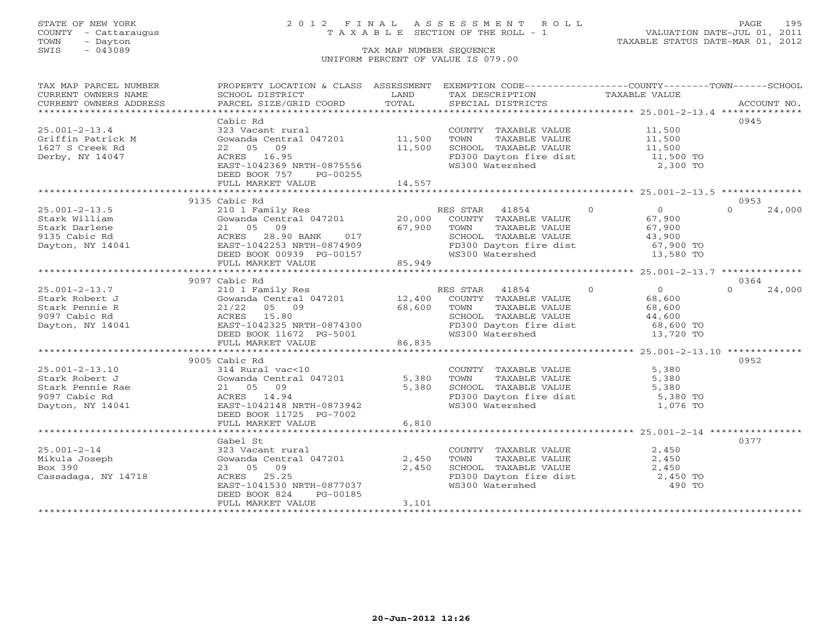## STATE OF NEW YORK 2 0 1 2 F I N A L A S S E S S M E N T R O L L PAGE 195 COUNTY - Cattaraugus T A X A B L E SECTION OF THE ROLL - 1 VALUATION DATE-JUL 01, 2011

| CURRENT OWNERS NAME<br>SCHOOL DISTRICT<br><b>Example 12</b> LAND<br>TAX DESCRIPTION TAXABLE VALUE<br>0945<br>Cabic Rd<br>323 Vacant rural<br>$25.001 - 2 - 13.4$<br>COUNTY TAXABLE VALUE 11,500<br>Gowanda Central 047201 11,500<br>Griffin Patrick M<br>TOWN       TAXABLE  VALUE<br>SCHOOL    TAXABLE  VALUE<br>11,500<br>11,500<br>1627 S Creek Rd<br>22 05 09<br>11,500<br>FD300 Dayton fire dist<br>ACRES 16.95<br>11,500 TO<br>Derby, NY 14047<br>WS300 Watershed<br>EAST-1042369 NRTH-0875556<br>2,300 TO<br>DEED BOOK 757<br>PG-00255<br>14,557<br>FULL MARKET VALUE<br>9135 Cabic Rd<br>0953<br>$\begin{array}{c}\n0 \\ 67 \text{ or } 2\n\end{array}$<br>$25.001 - 2 - 13.5$<br>24,000<br>$\Omega$<br>9135 Cabic Rd (1991)<br>Stark William (1992)<br>Stark Darlene 21 05 09 67,900 TOWN<br>9135 Cabic Rd (1992)<br>28.90 BANK 017 67,900 TOWN<br>28.90 BANK 017 67,900 TOWN<br>28.90 BANK 017 67,900 FD300<br>67,900<br>SCHOOL TAXABLE VALUE 43,900<br>FD300 Dayton fire dist 67,900 TO<br>DEED BOOK 00939 PG-00157<br>FULL MARKET VALUE 85,949<br>WS300 Watershed<br>13,580 TO<br>9097 Cabic Rd<br>0364<br>$\begin{array}{c} 0 \\ 68,600 \end{array}$<br>RES STAR 41854 0<br>$25.001 - 2 - 13.7$<br>210 1 Family Res<br>Cowanda Central 047201<br>21/22 05 09<br>ACRES 15.80<br>EAST-1042325 NRTH-0874300<br>DEED BOOK 11672 PG-5001<br>PEED BOOK 11672 PG-5001<br>PEED BOOK 11672 PG-5001<br>PEED WS300 Watershed<br>PEED ROOK 11672 PG-5001<br>24,000<br>Stark Robert J<br>TAXABLE VALUE<br>TAXABLE VALUE 68,600<br>TAXABLE VALUE 44,600<br>Stark Pennie R<br>SCHOOL TAXABLE VALUE 44,600<br>FD300 Dayton fire dist 68,600 TO<br>9097 Cabic Rd<br>Dayton, NY 14041<br>13,720 TO<br>86,835<br>FULL MARKET VALUE<br>9005 Cabic Rd<br>0952<br>COUNT<br>314 Rural vac<10<br>Gowanda Central 047201<br>21 05 09<br>ACRES 14.94<br>EAST-1042148 NRTH-0873942<br>FD300<br>EAST-1042148 NRTH-0873942<br>WS300<br>$25.001 - 2 - 13.10$<br>COUNTY TAXABLE VALUE 5,380<br>TOWN TAXABLE VALUE 5,380<br>SCHOOL TAXABLE VALUE 5,380<br>FD300 Dayton fire dist 5,380 TO<br>WS300 Watershed 1,076 TO<br>Stark Robert J<br>Stark Pennie Rae<br>9097 Cabic Rd<br>Dayton, NY 14041<br>DEED BOOK 11725 PG-7002<br>6,810<br>FULL MARKET VALUE<br>0377<br>Gabel St<br>$25.001 - 2 - 14$<br>323 Vacant rural<br>COUNTY TAXABLE VALUE<br>2,450<br>TAXABLE VALUE 2,450<br>Gowanda Central 047201<br>2,450<br>Mikula Joseph<br>TOWN<br>Box 390<br>23 05 09<br>2,450<br>SCHOOL TAXABLE VALUE 2,450<br>FD300 Dayton fire dist 2,450 TO<br>Cassadaga, NY 14718<br>ACRES 25.25<br>EAST-1041530 NRTH-0877037<br>WS300 Watershed<br>490 TO<br>PG-00185<br>DEED BOOK 824<br>3,101<br>FULL MARKET VALUE | TAX MAP PARCEL NUMBER | PROPERTY LOCATION & CLASS ASSESSMENT EXEMPTION CODE----------------COUNTY-------TOWN------SCHOOL |  |  |
|-------------------------------------------------------------------------------------------------------------------------------------------------------------------------------------------------------------------------------------------------------------------------------------------------------------------------------------------------------------------------------------------------------------------------------------------------------------------------------------------------------------------------------------------------------------------------------------------------------------------------------------------------------------------------------------------------------------------------------------------------------------------------------------------------------------------------------------------------------------------------------------------------------------------------------------------------------------------------------------------------------------------------------------------------------------------------------------------------------------------------------------------------------------------------------------------------------------------------------------------------------------------------------------------------------------------------------------------------------------------------------------------------------------------------------------------------------------------------------------------------------------------------------------------------------------------------------------------------------------------------------------------------------------------------------------------------------------------------------------------------------------------------------------------------------------------------------------------------------------------------------------------------------------------------------------------------------------------------------------------------------------------------------------------------------------------------------------------------------------------------------------------------------------------------------------------------------------------------------------------------------------------------------------------------------------------------------------------------------------------------------------------------------------------------------------------------------------------------------------------------------------------------------------------------------------------------------------------------------------------------------------------------------------------------------------|-----------------------|--------------------------------------------------------------------------------------------------|--|--|
|                                                                                                                                                                                                                                                                                                                                                                                                                                                                                                                                                                                                                                                                                                                                                                                                                                                                                                                                                                                                                                                                                                                                                                                                                                                                                                                                                                                                                                                                                                                                                                                                                                                                                                                                                                                                                                                                                                                                                                                                                                                                                                                                                                                                                                                                                                                                                                                                                                                                                                                                                                                                                                                                                     |                       |                                                                                                  |  |  |
|                                                                                                                                                                                                                                                                                                                                                                                                                                                                                                                                                                                                                                                                                                                                                                                                                                                                                                                                                                                                                                                                                                                                                                                                                                                                                                                                                                                                                                                                                                                                                                                                                                                                                                                                                                                                                                                                                                                                                                                                                                                                                                                                                                                                                                                                                                                                                                                                                                                                                                                                                                                                                                                                                     |                       |                                                                                                  |  |  |
|                                                                                                                                                                                                                                                                                                                                                                                                                                                                                                                                                                                                                                                                                                                                                                                                                                                                                                                                                                                                                                                                                                                                                                                                                                                                                                                                                                                                                                                                                                                                                                                                                                                                                                                                                                                                                                                                                                                                                                                                                                                                                                                                                                                                                                                                                                                                                                                                                                                                                                                                                                                                                                                                                     |                       |                                                                                                  |  |  |
|                                                                                                                                                                                                                                                                                                                                                                                                                                                                                                                                                                                                                                                                                                                                                                                                                                                                                                                                                                                                                                                                                                                                                                                                                                                                                                                                                                                                                                                                                                                                                                                                                                                                                                                                                                                                                                                                                                                                                                                                                                                                                                                                                                                                                                                                                                                                                                                                                                                                                                                                                                                                                                                                                     |                       |                                                                                                  |  |  |
|                                                                                                                                                                                                                                                                                                                                                                                                                                                                                                                                                                                                                                                                                                                                                                                                                                                                                                                                                                                                                                                                                                                                                                                                                                                                                                                                                                                                                                                                                                                                                                                                                                                                                                                                                                                                                                                                                                                                                                                                                                                                                                                                                                                                                                                                                                                                                                                                                                                                                                                                                                                                                                                                                     |                       |                                                                                                  |  |  |
|                                                                                                                                                                                                                                                                                                                                                                                                                                                                                                                                                                                                                                                                                                                                                                                                                                                                                                                                                                                                                                                                                                                                                                                                                                                                                                                                                                                                                                                                                                                                                                                                                                                                                                                                                                                                                                                                                                                                                                                                                                                                                                                                                                                                                                                                                                                                                                                                                                                                                                                                                                                                                                                                                     |                       |                                                                                                  |  |  |
|                                                                                                                                                                                                                                                                                                                                                                                                                                                                                                                                                                                                                                                                                                                                                                                                                                                                                                                                                                                                                                                                                                                                                                                                                                                                                                                                                                                                                                                                                                                                                                                                                                                                                                                                                                                                                                                                                                                                                                                                                                                                                                                                                                                                                                                                                                                                                                                                                                                                                                                                                                                                                                                                                     |                       |                                                                                                  |  |  |
|                                                                                                                                                                                                                                                                                                                                                                                                                                                                                                                                                                                                                                                                                                                                                                                                                                                                                                                                                                                                                                                                                                                                                                                                                                                                                                                                                                                                                                                                                                                                                                                                                                                                                                                                                                                                                                                                                                                                                                                                                                                                                                                                                                                                                                                                                                                                                                                                                                                                                                                                                                                                                                                                                     |                       |                                                                                                  |  |  |
|                                                                                                                                                                                                                                                                                                                                                                                                                                                                                                                                                                                                                                                                                                                                                                                                                                                                                                                                                                                                                                                                                                                                                                                                                                                                                                                                                                                                                                                                                                                                                                                                                                                                                                                                                                                                                                                                                                                                                                                                                                                                                                                                                                                                                                                                                                                                                                                                                                                                                                                                                                                                                                                                                     |                       |                                                                                                  |  |  |
|                                                                                                                                                                                                                                                                                                                                                                                                                                                                                                                                                                                                                                                                                                                                                                                                                                                                                                                                                                                                                                                                                                                                                                                                                                                                                                                                                                                                                                                                                                                                                                                                                                                                                                                                                                                                                                                                                                                                                                                                                                                                                                                                                                                                                                                                                                                                                                                                                                                                                                                                                                                                                                                                                     |                       |                                                                                                  |  |  |
|                                                                                                                                                                                                                                                                                                                                                                                                                                                                                                                                                                                                                                                                                                                                                                                                                                                                                                                                                                                                                                                                                                                                                                                                                                                                                                                                                                                                                                                                                                                                                                                                                                                                                                                                                                                                                                                                                                                                                                                                                                                                                                                                                                                                                                                                                                                                                                                                                                                                                                                                                                                                                                                                                     |                       |                                                                                                  |  |  |
|                                                                                                                                                                                                                                                                                                                                                                                                                                                                                                                                                                                                                                                                                                                                                                                                                                                                                                                                                                                                                                                                                                                                                                                                                                                                                                                                                                                                                                                                                                                                                                                                                                                                                                                                                                                                                                                                                                                                                                                                                                                                                                                                                                                                                                                                                                                                                                                                                                                                                                                                                                                                                                                                                     |                       |                                                                                                  |  |  |
|                                                                                                                                                                                                                                                                                                                                                                                                                                                                                                                                                                                                                                                                                                                                                                                                                                                                                                                                                                                                                                                                                                                                                                                                                                                                                                                                                                                                                                                                                                                                                                                                                                                                                                                                                                                                                                                                                                                                                                                                                                                                                                                                                                                                                                                                                                                                                                                                                                                                                                                                                                                                                                                                                     |                       |                                                                                                  |  |  |
|                                                                                                                                                                                                                                                                                                                                                                                                                                                                                                                                                                                                                                                                                                                                                                                                                                                                                                                                                                                                                                                                                                                                                                                                                                                                                                                                                                                                                                                                                                                                                                                                                                                                                                                                                                                                                                                                                                                                                                                                                                                                                                                                                                                                                                                                                                                                                                                                                                                                                                                                                                                                                                                                                     |                       |                                                                                                  |  |  |
|                                                                                                                                                                                                                                                                                                                                                                                                                                                                                                                                                                                                                                                                                                                                                                                                                                                                                                                                                                                                                                                                                                                                                                                                                                                                                                                                                                                                                                                                                                                                                                                                                                                                                                                                                                                                                                                                                                                                                                                                                                                                                                                                                                                                                                                                                                                                                                                                                                                                                                                                                                                                                                                                                     |                       |                                                                                                  |  |  |
|                                                                                                                                                                                                                                                                                                                                                                                                                                                                                                                                                                                                                                                                                                                                                                                                                                                                                                                                                                                                                                                                                                                                                                                                                                                                                                                                                                                                                                                                                                                                                                                                                                                                                                                                                                                                                                                                                                                                                                                                                                                                                                                                                                                                                                                                                                                                                                                                                                                                                                                                                                                                                                                                                     |                       |                                                                                                  |  |  |
|                                                                                                                                                                                                                                                                                                                                                                                                                                                                                                                                                                                                                                                                                                                                                                                                                                                                                                                                                                                                                                                                                                                                                                                                                                                                                                                                                                                                                                                                                                                                                                                                                                                                                                                                                                                                                                                                                                                                                                                                                                                                                                                                                                                                                                                                                                                                                                                                                                                                                                                                                                                                                                                                                     |                       |                                                                                                  |  |  |
|                                                                                                                                                                                                                                                                                                                                                                                                                                                                                                                                                                                                                                                                                                                                                                                                                                                                                                                                                                                                                                                                                                                                                                                                                                                                                                                                                                                                                                                                                                                                                                                                                                                                                                                                                                                                                                                                                                                                                                                                                                                                                                                                                                                                                                                                                                                                                                                                                                                                                                                                                                                                                                                                                     |                       |                                                                                                  |  |  |
|                                                                                                                                                                                                                                                                                                                                                                                                                                                                                                                                                                                                                                                                                                                                                                                                                                                                                                                                                                                                                                                                                                                                                                                                                                                                                                                                                                                                                                                                                                                                                                                                                                                                                                                                                                                                                                                                                                                                                                                                                                                                                                                                                                                                                                                                                                                                                                                                                                                                                                                                                                                                                                                                                     |                       |                                                                                                  |  |  |
|                                                                                                                                                                                                                                                                                                                                                                                                                                                                                                                                                                                                                                                                                                                                                                                                                                                                                                                                                                                                                                                                                                                                                                                                                                                                                                                                                                                                                                                                                                                                                                                                                                                                                                                                                                                                                                                                                                                                                                                                                                                                                                                                                                                                                                                                                                                                                                                                                                                                                                                                                                                                                                                                                     |                       |                                                                                                  |  |  |
|                                                                                                                                                                                                                                                                                                                                                                                                                                                                                                                                                                                                                                                                                                                                                                                                                                                                                                                                                                                                                                                                                                                                                                                                                                                                                                                                                                                                                                                                                                                                                                                                                                                                                                                                                                                                                                                                                                                                                                                                                                                                                                                                                                                                                                                                                                                                                                                                                                                                                                                                                                                                                                                                                     |                       |                                                                                                  |  |  |
|                                                                                                                                                                                                                                                                                                                                                                                                                                                                                                                                                                                                                                                                                                                                                                                                                                                                                                                                                                                                                                                                                                                                                                                                                                                                                                                                                                                                                                                                                                                                                                                                                                                                                                                                                                                                                                                                                                                                                                                                                                                                                                                                                                                                                                                                                                                                                                                                                                                                                                                                                                                                                                                                                     |                       |                                                                                                  |  |  |
|                                                                                                                                                                                                                                                                                                                                                                                                                                                                                                                                                                                                                                                                                                                                                                                                                                                                                                                                                                                                                                                                                                                                                                                                                                                                                                                                                                                                                                                                                                                                                                                                                                                                                                                                                                                                                                                                                                                                                                                                                                                                                                                                                                                                                                                                                                                                                                                                                                                                                                                                                                                                                                                                                     |                       |                                                                                                  |  |  |
|                                                                                                                                                                                                                                                                                                                                                                                                                                                                                                                                                                                                                                                                                                                                                                                                                                                                                                                                                                                                                                                                                                                                                                                                                                                                                                                                                                                                                                                                                                                                                                                                                                                                                                                                                                                                                                                                                                                                                                                                                                                                                                                                                                                                                                                                                                                                                                                                                                                                                                                                                                                                                                                                                     |                       |                                                                                                  |  |  |
|                                                                                                                                                                                                                                                                                                                                                                                                                                                                                                                                                                                                                                                                                                                                                                                                                                                                                                                                                                                                                                                                                                                                                                                                                                                                                                                                                                                                                                                                                                                                                                                                                                                                                                                                                                                                                                                                                                                                                                                                                                                                                                                                                                                                                                                                                                                                                                                                                                                                                                                                                                                                                                                                                     |                       |                                                                                                  |  |  |
|                                                                                                                                                                                                                                                                                                                                                                                                                                                                                                                                                                                                                                                                                                                                                                                                                                                                                                                                                                                                                                                                                                                                                                                                                                                                                                                                                                                                                                                                                                                                                                                                                                                                                                                                                                                                                                                                                                                                                                                                                                                                                                                                                                                                                                                                                                                                                                                                                                                                                                                                                                                                                                                                                     |                       |                                                                                                  |  |  |
|                                                                                                                                                                                                                                                                                                                                                                                                                                                                                                                                                                                                                                                                                                                                                                                                                                                                                                                                                                                                                                                                                                                                                                                                                                                                                                                                                                                                                                                                                                                                                                                                                                                                                                                                                                                                                                                                                                                                                                                                                                                                                                                                                                                                                                                                                                                                                                                                                                                                                                                                                                                                                                                                                     |                       |                                                                                                  |  |  |
|                                                                                                                                                                                                                                                                                                                                                                                                                                                                                                                                                                                                                                                                                                                                                                                                                                                                                                                                                                                                                                                                                                                                                                                                                                                                                                                                                                                                                                                                                                                                                                                                                                                                                                                                                                                                                                                                                                                                                                                                                                                                                                                                                                                                                                                                                                                                                                                                                                                                                                                                                                                                                                                                                     |                       |                                                                                                  |  |  |
|                                                                                                                                                                                                                                                                                                                                                                                                                                                                                                                                                                                                                                                                                                                                                                                                                                                                                                                                                                                                                                                                                                                                                                                                                                                                                                                                                                                                                                                                                                                                                                                                                                                                                                                                                                                                                                                                                                                                                                                                                                                                                                                                                                                                                                                                                                                                                                                                                                                                                                                                                                                                                                                                                     |                       |                                                                                                  |  |  |
|                                                                                                                                                                                                                                                                                                                                                                                                                                                                                                                                                                                                                                                                                                                                                                                                                                                                                                                                                                                                                                                                                                                                                                                                                                                                                                                                                                                                                                                                                                                                                                                                                                                                                                                                                                                                                                                                                                                                                                                                                                                                                                                                                                                                                                                                                                                                                                                                                                                                                                                                                                                                                                                                                     |                       |                                                                                                  |  |  |
|                                                                                                                                                                                                                                                                                                                                                                                                                                                                                                                                                                                                                                                                                                                                                                                                                                                                                                                                                                                                                                                                                                                                                                                                                                                                                                                                                                                                                                                                                                                                                                                                                                                                                                                                                                                                                                                                                                                                                                                                                                                                                                                                                                                                                                                                                                                                                                                                                                                                                                                                                                                                                                                                                     |                       |                                                                                                  |  |  |
|                                                                                                                                                                                                                                                                                                                                                                                                                                                                                                                                                                                                                                                                                                                                                                                                                                                                                                                                                                                                                                                                                                                                                                                                                                                                                                                                                                                                                                                                                                                                                                                                                                                                                                                                                                                                                                                                                                                                                                                                                                                                                                                                                                                                                                                                                                                                                                                                                                                                                                                                                                                                                                                                                     |                       |                                                                                                  |  |  |
|                                                                                                                                                                                                                                                                                                                                                                                                                                                                                                                                                                                                                                                                                                                                                                                                                                                                                                                                                                                                                                                                                                                                                                                                                                                                                                                                                                                                                                                                                                                                                                                                                                                                                                                                                                                                                                                                                                                                                                                                                                                                                                                                                                                                                                                                                                                                                                                                                                                                                                                                                                                                                                                                                     |                       |                                                                                                  |  |  |
|                                                                                                                                                                                                                                                                                                                                                                                                                                                                                                                                                                                                                                                                                                                                                                                                                                                                                                                                                                                                                                                                                                                                                                                                                                                                                                                                                                                                                                                                                                                                                                                                                                                                                                                                                                                                                                                                                                                                                                                                                                                                                                                                                                                                                                                                                                                                                                                                                                                                                                                                                                                                                                                                                     |                       |                                                                                                  |  |  |
|                                                                                                                                                                                                                                                                                                                                                                                                                                                                                                                                                                                                                                                                                                                                                                                                                                                                                                                                                                                                                                                                                                                                                                                                                                                                                                                                                                                                                                                                                                                                                                                                                                                                                                                                                                                                                                                                                                                                                                                                                                                                                                                                                                                                                                                                                                                                                                                                                                                                                                                                                                                                                                                                                     |                       |                                                                                                  |  |  |
|                                                                                                                                                                                                                                                                                                                                                                                                                                                                                                                                                                                                                                                                                                                                                                                                                                                                                                                                                                                                                                                                                                                                                                                                                                                                                                                                                                                                                                                                                                                                                                                                                                                                                                                                                                                                                                                                                                                                                                                                                                                                                                                                                                                                                                                                                                                                                                                                                                                                                                                                                                                                                                                                                     |                       |                                                                                                  |  |  |
|                                                                                                                                                                                                                                                                                                                                                                                                                                                                                                                                                                                                                                                                                                                                                                                                                                                                                                                                                                                                                                                                                                                                                                                                                                                                                                                                                                                                                                                                                                                                                                                                                                                                                                                                                                                                                                                                                                                                                                                                                                                                                                                                                                                                                                                                                                                                                                                                                                                                                                                                                                                                                                                                                     |                       |                                                                                                  |  |  |
|                                                                                                                                                                                                                                                                                                                                                                                                                                                                                                                                                                                                                                                                                                                                                                                                                                                                                                                                                                                                                                                                                                                                                                                                                                                                                                                                                                                                                                                                                                                                                                                                                                                                                                                                                                                                                                                                                                                                                                                                                                                                                                                                                                                                                                                                                                                                                                                                                                                                                                                                                                                                                                                                                     |                       |                                                                                                  |  |  |
|                                                                                                                                                                                                                                                                                                                                                                                                                                                                                                                                                                                                                                                                                                                                                                                                                                                                                                                                                                                                                                                                                                                                                                                                                                                                                                                                                                                                                                                                                                                                                                                                                                                                                                                                                                                                                                                                                                                                                                                                                                                                                                                                                                                                                                                                                                                                                                                                                                                                                                                                                                                                                                                                                     |                       |                                                                                                  |  |  |
|                                                                                                                                                                                                                                                                                                                                                                                                                                                                                                                                                                                                                                                                                                                                                                                                                                                                                                                                                                                                                                                                                                                                                                                                                                                                                                                                                                                                                                                                                                                                                                                                                                                                                                                                                                                                                                                                                                                                                                                                                                                                                                                                                                                                                                                                                                                                                                                                                                                                                                                                                                                                                                                                                     |                       |                                                                                                  |  |  |
|                                                                                                                                                                                                                                                                                                                                                                                                                                                                                                                                                                                                                                                                                                                                                                                                                                                                                                                                                                                                                                                                                                                                                                                                                                                                                                                                                                                                                                                                                                                                                                                                                                                                                                                                                                                                                                                                                                                                                                                                                                                                                                                                                                                                                                                                                                                                                                                                                                                                                                                                                                                                                                                                                     |                       |                                                                                                  |  |  |
|                                                                                                                                                                                                                                                                                                                                                                                                                                                                                                                                                                                                                                                                                                                                                                                                                                                                                                                                                                                                                                                                                                                                                                                                                                                                                                                                                                                                                                                                                                                                                                                                                                                                                                                                                                                                                                                                                                                                                                                                                                                                                                                                                                                                                                                                                                                                                                                                                                                                                                                                                                                                                                                                                     |                       |                                                                                                  |  |  |
|                                                                                                                                                                                                                                                                                                                                                                                                                                                                                                                                                                                                                                                                                                                                                                                                                                                                                                                                                                                                                                                                                                                                                                                                                                                                                                                                                                                                                                                                                                                                                                                                                                                                                                                                                                                                                                                                                                                                                                                                                                                                                                                                                                                                                                                                                                                                                                                                                                                                                                                                                                                                                                                                                     |                       |                                                                                                  |  |  |
|                                                                                                                                                                                                                                                                                                                                                                                                                                                                                                                                                                                                                                                                                                                                                                                                                                                                                                                                                                                                                                                                                                                                                                                                                                                                                                                                                                                                                                                                                                                                                                                                                                                                                                                                                                                                                                                                                                                                                                                                                                                                                                                                                                                                                                                                                                                                                                                                                                                                                                                                                                                                                                                                                     |                       |                                                                                                  |  |  |
|                                                                                                                                                                                                                                                                                                                                                                                                                                                                                                                                                                                                                                                                                                                                                                                                                                                                                                                                                                                                                                                                                                                                                                                                                                                                                                                                                                                                                                                                                                                                                                                                                                                                                                                                                                                                                                                                                                                                                                                                                                                                                                                                                                                                                                                                                                                                                                                                                                                                                                                                                                                                                                                                                     |                       |                                                                                                  |  |  |
|                                                                                                                                                                                                                                                                                                                                                                                                                                                                                                                                                                                                                                                                                                                                                                                                                                                                                                                                                                                                                                                                                                                                                                                                                                                                                                                                                                                                                                                                                                                                                                                                                                                                                                                                                                                                                                                                                                                                                                                                                                                                                                                                                                                                                                                                                                                                                                                                                                                                                                                                                                                                                                                                                     |                       |                                                                                                  |  |  |
|                                                                                                                                                                                                                                                                                                                                                                                                                                                                                                                                                                                                                                                                                                                                                                                                                                                                                                                                                                                                                                                                                                                                                                                                                                                                                                                                                                                                                                                                                                                                                                                                                                                                                                                                                                                                                                                                                                                                                                                                                                                                                                                                                                                                                                                                                                                                                                                                                                                                                                                                                                                                                                                                                     |                       |                                                                                                  |  |  |
|                                                                                                                                                                                                                                                                                                                                                                                                                                                                                                                                                                                                                                                                                                                                                                                                                                                                                                                                                                                                                                                                                                                                                                                                                                                                                                                                                                                                                                                                                                                                                                                                                                                                                                                                                                                                                                                                                                                                                                                                                                                                                                                                                                                                                                                                                                                                                                                                                                                                                                                                                                                                                                                                                     |                       |                                                                                                  |  |  |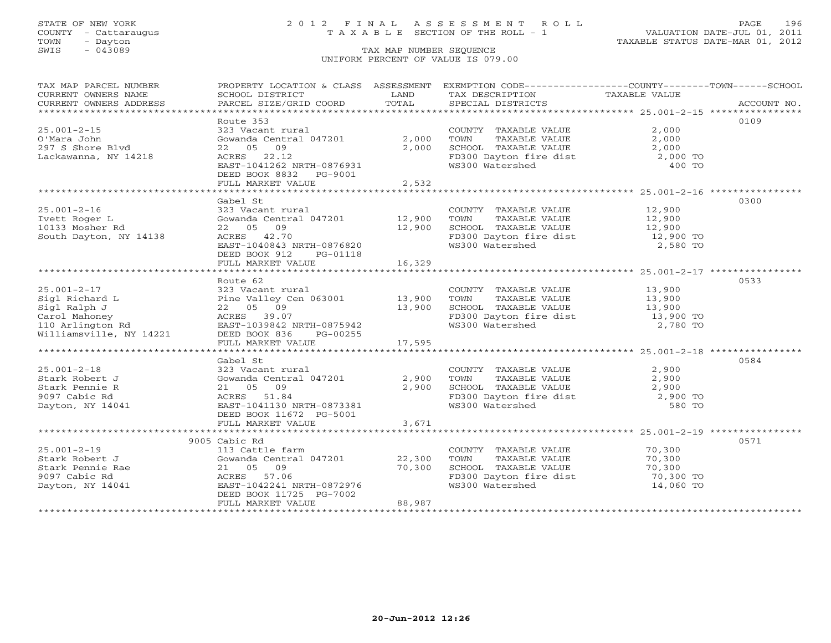COUNTY - Cattaraugus T A X A B L E SECTION OF THE ROLL - 1<br>TOWN - Dayton<br>SWIS - 043089 TAX MAP NUMBER SEQUENCE

# STATE OF NEW YORK 2 0 1 2 F I N A L A S S E S S M E N T R O L L PAGE 196

VALUATION DATE-JUL 01, 2011 TAXABLE STATUS DATE-MAR 01, 2012

#### TAX MAP NUMBER SEQUENCE UNIFORM PERCENT OF VALUE IS 079.00

| TAX MAP PARCEL NUMBER                                                                                                                                                                                                                                        | PROPERTY LOCATION & CLASS ASSESSMENT EXEMPTION CODE----------------COUNTY-------TOWN------SCHOOL |        |                                                                                                                                                           |                                                       |      |
|--------------------------------------------------------------------------------------------------------------------------------------------------------------------------------------------------------------------------------------------------------------|--------------------------------------------------------------------------------------------------|--------|-----------------------------------------------------------------------------------------------------------------------------------------------------------|-------------------------------------------------------|------|
| CURRENT OWNERS NAME                                                                                                                                                                                                                                          | SCHOOL DISTRICT                                                                                  | LAND   | TAX DESCRIPTION TAXABLE VALUE                                                                                                                             |                                                       |      |
| CURRENT OWNERS ADDRESS                                                                                                                                                                                                                                       |                                                                                                  |        |                                                                                                                                                           |                                                       |      |
|                                                                                                                                                                                                                                                              |                                                                                                  |        |                                                                                                                                                           |                                                       |      |
|                                                                                                                                                                                                                                                              | Route 353                                                                                        |        |                                                                                                                                                           |                                                       | 0109 |
| $25.001 - 2 - 15$                                                                                                                                                                                                                                            | 323 Vacant rural                                                                                 |        | COUNTY TAXABLE VALUE                                                                                                                                      | 2,000                                                 |      |
| O'Mara John                                                                                                                                                                                                                                                  | Gowanda Central 047201                                                                           | 2,000  |                                                                                                                                                           |                                                       |      |
| o mara Jonn<br>297 S Shore Blvd                                                                                                                                                                                                                              | 22 05 09                                                                                         | 2,000  |                                                                                                                                                           |                                                       |      |
| Lackawanna, NY 14218                                                                                                                                                                                                                                         | ACRES 22.12                                                                                      |        | FD300 Dayton fire dist $2,000$ TO                                                                                                                         |                                                       |      |
|                                                                                                                                                                                                                                                              | EAST-1041262 NRTH-0876931                                                                        |        | WS300 Watershed                                                                                                                                           | 400 TO                                                |      |
|                                                                                                                                                                                                                                                              | DEED BOOK 8832 PG-9001                                                                           |        |                                                                                                                                                           |                                                       |      |
|                                                                                                                                                                                                                                                              |                                                                                                  |        |                                                                                                                                                           |                                                       |      |
|                                                                                                                                                                                                                                                              |                                                                                                  |        |                                                                                                                                                           | **************************** 25.001-2-16 ************ |      |
|                                                                                                                                                                                                                                                              | Gabel St                                                                                         |        |                                                                                                                                                           |                                                       | 0300 |
|                                                                                                                                                                                                                                                              |                                                                                                  |        |                                                                                                                                                           |                                                       |      |
| $25.001 - 2 - 16$                                                                                                                                                                                                                                            |                                                                                                  |        |                                                                                                                                                           |                                                       |      |
| Ivett Roger L                                                                                                                                                                                                                                                |                                                                                                  |        |                                                                                                                                                           |                                                       |      |
| 10133 Mosher Rd                                                                                                                                                                                                                                              |                                                                                                  |        |                                                                                                                                                           |                                                       |      |
| South Dayton, NY 14138                                                                                                                                                                                                                                       |                                                                                                  |        | FD300 Dayton fire dist 12,900 TO<br>WS300 Watershed 2,580 TO                                                                                              |                                                       |      |
|                                                                                                                                                                                                                                                              | EAST-1040843 NRTH-0876820                                                                        |        |                                                                                                                                                           |                                                       |      |
|                                                                                                                                                                                                                                                              | DEED BOOK 912 PG-01118                                                                           |        |                                                                                                                                                           |                                                       |      |
|                                                                                                                                                                                                                                                              | FULL MARKET VALUE                                                                                | 16,329 |                                                                                                                                                           |                                                       |      |
|                                                                                                                                                                                                                                                              |                                                                                                  |        |                                                                                                                                                           |                                                       |      |
|                                                                                                                                                                                                                                                              |                                                                                                  |        |                                                                                                                                                           |                                                       | 0533 |
|                                                                                                                                                                                                                                                              |                                                                                                  |        |                                                                                                                                                           |                                                       |      |
|                                                                                                                                                                                                                                                              |                                                                                                  |        |                                                                                                                                                           |                                                       |      |
|                                                                                                                                                                                                                                                              |                                                                                                  |        | 13,900 EXABLE VALUE 13,900 TO 13,900 ED300 Dayton fire dist 13,900 TO                                                                                     |                                                       |      |
|                                                                                                                                                                                                                                                              |                                                                                                  |        |                                                                                                                                                           |                                                       |      |
|                                                                                                                                                                                                                                                              |                                                                                                  |        |                                                                                                                                                           | 2,780 TO                                              |      |
|                                                                                                                                                                                                                                                              |                                                                                                  |        |                                                                                                                                                           |                                                       |      |
|                                                                                                                                                                                                                                                              |                                                                                                  |        |                                                                                                                                                           |                                                       |      |
|                                                                                                                                                                                                                                                              |                                                                                                  |        |                                                                                                                                                           |                                                       |      |
|                                                                                                                                                                                                                                                              | Gabel St                                                                                         |        |                                                                                                                                                           |                                                       | 0584 |
|                                                                                                                                                                                                                                                              |                                                                                                  |        |                                                                                                                                                           |                                                       |      |
|                                                                                                                                                                                                                                                              |                                                                                                  |        |                                                                                                                                                           |                                                       |      |
|                                                                                                                                                                                                                                                              |                                                                                                  |        |                                                                                                                                                           |                                                       |      |
|                                                                                                                                                                                                                                                              |                                                                                                  |        |                                                                                                                                                           |                                                       |      |
|                                                                                                                                                                                                                                                              |                                                                                                  |        |                                                                                                                                                           |                                                       |      |
| 25.001-2-18<br>27.900 -2-18<br>27.900 TOWN<br>27.900 TOWN<br>27.900 TOWN<br>27.900 TOWN<br>27.900 SCHOOL<br>27.900 SCHOOL<br>27.900 SCHOOL<br>27.900 SCHOOL<br>27.900 SCHOOL<br>27.900 SCHOOL<br>27.900 SCHOOL<br>27.900 SCHOOL<br>27.900 SCHOOL<br>27.900 S |                                                                                                  |        | COUNTY TAXABLE VALUE $2,900$<br>TOWN TAXABLE VALUE $2,900$<br>SCHOOL TAXABLE VALUE $2,900$<br>FD300 Dayton fire dist $2,900$ TO<br>WS300 Watershed 580 TO |                                                       |      |
|                                                                                                                                                                                                                                                              | DEED BOOK 11672 PG-5001                                                                          |        |                                                                                                                                                           |                                                       |      |
|                                                                                                                                                                                                                                                              | FULL MARKET VALUE                                                                                | 3,671  |                                                                                                                                                           |                                                       |      |
|                                                                                                                                                                                                                                                              |                                                                                                  |        |                                                                                                                                                           |                                                       |      |
|                                                                                                                                                                                                                                                              | 9005 Cabic Rd                                                                                    |        |                                                                                                                                                           |                                                       | 0571 |
| $25.001 - 2 - 19$                                                                                                                                                                                                                                            | 113 Cattle farm                                                                                  |        | COUNTY TAXABLE VALUE 70,300                                                                                                                               |                                                       |      |
|                                                                                                                                                                                                                                                              |                                                                                                  |        | TAXABLE VALUE 70,300<br>TOWN                                                                                                                              |                                                       |      |
|                                                                                                                                                                                                                                                              |                                                                                                  |        | SCHOOL TAXABLE VALUE 70,300<br>FD300 Dayton fire dist 70,300 TO                                                                                           |                                                       |      |
|                                                                                                                                                                                                                                                              |                                                                                                  |        |                                                                                                                                                           |                                                       |      |
| Dayton, NY 14041                                                                                                                                                                                                                                             | EAST-1042241 NRTH-0872976                                                                        |        | WS300 Watershed                                                                                                                                           | 14,060 TO                                             |      |
|                                                                                                                                                                                                                                                              | DEED BOOK 11725 PG-7002                                                                          |        |                                                                                                                                                           |                                                       |      |
|                                                                                                                                                                                                                                                              | FULL MARKET VALUE                                                                                | 88,987 |                                                                                                                                                           |                                                       |      |
|                                                                                                                                                                                                                                                              |                                                                                                  |        |                                                                                                                                                           |                                                       |      |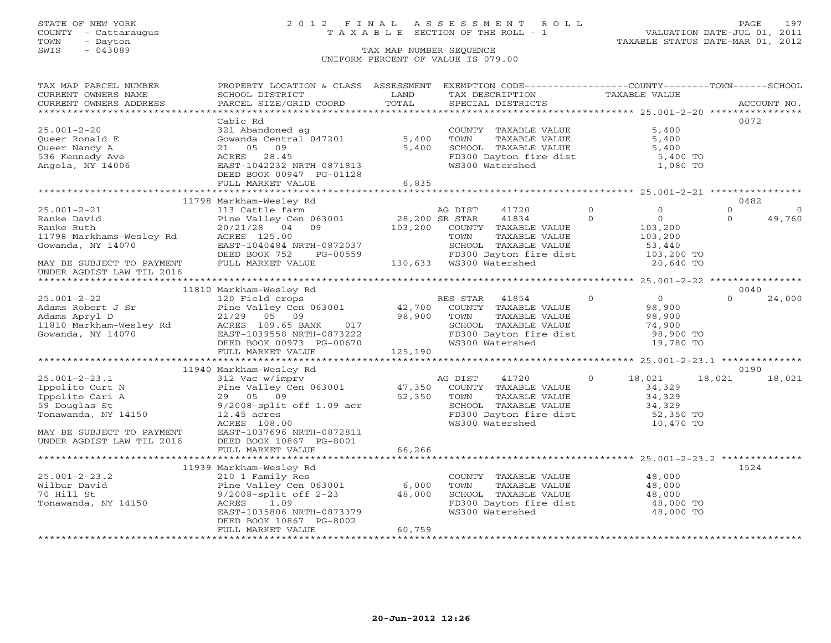### STATE OF NEW YORK 2 0 1 2 F I N A L A S S E S S M E N T R O L L PAGE 197 COUNTY - Cattaraugus T A X A B L E SECTION OF THE ROLL - 1 VALUATION DATE-JUL 01, 2011

| TAX MAP PARCEL NUMBER<br>CURRENT OWNERS NAME                  | PROPERTY LOCATION & CLASS ASSESSMENT<br>SCHOOL DISTRICT | LAND           | TAX DESCRIPTION | EXEMPTION CODE----------------COUNTY-------TOWN------SCHOOL     | TAXABLE VALUE |                |          |             |
|---------------------------------------------------------------|---------------------------------------------------------|----------------|-----------------|-----------------------------------------------------------------|---------------|----------------|----------|-------------|
| CURRENT OWNERS ADDRESS                                        | PARCEL SIZE/GRID COORD                                  | TOTAL          |                 | SPECIAL DISTRICTS                                               |               |                |          | ACCOUNT NO. |
| **********************                                        |                                                         |                |                 |                                                                 |               |                |          |             |
|                                                               | Cabic Rd                                                |                |                 |                                                                 |               |                |          | 0072        |
| $25.001 - 2 - 20$                                             | 321 Abandoned ag                                        |                |                 | COUNTY TAXABLE VALUE                                            |               | 5,400          |          |             |
| Queer Ronald E                                                | Gowanda Central 047201                                  | 5,400          | TOWN            | TAXABLE VALUE                                                   |               | 5,400          |          |             |
| Queer Nancy A                                                 | 09<br>21 05                                             | 5,400          |                 | SCHOOL TAXABLE VALUE                                            |               | 5,400          |          |             |
| 536 Kennedy Ave                                               | ACRES<br>28.45                                          |                |                 | SCHOOL TAXABLE VALUE<br>FD300 Dayton fire dist                  |               | $5,400$ TO     |          |             |
| Angola, NY 14006                                              | EAST-1042232 NRTH-0871813                               |                | WS300 Watershed |                                                                 |               | 1,080 TO       |          |             |
|                                                               | DEED BOOK 00947 PG-01128                                |                |                 |                                                                 |               |                |          |             |
|                                                               | FULL MARKET VALUE                                       | 6,835          |                 |                                                                 |               |                |          |             |
|                                                               |                                                         |                |                 | ************************************25.001-2-21 *************** |               |                |          |             |
|                                                               | 11798 Markham-Wesley Rd                                 |                |                 |                                                                 |               |                |          | 0482        |
| $25.001 - 2 - 21$                                             | 113 Cattle farm                                         |                | AG DIST         | 41720                                                           | $\circ$       | $\circ$        | $\circ$  | $\Omega$    |
| Ranke David                                                   | Pine Valley Cen 063001                                  | 28,200 SR STAR |                 | 41834                                                           | $\Omega$      | 0              | $\Omega$ | 49,760      |
| Ranke Ruth                                                    | 20/21/28 04 09                                          |                |                 | 103,200 COUNTY TAXABLE VALUE                                    |               | 103,200        |          |             |
| 11798 Markhams-Wesley Rd                                      | ACRES 125.00                                            |                | TOWN            | TAXABLE VALUE                                                   |               | 103,200        |          |             |
| Gowanda, NY 14070                                             | EAST-1040484 NRTH-0872037                               |                |                 | SCHOOL TAXABLE VALUE                                            |               | 53,440         |          |             |
|                                                               | PG-00559<br>DEED BOOK 752                               |                |                 | FD300 Dayton fire dist                                          |               | 103,200 TO     |          |             |
| MAY BE SUBJECT TO PAYMENT                                     | FULL MARKET VALUE                                       |                |                 |                                                                 |               | 20,640 TO      |          |             |
| UNDER AGDIST LAW TIL 2016                                     |                                                         |                |                 |                                                                 |               |                |          |             |
|                                                               |                                                         |                |                 |                                                                 |               |                |          |             |
|                                                               | 11810 Markham-Wesley Rd                                 |                |                 |                                                                 |               |                |          | 0040        |
| $25.001 - 2 - 22$                                             | 120 Field crops                                         |                | RES STAR        | 41854                                                           | $\Omega$      | $\overline{0}$ | $\Omega$ | 24,000      |
|                                                               |                                                         |                |                 | COUNTY TAXABLE VALUE                                            |               | 98,900         |          |             |
| Adams Apryl D                                                 | 21/29 05 09                                             | 98,900         | TOWN            | TAXABLE VALUE                                                   |               | 98,900         |          |             |
|                                                               | ACRES 109.65 BANK 017                                   |                |                 | SCHOOL TAXABLE VALUE                                            |               | 74,900         |          |             |
| Adams Apryl D<br>11810 Markham-Wesley Rd<br>Gowanda, NY 14070 | EAST-1039558 NRTH-0873222                               |                |                 | FD300 Dayton fire dist                                          |               | 98,900 TO      |          |             |
|                                                               | DEED BOOK 00973 PG-00670                                |                | WS300 Watershed |                                                                 |               | 19,780 TO      |          |             |
|                                                               | FULL MARKET VALUE                                       | 125,190        |                 |                                                                 |               |                |          |             |
|                                                               |                                                         |                |                 |                                                                 |               |                |          |             |
|                                                               | 11940 Markham-Wesley Rd                                 |                |                 |                                                                 |               |                |          | 0190        |
| $25.001 - 2 - 23.1$                                           | 312 Vac w/imprv                                         |                | AG DIST         | 41720                                                           | $\circ$       | 18,021         | 18,021   | 18,021      |
| Ippolito Curt N                                               | Pine Valley Cen 063001                                  |                |                 | 47,350 COUNTY TAXABLE VALUE                                     |               | 34,329         |          |             |
| Ippolito Cari A                                               | 29 05 09                                                | 52,350         | TOWN            | TAXABLE VALUE                                                   |               | 34,329         |          |             |
| 59 Douglas St                                                 | $9/2008$ -split off 1.09 acr                            |                |                 |                                                                 |               | 34,329         |          |             |
| Tonawanda, NY 14150                                           | $12.45$ acres                                           |                |                 | SCHOOL TAXABLE VALUE<br>FD300 Dayton fire dist                  |               | 52,350 TO      |          |             |
|                                                               | ACRES 108.00                                            |                | WS300 Watershed |                                                                 |               | 10,470 TO      |          |             |
| MAY BE SUBJECT TO PAYMENT                                     | EAST-1037696 NRTH-0872811                               |                |                 |                                                                 |               |                |          |             |
| UNDER AGDIST LAW TIL 2016                                     | DEED BOOK 10867 PG-8001                                 |                |                 |                                                                 |               |                |          |             |
|                                                               | FULL MARKET VALUE                                       | 66,266         |                 |                                                                 |               |                |          |             |
|                                                               |                                                         |                |                 |                                                                 |               |                |          |             |
|                                                               | 11939 Markham-Wesley Rd                                 |                |                 |                                                                 |               |                |          | 1524        |
| $25.001 - 2 - 23.2$                                           | 210 1 Family Res                                        |                |                 | COUNTY TAXABLE VALUE 48,000                                     |               |                |          |             |
| Wilbur David                                                  | Pine Valley Cen 063001                                  | 6,000          | TOWN            | TAXABLE VALUE                                                   |               | 48,000         |          |             |
| 70 Hill St                                                    | $9/2008$ -split off 2-23                                | 48,000         |                 | SCHOOL TAXABLE VALUE                                            |               | 48,000         |          |             |
| Tonawanda, NY 14150                                           | 1.09<br>ACRES                                           |                |                 | FD300 Dayton fire dist                                          |               | 48,000 TO      |          |             |
|                                                               | EAST-1035806 NRTH-0873379                               |                | WS300 Watershed |                                                                 |               | 48,000 TO      |          |             |
|                                                               | DEED BOOK 10867 PG-8002                                 |                |                 |                                                                 |               |                |          |             |
|                                                               | FULL MARKET VALUE                                       | 60,759         |                 |                                                                 |               |                |          |             |
|                                                               |                                                         |                |                 |                                                                 |               |                |          |             |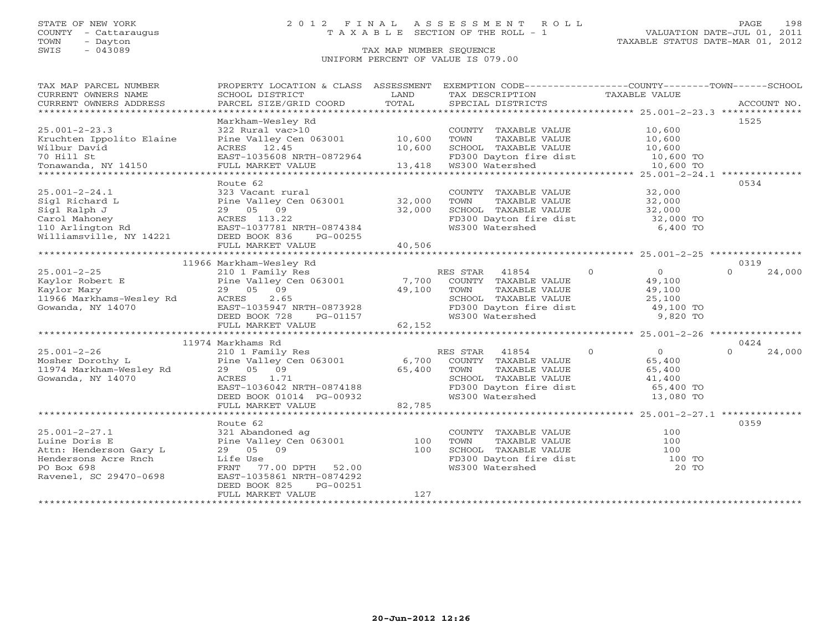### STATE OF NEW YORK 2 0 1 2 F I N A L A S S E S S M E N T R O L L PAGE 198 COUNTY - Cattaraugus T A X A B L E SECTION OF THE ROLL - 1 VALUATION DATE-JUL 01, 2011

| TAX MAP PARCEL NUMBER                                                                                                                                                                                                                                                                 | PROPERTY LOCATION & CLASS ASSESSMENT                                                                                                                                                          |            | EXEMPTION CODE-----------------COUNTY-------TOWN------SCHOOL                                                                                                                                                                                                                                       |                          |                            |
|---------------------------------------------------------------------------------------------------------------------------------------------------------------------------------------------------------------------------------------------------------------------------------------|-----------------------------------------------------------------------------------------------------------------------------------------------------------------------------------------------|------------|----------------------------------------------------------------------------------------------------------------------------------------------------------------------------------------------------------------------------------------------------------------------------------------------------|--------------------------|----------------------------|
| $25.001 - 2 - 23.3$<br>Kruchten Ippolito Elaine<br>10,600 CHOOL TAXABLE VALUE 10,600 CHOOL TOWN 10,600 CHOOL TAXABLE VALUE 10,600 CHOOL TAXABLE VALUE 2011 ON THE<br>TO Hill St EAST-1035608 NRTH-0872964 FD300 Dayton fire dist 10,600 TO<br>TO Hill St EAST-1035608 NRTH-0872964 FD | Markham-Wesley Rd<br>322 Rural vac>10<br>Pine Valley Cen 063001 10,600                                                                                                                        |            | COUNTY TAXABLE VALUE 10,600<br>TOWN                                                                                                                                                                                                                                                                | TAXABLE VALUE 10,600     | 1525                       |
| 25.001-2-24.1<br>29 05 09 32,000<br>32,000<br>32,000<br>32,000<br>32,000<br>29 05 09 32,000<br>29 05 09 32,000<br>29 05 09 32,000<br>29 05 09 32,000<br>29 05 09 32,000<br>29 05 09 32,000<br>29 05 09 32,000<br>29 05 09 32,000<br>29 05 09 32,000<br>                               | Route 62<br>FULL MARKET VALUE                                                                                                                                                                 | 40,506     | $\begin{tabular}{lllllllllll} \multicolumn{2}{c}{\textbf{COUNTY}} & \textbf{TAXABLE VALUE} & & & & 32,000 \\ \multicolumn{2}{c}{\textbf{TOWN}} & \textbf{TAXABLE VALUE} & & & 32,000 \end{tabular}$<br>SCHOOL TAXABLE VALUE 32,000<br>FD300 Dayton fire dist 32,000 TO<br>WS300 Watershed 6,400 TO |                          | 0534                       |
|                                                                                                                                                                                                                                                                                       | 11966 Markham-Wesley Rd                                                                                                                                                                       |            |                                                                                                                                                                                                                                                                                                    |                          | 0319                       |
|                                                                                                                                                                                                                                                                                       |                                                                                                                                                                                               |            | RES STAR 41854 0<br>COUNTY TAXABLE VALUE<br>TOWN TAXABLE VALUE 49,100<br>SCHOOL TAXABLE VALUE 25,100<br>FD300 Dayton fire dist 49,100 TO<br>WS300 Watershed 9,820 TO                                                                                                                               | $\overline{0}$<br>49,100 | $\Omega$<br>24,000         |
|                                                                                                                                                                                                                                                                                       |                                                                                                                                                                                               |            |                                                                                                                                                                                                                                                                                                    |                          |                            |
| $25.001 - 2 - 26$<br>Mosher Dorothy Land Mosher Dorothy Land Mosher Dorothy Land Mosher Pine Valley Cen 063001 Mosher 2011 Markham-Wesley Rd<br>11974 Markham-Wesley Rd<br>Gowanda, NY 14070 Mosher Rd Rock Mosher 29 05 09 65,400                                                    | 11974 Markhams Rd<br>29 05 09 65,400<br>ACRES 1.71<br>EAST-1036042 NRTH-0874188<br>DEED BOOK 01014 PG-00932<br>FULL MARKET VALUE                                                              | 82,785     | RES STAR 41854 0<br>COUNTY TAXABLE VALUE 65,400<br>TOWN TAXABLE VALUE 65,400<br>SCHOOL TAXABLE VALUE 41,400<br>FD300 Dayton fire dist 65,400 TO<br>WS300 Watershed 13,080 TO                                                                                                                       | $\overline{0}$           | 0424<br>$\Omega$<br>24,000 |
|                                                                                                                                                                                                                                                                                       | Route 62                                                                                                                                                                                      |            |                                                                                                                                                                                                                                                                                                    |                          | 0359                       |
| $25.001 - 2 - 27.1$<br>Luine Doris E<br>Attn: Henderson Gary L<br>From Gary Land Control 29 05<br>Cre Rnch Life Use<br>FRNT 77<br>Hendersons Acre Rnch<br>PO Box 698<br>Ravenel, SC 29470-0698                                                                                        | 321 Abandoned ag<br>321 Abandoned ag<br>Pine Valley Cen 063001 100<br>100<br>29 05 09<br>FRNT 77.00 DPTH 52.00<br>EAST-1035861 NRTH-0874292<br>DEED BOOK 825<br>PG-00251<br>FULL MARKET VALUE | 100<br>127 | COUNTY TAXABLE VALUE<br>TOWN<br>TAXABLE VALUE<br>TOWN INANDER VALUE<br>SCHOOL TAXABLE VALUE<br>FD300 Dayton fire dist<br>TC200 Watershed 20 TO                                                                                                                                                     | 100<br>100               |                            |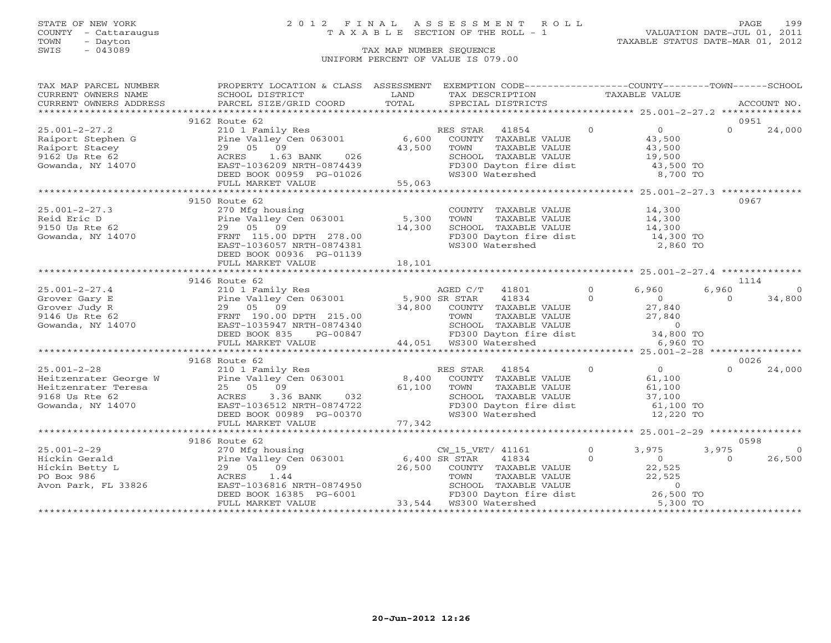COUNTY - Cattaraugus T A X A B L E SECTION OF THE ROLL - 1<br>TOWN - Dayton<br>SWIS - 043089 TAX MAP NUMBER SEQUENCE

# STATE OF NEW YORK 2 0 1 2 F I N A L A S S E S S M E N T R O L L PAGE 199

VALUATION DATE-JUL 01, 2011 TAXABLE STATUS DATE-MAR 01, 2012

#### TAX MAP NUMBER SEQUENCE UNIFORM PERCENT OF VALUE IS 079.00

| TAX MAP PARCEL NUMBER                                                                                                                                                                                                                                                                                                                                                                                           | PROPERTY LOCATION & CLASS ASSESSMENT EXEMPTION CODE-----------------COUNTY--------TOWN------SCHOOL                                                                                                                                                    |        |                                                                                                                                               |                |                |
|-----------------------------------------------------------------------------------------------------------------------------------------------------------------------------------------------------------------------------------------------------------------------------------------------------------------------------------------------------------------------------------------------------------------|-------------------------------------------------------------------------------------------------------------------------------------------------------------------------------------------------------------------------------------------------------|--------|-----------------------------------------------------------------------------------------------------------------------------------------------|----------------|----------------|
|                                                                                                                                                                                                                                                                                                                                                                                                                 |                                                                                                                                                                                                                                                       |        | LAND TAX DESCRIPTION TAXABLE VALUE COORD TOTAL SPECIAL DISTRICTS                                                                              |                |                |
|                                                                                                                                                                                                                                                                                                                                                                                                                 |                                                                                                                                                                                                                                                       |        |                                                                                                                                               |                |                |
|                                                                                                                                                                                                                                                                                                                                                                                                                 |                                                                                                                                                                                                                                                       |        |                                                                                                                                               |                |                |
|                                                                                                                                                                                                                                                                                                                                                                                                                 | 9162 Route 62                                                                                                                                                                                                                                         |        |                                                                                                                                               |                | 0951           |
| $25.001 - 2 - 27.2$                                                                                                                                                                                                                                                                                                                                                                                             |                                                                                                                                                                                                                                                       |        |                                                                                                                                               | $\Omega$       | 24,000         |
| Raiport Stephen G<br>Raiport Stacey<br>9162 Us Rte 62<br>Gowanda, NY 14070<br>29 05 09<br>29 05 09<br>29 05 09<br>29 05 09<br>29 05 09<br>29 05 09<br>29 05 09<br>29 07 026<br>29 07 026<br>29 026<br>29 026<br>29 026<br>29 0274439                                                                                                                                                                            |                                                                                                                                                                                                                                                       |        |                                                                                                                                               |                |                |
|                                                                                                                                                                                                                                                                                                                                                                                                                 |                                                                                                                                                                                                                                                       |        |                                                                                                                                               |                |                |
|                                                                                                                                                                                                                                                                                                                                                                                                                 |                                                                                                                                                                                                                                                       |        |                                                                                                                                               |                |                |
|                                                                                                                                                                                                                                                                                                                                                                                                                 |                                                                                                                                                                                                                                                       |        |                                                                                                                                               |                |                |
|                                                                                                                                                                                                                                                                                                                                                                                                                 | DEED BOOK 00959 PG-01026<br>FULL MARKET VALUE 55,063                                                                                                                                                                                                  |        | SCHOOL TAXABLE VALUE<br>FD300 Dayton fire dist $\begin{array}{r} 19,500 \\ 19,500 \\ 43,500 \text{ TO} \\ \text{WS300 Watershed} \end{array}$ |                |                |
|                                                                                                                                                                                                                                                                                                                                                                                                                 |                                                                                                                                                                                                                                                       |        |                                                                                                                                               |                |                |
|                                                                                                                                                                                                                                                                                                                                                                                                                 |                                                                                                                                                                                                                                                       |        |                                                                                                                                               |                |                |
|                                                                                                                                                                                                                                                                                                                                                                                                                 | 9150 Route 62                                                                                                                                                                                                                                         |        |                                                                                                                                               |                | 0967           |
|                                                                                                                                                                                                                                                                                                                                                                                                                 | 270 Mfg housing<br>Pine Valley Cen 063001 5,300<br>29 05 09 14,300                                                                                                                                                                                    |        | COUNTY TAXABLE VALUE 14,300                                                                                                                   |                |                |
|                                                                                                                                                                                                                                                                                                                                                                                                                 |                                                                                                                                                                                                                                                       |        |                                                                                                                                               |                |                |
|                                                                                                                                                                                                                                                                                                                                                                                                                 |                                                                                                                                                                                                                                                       |        |                                                                                                                                               |                |                |
|                                                                                                                                                                                                                                                                                                                                                                                                                 |                                                                                                                                                                                                                                                       |        |                                                                                                                                               |                |                |
| 25.001-2-27.3<br>Reid Eric D<br>9150 Us Rte 62<br>Gowanda, NY 14070<br>29 05 09<br>ERNT 115.00 DPTH 278.00<br>EAST-1036057 NRTH-0874381                                                                                                                                                                                                                                                                         |                                                                                                                                                                                                                                                       |        | TOWN TAXABLE VALUE $14,300$<br>SCHOOL TAXABLE VALUE $14,300$<br>FD300 Dayton fire dist $14,300$ TO<br>WS300 Watershed 2,860 TO                |                |                |
|                                                                                                                                                                                                                                                                                                                                                                                                                 | DEED BOOK 00936 PG-01139                                                                                                                                                                                                                              |        |                                                                                                                                               |                |                |
|                                                                                                                                                                                                                                                                                                                                                                                                                 | FULL MARKET VALUE                                                                                                                                                                                                                                     | 18,101 |                                                                                                                                               |                |                |
|                                                                                                                                                                                                                                                                                                                                                                                                                 |                                                                                                                                                                                                                                                       |        |                                                                                                                                               |                |                |
|                                                                                                                                                                                                                                                                                                                                                                                                                 | 9146 Route 62                                                                                                                                                                                                                                         |        |                                                                                                                                               |                | 1114           |
|                                                                                                                                                                                                                                                                                                                                                                                                                 |                                                                                                                                                                                                                                                       |        |                                                                                                                                               |                |                |
|                                                                                                                                                                                                                                                                                                                                                                                                                 |                                                                                                                                                                                                                                                       |        |                                                                                                                                               |                |                |
|                                                                                                                                                                                                                                                                                                                                                                                                                 |                                                                                                                                                                                                                                                       |        |                                                                                                                                               |                |                |
|                                                                                                                                                                                                                                                                                                                                                                                                                 |                                                                                                                                                                                                                                                       |        |                                                                                                                                               |                |                |
|                                                                                                                                                                                                                                                                                                                                                                                                                 |                                                                                                                                                                                                                                                       |        |                                                                                                                                               |                |                |
|                                                                                                                                                                                                                                                                                                                                                                                                                 |                                                                                                                                                                                                                                                       |        |                                                                                                                                               |                |                |
| $\begin{array}{cccccccc} 25.001-2-27.4 & 210 & 1\, \mathrm{Family\ Res} & \text{AGED C/T} & 41801 & 0 & 6,960 & 6,960 & 1114 \\ \text{Grover Gary E} & \text{Pine Valley Cen 063001} & 5,900 \; \mathrm{SR\ STAR} & 41834 & 0 & 0 & 34,800 \\ \text{Grover Judy R} & 29 & 09 & 5 & 09 \\ \text{Grover Judy R} & 29 & 05 & 09 \\ \text{Gwanda, NY 14070} & \text{EAST-1$                                         |                                                                                                                                                                                                                                                       |        |                                                                                                                                               |                |                |
|                                                                                                                                                                                                                                                                                                                                                                                                                 |                                                                                                                                                                                                                                                       |        |                                                                                                                                               |                |                |
| $\begin{array}{cccccccc} 25.001-2-28 & 9168 \: \text{Rult} & 62 & 24,000 \\ \text{Heitzenrater George W} & 210 1 Family Res & 8,400 COUNTY TAXABLE VALUE & 61,100 \\ \text{Heitzenrater Teresa} & 25 & 05 & 09 \\ \text{Heitzenrater Teresa} & 25 & 05 & 09 \\ \text{Heitzenrater Teresa} & 25 & 05 & 09 \\ \text{Meistvenrater Teresa} & 25 & 05 & 09 \\ \text{Gowanda, NY 14070} & 24,000 & 24,000 \\ \text{$ | 9168 Route 62                                                                                                                                                                                                                                         |        |                                                                                                                                               |                | 0026           |
|                                                                                                                                                                                                                                                                                                                                                                                                                 |                                                                                                                                                                                                                                                       |        |                                                                                                                                               |                | 24,000         |
|                                                                                                                                                                                                                                                                                                                                                                                                                 |                                                                                                                                                                                                                                                       |        |                                                                                                                                               |                |                |
|                                                                                                                                                                                                                                                                                                                                                                                                                 |                                                                                                                                                                                                                                                       |        |                                                                                                                                               |                |                |
|                                                                                                                                                                                                                                                                                                                                                                                                                 |                                                                                                                                                                                                                                                       |        |                                                                                                                                               |                |                |
|                                                                                                                                                                                                                                                                                                                                                                                                                 |                                                                                                                                                                                                                                                       |        |                                                                                                                                               |                |                |
|                                                                                                                                                                                                                                                                                                                                                                                                                 |                                                                                                                                                                                                                                                       |        |                                                                                                                                               |                |                |
|                                                                                                                                                                                                                                                                                                                                                                                                                 |                                                                                                                                                                                                                                                       |        |                                                                                                                                               |                |                |
|                                                                                                                                                                                                                                                                                                                                                                                                                 |                                                                                                                                                                                                                                                       |        |                                                                                                                                               |                |                |
|                                                                                                                                                                                                                                                                                                                                                                                                                 | 9186 Route 62                                                                                                                                                                                                                                         |        |                                                                                                                                               |                | 0598           |
| $25.001 - 2 - 29$                                                                                                                                                                                                                                                                                                                                                                                               |                                                                                                                                                                                                                                                       |        |                                                                                                                                               | 3,975          | $\overline{0}$ |
| Hickin Gerald                                                                                                                                                                                                                                                                                                                                                                                                   |                                                                                                                                                                                                                                                       |        |                                                                                                                                               | $\overline{0}$ | 26,500         |
| Hickin Betty L                                                                                                                                                                                                                                                                                                                                                                                                  |                                                                                                                                                                                                                                                       |        |                                                                                                                                               |                |                |
| PO Box 986                                                                                                                                                                                                                                                                                                                                                                                                      |                                                                                                                                                                                                                                                       |        |                                                                                                                                               |                |                |
| Avon Park, FL 33826                                                                                                                                                                                                                                                                                                                                                                                             |                                                                                                                                                                                                                                                       |        |                                                                                                                                               |                |                |
|                                                                                                                                                                                                                                                                                                                                                                                                                 |                                                                                                                                                                                                                                                       |        |                                                                                                                                               |                |                |
|                                                                                                                                                                                                                                                                                                                                                                                                                 | 9186 Route 62<br>270 Mfg housing<br>Pine Valley Cen 063001<br>29 05 09<br>ACRES 1.44<br>BEED BOOK 16385 PG-6001<br>DEED BOOK 16385 PG-6001<br>23,524 WS300 Watershed (1907)<br>26,500 COUNTY TAXABLE VALUE<br>22,525<br>26,500 TO<br>22,525<br>26,500 |        |                                                                                                                                               |                |                |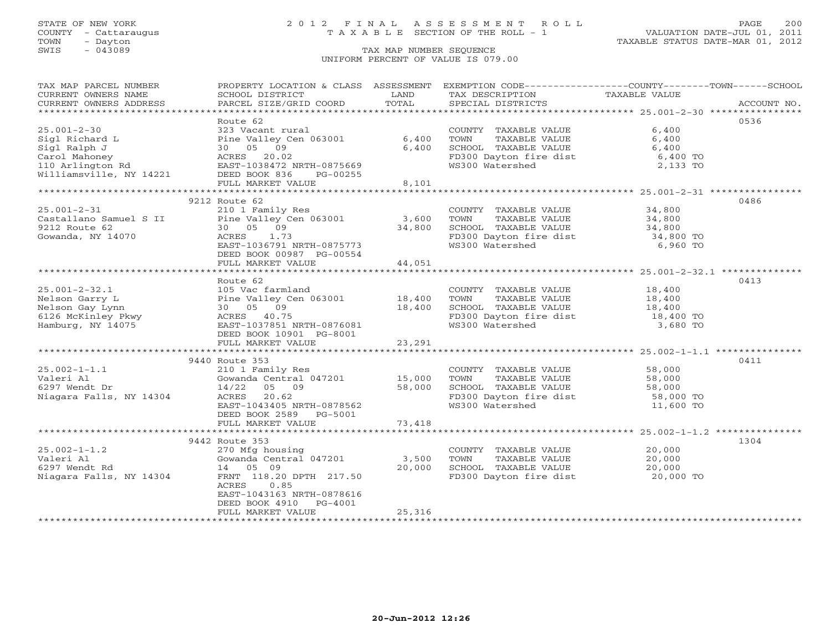## STATE OF NEW YORK 2 0 1 2 F I N A L A S S E S S M E N T R O L L PAGE 200 COUNTY - Cattaraugus T A X A B L E SECTION OF THE ROLL - 1 VALUATION DATE-JUL 01, 2011

| TAX MAP PARCEL NUMBER                                                                                                                                                                                                                    | PROPERTY LOCATION & CLASS ASSESSMENT                                                               |         | EXEMPTION CODE----------------COUNTY-------TOWN------SCHOOL                                                                                                       |           |      |
|------------------------------------------------------------------------------------------------------------------------------------------------------------------------------------------------------------------------------------------|----------------------------------------------------------------------------------------------------|---------|-------------------------------------------------------------------------------------------------------------------------------------------------------------------|-----------|------|
| CURRENT OWNERS NAME                                                                                                                                                                                                                      |                                                                                                    |         |                                                                                                                                                                   |           |      |
|                                                                                                                                                                                                                                          |                                                                                                    |         |                                                                                                                                                                   |           |      |
|                                                                                                                                                                                                                                          |                                                                                                    |         |                                                                                                                                                                   |           |      |
|                                                                                                                                                                                                                                          | Route 62                                                                                           |         |                                                                                                                                                                   |           | 0536 |
|                                                                                                                                                                                                                                          |                                                                                                    |         | COUNTY TAXABLE VALUE                                                                                                                                              | 6,400     |      |
|                                                                                                                                                                                                                                          |                                                                                                    |         | TOWN<br>TAXABLE VALUE                                                                                                                                             | 6,400     |      |
|                                                                                                                                                                                                                                          |                                                                                                    |         | SCHOOL TAXABLE VALUE<br>FD300 Dayton fire dist 6,400 TO<br>WS300 Watershed 2,133 TO                                                                               |           |      |
|                                                                                                                                                                                                                                          |                                                                                                    |         |                                                                                                                                                                   |           |      |
|                                                                                                                                                                                                                                          |                                                                                                    |         |                                                                                                                                                                   |           |      |
|                                                                                                                                                                                                                                          |                                                                                                    |         |                                                                                                                                                                   |           |      |
| 2003)<br>Sigl Richard L Pine Valley Cen 063001 6,400<br>Sigl Ralph J 30 05 09 6,400<br>Carol Mahoney ACRES 20.02<br>110 Arlington Rd EAST-1038472 NRTH-0875669 PG-00255<br>Williamsville, NY 14221 DEED BOOK 836 PG-00255<br>FULL MARKET |                                                                                                    |         |                                                                                                                                                                   |           |      |
|                                                                                                                                                                                                                                          |                                                                                                    |         |                                                                                                                                                                   |           |      |
|                                                                                                                                                                                                                                          | 9212 Route 62                                                                                      |         |                                                                                                                                                                   |           | 0486 |
| $25.001 - 2 - 31$                                                                                                                                                                                                                        | 210 1 Family Res                                                                                   |         | COUNTY TAXABLE VALUE 34,800                                                                                                                                       |           |      |
| Castallano Samuel S II Pine Valley Cen 063001 3,600                                                                                                                                                                                      |                                                                                                    |         |                                                                                                                                                                   |           |      |
| 9212 Route 62                                                                                                                                                                                                                            | 30 05 09                                                                                           |         |                                                                                                                                                                   |           |      |
| Gowanda, NY 14070                                                                                                                                                                                                                        | 34,800<br>ACRES 1.73<br>EAST-1036791 NRTH-0875773                                                  |         | TOWN TAXABLE VALUE 34,800<br>SCHOOL TAXABLE VALUE 34,800<br>FD300 Dayton fire dist 34,800 TO                                                                      |           |      |
|                                                                                                                                                                                                                                          |                                                                                                    |         | WS300 Watershed                                                                                                                                                   | 6,960 TO  |      |
|                                                                                                                                                                                                                                          |                                                                                                    |         |                                                                                                                                                                   |           |      |
|                                                                                                                                                                                                                                          | DEED BOOK 00987 PG-00554<br>FIILL MARKET VALUE 44,051                                              |         |                                                                                                                                                                   |           |      |
|                                                                                                                                                                                                                                          |                                                                                                    |         |                                                                                                                                                                   |           |      |
|                                                                                                                                                                                                                                          | Route 62                                                                                           |         |                                                                                                                                                                   |           | 0413 |
|                                                                                                                                                                                                                                          |                                                                                                    |         |                                                                                                                                                                   |           |      |
|                                                                                                                                                                                                                                          |                                                                                                    |         |                                                                                                                                                                   |           |      |
| 25.001-2-32.1 105 Vac farmland<br>Nelson Garry L Pine Valley Cen 063001 18,400<br>Nelson Gay Lynn 30 05 09 18,400<br>6126 McKinley Pkwy ACRES 40.75<br>Hamburg, NY 14075 EAST-1037851 NRTH-0876081<br>DEED BOOK 10901 PG-8001            |                                                                                                    |         | COUNTY TAXABLE VALUE 18,400<br>TOWN TAXABLE VALUE 18,400<br>SCHOOL TAXABLE VALUE 18,400<br>FD300 Dayton fire dist 18,400 TO<br>WS300 Watershed 3,680 TO           |           |      |
|                                                                                                                                                                                                                                          |                                                                                                    |         |                                                                                                                                                                   |           |      |
|                                                                                                                                                                                                                                          |                                                                                                    |         |                                                                                                                                                                   |           |      |
|                                                                                                                                                                                                                                          |                                                                                                    |         |                                                                                                                                                                   |           |      |
|                                                                                                                                                                                                                                          | FULL MARKET VALUE                                                                                  | 23, 291 |                                                                                                                                                                   |           |      |
|                                                                                                                                                                                                                                          |                                                                                                    |         |                                                                                                                                                                   |           |      |
|                                                                                                                                                                                                                                          | 9440 Route 353                                                                                     |         |                                                                                                                                                                   |           | 0411 |
| $25.002 - 1 - 1.1$                                                                                                                                                                                                                       | 210 1 Family Res                                                                                   |         |                                                                                                                                                                   |           |      |
| Valeri Al                                                                                                                                                                                                                                |                                                                                                    |         |                                                                                                                                                                   |           |      |
| 6297 Wendt Dr                                                                                                                                                                                                                            |                                                                                                    |         |                                                                                                                                                                   |           |      |
| Niagara Falls, NY 14304 ACRES 20.62                                                                                                                                                                                                      | 210 1 ramily Nes<br>Gowanda Central 047201 15,000<br>14/22 05 09 58,000<br>20.62 71201 ACRES 20.62 |         | COUNTY TAXABLE VALUE 58,000<br>TOWN TAXABLE VALUE 58,000<br>SCHOOL TAXABLE VALUE 58,000<br>FUS300 Dayton fire dist 58,000 TO<br>FUS300 Dayton fire dist 59,000 TO |           |      |
|                                                                                                                                                                                                                                          | EAST-1043405 NRTH-0878562                                                                          |         | WS300 Watershed                                                                                                                                                   | 11,600 TO |      |
|                                                                                                                                                                                                                                          | DEED BOOK 2589 PG-5001                                                                             |         |                                                                                                                                                                   |           |      |
|                                                                                                                                                                                                                                          | FULL MARKET VALUE                                                                                  | 73,418  |                                                                                                                                                                   |           |      |
|                                                                                                                                                                                                                                          |                                                                                                    |         |                                                                                                                                                                   |           |      |
|                                                                                                                                                                                                                                          | 9442 Route 353                                                                                     |         |                                                                                                                                                                   |           | 1304 |
| $25.002 - 1 - 1.2$                                                                                                                                                                                                                       |                                                                                                    |         |                                                                                                                                                                   |           |      |
|                                                                                                                                                                                                                                          | 270 Mfg housing<br>Gowanda Central 047201 3,500                                                    |         | COUNTY TAXABLE VALUE<br>TOWN TAXABLE VALUE 20,000                                                                                                                 |           |      |
| Valeri Al<br>6297 Wendt Rd<br>Niagara Falls, NY 14304                                                                                                                                                                                    | 14  05  09                                                                                         | 20,000  |                                                                                                                                                                   |           |      |
|                                                                                                                                                                                                                                          | FRNT 118.20 DPTH 217.50                                                                            |         |                                                                                                                                                                   |           |      |
|                                                                                                                                                                                                                                          | ACRES<br>0.85                                                                                      |         |                                                                                                                                                                   |           |      |
|                                                                                                                                                                                                                                          | EAST-1043163 NRTH-0878616                                                                          |         |                                                                                                                                                                   |           |      |
|                                                                                                                                                                                                                                          | DEED BOOK 4910 PG-4001                                                                             |         |                                                                                                                                                                   |           |      |
|                                                                                                                                                                                                                                          | FULL MARKET VALUE                                                                                  | 25,316  |                                                                                                                                                                   |           |      |
|                                                                                                                                                                                                                                          |                                                                                                    |         |                                                                                                                                                                   |           |      |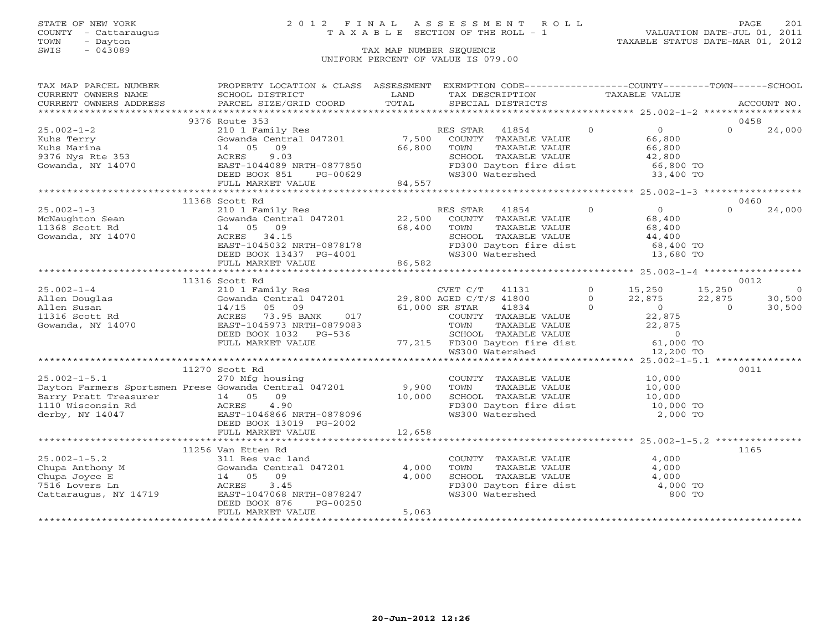### STATE OF NEW YORK 2 0 1 2 F I N A L A S S E S S M E N T R O L L PAGE 201 COUNTY - Cattaraugus T A X A B L E SECTION OF THE ROLL - 1 VALUATION DATE-JUL 01, 2011

| TAX MAP PARCEL NUMBER                                                                                        | PROPERTY LOCATION & CLASS ASSESSMENT                   |        | EXEMPTION CODE-----------------COUNTY-------TOWN------SCHOOL                                           |               |               |                        |                |                |
|--------------------------------------------------------------------------------------------------------------|--------------------------------------------------------|--------|--------------------------------------------------------------------------------------------------------|---------------|---------------|------------------------|----------------|----------------|
| CURRENT OWNERS NAME                                                                                          | SCHOOL DISTRICT                                        | LAND   | TAX DESCRIPTION                                                                                        |               | TAXABLE VALUE |                        |                |                |
| CURRENT OWNERS ADDRESS                                                                                       | PARCEL SIZE/GRID COORD                                 | TOTAL  | SPECIAL DISTRICTS                                                                                      |               |               |                        |                | ACCOUNT NO.    |
|                                                                                                              |                                                        |        |                                                                                                        |               |               |                        |                |                |
|                                                                                                              | 9376 Route 353                                         |        |                                                                                                        |               |               |                        |                | 0458           |
| $25.002 - 1 - 2$                                                                                             | 210 1 Family Res                                       |        | 41854<br>RES STAR                                                                                      |               | $\Omega$      | $\overline{O}$         | $\Omega$       | 24,000         |
| Kuhs Terry                                                                                                   | Gowanda Central 047201                                 | 7,500  | COUNTY TAXABLE VALUE                                                                                   |               |               | 66,800                 |                |                |
| Kuhs Marina                                                                                                  | 09<br>14 05                                            | 66,800 | TOWN                                                                                                   | TAXABLE VALUE |               | 66,800                 |                |                |
| 9376 Nys Rte 353                                                                                             | 9.03<br>ACRES                                          |        | SCHOOL TAXABLE VALUE                                                                                   |               |               | 42,800                 |                |                |
| Gowanda, NY 14070                                                                                            | EAST-1044089 NRTH-0877850                              |        | FD300 Dayton fire dist                                                                                 |               |               | 66,800 TO              |                |                |
|                                                                                                              | DEED BOOK 851<br>PG-00629                              |        | WS300 Watershed                                                                                        |               |               | 33,400 TO              |                |                |
|                                                                                                              | FULL MARKET VALUE                                      | 84,557 |                                                                                                        |               |               |                        |                |                |
|                                                                                                              |                                                        |        |                                                                                                        |               |               |                        |                |                |
|                                                                                                              | 11368 Scott Rd                                         |        |                                                                                                        |               |               |                        |                | 0460           |
| $25.002 - 1 - 3$                                                                                             | 210 1 Family Res                                       |        | RES STAR 41854                                                                                         |               | $\Omega$      | $\overline{0}$         | $\Omega$       | 24,000         |
| McNaughton Sean                                                                                              | Gowanda Central 047201 22,500                          |        | COUNTY TAXABLE VALUE                                                                                   |               |               | 68,400                 |                |                |
| 11368 Scott Rd                                                                                               | 14 05 09                                               | 68,400 | TOWN                                                                                                   | TAXABLE VALUE |               | 68,400                 |                |                |
| Gowanda, NY 14070                                                                                            | ACRES 34.15                                            |        | SCHOOL TAXABLE VALUE                                                                                   |               |               | 44,400                 |                |                |
|                                                                                                              | EAST-1045032 NRTH-0878178                              |        | FD300 Dayton fire dist<br>WS300 Watershed                                                              |               |               | 68,400 TO<br>13,680 TO |                |                |
|                                                                                                              | DEED BOOK 13437 PG-4001                                |        |                                                                                                        |               |               |                        |                |                |
|                                                                                                              | FULL MARKET VALUE                                      | 86,582 |                                                                                                        |               |               |                        |                |                |
|                                                                                                              |                                                        |        |                                                                                                        |               |               |                        |                |                |
|                                                                                                              | 11316 Scott Rd                                         |        |                                                                                                        |               |               |                        |                | 0012           |
| $25.002 - 1 - 4$                                                                                             | 210 1 Family Res                                       |        | CVET C/T<br>41131                                                                                      |               | $0 \t 15,250$ |                        | 15,250         | $\overline{0}$ |
| Allen Douglas                                                                                                | Gowanda Central 047201                                 |        | 29,800 AGED C/T/S 41800                                                                                |               | $\Omega$      | 22,875                 | 22,875         | 30,500         |
| Allen Susan                                                                                                  | 14/15<br>05<br>09                                      |        | 61,000 SR STAR<br>41834                                                                                |               | $\Omega$      | $\overline{0}$         | $\overline{0}$ | 30,500         |
| Gowanda, NY 14070<br>Gowanda, NY 14070                                                                       | ACRES 73.95 BANK<br>017                                |        | COUNTY TAXABLE VALUE<br>TOWN     TAXABLE VALUE                                                         |               |               | 22,875                 |                |                |
|                                                                                                              | EAST-1045973 NRTH-0879083                              |        |                                                                                                        |               |               | 22,875                 |                |                |
|                                                                                                              | DEED BOOK 1032 PG-536                                  |        |                                                                                                        |               |               |                        |                |                |
|                                                                                                              | FULL MARKET VALUE                                      |        | SCHOOL TAXABLE VALUE<br>77,215 FD300 Dayton fire dist 61,000 TO<br>61,000 TO WS300 Watershed 12,200 TO |               |               |                        |                |                |
|                                                                                                              |                                                        |        |                                                                                                        |               |               |                        |                |                |
|                                                                                                              |                                                        |        |                                                                                                        |               |               |                        |                |                |
|                                                                                                              | 11270 Scott Rd                                         |        |                                                                                                        |               |               |                        |                | 0011           |
| $25.002 - 1 - 5.1$                                                                                           | 270 Mfg housing                                        |        | COUNTY TAXABLE VALUE 10,000                                                                            |               |               |                        |                |                |
| Dayton Farmers Sportsmen Prese Gowanda Central 047201                                                        |                                                        | 9,900  | TOWN                                                                                                   | TAXABLE VALUE |               | 10,000<br>10,000       |                |                |
| Barry Pratt Treasurer<br>14 05 09<br>1110 Wisconsin Rd 1110 Wisconsin Rd 20<br>120 BAST-1046866 NRTH-0878096 |                                                        | 10,000 | SCHOOL TAXABLE VALUE                                                                                   |               |               |                        |                |                |
|                                                                                                              |                                                        |        | FD300 Dayton fire dist 10,000 TO                                                                       |               |               |                        |                |                |
|                                                                                                              |                                                        |        | WS300 Watershed                                                                                        |               |               | 2,000 TO               |                |                |
|                                                                                                              | DEED BOOK 13019 PG-2002                                |        |                                                                                                        |               |               |                        |                |                |
|                                                                                                              | FULL MARKET VALUE                                      | 12,658 |                                                                                                        |               |               |                        |                |                |
|                                                                                                              |                                                        |        |                                                                                                        |               |               |                        |                |                |
|                                                                                                              | 11256 Van Etten Rd                                     |        |                                                                                                        |               |               |                        |                | 1165           |
| $25.002 - 1 - 5.2$                                                                                           | 311 Res vac land                                       |        | COUNTY TAXABLE VALUE                                                                                   |               |               | 4,000                  |                |                |
| Chupa Anthony M                                                                                              | Gowanda Central 047201                                 | 4,000  | TOWN                                                                                                   | TAXABLE VALUE |               | 4,000                  |                |                |
| Chupa Joyce E                                                                                                | 14  05  09                                             | 4,000  | SCHOOL TAXABLE VALUE                                                                                   |               |               | 4,000                  |                |                |
| 7516 Lovers Ln                                                                                               | ACRES<br>3.45                                          |        | FD300 Dayton fire dist                                                                                 |               |               | 4,000 TO<br>800 TO     |                |                |
| Cattaraugus, NY 14719                                                                                        | EAST-1047068 NRTH-0878247<br>DEED BOOK 876<br>PG-00250 |        | WS300 Watershed                                                                                        |               |               |                        |                |                |
|                                                                                                              | FULL MARKET VALUE                                      | 5,063  |                                                                                                        |               |               |                        |                |                |
|                                                                                                              |                                                        |        |                                                                                                        |               |               |                        |                |                |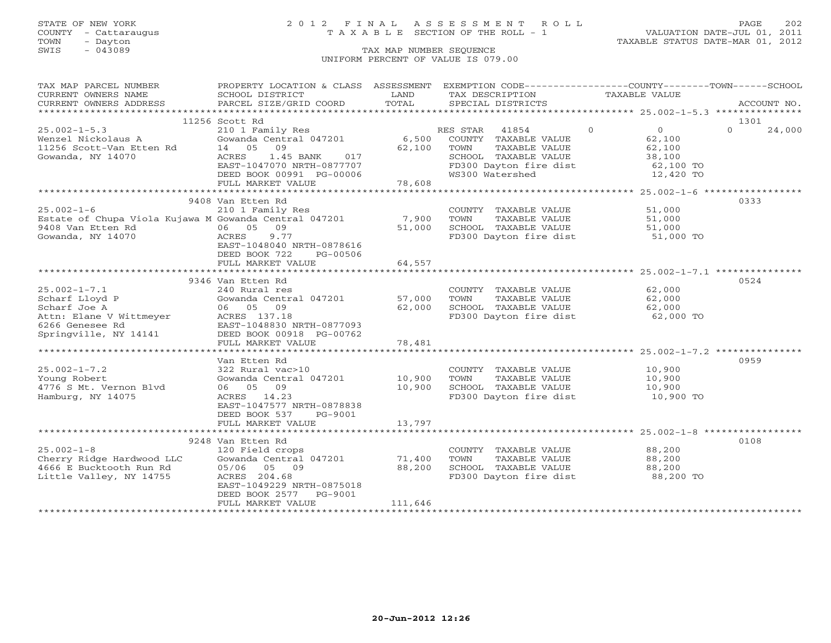### STATE OF NEW YORK 2 0 1 2 F I N A L A S S E S S M E N T R O L L PAGE 202 COUNTY - Cattaraugus T A X A B L E SECTION OF THE ROLL - 1 VALUATION DATE-JUL 01, 2011

TOWN - Dayton TAXABLE STATUS DATE-MAR 01, 2012

| TAX MAP PARCEL NUMBER                                                                                                                                                                                                                   | PROPERTY LOCATION & CLASS ASSESSMENT EXEMPTION CODE----------------COUNTY-------TOWN------SCHOOL |         |                                                                                                                                          |                      |                    |
|-----------------------------------------------------------------------------------------------------------------------------------------------------------------------------------------------------------------------------------------|--------------------------------------------------------------------------------------------------|---------|------------------------------------------------------------------------------------------------------------------------------------------|----------------------|--------------------|
|                                                                                                                                                                                                                                         |                                                                                                  |         |                                                                                                                                          |                      |                    |
|                                                                                                                                                                                                                                         |                                                                                                  |         |                                                                                                                                          |                      |                    |
|                                                                                                                                                                                                                                         |                                                                                                  |         |                                                                                                                                          |                      |                    |
|                                                                                                                                                                                                                                         | 11256 Scott Rd                                                                                   |         |                                                                                                                                          |                      | 1301               |
| 25.002-1-5.3 210 1 Family Res RES STAR 41854 0<br>Wenzel Nickolaus A Gowanda Central 047201 6,500 COUNTY TAXABLE VALUE 62,100<br>11256 Scott-Van Etten Rd 14 05 09 62,100 TOWN TAXABLE VALUE 62,100<br>Gowanda, NY 14070 ACRES 1.45     | 210 1 Family Res                                                                                 |         |                                                                                                                                          |                      | $\Omega$<br>24,000 |
|                                                                                                                                                                                                                                         |                                                                                                  |         |                                                                                                                                          |                      |                    |
|                                                                                                                                                                                                                                         |                                                                                                  |         |                                                                                                                                          |                      |                    |
|                                                                                                                                                                                                                                         |                                                                                                  |         | SCHOOL TAXABLE VALUE 38,100<br>FD300 Dayton fire dist 62,100 TO<br>WS300 Watershed 12,420 TO                                             |                      |                    |
|                                                                                                                                                                                                                                         |                                                                                                  |         |                                                                                                                                          |                      |                    |
|                                                                                                                                                                                                                                         |                                                                                                  |         |                                                                                                                                          |                      |                    |
|                                                                                                                                                                                                                                         | DEED BOOK 00991 PG-00006<br>FULL MARKET VALUE 78,608                                             |         |                                                                                                                                          |                      |                    |
|                                                                                                                                                                                                                                         |                                                                                                  |         |                                                                                                                                          |                      |                    |
|                                                                                                                                                                                                                                         | 9408 Van Etten Rd                                                                                |         |                                                                                                                                          |                      | 0333               |
|                                                                                                                                                                                                                                         |                                                                                                  |         | COUNTY TAXABLE VALUE 51,000<br>7,900 TOWN TAXABLE VALUE 51,000<br>51,000 SCHOOL TAXABLE VALUE 51,000<br>FD300 Dayton fire dist 51,000 TO |                      |                    |
|                                                                                                                                                                                                                                         |                                                                                                  |         |                                                                                                                                          |                      |                    |
|                                                                                                                                                                                                                                         |                                                                                                  |         |                                                                                                                                          |                      |                    |
|                                                                                                                                                                                                                                         |                                                                                                  |         |                                                                                                                                          |                      |                    |
|                                                                                                                                                                                                                                         | EAST-1048040 NRTH-0878616                                                                        |         |                                                                                                                                          |                      |                    |
|                                                                                                                                                                                                                                         | DEED BOOK 722<br>PG-00506                                                                        |         |                                                                                                                                          |                      |                    |
|                                                                                                                                                                                                                                         | FULL MARKET VALUE                                                                                | 64,557  |                                                                                                                                          |                      |                    |
|                                                                                                                                                                                                                                         |                                                                                                  |         |                                                                                                                                          |                      |                    |
|                                                                                                                                                                                                                                         | 9346 Van Etten Rd                                                                                |         |                                                                                                                                          |                      | 0524               |
|                                                                                                                                                                                                                                         |                                                                                                  |         |                                                                                                                                          |                      |                    |
|                                                                                                                                                                                                                                         |                                                                                                  |         | COUNTY TAXABLE VALUE 62,000<br>TOWN TAXABLE VALUE 62,000                                                                                 |                      |                    |
| 25.002-1-7.1<br>Scharf Lloyd P (Sowanda Central 047201 57,000 TOWN<br>Scharf Joe A 06 05 09 62,000 SCHOOL<br>Attn: Elane V Wittmeyer ACRES 137.18<br>6266 Genesee Rd EAST-1048830 NRTH-0877093<br>Springville, NY 14141 DEED BOOK 00918 |                                                                                                  |         | TOWN TAXING VIDEO<br>SCHOOL TAXABLE VALUE 62,000<br>FD300 Davton fire dist 62,000 TO                                                     |                      |                    |
|                                                                                                                                                                                                                                         |                                                                                                  |         |                                                                                                                                          |                      |                    |
|                                                                                                                                                                                                                                         |                                                                                                  |         |                                                                                                                                          |                      |                    |
|                                                                                                                                                                                                                                         |                                                                                                  |         |                                                                                                                                          |                      |                    |
|                                                                                                                                                                                                                                         |                                                                                                  | 78,481  |                                                                                                                                          |                      |                    |
|                                                                                                                                                                                                                                         |                                                                                                  |         |                                                                                                                                          |                      |                    |
|                                                                                                                                                                                                                                         | Van Etten Rd                                                                                     |         |                                                                                                                                          |                      | 0959               |
| $25.002 - 1 - 7.2$                                                                                                                                                                                                                      |                                                                                                  |         |                                                                                                                                          |                      |                    |
| Young Robert                                                                                                                                                                                                                            |                                                                                                  |         | COUNTY TAXABLE VALUE 10,900<br>TOWN TAXABLE VALUE 10,900                                                                                 |                      |                    |
| 4776 S Mt. Vernon Blvd                                                                                                                                                                                                                  | 322 Rural vac>10<br>Gowanda Central 047201 10,900 TOWN<br>10.900 SCHOOI                          |         |                                                                                                                                          |                      |                    |
| Hamburg, NY 14075                                                                                                                                                                                                                       | ACRES 14.23                                                                                      | 10,900  |                                                                                                                                          |                      |                    |
|                                                                                                                                                                                                                                         | EAST-1047577 NRTH-0878838                                                                        |         |                                                                                                                                          |                      |                    |
|                                                                                                                                                                                                                                         | DEED BOOK 537 PG-9001                                                                            |         |                                                                                                                                          |                      |                    |
|                                                                                                                                                                                                                                         | FULL MARKET VALUE                                                                                | 13,797  |                                                                                                                                          |                      |                    |
|                                                                                                                                                                                                                                         |                                                                                                  |         |                                                                                                                                          |                      |                    |
|                                                                                                                                                                                                                                         | 9248 Van Etten Rd                                                                                |         |                                                                                                                                          |                      | 0108               |
| $25.002 - 1 - 8$                                                                                                                                                                                                                        | 120 Field crops                                                                                  |         | COUNTY TAXABLE VALUE 88,200                                                                                                              |                      |                    |
| Cherry Ridge Hardwood LLC                                                                                                                                                                                                               | Gowanda Central 047201 71,400                                                                    |         | TOWN                                                                                                                                     | TAXABLE VALUE 88,200 |                    |
| 4666 E Bucktooth Run Rd                                                                                                                                                                                                                 | 05/06 05 09                                                                                      | 88,200  |                                                                                                                                          |                      |                    |
| Little Valley, NY 14755                                                                                                                                                                                                                 | ACRES 204.68                                                                                     |         | SCHOOL TAXABLE VALUE 88,200<br>FD300 Dayton fire dist 88,200 TO                                                                          |                      |                    |
|                                                                                                                                                                                                                                         | EAST-1049229 NRTH-0875018                                                                        |         |                                                                                                                                          |                      |                    |
|                                                                                                                                                                                                                                         | DEED BOOK 2577 PG-9001                                                                           |         |                                                                                                                                          |                      |                    |
|                                                                                                                                                                                                                                         | FULL MARKET VALUE                                                                                | 111,646 |                                                                                                                                          |                      |                    |
|                                                                                                                                                                                                                                         |                                                                                                  |         |                                                                                                                                          |                      |                    |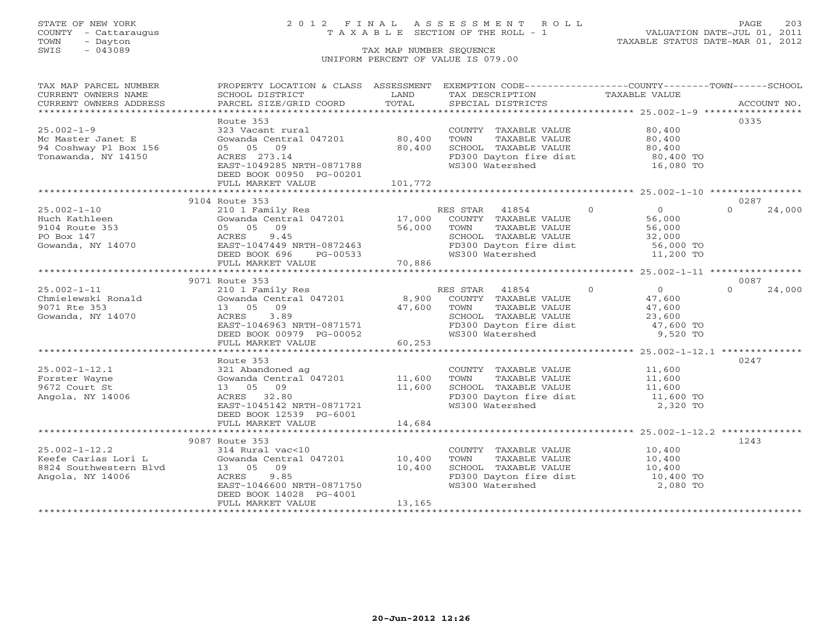## STATE OF NEW YORK 2 0 1 2 F I N A L A S S E S S M E N T R O L L PAGE 203 COUNTY - Cattaraugus T A X A B L E SECTION OF THE ROLL - 1 VALUATION DATE-JUL 01, 2011

| TAX MAP PARCEL NUMBER<br>CURRENT OWNERS NAME | PROPERTY LOCATION & CLASS ASSESSMENT EXEMPTION CODE---------------COUNTY-------TOWN------SCHOOL<br>SCHOOL DISTRICT | LAND    | TAX DESCRIPTION                                                        | TAXABLE VALUE                    |                    |
|----------------------------------------------|--------------------------------------------------------------------------------------------------------------------|---------|------------------------------------------------------------------------|----------------------------------|--------------------|
| CURRENT OWNERS ADDRESS                       | PARCEL SIZE/GRID COORD                                                                                             | TOTAL   | SPECIAL DISTRICTS                                                      |                                  | ACCOUNT NO.        |
|                                              |                                                                                                                    |         |                                                                        |                                  |                    |
|                                              | Route 353                                                                                                          |         |                                                                        |                                  | 0335               |
| $25.002 - 1 - 9$                             | 323 Vacant rural                                                                                                   |         | COUNTY TAXABLE VALUE                                                   | 80,400                           |                    |
| Mc Master Janet E                            | Gowanda Central 047201 80,400<br>05 05 09                                                                          |         | TOWN<br>TAXABLE VALUE                                                  | 80,400                           |                    |
| 94 Coshway Pl Box 156<br>Tonawanda, NY 14150 | ACRES 273.14                                                                                                       | 80,400  | SCHOOL TAXABLE VALUE<br>FD300 Dayton fire dist                         | 80,400<br>80,400 TO              |                    |
|                                              | EAST-1049285 NRTH-0871788                                                                                          |         | WS300 Watershed                                                        | 16,080 TO                        |                    |
|                                              | DEED BOOK 00950 PG-00201                                                                                           |         |                                                                        |                                  |                    |
|                                              | FULL MARKET VALUE                                                                                                  | 101,772 |                                                                        |                                  |                    |
|                                              |                                                                                                                    |         |                                                                        |                                  |                    |
|                                              | 9104 Route 353                                                                                                     |         |                                                                        |                                  | 0287               |
| $25.002 - 1 - 10$                            | 210 1 Family Res                                                                                                   |         | $\sim$ 0<br>RES STAR 41854                                             | $\overline{0}$                   | $\Omega$<br>24,000 |
| Huch Kathleen                                |                                                                                                                    |         |                                                                        | 56,000                           |                    |
| 9104 Route 353                               | Gowanda Central 047201 17,000 COUNTY TAXABLE VALUE<br>05 05 09 56,000 TOWN TAXABLE VALUE                           |         |                                                                        | 56,000                           |                    |
| PO Box 147                                   | 9.45<br>ACRES                                                                                                      |         | SCHOOL TAXABLE VALUE                                                   | 32,000                           |                    |
| Gowanda, NY 14070                            | EAST-1047449 NRTH-0872463                                                                                          |         | SCHOOL TAXABLE VALUE<br>FD300 Dayton fire dist                         | $56,000$ TO                      |                    |
|                                              | DEED BOOK 696<br>PG-00533                                                                                          |         | WS300 Watershed                                                        | 11,200 TO                        |                    |
|                                              | FULL MARKET VALUE                                                                                                  | 70,886  |                                                                        |                                  |                    |
|                                              |                                                                                                                    |         |                                                                        |                                  |                    |
|                                              | 9071 Route 353                                                                                                     |         |                                                                        |                                  | 0087               |
| $25.002 - 1 - 11$                            | 210 1 Family Res                                                                                                   |         | RES STAR<br>41854                                                      | $\overline{0}$<br>$\overline{0}$ | 24,000<br>$\Omega$ |
| Chmielewski Ronald                           | Gowanda Central 047201                                                                                             | 8,900   | COUNTY TAXABLE VALUE                                                   | 47,600                           |                    |
| 9071 Rte 353                                 | 13 05 09                                                                                                           | 47,600  | TAXABLE VALUE<br>TOWN                                                  | 47,600                           |                    |
| Gowanda, NY 14070                            | ACRES<br>3.89                                                                                                      |         | SCHOOL TAXABLE VALUE<br>SCHOOL TAXABLE VALUE<br>FD300 Dayton fire dist | 23,600                           |                    |
|                                              | EAST-1046963 NRTH-0871571                                                                                          |         |                                                                        | 47,600 TO                        |                    |
|                                              | DEED BOOK 00979 PG-00052<br>FULL MARKET VALUE                                                                      | 60,253  | WS300 Watershed                                                        | 9,520 TO                         |                    |
|                                              |                                                                                                                    |         |                                                                        |                                  |                    |
|                                              | Route 353                                                                                                          |         |                                                                        |                                  | 0247               |
| $25.002 - 1 - 12.1$                          | 321 Abandoned ag                                                                                                   |         | COUNTY TAXABLE VALUE                                                   |                                  |                    |
| Forster Wayne                                | 321 Abandoned ag<br>Gowanda Central 047201 $11,600$                                                                |         | TOWN<br>TAXABLE VALUE                                                  | 11,600<br>11,600                 |                    |
| 9672 Court St                                | 13 05 09                                                                                                           | 11,600  | SCHOOL TAXABLE VALUE                                                   |                                  |                    |
| Angola, NY 14006                             | ACRES 32.80                                                                                                        |         | FD300 Dayton fire dist                                                 | 11,600<br>11,600 TO              |                    |
|                                              | EAST-1045142 NRTH-0871721                                                                                          |         | WS300 Watershed                                                        | 2,320 TO                         |                    |
|                                              | DEED BOOK 12539 PG-6001                                                                                            |         |                                                                        |                                  |                    |
|                                              | FULL MARKET VALUE                                                                                                  | 14,684  |                                                                        |                                  |                    |
|                                              |                                                                                                                    |         |                                                                        |                                  |                    |
|                                              | 9087 Route 353                                                                                                     |         |                                                                        |                                  | 1243               |
| $25.002 - 1 - 12.2$                          | 314 Rural vac<10                                                                                                   |         | COUNTY TAXABLE VALUE                                                   | 10,400                           |                    |
| Keefe Carias Lori L                          | Gowanda Central 047201 10,400                                                                                      |         | TAXABLE VALUE<br>TOWN                                                  | 10,400                           |                    |
| 8824 Southwestern Blvd                       | 13 05 09                                                                                                           | 10,400  | SCHOOL TAXABLE VALUE                                                   | 10,400                           |                    |
| Angola, NY 14006                             | ACRES<br>9.85                                                                                                      |         | FD300 Dayton fire dist                                                 | 10,400 TO                        |                    |
|                                              | EAST-1046600 NRTH-0871750                                                                                          |         | WS300 Watershed                                                        | 2,080 TO                         |                    |
|                                              | DEED BOOK 14028 PG-4001                                                                                            |         |                                                                        |                                  |                    |
|                                              | FULL MARKET VALUE                                                                                                  | 13,165  |                                                                        |                                  |                    |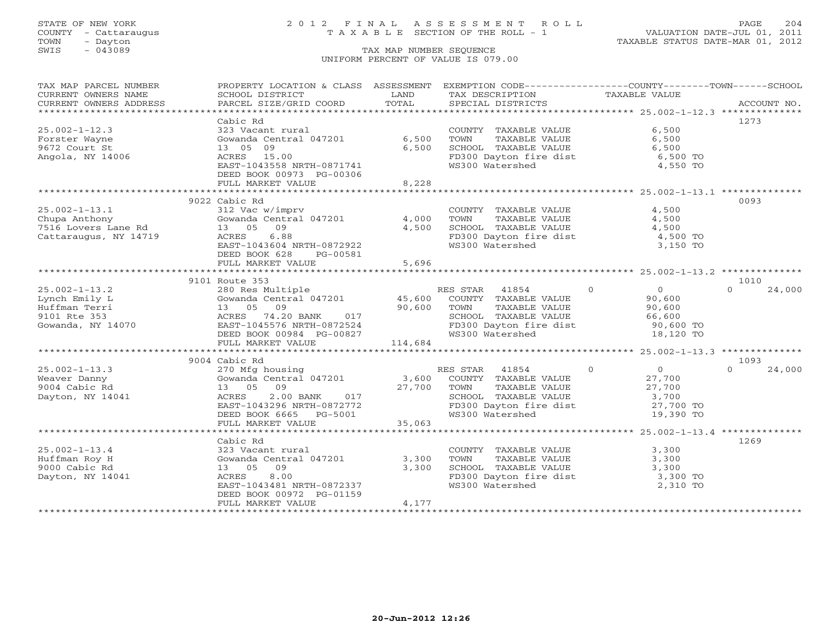## STATE OF NEW YORK 2 0 1 2 F I N A L A S S E S S M E N T R O L L PAGE 204 COUNTY - Cattaraugus T A X A B L E SECTION OF THE ROLL - 1 VALUATION DATE-JUL 01, 2011

| TAX MAP PARCEL NUMBER                | PROPERTY LOCATION & CLASS ASSESSMENT                |               | EXEMPTION CODE----------------COUNTY-------TOWN------SCHOOL     |                                                    |                    |
|--------------------------------------|-----------------------------------------------------|---------------|-----------------------------------------------------------------|----------------------------------------------------|--------------------|
| CURRENT OWNERS NAME                  | SCHOOL DISTRICT                                     | LAND          | TAX DESCRIPTION                                                 | TAXABLE VALUE                                      |                    |
| CURRENT OWNERS ADDRESS               | PARCEL SIZE/GRID COORD                              | TOTAL         | SPECIAL DISTRICTS                                               |                                                    | ACCOUNT NO.        |
|                                      |                                                     |               |                                                                 |                                                    |                    |
|                                      | Cabic Rd                                            |               |                                                                 |                                                    | 1273               |
| $25.002 - 1 - 12.3$                  | 323 Vacant rural                                    |               | COUNTY TAXABLE VALUE                                            | 6,500                                              |                    |
| Forster Wayne                        | Gowanda Central 047201                              | 6,500         | TOWN<br>TAXABLE VALUE                                           | 6,500                                              |                    |
| 9672 Court St                        | 13 05 09                                            | 6,500         | SCHOOL TAXABLE VALUE                                            | 6,500                                              |                    |
| Angola, NY 14006                     | ACRES 15.00                                         |               | FD300 Dayton fire dist                                          | 6,500 TO                                           |                    |
|                                      | EAST-1043558 NRTH-0871741                           |               | WS300 Watershed                                                 | 4,550 TO                                           |                    |
|                                      | DEED BOOK 00973 PG-00306                            |               |                                                                 |                                                    |                    |
|                                      | FULL MARKET VALUE                                   | 8,228         |                                                                 |                                                    |                    |
|                                      |                                                     | ************* |                                                                 | ******************** 25.002-1-13.1 *************** |                    |
|                                      | 9022 Cabic Rd                                       |               |                                                                 |                                                    | 0093               |
| $25.002 - 1 - 13.1$                  | 312 Vac w/imprv                                     |               | COUNTY TAXABLE VALUE                                            | 4,500                                              |                    |
| Chupa Anthony                        | Gowanda Central 047201                              | 4,000         | TOWN<br>TAXABLE VALUE                                           | 4,500                                              |                    |
| cnupa Antnony<br>7516 Lovers Lane Rd | 09<br>13 05                                         | 4,500         | SCHOOL TAXABLE VALUE                                            | 4,500                                              |                    |
| Cattaraugus, NY 14719                | ACRES<br>6.88                                       |               |                                                                 | 4,500 TO                                           |                    |
|                                      | EAST-1043604 NRTH-0872922                           |               | FD300 Dayton fire dist<br>WS300 Watershed                       | 3,150 TO                                           |                    |
|                                      | DEED BOOK 628<br>PG-00581                           |               |                                                                 |                                                    |                    |
|                                      | FULL MARKET VALUE                                   | 5,696         |                                                                 |                                                    |                    |
|                                      |                                                     |               |                                                                 |                                                    |                    |
|                                      | 9101 Route 353                                      |               |                                                                 |                                                    | 1010               |
| $25.002 - 1 - 13.2$                  |                                                     |               | RES STAR 41854                                                  | $\Omega$<br>$\overline{0}$                         | $\Omega$<br>24,000 |
| Lynch Emily L                        | 280 Res Multiple R<br>Gowanda Central 047201 45,600 |               | COUNTY TAXABLE VALUE                                            | 90,600                                             |                    |
| Huffman Terri                        | 09<br>13 05                                         | 90,600        | TAXABLE VALUE<br>TOWN                                           | 90,600                                             |                    |
| 9101 Rte 353                         | ACRES 74.20 BANK 017                                |               |                                                                 |                                                    |                    |
| Gowanda, NY 14070                    | EAST-1045576 NRTH-0872524                           |               | SCHOOL TAXABLE VALUE 66,600<br>FD300 Dayton fire dist 90,600 TO |                                                    |                    |
|                                      | DEED BOOK 00984 PG-00827                            |               | WS300 Watershed                                                 | 18,120 TO                                          |                    |
|                                      | FULL MARKET VALUE                                   | 114,684       |                                                                 |                                                    |                    |
|                                      |                                                     |               |                                                                 |                                                    |                    |
|                                      | 9004 Cabic Rd                                       |               |                                                                 |                                                    | 1093               |
| $25.002 - 1 - 13.3$                  |                                                     |               | RES STAR 41854                                                  | $\overline{0}$<br>$\overline{0}$                   | $\Omega$<br>24,000 |
| Weaver Danny                         | 270 Mfg housing<br>Gowanda Central 047201           | 3,600         | COUNTY TAXABLE VALUE                                            | 27,700                                             |                    |
| 9004 Cabic Rd                        | 13 05 09                                            | 27,700        | TAXABLE VALUE<br>TOWN                                           |                                                    |                    |
| Dayton, NY 14041                     | ACRES                                               |               |                                                                 | $\frac{27}{3}, \frac{700}{700}$                    |                    |
|                                      | EAST-1043296 NRTH-0872772                           |               | SCHOOL TAXABLE VALUE 3,700<br>FD300 Dayton fire dist 27,700 TO  |                                                    |                    |
|                                      | DEED BOOK 6665 PG-5001                              |               | WS300 Watershed                                                 | 19,390 TO                                          |                    |
|                                      | FULL MARKET VALUE                                   | 35,063        |                                                                 |                                                    |                    |
|                                      |                                                     |               |                                                                 |                                                    |                    |
|                                      | Cabic Rd                                            |               |                                                                 |                                                    | 1269               |
| $25.002 - 1 - 13.4$                  | 323 Vacant rural                                    |               | COUNTY TAXABLE VALUE                                            | 3,300                                              |                    |
| Huffman Roy H                        | Gowanda Central 047201                              | 3,300         | TAXABLE VALUE<br>TOWN                                           | 3,300                                              |                    |
| 9000 Cabic Rd                        | 13 05 09                                            | 3,300         |                                                                 |                                                    |                    |
| Dayton, NY 14041                     | 8.00<br>ACRES                                       |               | SCHOOL TAXABLE VALUE<br>FD300 Dayton fire dist                  | $3,300$ TO<br>$3,300$ TO                           |                    |
|                                      | EAST-1043481 NRTH-0872337                           |               | WS300 Watershed                                                 | 2,310 TO                                           |                    |
|                                      | DEED BOOK 00972 PG-01159                            |               |                                                                 |                                                    |                    |
|                                      | FULL MARKET VALUE                                   | 4,177         |                                                                 |                                                    |                    |
|                                      |                                                     |               |                                                                 |                                                    |                    |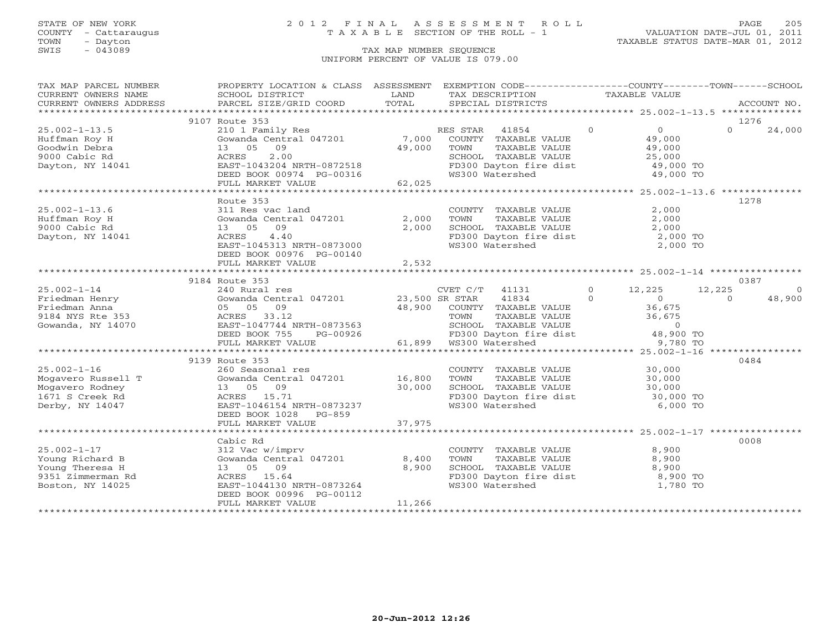### STATE OF NEW YORK 2 0 1 2 F I N A L A S S E S S M E N T R O L L PAGE 205 COUNTY - Cattaraugus T A X A B L E SECTION OF THE ROLL - 1 VALUATION DATE-JUL 01, 2011

| TAX MAP PARCEL NUMBER                                                   | PROPERTY LOCATION & CLASS ASSESSMENT EXEMPTION CODE----------------COUNTY-------TOWN------SCHOOL                                                                                                                                                   |        |                                                                                                                     |  |                  |          |             |
|-------------------------------------------------------------------------|----------------------------------------------------------------------------------------------------------------------------------------------------------------------------------------------------------------------------------------------------|--------|---------------------------------------------------------------------------------------------------------------------|--|------------------|----------|-------------|
| CURRENT OWNERS NAME                                                     | SCHOOL DISTRICT                                                                                                                                                                                                                                    | LAND   | TAX DESCRIPTION TAXABLE VALUE                                                                                       |  |                  |          |             |
| CURRENT OWNERS ADDRESS                                                  | PARCEL SIZE/GRID COORD                                                                                                                                                                                                                             | TOTAL  | SPECIAL DISTRICTS                                                                                                   |  |                  |          | ACCOUNT NO. |
|                                                                         |                                                                                                                                                                                                                                                    |        |                                                                                                                     |  |                  |          |             |
|                                                                         | 9107 Route 353                                                                                                                                                                                                                                     |        |                                                                                                                     |  |                  |          | 1276        |
| $25.002 - 1 - 13.5$                                                     | 210 1 Family Res                                                                                                                                                                                                                                   |        | RES STAR 41854 0                                                                                                    |  | $\overline{0}$   | $\Omega$ | 24,000      |
| Huffman Roy H                                                           | Gowanda Central 047201                                                                                                                                                                                                                             |        | 7,000 COUNTY TAXABLE VALUE<br>49,000 TOWN TAXABLE VALUE                                                             |  | 49,000<br>49,000 |          |             |
| Goodwin Debra                                                           | 13 05<br>09                                                                                                                                                                                                                                        |        |                                                                                                                     |  |                  |          |             |
| 9000 Cabic Rd                                                           | 2.00<br>ACRES                                                                                                                                                                                                                                      |        |                                                                                                                     |  |                  |          |             |
| Dayton, NY 14041                                                        | EAST-1043204 NRTH-0872518                                                                                                                                                                                                                          |        |                                                                                                                     |  |                  |          |             |
|                                                                         | DEED BOOK 00974 PG-00316<br>FULL MARKET VALUE 62,025                                                                                                                                                                                               |        | SCHOOL TAXABLE VALUE $25,000$<br>FD300 Dayton fire dist $49,000$ TO<br>WS300 Watershed $49,000$ TO                  |  |                  |          |             |
|                                                                         |                                                                                                                                                                                                                                                    |        |                                                                                                                     |  |                  |          |             |
|                                                                         | **************************************                                                                                                                                                                                                             |        |                                                                                                                     |  |                  |          |             |
|                                                                         | Route 353                                                                                                                                                                                                                                          |        |                                                                                                                     |  |                  |          | 1278        |
| $25.002 - 1 - 13.6$                                                     | 311 Res vac land                                                                                                                                                                                                                                   |        | COUNTY TAXABLE VALUE                                                                                                |  | 2,000            |          |             |
| Huffman Roy H                                                           | Gowanda Central $047201$                                                                                                                                                                                                                           | 2,000  | TOWN        TAXABLE  VALUE<br>SCHOOL    TAXABLE  VALUE                                                              |  | 2,000            |          |             |
| 9000 Cabic Rd                                                           | 13 05 09                                                                                                                                                                                                                                           | 2,000  |                                                                                                                     |  | 2,000            |          |             |
| Dayton, NY 14041                                                        | ACRES<br>4.40                                                                                                                                                                                                                                      |        |                                                                                                                     |  | 2,000 TO         |          |             |
|                                                                         | EAST-1045313 NRTH-0873000                                                                                                                                                                                                                          |        | FD300 Dayton fire dist<br>WS300 Watershed<br>WS300 Watershed                                                        |  | 2,000 TO         |          |             |
|                                                                         | DEED BOOK 00976 PG-00140                                                                                                                                                                                                                           |        |                                                                                                                     |  |                  |          |             |
|                                                                         | FULL MARKET VALUE                                                                                                                                                                                                                                  | 2,532  |                                                                                                                     |  |                  |          |             |
|                                                                         |                                                                                                                                                                                                                                                    |        |                                                                                                                     |  |                  |          |             |
|                                                                         | 9184 Route 353                                                                                                                                                                                                                                     |        |                                                                                                                     |  |                  |          | 0387        |
| $25.002 - 1 - 14$                                                       | 240 Rural res                                                                                                                                                                                                                                      |        | CVET C/T 41131 0 12,225 12,225                                                                                      |  |                  |          | $\Omega$    |
| Friedman Henry                                                          |                                                                                                                                                                                                                                                    |        | 96,900 COUNTY TAXABLE VALUE 36,675<br>48,900 COUNTY TAXABLE VALUE 36,675                                            |  |                  | $\Omega$ | 48,900      |
| Friedman Anna                                                           |                                                                                                                                                                                                                                                    |        |                                                                                                                     |  |                  |          |             |
| 9184 NYS Rte 353                                                        |                                                                                                                                                                                                                                                    |        |                                                                                                                     |  |                  |          |             |
| Gowanda, NY 14070                                                       |                                                                                                                                                                                                                                                    |        |                                                                                                                     |  |                  |          |             |
|                                                                         |                                                                                                                                                                                                                                                    |        |                                                                                                                     |  |                  |          |             |
|                                                                         |                                                                                                                                                                                                                                                    |        | TOWN TAXABLE VALUE 36,675<br>SCHOOL TAXABLE VALUE 0<br>FD300 Dayton fire dist 48,900 TO<br>WS300 Watershed 9,780 TO |  |                  |          |             |
|                                                                         |                                                                                                                                                                                                                                                    |        |                                                                                                                     |  |                  |          |             |
|                                                                         | Gowanda Central v. (1997)<br>05 05 09 (1997)<br>ACRES 33.12 (2007)<br>EAST-1047744 NRTH-0873563 (2007)<br>DEED BOOK 755 FG-00926 (2018)<br>TOWN (2019)<br>SCHOOL TAXABLE V<br>FD300 Dayton fire<br>FD300 Dayton fire<br>FD300 Dayton fire<br>FD300 |        |                                                                                                                     |  |                  |          | 0484        |
|                                                                         | 260 Seasonal res                                                                                                                                                                                                                                   |        | COUNTY TAXABLE VALUE<br>TOWN      TAXABLE VALUE                                                                     |  | 30,000<br>30,000 |          |             |
|                                                                         | Gowanda Central 047201 16,800                                                                                                                                                                                                                      |        |                                                                                                                     |  |                  |          |             |
| 25.002-1-16<br>Mogavero Russell T<br>Mogavero Rodney<br>1571 G Grook Rd | 13 05 09                                                                                                                                                                                                                                           | 30,000 |                                                                                                                     |  |                  |          |             |
| 1671 S Creek Rd                                                         | ACRES 15.71                                                                                                                                                                                                                                        |        |                                                                                                                     |  |                  |          |             |
| Derby, NY 14047                                                         | EAST-1046154 NRTH-0873237                                                                                                                                                                                                                          |        | SCHOOL TAXABLE VALUE<br>FD300 Dayton fire dist 30,000 TO<br>WS300 Watershed 6,000 TO                                |  |                  |          |             |
|                                                                         | DEED BOOK 1028 PG-859                                                                                                                                                                                                                              |        |                                                                                                                     |  |                  |          |             |
|                                                                         | FULL MARKET VALUE                                                                                                                                                                                                                                  | 37,975 |                                                                                                                     |  |                  |          |             |
|                                                                         |                                                                                                                                                                                                                                                    |        |                                                                                                                     |  |                  |          |             |
|                                                                         | Cabic Rd                                                                                                                                                                                                                                           |        |                                                                                                                     |  |                  |          | 0008        |
| $25.002 - 1 - 17$                                                       | 312 Vac w/imprv                                                                                                                                                                                                                                    |        |                                                                                                                     |  | 8,900            |          |             |
| Young Richard B                                                         | Gowanda Central $047201$ 8,400                                                                                                                                                                                                                     |        | COUNTY TAXABLE VALUE<br>TOWN      TAXABLE VALUE                                                                     |  | 8,900            |          |             |
| Young Theresa H                                                         | 13 05 09                                                                                                                                                                                                                                           | 8,900  | SCHOOL TAXABLE VALUE<br>FD300 Dayton fire dist 8,900 TO<br>WS300 Watershed 1,780 TO                                 |  |                  |          |             |
| 9351 Zimmerman Rd                                                       | ACRES 15.64                                                                                                                                                                                                                                        |        |                                                                                                                     |  |                  |          |             |
| Boston, NY 14025                                                        | EAST-1044130 NRTH-0873264                                                                                                                                                                                                                          |        | WS300 Watershed                                                                                                     |  | 1,780 TO         |          |             |
|                                                                         | DEED BOOK 00996 PG-00112                                                                                                                                                                                                                           |        |                                                                                                                     |  |                  |          |             |
|                                                                         | FULL MARKET VALUE                                                                                                                                                                                                                                  | 11,266 |                                                                                                                     |  |                  |          |             |
|                                                                         |                                                                                                                                                                                                                                                    |        |                                                                                                                     |  |                  |          |             |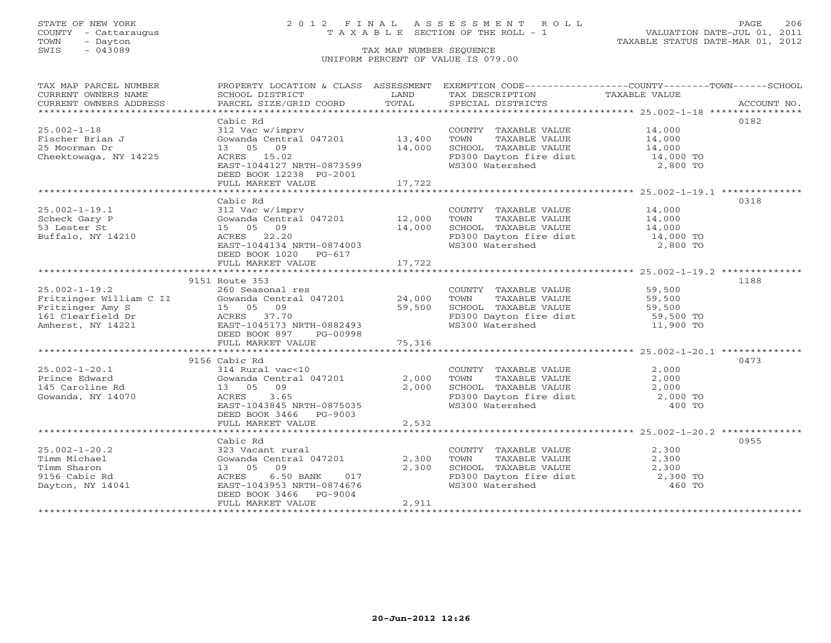### STATE OF NEW YORK 2 0 1 2 F I N A L A S S E S S M E N T R O L L PAGE 206 COUNTY - Cattaraugus T A X A B L E SECTION OF THE ROLL - 1 VALUATION DATE-JUL 01, 2011

| TAX MAP PARCEL NUMBER                                                                                                                                                                                                                                                                                                                                                                                                                                                                                                  | PROPERTY LOCATION & CLASS ASSESSMENT EXEMPTION CODE---------------COUNTY-------TOWN------SCHOOL |        |                                                                                                                                                             |                               |      |
|------------------------------------------------------------------------------------------------------------------------------------------------------------------------------------------------------------------------------------------------------------------------------------------------------------------------------------------------------------------------------------------------------------------------------------------------------------------------------------------------------------------------|-------------------------------------------------------------------------------------------------|--------|-------------------------------------------------------------------------------------------------------------------------------------------------------------|-------------------------------|------|
| CURRENT OWNERS NAME                                                                                                                                                                                                                                                                                                                                                                                                                                                                                                    | SCHOOL DISTRICT                                                                                 | LAND   | TAX DESCRIPTION TAXABLE VALUE                                                                                                                               |                               |      |
| $\begin{minipage}{.45\textwidth} \begin{minipage}{.45\textwidth} \begin{minipage}{.45\textwidth} \begin{minipage}{.45\textwidth} \begin{minipage}{.45\textwidth} \begin{minipage}{.45\textwidth} \begin{minipage}{.45\textwidth} \begin{minipage}{.45\textwidth} \begin{minipage}{.45\textwidth} \begin{minipage}{.45\textwidth} \begin{minipage}{.45\textwidth} \begin{minipage}{.45\textwidth} \begin{minipage}{.45\textwidth} \begin{minipage}{.45\textwidth} \begin{minipage}{.45\textwidth} \begin{minipage}{.45$ |                                                                                                 |        |                                                                                                                                                             |                               |      |
|                                                                                                                                                                                                                                                                                                                                                                                                                                                                                                                        |                                                                                                 |        |                                                                                                                                                             |                               |      |
|                                                                                                                                                                                                                                                                                                                                                                                                                                                                                                                        | Cabic Rd                                                                                        |        |                                                                                                                                                             |                               | 0182 |
| $25.002 - 1 - 18$                                                                                                                                                                                                                                                                                                                                                                                                                                                                                                      | 312 Vac w/imprv                                                                                 |        | COUNTY TAXABLE VALUE 14,000                                                                                                                                 |                               |      |
| Fischer Brian J                                                                                                                                                                                                                                                                                                                                                                                                                                                                                                        | Gowanda Central 047201 13,400                                                                   |        | TOWN TAXABLE VALUE 14,000<br>SCHOOL TAXABLE VALUE 14,000                                                                                                    |                               |      |
| 25 Moorman Dr                                                                                                                                                                                                                                                                                                                                                                                                                                                                                                          | 13 05 09                                                                                        | 14,000 |                                                                                                                                                             |                               |      |
| Cheektowaga, NY 14225                                                                                                                                                                                                                                                                                                                                                                                                                                                                                                  | ACRES 15.02                                                                                     |        | FD300 Dayton fire dist 14,000 TO                                                                                                                            |                               |      |
|                                                                                                                                                                                                                                                                                                                                                                                                                                                                                                                        | EAST-1044127 NRTH-0873599                                                                       |        | WS300 Watershed                                                                                                                                             | 2,800 TO                      |      |
|                                                                                                                                                                                                                                                                                                                                                                                                                                                                                                                        | DEED BOOK 12238 PG-2001                                                                         |        |                                                                                                                                                             |                               |      |
|                                                                                                                                                                                                                                                                                                                                                                                                                                                                                                                        | FULL MARKET VALUE                                                                               | 17,722 |                                                                                                                                                             |                               |      |
|                                                                                                                                                                                                                                                                                                                                                                                                                                                                                                                        |                                                                                                 |        |                                                                                                                                                             |                               |      |
|                                                                                                                                                                                                                                                                                                                                                                                                                                                                                                                        | Cabic Rd                                                                                        |        |                                                                                                                                                             |                               | 0318 |
| $25.002 - 1 - 19.1$                                                                                                                                                                                                                                                                                                                                                                                                                                                                                                    | 312 Vac w/imprv                                                                                 |        | COUNTY TAXABLE VALUE 14,000                                                                                                                                 |                               |      |
| Scheck Gary P                                                                                                                                                                                                                                                                                                                                                                                                                                                                                                          | Gowanda Central 047201 12,000<br>15 05 09 14,000                                                |        |                                                                                                                                                             |                               |      |
| 53 Lester St                                                                                                                                                                                                                                                                                                                                                                                                                                                                                                           |                                                                                                 |        |                                                                                                                                                             |                               |      |
| Buffalo, NY 14210                                                                                                                                                                                                                                                                                                                                                                                                                                                                                                      | ACRES 22.20                                                                                     |        | FD300 Dayton fire dist 14,000 TO<br>WS300 Watershed 2,800 TO                                                                                                |                               |      |
|                                                                                                                                                                                                                                                                                                                                                                                                                                                                                                                        | EAST-1044134 NRTH-0874003                                                                       |        | WS300 Watershed                                                                                                                                             |                               |      |
|                                                                                                                                                                                                                                                                                                                                                                                                                                                                                                                        | DEED BOOK 1020 PG-617                                                                           |        |                                                                                                                                                             |                               |      |
|                                                                                                                                                                                                                                                                                                                                                                                                                                                                                                                        | FULL MARKET VALUE                                                                               | 17,722 |                                                                                                                                                             |                               |      |
|                                                                                                                                                                                                                                                                                                                                                                                                                                                                                                                        |                                                                                                 |        |                                                                                                                                                             |                               |      |
|                                                                                                                                                                                                                                                                                                                                                                                                                                                                                                                        | 9151 Route 353                                                                                  |        |                                                                                                                                                             |                               | 1188 |
|                                                                                                                                                                                                                                                                                                                                                                                                                                                                                                                        |                                                                                                 |        | COUNTY TAXABLE VALUE 59,500                                                                                                                                 |                               |      |
|                                                                                                                                                                                                                                                                                                                                                                                                                                                                                                                        |                                                                                                 |        |                                                                                                                                                             |                               |      |
| 25.002-1-19.2<br>Fritzinger William C II (Soussex Contral 047201 24,000<br>Fritzinger Amy S 15 05 09 59,500<br>161 Clearfield Dr ACRES 37.70<br>Amherst, NY 14221 EAST-1045173 NRTH-0882493                                                                                                                                                                                                                                                                                                                            |                                                                                                 |        | COUNTY IRMAN-<br>TOWN TAXABLE VALUE<br>SCHOOL TAXABLE VALUE 59,500<br>FD300 Dayton fire dist 59,500 TO<br>11,900 TO                                         |                               |      |
|                                                                                                                                                                                                                                                                                                                                                                                                                                                                                                                        |                                                                                                 |        |                                                                                                                                                             |                               |      |
|                                                                                                                                                                                                                                                                                                                                                                                                                                                                                                                        |                                                                                                 |        |                                                                                                                                                             |                               |      |
|                                                                                                                                                                                                                                                                                                                                                                                                                                                                                                                        | DEED BOOK 897 PG-00998                                                                          | 75,316 |                                                                                                                                                             |                               |      |
|                                                                                                                                                                                                                                                                                                                                                                                                                                                                                                                        | FULL MARKET VALUE                                                                               |        |                                                                                                                                                             |                               |      |
|                                                                                                                                                                                                                                                                                                                                                                                                                                                                                                                        |                                                                                                 |        |                                                                                                                                                             |                               |      |
| $25.002 - 1 - 20.1$                                                                                                                                                                                                                                                                                                                                                                                                                                                                                                    | 9156 Cabic Rd                                                                                   |        |                                                                                                                                                             |                               | 0473 |
|                                                                                                                                                                                                                                                                                                                                                                                                                                                                                                                        |                                                                                                 |        |                                                                                                                                                             |                               |      |
| Prince Edward<br>145 Caroline Rd                                                                                                                                                                                                                                                                                                                                                                                                                                                                                       |                                                                                                 |        |                                                                                                                                                             |                               |      |
| Gowanda, NY 14070                                                                                                                                                                                                                                                                                                                                                                                                                                                                                                      |                                                                                                 |        |                                                                                                                                                             |                               |      |
|                                                                                                                                                                                                                                                                                                                                                                                                                                                                                                                        | EAST-1043845 NRTH-0875035                                                                       |        | COUNTY TAXABLE VALUE $2,000$<br>TOWN TAXABLE VALUE $2,000$<br>SCHOOL TAXABLE VALUE $2,000$<br>FD300 Dayton fire dist $2,000$ TO<br>WS300 Watershed $400$ TO |                               |      |
|                                                                                                                                                                                                                                                                                                                                                                                                                                                                                                                        | DEED BOOK 3466 PG-9003                                                                          |        |                                                                                                                                                             |                               |      |
|                                                                                                                                                                                                                                                                                                                                                                                                                                                                                                                        | FULL MARKET VALUE                                                                               | 2,532  |                                                                                                                                                             |                               |      |
|                                                                                                                                                                                                                                                                                                                                                                                                                                                                                                                        |                                                                                                 |        |                                                                                                                                                             |                               |      |
|                                                                                                                                                                                                                                                                                                                                                                                                                                                                                                                        | Cabic Rd                                                                                        |        |                                                                                                                                                             |                               | 0955 |
| $25.002 - 1 - 20.2$                                                                                                                                                                                                                                                                                                                                                                                                                                                                                                    | 323 Vacant rural                                                                                |        |                                                                                                                                                             |                               |      |
| Timm Michael                                                                                                                                                                                                                                                                                                                                                                                                                                                                                                           | Gowanda Central 047201                                                                          | 2,300  | COUNTY TAXABLE VALUE<br>TOWN      TAXABLE VALUE                                                                                                             | $\frac{2}{2}$ , 300<br>2, 300 |      |
| Timm Sharon                                                                                                                                                                                                                                                                                                                                                                                                                                                                                                            | 13 05 09                                                                                        | 2,300  |                                                                                                                                                             |                               |      |
| 9156 Cabic Rd                                                                                                                                                                                                                                                                                                                                                                                                                                                                                                          | 6.50 BANK 017<br>ACRES                                                                          |        | SCHOOL TAXABLE VALUE 2,300<br>FD300 Dayton fire dist 2,300 TO<br>WS300 Watershed 460 TO                                                                     |                               |      |
| Dayton, NY 14041                                                                                                                                                                                                                                                                                                                                                                                                                                                                                                       | EAST-1043953 NRTH-0874676                                                                       |        | WS300 Watershed                                                                                                                                             |                               |      |
|                                                                                                                                                                                                                                                                                                                                                                                                                                                                                                                        | DEED BOOK 3466 PG-9004                                                                          |        |                                                                                                                                                             |                               |      |
|                                                                                                                                                                                                                                                                                                                                                                                                                                                                                                                        | FULL MARKET VALUE                                                                               | 2,911  |                                                                                                                                                             |                               |      |
|                                                                                                                                                                                                                                                                                                                                                                                                                                                                                                                        |                                                                                                 |        |                                                                                                                                                             |                               |      |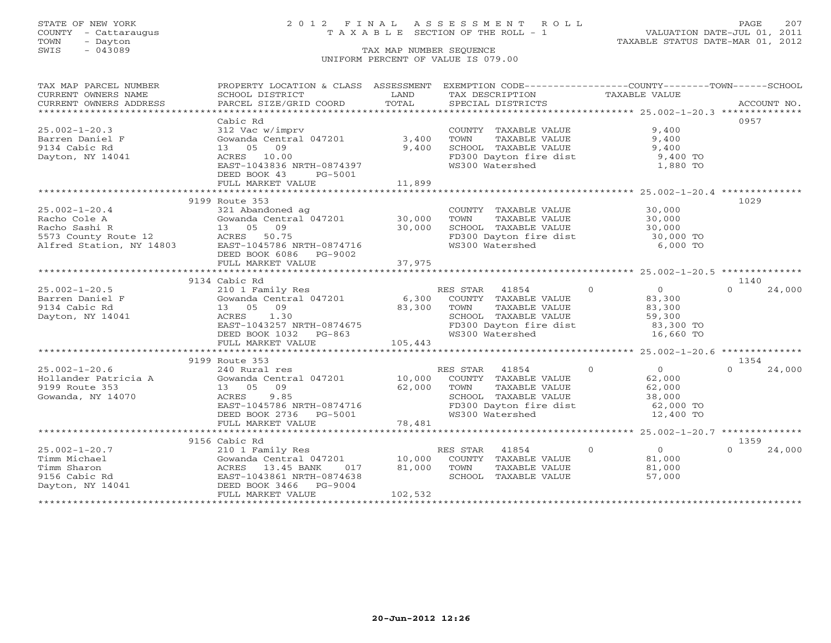TOWN - Dayton TAXABLE STATUS DATE-MAR 01, 2012 TOWN - Dayton - 2007<br>
SWIS - 043089 TAX MAP NUMBER SEQUENCE

## STATE OF NEW YORK 2 0 1 2 F I N A L A S S E S S M E N T R O L L PAGE 207 COUNTY - Cattaraugus T A X A B L E SECTION OF THE ROLL - 1 VALUATION DATE-JUL 01, 2011

### UNIFORM PERCENT OF VALUE IS 079.00

| TAX MAP PARCEL NUMBER                  | PROPERTY LOCATION & CLASS ASSESSMENT EXEMPTION CODE----------------COUNTY-------TOWN------SCHOOL                                                      |                     |                                                                                                                                                                     |                                                  |                    |
|----------------------------------------|-------------------------------------------------------------------------------------------------------------------------------------------------------|---------------------|---------------------------------------------------------------------------------------------------------------------------------------------------------------------|--------------------------------------------------|--------------------|
| CURRENT OWNERS NAME                    | SCHOOL DISTRICT                                                                                                                                       | LAND                | TAX DESCRIPTION TAXABLE VALUE                                                                                                                                       |                                                  |                    |
| CURRENT OWNERS ADDRESS                 |                                                                                                                                                       |                     |                                                                                                                                                                     |                                                  |                    |
|                                        |                                                                                                                                                       |                     |                                                                                                                                                                     |                                                  | 0957               |
| $25.002 - 1 - 20.3$                    | Cabic Rd<br>312 Vac w/imprv                                                                                                                           |                     | COUNTY TAXABLE VALUE                                                                                                                                                | 9,400                                            |                    |
| Barren Daniel F                        | Gowanda Central 047201 3,400                                                                                                                          |                     | TOWN<br>TAXABLE VALUE                                                                                                                                               | 9,400                                            |                    |
| 9134 Cabic Rd                          | 13 05 09                                                                                                                                              | 9,400               | SCHOOL TAXABLE VALUE                                                                                                                                                | 9,400                                            |                    |
| Dayton, NY 14041                       | ACRES 10.00                                                                                                                                           |                     | FD300 Dayton fire dist 9,400 TO                                                                                                                                     |                                                  |                    |
|                                        | EAST-1043836 NRTH-0874397                                                                                                                             |                     | WS300 Watershed                                                                                                                                                     | 1,880 TO                                         |                    |
|                                        | DEED BOOK 43<br>PG-5001                                                                                                                               |                     |                                                                                                                                                                     |                                                  |                    |
|                                        | FULL MARKET VALUE                                                                                                                                     | 11,899              |                                                                                                                                                                     |                                                  |                    |
|                                        |                                                                                                                                                       |                     |                                                                                                                                                                     |                                                  |                    |
|                                        | 9199 Route 353                                                                                                                                        |                     |                                                                                                                                                                     |                                                  | 1029               |
| $25.002 - 1 - 20.4$                    | 321 Abandoned ag                                                                                                                                      |                     | COUNTY TAXABLE VALUE 30,000                                                                                                                                         |                                                  |                    |
|                                        | Gowanda Central 047201 30,000                                                                                                                         |                     | TOWN                                                                                                                                                                | TAXABLE VALUE 30,000                             |                    |
|                                        | 30,000                                                                                                                                                |                     | SCHOOL TAXABLE VALUE $30,000$<br>FD300 Dayton fire dist $30,000$ TO<br>WS300 Watershed 6,000 TO                                                                     |                                                  |                    |
|                                        |                                                                                                                                                       |                     |                                                                                                                                                                     |                                                  |                    |
| Alfred Station, NY 14803               | EAST-1045786 NRTH-0874716                                                                                                                             |                     |                                                                                                                                                                     |                                                  |                    |
|                                        | DEED BOOK 6086    PG-9002                                                                                                                             |                     |                                                                                                                                                                     |                                                  |                    |
|                                        |                                                                                                                                                       |                     |                                                                                                                                                                     |                                                  |                    |
|                                        |                                                                                                                                                       |                     |                                                                                                                                                                     |                                                  |                    |
|                                        | 9134 Cabic Rd                                                                                                                                         |                     |                                                                                                                                                                     | $\begin{array}{c} 0 \\ 83 \quad 200 \end{array}$ | 1140               |
| $25.002 - 1 - 20.5$                    |                                                                                                                                                       |                     | $\overline{0}$                                                                                                                                                      |                                                  | $\Omega$<br>24,000 |
| Barren Daniel F                        | 210 1 Family Res<br>Cowanda Central 047201 6,300 COUNTY TAXABLE VALUE<br>13 05 09 83,300 TOWN TAXABLE VALUE<br>ACRES 1.30 5 2010 SCHOOL TAXABLE VALUE |                     |                                                                                                                                                                     |                                                  |                    |
| 9134 Cabic Rd<br>Dayton, NY 14041      |                                                                                                                                                       |                     | SCHOOL TAXABLE VALUE                                                                                                                                                | TAXABLE VALUE 83,300<br>TAXABLE VALUE 59,300     |                    |
|                                        |                                                                                                                                                       |                     | FD300 Dayton fire dist 83,300 TO                                                                                                                                    |                                                  |                    |
|                                        | ACAES<br>EAST-1043257 NRTH-0874675<br>DEED BOOK 1032 PG-863<br>DEED BOOK 1032 PG-863                                                                  |                     | WS300 Watershed                                                                                                                                                     | 16,660 TO                                        |                    |
|                                        | FULL MARKET VALUE                                                                                                                                     | 105,443             |                                                                                                                                                                     |                                                  |                    |
|                                        |                                                                                                                                                       |                     |                                                                                                                                                                     |                                                  |                    |
|                                        | 9199 Route 353                                                                                                                                        |                     |                                                                                                                                                                     |                                                  | 1354               |
| $25.002 - 1 - 20.6$                    | 240 Rural res                                                                                                                                         |                     | $\overline{0}$<br>RES STAR 41854                                                                                                                                    | $\overline{O}$                                   | $\Omega$<br>24,000 |
| Hollander Patricia A<br>9199 Route 353 | Gowanda Central 047201 10,000                                                                                                                         |                     | COUNTY TAXABLE VALUE                                                                                                                                                | 62,000                                           |                    |
| 9199 Route 353                         | 13 05 09                                                                                                                                              | 62,000              | TAXABLE VALUE<br>TOWN                                                                                                                                               | 62,000                                           |                    |
| Gowanda, NY 14070                      | 9.85<br>ACRES                                                                                                                                         |                     | SCHOOL TAXABLE VALUE $\begin{array}{ccc} 38,000 \\ \text{FD300\;Dayton \; fire \; dist} \end{array}$ $\begin{array}{ccc} 38,000 \\ 62,000 \; \text{TO} \end{array}$ |                                                  |                    |
|                                        | AUKES 9.85<br>EAST-1045786 NRTH-0874716<br>EAST-0637 SECS                                                                                             |                     |                                                                                                                                                                     |                                                  |                    |
|                                        | DEED BOOK 2736    PG-5001                                                                                                                             | $3 - 5001$ $78,481$ |                                                                                                                                                                     |                                                  |                    |
|                                        | FULL MARKET VALUE                                                                                                                                     |                     |                                                                                                                                                                     |                                                  |                    |
|                                        |                                                                                                                                                       |                     |                                                                                                                                                                     |                                                  |                    |
|                                        | 9156 Cabic Rd                                                                                                                                         |                     |                                                                                                                                                                     |                                                  | 1359               |
| $25.002 - 1 - 20.7$                    | 210 1 Family Res                                                                                                                                      |                     | 41854<br>RES STAR                                                                                                                                                   | $\begin{matrix} 0 & 0 \\ 0 & 0 \end{matrix}$     | $\Omega$<br>24,000 |
| Timm Michael<br>Gowand<br>ACRES        | Gowanda Central 047201 10,000 COUNTY TAXABLE VALUE<br>ACRES 13.45 BANK 017 81,000 TOWN TAXABLE VALUE                                                  |                     |                                                                                                                                                                     | 81,000<br>81,000                                 |                    |
| Timm Sharon                            |                                                                                                                                                       |                     |                                                                                                                                                                     |                                                  |                    |
| $\overline{1}$<br>9156 Cabic Rd        | EAST-1043861 NRTH-0874638                                                                                                                             |                     | SCHOOL TAXABLE VALUE                                                                                                                                                | 57,000                                           |                    |
| Dayton, NY 14041                       | DEED BOOK 3466 PG-9004<br>FULL MARKET VALUE                                                                                                           | 102,532             |                                                                                                                                                                     |                                                  |                    |
|                                        |                                                                                                                                                       |                     |                                                                                                                                                                     |                                                  |                    |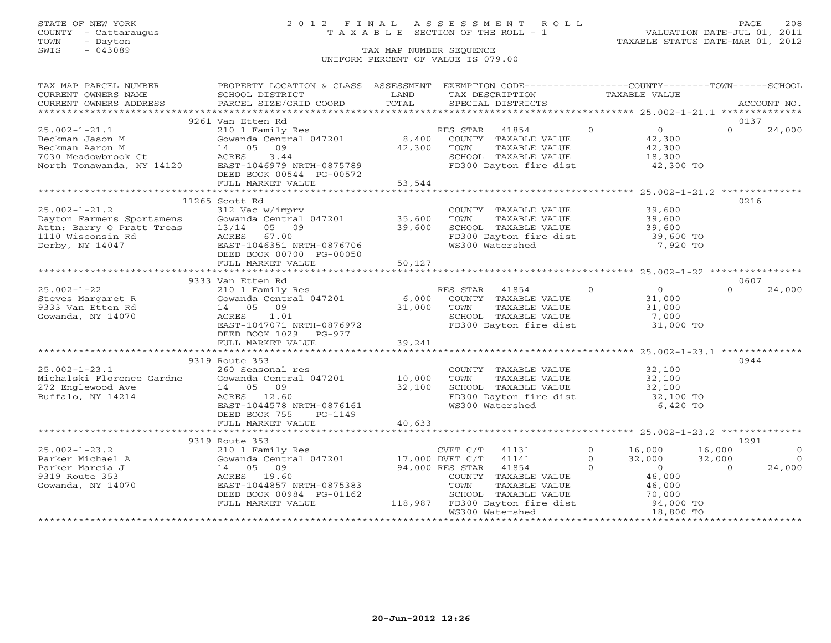### STATE OF NEW YORK 2 0 1 2 F I N A L A S S E S S M E N T R O L L PAGE 208 COUNTY - Cattaraugus T A X A B L E SECTION OF THE ROLL - 1 VALUATION DATE-JUL 01, 2011

TOWN - Dayton TAXABLE STATUS DATE-MAR 01, 2012

| TAX MAP PARCEL NUMBER                                                                                                                                      | PROPERTY LOCATION & CLASS ASSESSMENT                               |        | EXEMPTION CODE-----------------COUNTY-------TOWN------SCHOOL |               |                     |          |                |
|------------------------------------------------------------------------------------------------------------------------------------------------------------|--------------------------------------------------------------------|--------|--------------------------------------------------------------|---------------|---------------------|----------|----------------|
| CURRENT OWNERS NAME                                                                                                                                        | SCHOOL DISTRICT                                                    | LAND   | TAX DESCRIPTION                                              | TAXABLE VALUE |                     |          |                |
| CURRENT OWNERS ADDRESS                                                                                                                                     | PARCEL SIZE/GRID COORD                                             | TOTAL  | SPECIAL DISTRICTS                                            |               |                     |          | ACCOUNT NO.    |
|                                                                                                                                                            |                                                                    |        |                                                              |               |                     |          |                |
|                                                                                                                                                            | 9261 Van Etten Rd                                                  |        |                                                              |               |                     | 0137     |                |
| $25.002 - 1 - 21.1$                                                                                                                                        | 210 1 Family Res                                                   |        | 41854<br>RES STAR                                            | $\Omega$      | $0 \qquad \qquad$   | $\Omega$ | 24,000         |
| Beckman Jason M                                                                                                                                            | Gowanda Central 047201                                             | 8,400  | COUNTY TAXABLE VALUE                                         |               | 42,300              |          |                |
| Beckman Aaron M                                                                                                                                            | 14 05 09                                                           | 42,300 | TOWN<br>TAXABLE VALUE                                        |               | 42,300              |          |                |
| 7030 Meadowbrook Ct                                                                                                                                        | 3.44<br>ACRES                                                      |        | SCHOOL TAXABLE VALUE                                         |               | 18,300              |          |                |
| North Tonawanda, NY 14120                                                                                                                                  | EAST-1046979 NRTH-0875789                                          |        | FD300 Dayton fire dist 42,300 TO                             |               |                     |          |                |
|                                                                                                                                                            | DEED BOOK 00544 PG-00572                                           |        |                                                              |               |                     |          |                |
|                                                                                                                                                            | FULL MARKET VALUE                                                  | 53,544 |                                                              |               |                     |          |                |
|                                                                                                                                                            |                                                                    |        |                                                              |               |                     |          |                |
|                                                                                                                                                            | 11265 Scott Rd                                                     |        |                                                              |               |                     | 0216     |                |
| $25.002 - 1 - 21.2$                                                                                                                                        | 312 Vac w/imprv                                                    |        | COUNTY TAXABLE VALUE                                         |               | 39,600              |          |                |
| Dayton Farmers Sportsmens<br>Attn: Barry O Pratt Treas<br>13/14 05 09 39,600<br>1110 Wisconsin Rd ACRES 67.00<br>Derby, NY 14047 EAST-1046351 NRTH-0876706 |                                                                    |        | TAXABLE VALUE 39,600<br>TOWN                                 |               |                     |          |                |
|                                                                                                                                                            |                                                                    |        | SCHOOL TAXABLE VALUE                                         |               | 39,600              |          |                |
|                                                                                                                                                            |                                                                    |        | FD300 Dayton fire dist 39,600 TO                             |               |                     |          |                |
|                                                                                                                                                            |                                                                    |        | WS300 Watershed                                              |               | 7,920 TO            |          |                |
|                                                                                                                                                            | DEED BOOK 00700 PG-00050                                           |        |                                                              |               |                     |          |                |
|                                                                                                                                                            | FULL MARKET VALUE                                                  | 50,127 |                                                              |               |                     |          |                |
|                                                                                                                                                            |                                                                    |        |                                                              |               |                     |          |                |
|                                                                                                                                                            | 9333 Van Etten Rd                                                  |        |                                                              |               |                     | 0607     |                |
| $25.002 - 1 - 22$                                                                                                                                          | 210 1 Family Res                                                   |        | RES STAR<br>41854                                            | $\Omega$      | $0 \qquad \qquad$   | $\Omega$ | 24,000         |
| Steves Margaret R                                                                                                                                          | Gowanda Central 047201 6,000                                       |        | COUNTY TAXABLE VALUE                                         |               | 31,000              |          |                |
| 9333 Van Etten Rd                                                                                                                                          | 14 05 09                                                           | 31,000 | TOWN<br>TAXABLE VALUE                                        |               | 31,000              |          |                |
| Gowanda, NY 14070                                                                                                                                          | 1.01<br>ACRES                                                      |        | SCHOOL TAXABLE VALUE                                         |               | 7,000               |          |                |
|                                                                                                                                                            | EAST-1047071 NRTH-0876972                                          |        | FD300 Dayton fire dist                                       |               | 31,000 TO           |          |                |
|                                                                                                                                                            | DEED BOOK 1029 PG-977                                              |        |                                                              |               |                     |          |                |
|                                                                                                                                                            | FULL MARKET VALUE                                                  | 39,241 |                                                              |               |                     |          |                |
|                                                                                                                                                            |                                                                    |        |                                                              |               |                     |          |                |
|                                                                                                                                                            | 9319 Route 353                                                     |        |                                                              |               |                     | 0944     |                |
| $25.002 - 1 - 23.1$                                                                                                                                        | 260 Seasonal res                                                   |        | COUNTY TAXABLE VALUE                                         |               | 32,100              |          |                |
| Michalski Florence Gardne                                                                                                                                  | Gowanda Central 047201 10,000                                      |        | TOWN<br>TAXABLE VALUE                                        |               | 32,100              |          |                |
|                                                                                                                                                            |                                                                    | 32,100 | SCHOOL TAXABLE VALUE                                         |               | 32,100              |          |                |
| Buffalo, NY 14214                                                                                                                                          | ACRES 12.60                                                        |        | SCHOOL TAXABLE VALUE<br>FD300 Dayton fire dist               |               | 32,100 TO           |          |                |
|                                                                                                                                                            | EAST-1044578 NRTH-0876161                                          |        | WS300 Watershed                                              |               | 6,420 TO            |          |                |
|                                                                                                                                                            | DEED BOOK 755<br>PG-1149                                           |        |                                                              |               |                     |          |                |
|                                                                                                                                                            | FULL MARKET VALUE                                                  | 40,633 |                                                              |               |                     |          |                |
|                                                                                                                                                            |                                                                    |        |                                                              |               |                     |          |                |
|                                                                                                                                                            | 9319 Route 353                                                     |        |                                                              |               |                     | 1291     |                |
| $25.002 - 1 - 23.2$                                                                                                                                        | 210 1 Family Res                                                   |        | CVET C/T<br>41131                                            | $0 \t 16,000$ | 16,000              |          | $\overline{0}$ |
| Parker Michael A                                                                                                                                           | Gowanda Central 047201 17,000 DVET C/T<br>14 05 09 94,000 RES STAR |        | 41141                                                        | $\Omega$      | 32,000<br>32,000    |          | $\bigcirc$     |
| Parker Marcia J                                                                                                                                            |                                                                    |        | 41854                                                        | $\Omega$      | $\sim$ 0            | $\Omega$ | 24,000         |
| 9319 Route 353                                                                                                                                             | ACRES 19.60                                                        |        | COUNTY TAXABLE VALUE                                         |               |                     |          |                |
| Gowanda, NY 14070                                                                                                                                          | EAST-1044857 NRTH-0875383                                          |        | TOWN<br>TAXABLE VALUE                                        |               | 46,000<br>46,000    |          |                |
|                                                                                                                                                            | DEED BOOK 00984 PG-01162                                           |        | SCHOOL TAXABLE VALUE                                         |               |                     |          |                |
|                                                                                                                                                            | FULL MARKET VALUE                                                  |        | 118,987 FD300 Dayton fire dist                               |               | 70,000<br>94,000 TO |          |                |
|                                                                                                                                                            |                                                                    |        | WS300 Watershed                                              |               | 18,800 TO           |          |                |
|                                                                                                                                                            |                                                                    |        |                                                              |               |                     |          |                |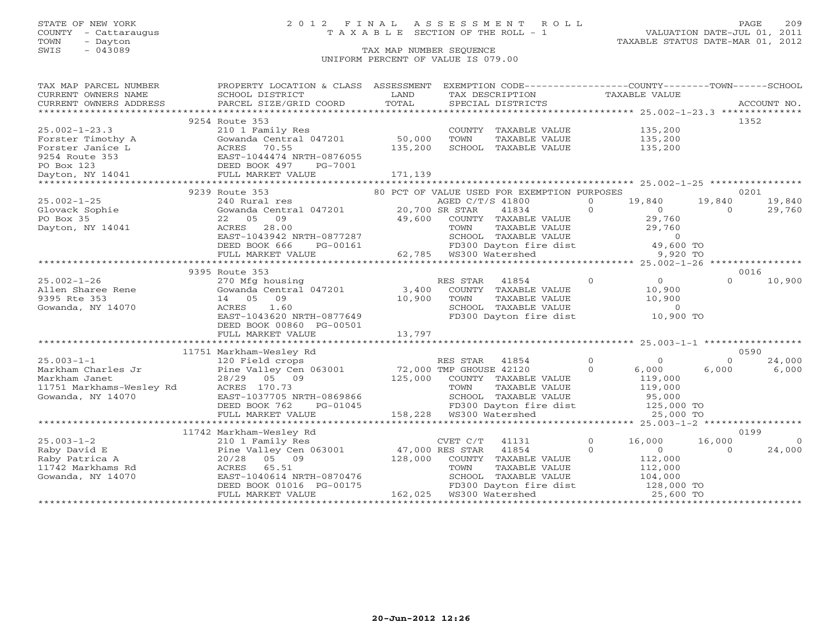### STATE OF NEW YORK 2 0 1 2 F I N A L A S S E S S M E N T R O L L PAGE 209 COUNTY - Cattaraugus T A X A B L E SECTION OF THE ROLL - 1 VALUATION DATE-JUL 01, 2011

| TAX MAP PARCEL NUMBER                                        | PROPERTY LOCATION & CLASS ASSESSMENT                                                                                                                                                           |                 | EXEMPTION CODE----------------COUNTY-------TOWN------SCHOOL                                                              |                                            |                          |
|--------------------------------------------------------------|------------------------------------------------------------------------------------------------------------------------------------------------------------------------------------------------|-----------------|--------------------------------------------------------------------------------------------------------------------------|--------------------------------------------|--------------------------|
| CURRENT OWNERS NAME                                          | SCHOOL DISTRICT                                                                                                                                                                                | LAND            | TAX DESCRIPTION                                                                                                          | TAXABLE VALUE                              |                          |
| CURRENT OWNERS ADDRESS                                       | PARCEL SIZE/GRID COORD                                                                                                                                                                         | TOTAL           | SPECIAL DISTRICTS                                                                                                        |                                            | ACCOUNT NO.              |
|                                                              |                                                                                                                                                                                                |                 |                                                                                                                          |                                            |                          |
|                                                              | 9254 Route 353                                                                                                                                                                                 |                 |                                                                                                                          |                                            | 1352                     |
| $25.002 - 1 - 23.3$                                          | 210 1 Family Res                                                                                                                                                                               |                 | COUNTY TAXABLE VALUE 135,200                                                                                             |                                            |                          |
|                                                              | Gowanda Central 047201 50,000                                                                                                                                                                  |                 | TOWN<br>TAXABLE VALUE                                                                                                    | 135,200                                    |                          |
|                                                              |                                                                                                                                                                                                | 135,200         | SCHOOL TAXABLE VALUE                                                                                                     | 135,200                                    |                          |
|                                                              |                                                                                                                                                                                                |                 |                                                                                                                          |                                            |                          |
|                                                              | Forster Timothy A Gowanda Central 047201<br>Forster Janice L ACRES 70.55<br>9254 Route 353 EAST-1044474 NRTH-0876055<br>PO Box 123 DEED BOOK 497 PG-7001<br>Dayton, NY 14041 FULL MARKET VALUE |                 |                                                                                                                          |                                            |                          |
|                                                              |                                                                                                                                                                                                | 171,139         |                                                                                                                          |                                            |                          |
|                                                              |                                                                                                                                                                                                |                 |                                                                                                                          |                                            |                          |
|                                                              | 9239 Route 353                                                                                                                                                                                 |                 | 80 PCT OF VALUE USED FOR EXEMPTION PURPOSES                                                                              |                                            | 0201                     |
| $25.002 - 1 - 25$                                            | 240 Rural res                                                                                                                                                                                  |                 | AGED C/T/S 41800                                                                                                         | 19,840<br>$\circ$                          | 19,840<br>19,840         |
| Glovack Sophie                                               | 240 Kurai 1es<br>Gowanda Central 047201 20,700 SR STAR<br>22 05 09 49,600 COUNTY                                                                                                               |                 | $\overline{0}$<br>41834                                                                                                  | $\begin{array}{c} 0 \\ 29,760 \end{array}$ | 29,760<br>$\Omega$       |
| PO Box 35                                                    |                                                                                                                                                                                                |                 | COUNTY TAXABLE VALUE                                                                                                     |                                            |                          |
| Dayton, NY 14041                                             | ACRES 28.00<br>ACRES 28.00<br>EAST-1043942 NRTH-0877287                                                                                                                                        |                 |                                                                                                                          |                                            |                          |
|                                                              |                                                                                                                                                                                                |                 |                                                                                                                          |                                            |                          |
|                                                              |                                                                                                                                                                                                |                 | TOWN TAXABLE VALUE 29,760<br>SCHOOL TAXABLE VALUE 29,760<br>FD300 Dayton fire dist 49,600 TO<br>WS300 Watershed 9,920 TO |                                            |                          |
|                                                              |                                                                                                                                                                                                |                 |                                                                                                                          |                                            |                          |
|                                                              |                                                                                                                                                                                                |                 |                                                                                                                          |                                            |                          |
|                                                              | 9395 Route 353                                                                                                                                                                                 |                 |                                                                                                                          | $\overline{0}$<br>$\Omega$                 | 0016<br>$\Omega$         |
| $25.002 - 1 - 26$                                            | 270 Mfg housing                                                                                                                                                                                |                 | RES STAR<br>41854                                                                                                        |                                            | 10,900                   |
| Allen Sharee Rene                                            | Gowanda Central 047201                                                                                                                                                                         | 3,400           | COUNTY TAXABLE VALUE                                                                                                     | 10,900<br>10,900                           |                          |
| 9395 Rte 353                                                 | 14 05 09                                                                                                                                                                                       | 10,900          | TOWN<br>TAXABLE VALUE                                                                                                    | 10,900                                     |                          |
| Gowanda, NY 14070                                            | ACRES<br>1.60<br>ACRES 1.60<br>EAST-1043620 NRTH-0877649                                                                                                                                       |                 | SCHOOL TAXABLE VALUE<br>FD300 Dayton fire dist 10,900 TO                                                                 |                                            |                          |
|                                                              |                                                                                                                                                                                                |                 |                                                                                                                          |                                            |                          |
|                                                              | DEED BOOK 00860 PG-00501                                                                                                                                                                       |                 |                                                                                                                          |                                            |                          |
|                                                              |                                                                                                                                                                                                |                 |                                                                                                                          |                                            |                          |
|                                                              | 11751 Markham-Wesley Rd                                                                                                                                                                        |                 |                                                                                                                          |                                            | 0590                     |
| $25.003 - 1 - 1$                                             | 120 Field crops                                                                                                                                                                                |                 | RES STAR<br>41854                                                                                                        | $\overline{0}$<br>$\Omega$                 | 24,000<br>$\Omega$       |
| Markham Charles Jr                                           |                                                                                                                                                                                                |                 | 72,000 TMP GHOUSE 42120                                                                                                  | $\Omega$<br>6,000                          | 6,000<br>6,000           |
| Markham Janet                                                | Pine Valley Cen 063001<br>28/29 05 09                                                                                                                                                          | 125,000         | COUNTY TAXABLE VALUE                                                                                                     | 119,000                                    |                          |
|                                                              |                                                                                                                                                                                                |                 | TOWN<br>TAXABLE VALUE                                                                                                    |                                            |                          |
| 11751 Markhams-Wesley Rd<br>CRES 170.73<br>Gowanda, NY 14070 | EAST-1037705 NRTH-0869866                                                                                                                                                                      |                 | SCHOOL TAXABLE VALUE                                                                                                     | 119,000<br>95,000                          |                          |
|                                                              | DEED BOOK 762<br>PG-01045                                                                                                                                                                      |                 | FD300 Dayton fire dist 125,000 TO                                                                                        |                                            |                          |
|                                                              | FULL MARKET VALUE                                                                                                                                                                              |                 |                                                                                                                          | 25,000 TO                                  |                          |
|                                                              |                                                                                                                                                                                                |                 |                                                                                                                          |                                            |                          |
|                                                              | 11742 Markham-Wesley Rd                                                                                                                                                                        |                 |                                                                                                                          |                                            | 0199                     |
| $25.003 - 1 - 2$                                             | 210 1 Family Res                                                                                                                                                                               |                 | CVET $C/T$ 41131                                                                                                         | $\overline{0}$<br>16,000                   | 16,000<br>$\overline{0}$ |
| Raby David E                                                 | Pine Valley Cen 063001                                                                                                                                                                         | 47,000 RES STAR | 41854                                                                                                                    | $\Omega$<br>$\overline{0}$                 | 24,000<br>$\Omega$       |
| Raby Patrica A                                               | 20/28 05 09                                                                                                                                                                                    | 128,000         | COUNTY TAXABLE VALUE                                                                                                     | 112,000                                    |                          |
| 11742 Markhams Rd                                            | ACRES 65.51                                                                                                                                                                                    |                 | TOWN<br>TAXABLE VALUE                                                                                                    | 112,000                                    |                          |
| Gowanda, NY 14070                                            | EAST-1040614 NRTH-0870476                                                                                                                                                                      |                 |                                                                                                                          |                                            |                          |
|                                                              | DEED BOOK 01016 PG-00175                                                                                                                                                                       |                 |                                                                                                                          |                                            |                          |
|                                                              | FULL MARKET VALUE                                                                                                                                                                              |                 |                                                                                                                          |                                            |                          |
|                                                              |                                                                                                                                                                                                |                 |                                                                                                                          |                                            |                          |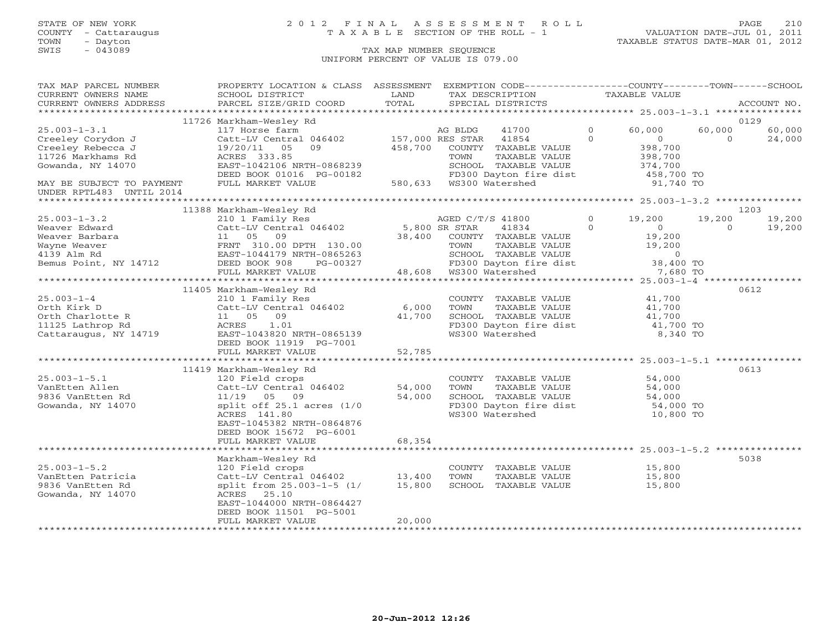### STATE OF NEW YORK 2 0 1 2 F I N A L A S S E S S M E N T R O L L PAGE 210 COUNTY - Cattaraugus T A X A B L E SECTION OF THE ROLL - 1 VALUATION DATE-JUL 01, 2011

| TAX MAP PARCEL NUMBER               | PROPERTY LOCATION & CLASS ASSESSMENT               |               | EXEMPTION CODE-----------------COUNTY-------TOWN------SCHOOL |                            |                                                     |             |
|-------------------------------------|----------------------------------------------------|---------------|--------------------------------------------------------------|----------------------------|-----------------------------------------------------|-------------|
| CURRENT OWNERS NAME                 | SCHOOL DISTRICT                                    | LAND          | TAX DESCRIPTION                                              | TAXABLE VALUE              |                                                     |             |
| CURRENT OWNERS ADDRESS              | PARCEL SIZE/GRID COORD                             | TOTAL         | SPECIAL DISTRICTS                                            |                            |                                                     | ACCOUNT NO. |
|                                     |                                                    |               |                                                              |                            |                                                     |             |
|                                     | 11726 Markham-Wesley Rd                            |               |                                                              |                            |                                                     | 0129        |
| $25.003 - 1 - 3.1$                  | 117 Horse farm                                     |               | 41700<br>AG BLDG                                             | $\Omega$<br>60,000         | 60,000                                              | 60,000      |
| Creeley Corydon J                   | Catt-LV Central 046402                             |               | 157,000 RES STAR 41854                                       | $\Omega$                   | $\overline{0}$<br>$\Omega$                          | 24,000      |
| Creeley Rebecca J                   | 05<br>09<br>19/20/11                               | 458,700       | COUNTY TAXABLE VALUE                                         | 398,700<br>398,700         | 398,700                                             |             |
| 11726 Markhams Rd                   | ACRES 333.85                                       |               | TOWN<br>TAXABLE VALUE                                        |                            |                                                     |             |
| Gowanda, NY 14070                   | EAST-1042106 NRTH-0868239                          |               | SCHOOL TAXABLE VALUE                                         |                            | 374,700                                             |             |
|                                     | DEED BOOK 01016 PG-00182                           |               | FD300 Dayton fire dist                                       |                            | 458,700 TO                                          |             |
| MAY BE SUBJECT TO PAYMENT           | FULL MARKET VALUE                                  |               |                                                              |                            | 91,740 TO                                           |             |
| UNDER RPTL483 UNTIL 2014            |                                                    |               |                                                              |                            |                                                     |             |
|                                     | 11388 Markham-Wesley Rd                            |               |                                                              |                            |                                                     | 1203        |
| $25.003 - 1 - 3.2$                  | 210 1 Family Res                                   |               | AGED C/T/S 41800                                             | $\circ$<br>19,200          | 19,200                                              | 19,200      |
| Weaver Edward                       | Catt-LV Central 046402 5,800 SR STAR               |               | 41834                                                        | $\Omega$<br>$\overline{0}$ | $\Omega$                                            | 19,200      |
| Weaver Barbara                      | 11  05  09                                         |               | 38,400 COUNTY TAXABLE VALUE                                  |                            | 19,200                                              |             |
| Wayne Weaver                        | FRNT 310.00 DPTH 130.00                            |               | TAXABLE VALUE<br>TOWN                                        |                            | 19,200                                              |             |
| 4139 Alm Rd                         | EAST-1044179 NRTH-0865263                          |               |                                                              |                            |                                                     |             |
| Bemus Point, NY 14712 DEED BOOK 908 | PG-00327                                           |               | SCHOOL TAXABLE VALUE 0<br>FD300 Dayton fire dist 38,400 TO   |                            |                                                     |             |
|                                     | FULL MARKET VALUE                                  |               | 48,608 WS300 Watershed                                       |                            | 7,680 TO                                            |             |
|                                     |                                                    |               |                                                              |                            |                                                     |             |
|                                     | 11405 Markham-Wesley Rd                            |               |                                                              |                            |                                                     | 0612        |
| $25.003 - 1 - 4$                    | 210 1 Family Res                                   |               | COUNTY TAXABLE VALUE                                         |                            | 41,700                                              |             |
| Orth Kirk D                         | Catt-LV Central 046402                             | 6,000         | TOWN<br>TAXABLE VALUE                                        |                            | 41,700                                              |             |
| Orth Charlotte R                    | 11  05  09                                         | 41,700        |                                                              |                            |                                                     |             |
| 11125 Lathrop Rd                    | 1.01<br>ACRES                                      |               | SCHOOL TAXABLE VALUE<br>FD300 Dayton fire dist               |                            | 41,700<br>41,700 TO                                 |             |
| Cattaraugus, NY 14719               | EAST-1043820 NRTH-0865139                          |               | WS300 Watershed                                              |                            | 8,340 TO                                            |             |
|                                     | DEED BOOK 11919 PG-7001                            |               |                                                              |                            |                                                     |             |
|                                     | FULL MARKET VALUE                                  | 52,785        |                                                              |                            |                                                     |             |
|                                     |                                                    |               |                                                              |                            |                                                     |             |
|                                     | 11419 Markham-Wesley Rd                            |               |                                                              |                            |                                                     | 0613        |
| $25.003 - 1 - 5.1$                  | 120 Field crops                                    |               | COUNTY TAXABLE VALUE                                         |                            | 54,000                                              |             |
| VanEtten Allen                      | Catt-LV Central 046402                             | 54,000        | TAXABLE VALUE<br>TOWN                                        |                            | 54,000                                              |             |
| 9836 VanEtten Rd                    | 11/19 05 09                                        | 54,000        | SCHOOL TAXABLE VALUE                                         |                            |                                                     |             |
| Gowanda, NY 14070                   | split off $25.1$ acres $(1/0)$                     |               | FD300 Dayton fire dist<br>W3200 Watershod                    |                            |                                                     |             |
|                                     | ACRES 141.80                                       |               | WS300 Watershed                                              |                            | $54,000$<br>$54,000$ TO<br>$10,800$ TO              |             |
|                                     | EAST-1045382 NRTH-0864876                          |               |                                                              |                            |                                                     |             |
|                                     | DEED BOOK 15672 PG-6001                            |               |                                                              |                            |                                                     |             |
|                                     | FULL MARKET VALUE                                  | 68,354        |                                                              |                            |                                                     |             |
|                                     |                                                    | ************* |                                                              |                            | *********************** 25.003-1-5.2 ************** |             |
|                                     | Markham-Wesley Rd                                  |               |                                                              |                            |                                                     | 5038        |
| $25.003 - 1 - 5.2$                  | 120 Field crops<br>$Catt-LV$ Central 046402 13,400 |               | COUNTY TAXABLE VALUE                                         | 15,800                     |                                                     |             |
| VanEtten Patricia                   |                                                    |               | TOWN<br>TAXABLE VALUE                                        |                            | 15,800                                              |             |
| 9836 VanEtten Rd                    | split from 25.003-1-5 (1/                          | 15,800        | SCHOOL TAXABLE VALUE                                         |                            | 15,800                                              |             |
| Gowanda, NY 14070                   | ACRES 25.10<br>EAST-1044000 NRTH-0864427           |               |                                                              |                            |                                                     |             |
|                                     | DEED BOOK 11501 PG-5001                            |               |                                                              |                            |                                                     |             |
|                                     | FULL MARKET VALUE                                  | 20,000        |                                                              |                            |                                                     |             |
|                                     |                                                    |               |                                                              |                            |                                                     |             |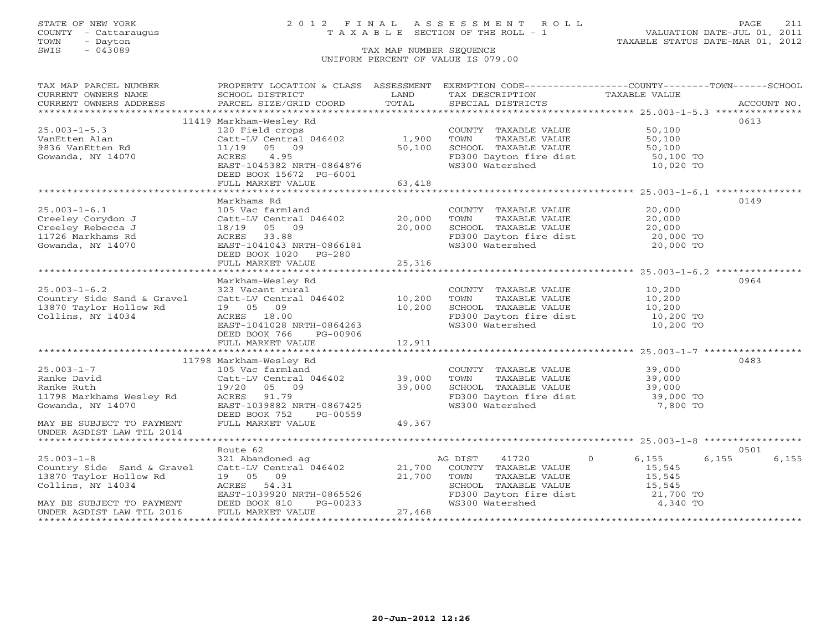### STATE OF NEW YORK 2 0 1 2 F I N A L A S S E S S M E N T R O L L PAGE 211 COUNTY - Cattaraugus T A X A B L E SECTION OF THE ROLL - 1 VALUATION DATE-JUL 01, 2011

| CURRENT OWNERS NAME<br>SCHOOL DISTRICT<br>LAND<br>TAX DESCRIPTION<br>TAXABLE VALUE<br>TOTAL<br>CURRENT OWNERS ADDRESS<br>0613<br>11419 Markham-Wesley Rd<br>$25.003 - 1 - 5.3$<br>50,100<br>120 Field crops<br>COUNTY TAXABLE VALUE<br>1,900<br>Catt-LV Central 046402<br>TOWN<br>TAXABLE VALUE<br>50,100<br>VanEtten Alan<br>50,100<br>SCHOOL TAXABLE VALUE<br>50,100<br>9836 VanEtten Rd<br>11/19<br>05 09<br>4.95<br>Gowanda, NY 14070<br>ACRES<br>FD300 Dayton fire dist<br>50,100 TO<br>WS300 Watershed<br>10,020 TO<br>EAST-1045382 NRTH-0864876<br>DEED BOOK 15672 PG-6001<br>FULL MARKET VALUE<br>63,418<br>0149<br>Markhams Rd<br>$25.003 - 1 - 6.1$<br>105 Vac farmland<br>20,000<br>COUNTY TAXABLE VALUE<br>Creeley Corydon J<br>20,000<br>20,000<br>Catt-LV Central 046402<br>TOWN<br>TAXABLE VALUE<br>20,000<br>SCHOOL TAXABLE VALUE<br>Creeley Rebecca J<br>18/19 05 09<br>20,000 |
|-------------------------------------------------------------------------------------------------------------------------------------------------------------------------------------------------------------------------------------------------------------------------------------------------------------------------------------------------------------------------------------------------------------------------------------------------------------------------------------------------------------------------------------------------------------------------------------------------------------------------------------------------------------------------------------------------------------------------------------------------------------------------------------------------------------------------------------------------------------------------------------------------|
|                                                                                                                                                                                                                                                                                                                                                                                                                                                                                                                                                                                                                                                                                                                                                                                                                                                                                                 |
|                                                                                                                                                                                                                                                                                                                                                                                                                                                                                                                                                                                                                                                                                                                                                                                                                                                                                                 |
|                                                                                                                                                                                                                                                                                                                                                                                                                                                                                                                                                                                                                                                                                                                                                                                                                                                                                                 |
|                                                                                                                                                                                                                                                                                                                                                                                                                                                                                                                                                                                                                                                                                                                                                                                                                                                                                                 |
|                                                                                                                                                                                                                                                                                                                                                                                                                                                                                                                                                                                                                                                                                                                                                                                                                                                                                                 |
|                                                                                                                                                                                                                                                                                                                                                                                                                                                                                                                                                                                                                                                                                                                                                                                                                                                                                                 |
|                                                                                                                                                                                                                                                                                                                                                                                                                                                                                                                                                                                                                                                                                                                                                                                                                                                                                                 |
|                                                                                                                                                                                                                                                                                                                                                                                                                                                                                                                                                                                                                                                                                                                                                                                                                                                                                                 |
|                                                                                                                                                                                                                                                                                                                                                                                                                                                                                                                                                                                                                                                                                                                                                                                                                                                                                                 |
|                                                                                                                                                                                                                                                                                                                                                                                                                                                                                                                                                                                                                                                                                                                                                                                                                                                                                                 |
|                                                                                                                                                                                                                                                                                                                                                                                                                                                                                                                                                                                                                                                                                                                                                                                                                                                                                                 |
|                                                                                                                                                                                                                                                                                                                                                                                                                                                                                                                                                                                                                                                                                                                                                                                                                                                                                                 |
|                                                                                                                                                                                                                                                                                                                                                                                                                                                                                                                                                                                                                                                                                                                                                                                                                                                                                                 |
|                                                                                                                                                                                                                                                                                                                                                                                                                                                                                                                                                                                                                                                                                                                                                                                                                                                                                                 |
|                                                                                                                                                                                                                                                                                                                                                                                                                                                                                                                                                                                                                                                                                                                                                                                                                                                                                                 |
|                                                                                                                                                                                                                                                                                                                                                                                                                                                                                                                                                                                                                                                                                                                                                                                                                                                                                                 |
| FD300 Dayton fire dist<br>20,000 TO<br>11726 Markhams Rd<br>ACRES 33.88                                                                                                                                                                                                                                                                                                                                                                                                                                                                                                                                                                                                                                                                                                                                                                                                                         |
| Gowanda, NY 14070<br>WS300 Watershed<br>20,000 TO<br>EAST-1041043 NRTH-0866181                                                                                                                                                                                                                                                                                                                                                                                                                                                                                                                                                                                                                                                                                                                                                                                                                  |
| DEED BOOK 1020 PG-280                                                                                                                                                                                                                                                                                                                                                                                                                                                                                                                                                                                                                                                                                                                                                                                                                                                                           |
| FULL MARKET VALUE<br>25,316                                                                                                                                                                                                                                                                                                                                                                                                                                                                                                                                                                                                                                                                                                                                                                                                                                                                     |
|                                                                                                                                                                                                                                                                                                                                                                                                                                                                                                                                                                                                                                                                                                                                                                                                                                                                                                 |
| Markham-Wesley Rd<br>0964                                                                                                                                                                                                                                                                                                                                                                                                                                                                                                                                                                                                                                                                                                                                                                                                                                                                       |
| $25.003 - 1 - 6.2$<br>10,200<br>323 Vacant rural<br>COUNTY TAXABLE VALUE                                                                                                                                                                                                                                                                                                                                                                                                                                                                                                                                                                                                                                                                                                                                                                                                                        |
| 10,200<br>Country Side Sand & Gravel<br>Catt-LV Central 046402<br>TOWN<br>TAXABLE VALUE<br>10,200                                                                                                                                                                                                                                                                                                                                                                                                                                                                                                                                                                                                                                                                                                                                                                                               |
| 10,200<br>SCHOOL TAXABLE VALUE<br>13870 Taylor Hollow Rd<br>19 05 09<br>10,200                                                                                                                                                                                                                                                                                                                                                                                                                                                                                                                                                                                                                                                                                                                                                                                                                  |
| Collins, NY 14034<br>ACRES 18.00<br>FD300 Dayton fire dist<br>10,200 TO                                                                                                                                                                                                                                                                                                                                                                                                                                                                                                                                                                                                                                                                                                                                                                                                                         |
| EAST-1041028 NRTH-0864263<br>WS300 Watershed<br>10,200 TO                                                                                                                                                                                                                                                                                                                                                                                                                                                                                                                                                                                                                                                                                                                                                                                                                                       |
| DEED BOOK 766<br>PG-00906                                                                                                                                                                                                                                                                                                                                                                                                                                                                                                                                                                                                                                                                                                                                                                                                                                                                       |
| 12,911<br>FULL MARKET VALUE                                                                                                                                                                                                                                                                                                                                                                                                                                                                                                                                                                                                                                                                                                                                                                                                                                                                     |
|                                                                                                                                                                                                                                                                                                                                                                                                                                                                                                                                                                                                                                                                                                                                                                                                                                                                                                 |
| 11798 Markham-Wesley Rd<br>0483                                                                                                                                                                                                                                                                                                                                                                                                                                                                                                                                                                                                                                                                                                                                                                                                                                                                 |
| $25.003 - 1 - 7$<br>39,000<br>105 Vac farmland<br>COUNTY TAXABLE VALUE                                                                                                                                                                                                                                                                                                                                                                                                                                                                                                                                                                                                                                                                                                                                                                                                                          |
|                                                                                                                                                                                                                                                                                                                                                                                                                                                                                                                                                                                                                                                                                                                                                                                                                                                                                                 |
| Ranke David<br>Catt-LV Central 046402<br>39,000<br>TAXABLE VALUE<br>39,000<br>TOWN<br>39,000                                                                                                                                                                                                                                                                                                                                                                                                                                                                                                                                                                                                                                                                                                                                                                                                    |
| SCHOOL TAXABLE VALUE<br>Ranke Ruth<br>19/20 05 09<br>39,000                                                                                                                                                                                                                                                                                                                                                                                                                                                                                                                                                                                                                                                                                                                                                                                                                                     |
| $39,000$ TO<br>11798 Markhams Wesley Rd<br>91.79<br>FD300 Dayton fire dist<br>ACRES                                                                                                                                                                                                                                                                                                                                                                                                                                                                                                                                                                                                                                                                                                                                                                                                             |
| EAST-1039882 NRTH-0867425<br>WS300 Watershed<br>7,800 TO<br>Gowanda, NY 14070                                                                                                                                                                                                                                                                                                                                                                                                                                                                                                                                                                                                                                                                                                                                                                                                                   |
| DEED BOOK 752<br>PG-00559                                                                                                                                                                                                                                                                                                                                                                                                                                                                                                                                                                                                                                                                                                                                                                                                                                                                       |
| 49,367<br>FULL MARKET VALUE<br>MAY BE SUBJECT TO PAYMENT                                                                                                                                                                                                                                                                                                                                                                                                                                                                                                                                                                                                                                                                                                                                                                                                                                        |
| UNDER AGDIST LAW TIL 2014                                                                                                                                                                                                                                                                                                                                                                                                                                                                                                                                                                                                                                                                                                                                                                                                                                                                       |
|                                                                                                                                                                                                                                                                                                                                                                                                                                                                                                                                                                                                                                                                                                                                                                                                                                                                                                 |
|                                                                                                                                                                                                                                                                                                                                                                                                                                                                                                                                                                                                                                                                                                                                                                                                                                                                                                 |
| Route 62<br>0501                                                                                                                                                                                                                                                                                                                                                                                                                                                                                                                                                                                                                                                                                                                                                                                                                                                                                |
| $25.003 - 1 - 8$<br>321 Abandoned ag<br>AG DIST<br>41720<br>$\Omega$<br>6,155<br>6,155<br>6,155                                                                                                                                                                                                                                                                                                                                                                                                                                                                                                                                                                                                                                                                                                                                                                                                 |
| Catt-LV Central 046402<br>21,700<br>Country Side Sand & Gravel<br>COUNTY TAXABLE VALUE<br>15,545                                                                                                                                                                                                                                                                                                                                                                                                                                                                                                                                                                                                                                                                                                                                                                                                |
| 13870 Taylor Hollow Rd<br>19 05 09<br>21,700<br>TAXABLE VALUE<br>15,545<br>TOWN                                                                                                                                                                                                                                                                                                                                                                                                                                                                                                                                                                                                                                                                                                                                                                                                                 |
| Collins, NY 14034<br>ACRES 54.31<br>SCHOOL TAXABLE VALUE<br>15,545                                                                                                                                                                                                                                                                                                                                                                                                                                                                                                                                                                                                                                                                                                                                                                                                                              |
| EAST-1039920 NRTH-0865526<br>FD300 Dayton fire dist<br>21,700 TO                                                                                                                                                                                                                                                                                                                                                                                                                                                                                                                                                                                                                                                                                                                                                                                                                                |
| DEED BOOK 810<br>PG-00233<br>WS300 Watershed<br>4,340 TO<br>MAY BE SUBJECT TO PAYMENT<br>27,468<br>UNDER AGDIST LAW TIL 2016<br>FULL MARKET VALUE                                                                                                                                                                                                                                                                                                                                                                                                                                                                                                                                                                                                                                                                                                                                               |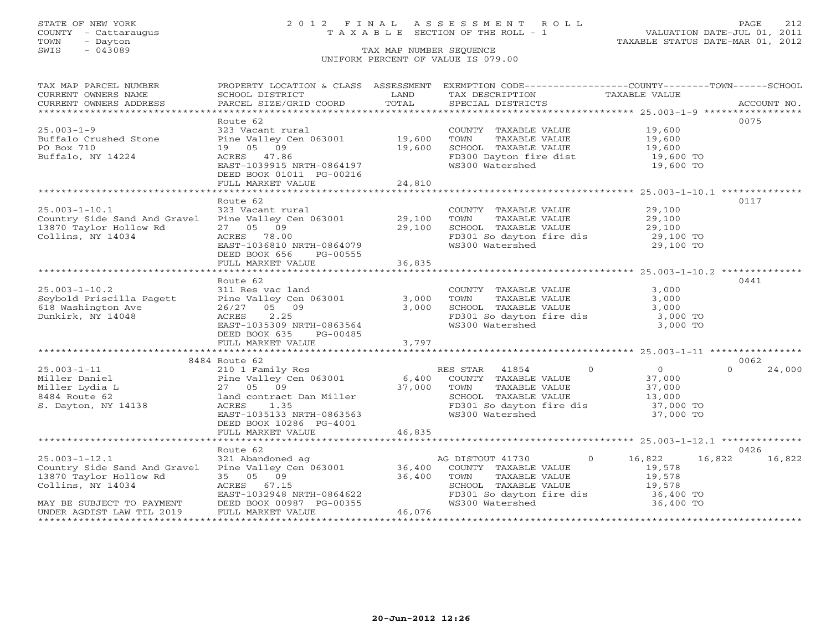## STATE OF NEW YORK 2 0 1 2 F I N A L A S S E S S M E N T R O L L PAGE 212 COUNTY - Cattaraugus T A X A B L E SECTION OF THE ROLL - 1 VALUATION DATE-JUL 01, 2011

| TAX MAP PARCEL NUMBER        | PROPERTY LOCATION & CLASS ASSESSMENT                                                                                                                                                                                           |                      | EXEMPTION CODE-----------------COUNTY-------TOWN------SCHOOL  |                                            |                    |
|------------------------------|--------------------------------------------------------------------------------------------------------------------------------------------------------------------------------------------------------------------------------|----------------------|---------------------------------------------------------------|--------------------------------------------|--------------------|
| CURRENT OWNERS NAME          | SCHOOL DISTRICT                                                                                                                                                                                                                | LAND                 | TAX DESCRIPTION TAXABLE VALUE                                 |                                            |                    |
|                              |                                                                                                                                                                                                                                |                      |                                                               |                                            |                    |
|                              |                                                                                                                                                                                                                                |                      |                                                               |                                            |                    |
|                              | Route 62                                                                                                                                                                                                                       |                      |                                                               |                                            | 0075               |
| $25.003 - 1 - 9$             | 323 Vacant rural                                                                                                                                                                                                               |                      | COUNTY TAXABLE VALUE                                          | 19,600                                     |                    |
| Buffalo Crushed Stone        | Pine Valley Cen 063001 19,600                                                                                                                                                                                                  |                      | TOWN<br>TAXABLE VALUE                                         | 19,600                                     |                    |
| PO Box 710                   | 19 05 09                                                                                                                                                                                                                       | 19,600               | SCHOOL TAXABLE VALUE                                          |                                            |                    |
| Buffalo, NY 14224            | ACRES 47.86                                                                                                                                                                                                                    |                      |                                                               | 19,600<br>19,600 TO<br>19,600 TO           |                    |
|                              | EAST-1039915 NRTH-0864197                                                                                                                                                                                                      |                      | FD300 Dayton fire dist<br>WS300 Watershed                     |                                            |                    |
|                              | DEED BOOK 01011 PG-00216                                                                                                                                                                                                       |                      |                                                               |                                            |                    |
|                              | FULL MARKET VALUE                                                                                                                                                                                                              | 24,810               |                                                               |                                            |                    |
|                              |                                                                                                                                                                                                                                |                      |                                                               |                                            |                    |
|                              | Route 62                                                                                                                                                                                                                       |                      |                                                               |                                            | 0117               |
| $25.003 - 1 - 10.1$          | 323 Vacant rural                                                                                                                                                                                                               |                      | COUNTY TAXABLE VALUE                                          | 29,100                                     |                    |
| Country Side Sand And Gravel | Pine Valley Cen 063001 29,100                                                                                                                                                                                                  |                      | TAXABLE VALUE<br>TOWN                                         | 29,100                                     |                    |
| 13870 Taylor Hollow Rd       | 27 05 09                                                                                                                                                                                                                       |                      | SCHOOL TAXABLE VALUE                                          | 29,100                                     |                    |
| Collins, NY 14034            | ACRES 78.00                                                                                                                                                                                                                    | 29,100               | FD301 So dayton fire dis 29,100 TO                            |                                            |                    |
|                              | AUKES /8.00<br>EAST-1036810 NRTH-0864079                                                                                                                                                                                       |                      | WS300 Watershed                                               | 29,100 TO                                  |                    |
|                              | DEED BOOK 656<br>PG-00555                                                                                                                                                                                                      |                      |                                                               |                                            |                    |
|                              |                                                                                                                                                                                                                                |                      |                                                               |                                            |                    |
|                              |                                                                                                                                                                                                                                |                      |                                                               |                                            |                    |
|                              |                                                                                                                                                                                                                                |                      |                                                               |                                            | 0441               |
|                              | Route 62                                                                                                                                                                                                                       |                      |                                                               |                                            |                    |
| $25.003 - 1 - 10.2$          | 311 Res vac land                                                                                                                                                                                                               |                      | COUNTY TAXABLE VALUE                                          | 3,000                                      |                    |
| Seybold Priscilla Pagett     | Pine Valley Cen 063001 3,000<br>26/27 05 09 3,000<br>ACRES 2.25                                                                                                                                                                |                      | TOWN<br>TAXABLE VALUE                                         | 3,000                                      |                    |
| 618 Washington Ave           |                                                                                                                                                                                                                                |                      | SCHOOL TAXABLE VALUE                                          | 3,000                                      |                    |
| Dunkirk, NY 14048            |                                                                                                                                                                                                                                |                      | FD301 So dayton fire dis 3,000 TO<br>WS300 Watershed 3,000 TO |                                            |                    |
|                              | EAST-1035309 NRTH-0863564                                                                                                                                                                                                      |                      |                                                               |                                            |                    |
|                              | DEED BOOK 635 PG-00485                                                                                                                                                                                                         |                      |                                                               |                                            |                    |
|                              | FULL MARKET VALUE                                                                                                                                                                                                              | 3,797                |                                                               |                                            |                    |
|                              |                                                                                                                                                                                                                                |                      |                                                               |                                            |                    |
|                              | 8484 Route 62                                                                                                                                                                                                                  |                      |                                                               |                                            | 0062               |
| $25.003 - 1 - 11$            | 210 1 Family Res                                                                                                                                                                                                               |                      | $\overline{0}$<br>RES STAR 41854                              | $\begin{array}{c} 0 \\ 37,000 \end{array}$ | $\Omega$<br>24,000 |
| Miller Daniel                | Pine Valley Cen 063001 6,400 COUNTY TAXABLE VALUE                                                                                                                                                                              |                      |                                                               |                                            |                    |
| Miller Lydia L               | 27 05 09<br>37,000 TOWN                                                                                                                                                                                                        |                      | TAXABLE VALUE                                                 | 37,000<br>13,000                           |                    |
| 8484 Route 62                | land contract Dan Miller                                                                                                                                                                                                       |                      | SCHOOL TAXABLE VALUE                                          |                                            |                    |
| S. Dayton, NY 14138          | ACRES<br>1.35                                                                                                                                                                                                                  |                      | FD301 So dayton fire dis                                      | 37,000 TO                                  |                    |
|                              | EAST-1035133 NRTH-0863563                                                                                                                                                                                                      |                      | WS300 Watershed                                               | 37,000 TO                                  |                    |
|                              | DEED BOOK 10286 PG-4001                                                                                                                                                                                                        |                      |                                                               |                                            |                    |
|                              | FULL MARKET VALUE                                                                                                                                                                                                              | 46,835               |                                                               |                                            |                    |
|                              |                                                                                                                                                                                                                                |                      |                                                               |                                            |                    |
|                              | Route 62                                                                                                                                                                                                                       |                      |                                                               |                                            | 0426               |
| $25.003 - 1 - 12.1$          | 321 Abandoned ag achtar ag achtar agus achtar agus achtar agus achtar agus achtar agus achtar agus achtar agus achtar agus achtar agus achtar agus achtar agus achtar agus achtar agus achtar agus achtar agus achtar agus ach |                      | AG DISTOUT 41730                                              | $\overline{0}$<br>16,822                   | 16,822<br>16,822   |
| Country Side Sand And Gravel |                                                                                                                                                                                                                                |                      | COUNTY TAXABLE VALUE                                          | 19,578                                     |                    |
| 13870 Taylor Hollow Rd       | 35 05 09                                                                                                                                                                                                                       | $\frac{1}{36}$ , 400 | TOWN      TAXABLE VALUE<br>SCHOOL   TAXABLE VALUE             | 19,578<br>19,578                           |                    |
| Collins, NY 14034            |                                                                                                                                                                                                                                |                      |                                                               |                                            |                    |
|                              |                                                                                                                                                                                                                                |                      | FD301 So dayton fire dis                                      | 36,400 TO                                  |                    |
| MAY BE SUBJECT TO PAYMENT    | تمت 1-1032948 NRTH-0864622<br>DEED BOOK 00987 PG-00355<br>FULL MARKET VALUE                                                                                                                                                    |                      | WS300 Watershed                                               | 36,400 TO                                  |                    |
| UNDER AGDIST LAW TIL 2019    |                                                                                                                                                                                                                                | 46,076               |                                                               |                                            |                    |
|                              |                                                                                                                                                                                                                                |                      |                                                               | *************************************      |                    |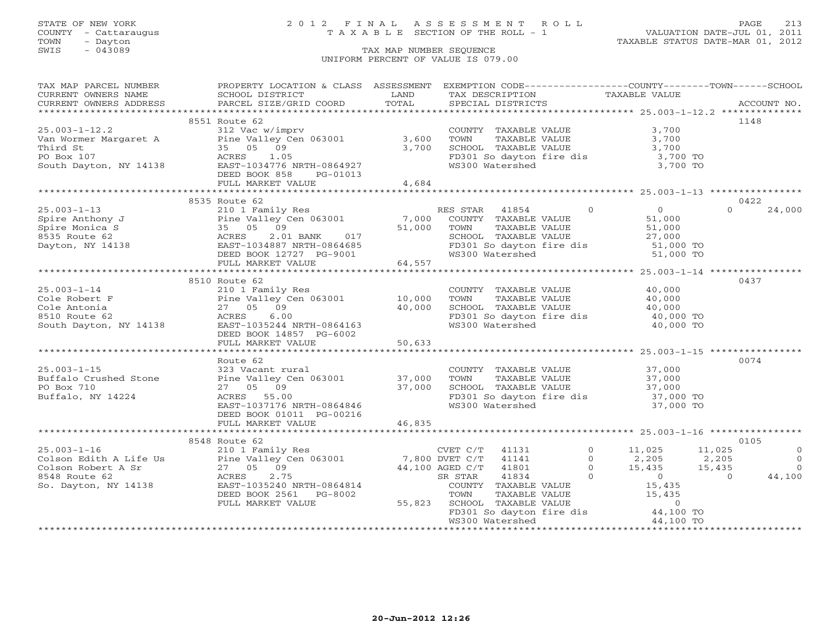## STATE OF NEW YORK 2 0 1 2 F I N A L A S S E S S M E N T R O L L PAGE 213 COUNTY - Cattaraugus T A X A B L E SECTION OF THE ROLL - 1 VALUATION DATE-JUL 01, 2011

| TAX MAP PARCEL NUMBER | PROPERTY LOCATION & CLASS ASSESSMENT EXEMPTION CODE---------------COUNTY-------TOWN------SCHOOL                                                                                                                                                             |        |                                                                                                                               |                |                   |                                       |
|-----------------------|-------------------------------------------------------------------------------------------------------------------------------------------------------------------------------------------------------------------------------------------------------------|--------|-------------------------------------------------------------------------------------------------------------------------------|----------------|-------------------|---------------------------------------|
| CURRENT OWNERS NAME   | SCHOOL DISTRICT<br><b>Example 12 DE LAND</b>                                                                                                                                                                                                                |        | TAX DESCRIPTION                                                                                                               | TAXABLE VALUE  |                   |                                       |
|                       |                                                                                                                                                                                                                                                             |        | SPECIAL DISTRICTS                                                                                                             |                |                   | ACCOUNT NO.                           |
|                       |                                                                                                                                                                                                                                                             |        |                                                                                                                               |                |                   |                                       |
|                       | 8551 Route 62                                                                                                                                                                                                                                               |        |                                                                                                                               |                |                   | 1148                                  |
| $25.003 - 1 - 12.2$   | 312 Vac w/imprv                                                                                                                                                                                                                                             |        | COUNTY TAXABLE VALUE<br>TOWN      TAXABLE VALUE                                                                               |                | 3,700             |                                       |
|                       | $x_1x_2x_{n-1}$<br>Van Wormer Margaret A<br>Third St Die Valley Cen 063001 3,600<br>Third St Die 25 09<br>PO Box 107<br>South Dayton, NY 14138 AST-1034776 NRTH-0864927<br>DEED BOOK 858 PG-01013                                                           |        |                                                                                                                               |                | 3,700             |                                       |
|                       |                                                                                                                                                                                                                                                             |        | SCHOOL TAXABLE VALUE 3,700<br>FD301 So dayton fire dis 3,700 TO                                                               |                |                   |                                       |
|                       |                                                                                                                                                                                                                                                             |        |                                                                                                                               |                |                   |                                       |
|                       |                                                                                                                                                                                                                                                             |        | WS300 Watershed                                                                                                               |                | 3,700 TO          |                                       |
|                       | RUKES 1.05<br>EAST-1034776 NRTH-0864927<br>DEED BOOK 858 PG-01013                                                                                                                                                                                           |        |                                                                                                                               |                |                   |                                       |
|                       | FULL MARKET VALUE 4,684                                                                                                                                                                                                                                     |        |                                                                                                                               |                |                   |                                       |
|                       |                                                                                                                                                                                                                                                             |        |                                                                                                                               |                |                   |                                       |
|                       | 8535 Route 62                                                                                                                                                                                                                                               |        |                                                                                                                               |                |                   | 0422                                  |
|                       | 25.003-1-13<br>Spire Anthony J<br>Spire Monica S<br>Spire Monica S<br>Spire Monica S<br>Spire Monica S<br>Spire Monica S<br>Spire Monica S<br>35 05 09<br>8535 Route 62<br>ACRES<br>2.01 BANK<br>BAST-1034887 NRTH-0864685<br>EAST-1034887 NRTH-0864685<br> |        | RES STAR 41854 0<br>COUNTY TAXABLE VALUE 51,000<br>TOWN TAXABLE VALUE 51,000<br>SCHOOL TAXABLE VALUE 27,000                   |                |                   | $\Omega$<br>24,000                    |
|                       |                                                                                                                                                                                                                                                             |        |                                                                                                                               |                |                   |                                       |
|                       |                                                                                                                                                                                                                                                             |        |                                                                                                                               |                |                   |                                       |
|                       |                                                                                                                                                                                                                                                             |        |                                                                                                                               |                |                   |                                       |
|                       |                                                                                                                                                                                                                                                             |        |                                                                                                                               |                |                   |                                       |
|                       |                                                                                                                                                                                                                                                             |        | FD301 So dayton fire dis 51,000 TO<br>WS300 Watershed 51,000 TO                                                               |                |                   |                                       |
|                       | FULL MARKET VALUE                                                                                                                                                                                                                                           | 64,557 |                                                                                                                               |                |                   |                                       |
|                       |                                                                                                                                                                                                                                                             |        |                                                                                                                               |                |                   |                                       |
|                       | 8510 Route 62                                                                                                                                                                                                                                               |        |                                                                                                                               |                |                   | 0437                                  |
| $25.003 - 1 - 14$     | 210 1 Family Res                                                                                                                                                                                                                                            |        | COUNTY TAXABLE VALUE 40,000                                                                                                   |                |                   |                                       |
|                       |                                                                                                                                                                                                                                                             |        |                                                                                                                               |                |                   |                                       |
|                       |                                                                                                                                                                                                                                                             |        |                                                                                                                               |                |                   |                                       |
|                       |                                                                                                                                                                                                                                                             |        |                                                                                                                               |                |                   |                                       |
|                       |                                                                                                                                                                                                                                                             |        | FD301 So dayton fire dis $\begin{array}{ccc} 1.575300 & \text{TO} \\ 40,000 & \text{TO} \\ 40,000 & \text{TO} \end{array}$    |                |                   |                                       |
|                       |                                                                                                                                                                                                                                                             |        |                                                                                                                               |                |                   |                                       |
|                       |                                                                                                                                                                                                                                                             |        |                                                                                                                               |                |                   |                                       |
|                       | 25.003-1-14<br>Cole Robert F<br>Cole Antonia<br>27 05 09<br>8510 Route 62<br>South Dayton, NY 14138<br>BEED BOOK 14857 PG-6002<br>FIILL MARKET VALUE<br>27 05 09<br>8510 Route 62<br>South Dayton, NY 14138<br>DEED BOOK 14857 PG-6002<br>FIILL MARKET      |        |                                                                                                                               |                |                   |                                       |
|                       |                                                                                                                                                                                                                                                             |        |                                                                                                                               |                |                   |                                       |
|                       | Route 62                                                                                                                                                                                                                                                    |        |                                                                                                                               |                |                   | 0074                                  |
|                       | $323$ Vacant rural<br>Buffalo Crushed Stone<br>PO Box 710<br>$27$ OF 00<br>$27$ OF 00                                                                                                                                                                       |        |                                                                                                                               |                |                   |                                       |
|                       |                                                                                                                                                                                                                                                             |        |                                                                                                                               |                |                   |                                       |
|                       |                                                                                                                                                                                                                                                             |        |                                                                                                                               |                |                   |                                       |
| Buffalo, NY 14224     | 27 05 09 37,000<br>ACRES 55.00 37,000<br>EAST-1037176 NRTH-0864846                                                                                                                                                                                          |        | COUNTY TAXABLE VALUE 37,000<br>TOWN TAXABLE VALUE 37,000<br>SCHOOL TAXABLE VALUE 37,000<br>FD301 So dayton fire dis 37,000 TO |                |                   |                                       |
|                       |                                                                                                                                                                                                                                                             |        | WS300 Watershed                                                                                                               |                | 37,000 TO         |                                       |
|                       | DEED BOOK 01011 PG-00216                                                                                                                                                                                                                                    |        |                                                                                                                               |                |                   |                                       |
|                       |                                                                                                                                                                                                                                                             |        |                                                                                                                               |                |                   |                                       |
|                       |                                                                                                                                                                                                                                                             |        |                                                                                                                               |                |                   |                                       |
|                       | 8548 Route 62                                                                                                                                                                                                                                               |        |                                                                                                                               |                |                   | 0105                                  |
|                       |                                                                                                                                                                                                                                                             |        | 41131                                                                                                                         | $\circ$        | 11,025 11,025     | $\overline{0}$                        |
|                       |                                                                                                                                                                                                                                                             |        | 41141                                                                                                                         | $\Omega$       | 2,205<br>2,205    | $\begin{array}{c} 0 \\ 0 \end{array}$ |
|                       |                                                                                                                                                                                                                                                             |        | 41801                                                                                                                         | $\overline{0}$ | $15,435$ $15,435$ |                                       |
|                       |                                                                                                                                                                                                                                                             |        | EX STAR 41834 0 0<br>COUNTY TAXABLE VALUE 15,435                                                                              | $\overline{0}$ | $\overline{a}$    | 44,100                                |
|                       |                                                                                                                                                                                                                                                             |        |                                                                                                                               |                |                   |                                       |
|                       | DEED BOOK 2561 PG-8002                                                                                                                                                                                                                                      |        |                                                                                                                               |                | 15,435            |                                       |
|                       | FULL MARKET VALUE                                                                                                                                                                                                                                           | 55,823 |                                                                                                                               |                |                   |                                       |
|                       |                                                                                                                                                                                                                                                             |        | TOWN TAXABLE VALUE 15,435<br>SCHOOL TAXABLE VALUE 15,435<br>FD301 So dayton fire dis 44,100 TO<br>WS300 Watershed 44,100 TO   |                |                   |                                       |
|                       |                                                                                                                                                                                                                                                             |        | WS300 Watershed                                                                                                               |                | 44,100 TO         |                                       |
|                       |                                                                                                                                                                                                                                                             |        |                                                                                                                               |                |                   |                                       |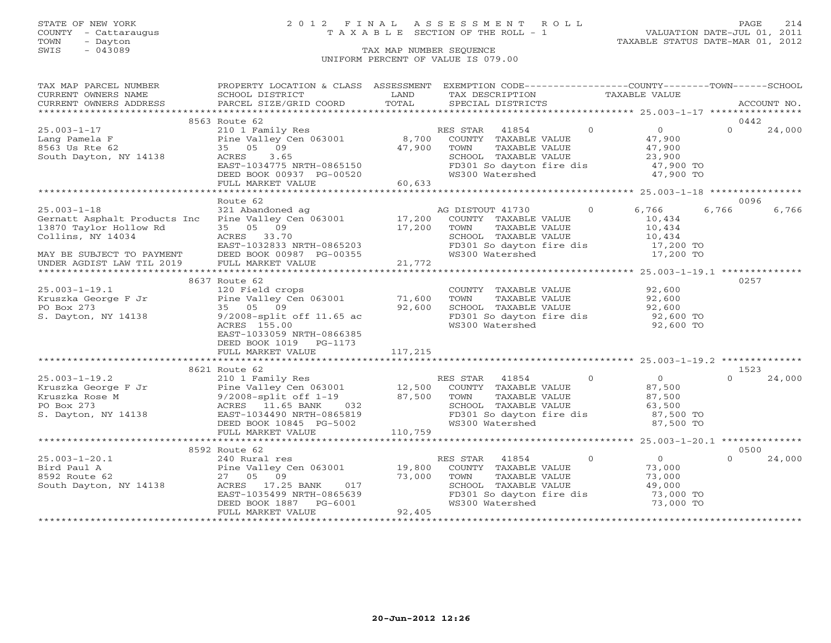### STATE OF NEW YORK 2 0 1 2 F I N A L A S S E S S M E N T R O L L PAGE 214 COUNTY - Cattaraugus T A X A B L E SECTION OF THE ROLL - 1 VALUATION DATE-JUL 01, 2011

| TAX MAP PARCEL NUMBER                                                                                                                                                                                                                                                                                                                                                                                        | PROPERTY LOCATION & CLASS ASSESSMENT EXEMPTION CODE----------------COUNTY-------TOWN------SCHOOL                                                                              |          |                                                                                                                             |                                                                                                                                                        |                                            |          |             |
|--------------------------------------------------------------------------------------------------------------------------------------------------------------------------------------------------------------------------------------------------------------------------------------------------------------------------------------------------------------------------------------------------------------|-------------------------------------------------------------------------------------------------------------------------------------------------------------------------------|----------|-----------------------------------------------------------------------------------------------------------------------------|--------------------------------------------------------------------------------------------------------------------------------------------------------|--------------------------------------------|----------|-------------|
|                                                                                                                                                                                                                                                                                                                                                                                                              |                                                                                                                                                                               | LAND     | TAX DESCRIPTION TAXABLE VALUE                                                                                               |                                                                                                                                                        |                                            |          |             |
|                                                                                                                                                                                                                                                                                                                                                                                                              |                                                                                                                                                                               | TOTAL    | SPECIAL DISTRICTS                                                                                                           |                                                                                                                                                        |                                            |          | ACCOUNT NO. |
|                                                                                                                                                                                                                                                                                                                                                                                                              |                                                                                                                                                                               |          |                                                                                                                             |                                                                                                                                                        |                                            |          |             |
|                                                                                                                                                                                                                                                                                                                                                                                                              | 8563 Route 62                                                                                                                                                                 |          |                                                                                                                             |                                                                                                                                                        |                                            | 0442     |             |
| 25.003-1-17 210 1 Family<br>Lang Pamela F Pine Valley C<br>8563 Us Rte 62 35 05 09<br>South Dayton, NY 14138 RCRES 3.65<br>FACRES 35 05 36                                                                                                                                                                                                                                                                   | NOUCLEVILLE TRANSPORT NESSEN SERIES AT A 1854 0<br>Pine Valley Cen 063001 8,700 COUNTY TAXABLE VALUE<br>35 05 09 47,900 TOWN TAXABLE VALUE<br>ACRES 3.65 SCHOOL TAXABLE VALUE |          |                                                                                                                             | $\begin{array}{ccccc} 41854 & 0 & 0 \\ \text{TXABLE VALUE} & & 47,900 \\ \text{TXABLE VALUE} & & 47,900 \\ \text{TXABLE VALUE} & & 23,900 \end{array}$ |                                            | $\Omega$ | 24,000      |
|                                                                                                                                                                                                                                                                                                                                                                                                              |                                                                                                                                                                               |          |                                                                                                                             |                                                                                                                                                        |                                            |          |             |
|                                                                                                                                                                                                                                                                                                                                                                                                              |                                                                                                                                                                               |          |                                                                                                                             |                                                                                                                                                        |                                            |          |             |
|                                                                                                                                                                                                                                                                                                                                                                                                              |                                                                                                                                                                               |          |                                                                                                                             |                                                                                                                                                        |                                            |          |             |
|                                                                                                                                                                                                                                                                                                                                                                                                              |                                                                                                                                                                               |          |                                                                                                                             |                                                                                                                                                        |                                            |          |             |
|                                                                                                                                                                                                                                                                                                                                                                                                              |                                                                                                                                                                               |          | WS300 Watershed                                                                                                             |                                                                                                                                                        | 47,900 TO                                  |          |             |
|                                                                                                                                                                                                                                                                                                                                                                                                              | ACRES 3.65<br>EAST-1034775 NRTH-0865150<br>DEED BOOK 00937 PG-00520<br>FULL MARKET VALUE 60,633                                                                               |          |                                                                                                                             |                                                                                                                                                        |                                            |          |             |
|                                                                                                                                                                                                                                                                                                                                                                                                              |                                                                                                                                                                               |          |                                                                                                                             |                                                                                                                                                        |                                            |          |             |
|                                                                                                                                                                                                                                                                                                                                                                                                              | --- Induction and MC DISTOUT 41730<br>Pine Valley Cen 063001 17,200 COUNTY TAXABLE WILLET 15                                                                                  |          |                                                                                                                             |                                                                                                                                                        |                                            | 0096     |             |
| $25.003 - 1 - 18$                                                                                                                                                                                                                                                                                                                                                                                            |                                                                                                                                                                               |          |                                                                                                                             |                                                                                                                                                        | 0 6,766                                    | 6,766    | 6,766       |
| Gernatt Asphalt Products Inc                                                                                                                                                                                                                                                                                                                                                                                 |                                                                                                                                                                               |          | COUNTY TAXABLE VALUE                                                                                                        |                                                                                                                                                        | 10,434                                     |          |             |
| 13870 Taylor Hollow Rd                                                                                                                                                                                                                                                                                                                                                                                       |                                                                                                                                                                               |          |                                                                                                                             |                                                                                                                                                        |                                            |          |             |
| Collins, NY 14034                                                                                                                                                                                                                                                                                                                                                                                            | ACRES 33.70                                                                                                                                                                   | 17,200   | TOWN TAXABLE VALUE<br>SCHOOL TAXABLE VALUE<br>FD301 So dayton fire dis<br>WS300 Watershed<br>T7,200 TO<br>T7,200 TO         |                                                                                                                                                        |                                            |          |             |
|                                                                                                                                                                                                                                                                                                                                                                                                              |                                                                                                                                                                               |          |                                                                                                                             |                                                                                                                                                        |                                            |          |             |
|                                                                                                                                                                                                                                                                                                                                                                                                              |                                                                                                                                                                               |          |                                                                                                                             |                                                                                                                                                        |                                            |          |             |
| MAY BE SUBJECT TO PAYMENT<br>UNDER AGDIST LAW TIL 2019                                                                                                                                                                                                                                                                                                                                                       | ACRES 33.70<br>EAST-1032833 NRTH-0865203<br>DEED BOOK 00987 PG-00355<br>FULL MARKET VALUE 21,772                                                                              |          |                                                                                                                             |                                                                                                                                                        |                                            |          |             |
|                                                                                                                                                                                                                                                                                                                                                                                                              |                                                                                                                                                                               |          |                                                                                                                             |                                                                                                                                                        |                                            |          |             |
|                                                                                                                                                                                                                                                                                                                                                                                                              | 8637 Route 62                                                                                                                                                                 |          |                                                                                                                             |                                                                                                                                                        |                                            | 0257     |             |
|                                                                                                                                                                                                                                                                                                                                                                                                              |                                                                                                                                                                               |          | COUNTY TAXABLE VALUE 92,600                                                                                                 |                                                                                                                                                        |                                            |          |             |
|                                                                                                                                                                                                                                                                                                                                                                                                              |                                                                                                                                                                               |          |                                                                                                                             |                                                                                                                                                        |                                            |          |             |
|                                                                                                                                                                                                                                                                                                                                                                                                              |                                                                                                                                                                               |          |                                                                                                                             |                                                                                                                                                        |                                            |          |             |
| PO Box 273<br>S. Dayton, NY 14138<br>$\frac{9}{2008} - \frac{33}{2008} = \frac{33}{2008} = \frac{33}{2008} = \frac{33}{2008} = \frac{33}{2008} = \frac{33}{2008} = \frac{33}{2008} = \frac{33}{2008} = \frac{33}{2008} = \frac{33}{2008} = \frac{33}{2008} = \frac{33}{2008} = \frac{33}{2008} = \frac{33}{2008} = \frac{33}{20$                                                                             |                                                                                                                                                                               |          | TOWN TAXABLE VALUE 92,600<br>SCHOOL TAXABLE VALUE 92,600<br>FD301 So dayton fire dis 92,600 TO<br>WS300 Watershed 92,600 TO |                                                                                                                                                        |                                            |          |             |
|                                                                                                                                                                                                                                                                                                                                                                                                              | ACRES 155.00                                                                                                                                                                  |          |                                                                                                                             |                                                                                                                                                        |                                            |          |             |
|                                                                                                                                                                                                                                                                                                                                                                                                              | EAST-1033059 NRTH-0866385                                                                                                                                                     |          |                                                                                                                             |                                                                                                                                                        |                                            |          |             |
|                                                                                                                                                                                                                                                                                                                                                                                                              | DEED BOOK 1019 PG-1173                                                                                                                                                        |          |                                                                                                                             |                                                                                                                                                        |                                            |          |             |
|                                                                                                                                                                                                                                                                                                                                                                                                              | FULL MARKET VALUE                                                                                                                                                             | 117, 215 |                                                                                                                             |                                                                                                                                                        |                                            |          |             |
|                                                                                                                                                                                                                                                                                                                                                                                                              |                                                                                                                                                                               |          |                                                                                                                             |                                                                                                                                                        |                                            |          |             |
|                                                                                                                                                                                                                                                                                                                                                                                                              | 8621 Route 62                                                                                                                                                                 |          |                                                                                                                             |                                                                                                                                                        |                                            | 1523     |             |
| $\begin{tabular}{lllllllllllllllllll} \hline 25.003-1-19.2 & \multicolumn{3}{c }{\mbox{}25.003-1-19.2} & \multicolumn{3}{c }{\mbox{}25.003-1-19.2} & \multicolumn{3}{c }{\mbox{}25.003-1-19.2} & \multicolumn{3}{c }{\mbox{}25.003-1-19.2} & \multicolumn{3}{c }{\mbox{}25.003-1-19.2} & \multicolumn{3}{c }{\mbox{}25.003-1-19.2} & \multicolumn{3}{c }{\$                                                  |                                                                                                                                                                               |          |                                                                                                                             |                                                                                                                                                        |                                            | $\cap$   | 24,000      |
|                                                                                                                                                                                                                                                                                                                                                                                                              |                                                                                                                                                                               |          |                                                                                                                             |                                                                                                                                                        |                                            |          |             |
|                                                                                                                                                                                                                                                                                                                                                                                                              |                                                                                                                                                                               |          |                                                                                                                             |                                                                                                                                                        |                                            |          |             |
|                                                                                                                                                                                                                                                                                                                                                                                                              |                                                                                                                                                                               |          |                                                                                                                             |                                                                                                                                                        |                                            |          |             |
|                                                                                                                                                                                                                                                                                                                                                                                                              |                                                                                                                                                                               |          |                                                                                                                             |                                                                                                                                                        |                                            |          |             |
|                                                                                                                                                                                                                                                                                                                                                                                                              |                                                                                                                                                                               |          |                                                                                                                             |                                                                                                                                                        |                                            |          |             |
|                                                                                                                                                                                                                                                                                                                                                                                                              |                                                                                                                                                                               |          |                                                                                                                             |                                                                                                                                                        | 87,500 TO                                  |          |             |
|                                                                                                                                                                                                                                                                                                                                                                                                              |                                                                                                                                                                               |          |                                                                                                                             |                                                                                                                                                        |                                            |          |             |
|                                                                                                                                                                                                                                                                                                                                                                                                              |                                                                                                                                                                               |          |                                                                                                                             |                                                                                                                                                        |                                            |          |             |
|                                                                                                                                                                                                                                                                                                                                                                                                              | 8592 Route 62                                                                                                                                                                 |          |                                                                                                                             |                                                                                                                                                        |                                            | 0500     |             |
|                                                                                                                                                                                                                                                                                                                                                                                                              |                                                                                                                                                                               |          | RES STAR 41854                                                                                                              | $\overline{0}$                                                                                                                                         | $\begin{array}{c} 0 \\ 73,000 \end{array}$ | $\Omega$ | 24,000      |
|                                                                                                                                                                                                                                                                                                                                                                                                              |                                                                                                                                                                               |          | COUNTY TAXABLE VALUE                                                                                                        |                                                                                                                                                        |                                            |          |             |
|                                                                                                                                                                                                                                                                                                                                                                                                              |                                                                                                                                                                               |          | TOWN                                                                                                                        | TAXABLE VALUE<br>TAXABLE VALUE                                                                                                                         | 73,000<br>49,000                           |          |             |
|                                                                                                                                                                                                                                                                                                                                                                                                              |                                                                                                                                                                               |          | SCHOOL TAXABLE VALUE                                                                                                        |                                                                                                                                                        |                                            |          |             |
|                                                                                                                                                                                                                                                                                                                                                                                                              |                                                                                                                                                                               |          | FD301 So dayton fire dis<br>73,000 TO                                                                                       |                                                                                                                                                        |                                            |          |             |
|                                                                                                                                                                                                                                                                                                                                                                                                              |                                                                                                                                                                               |          | WS300 Watershed                                                                                                             |                                                                                                                                                        | 73,000 TO                                  |          |             |
| $\begin{array}{llllll} \text{25.003--1--20.1} & & & & & \text{RE} & & & \text{RE} \\ \text{Bird Paul A} & & & & & 240 \text{ Rural res} & & & & 19,800 \\ \text{Bird Paul A} & & & & & \text{Pine Valley Cen 063001} & & & 19,800 \\ \text{S592 Route 62} & & & & 27 & 05 & 09 & & 73,000 \\ \text{South Dayton, NY 14138} & & & & & \text{ACRES} & 17.25 \text{ BANK} & 017 \\ \text{EAST-1035499 NRTH-086$ |                                                                                                                                                                               |          |                                                                                                                             |                                                                                                                                                        |                                            |          |             |
|                                                                                                                                                                                                                                                                                                                                                                                                              |                                                                                                                                                                               |          |                                                                                                                             |                                                                                                                                                        |                                            |          |             |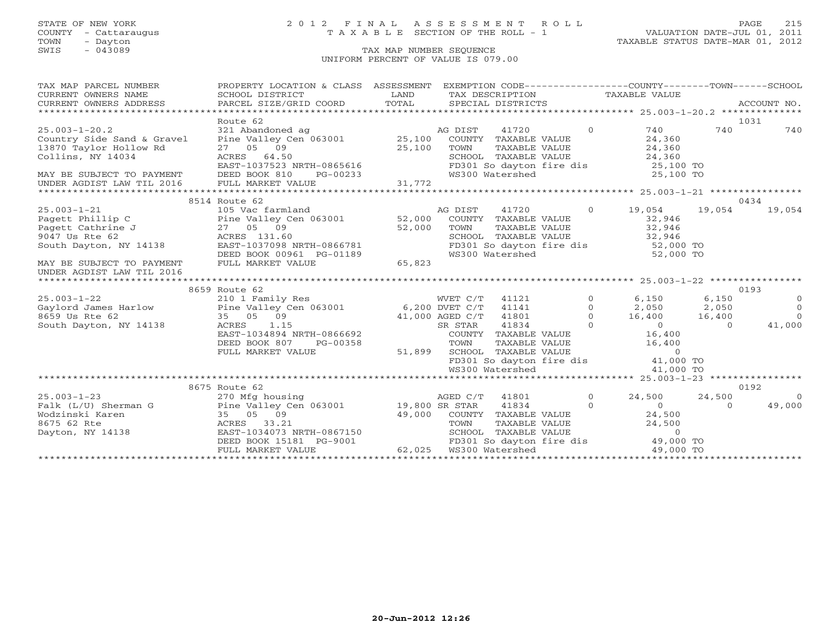## STATE OF NEW YORK 2 0 1 2 F I N A L A S S E S S M E N T R O L L PAGE 215 COUNTY - Cattaraugus T A X A B L E SECTION OF THE ROLL - 1 VALUATION DATE-JUL 01, 2011

| 1031<br>Route 62<br>$\Omega$<br>740<br>740<br>740<br>24,360<br>TAXABLE VALUE<br>13870 Taylor Hollow Rd<br>27 05 $09$ 25,100<br>ACRES 64.50<br>EAST-1037523 NRTH-0865616<br>DEED BOOK 810 PG-00233<br>FULL MARKET VALUE<br>24,360<br>TOWN<br>Collins, NY 14034<br>SCHOOL TAXABLE VALUE 24,360<br>FD301 So dayton fire dis 25,100 TO<br>WS300 Watershed 25,100 TO<br>MAY BE SUBJECT TO PAYMENT DEED BOOK 810 |
|------------------------------------------------------------------------------------------------------------------------------------------------------------------------------------------------------------------------------------------------------------------------------------------------------------------------------------------------------------------------------------------------------------|
|                                                                                                                                                                                                                                                                                                                                                                                                            |
|                                                                                                                                                                                                                                                                                                                                                                                                            |
|                                                                                                                                                                                                                                                                                                                                                                                                            |
|                                                                                                                                                                                                                                                                                                                                                                                                            |
|                                                                                                                                                                                                                                                                                                                                                                                                            |
|                                                                                                                                                                                                                                                                                                                                                                                                            |
|                                                                                                                                                                                                                                                                                                                                                                                                            |
| UNDER AGDIST LAW TIL 2016 FULL MARKET VALUE                                                                                                                                                                                                                                                                                                                                                                |
|                                                                                                                                                                                                                                                                                                                                                                                                            |
| 8514 Route 62<br>0434                                                                                                                                                                                                                                                                                                                                                                                      |
| 25.003-1-21          105 Vac farmland                                   19,054<br>Pagett Phillip C        Pine Valley Cen 063001     52,000  COUNTY TAXABLE VALUE       32,946<br>19,054<br>19,054<br>19,054                                                                                                                                                                                               |
|                                                                                                                                                                                                                                                                                                                                                                                                            |
| Pagett Cathrine J<br>9047 Us Rte 62<br>South Dayton, NY 14138<br>TAXABLE VALUE 32,946<br>TOWN                                                                                                                                                                                                                                                                                                              |
| SCHOOL TAXABLE VALUE 32,946<br>FD301 So dayton fire dis 52,000 TO                                                                                                                                                                                                                                                                                                                                          |
| 27 05 09 52,000<br>ACRES 131.60 52,000<br>EAST-1037098 NRTH-0866781                                                                                                                                                                                                                                                                                                                                        |
| DEED BOOK 00961 PG-01189<br>52,000 TO<br>WS300 Watershed                                                                                                                                                                                                                                                                                                                                                   |
| 65,823<br>FULL MARKET VALUE<br>MAY BE SUBJECT TO PAYMENT                                                                                                                                                                                                                                                                                                                                                   |
| UNDER AGDIST LAW TIL 2016                                                                                                                                                                                                                                                                                                                                                                                  |
|                                                                                                                                                                                                                                                                                                                                                                                                            |
| 8659 Route 62<br>0193<br>$\Omega$<br>6,150                                                                                                                                                                                                                                                                                                                                                                 |
| 6,150<br>$\overline{0}$<br>$\overline{0}$<br>$\Omega$                                                                                                                                                                                                                                                                                                                                                      |
| 2,050 2,050<br>16,400 16,400<br>$\overline{0}$<br>8659 Us Rte 62<br>35 05 09<br>$\overline{0}$                                                                                                                                                                                                                                                                                                             |
| $41,000$ AGED C/T $41801$<br>SR STAR $41834$<br>South Dayton, NY 14138<br>$\overline{0}$<br>$\overline{0}$<br>ACRES 1.15<br>41,000<br>$\Omega$                                                                                                                                                                                                                                                             |
| EAST-1034894 NRTH-0866692                                                                                                                                                                                                                                                                                                                                                                                  |
| DEED BOOK 807 PG-00358                                                                                                                                                                                                                                                                                                                                                                                     |
| 51,899 SCHOOL<br>FULL MARKET VALUE                                                                                                                                                                                                                                                                                                                                                                         |
| COUNTY TAXABLE VALUE 16,400<br>TOWN TAXABLE VALUE 16,400<br>SCHOOL TAXABLE VALUE 16,400<br>FD301 So dayton fire dis 41,000 TO                                                                                                                                                                                                                                                                              |
| WS300 Watershed<br>41,000 TO                                                                                                                                                                                                                                                                                                                                                                               |
|                                                                                                                                                                                                                                                                                                                                                                                                            |
| 0192<br>8675 Route 62                                                                                                                                                                                                                                                                                                                                                                                      |
| $\sim$ 0<br>$25.003 - 1 - 23$<br>270 Mfg housing<br>AGED C/T<br>41801<br>24,500<br>24,500<br>$\overline{0}$                                                                                                                                                                                                                                                                                                |
| Pine Valley Cen 063001 19,800 SR STAR<br>49,000<br>41834<br>$\overline{0}$<br>$\overline{0}$<br>Falk (L/U) Sherman G<br>$\Omega$                                                                                                                                                                                                                                                                           |
|                                                                                                                                                                                                                                                                                                                                                                                                            |
| Wodzinski Karen (* 1867)<br>8675 62 Rte (* 1867)<br>Dayton, NY 14138 (* 1868)<br>EAST-1034073 I<br>$\begin{array}{cccc} 49,000 & \text{COUNTY} & \text{TAXABLE VALUE} & 24,500 \\ 49,000 & \text{TOWN} & \text{TAXABLE VALUE} & 24,500 \\ \text{NRTH-0867150} & \text{SCHOOL} & \text{TAXABLE VALUE} & 0 \\ \end{array}$                                                                                   |
| EAST-1034073 NRTH-0867150                                                                                                                                                                                                                                                                                                                                                                                  |
| FD301 So dayton fire dis 49,000 TO<br>DEED BOOK 15181 PG-9001 FD301 So dayton<br>FULL MARKET VALUE 62,025 WS300 Watershed                                                                                                                                                                                                                                                                                  |
| 49,000 TO                                                                                                                                                                                                                                                                                                                                                                                                  |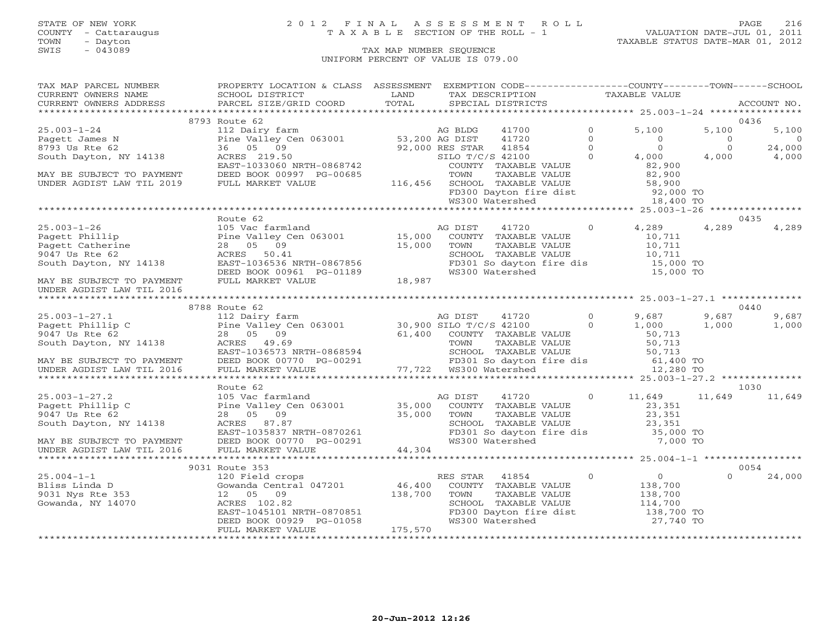## STATE OF NEW YORK 2 0 1 2 F I N A L A S S E S S M E N T R O L L PAGE 216 COUNTY - Cattaraugus T A X A B L E SECTION OF THE ROLL - 1 VALUATION DATE-JUL 01, 2011

| TAX MAP PARCEL NUMBER                                                                                                                                                                                                                                                            | PROPERTY LOCATION & CLASS ASSESSMENT EXEMPTION CODE----------------COUNTY-------TOWN------SCHOOL                                                                                                                                                           |  |                   |  |                                                                                                                                                                                                                      |                                 |                     |
|----------------------------------------------------------------------------------------------------------------------------------------------------------------------------------------------------------------------------------------------------------------------------------|------------------------------------------------------------------------------------------------------------------------------------------------------------------------------------------------------------------------------------------------------------|--|-------------------|--|----------------------------------------------------------------------------------------------------------------------------------------------------------------------------------------------------------------------|---------------------------------|---------------------|
| CURRENT OWNERS NAME                                                                                                                                                                                                                                                              | SCHOOL DISTRICT<br><b>Example 12</b> LAND                                                                                                                                                                                                                  |  | TAX DESCRIPTION   |  | TAXABLE VALUE                                                                                                                                                                                                        |                                 |                     |
| CURRENT OWNERS ADDRESS PARCEL SIZE/GRID COORD TOTAL                                                                                                                                                                                                                              |                                                                                                                                                                                                                                                            |  | SPECIAL DISTRICTS |  |                                                                                                                                                                                                                      |                                 | ACCOUNT NO.         |
|                                                                                                                                                                                                                                                                                  |                                                                                                                                                                                                                                                            |  |                   |  |                                                                                                                                                                                                                      |                                 |                     |
|                                                                                                                                                                                                                                                                                  |                                                                                                                                                                                                                                                            |  |                   |  |                                                                                                                                                                                                                      |                                 | 0436                |
|                                                                                                                                                                                                                                                                                  |                                                                                                                                                                                                                                                            |  |                   |  |                                                                                                                                                                                                                      | 5,100                           | 5,100               |
|                                                                                                                                                                                                                                                                                  |                                                                                                                                                                                                                                                            |  |                   |  |                                                                                                                                                                                                                      |                                 | $\overline{0}$      |
|                                                                                                                                                                                                                                                                                  |                                                                                                                                                                                                                                                            |  |                   |  |                                                                                                                                                                                                                      | $\frac{0}{2}$<br>$\overline{0}$ | $24,000$<br>$4,000$ |
|                                                                                                                                                                                                                                                                                  |                                                                                                                                                                                                                                                            |  |                   |  |                                                                                                                                                                                                                      | 4,000                           |                     |
|                                                                                                                                                                                                                                                                                  |                                                                                                                                                                                                                                                            |  |                   |  |                                                                                                                                                                                                                      |                                 |                     |
|                                                                                                                                                                                                                                                                                  |                                                                                                                                                                                                                                                            |  |                   |  |                                                                                                                                                                                                                      |                                 |                     |
|                                                                                                                                                                                                                                                                                  |                                                                                                                                                                                                                                                            |  |                   |  |                                                                                                                                                                                                                      |                                 |                     |
|                                                                                                                                                                                                                                                                                  |                                                                                                                                                                                                                                                            |  |                   |  |                                                                                                                                                                                                                      |                                 |                     |
|                                                                                                                                                                                                                                                                                  |                                                                                                                                                                                                                                                            |  |                   |  |                                                                                                                                                                                                                      |                                 |                     |
|                                                                                                                                                                                                                                                                                  |                                                                                                                                                                                                                                                            |  |                   |  |                                                                                                                                                                                                                      |                                 |                     |
|                                                                                                                                                                                                                                                                                  | Route 62                                                                                                                                                                                                                                                   |  |                   |  |                                                                                                                                                                                                                      |                                 | 0435                |
|                                                                                                                                                                                                                                                                                  |                                                                                                                                                                                                                                                            |  |                   |  |                                                                                                                                                                                                                      | 4,289                           | 4,289               |
|                                                                                                                                                                                                                                                                                  |                                                                                                                                                                                                                                                            |  |                   |  |                                                                                                                                                                                                                      |                                 |                     |
|                                                                                                                                                                                                                                                                                  |                                                                                                                                                                                                                                                            |  |                   |  |                                                                                                                                                                                                                      |                                 |                     |
|                                                                                                                                                                                                                                                                                  |                                                                                                                                                                                                                                                            |  |                   |  |                                                                                                                                                                                                                      |                                 |                     |
|                                                                                                                                                                                                                                                                                  |                                                                                                                                                                                                                                                            |  |                   |  | COUNTY TAXABLE VALUE<br>TOWN TAXABLE VALUE<br>SCHOOL TAXABLE VALUE<br>SCHOOL TAXABLE VALUE<br>FD301 So dayton fire dis<br>MS300 Watershed<br>The dis<br>The 10,711<br>SCHOOL TAXABLE VALUE<br>15,000 TO<br>15,000 TO |                                 |                     |
|                                                                                                                                                                                                                                                                                  |                                                                                                                                                                                                                                                            |  |                   |  |                                                                                                                                                                                                                      |                                 |                     |
|                                                                                                                                                                                                                                                                                  |                                                                                                                                                                                                                                                            |  |                   |  |                                                                                                                                                                                                                      |                                 |                     |
|                                                                                                                                                                                                                                                                                  |                                                                                                                                                                                                                                                            |  |                   |  |                                                                                                                                                                                                                      |                                 |                     |
| UNDER AGDIST LAW TIL 2016                                                                                                                                                                                                                                                        |                                                                                                                                                                                                                                                            |  |                   |  |                                                                                                                                                                                                                      |                                 |                     |
|                                                                                                                                                                                                                                                                                  |                                                                                                                                                                                                                                                            |  |                   |  |                                                                                                                                                                                                                      |                                 | 0440                |
|                                                                                                                                                                                                                                                                                  | 8788 Route 62                                                                                                                                                                                                                                              |  |                   |  |                                                                                                                                                                                                                      |                                 |                     |
|                                                                                                                                                                                                                                                                                  |                                                                                                                                                                                                                                                            |  |                   |  |                                                                                                                                                                                                                      |                                 |                     |
|                                                                                                                                                                                                                                                                                  |                                                                                                                                                                                                                                                            |  |                   |  |                                                                                                                                                                                                                      |                                 |                     |
|                                                                                                                                                                                                                                                                                  |                                                                                                                                                                                                                                                            |  |                   |  |                                                                                                                                                                                                                      |                                 |                     |
|                                                                                                                                                                                                                                                                                  |                                                                                                                                                                                                                                                            |  |                   |  |                                                                                                                                                                                                                      |                                 |                     |
|                                                                                                                                                                                                                                                                                  |                                                                                                                                                                                                                                                            |  |                   |  |                                                                                                                                                                                                                      |                                 |                     |
|                                                                                                                                                                                                                                                                                  |                                                                                                                                                                                                                                                            |  |                   |  |                                                                                                                                                                                                                      |                                 |                     |
|                                                                                                                                                                                                                                                                                  |                                                                                                                                                                                                                                                            |  |                   |  |                                                                                                                                                                                                                      |                                 |                     |
| $\begin{tabular}{lllllllllll} 25.003-1-27.1 & 87/88 \: \text{Nucleo} & 0 & 9,687 & 9,687 & 9,687 & 9,687 & 9,687 & 9,687 & 9,687 & 9,687 & 9,687 & 9,687 & 9,687 & 9,687 & 9,687 & 9,687 & 9,687 & 9,687 & 9,687 & 9,687 & 9,687 & 9,687 & 9,687 & 9,687 & 9,687 & 9,687 & 9,68$ |                                                                                                                                                                                                                                                            |  |                   |  |                                                                                                                                                                                                                      |                                 |                     |
|                                                                                                                                                                                                                                                                                  | Route 62                                                                                                                                                                                                                                                   |  |                   |  |                                                                                                                                                                                                                      |                                 | 1030                |
|                                                                                                                                                                                                                                                                                  |                                                                                                                                                                                                                                                            |  |                   |  | 0 $11,649$ $11,649$ $11,649$ $11,649$                                                                                                                                                                                |                                 |                     |
|                                                                                                                                                                                                                                                                                  |                                                                                                                                                                                                                                                            |  |                   |  |                                                                                                                                                                                                                      |                                 |                     |
|                                                                                                                                                                                                                                                                                  |                                                                                                                                                                                                                                                            |  |                   |  |                                                                                                                                                                                                                      |                                 |                     |
|                                                                                                                                                                                                                                                                                  |                                                                                                                                                                                                                                                            |  |                   |  |                                                                                                                                                                                                                      |                                 |                     |
|                                                                                                                                                                                                                                                                                  |                                                                                                                                                                                                                                                            |  |                   |  |                                                                                                                                                                                                                      |                                 |                     |
|                                                                                                                                                                                                                                                                                  |                                                                                                                                                                                                                                                            |  |                   |  |                                                                                                                                                                                                                      |                                 |                     |
| 25.003-1-27.2<br>Pagett Phillip C ine Valley Cen 063001 and AG DIST 41720 0 11,649 11<br>Pagett Phillip C Pine Valley Cen 063001 35,000 COUNTY TAXABLE VALUE 23,351<br>9047 Us Rte 62 28 05 09 35,000 TOWN TAXABLE VALUE 23,351<br>So                                            |                                                                                                                                                                                                                                                            |  |                   |  |                                                                                                                                                                                                                      |                                 |                     |
|                                                                                                                                                                                                                                                                                  |                                                                                                                                                                                                                                                            |  |                   |  |                                                                                                                                                                                                                      |                                 |                     |
|                                                                                                                                                                                                                                                                                  | 9031 Route 353                                                                                                                                                                                                                                             |  |                   |  |                                                                                                                                                                                                                      |                                 | 0054                |
| 25.004-1-1<br>Bliss Linda D<br>9031 Nys Rte 353<br>Gowanda, NY 14070                                                                                                                                                                                                             | Route 353<br>120 Field crops<br>Gowanda Central 047201<br>138,700<br>138,700<br>138,700<br>138,700<br>138,700<br>138,700<br>138,700<br>EAST-1045101 NRTH-0870851<br>DEED BOOK 00929 PG-01058<br>FULL MARKET VALUE<br>THE 129 CHOOL TAXABLE VALUE<br>THE VA |  |                   |  |                                                                                                                                                                                                                      | $\Omega$                        | 24,000              |
|                                                                                                                                                                                                                                                                                  |                                                                                                                                                                                                                                                            |  |                   |  |                                                                                                                                                                                                                      |                                 |                     |
|                                                                                                                                                                                                                                                                                  |                                                                                                                                                                                                                                                            |  |                   |  |                                                                                                                                                                                                                      |                                 |                     |
|                                                                                                                                                                                                                                                                                  |                                                                                                                                                                                                                                                            |  |                   |  |                                                                                                                                                                                                                      |                                 |                     |
|                                                                                                                                                                                                                                                                                  |                                                                                                                                                                                                                                                            |  |                   |  |                                                                                                                                                                                                                      |                                 |                     |
|                                                                                                                                                                                                                                                                                  |                                                                                                                                                                                                                                                            |  |                   |  |                                                                                                                                                                                                                      |                                 |                     |
|                                                                                                                                                                                                                                                                                  |                                                                                                                                                                                                                                                            |  |                   |  |                                                                                                                                                                                                                      |                                 |                     |
|                                                                                                                                                                                                                                                                                  |                                                                                                                                                                                                                                                            |  |                   |  |                                                                                                                                                                                                                      |                                 |                     |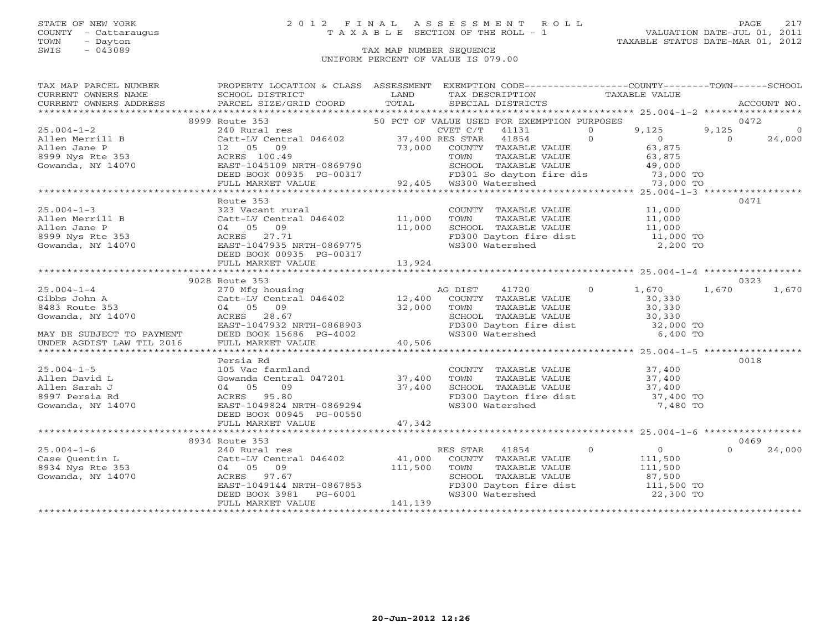TOWN - Dayton - Dayton 1989<br>
TAX MAP NUMBER SEQUENCE - TAXABLE STATUS DATE-MAR 01, 2012<br>
SWIS - 043089 - TAX MAP NUMBER SEQUENCE

### STATE OF NEW YORK 2 0 1 2 F I N A L A S S E S S M E N T R O L L PAGE 217 COUNTY - Cattaraugus T A X A B L E SECTION OF THE ROLL - 1 VALUATION DATE-JUL 01, 2011

### TAX MAP NUMBER SEQUENCE UNIFORM PERCENT OF VALUE IS 079.00

| TAX MAP PARCEL NUMBER                                                                                                                                                                                                                                                                                                                                                                         | PROPERTY LOCATION & CLASS ASSESSMENT EXEMPTION CODE----------------COUNTY-------TOWN------SCHOOL                                                                  |        |                                                                                                                                                         |                          |
|-----------------------------------------------------------------------------------------------------------------------------------------------------------------------------------------------------------------------------------------------------------------------------------------------------------------------------------------------------------------------------------------------|-------------------------------------------------------------------------------------------------------------------------------------------------------------------|--------|---------------------------------------------------------------------------------------------------------------------------------------------------------|--------------------------|
| CURRENT OWNERS NAME SCHOOL DISTRICT<br>CURRENT OWNERS ADDRESS PARCEL SIZE/GRID                                                                                                                                                                                                                                                                                                                |                                                                                                                                                                   |        | TAX DESCRIPTION TAXABLE VALUE                                                                                                                           |                          |
|                                                                                                                                                                                                                                                                                                                                                                                               |                                                                                                                                                                   |        | SPECIAL DISTRICTS                                                                                                                                       | ACCOUNT NO.              |
|                                                                                                                                                                                                                                                                                                                                                                                               |                                                                                                                                                                   |        |                                                                                                                                                         |                          |
|                                                                                                                                                                                                                                                                                                                                                                                               |                                                                                                                                                                   |        |                                                                                                                                                         | 0472                     |
|                                                                                                                                                                                                                                                                                                                                                                                               |                                                                                                                                                                   |        |                                                                                                                                                         | 9,125<br>$\circ$         |
|                                                                                                                                                                                                                                                                                                                                                                                               |                                                                                                                                                                   |        |                                                                                                                                                         | $\overline{0}$<br>24,000 |
|                                                                                                                                                                                                                                                                                                                                                                                               |                                                                                                                                                                   |        |                                                                                                                                                         |                          |
|                                                                                                                                                                                                                                                                                                                                                                                               |                                                                                                                                                                   |        |                                                                                                                                                         |                          |
|                                                                                                                                                                                                                                                                                                                                                                                               |                                                                                                                                                                   |        |                                                                                                                                                         |                          |
|                                                                                                                                                                                                                                                                                                                                                                                               |                                                                                                                                                                   |        |                                                                                                                                                         |                          |
|                                                                                                                                                                                                                                                                                                                                                                                               |                                                                                                                                                                   |        |                                                                                                                                                         |                          |
|                                                                                                                                                                                                                                                                                                                                                                                               |                                                                                                                                                                   |        |                                                                                                                                                         |                          |
|                                                                                                                                                                                                                                                                                                                                                                                               | Route 353<br>323 Vacant rural (2000)<br>COUNTY TAXABLE VALUE (21,000 TOWN TAXABLE VALUE 11,000 O4<br>05 09 11,000 SCHOOL TAXABLE VALUE 11,000 O4<br>27.71 1220075 |        |                                                                                                                                                         | 0471                     |
| $25.004 - 1 - 3$                                                                                                                                                                                                                                                                                                                                                                              |                                                                                                                                                                   |        |                                                                                                                                                         |                          |
|                                                                                                                                                                                                                                                                                                                                                                                               |                                                                                                                                                                   |        |                                                                                                                                                         |                          |
|                                                                                                                                                                                                                                                                                                                                                                                               |                                                                                                                                                                   |        |                                                                                                                                                         |                          |
| Allen Merrill B $2400$<br>Allen Jane P 04 05 09 11,000<br>8999 Nys Rte 353 ACRES 27.71<br>Gowanda, NY 14070 EAST-1047935 NRTH-0869775                                                                                                                                                                                                                                                         |                                                                                                                                                                   |        |                                                                                                                                                         |                          |
|                                                                                                                                                                                                                                                                                                                                                                                               |                                                                                                                                                                   |        |                                                                                                                                                         |                          |
|                                                                                                                                                                                                                                                                                                                                                                                               |                                                                                                                                                                   |        |                                                                                                                                                         |                          |
|                                                                                                                                                                                                                                                                                                                                                                                               | FULL MARKET VALUE                                                                                                                                                 | 13,924 |                                                                                                                                                         |                          |
|                                                                                                                                                                                                                                                                                                                                                                                               |                                                                                                                                                                   |        |                                                                                                                                                         |                          |
|                                                                                                                                                                                                                                                                                                                                                                                               | 9028 Route 353                                                                                                                                                    |        |                                                                                                                                                         | 0323                     |
|                                                                                                                                                                                                                                                                                                                                                                                               |                                                                                                                                                                   |        |                                                                                                                                                         |                          |
|                                                                                                                                                                                                                                                                                                                                                                                               |                                                                                                                                                                   |        |                                                                                                                                                         |                          |
|                                                                                                                                                                                                                                                                                                                                                                                               |                                                                                                                                                                   |        |                                                                                                                                                         |                          |
| $\begin{tabular}{lllllllllllllllllllll} \hline 25.004-1-4 & 9028\text{ Koute 353} & 270\text{ Mfg housing} & \text{AG DIST} & 41720 & 0 & 1,670 & 1,670 & 0.570 \\ \hline \text{Gibbs John A} & \text{Catt-LV Central 046402} & 12,400\text{ COUNTY TAXABLE VALUE} & 30,330 & 30,330 \\ \text{8483 Route 353} & 04\text{ OS} & 09 & \text{LWIN} & \text{TAXABLE VALUE} & 30,330 \\ \text{Gow$ |                                                                                                                                                                   |        |                                                                                                                                                         |                          |
|                                                                                                                                                                                                                                                                                                                                                                                               |                                                                                                                                                                   |        |                                                                                                                                                         |                          |
|                                                                                                                                                                                                                                                                                                                                                                                               |                                                                                                                                                                   |        |                                                                                                                                                         |                          |
|                                                                                                                                                                                                                                                                                                                                                                                               |                                                                                                                                                                   |        |                                                                                                                                                         |                          |
|                                                                                                                                                                                                                                                                                                                                                                                               |                                                                                                                                                                   |        |                                                                                                                                                         |                          |
|                                                                                                                                                                                                                                                                                                                                                                                               | Persia Rd                                                                                                                                                         |        |                                                                                                                                                         | 0018                     |
| $25.004 - 1 - 5$                                                                                                                                                                                                                                                                                                                                                                              |                                                                                                                                                                   |        | COUNTY TAXABLE VALUE 37,400<br>TOWN TAXABLE VALUE 37,400<br>SCHOOL TAXABLE VALUE 37,400<br>FD300 Dayton fire dist 37,400 TO<br>WS300 Watershed 7,480 TO |                          |
| Allen David L                                                                                                                                                                                                                                                                                                                                                                                 | 105 Vac farmland<br>Gowanda Central 047201 37,400                                                                                                                 |        |                                                                                                                                                         |                          |
| Allen Sarah J                                                                                                                                                                                                                                                                                                                                                                                 |                                                                                                                                                                   |        |                                                                                                                                                         |                          |
| 8997 Persia Rd                                                                                                                                                                                                                                                                                                                                                                                | ACRES 95.80                                                                                                                                                       |        |                                                                                                                                                         |                          |
| Gowanda, $NY$ 14070                                                                                                                                                                                                                                                                                                                                                                           | 04 05 09 37,400<br>ACRES 95.80 37,400<br>EAST-1049824 NRTH-0869294                                                                                                |        |                                                                                                                                                         |                          |
|                                                                                                                                                                                                                                                                                                                                                                                               | DEED BOOK 00945 PG-00550                                                                                                                                          |        |                                                                                                                                                         |                          |
|                                                                                                                                                                                                                                                                                                                                                                                               | FULL MARKET VALUE                                                                                                                                                 | 47,342 |                                                                                                                                                         |                          |
|                                                                                                                                                                                                                                                                                                                                                                                               |                                                                                                                                                                   |        |                                                                                                                                                         |                          |
|                                                                                                                                                                                                                                                                                                                                                                                               | 8934 Route 353                                                                                                                                                    |        |                                                                                                                                                         | 0469                     |
| $25.004 - 1 - 6$                                                                                                                                                                                                                                                                                                                                                                              | 240 Rural res                                                                                                                                                     |        | RES STAR 41854 0 0 0                                                                                                                                    | $\Omega$<br>24,000       |
|                                                                                                                                                                                                                                                                                                                                                                                               |                                                                                                                                                                   |        |                                                                                                                                                         |                          |
|                                                                                                                                                                                                                                                                                                                                                                                               |                                                                                                                                                                   |        |                                                                                                                                                         |                          |
|                                                                                                                                                                                                                                                                                                                                                                                               |                                                                                                                                                                   |        |                                                                                                                                                         |                          |
|                                                                                                                                                                                                                                                                                                                                                                                               | ACKES 97.07<br>EAST-1049144 NRTH-0867853                                                                                                                          |        |                                                                                                                                                         |                          |
|                                                                                                                                                                                                                                                                                                                                                                                               |                                                                                                                                                                   |        |                                                                                                                                                         |                          |
|                                                                                                                                                                                                                                                                                                                                                                                               | DEED BOOK 3981 PG-6001<br>FULL MARKET VALUE FG-6001 141,139                                                                                                       |        |                                                                                                                                                         |                          |
|                                                                                                                                                                                                                                                                                                                                                                                               |                                                                                                                                                                   |        |                                                                                                                                                         |                          |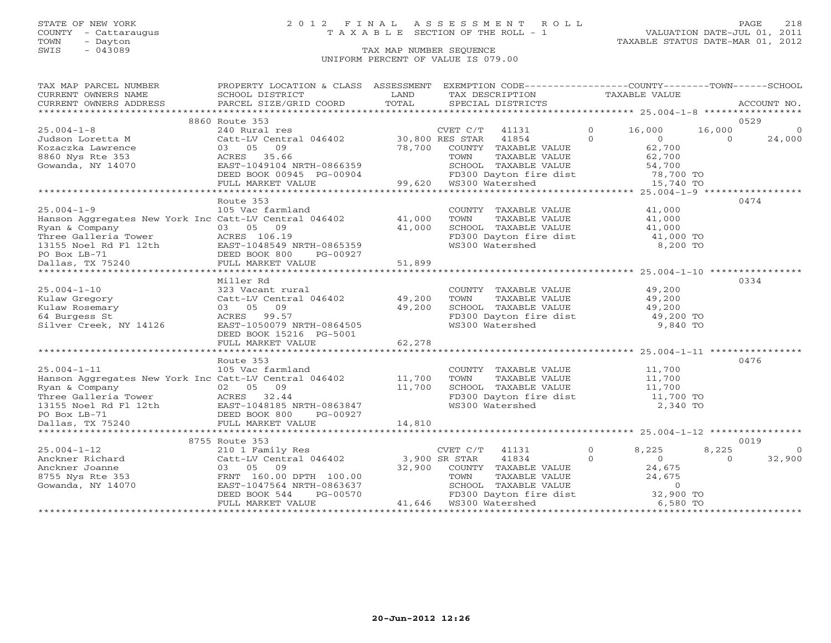COUNTY - Cattaraugus T A X A B L E SECTION OF THE ROLL - 1<br>TOWN - Dayton<br>SWIS - 043089 TAX MAP NUMBER SEQUENCE

# STATE OF NEW YORK 2 0 1 2 F I N A L A S S E S S M E N T R O L L PAGE 218

### TAX MAP NUMBER SEQUENCE UNIFORM PERCENT OF VALUE IS 079.00

| TAX MAP PARCEL NUMBER THE PROPERTY LOCATION & CLASS ASSESSMENT EXEMPTION CODE--------------COUNTY-------TOWN------SCHOOL                                                                                                                                                                                                                                                             |                |                                                                                                                                                                            |                         |
|--------------------------------------------------------------------------------------------------------------------------------------------------------------------------------------------------------------------------------------------------------------------------------------------------------------------------------------------------------------------------------------|----------------|----------------------------------------------------------------------------------------------------------------------------------------------------------------------------|-------------------------|
|                                                                                                                                                                                                                                                                                                                                                                                      |                |                                                                                                                                                                            |                         |
|                                                                                                                                                                                                                                                                                                                                                                                      |                |                                                                                                                                                                            |                         |
|                                                                                                                                                                                                                                                                                                                                                                                      |                |                                                                                                                                                                            |                         |
|                                                                                                                                                                                                                                                                                                                                                                                      | 8860 Route 353 |                                                                                                                                                                            | 0529                    |
|                                                                                                                                                                                                                                                                                                                                                                                      |                |                                                                                                                                                                            |                         |
|                                                                                                                                                                                                                                                                                                                                                                                      |                |                                                                                                                                                                            |                         |
|                                                                                                                                                                                                                                                                                                                                                                                      |                |                                                                                                                                                                            |                         |
|                                                                                                                                                                                                                                                                                                                                                                                      |                |                                                                                                                                                                            |                         |
|                                                                                                                                                                                                                                                                                                                                                                                      |                |                                                                                                                                                                            |                         |
|                                                                                                                                                                                                                                                                                                                                                                                      |                |                                                                                                                                                                            |                         |
|                                                                                                                                                                                                                                                                                                                                                                                      |                |                                                                                                                                                                            |                         |
| $\begin{array}{cccccccc} 25.004-1-8 & 8860 & \text{Root} & 240 & \text{Rurt} & 240 & \text{Rurt} & 240 & \text{Rurt} & 240 & \text{Rurt} & 240 & \text{Rurt} & 240 & \text{Rurt} & 240 & \text{Rurt} & 240 & \text{Rurt} & 240 & \text{Rurt} & 240 & \text{Rurt} & 240 & \text{Rurt} & 240 & \text{Rurt} & 240 & \text{Rurt} & 240 & \text{Rurt} & 240 & \text{Rurt} & 240 & \text{$ |                |                                                                                                                                                                            |                         |
|                                                                                                                                                                                                                                                                                                                                                                                      | Route 353      |                                                                                                                                                                            | 0474                    |
|                                                                                                                                                                                                                                                                                                                                                                                      |                |                                                                                                                                                                            |                         |
|                                                                                                                                                                                                                                                                                                                                                                                      |                |                                                                                                                                                                            |                         |
|                                                                                                                                                                                                                                                                                                                                                                                      |                |                                                                                                                                                                            |                         |
|                                                                                                                                                                                                                                                                                                                                                                                      |                |                                                                                                                                                                            |                         |
|                                                                                                                                                                                                                                                                                                                                                                                      |                |                                                                                                                                                                            |                         |
|                                                                                                                                                                                                                                                                                                                                                                                      |                |                                                                                                                                                                            |                         |
|                                                                                                                                                                                                                                                                                                                                                                                      |                |                                                                                                                                                                            |                         |
|                                                                                                                                                                                                                                                                                                                                                                                      |                |                                                                                                                                                                            |                         |
|                                                                                                                                                                                                                                                                                                                                                                                      | Miller Rd      |                                                                                                                                                                            | 0334                    |
|                                                                                                                                                                                                                                                                                                                                                                                      |                |                                                                                                                                                                            |                         |
|                                                                                                                                                                                                                                                                                                                                                                                      |                |                                                                                                                                                                            |                         |
| 25.004-1-10<br>Eulaw Gregory<br>Eulaw Rosemary<br>64 Burgess St River Creek, NY 14126<br>EED BOOK 15216 PG-5001<br>EED BOOK 15216 PG-5001<br>EED BOOK 15216 PG-5001<br>EED BOOK 15216 PG-5001<br>EED BOOK 15216 PG-5001<br>EED BOOK 15216 PG-500                                                                                                                                     |                | COUNTY TAXABLE VALUE 49,200<br>TOWN TAXABLE VALUE 49,200<br>SCHOOL TAXABLE VALUE 49,200<br>FD300 Dayton fire dist 49,200 TO<br>WS300 Watershed 9,840 TO                    |                         |
|                                                                                                                                                                                                                                                                                                                                                                                      |                |                                                                                                                                                                            |                         |
|                                                                                                                                                                                                                                                                                                                                                                                      |                |                                                                                                                                                                            |                         |
|                                                                                                                                                                                                                                                                                                                                                                                      |                |                                                                                                                                                                            |                         |
|                                                                                                                                                                                                                                                                                                                                                                                      |                |                                                                                                                                                                            |                         |
|                                                                                                                                                                                                                                                                                                                                                                                      |                |                                                                                                                                                                            |                         |
|                                                                                                                                                                                                                                                                                                                                                                                      | Route 353      |                                                                                                                                                                            | 0476                    |
|                                                                                                                                                                                                                                                                                                                                                                                      |                |                                                                                                                                                                            |                         |
|                                                                                                                                                                                                                                                                                                                                                                                      |                |                                                                                                                                                                            |                         |
|                                                                                                                                                                                                                                                                                                                                                                                      |                |                                                                                                                                                                            |                         |
|                                                                                                                                                                                                                                                                                                                                                                                      |                |                                                                                                                                                                            |                         |
|                                                                                                                                                                                                                                                                                                                                                                                      |                | COUNTY TAXABLE VALUE<br>TOWN TAXABLE VALUE<br>SCHOOL TAXABLE VALUE<br>FD300 Dayton fire dist<br>WS300 Watershed<br>The dist<br>Taxable states of the 11,700 TO<br>2,340 TO |                         |
|                                                                                                                                                                                                                                                                                                                                                                                      |                |                                                                                                                                                                            |                         |
|                                                                                                                                                                                                                                                                                                                                                                                      |                |                                                                                                                                                                            |                         |
|                                                                                                                                                                                                                                                                                                                                                                                      |                |                                                                                                                                                                            |                         |
|                                                                                                                                                                                                                                                                                                                                                                                      |                |                                                                                                                                                                            | 0019                    |
|                                                                                                                                                                                                                                                                                                                                                                                      | 8755 Route 353 |                                                                                                                                                                            | 8,225<br>$\overline{0}$ |
|                                                                                                                                                                                                                                                                                                                                                                                      |                |                                                                                                                                                                            | $0 \t32,900$            |
|                                                                                                                                                                                                                                                                                                                                                                                      |                |                                                                                                                                                                            |                         |
|                                                                                                                                                                                                                                                                                                                                                                                      |                |                                                                                                                                                                            |                         |
|                                                                                                                                                                                                                                                                                                                                                                                      |                |                                                                                                                                                                            |                         |
|                                                                                                                                                                                                                                                                                                                                                                                      |                |                                                                                                                                                                            |                         |
|                                                                                                                                                                                                                                                                                                                                                                                      |                |                                                                                                                                                                            |                         |
|                                                                                                                                                                                                                                                                                                                                                                                      |                |                                                                                                                                                                            |                         |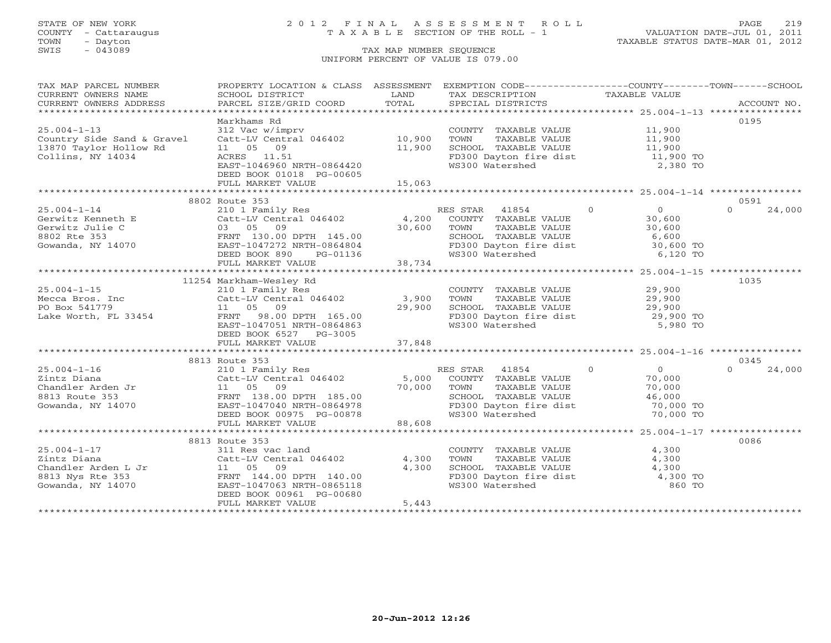# STATE OF NEW YORK 2 0 1 2 F I N A L A S S E S S M E N T R O L L PAGE 219 COUNTY - Cattaraugus T A X A B L E SECTION OF THE ROLL - 1 VALUATION DATE-JUL 01, 2011

| TAX MAP PARCEL NUMBER                                                                                                                                                                         | PROPERTY LOCATION & CLASS ASSESSMENT EXEMPTION CODE----------------COUNTY-------TOWN------SCHOOL                                                                                                                                          |        |                                                                                                      |                                                               |                    |
|-----------------------------------------------------------------------------------------------------------------------------------------------------------------------------------------------|-------------------------------------------------------------------------------------------------------------------------------------------------------------------------------------------------------------------------------------------|--------|------------------------------------------------------------------------------------------------------|---------------------------------------------------------------|--------------------|
| CURRENT OWNERS NAME                                                                                                                                                                           | SCHOOL DISTRICT                                                                                                                                                                                                                           | LAND   | TAX DESCRIPTION                                                                                      | TAXABLE VALUE                                                 |                    |
| CURRENT OWNERS ADDRESS                                                                                                                                                                        |                                                                                                                                                                                                                                           |        |                                                                                                      |                                                               |                    |
|                                                                                                                                                                                               |                                                                                                                                                                                                                                           |        |                                                                                                      |                                                               |                    |
| $25.004 - 1 - 13$                                                                                                                                                                             | Markhams Rd<br>312 Vac w/imprv                                                                                                                                                                                                            |        | COUNTY TAXABLE VALUE 11,900                                                                          |                                                               | 0195               |
|                                                                                                                                                                                               | $Catt-LV$ Central 046402 10,900                                                                                                                                                                                                           |        |                                                                                                      |                                                               |                    |
| Country Side Sand & Gravel<br>13870 Taylor Hollow Rd                                                                                                                                          | 11 05 09                                                                                                                                                                                                                                  | 11,900 |                                                                                                      |                                                               |                    |
|                                                                                                                                                                                               | ACRES 11.51                                                                                                                                                                                                                               |        |                                                                                                      |                                                               |                    |
| Collins, NY 14034                                                                                                                                                                             | EAST-1046960 NRTH-0864420                                                                                                                                                                                                                 |        | FD300 Dayton fire dist 11,900 TO<br>WS300 Watershed                                                  | 2,380 TO                                                      |                    |
|                                                                                                                                                                                               | DEED BOOK 01018 PG-00605                                                                                                                                                                                                                  |        |                                                                                                      |                                                               |                    |
|                                                                                                                                                                                               | FULL MARKET VALUE                                                                                                                                                                                                                         | 15,063 |                                                                                                      |                                                               |                    |
|                                                                                                                                                                                               |                                                                                                                                                                                                                                           |        |                                                                                                      |                                                               |                    |
|                                                                                                                                                                                               | 8802 Route 353                                                                                                                                                                                                                            |        |                                                                                                      |                                                               | 0591               |
| $25.004 - 1 - 14$                                                                                                                                                                             | 210 1 Family Res<br>210 1 Family Res<br>Catt-LV Central 046402 4,200 COUNTY TAXABLE VALUE 30,600<br>30,600 TOWN TAXABLE VALUE 30,600<br>20,600 COUNTY TAXABLE VALUE 30,600<br>20,600 COUNTY TAXABLE VALUE 30,600<br>20,600 COUNTY TAXABLE |        |                                                                                                      |                                                               | 24,000<br>$\Omega$ |
|                                                                                                                                                                                               |                                                                                                                                                                                                                                           |        |                                                                                                      |                                                               |                    |
|                                                                                                                                                                                               |                                                                                                                                                                                                                                           |        |                                                                                                      |                                                               |                    |
|                                                                                                                                                                                               |                                                                                                                                                                                                                                           |        |                                                                                                      |                                                               |                    |
|                                                                                                                                                                                               |                                                                                                                                                                                                                                           |        |                                                                                                      |                                                               |                    |
|                                                                                                                                                                                               |                                                                                                                                                                                                                                           |        | SCHOOL TAXABLE VALUE<br>FD300 Dayton fire dist<br>WS300 Watershed 6,120 TO<br>6,120 TO               |                                                               |                    |
| Contract Matter of the Contract Contract Cerwitz Julie C<br>Gerwitz Julie C<br>30,600<br>8802 Rte 353<br>Gowanda, NY 14070<br>4070<br>EED BOOK 890<br>PG-01136<br>FULL MARKET VALUE<br>38,734 | $PG-01136$<br>LUE 38,734                                                                                                                                                                                                                  |        |                                                                                                      |                                                               |                    |
|                                                                                                                                                                                               |                                                                                                                                                                                                                                           |        |                                                                                                      |                                                               |                    |
|                                                                                                                                                                                               | 11254 Markham-Wesley Rd                                                                                                                                                                                                                   |        |                                                                                                      |                                                               | 1035               |
| $25.004 - 1 - 15$                                                                                                                                                                             | 210 1 Family Res<br>Catt-LV Central 046402 3,900<br>11 05 09 29,900                                                                                                                                                                       |        | COUNTY TAXABLE VALUE 29,900                                                                          |                                                               |                    |
|                                                                                                                                                                                               |                                                                                                                                                                                                                                           |        |                                                                                                      |                                                               |                    |
| Mecca Bros. Inc Catt-LV Central PO Box 541779 11 05 09                                                                                                                                        |                                                                                                                                                                                                                                           | 29,900 | TOWN TAXABLE VALUE 29,900<br>SCHOOL TAXABLE VALUE 29,900                                             |                                                               |                    |
| Lake Worth, FL 33454                                                                                                                                                                          | FRNT 98.00 DPTH 165.00                                                                                                                                                                                                                    |        | FD300 Dayton fire dist<br>WS300 Watershed                                                            | 29,900 TO<br>5,980 TO                                         |                    |
|                                                                                                                                                                                               | EAST-1047051 NRTH-0864863                                                                                                                                                                                                                 |        |                                                                                                      |                                                               |                    |
|                                                                                                                                                                                               | DEED BOOK 6527 PG-3005                                                                                                                                                                                                                    |        |                                                                                                      |                                                               |                    |
|                                                                                                                                                                                               |                                                                                                                                                                                                                                           |        |                                                                                                      |                                                               |                    |
|                                                                                                                                                                                               |                                                                                                                                                                                                                                           |        |                                                                                                      |                                                               |                    |
|                                                                                                                                                                                               | 8813 Route 353                                                                                                                                                                                                                            |        |                                                                                                      |                                                               | 0345               |
|                                                                                                                                                                                               |                                                                                                                                                                                                                                           |        | RES STAR 41854 0                                                                                     | $\begin{array}{c} 0 \\ 70,000 \end{array}$                    | $\cap$<br>24,000   |
|                                                                                                                                                                                               |                                                                                                                                                                                                                                           |        |                                                                                                      | TAXABLE VALUE<br>TAXABLE VALUE 70,000<br>mayartr VALUE 46,000 |                    |
|                                                                                                                                                                                               |                                                                                                                                                                                                                                           |        |                                                                                                      |                                                               |                    |
|                                                                                                                                                                                               |                                                                                                                                                                                                                                           |        | SCHOOL TAXABLE VALUE 46,000<br>FD300 Dayton fire dist 70,000 TO                                      |                                                               |                    |
|                                                                                                                                                                                               |                                                                                                                                                                                                                                           |        |                                                                                                      |                                                               |                    |
|                                                                                                                                                                                               |                                                                                                                                                                                                                                           |        |                                                                                                      | 70,000 TO                                                     |                    |
|                                                                                                                                                                                               |                                                                                                                                                                                                                                           |        |                                                                                                      |                                                               |                    |
|                                                                                                                                                                                               | 8813 Route 353                                                                                                                                                                                                                            |        |                                                                                                      |                                                               | 0086               |
| $25.004 - 1 - 17$                                                                                                                                                                             | 311 Res vac land                                                                                                                                                                                                                          |        |                                                                                                      | 4,300                                                         |                    |
|                                                                                                                                                                                               |                                                                                                                                                                                                                                           |        | COUNTY TAXABLE VALUE<br>TOWN      TAXABLE VALUE                                                      | 4,300                                                         |                    |
|                                                                                                                                                                                               |                                                                                                                                                                                                                                           |        |                                                                                                      |                                                               |                    |
|                                                                                                                                                                                               |                                                                                                                                                                                                                                           |        |                                                                                                      |                                                               |                    |
|                                                                                                                                                                                               |                                                                                                                                                                                                                                           |        | SCHOOL TAXABLE VALUE<br>FD300 Dayton fire dist 4,300 TO<br>WS300 Watershed 860 TO<br>WS300 Watershed |                                                               |                    |
|                                                                                                                                                                                               | DEED BOOK 00961 PG-00680                                                                                                                                                                                                                  |        |                                                                                                      |                                                               |                    |
|                                                                                                                                                                                               | FULL MARKET VALUE                                                                                                                                                                                                                         | 5,443  |                                                                                                      |                                                               |                    |
|                                                                                                                                                                                               |                                                                                                                                                                                                                                           |        |                                                                                                      |                                                               |                    |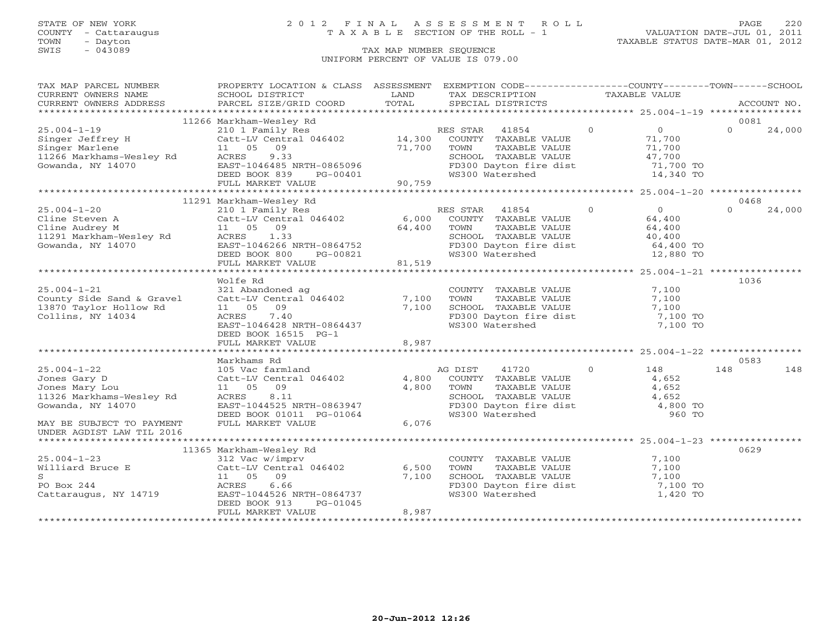### STATE OF NEW YORK 2 0 1 2 F I N A L A S S E S S M E N T R O L L PAGE 220 COUNTY - Cattaraugus T A X A B L E SECTION OF THE ROLL - 1 VALUATION DATE-JUL 01, 2011

| TAX MAP PARCEL NUMBER                                                                                                                                                                                                         | PROPERTY LOCATION & CLASS ASSESSMENT EXEMPTION CODE----------------COUNTY-------TOWN------SCHOOL |        |                                                                                                         |          |                        |          |             |
|-------------------------------------------------------------------------------------------------------------------------------------------------------------------------------------------------------------------------------|--------------------------------------------------------------------------------------------------|--------|---------------------------------------------------------------------------------------------------------|----------|------------------------|----------|-------------|
| CURRENT OWNERS NAME                                                                                                                                                                                                           | SCHOOL DISTRICT                                                                                  | LAND   | TAX DESCRIPTION TAXABLE VALUE                                                                           |          |                        |          |             |
|                                                                                                                                                                                                                               |                                                                                                  |        |                                                                                                         |          |                        |          | ACCOUNT NO. |
| .CURRENT OWNERS ADDRESS PARCEL SIZE/GRID COORD TOTAL SPECIAL DISTRICTS ACCOUNT NO ACCOUNT NO ACCOUNT NO ARE A TALL AND RESOLUT A TALL TO A TALL THE RESOLUT TO A TALL THAT A TALL THE RAND RESOLUT TO TALL THAT A TALL THAT A |                                                                                                  |        |                                                                                                         |          |                        |          |             |
|                                                                                                                                                                                                                               | 11266 Markham-Wesley Rd                                                                          |        |                                                                                                         |          |                        | 0081     |             |
| $25.004 - 1 - 19$                                                                                                                                                                                                             | 210 1 Family Res<br>Catt-LV Central 046402 14,300 COUNTY TAXABLE VALUE                           |        |                                                                                                         | $\Omega$ | $\overline{0}$         | $\Omega$ | 24,000      |
|                                                                                                                                                                                                                               |                                                                                                  |        |                                                                                                         |          | 71,700                 |          |             |
|                                                                                                                                                                                                                               | 11  05  09                                                                                       | 71,700 | TOWN<br>TAXABLE VALUE                                                                                   |          | 71,700                 |          |             |
|                                                                                                                                                                                                                               |                                                                                                  |        | SCHOOL TAXABLE VALUE                                                                                    |          | 47,700                 |          |             |
| Singer Jeffrey H Catt-LV C<br>Singer Marlene 11 05<br>11266 Markhams-Wesley Rd ACRES<br>Gowanda, NY 14070 EAST-1046                                                                                                           | ACRES 9.33<br>EAST-1046485 NRTH-0865096<br>DEED BOOK 839 PG-00401                                |        | FD300 Dayton fire dist 71,700 TO                                                                        |          |                        |          |             |
|                                                                                                                                                                                                                               |                                                                                                  |        | WS300 Watershed                                                                                         |          | 14,340 TO              |          |             |
|                                                                                                                                                                                                                               | FULL MARKET VALUE                                                                                | 90,759 |                                                                                                         |          |                        |          |             |
|                                                                                                                                                                                                                               |                                                                                                  |        |                                                                                                         |          |                        |          |             |
|                                                                                                                                                                                                                               | 11291 Markham-Wesley Rd                                                                          |        |                                                                                                         |          |                        | 0468     |             |
| $25.004 - 1 - 20$                                                                                                                                                                                                             | 210 1 Family Res                                                                                 |        | RES STAR 41854                                                                                          | $\Omega$ | $\Omega$               | $\cap$   | 24,000      |
| Cline Steven A<br>Cline Audrey M<br>11 05 09 64,400<br>11291 Markham-Wesley Rd<br>1291 Markham-Wesley Rd<br>133                                                                                                               |                                                                                                  |        | COUNTY TAXABLE VALUE                                                                                    |          | 64,400                 |          |             |
|                                                                                                                                                                                                                               |                                                                                                  |        | TAXABLE VALUE<br>TOWN                                                                                   |          | 64,400                 |          |             |
|                                                                                                                                                                                                                               |                                                                                                  |        | SCHOOL TAXABLE VALUE                                                                                    |          | 40,400                 |          |             |
| Gowanda, NY 14070                                                                                                                                                                                                             | EAST-1046266 NRTH-0864752                                                                        |        |                                                                                                         |          |                        |          |             |
|                                                                                                                                                                                                                               | DEED BOOK 800                                                                                    |        | FD300 Dayton fire dist<br>WS300 Watershed                                                               |          | 64,400 TO<br>12,880 TO |          |             |
|                                                                                                                                                                                                                               | FULL MARKET VALUE                                                                                |        |                                                                                                         |          |                        |          |             |
|                                                                                                                                                                                                                               |                                                                                                  |        |                                                                                                         |          |                        |          |             |
|                                                                                                                                                                                                                               | Wolfe Rd                                                                                         |        |                                                                                                         |          |                        | 1036     |             |
| $25.004 - 1 - 21$                                                                                                                                                                                                             | 321 Abandoned ag                                                                                 |        | COUNTY TAXABLE VALUE                                                                                    |          | 7,100                  |          |             |
| County Side Sand & Gravel                                                                                                                                                                                                     | Catt-LV Central 046402                                                                           | 7,100  | TAXILLE VALUE<br>TAXABLE VALUE<br>TAVADI F VALUE<br>TOWN                                                |          | 7,100                  |          |             |
| 13870 Taylor Hollow Rd                                                                                                                                                                                                        | 11 05<br>09                                                                                      | 7,100  | SCHOOL TAXABLE VALUE                                                                                    |          | 7,100                  |          |             |
| Collins, NY 14034                                                                                                                                                                                                             | ACRES<br>7.40                                                                                    |        | FD300 Dayton fire dist                                                                                  |          | 7,100 TO               |          |             |
|                                                                                                                                                                                                                               | EAST-1046428 NRTH-0864437                                                                        |        | WS300 Watershed                                                                                         |          | 7,100 TO               |          |             |
|                                                                                                                                                                                                                               | DEED BOOK 16515 PG-1                                                                             |        |                                                                                                         |          |                        |          |             |
|                                                                                                                                                                                                                               | FULL MARKET VALUE                                                                                | 8,987  |                                                                                                         |          |                        |          |             |
|                                                                                                                                                                                                                               |                                                                                                  |        |                                                                                                         |          |                        |          |             |
|                                                                                                                                                                                                                               | Markhams Rd                                                                                      |        |                                                                                                         |          |                        | 0583     |             |
| $25.004 - 1 - 22$                                                                                                                                                                                                             | 105 Vac farmland                                                                                 |        | 41720<br>AG DIST                                                                                        | $\Omega$ | 148                    | 148      | 148         |
| Jones Gary D                                                                                                                                                                                                                  | Catt-LV Central 046402                                                                           | 4,800  | COUNTY TAXABLE VALUE                                                                                    |          | 4,652                  |          |             |
| Jones Mary Lou                                                                                                                                                                                                                | 11  05  09                                                                                       | 4,800  |                                                                                                         |          |                        |          |             |
| 11326 Markhams-Wesley Rd                                                                                                                                                                                                      | 8.11<br>ACRES                                                                                    |        |                                                                                                         |          |                        |          |             |
| Gowanda, NY 14070                                                                                                                                                                                                             | EAST-1044525 NRTH-0863947                                                                        |        | TOWN TAXABLE VALUE<br>SCHOOL TAXABLE VALUE<br>FD300 Dayton fire dist<br>The dist a 4,800 TO<br>1,800 TO |          |                        |          |             |
|                                                                                                                                                                                                                               | DEED BOOK 01011 PG-01064                                                                         |        | WS300 Watershed                                                                                         |          | 960 TO                 |          |             |
| MAY BE SUBJECT TO PAYMENT                                                                                                                                                                                                     | FULL MARKET VALUE                                                                                | 6,076  |                                                                                                         |          |                        |          |             |
| UNDER AGDIST LAW TIL 2016                                                                                                                                                                                                     |                                                                                                  |        |                                                                                                         |          |                        |          |             |
|                                                                                                                                                                                                                               |                                                                                                  |        |                                                                                                         |          |                        |          |             |
|                                                                                                                                                                                                                               | 11365 Markham-Wesley Rd                                                                          |        |                                                                                                         |          |                        | 0629     |             |
| $25.004 - 1 - 23$                                                                                                                                                                                                             |                                                                                                  |        | COUNTY TAXABLE VALUE                                                                                    |          | 7,100                  |          |             |
| Williard Bruce E                                                                                                                                                                                                              | 312 Vac w/imprv<br>Catt-LV Central 046402                                                        | 6,500  | TOWN<br>TAXABLE VALUE                                                                                   |          | 7,100                  |          |             |
| S                                                                                                                                                                                                                             | 11  05  09                                                                                       | 7,100  | SCHOOL TAXABLE VALUE                                                                                    |          |                        |          |             |
| PO Box 244                                                                                                                                                                                                                    | ACRES<br>6.66                                                                                    |        | FD300 Dayton fire dist                                                                                  |          | 7,100<br>7,100 TO      |          |             |
| Cattaraugus, NY 14719                                                                                                                                                                                                         | EAST-1044526 NRTH-0864737                                                                        |        | WS300 Watershed                                                                                         |          | 1,420 TO               |          |             |
|                                                                                                                                                                                                                               | DEED BOOK 913<br>PG-01045                                                                        |        |                                                                                                         |          |                        |          |             |
|                                                                                                                                                                                                                               | FULL MARKET VALUE                                                                                | 8,987  |                                                                                                         |          |                        |          |             |
|                                                                                                                                                                                                                               |                                                                                                  |        |                                                                                                         |          |                        |          |             |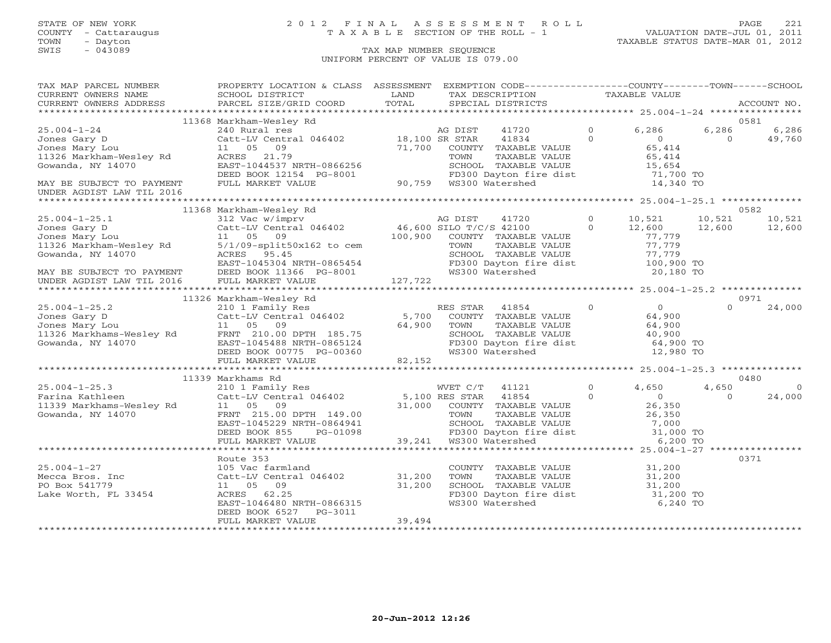### STATE OF NEW YORK 2 0 1 2 F I N A L A S S E S S M E N T R O L L PAGE 221 COUNTY - Cattaraugus T A X A B L E SECTION OF THE ROLL - 1 VALUATION DATE-JUL 01, 2011

| TAX MAP PARCEL NUMBER                                                                                                                                                                                                                            | PROPERTY LOCATION & CLASS ASSESSMENT           |                                                                    |                        | EXEMPTION CODE----------------COUNTY-------TOWN------SCHOOL                               |          |                              |          |             |
|--------------------------------------------------------------------------------------------------------------------------------------------------------------------------------------------------------------------------------------------------|------------------------------------------------|--------------------------------------------------------------------|------------------------|-------------------------------------------------------------------------------------------|----------|------------------------------|----------|-------------|
| CURRENT OWNERS NAME                                                                                                                                                                                                                              | SCHOOL DISTRICT                                | LAND                                                               |                        | TAX DESCRIPTION                                                                           |          | TAXABLE VALUE                |          |             |
| CURRENT OWNERS ADDRESS                                                                                                                                                                                                                           | PARCEL SIZE/GRID COORD                         | TOTAL                                                              |                        | SPECIAL DISTRICTS                                                                         |          |                              |          | ACCOUNT NO. |
|                                                                                                                                                                                                                                                  |                                                |                                                                    |                        |                                                                                           |          |                              |          |             |
|                                                                                                                                                                                                                                                  | 11368 Markham-Wesley Rd                        |                                                                    |                        |                                                                                           |          |                              |          | 0581        |
| $25.004 - 1 - 24$                                                                                                                                                                                                                                | 240 Rural res                                  |                                                                    | AG DIST                | 41720                                                                                     | $\Omega$ | 6,286                        | 6,286    | 6,286       |
| Jones Gary D                                                                                                                                                                                                                                     | Catt-LV Central 046402                         | 18,100 SR STAR                                                     |                        | 41834                                                                                     | $\Omega$ | $\overline{0}$               | $\Omega$ | 49,760      |
| Jones Mary Lou                                                                                                                                                                                                                                   | 11 05<br>09                                    | 71,700                                                             |                        | COUNTY TAXABLE VALUE                                                                      |          | 65,414                       |          |             |
| 11326 Markham-Wesley Rd                                                                                                                                                                                                                          | $ACRES$ 21.79                                  |                                                                    | TOWN                   | TAXABLE VALUE                                                                             |          | $65,414$<br>$65,414$         |          |             |
| Gowanda, NY 14070                                                                                                                                                                                                                                | EAST-1044537 NRTH-0866256                      |                                                                    |                        | SCHOOL TAXABLE VALUE<br>SCHOOL TAXABLE VALUE<br>FD300 Dayton fire dist<br>WS300 Watershed |          | 15,654                       |          |             |
|                                                                                                                                                                                                                                                  | DEED BOOK 12154 PG-8001                        | CONSIDER THE EXAMPLE TO BAYLON THE<br>-8001 90,759 WS300 Watershed |                        |                                                                                           |          | --,<br>71,700 TO             |          |             |
| MAY BE SUBJECT TO PAYMENT                                                                                                                                                                                                                        | FULL MARKET VALUE                              |                                                                    |                        |                                                                                           |          | 14,340 TO                    |          |             |
| UNDER AGDIST LAW TIL 2016                                                                                                                                                                                                                        |                                                |                                                                    |                        |                                                                                           |          |                              |          |             |
|                                                                                                                                                                                                                                                  |                                                |                                                                    |                        |                                                                                           |          |                              |          |             |
|                                                                                                                                                                                                                                                  | 11368 Markham-Wesley Rd                        |                                                                    |                        |                                                                                           |          |                              |          | 0582        |
| $25.004 - 1 - 25.1$                                                                                                                                                                                                                              | 312 Vac w/imprv                                |                                                                    | AG DIST                | 41720                                                                                     | $\Omega$ | 10,521                       | 10,521   | 10,521      |
| Jones Gary D                                                                                                                                                                                                                                     | Catt-LV Central 046402 46,600 SILO T/C/S 42100 |                                                                    |                        |                                                                                           | $\Omega$ | 12,600                       | 12,600   | 12,600      |
| Jones Mary Lou                                                                                                                                                                                                                                   | 11 05 09                                       |                                                                    |                        | 100,900 COUNTY TAXABLE VALUE                                                              |          | 77.779                       |          |             |
|                                                                                                                                                                                                                                                  |                                                |                                                                    | TOWN                   | TAXABLE VALUE                                                                             |          | 77,779                       |          |             |
|                                                                                                                                                                                                                                                  |                                                |                                                                    |                        | SCHOOL TAXABLE VALUE                                                                      |          | 77,779                       |          |             |
|                                                                                                                                                                                                                                                  |                                                |                                                                    |                        | FD300 Dayton fire dist 100,900 TO                                                         |          |                              |          |             |
| 00011326 Markham-Wesley Rd<br>Gowanda, NY 14070<br>MAY BE SUBJECT TO PAYMENT<br>MAY BE SUBJECT TO PAYMENT<br>MAY BE SUBJECT TO PAYMENT<br>DEED BOOK 11366 PG-8001<br>UNDER AGDIST LAW TIL 2016<br>FULL MARKET VALUE<br>TULL MARKET VALUE<br>127, |                                                |                                                                    | WS300 Watershed        |                                                                                           |          | 20,180 TO                    |          |             |
|                                                                                                                                                                                                                                                  |                                                |                                                                    |                        |                                                                                           |          |                              |          |             |
|                                                                                                                                                                                                                                                  |                                                |                                                                    |                        |                                                                                           |          |                              |          |             |
|                                                                                                                                                                                                                                                  | 11326 Markham-Wesley Rd                        |                                                                    |                        |                                                                                           |          |                              |          | 0971        |
| $25.004 - 1 - 25.2$                                                                                                                                                                                                                              |                                                |                                                                    | RES STAR 41854         |                                                                                           | $\Omega$ | $\overline{0}$               | $\Omega$ | 24,000      |
|                                                                                                                                                                                                                                                  |                                                | 5,700                                                              |                        | COUNTY TAXABLE VALUE                                                                      |          | 64,900                       |          |             |
|                                                                                                                                                                                                                                                  |                                                | 64,900                                                             | TOWN                   | TAXABLE VALUE                                                                             |          | 64,900                       |          |             |
|                                                                                                                                                                                                                                                  |                                                |                                                                    |                        | SCHOOL TAXABLE VALUE<br>FD300 Dayton fire dist                                            |          | 40,900<br>64,900 TO          |          |             |
|                                                                                                                                                                                                                                                  |                                                |                                                                    |                        |                                                                                           |          |                              |          |             |
|                                                                                                                                                                                                                                                  | DEED BOOK 00775 PG-00360                       |                                                                    |                        | WS300 Watershed                                                                           |          | 12,980 TO                    |          |             |
|                                                                                                                                                                                                                                                  | FULL MARKET VALUE                              | 82,152                                                             |                        |                                                                                           |          |                              |          |             |
|                                                                                                                                                                                                                                                  | 11339 Markhams Rd                              |                                                                    |                        |                                                                                           |          |                              |          | 0480        |
| $25.004 - 1 - 25.3$                                                                                                                                                                                                                              | 210 1 Family Res                               |                                                                    | WVET C/T               | 41121                                                                                     | $\Omega$ | 4,650                        | 4,650    | $\Omega$    |
|                                                                                                                                                                                                                                                  | Catt-LV Central 046402 5,100 RES STAR          |                                                                    |                        | 41854                                                                                     | $\Omega$ | $\overline{0}$               | $\Omega$ | 24,000      |
|                                                                                                                                                                                                                                                  | 11 05 09                                       |                                                                    |                        | 31,000 COUNTY TAXABLE VALUE                                                               |          | 26,350                       |          |             |
| 25.004-1-25.3<br>Farina Kathleen<br>11339 Markhams-Wesley Rd<br>III Markhams-Wesley Rd<br>Gowanda, NY 14070                                                                                                                                      | FRNT 215.00 DPTH 149.00                        |                                                                    | TOWN                   | TAXABLE VALUE                                                                             |          | 26,350                       |          |             |
|                                                                                                                                                                                                                                                  | EAST-1045229 NRTH-0864941                      |                                                                    |                        |                                                                                           |          |                              |          |             |
|                                                                                                                                                                                                                                                  | DEED BOOK 855<br>PG-01098                      |                                                                    |                        | SCHOOL TAXABLE VALUE 7,000<br>FD300 Dayton fire dist 31,000 TO                            |          |                              |          |             |
|                                                                                                                                                                                                                                                  | FULL MARKET VALUE                              |                                                                    | 39,241 WS300 Watershed |                                                                                           |          | 6,200 TO                     |          |             |
|                                                                                                                                                                                                                                                  |                                                |                                                                    |                        |                                                                                           |          |                              |          |             |
|                                                                                                                                                                                                                                                  | Route 353                                      |                                                                    |                        |                                                                                           |          |                              |          | 0371        |
| $25.004 - 1 - 27$                                                                                                                                                                                                                                | 105 Vac farmland                               |                                                                    |                        | COUNTY TAXABLE VALUE                                                                      |          | 31,200                       |          |             |
| Mecca Bros. Inc                                                                                                                                                                                                                                  | Catt-LV Central 046402                         | 31,200                                                             | TOWN                   | TAXABLE VALUE                                                                             |          | 31,200                       |          |             |
| PO Box 541779                                                                                                                                                                                                                                    | 11 05<br>09                                    | 31,200                                                             |                        |                                                                                           |          |                              |          |             |
| Lake Worth, FL 33454                                                                                                                                                                                                                             | ACRES 62.25                                    |                                                                    |                        | SCHOOL TAXABLE VALUE<br>FD300 Dayton fire dist                                            |          | $31, 200$ TO<br>$31, 200$ TO |          |             |
|                                                                                                                                                                                                                                                  | EAST-1046480 NRTH-0866315                      |                                                                    |                        | WS300 Watershed                                                                           |          | 6,240 TO                     |          |             |
|                                                                                                                                                                                                                                                  | DEED BOOK 6527<br>PG-3011                      |                                                                    |                        |                                                                                           |          |                              |          |             |
|                                                                                                                                                                                                                                                  | FULL MARKET VALUE                              | 39,494                                                             |                        |                                                                                           |          |                              |          |             |
|                                                                                                                                                                                                                                                  |                                                |                                                                    |                        |                                                                                           |          |                              |          |             |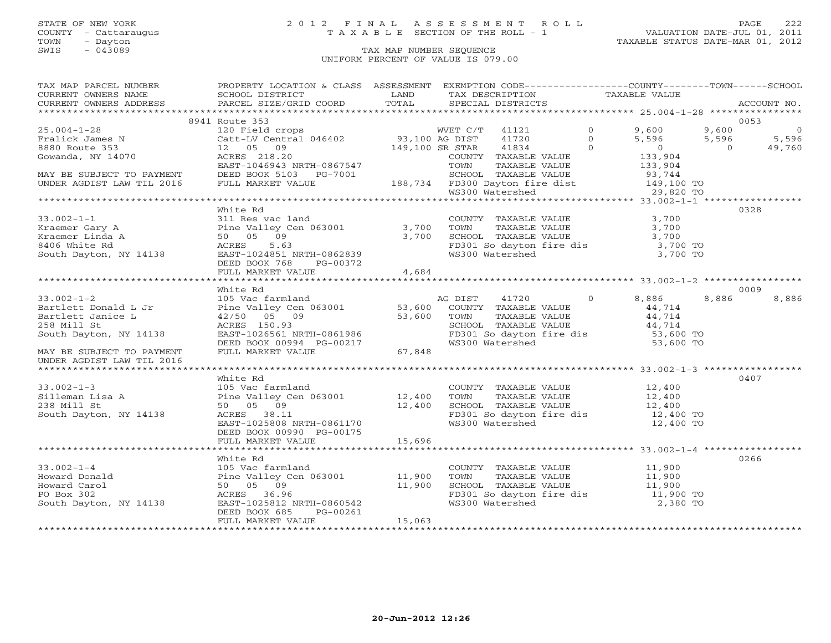# STATE OF NEW YORK 2 0 1 2 F I N A L A S S E S S M E N T R O L L PAGE 222 COUNTY - Cattaraugus T A X A B L E SECTION OF THE ROLL - 1 VALUATION DATE-JUL 01, 2011

| TAX MAP PARCEL NUMBER                                                                                                                                                                                                                                                                                           | PROPERTY LOCATION & CLASS ASSESSMENT EXEMPTION CODE----------------COUNTY-------TOWN------SCHOOL |        |  |  |       |
|-----------------------------------------------------------------------------------------------------------------------------------------------------------------------------------------------------------------------------------------------------------------------------------------------------------------|--------------------------------------------------------------------------------------------------|--------|--|--|-------|
|                                                                                                                                                                                                                                                                                                                 |                                                                                                  |        |  |  |       |
|                                                                                                                                                                                                                                                                                                                 | 8941 Route 353                                                                                   |        |  |  | 0053  |
| $\begin{array}{lcccc} 25.004-1-28 & 8941 \; \text{Route 353} & 12 & 0 & 9,600 & 9,600 & 9,600 & 0 \\ & 120 \; \text{Fe1ick James N} & 120 \; \text{Fe1K} & 140 \; \text{O} & 149,100 \; \text{GR STR} & 41834 & 0 & 5,596 & 5,596 & 5,596 & 5,596 & 5,596 & 5,596 & 5,596 & 5,596 & 5,596 & 5,596 & 5,596 & 5,$ |                                                                                                  |        |  |  |       |
|                                                                                                                                                                                                                                                                                                                 |                                                                                                  |        |  |  |       |
|                                                                                                                                                                                                                                                                                                                 |                                                                                                  |        |  |  |       |
|                                                                                                                                                                                                                                                                                                                 |                                                                                                  |        |  |  |       |
|                                                                                                                                                                                                                                                                                                                 |                                                                                                  |        |  |  |       |
|                                                                                                                                                                                                                                                                                                                 |                                                                                                  |        |  |  |       |
|                                                                                                                                                                                                                                                                                                                 |                                                                                                  |        |  |  |       |
|                                                                                                                                                                                                                                                                                                                 |                                                                                                  |        |  |  |       |
|                                                                                                                                                                                                                                                                                                                 |                                                                                                  |        |  |  |       |
|                                                                                                                                                                                                                                                                                                                 | White Rd                                                                                         |        |  |  | 0328  |
|                                                                                                                                                                                                                                                                                                                 |                                                                                                  |        |  |  |       |
|                                                                                                                                                                                                                                                                                                                 |                                                                                                  |        |  |  |       |
| 33.002-1-1<br>Xraemer Gary A<br>Xraemer Linda A<br>So 05 09<br>South Dayton, NY 14138<br>South Dayton, NY 14138<br>South Dayton, NY 14138<br>CERES<br>South Dayton, NY 14138<br>CERES<br>CERES<br>CERES<br>CERES<br>CERES<br>CERES<br>CERES<br>CERES<br>CERES<br>                                               |                                                                                                  |        |  |  |       |
|                                                                                                                                                                                                                                                                                                                 |                                                                                                  |        |  |  |       |
|                                                                                                                                                                                                                                                                                                                 |                                                                                                  |        |  |  |       |
|                                                                                                                                                                                                                                                                                                                 |                                                                                                  |        |  |  |       |
|                                                                                                                                                                                                                                                                                                                 |                                                                                                  |        |  |  |       |
|                                                                                                                                                                                                                                                                                                                 | White Rd                                                                                         |        |  |  | 0009  |
|                                                                                                                                                                                                                                                                                                                 |                                                                                                  |        |  |  | 8,886 |
|                                                                                                                                                                                                                                                                                                                 |                                                                                                  |        |  |  |       |
|                                                                                                                                                                                                                                                                                                                 |                                                                                                  |        |  |  |       |
|                                                                                                                                                                                                                                                                                                                 |                                                                                                  |        |  |  |       |
|                                                                                                                                                                                                                                                                                                                 |                                                                                                  |        |  |  |       |
|                                                                                                                                                                                                                                                                                                                 |                                                                                                  |        |  |  |       |
| 33.002-1-2<br>Bartlett Donald L Jr 105 Valley Cen 063001<br>Bartlett Janice L 42/50 05 09<br>258 Mill Street Janice L 42/50 05 09<br>258 Mill Street Janice L 42/50 05 09<br>258 Mill Street Donald L 3 ACRES 150.93<br>26 MAY BE SUBJECT                                                                       |                                                                                                  |        |  |  |       |
| UNDER AGDIST LAW TIL 2016                                                                                                                                                                                                                                                                                       |                                                                                                  |        |  |  |       |
|                                                                                                                                                                                                                                                                                                                 |                                                                                                  |        |  |  |       |
|                                                                                                                                                                                                                                                                                                                 | White Rd                                                                                         |        |  |  | 0407  |
|                                                                                                                                                                                                                                                                                                                 |                                                                                                  |        |  |  |       |
|                                                                                                                                                                                                                                                                                                                 |                                                                                                  |        |  |  |       |
|                                                                                                                                                                                                                                                                                                                 |                                                                                                  |        |  |  |       |
| 33.002-1-3<br>Silleman Lisa A<br>238 Mill St<br>238 Mill St<br>238 Mill St<br>238 Mill St<br>238 Mill St<br>238 Mill St<br>238 Mill St<br>238 Mill St<br>238 Mill St<br>2400<br>238 Mill St<br>2,400<br>238 Mill St<br>2,400<br>22,400<br>22,400<br>238 Mill St<br>2                                            |                                                                                                  |        |  |  |       |
|                                                                                                                                                                                                                                                                                                                 |                                                                                                  |        |  |  |       |
|                                                                                                                                                                                                                                                                                                                 | DEED BOOK 00990 PG-00175                                                                         |        |  |  |       |
|                                                                                                                                                                                                                                                                                                                 |                                                                                                  |        |  |  |       |
|                                                                                                                                                                                                                                                                                                                 | White Rd                                                                                         |        |  |  | 0266  |
|                                                                                                                                                                                                                                                                                                                 |                                                                                                  |        |  |  |       |
|                                                                                                                                                                                                                                                                                                                 |                                                                                                  |        |  |  |       |
| 33.002-1-4<br>33.002-1-4<br>Howard Donald<br>Howard Carol 2000 1000 1000 11,900 11,900 TOWN TAXABLE VALUE<br>2,380 TO Box 302<br>FO Box 302<br>South Dayton, NY 14138<br>FO Box 302<br>South Dayton, NY 14138<br>FO Box 302<br>EAST-1025812<br>NRTH-                                                            |                                                                                                  |        |  |  |       |
|                                                                                                                                                                                                                                                                                                                 |                                                                                                  |        |  |  |       |
|                                                                                                                                                                                                                                                                                                                 |                                                                                                  |        |  |  |       |
|                                                                                                                                                                                                                                                                                                                 | DEED BOOK 685 PG-00261                                                                           |        |  |  |       |
|                                                                                                                                                                                                                                                                                                                 | FULL MARKET VALUE                                                                                | 15,063 |  |  |       |
|                                                                                                                                                                                                                                                                                                                 |                                                                                                  |        |  |  |       |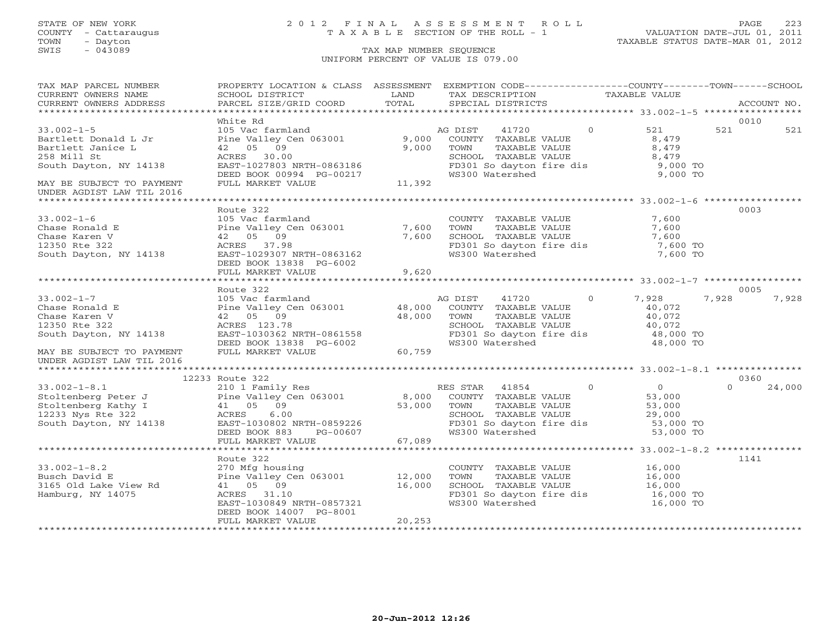# STATE OF NEW YORK 2 0 1 2 F I N A L A S S E S S M E N T R O L L PAGE 223 COUNTY - Cattaraugus T A X A B L E SECTION OF THE ROLL - 1 VALUATION DATE-JUL 01, 2011

| TAX MAP PARCEL NUMBER                                                                                                                                                                                                                                                                                                                                                                                           | PROPERTY LOCATION & CLASS ASSESSMENT EXEMPTION CODE----------------COUNTY-------TOWN------SCHOOL                                                           |            |                                                                                                                                                       |          |                      |          |             |
|-----------------------------------------------------------------------------------------------------------------------------------------------------------------------------------------------------------------------------------------------------------------------------------------------------------------------------------------------------------------------------------------------------------------|------------------------------------------------------------------------------------------------------------------------------------------------------------|------------|-------------------------------------------------------------------------------------------------------------------------------------------------------|----------|----------------------|----------|-------------|
| CURRENT OWNERS NAME                                                                                                                                                                                                                                                                                                                                                                                             | SCHOOL DISTRICT                                                                                                                                            | LAND       | TAX DESCRIPTION                                                                                                                                       |          | TAXABLE VALUE        |          |             |
| CURRENT OWNERS ADDRESS                                                                                                                                                                                                                                                                                                                                                                                          | PARCEL SIZE/GRID COORD TOTAL                                                                                                                               |            | SPECIAL DISTRICTS                                                                                                                                     |          |                      |          | ACCOUNT NO. |
|                                                                                                                                                                                                                                                                                                                                                                                                                 |                                                                                                                                                            |            |                                                                                                                                                       |          |                      |          |             |
|                                                                                                                                                                                                                                                                                                                                                                                                                 | White Rd                                                                                                                                                   |            |                                                                                                                                                       |          |                      |          | 0010        |
| $33.002 - 1 - 5$                                                                                                                                                                                                                                                                                                                                                                                                |                                                                                                                                                            |            |                                                                                                                                                       | $\Omega$ | 521                  | 521      | 521         |
| Bartlett Donald L Jr                                                                                                                                                                                                                                                                                                                                                                                            |                                                                                                                                                            |            |                                                                                                                                                       |          | 8,479                |          |             |
| Bartlett Janice L                                                                                                                                                                                                                                                                                                                                                                                               | 42 05 09                                                                                                                                                   | 9,000 TOWN | TOWN      TAXABLE VALUE<br>SCHOOL   TAXABLE VALUE                                                                                                     |          | 8,479                |          |             |
| 258 Mill St                                                                                                                                                                                                                                                                                                                                                                                                     | ACRES 30.00                                                                                                                                                |            |                                                                                                                                                       |          | 8,479<br>8,479       |          |             |
| South Dayton, NY 14138                                                                                                                                                                                                                                                                                                                                                                                          |                                                                                                                                                            |            | FD301 So dayton fire dis<br>WS300 Watershed                                                                                                           |          | 9,000 TO<br>9,000 TO |          |             |
|                                                                                                                                                                                                                                                                                                                                                                                                                 |                                                                                                                                                            |            |                                                                                                                                                       |          |                      |          |             |
| MAY BE SUBJECT TO PAYMENT<br>UNDER AGDIST LAW TIL 2016                                                                                                                                                                                                                                                                                                                                                          | ACRES 30.00<br>EAST-1027803 NRTH-0863186<br>DEED BOOK 00994 PG-00217<br>FULL MARKET VALUE 11,392                                                           |            |                                                                                                                                                       |          |                      |          |             |
|                                                                                                                                                                                                                                                                                                                                                                                                                 |                                                                                                                                                            |            |                                                                                                                                                       |          |                      |          |             |
|                                                                                                                                                                                                                                                                                                                                                                                                                 | Route 322                                                                                                                                                  |            |                                                                                                                                                       |          |                      |          | 0003        |
| $33.002 - 1 - 6$                                                                                                                                                                                                                                                                                                                                                                                                | 105 Vac farmland                                                                                                                                           |            | COUNTY TAXABLE VALUE                                                                                                                                  |          | 7,600                |          |             |
| Chase Ronald E                                                                                                                                                                                                                                                                                                                                                                                                  | Pine Valley Cen 063001 7,600                                                                                                                               |            | TAXABLE VALUE<br>TOWN                                                                                                                                 |          | 7,600                |          |             |
| Chase Karen V                                                                                                                                                                                                                                                                                                                                                                                                   | 42 05 09                                                                                                                                                   |            | 7,600 SCHOOL TAXABLE VALUE                                                                                                                            |          | 7,600                |          |             |
| 12350 Rte 322                                                                                                                                                                                                                                                                                                                                                                                                   | ACRES 37.98                                                                                                                                                |            | FD301 So dayton fire dis 7,600 TO                                                                                                                     |          |                      |          |             |
| South Dayton, NY 14138                                                                                                                                                                                                                                                                                                                                                                                          | EAST-1029307 NRTH-0863162                                                                                                                                  |            | WS300 Watershed                                                                                                                                       |          | 7,600 TO             |          |             |
|                                                                                                                                                                                                                                                                                                                                                                                                                 | DEED BOOK 13838 PG-6002                                                                                                                                    |            |                                                                                                                                                       |          |                      |          |             |
|                                                                                                                                                                                                                                                                                                                                                                                                                 | FULL MARKET VALUE                                                                                                                                          | 9,620      |                                                                                                                                                       |          |                      |          |             |
|                                                                                                                                                                                                                                                                                                                                                                                                                 |                                                                                                                                                            |            |                                                                                                                                                       |          |                      |          |             |
|                                                                                                                                                                                                                                                                                                                                                                                                                 | Route 322                                                                                                                                                  |            |                                                                                                                                                       |          |                      |          | 0005        |
| $33.002 - 1 - 7$                                                                                                                                                                                                                                                                                                                                                                                                |                                                                                                                                                            |            | AG DIST 41720 0                                                                                                                                       |          | 7,928                | 7,928    | 7,928       |
| Chase Ronald E                                                                                                                                                                                                                                                                                                                                                                                                  | 105 Vac farmland                                     AG DIST       41720             0<br>Pine Valley Cen 063001             48,000   COUNTY TAXABLE VALUE |            |                                                                                                                                                       |          | 40,072               |          |             |
| Chase Karen V                                                                                                                                                                                                                                                                                                                                                                                                   |                                                                                                                                                            |            |                                                                                                                                                       |          |                      |          |             |
| 12350 Rte 322                                                                                                                                                                                                                                                                                                                                                                                                   |                                                                                                                                                            |            | TOWN      TAXABLE VALUE<br>SCHOOL   TAXABLE VALUE                                                                                                     |          | 40,072<br>40,072     |          |             |
| South Dayton, NY 14138                                                                                                                                                                                                                                                                                                                                                                                          |                                                                                                                                                            |            |                                                                                                                                                       |          |                      |          |             |
|                                                                                                                                                                                                                                                                                                                                                                                                                 |                                                                                                                                                            |            | FD301 So dayton fire dis $48,000$ TO<br>WS300 Watershed $48,000$ TO                                                                                   |          |                      |          |             |
| MAY BE SUBJECT TO PAYMENT                                                                                                                                                                                                                                                                                                                                                                                       | 48,000 TOWN<br>ACRES 123.78 48,000 TOWN<br>EAST-1030362 NRTH-0861558 FD301<br>DEED BOOK 13838 PG-6002 60,759 SCHOOL                                        |            |                                                                                                                                                       |          |                      |          |             |
| UNDER AGDIST LAW TIL 2016                                                                                                                                                                                                                                                                                                                                                                                       |                                                                                                                                                            |            |                                                                                                                                                       |          |                      |          |             |
|                                                                                                                                                                                                                                                                                                                                                                                                                 |                                                                                                                                                            |            |                                                                                                                                                       |          |                      |          |             |
| ------> Noute 322<br>Stoltenberg Peter J<br>Stoltenberg Peter J<br>Stoltenberg Kathy I (105 09 (1233 AVS RES STAR ALUE Prince Contently Consider Active Content of TAXABLE VALUE<br>Stoltenberg Kathy I (105 09 53,000 TOWN TAXABLE VA                                                                                                                                                                          |                                                                                                                                                            |            |                                                                                                                                                       |          |                      |          | 0360        |
|                                                                                                                                                                                                                                                                                                                                                                                                                 |                                                                                                                                                            |            | RES STAR 41854 0                                                                                                                                      |          | $\overline{0}$       | $\Omega$ | 24,000      |
|                                                                                                                                                                                                                                                                                                                                                                                                                 |                                                                                                                                                            |            |                                                                                                                                                       |          | 53,000               |          |             |
|                                                                                                                                                                                                                                                                                                                                                                                                                 |                                                                                                                                                            |            | TOWN TAXABLE VALUE<br>SCHOOL TAXABLE VALUE 29,000 TO<br>1. In fire dis 53,000 TO                                                                      |          |                      |          |             |
|                                                                                                                                                                                                                                                                                                                                                                                                                 |                                                                                                                                                            |            |                                                                                                                                                       |          |                      |          |             |
| $\begin{array}{cccccccc} \texttt{12233 Nys Rte 322} & \texttt{ACRES} & \texttt{6.00} & \texttt{SCHOOL} & \texttt{TAXABLE VALUE} & \texttt{29,000} \\ \texttt{South Dayton, NY 14138} & \texttt{EAST-1030802 NRFH-0859226} & \texttt{DEED BOOK 883} & \texttt{PG-00607} & \texttt{67,089} & \texttt{53,000 TO} \\ & & & & & & & \\ \texttt{WSS00 Watershed} & \texttt{53,000 TO} & \texttt{53,000 TO} & \texttt$ |                                                                                                                                                            |            |                                                                                                                                                       |          |                      |          |             |
|                                                                                                                                                                                                                                                                                                                                                                                                                 |                                                                                                                                                            |            |                                                                                                                                                       |          |                      |          |             |
|                                                                                                                                                                                                                                                                                                                                                                                                                 |                                                                                                                                                            |            |                                                                                                                                                       |          |                      |          |             |
|                                                                                                                                                                                                                                                                                                                                                                                                                 |                                                                                                                                                            |            |                                                                                                                                                       |          |                      |          |             |
|                                                                                                                                                                                                                                                                                                                                                                                                                 | Route 322                                                                                                                                                  |            |                                                                                                                                                       |          |                      |          | 1141        |
| $33.002 - 1 - 8.2$                                                                                                                                                                                                                                                                                                                                                                                              |                                                                                                                                                            |            |                                                                                                                                                       |          |                      |          |             |
|                                                                                                                                                                                                                                                                                                                                                                                                                 | 270 Mfg housing<br>Pine Valley Cen 063001 12,000                                                                                                           |            |                                                                                                                                                       |          |                      |          |             |
| Busch David E<br>3165 Old Lake View Rd                                                                                                                                                                                                                                                                                                                                                                          | $\frac{12}{16}$ , 000<br>41 05 09                                                                                                                          |            | COUNTY TAXABLE VALUE 16,000<br>TOWN TAXABLE VALUE 16,000<br>SCHOOL TAXABLE VALUE 16,000<br>FD301 So dayton fire dis 16,000 TO<br>SCHOOL TAXABLE VALUE |          |                      |          |             |
| Hamburg, NY 14075                                                                                                                                                                                                                                                                                                                                                                                               | ACRES 31.10                                                                                                                                                |            |                                                                                                                                                       |          |                      |          |             |
|                                                                                                                                                                                                                                                                                                                                                                                                                 | EAST-1030849 NRTH-0857321                                                                                                                                  |            | WS300 Watershed                                                                                                                                       |          | 16,000 TO            |          |             |
|                                                                                                                                                                                                                                                                                                                                                                                                                 | DEED BOOK 14007 PG-8001                                                                                                                                    |            |                                                                                                                                                       |          |                      |          |             |
|                                                                                                                                                                                                                                                                                                                                                                                                                 | FULL MARKET VALUE                                                                                                                                          | 20,253     |                                                                                                                                                       |          |                      |          |             |
|                                                                                                                                                                                                                                                                                                                                                                                                                 | *****************                                                                                                                                          |            |                                                                                                                                                       |          |                      |          |             |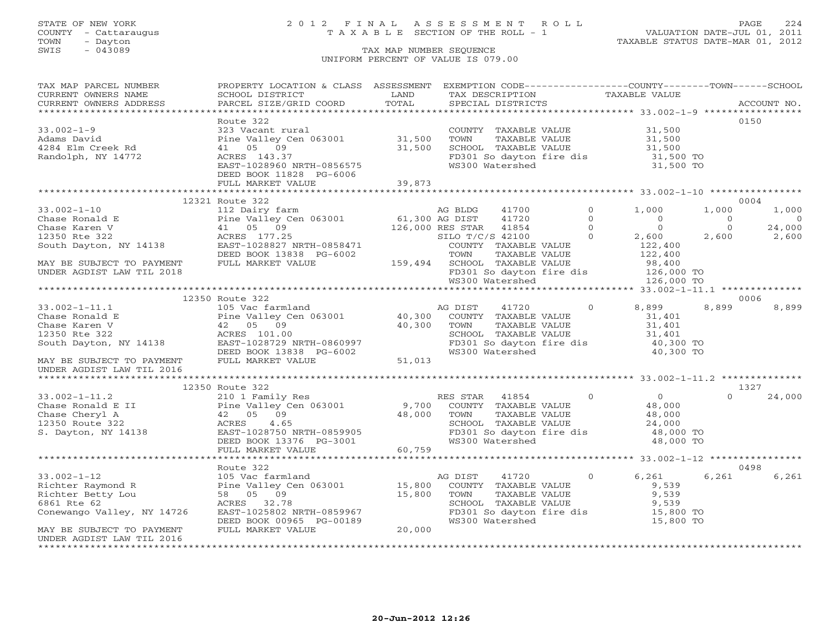# STATE OF NEW YORK 2 0 1 2 F I N A L A S S E S S M E N T R O L L PAGE 224 COUNTY - Cattaraugus T A X A B L E SECTION OF THE ROLL - 1 VALUATION DATE-JUL 01, 2011

### TOWN - Dayton - Dayton 1989<br>
TAX MAP NUMBER SEQUENCE - TAXABLE STATUS DATE-MAR 01, 2012<br>
SWIS - 043089 - TAX MAP NUMBER SEQUENCE TAX MAP NUMBER SEQUENCE UNIFORM PERCENT OF VALUE IS 079.00

| TAX MAP PARCEL NUMBER                                                                                                                                                                                      | PROPERTY LOCATION & CLASS ASSESSMENT EXEMPTION CODE----------------COUNTY-------TOWN------SCHOOL |               |                                                                                                                                                    |         |                |                                      |                |
|------------------------------------------------------------------------------------------------------------------------------------------------------------------------------------------------------------|--------------------------------------------------------------------------------------------------|---------------|----------------------------------------------------------------------------------------------------------------------------------------------------|---------|----------------|--------------------------------------|----------------|
| CURRENT OWNERS NAME                                                                                                                                                                                        | <b>Example 12</b> LAND<br>SCHOOL DISTRICT                                                        |               | TAX DESCRIPTION TAXABLE VALUE                                                                                                                      |         |                |                                      |                |
| CURRENT OWNERS ADDRESS                                                                                                                                                                                     | PARCEL SIZE/GRID COORD                                                                           | LAND<br>TOTAL | SPECIAL DISTRICTS                                                                                                                                  |         |                |                                      | ACCOUNT NO.    |
|                                                                                                                                                                                                            |                                                                                                  |               |                                                                                                                                                    |         |                |                                      |                |
|                                                                                                                                                                                                            | Route 322                                                                                        |               |                                                                                                                                                    |         |                |                                      | 0150           |
| $33.002 - 1 - 9$                                                                                                                                                                                           | 023 Vacant rural<br>Pine Valley Cen 063001 31,500<br>41 05 09 31,500<br>ACRES 143 37             |               | COUNTY TAXABLE VALUE                                                                                                                               |         | 31,500         |                                      |                |
| Adams David                                                                                                                                                                                                |                                                                                                  |               | COMMITTAXABLE VALUE<br>TOWN TAXABLE VALUE 31,500<br>SCHOOL TAXABLE VALUE 31,500<br>FD301 So dayton fire dis 31,500 TO<br>WS300 Watershed 31,500 TO |         |                |                                      |                |
| 4284 Elm Creek Rd                                                                                                                                                                                          |                                                                                                  |               |                                                                                                                                                    |         |                |                                      |                |
| Randolph, NY 14772                                                                                                                                                                                         | ACRES 143.37                                                                                     |               |                                                                                                                                                    |         |                |                                      |                |
|                                                                                                                                                                                                            | ACRES 143.37<br>EAST-1028960 NRTH-0856575                                                        |               |                                                                                                                                                    |         |                |                                      |                |
|                                                                                                                                                                                                            | DEED BOOK 11828 PG-6006                                                                          |               |                                                                                                                                                    |         |                |                                      |                |
|                                                                                                                                                                                                            | FULL MARKET VALUE                                                                                | 39,873        |                                                                                                                                                    |         |                |                                      |                |
|                                                                                                                                                                                                            |                                                                                                  |               |                                                                                                                                                    |         |                |                                      |                |
|                                                                                                                                                                                                            |                                                                                                  |               |                                                                                                                                                    |         |                |                                      | 0004           |
|                                                                                                                                                                                                            |                                                                                                  |               |                                                                                                                                                    |         |                | 1,000                                | 1,000          |
|                                                                                                                                                                                                            |                                                                                                  |               |                                                                                                                                                    |         |                | $\begin{matrix} 0 \\ 0 \end{matrix}$ | $\overline{0}$ |
|                                                                                                                                                                                                            |                                                                                                  |               |                                                                                                                                                    |         |                |                                      | 24,000         |
|                                                                                                                                                                                                            |                                                                                                  |               |                                                                                                                                                    |         |                |                                      | 2,600 2,600    |
|                                                                                                                                                                                                            |                                                                                                  |               |                                                                                                                                                    |         |                |                                      |                |
|                                                                                                                                                                                                            |                                                                                                  |               |                                                                                                                                                    |         |                |                                      |                |
|                                                                                                                                                                                                            |                                                                                                  |               |                                                                                                                                                    |         |                |                                      |                |
|                                                                                                                                                                                                            |                                                                                                  |               |                                                                                                                                                    |         |                |                                      |                |
|                                                                                                                                                                                                            |                                                                                                  |               |                                                                                                                                                    |         |                |                                      |                |
|                                                                                                                                                                                                            |                                                                                                  |               |                                                                                                                                                    |         |                |                                      |                |
|                                                                                                                                                                                                            |                                                                                                  |               |                                                                                                                                                    |         |                |                                      | 0006           |
|                                                                                                                                                                                                            |                                                                                                  |               |                                                                                                                                                    |         |                | 8,899                                | 8,899          |
|                                                                                                                                                                                                            |                                                                                                  |               |                                                                                                                                                    |         |                |                                      |                |
|                                                                                                                                                                                                            |                                                                                                  |               |                                                                                                                                                    |         |                |                                      |                |
|                                                                                                                                                                                                            |                                                                                                  |               |                                                                                                                                                    |         |                |                                      |                |
|                                                                                                                                                                                                            |                                                                                                  |               |                                                                                                                                                    |         |                |                                      |                |
|                                                                                                                                                                                                            |                                                                                                  |               |                                                                                                                                                    |         |                |                                      |                |
|                                                                                                                                                                                                            |                                                                                                  |               |                                                                                                                                                    |         |                |                                      |                |
|                                                                                                                                                                                                            |                                                                                                  |               |                                                                                                                                                    |         |                |                                      |                |
|                                                                                                                                                                                                            |                                                                                                  |               |                                                                                                                                                    |         |                |                                      |                |
|                                                                                                                                                                                                            | 12350 Route 322                                                                                  |               |                                                                                                                                                    |         |                |                                      | 1327           |
|                                                                                                                                                                                                            |                                                                                                  |               |                                                                                                                                                    |         |                | $\Omega$                             | 24,000         |
|                                                                                                                                                                                                            |                                                                                                  |               |                                                                                                                                                    |         |                |                                      |                |
|                                                                                                                                                                                                            |                                                                                                  |               |                                                                                                                                                    |         |                |                                      |                |
|                                                                                                                                                                                                            |                                                                                                  |               | SCHOOL TAXABLE VALUE $24,000$<br>FD301 So dayton fire dis $48,000$ TO<br>WS300 Watershed $48,000$ TO                                               |         |                |                                      |                |
|                                                                                                                                                                                                            |                                                                                                  |               |                                                                                                                                                    |         |                |                                      |                |
|                                                                                                                                                                                                            |                                                                                                  |               |                                                                                                                                                    |         |                |                                      |                |
|                                                                                                                                                                                                            |                                                                                                  |               |                                                                                                                                                    |         |                |                                      |                |
|                                                                                                                                                                                                            | Route 322                                                                                        |               |                                                                                                                                                    |         |                |                                      | 0498           |
|                                                                                                                                                                                                            |                                                                                                  |               | AG DIST<br>41720                                                                                                                                   | $\circ$ | 6,261          | 6,261                                | 6,261          |
|                                                                                                                                                                                                            |                                                                                                  |               |                                                                                                                                                    |         | 9,539          |                                      |                |
|                                                                                                                                                                                                            |                                                                                                  |               |                                                                                                                                                    |         |                |                                      |                |
| 33.002-1-12 105 Vac farmland AG<br>Richter Raymond R Pine Valley Cen 063001 15,800<br>Richter Betty Lou 58 05 09 15,800<br>6861 Rte 62 ACRES 32.78<br>Conewango Valley, NY 14726 EAST-1025802 NRTH-0859967 |                                                                                                  |               | COUNTY TAXABLE VALUE<br>TOWN     TAXABLE VALUE<br>SCHOOL   TAXABLE VALUE                                                                           |         | 9,539<br>9,539 |                                      |                |
|                                                                                                                                                                                                            |                                                                                                  |               |                                                                                                                                                    |         |                |                                      |                |
|                                                                                                                                                                                                            | DEED BOOK 00965 PG-00189                                                                         |               | FD301 So dayton fire dis 15,800 TO<br>WS300 Watershed 15,800 TO                                                                                    |         |                |                                      |                |
| MAY BE SUBJECT TO PAYMENT                                                                                                                                                                                  | FULL MARKET VALUE                                                                                | 20,000        |                                                                                                                                                    |         |                |                                      |                |
| UNDER AGDIST LAW TIL 2016                                                                                                                                                                                  |                                                                                                  |               |                                                                                                                                                    |         |                |                                      |                |
|                                                                                                                                                                                                            |                                                                                                  |               |                                                                                                                                                    |         |                |                                      |                |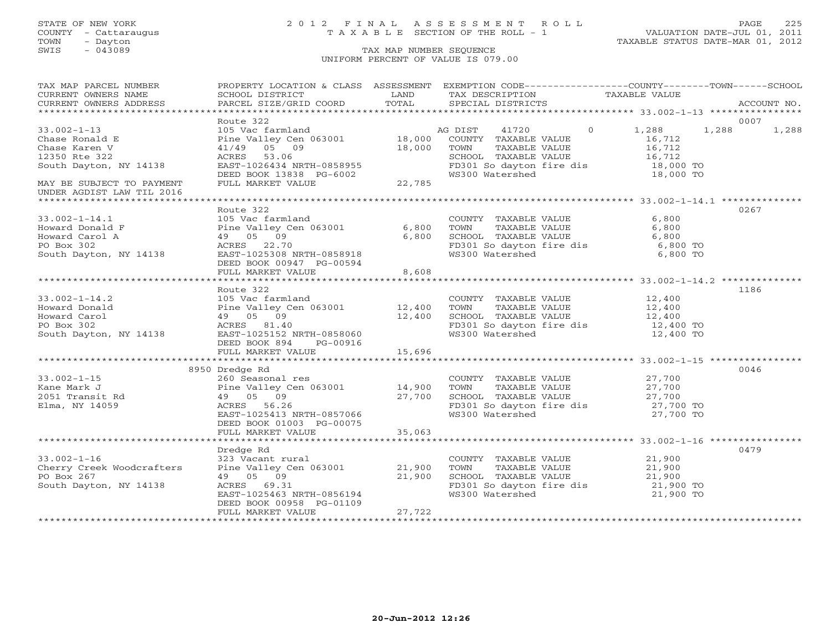# STATE OF NEW YORK 2 0 1 2 F I N A L A S S E S S M E N T R O L L PAGE 225 COUNTY - Cattaraugus T A X A B L E SECTION OF THE ROLL - 1 VALUATION DATE-JUL 01, 2011

| TAX MAP PARCEL NUMBER                                                                                                                                                                                                                                                                                                                                                                   | PROPERTY LOCATION & CLASS ASSESSMENT EXEMPTION CODE----------------COUNTY-------TOWN------SCHOOL                                                                                                         |        |                                                                                                                                                                                                                                 |           |       |
|-----------------------------------------------------------------------------------------------------------------------------------------------------------------------------------------------------------------------------------------------------------------------------------------------------------------------------------------------------------------------------------------|----------------------------------------------------------------------------------------------------------------------------------------------------------------------------------------------------------|--------|---------------------------------------------------------------------------------------------------------------------------------------------------------------------------------------------------------------------------------|-----------|-------|
|                                                                                                                                                                                                                                                                                                                                                                                         |                                                                                                                                                                                                          |        |                                                                                                                                                                                                                                 |           |       |
| CURRENT OWNERS ADDRESS                                                                                                                                                                                                                                                                                                                                                                  |                                                                                                                                                                                                          |        |                                                                                                                                                                                                                                 |           |       |
|                                                                                                                                                                                                                                                                                                                                                                                         |                                                                                                                                                                                                          |        |                                                                                                                                                                                                                                 |           |       |
|                                                                                                                                                                                                                                                                                                                                                                                         | Route 322                                                                                                                                                                                                |        |                                                                                                                                                                                                                                 |           | 0007  |
| $33.002 - 1 - 13$                                                                                                                                                                                                                                                                                                                                                                       | 105 Vac farmland and AG DIST 41720 0 1,288 1,288<br>Pine Valley Cen 063001 18,000 COUNTY TAXABLE VALUE 16,712<br>41/49 05 09 18,000 TOWN TAXABLE VALUE 16,712<br>ACRES 53.06 SCHOOL TAXABLE VALUE 16,712 |        |                                                                                                                                                                                                                                 |           | 1,288 |
| 33.002-1-13<br>Chase Raren V<br>Chase Karen V<br>12350 Rte 322<br>South Dayton, NY 14138                                                                                                                                                                                                                                                                                                |                                                                                                                                                                                                          |        | COUNTY TAXABLE VALUE 16,712<br>TOWN TAXABLE VALUE 16,712<br>SCHOOL TAXABLE VALUE 16,712<br>FD301 So dayton fire dis 18,000 TO                                                                                                   |           |       |
|                                                                                                                                                                                                                                                                                                                                                                                         |                                                                                                                                                                                                          |        |                                                                                                                                                                                                                                 |           |       |
|                                                                                                                                                                                                                                                                                                                                                                                         |                                                                                                                                                                                                          |        |                                                                                                                                                                                                                                 |           |       |
|                                                                                                                                                                                                                                                                                                                                                                                         |                                                                                                                                                                                                          |        |                                                                                                                                                                                                                                 |           |       |
|                                                                                                                                                                                                                                                                                                                                                                                         | ACRES 53.06<br>EAST-1026434 NRTH-0858955<br>DEED BOOK 13838 PG-6002<br>FULL MARKET VALUE 22,785                                                                                                          |        | WS300 Watershed                                                                                                                                                                                                                 | 18,000 TO |       |
| MAY BE SUBJECT TO PAYMENT                                                                                                                                                                                                                                                                                                                                                               |                                                                                                                                                                                                          |        |                                                                                                                                                                                                                                 |           |       |
| UNDER AGDIST LAW TIL 2016                                                                                                                                                                                                                                                                                                                                                               |                                                                                                                                                                                                          |        |                                                                                                                                                                                                                                 |           |       |
|                                                                                                                                                                                                                                                                                                                                                                                         |                                                                                                                                                                                                          |        |                                                                                                                                                                                                                                 |           |       |
|                                                                                                                                                                                                                                                                                                                                                                                         | Route 322                                                                                                                                                                                                |        |                                                                                                                                                                                                                                 |           | 0267  |
|                                                                                                                                                                                                                                                                                                                                                                                         |                                                                                                                                                                                                          |        | COUNTY TAXABLE VALUE                                                                                                                                                                                                            | 6,800     |       |
| 33.002-1-14.1<br>Howard Donald F                                                                                                                                                                                                                                                                                                                                                        |                                                                                                                                                                                                          |        | TOWN       TAXABLE  VALUE<br>SCHOOL    TAXABLE  VALUE                                                                                                                                                                           | 6,800     |       |
|                                                                                                                                                                                                                                                                                                                                                                                         | 105 Vac farmland<br>Pine Valley Cen 063001 6,800 TOWN<br>49 05 09 6,800 SCHOO<br>ACRES 22.70 FD301                                                                                                       |        |                                                                                                                                                                                                                                 | 6,800     |       |
| PO Box 302                                                                                                                                                                                                                                                                                                                                                                              | ACRES 22.70<br>EAST-1025308 NRTH-0858918                                                                                                                                                                 |        | FD301 So dayton fire dis 6,800 TO<br>WS300 Watershed 6,800 TO                                                                                                                                                                   |           |       |
| South Dayton, NY 14138                                                                                                                                                                                                                                                                                                                                                                  |                                                                                                                                                                                                          |        |                                                                                                                                                                                                                                 |           |       |
|                                                                                                                                                                                                                                                                                                                                                                                         | DEED BOOK 00947 PG-00594                                                                                                                                                                                 |        |                                                                                                                                                                                                                                 |           |       |
|                                                                                                                                                                                                                                                                                                                                                                                         | FULL MARKET VALUE 8,608                                                                                                                                                                                  |        |                                                                                                                                                                                                                                 |           |       |
|                                                                                                                                                                                                                                                                                                                                                                                         |                                                                                                                                                                                                          |        |                                                                                                                                                                                                                                 |           |       |
|                                                                                                                                                                                                                                                                                                                                                                                         | Route 322                                                                                                                                                                                                |        |                                                                                                                                                                                                                                 |           | 1186  |
|                                                                                                                                                                                                                                                                                                                                                                                         |                                                                                                                                                                                                          |        | COUNTY TAXABLE VALUE 12,400<br>TOWN TAXABLE VALUE 12,400                                                                                                                                                                        |           |       |
| 33.002-1-14.2<br>Howard Donald<br>Howard Country TAXABLE VALUE<br>Howard Carol<br>2,400<br>Howard Carol<br>2,400<br>Howard Carol<br>49 05 09<br>2,400<br>2,400<br>2,400<br>2,400<br>2,400<br>2,400<br>2,400<br>2,400<br>2,400<br>2,400<br>2,400<br>2,400<br>2,400<br>2,400                                                                                                              |                                                                                                                                                                                                          |        |                                                                                                                                                                                                                                 |           |       |
|                                                                                                                                                                                                                                                                                                                                                                                         |                                                                                                                                                                                                          |        |                                                                                                                                                                                                                                 |           |       |
|                                                                                                                                                                                                                                                                                                                                                                                         |                                                                                                                                                                                                          |        |                                                                                                                                                                                                                                 |           |       |
|                                                                                                                                                                                                                                                                                                                                                                                         |                                                                                                                                                                                                          |        |                                                                                                                                                                                                                                 |           |       |
|                                                                                                                                                                                                                                                                                                                                                                                         |                                                                                                                                                                                                          |        |                                                                                                                                                                                                                                 |           |       |
|                                                                                                                                                                                                                                                                                                                                                                                         | FULL MARKET VALUE 15,696                                                                                                                                                                                 |        |                                                                                                                                                                                                                                 |           |       |
|                                                                                                                                                                                                                                                                                                                                                                                         |                                                                                                                                                                                                          |        |                                                                                                                                                                                                                                 |           | 0046  |
| 33.002-1-15<br>Xane Mark J<br>27,700<br>2051 Transit Rd 2059<br>Elma, NY 14059<br>27,700<br>Elma, NY 14059<br>27,700 TO ACRES 26.26<br>27,700 TO ACRES 27,700<br>27,700 TO ACRES 27,700 TO ENSILE RALUE<br>27,700 TO 27,700<br>27,700 TO 27,700 TO 2                                                                                                                                    | 8950 Dredge Rd                                                                                                                                                                                           |        |                                                                                                                                                                                                                                 |           |       |
|                                                                                                                                                                                                                                                                                                                                                                                         |                                                                                                                                                                                                          |        |                                                                                                                                                                                                                                 |           |       |
|                                                                                                                                                                                                                                                                                                                                                                                         |                                                                                                                                                                                                          |        |                                                                                                                                                                                                                                 |           |       |
|                                                                                                                                                                                                                                                                                                                                                                                         |                                                                                                                                                                                                          |        |                                                                                                                                                                                                                                 |           |       |
|                                                                                                                                                                                                                                                                                                                                                                                         |                                                                                                                                                                                                          |        |                                                                                                                                                                                                                                 |           |       |
|                                                                                                                                                                                                                                                                                                                                                                                         |                                                                                                                                                                                                          |        |                                                                                                                                                                                                                                 |           |       |
|                                                                                                                                                                                                                                                                                                                                                                                         | DEED BOOK 01003 PG-00075                                                                                                                                                                                 | 35,063 |                                                                                                                                                                                                                                 |           |       |
|                                                                                                                                                                                                                                                                                                                                                                                         | FULL MARKET VALUE                                                                                                                                                                                        |        |                                                                                                                                                                                                                                 |           |       |
|                                                                                                                                                                                                                                                                                                                                                                                         | Dredge Rd                                                                                                                                                                                                |        |                                                                                                                                                                                                                                 |           | 0479  |
|                                                                                                                                                                                                                                                                                                                                                                                         |                                                                                                                                                                                                          |        |                                                                                                                                                                                                                                 |           |       |
| 33.002-1-16<br>COUNTY Cherry Creek Woodcrafters $\begin{array}{ccc}\n323 & \text{Vacant rural} \\ \text{Cherry Creek Woodcrafters} \\ \hline\nP0. \text{Box } 267\n\end{array}\n\qquad\n\begin{array}{ccc}\n323 & \text{Vacant rural} \\ \text{Pine Valley Cen 063001} \\ \text{Cen 063001}\n\end{array}\n\qquad\n\begin{array}{ccc}\n21,900 & \text{TOWN} \\ \text{TOWN}\n\end{array}$ |                                                                                                                                                                                                          |        |                                                                                                                                                                                                                                 |           |       |
| PO Box 267                                                                                                                                                                                                                                                                                                                                                                              | 49 05 09                                                                                                                                                                                                 |        |                                                                                                                                                                                                                                 |           |       |
| South Dayton, NY 14138                                                                                                                                                                                                                                                                                                                                                                  |                                                                                                                                                                                                          |        | ral cOUNTY TAXABLE VALUE 21,900<br>en 063001 21,900 TOWN TAXABLE VALUE 21,900<br>21,900 SCHOOL TAXABLE VALUE 21,900<br>FD301 So dayton fire dis 21,900 TO<br>WS300 Watershed 21,900 TO<br>RTH-0856194 WS300 Watershed 21,900 TO |           |       |
|                                                                                                                                                                                                                                                                                                                                                                                         | ACRES 69.31<br>EAST-1025463 NRTH-0856194                                                                                                                                                                 |        |                                                                                                                                                                                                                                 |           |       |
|                                                                                                                                                                                                                                                                                                                                                                                         | DEED BOOK 00958 PG-01109                                                                                                                                                                                 |        |                                                                                                                                                                                                                                 |           |       |
|                                                                                                                                                                                                                                                                                                                                                                                         | FULL MARKET VALUE                                                                                                                                                                                        | 27,722 |                                                                                                                                                                                                                                 |           |       |
|                                                                                                                                                                                                                                                                                                                                                                                         |                                                                                                                                                                                                          |        |                                                                                                                                                                                                                                 |           |       |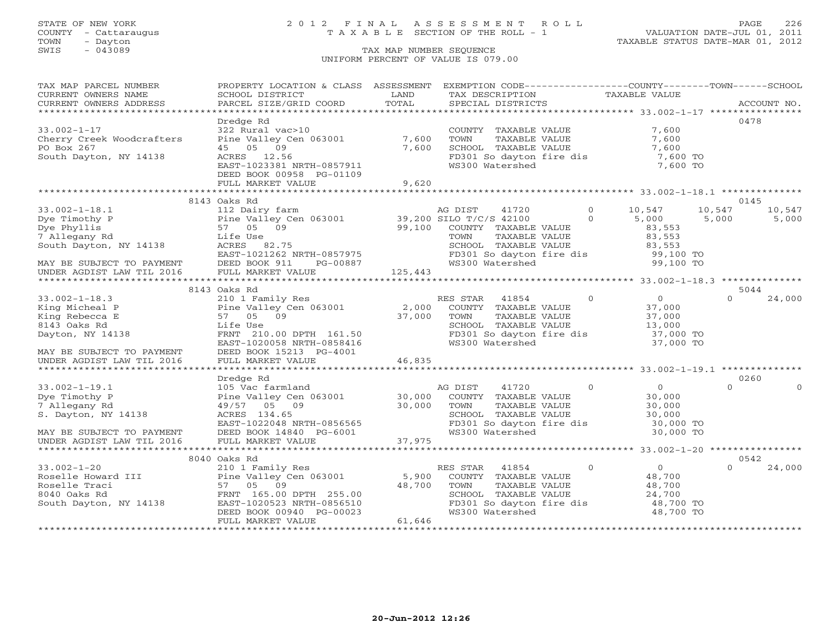# STATE OF NEW YORK 2 0 1 2 F I N A L A S S E S S M E N T R O L L PAGE 226 COUNTY - Cattaraugus T A X A B L E SECTION OF THE ROLL - 1 VALUATION DATE-JUL 01, 2011

| TAX MAP PARCEL NUMBER                                                   | PROPERTY LOCATION & CLASS ASSESSMENT                                             |                      | EXEMPTION CODE-----------------COUNTY--------TOWN------SCHOOL |                |                                                       |                      |
|-------------------------------------------------------------------------|----------------------------------------------------------------------------------|----------------------|---------------------------------------------------------------|----------------|-------------------------------------------------------|----------------------|
| CURRENT OWNERS NAME                                                     | SCHOOL DISTRICT                                                                  | LAND                 | TAX DESCRIPTION                                               |                | TAXABLE VALUE                                         |                      |
| CURRENT OWNERS ADDRESS                                                  | PARCEL SIZE/GRID COORD                                                           | TOTAL                | SPECIAL DISTRICTS                                             |                |                                                       | ACCOUNT NO.          |
| *********************                                                   |                                                                                  |                      |                                                               |                |                                                       |                      |
|                                                                         | Dredge Rd                                                                        |                      |                                                               |                |                                                       | 0478                 |
| $33.002 - 1 - 17$                                                       | 322 Rural vac>10                                                                 |                      | COUNTY TAXABLE VALUE                                          |                | 7,600                                                 |                      |
| Cherry Creek Woodcrafters                                               | Pine Valley Cen 063001                                                           | 7,600                | TOWN<br>TAXABLE VALUE                                         |                | 7,600                                                 |                      |
| PO Box 267                                                              | 45 05 09                                                                         | 7,600                | SCHOOL TAXABLE VALUE                                          |                | 7,600<br>$7,600$ TO<br>$7,600$ TO                     |                      |
| South Dayton, NY 14138                                                  | ACRES 12.56                                                                      |                      | FD301 So dayton fire dis                                      |                |                                                       |                      |
|                                                                         | EAST-1023381 NRTH-0857911                                                        |                      | WS300 Watershed                                               |                | 7,600 TO                                              |                      |
|                                                                         | DEED BOOK 00958 PG-01109                                                         |                      |                                                               |                |                                                       |                      |
|                                                                         | FULL MARKET VALUE                                                                | 9,620                |                                                               |                |                                                       |                      |
|                                                                         |                                                                                  |                      |                                                               |                |                                                       |                      |
|                                                                         | 8143 Oaks Rd                                                                     |                      |                                                               | $\circ$        |                                                       | 0145                 |
| $33.002 - 1 - 18.1$                                                     | 112 Dairy farm                                                                   |                      | 41720<br>AG DIST                                              |                | 10,547                                                | 10,547<br>10,547     |
| Dye Timothy P<br>Dye Phyllis<br>7 Allegany Rd<br>South Dayton, NY 14138 | Pine Valley Cen 063001 39,200 SILO T/C/S 42100<br>57 05 09 99,100 COUNTY TAXABLE |                      |                                                               | $\circ$        | 5,000                                                 | 5,000<br>5,000       |
|                                                                         |                                                                                  |                      | COUNTY TAXABLE VALUE                                          |                | 83,553                                                |                      |
|                                                                         | Life Use                                                                         |                      | TOWN<br>TAXABLE VALUE                                         |                | 83,553                                                |                      |
|                                                                         | ACRES 82.75<br>EAST-1021262 NRTH-0857975                                         |                      | SCHOOL TAXABLE VALUE                                          |                | 83,553<br>99,100 TO                                   |                      |
|                                                                         | DEED BOOK 911<br>PG-00887                                                        |                      | FD301 So dayton fire dis<br>WS300 Watershed                   |                | 99,100 TO                                             |                      |
| MAY BE SUBJECT TO PAYMENT<br>UNDER AGDIST LAW TIL 2016                  | FULL MARKET VALUE                                                                | 125,443              |                                                               |                |                                                       |                      |
|                                                                         |                                                                                  |                      |                                                               |                |                                                       |                      |
|                                                                         | 8143 Oaks Rd                                                                     |                      |                                                               |                |                                                       | 5044                 |
| $33.002 - 1 - 18.3$                                                     | 210 1 Family Res                                                                 |                      | RES STAR<br>41854                                             | $\overline{0}$ | $\overline{0}$                                        | $\Omega$<br>24,000   |
| King Micheal P                                                          | ZIO I Family Res<br>Pine Valley Cen 063001                                       | 2,000                | COUNTY TAXABLE VALUE                                          |                | 37,000                                                |                      |
| King Rebecca E                                                          | 57 05 09                                                                         | $\frac{2}{37}$ , 000 | TOWN<br>TAXABLE VALUE                                         |                | 37,000                                                |                      |
| 8143 Oaks Rd                                                            | Life Use                                                                         |                      | SCHOOL TAXABLE VALUE                                          |                | 37,000<br>13,000                                      |                      |
| Dayton, NY 14138                                                        | FRNT 210.00 DPTH 161.50                                                          |                      | FD301 So dayton fire dis 37,000 TO                            |                |                                                       |                      |
|                                                                         | EAST-1020058 NRTH-0858416                                                        |                      | WS300 Watershed                                               |                | 37,000 TO                                             |                      |
| MAY BE SUBJECT TO PAYMENT                                               | DEED BOOK 15213 PG-4001                                                          |                      |                                                               |                |                                                       |                      |
| UNDER AGDIST LAW TIL 2016                                               | FULL MARKET VALUE                                                                | 46,835               |                                                               |                |                                                       |                      |
|                                                                         |                                                                                  |                      |                                                               |                |                                                       |                      |
|                                                                         | Dredge Rd                                                                        |                      |                                                               |                |                                                       | 0260                 |
| $33.002 - 1 - 19.1$                                                     | 105 Vac farmland                                                                 |                      | 41720<br>AG DIST                                              | $\Omega$       | $\overline{0}$                                        | $\Omega$<br>$\Omega$ |
| Dye Timothy P                                                           | Pine Valley Cen 063001                                                           | 30,000               | COUNTY TAXABLE VALUE                                          |                | 30,000                                                |                      |
| 7 Allegany Rd                                                           | 49/57 05 09                                                                      | 30,000               | TOWN<br>TAXABLE VALUE                                         |                | 30,000                                                |                      |
| S. Dayton, NY 14138                                                     | ACRES 134.65                                                                     |                      | SCHOOL TAXABLE VALUE                                          |                | 30,000                                                |                      |
|                                                                         | EAST-1022048 NRTH-0856565                                                        |                      | FD301 So dayton fire dis                                      |                | 30,000 TO                                             |                      |
| MAY BE SUBJECT TO PAYMENT                                               | DEED BOOK 14840 PG-6001                                                          |                      | WS300 Watershed                                               |                | 30,000 TO                                             |                      |
| UNDER AGDIST LAW TIL 2016                                               | FULL MARKET VALUE                                                                | 37,975               |                                                               |                |                                                       |                      |
|                                                                         |                                                                                  | *************        |                                                               |                | *********************** 33.002-1-20 ***************** |                      |
|                                                                         | 8040 Oaks Rd                                                                     |                      |                                                               |                |                                                       | 0542                 |
| $33.002 - 1 - 20$                                                       | 210 1 Family Res                                                                 |                      | RES STAR<br>41854                                             | $\overline{0}$ | $\overline{O}$                                        | 24,000<br>$\Omega$   |
|                                                                         | Pine Valley Cen 063001                                                           | 5,900                | COUNTY TAXABLE VALUE                                          |                | 48,700                                                |                      |
| Roselle Howard III<br>Roselle Traci<br>8040 Oaks Rd                     | 57 05 09                                                                         | 48,700               | TAXABLE VALUE<br>TOWN                                         |                | 48,700                                                |                      |
| 8040 Oaks Rd                                                            | FRNT 165.00 DPTH 255.00                                                          |                      | SCHOOL TAXABLE VALUE                                          |                | 24,700                                                |                      |
| South Dayton, NY 14138                                                  | EAST-1020523 NRTH-0856510                                                        |                      | FD301 So dayton fire dis 48,700 TO                            |                |                                                       |                      |
|                                                                         | DEED BOOK 00940 PG-00023                                                         |                      | WS300 Watershed                                               |                | 48,700 TO                                             |                      |
|                                                                         | FULL MARKET VALUE                                                                | 61,646               |                                                               |                |                                                       |                      |
|                                                                         |                                                                                  |                      |                                                               |                |                                                       |                      |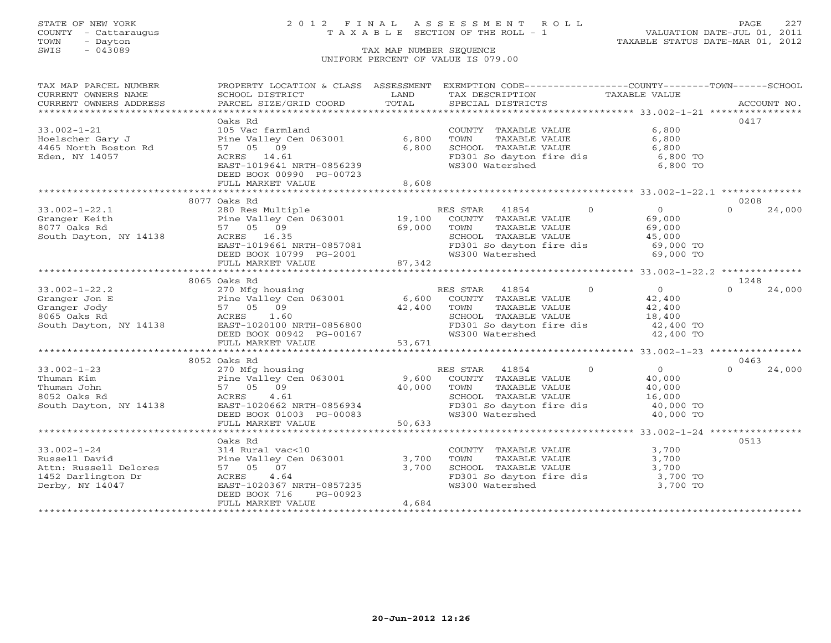# STATE OF NEW YORK 2 0 1 2 F I N A L A S S E S S M E N T R O L L PAGE 227 COUNTY - Cattaraugus T A X A B L E SECTION OF THE ROLL - 1 VALUATION DATE-JUL 01, 2011

| TAX MAP PARCEL NUMBER  | PROPERTY LOCATION & CLASS ASSESSMENT EXEMPTION CODE---------------COUNTY-------TOWN------SCHOOL |        |                          |                                     |                    |
|------------------------|-------------------------------------------------------------------------------------------------|--------|--------------------------|-------------------------------------|--------------------|
| CURRENT OWNERS NAME    | SCHOOL DISTRICT                                                                                 | LAND   | TAX DESCRIPTION          | TAXABLE VALUE                       |                    |
| CURRENT OWNERS ADDRESS | PARCEL SIZE/GRID COORD                                                                          | TOTAL  | SPECIAL DISTRICTS        |                                     | ACCOUNT NO.        |
|                        | Oaks Rd                                                                                         |        |                          |                                     | 0417               |
| $33.002 - 1 - 21$      | 105 Vac farmland                                                                                |        | COUNTY TAXABLE VALUE     | 6,800                               |                    |
| Hoelscher Gary J       | Pine Valley Cen 063001                                                                          | 6,800  | TOWN<br>TAXABLE VALUE    | 6,800                               |                    |
| 4465 North Boston Rd   | 57 05 09                                                                                        | 6,800  | SCHOOL TAXABLE VALUE     | 6,800                               |                    |
| Eden, NY 14057         | ACRES 14.61                                                                                     |        | FD301 So dayton fire dis | 6,800 TO                            |                    |
|                        | EAST-1019641 NRTH-0856239                                                                       |        | WS300 Watershed          | 6,800 TO                            |                    |
|                        | DEED BOOK 00990 PG-00723                                                                        |        |                          |                                     |                    |
|                        | FULL MARKET VALUE                                                                               | 8,608  |                          |                                     |                    |
|                        |                                                                                                 |        |                          |                                     |                    |
|                        | 8077 Oaks Rd                                                                                    |        |                          |                                     | 0208               |
| $33.002 - 1 - 22.1$    | 280 Res Multiple                                                                                |        | RES STAR 41854           | $\overline{0}$<br>$\overline{0}$    | 24,000<br>$\Omega$ |
| Granger Keith          | Pine Valley Cen 063001 19,100 COUNTY TAXABLE VALUE                                              |        |                          | 69,000                              |                    |
| 8077 Oaks Rd           | 57 05 09                                                                                        | 69,000 | TAXABLE VALUE<br>TOWN    | 69,000                              |                    |
| South Dayton, NY 14138 | ACRES 16.35                                                                                     |        | SCHOOL TAXABLE VALUE     | 45,000                              |                    |
|                        | EAST-1019661 NRTH-0857081                                                                       |        | FD301 So dayton fire dis | 69,000 TO                           |                    |
|                        | DEED BOOK 10799 PG-2001                                                                         |        | WS300 Watershed          | 69,000 TO                           |                    |
|                        | FULL MARKET VALUE                                                                               | 87,342 |                          |                                     |                    |
|                        |                                                                                                 |        |                          |                                     |                    |
|                        | 8065 Oaks Rd                                                                                    |        |                          |                                     | 1248               |
| $33.002 - 1 - 22.2$    | 270 Mfg housing                                                                                 |        | RES STAR<br>41854        | $\overline{0}$<br>$0 \qquad \qquad$ | 24,000<br>$\Omega$ |
| Granger Jon E          | Pine Valley Cen 063001 6,600 COUNTY TAXABLE VALUE                                               |        |                          | 42,400                              |                    |
| Granger Jody           | 57 05 09                                                                                        | 42,400 | TOWN<br>TAXABLE VALUE    | 42,400                              |                    |
| 8065 Oaks Rd           | 1.60<br>ACRES                                                                                   |        | SCHOOL TAXABLE VALUE     | 18,400                              |                    |
| South Dayton, NY 14138 | EAST-1020100 NRTH-0856800                                                                       |        | FD301 So dayton fire dis | 42,400 TO                           |                    |
|                        | DEED BOOK 00942 PG-00167                                                                        |        | WS300 Watershed          | 42,400 TO                           |                    |
|                        | FULL MARKET VALUE                                                                               | 53,671 |                          |                                     |                    |
|                        |                                                                                                 |        |                          |                                     |                    |
|                        | 8052 Oaks Rd                                                                                    |        |                          |                                     | 0463               |
| $33.002 - 1 - 23$      | 270 Mfg housing                                                                                 |        | RES STAR<br>41854        | $\Omega$<br>$\Omega$                | 24,000<br>$\cap$   |
| Thuman Kim             | Pine Valley Cen 063001                                                                          | 9,600  | COUNTY TAXABLE VALUE     | 40,000                              |                    |
| Thuman John            | 57 05 09                                                                                        | 40,000 | TAXABLE VALUE<br>TOWN    | 40,000                              |                    |
| 8052 Oaks Rd           | ACRES<br>4.61                                                                                   |        | SCHOOL TAXABLE VALUE     | 16,000                              |                    |
| South Dayton, NY 14138 | EAST-1020662 NRTH-0856934                                                                       |        | FD301 So dayton fire dis | 40,000 TO                           |                    |
|                        | DEED BOOK 01003 PG-00083                                                                        |        | WS300 Watershed          | 40,000 TO                           |                    |
|                        | FULL MARKET VALUE                                                                               | 50,633 |                          |                                     |                    |
|                        |                                                                                                 |        |                          |                                     |                    |
|                        | Oaks Rd                                                                                         |        |                          |                                     | 0513               |
| $33.002 - 1 - 24$      | 314 Rural vac<10                                                                                |        | COUNTY TAXABLE VALUE     | 3,700                               |                    |
| Russell David          | Pine Valley Cen 063001                                                                          | 3,700  | TAXABLE VALUE<br>TOWN    | 3,700                               |                    |
| Attn: Russell Delores  | 57 05 07                                                                                        | 3,700  | SCHOOL TAXABLE VALUE     | 3,700                               |                    |
| 1452 Darlington Dr     | 4.64<br>ACRES                                                                                   |        | FD301 So dayton fire dis | $3,700$ TO                          |                    |
| Derby, NY 14047        | EAST-1020367 NRTH-0857235                                                                       |        | WS300 Watershed          | 3,700 TO                            |                    |
|                        | DEED BOOK 716<br>PG-00923                                                                       |        |                          |                                     |                    |
|                        | FULL MARKET VALUE                                                                               | 4,684  |                          |                                     |                    |
|                        |                                                                                                 |        |                          |                                     |                    |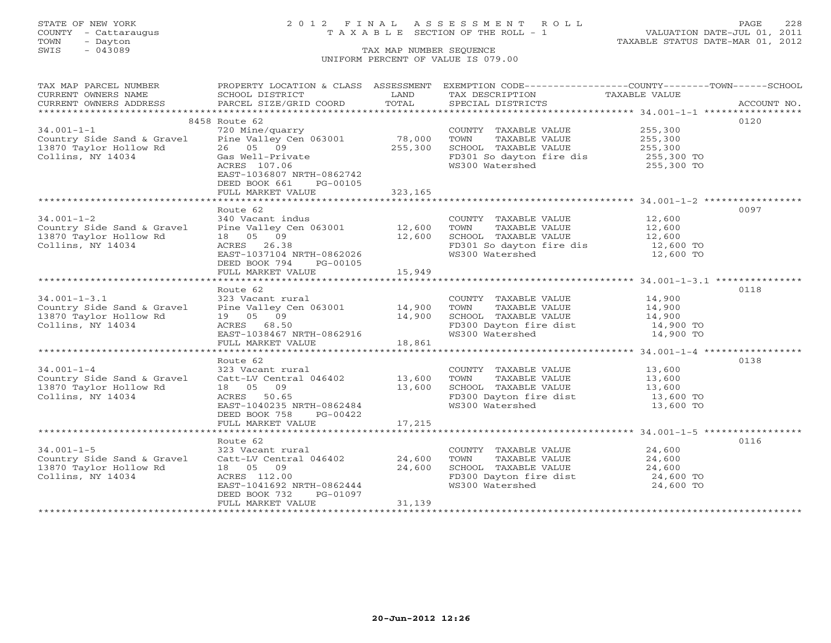# STATE OF NEW YORK 2 0 1 2 F I N A L A S S E S S M E N T R O L L PAGE 228 COUNTY - Cattaraugus T A X A B L E SECTION OF THE ROLL - 1 VALUATION DATE-JUL 01, 2011

| TAX MAP PARCEL NUMBER                                                                                                                                                                                                                                                                                                                                                                                                                                                                                                  |                                                    |         | PROPERTY LOCATION & CLASS ASSESSMENT EXEMPTION CODE----------------COUNTY-------TOWN------SCHOOL |                     |      |
|------------------------------------------------------------------------------------------------------------------------------------------------------------------------------------------------------------------------------------------------------------------------------------------------------------------------------------------------------------------------------------------------------------------------------------------------------------------------------------------------------------------------|----------------------------------------------------|---------|--------------------------------------------------------------------------------------------------|---------------------|------|
| CURRENT OWNERS NAME                                                                                                                                                                                                                                                                                                                                                                                                                                                                                                    | SCHOOL DISTRICT                                    | LAND    | TAX DESCRIPTION                                                                                  | TAXABLE VALUE       |      |
| $\begin{minipage}{.45\textwidth} \begin{minipage}{.45\textwidth} \begin{minipage}{.45\textwidth} \begin{minipage}{.45\textwidth} \begin{minipage}{.45\textwidth} \begin{minipage}{.45\textwidth} \begin{minipage}{.45\textwidth} \begin{minipage}{.45\textwidth} \begin{minipage}{.45\textwidth} \begin{minipage}{.45\textwidth} \begin{minipage}{.45\textwidth} \begin{minipage}{.45\textwidth} \begin{minipage}{.45\textwidth} \begin{minipage}{.45\textwidth} \begin{minipage}{.45\textwidth} \begin{minipage}{.45$ |                                                    |         |                                                                                                  |                     |      |
|                                                                                                                                                                                                                                                                                                                                                                                                                                                                                                                        |                                                    |         |                                                                                                  |                     |      |
|                                                                                                                                                                                                                                                                                                                                                                                                                                                                                                                        | 8458 Route 62                                      |         |                                                                                                  |                     | 0120 |
| $34.001 - 1 - 1$                                                                                                                                                                                                                                                                                                                                                                                                                                                                                                       | 720 Mine/quarry                                    | 78,000  | COUNTY TAXABLE VALUE 255,300                                                                     |                     |      |
| Country Side Sand & Gravel<br>13870 Taylor Hollow Rd                                                                                                                                                                                                                                                                                                                                                                                                                                                                   | Pine Valley Cen 063001                             |         |                                                                                                  |                     |      |
|                                                                                                                                                                                                                                                                                                                                                                                                                                                                                                                        | 26 05 09                                           | 255,300 |                                                                                                  |                     |      |
| Collins, NY 14034                                                                                                                                                                                                                                                                                                                                                                                                                                                                                                      | Gas Well-Private                                   |         | FD301 So dayton fire dis 255,300 TO<br>WS300 Watershed 255,300 TO                                |                     |      |
|                                                                                                                                                                                                                                                                                                                                                                                                                                                                                                                        | ACRES 107.06                                       |         |                                                                                                  |                     |      |
|                                                                                                                                                                                                                                                                                                                                                                                                                                                                                                                        | EAST-1036807 NRTH-0862742                          |         |                                                                                                  |                     |      |
|                                                                                                                                                                                                                                                                                                                                                                                                                                                                                                                        | DEED BOOK 661 PG-00105                             |         |                                                                                                  |                     |      |
|                                                                                                                                                                                                                                                                                                                                                                                                                                                                                                                        | FULL MARKET VALUE                                  | 323,165 |                                                                                                  |                     |      |
|                                                                                                                                                                                                                                                                                                                                                                                                                                                                                                                        |                                                    |         |                                                                                                  |                     |      |
|                                                                                                                                                                                                                                                                                                                                                                                                                                                                                                                        | Route 62                                           |         |                                                                                                  |                     | 0097 |
| $34.001 - 1 - 2$                                                                                                                                                                                                                                                                                                                                                                                                                                                                                                       | 340 Vacant indus                                   |         | COUNTY TAXABLE VALUE 12,600                                                                      |                     |      |
| Country Side Sand & Gravel                                                                                                                                                                                                                                                                                                                                                                                                                                                                                             | Pine Valley Cen 063001 12,600                      |         | TAXABLE VALUE 12,600<br>TOWN                                                                     |                     |      |
| 13870 Taylor Hollow Rd                                                                                                                                                                                                                                                                                                                                                                                                                                                                                                 | 18  05  09                                         | 12,600  | SCHOOL TAXABLE VALUE 12,600<br>FD301 So dayton fire dis 12,600 TO                                |                     |      |
| Collins, NY 14034                                                                                                                                                                                                                                                                                                                                                                                                                                                                                                      | ACRES 26.38                                        |         |                                                                                                  |                     |      |
|                                                                                                                                                                                                                                                                                                                                                                                                                                                                                                                        | EAST-1037104 NRTH-0862026                          |         | WS300 Watershed                                                                                  | 12,600 TO           |      |
|                                                                                                                                                                                                                                                                                                                                                                                                                                                                                                                        | DEED BOOK 794 PG-00105                             |         |                                                                                                  |                     |      |
|                                                                                                                                                                                                                                                                                                                                                                                                                                                                                                                        | FULL MARKET VALUE                                  | 15,949  |                                                                                                  |                     |      |
|                                                                                                                                                                                                                                                                                                                                                                                                                                                                                                                        |                                                    |         |                                                                                                  |                     |      |
|                                                                                                                                                                                                                                                                                                                                                                                                                                                                                                                        | Route 62                                           |         |                                                                                                  |                     | 0118 |
| $34.001 - 1 - 3.1$                                                                                                                                                                                                                                                                                                                                                                                                                                                                                                     | 323 Vacant rural                                   |         | COUNTY TAXABLE VALUE 14,900                                                                      |                     |      |
| Country Side Sand & Gravel Pine Valley Cen 063001 14,900                                                                                                                                                                                                                                                                                                                                                                                                                                                               |                                                    | 14,900  | TAXABLE VALUE 14,900<br>TOWN                                                                     |                     |      |
| 13870 Taylor Hollow Rd<br>Collins, NY 14034                                                                                                                                                                                                                                                                                                                                                                                                                                                                            | 19 05 09                                           |         | SCHOOL TAXABLE VALUE<br>FD300 Dayton fire dist 14,900 TO                                         | 14,900              |      |
|                                                                                                                                                                                                                                                                                                                                                                                                                                                                                                                        | EAST-1038467 NRTH-0862916<br>FIILL MARKER INTITURE |         | WS300 Watershed                                                                                  | 14,900 TO           |      |
|                                                                                                                                                                                                                                                                                                                                                                                                                                                                                                                        | FULL MARKET VALUE                                  | 18,861  |                                                                                                  |                     |      |
|                                                                                                                                                                                                                                                                                                                                                                                                                                                                                                                        |                                                    |         |                                                                                                  |                     |      |
|                                                                                                                                                                                                                                                                                                                                                                                                                                                                                                                        | Route 62                                           |         |                                                                                                  |                     | 0138 |
| $34.001 - 1 - 4$                                                                                                                                                                                                                                                                                                                                                                                                                                                                                                       | 323 Vacant rural                                   |         |                                                                                                  |                     |      |
| Country Side Sand & Gravel Catt-LV Central 046402 13,600                                                                                                                                                                                                                                                                                                                                                                                                                                                               |                                                    |         | COUNTY TAXABLE VALUE 13,600<br>TOWN TAXABLE VALUE 13,600<br>TOWN                                 |                     |      |
| 13870 Taylor Hollow Rd                                                                                                                                                                                                                                                                                                                                                                                                                                                                                                 | 18 05 09                                           |         |                                                                                                  |                     |      |
| Collins, NY 14034                                                                                                                                                                                                                                                                                                                                                                                                                                                                                                      | ACRES 50.65                                        | 13,600  | SCHOOL TAXABLE VALUE<br>FD300 Dayton fire dist                                                   | 13,600<br>13,600 TO |      |
|                                                                                                                                                                                                                                                                                                                                                                                                                                                                                                                        | EAST-1040235 NRTH-0862484                          |         | WS300 Watershed                                                                                  | 13,600 TO           |      |
|                                                                                                                                                                                                                                                                                                                                                                                                                                                                                                                        | DEED BOOK 758 PG-00422                             |         |                                                                                                  |                     |      |
|                                                                                                                                                                                                                                                                                                                                                                                                                                                                                                                        | FULL MARKET VALUE                                  | 17,215  |                                                                                                  |                     |      |
|                                                                                                                                                                                                                                                                                                                                                                                                                                                                                                                        |                                                    |         |                                                                                                  |                     |      |
|                                                                                                                                                                                                                                                                                                                                                                                                                                                                                                                        | Route 62                                           |         |                                                                                                  |                     | 0116 |
| $34.001 - 1 - 5$                                                                                                                                                                                                                                                                                                                                                                                                                                                                                                       | 323 Vacant rural                                   |         | COUNTY TAXABLE VALUE                                                                             | 24,600              |      |
| Country Side Sand & Gravel                                                                                                                                                                                                                                                                                                                                                                                                                                                                                             | Catt-LV Central 046402 24,600                      |         | TAXABLE VALUE<br>TOWN                                                                            | 24,600              |      |
| 13870 Taylor Hollow Rd                                                                                                                                                                                                                                                                                                                                                                                                                                                                                                 | 18 05 09                                           | 24,600  |                                                                                                  |                     |      |
| Collins, NY 14034                                                                                                                                                                                                                                                                                                                                                                                                                                                                                                      | ACRES 112.00                                       |         | SCHOOL TAXABLE VALUE 24,600<br>FD300 Dayton fire dist 24,600 TO                                  |                     |      |
|                                                                                                                                                                                                                                                                                                                                                                                                                                                                                                                        | EAST-1041692 NRTH-0862444                          |         | WS300 Watershed                                                                                  | 24,600 TO           |      |
|                                                                                                                                                                                                                                                                                                                                                                                                                                                                                                                        | DEED BOOK 732<br>PG-01097                          |         |                                                                                                  |                     |      |
|                                                                                                                                                                                                                                                                                                                                                                                                                                                                                                                        | FULL MARKET VALUE                                  | 31,139  |                                                                                                  |                     |      |
|                                                                                                                                                                                                                                                                                                                                                                                                                                                                                                                        |                                                    |         |                                                                                                  |                     |      |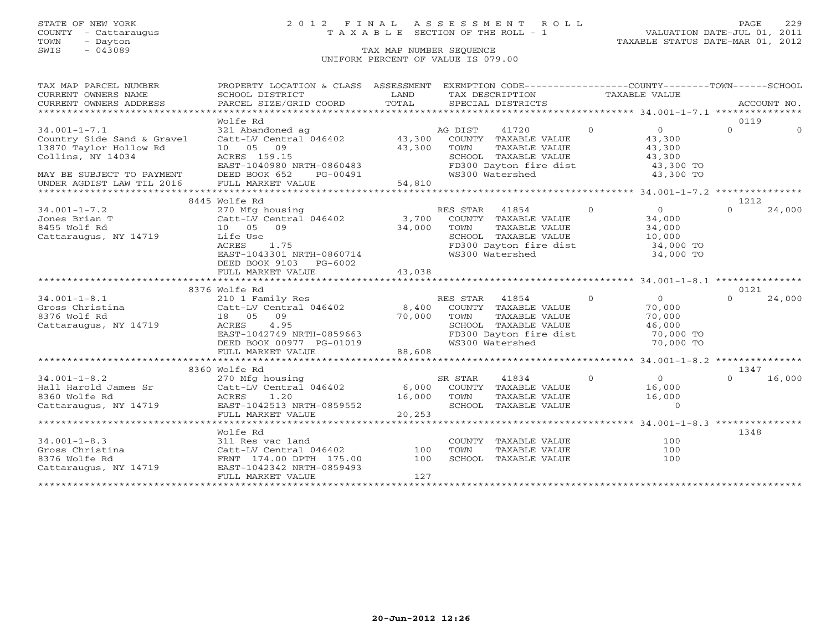# STATE OF NEW YORK 2 0 1 2 F I N A L A S S E S S M E N T R O L L PAGE 229 COUNTY - Cattaraugus T A X A B L E SECTION OF THE ROLL - 1 VALUATION DATE-JUL 01, 2011

| TAX MAP PARCEL NUMBER                                                                                                                                                            | PROPERTY LOCATION & CLASS ASSESSMENT EXEMPTION CODE----------------COUNTY-------TOWN------SCHOOL |             |                |                                                              |               |                                      |                  |             |
|----------------------------------------------------------------------------------------------------------------------------------------------------------------------------------|--------------------------------------------------------------------------------------------------|-------------|----------------|--------------------------------------------------------------|---------------|--------------------------------------|------------------|-------------|
| CURRENT OWNERS NAME                                                                                                                                                              | SCHOOL DISTRICT                                                                                  | LAND        |                | TAX DESCRIPTION                                              | TAXABLE VALUE |                                      |                  |             |
| CURRENT OWNERS ADDRESS                                                                                                                                                           | PARCEL SIZE/GRID COORD                                                                           | TOTAL       |                | SPECIAL DISTRICTS                                            |               |                                      |                  | ACCOUNT NO. |
| *****************************                                                                                                                                                    |                                                                                                  |             |                |                                                              |               |                                      |                  |             |
|                                                                                                                                                                                  | Wolfe Rd                                                                                         |             |                |                                                              |               |                                      | 0119             |             |
| $34.001 - 1 - 7.1$                                                                                                                                                               |                                                                                                  |             |                | AG DIST 41720 0                                              |               | $\overline{0}$                       | $\Omega$         | $\Omega$    |
| Country Side Sand & Gravel                                                                                                                                                       |                                                                                                  |             |                |                                                              |               | 43,300                               |                  |             |
| 13870 Taylor Hollow Rd                                                                                                                                                           | 10 05 09                                                                                         | 43,300 TOWN |                | TAXABLE VALUE                                                |               | 43,300                               |                  |             |
| Collins, NY 14034                                                                                                                                                                | ACRES 159.15                                                                                     |             |                | SCHOOL TAXABLE VALUE<br>FD300 Dayton fire dist               |               | 43,300                               |                  |             |
|                                                                                                                                                                                  | EAST-1040980 NRTH-0860483                                                                        |             |                |                                                              |               | 43,300 TO                            |                  |             |
|                                                                                                                                                                                  |                                                                                                  |             |                |                                                              |               |                                      |                  |             |
| MAY BE SUBJECT TO PAYMENT FIEED BOOK 652 PG-00491 64,810 MS300 Watershed 43,300 TO<br>UNDER AGDIST LAW TIL 2016 FULL MARKET VALUE 54,810 54,810 54,810 MS300 Matershed 43,300 TO |                                                                                                  |             |                |                                                              |               |                                      |                  |             |
|                                                                                                                                                                                  |                                                                                                  |             |                |                                                              |               |                                      |                  |             |
|                                                                                                                                                                                  | 8445 Wolfe Rd                                                                                    |             |                |                                                              | $\Omega$      | $\overline{0}$                       | 1212<br>$\Omega$ | 24,000      |
| $34.001 - 1 - 7.2$                                                                                                                                                               | 270 Mfg housing<br>Catt-LV Central 046402 3,700 COUNTY TAXABLE VALUE                             |             | RES STAR 41854 |                                                              |               | 34,000                               |                  |             |
| Jones Brian T<br>8455 Wolf Rd                                                                                                                                                    | 10 05 09                                                                                         | 34,000      | TOWN           |                                                              |               | 34,000                               |                  |             |
|                                                                                                                                                                                  |                                                                                                  |             |                | TAXABLE VALUE<br>SCHOOL TAXABLE VALUE                        |               | 10,000                               |                  |             |
| Cattaraugus, NY 14719                                                                                                                                                            | Life Use<br>ACRES<br>1.75                                                                        |             |                | FD300 Dayton fire dist 34,000 TO                             |               |                                      |                  |             |
|                                                                                                                                                                                  | EAST-1043301 NRTH-0860714                                                                        |             |                | WS300 Watershed                                              |               | 34,000 TO                            |                  |             |
|                                                                                                                                                                                  | DEED BOOK 9103 PG-6002                                                                           |             |                |                                                              |               |                                      |                  |             |
|                                                                                                                                                                                  | FULL MARKET VALUE                                                                                | 43,038      |                |                                                              |               |                                      |                  |             |
|                                                                                                                                                                                  |                                                                                                  |             |                |                                                              |               |                                      |                  |             |
|                                                                                                                                                                                  | 8376 Wolfe Rd                                                                                    |             |                |                                                              |               |                                      | 0121             |             |
| $34.001 - 1 - 8.1$                                                                                                                                                               |                                                                                                  |             |                | $\sim$ 0                                                     |               | $\begin{matrix} 0 \\ 0 \end{matrix}$ | $\Omega$         | 24,000      |
|                                                                                                                                                                                  |                                                                                                  |             |                |                                                              |               | 70,000                               |                  |             |
| S4.001 1 0.<br>Gross Christina<br>Consider PA                                                                                                                                    | 18  05  09                                                                                       | 70,000 TOWN |                | TAXABLE VALUE                                                |               | 70,000                               |                  |             |
| Cattaraugus, NY 14719                                                                                                                                                            | 4.95<br>ACRES                                                                                    |             |                | SCHOOL TAXABLE VALUE                                         |               | 46,000                               |                  |             |
|                                                                                                                                                                                  | EAST-1042749 NRTH-0859663                                                                        |             |                |                                                              |               | $40,000$ TO<br>70,000 TO             |                  |             |
|                                                                                                                                                                                  | DEED BOOK 00977 PG-01019                                                                         |             |                | FD300 Dayton fire dist<br>WS300 Watershed<br>WS300 Watershed |               | 70,000 TO                            |                  |             |
|                                                                                                                                                                                  | FULL MARKET VALUE                                                                                | 88,608      |                |                                                              |               |                                      |                  |             |
|                                                                                                                                                                                  |                                                                                                  |             |                |                                                              |               |                                      |                  |             |
|                                                                                                                                                                                  | 8360 Wolfe Rd                                                                                    |             |                |                                                              |               |                                      | 1347             |             |
| $34.001 - 1 - 8.2$                                                                                                                                                               | 270 Mfg housing                                                                                  |             | SR STAR        | $\overline{0}$<br>41834                                      |               | $\overline{O}$                       | $\Omega$         | 16,000      |
|                                                                                                                                                                                  |                                                                                                  |             |                |                                                              |               | 16,000                               |                  |             |
|                                                                                                                                                                                  |                                                                                                  |             |                | TAXABLE VALUE                                                |               | 16,000                               |                  |             |
|                                                                                                                                                                                  |                                                                                                  |             |                |                                                              |               | $\Omega$                             |                  |             |
|                                                                                                                                                                                  | FULL MARKET VALUE                                                                                | 20,253      |                |                                                              |               |                                      |                  |             |
|                                                                                                                                                                                  |                                                                                                  |             |                |                                                              |               |                                      |                  |             |
|                                                                                                                                                                                  | Wolfe Rd                                                                                         |             |                |                                                              |               |                                      | 1348             |             |
| $34.001 - 1 - 8.3$                                                                                                                                                               | 311 Res vac land                                                                                 |             |                | COUNTY TAXABLE VALUE                                         |               | 100                                  |                  |             |
| Gross Christina                                                                                                                                                                  | Catt-LV Central 046402 100                                                                       |             | TOWN           | TAXABLE VALUE                                                |               | 100                                  |                  |             |
| 8376 Wolfe Rd                                                                                                                                                                    | FRNT 174.00 DPTH 175.00                                                                          | 100         |                | SCHOOL TAXABLE VALUE                                         |               | 100                                  |                  |             |
| Cattaraugus, NY 14719                                                                                                                                                            | EAST-1042342 NRTH-0859493                                                                        |             |                |                                                              |               |                                      |                  |             |
|                                                                                                                                                                                  | FULL MARKET VALUE                                                                                | 127         |                |                                                              |               |                                      |                  |             |
|                                                                                                                                                                                  |                                                                                                  |             |                |                                                              |               |                                      |                  |             |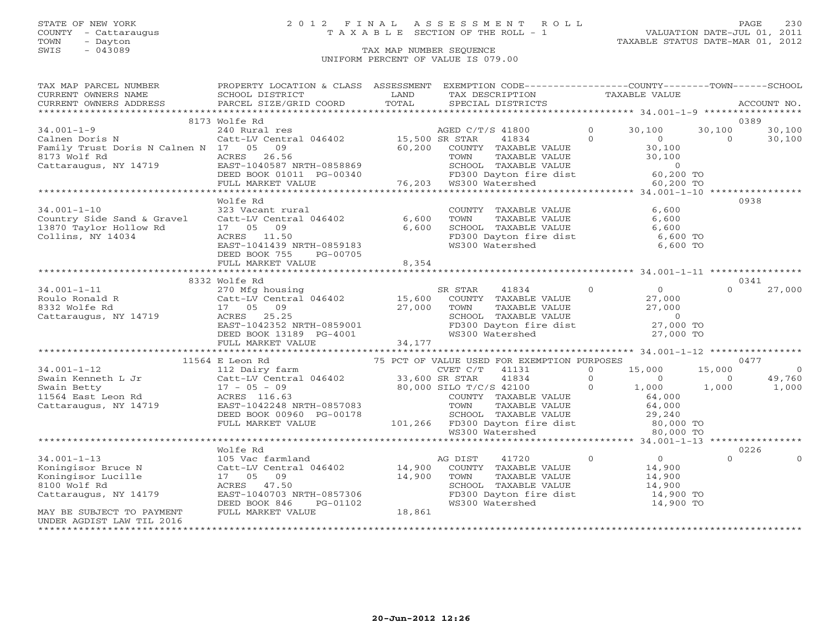TOWN - Dayton TAXABLE STATUS DATE-MAR 01, 2012 SWIS - Dayton - Dayton - Dayton - Dayton - Dayton - Dayton - Dayton - Dayton - Dayton - Dayton - Dayton - Dayton - Dayton - Dayton - Dayton - Dayton - Dayton - Dayton - Dayton - Dayton - Dayton - Dayton - Dayton - Dayton -

### STATE OF NEW YORK 2 0 1 2 F I N A L A S S E S S M E N T R O L L PAGE 230 COUNTY - Cattaraugus T A X A B L E SECTION OF THE ROLL - 1 VALUATION DATE-JUL 01, 2011

### UNIFORM PERCENT OF VALUE IS 079.00

| TAX MAP PARCEL NUMBER FROPERTY LOCATION & CLASS ASSESSMENT EXEMPTION CODE--------------COUNTY-------TOWN------SCHOOL                                                                                                                                                                                                                                                                                 |                         |                                                                                                                                                     |  |          |          |
|------------------------------------------------------------------------------------------------------------------------------------------------------------------------------------------------------------------------------------------------------------------------------------------------------------------------------------------------------------------------------------------------------|-------------------------|-----------------------------------------------------------------------------------------------------------------------------------------------------|--|----------|----------|
|                                                                                                                                                                                                                                                                                                                                                                                                      |                         |                                                                                                                                                     |  |          |          |
|                                                                                                                                                                                                                                                                                                                                                                                                      |                         |                                                                                                                                                     |  |          |          |
|                                                                                                                                                                                                                                                                                                                                                                                                      |                         |                                                                                                                                                     |  |          |          |
|                                                                                                                                                                                                                                                                                                                                                                                                      | 8173 Wolfe Rd           |                                                                                                                                                     |  | 0389     |          |
|                                                                                                                                                                                                                                                                                                                                                                                                      |                         |                                                                                                                                                     |  |          |          |
|                                                                                                                                                                                                                                                                                                                                                                                                      |                         |                                                                                                                                                     |  |          |          |
|                                                                                                                                                                                                                                                                                                                                                                                                      |                         |                                                                                                                                                     |  |          |          |
|                                                                                                                                                                                                                                                                                                                                                                                                      |                         |                                                                                                                                                     |  |          |          |
|                                                                                                                                                                                                                                                                                                                                                                                                      |                         |                                                                                                                                                     |  |          |          |
|                                                                                                                                                                                                                                                                                                                                                                                                      |                         |                                                                                                                                                     |  |          |          |
|                                                                                                                                                                                                                                                                                                                                                                                                      |                         |                                                                                                                                                     |  |          |          |
|                                                                                                                                                                                                                                                                                                                                                                                                      | Wolfe Rd                |                                                                                                                                                     |  | 0938     |          |
|                                                                                                                                                                                                                                                                                                                                                                                                      |                         |                                                                                                                                                     |  |          |          |
| 34.001-1-10<br>Country Side Sand & Gravel<br>Catt-LV Central 046402<br>13870 Taylor Hollow Rd<br>Collins, NY 14034<br>Collins, NY 14034<br>Collins, NY 14034<br>Collins, NY 14034<br>Collins, NY 14034<br>Collins, NY 14034<br>Collins,                                                                                                                                                              |                         | COUNTY TAXABLE VALUE 6,600<br>TOWN TAXABLE VALUE 6,600<br>SCHOOL TAXABLE VALUE 6,600<br>FD300 Dayton fire dist 6,600 TO<br>WS300 Watershed 6,600 TO |  |          |          |
|                                                                                                                                                                                                                                                                                                                                                                                                      |                         |                                                                                                                                                     |  |          |          |
|                                                                                                                                                                                                                                                                                                                                                                                                      |                         |                                                                                                                                                     |  |          |          |
|                                                                                                                                                                                                                                                                                                                                                                                                      |                         |                                                                                                                                                     |  |          |          |
|                                                                                                                                                                                                                                                                                                                                                                                                      | DEED BOOK 755 PG-00705  |                                                                                                                                                     |  |          |          |
|                                                                                                                                                                                                                                                                                                                                                                                                      | FULL MARKET VALUE 8,354 |                                                                                                                                                     |  |          |          |
|                                                                                                                                                                                                                                                                                                                                                                                                      |                         |                                                                                                                                                     |  |          |          |
|                                                                                                                                                                                                                                                                                                                                                                                                      | 8332 Wolfe Rd           |                                                                                                                                                     |  | 0341     |          |
|                                                                                                                                                                                                                                                                                                                                                                                                      |                         |                                                                                                                                                     |  |          |          |
|                                                                                                                                                                                                                                                                                                                                                                                                      |                         |                                                                                                                                                     |  |          |          |
|                                                                                                                                                                                                                                                                                                                                                                                                      |                         |                                                                                                                                                     |  |          |          |
|                                                                                                                                                                                                                                                                                                                                                                                                      |                         |                                                                                                                                                     |  |          |          |
|                                                                                                                                                                                                                                                                                                                                                                                                      |                         |                                                                                                                                                     |  |          |          |
|                                                                                                                                                                                                                                                                                                                                                                                                      |                         |                                                                                                                                                     |  |          |          |
|                                                                                                                                                                                                                                                                                                                                                                                                      |                         |                                                                                                                                                     |  |          |          |
| $\begin{array}{cccccccc} 34.001-1-11 & 8332 \text{ Wolfe Rd} & 270 \text{ Mfg housing} & \text{SR STR} & 41834 & 0 & 0 & 0 & 27,000 \\ \text{Roulo Ronald R} & 270 \text{ Mfg housing} & 15,600 \text{ COUNTY TAXABLE VALUE} & 27,000 & 0 & 27,000 \\ 8332 \text{ Wolfe Rd} & 17 & 05 & 09 & 27,000 & \text{TOWN TAXABLE VALUE} & 27,000 & 0 & 27,000 \\ \text{Cattaraugus, NY 14719} & \text{ACRES$ |                         |                                                                                                                                                     |  |          |          |
|                                                                                                                                                                                                                                                                                                                                                                                                      |                         |                                                                                                                                                     |  |          |          |
|                                                                                                                                                                                                                                                                                                                                                                                                      |                         |                                                                                                                                                     |  |          |          |
|                                                                                                                                                                                                                                                                                                                                                                                                      |                         |                                                                                                                                                     |  |          |          |
|                                                                                                                                                                                                                                                                                                                                                                                                      |                         |                                                                                                                                                     |  |          |          |
|                                                                                                                                                                                                                                                                                                                                                                                                      |                         |                                                                                                                                                     |  |          |          |
|                                                                                                                                                                                                                                                                                                                                                                                                      |                         |                                                                                                                                                     |  |          |          |
|                                                                                                                                                                                                                                                                                                                                                                                                      |                         |                                                                                                                                                     |  |          |          |
|                                                                                                                                                                                                                                                                                                                                                                                                      |                         |                                                                                                                                                     |  |          |          |
|                                                                                                                                                                                                                                                                                                                                                                                                      |                         |                                                                                                                                                     |  |          |          |
|                                                                                                                                                                                                                                                                                                                                                                                                      |                         |                                                                                                                                                     |  |          |          |
|                                                                                                                                                                                                                                                                                                                                                                                                      | Wolfe Rd                |                                                                                                                                                     |  | 0226     |          |
|                                                                                                                                                                                                                                                                                                                                                                                                      |                         |                                                                                                                                                     |  | $\Omega$ | $\Omega$ |
|                                                                                                                                                                                                                                                                                                                                                                                                      |                         |                                                                                                                                                     |  |          |          |
|                                                                                                                                                                                                                                                                                                                                                                                                      |                         |                                                                                                                                                     |  |          |          |
|                                                                                                                                                                                                                                                                                                                                                                                                      |                         |                                                                                                                                                     |  |          |          |
|                                                                                                                                                                                                                                                                                                                                                                                                      |                         |                                                                                                                                                     |  |          |          |
|                                                                                                                                                                                                                                                                                                                                                                                                      |                         |                                                                                                                                                     |  |          |          |
|                                                                                                                                                                                                                                                                                                                                                                                                      |                         |                                                                                                                                                     |  |          |          |
| UNDER AGDIST LAW TIL 2016                                                                                                                                                                                                                                                                                                                                                                            |                         |                                                                                                                                                     |  |          |          |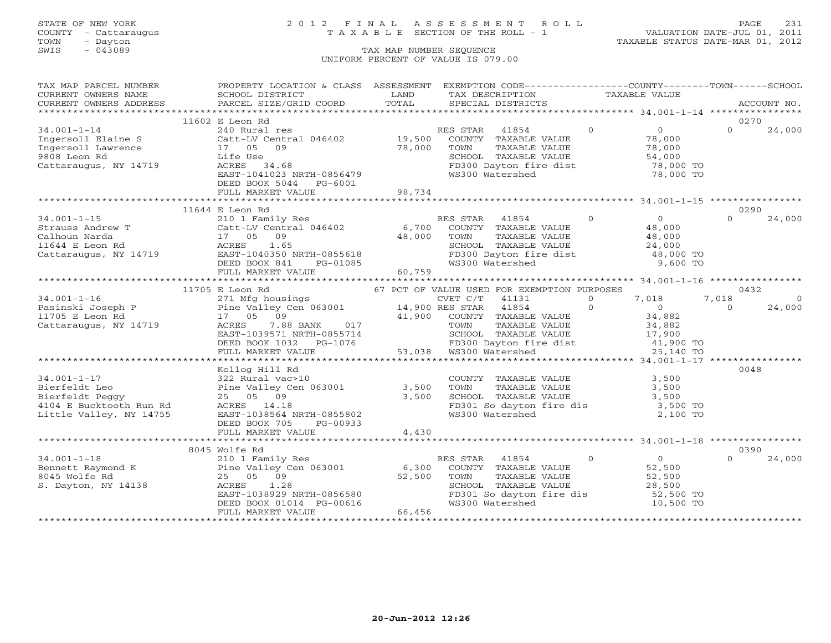### STATE OF NEW YORK 2 0 1 2 F I N A L A S S E S S M E N T R O L L PAGE 231 COUNTY - Cattaraugus T A X A B L E SECTION OF THE ROLL - 1 VALUATION DATE-JUL 01, 2011

| TAX MAP PARCEL NUMBER                                                                            | PROPERTY LOCATION & CLASS ASSESSMENT<br>SCHOOL DISTRICT                                                                                                                                                                                              | LAND   | EXEMPTION CODE-----------------COUNTY-------TOWN------SCHOOL<br>TAX DESCRIPTION TAXABLE VALUE                                                                                                      |          |                                    |          |             |
|--------------------------------------------------------------------------------------------------|------------------------------------------------------------------------------------------------------------------------------------------------------------------------------------------------------------------------------------------------------|--------|----------------------------------------------------------------------------------------------------------------------------------------------------------------------------------------------------|----------|------------------------------------|----------|-------------|
| CURRENT OWNERS NAME<br>CURRENT OWNERS ADDRESS                                                    | PARCEL SIZE/GRID COORD                                                                                                                                                                                                                               | TOTAL  | SPECIAL DISTRICTS                                                                                                                                                                                  |          |                                    |          | ACCOUNT NO. |
|                                                                                                  |                                                                                                                                                                                                                                                      |        |                                                                                                                                                                                                    |          |                                    |          |             |
|                                                                                                  | 11602 E Leon Rd                                                                                                                                                                                                                                      |        |                                                                                                                                                                                                    |          |                                    | 0270     |             |
| $34.001 - 1 - 14$                                                                                |                                                                                                                                                                                                                                                      |        | RES STAR<br>41854                                                                                                                                                                                  | $\Omega$ | $\overline{O}$                     | $\Omega$ | 24,000      |
|                                                                                                  | 240 Rural res RE<br>Catt-LV Central 046402 19,500                                                                                                                                                                                                    |        | COUNTY TAXABLE VALUE                                                                                                                                                                               |          | 78,000                             |          |             |
|                                                                                                  |                                                                                                                                                                                                                                                      | 78,000 | TAXABLE VALUE<br>TOWN                                                                                                                                                                              |          | 78,000                             |          |             |
| Ingersoll Elaine S<br>Ingersoll Lawrence<br>9808 Leon Rd<br>17 05 09<br>Life Use<br>9808 Leon Rd | Life Use                                                                                                                                                                                                                                             |        |                                                                                                                                                                                                    |          |                                    |          |             |
| Cattaraugus, NY 14719                                                                            | ACRES 34.68                                                                                                                                                                                                                                          |        | SCHOOL TAXABLE VALUE 54,000<br>FD300 Dayton fire dist 78,000 TO                                                                                                                                    |          |                                    |          |             |
|                                                                                                  | EAST-1041023 NRTH-0856479                                                                                                                                                                                                                            |        | WS300 Watershed                                                                                                                                                                                    |          | 78,000 TO                          |          |             |
|                                                                                                  | DEED BOOK 5044 PG-6001                                                                                                                                                                                                                               |        |                                                                                                                                                                                                    |          |                                    |          |             |
|                                                                                                  |                                                                                                                                                                                                                                                      |        |                                                                                                                                                                                                    |          |                                    |          |             |
|                                                                                                  |                                                                                                                                                                                                                                                      |        |                                                                                                                                                                                                    |          |                                    |          |             |
|                                                                                                  | 11644 E Leon Rd                                                                                                                                                                                                                                      |        |                                                                                                                                                                                                    |          |                                    | 0290     |             |
|                                                                                                  |                                                                                                                                                                                                                                                      |        | RES STAR<br>41854                                                                                                                                                                                  | $\Omega$ | $\begin{array}{c}0\\48\end{array}$ | $\Omega$ | 24,000      |
|                                                                                                  |                                                                                                                                                                                                                                                      |        | COUNTY TAXABLE VALUE                                                                                                                                                                               |          |                                    |          |             |
|                                                                                                  |                                                                                                                                                                                                                                                      |        | TAXABLE VALUE                                                                                                                                                                                      |          | 48,000                             |          |             |
|                                                                                                  |                                                                                                                                                                                                                                                      |        | TOWN                                                                                                                                                                                               |          |                                    |          |             |
|                                                                                                  | 34.001-1-15<br>Strauss Andrew T<br>Calhoun Narda<br>1644 E Leon Rd<br>Cattaraugus, NY 14719<br>Cattaraugus, NY 14719<br>CEED BOOK 841<br>PG-01085                                                                                                    |        | SCHOOL TAXABLE VALUE<br>FD300 Dayton fire dist 48,000 TO<br>WS300 Watershed 9,600 TO                                                                                                               |          |                                    |          |             |
|                                                                                                  |                                                                                                                                                                                                                                                      |        |                                                                                                                                                                                                    |          |                                    |          |             |
|                                                                                                  |                                                                                                                                                                                                                                                      | 60,759 |                                                                                                                                                                                                    |          |                                    |          |             |
|                                                                                                  | 11/03 E Leon Rd 271 Mfg housings<br>Pasinski Joseph P<br>271 Mfg housings<br>Pasinski Joseph P<br>271 Mfg housings<br>Pine Valley Cen 063001<br>271 Mfg housings<br>271 Mfg housings<br>271 Mfg housings<br>271 Mfg housings<br>271 Mfg housings<br> |        |                                                                                                                                                                                                    |          |                                    |          |             |
|                                                                                                  |                                                                                                                                                                                                                                                      |        |                                                                                                                                                                                                    |          |                                    |          |             |
|                                                                                                  |                                                                                                                                                                                                                                                      |        |                                                                                                                                                                                                    |          |                                    | 0432     |             |
|                                                                                                  |                                                                                                                                                                                                                                                      |        |                                                                                                                                                                                                    |          | 7,018                              | 7,018    | $\Omega$    |
|                                                                                                  |                                                                                                                                                                                                                                                      |        | $41854$ 0 0 0                                                                                                                                                                                      |          |                                    | $\Omega$ | 24,000      |
|                                                                                                  |                                                                                                                                                                                                                                                      |        | $\begin{array}{ccccccccc} & & & & 41,900 & & \text{COUNTY} & \text{TAXABLE VALUE} & & & & & 34,882 \\ \text{BANK} & & 017 & & & & \text{TOWN} & & \text{TAXABLE VALUE} & & & & 34,882 \end{array}$ |          |                                    |          |             |
|                                                                                                  |                                                                                                                                                                                                                                                      |        |                                                                                                                                                                                                    |          |                                    |          |             |
|                                                                                                  |                                                                                                                                                                                                                                                      |        |                                                                                                                                                                                                    |          |                                    |          |             |
|                                                                                                  | EAST-1039571 NRTH-0855714<br>EAST-1039571 NRTH-0855714<br>DEED BOOK 1032 PG-1076 FD300 Dayton fire dist and the 11,900 TO<br>FULL MARKET VALUE 53,038 WS300 Watershed 25,140 TO                                                                      |        |                                                                                                                                                                                                    |          |                                    |          |             |
|                                                                                                  |                                                                                                                                                                                                                                                      |        |                                                                                                                                                                                                    |          |                                    |          |             |
|                                                                                                  |                                                                                                                                                                                                                                                      |        |                                                                                                                                                                                                    |          |                                    |          |             |
|                                                                                                  | Kellog Hill Rd<br>Kellog Hill Ka<br>322 Rural vac>10<br>Pine Valley Cen 063001 3,500<br>25 05 09 3,500<br>ACRES 14.18 3,500                                                                                                                          |        |                                                                                                                                                                                                    |          |                                    | 0048     |             |
| $34.001 - 1 - 17$                                                                                |                                                                                                                                                                                                                                                      |        | COUNTY TAXABLE VALUE 3,500<br>TOWN TAXABLE VALUE 3,500<br>SCHOOL TAXABLE VALUE 3,500                                                                                                               |          |                                    |          |             |
| Bierfeldt Leo                                                                                    |                                                                                                                                                                                                                                                      |        |                                                                                                                                                                                                    |          |                                    |          |             |
| Bierfeldt Peggy                                                                                  |                                                                                                                                                                                                                                                      |        |                                                                                                                                                                                                    |          |                                    |          |             |
| 4104 E Bucktooth Run Rd                                                                          |                                                                                                                                                                                                                                                      |        | FD301 So dayton fire dis 3,500 TO<br>WS300 Watershed 2,100 TO                                                                                                                                      |          |                                    |          |             |
| Little Valley, NY 14755                                                                          | EAST-1038564 NRTH-0855802                                                                                                                                                                                                                            |        |                                                                                                                                                                                                    |          |                                    |          |             |
|                                                                                                  | DEED BOOK 705<br>PG-00933                                                                                                                                                                                                                            |        |                                                                                                                                                                                                    |          |                                    |          |             |
|                                                                                                  | FULL MARKET VALUE                                                                                                                                                                                                                                    | 4,430  |                                                                                                                                                                                                    |          |                                    |          |             |
|                                                                                                  |                                                                                                                                                                                                                                                      |        |                                                                                                                                                                                                    |          |                                    |          |             |
|                                                                                                  | 8045 Wolfe Rd                                                                                                                                                                                                                                        |        |                                                                                                                                                                                                    |          |                                    | 0390     |             |
|                                                                                                  |                                                                                                                                                                                                                                                      |        | $\sim$ 0<br>RES STAR<br>41854                                                                                                                                                                      |          |                                    | $\Omega$ | 24,000      |
|                                                                                                  | Rennett Raymond K and K and Pine Valley Cen 063001<br>Bennett Raymond K Pine Valley Cen 063001 6,300<br>S. Dayton, NY 14138 ACRES 1.28<br>S. Dayton, NY 14138 ACRES 1.28                                                                             |        | COUNTY TAXABLE VALUE                                                                                                                                                                               |          | $\frac{0}{52}$                     |          |             |
|                                                                                                  |                                                                                                                                                                                                                                                      |        | TAXABLE VALUE<br>TAXABLE VALUE<br>TOWN                                                                                                                                                             |          | 52,500<br>28,500                   |          |             |
|                                                                                                  | ACRES 1.28<br>EAST-1038929 NRTH-0856580<br>DEED BOOK 01014 PG-00616                                                                                                                                                                                  |        | SCHOOL TAXABLE VALUE                                                                                                                                                                               |          |                                    |          |             |
|                                                                                                  |                                                                                                                                                                                                                                                      |        | FD301 So dayton fire dis 52,500 TO                                                                                                                                                                 |          |                                    |          |             |
|                                                                                                  |                                                                                                                                                                                                                                                      |        | WS300 Watershed                                                                                                                                                                                    |          | 10,500 TO                          |          |             |
|                                                                                                  | FULL MARKET VALUE                                                                                                                                                                                                                                    | 66,456 |                                                                                                                                                                                                    |          |                                    |          |             |
|                                                                                                  |                                                                                                                                                                                                                                                      |        |                                                                                                                                                                                                    |          |                                    |          |             |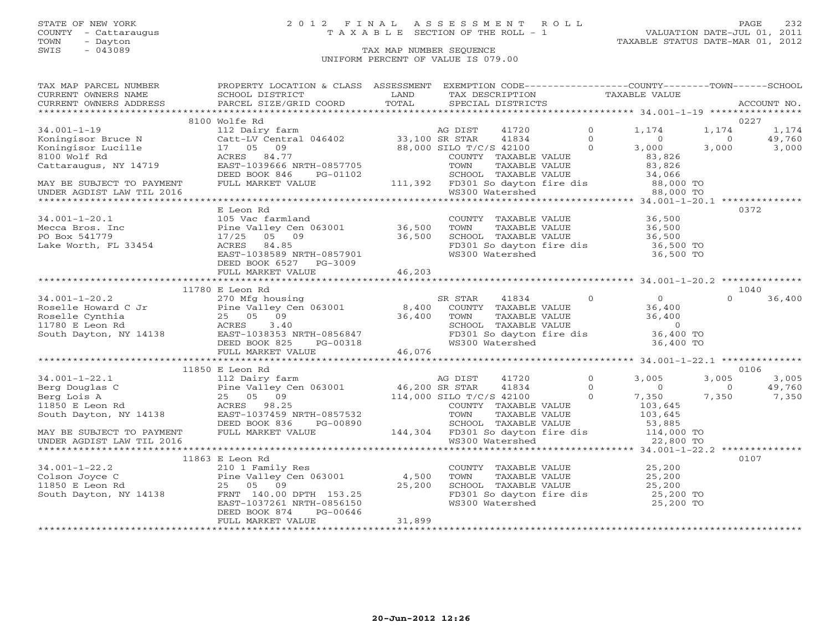## STATE OF NEW YORK 2 0 1 2 F I N A L A S S E S S M E N T R O L L PAGE 232 COUNTY - Cattaraugus T A X A B L E SECTION OF THE ROLL - 1 VALUATION DATE-JUL 01, 2011

| TAX MAP PARCEL NUMBER                                                                                                                                                                                                                                                                                                                                                                                                          | PROPERTY LOCATION & CLASS ASSESSMENT EXEMPTION CODE----------------COUNTY-------TOWN------SCHOOL                                                                                                                                                                                                                                                                                                                                                                                           |        |                                                                                                                                                     |                                       |                  |                |             |
|--------------------------------------------------------------------------------------------------------------------------------------------------------------------------------------------------------------------------------------------------------------------------------------------------------------------------------------------------------------------------------------------------------------------------------|--------------------------------------------------------------------------------------------------------------------------------------------------------------------------------------------------------------------------------------------------------------------------------------------------------------------------------------------------------------------------------------------------------------------------------------------------------------------------------------------|--------|-----------------------------------------------------------------------------------------------------------------------------------------------------|---------------------------------------|------------------|----------------|-------------|
| CURRENT OWNERS NAME                                                                                                                                                                                                                                                                                                                                                                                                            | $\begin{tabular}{lllll} \multicolumn{2}{c}{\multicolumn{2}{c}{\multicolumn{2}{c}{\multicolumn{2}{c}{\multicolumn{2}{c}{\multicolumn{2}{c}{\multicolumn{2}{c}{\multicolumn{2}{c}{\multicolumn{2}{c}{\multicolumn{2}{c}{\multicolumn{2}{c}{\multicolumn{2}{c}{\multicolumn{2}{c}{\multicolumn{2}{c}{\multicolumn{2}{c}{\multicolumn{2}{c}{\multicolumn{2}{c}{\multicolumn{2}{c}{\multicolumn{2}{c}{\multicolumn{2}{c}{\multicolumn{2}{c}{\multicolumn{2}{c}{\multicolumn{2}{c}{\multicolumn$ |        |                                                                                                                                                     |                                       |                  |                |             |
| CURRENT OWNERS ADDRESS                                                                                                                                                                                                                                                                                                                                                                                                         |                                                                                                                                                                                                                                                                                                                                                                                                                                                                                            |        |                                                                                                                                                     |                                       |                  |                | ACCOUNT NO. |
|                                                                                                                                                                                                                                                                                                                                                                                                                                |                                                                                                                                                                                                                                                                                                                                                                                                                                                                                            |        |                                                                                                                                                     |                                       |                  |                |             |
|                                                                                                                                                                                                                                                                                                                                                                                                                                | 8100 Wolfe Rd                                                                                                                                                                                                                                                                                                                                                                                                                                                                              |        |                                                                                                                                                     |                                       |                  |                | 0227        |
| $34.001 - 1 - 19$                                                                                                                                                                                                                                                                                                                                                                                                              | 112 Dairy farm<br>Catt-LV Central 046402 (33,100 SR STAR (41834 (17 05 09 (38,000 SILO T/C/S 42100 (2011)<br>ACRES 84.77 (2011)<br>COUNTY TAYADIR UNITY                                                                                                                                                                                                                                                                                                                                    |        |                                                                                                                                                     |                                       | 1,174            | 1,174          | 1,174       |
| Koningisor Bruce N                                                                                                                                                                                                                                                                                                                                                                                                             |                                                                                                                                                                                                                                                                                                                                                                                                                                                                                            |        |                                                                                                                                                     |                                       | $\overline{0}$   | $\overline{0}$ | 49,760      |
| Koningisor Lucille                                                                                                                                                                                                                                                                                                                                                                                                             |                                                                                                                                                                                                                                                                                                                                                                                                                                                                                            |        |                                                                                                                                                     |                                       | 3,000            | 3,000          | 3,000       |
| 8100 Wolf Rd                                                                                                                                                                                                                                                                                                                                                                                                                   | ACRES 84.77<br>EAST-1039666 NRTH-0857705                                                                                                                                                                                                                                                                                                                                                                                                                                                   |        |                                                                                                                                                     |                                       | 83,826           |                |             |
| Cattaraugus, NY 14719                                                                                                                                                                                                                                                                                                                                                                                                          |                                                                                                                                                                                                                                                                                                                                                                                                                                                                                            |        | TOWN                                                                                                                                                | TAXABLE VALUE                         | 83,826           |                |             |
|                                                                                                                                                                                                                                                                                                                                                                                                                                | EASI-100000 MAIN-0607700<br>DEED BOOK 846 PG-01102 SCHOOL TAXABLE VALUE<br>FULL MARKET VALUE 111,392 FD301 So dayton fire dis 88,000 TO<br>WS300 Watershed 88,000 TO                                                                                                                                                                                                                                                                                                                       |        |                                                                                                                                                     |                                       |                  |                |             |
| MAY BE SUBJECT TO PAYMENT                                                                                                                                                                                                                                                                                                                                                                                                      |                                                                                                                                                                                                                                                                                                                                                                                                                                                                                            |        |                                                                                                                                                     |                                       |                  |                |             |
|                                                                                                                                                                                                                                                                                                                                                                                                                                |                                                                                                                                                                                                                                                                                                                                                                                                                                                                                            |        |                                                                                                                                                     |                                       |                  |                |             |
|                                                                                                                                                                                                                                                                                                                                                                                                                                |                                                                                                                                                                                                                                                                                                                                                                                                                                                                                            |        |                                                                                                                                                     |                                       |                  |                |             |
|                                                                                                                                                                                                                                                                                                                                                                                                                                | E Leon Rd                                                                                                                                                                                                                                                                                                                                                                                                                                                                                  |        |                                                                                                                                                     |                                       |                  |                | 0372        |
| $34.001 - 1 - 20.1$                                                                                                                                                                                                                                                                                                                                                                                                            | 105 Vac farmland<br>Pine Valley Cen 063001 36,500<br>17/25 05 09 36,500<br>ACRES 84.85<br>EAST-1038589 NRTH-0857901<br>DEED BOOK 6527 PG-3009                                                                                                                                                                                                                                                                                                                                              |        | COUNTY TAXABLE VALUE<br>TOWN TAXABLE VALUE 36,500<br>SCHOOL TAXABLE VALUE 36,500<br>FD301 So dayton fire dis 36,500 TO<br>WS300 Watershed 36,500 TO |                                       |                  |                |             |
| Mecca Bros. Inc                                                                                                                                                                                                                                                                                                                                                                                                                |                                                                                                                                                                                                                                                                                                                                                                                                                                                                                            |        |                                                                                                                                                     |                                       |                  |                |             |
| PO Box 541779                                                                                                                                                                                                                                                                                                                                                                                                                  |                                                                                                                                                                                                                                                                                                                                                                                                                                                                                            |        |                                                                                                                                                     |                                       |                  |                |             |
| Lake Worth, FL 33454                                                                                                                                                                                                                                                                                                                                                                                                           |                                                                                                                                                                                                                                                                                                                                                                                                                                                                                            |        |                                                                                                                                                     |                                       |                  |                |             |
|                                                                                                                                                                                                                                                                                                                                                                                                                                |                                                                                                                                                                                                                                                                                                                                                                                                                                                                                            |        |                                                                                                                                                     |                                       |                  |                |             |
|                                                                                                                                                                                                                                                                                                                                                                                                                                |                                                                                                                                                                                                                                                                                                                                                                                                                                                                                            |        |                                                                                                                                                     |                                       |                  |                |             |
|                                                                                                                                                                                                                                                                                                                                                                                                                                | FULL MARKET VALUE                                                                                                                                                                                                                                                                                                                                                                                                                                                                          | 46,203 |                                                                                                                                                     |                                       |                  |                |             |
|                                                                                                                                                                                                                                                                                                                                                                                                                                |                                                                                                                                                                                                                                                                                                                                                                                                                                                                                            |        |                                                                                                                                                     |                                       |                  |                |             |
|                                                                                                                                                                                                                                                                                                                                                                                                                                | 11780 E Leon Rd                                                                                                                                                                                                                                                                                                                                                                                                                                                                            |        |                                                                                                                                                     |                                       |                  |                | 1040        |
|                                                                                                                                                                                                                                                                                                                                                                                                                                |                                                                                                                                                                                                                                                                                                                                                                                                                                                                                            |        |                                                                                                                                                     |                                       |                  |                |             |
|                                                                                                                                                                                                                                                                                                                                                                                                                                |                                                                                                                                                                                                                                                                                                                                                                                                                                                                                            |        |                                                                                                                                                     |                                       |                  |                |             |
|                                                                                                                                                                                                                                                                                                                                                                                                                                |                                                                                                                                                                                                                                                                                                                                                                                                                                                                                            |        |                                                                                                                                                     |                                       |                  |                |             |
|                                                                                                                                                                                                                                                                                                                                                                                                                                |                                                                                                                                                                                                                                                                                                                                                                                                                                                                                            |        |                                                                                                                                                     |                                       |                  |                |             |
|                                                                                                                                                                                                                                                                                                                                                                                                                                |                                                                                                                                                                                                                                                                                                                                                                                                                                                                                            |        |                                                                                                                                                     |                                       |                  |                |             |
|                                                                                                                                                                                                                                                                                                                                                                                                                                |                                                                                                                                                                                                                                                                                                                                                                                                                                                                                            |        |                                                                                                                                                     |                                       |                  |                |             |
|                                                                                                                                                                                                                                                                                                                                                                                                                                |                                                                                                                                                                                                                                                                                                                                                                                                                                                                                            |        |                                                                                                                                                     |                                       |                  |                |             |
|                                                                                                                                                                                                                                                                                                                                                                                                                                |                                                                                                                                                                                                                                                                                                                                                                                                                                                                                            |        |                                                                                                                                                     |                                       |                  |                |             |
| $\begin{tabular}{lllllllllllll} 34.001-1-20.2 & 11/80 & 270\text{ Mfg housing} & \text{SR STAR} & 41834 & 0 & 0 & 0 & 36,400 \\ \text{Roselle Howard C Jr & Pine Valley Cen 063001 & 8,400\text{ COUNTY TAXABLE VALUE} & 36,400 & 36,400 & 36,400 \\ \text{Roselle Cyrnhiia} & 25& 05& 09 & 36,400 & 36,400 & 36,400 \\ \text{Roselle Cyrnhiia} & 25& 05& 09 & 36$                                                             |                                                                                                                                                                                                                                                                                                                                                                                                                                                                                            |        |                                                                                                                                                     |                                       |                  |                | 0106        |
| $\begin{tabular}{lllllllllll} \text{34.001--1--22.1} & \text{11850 E Hc} & \text{112 Dairy farm} & \text{AG DLST} & \text{4172V} \\ \text{Berg Douglas C} & \text{Pine Valley Cen 063001} & \text{46,200 SR STRR} & \text{41834} \\ \text{Berg Douglas C} & \text{Pine Valley Cen 063001} & \text{46,200 SR STRR} & \text{41834} \\ \text{Berg Louis A} & \text{25 & 05 & 09 \\ \text{11850 E Leon Rd} & \text{ACRES} & \text$ | 11850 E Leon Rd                                                                                                                                                                                                                                                                                                                                                                                                                                                                            |        |                                                                                                                                                     |                                       |                  |                |             |
|                                                                                                                                                                                                                                                                                                                                                                                                                                |                                                                                                                                                                                                                                                                                                                                                                                                                                                                                            |        |                                                                                                                                                     |                                       | 3,005            | 3,005          | 3,005       |
|                                                                                                                                                                                                                                                                                                                                                                                                                                |                                                                                                                                                                                                                                                                                                                                                                                                                                                                                            |        |                                                                                                                                                     | $\begin{array}{c} 6 \\ 0 \end{array}$ | $\sim$ 0         | $\sim$ 0       | 49,760      |
|                                                                                                                                                                                                                                                                                                                                                                                                                                |                                                                                                                                                                                                                                                                                                                                                                                                                                                                                            |        |                                                                                                                                                     | $\Omega$                              | 7,350            | 7,350          | 7,350       |
|                                                                                                                                                                                                                                                                                                                                                                                                                                |                                                                                                                                                                                                                                                                                                                                                                                                                                                                                            |        | COUNTY TAXABLE VALUE                                                                                                                                |                                       | 103,645          |                |             |
|                                                                                                                                                                                                                                                                                                                                                                                                                                |                                                                                                                                                                                                                                                                                                                                                                                                                                                                                            |        |                                                                                                                                                     |                                       | 103,645          |                |             |
|                                                                                                                                                                                                                                                                                                                                                                                                                                |                                                                                                                                                                                                                                                                                                                                                                                                                                                                                            |        |                                                                                                                                                     |                                       | 53,885           |                |             |
| MAY BE SUBJECT TO PAYMENT FULL MARKET VALUE<br>UNDER AGDIST LAW TIL 2016                                                                                                                                                                                                                                                                                                                                                       |                                                                                                                                                                                                                                                                                                                                                                                                                                                                                            |        | 144,304 FD301 So dayton fire dis 114,000 TO                                                                                                         |                                       |                  |                |             |
| UNDER AGDIST LAW TIL 2016                                                                                                                                                                                                                                                                                                                                                                                                      |                                                                                                                                                                                                                                                                                                                                                                                                                                                                                            |        | WS300 Watershed                                                                                                                                     |                                       | 22,800 TO        |                |             |
|                                                                                                                                                                                                                                                                                                                                                                                                                                |                                                                                                                                                                                                                                                                                                                                                                                                                                                                                            |        |                                                                                                                                                     |                                       |                  |                |             |
|                                                                                                                                                                                                                                                                                                                                                                                                                                | 11863 E Leon Rd                                                                                                                                                                                                                                                                                                                                                                                                                                                                            |        |                                                                                                                                                     |                                       |                  |                | 0107        |
|                                                                                                                                                                                                                                                                                                                                                                                                                                |                                                                                                                                                                                                                                                                                                                                                                                                                                                                                            |        | COUNTY TAXABLE VALUE                                                                                                                                |                                       | 25,200           |                |             |
|                                                                                                                                                                                                                                                                                                                                                                                                                                |                                                                                                                                                                                                                                                                                                                                                                                                                                                                                            |        | TOWN<br>TAXABLE VALUE                                                                                                                               |                                       | 25,200<br>25,200 |                |             |
|                                                                                                                                                                                                                                                                                                                                                                                                                                |                                                                                                                                                                                                                                                                                                                                                                                                                                                                                            |        | SCHOOL TAXABLE VALUE 25,200<br>FD301 So dayton fire dis 25,200 TO                                                                                   |                                       |                  |                |             |
|                                                                                                                                                                                                                                                                                                                                                                                                                                |                                                                                                                                                                                                                                                                                                                                                                                                                                                                                            |        |                                                                                                                                                     |                                       |                  |                |             |
| 34.001-1-22.2<br>Colson Joyce C<br>11850 E Leon Rd 25 05 09<br>South Dayton, NY 14138<br>EAST-1037261 NRTH-0856150                                                                                                                                                                                                                                                                                                             |                                                                                                                                                                                                                                                                                                                                                                                                                                                                                            |        | WS300 Watershed                                                                                                                                     |                                       | 25,200 TO        |                |             |
|                                                                                                                                                                                                                                                                                                                                                                                                                                | DEED BOOK 874<br>PG-00646                                                                                                                                                                                                                                                                                                                                                                                                                                                                  |        |                                                                                                                                                     |                                       |                  |                |             |
| **********************                                                                                                                                                                                                                                                                                                                                                                                                         | FULL MARKET VALUE                                                                                                                                                                                                                                                                                                                                                                                                                                                                          | 31,899 |                                                                                                                                                     |                                       |                  |                |             |
|                                                                                                                                                                                                                                                                                                                                                                                                                                |                                                                                                                                                                                                                                                                                                                                                                                                                                                                                            |        |                                                                                                                                                     |                                       |                  |                |             |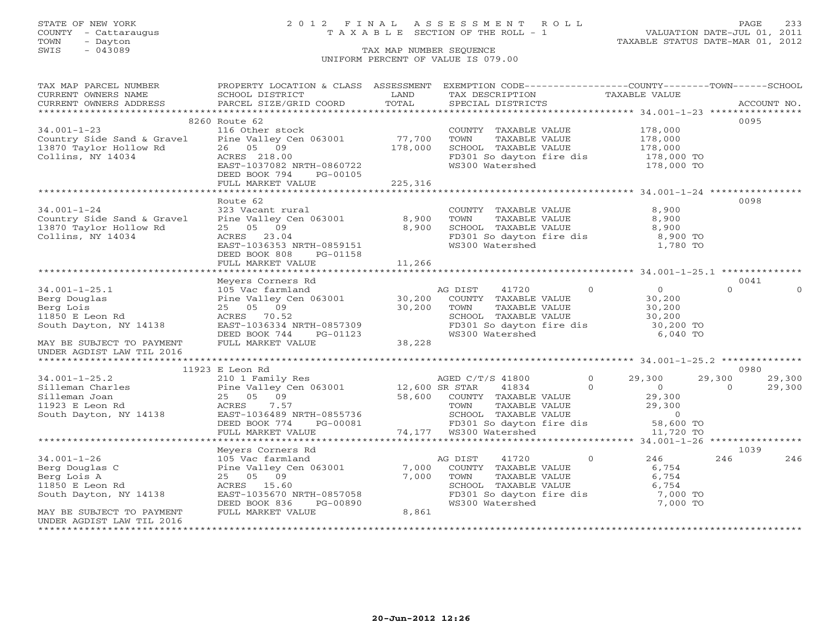# STATE OF NEW YORK 2 0 1 2 F I N A L A S S E S S M E N T R O L L PAGE 233 COUNTY - Cattaraugus T A X A B L E SECTION OF THE ROLL - 1 VALUATION DATE-JUL 01, 2011

| TAX MAP PARCEL NUMBER                                                                                                                                                                                                                                | PROPERTY LOCATION & CLASS ASSESSMENT               |       | EXEMPTION CODE-----------------COUNTY-------TOWN------SCHOOL                                                                      |                                                             |            |             |          |
|------------------------------------------------------------------------------------------------------------------------------------------------------------------------------------------------------------------------------------------------------|----------------------------------------------------|-------|-----------------------------------------------------------------------------------------------------------------------------------|-------------------------------------------------------------|------------|-------------|----------|
| CURRENT OWNERS NAME                                                                                                                                                                                                                                  | SCHOOL DISTRICT                                    | LAND  | TAX DESCRIPTION                                                                                                                   | TAXABLE VALUE                                               |            |             |          |
| CURRENT OWNERS ADDRESS PARCEL SIZE/GRID COORD TOTAL                                                                                                                                                                                                  |                                                    |       | SPECIAL DISTRICTS                                                                                                                 |                                                             |            | ACCOUNT NO. |          |
|                                                                                                                                                                                                                                                      |                                                    |       |                                                                                                                                   |                                                             |            |             |          |
|                                                                                                                                                                                                                                                      | 8260 Route 62                                      |       |                                                                                                                                   |                                                             |            | 0095        |          |
| $34.001 - 1 - 23$                                                                                                                                                                                                                                    | 116 Other stock                                    |       |                                                                                                                                   |                                                             |            |             |          |
|                                                                                                                                                                                                                                                      |                                                    |       |                                                                                                                                   |                                                             |            |             |          |
|                                                                                                                                                                                                                                                      |                                                    |       |                                                                                                                                   |                                                             |            |             |          |
| 34.001-1-23<br>Country Side Sand & Gravel Pine Valley Cen 063001 77,700<br>13870 Taylor Hollow Rd 26 05 09 178,000<br>Collins, NY 14034 26RES 218.00<br>EAST-1037082 NRTH-0860722                                                                    |                                                    |       | COUNTY TAXABLE VALUE 178,000<br>TOWN TAXABLE VALUE 178,000<br>SCHOOL TAXABLE VALUE 178,000<br>FD301 So dayton fire dis 178,000 TO |                                                             |            |             |          |
|                                                                                                                                                                                                                                                      |                                                    |       | WS300 Watershed                                                                                                                   |                                                             | 178,000 TO |             |          |
|                                                                                                                                                                                                                                                      |                                                    |       |                                                                                                                                   |                                                             |            |             |          |
|                                                                                                                                                                                                                                                      |                                                    |       |                                                                                                                                   |                                                             |            |             |          |
|                                                                                                                                                                                                                                                      |                                                    |       |                                                                                                                                   |                                                             |            |             |          |
|                                                                                                                                                                                                                                                      | Route 62                                           |       |                                                                                                                                   |                                                             |            | 0098        |          |
| 34.001-1-24<br>Country Side Sand & Gravel<br>13870 Taylor Hollow Rd<br>Collins, NY 14034<br>Collins, NY 14034<br>Collins, NY 14034<br>Collins, NY 14034<br>Collins, NY 14034<br>Collins, NY 14034<br>Collins, NY 14034<br>Collins, NY 14034<br>Colli |                                                    |       | COUNTY TAXABLE VALUE                                                                                                              |                                                             | 8,900      |             |          |
|                                                                                                                                                                                                                                                      |                                                    |       | TOWN       TAXABLE  VALUE<br>SCHOOL    TAXABLE  VALUE                                                                             |                                                             | 8,900      |             |          |
|                                                                                                                                                                                                                                                      |                                                    |       |                                                                                                                                   |                                                             | 8,900      |             |          |
|                                                                                                                                                                                                                                                      |                                                    |       | FD301 So dayton fire dis 8,900 TO<br>WS300 Watershed 1,780 TO                                                                     |                                                             |            |             |          |
|                                                                                                                                                                                                                                                      |                                                    |       |                                                                                                                                   |                                                             |            |             |          |
|                                                                                                                                                                                                                                                      | DEED BOOK 808 PG-01158<br>FULL MARKET VALUE 11,266 |       |                                                                                                                                   |                                                             |            |             |          |
|                                                                                                                                                                                                                                                      |                                                    |       |                                                                                                                                   |                                                             |            |             |          |
|                                                                                                                                                                                                                                                      |                                                    |       |                                                                                                                                   |                                                             |            | 0041        |          |
| Meyers Corners Rd 34.001-1-25.1 105 Vac farmland<br>Berg Douglas Pine Valley Cen 063001 30,200 COUNTY TAXABLE VALUE<br>Berg Lois 25 05 09<br>11850 E Leon Rd 25 05 200 ACRES 70.52<br>South Dayton, NY 14138 EAST-1036334 NRTH-0857309               |                                                    |       |                                                                                                                                   |                                                             |            | $\Omega$    | $\Omega$ |
|                                                                                                                                                                                                                                                      |                                                    |       |                                                                                                                                   |                                                             |            |             |          |
|                                                                                                                                                                                                                                                      |                                                    |       |                                                                                                                                   |                                                             |            |             |          |
|                                                                                                                                                                                                                                                      |                                                    |       |                                                                                                                                   |                                                             |            |             |          |
|                                                                                                                                                                                                                                                      |                                                    |       |                                                                                                                                   |                                                             |            |             |          |
|                                                                                                                                                                                                                                                      |                                                    |       |                                                                                                                                   |                                                             |            |             |          |
|                                                                                                                                                                                                                                                      |                                                    |       |                                                                                                                                   |                                                             |            |             |          |
| UNDER AGDIST LAW TIL 2016                                                                                                                                                                                                                            |                                                    |       |                                                                                                                                   |                                                             |            |             |          |
|                                                                                                                                                                                                                                                      |                                                    |       |                                                                                                                                   |                                                             |            |             |          |
|                                                                                                                                                                                                                                                      | 11923 E Leon Rd                                    |       |                                                                                                                                   |                                                             |            | 0980        |          |
|                                                                                                                                                                                                                                                      |                                                    |       |                                                                                                                                   |                                                             |            |             |          |
|                                                                                                                                                                                                                                                      |                                                    |       |                                                                                                                                   |                                                             |            |             |          |
|                                                                                                                                                                                                                                                      |                                                    |       |                                                                                                                                   |                                                             |            |             |          |
|                                                                                                                                                                                                                                                      |                                                    |       |                                                                                                                                   |                                                             |            |             |          |
|                                                                                                                                                                                                                                                      |                                                    |       |                                                                                                                                   |                                                             |            |             |          |
|                                                                                                                                                                                                                                                      |                                                    |       |                                                                                                                                   |                                                             |            |             |          |
|                                                                                                                                                                                                                                                      |                                                    |       |                                                                                                                                   |                                                             |            |             |          |
|                                                                                                                                                                                                                                                      |                                                    |       |                                                                                                                                   |                                                             |            |             |          |
|                                                                                                                                                                                                                                                      |                                                    |       |                                                                                                                                   |                                                             |            | 1039        |          |
| $34.001 - 1 - 26$                                                                                                                                                                                                                                    |                                                    |       | AG DIST<br>41720 0                                                                                                                |                                                             | 246        | 246         | 246      |
| Berg Douglas C                                                                                                                                                                                                                                       |                                                    |       | COUNTY TAXABLE VALUE                                                                                                              |                                                             | 6,754      |             |          |
| Berg Lois A                                                                                                                                                                                                                                          |                                                    |       |                                                                                                                                   |                                                             |            |             |          |
| 11850 E Leon Rd                                                                                                                                                                                                                                      |                                                    |       | SCHOOL TAXABLE VALUE                                                                                                              | TAXABLE VALUE<br>TAXABLE VALUE 0,754<br>ALUE 0,754<br>7,000 |            |             |          |
| South Dayton, NY 14138                                                                                                                                                                                                                               | EAST-1035670 NRTH-0857058                          |       | FD301 So dayton fire dis 7,000 TO<br>WS300 Watershed 7,000 TO                                                                     |                                                             |            |             |          |
|                                                                                                                                                                                                                                                      | PG-00890<br>DEED BOOK 836                          |       | WS300 Watershed                                                                                                                   |                                                             |            |             |          |
| MAY BE SUBJECT TO PAYMENT                                                                                                                                                                                                                            | FULL MARKET VALUE                                  | 8,861 |                                                                                                                                   |                                                             |            |             |          |
| UNDER AGDIST LAW TIL 2016                                                                                                                                                                                                                            |                                                    |       |                                                                                                                                   |                                                             |            |             |          |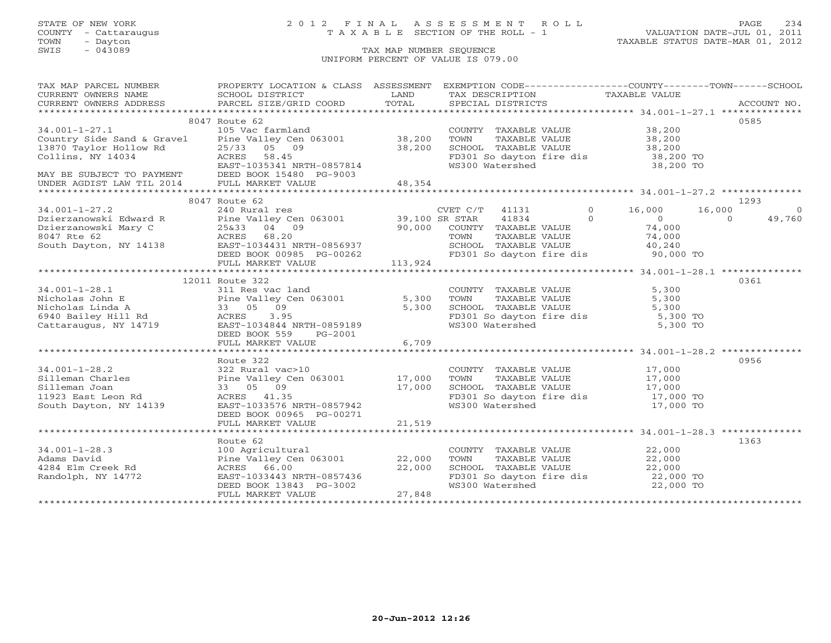# STATE OF NEW YORK 2 0 1 2 F I N A L A S S E S S M E N T R O L L PAGE 234 COUNTY - Cattaraugus T A X A B L E SECTION OF THE ROLL - 1 VALUATION DATE-JUL 01, 2011

| TAX MAP PARCEL NUMBER THE PROPERTY LOCATION & CLASS ASSESSMENT EXEMPTION CODE--------------COUNTY-------TOWN------SCHOOL                                                                                                                            |                                                                                                                                                                                |                                                                 |      |
|-----------------------------------------------------------------------------------------------------------------------------------------------------------------------------------------------------------------------------------------------------|--------------------------------------------------------------------------------------------------------------------------------------------------------------------------------|-----------------------------------------------------------------|------|
|                                                                                                                                                                                                                                                     |                                                                                                                                                                                |                                                                 |      |
|                                                                                                                                                                                                                                                     |                                                                                                                                                                                |                                                                 |      |
|                                                                                                                                                                                                                                                     |                                                                                                                                                                                |                                                                 |      |
|                                                                                                                                                                                                                                                     | 8047 Route 62                                                                                                                                                                  |                                                                 | 0585 |
|                                                                                                                                                                                                                                                     |                                                                                                                                                                                |                                                                 |      |
|                                                                                                                                                                                                                                                     |                                                                                                                                                                                |                                                                 |      |
|                                                                                                                                                                                                                                                     |                                                                                                                                                                                |                                                                 |      |
|                                                                                                                                                                                                                                                     |                                                                                                                                                                                |                                                                 |      |
|                                                                                                                                                                                                                                                     |                                                                                                                                                                                |                                                                 |      |
|                                                                                                                                                                                                                                                     |                                                                                                                                                                                |                                                                 |      |
|                                                                                                                                                                                                                                                     |                                                                                                                                                                                |                                                                 |      |
|                                                                                                                                                                                                                                                     |                                                                                                                                                                                |                                                                 |      |
|                                                                                                                                                                                                                                                     | 8047 Route 62                                                                                                                                                                  |                                                                 | 1293 |
|                                                                                                                                                                                                                                                     |                                                                                                                                                                                |                                                                 |      |
|                                                                                                                                                                                                                                                     |                                                                                                                                                                                |                                                                 |      |
|                                                                                                                                                                                                                                                     |                                                                                                                                                                                |                                                                 |      |
|                                                                                                                                                                                                                                                     |                                                                                                                                                                                |                                                                 |      |
|                                                                                                                                                                                                                                                     |                                                                                                                                                                                |                                                                 |      |
|                                                                                                                                                                                                                                                     |                                                                                                                                                                                |                                                                 |      |
|                                                                                                                                                                                                                                                     |                                                                                                                                                                                |                                                                 |      |
|                                                                                                                                                                                                                                                     |                                                                                                                                                                                |                                                                 |      |
|                                                                                                                                                                                                                                                     | 12011 Route 322                                                                                                                                                                |                                                                 | 0361 |
| 12011 Route 322<br>34.001-1-28.1<br>Nicholas John E<br>Nicholas Linda A<br>33 05 09<br>6940 Bailey Hill Rd<br>Cattaraugus, NY 14719<br>EAST-10349844 NRTH-0859189<br>EAST-103491<br>EAST-103491<br>RES 3.95<br>CALLE PORT PORT PROPERTY AND TAXABLE |                                                                                                                                                                                |                                                                 |      |
|                                                                                                                                                                                                                                                     |                                                                                                                                                                                |                                                                 |      |
|                                                                                                                                                                                                                                                     |                                                                                                                                                                                |                                                                 |      |
|                                                                                                                                                                                                                                                     |                                                                                                                                                                                |                                                                 |      |
|                                                                                                                                                                                                                                                     |                                                                                                                                                                                |                                                                 |      |
|                                                                                                                                                                                                                                                     |                                                                                                                                                                                |                                                                 |      |
|                                                                                                                                                                                                                                                     | DEED BOOK 559 PG-2001                                                                                                                                                          |                                                                 |      |
|                                                                                                                                                                                                                                                     |                                                                                                                                                                                |                                                                 |      |
|                                                                                                                                                                                                                                                     |                                                                                                                                                                                |                                                                 |      |
|                                                                                                                                                                                                                                                     | Route 322                                                                                                                                                                      |                                                                 | 0956 |
|                                                                                                                                                                                                                                                     |                                                                                                                                                                                |                                                                 |      |
|                                                                                                                                                                                                                                                     |                                                                                                                                                                                |                                                                 |      |
|                                                                                                                                                                                                                                                     |                                                                                                                                                                                |                                                                 |      |
|                                                                                                                                                                                                                                                     |                                                                                                                                                                                |                                                                 |      |
|                                                                                                                                                                                                                                                     |                                                                                                                                                                                |                                                                 |      |
|                                                                                                                                                                                                                                                     |                                                                                                                                                                                |                                                                 |      |
|                                                                                                                                                                                                                                                     |                                                                                                                                                                                |                                                                 |      |
|                                                                                                                                                                                                                                                     |                                                                                                                                                                                |                                                                 |      |
|                                                                                                                                                                                                                                                     | Route 62                                                                                                                                                                       |                                                                 | 1363 |
|                                                                                                                                                                                                                                                     |                                                                                                                                                                                | COUNTY TAXABLE VALUE 22,000                                     |      |
| 34.001-1-28.3<br>Adams David<br>4284 Elm Creek Rd                                                                                                                                                                                                   |                                                                                                                                                                                |                                                                 |      |
|                                                                                                                                                                                                                                                     |                                                                                                                                                                                |                                                                 |      |
| Randolph, NY 14772                                                                                                                                                                                                                                  |                                                                                                                                                                                | FD301 So dayton fire dis 22,000 TO<br>WS300 Watershed 22,000 TO |      |
|                                                                                                                                                                                                                                                     |                                                                                                                                                                                |                                                                 |      |
|                                                                                                                                                                                                                                                     | Route 62<br>100 Agricultural<br>Pine Valley Cen 063001 22,000<br>ACRES 66.00 22,000<br>EAST-1033443 NRTH-0857436 22,000<br>DEED BOOK 13843 PG-3002<br>FULL MARKET VALUE 27,848 |                                                                 |      |
|                                                                                                                                                                                                                                                     |                                                                                                                                                                                |                                                                 |      |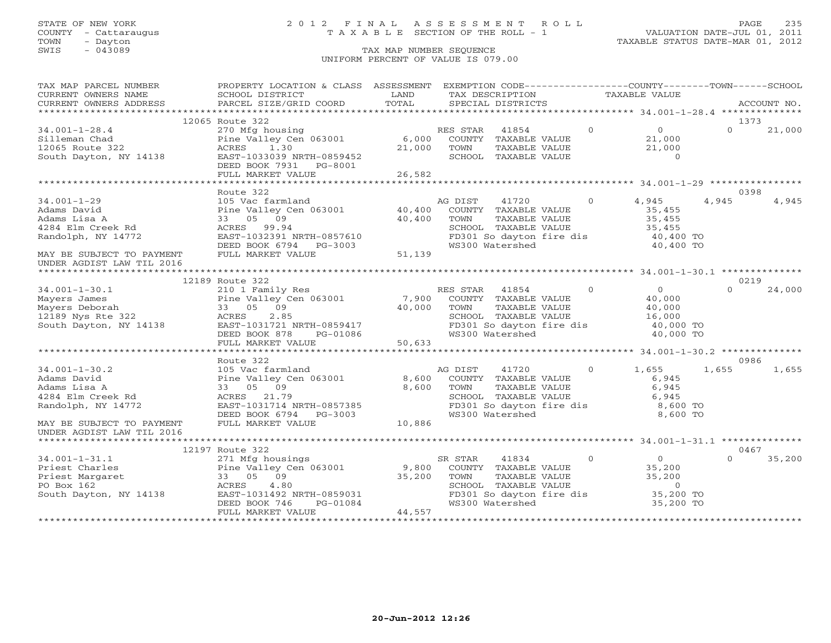# STATE OF NEW YORK 2 0 1 2 F I N A L A S S E S S M E N T R O L L PAGE 235 COUNTY - Cattaraugus T A X A B L E SECTION OF THE ROLL - 1 VALUATION DATE-JUL 01, 2011

| TAX MAP PARCEL NUMBER                                                                                                                                                                                                                                                      | PROPERTY LOCATION & CLASS ASSESSMENT                                                          |        |          |                                                        |       |                |                                                               |          | EXEMPTION CODE-----------------COUNTY-------TOWN------SCHOOL |
|----------------------------------------------------------------------------------------------------------------------------------------------------------------------------------------------------------------------------------------------------------------------------|-----------------------------------------------------------------------------------------------|--------|----------|--------------------------------------------------------|-------|----------------|---------------------------------------------------------------|----------|--------------------------------------------------------------|
| CURRENT OWNERS NAME                                                                                                                                                                                                                                                        | SCHOOL DISTRICT<br><b>EXAMPLE STATE</b>                                                       |        |          | TAX DESCRIPTION TAXABLE VALUE                          |       |                |                                                               |          |                                                              |
| CURRENT OWNERS ADDRESS                                                                                                                                                                                                                                                     | PARCEL SIZE/GRID COORD                                                                        | TOTAL  |          | SPECIAL DISTRICTS                                      |       |                |                                                               |          | ACCOUNT NO.                                                  |
|                                                                                                                                                                                                                                                                            |                                                                                               |        |          |                                                        |       |                |                                                               |          |                                                              |
|                                                                                                                                                                                                                                                                            | 12065 Route 322                                                                               |        |          |                                                        |       |                |                                                               |          | 1373                                                         |
| $34.001 - 1 - 28.4$                                                                                                                                                                                                                                                        | 270 Mfg housing<br>Pine Valley Cen 063001 6,000                                               |        | RES STAR | 41854                                                  |       | $\Omega$       | $\begin{matrix}0\\21\end{matrix}$                             | $\Omega$ | 21,000                                                       |
| Silleman Chad                                                                                                                                                                                                                                                              |                                                                                               |        |          | COUNTY TAXABLE VALUE                                   |       |                | 21,000                                                        |          |                                                              |
| 14139<br>12065 Route 322                                                                                                                                                                                                                                                   | ACRES<br>1.30                                                                                 | 21,000 | TOWN     |                                                        |       | TAXABLE VALUE  | 21,000                                                        |          |                                                              |
| South Dayton, NY 14138                                                                                                                                                                                                                                                     | EAST-1033039 NRTH-0859452                                                                     |        |          | SCHOOL TAXABLE VALUE                                   |       |                | $\overline{0}$                                                |          |                                                              |
|                                                                                                                                                                                                                                                                            | DEED BOOK 7931 PG-8001                                                                        |        |          |                                                        |       |                |                                                               |          |                                                              |
|                                                                                                                                                                                                                                                                            | FULL MARKET VALUE                                                                             | 26,582 |          |                                                        |       |                |                                                               |          |                                                              |
|                                                                                                                                                                                                                                                                            |                                                                                               |        |          |                                                        |       |                |                                                               |          |                                                              |
|                                                                                                                                                                                                                                                                            | Route 322                                                                                     |        |          |                                                        |       |                |                                                               |          | 0398                                                         |
| $34.001 - 1 - 29$                                                                                                                                                                                                                                                          | 105 Vac farmland a AC<br>Pine Valley Cen 063001 40,400                                        |        | AG DIST  |                                                        | 41720 | $\Omega$       | 4,945                                                         | 4,945    | 4,945                                                        |
| Adams David                                                                                                                                                                                                                                                                |                                                                                               |        |          | COUNTY TAXABLE VALUE                                   |       |                | 35,455                                                        |          |                                                              |
| Adams Lisa A                                                                                                                                                                                                                                                               | 33 05 09                                                                                      | 40,400 | TOWN     | TAXABLE VALUE                                          |       |                | 35,455                                                        |          |                                                              |
| 4284 Elm Creek Rd                                                                                                                                                                                                                                                          | ACRES 99.94                                                                                   |        |          | SCHOOL TAXABLE VALUE                                   |       |                | 35,455                                                        |          |                                                              |
| Randolph, NY 14772                                                                                                                                                                                                                                                         |                                                                                               |        |          |                                                        |       |                | FD301 So dayton fire dis 40,400 TO                            |          |                                                              |
|                                                                                                                                                                                                                                                                            |                                                                                               |        |          | WS300 Watershed                                        |       |                | 40,400 TO                                                     |          |                                                              |
| MAY BE SUBJECT TO PAYMENT                                                                                                                                                                                                                                                  | EAST-1032391 NRTH-0857610<br>DEED BOOK 6794 PG-3003<br>FULL MARKET VALUE 51,139               |        |          |                                                        |       |                |                                                               |          |                                                              |
| UNDER AGDIST LAW TIL 2016                                                                                                                                                                                                                                                  |                                                                                               |        |          |                                                        |       |                |                                                               |          |                                                              |
|                                                                                                                                                                                                                                                                            |                                                                                               |        |          |                                                        |       |                |                                                               |          |                                                              |
|                                                                                                                                                                                                                                                                            | 12189 Route 322                                                                               |        |          |                                                        |       |                |                                                               |          | 0219                                                         |
| $34.001 - 1 - 30.1$                                                                                                                                                                                                                                                        | 210 1 Family Res<br>Pine Valley Cen 063001 7,900<br>33 05 09 40,000<br>ACRES 2.85             |        | RES STAR | 41854                                                  |       | $\Omega$       | $\overline{0}$                                                | $\Omega$ | 24,000                                                       |
| 34.001-1-30.1<br>Mayers James<br>Mayers Deborah<br>12189 Nys Rte 322<br>South Dayton, NY 14138                                                                                                                                                                             |                                                                                               |        |          | COUNTY TAXABLE VALUE                                   |       |                | 40,000                                                        |          |                                                              |
|                                                                                                                                                                                                                                                                            |                                                                                               |        | TOWN     | TAXABLE VALUE                                          |       |                | 40,000                                                        |          |                                                              |
|                                                                                                                                                                                                                                                                            |                                                                                               |        |          | SCHOOL TAXABLE VALUE                                   |       |                | 16,000                                                        |          |                                                              |
|                                                                                                                                                                                                                                                                            |                                                                                               |        |          | FD301 So dayton fire dis                               |       |                | 40,000 TO                                                     |          |                                                              |
|                                                                                                                                                                                                                                                                            |                                                                                               |        |          | WS300 Watershed                                        |       |                | 40,000 TO                                                     |          |                                                              |
|                                                                                                                                                                                                                                                                            | ACRES 2.85<br>EAST-1031721 NRTH-0859417<br>DEED BOOK 878 PG-01086<br>FULL MARKET VALUE 50,633 |        |          |                                                        |       |                |                                                               |          |                                                              |
|                                                                                                                                                                                                                                                                            |                                                                                               |        |          |                                                        |       |                |                                                               |          |                                                              |
|                                                                                                                                                                                                                                                                            | Route 322                                                                                     |        |          |                                                        |       |                |                                                               |          | 0986                                                         |
| $34.001 - 1 - 30.2$                                                                                                                                                                                                                                                        | 105 Vac farmland                                                                              |        | AG DIST  | 41720                                                  |       | $\overline{O}$ | 1,655                                                         | 1,655    | 1,655                                                        |
|                                                                                                                                                                                                                                                                            | Pine Valley Cen 063001 8,600                                                                  |        |          | COUNTY TAXABLE VALUE                                   |       |                | 6,945                                                         |          |                                                              |
| Badams David<br>Adams Lisa A<br>4284 Elm Creek Rd                                                                                                                                                                                                                          | 33 05 09                                                                                      | 8,600  | TOWN     |                                                        |       |                | 6,945                                                         |          |                                                              |
|                                                                                                                                                                                                                                                                            | ACRES 21.79                                                                                   |        |          | TAXABLE VALUE<br>TAXABLE VALUE<br>SCHOOL TAXABLE VALUE |       |                | 6,945<br>6,945                                                |          |                                                              |
| Randolph, NY 14772                                                                                                                                                                                                                                                         |                                                                                               |        |          |                                                        |       |                |                                                               |          |                                                              |
|                                                                                                                                                                                                                                                                            | 1-1-1031714 NRTH-0857385<br>DEED BOOK 6794 PG-3003<br>FULL MARY---                            |        |          |                                                        |       |                | FD301 So dayton fire dis 8,600 TO<br>WS300 Watershed 8,600 TO |          |                                                              |
| MAY BE SUBJECT TO PAYMENT                                                                                                                                                                                                                                                  | FULL MARKET VALUE                                                                             | 10,886 |          |                                                        |       |                |                                                               |          |                                                              |
| UNDER AGDIST LAW TIL 2016                                                                                                                                                                                                                                                  |                                                                                               |        |          |                                                        |       |                |                                                               |          |                                                              |
|                                                                                                                                                                                                                                                                            |                                                                                               |        |          |                                                        |       |                |                                                               |          |                                                              |
|                                                                                                                                                                                                                                                                            |                                                                                               |        |          |                                                        |       |                |                                                               |          | 0467                                                         |
|                                                                                                                                                                                                                                                                            |                                                                                               |        | SR STAR  | 41834                                                  |       | $\overline{0}$ | $\overline{0}$                                                | $\Omega$ | 35,200                                                       |
|                                                                                                                                                                                                                                                                            |                                                                                               |        |          | COUNTY TAXABLE VALUE                                   |       |                | 35,200                                                        |          |                                                              |
|                                                                                                                                                                                                                                                                            |                                                                                               |        | TOWN     | TAXABLE VALUE                                          |       |                | 35,200                                                        |          |                                                              |
|                                                                                                                                                                                                                                                                            |                                                                                               |        |          | SCHOOL TAXABLE VALUE                                   |       |                | $\sim$ 0                                                      |          |                                                              |
| Priest Charles<br>Priest Margaret<br>Priest Margaret<br>SI Priest Margaret<br>Priest Margaret<br>South DOM: 10 Metallic Margaret<br>South DOM: 10 Metallic Margaret<br>South DOM: 10 Metallic Margaret<br>South DOM: 10 Metallic Margaret<br>Sou<br>South Dayton, NY 14138 | ACRES 4.80<br>EAST-1031492 NRTH-0859031<br>DEED BOOK 746 PG-01084                             |        |          |                                                        |       |                | FD301 So dayton fire dis 35,200 TO                            |          |                                                              |
|                                                                                                                                                                                                                                                                            |                                                                                               |        |          | WS300 Watershed                                        |       |                | 35,200 TO                                                     |          |                                                              |
|                                                                                                                                                                                                                                                                            | FULL MARKET VALUE                                                                             | 44,557 |          |                                                        |       |                |                                                               |          |                                                              |
|                                                                                                                                                                                                                                                                            |                                                                                               |        |          |                                                        |       |                |                                                               |          |                                                              |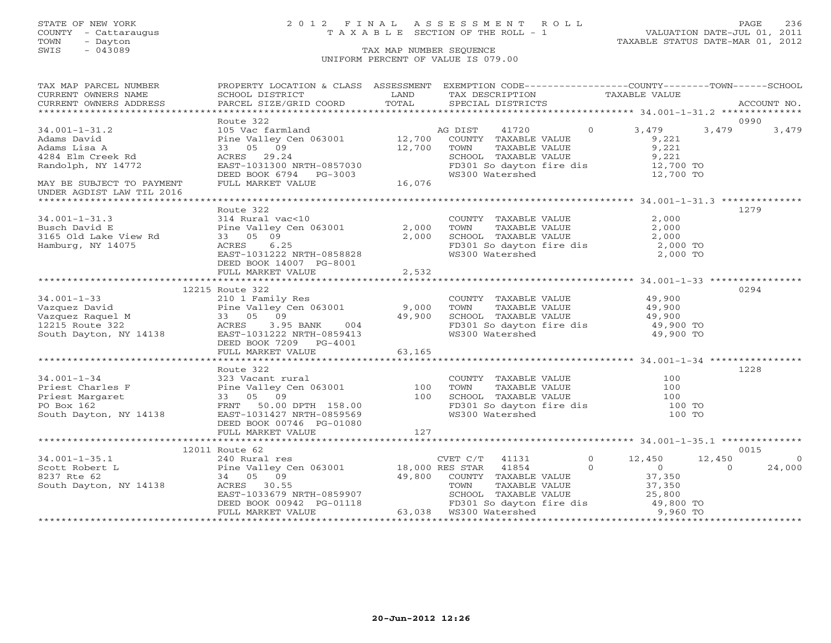# STATE OF NEW YORK 2 0 1 2 F I N A L A S S E S S M E N T R O L L PAGE 236 COUNTY - Cattaraugus T A X A B L E SECTION OF THE ROLL - 1 VALUATION DATE-JUL 01, 2011

| TAX MAP PARCEL NUMBER                                                                                                                                                                                                                                                                                                     | PROPERTY LOCATION & CLASS ASSESSMENT EXEMPTION CODE----------------COUNTY-------TOWN------SCHOOL                                                                                                                                        |       |                                                                                            |                                                               |       |                |
|---------------------------------------------------------------------------------------------------------------------------------------------------------------------------------------------------------------------------------------------------------------------------------------------------------------------------|-----------------------------------------------------------------------------------------------------------------------------------------------------------------------------------------------------------------------------------------|-------|--------------------------------------------------------------------------------------------|---------------------------------------------------------------|-------|----------------|
| CURRENT OWNERS NAME<br>CURRENT OWNERS NAME SCHOOL DISTRICT – - ------ - ------ - LAND TAX DESCRIPTION TAXABLE VALUE<br>CURRENT OWNERS ADDRESS PARCEL SIZE/GRID COORD TOTAL SPECIAL DISTRICTS ACCOUNT NO.<br>***************************                                                                                   |                                                                                                                                                                                                                                         |       |                                                                                            |                                                               |       |                |
|                                                                                                                                                                                                                                                                                                                           |                                                                                                                                                                                                                                         |       |                                                                                            |                                                               |       |                |
|                                                                                                                                                                                                                                                                                                                           |                                                                                                                                                                                                                                         |       |                                                                                            |                                                               |       |                |
|                                                                                                                                                                                                                                                                                                                           | Route 322                                                                                                                                                                                                                               |       |                                                                                            |                                                               | 0990  |                |
| $34.001 - 1 - 31.2$                                                                                                                                                                                                                                                                                                       |                                                                                                                                                                                                                                         |       | AG DIST 41720 0 3,479                                                                      |                                                               | 3,479 | 3,479          |
| Adams David                                                                                                                                                                                                                                                                                                               |                                                                                                                                                                                                                                         |       |                                                                                            |                                                               |       |                |
| Adams Lisa A                                                                                                                                                                                                                                                                                                              |                                                                                                                                                                                                                                         |       |                                                                                            |                                                               |       |                |
| 4284 Elm Creek Rd                                                                                                                                                                                                                                                                                                         |                                                                                                                                                                                                                                         |       | SCHOOL TAXABLE VALUE 9,221<br>FD301 So dayton fire dis 12,700 TO                           |                                                               |       |                |
| Randolph, NY 14772                                                                                                                                                                                                                                                                                                        |                                                                                                                                                                                                                                         |       |                                                                                            |                                                               |       |                |
|                                                                                                                                                                                                                                                                                                                           |                                                                                                                                                                                                                                         |       | WS300 Watershed                                                                            | 12,700 TO                                                     |       |                |
| MAY BE SUBJECT TO PAYMENT                                                                                                                                                                                                                                                                                                 | ACRES 29.24<br>EAST-1031300 NRTH-0857030<br>DEED BOOK 6794 PG-3003<br>FULL MARKET VALUE 16,076                                                                                                                                          |       |                                                                                            |                                                               |       |                |
| UNDER AGDIST LAW TIL 2016                                                                                                                                                                                                                                                                                                 |                                                                                                                                                                                                                                         |       |                                                                                            |                                                               |       |                |
|                                                                                                                                                                                                                                                                                                                           |                                                                                                                                                                                                                                         |       |                                                                                            |                                                               |       |                |
|                                                                                                                                                                                                                                                                                                                           | Route 322                                                                                                                                                                                                                               |       |                                                                                            |                                                               | 1279  |                |
|                                                                                                                                                                                                                                                                                                                           |                                                                                                                                                                                                                                         |       |                                                                                            |                                                               |       |                |
|                                                                                                                                                                                                                                                                                                                           |                                                                                                                                                                                                                                         |       | COUNTY TAXABLE VALUE $2,000$<br>TOWN TAXABLE VALUE $2,000$<br>SCHOOL TAXABLE VALUE $2,000$ |                                                               |       |                |
|                                                                                                                                                                                                                                                                                                                           |                                                                                                                                                                                                                                         |       |                                                                                            |                                                               |       |                |
| 34.001-1-31.3<br>Busch David E<br>3165 Old Lake View Rd<br>$\begin{array}{ccc} 31 & \text{Rural vac} \\ 31 & \text{Pine Valley (} \\ 33 & 05 & 09 \\ 0 & \text{MV } 14075 \\ 0.27 & \text{ST } 103122 \\ \end{array}$                                                                                                     |                                                                                                                                                                                                                                         |       |                                                                                            |                                                               |       |                |
|                                                                                                                                                                                                                                                                                                                           | NOUE 322<br>314 Rural vac<10<br>Pine Valley Cen 063001<br>33 05 09<br>ACRES 6.25<br>EAST-1031222 NRTH-0858828<br>FD301<br>EAST-1031222 NRTH-0858828<br>T-T-1031222 NRTH-0858828<br>T-T-1031222 NRTH-0858828<br>T-T-1031222 NRTH-0858828 |       |                                                                                            | FD301 So dayton fire dis 2,000 TO<br>WS300 Watershed 2,000 TO |       |                |
|                                                                                                                                                                                                                                                                                                                           | DEED BOOK 14007 PG-8001                                                                                                                                                                                                                 |       |                                                                                            |                                                               |       |                |
|                                                                                                                                                                                                                                                                                                                           | FULL MARKET VALUE                                                                                                                                                                                                                       | 2,532 |                                                                                            |                                                               |       |                |
|                                                                                                                                                                                                                                                                                                                           |                                                                                                                                                                                                                                         |       |                                                                                            |                                                               |       |                |
|                                                                                                                                                                                                                                                                                                                           | 12215 Route 322                                                                                                                                                                                                                         |       |                                                                                            |                                                               | 0294  |                |
|                                                                                                                                                                                                                                                                                                                           |                                                                                                                                                                                                                                         |       |                                                                                            |                                                               |       |                |
|                                                                                                                                                                                                                                                                                                                           |                                                                                                                                                                                                                                         |       |                                                                                            |                                                               |       |                |
|                                                                                                                                                                                                                                                                                                                           |                                                                                                                                                                                                                                         |       |                                                                                            |                                                               |       |                |
|                                                                                                                                                                                                                                                                                                                           |                                                                                                                                                                                                                                         |       |                                                                                            |                                                               |       |                |
|                                                                                                                                                                                                                                                                                                                           |                                                                                                                                                                                                                                         |       |                                                                                            |                                                               |       |                |
|                                                                                                                                                                                                                                                                                                                           |                                                                                                                                                                                                                                         |       |                                                                                            |                                                               |       |                |
|                                                                                                                                                                                                                                                                                                                           |                                                                                                                                                                                                                                         |       |                                                                                            |                                                               |       |                |
|                                                                                                                                                                                                                                                                                                                           |                                                                                                                                                                                                                                         |       |                                                                                            |                                                               |       |                |
|                                                                                                                                                                                                                                                                                                                           |                                                                                                                                                                                                                                         |       |                                                                                            |                                                               | 1228  |                |
|                                                                                                                                                                                                                                                                                                                           | Route 322                                                                                                                                                                                                                               |       |                                                                                            |                                                               |       |                |
|                                                                                                                                                                                                                                                                                                                           |                                                                                                                                                                                                                                         |       |                                                                                            |                                                               |       |                |
|                                                                                                                                                                                                                                                                                                                           |                                                                                                                                                                                                                                         |       |                                                                                            |                                                               |       |                |
|                                                                                                                                                                                                                                                                                                                           |                                                                                                                                                                                                                                         |       |                                                                                            |                                                               |       |                |
|                                                                                                                                                                                                                                                                                                                           |                                                                                                                                                                                                                                         |       |                                                                                            | $100$ TO<br>$100$ TO                                          |       |                |
|                                                                                                                                                                                                                                                                                                                           |                                                                                                                                                                                                                                         |       |                                                                                            | 100 TO                                                        |       |                |
|                                                                                                                                                                                                                                                                                                                           |                                                                                                                                                                                                                                         |       |                                                                                            |                                                               |       |                |
|                                                                                                                                                                                                                                                                                                                           |                                                                                                                                                                                                                                         |       |                                                                                            |                                                               |       |                |
|                                                                                                                                                                                                                                                                                                                           |                                                                                                                                                                                                                                         |       |                                                                                            |                                                               |       |                |
|                                                                                                                                                                                                                                                                                                                           | 12011 Route 62                                                                                                                                                                                                                          |       |                                                                                            |                                                               | 0015  |                |
|                                                                                                                                                                                                                                                                                                                           |                                                                                                                                                                                                                                         |       |                                                                                            |                                                               |       | $\overline{0}$ |
|                                                                                                                                                                                                                                                                                                                           |                                                                                                                                                                                                                                         |       |                                                                                            |                                                               |       | 24,000         |
|                                                                                                                                                                                                                                                                                                                           |                                                                                                                                                                                                                                         |       |                                                                                            |                                                               |       |                |
|                                                                                                                                                                                                                                                                                                                           |                                                                                                                                                                                                                                         |       |                                                                                            |                                                               |       |                |
|                                                                                                                                                                                                                                                                                                                           |                                                                                                                                                                                                                                         |       |                                                                                            |                                                               |       |                |
|                                                                                                                                                                                                                                                                                                                           |                                                                                                                                                                                                                                         |       |                                                                                            |                                                               |       |                |
| $\begin{tabular}{cccccc} 34.001-1-35.1 & 12011 Koute & 62 \\ & 240 Rural res & 240 Rural res & 18,000 RES STR & 41854 & 0 & 12,450 & 12,450 \\ & 240 Rural res & 18,000 RES STR & 41854 & 0 & 0 & 0 \\ & 34 & 05 & 09 & 49,800 & 0 & 0 & 37,350 & 37,350 \\ & 34 & 05 & 09 & 49,800 & 0 & 0 & 37,350 & 37,350 \\ & 34 & $ |                                                                                                                                                                                                                                         |       |                                                                                            |                                                               |       |                |
|                                                                                                                                                                                                                                                                                                                           |                                                                                                                                                                                                                                         |       |                                                                                            |                                                               |       |                |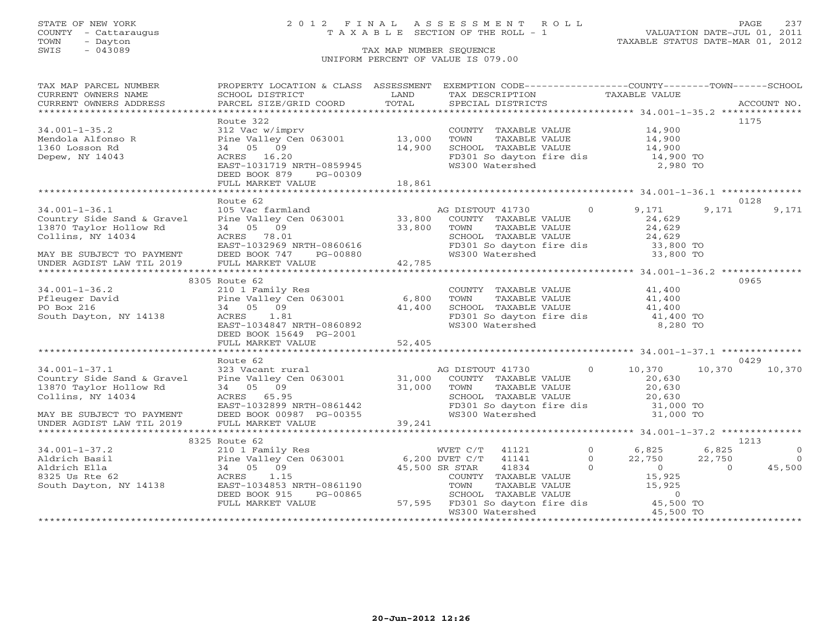# STATE OF NEW YORK 2 0 1 2 F I N A L A S S E S S M E N T R O L L PAGE 237 COUNTY - Cattaraugus T A X A B L E SECTION OF THE ROLL - 1 VALUATION DATE-JUL 01, 2011

| TAX MAP PARCEL NUMBER                                                                                                                                                                                                                                                                                                                                                                                                  | PROPERTY LOCATION & CLASS ASSESSMENT EXEMPTION CODE----------------COUNTY-------TOWN------SCHOOL                                                                               |        |                                                                                                                                                                                                                                            |        |       |                |
|------------------------------------------------------------------------------------------------------------------------------------------------------------------------------------------------------------------------------------------------------------------------------------------------------------------------------------------------------------------------------------------------------------------------|--------------------------------------------------------------------------------------------------------------------------------------------------------------------------------|--------|--------------------------------------------------------------------------------------------------------------------------------------------------------------------------------------------------------------------------------------------|--------|-------|----------------|
| CURRENT OWNERS NAME                                                                                                                                                                                                                                                                                                                                                                                                    |                                                                                                                                                                                |        |                                                                                                                                                                                                                                            |        |       |                |
|                                                                                                                                                                                                                                                                                                                                                                                                                        |                                                                                                                                                                                |        |                                                                                                                                                                                                                                            |        |       |                |
|                                                                                                                                                                                                                                                                                                                                                                                                                        |                                                                                                                                                                                |        |                                                                                                                                                                                                                                            |        |       |                |
|                                                                                                                                                                                                                                                                                                                                                                                                                        | Route 322                                                                                                                                                                      |        |                                                                                                                                                                                                                                            |        |       | 1175           |
| $34.001 - 1 - 35.2$                                                                                                                                                                                                                                                                                                                                                                                                    | 312 Vac w/imprv<br>Pine Valley Cen 063001 13,000                                                                                                                               |        | COUNTY TAXABLE VALUE 14,900                                                                                                                                                                                                                |        |       |                |
| Mendola Alfonso R<br>1260 Losson Rd                                                                                                                                                                                                                                                                                                                                                                                    |                                                                                                                                                                                |        | TOWN<br>TAXABLE VALUE                                                                                                                                                                                                                      | 14,900 |       |                |
|                                                                                                                                                                                                                                                                                                                                                                                                                        | 34 05 09                                                                                                                                                                       | 14,900 | CHOOL TAXABLE VALUE<br>FD301 So dayton fire dis 14,900 TO<br>WS300 Watershed 2,980 TO                                                                                                                                                      |        |       |                |
| Depew, NY 14043                                                                                                                                                                                                                                                                                                                                                                                                        | AUKES 16.20<br>EAST-1031719 NRTH-0859945<br>DEED BOOK 879 DO 00300                                                                                                             |        |                                                                                                                                                                                                                                            |        |       |                |
|                                                                                                                                                                                                                                                                                                                                                                                                                        |                                                                                                                                                                                |        |                                                                                                                                                                                                                                            |        |       |                |
|                                                                                                                                                                                                                                                                                                                                                                                                                        | DEED BOOK 879<br>PG-00309                                                                                                                                                      |        |                                                                                                                                                                                                                                            |        |       |                |
|                                                                                                                                                                                                                                                                                                                                                                                                                        | FULL MARKET VALUE                                                                                                                                                              | 18,861 |                                                                                                                                                                                                                                            |        |       |                |
|                                                                                                                                                                                                                                                                                                                                                                                                                        |                                                                                                                                                                                |        |                                                                                                                                                                                                                                            |        |       |                |
|                                                                                                                                                                                                                                                                                                                                                                                                                        | Route 62                                                                                                                                                                       |        |                                                                                                                                                                                                                                            |        |       | 0128           |
| $34.001 - 1 - 36.1$                                                                                                                                                                                                                                                                                                                                                                                                    | 105 Vac farmland                                                                                                                                                               |        | AG DISTOUT 41730 0 9,171                                                                                                                                                                                                                   |        | 9,171 | 9,171          |
| Country Side Sand & Gravel                                                                                                                                                                                                                                                                                                                                                                                             | Pine Valley Cen 063001 33,800                                                                                                                                                  |        | COUNTY TAXABLE VALUE                                                                                                                                                                                                                       | 24,629 |       |                |
| 13870 Taylor Hollow Rd                                                                                                                                                                                                                                                                                                                                                                                                 | 34 05 09                                                                                                                                                                       | 33,800 | TOWN TAXABLE VALUE 24,629<br>SCHOOL TAXABLE VALUE 24,629<br>FD301 So dayton fire dis 33,800 TO<br>WS300 Watershed 33,800 TO                                                                                                                |        |       |                |
|                                                                                                                                                                                                                                                                                                                                                                                                                        |                                                                                                                                                                                |        |                                                                                                                                                                                                                                            |        |       |                |
|                                                                                                                                                                                                                                                                                                                                                                                                                        |                                                                                                                                                                                |        |                                                                                                                                                                                                                                            |        |       |                |
| MAY BE SUBJECT TO PAYMENT<br>UNDER AGDIST LAW TIL 2019                                                                                                                                                                                                                                                                                                                                                                 |                                                                                                                                                                                |        |                                                                                                                                                                                                                                            |        |       |                |
| $\begin{array}{cccccc} \text{Collins, } & \text{NY} & 14034 & & \text{ACRES} & 78.01 & & \text{SCHOOL} & \text{TAXABLE VALUE} & 24,629 \\ & & & \text{EAST-1032969 NRTH-0860616} & & & \text{FD301 So dayton fire dis} & 33,800\text{ TO} \\ \text{MAX BE SUBJECT TO PAYMENT} & & \text{DEED BOK 747} & & \text{PG-00880} & & 42,785 & & 33,800\text{ TO} \\ \text{UNDER AGDIST LAW TIL 2019} & & \text{FULL MARKET V$ |                                                                                                                                                                                |        |                                                                                                                                                                                                                                            |        |       |                |
|                                                                                                                                                                                                                                                                                                                                                                                                                        |                                                                                                                                                                                |        |                                                                                                                                                                                                                                            |        |       |                |
|                                                                                                                                                                                                                                                                                                                                                                                                                        | 8305 Route 62                                                                                                                                                                  |        |                                                                                                                                                                                                                                            |        |       | 0965           |
|                                                                                                                                                                                                                                                                                                                                                                                                                        |                                                                                                                                                                                |        | COUNTY TAXABLE VALUE 41,400                                                                                                                                                                                                                |        |       |                |
|                                                                                                                                                                                                                                                                                                                                                                                                                        |                                                                                                                                                                                |        | TOWN TAXABLE VALUE 41,400<br>SCHOOL TAXABLE VALUE 41,400                                                                                                                                                                                   |        |       |                |
|                                                                                                                                                                                                                                                                                                                                                                                                                        |                                                                                                                                                                                |        |                                                                                                                                                                                                                                            |        |       |                |
| 34.001-1-36.2<br>Pfleuger David<br>Po Box 216<br>Po Box 216<br>Po Box 216<br>Po Box 216<br>Po Box 216<br>Po Box 216<br>Po Box 216<br>Po Box 216<br>Po Box 216<br>Po Box 216<br>Po Box 216<br>Po ACRES<br>Po ACRES<br>Po A1.81                                                                                                                                                                                          | ACRES 1.81<br>EAST-1034847 NRTH-0860892                                                                                                                                        |        | FD301 So dayton fire dis $41,400$ TO<br>WS300 Watershed 8,280 TO                                                                                                                                                                           |        |       |                |
|                                                                                                                                                                                                                                                                                                                                                                                                                        |                                                                                                                                                                                |        |                                                                                                                                                                                                                                            |        |       |                |
|                                                                                                                                                                                                                                                                                                                                                                                                                        | DEED BOOK 15649 PG-2001                                                                                                                                                        |        |                                                                                                                                                                                                                                            |        |       |                |
|                                                                                                                                                                                                                                                                                                                                                                                                                        |                                                                                                                                                                                |        |                                                                                                                                                                                                                                            |        |       |                |
|                                                                                                                                                                                                                                                                                                                                                                                                                        | Route 62                                                                                                                                                                       |        |                                                                                                                                                                                                                                            |        |       | 0429           |
| $34.001 - 1 - 37.1$                                                                                                                                                                                                                                                                                                                                                                                                    |                                                                                                                                                                                |        | AG DISTOUT 41730 0 10,370                                                                                                                                                                                                                  |        |       | 10,370 10,370  |
| Country Side Sand & Gravel                                                                                                                                                                                                                                                                                                                                                                                             |                                                                                                                                                                                |        |                                                                                                                                                                                                                                            |        |       |                |
| 13870 Taylor Hollow Rd                                                                                                                                                                                                                                                                                                                                                                                                 |                                                                                                                                                                                |        |                                                                                                                                                                                                                                            |        |       |                |
| Collins, NY 14034                                                                                                                                                                                                                                                                                                                                                                                                      | AG DISTOUT 41730 0 10,370<br>Pine Valley Cen 063001 31,000 COUNTY TAXABLE VALUE 20,630<br>34 05 09 31,000 TOWN TAXABLE VALUE 20,630<br>ACRES 65.95 SCHOOL TAXABLE VALUE 20,630 |        |                                                                                                                                                                                                                                            |        |       |                |
|                                                                                                                                                                                                                                                                                                                                                                                                                        |                                                                                                                                                                                |        |                                                                                                                                                                                                                                            |        |       |                |
| MAY BE SUBJECT TO PAYMENT                                                                                                                                                                                                                                                                                                                                                                                              |                                                                                                                                                                                |        | FD301 So dayton fire dis $\begin{array}{ccc} 0.7576 & 0.7576 \\ 0.31,000 & \text{TO} \\ 0.31,000 & \text{TO} \end{array}$                                                                                                                  |        |       |                |
| UNDER AGDIST LAW TIL 2019                                                                                                                                                                                                                                                                                                                                                                                              |                                                                                                                                                                                |        |                                                                                                                                                                                                                                            |        |       |                |
|                                                                                                                                                                                                                                                                                                                                                                                                                        |                                                                                                                                                                                |        |                                                                                                                                                                                                                                            |        |       |                |
|                                                                                                                                                                                                                                                                                                                                                                                                                        | 8325 Route 62                                                                                                                                                                  |        |                                                                                                                                                                                                                                            |        |       | 1213           |
|                                                                                                                                                                                                                                                                                                                                                                                                                        | 210 1 Family Res                                                                                                                                                               |        | WVET C/T 41121 0 6,825 6,825                                                                                                                                                                                                               |        |       | $\overline{0}$ |
|                                                                                                                                                                                                                                                                                                                                                                                                                        |                                                                                                                                                                                |        |                                                                                                                                                                                                                                            |        |       |                |
| 34.001-1-37.2<br>Aldrich Basil<br>Aldrich Basil<br>Pine Valley C<br>Aldrich Ella<br>34 05 09<br>8325 Us Rte 62<br>ACRES<br>1.15<br>South Dayton, NY 14138<br>EAST-1034853                                                                                                                                                                                                                                              | Pine Valley Cen 063001 6,200 DVE C/T 41141<br>34 05 09 45,500 SR STAR 41834<br>ACRES 1.15 COUNTY TAXAPE                                                                        |        |                                                                                                                                                                                                                                            |        |       |                |
|                                                                                                                                                                                                                                                                                                                                                                                                                        |                                                                                                                                                                                |        |                                                                                                                                                                                                                                            |        |       |                |
|                                                                                                                                                                                                                                                                                                                                                                                                                        | EAST-1034853<br>DREP 2004953 NRTH-0861190                                                                                                                                      |        |                                                                                                                                                                                                                                            |        |       |                |
|                                                                                                                                                                                                                                                                                                                                                                                                                        | DEED BOOK 915<br>PG-00865                                                                                                                                                      |        |                                                                                                                                                                                                                                            |        |       |                |
|                                                                                                                                                                                                                                                                                                                                                                                                                        | FULL MARKET VALUE                                                                                                                                                              |        | WET C/T 41121 0 6,825 6,825 0<br>45,500 DVET C/T 41141 0 22,750 22,750 0<br>45,500 SR STAR 41834 0 0 0 45,500<br>COUNTY TAXABLE VALUE 15,925<br>TOWN TAXABLE VALUE 15,925<br>SCHOOL TAXABLE VALUE 0<br>57,595 FD301 So dayton fire dis 45, |        |       |                |
|                                                                                                                                                                                                                                                                                                                                                                                                                        |                                                                                                                                                                                |        |                                                                                                                                                                                                                                            |        |       |                |
|                                                                                                                                                                                                                                                                                                                                                                                                                        |                                                                                                                                                                                |        |                                                                                                                                                                                                                                            |        |       |                |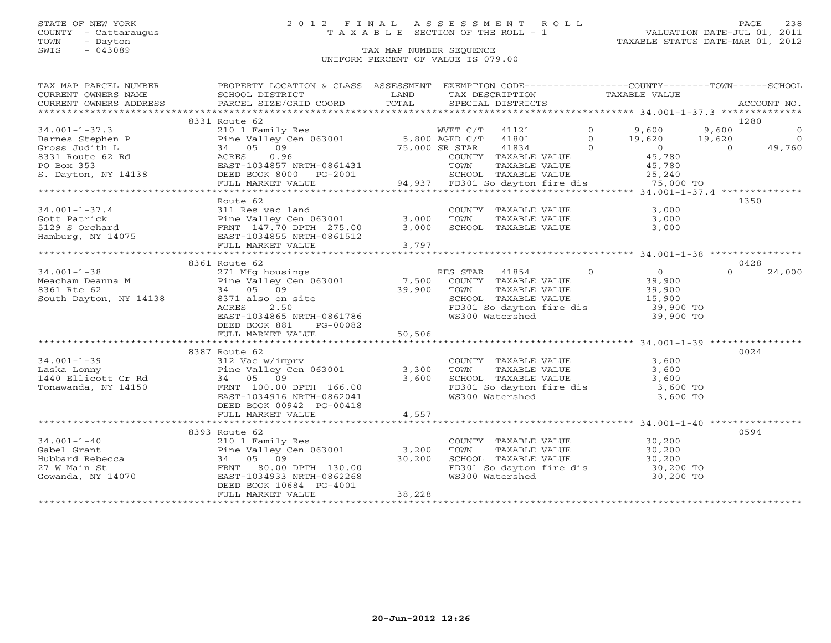# STATE OF NEW YORK 2 0 1 2 F I N A L A S S E S S M E N T R O L L PAGE 238 COUNTY - Cattaraugus T A X A B L E SECTION OF THE ROLL - 1 VALUATION DATE-JUL 01, 2011

| TAX MAP PARCEL NUMBER           | PROPERTY LOCATION & CLASS ASSESSMENT EXEMPTION CODE----------------COUNTY-------TOWN------SCHOOL                                                                                                                                                       |             |                                                                   |                  |          |                |
|---------------------------------|--------------------------------------------------------------------------------------------------------------------------------------------------------------------------------------------------------------------------------------------------------|-------------|-------------------------------------------------------------------|------------------|----------|----------------|
| CURRENT OWNERS NAME             | SCHOOL DISTRICT                                                                                                                                                                                                                                        | LAND        | TAX DESCRIPTION TAXABLE VALUE                                     |                  |          |                |
| CURRENT OWNERS ADDRESS          | PARCEL SIZE/GRID COORD                                                                                                                                                                                                                                 | TOTAL       | SPECIAL DISTRICTS                                                 |                  |          | ACCOUNT NO.    |
|                                 |                                                                                                                                                                                                                                                        |             |                                                                   |                  |          |                |
|                                 | 8331 Route 62                                                                                                                                                                                                                                          |             |                                                                   |                  |          | 1280           |
| $34.001 - 1 - 37.3$             | 210 1 Family Res                                                                                                                                                                                                                                       |             | WVET C/T 41121 0 9,600 9,600                                      |                  |          | $\overline{0}$ |
|                                 |                                                                                                                                                                                                                                                        |             |                                                                   |                  |          |                |
|                                 |                                                                                                                                                                                                                                                        |             |                                                                   |                  |          |                |
|                                 |                                                                                                                                                                                                                                                        |             |                                                                   |                  |          |                |
|                                 |                                                                                                                                                                                                                                                        |             |                                                                   |                  |          |                |
|                                 | 34.001-1-37.3<br>Barnes Stephen P<br>Gross Judith L<br>Barnes Stephen D<br>S. Dayton, NY 14138<br>S. Dayton, NY 14138<br>COUNTY TAXABLE VALUE<br>PO Box 353<br>EAST-1034857 NRTH-0861431<br>DEED C/T<br>TOWN TAXABLE VALUE<br>TOWN TAXABLE VALUE<br>TO |             |                                                                   |                  |          |                |
|                                 | FULL MARKET VALUE                                                                                                                                                                                                                                      |             | 94,937 FD301 So dayton fire dis 75,000 TO                         |                  |          |                |
|                                 |                                                                                                                                                                                                                                                        |             |                                                                   |                  |          |                |
|                                 | Route 62                                                                                                                                                                                                                                               |             |                                                                   |                  |          | 1350           |
|                                 |                                                                                                                                                                                                                                                        |             | COUNTY TAXABLE VALUE 3,000                                        |                  |          |                |
|                                 |                                                                                                                                                                                                                                                        | 3,000       | TAXABLE VALUE 3,000<br>TOWN                                       |                  |          |                |
|                                 |                                                                                                                                                                                                                                                        | 3,000       | SCHOOL TAXABLE VALUE                                              | 3,000            |          |                |
|                                 |                                                                                                                                                                                                                                                        |             |                                                                   |                  |          |                |
|                                 | Gott Patrick<br>5129 S Orchard<br>Hamburg, NY 14075<br>14075<br>14075<br>14075<br>12000 EAST-1034855 NRTH-0861512<br>12000 FINT. MAPKET 173181812<br>12000 FINT. MAPKET 1731811                                                                        | 3,797       |                                                                   |                  |          |                |
|                                 |                                                                                                                                                                                                                                                        |             |                                                                   |                  |          |                |
|                                 | 8361 Route 62                                                                                                                                                                                                                                          |             |                                                                   |                  |          | 0428           |
|                                 |                                                                                                                                                                                                                                                        |             |                                                                   |                  | $\Omega$ | 24,000         |
|                                 |                                                                                                                                                                                                                                                        |             |                                                                   |                  |          |                |
|                                 | And the set of the set of the set of the set of the Valley Cene (1850)<br>Meacham Deanna M (1990) Pine Valley Cene (1830)<br>1990) Panamon Monte (1836) Panamont Monte (1836) Panamont (1836) Panamont (1836) Panamont (1839)<br>199                   | 39,900 TOWN | TAXABLE VALUE                                                     | 39,900<br>15,900 |          |                |
| South Dayton, NY 14138          | $8371$ also on site<br>$251$ also on site<br>8371 also on site<br>ACRES 2.50<br>EAST-1034865 NRTH-0861786<br>ENER 1034865 NRTH-0861786                                                                                                                 |             | SCHOOL TAXABLE VALUE                                              |                  |          |                |
|                                 |                                                                                                                                                                                                                                                        |             | FD301 So dayton fire dis 39,900 TO                                |                  |          |                |
|                                 |                                                                                                                                                                                                                                                        |             | WS300 Watershed                                                   | 39,900 TO        |          |                |
|                                 | DEED BOOK 881<br>PG-00082                                                                                                                                                                                                                              |             |                                                                   |                  |          |                |
|                                 |                                                                                                                                                                                                                                                        |             |                                                                   |                  |          |                |
|                                 |                                                                                                                                                                                                                                                        |             |                                                                   |                  |          |                |
|                                 | 8387 Route 62                                                                                                                                                                                                                                          |             |                                                                   |                  |          | 0024           |
| $34.001 - 1 - 39$               | 312 Vac w/imprv                                                                                                                                                                                                                                        |             | COUNTY TAXABLE VALUE                                              | 3,600            |          |                |
| Laska Lonny                     | Pine Valley Cen 063001 3,300                                                                                                                                                                                                                           |             | TAXABLE VALUE<br>TOWN                                             | 3,600            |          |                |
| 1440 Ellicott Cr Rd             | 34 05 09                                                                                                                                                                                                                                               | 3,600       | SCHOOL TAXABLE VALUE 3,600<br>FD301 So dayton fire dis 3,600 TO   |                  |          |                |
| Tonawanda, NY 14150             | FRNT 100.00 DPTH 166.00                                                                                                                                                                                                                                |             |                                                                   |                  |          |                |
|                                 | EAST-1034916 NRTH-0862041                                                                                                                                                                                                                              |             | WS300 Watershed                                                   | 3,600 TO         |          |                |
|                                 | DEED BOOK 00942 PG-00418                                                                                                                                                                                                                               |             |                                                                   |                  |          |                |
|                                 | FULL MARKET VALUE                                                                                                                                                                                                                                      | 4,557       |                                                                   |                  |          |                |
|                                 |                                                                                                                                                                                                                                                        |             |                                                                   |                  |          |                |
|                                 | 8393 Route 62                                                                                                                                                                                                                                          |             |                                                                   |                  |          | 0594           |
| $34.001 - 1 - 40$               | 210 1 Family Res                                                                                                                                                                                                                                       |             | COUNTY TAXABLE VALUE 30,200                                       |                  |          |                |
| Gabel Grant                     | Pine $Valley$ Cen $063001$ 3,200                                                                                                                                                                                                                       |             | TAXABLE VALUE 30,200<br>TOWN                                      |                  |          |                |
| Hubbard Rebecca<br>27 W Main St | 34 05 09                                                                                                                                                                                                                                               | 30,200      | SCHOOL TAXABLE VALUE 30,200<br>FD301 So dayton fire dis 30,200 TO |                  |          |                |
|                                 | FRNT 80.00 DPTH 130.00                                                                                                                                                                                                                                 |             |                                                                   |                  |          |                |
| Gowanda, NY 14070               | EAST-1034933 NRTH-0862268                                                                                                                                                                                                                              |             | WS300 Watershed                                                   | 30,200 TO        |          |                |
|                                 | DEED BOOK 10684 PG-4001                                                                                                                                                                                                                                |             |                                                                   |                  |          |                |
|                                 | FULL MARKET VALUE                                                                                                                                                                                                                                      | 38,228      |                                                                   |                  |          |                |
|                                 |                                                                                                                                                                                                                                                        |             |                                                                   |                  |          |                |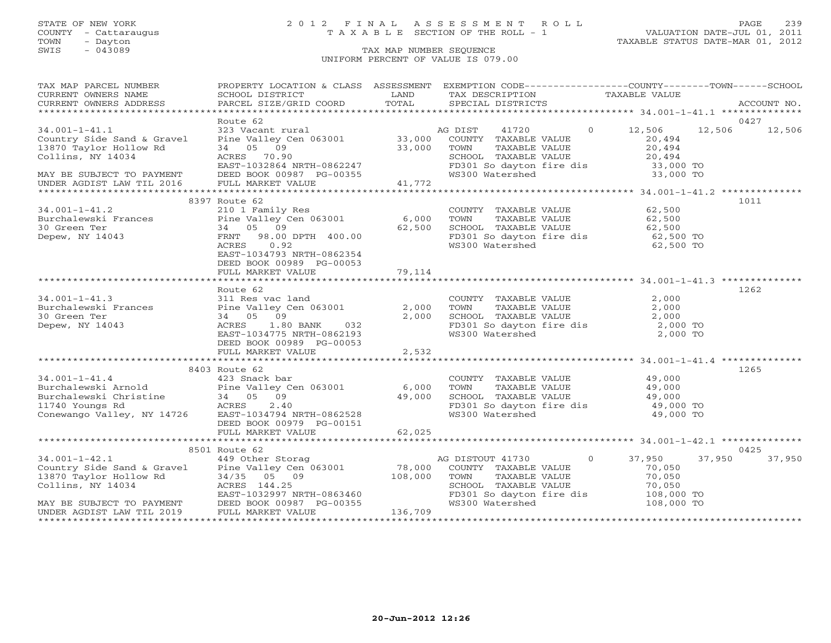# STATE OF NEW YORK 2 0 1 2 F I N A L A S S E S S M E N T R O L L PAGE 239 COUNTY - Cattaraugus T A X A B L E SECTION OF THE ROLL - 1 VALUATION DATE-JUL 01, 2011

| TAX MAP PARCEL NUMBER                                                                                                                                                                                                                           | PROPERTY LOCATION & CLASS ASSESSMENT EXEMPTION CODE---------------COUNTY-------TOWN------SCHOOL |        |                                                                                                                         |                                                               |        |
|-------------------------------------------------------------------------------------------------------------------------------------------------------------------------------------------------------------------------------------------------|-------------------------------------------------------------------------------------------------|--------|-------------------------------------------------------------------------------------------------------------------------|---------------------------------------------------------------|--------|
|                                                                                                                                                                                                                                                 |                                                                                                 |        |                                                                                                                         |                                                               |        |
|                                                                                                                                                                                                                                                 |                                                                                                 |        |                                                                                                                         |                                                               |        |
|                                                                                                                                                                                                                                                 |                                                                                                 |        |                                                                                                                         |                                                               |        |
|                                                                                                                                                                                                                                                 |                                                                                                 |        |                                                                                                                         |                                                               | 0427   |
| 34.001-1-41.1<br>Country Side Sand & Gravel (2008) 323 Vacant rural (2008) 33,000 COUNTY TAXABLE VALUE<br>13870 Taylor Hollow Rd (2008) 34 (2009) 33,000 TOWNT (2008) 33.000 COUNTY TAXABLE VALUE<br>2011 TAXABLE VALUE                         |                                                                                                 |        | 41720                                                                                                                   | 0 12,506 12,506 12,506                                        |        |
|                                                                                                                                                                                                                                                 |                                                                                                 |        |                                                                                                                         | 20,494                                                        |        |
|                                                                                                                                                                                                                                                 |                                                                                                 |        | TAXABLE VALUE                                                                                                           |                                                               |        |
|                                                                                                                                                                                                                                                 |                                                                                                 |        | SCHOOL TAXABLE VALUE                                                                                                    | 20,494<br>20,494                                              |        |
|                                                                                                                                                                                                                                                 |                                                                                                 |        | FD301 So dayton fire dis 33,000 TO                                                                                      |                                                               |        |
|                                                                                                                                                                                                                                                 |                                                                                                 |        |                                                                                                                         | 33,000 TO                                                     |        |
| Collins, NY 14034<br>EAST-1032864 NRTH-0862247 FD301 SCHOOL TAXABLE YOURNAY BE SUBJECT TO PAYMENT DEED BOOK 00987 PG-00355 WS300 Watershed<br>UNDER AGDIST LAW TIL 2016 FULL MARKET VALUE 41,772                                                |                                                                                                 |        |                                                                                                                         |                                                               |        |
|                                                                                                                                                                                                                                                 |                                                                                                 |        |                                                                                                                         |                                                               |        |
|                                                                                                                                                                                                                                                 |                                                                                                 |        |                                                                                                                         |                                                               | 1011   |
|                                                                                                                                                                                                                                                 |                                                                                                 |        | COUNTY TAXABLE VALUE                                                                                                    | 62,500                                                        |        |
|                                                                                                                                                                                                                                                 |                                                                                                 |        | TOWN                                                                                                                    |                                                               |        |
|                                                                                                                                                                                                                                                 |                                                                                                 |        |                                                                                                                         | TAXADDE VILLE<br>TAXABLE VALUE 62,500<br>TAXARLE VALUE 62,500 |        |
|                                                                                                                                                                                                                                                 |                                                                                                 |        | SCHOOL TAXABLE VALUE 62,500<br>FD301 So dayton fire dis 62,500 TO                                                       |                                                               |        |
|                                                                                                                                                                                                                                                 |                                                                                                 |        | WS300 Watershed                                                                                                         | 62,500 TO                                                     |        |
|                                                                                                                                                                                                                                                 | EAST-1034793 NRTH-0862354                                                                       |        |                                                                                                                         |                                                               |        |
|                                                                                                                                                                                                                                                 | DEED BOOK 00989 PG-00053                                                                        |        |                                                                                                                         |                                                               |        |
|                                                                                                                                                                                                                                                 |                                                                                                 |        |                                                                                                                         |                                                               |        |
|                                                                                                                                                                                                                                                 |                                                                                                 |        |                                                                                                                         |                                                               |        |
|                                                                                                                                                                                                                                                 |                                                                                                 |        |                                                                                                                         |                                                               | 1262   |
|                                                                                                                                                                                                                                                 |                                                                                                 |        |                                                                                                                         | 2,000                                                         |        |
|                                                                                                                                                                                                                                                 |                                                                                                 |        | COUNTY TAXABLE VALUE<br>TOWN TAXABLE VALUE                                                                              | 2,000                                                         |        |
| COUNT<br>Burchalewski Frances<br>30 Green Ter 34 05 09<br>Depew, NY 14043<br>2,000 TOWN<br>2,000 TOWN<br>2,000 TOWN<br>2,000 TOWN<br>2,000 TOWN<br>2,000 TOWN<br>2,000 TOWN                                                                     |                                                                                                 |        |                                                                                                                         |                                                               |        |
|                                                                                                                                                                                                                                                 |                                                                                                 |        | 2,000 SCHOOL TAXABLE VALUE 2,000<br>FD301 So dayton fire dis 2,000 TO<br>WS300 Watershed 2,000 TO                       |                                                               |        |
|                                                                                                                                                                                                                                                 | EAST-1034775 NRTH-0862193                                                                       |        |                                                                                                                         |                                                               |        |
|                                                                                                                                                                                                                                                 | DEED BOOK 00989 PG-00053                                                                        |        |                                                                                                                         |                                                               |        |
|                                                                                                                                                                                                                                                 | FULL MARKET VALUE                                                                               | 2,532  |                                                                                                                         |                                                               |        |
|                                                                                                                                                                                                                                                 |                                                                                                 |        |                                                                                                                         |                                                               |        |
|                                                                                                                                                                                                                                                 | 8403 Route 62                                                                                   |        |                                                                                                                         |                                                               | 1265   |
|                                                                                                                                                                                                                                                 |                                                                                                 |        | COUNTY TAXABLE VALUE 49,000                                                                                             |                                                               |        |
|                                                                                                                                                                                                                                                 |                                                                                                 | 6,000  |                                                                                                                         |                                                               |        |
|                                                                                                                                                                                                                                                 |                                                                                                 |        | $6,000$ TOWN TAXABLE VALUE $49,000$ SCHOOL TAXABLE VALUE $49,000$                                                       |                                                               |        |
|                                                                                                                                                                                                                                                 |                                                                                                 |        |                                                                                                                         |                                                               |        |
| 34.001-1-41.4<br>Burchalewski Arnold Pine Valley Cen 063001<br>Burchalewski Christine 34 05 09<br>11740 Youngs Rd ACRES 2.40<br>Conewango Valley, NY 14726 EAST-1034794 NRTH-0862528                                                            |                                                                                                 |        | FD301 So dayton fire dis $\begin{array}{ccc} 1.7,000 & 1.7,000 \\ 49,000 & \text{TO} \\ 49,000 & \text{TO} \end{array}$ |                                                               |        |
|                                                                                                                                                                                                                                                 | DEED BOOK 00979 PG-00151                                                                        |        |                                                                                                                         |                                                               |        |
|                                                                                                                                                                                                                                                 | FULL MARKET VALUE                                                                               | 62,025 |                                                                                                                         |                                                               |        |
|                                                                                                                                                                                                                                                 |                                                                                                 |        |                                                                                                                         |                                                               |        |
|                                                                                                                                                                                                                                                 |                                                                                                 |        |                                                                                                                         |                                                               | 0425   |
|                                                                                                                                                                                                                                                 | 8501 Route 62                                                                                   |        |                                                                                                                         |                                                               |        |
|                                                                                                                                                                                                                                                 |                                                                                                 |        | AG DISTOUT 41730 0 37,950 37,950                                                                                        |                                                               | 37,950 |
|                                                                                                                                                                                                                                                 |                                                                                                 |        |                                                                                                                         | 70,050                                                        |        |
|                                                                                                                                                                                                                                                 |                                                                                                 |        |                                                                                                                         | 70,050<br>70,050                                              |        |
|                                                                                                                                                                                                                                                 |                                                                                                 |        |                                                                                                                         |                                                               |        |
|                                                                                                                                                                                                                                                 |                                                                                                 |        | FD301 So dayton fire dis 108,000 TO                                                                                     |                                                               |        |
| 34.001-1-42.1<br>Country Side Sand & Gravel Pine Valley Cen 063001<br>249 Other Storag<br>Pine Valley Cen 063001<br>249 Other Storag<br>Pine Valley Cen 063001<br>249 Other Storag<br>249 Other Storag<br>249 Other Storag<br>26 2011 78,000 CO |                                                                                                 |        |                                                                                                                         | 108,000 TO                                                    |        |
|                                                                                                                                                                                                                                                 |                                                                                                 |        |                                                                                                                         |                                                               |        |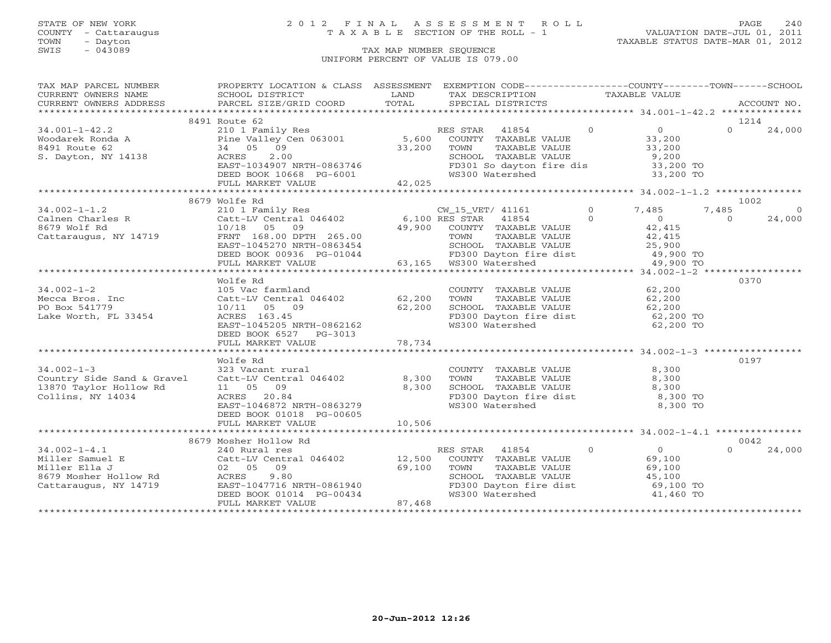# STATE OF NEW YORK 2 0 1 2 F I N A L A S S E S S M E N T R O L L PAGE 240 COUNTY - Cattaraugus T A X A B L E SECTION OF THE ROLL - 1 VALUATION DATE-JUL 01, 2011

### TOWN - Dayton - Dayton 1989<br>
TAX MAP NUMBER SEQUENCE - TAXABLE STATUS DATE-MAR 01, 2012<br>
SWIS - 043089 - TAX MAP NUMBER SEQUENCE TAX MAP NUMBER SEQUENCE UNIFORM PERCENT OF VALUE IS 079.00

| TAX MAP PARCEL NUMBER                                                                                                                                                                                                                                                                                                                                                                                                                                                       | PROPERTY LOCATION & CLASS ASSESSMENT EXEMPTION CODE----------------COUNTY-------TOWN------SCHOOL |                                                                                                                                                                              |  |                  |         |
|-----------------------------------------------------------------------------------------------------------------------------------------------------------------------------------------------------------------------------------------------------------------------------------------------------------------------------------------------------------------------------------------------------------------------------------------------------------------------------|--------------------------------------------------------------------------------------------------|------------------------------------------------------------------------------------------------------------------------------------------------------------------------------|--|------------------|---------|
| $\begin{tabular}{lllllll} \multicolumn{2}{c}{\textbf{CURRENT}} & \multicolumn{2}{c}{\textbf{WMERS}} & \multicolumn{2}{c}{\textbf{NAME}} & \multicolumn{2}{c}{\textbf{SCHOOL}} & \multicolumn{2}{c}{\textbf{DISTRICT}} & \multicolumn{2}{c}{\textbf{LAND}} & \multicolumn{2}{c}{\textbf{TAX} \textbf{DESCRIPTION}} & \multicolumn{2}{c}{\textbf{TAXABLE} \textbf{VALUE}} & \multicolumn{2}{c}{\textbf{NALUE}} \\ & & & & & & \multicolumn{2}{c}{\textbf{CURRENT}} & \multic$ |                                                                                                  |                                                                                                                                                                              |  |                  |         |
|                                                                                                                                                                                                                                                                                                                                                                                                                                                                             |                                                                                                  |                                                                                                                                                                              |  |                  |         |
|                                                                                                                                                                                                                                                                                                                                                                                                                                                                             |                                                                                                  |                                                                                                                                                                              |  |                  |         |
|                                                                                                                                                                                                                                                                                                                                                                                                                                                                             | 8491 Route 62                                                                                    |                                                                                                                                                                              |  | 1214             |         |
|                                                                                                                                                                                                                                                                                                                                                                                                                                                                             |                                                                                                  |                                                                                                                                                                              |  |                  |         |
|                                                                                                                                                                                                                                                                                                                                                                                                                                                                             |                                                                                                  |                                                                                                                                                                              |  |                  |         |
|                                                                                                                                                                                                                                                                                                                                                                                                                                                                             |                                                                                                  |                                                                                                                                                                              |  |                  |         |
|                                                                                                                                                                                                                                                                                                                                                                                                                                                                             |                                                                                                  |                                                                                                                                                                              |  |                  |         |
|                                                                                                                                                                                                                                                                                                                                                                                                                                                                             |                                                                                                  |                                                                                                                                                                              |  |                  |         |
|                                                                                                                                                                                                                                                                                                                                                                                                                                                                             |                                                                                                  |                                                                                                                                                                              |  |                  |         |
|                                                                                                                                                                                                                                                                                                                                                                                                                                                                             |                                                                                                  |                                                                                                                                                                              |  |                  |         |
| $\begin{array}{cccccccc} 34.001-1-42.2 & 8491 & \text{Ker } 62 & 210 & 1 & \text{Family Res} & \text{RES STAR} & 41854 & 0 & 0 & 0 & 24,000 \\ \text{Woodarek Ronda A} & \text{Pine Valley Cen 063001} & 5,600 & \text{COUNTY TAXABLE VALUE} & 33,200 & 33,200 \\ 8491 & \text{Route 62} & 34 & 05 & 09 & 33,200 & 33,200 \\ \text{S. Dayton, NY 14138} & \text{A} & \text{OESD$                                                                                            |                                                                                                  |                                                                                                                                                                              |  |                  |         |
|                                                                                                                                                                                                                                                                                                                                                                                                                                                                             | 8679 Wolfe Rd                                                                                    |                                                                                                                                                                              |  | 1002             |         |
|                                                                                                                                                                                                                                                                                                                                                                                                                                                                             |                                                                                                  |                                                                                                                                                                              |  | 7,485            | $\circ$ |
|                                                                                                                                                                                                                                                                                                                                                                                                                                                                             |                                                                                                  |                                                                                                                                                                              |  | $\overline{0}$   | 24,000  |
|                                                                                                                                                                                                                                                                                                                                                                                                                                                                             |                                                                                                  |                                                                                                                                                                              |  |                  |         |
|                                                                                                                                                                                                                                                                                                                                                                                                                                                                             |                                                                                                  |                                                                                                                                                                              |  |                  |         |
|                                                                                                                                                                                                                                                                                                                                                                                                                                                                             |                                                                                                  |                                                                                                                                                                              |  |                  |         |
|                                                                                                                                                                                                                                                                                                                                                                                                                                                                             |                                                                                                  |                                                                                                                                                                              |  |                  |         |
|                                                                                                                                                                                                                                                                                                                                                                                                                                                                             |                                                                                                  |                                                                                                                                                                              |  |                  |         |
|                                                                                                                                                                                                                                                                                                                                                                                                                                                                             |                                                                                                  |                                                                                                                                                                              |  |                  |         |
|                                                                                                                                                                                                                                                                                                                                                                                                                                                                             | Wolfe Rd                                                                                         |                                                                                                                                                                              |  | 0370             |         |
|                                                                                                                                                                                                                                                                                                                                                                                                                                                                             |                                                                                                  |                                                                                                                                                                              |  |                  |         |
|                                                                                                                                                                                                                                                                                                                                                                                                                                                                             |                                                                                                  |                                                                                                                                                                              |  |                  |         |
| 34.002-1-2 (105 Vac farmland COUNTY TAXABLE VALUE 62,200<br>Mecca Bros. Inc Catt-LV Central 046402 (200 TOWN TAXABLE VALUE 62,200<br>PO Box 541779 (10/11 05 09 62,200 SCHOOL TAXABLE VALUE 62,200 62,200<br>Lake Worth, FL 33454 (2                                                                                                                                                                                                                                        |                                                                                                  |                                                                                                                                                                              |  |                  |         |
|                                                                                                                                                                                                                                                                                                                                                                                                                                                                             |                                                                                                  |                                                                                                                                                                              |  |                  |         |
|                                                                                                                                                                                                                                                                                                                                                                                                                                                                             |                                                                                                  |                                                                                                                                                                              |  |                  |         |
|                                                                                                                                                                                                                                                                                                                                                                                                                                                                             | DEED BOOK 6527 PG-3013                                                                           |                                                                                                                                                                              |  |                  |         |
|                                                                                                                                                                                                                                                                                                                                                                                                                                                                             |                                                                                                  |                                                                                                                                                                              |  |                  |         |
|                                                                                                                                                                                                                                                                                                                                                                                                                                                                             |                                                                                                  |                                                                                                                                                                              |  |                  |         |
|                                                                                                                                                                                                                                                                                                                                                                                                                                                                             | Wolfe Rd                                                                                         |                                                                                                                                                                              |  | 0197             |         |
|                                                                                                                                                                                                                                                                                                                                                                                                                                                                             |                                                                                                  |                                                                                                                                                                              |  |                  |         |
|                                                                                                                                                                                                                                                                                                                                                                                                                                                                             |                                                                                                  |                                                                                                                                                                              |  |                  |         |
|                                                                                                                                                                                                                                                                                                                                                                                                                                                                             |                                                                                                  |                                                                                                                                                                              |  |                  |         |
| 34.002-1-3<br>Country Side Sand & Gravel and Sample Kand Country Side Sand & Gravel and Country Side Sand & Gravel and Countral<br>323 Victor Central 046402<br>3870 Taylor Hollow Rd and Sample Collins, NY 14034 and Sample Actual                                                                                                                                                                                                                                        |                                                                                                  |                                                                                                                                                                              |  |                  |         |
|                                                                                                                                                                                                                                                                                                                                                                                                                                                                             |                                                                                                  |                                                                                                                                                                              |  |                  |         |
|                                                                                                                                                                                                                                                                                                                                                                                                                                                                             | DEED BOOK 01018 PG-00605                                                                         |                                                                                                                                                                              |  |                  |         |
|                                                                                                                                                                                                                                                                                                                                                                                                                                                                             |                                                                                                  |                                                                                                                                                                              |  |                  |         |
|                                                                                                                                                                                                                                                                                                                                                                                                                                                                             |                                                                                                  |                                                                                                                                                                              |  |                  |         |
|                                                                                                                                                                                                                                                                                                                                                                                                                                                                             | 8679 Mosher Hollow Rd                                                                            |                                                                                                                                                                              |  | 0042<br>$\Omega$ |         |
|                                                                                                                                                                                                                                                                                                                                                                                                                                                                             |                                                                                                  |                                                                                                                                                                              |  |                  | 24,000  |
| 34.002-1-4.1<br>Miller Samuel E<br>Miller Ella J<br>240 RE<br>Miller Ella J<br>260 Rusher Hollow Rd<br>2679 Mosher Hollow Rd<br>262 05 09<br>2679 Mosher Hollow Rd<br>2679 Mosher Hollow Rd<br>262 05 09<br>2679 AcRES<br>26879 Mosher Hollow Rd<br>268                                                                                                                                                                                                                     |                                                                                                  | RES STAR 41854 0<br>COUNTY TAXABLE VALUE 69,100<br>TOWN TAXABLE VALUE 69,100<br>SCHOOL TAXABLE VALUE 45,100<br>FD300 Dayton fire dist 69,100 TO<br>WS300 Watershed 41,460 TO |  |                  |         |
|                                                                                                                                                                                                                                                                                                                                                                                                                                                                             |                                                                                                  |                                                                                                                                                                              |  |                  |         |
|                                                                                                                                                                                                                                                                                                                                                                                                                                                                             |                                                                                                  |                                                                                                                                                                              |  |                  |         |
|                                                                                                                                                                                                                                                                                                                                                                                                                                                                             |                                                                                                  |                                                                                                                                                                              |  |                  |         |
|                                                                                                                                                                                                                                                                                                                                                                                                                                                                             |                                                                                                  |                                                                                                                                                                              |  |                  |         |
|                                                                                                                                                                                                                                                                                                                                                                                                                                                                             |                                                                                                  |                                                                                                                                                                              |  |                  |         |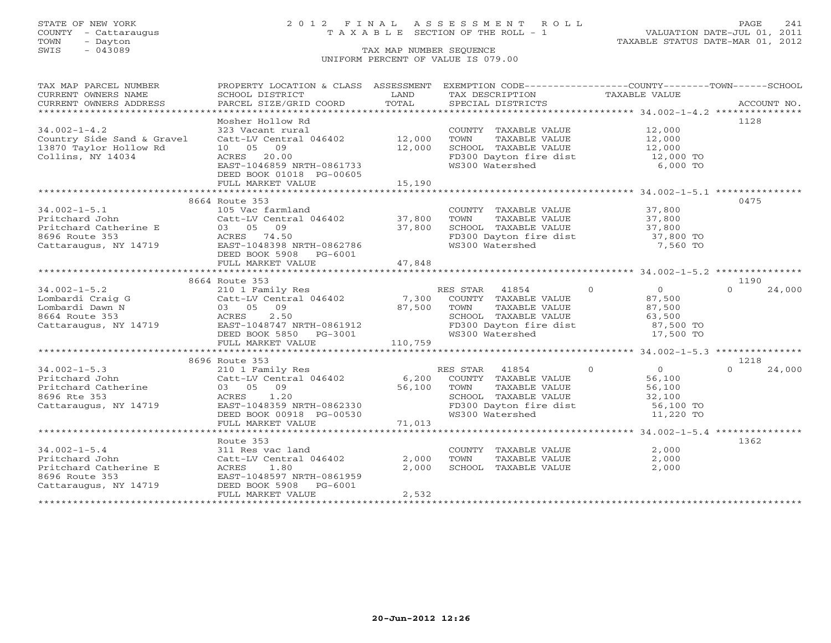## STATE OF NEW YORK 2 0 1 2 F I N A L A S S E S S M E N T R O L L PAGE 241 COUNTY - Cattaraugus T A X A B L E SECTION OF THE ROLL - 1 VALUATION DATE-JUL 01, 2011

| TAX MAP PARCEL NUMBER<br>CURRENT OWNERS NAME                                                              | PROPERTY LOCATION & CLASS ASSESSMENT<br>SCHOOL DISTRICT                                                                                                                                                                     | LAND                      | EXEMPTION CODE-----------------COUNTY-------TOWN------SCHOOL<br>TAX DESCRIPTION                                                                                            | TAXABLE VALUE                                             |                            |
|-----------------------------------------------------------------------------------------------------------|-----------------------------------------------------------------------------------------------------------------------------------------------------------------------------------------------------------------------------|---------------------------|----------------------------------------------------------------------------------------------------------------------------------------------------------------------------|-----------------------------------------------------------|----------------------------|
| CURRENT OWNERS ADDRESS                                                                                    | PARCEL SIZE/GRID COORD                                                                                                                                                                                                      | TOTAL                     | SPECIAL DISTRICTS                                                                                                                                                          |                                                           | ACCOUNT NO.                |
|                                                                                                           |                                                                                                                                                                                                                             |                           |                                                                                                                                                                            |                                                           |                            |
| $34.002 - 1 - 4.2$<br>Country Side Sand & Gravel<br>13870 Taylor Hollow Rd<br>Collins, NY 14034           | Mosher Hollow Rd<br>323 Vacant rural<br>Catt-LV Central 046402 12,000<br>10 05 09<br>ACRES 20.00<br>EAST-1046859 NRTH-0861733<br>DEED BOOK 01018 PG-00605<br>FULL MARKET VALUE                                              | 12,000<br>15,190          | COUNTY TAXABLE VALUE 12,000<br>TOWN<br>TAXABLE VALUE<br>SCHOOL TAXABLE VALUE<br>FD300 Dayton fire dist<br>WS300 Watershed                                                  | 12,000<br>12,000<br>12,000 TO<br>6,000 TO                 | 1128                       |
|                                                                                                           |                                                                                                                                                                                                                             |                           |                                                                                                                                                                            |                                                           |                            |
| $34.002 - 1 - 5.1$<br>Pritchard John<br>Pritchard Commercine E<br>8696 Route 353<br>Cattaraugus, NY 14719 | 8664 Route 353<br>105 Vac farmland<br>Catt-LV Central 046402 37,800<br>03 05 09<br>ACRES 74.50<br>EAST-1048398 NRTH-0862786<br>DEED BOOK 5908 PG-6001<br>FULL MARKET VALUE                                                  | 37,800<br>47,848          | COUNTY TAXABLE VALUE<br>TOWN<br>TAXABLE VALUE<br>CHOOL TAXABLE VALUE<br>FD300 Dayton fire dist<br>WS300 Watershed                                                          | 37,800<br>37,800<br>37,800<br>37,800 TO<br>7,560 TO       | 0475                       |
|                                                                                                           |                                                                                                                                                                                                                             |                           |                                                                                                                                                                            |                                                           |                            |
| $34.002 - 1 - 5.2$<br>Lombardi Craig G<br>Lombardi Dawn N<br>8664 Route 353<br>Cattaraugus, NY 14719      | 210 1 Family Res<br>Catt-LV Central 046402 7,300 COUNTY TAXABLE VALUE<br>03 05 09 87,500 TOWN TAXABLE VALUE<br>ACRES 2.50 FAST-1049747 WELL RES<br>EAST-1048747 NRTH-0861912<br>DEED BOOK 5850 PG-3001<br>FULL MARKET VALUE | 110,759                   | $\sim$ 0<br>TAXABLE VALUE<br>SCHOOL TAXABLE VALUE<br>FD300 Dayton fire dist 87,500 TO<br>WS300 Watershed                                                                   | $\overline{0}$<br>87,500<br>87,500<br>63,500<br>17,500 TO | 1190<br>$\Omega$<br>24,000 |
|                                                                                                           |                                                                                                                                                                                                                             |                           |                                                                                                                                                                            |                                                           |                            |
| $34.002 - 1 - 5.3$<br>Pritchard John<br>Pritchard Catherine<br>8696 Rte 353<br>Cattaraugus, NY 14719      | 8696 Route 353<br>210 1 Family Res<br>Catt-LV Central 046402<br>$03 \t 05 \t 09$<br>ACRES<br>1.20<br>EAST-1048359 NRTH-0862330<br>DEED BOOK 00918 PG-00530<br>FULL MARKET VALUE                                             | 6,200<br>56,100<br>71,013 | $\overline{0}$<br>41854<br>RES STAR<br>COUNTY TAXABLE VALUE<br>TOWN<br>TAXABLE VALUE<br>SCHOOL TAXABLE VALUE 32,100<br>FD300 Dayton fire dist 56,100 TO<br>WS300 Watershed | $rac{0}{\sqrt{1-\frac{1}{2}}}$<br>56,100<br>11,220 TO     | 1218<br>24,000<br>$\Omega$ |
|                                                                                                           |                                                                                                                                                                                                                             |                           |                                                                                                                                                                            |                                                           |                            |
| $34.002 - 1 - 5.4$<br>Pritchard John<br>Pritchard Catherine E<br>8696 Route 353<br>Cattaraugus, NY 14719  | Route 353<br>311 Res vac land<br>Catt-LV Central 046402<br>ACRES<br>1.80<br>EAST-1048597 NRTH-0861959<br>DEED BOOK 5908 PG-6001<br>FULL MARKET VALUE                                                                        | 2,000<br>2,000<br>2,532   | COUNTY TAXABLE VALUE<br>TOWN<br>TAXABLE VALUE<br>SCHOOL TAXABLE VALUE                                                                                                      | 2,000<br>2,000<br>2,000                                   | 1362                       |
|                                                                                                           |                                                                                                                                                                                                                             |                           |                                                                                                                                                                            |                                                           |                            |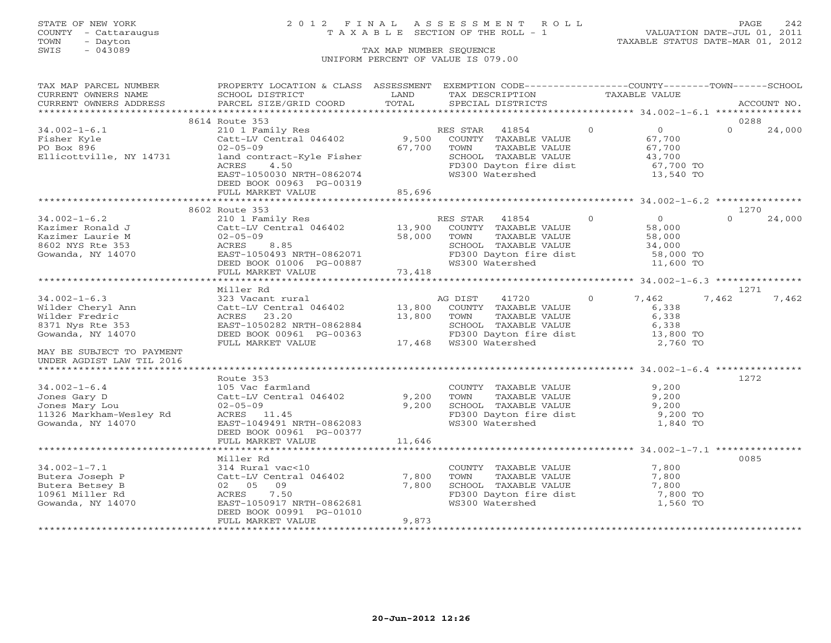## STATE OF NEW YORK 2 0 1 2 F I N A L A S S E S S M E N T R O L L PAGE 242 COUNTY - Cattaraugus T A X A B L E SECTION OF THE ROLL - 1 VALUATION DATE-JUL 01, 2011

| CURRENT OWNERS NAME<br>SCHOOL DISTRICT<br>LAND<br>TAX DESCRIPTION TAXABLE VALUE<br>PARCEL SIZE/GRID COORD<br>TOTAL<br>CURRENT OWNERS ADDRESS<br>SPECIAL DISTRICTS<br>ACCOUNT NO.<br>8614 Route 353<br>0288<br>$0 \qquad \qquad$<br>$34.002 - 1 - 6.1$<br>$\Omega$<br>24,000<br>67,700<br>Fisher Kyle<br>$02 - 05 - 09$<br>67,700<br>TOWN      TAXABLE VALUE<br>SCHOOL   TAXABLE VALUE<br>PO Box 896<br>$67,700$<br>$43,700$<br>Ellicottville, NY 14731<br>land contract-Kyle Fisher<br>FD300 Dayton fire dist<br>WS300 Watershed<br>ACRES<br>4.50<br>67,700 TO<br>13,540 TO<br>EAST-1050030 NRTH-0862074<br>DEED BOOK 00963 PG-00319<br>FULL MARKET VALUE 85,696<br>1270<br>8602 Route 353<br>210 1 Family Res<br>Catt-LV Central 046402 13,900 COUNTY TAXABLE VALUE<br>02-05-09 58,000 TOWN TAXABLE VALUE<br>ACRES 8.85 SCHOOL TAXABLE VALUE<br>BAST-1050493 NRTH-0862071 TAXABLE VALUE<br>24.000<br>$\Omega$<br>24,000<br>$34.002 - 1 - 6.2$<br>Kazimer Ronald J<br>Kazimer Laurie M<br>TOWN TAXABLE VALUE 58,000<br>SCHOOL TAXABLE VALUE 34,000<br>FD300 Dayton fire dist 58,000 TO<br>WS300 Watershed 11,600 TO<br>8602 NYS Rte 353<br>Gowanda, NY 14070<br>DEED BOOK 01006 PG-00887<br>FULL MARKET VALUE 73,418<br>*******************************<br>1271<br>Miller Rd<br>7,462<br>$34.002 - 1 - 6.3$<br>$\overline{0}$<br>7,462<br>7,462<br>wilder Cheryl Ann<br>Wilder Fredric<br>8371 Nys Rte 353<br>6,338<br>13,800 TOWN<br>TOWN TAXABLE VALUE 6,338<br>SCHOOL TAXABLE VALUE 6,338<br>FD300 Dayton fire dist 13,800 TO<br>ACRES 23.20<br>EAST-1050282 NRTH-0862884<br>EAST-1050282 NRTH-0862884 SCHOOL TAXABLE<br>DEED BOOK 00961 PG-00363 FD300 Dayton fir<br>FULL MARKET VALUE 17,468 WS300 Watershed<br>Gowanda, NY 14070<br>2,760 TO<br>MAY BE SUBJECT TO PAYMENT<br>UNDER AGDIST LAW TIL 2016<br>Route 353<br>1272<br>$34.002 - 1 - 6.4$<br>105 Vac farmland<br>9,200<br>COUNTY TAXABLE VALUE<br>TAXABLE VALUE<br>Catt-LV Central 046402<br>Jones Gary D<br>9,200 TOWN<br>9,200<br>9,200<br>SCHOOL TAXABLE VALUE 9,200<br>FD300 Dayton fire dist 9,200 TO<br>WS300 Watershed 1,840 TO<br>02-05-09<br>ACRES 11.45<br>Jones Mary Lou<br>11326 Markham-Wesley Rd<br>31 Hode NV 14070<br>EAST-1049491 NRTH-0862083<br>Gowanda, NY 14070<br>DEED BOOK 00961 PG-00377<br>11,646<br>FULL MARKET VALUE<br>0085<br>Miller Rd<br>niici na<br>314 Rural vac<10<br>Catt-LV Central 046402<br>02 05 09<br>$34.002 - 1 - 7.1$<br>COUNTY TAXABLE VALUE 7,800<br>7,800<br>TOWN TAXABLE VALUE<br>7,800<br>Butera Joseph P<br>TOWN TAXABLE VALUE 7,800<br>7,800<br>Butera Betsey B<br>ACRES 7.50<br>FD300 Dayton fire dist<br>7,800 TO<br>10961 Miller Rd<br>Gowanda, NY 14070<br>WS300 Watershed<br>EAST-1050917 NRTH-0862681<br>1,560 TO<br>DEED BOOK 00991 PG-01010<br>FULL MARKET VALUE<br>9,873 | TAX MAP PARCEL NUMBER | PROPERTY LOCATION & CLASS ASSESSMENT EXEMPTION CODE---------------COUNTY-------TOWN------SCHOOL |  |  |  |  |
|---------------------------------------------------------------------------------------------------------------------------------------------------------------------------------------------------------------------------------------------------------------------------------------------------------------------------------------------------------------------------------------------------------------------------------------------------------------------------------------------------------------------------------------------------------------------------------------------------------------------------------------------------------------------------------------------------------------------------------------------------------------------------------------------------------------------------------------------------------------------------------------------------------------------------------------------------------------------------------------------------------------------------------------------------------------------------------------------------------------------------------------------------------------------------------------------------------------------------------------------------------------------------------------------------------------------------------------------------------------------------------------------------------------------------------------------------------------------------------------------------------------------------------------------------------------------------------------------------------------------------------------------------------------------------------------------------------------------------------------------------------------------------------------------------------------------------------------------------------------------------------------------------------------------------------------------------------------------------------------------------------------------------------------------------------------------------------------------------------------------------------------------------------------------------------------------------------------------------------------------------------------------------------------------------------------------------------------------------------------------------------------------------------------------------------------------------------------------------------------------------------------------------------------------------------------------------------------------------------------------------------------------------------------------------------------------------------------------------------------------------------------------------------------------------|-----------------------|-------------------------------------------------------------------------------------------------|--|--|--|--|
|                                                                                                                                                                                                                                                                                                                                                                                                                                                                                                                                                                                                                                                                                                                                                                                                                                                                                                                                                                                                                                                                                                                                                                                                                                                                                                                                                                                                                                                                                                                                                                                                                                                                                                                                                                                                                                                                                                                                                                                                                                                                                                                                                                                                                                                                                                                                                                                                                                                                                                                                                                                                                                                                                                                                                                                                   |                       |                                                                                                 |  |  |  |  |
|                                                                                                                                                                                                                                                                                                                                                                                                                                                                                                                                                                                                                                                                                                                                                                                                                                                                                                                                                                                                                                                                                                                                                                                                                                                                                                                                                                                                                                                                                                                                                                                                                                                                                                                                                                                                                                                                                                                                                                                                                                                                                                                                                                                                                                                                                                                                                                                                                                                                                                                                                                                                                                                                                                                                                                                                   |                       |                                                                                                 |  |  |  |  |
|                                                                                                                                                                                                                                                                                                                                                                                                                                                                                                                                                                                                                                                                                                                                                                                                                                                                                                                                                                                                                                                                                                                                                                                                                                                                                                                                                                                                                                                                                                                                                                                                                                                                                                                                                                                                                                                                                                                                                                                                                                                                                                                                                                                                                                                                                                                                                                                                                                                                                                                                                                                                                                                                                                                                                                                                   |                       |                                                                                                 |  |  |  |  |
|                                                                                                                                                                                                                                                                                                                                                                                                                                                                                                                                                                                                                                                                                                                                                                                                                                                                                                                                                                                                                                                                                                                                                                                                                                                                                                                                                                                                                                                                                                                                                                                                                                                                                                                                                                                                                                                                                                                                                                                                                                                                                                                                                                                                                                                                                                                                                                                                                                                                                                                                                                                                                                                                                                                                                                                                   |                       |                                                                                                 |  |  |  |  |
|                                                                                                                                                                                                                                                                                                                                                                                                                                                                                                                                                                                                                                                                                                                                                                                                                                                                                                                                                                                                                                                                                                                                                                                                                                                                                                                                                                                                                                                                                                                                                                                                                                                                                                                                                                                                                                                                                                                                                                                                                                                                                                                                                                                                                                                                                                                                                                                                                                                                                                                                                                                                                                                                                                                                                                                                   |                       |                                                                                                 |  |  |  |  |
|                                                                                                                                                                                                                                                                                                                                                                                                                                                                                                                                                                                                                                                                                                                                                                                                                                                                                                                                                                                                                                                                                                                                                                                                                                                                                                                                                                                                                                                                                                                                                                                                                                                                                                                                                                                                                                                                                                                                                                                                                                                                                                                                                                                                                                                                                                                                                                                                                                                                                                                                                                                                                                                                                                                                                                                                   |                       |                                                                                                 |  |  |  |  |
|                                                                                                                                                                                                                                                                                                                                                                                                                                                                                                                                                                                                                                                                                                                                                                                                                                                                                                                                                                                                                                                                                                                                                                                                                                                                                                                                                                                                                                                                                                                                                                                                                                                                                                                                                                                                                                                                                                                                                                                                                                                                                                                                                                                                                                                                                                                                                                                                                                                                                                                                                                                                                                                                                                                                                                                                   |                       |                                                                                                 |  |  |  |  |
|                                                                                                                                                                                                                                                                                                                                                                                                                                                                                                                                                                                                                                                                                                                                                                                                                                                                                                                                                                                                                                                                                                                                                                                                                                                                                                                                                                                                                                                                                                                                                                                                                                                                                                                                                                                                                                                                                                                                                                                                                                                                                                                                                                                                                                                                                                                                                                                                                                                                                                                                                                                                                                                                                                                                                                                                   |                       |                                                                                                 |  |  |  |  |
|                                                                                                                                                                                                                                                                                                                                                                                                                                                                                                                                                                                                                                                                                                                                                                                                                                                                                                                                                                                                                                                                                                                                                                                                                                                                                                                                                                                                                                                                                                                                                                                                                                                                                                                                                                                                                                                                                                                                                                                                                                                                                                                                                                                                                                                                                                                                                                                                                                                                                                                                                                                                                                                                                                                                                                                                   |                       |                                                                                                 |  |  |  |  |
|                                                                                                                                                                                                                                                                                                                                                                                                                                                                                                                                                                                                                                                                                                                                                                                                                                                                                                                                                                                                                                                                                                                                                                                                                                                                                                                                                                                                                                                                                                                                                                                                                                                                                                                                                                                                                                                                                                                                                                                                                                                                                                                                                                                                                                                                                                                                                                                                                                                                                                                                                                                                                                                                                                                                                                                                   |                       |                                                                                                 |  |  |  |  |
|                                                                                                                                                                                                                                                                                                                                                                                                                                                                                                                                                                                                                                                                                                                                                                                                                                                                                                                                                                                                                                                                                                                                                                                                                                                                                                                                                                                                                                                                                                                                                                                                                                                                                                                                                                                                                                                                                                                                                                                                                                                                                                                                                                                                                                                                                                                                                                                                                                                                                                                                                                                                                                                                                                                                                                                                   |                       |                                                                                                 |  |  |  |  |
|                                                                                                                                                                                                                                                                                                                                                                                                                                                                                                                                                                                                                                                                                                                                                                                                                                                                                                                                                                                                                                                                                                                                                                                                                                                                                                                                                                                                                                                                                                                                                                                                                                                                                                                                                                                                                                                                                                                                                                                                                                                                                                                                                                                                                                                                                                                                                                                                                                                                                                                                                                                                                                                                                                                                                                                                   |                       |                                                                                                 |  |  |  |  |
|                                                                                                                                                                                                                                                                                                                                                                                                                                                                                                                                                                                                                                                                                                                                                                                                                                                                                                                                                                                                                                                                                                                                                                                                                                                                                                                                                                                                                                                                                                                                                                                                                                                                                                                                                                                                                                                                                                                                                                                                                                                                                                                                                                                                                                                                                                                                                                                                                                                                                                                                                                                                                                                                                                                                                                                                   |                       |                                                                                                 |  |  |  |  |
|                                                                                                                                                                                                                                                                                                                                                                                                                                                                                                                                                                                                                                                                                                                                                                                                                                                                                                                                                                                                                                                                                                                                                                                                                                                                                                                                                                                                                                                                                                                                                                                                                                                                                                                                                                                                                                                                                                                                                                                                                                                                                                                                                                                                                                                                                                                                                                                                                                                                                                                                                                                                                                                                                                                                                                                                   |                       |                                                                                                 |  |  |  |  |
|                                                                                                                                                                                                                                                                                                                                                                                                                                                                                                                                                                                                                                                                                                                                                                                                                                                                                                                                                                                                                                                                                                                                                                                                                                                                                                                                                                                                                                                                                                                                                                                                                                                                                                                                                                                                                                                                                                                                                                                                                                                                                                                                                                                                                                                                                                                                                                                                                                                                                                                                                                                                                                                                                                                                                                                                   |                       |                                                                                                 |  |  |  |  |
|                                                                                                                                                                                                                                                                                                                                                                                                                                                                                                                                                                                                                                                                                                                                                                                                                                                                                                                                                                                                                                                                                                                                                                                                                                                                                                                                                                                                                                                                                                                                                                                                                                                                                                                                                                                                                                                                                                                                                                                                                                                                                                                                                                                                                                                                                                                                                                                                                                                                                                                                                                                                                                                                                                                                                                                                   |                       |                                                                                                 |  |  |  |  |
|                                                                                                                                                                                                                                                                                                                                                                                                                                                                                                                                                                                                                                                                                                                                                                                                                                                                                                                                                                                                                                                                                                                                                                                                                                                                                                                                                                                                                                                                                                                                                                                                                                                                                                                                                                                                                                                                                                                                                                                                                                                                                                                                                                                                                                                                                                                                                                                                                                                                                                                                                                                                                                                                                                                                                                                                   |                       |                                                                                                 |  |  |  |  |
|                                                                                                                                                                                                                                                                                                                                                                                                                                                                                                                                                                                                                                                                                                                                                                                                                                                                                                                                                                                                                                                                                                                                                                                                                                                                                                                                                                                                                                                                                                                                                                                                                                                                                                                                                                                                                                                                                                                                                                                                                                                                                                                                                                                                                                                                                                                                                                                                                                                                                                                                                                                                                                                                                                                                                                                                   |                       |                                                                                                 |  |  |  |  |
|                                                                                                                                                                                                                                                                                                                                                                                                                                                                                                                                                                                                                                                                                                                                                                                                                                                                                                                                                                                                                                                                                                                                                                                                                                                                                                                                                                                                                                                                                                                                                                                                                                                                                                                                                                                                                                                                                                                                                                                                                                                                                                                                                                                                                                                                                                                                                                                                                                                                                                                                                                                                                                                                                                                                                                                                   |                       |                                                                                                 |  |  |  |  |
|                                                                                                                                                                                                                                                                                                                                                                                                                                                                                                                                                                                                                                                                                                                                                                                                                                                                                                                                                                                                                                                                                                                                                                                                                                                                                                                                                                                                                                                                                                                                                                                                                                                                                                                                                                                                                                                                                                                                                                                                                                                                                                                                                                                                                                                                                                                                                                                                                                                                                                                                                                                                                                                                                                                                                                                                   |                       |                                                                                                 |  |  |  |  |
|                                                                                                                                                                                                                                                                                                                                                                                                                                                                                                                                                                                                                                                                                                                                                                                                                                                                                                                                                                                                                                                                                                                                                                                                                                                                                                                                                                                                                                                                                                                                                                                                                                                                                                                                                                                                                                                                                                                                                                                                                                                                                                                                                                                                                                                                                                                                                                                                                                                                                                                                                                                                                                                                                                                                                                                                   |                       |                                                                                                 |  |  |  |  |
|                                                                                                                                                                                                                                                                                                                                                                                                                                                                                                                                                                                                                                                                                                                                                                                                                                                                                                                                                                                                                                                                                                                                                                                                                                                                                                                                                                                                                                                                                                                                                                                                                                                                                                                                                                                                                                                                                                                                                                                                                                                                                                                                                                                                                                                                                                                                                                                                                                                                                                                                                                                                                                                                                                                                                                                                   |                       |                                                                                                 |  |  |  |  |
|                                                                                                                                                                                                                                                                                                                                                                                                                                                                                                                                                                                                                                                                                                                                                                                                                                                                                                                                                                                                                                                                                                                                                                                                                                                                                                                                                                                                                                                                                                                                                                                                                                                                                                                                                                                                                                                                                                                                                                                                                                                                                                                                                                                                                                                                                                                                                                                                                                                                                                                                                                                                                                                                                                                                                                                                   |                       |                                                                                                 |  |  |  |  |
|                                                                                                                                                                                                                                                                                                                                                                                                                                                                                                                                                                                                                                                                                                                                                                                                                                                                                                                                                                                                                                                                                                                                                                                                                                                                                                                                                                                                                                                                                                                                                                                                                                                                                                                                                                                                                                                                                                                                                                                                                                                                                                                                                                                                                                                                                                                                                                                                                                                                                                                                                                                                                                                                                                                                                                                                   |                       |                                                                                                 |  |  |  |  |
|                                                                                                                                                                                                                                                                                                                                                                                                                                                                                                                                                                                                                                                                                                                                                                                                                                                                                                                                                                                                                                                                                                                                                                                                                                                                                                                                                                                                                                                                                                                                                                                                                                                                                                                                                                                                                                                                                                                                                                                                                                                                                                                                                                                                                                                                                                                                                                                                                                                                                                                                                                                                                                                                                                                                                                                                   |                       |                                                                                                 |  |  |  |  |
|                                                                                                                                                                                                                                                                                                                                                                                                                                                                                                                                                                                                                                                                                                                                                                                                                                                                                                                                                                                                                                                                                                                                                                                                                                                                                                                                                                                                                                                                                                                                                                                                                                                                                                                                                                                                                                                                                                                                                                                                                                                                                                                                                                                                                                                                                                                                                                                                                                                                                                                                                                                                                                                                                                                                                                                                   |                       |                                                                                                 |  |  |  |  |
|                                                                                                                                                                                                                                                                                                                                                                                                                                                                                                                                                                                                                                                                                                                                                                                                                                                                                                                                                                                                                                                                                                                                                                                                                                                                                                                                                                                                                                                                                                                                                                                                                                                                                                                                                                                                                                                                                                                                                                                                                                                                                                                                                                                                                                                                                                                                                                                                                                                                                                                                                                                                                                                                                                                                                                                                   |                       |                                                                                                 |  |  |  |  |
|                                                                                                                                                                                                                                                                                                                                                                                                                                                                                                                                                                                                                                                                                                                                                                                                                                                                                                                                                                                                                                                                                                                                                                                                                                                                                                                                                                                                                                                                                                                                                                                                                                                                                                                                                                                                                                                                                                                                                                                                                                                                                                                                                                                                                                                                                                                                                                                                                                                                                                                                                                                                                                                                                                                                                                                                   |                       |                                                                                                 |  |  |  |  |
|                                                                                                                                                                                                                                                                                                                                                                                                                                                                                                                                                                                                                                                                                                                                                                                                                                                                                                                                                                                                                                                                                                                                                                                                                                                                                                                                                                                                                                                                                                                                                                                                                                                                                                                                                                                                                                                                                                                                                                                                                                                                                                                                                                                                                                                                                                                                                                                                                                                                                                                                                                                                                                                                                                                                                                                                   |                       |                                                                                                 |  |  |  |  |
|                                                                                                                                                                                                                                                                                                                                                                                                                                                                                                                                                                                                                                                                                                                                                                                                                                                                                                                                                                                                                                                                                                                                                                                                                                                                                                                                                                                                                                                                                                                                                                                                                                                                                                                                                                                                                                                                                                                                                                                                                                                                                                                                                                                                                                                                                                                                                                                                                                                                                                                                                                                                                                                                                                                                                                                                   |                       |                                                                                                 |  |  |  |  |
|                                                                                                                                                                                                                                                                                                                                                                                                                                                                                                                                                                                                                                                                                                                                                                                                                                                                                                                                                                                                                                                                                                                                                                                                                                                                                                                                                                                                                                                                                                                                                                                                                                                                                                                                                                                                                                                                                                                                                                                                                                                                                                                                                                                                                                                                                                                                                                                                                                                                                                                                                                                                                                                                                                                                                                                                   |                       |                                                                                                 |  |  |  |  |
|                                                                                                                                                                                                                                                                                                                                                                                                                                                                                                                                                                                                                                                                                                                                                                                                                                                                                                                                                                                                                                                                                                                                                                                                                                                                                                                                                                                                                                                                                                                                                                                                                                                                                                                                                                                                                                                                                                                                                                                                                                                                                                                                                                                                                                                                                                                                                                                                                                                                                                                                                                                                                                                                                                                                                                                                   |                       |                                                                                                 |  |  |  |  |
|                                                                                                                                                                                                                                                                                                                                                                                                                                                                                                                                                                                                                                                                                                                                                                                                                                                                                                                                                                                                                                                                                                                                                                                                                                                                                                                                                                                                                                                                                                                                                                                                                                                                                                                                                                                                                                                                                                                                                                                                                                                                                                                                                                                                                                                                                                                                                                                                                                                                                                                                                                                                                                                                                                                                                                                                   |                       |                                                                                                 |  |  |  |  |
|                                                                                                                                                                                                                                                                                                                                                                                                                                                                                                                                                                                                                                                                                                                                                                                                                                                                                                                                                                                                                                                                                                                                                                                                                                                                                                                                                                                                                                                                                                                                                                                                                                                                                                                                                                                                                                                                                                                                                                                                                                                                                                                                                                                                                                                                                                                                                                                                                                                                                                                                                                                                                                                                                                                                                                                                   |                       |                                                                                                 |  |  |  |  |
|                                                                                                                                                                                                                                                                                                                                                                                                                                                                                                                                                                                                                                                                                                                                                                                                                                                                                                                                                                                                                                                                                                                                                                                                                                                                                                                                                                                                                                                                                                                                                                                                                                                                                                                                                                                                                                                                                                                                                                                                                                                                                                                                                                                                                                                                                                                                                                                                                                                                                                                                                                                                                                                                                                                                                                                                   |                       |                                                                                                 |  |  |  |  |
|                                                                                                                                                                                                                                                                                                                                                                                                                                                                                                                                                                                                                                                                                                                                                                                                                                                                                                                                                                                                                                                                                                                                                                                                                                                                                                                                                                                                                                                                                                                                                                                                                                                                                                                                                                                                                                                                                                                                                                                                                                                                                                                                                                                                                                                                                                                                                                                                                                                                                                                                                                                                                                                                                                                                                                                                   |                       |                                                                                                 |  |  |  |  |
|                                                                                                                                                                                                                                                                                                                                                                                                                                                                                                                                                                                                                                                                                                                                                                                                                                                                                                                                                                                                                                                                                                                                                                                                                                                                                                                                                                                                                                                                                                                                                                                                                                                                                                                                                                                                                                                                                                                                                                                                                                                                                                                                                                                                                                                                                                                                                                                                                                                                                                                                                                                                                                                                                                                                                                                                   |                       |                                                                                                 |  |  |  |  |
|                                                                                                                                                                                                                                                                                                                                                                                                                                                                                                                                                                                                                                                                                                                                                                                                                                                                                                                                                                                                                                                                                                                                                                                                                                                                                                                                                                                                                                                                                                                                                                                                                                                                                                                                                                                                                                                                                                                                                                                                                                                                                                                                                                                                                                                                                                                                                                                                                                                                                                                                                                                                                                                                                                                                                                                                   |                       |                                                                                                 |  |  |  |  |
|                                                                                                                                                                                                                                                                                                                                                                                                                                                                                                                                                                                                                                                                                                                                                                                                                                                                                                                                                                                                                                                                                                                                                                                                                                                                                                                                                                                                                                                                                                                                                                                                                                                                                                                                                                                                                                                                                                                                                                                                                                                                                                                                                                                                                                                                                                                                                                                                                                                                                                                                                                                                                                                                                                                                                                                                   |                       |                                                                                                 |  |  |  |  |
|                                                                                                                                                                                                                                                                                                                                                                                                                                                                                                                                                                                                                                                                                                                                                                                                                                                                                                                                                                                                                                                                                                                                                                                                                                                                                                                                                                                                                                                                                                                                                                                                                                                                                                                                                                                                                                                                                                                                                                                                                                                                                                                                                                                                                                                                                                                                                                                                                                                                                                                                                                                                                                                                                                                                                                                                   |                       |                                                                                                 |  |  |  |  |
|                                                                                                                                                                                                                                                                                                                                                                                                                                                                                                                                                                                                                                                                                                                                                                                                                                                                                                                                                                                                                                                                                                                                                                                                                                                                                                                                                                                                                                                                                                                                                                                                                                                                                                                                                                                                                                                                                                                                                                                                                                                                                                                                                                                                                                                                                                                                                                                                                                                                                                                                                                                                                                                                                                                                                                                                   |                       |                                                                                                 |  |  |  |  |
|                                                                                                                                                                                                                                                                                                                                                                                                                                                                                                                                                                                                                                                                                                                                                                                                                                                                                                                                                                                                                                                                                                                                                                                                                                                                                                                                                                                                                                                                                                                                                                                                                                                                                                                                                                                                                                                                                                                                                                                                                                                                                                                                                                                                                                                                                                                                                                                                                                                                                                                                                                                                                                                                                                                                                                                                   |                       |                                                                                                 |  |  |  |  |
|                                                                                                                                                                                                                                                                                                                                                                                                                                                                                                                                                                                                                                                                                                                                                                                                                                                                                                                                                                                                                                                                                                                                                                                                                                                                                                                                                                                                                                                                                                                                                                                                                                                                                                                                                                                                                                                                                                                                                                                                                                                                                                                                                                                                                                                                                                                                                                                                                                                                                                                                                                                                                                                                                                                                                                                                   |                       |                                                                                                 |  |  |  |  |
|                                                                                                                                                                                                                                                                                                                                                                                                                                                                                                                                                                                                                                                                                                                                                                                                                                                                                                                                                                                                                                                                                                                                                                                                                                                                                                                                                                                                                                                                                                                                                                                                                                                                                                                                                                                                                                                                                                                                                                                                                                                                                                                                                                                                                                                                                                                                                                                                                                                                                                                                                                                                                                                                                                                                                                                                   |                       |                                                                                                 |  |  |  |  |
|                                                                                                                                                                                                                                                                                                                                                                                                                                                                                                                                                                                                                                                                                                                                                                                                                                                                                                                                                                                                                                                                                                                                                                                                                                                                                                                                                                                                                                                                                                                                                                                                                                                                                                                                                                                                                                                                                                                                                                                                                                                                                                                                                                                                                                                                                                                                                                                                                                                                                                                                                                                                                                                                                                                                                                                                   |                       |                                                                                                 |  |  |  |  |
|                                                                                                                                                                                                                                                                                                                                                                                                                                                                                                                                                                                                                                                                                                                                                                                                                                                                                                                                                                                                                                                                                                                                                                                                                                                                                                                                                                                                                                                                                                                                                                                                                                                                                                                                                                                                                                                                                                                                                                                                                                                                                                                                                                                                                                                                                                                                                                                                                                                                                                                                                                                                                                                                                                                                                                                                   |                       |                                                                                                 |  |  |  |  |
|                                                                                                                                                                                                                                                                                                                                                                                                                                                                                                                                                                                                                                                                                                                                                                                                                                                                                                                                                                                                                                                                                                                                                                                                                                                                                                                                                                                                                                                                                                                                                                                                                                                                                                                                                                                                                                                                                                                                                                                                                                                                                                                                                                                                                                                                                                                                                                                                                                                                                                                                                                                                                                                                                                                                                                                                   |                       |                                                                                                 |  |  |  |  |
|                                                                                                                                                                                                                                                                                                                                                                                                                                                                                                                                                                                                                                                                                                                                                                                                                                                                                                                                                                                                                                                                                                                                                                                                                                                                                                                                                                                                                                                                                                                                                                                                                                                                                                                                                                                                                                                                                                                                                                                                                                                                                                                                                                                                                                                                                                                                                                                                                                                                                                                                                                                                                                                                                                                                                                                                   |                       |                                                                                                 |  |  |  |  |
|                                                                                                                                                                                                                                                                                                                                                                                                                                                                                                                                                                                                                                                                                                                                                                                                                                                                                                                                                                                                                                                                                                                                                                                                                                                                                                                                                                                                                                                                                                                                                                                                                                                                                                                                                                                                                                                                                                                                                                                                                                                                                                                                                                                                                                                                                                                                                                                                                                                                                                                                                                                                                                                                                                                                                                                                   |                       |                                                                                                 |  |  |  |  |
|                                                                                                                                                                                                                                                                                                                                                                                                                                                                                                                                                                                                                                                                                                                                                                                                                                                                                                                                                                                                                                                                                                                                                                                                                                                                                                                                                                                                                                                                                                                                                                                                                                                                                                                                                                                                                                                                                                                                                                                                                                                                                                                                                                                                                                                                                                                                                                                                                                                                                                                                                                                                                                                                                                                                                                                                   |                       |                                                                                                 |  |  |  |  |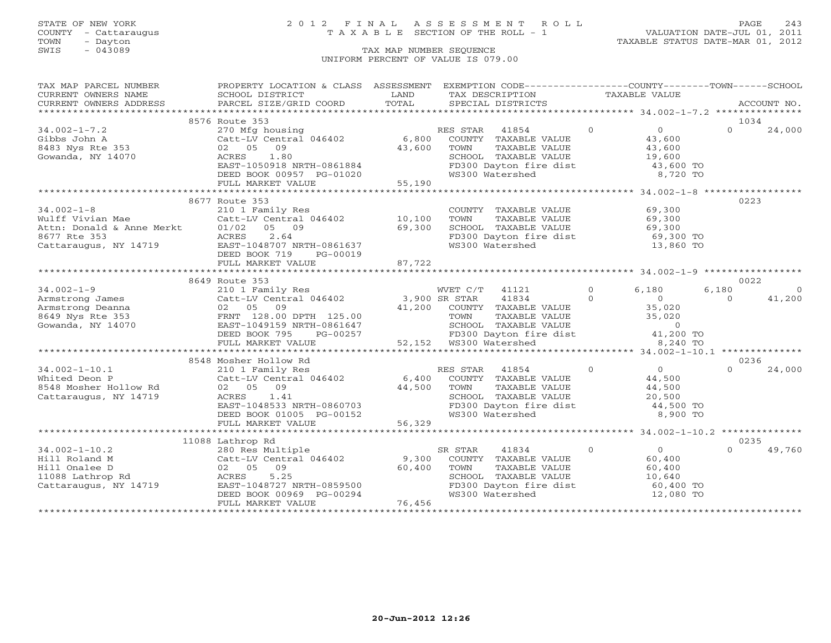### STATE OF NEW YORK 2 0 1 2 F I N A L A S S E S S M E N T R O L L PAGE 243 COUNTY - Cattaraugus T A X A B L E SECTION OF THE ROLL - 1 VALUATION DATE-JUL 01, 2011

| TAX MAP PARCEL NUMBER                                                                                                                                                                                                                                         | PROPERTY LOCATION & CLASS ASSESSMENT                                                                                                                                                                                                         |                         | EXEMPTION CODE-----------------COUNTY-------TOWN------SCHOOL                                                                                                               |                              |                         |
|---------------------------------------------------------------------------------------------------------------------------------------------------------------------------------------------------------------------------------------------------------------|----------------------------------------------------------------------------------------------------------------------------------------------------------------------------------------------------------------------------------------------|-------------------------|----------------------------------------------------------------------------------------------------------------------------------------------------------------------------|------------------------------|-------------------------|
| CURRENT OWNERS NAME                                                                                                                                                                                                                                           | SCHOOL DISTRICT                                                                                                                                                                                                                              | LAND                    | TAX DESCRIPTION TAXABLE VALUE                                                                                                                                              |                              |                         |
|                                                                                                                                                                                                                                                               | SCHOOL DISTRICT<br>PARCEL SIZE/GRID COORD                                                                                                                                                                                                    |                         |                                                                                                                                                                            |                              | ACCOUNT NO.             |
|                                                                                                                                                                                                                                                               |                                                                                                                                                                                                                                              |                         |                                                                                                                                                                            |                              |                         |
|                                                                                                                                                                                                                                                               | 8576 Route 353                                                                                                                                                                                                                               |                         |                                                                                                                                                                            |                              | 1034                    |
| $34.002 - 1 - 7.2$                                                                                                                                                                                                                                            | 270 Mfg housing                                                                                                                                                                                                                              |                         | RES STAR 41854                                                                                                                                                             | $\bigcirc$<br>$\overline{0}$ | $\Omega$<br>24,000      |
|                                                                                                                                                                                                                                                               | Catt-LV Central 046402                                                                                                                                                                                                                       |                         | 6,800 COUNTY TAXABLE VALUE                                                                                                                                                 | 43,600                       |                         |
|                                                                                                                                                                                                                                                               | 02 05 09                                                                                                                                                                                                                                     | 43,600                  | TAXABLE VALUE<br>TOWN                                                                                                                                                      | 43,600                       |                         |
| 8483 Nys Rte 353<br>Gowanda. NY 14070                                                                                                                                                                                                                         | 1.80<br>ACRES                                                                                                                                                                                                                                |                         |                                                                                                                                                                            |                              |                         |
|                                                                                                                                                                                                                                                               | EAST-1050918 NRTH-0861884                                                                                                                                                                                                                    |                         | SCHOOL TAXABLE VALUE 19,600<br>FD300 Dayton fire dist 43,600 TO                                                                                                            |                              |                         |
|                                                                                                                                                                                                                                                               | DEED BOOK 00957 PG-01020                                                                                                                                                                                                                     |                         | WS300 Watershed                                                                                                                                                            | 8,720 TO                     |                         |
|                                                                                                                                                                                                                                                               | FULL MARKET VALUE                                                                                                                                                                                                                            | $01020$ 55,190          |                                                                                                                                                                            |                              |                         |
|                                                                                                                                                                                                                                                               |                                                                                                                                                                                                                                              |                         |                                                                                                                                                                            |                              |                         |
|                                                                                                                                                                                                                                                               |                                                                                                                                                                                                                                              |                         |                                                                                                                                                                            |                              |                         |
| 34.002-1-8<br>Wulff Vivian Mae<br>Attn: Donald & Anne Merkt<br>$\begin{array}{ccc}\n & 210 & 1 & \text{Faml} \text{m} & \text{n} \text{m} \\  & \text{Catt-LV Central} \\  & \text{Athm: Donald & \text{Anner Mer} \\  & \text{n} \text{m: 253}\n\end{array}$ | 8677 Route 353                                                                                                                                                                                                                               |                         |                                                                                                                                                                            |                              | 0223                    |
|                                                                                                                                                                                                                                                               | 210 1 Family Res<br>Catt-LV Central 046402 10,100                                                                                                                                                                                            |                         | COUNTY TAXABLE VALUE 69,300                                                                                                                                                |                              |                         |
|                                                                                                                                                                                                                                                               |                                                                                                                                                                                                                                              |                         | TOWN<br>TAXABLE VALUE                                                                                                                                                      | 69,300                       |                         |
|                                                                                                                                                                                                                                                               |                                                                                                                                                                                                                                              | $\frac{10,100}{69,300}$ |                                                                                                                                                                            |                              |                         |
|                                                                                                                                                                                                                                                               |                                                                                                                                                                                                                                              |                         | TOWN TAXABLE VALUE<br>SCHOOL TAXABLE VALUE 69,300<br>FD300 Dayton fire dist 69,300 TO<br>Watershed 13,860 TO                                                               |                              |                         |
|                                                                                                                                                                                                                                                               | Cattaraugus, NY 14719 EAST-1048707 NRTH-0861637                                                                                                                                                                                              |                         |                                                                                                                                                                            |                              |                         |
|                                                                                                                                                                                                                                                               | DEED BOOK 719<br>PG-00019                                                                                                                                                                                                                    |                         |                                                                                                                                                                            |                              |                         |
|                                                                                                                                                                                                                                                               | FULL MARKET VALUE                                                                                                                                                                                                                            | 87,722                  |                                                                                                                                                                            |                              |                         |
|                                                                                                                                                                                                                                                               |                                                                                                                                                                                                                                              |                         |                                                                                                                                                                            |                              |                         |
|                                                                                                                                                                                                                                                               | 8649 Route 353                                                                                                                                                                                                                               |                         |                                                                                                                                                                            |                              | 0022                    |
| $34.002 - 1 - 9$                                                                                                                                                                                                                                              |                                                                                                                                                                                                                                              |                         | WVET C/T 41121                                                                                                                                                             | $\overline{0}$<br>6,180      | 6,180<br>$\overline{0}$ |
|                                                                                                                                                                                                                                                               | 210 1 Family Res WVET C/T 41121<br>Catt-LV Central 046402 3,900 SR STAR 41834                                                                                                                                                                |                         |                                                                                                                                                                            |                              | $\Omega$<br>41,200      |
|                                                                                                                                                                                                                                                               |                                                                                                                                                                                                                                              |                         |                                                                                                                                                                            |                              |                         |
|                                                                                                                                                                                                                                                               |                                                                                                                                                                                                                                              |                         |                                                                                                                                                                            |                              |                         |
|                                                                                                                                                                                                                                                               |                                                                                                                                                                                                                                              |                         |                                                                                                                                                                            |                              |                         |
|                                                                                                                                                                                                                                                               |                                                                                                                                                                                                                                              |                         |                                                                                                                                                                            |                              |                         |
|                                                                                                                                                                                                                                                               |                                                                                                                                                                                                                                              |                         |                                                                                                                                                                            |                              |                         |
|                                                                                                                                                                                                                                                               |                                                                                                                                                                                                                                              |                         |                                                                                                                                                                            |                              |                         |
|                                                                                                                                                                                                                                                               | 34.002-1-5<br>Armstrong James Catt-LV Central 040402<br>Armstrong Deanna 02 05 09<br>ERNT 128.00 DPTH 125.00 TOWN TAXABLE VALUE 35,020<br>Gowanda, NY 14070 EAST-1049159 NRTH-0861647 SCHOOL TAXABLE VALUE 0<br>DEED BOOK 795 PG-00257 5     |                         |                                                                                                                                                                            |                              | 0236                    |
|                                                                                                                                                                                                                                                               | 34.002-1-10.1<br>Whited Deon P<br>Whited Deon P<br>210 1 Family Res<br>Cattacaugus, NY 14719<br>2005 09<br>2007 2011 2012 05<br>2008 2011 2012 05<br>2012 05<br>2013 044,500<br>2013 044,500<br>2013 044,500<br>2013 044,500<br>2013 044,500 |                         |                                                                                                                                                                            | $\overline{0}$               |                         |
|                                                                                                                                                                                                                                                               |                                                                                                                                                                                                                                              |                         |                                                                                                                                                                            | 44,500                       | 24,000                  |
|                                                                                                                                                                                                                                                               |                                                                                                                                                                                                                                              |                         |                                                                                                                                                                            |                              |                         |
|                                                                                                                                                                                                                                                               |                                                                                                                                                                                                                                              |                         |                                                                                                                                                                            |                              |                         |
| Cattaraugus, NY 14719                                                                                                                                                                                                                                         | ACRES 1.41<br>EAST-1048533 NRTH-0860703<br>DEED BOOK 01005 PG-00152<br>FULL MARKET VALUE 56,329                                                                                                                                              |                         | COUNTY TAXABLE VALUE<br>TOWN TAXABLE VALUE<br>SCHOOL TAXABLE VALUE<br>FD300 Dayton fire dist $44,500$ TO<br>WS300 Dayton fire dist $44,500$ TO<br>WS300 Watershed 8,900 TO |                              |                         |
|                                                                                                                                                                                                                                                               |                                                                                                                                                                                                                                              |                         |                                                                                                                                                                            |                              |                         |
|                                                                                                                                                                                                                                                               |                                                                                                                                                                                                                                              |                         |                                                                                                                                                                            |                              |                         |
|                                                                                                                                                                                                                                                               |                                                                                                                                                                                                                                              |                         |                                                                                                                                                                            |                              |                         |
|                                                                                                                                                                                                                                                               |                                                                                                                                                                                                                                              |                         |                                                                                                                                                                            |                              |                         |
|                                                                                                                                                                                                                                                               |                                                                                                                                                                                                                                              |                         |                                                                                                                                                                            |                              | 0235                    |
|                                                                                                                                                                                                                                                               |                                                                                                                                                                                                                                              |                         | SR STAR<br>41834                                                                                                                                                           | $\overline{0}$<br>$\Omega$   | 49,760                  |
|                                                                                                                                                                                                                                                               | 9,300 Res Multiple 5<br>Hill Roland M Catt-LV Central 046402 9,300<br>Hill Onalee D 02 05 09 60,400<br>11088 Lathrop Rd ACRES 5.25<br>Cattaraugus, NY 14719 EAST-1048727 NRTH-0859500                                                        |                         | COUNTY TAXABLE VALUE 60,400                                                                                                                                                |                              |                         |
|                                                                                                                                                                                                                                                               |                                                                                                                                                                                                                                              |                         | TOWN                                                                                                                                                                       | 60,400                       |                         |
|                                                                                                                                                                                                                                                               | 1.2, 1.2,<br>EAST-1048727 NRTH-0859500<br>DEED BOOK 00969 PG-00294<br>FULL MARKET VALUE                                                                                                                                                      |                         | TOWN TAXABLE VALUE<br>SCHOOL TAXABLE VALUE                                                                                                                                 | 10,640                       |                         |
|                                                                                                                                                                                                                                                               |                                                                                                                                                                                                                                              |                         | FD300 Dayton fire dist                                                                                                                                                     | 60,400 TO                    |                         |
|                                                                                                                                                                                                                                                               |                                                                                                                                                                                                                                              |                         | WS300 Watershed                                                                                                                                                            | 12,080 TO                    |                         |
|                                                                                                                                                                                                                                                               | FULL MARKET VALUE                                                                                                                                                                                                                            | 76,456                  |                                                                                                                                                                            |                              |                         |
|                                                                                                                                                                                                                                                               |                                                                                                                                                                                                                                              |                         |                                                                                                                                                                            |                              |                         |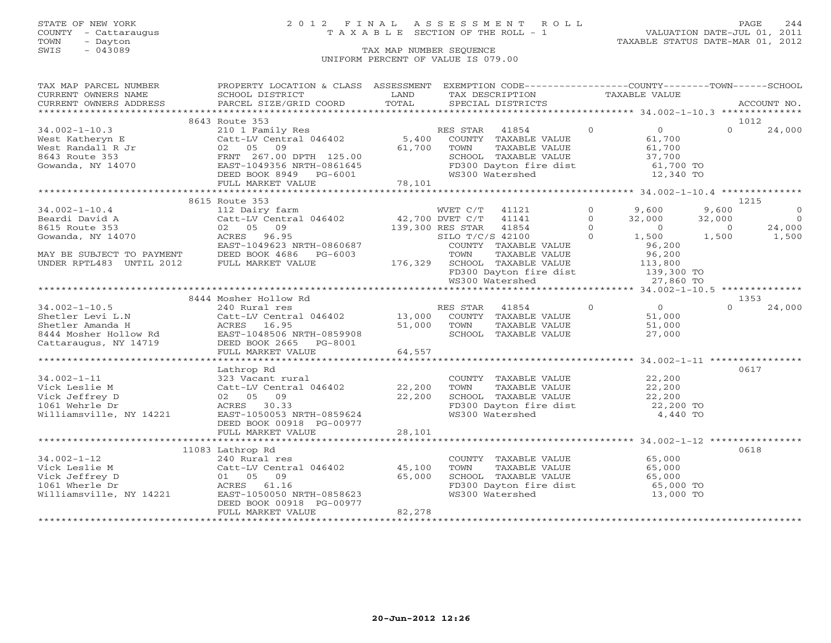### STATE OF NEW YORK 2 0 1 2 F I N A L A S S E S S M E N T R O L L PAGE 244 COUNTY - Cattaraugus T A X A B L E SECTION OF THE ROLL - 1 VALUATION DATE-JUL 01, 2011

| TAX MAP PARCEL NUMBER                                                                                                                                                                                                                  | PROPERTY LOCATION & CLASS ASSESSMENT EXEMPTION CODE----------------COUNTY-------TOWN------SCHOOL                   |        |                                                                                                        |                |                                                                               |                |                |
|----------------------------------------------------------------------------------------------------------------------------------------------------------------------------------------------------------------------------------------|--------------------------------------------------------------------------------------------------------------------|--------|--------------------------------------------------------------------------------------------------------|----------------|-------------------------------------------------------------------------------|----------------|----------------|
| CURRENT OWNERS NAME                                                                                                                                                                                                                    | SCHOOL DISTRICT                                                                                                    | LAND   | TAX DESCRIPTION TAXABLE VALUE                                                                          |                |                                                                               |                |                |
|                                                                                                                                                                                                                                        |                                                                                                                    |        |                                                                                                        |                |                                                                               |                |                |
|                                                                                                                                                                                                                                        |                                                                                                                    |        |                                                                                                        |                |                                                                               |                |                |
|                                                                                                                                                                                                                                        | 8643 Route 353                                                                                                     |        |                                                                                                        |                |                                                                               | 1012           |                |
| $34.002 - 1 - 10.3$                                                                                                                                                                                                                    | 210 1 Family Res<br>Catt-LV Central 046402 5,400 COUNTY TAXABLE VALUE                                              |        |                                                                                                        | $\overline{0}$ | $\overline{0}$                                                                | $\Omega$       | 24,000         |
| West Katheryn E                                                                                                                                                                                                                        |                                                                                                                    |        |                                                                                                        |                | 61,700                                                                        |                |                |
|                                                                                                                                                                                                                                        |                                                                                                                    |        |                                                                                                        |                |                                                                               |                |                |
|                                                                                                                                                                                                                                        |                                                                                                                    |        |                                                                                                        |                |                                                                               |                |                |
|                                                                                                                                                                                                                                        |                                                                                                                    |        |                                                                                                        |                |                                                                               |                |                |
|                                                                                                                                                                                                                                        |                                                                                                                    |        |                                                                                                        |                |                                                                               |                |                |
|                                                                                                                                                                                                                                        |                                                                                                                    |        |                                                                                                        |                |                                                                               |                |                |
| West Katheryn E Catt-LV Central 046402 5,400 COUNTY TAXABLE VALUE 61,700<br>West Randall R Jr 02 05 09<br>8643 Route 353 FRNT 267.00 DPTH 125.00 SCHOOL TAXABLE VALUE 37,700<br>Gowanda, NY 14070 EAST-1049356 NRTH-0861645<br>EED BOO |                                                                                                                    |        |                                                                                                        |                |                                                                               |                |                |
|                                                                                                                                                                                                                                        | 8615 Route 353                                                                                                     |        |                                                                                                        |                |                                                                               |                | 1215           |
| $34.002 - 1 - 10.4$                                                                                                                                                                                                                    | 112 Dairy farm                                                                                                     |        | WVET C/T 41121                                                                                         | $\circ$        | 9,600                                                                         | 9,600          | $\overline{0}$ |
|                                                                                                                                                                                                                                        |                                                                                                                    |        |                                                                                                        | $\Omega$       | $32,000$ $32,000$                                                             |                | $\overline{0}$ |
|                                                                                                                                                                                                                                        |                                                                                                                    |        |                                                                                                        | $\Omega$       | $\overline{0}$                                                                | $\overline{0}$ | 24,000         |
| 34.002 -1-10.4<br>Beardi David A Catt-LV Central 046402 42,700 DVET C/T 41141<br>8615 Route 353 02 05 09 139,300 RES STAR 41854<br>Gowanda, NY 14070 ACRES 96.95 5 139,300 RES STAR 41854                                              |                                                                                                                    |        | 139,300 RES STAR 41854<br>SILO T/C/S 42100<br>COUNTY TAXARLE<br>$SLLO T/C/S 42100$ 0                   |                | $1,500$ $1,500$                                                               |                | 1,500          |
|                                                                                                                                                                                                                                        | EAST-1049623 NRTH-0860687                                                                                          |        |                                                                                                        |                | 96,200                                                                        |                |                |
| MAY BE SUBJECT TO PAYMENT                                                                                                                                                                                                              | DEED BOOK 4686    PG-6003                                                                                          |        | COUNTY TAXABLE VALUE<br>TOWN     TAXABLE VALUE                                                         |                | 96,200                                                                        |                |                |
| UNDER RPTL483 UNTIL 2012                                                                                                                                                                                                               | FULL MARKET VALUE                                                                                                  |        |                                                                                                        |                |                                                                               |                |                |
|                                                                                                                                                                                                                                        |                                                                                                                    |        |                                                                                                        |                |                                                                               |                |                |
|                                                                                                                                                                                                                                        |                                                                                                                    |        | 176,329 SCHOOL TAXABLE VALUE 113,800<br>FD300 Dayton fire dist 139,300 TO<br>WS300 Watershed 27,860 TO |                |                                                                               |                |                |
|                                                                                                                                                                                                                                        |                                                                                                                    |        |                                                                                                        |                |                                                                               |                |                |
|                                                                                                                                                                                                                                        | 8444 Mosher Hollow Rd                                                                                              |        |                                                                                                        |                |                                                                               |                | 1353           |
| $34.002 - 1 - 10.5$                                                                                                                                                                                                                    | 240 Rural res                                                                                                      |        | RES STAR                                                                                               |                | $41854$ 0 0                                                                   | $\Omega$       | 24,000         |
|                                                                                                                                                                                                                                        | Catt-LV Central 046402 13,000 COUNTY TAXABLE VALUE 51,000<br>ACRES 16.95 51,000 TOWN TAXABLE VALUE 51,000          |        |                                                                                                        |                |                                                                               |                |                |
|                                                                                                                                                                                                                                        |                                                                                                                    |        |                                                                                                        |                |                                                                               |                |                |
|                                                                                                                                                                                                                                        |                                                                                                                    |        | SCHOOL TAXABLE VALUE                                                                                   |                | 27,000                                                                        |                |                |
| Shetler Levi L.N Catt-LV Central 046402<br>Shetler Amanda H ACRES 16.95<br>8444 Mosher Hollow Rd EAST-1048506 NRTH-0859908<br>Cattaraugus, NY 14719 DEED BOOK 2665 PG-8001                                                             |                                                                                                                    |        |                                                                                                        |                |                                                                               |                |                |
|                                                                                                                                                                                                                                        | FULL MARKET VALUE                                                                                                  | 64,557 |                                                                                                        |                |                                                                               |                |                |
|                                                                                                                                                                                                                                        |                                                                                                                    |        |                                                                                                        |                |                                                                               |                |                |
|                                                                                                                                                                                                                                        | Lathrop Rd                                                                                                         |        |                                                                                                        |                |                                                                               |                | 0617           |
| $34.002 - 1 - 11$                                                                                                                                                                                                                      | 323 Vacant rural                                                                                                   |        | COUNTY TAXABLE VALUE 22,200                                                                            |                |                                                                               |                |                |
| Vick Leslie M                                                                                                                                                                                                                          | Catt-LV Central 046402 22,200                                                                                      |        |                                                                                                        |                |                                                                               |                |                |
| Vick Jeffrey D                                                                                                                                                                                                                         |                                                                                                                    | 22,200 | SCHOOL TAXABLE VALUE                                                                                   |                |                                                                               |                |                |
| 1061 Wehrle Dr                                                                                                                                                                                                                         | 225 volume 1 and 046402<br>Catt-LV Central 046402<br>02 05 09<br>ACRES 30.33<br>NY 14221 EAST-1050053 NRTH-0859624 |        |                                                                                                        |                | FD300 Dayton fire dist 22,200 TO                                              |                |                |
| Williamsville, NY 14221                                                                                                                                                                                                                |                                                                                                                    |        | WS300 Watershed                                                                                        |                | 4,440 TO                                                                      |                |                |
|                                                                                                                                                                                                                                        | DEED BOOK 00918 PG-00977                                                                                           |        |                                                                                                        |                |                                                                               |                |                |
|                                                                                                                                                                                                                                        |                                                                                                                    |        |                                                                                                        |                |                                                                               |                |                |
|                                                                                                                                                                                                                                        |                                                                                                                    |        |                                                                                                        |                |                                                                               |                |                |
|                                                                                                                                                                                                                                        | 11083 Lathrop Rd                                                                                                   |        |                                                                                                        |                |                                                                               |                | 0618           |
| $34.002 - 1 - 12$                                                                                                                                                                                                                      |                                                                                                                    |        |                                                                                                        |                |                                                                               |                |                |
| Vick Leslie M                                                                                                                                                                                                                          | 240 Rural res<br>Catt-LV Central 046402 45,100<br>Catt-LV Centra<br>01 05 09<br>ACRES 61.16                        |        | COUNTY TAXABLE VALUE 65,000<br>TOWN TAXABLE VALUE 65,000                                               |                |                                                                               |                |                |
| Vick Jeffrey D                                                                                                                                                                                                                         |                                                                                                                    | 65,000 |                                                                                                        |                | TOWN TAXABLE VALUE<br>SCHOOL TAXABLE VALUE 65,000<br>The fire dist. 65,000 TO |                |                |
| 1061 Wherle Dr                                                                                                                                                                                                                         |                                                                                                                    |        |                                                                                                        |                |                                                                               |                |                |
|                                                                                                                                                                                                                                        | Williamsville, NY 14221 EAST-1050050 NRTH-0858623                                                                  |        | FD300 Dayton fire dist<br>WS300 Watershed<br>WS300 Watershed                                           |                | 13,000 TO                                                                     |                |                |
|                                                                                                                                                                                                                                        | DEED BOOK 00918 PG-00977                                                                                           |        |                                                                                                        |                |                                                                               |                |                |
|                                                                                                                                                                                                                                        | FULL MARKET VALUE                                                                                                  | 82,278 |                                                                                                        |                |                                                                               |                |                |
|                                                                                                                                                                                                                                        |                                                                                                                    |        |                                                                                                        |                |                                                                               |                |                |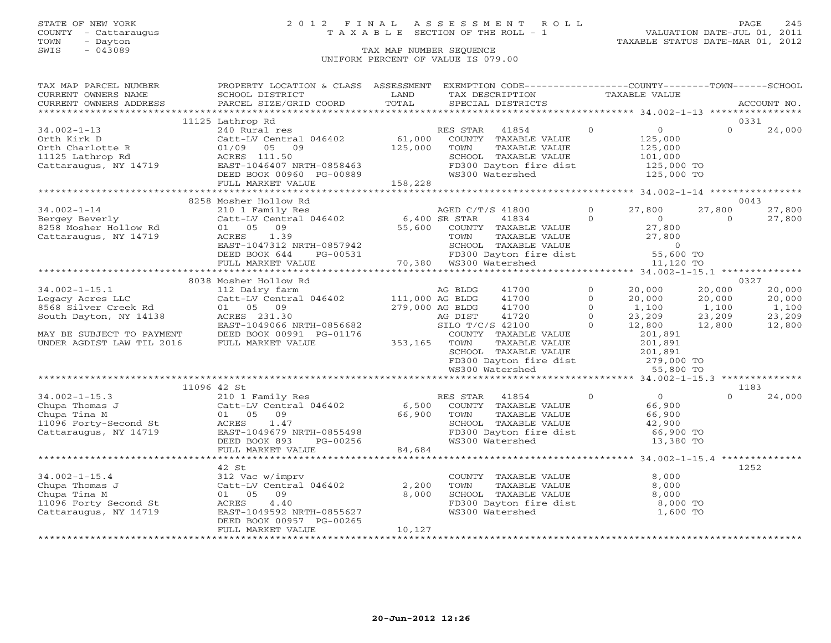### STATE OF NEW YORK 2 0 1 2 F I N A L A S S E S S M E N T R O L L PAGE 245 COUNTY - Cattaraugus T A X A B L E SECTION OF THE ROLL - 1 VALUATION DATE-JUL 01, 2011

| TAX MAP PARCEL NUMBER                                                                                                                                                                                                                                                                                                                      | PROPERTY LOCATION & CLASS ASSESSMENT EXEMPTION CODE----------------COUNTY-------TOWN------SCHOOL |        |                                                                                                                                      |                |                                                                                                     |          |             |
|--------------------------------------------------------------------------------------------------------------------------------------------------------------------------------------------------------------------------------------------------------------------------------------------------------------------------------------------|--------------------------------------------------------------------------------------------------|--------|--------------------------------------------------------------------------------------------------------------------------------------|----------------|-----------------------------------------------------------------------------------------------------|----------|-------------|
|                                                                                                                                                                                                                                                                                                                                            |                                                                                                  | LAND   | TAX DESCRIPTION TAXABLE VALUE                                                                                                        |                |                                                                                                     |          |             |
|                                                                                                                                                                                                                                                                                                                                            |                                                                                                  | TOTAL  | SPECIAL DISTRICTS                                                                                                                    |                |                                                                                                     |          | ACCOUNT NO. |
|                                                                                                                                                                                                                                                                                                                                            |                                                                                                  |        |                                                                                                                                      |                |                                                                                                     |          |             |
|                                                                                                                                                                                                                                                                                                                                            | 11125 Lathrop Rd                                                                                 |        |                                                                                                                                      |                |                                                                                                     | 0331     |             |
| $34.002 - 1 - 13$                                                                                                                                                                                                                                                                                                                          | 240 Rural res                                                                                    |        | RES STAR 41854                                                                                                                       | $\Omega$       | $\overline{0}$                                                                                      | $\Omega$ | 24,000      |
|                                                                                                                                                                                                                                                                                                                                            |                                                                                                  |        |                                                                                                                                      |                |                                                                                                     |          |             |
|                                                                                                                                                                                                                                                                                                                                            |                                                                                                  |        |                                                                                                                                      |                |                                                                                                     |          |             |
|                                                                                                                                                                                                                                                                                                                                            |                                                                                                  |        |                                                                                                                                      |                |                                                                                                     |          |             |
|                                                                                                                                                                                                                                                                                                                                            |                                                                                                  |        |                                                                                                                                      |                |                                                                                                     |          |             |
|                                                                                                                                                                                                                                                                                                                                            |                                                                                                  |        |                                                                                                                                      |                |                                                                                                     |          |             |
|                                                                                                                                                                                                                                                                                                                                            |                                                                                                  |        |                                                                                                                                      |                |                                                                                                     |          |             |
|                                                                                                                                                                                                                                                                                                                                            |                                                                                                  |        |                                                                                                                                      |                |                                                                                                     |          |             |
| $\begin{tabular}{lllllllllll} \textbf{34.002--1--14} & 8258\text{ Mosher HOLI} & 0 & 8043\text{ Mosher HOLI} & 0 & 043\text{ MoEPD C/T/S 41800} & 0 & 27,800\text{ O} & 27,800\text{ O} & 27,800\text{ O} & 27,800\text{ O} & 27,800\text{ O} & 27,800\text{ O} & 27,800\text{ O} & 27,800\text{ O} & 27,800\text{ O} & 27,800\text{ O} &$ |                                                                                                  |        |                                                                                                                                      |                |                                                                                                     |          |             |
|                                                                                                                                                                                                                                                                                                                                            |                                                                                                  |        |                                                                                                                                      |                |                                                                                                     |          |             |
| Bergey Beverly<br>8258 Mosher Hollow Rd<br>Cattaraugus, NY 14719                                                                                                                                                                                                                                                                           |                                                                                                  |        |                                                                                                                                      |                |                                                                                                     |          |             |
|                                                                                                                                                                                                                                                                                                                                            |                                                                                                  |        |                                                                                                                                      |                |                                                                                                     |          |             |
|                                                                                                                                                                                                                                                                                                                                            |                                                                                                  |        |                                                                                                                                      |                |                                                                                                     |          |             |
|                                                                                                                                                                                                                                                                                                                                            |                                                                                                  |        |                                                                                                                                      |                |                                                                                                     |          |             |
|                                                                                                                                                                                                                                                                                                                                            |                                                                                                  |        |                                                                                                                                      |                |                                                                                                     |          |             |
|                                                                                                                                                                                                                                                                                                                                            |                                                                                                  |        |                                                                                                                                      |                |                                                                                                     |          |             |
|                                                                                                                                                                                                                                                                                                                                            |                                                                                                  |        |                                                                                                                                      |                |                                                                                                     |          |             |
|                                                                                                                                                                                                                                                                                                                                            | 8038 Mosher Hollow Rd                                                                            |        |                                                                                                                                      |                |                                                                                                     | 0327     |             |
| $34.002 - 1 - 15.1$                                                                                                                                                                                                                                                                                                                        |                                                                                                  |        | 41700                                                                                                                                | $\circ$        |                                                                                                     |          | 20,000      |
|                                                                                                                                                                                                                                                                                                                                            | 112 Dairy farm<br>Catt-LV Central 046402 111,000 AG BLDG                                         |        | 41700                                                                                                                                | $\Omega$       |                                                                                                     |          | 20,000      |
|                                                                                                                                                                                                                                                                                                                                            |                                                                                                  |        | 41700                                                                                                                                | $\Omega$       |                                                                                                     |          | 1,100       |
| 34.002-1-15.1<br>Legacy Acres LLC<br>8568 Silver Creek Rd<br>South Dayton, NY 14138                                                                                                                                                                                                                                                        |                                                                                                  |        |                                                                                                                                      | $\overline{0}$ |                                                                                                     |          | 23,209      |
|                                                                                                                                                                                                                                                                                                                                            |                                                                                                  |        |                                                                                                                                      | $\Omega$       | $20,000$ $20,000$<br>$20,000$ $20,000$<br>$1,100$ $1,100$<br>$23,209$ $23,209$<br>$12,800$ $12,800$ |          | 12,800      |
| MAY BE SUBJECT TO PAYMENT                                                                                                                                                                                                                                                                                                                  | EASI-IURIOUS III<br>DEED BOOK 00991 PG-01176 (COUNT COUNT)<br>FIILL MARKET VALUE 353,165 TOWN    |        | COUNTY TAXABLE VALUE                                                                                                                 |                |                                                                                                     |          |             |
| UNDER AGDIST LAW TIL 2016                                                                                                                                                                                                                                                                                                                  |                                                                                                  |        | TAXABLE VALUE                                                                                                                        |                | 201,891<br>201,891                                                                                  |          |             |
|                                                                                                                                                                                                                                                                                                                                            |                                                                                                  |        |                                                                                                                                      |                |                                                                                                     |          |             |
|                                                                                                                                                                                                                                                                                                                                            |                                                                                                  |        | EXERCIOL TAXABLE VALUE<br>FD300 Dayton fire dist<br>WS300 Watershed<br>WS300 Watershed<br>The Contract of the CO201,891<br>S5,800 TO |                |                                                                                                     |          |             |
|                                                                                                                                                                                                                                                                                                                                            |                                                                                                  |        |                                                                                                                                      |                |                                                                                                     |          |             |
|                                                                                                                                                                                                                                                                                                                                            |                                                                                                  |        |                                                                                                                                      |                |                                                                                                     |          |             |
|                                                                                                                                                                                                                                                                                                                                            | 11096 42 St                                                                                      |        |                                                                                                                                      |                |                                                                                                     | 1183     |             |
| 34.002-1-15.3<br>Chupa Thomas J<br>Chupa Tina M<br>Chupa Tina M<br>Chupa Tina M<br>Chupa Tina M<br>Chupa Tina M<br>Chupa Tina M<br>Chupa Tina M<br>Chupa Tina M<br>Chupa Tina M<br>Chupa Tina M<br>Chupa Tina M<br>Chupa Tina M<br>Chupa Tina M<br>Chupa Ti                                                                                |                                                                                                  |        |                                                                                                                                      |                |                                                                                                     | $\Omega$ | 24,000      |
|                                                                                                                                                                                                                                                                                                                                            |                                                                                                  |        |                                                                                                                                      |                |                                                                                                     |          |             |
|                                                                                                                                                                                                                                                                                                                                            |                                                                                                  |        |                                                                                                                                      |                |                                                                                                     |          |             |
|                                                                                                                                                                                                                                                                                                                                            |                                                                                                  |        |                                                                                                                                      |                |                                                                                                     |          |             |
|                                                                                                                                                                                                                                                                                                                                            |                                                                                                  |        |                                                                                                                                      |                |                                                                                                     |          |             |
|                                                                                                                                                                                                                                                                                                                                            |                                                                                                  |        |                                                                                                                                      |                |                                                                                                     |          |             |
|                                                                                                                                                                                                                                                                                                                                            | FULL MARKET VALUE                                                                                | 84,684 |                                                                                                                                      |                |                                                                                                     |          |             |
|                                                                                                                                                                                                                                                                                                                                            |                                                                                                  |        |                                                                                                                                      |                |                                                                                                     |          |             |
|                                                                                                                                                                                                                                                                                                                                            |                                                                                                  |        |                                                                                                                                      |                |                                                                                                     | 1252     |             |
|                                                                                                                                                                                                                                                                                                                                            | 42 St<br>312 Vac w/imprv                                                                         |        | COUNTY TAXABLE VALUE 8,000                                                                                                           |                |                                                                                                     |          |             |
| $34.002 - 1 - 15.4$                                                                                                                                                                                                                                                                                                                        |                                                                                                  |        |                                                                                                                                      |                |                                                                                                     |          |             |
| Chupa Thomas J<br>Chupa Thomas J<br>Chupa Tina M<br>11096 Forty Second St<br>Cattaraugus, NY 14719<br>Cattaraugus, NY 14719<br>CAST-1049592 NRTH-0855627                                                                                                                                                                                   |                                                                                                  | 2,200  |                                                                                                                                      |                |                                                                                                     |          |             |
|                                                                                                                                                                                                                                                                                                                                            |                                                                                                  | 8,000  |                                                                                                                                      |                |                                                                                                     |          |             |
|                                                                                                                                                                                                                                                                                                                                            | EAST-1049592 NRTH-0855627                                                                        |        | FD300 Dayton fire dist and the 8,000 TO<br>WS300 Watershed 1,600 TO                                                                  |                |                                                                                                     |          |             |
|                                                                                                                                                                                                                                                                                                                                            |                                                                                                  |        |                                                                                                                                      |                |                                                                                                     |          |             |
|                                                                                                                                                                                                                                                                                                                                            | DEED BOOK 00957 PG-00265                                                                         |        |                                                                                                                                      |                |                                                                                                     |          |             |
|                                                                                                                                                                                                                                                                                                                                            | FULL MARKET VALUE                                                                                | 10,127 |                                                                                                                                      |                |                                                                                                     |          |             |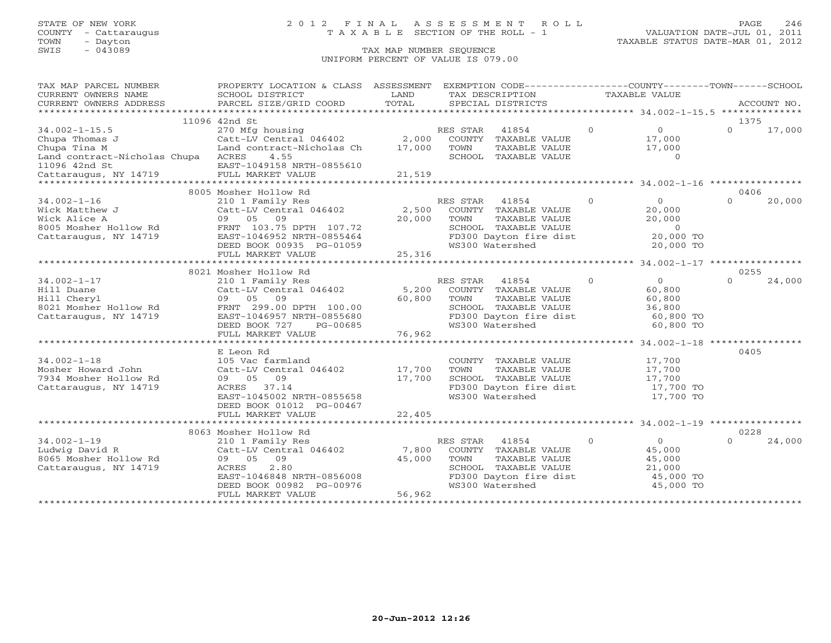# STATE OF NEW YORK 2 0 1 2 F I N A L A S S E S S M E N T R O L L PAGE 246 COUNTY - Cattaraugus T A X A B L E SECTION OF THE ROLL - 1 VALUATION DATE-JUL 01, 2011

| TAX MAP PARCEL NUMBER<br>CURRENT OWNERS NAME                                                                                                                  | PROPERTY LOCATION & CLASS ASSESSMENT EXEMPTION CODE----------------COUNTY-------TOWN------SCHOOL<br>SCHOOL DISTRICT                                                                       | LAND                      |                  | TAX DESCRIPTION                                                                                                     | TAXABLE VALUE  |                                                                                |                  |             |
|---------------------------------------------------------------------------------------------------------------------------------------------------------------|-------------------------------------------------------------------------------------------------------------------------------------------------------------------------------------------|---------------------------|------------------|---------------------------------------------------------------------------------------------------------------------|----------------|--------------------------------------------------------------------------------|------------------|-------------|
| CURRENT OWNERS ADDRESS                                                                                                                                        | PARCEL SIZE/GRID COORD                                                                                                                                                                    | TOTAL                     |                  | SPECIAL DISTRICTS                                                                                                   |                |                                                                                |                  | ACCOUNT NO. |
|                                                                                                                                                               |                                                                                                                                                                                           |                           |                  |                                                                                                                     |                |                                                                                |                  |             |
|                                                                                                                                                               | 11096 42nd St                                                                                                                                                                             |                           |                  |                                                                                                                     |                |                                                                                | 1375             |             |
| $34.002 - 1 - 15.5$<br>Chupa Thomas J<br>Chupa Tina M<br>Land contract-Nicholas Chupa ACRES<br>11096 42nd St<br>Cattaraugus, NY 14719                         | 270 Mfg housing<br>Catt-LV Central 046402 2,000<br>Land contract-Nicholas Ch<br>4.55<br>EAST-1049158 NRTH-0855610<br>FULL MARKET VALUE                                                    | 17,000<br>21,519          | RES STAR<br>TOWN | $\overline{0}$<br>41854<br>COUNTY TAXABLE VALUE<br>TAXABLE VALUE<br>SCHOOL TAXABLE VALUE                            |                | $\overline{0}$<br>17,000<br>17,000<br>$\Omega$                                 | $\Omega$         | 17,000      |
|                                                                                                                                                               |                                                                                                                                                                                           |                           |                  |                                                                                                                     |                |                                                                                |                  |             |
|                                                                                                                                                               | 8005 Mosher Hollow Rd                                                                                                                                                                     |                           |                  |                                                                                                                     |                |                                                                                | 0406             |             |
| $34.002 - 1 - 16$<br>Wick Matthew J<br>Wick Alice A<br>8005 Mosher Hollow Rd<br>FRNT 103.75 DPTH 107.72<br>FACT 1046052 NDTH 0955464<br>Cattaraugus, NY 14719 | 210 1 Family Res<br>Catt-LV Central 046402<br>09 05 09<br>EAST-1046952 NRTH-0855464<br>DEED BOOK 00935 PG-01059                                                                           | 2,500<br>20,000           | RES STAR<br>TOWN | 41854<br>COUNTY TAXABLE VALUE<br>TAXABLE VALUE<br>SCHOOL TAXABLE VALUE<br>FD300 Dayton fire dist<br>WS300 Watershed | $\Omega$       | $\overline{O}$<br>20,000<br>20,000<br>$\overline{0}$<br>20,000 TO<br>20,000 TO | $\Omega$         | 20,000      |
|                                                                                                                                                               | FULL MARKET VALUE                                                                                                                                                                         | 25,316                    |                  |                                                                                                                     |                |                                                                                |                  |             |
|                                                                                                                                                               |                                                                                                                                                                                           |                           |                  |                                                                                                                     |                |                                                                                |                  |             |
| $34.002 - 1 - 17$<br>Hill Duane<br>Hill Cheryl<br>8021 Mosher Hollow Rd<br>Cattaraugus, NY 14719                                                              | 8021 Mosher Hollow Rd<br>210 1 Family Res<br>Catt-LV Central 046402<br>09 05 09<br>FRNT 299.00 DPTH 100.00<br>EAST-1046957 NRTH-0855680<br>DEED BOOK 727<br>PG-00685<br>FULL MARKET VALUE | 5,200<br>60,800<br>76,962 | RES STAR<br>TOWN | 41854<br>COUNTY TAXABLE VALUE<br>TAXABLE VALUE<br>SCHOOL TAXABLE VALUE<br>FD300 Dayton fire dist<br>WS300 Watershed | $\Omega$       | $\overline{0}$<br>60,800<br>60,800<br>36,800<br>60,800 TO<br>60,800 TO         | 0255<br>$\Omega$ | 24,000      |
|                                                                                                                                                               |                                                                                                                                                                                           |                           |                  |                                                                                                                     |                |                                                                                |                  |             |
| $34.002 - 1 - 18$<br>Mosher Howard John<br>7934 Mosher Hollow Rd<br>Cattaraugus, NY 14719                                                                     | E Leon Rd<br>105 Vac farmland<br>Catt-LV Central 046402<br>09 05<br>09<br>ACRES 37.14<br>EAST-1045002 NRTH-0855658<br>DEED BOOK 01012 PG-00467                                            | 17,700<br>17,700          | TOWN             | COUNTY TAXABLE VALUE<br>TAXABLE VALUE<br>SCHOOL TAXABLE VALUE<br>FD300 Dayton fire dist<br>WS300 Watershed          |                | 17,700<br>17,700<br>17,700<br>17,700 TO<br>17,700 TO                           | 0405             |             |
|                                                                                                                                                               | FULL MARKET VALUE                                                                                                                                                                         | 22,405                    |                  |                                                                                                                     |                |                                                                                |                  |             |
|                                                                                                                                                               |                                                                                                                                                                                           |                           |                  |                                                                                                                     |                |                                                                                |                  |             |
| $34.002 - 1 - 19$<br>Ludwig David R<br>8065 Mosher Hollow Rd<br>Cattaraugus, NY 14719                                                                         | 8063 Mosher Hollow Rd<br>210 1 Family Res<br>Catt-LV Central 046402<br>09 05 09<br>2.80<br>ACRES<br>EAST-1046848 NRTH-0856008<br>DEED BOOK 00982 PG-00976                                 | 7,800<br>45,000           | RES STAR<br>TOWN | 41854<br>COUNTY TAXABLE VALUE<br>TAXABLE VALUE<br>SCHOOL TAXABLE VALUE<br>FD300 Dayton fire dist<br>WS300 Watershed | $\overline{0}$ | $\overline{0}$<br>45,000<br>45,000<br>21,000<br>45,000 TO<br>45,000 TO         | 0228<br>$\Omega$ | 24,000      |
|                                                                                                                                                               | FULL MARKET VALUE                                                                                                                                                                         | 56,962                    |                  |                                                                                                                     |                |                                                                                |                  |             |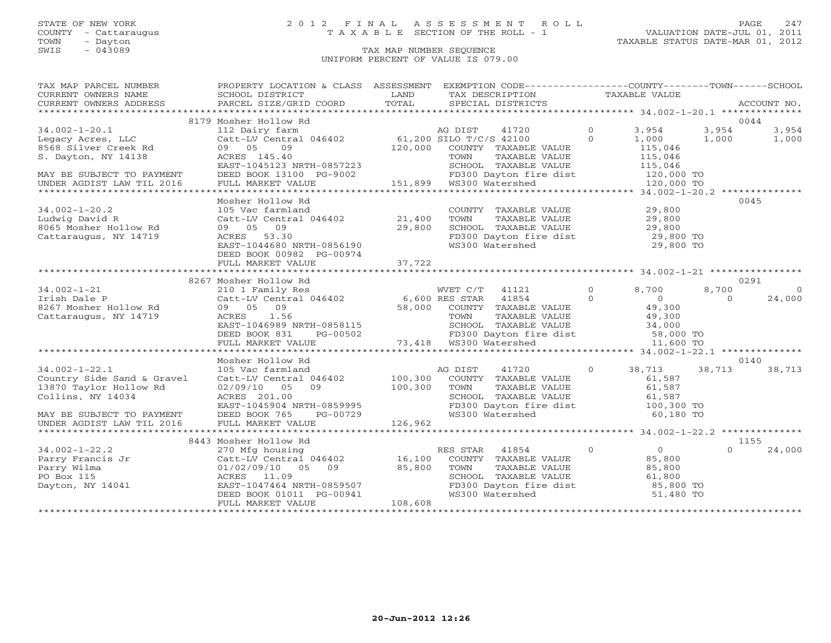COUNTY - Cattaraugus T A X A B L E SECTION OF THE ROLL - 1<br>TOWN - Dayton<br>SWIS - 043089 TAX MAP NUMBER SEQUENCE

# STATE OF NEW YORK 2 0 1 2 F I N A L A S S E S S M E N T R O L L PAGE 247

### TAX MAP NUMBER SEQUENCE UNIFORM PERCENT OF VALUE IS 079.00

| TAX MAP PARCEL NUMBER                                                                                                                                                                                                                                    | PROPERTY LOCATION & CLASS ASSESSMENT EXEMPTION CODE----------------COUNTY-------TOWN------SCHOOL                                                                                                                                         |                        |                                                                                                                                                           |                   |                |          |                |
|----------------------------------------------------------------------------------------------------------------------------------------------------------------------------------------------------------------------------------------------------------|------------------------------------------------------------------------------------------------------------------------------------------------------------------------------------------------------------------------------------------|------------------------|-----------------------------------------------------------------------------------------------------------------------------------------------------------|-------------------|----------------|----------|----------------|
| CURRENT OWNERS NAME                                                                                                                                                                                                                                      | SCHOOL DISTRICT                                                                                                                                                                                                                          | <b>Example 12</b> LAND | TAX DESCRIPTION TAXABLE VALUE                                                                                                                             |                   |                |          |                |
| CURRENT OWNERS ADDRESS                                                                                                                                                                                                                                   |                                                                                                                                                                                                                                          |                        |                                                                                                                                                           |                   |                |          |                |
|                                                                                                                                                                                                                                                          |                                                                                                                                                                                                                                          |                        |                                                                                                                                                           |                   |                |          |                |
|                                                                                                                                                                                                                                                          | 8179 Mosher Hollow Rd                                                                                                                                                                                                                    |                        |                                                                                                                                                           |                   |                | 0044     |                |
| $34.002 - 1 - 20.1$                                                                                                                                                                                                                                      | Mosher Hollow Ra<br>112 Dairy farm<br>Catt-LV Central 046402 61,200 SILO T/C/S 42100 (<br>09 05 09 120,000 COUNTY TAXABLE VALUE<br>120,000 COUNTY TAXABLE VALUE<br>TOWN TAXABLE VALUE                                                    |                        | 41720 0                                                                                                                                                   |                   | 3,954          | 3,954    | 3,954          |
| 8568 Silver Creek Rd<br>8568 Silver Creek Rd<br>S. Dayton NV 14100                                                                                                                                                                                       |                                                                                                                                                                                                                                          |                        |                                                                                                                                                           | $\Omega$          | 1,000          | 1,000    | 1,000          |
|                                                                                                                                                                                                                                                          |                                                                                                                                                                                                                                          |                        |                                                                                                                                                           |                   | 115,046        |          |                |
| S. Dayton, NY 14138                                                                                                                                                                                                                                      |                                                                                                                                                                                                                                          |                        |                                                                                                                                                           |                   |                |          |                |
|                                                                                                                                                                                                                                                          | EAST-1045123 NRTH-0857223                                                                                                                                                                                                                |                        |                                                                                                                                                           |                   |                |          |                |
|                                                                                                                                                                                                                                                          |                                                                                                                                                                                                                                          |                        |                                                                                                                                                           |                   |                |          |                |
|                                                                                                                                                                                                                                                          | DEED BOOK 13100 PG-9002 PD300 Dayton fir<br>FULL MARKET VALUE 151,899 WS300 Watershed                                                                                                                                                    |                        | TOWN TAXABLE VALUE<br>SCHOOL TAXABLE VALUE<br>FD300 Dayton fire dist<br>WS300 Watershed<br>WS300 Watershed<br>The Contemporary 120,000 TO                 |                   |                |          |                |
|                                                                                                                                                                                                                                                          |                                                                                                                                                                                                                                          |                        |                                                                                                                                                           |                   |                |          |                |
|                                                                                                                                                                                                                                                          | Mosher Hollow Rd                                                                                                                                                                                                                         |                        |                                                                                                                                                           |                   |                | 0045     |                |
| $34.002 - 1 - 20.2$                                                                                                                                                                                                                                      | 105 Vac farmland<br>Catt-LV Central 046402 21,400<br>09 05 09 29,800<br>ACRES 53.30                                                                                                                                                      |                        | COUNTY TAXABLE VALUE 29,800                                                                                                                               |                   |                |          |                |
| Ludwig David R                                                                                                                                                                                                                                           |                                                                                                                                                                                                                                          |                        |                                                                                                                                                           |                   |                |          |                |
| 8065 Mosher Hollow Rd                                                                                                                                                                                                                                    |                                                                                                                                                                                                                                          |                        |                                                                                                                                                           |                   |                |          |                |
| Cattaraugus, NY 14719                                                                                                                                                                                                                                    |                                                                                                                                                                                                                                          |                        |                                                                                                                                                           |                   |                |          |                |
|                                                                                                                                                                                                                                                          | ACRES 53.30<br>EAST-1044680 NRTH-0856190                                                                                                                                                                                                 |                        | TOWN TAXABLE VALUE 29,800<br>SCHOOL TAXABLE VALUE 29,800<br>FD300 Dayton fire dist 29,800 TO<br>WS300 Watershed 29,800 TO                                 |                   |                |          |                |
|                                                                                                                                                                                                                                                          | DEED BOOK 00982 PG-00974                                                                                                                                                                                                                 |                        |                                                                                                                                                           |                   |                |          |                |
|                                                                                                                                                                                                                                                          | FULL MARKET VALUE                                                                                                                                                                                                                        | 37,722                 |                                                                                                                                                           |                   |                |          |                |
|                                                                                                                                                                                                                                                          |                                                                                                                                                                                                                                          |                        |                                                                                                                                                           |                   |                |          |                |
|                                                                                                                                                                                                                                                          | 8267 Mosher Hollow Rd                                                                                                                                                                                                                    |                        |                                                                                                                                                           |                   |                | 0291     |                |
| $34.002 - 1 - 21$                                                                                                                                                                                                                                        |                                                                                                                                                                                                                                          |                        |                                                                                                                                                           |                   |                | 8,700    | $\overline{0}$ |
| 34.002-1-21<br>Irish Dale P<br>8267 Mosher Hollow Rd<br>Cattaraugus, NY 14719                                                                                                                                                                            |                                                                                                                                                                                                                                          |                        |                                                                                                                                                           |                   |                | $\Omega$ | 24,000         |
|                                                                                                                                                                                                                                                          |                                                                                                                                                                                                                                          |                        |                                                                                                                                                           |                   |                |          |                |
|                                                                                                                                                                                                                                                          |                                                                                                                                                                                                                                          |                        |                                                                                                                                                           |                   |                |          |                |
|                                                                                                                                                                                                                                                          |                                                                                                                                                                                                                                          |                        |                                                                                                                                                           |                   |                |          |                |
|                                                                                                                                                                                                                                                          |                                                                                                                                                                                                                                          |                        |                                                                                                                                                           |                   |                |          |                |
|                                                                                                                                                                                                                                                          | NOSITY IN THE MARKET VALUE<br>210 1 Family Res (30 1 Family Res (46402)<br>Catt-LV Central 046402 6,600 RES STAR 41854 0 0<br>09 05 09 58,000 COUNTY TAXABLE VALUE 49,300<br>ACRES 1.56 TOWN TAXABLE VALUE 49,300<br>EAST-1046989 NRTH-0 |                        |                                                                                                                                                           |                   |                |          |                |
|                                                                                                                                                                                                                                                          |                                                                                                                                                                                                                                          |                        |                                                                                                                                                           |                   |                |          |                |
|                                                                                                                                                                                                                                                          | Mosher Hollow Rd                                                                                                                                                                                                                         |                        |                                                                                                                                                           |                   |                | 0140     |                |
| $34.002 - 1 - 22.1$                                                                                                                                                                                                                                      | 105 Vac farmland a<br>Catt-LV Central 046402 100,300                                                                                                                                                                                     |                        | 41720 0 38,713 38,713<br>AG DIST                                                                                                                          |                   |                |          | 38,713         |
| Country Side Sand & Gravel                                                                                                                                                                                                                               |                                                                                                                                                                                                                                          |                        |                                                                                                                                                           |                   |                |          |                |
| 13870 Taylor Hollow Rd                                                                                                                                                                                                                                   | $02/09/10$ 05 09 100,300                                                                                                                                                                                                                 |                        |                                                                                                                                                           |                   |                |          |                |
| Collins, NY 14034                                                                                                                                                                                                                                        |                                                                                                                                                                                                                                          |                        |                                                                                                                                                           |                   |                |          |                |
|                                                                                                                                                                                                                                                          |                                                                                                                                                                                                                                          |                        |                                                                                                                                                           |                   |                |          |                |
| MAY BE SUBJECT TO PAYMENT                                                                                                                                                                                                                                | DEED BOOK 765 PG-00729                                                                                                                                                                                                                   |                        | COUNTY TAXABLE VALUE 61,587<br>TOWN TAXABLE VALUE 61,587<br>SCHOOL TAXABLE VALUE 61,587<br>FD300 Dayton fire dist 100,300 TO<br>WS300 Watershed 60,180 TO |                   |                |          |                |
| UNDER AGDIST LAW TIL 2016                                                                                                                                                                                                                                | ------ 201.00<br>EAST-1045904 NRTH-0859995<br>DEED BOOK 765 PG-00729<br>FULL MARKET VALUE                                                                                                                                                |                        |                                                                                                                                                           |                   |                |          |                |
|                                                                                                                                                                                                                                                          |                                                                                                                                                                                                                                          |                        |                                                                                                                                                           |                   |                |          |                |
|                                                                                                                                                                                                                                                          | 8443 Mosher Hollow Rd                                                                                                                                                                                                                    |                        |                                                                                                                                                           |                   |                | 1155     |                |
| $34.002 - 1 - 22.2$                                                                                                                                                                                                                                      | 270 Mfg housing                                                                                                                                                                                                                          |                        | RES STAR 41854                                                                                                                                            | $0 \qquad \qquad$ | $\overline{0}$ | $\Omega$ | 24,000         |
| Parry Francis Jr $270$ Mrg housing<br>Parry Wilma<br>Parry Wilma<br>Po Box 115<br>Dayton, NY 14041<br>Dayton, NY 14041<br>Po Box 11.09<br>Dayton, NY 14041<br>Po Box 11.09<br>Po Box 11.09<br>Po Box 11.09<br>Po Box 11.09<br>Po Box 11.09<br>Po Box 11. |                                                                                                                                                                                                                                          |                        | COUNTY TAXABLE VALUE 85,800                                                                                                                               |                   |                |          |                |
|                                                                                                                                                                                                                                                          |                                                                                                                                                                                                                                          |                        |                                                                                                                                                           |                   |                |          |                |
|                                                                                                                                                                                                                                                          |                                                                                                                                                                                                                                          |                        |                                                                                                                                                           |                   |                |          |                |
|                                                                                                                                                                                                                                                          |                                                                                                                                                                                                                                          |                        |                                                                                                                                                           |                   |                |          |                |
|                                                                                                                                                                                                                                                          | EAST-1047464 NRTH-0859507<br>DEED BOOK 01011 PG-00941<br>FULL MARKET VALUE                                                                                                                                                               |                        | TOWN TAXABLE VALUE $85,800$<br>SCHOOL TAXABLE VALUE 61,800<br>FD300 Dayton fire dist $85,800$ TO<br>WS300 Watershed 51,480 TO                             |                   |                |          |                |
|                                                                                                                                                                                                                                                          | FULL MARKET VALUE                                                                                                                                                                                                                        | 108,608                |                                                                                                                                                           |                   |                |          |                |
|                                                                                                                                                                                                                                                          |                                                                                                                                                                                                                                          |                        |                                                                                                                                                           |                   |                |          |                |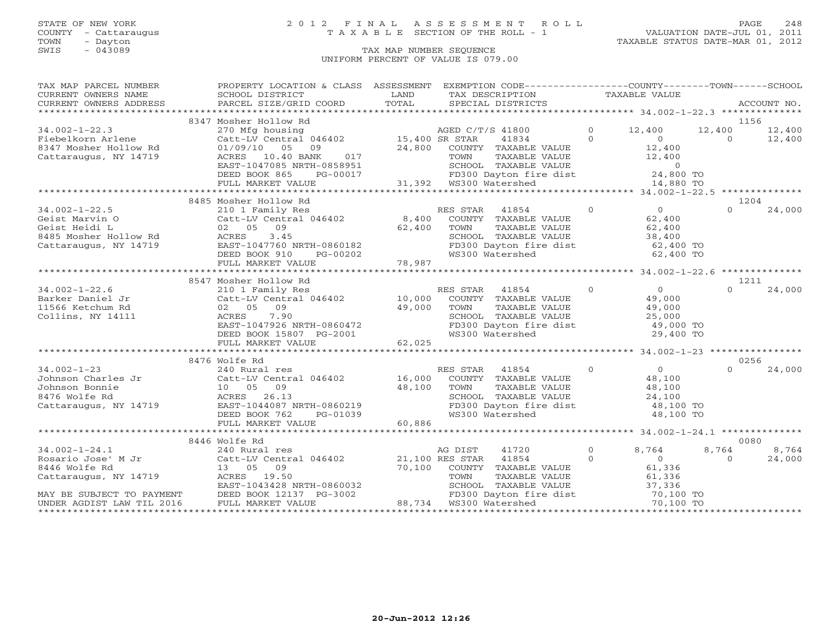TOWN - Dayton - Dayton 1989<br>
TAX MAP NUMBER SEQUENCE - TAXABLE STATUS DATE-MAR 01, 2012<br>
SWIS - 043089 - TAX MAP NUMBER SEQUENCE

### STATE OF NEW YORK 2 0 1 2 F I N A L A S S E S S M E N T R O L L PAGE 248 COUNTY - Cattaraugus T A X A B L E SECTION OF THE ROLL - 1 VALUATION DATE-JUL 01, 2011

### TAX MAP NUMBER SEQUENCE UNIFORM PERCENT OF VALUE IS 079.00

| TAX MAP PARCEL NUMBER                                                                                                                              | PROPERTY LOCATION & CLASS ASSESSMENT EXEMPTION CODE----------------COUNTY-------TOWN------SCHOOL                                                                                                                                                                                                                                                                                                                                   |        |                                                                                                                                                                                   |               |                                            |                |        |
|----------------------------------------------------------------------------------------------------------------------------------------------------|------------------------------------------------------------------------------------------------------------------------------------------------------------------------------------------------------------------------------------------------------------------------------------------------------------------------------------------------------------------------------------------------------------------------------------|--------|-----------------------------------------------------------------------------------------------------------------------------------------------------------------------------------|---------------|--------------------------------------------|----------------|--------|
|                                                                                                                                                    |                                                                                                                                                                                                                                                                                                                                                                                                                                    |        |                                                                                                                                                                                   | TAXABLE VALUE |                                            |                |        |
| CURRENT OWNERS ADDRESS                                                                                                                             |                                                                                                                                                                                                                                                                                                                                                                                                                                    |        |                                                                                                                                                                                   |               |                                            |                |        |
|                                                                                                                                                    |                                                                                                                                                                                                                                                                                                                                                                                                                                    |        |                                                                                                                                                                                   |               |                                            |                |        |
|                                                                                                                                                    | 8347 Mosher Hollow Rd                                                                                                                                                                                                                                                                                                                                                                                                              |        |                                                                                                                                                                                   |               |                                            | 1156           |        |
| 34.002-1-22.3<br>Fiebelkorn Arlene (270 Mfg housing<br>8347 Mosher Hollow Rd (21/09/10 05 09)<br>Cattaraugus, NY 14719 (2008)<br>RACRES 10.40 BANK | MOSHET HOLLOW KG<br>270 Mfg housing<br>Catt-LV Central 046402 (15,400 SR STAR 41834 (17)<br>01/09/10 05 09 24,800 COUNTY TAXABLE VALUE (12,400 ACRES 10.40 BANK 017 TOWN TAXABLE VALUE (12,400 FAST-1047085 NRTH-0858951 (6)                                                                                                                                                                                                       |        |                                                                                                                                                                                   |               |                                            | 12,400 12,400  |        |
|                                                                                                                                                    |                                                                                                                                                                                                                                                                                                                                                                                                                                    |        |                                                                                                                                                                                   |               |                                            | $\overline{0}$ | 12,400 |
|                                                                                                                                                    |                                                                                                                                                                                                                                                                                                                                                                                                                                    |        |                                                                                                                                                                                   |               | 12,400                                     |                |        |
|                                                                                                                                                    |                                                                                                                                                                                                                                                                                                                                                                                                                                    |        |                                                                                                                                                                                   |               | 12,400                                     |                |        |
|                                                                                                                                                    | EAST-1047085 NRTH-0858951                                                                                                                                                                                                                                                                                                                                                                                                          |        |                                                                                                                                                                                   |               |                                            |                |        |
|                                                                                                                                                    | DEED BOOK 865<br>PG-00017                                                                                                                                                                                                                                                                                                                                                                                                          |        | FD300 Dayton fir<br>31,392 WS300 Watershed                                                                                                                                        |               |                                            |                |        |
|                                                                                                                                                    | FULL MARKET VALUE                                                                                                                                                                                                                                                                                                                                                                                                                  |        | TOWN TAXABLE VALUE $12,400$<br>SCHOOL TAXABLE VALUE 0<br>FD300 Dayton fire dist 24,800 TO<br>WS300 Watershed 14,880 TO                                                            |               |                                            |                |        |
|                                                                                                                                                    |                                                                                                                                                                                                                                                                                                                                                                                                                                    |        |                                                                                                                                                                                   |               |                                            |                |        |
|                                                                                                                                                    | 8485 Mosher Hollow Rd                                                                                                                                                                                                                                                                                                                                                                                                              |        |                                                                                                                                                                                   |               |                                            | 1204           |        |
| $34.002 - 1 - 22.5$                                                                                                                                | 210 1 Family Res RES STAR 41854 0<br>Catt-LV Central 046402 8,400 COUNTY TAXABLE VALUE<br>02 05 09 62,400 TOWN TAXABLE VALUE<br>ACRES 3.45 SCHOOL TAXABLE VALUE<br>34.002-1-22.5 210 1 Family Res F<br>Geist Marvin O Catt-LV Central 046402 8,400<br>Geist Heidi L 02 05 09 62,400<br>8485 Mosher Hollow Rd ACRES 3.45<br>Cattaraugus, NY 14719 EAST-1047760 NRTH-0860182                                                         |        | ES STAR 41854 0<br>COUNTY TAXABLE VALUE 62,400<br>TOWN TAXABLE VALUE 62,400<br>SCHOOL TAXABLE VALUE 38,400<br>FD300 Dayton fire dist 62,400 TO<br>MS300 Mator fire dist 62,400 TO |               |                                            | $\Omega$       | 24,000 |
|                                                                                                                                                    |                                                                                                                                                                                                                                                                                                                                                                                                                                    |        |                                                                                                                                                                                   |               |                                            |                |        |
|                                                                                                                                                    |                                                                                                                                                                                                                                                                                                                                                                                                                                    |        |                                                                                                                                                                                   |               |                                            |                |        |
|                                                                                                                                                    |                                                                                                                                                                                                                                                                                                                                                                                                                                    |        |                                                                                                                                                                                   |               |                                            |                |        |
|                                                                                                                                                    |                                                                                                                                                                                                                                                                                                                                                                                                                                    |        |                                                                                                                                                                                   |               |                                            |                |        |
|                                                                                                                                                    | DEED BOOK 910<br>PG-00202                                                                                                                                                                                                                                                                                                                                                                                                          | 78,987 | WS300 Watershed                                                                                                                                                                   |               | 62,400 TO                                  |                |        |
|                                                                                                                                                    | FULL MARKET VALUE                                                                                                                                                                                                                                                                                                                                                                                                                  |        |                                                                                                                                                                                   |               |                                            |                |        |
|                                                                                                                                                    |                                                                                                                                                                                                                                                                                                                                                                                                                                    |        |                                                                                                                                                                                   |               |                                            |                |        |
|                                                                                                                                                    | 8547 Mosher Hollow Rd                                                                                                                                                                                                                                                                                                                                                                                                              |        |                                                                                                                                                                                   |               |                                            | 1211           |        |
|                                                                                                                                                    |                                                                                                                                                                                                                                                                                                                                                                                                                                    |        |                                                                                                                                                                                   |               | $\begin{array}{c} 0 \\ 49,000 \end{array}$ | $\cap$         | 24,000 |
|                                                                                                                                                    |                                                                                                                                                                                                                                                                                                                                                                                                                                    |        |                                                                                                                                                                                   |               |                                            |                |        |
|                                                                                                                                                    |                                                                                                                                                                                                                                                                                                                                                                                                                                    |        |                                                                                                                                                                                   |               |                                            |                |        |
|                                                                                                                                                    | $\begin{array}{llllllll} \texttt{34.002--1-22.6} & & & & & \texttt{RES STR} & 41854 & 0 \\ \texttt{Barker Daniel Jr} & & & & \texttt{Catt-LV Central 046402} & & & \texttt{10,000}\ & & \texttt{COUNTY} & \texttt{TAXABLE VALUE} \\ \texttt{11566 Ketchum Rd} & & & & \texttt{02} & 05 & 09 & 49,000 & \texttt{TOWN} & \texttt{TAXABLE VALUE} \\ \texttt{Collins, NY 14111} & & & & \texttt{ACRES} & 7.90 & & & \texttt{SCH00I} &$ |        | TAXABLE VALUE<br>TAXABLE VALUE 19,000<br>TAXABLE VALUE 25,000<br>SCHOOL TAXABLE VALUE 25,000<br>FD300 Dayton fire dist 49,000 TO                                                  |               |                                            |                |        |
|                                                                                                                                                    |                                                                                                                                                                                                                                                                                                                                                                                                                                    |        |                                                                                                                                                                                   |               |                                            |                |        |
|                                                                                                                                                    | ACRES 7.90<br>EAST-1047926 NRTH-0860472<br>DEED BOOK 15807 PG-2001<br>FIII MARKER WALLER                                                                                                                                                                                                                                                                                                                                           |        | WS300 Watershed                                                                                                                                                                   |               | 29,400 TO                                  |                |        |
|                                                                                                                                                    | FULL MARKET VALUE                                                                                                                                                                                                                                                                                                                                                                                                                  | 62,025 |                                                                                                                                                                                   |               |                                            |                |        |
|                                                                                                                                                    |                                                                                                                                                                                                                                                                                                                                                                                                                                    |        |                                                                                                                                                                                   |               |                                            |                |        |
|                                                                                                                                                    | 8476 Wolfe Rd                                                                                                                                                                                                                                                                                                                                                                                                                      |        |                                                                                                                                                                                   |               |                                            | 0256           |        |
|                                                                                                                                                    |                                                                                                                                                                                                                                                                                                                                                                                                                                    |        | RES STAR 41854                                                                                                                                                                    | $\Omega$      | $\overline{0}$                             | $\Omega$       | 24,000 |
|                                                                                                                                                    |                                                                                                                                                                                                                                                                                                                                                                                                                                    |        | COUNTY TAXABLE VALUE 48,100                                                                                                                                                       |               |                                            |                |        |
|                                                                                                                                                    |                                                                                                                                                                                                                                                                                                                                                                                                                                    |        |                                                                                                                                                                                   |               |                                            |                |        |
|                                                                                                                                                    |                                                                                                                                                                                                                                                                                                                                                                                                                                    |        |                                                                                                                                                                                   |               |                                            |                |        |
|                                                                                                                                                    | 34.002-1-23<br>Johnson Charles Jr<br>Johnson Bonnie<br>8476 Wolfe Rd<br>Cattaraugus, NY 14719<br>DEED BOOK 762<br>DEED BOOK 762<br>PG-01039<br>Cattaraugus, NY 14719<br>Cattaraugus, NY 14719<br>DEED BOOK 762<br>PG-01039                                                                                                                                                                                                         |        | COUNIT IAAABLE VALUE<br>TOWN TAXABLE VALUE 48,100<br>SCHOOL TAXABLE VALUE 24,100<br>FD300 Dayton fire dist 48,100 TO                                                              |               |                                            |                |        |
|                                                                                                                                                    |                                                                                                                                                                                                                                                                                                                                                                                                                                    |        | WS300 Watershed                                                                                                                                                                   |               | 48,100 TO                                  |                |        |
|                                                                                                                                                    | FULL MARKET VALUE                                                                                                                                                                                                                                                                                                                                                                                                                  | 60,886 |                                                                                                                                                                                   |               |                                            |                |        |
|                                                                                                                                                    |                                                                                                                                                                                                                                                                                                                                                                                                                                    |        |                                                                                                                                                                                   |               |                                            |                |        |
|                                                                                                                                                    | 8446 Wolfe Rd                                                                                                                                                                                                                                                                                                                                                                                                                      |        |                                                                                                                                                                                   |               |                                            | 0080           |        |
|                                                                                                                                                    |                                                                                                                                                                                                                                                                                                                                                                                                                                    |        | 41720                                                                                                                                                                             | $\Omega$      | 8,764                                      | 8,764          | 8,764  |
|                                                                                                                                                    |                                                                                                                                                                                                                                                                                                                                                                                                                                    |        |                                                                                                                                                                                   | $\Omega$      | $\overline{0}$                             | $\Omega$       | 24,000 |
| 8446 Wolfe Rd                                                                                                                                      | 13 05 09                                                                                                                                                                                                                                                                                                                                                                                                                           |        |                                                                                                                                                                                   |               |                                            |                |        |
|                                                                                                                                                    |                                                                                                                                                                                                                                                                                                                                                                                                                                    |        |                                                                                                                                                                                   |               |                                            |                |        |
|                                                                                                                                                    |                                                                                                                                                                                                                                                                                                                                                                                                                                    |        |                                                                                                                                                                                   |               |                                            |                |        |
|                                                                                                                                                    | Cattaraugus, NY 14719<br>Cattaraugus, NY 14719<br>EAST-1043428 NRTH-0860032 SCHOOL TAXABLE<br>EAST-1043428 NRTH-0860032 SCHOOL TAXABLE<br>EAST-1043428 NRTH-0860032 SCHOOL TAXABLE<br>EAST-1043428 NRTH-0860032 SCHOOL TAXABLE<br>EAST-10                                                                                                                                                                                          |        | 21,100 AES SIAN TAXABLE VALUE 61,336<br>TOWN TAXABLE VALUE 61,336<br>SCHOOL TAXABLE VALUE 61,336<br>FD300 Dayton fire dist 70,100 TO<br>88,734 WS300 Watershed 70,100 TO          |               |                                            |                |        |
|                                                                                                                                                    |                                                                                                                                                                                                                                                                                                                                                                                                                                    |        |                                                                                                                                                                                   |               |                                            |                |        |
|                                                                                                                                                    |                                                                                                                                                                                                                                                                                                                                                                                                                                    |        |                                                                                                                                                                                   |               |                                            |                |        |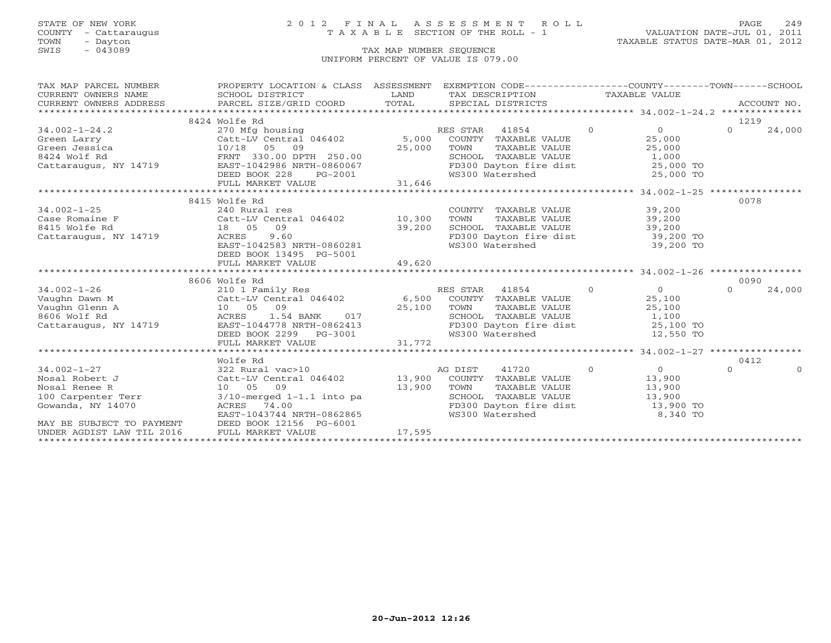### STATE OF NEW YORK 2 0 1 2 F I N A L A S S E S S M E N T R O L L PAGE 249 COUNTY - Cattaraugus T A X A B L E SECTION OF THE ROLL - 1 VALUATION DATE-JUL 01, 2011

| TAX MAP PARCEL NUMBER                                                                                                                                                                                                                           | PROPERTY LOCATION & CLASS ASSESSMENT EXEMPTION CODE----------------COUNTY-------TOWN------SCHOOL                                    |                                                                                                                        |                                                                                                                              |           |          |          |
|-------------------------------------------------------------------------------------------------------------------------------------------------------------------------------------------------------------------------------------------------|-------------------------------------------------------------------------------------------------------------------------------------|------------------------------------------------------------------------------------------------------------------------|------------------------------------------------------------------------------------------------------------------------------|-----------|----------|----------|
| CURRENT OWNERS NAME                                                                                                                                                                                                                             | SCHOOL DISTRICT                                                                                                                     | <b>EXAMPLE SERVICE SERVICE SERVICE SERVICE SERVICE SERVICE SERVICE SERVICE SERVICE SERVICE SERVICE SERVICE SERVICE</b> | TAX DESCRIPTION TAXABLE VALUE                                                                                                |           |          |          |
|                                                                                                                                                                                                                                                 |                                                                                                                                     |                                                                                                                        |                                                                                                                              |           |          |          |
|                                                                                                                                                                                                                                                 |                                                                                                                                     |                                                                                                                        |                                                                                                                              |           |          |          |
|                                                                                                                                                                                                                                                 | 8424 Wolfe Rd                                                                                                                       |                                                                                                                        |                                                                                                                              |           | 1219     |          |
| 34.002-1-24.2<br>Green Larry Catt-LV Central 046402<br>Green Jessica $10/18$ 05 09<br>Catt-LV Central 046402 5,000 COUNTY TAXABLE VALUE 25,000<br>25,000 FORNT 330.00 DPTH 250.00<br>Cattaraugus, NY 14719 EASTER PORTER 250.00 DPTH 25         |                                                                                                                                     |                                                                                                                        |                                                                                                                              |           | $\Omega$ | 24,000   |
|                                                                                                                                                                                                                                                 |                                                                                                                                     |                                                                                                                        |                                                                                                                              |           |          |          |
|                                                                                                                                                                                                                                                 |                                                                                                                                     |                                                                                                                        |                                                                                                                              |           |          |          |
|                                                                                                                                                                                                                                                 |                                                                                                                                     |                                                                                                                        |                                                                                                                              |           |          |          |
|                                                                                                                                                                                                                                                 |                                                                                                                                     |                                                                                                                        |                                                                                                                              |           |          |          |
|                                                                                                                                                                                                                                                 |                                                                                                                                     |                                                                                                                        |                                                                                                                              |           |          |          |
|                                                                                                                                                                                                                                                 |                                                                                                                                     |                                                                                                                        |                                                                                                                              |           |          |          |
|                                                                                                                                                                                                                                                 | 0.000 DEED BOOK 228 PG-2001 WS300 Watershed 25,000 TO<br>FULL MARKET VALUE 31,646 FULL MARKET VALUE 31,646 FULL MARKET VALUE 31,646 |                                                                                                                        |                                                                                                                              |           |          |          |
|                                                                                                                                                                                                                                                 | 8415 Wolfe Rd                                                                                                                       |                                                                                                                        |                                                                                                                              |           | 0078     |          |
|                                                                                                                                                                                                                                                 |                                                                                                                                     |                                                                                                                        | COUNTY TAXABLE VALUE 39,200                                                                                                  |           |          |          |
|                                                                                                                                                                                                                                                 |                                                                                                                                     |                                                                                                                        | TOWN TAXABLE VALUE 39,200                                                                                                    |           |          |          |
| 8415 Wolfe Rd                                                                                                                                                                                                                                   | 18  05  09                                                                                                                          |                                                                                                                        | SCHOOL TAXABLE VALUE 39,200                                                                                                  |           |          |          |
| Cattaraugus, NY 14719 ACRES                                                                                                                                                                                                                     |                                                                                                                                     |                                                                                                                        | FD300 Dayton fire dist 39,200 TO                                                                                             |           |          |          |
|                                                                                                                                                                                                                                                 | 18 05 09 39,200<br>ACRES 9.60 5057-1042583 NRTH-0860281                                                                             |                                                                                                                        | WS300 Watershed                                                                                                              | 39,200 TO |          |          |
|                                                                                                                                                                                                                                                 | DEED BOOK 13495 PG-5001                                                                                                             |                                                                                                                        |                                                                                                                              |           |          |          |
|                                                                                                                                                                                                                                                 | FULL MARKET VALUE                                                                                                                   | 49,620                                                                                                                 |                                                                                                                              |           |          |          |
|                                                                                                                                                                                                                                                 |                                                                                                                                     |                                                                                                                        |                                                                                                                              |           |          |          |
| 34.002-1-26<br>Vaughn Dawn M<br>Vaughn Glenn A (10 05 09)<br>Catt-LV Central 046402 6,500 COUNTY TAXABLE VALUE 25,100<br>25,100 TOWN TAXABLE VALUE 25,100<br>25,100 TOWN TAXABLE VALUE 25,100<br>25,100 TOWN TAXABLE VALUE 25,100<br>25,10      |                                                                                                                                     |                                                                                                                        |                                                                                                                              |           | 0090     |          |
|                                                                                                                                                                                                                                                 |                                                                                                                                     |                                                                                                                        |                                                                                                                              |           | $\Omega$ | 24,000   |
|                                                                                                                                                                                                                                                 |                                                                                                                                     |                                                                                                                        |                                                                                                                              |           |          |          |
|                                                                                                                                                                                                                                                 |                                                                                                                                     |                                                                                                                        |                                                                                                                              |           |          |          |
|                                                                                                                                                                                                                                                 |                                                                                                                                     |                                                                                                                        |                                                                                                                              |           |          |          |
|                                                                                                                                                                                                                                                 |                                                                                                                                     |                                                                                                                        |                                                                                                                              |           |          |          |
|                                                                                                                                                                                                                                                 |                                                                                                                                     |                                                                                                                        | TOWN TAXABLE VALUE<br>SCHOOL TAXABLE VALUE<br>SCHOOL TAXABLE VALUE<br>FD300 Dayton fire dist<br>WS300 Watershed<br>12,550 TO |           |          |          |
|                                                                                                                                                                                                                                                 | DEED BOOK 2299 PG-3001<br>FULL MARKET VALUE 31,772                                                                                  |                                                                                                                        |                                                                                                                              |           |          |          |
|                                                                                                                                                                                                                                                 |                                                                                                                                     |                                                                                                                        |                                                                                                                              |           |          |          |
|                                                                                                                                                                                                                                                 | Wolfe Rd                                                                                                                            |                                                                                                                        |                                                                                                                              |           | 0412     |          |
| 34.002-1-27<br>Nosal Robert J<br>Nosal Renee R<br>13,900 COUNTY TAXABLE VALUE<br>13,900 COUNTY TAXABLE VALUE<br>13,900 COUNTY TAXABLE VALUE<br>13,900 COUNTY TAXABLE VALUE<br>13,900 COUNTY TAXABLE VALUE<br>13,900 COUNTY TAXABLE VALUE<br>13, |                                                                                                                                     |                                                                                                                        |                                                                                                                              |           | $\Omega$ | $\Omega$ |
|                                                                                                                                                                                                                                                 |                                                                                                                                     |                                                                                                                        |                                                                                                                              |           |          |          |
|                                                                                                                                                                                                                                                 |                                                                                                                                     |                                                                                                                        |                                                                                                                              |           |          |          |
|                                                                                                                                                                                                                                                 |                                                                                                                                     |                                                                                                                        |                                                                                                                              |           |          |          |
| Gowanda, NY 14070 ACRES 74.00                                                                                                                                                                                                                   |                                                                                                                                     |                                                                                                                        | FD300 Dayton fire dist 13,900 TO                                                                                             |           |          |          |
|                                                                                                                                                                                                                                                 | EAST-1043744 NRTH-0862865                                                                                                           |                                                                                                                        | WS300 Watershed                                                                                                              | 8,340 TO  |          |          |
| Gowanda, $NY = 14070$<br>MAY BE SUBJECT TO PAYMENT                                                                                                                                                                                              | DEED BOOK 12156 PG-6001                                                                                                             |                                                                                                                        |                                                                                                                              |           |          |          |
|                                                                                                                                                                                                                                                 | FULL MARKET VALUE                                                                                                                   | $-6001$ 17,595                                                                                                         |                                                                                                                              |           |          |          |
|                                                                                                                                                                                                                                                 |                                                                                                                                     |                                                                                                                        |                                                                                                                              |           |          |          |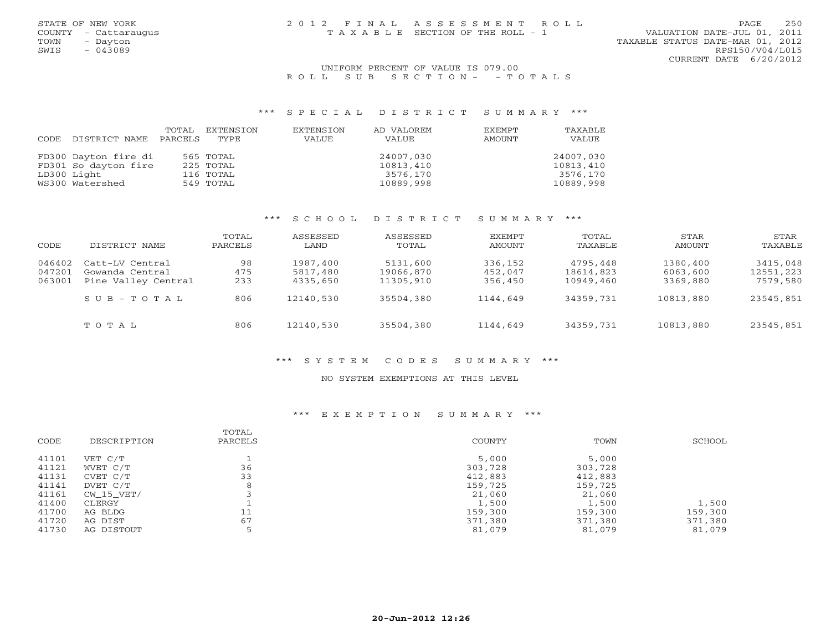### UNIFORM PERCENT OF VALUE IS 079.00 R O L L S U B S E C T I O N - - T O T A L S

### \*\*\* S P E C I A L D I S T R I C T S U M M A R Y \*\*\*

| CODE DISTRICT NAME   | TOTAL<br>PARCELS | EXTENSION<br>TYPE | EXTENSION<br>VALUE | AD VALOREM<br>VALUE | EXEMPT<br>AMOUNT | TAXABLE<br>VALUE |
|----------------------|------------------|-------------------|--------------------|---------------------|------------------|------------------|
| FD300 Dayton fire di |                  | 565 TOTAL         |                    | 24007,030           |                  | 24007,030        |
| FD301 So dayton fire |                  | 225 TOTAL         |                    | 10813,410           |                  | 10813,410        |
| LD300 Light          |                  | 116 TOTAL         |                    | 3576,170            |                  | 3576,170         |
| WS300 Watershed      |                  | 549 TOTAL         |                    | 10889,998           |                  | 10889,998        |

### \*\*\* S C H O O L D I S T R I C T S U M M A R Y \*\*\*

| CODE                       | DISTRICT NAME                                             | TOTAL<br>PARCELS | ASSESSED<br>LAND                 | ASSESSED<br>TOTAL                  | EXEMPT<br>AMOUNT              | TOTAL<br>TAXABLE                   | STAR<br>AMOUNT                   | STAR<br>TAXABLE                   |
|----------------------------|-----------------------------------------------------------|------------------|----------------------------------|------------------------------------|-------------------------------|------------------------------------|----------------------------------|-----------------------------------|
| 046402<br>047201<br>063001 | Catt-LV Central<br>Gowanda Central<br>Pine Valley Central | 98<br>475<br>233 | 1987,400<br>5817,480<br>4335,650 | 5131,600<br>19066,870<br>11305,910 | 336,152<br>452,047<br>356,450 | 4795,448<br>18614,823<br>10949,460 | 1380,400<br>6063,600<br>3369,880 | 3415,048<br>12551,223<br>7579,580 |
|                            | $S \cup B - T \cup T A$                                   | 806              | 12140,530                        | 35504,380                          | 1144,649                      | 34359,731                          | 10813,880                        | 23545,851                         |
|                            | TOTAL                                                     | 806              | 12140,530                        | 35504,380                          | 1144,649                      | 34359,731                          | 10813,880                        | 23545,851                         |

### \*\*\* S Y S T E M C O D E S S U M M A R Y \*\*\*

### NO SYSTEM EXEMPTIONS AT THIS LEVEL

### \*\*\* E X E M P T I O N S U M M A R Y \*\*\*

| CODE  | DESCRIPTION | TOTAL<br>PARCELS | COUNTY  | TOWN    | SCHOOL  |
|-------|-------------|------------------|---------|---------|---------|
| 41101 | VET C/T     |                  | 5,000   | 5,000   |         |
| 41121 | WVET C/T    | 36               | 303,728 | 303,728 |         |
| 41131 | CVET C/T    | 33               | 412,883 | 412,883 |         |
| 41141 | DVET C/T    | 8                | 159,725 | 159,725 |         |
| 41161 | CW 15 VET/  |                  | 21,060  | 21,060  |         |
| 41400 | CLERGY      |                  | 1,500   | 1,500   | 1,500   |
| 41700 | AG BLDG     | 11               | 159,300 | 159,300 | 159,300 |
| 41720 | AG DIST     | 67               | 371,380 | 371,380 | 371,380 |
| 41730 | AG DISTOUT  |                  | 81,079  | 81,079  | 81,079  |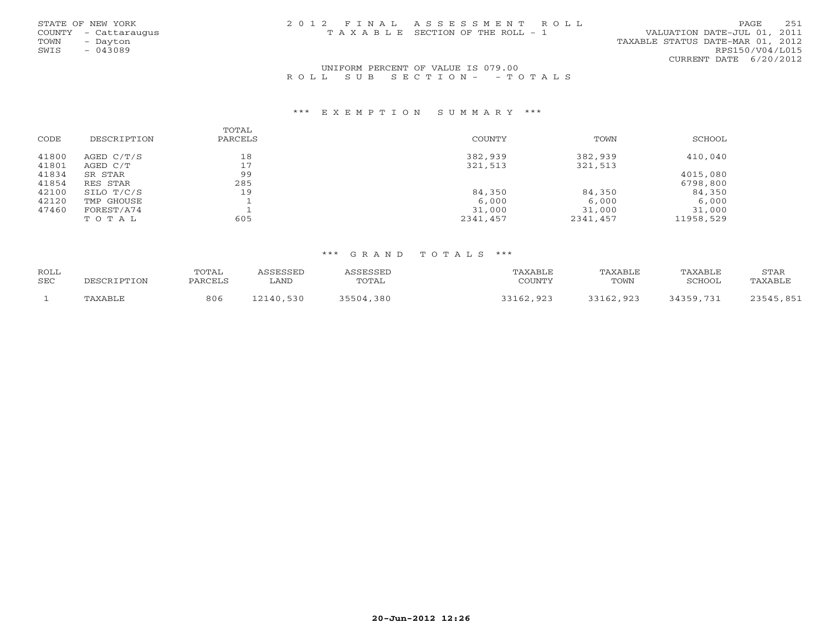|      | STATE OF NEW YORK    | 2012 FINAL ASSESSMENT ROLL            |                                  | PAGE                   | 251 |
|------|----------------------|---------------------------------------|----------------------------------|------------------------|-----|
|      | COUNTY - Cattaraugus | T A X A B L E SECTION OF THE ROLL - 1 | VALUATION DATE-JUL 01, 2011      |                        |     |
| TOWN | - Davton             |                                       | TAXABLE STATUS DATE-MAR 01, 2012 |                        |     |
| SWIS | $-043089$            |                                       |                                  | RPS150/V04/L015        |     |
|      |                      |                                       |                                  | CURRENT DATE 6/20/2012 |     |

### UNIFORM PERCENT OF VALUE IS 079.00R O L L S U B S E C T I O N - - T O T A L S

#### \*\*\* E X E M P T I O N S U M M A R Y \*\*\*

|       |             | TOTAL   |          |          |           |
|-------|-------------|---------|----------|----------|-----------|
| CODE  | DESCRIPTION | PARCELS | COUNTY   | TOWN     | SCHOOL    |
| 41800 | AGED C/T/S  | 18      | 382,939  | 382,939  | 410,040   |
| 41801 | AGED C/T    | 17      | 321,513  | 321,513  |           |
| 41834 | SR STAR     | 99      |          |          | 4015,080  |
| 41854 | RES STAR    | 285     |          |          | 6798,800  |
| 42100 | SILO T/C/S  | 19      | 84,350   | 84,350   | 84,350    |
| 42120 | TMP GHOUSE  |         | 6,000    | 6,000    | 6,000     |
| 47460 | FOREST/A74  |         | 31,000   | 31,000   | 31,000    |
|       | TOTAL       | 605     | 2341,457 | 2341,457 | 11958,529 |

### \*\*\* G R A N D T O T A L S \*\*\*

| ROLL |             | TOTAL   | ASSESSED  | ASSESSED  | TAXABLE   | TAXABLE   | TAXABLE   | STAR      |
|------|-------------|---------|-----------|-----------|-----------|-----------|-----------|-----------|
| SEC  | DESCRIPTION | PARCELS | LAND      | TOTAL     | COUNTY    | TOWN      | SCHOOL    | TAXABLE   |
|      |             |         |           |           |           |           |           |           |
|      | TAXABLE     | 806     | 12140,530 | 35504,380 | 33162,923 | 33162,923 | 34359,731 | 23545,851 |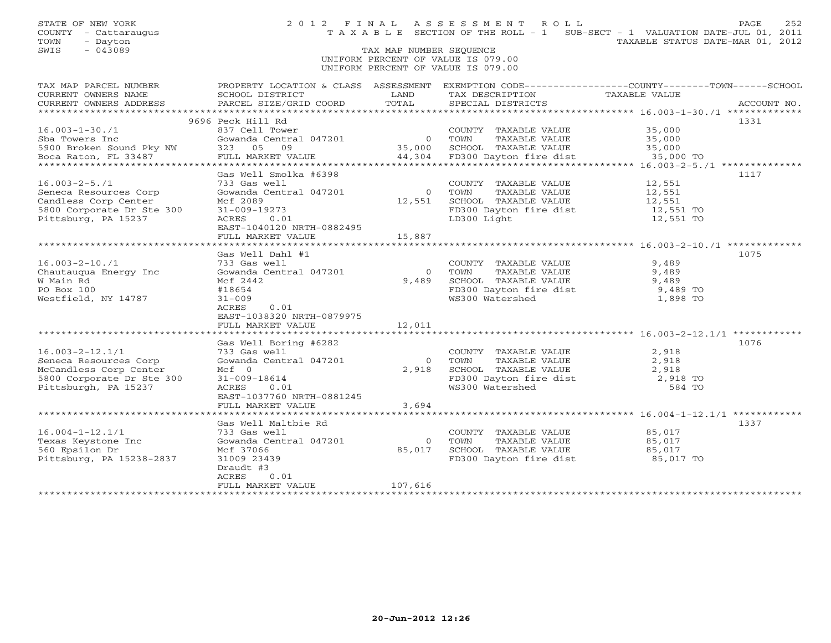SWIS - 043089 TAX MAP NUMBER SEQUENCE UNIFORM PERCENT OF VALUE IS 079.00UNIFORM PERCENT OF VALUE IS 079.00

| TAX MAP PARCEL NUMBER<br>CURRENT OWNERS NAME | SCHOOL DISTRICT           | LAND           | TAX DESCRIPTION                                  | PROPERTY LOCATION & CLASS ASSESSMENT EXEMPTION CODE---------------COUNTY-------TOWN-----SCHOOL<br>TAXABLE VALUE |
|----------------------------------------------|---------------------------|----------------|--------------------------------------------------|-----------------------------------------------------------------------------------------------------------------|
| CURRENT OWNERS ADDRESS                       | PARCEL SIZE/GRID COORD    | TOTAL          | SPECIAL DISTRICTS                                | ACCOUNT NO.                                                                                                     |
|                                              |                           |                |                                                  |                                                                                                                 |
|                                              | 9696 Peck Hill Rd         |                |                                                  | 1331                                                                                                            |
| $16.003 - 1 - 30.71$                         | 837 Cell Tower            |                | COUNTY TAXABLE VALUE                             | 35,000                                                                                                          |
| Sba Towers Inc                               | Gowanda Central 047201    | $\overline{0}$ | TOWN<br>TAXABLE VALUE                            | 35,000                                                                                                          |
| 5900 Broken Sound Pky NW                     | 323 05 09                 | 35,000         | SCHOOL TAXABLE VALUE                             | 35,000                                                                                                          |
| Boca Raton, FL 33487                         | FULL MARKET VALUE         | 44,304         | FD300 Dayton fire dist                           | 35,000 TO                                                                                                       |
|                                              |                           |                |                                                  |                                                                                                                 |
|                                              | Gas Well Smolka #6398     |                |                                                  | 1117                                                                                                            |
| $16.003 - 2 - 5.71$                          | 733 Gas well              |                | COUNTY TAXABLE VALUE                             | 12,551                                                                                                          |
| Seneca Resources Corp                        | Gowanda Central 047201    | $\circ$        | TOWN<br>TAXABLE VALUE                            | 12,551                                                                                                          |
| Candless Corp Center                         | Mcf 2089                  | 12,551         | SCHOOL TAXABLE VALUE                             | 12,551                                                                                                          |
| 5800 Corporate Dr Ste 300                    | 31-009-19273              |                | FD300 Dayton fire dist 12,551 TO                 |                                                                                                                 |
| Pittsburg, PA 15237                          | ACRES<br>0.01             |                | LD300 Light                                      | 12,551 TO                                                                                                       |
|                                              | EAST-1040120 NRTH-0882495 |                |                                                  |                                                                                                                 |
|                                              | FULL MARKET VALUE         | 15,887         |                                                  |                                                                                                                 |
|                                              |                           |                |                                                  |                                                                                                                 |
|                                              | Gas Well Dahl #1          |                |                                                  | 1075                                                                                                            |
| $16.003 - 2 - 10.71$                         | 733 Gas well              |                | COUNTY TAXABLE VALUE                             | 9,489                                                                                                           |
| Chautauqua Energy Inc                        | Gowanda Central 047201    | $\Omega$       | TAXABLE VALUE<br>TOWN                            | 9,489                                                                                                           |
| W Main Rd                                    | Mcf 2442                  | 9,489          | SCHOOL TAXABLE VALUE                             | 9,489                                                                                                           |
| PO Box 100                                   | #18654                    |                | FD300 Dayton fire dist<br>FD300 Dayton fire dist | 9,489 TO                                                                                                        |
| Westfield, NY 14787                          | $31 - 009$                |                | WS300 Watershed                                  | 1,898 TO                                                                                                        |
|                                              | 0.01<br>ACRES             |                |                                                  |                                                                                                                 |
|                                              | EAST-1038320 NRTH-0879975 |                |                                                  |                                                                                                                 |
|                                              | FULL MARKET VALUE         | 12,011         |                                                  |                                                                                                                 |
|                                              |                           |                |                                                  |                                                                                                                 |
|                                              | Gas Well Boring #6282     |                |                                                  | 1076                                                                                                            |
| $16.003 - 2 - 12.1/1$                        | 733 Gas well              |                | COUNTY TAXABLE VALUE                             | 2,918                                                                                                           |
| Seneca Resources Corp                        | Gowanda Central 047201    | $\Omega$       | TOWN<br>TAXABLE VALUE                            | 2,918                                                                                                           |
| McCandless Corp Center                       | $Mcf = 0$                 | 2,918          | SCHOOL TAXABLE VALUE                             | 2,918                                                                                                           |
| 5800 Corporate Dr Ste 300                    | 31-009-18614              |                | FD300 Dayton fire dist<br>W3300 Watershed        | 2,918 TO                                                                                                        |
| Pittsburgh, PA 15237                         | ACRES<br>0.01             |                | WS300 Watershed                                  | 584 TO                                                                                                          |
|                                              | EAST-1037760 NRTH-0881245 |                |                                                  |                                                                                                                 |
|                                              | FULL MARKET VALUE         | 3,694          |                                                  |                                                                                                                 |
|                                              |                           |                |                                                  |                                                                                                                 |
|                                              | Gas Well Maltbie Rd       |                |                                                  | 1337                                                                                                            |
| $16.004 - 1 - 12.1/1$                        | 733 Gas well              |                | COUNTY TAXABLE VALUE                             | 85,017                                                                                                          |
| Texas Keystone Inc                           | Gowanda Central 047201    | $\circ$        | TAXABLE VALUE<br>TOWN                            | 85,017                                                                                                          |
| 560 Epsilon Dr                               | Mcf 37066                 | 85,017         | SCHOOL TAXABLE VALUE                             | 85,017                                                                                                          |
| Pittsburg, PA 15238-2837                     | 31009 23439               |                | FD300 Dayton fire dist 85,017 TO                 |                                                                                                                 |
|                                              | Draudt #3                 |                |                                                  |                                                                                                                 |
|                                              | ACRES<br>0.01             |                |                                                  |                                                                                                                 |
|                                              | FULL MARKET VALUE         | 107,616        |                                                  |                                                                                                                 |
|                                              |                           |                |                                                  |                                                                                                                 |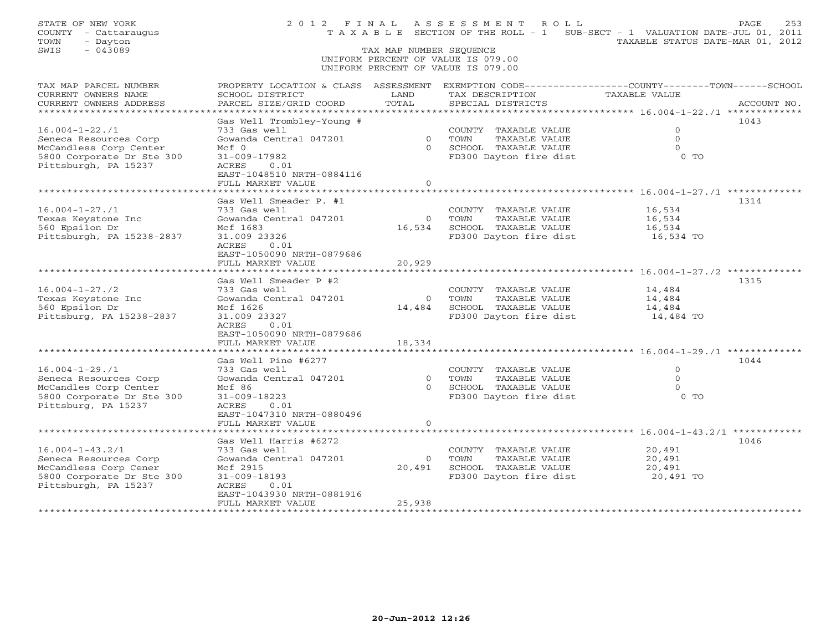| STATE OF NEW YORK<br>COUNTY - Cattaraugus<br>TOWN<br>- Dayton<br>$-043089$<br>SWIS                                           |                                                                                                                                                                   | TAX MAP NUMBER SEQUENCE            | 2012 FINAL ASSESSMENT ROLL<br>T A X A B L E SECTION OF THE ROLL - 1 SUB-SECT - 1 VALUATION DATE-JUL 01, 2011<br>UNIFORM PERCENT OF VALUE IS 079.00 | TAXABLE STATUS DATE-MAR 01, 2012           | PAGE<br>253 |
|------------------------------------------------------------------------------------------------------------------------------|-------------------------------------------------------------------------------------------------------------------------------------------------------------------|------------------------------------|----------------------------------------------------------------------------------------------------------------------------------------------------|--------------------------------------------|-------------|
|                                                                                                                              |                                                                                                                                                                   |                                    | UNIFORM PERCENT OF VALUE IS 079.00                                                                                                                 |                                            |             |
| TAX MAP PARCEL NUMBER<br>CURRENT OWNERS NAME<br>CURRENT OWNERS ADDRESS                                                       | PROPERTY LOCATION & CLASS ASSESSMENT EXEMPTION CODE----------------COUNTY-------TOWN-----SCHOOL<br>SCHOOL DISTRICT<br>PARCEL SIZE/GRID COORD                      | LAND<br>TOTAL                      | TAX DESCRIPTION<br>SPECIAL DISTRICTS                                                                                                               | TAXABLE VALUE                              | ACCOUNT NO. |
| $16.004 - 1 - 22.71$<br>Seneca Resources Corp<br>McCandless Corp Center<br>5800 Corporate Dr Ste 300<br>Pittsburgh, PA 15237 | Gas Well Trombley-Young #<br>733 Gas well<br>Gowanda Central 047201<br>$Mcf$ 0<br>31-009-17982<br>ACRES<br>0.01<br>EAST-1048510 NRTH-0884116<br>FULL MARKET VALUE | $\Omega$<br>$\circ$                | COUNTY TAXABLE VALUE<br>0 TOWN<br>TAXABLE VALUE<br>SCHOOL TAXABLE VALUE<br>FD300 Dayton fire dist                                                  | $\Omega$<br>$\Omega$<br>$\Omega$<br>$0$ TO | 1043        |
|                                                                                                                              | Gas Well Smeader P. #1                                                                                                                                            |                                    |                                                                                                                                                    |                                            | 1314        |
| $16.004 - 1 - 27.71$<br>Texas Keystone Inc<br>560 Epsilon Dr<br>Pittsburgh, PA 15238-2837                                    | 733 Gas well<br>Gowanda Central 047201<br>Mcf 1683<br>31,009 23326<br>ACRES<br>0.01<br>EAST-1050090 NRTH-0879686                                                  | $\overline{0}$<br>16,534           | COUNTY TAXABLE VALUE<br>TOWN<br>TAXABLE VALUE<br>SCHOOL TAXABLE VALUE<br>FD300 Dayton fire dist                                                    | 16,534<br>16,534<br>16,534<br>16,534 TO    |             |
|                                                                                                                              | FULL MARKET VALUE<br>* * * * * * * * * * * * * * * * * * * *                                                                                                      | 20,929                             |                                                                                                                                                    |                                            |             |
| $16.004 - 1 - 27.72$<br>Texas Keystone Inc<br>560 Epsilon Dr<br>Pittsburg, PA 15238-2837                                     | Gas Well Smeader P #2<br>733 Gas well<br>Gowanda Central 047201<br>Mcf 1626<br>31.009 23327<br>0.01<br>ACRES<br>EAST-1050090 NRTH-0879686<br>FULL MARKET VALUE    | $\overline{0}$<br>14,484<br>18,334 | COUNTY TAXABLE VALUE<br>TOWN<br>TAXABLE VALUE<br>SCHOOL TAXABLE VALUE<br>FD300 Dayton fire dist                                                    | 14,484<br>14,484<br>14,484<br>14,484 TO    | 1315        |
|                                                                                                                              | Gas Well Pine #6277                                                                                                                                               |                                    |                                                                                                                                                    |                                            | 1044        |
| $16.004 - 1 - 29.71$<br>Seneca Resources Corp<br>McCandles Corp Center<br>5800 Corporate Dr Ste 300<br>Pittsburg, PA 15237   | 733 Gas well<br>Gowanda Central 047201<br>Mcf 86<br>$31 - 009 - 18223$<br>ACRES<br>0.01<br>EAST-1047310 NRTH-0880496<br>FULL MARKET VALUE                         | $\Omega$<br>$\Omega$<br>$\circ$    | COUNTY TAXABLE VALUE<br>TOWN<br>TAXABLE VALUE<br>SCHOOL TAXABLE VALUE<br>FD300 Dayton fire dist                                                    | $\circ$<br>$\Omega$<br>$\Omega$<br>$0$ TO  |             |
|                                                                                                                              |                                                                                                                                                                   |                                    |                                                                                                                                                    | ************* 16.004-1-43.2/1 *********    |             |
| $16.004 - 1 - 43.2/1$<br>Seneca Resources Corp<br>McCandless Corp Cener<br>5800 Corporate Dr Ste 300<br>Pittsburgh, PA 15237 | Gas Well Harris #6272<br>733 Gas well<br>Gowanda Central 047201<br>Mcf 2915<br>$31 - 009 - 18193$<br>ACRES<br>0.01<br>EAST-1043930 NRTH-0881916                   | $\overline{O}$<br>20,491           | COUNTY TAXABLE VALUE<br>TOWN<br>TAXABLE VALUE<br>SCHOOL TAXABLE VALUE<br>FD300 Dayton fire dist                                                    | 20,491<br>20,491<br>20,491<br>20,491 TO    | 1046        |
|                                                                                                                              | FULL MARKET VALUE<br>*******************                                                                                                                          | 25,938<br>***********              |                                                                                                                                                    |                                            |             |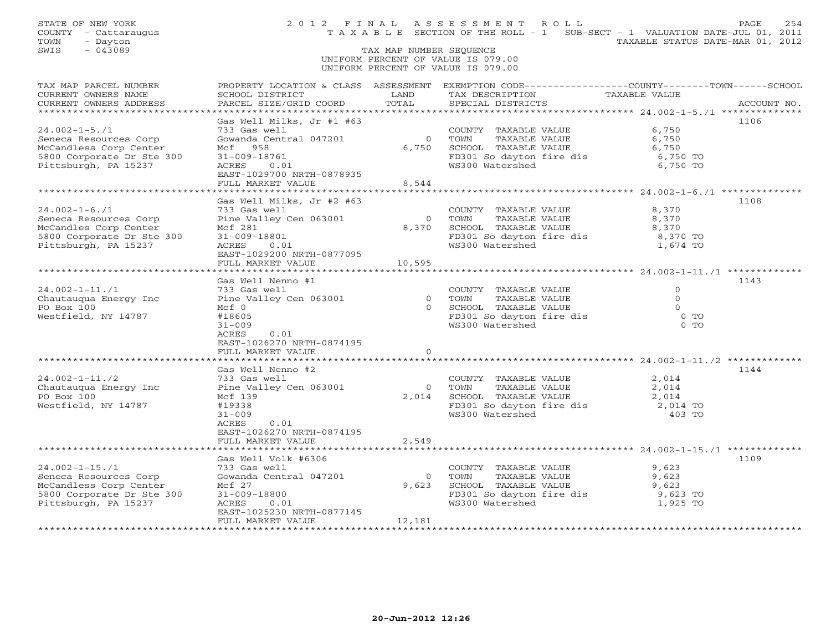| STATE OF NEW YORK<br>COUNTY - Cattaraugus<br>- Dayton<br>TOWN<br>$-043089$<br>SWIS                                          |                                                                                                                                              | TAX MAP NUMBER SEQUENCE | 2012 FINAL ASSESSMENT ROLL<br>T A X A B L E SECTION OF THE ROLL - 1 SUB-SECT - 1 VALUATION DATE-JUL 01, 2011                                          | TAXABLE STATUS DATE-MAR 01, 2012                | PAGE<br>254 |
|-----------------------------------------------------------------------------------------------------------------------------|----------------------------------------------------------------------------------------------------------------------------------------------|-------------------------|-------------------------------------------------------------------------------------------------------------------------------------------------------|-------------------------------------------------|-------------|
|                                                                                                                             |                                                                                                                                              |                         | UNIFORM PERCENT OF VALUE IS 079.00<br>UNIFORM PERCENT OF VALUE IS 079.00                                                                              |                                                 |             |
| TAX MAP PARCEL NUMBER<br>CURRENT OWNERS NAME<br>CURRENT OWNERS ADDRESS                                                      | SCHOOL DISTRICT<br>PARCEL SIZE/GRID COORD                                                                                                    | LAND<br>TOTAL           | PROPERTY LOCATION & CLASS ASSESSMENT EXEMPTION CODE---------------COUNTY-------TOWN------SCHOOL<br>TAX DESCRIPTION TAXABLE VALUE<br>SPECIAL DISTRICTS |                                                 | ACCOUNT NO. |
|                                                                                                                             | Gas Well Milks, Jr #1 #63                                                                                                                    |                         |                                                                                                                                                       |                                                 | 1106        |
| $24.002 - 1 - 5.71$<br>Seneca Resources Corp<br>McCandless Corp Center<br>5800 Corporate Dr Ste 300<br>Pittsburgh, PA 15237 | 733 Gas well<br>Gowanda Central 047201<br>Mcf 958<br>31-009-18761<br>ACRES<br>0.01                                                           | 6,750                   | COUNTT<br>COUNTY TAXABLE VALUE<br>TAXABLE VALUE<br>SCHOOL TAXABLE VALUE<br>FD301 So dayton fire dis 6,750 TO<br>WS300 Watershed                       | 6,750<br>6,750<br>6,750<br>6,750 TO             |             |
|                                                                                                                             | EAST-1029700 NRTH-0878935                                                                                                                    |                         |                                                                                                                                                       |                                                 |             |
| ******************************                                                                                              | FULL MARKET VALUE                                                                                                                            | 8,544                   |                                                                                                                                                       |                                                 |             |
| $24.002 - 1 - 6.71$<br>Seneca Resources Corp<br>McCandles Corp Center<br>5800 Corporate Dr Ste 300<br>Pittsburgh, PA 15237  | Gas Well Milks, Jr #2 #63<br>733 Gas well<br>Pine Valley Cen 063001<br>Mcf 281<br>31-009-18801<br>ACRES<br>0.01<br>EAST-1029200 NRTH-0877095 | $\overline{0}$<br>8,370 | COUNTY TAXABLE VALUE<br>TOWN      TAXABLE VALUE<br>SCHOOL   TAXABLE VALUE<br>FD301 So dayton fire dis<br>WS300 Watershed                              | 8,370<br>8,370<br>8,370<br>8,370 TO<br>1,674 TO | 1108        |
|                                                                                                                             | FULL MARKET VALUE                                                                                                                            | 10,595                  |                                                                                                                                                       |                                                 |             |
|                                                                                                                             |                                                                                                                                              |                         |                                                                                                                                                       |                                                 |             |
|                                                                                                                             | Gas Well Nenno #1                                                                                                                            |                         |                                                                                                                                                       |                                                 | 1143        |
| $24.002 - 1 - 11.71$                                                                                                        | 733 Gas well                                                                                                                                 |                         | COUNTY TAXABLE VALUE                                                                                                                                  | $\Omega$                                        |             |
| Chautauqua Energy Inc<br>PO Box 100                                                                                         | Pine Valley Cen 063001<br>Mcf 0                                                                                                              |                         | $0$ TOWN<br>0 TOWN TAXABLE VALUE<br>0 SCHOOL TAXABLE VALUE<br>FD301 So dayton fire dis                                                                | $\Omega$<br>$\Omega$                            |             |
| Westfield, NY 14787                                                                                                         | #18605                                                                                                                                       |                         |                                                                                                                                                       | $0$ TO                                          |             |
|                                                                                                                             | $31 - 009$<br>ACRES<br>0.01                                                                                                                  |                         | WS300 Watershed                                                                                                                                       | $0$ TO                                          |             |
|                                                                                                                             | EAST-1026270 NRTH-0874195                                                                                                                    |                         |                                                                                                                                                       |                                                 |             |
|                                                                                                                             | FULL MARKET VALUE                                                                                                                            | $\Omega$                |                                                                                                                                                       |                                                 |             |
|                                                                                                                             | Gas Well Nenno #2                                                                                                                            |                         |                                                                                                                                                       |                                                 | 1144        |
| $24.002 - 1 - 11.72$                                                                                                        | 733 Gas well                                                                                                                                 |                         | COUNTY TAXABLE VALUE                                                                                                                                  | 2,014                                           |             |
| Chautauqua Energy Inc                                                                                                       | Pine Valley Cen 063001                                                                                                                       | $\overline{0}$          | TAXABLE VALUE<br>TOWN                                                                                                                                 | 2,014                                           |             |
| PO Box 100                                                                                                                  | Mcf 139                                                                                                                                      | 2,014                   |                                                                                                                                                       |                                                 |             |
| Westfield, NY 14787                                                                                                         | #19338<br>$31 - 009$<br>ACRES<br>0.01                                                                                                        |                         | TOWN TAXABLE VALUE<br>SCHOOL TAXABLE VALUE 2,014<br>FD301 So dayton fire dis 2,014 TO<br>WS300 Watershed                                              | 403 TO                                          |             |
|                                                                                                                             | EAST-1026270 NRTH-0874195                                                                                                                    |                         |                                                                                                                                                       |                                                 |             |
|                                                                                                                             | FULL MARKET VALUE                                                                                                                            | 2,549                   |                                                                                                                                                       |                                                 |             |
|                                                                                                                             |                                                                                                                                              |                         |                                                                                                                                                       |                                                 |             |
|                                                                                                                             | Gas Well Volk #6306                                                                                                                          |                         |                                                                                                                                                       |                                                 | 1109        |
| $24.002 - 1 - 15.71$<br>Seneca Resources Corp                                                                               | 733 Gas well<br>Gowanda Central 047201                                                                                                       | $\overline{0}$          | COUNTY TAXABLE VALUE<br>TOWN<br>TAXABLE VALUE                                                                                                         | 9,623<br>9,623                                  |             |
| McCandless Corp Center                                                                                                      | Mcf 27                                                                                                                                       | 9,623                   | SCHOOL TAXABLE VALUE                                                                                                                                  | 9,623                                           |             |
| 5800 Corporate Dr Ste 300                                                                                                   | 31-009-18800                                                                                                                                 |                         | FD301 So dayton fire dis 9,623 TO                                                                                                                     |                                                 |             |
| Pittsburgh, PA 15237                                                                                                        | ACRES<br>0.01                                                                                                                                |                         | WS300 Watershed                                                                                                                                       | 1,925 TO                                        |             |
|                                                                                                                             | EAST-1025230 NRTH-0877145                                                                                                                    |                         |                                                                                                                                                       |                                                 |             |
|                                                                                                                             | FULL MARKET VALUE<br>*********************                                                                                                   | 12,181                  |                                                                                                                                                       |                                                 |             |
|                                                                                                                             |                                                                                                                                              |                         |                                                                                                                                                       |                                                 |             |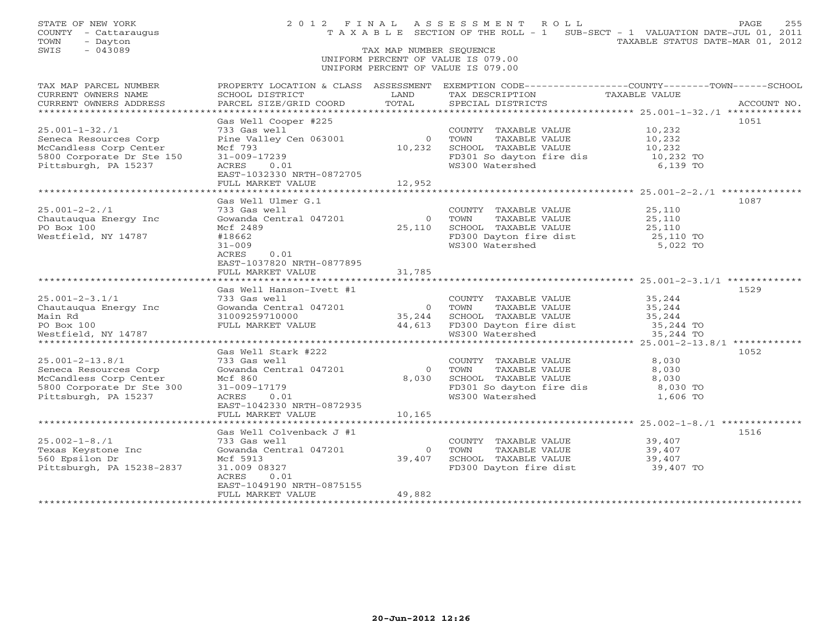| STATE OF NEW YORK<br>COUNTY - Cattaraugus<br>- Dayton<br>TOWN<br>$-043089$<br>SWIS                                                                                                                                                   |                                                       |                         | 2012 FINAL ASSESSMENT ROLL<br>TAXABLE SECTION OF THE ROLL - 1 SUB-SECT - 1 VALUATION DATE-JUL 01, 2011                                                                                                                                 | TAXABLE STATUS DATE-MAR 01, 2012 | PAGE<br>255 |
|--------------------------------------------------------------------------------------------------------------------------------------------------------------------------------------------------------------------------------------|-------------------------------------------------------|-------------------------|----------------------------------------------------------------------------------------------------------------------------------------------------------------------------------------------------------------------------------------|----------------------------------|-------------|
|                                                                                                                                                                                                                                      |                                                       | TAX MAP NUMBER SEQUENCE | UNIFORM PERCENT OF VALUE IS 079.00                                                                                                                                                                                                     |                                  |             |
|                                                                                                                                                                                                                                      |                                                       |                         | UNIFORM PERCENT OF VALUE IS 079.00                                                                                                                                                                                                     |                                  |             |
| TAX MAP PARCEL NUMBER<br>CURRENT OWNERS NAME<br>CURRENT OWNERS ADDRESS                                                                                                                                                               | SCHOOL DISTRICT LAND<br>PARCEL SIZE/GRID COORD TOTAL  |                         | PROPERTY LOCATION & CLASS ASSESSMENT EXEMPTION CODE----------------COUNTY-------TOWN------SCHOOL<br>TAX DESCRIPTION TAXABLE VALUE<br>SPECIAL DISTRICTS                                                                                 |                                  | ACCOUNT NO. |
|                                                                                                                                                                                                                                      |                                                       |                         |                                                                                                                                                                                                                                        |                                  |             |
|                                                                                                                                                                                                                                      | Gas Well Cooper #225                                  |                         |                                                                                                                                                                                                                                        |                                  | 1051        |
| $25.001 - 1 - 32.71$<br>Seneca Resources Corp                                                                                                                                                                                        | 733 Gas well                                          |                         | COUNTY TAXABLE VALUE 10,232<br>TOWN TAXABLE VALUE 10,232<br>SCHOOL TAXABLE VALUE 10,232<br>Pine Valley Cen 063001 0 10000 10000 10000 10000 10000 10000 10000 10000 10000 10000 10000 10000 100<br>Mcf 793 10,232 SCHOOL TAXABLE VALUE |                                  |             |
| McCandless Corp Center                                                                                                                                                                                                               |                                                       |                         |                                                                                                                                                                                                                                        |                                  |             |
| 5800 Corporate Dr Ste 150                                                                                                                                                                                                            | 31-009-17239<br>ACRES 0.01                            |                         | FD301 So dayton fire dis 10,232 TO                                                                                                                                                                                                     |                                  |             |
| Pittsburgh, PA 15237                                                                                                                                                                                                                 | EAST-1032330 NRTH-0872705                             |                         | WS300 Watershed                                                                                                                                                                                                                        | 6,139 TO                         |             |
|                                                                                                                                                                                                                                      | FULL MARKET VALUE                                     | 12,952                  |                                                                                                                                                                                                                                        |                                  |             |
|                                                                                                                                                                                                                                      | Gas Well Ulmer G.1                                    |                         |                                                                                                                                                                                                                                        |                                  | 1087        |
| $25.001 - 2 - 2.71$                                                                                                                                                                                                                  | 733 Gas well                                          |                         |                                                                                                                                                                                                                                        |                                  |             |
| Chautauqua Energy Inc                                                                                                                                                                                                                | Gowanda Central 047201                                |                         | COUNTY TAXABLE VALUE<br>TOWN TAXABLE VALUE 25,110                                                                                                                                                                                      |                                  |             |
| PO Box 100                                                                                                                                                                                                                           | Mcf 2489                                              |                         |                                                                                                                                                                                                                                        | 25,110<br>25,110 TO              |             |
| Westfield, NY 14787                                                                                                                                                                                                                  | #18662                                                |                         | 0 TOWN TAXABLE VALUE<br>25,110 SCHOOL TAXABLE VALUE<br>FD300 Dayton fire dist<br>WS300 Watershed                                                                                                                                       |                                  |             |
|                                                                                                                                                                                                                                      | $31 - 009$<br>ACRES<br>0.01                           |                         |                                                                                                                                                                                                                                        | 5,022 TO                         |             |
|                                                                                                                                                                                                                                      | EAST-1037820 NRTH-0877895                             |                         |                                                                                                                                                                                                                                        |                                  |             |
|                                                                                                                                                                                                                                      | FULL MARKET VALUE 31,785                              |                         |                                                                                                                                                                                                                                        |                                  |             |
|                                                                                                                                                                                                                                      |                                                       |                         |                                                                                                                                                                                                                                        |                                  |             |
|                                                                                                                                                                                                                                      | Gas Well Hanson-Ivett #1                              |                         |                                                                                                                                                                                                                                        |                                  | 1529        |
|                                                                                                                                                                                                                                      |                                                       |                         |                                                                                                                                                                                                                                        |                                  |             |
|                                                                                                                                                                                                                                      |                                                       |                         |                                                                                                                                                                                                                                        |                                  |             |
|                                                                                                                                                                                                                                      |                                                       |                         |                                                                                                                                                                                                                                        |                                  |             |
| 25.001-2-3.1/1 733 Gas well<br>Chautauqua Energy Inc Gowanda Central 047201 017201 733 Gas well<br>Main Rd 31009259710000 70000 35,244 SCHOOL TAXABLE VALUE 35,244<br>PO Box 100 FULL MARKET VALUE 44,613 FD300 Dayton fire dist 35, |                                                       |                         |                                                                                                                                                                                                                                        |                                  |             |
|                                                                                                                                                                                                                                      |                                                       |                         |                                                                                                                                                                                                                                        |                                  |             |
|                                                                                                                                                                                                                                      | Gas Well Stark #222                                   |                         |                                                                                                                                                                                                                                        |                                  | 1052        |
| $25.001 - 2 - 13.8/1$                                                                                                                                                                                                                | 733 Gas well                                          |                         | COUNTY TAXABLE VALUE                                                                                                                                                                                                                   | 8,030                            |             |
| Seneca Resources Corp<br>Seneca Resources Corp<br>McCandless Corp Center<br>5800 Corporate Dr Ste 300                                                                                                                                | Gowanda Central 047201                                |                         |                                                                                                                                                                                                                                        |                                  |             |
|                                                                                                                                                                                                                                      | Mcf 860<br>31-009-17179                               |                         |                                                                                                                                                                                                                                        |                                  |             |
| Pittsburgh, PA 15237                                                                                                                                                                                                                 | ACRES<br>0.01                                         |                         | COUNTI TAARDED VIEWS<br>0 TOWN TAXABLE VALUE 8,030<br>8,030 SCHOOL TAXABLE VALUE 8,030<br>FD301 So dayton fire dis 8,030 TO<br>1.606 TO<br>WS300 Watershed                                                                             | 1,606 TO                         |             |
|                                                                                                                                                                                                                                      |                                                       |                         |                                                                                                                                                                                                                                        |                                  |             |
|                                                                                                                                                                                                                                      | EAST-1042330 NRTH-0872935<br>FULL MARKET VALUE 10,165 |                         |                                                                                                                                                                                                                                        |                                  |             |
|                                                                                                                                                                                                                                      |                                                       |                         |                                                                                                                                                                                                                                        |                                  |             |
|                                                                                                                                                                                                                                      | Gas Well Colvenback J #1                              |                         |                                                                                                                                                                                                                                        |                                  | 1516        |
| $25.002 - 1 - 8.71$                                                                                                                                                                                                                  | 733 Gas well                                          |                         | COUNTY TAXABLE VALUE                                                                                                                                                                                                                   | 39,407                           |             |
|                                                                                                                                                                                                                                      | Gowanda Central 047201                                |                         |                                                                                                                                                                                                                                        |                                  |             |
| 25.002-1-0.71<br>Texas Keystone Inc (Sowanda 6<br>560 Epsilon Dr (Mcf 5913<br>Pittsburgh, PA 15238-2837 (31.009 08                                                                                                                   | 31.009 08327                                          |                         | 39,407<br>39,407 SCHOOL TAXABLE VALUE 39,407<br>39,407 SCHOOL TAXABLE VALUE 39,407<br>FD300 Dayton fire dist 39,407 TO                                                                                                                 |                                  |             |
|                                                                                                                                                                                                                                      | ACRES<br>0.01                                         |                         |                                                                                                                                                                                                                                        |                                  |             |
|                                                                                                                                                                                                                                      | EAST-1049190 NRTH-0875155                             |                         |                                                                                                                                                                                                                                        |                                  |             |
|                                                                                                                                                                                                                                      | FULL MARKET VALUE                                     | 49,882                  |                                                                                                                                                                                                                                        |                                  |             |
|                                                                                                                                                                                                                                      | ************************                              |                         |                                                                                                                                                                                                                                        |                                  |             |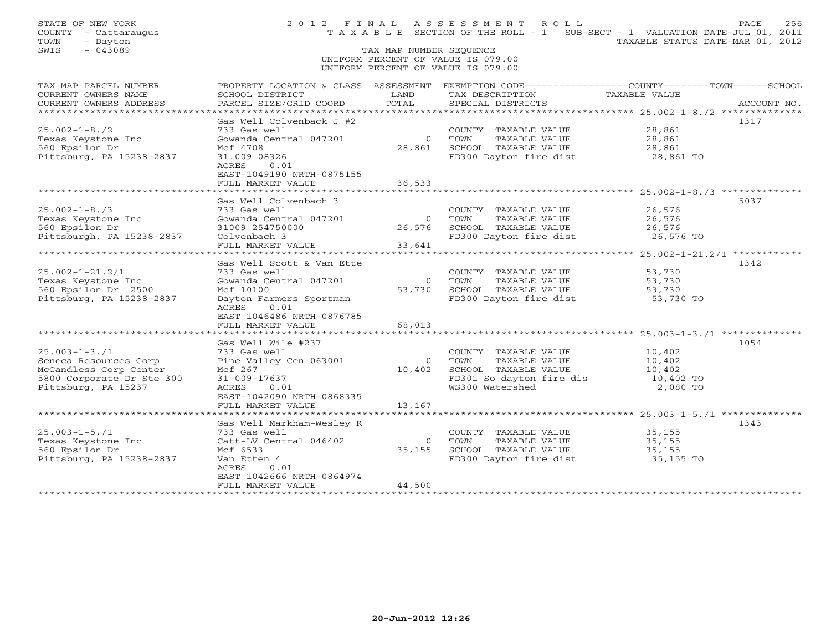| STATE OF NEW YORK<br>COUNTY<br>- Cattaraugus<br>- Dayton<br>TOWN       |                                                                                                                                               |                              | 2012 FINAL ASSESSMENT ROLL<br>T A X A B L E SECTION OF THE ROLL - 1 SUB-SECT - 1 VALUATION DATE-JUL 01, 2011 | TAXABLE STATUS DATE-MAR 01, 2012                                    | 256<br>PAGE |  |
|------------------------------------------------------------------------|-----------------------------------------------------------------------------------------------------------------------------------------------|------------------------------|--------------------------------------------------------------------------------------------------------------|---------------------------------------------------------------------|-------------|--|
| SWIS<br>$-043089$                                                      | TAX MAP NUMBER SEQUENCE                                                                                                                       |                              |                                                                                                              |                                                                     |             |  |
|                                                                        |                                                                                                                                               |                              | UNIFORM PERCENT OF VALUE IS 079.00                                                                           |                                                                     |             |  |
|                                                                        |                                                                                                                                               |                              | UNIFORM PERCENT OF VALUE IS 079.00                                                                           |                                                                     |             |  |
| TAX MAP PARCEL NUMBER<br>CURRENT OWNERS NAME<br>CURRENT OWNERS ADDRESS | PROPERTY LOCATION & CLASS ASSESSMENT EXEMPTION CODE----------------COUNTY-------TOWN------SCHOOL<br>SCHOOL DISTRICT<br>PARCEL SIZE/GRID COORD | LAND<br>TOTAL                | TAX DESCRIPTION<br>SPECIAL DISTRICTS                                                                         | TAXABLE VALUE                                                       | ACCOUNT NO. |  |
| *********************                                                  | ***********************                                                                                                                       |                              |                                                                                                              |                                                                     |             |  |
| $25.002 - 1 - 8.72$<br>Texas Keystone Inc                              | Gas Well Colvenback J #2<br>733 Gas well<br>Gowanda Central 047201                                                                            | $\Omega$                     | COUNTY TAXABLE VALUE<br>TOWN<br>TAXABLE VALUE                                                                | 28,861<br>28,861                                                    | 1317        |  |
| 560 Epsilon Dr<br>Pittsburg, PA 15238-2837                             | Mcf 4708<br>31.009 08326<br>ACRES<br>0.01                                                                                                     | 28,861                       | SCHOOL TAXABLE VALUE<br>FD300 Dayton fire dist                                                               | 28,861<br>28,861 TO                                                 |             |  |
|                                                                        | EAST-1049190 NRTH-0875155                                                                                                                     |                              |                                                                                                              |                                                                     |             |  |
|                                                                        | FULL MARKET VALUE<br>.                                                                                                                        | 36,533                       |                                                                                                              | ********************** 25.002-1-8./3 ********                       |             |  |
| $25.002 - 1 - 8.73$                                                    | Gas Well Colvenbach 3<br>733 Gas well                                                                                                         |                              | COUNTY<br>TAXABLE VALUE                                                                                      | 26,576                                                              | 5037        |  |
| Texas Keystone Inc                                                     | Gowanda Central 047201                                                                                                                        | $\Omega$                     | TOWN<br>TAXABLE VALUE                                                                                        | 26,576                                                              |             |  |
| 560 Epsilon Dr                                                         | 31009 254750000                                                                                                                               | 26,576                       | SCHOOL TAXABLE VALUE                                                                                         | 26,576                                                              |             |  |
| Pittsburgh, PA 15238-2837                                              | Colvenbach 3                                                                                                                                  |                              | FD300 Dayton fire dist                                                                                       | 26,576 TO                                                           |             |  |
|                                                                        | FULL MARKET VALUE<br>.                                                                                                                        | 33,641                       |                                                                                                              |                                                                     |             |  |
|                                                                        | Gas Well Scott & Van Ette                                                                                                                     |                              |                                                                                                              | ******** 25.002-1-21.2/1 **********                                 | 1342        |  |
| $25.002 - 1 - 21.2/1$                                                  | 733 Gas well                                                                                                                                  |                              | COUNTY TAXABLE VALUE                                                                                         | 53,730                                                              |             |  |
| Texas Keystone Inc                                                     | Gowanda Central 047201                                                                                                                        | $\mathbf{O}$                 | TOWN<br>TAXABLE VALUE                                                                                        | 53,730                                                              |             |  |
| 560 Epsilon Dr 2500                                                    | Mcf 10100                                                                                                                                     | 53,730                       | SCHOOL TAXABLE VALUE                                                                                         | 53,730                                                              |             |  |
| Pittsburg, PA 15238-2837                                               | Dayton Farmers Sportman<br>ACRES<br>0.01<br>EAST-1046486 NRTH-0876785                                                                         |                              | FD300 Dayton fire dist                                                                                       | 53,730 TO                                                           |             |  |
|                                                                        | FULL MARKET VALUE                                                                                                                             | 68,013                       |                                                                                                              |                                                                     |             |  |
|                                                                        |                                                                                                                                               |                              |                                                                                                              |                                                                     |             |  |
| $25.003 - 1 - 3.71$                                                    | Gas Well Wile #237<br>733 Gas well                                                                                                            |                              | COUNTY TAXABLE VALUE                                                                                         |                                                                     | 1054        |  |
| Seneca Resources Corp                                                  | Pine Valley Cen 063001                                                                                                                        | $\Omega$                     | TOWN<br>TAXABLE VALUE                                                                                        | 10,402<br>10,402                                                    |             |  |
| McCandless Corp Center                                                 | Mcf 267                                                                                                                                       | 10,402                       | SCHOOL TAXABLE VALUE                                                                                         | 10,402                                                              |             |  |
| 5800 Corporate Dr Ste 300                                              | $31 - 009 - 17637$                                                                                                                            |                              | FD301 So dayton fire dis                                                                                     | 10,402 TO                                                           |             |  |
| Pittsburg, PA 15237                                                    | ACRES<br>0.01                                                                                                                                 |                              | WS300 Watershed                                                                                              | 2,080 TO                                                            |             |  |
|                                                                        | EAST-1042090 NRTH-0868335                                                                                                                     |                              |                                                                                                              |                                                                     |             |  |
| *******************                                                    | FULL MARKET VALUE<br>**********************                                                                                                   | 13,167<br>****************** |                                                                                                              | ************************************* 25.003-1-5./1 *************** |             |  |
|                                                                        | Gas Well Markham-Wesley R                                                                                                                     |                              |                                                                                                              |                                                                     | 1343        |  |
| $25.003 - 1 - 5.71$                                                    | 733 Gas well                                                                                                                                  |                              | COUNTY TAXABLE VALUE                                                                                         | 35,155                                                              |             |  |
| Texas Keystone Inc                                                     | Catt-LV Central 046402                                                                                                                        | $\circ$                      | TOWN<br>TAXABLE VALUE                                                                                        | 35,155                                                              |             |  |
| 560 Epsilon Dr                                                         | Mcf 6533                                                                                                                                      | 35, 155                      | SCHOOL TAXABLE VALUE                                                                                         | 35,155                                                              |             |  |
| Pittsburg, PA 15238-2837                                               | Van Etten 4                                                                                                                                   |                              | FD300 Dayton fire dist                                                                                       | 35,155 TO                                                           |             |  |
|                                                                        | ACRES<br>0.01<br>EAST-1042666 NRTH-0864974                                                                                                    |                              |                                                                                                              |                                                                     |             |  |
|                                                                        | FULL MARKET VALUE                                                                                                                             | 44,500                       |                                                                                                              |                                                                     |             |  |
|                                                                        |                                                                                                                                               |                              |                                                                                                              |                                                                     |             |  |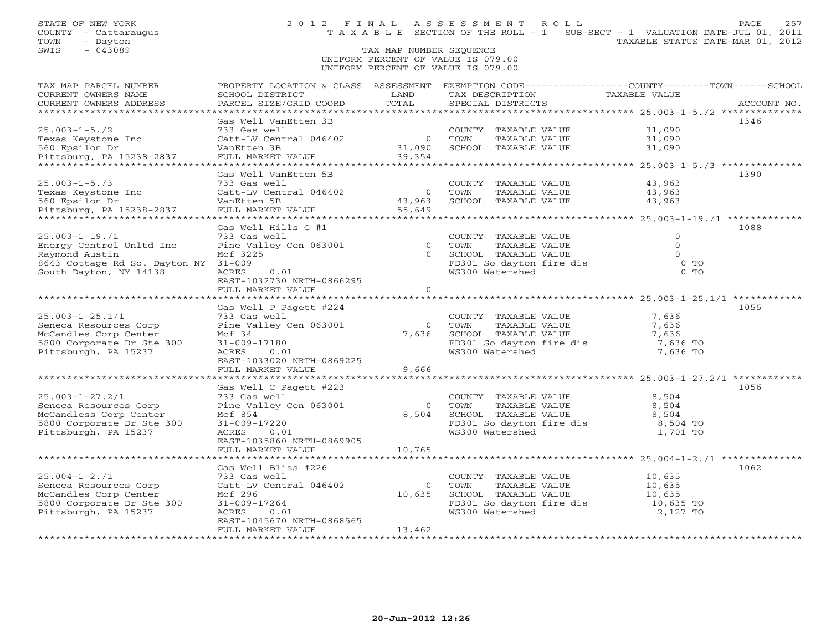# TAX MAP NUMBER SEQUENCE UNIFORM PERCENT OF VALUE IS 079.00UNIFORM PERCENT OF VALUE IS 079.00

| TAX MAP PARCEL NUMBER                | PROPERTY LOCATION & CLASS ASSESSMENT           |                        |                                                   | EXEMPTION CODE----------------COUNTY-------TOWN------SCHOOL |
|--------------------------------------|------------------------------------------------|------------------------|---------------------------------------------------|-------------------------------------------------------------|
| CURRENT OWNERS NAME                  | SCHOOL DISTRICT                                | LAND                   | TAX DESCRIPTION                                   | TAXABLE VALUE                                               |
| CURRENT OWNERS ADDRESS               | PARCEL SIZE/GRID COORD                         | TOTAL                  | SPECIAL DISTRICTS                                 | ACCOUNT NO.                                                 |
|                                      |                                                |                        |                                                   |                                                             |
|                                      | Gas Well VanEtten 3B                           |                        |                                                   | 1346                                                        |
| $25.003 - 1 - 5.72$                  | 733 Gas well                                   |                        | COUNTY TAXABLE VALUE                              | 31,090                                                      |
| Texas Keystone Inc                   | Catt-LV Central 046402                         | $\overline{0}$         | TAXABLE VALUE<br>TOWN                             | 31,090                                                      |
| 560 Epsilon Dr                       | VanEtten 3B                                    | 31,090                 | SCHOOL TAXABLE VALUE                              | 31,090                                                      |
| Pittsburg, PA 15238-2837             | FULL MARKET VALUE                              | 39,354                 |                                                   |                                                             |
|                                      |                                                |                        |                                                   |                                                             |
|                                      | Gas Well VanEtten 5B                           |                        |                                                   | 1390                                                        |
| $25.003 - 1 - 5.73$                  | 733 Gas well<br>Catt-LV Central 046402         |                        | COUNTY TAXABLE VALUE                              | 43,963                                                      |
| Texas Keystone Inc<br>560 Epsilon Dr | VanEtten 5B                                    | 0 TOWN<br>43,963 SCHOO | TAXABLE VALUE<br>SCHOOL TAXABLE VALUE             | $43,963$<br>$43.963$<br>43,963                              |
| Pittsburg, PA 15238-2837             | FULL MARKET VALUE 55,649                       |                        |                                                   |                                                             |
|                                      |                                                |                        |                                                   |                                                             |
|                                      | Gas Well Hills G #1                            |                        |                                                   | 1088                                                        |
| $25.003 - 1 - 19.11$                 | 733 Gas well                                   |                        | COUNTY TAXABLE VALUE                              | $\circ$                                                     |
| Energy Control Unltd Inc             | Pine Valley Cen 063001                         | $\overline{0}$         | TOWN<br>TAXABLE VALUE                             | $\Omega$                                                    |
| Raymond Austin                       | Mcf 3225                                       | $\Omega$               | SCHOOL TAXABLE VALUE                              | $\Omega$                                                    |
| 8643 Cottage Rd So. Dayton NY 31-009 |                                                |                        | FD301 So dayton fire dis                          | $0$ TO                                                      |
| South Dayton, NY 14138               | ACRES<br>0.01                                  |                        | WS300 Watershed                                   | $0$ TO                                                      |
|                                      | EAST-1032730 NRTH-0866295                      |                        |                                                   |                                                             |
|                                      | FULL MARKET VALUE                              | $\Omega$               |                                                   |                                                             |
|                                      |                                                |                        |                                                   |                                                             |
|                                      | Gas Well P Pagett #224                         |                        |                                                   | 1055                                                        |
| $25.003 - 1 - 25.1/1$                | 733 Gas well                                   |                        | COUNTY TAXABLE VALUE                              | 7,636                                                       |
| Seneca Resources Corp                | Pine Valley Cen 063001                         |                        | 0 TOWN<br>TAXABLE VALUE                           | 7,636                                                       |
| McCandles Corp Center                | Mcf 34                                         | 7,636                  | SCHOOL TAXABLE VALUE                              | 7,636                                                       |
| 5800 Corporate Dr Ste 300            | 31-009-17180                                   |                        | FD301 So dayton fire dis                          | 7,636 TO                                                    |
| Pittsburgh, PA 15237                 | ACRES<br>0.01                                  |                        | WS300 Watershed                                   | 7,636 TO                                                    |
|                                      | EAST-1033020 NRTH-0869225                      |                        |                                                   |                                                             |
|                                      | FULL MARKET VALUE                              | 9,666                  |                                                   |                                                             |
|                                      |                                                |                        |                                                   |                                                             |
|                                      | Gas Well C Pagett #223                         |                        |                                                   | 1056                                                        |
| $25.003 - 1 - 27.2/1$                | 733 Gas well                                   |                        | COUNTY TAXABLE VALUE                              | 8,504                                                       |
| Seneca Resources Corp                | Pine Valley Cen 063001                         | $\circ$                | TOWN      TAXABLE VALUE<br>SCHOOL   TAXABLE VALUE | 8,504                                                       |
| McCandless Corp Center               | Mcf 854                                        | 8,504                  |                                                   | 8,504                                                       |
| 5800 Corporate Dr Ste 300            | 31-009-17220                                   |                        | FD301 So dayton fire dis                          | 8,504 TO                                                    |
| Pittsburgh, PA 15237                 | ACRES<br>0.01                                  |                        | WS300 Watershed                                   | 1,701 TO                                                    |
|                                      | EAST-1035860 NRTH-0869905<br>FULL MARKET VALUE | 10,765                 |                                                   |                                                             |
|                                      |                                                |                        |                                                   |                                                             |
|                                      | Gas Well Bliss #226                            |                        |                                                   | 1062                                                        |
| $25.004 - 1 - 2.71$                  | 733 Gas well                                   |                        | COUNTY TAXABLE VALUE                              | 10,635                                                      |
| Seneca Resources Corp                | Catt-LV Central 046402                         | $\Omega$               | TOWN<br>TAXABLE VALUE                             | 10,635                                                      |
| McCandles Corp Center                | Mcf 296                                        | 10,635                 | SCHOOL TAXABLE VALUE                              | 10,635                                                      |
| 5800 Corporate Dr Ste 300            | 31-009-17264                                   |                        | FD301 So dayton fire dis                          | 10,635 TO                                                   |
| Pittsburgh, PA 15237                 | ACRES<br>0.01                                  |                        | WS300 Watershed                                   | 2,127 TO                                                    |
|                                      | EAST-1045670 NRTH-0868565                      |                        |                                                   |                                                             |
|                                      | FULL MARKET VALUE                              | 13,462                 |                                                   |                                                             |
|                                      |                                                |                        |                                                   |                                                             |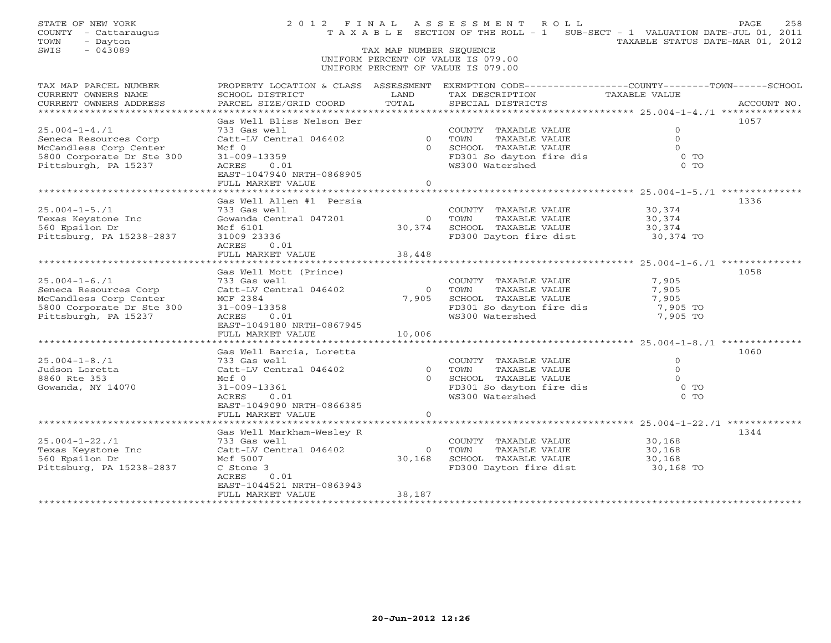| STATE OF NEW YORK<br>COUNTY - Cattaraugus<br>TOWN<br>- Dayton<br>SWIS<br>$-043089$                                          |                                                                                                                                            | TAX MAP NUMBER SEQUENCE   | 2012 FINAL ASSESSMENT ROLL<br>T A X A B L E SECTION OF THE ROLL - 1 SUB-SECT - 1 VALUATION DATE-JUL 01, 2011                            | TAXABLE STATUS DATE-MAR 01, 2012                     | 258<br>PAGE |
|-----------------------------------------------------------------------------------------------------------------------------|--------------------------------------------------------------------------------------------------------------------------------------------|---------------------------|-----------------------------------------------------------------------------------------------------------------------------------------|------------------------------------------------------|-------------|
|                                                                                                                             |                                                                                                                                            |                           | UNIFORM PERCENT OF VALUE IS 079.00<br>UNIFORM PERCENT OF VALUE IS 079.00                                                                |                                                      |             |
| TAX MAP PARCEL NUMBER<br>CURRENT OWNERS NAME<br>CURRENT OWNERS ADDRESS                                                      | SCHOOL DISTRICT<br>PARCEL SIZE/GRID COORD                                                                                                  | LAND<br>TOTAL             | PROPERTY LOCATION & CLASS ASSESSMENT EXEMPTION CODE---------------COUNTY-------TOWN------SCHOOL<br>TAX DESCRIPTION<br>SPECIAL DISTRICTS | TAXABLE VALUE                                        | ACCOUNT NO. |
| *****************<br>$25.004 - 1 - 4.71$                                                                                    | Gas Well Bliss Nelson Ber<br>733 Gas well                                                                                                  |                           | COUNTY TAXABLE VALUE                                                                                                                    | $\Omega$                                             | 1057        |
| Seneca Resources Corp<br>McCandless Corp Center<br>5800 Corporate Dr Ste 300<br>Pittsburgh, PA 15237                        | Catt-LV Central 046402<br>Mcf 0<br>$31 - 009 - 13359$<br>ACRES<br>0.01<br>EAST-1047940 NRTH-0868905                                        |                           | 0 TOWN<br>TAXABLE VALUE<br>0 SCHOOL TAXABLE VALUE<br>FD301 So dayton fire dis<br>WS300 Watershed                                        | $\Omega$<br>$\Omega$<br>$0$ TO<br>$0$ TO             |             |
|                                                                                                                             | FULL MARKET VALUE                                                                                                                          | $\Omega$                  |                                                                                                                                         |                                                      |             |
| $25.004 - 1 - 5.71$<br>Texas Keystone Inc<br>560 Epsilon Dr<br>Pittsburg, PA 15238-2837                                     | Gas Well Allen #1 Persia<br>733 Gas well<br>Gowanda Central 047201<br>Mcf 6101<br>31009 23336<br>ACRES<br>0.01                             | $\circ$                   | COUNTY TAXABLE VALUE<br>TOWN<br>TAXABLE VALUE<br>30,374 SCHOOL TAXABLE VALUE<br>FD300 Dayton fire dist                                  | 30,374<br>30,374<br>30,374<br>30,374 TO              | 1336        |
|                                                                                                                             | FULL MARKET VALUE                                                                                                                          | 38,448                    |                                                                                                                                         |                                                      |             |
|                                                                                                                             | Gas Well Mott (Prince)                                                                                                                     |                           |                                                                                                                                         | ********************** 25.004-1-6./1 *********       | 1058        |
| $25.004 - 1 - 6.71$<br>Seneca Resources Corp<br>McCandless Corp Center<br>5800 Corporate Dr Ste 300<br>Pittsburgh, PA 15237 | 733 Gas well<br>Catt-LV Central 046402<br>MCF 2384<br>$31 - 009 - 13358$<br>ACRES<br>0.01<br>EAST-1049180 NRTH-0867945                     | $\bigcirc$<br>7,905       | COUNTY TAXABLE VALUE<br>TOWN<br>TAXABLE VALUE<br>SCHOOL TAXABLE VALUE<br>FD301 So dayton fire dis<br>WS300 Watershed                    | 7,905<br>7,905<br>7,905<br>7,905 TO<br>7,905 TO      |             |
|                                                                                                                             | FULL MARKET VALUE                                                                                                                          | 10,006                    |                                                                                                                                         |                                                      |             |
|                                                                                                                             | Gas Well Barcia, Loretta                                                                                                                   |                           |                                                                                                                                         |                                                      | 1060        |
| $25.004 - 1 - 8.71$<br>Judson Loretta<br>8860 Rte 353<br>Gowanda, NY 14070                                                  | 733 Gas well<br>Catt-LV Central 046402<br>$Mcf$ 0<br>31-009-13361<br>ACRES<br>0.01<br>EAST-1049090 NRTH-0866385<br>FULL MARKET VALUE       | $\overline{0}$<br>$\circ$ | COUNTY TAXABLE VALUE<br>TOWN<br>TAXABLE VALUE<br>0 SCHOOL TAXABLE VALUE<br>FD301 So dayton fire dis<br>WS300 Watershed                  | $\Omega$<br>$\Omega$<br>$\Omega$<br>$0$ TO<br>$0$ TO |             |
|                                                                                                                             |                                                                                                                                            |                           |                                                                                                                                         | ********************* 25.004-1-22./1 *               |             |
| $25.004 - 1 - 22.71$<br>Texas Keystone Inc<br>560 Epsilon Dr<br>Pittsburg, PA 15238-2837                                    | Gas Well Markham-Wesley R<br>733 Gas well<br>Catt-LV Central 046402<br>Mcf 5007<br>C Stone 3<br>ACRES<br>0.01<br>EAST-1044521 NRTH-0863943 | $\circ$<br>30,168         | COUNTY TAXABLE VALUE<br>TOWN<br>TAXABLE VALUE<br>SCHOOL TAXABLE VALUE<br>FD300 Dayton fire dist                                         | 30,168<br>30,168<br>30,168<br>30,168 TO              | 1344        |
|                                                                                                                             | FULL MARKET VALUE<br>* * * * * * * * * * * * * * * * * * * *                                                                               | 38,187                    |                                                                                                                                         |                                                      |             |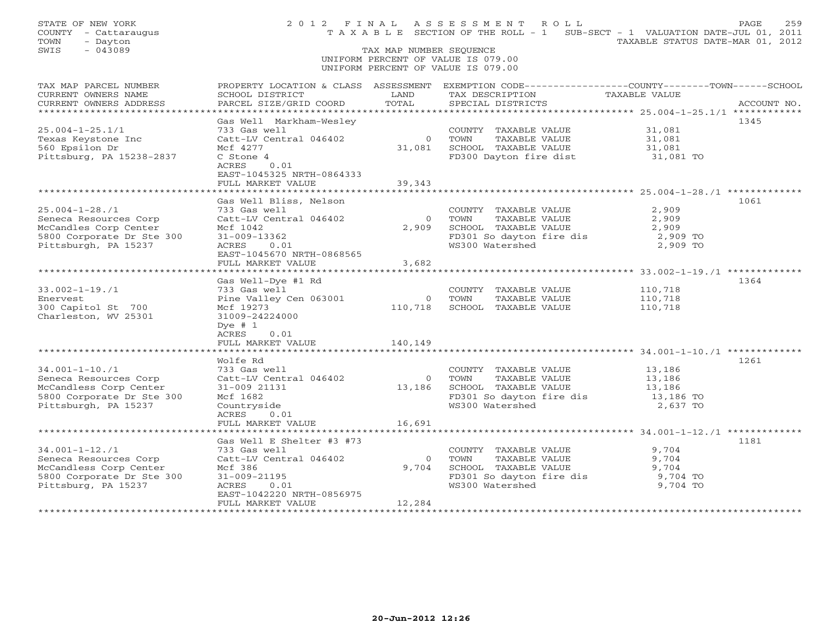| STATE OF NEW YORK<br>COUNTY - Cattaraugus<br>TOWN<br>- Dayton<br>SWIS<br>$-043089$                                           |                                                                                                                                                               | TAX MAP NUMBER SEQUENCE            | 2012 FINAL ASSESSMENT ROLL<br>T A X A B L E SECTION OF THE ROLL - 1 SUB-SECT - 1 VALUATION DATE-JUL 01, 2011<br>UNIFORM PERCENT OF VALUE IS 079.00<br>UNIFORM PERCENT OF VALUE IS 079.00 | TAXABLE STATUS DATE-MAR 01, 2012                    | 259<br>PAGE |
|------------------------------------------------------------------------------------------------------------------------------|---------------------------------------------------------------------------------------------------------------------------------------------------------------|------------------------------------|------------------------------------------------------------------------------------------------------------------------------------------------------------------------------------------|-----------------------------------------------------|-------------|
| TAX MAP PARCEL NUMBER<br>CURRENT OWNERS NAME<br>CURRENT OWNERS ADDRESS                                                       | SCHOOL DISTRICT<br>PARCEL SIZE/GRID COORD                                                                                                                     | LAND<br>TOTAL                      | PROPERTY LOCATION & CLASS ASSESSMENT EXEMPTION CODE----------------COUNTY-------TOWN------SCHOOL<br>TAX DESCRIPTION<br>SPECIAL DISTRICTS                                                 | TAXABLE VALUE                                       | ACCOUNT NO. |
|                                                                                                                              |                                                                                                                                                               |                                    |                                                                                                                                                                                          |                                                     |             |
| $25.004 - 1 - 25.1/1$<br>Texas Keystone Inc<br>560 Epsilon Dr<br>Pittsburg, PA 15238-2837                                    | Gas Well Markham-Wesley<br>733 Gas well<br>Catt-LV Central 046402<br>Mcf 4277<br>C Stone 4<br>ACRES<br>0.01<br>EAST-1045325 NRTH-0864333<br>FULL MARKET VALUE | $\overline{0}$<br>31,081<br>39,343 | COUNTY TAXABLE VALUE<br>TOWN<br>TAXABLE VALUE<br>SCHOOL TAXABLE VALUE<br>FD300 Dayton fire dist                                                                                          | 31,081<br>31,081<br>31,081<br>31,081 TO             | 1345        |
|                                                                                                                              |                                                                                                                                                               |                                    |                                                                                                                                                                                          |                                                     |             |
| $25.004 - 1 - 28.71$<br>Seneca Resources Corp<br>McCandles Corp Center<br>5800 Corporate Dr Ste 300<br>Pittsburgh, PA 15237  | Gas Well Bliss, Nelson<br>733 Gas well<br>Catt-LV Central 046402<br>Mcf 1042<br>$31 - 009 - 13362$<br>ACRES<br>0.01<br>EAST-1045670 NRTH-0868565              | $\Omega$<br>2,909                  | COUNTY TAXABLE VALUE<br>TAXABLE VALUE<br>TOWN<br>SCHOOL TAXABLE VALUE<br>FD301 So dayton fire dis<br>WS300 Watershed                                                                     | 2,909<br>2,909<br>2,909<br>2,909 TO<br>2,909 TO     | 1061        |
|                                                                                                                              | FULL MARKET VALUE                                                                                                                                             | 3,682                              |                                                                                                                                                                                          |                                                     |             |
| $33.002 - 1 - 19.71$<br>Enervest<br>300 Capitol St 700<br>Charleston, WV 25301                                               | Gas Well-Dye #1 Rd<br>733 Gas well<br>Pine Valley Cen 063001<br>Mcf 19273<br>31009-24224000<br>Dye $#1$<br>ACRES<br>0.01                                      | $\overline{0}$<br>110,718          | COUNTY TAXABLE VALUE<br>TOWN<br>TAXABLE VALUE<br>SCHOOL TAXABLE VALUE                                                                                                                    | 110,718<br>110,718<br>110,718                       | 1364        |
|                                                                                                                              | FULL MARKET VALUE                                                                                                                                             | 140,149                            |                                                                                                                                                                                          |                                                     |             |
| $34.001 - 1 - 10.71$<br>Seneca Resources Corp<br>McCandless Corp Center<br>5800 Corporate Dr Ste 300<br>Pittsburgh, PA 15237 | Wolfe Rd<br>733 Gas well<br>Catt-LV Central 046402<br>31-009 21131<br>Mcf 1682<br>Countryside<br>ACRES<br>0.01                                                | $\overline{0}$<br>13,186           | COUNTY TAXABLE VALUE<br>TOWN<br>TAXABLE VALUE<br>SCHOOL TAXABLE VALUE<br>FD301 So dayton fire dis<br>WS300 Watershed                                                                     | 13,186<br>13,186<br>13,186<br>13,186 TO<br>2,637 TO | 1261        |
|                                                                                                                              | FULL MARKET VALUE                                                                                                                                             | 16,691                             |                                                                                                                                                                                          |                                                     |             |
| $34.001 - 1 - 12.71$<br>Seneca Resources Corp<br>McCandless Corp Center<br>5800 Corporate Dr Ste 300<br>Pittsburg, PA 15237  | Gas Well E Shelter #3 #73<br>733 Gas well<br>Catt-LV Central 046402<br>Mcf 386<br>$31 - 009 - 21195$<br>ACRES<br>0.01                                         | $\Omega$<br>9,704                  | COUNTY TAXABLE VALUE<br>TOWN<br>TAXABLE VALUE<br>SCHOOL TAXABLE VALUE<br>FD301 So dayton fire dis<br>WS300 Watershed                                                                     | 9,704<br>9,704<br>9,704<br>9,704 TO<br>9,704 TO     | 1181        |
|                                                                                                                              | EAST-1042220 NRTH-0856975<br>FULL MARKET VALUE                                                                                                                | 12,284                             |                                                                                                                                                                                          |                                                     |             |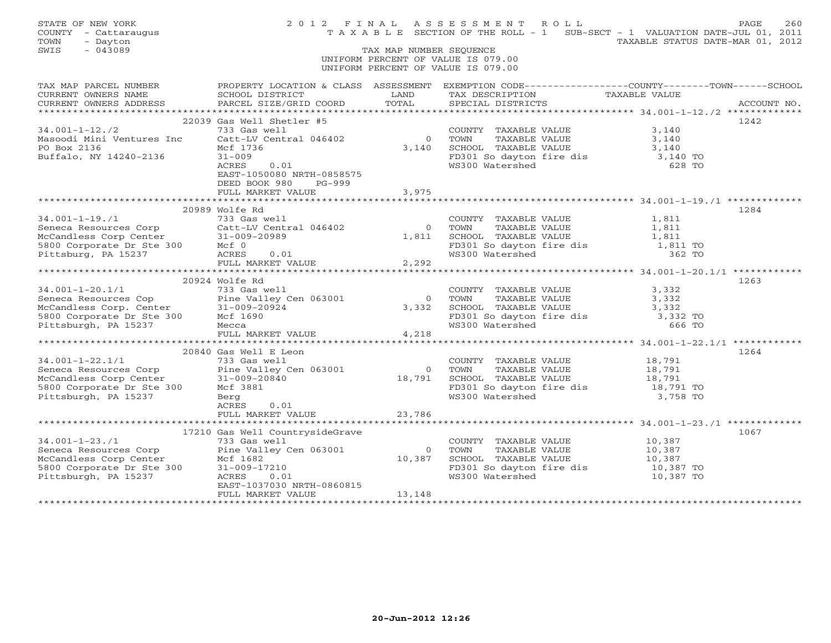| STATE OF NEW YORK<br>COUNTY - Cattaraugus<br>TOWN<br>- Dayton                                                                                                                                                                                       |                                                                                                                                                                                                                                               |                         | 2012 FINAL ASSESSMENT ROLL<br>TAXABLE SECTION OF THE ROLL - 1 SUB-SECT - 1 VALUATION DATE-JUL 01, 2011            | TAXABLE STATUS DATE-MAR 01, 2012                | PAGE<br>260 |
|-----------------------------------------------------------------------------------------------------------------------------------------------------------------------------------------------------------------------------------------------------|-----------------------------------------------------------------------------------------------------------------------------------------------------------------------------------------------------------------------------------------------|-------------------------|-------------------------------------------------------------------------------------------------------------------|-------------------------------------------------|-------------|
| $-043089$<br>SWIS                                                                                                                                                                                                                                   |                                                                                                                                                                                                                                               | TAX MAP NUMBER SEQUENCE |                                                                                                                   |                                                 |             |
|                                                                                                                                                                                                                                                     |                                                                                                                                                                                                                                               |                         | UNIFORM PERCENT OF VALUE IS 079.00                                                                                |                                                 |             |
|                                                                                                                                                                                                                                                     |                                                                                                                                                                                                                                               |                         | UNIFORM PERCENT OF VALUE IS 079.00                                                                                |                                                 |             |
| TAX MAP PARCEL NUMBER PROPERTY LOCATION & CLASS ASSESSMENT EXEMPTION CODE---------------COUNTY-------TOWN------SCHOOL                                                                                                                               |                                                                                                                                                                                                                                               |                         |                                                                                                                   |                                                 |             |
| CURRENT OWNERS NAME<br>CURRENT OWNERS ADDRESS                                                                                                                                                                                                       | <b>EXAMPLE EXAMPLE EXAMPLE EXAMPLE EXAMPLE EXAMPLE EXAMPLE EXAMPLE EXAMPLE EXAMPLE EXAMPLE EXAMPLE EXAMPLE EXAMPLE EXAMPLE EXAMPLE EXAMPLE EXAMPLE EXAMPLE EXAMPLE EXAMPLE EXAMPLE EXAMPLE E</b><br>SCHOOL DISTRICT<br>PARCEL SIZE/GRID COORD | TOTAL                   | TAX DESCRIPTION TAXABLE VALUE<br>SPECIAL DISTRICTS                                                                |                                                 | ACCOUNT NO. |
|                                                                                                                                                                                                                                                     |                                                                                                                                                                                                                                               |                         |                                                                                                                   |                                                 |             |
|                                                                                                                                                                                                                                                     | 22039 Gas Well Shetler #5                                                                                                                                                                                                                     |                         |                                                                                                                   |                                                 | 1242        |
| $34.001 - 1 - 12.72$                                                                                                                                                                                                                                | 733 Gas well                                                                                                                                                                                                                                  |                         | COUNTY TAXABLE VALUE                                                                                              | 3,140                                           |             |
|                                                                                                                                                                                                                                                     | Catt-LV Central 046402                                                                                                                                                                                                                        |                         |                                                                                                                   | 3,140                                           |             |
| Masoodi Mini Ventures Inc<br>PO Box 2136<br>PO Box 2136                                                                                                                                                                                             | Mcf 1736                                                                                                                                                                                                                                      |                         |                                                                                                                   | 3,140                                           |             |
| Buffalo, NY 14240-2136                                                                                                                                                                                                                              | $31 - 009$                                                                                                                                                                                                                                    |                         |                                                                                                                   | 3,140 TO                                        |             |
|                                                                                                                                                                                                                                                     | $\begin{array}{c}\n0.01 \\ \end{array}$<br>ACRES                                                                                                                                                                                              |                         | 0 TOWN<br>3,140 SCHOOL TAXABLE VALUE<br>3,140 SCHOOL TAXABLE VALUE<br>FD301 So dayton fire dis<br>WS300 Watershed | 628 TO                                          |             |
|                                                                                                                                                                                                                                                     | EAST-1050080 NRTH-0858575<br>DEED BOOK 980<br>PG-999                                                                                                                                                                                          |                         |                                                                                                                   |                                                 |             |
|                                                                                                                                                                                                                                                     | FULL MARKET VALUE                                                                                                                                                                                                                             | 3,975                   |                                                                                                                   |                                                 |             |
|                                                                                                                                                                                                                                                     |                                                                                                                                                                                                                                               |                         |                                                                                                                   |                                                 |             |
|                                                                                                                                                                                                                                                     | 20989 Wolfe Rd                                                                                                                                                                                                                                |                         |                                                                                                                   |                                                 | 1284        |
|                                                                                                                                                                                                                                                     |                                                                                                                                                                                                                                               |                         | COUNTY TAXABLE VALUE<br>TOWN     TAXABLE VALUE                                                                    | 1,811<br>1,811                                  |             |
|                                                                                                                                                                                                                                                     |                                                                                                                                                                                                                                               | $\overline{0}$          | TOWN                                                                                                              |                                                 |             |
|                                                                                                                                                                                                                                                     |                                                                                                                                                                                                                                               | 1,811                   |                                                                                                                   |                                                 |             |
|                                                                                                                                                                                                                                                     |                                                                                                                                                                                                                                               |                         |                                                                                                                   |                                                 |             |
|                                                                                                                                                                                                                                                     |                                                                                                                                                                                                                                               |                         | FD301 So dayton fire dis 1,811 TO<br>WS300 Watershed 362 TO 362 TO                                                |                                                 |             |
| 34.001-1-19./1<br>Seneca Resources Corp<br>McCandless Corp Center<br>5800 Corporate Dr Ste 300<br>Pittsburg, PA 15237<br>FULL MARKET VALUE<br>MCRES 0.01<br>FULL MARKET VALUE                                                                       |                                                                                                                                                                                                                                               | 2,292                   |                                                                                                                   |                                                 |             |
|                                                                                                                                                                                                                                                     |                                                                                                                                                                                                                                               |                         |                                                                                                                   | ******************** 34.001-1-20.1/1 ********** |             |
| 34.001-1-20.1/1<br>Seneca Resources Cop<br>McCandless Corp. Center<br>5800 Corporate Dr Ste 300<br>Pine Valley Cen 063001<br>McCandless Corp. Center<br>5800 Corporate Dr Ste 300<br>Pittsburgh, PA 15237<br>Mecca                                  | 20924 Wolfe Rd                                                                                                                                                                                                                                |                         |                                                                                                                   |                                                 | 1263        |
|                                                                                                                                                                                                                                                     |                                                                                                                                                                                                                                               |                         | COUNTY TAXABLE VALUE                                                                                              | 3,332                                           |             |
|                                                                                                                                                                                                                                                     |                                                                                                                                                                                                                                               | $\Omega$                | TAXABLE VALUE<br>TOWN                                                                                             | 3,332                                           |             |
|                                                                                                                                                                                                                                                     |                                                                                                                                                                                                                                               | 3,332                   | SCHOOL TAXABLE VALUE<br>FD301 So dayton fire dis<br>WS300 Watershed 666 TO                                        | 3,332                                           |             |
|                                                                                                                                                                                                                                                     |                                                                                                                                                                                                                                               |                         |                                                                                                                   |                                                 |             |
|                                                                                                                                                                                                                                                     |                                                                                                                                                                                                                                               |                         |                                                                                                                   |                                                 |             |
|                                                                                                                                                                                                                                                     | FULL MARKET VALUE                                                                                                                                                                                                                             | 4,218                   |                                                                                                                   |                                                 |             |
|                                                                                                                                                                                                                                                     | 20840 Gas Well E Leon                                                                                                                                                                                                                         |                         |                                                                                                                   |                                                 | 1264        |
| $34.001 - 1 - 22.1/1$                                                                                                                                                                                                                               | 733 Gas well                                                                                                                                                                                                                                  |                         | COUNTY TAXABLE VALUE                                                                                              | 18,791                                          |             |
|                                                                                                                                                                                                                                                     |                                                                                                                                                                                                                                               |                         |                                                                                                                   |                                                 |             |
|                                                                                                                                                                                                                                                     |                                                                                                                                                                                                                                               |                         | 0 TOWN TAXABLE VALUE<br>18,791 SCHOOL TAXABLE VALUE                                                               | 18,791<br>18,791                                |             |
|                                                                                                                                                                                                                                                     |                                                                                                                                                                                                                                               |                         |                                                                                                                   |                                                 |             |
|                                                                                                                                                                                                                                                     |                                                                                                                                                                                                                                               |                         | FD301 So dayton fire dis 18,791 TO<br>WS300 Watershed 3,758 TO                                                    |                                                 |             |
| 34.001-1-22.1/1<br>Seneca Resources Corp<br>McCandless Corp Center<br>5800 Corporate Dr Ste 300<br>Pittsburgh, PA 15237<br>Pittsburgh, PA 15237<br>Pittsburgh, PA 15237<br>Pittsburgh, PA 15237<br>Pittsburgh, PA 15237<br>Pittsburgh, PA 15237<br> | ACRES<br>0.01                                                                                                                                                                                                                                 |                         |                                                                                                                   |                                                 |             |
|                                                                                                                                                                                                                                                     | FULL MARKET VALUE 23,786                                                                                                                                                                                                                      |                         |                                                                                                                   |                                                 |             |
|                                                                                                                                                                                                                                                     |                                                                                                                                                                                                                                               |                         |                                                                                                                   |                                                 |             |
|                                                                                                                                                                                                                                                     | 17210 Gas Well CountrysideGrave                                                                                                                                                                                                               |                         |                                                                                                                   |                                                 | 1067        |
| $34.001 - 1 - 23.71$                                                                                                                                                                                                                                | 733 Gas well                                                                                                                                                                                                                                  |                         |                                                                                                                   |                                                 |             |
| Seneca Resources Corp<br>Seneca Resources Corp<br>McCandless Corp Center<br>5800 Corporate Dr Ste 300<br>Pittsburgh, PA 15237<br>RCRES 0.01                                                                                                         |                                                                                                                                                                                                                                               |                         | COUNTY TAXABLE VALUE 10,387<br>TOWN     TAXABLE VALUE 10,387<br>0 TOWN                                            |                                                 |             |
|                                                                                                                                                                                                                                                     |                                                                                                                                                                                                                                               | 10,387                  | SCHOOL TAXABLE VALUE                                                                                              | 10,387                                          |             |
|                                                                                                                                                                                                                                                     |                                                                                                                                                                                                                                               |                         | FD301 So dayton fire dis 10,387 TO                                                                                |                                                 |             |
|                                                                                                                                                                                                                                                     |                                                                                                                                                                                                                                               |                         | WS300 Watershed                                                                                                   | 10,387 TO                                       |             |
|                                                                                                                                                                                                                                                     | EAST-1037030 NRTH-0860815                                                                                                                                                                                                                     |                         |                                                                                                                   |                                                 |             |
|                                                                                                                                                                                                                                                     | FULL MARKET VALUE                                                                                                                                                                                                                             | 13,148                  |                                                                                                                   |                                                 |             |
|                                                                                                                                                                                                                                                     |                                                                                                                                                                                                                                               |                         |                                                                                                                   |                                                 |             |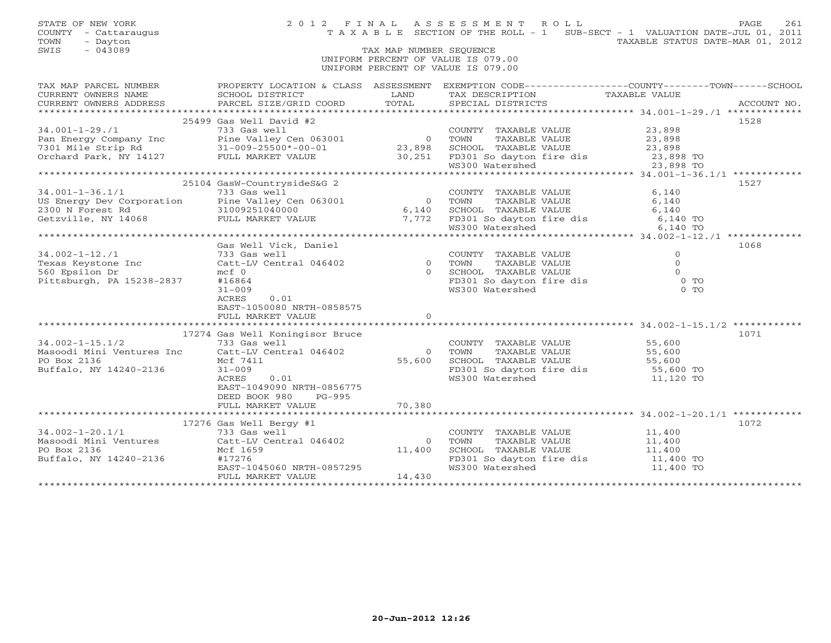STATE OF NEW YORK 2 0 1 2 F I N A L A S S E S S M E N T R O L L PAGE 261 COUNTY - Cattaraugus T A X A B L E SECTION OF THE ROLL - 1 SUB-SECT - 1 VALUATION DATE-JUL 01, 2011 TOWN - Dayton TAXABLE STATUS DATE-MAR 01, 2012 SWIS - 043089 TAX MAP NUMBER SEQUENCE UNIFORM PERCENT OF VALUE IS 079.00 UNIFORM PERCENT OF VALUE IS 079.00 TAX MAP PARCEL NUMBER PROPERTY LOCATION & CLASS ASSESSMENT EXEMPTION CODE-----------------COUNTY-------TOWN------SCHOOL<br>CURRENT OWNERS NAME SCHOOL DISTRICT LAND TAX DESC \*\*\*\*\*\*\*\*\*\*\*\*\*\*\*\*\*\*\*\*\*\*\*\*\*\*\*\*\*\*\*\*\*\*\*\*\*\*\*\*\*\*\*\*\*\*\*\*\*\*\*\*\*\*\*\*\*\*\*\*\*\*\*\*\*\*\*\*\*\*\*\*\*\*\*\*\*\*\*\*\*\*\*\*\*\*\*\*\*\*\*\*\*\*\*\*\*\*\*\*\*\*\* 34.001-1-29./1 \*\*\*\*\*\*\*\*\*\*\*\*\* 25499 Gas Well David #2 152834.001-1-29./1 733 Gas well COUNTY TAXABLE VALUE 23,898 Pan Energy Company Inc Pine Valley Cen 063001 0 TOWN TAXABLE VALUE 23,898 7301 Mile Strip Rd 31-009-25500\*-00-01 23,898 SCHOOL TAXABLE VALUE 23,898 Orchard Park, NY 14127 FULL MARKET VALUE 30,251 FD301 So dayton fire dis 23,898 TO WS300 Watershed 23,898 TO \*\*\*\*\*\*\*\*\*\*\*\*\*\*\*\*\*\*\*\*\*\*\*\*\*\*\*\*\*\*\*\*\*\*\*\*\*\*\*\*\*\*\*\*\*\*\*\*\*\*\*\*\*\*\*\*\*\*\*\*\*\*\*\*\*\*\*\*\*\*\*\*\*\*\*\*\*\*\*\*\*\*\*\*\*\*\*\*\*\*\*\*\*\*\*\*\*\*\*\*\*\*\* 34.001-1-36.1/1 \*\*\*\*\*\*\*\*\*\*\*\* 25104 GasW-CountrysideS&G 2 1527 34.001-1-36.1/1 733 Gas well COUNTY TAXABLE VALUE 6,140 US Energy Dev Corporation Pine Valley Cen 063001 0 TOWN TAXABLE VALUE 6,140 2300 N Forest Rd 31009251040000 6,140 SCHOOL TAXABLE VALUE 6,140 Getzville, NY 14068 FULL MARKET VALUE 7,772 FD301 So dayton fire dis 6,140 TO WS300 Watershed 6,140 TO \*\*\*\*\*\*\*\*\*\*\*\*\*\*\*\*\*\*\*\*\*\*\*\*\*\*\*\*\*\*\*\*\*\*\*\*\*\*\*\*\*\*\*\*\*\*\*\*\*\*\*\*\*\*\*\*\*\*\*\*\*\*\*\*\*\*\*\*\*\*\*\*\*\*\*\*\*\*\*\*\*\*\*\*\*\*\*\*\*\*\*\*\*\*\*\*\*\*\*\*\*\*\* 34.002-1-12./1 \*\*\*\*\*\*\*\*\*\*\*\*\* Gas Well Vick, Daniel 1068 34.002-1-12./1 733 Gas well COUNTY TAXABLE VALUE 0 Texas Keystone Inc Catt-LV Central 046402 0 TOWN TAXABLE VALUE 0 560 Epsilon Dr mcf 0 0 SCHOOL TAXABLE VALUE 0 Pittsburgh, PA 15238-2837 #16864 FD301 So dayton fire dis 0 TO 31-009 WS300 Watershed 0 TO ACRES 0.01 EAST-1050080 NRTH-0858575 FULL MARKET VALUE 0 \*\*\*\*\*\*\*\*\*\*\*\*\*\*\*\*\*\*\*\*\*\*\*\*\*\*\*\*\*\*\*\*\*\*\*\*\*\*\*\*\*\*\*\*\*\*\*\*\*\*\*\*\*\*\*\*\*\*\*\*\*\*\*\*\*\*\*\*\*\*\*\*\*\*\*\*\*\*\*\*\*\*\*\*\*\*\*\*\*\*\*\*\*\*\*\*\*\*\*\*\*\*\* 34.002-1-15.1/2 \*\*\*\*\*\*\*\*\*\*\*\* 17274 Gas Well Koningisor Bruce 1071 34.002-1-15.1/2 733 Gas well COUNTY TAXABLE VALUE 55,600 Masoodi Mini Ventures Inc Catt-LV Central 046402 0 TOWN TAXABLE VALUE 55,600 PO Box 2136 Mcf 7411 55,600 SCHOOL TAXABLE VALUE 55,600 Buffalo, NY 14240-2136 31-009 FD301 So dayton fire dis 55,600 TO ACRES 0.01<br>EAST-1049090 NRTH-0856775 WS300 Watershed 11,120 TO<br>DEED BOOK 980 PG-995 70,380 \*\*\*\*\*\*\*\*\*\*\*\*\*\*\*\*\*\*\*\*\*\*\*\*\*\*\*\*\*\*\*\*\*\*\*\*\*\*\*\*\*\*\*\*\*\*\*\*\*\*\*\*\*\*\*\*\*\*\*\*\*\*\*\*\*\*\*\*\*\*\*\*\*\*\*\*\*\*\*\*\*\*\*\*\*\*\*\*\*\*\*\*\*\*\*\*\*\*\*\*\*\*\* 34.002-1-20.1/1 \*\*\*\*\*\*\*\*\*\*\*\* 17276 Gas Well Bergy #1 1072 34.002-1-20.1/1 733 Gas well COUNTY TAXABLE VALUE 11,400 Masoodi Mini Ventures Catt-LV Central 046402 0 TOWN TAXABLE VALUE 11,400 PO Box 2136 Mcf 1659 11,400 SCHOOL TAXABLE VALUE 11,400 Buffalo, NY 14240-2136 #17276 FD301 So dayton fire dis 11,400 TO EAST-1045060 NRTH-0857295 WS300 Watershed 11,400 TO FULL MARKET VALUE 14,430 \*\*\*\*\*\*\*\*\*\*\*\*\*\*\*\*\*\*\*\*\*\*\*\*\*\*\*\*\*\*\*\*\*\*\*\*\*\*\*\*\*\*\*\*\*\*\*\*\*\*\*\*\*\*\*\*\*\*\*\*\*\*\*\*\*\*\*\*\*\*\*\*\*\*\*\*\*\*\*\*\*\*\*\*\*\*\*\*\*\*\*\*\*\*\*\*\*\*\*\*\*\*\*\*\*\*\*\*\*\*\*\*\*\*\*\*\*\*\*\*\*\*\*\*\*\*\*\*\*\*\*\*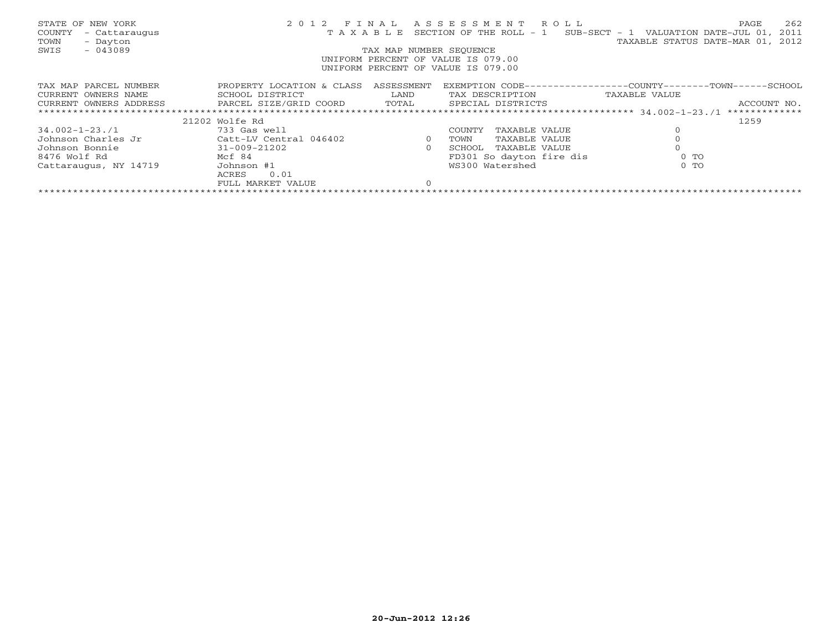| STATE OF NEW YORK<br>COUNTY<br>- Cattaraugus<br>TOWN<br>- Dayton<br>$-043089$<br>SWIS | 2 0 1 2<br>TAXABLE        | FINAL<br>TAX MAP NUMBER SEOUENCE | ASSESSMENT ROLL<br>SECTION OF THE ROLL - 1<br>UNIFORM PERCENT OF VALUE IS 079.00<br>UNIFORM PERCENT OF VALUE IS 079.00 | 262<br>PAGE<br>2011<br>SUB-SECT - 1 VALUATION DATE-JUL 01,<br>TAXABLE STATUS DATE-MAR 01, 2012 |
|---------------------------------------------------------------------------------------|---------------------------|----------------------------------|------------------------------------------------------------------------------------------------------------------------|------------------------------------------------------------------------------------------------|
| TAX MAP PARCEL NUMBER                                                                 | PROPERTY LOCATION & CLASS | ASSESSMENT                       |                                                                                                                        | EXEMPTION CODE-----------------COUNTY-------TOWN------SCHOOL                                   |
| CURRENT OWNERS NAME                                                                   | SCHOOL DISTRICT           | LAND                             | TAX DESCRIPTION TAXABLE VALUE                                                                                          |                                                                                                |
|                                                                                       |                           |                                  | SPECIAL DISTRICTS                                                                                                      | ACCOUNT NO.                                                                                    |
|                                                                                       |                           |                                  |                                                                                                                        | *************                                                                                  |
|                                                                                       | 21202 Wolfe Rd            |                                  |                                                                                                                        | 1259                                                                                           |
| 34.002-1-23./1                                                                        | 733 Gas well              |                                  | COUNTY<br>TAXABLE VALUE                                                                                                |                                                                                                |
| Johnson Charles Jr                                                                    | Catt-LV Central 046402    | $\overline{0}$                   | TAXABLE VALUE<br>TOWN                                                                                                  |                                                                                                |
| Johnson Bonnie                                                                        | $31 - 009 - 21202$        | $\Omega$                         | TAXABLE VALUE<br>SCHOOL                                                                                                |                                                                                                |
| 8476 Wolf Rd                                                                          | Mcf 84                    |                                  | FD301 So dayton fire dis                                                                                               | $0$ TO                                                                                         |
| Cattaraugus, NY 14719                                                                 | Johnson #1                |                                  | WS300 Watershed                                                                                                        | $0$ TO                                                                                         |
|                                                                                       | 0.01<br>ACRES             |                                  |                                                                                                                        |                                                                                                |
|                                                                                       | FULL MARKET VALUE         |                                  |                                                                                                                        |                                                                                                |
|                                                                                       |                           |                                  |                                                                                                                        |                                                                                                |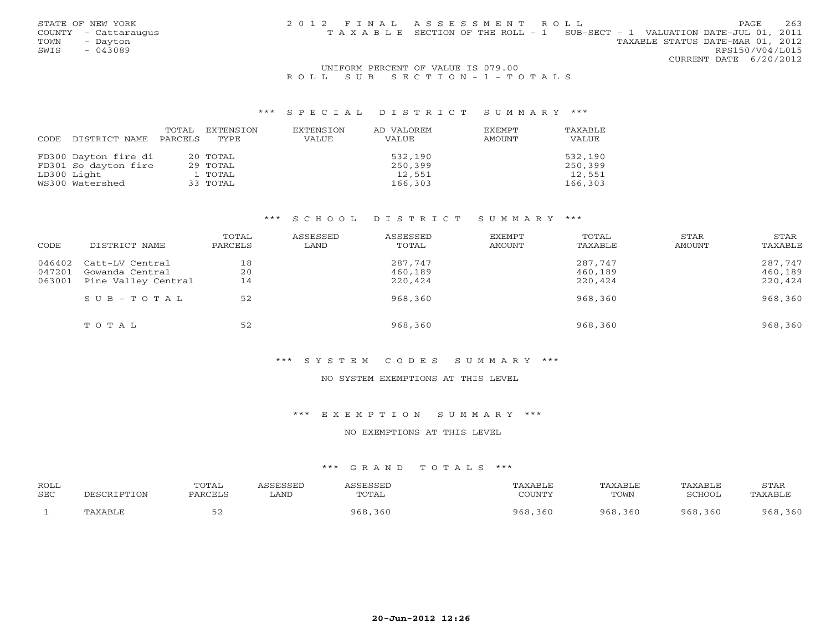| STATE OF NEW YORK    | 2012 FINAL ASSESSMENT ROLL |                                                                                | PAGE                   | 263 |
|----------------------|----------------------------|--------------------------------------------------------------------------------|------------------------|-----|
| COUNTY - Cattaraugus |                            | T A X A B L E SECTION OF THE ROLL - 1 SUB-SECT - 1 VALUATION DATE-JUL 01, 2011 |                        |     |
| TOWN<br>- Dayton     |                            | TAXABLE STATUS DATE-MAR 01, 2012                                               |                        |     |
| SWIS<br>$-043089$    |                            |                                                                                | RPS150/V04/L015        |     |
|                      |                            |                                                                                | CURRENT DATE 6/20/2012 |     |
|                      |                            |                                                                                |                        |     |

## UNIFORM PERCENT OF VALUE IS 079.00 R O L L S U B S E C T I O N - 1 - T O T A L S

## \*\*\* S P E C I A L D I S T R I C T S U M M A R Y \*\*\*

|      |                      | TOTAL   | EXTENSION | EXTENSION | AD VALOREM | <b>EXEMPT</b> | TAXABLE |
|------|----------------------|---------|-----------|-----------|------------|---------------|---------|
| CODE | DISTRICT NAME        | PARCELS | TYPE      | VALUE     | VALUE      | AMOUNT        | VALUE   |
|      |                      |         |           |           |            |               |         |
|      | FD300 Dayton fire di |         | 20 TOTAL  |           | 532,190    |               | 532,190 |
|      | FD301 So dayton fire |         | 29 TOTAL  |           | 250,399    |               | 250,399 |
|      | LD300 Light          |         | 1 TOTAL   |           | 12,551     |               | 12,551  |
|      | WS300 Watershed      |         | 33 TOTAL  |           | 166,303    |               | 166,303 |

# \*\*\* S C H O O L D I S T R I C T S U M M A R Y \*\*\*

| CODE   | DISTRICT NAME             | TOTAL<br>PARCELS | ASSESSED<br>LAND | ASSESSED<br>TOTAL | EXEMPT<br>AMOUNT | TOTAL<br>TAXABLE | STAR<br>AMOUNT | STAR<br>TAXABLE |
|--------|---------------------------|------------------|------------------|-------------------|------------------|------------------|----------------|-----------------|
|        | 046402 Catt-LV Central    | 18               |                  | 287,747           |                  | 287,747          |                | 287,747         |
| 047201 | Gowanda Central           | 20               |                  | 460,189           |                  | 460,189          |                | 460,189         |
| 063001 | Pine Valley Central       | 14               |                  | 220,424           |                  | 220,424          |                | 220,424         |
|        | $S \cup B - T \cup T A L$ | 52               |                  | 968,360           |                  | 968,360          |                | 968,360         |
|        | TOTAL                     | 52               |                  | 968,360           |                  | 968,360          |                | 968,360         |

#### \*\*\* S Y S T E M C O D E S S U M M A R Y \*\*\*

# NO SYSTEM EXEMPTIONS AT THIS LEVEL

## \*\*\* E X E M P T I O N S U M M A R Y \*\*\*

#### NO EXEMPTIONS AT THIS LEVEL

| ROLL       |             | <b>TOTAL</b> | ASSESSED    | ASSESSED | TAXABLE | TAXABLE | TAXABLE | STAR    |
|------------|-------------|--------------|-------------|----------|---------|---------|---------|---------|
| <b>SEC</b> | DESCRIPTION | PARCELS      | <b>LAND</b> | TOTAL    | COUNTY  | TOWN    | SCHOOL  | TAXABLE |
|            | TAXABLE     | гη           |             | 968,360  | 968,360 | 968,360 | 968,360 | 968,360 |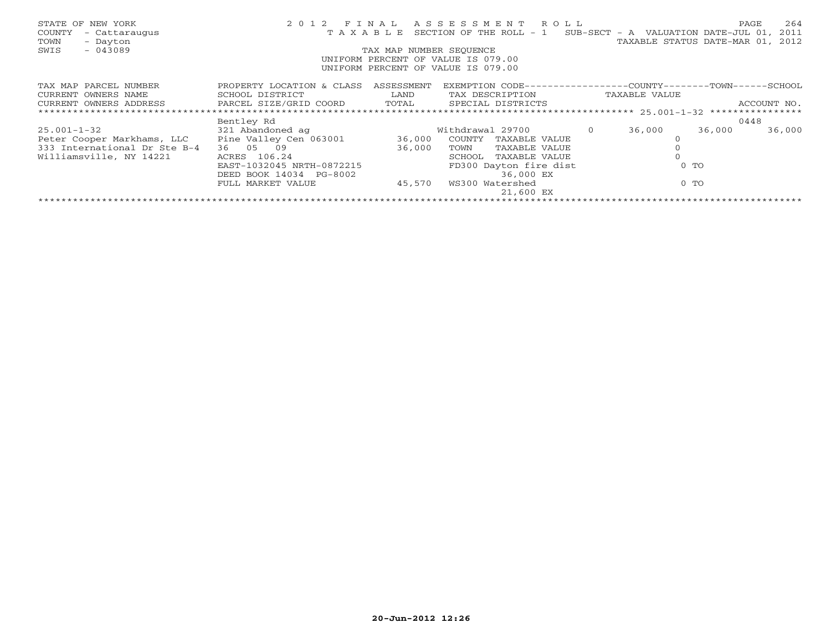| STATE OF NEW YORK<br>- Cattaraugus<br>COUNTY<br>- Dayton<br>TOWN<br>$-043089$<br>SWIS                                                     | 2 0 1 2<br>TAXABLE                                      | FINAL<br>TAX MAP NUMBER SEQUENCE | A S S E S S M E N T R O L L<br>SECTION OF THE ROLL $-1$ SUB-SECT - A VALUATION DATE-JUL 01,<br>UNIFORM PERCENT OF VALUE IS 079.00<br>UNIFORM PERCENT OF VALUE IS 079.00 |        | PAGE<br>TAXABLE STATUS DATE-MAR 01, 2012 | 264<br>2011 |
|-------------------------------------------------------------------------------------------------------------------------------------------|---------------------------------------------------------|----------------------------------|-------------------------------------------------------------------------------------------------------------------------------------------------------------------------|--------|------------------------------------------|-------------|
| TAX MAP PARCEL NUMBER<br>CURRENT OWNERS NAME<br>CURRENT OWNERS ADDRESS           PARCEL SIZE/GRID COORD       TOTAL     SPECIAL DISTRICTS | PROPERTY LOCATION & CLASS ASSESSMENT<br>SCHOOL DISTRICT | <b>Example 12</b> LAND           | EXEMPTION CODE-----------------COUNTY-------TOWN-----SCHOOL<br>TAX DESCRIPTION TAXABLE VALUE                                                                            |        |                                          | ACCOUNT NO. |
|                                                                                                                                           |                                                         |                                  |                                                                                                                                                                         |        |                                          |             |
|                                                                                                                                           | Bentley Rd                                              |                                  |                                                                                                                                                                         |        | 0448                                     |             |
| 25.001-1-32                                                                                                                               | 321 Abandoned ag                                        |                                  | Withdrawal 29700 0                                                                                                                                                      | 36,000 | 36,000                                   | 36,000      |
| Peter Cooper Markhams, LLC Pine Valley Cen 063001 36,000                                                                                  |                                                         |                                  | COUNTY<br>TAXABLE VALUE                                                                                                                                                 |        |                                          |             |
| 333 International Dr Ste B-4                                                                                                              | 36 05 09                                                | 36,000                           | TOWN<br>TAXABLE VALUE                                                                                                                                                   |        |                                          |             |
| Williamsville, NY 14221                                                                                                                   | ACRES 106.24                                            |                                  | TAXABLE VALUE<br>SCHOOL                                                                                                                                                 |        |                                          |             |
|                                                                                                                                           | EAST-1032045 NRTH-0872215                               |                                  | FD300 Dayton fire dist                                                                                                                                                  |        | $0$ TO                                   |             |
|                                                                                                                                           | DEED BOOK 14034 PG-8002                                 |                                  | 36,000 EX                                                                                                                                                               |        |                                          |             |
|                                                                                                                                           | FULL MARKET VALUE                                       | 45,570                           | WS300 Watershed                                                                                                                                                         |        | $0$ TO                                   |             |
|                                                                                                                                           |                                                         |                                  | 21,600 EX                                                                                                                                                               |        |                                          |             |
|                                                                                                                                           |                                                         |                                  |                                                                                                                                                                         |        |                                          |             |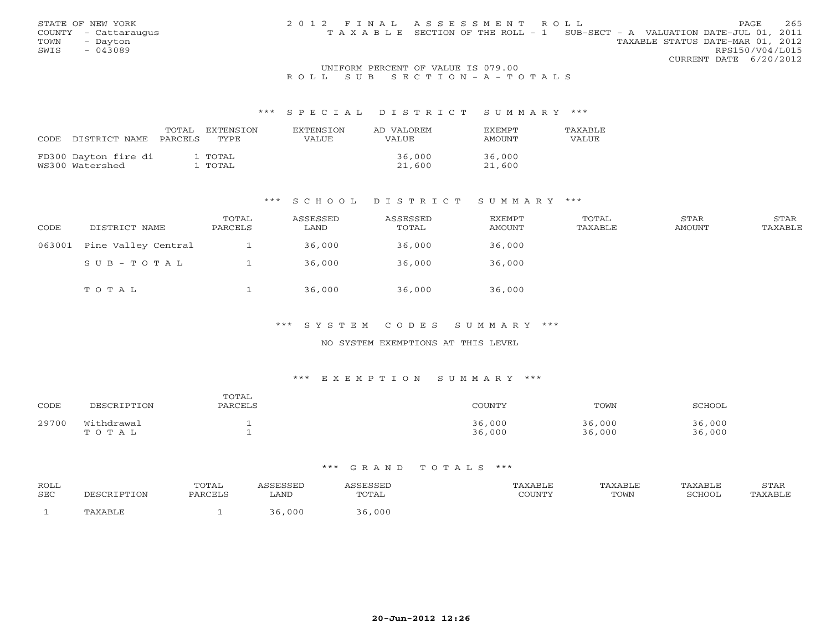| STATE OF NEW YORK    | 2012 FINAL ASSESSMENT ROLL | 265<br>PAGE                                                                    |
|----------------------|----------------------------|--------------------------------------------------------------------------------|
| COUNTY - Cattaraugus |                            | T A X A B L E SECTION OF THE ROLL - 1 SUB-SECT - A VALUATION DATE-JUL 01, 2011 |
| TOWN - Dayton        |                            | TAXABLE STATUS DATE-MAR 01, 2012                                               |
| SWIS<br>- 043089     |                            | RPS150/V04/L015                                                                |
|                      |                            | CURRENT DATE 6/20/2012                                                         |

## UNIFORM PERCENT OF VALUE IS 079.00 R O L L S U B S E C T I O N - A - T O T A L S

#### \*\*\* S P E C I A L D I S T R I C T S U M M A R Y \*\*\*

| CODE | DISTRICT NAME                           | TOTAL<br>PARCELS | EXTENSTON<br>TYPE. | <b>EXTENSION</b><br>VALUE | AD VALOREM<br>VALUE | <b>EXEMPT</b><br>AMOUNT | <b>TAXABLE</b><br>VALUE |
|------|-----------------------------------------|------------------|--------------------|---------------------------|---------------------|-------------------------|-------------------------|
|      | FD300 Dayton fire di<br>WS300 Watershed |                  | 1 ТОТАL<br>' TOTAL |                           | 36,000<br>21,600    | 36,000<br>21,600        |                         |

### \*\*\* S C H O O L D I S T R I C T S U M M A R Y \*\*\*

| CODE   | DISTRICT NAME       | TOTAL<br>PARCELS | ASSESSED<br>LAND | ASSESSED<br>TOTAL | <b>EXEMPT</b><br>AMOUNT | TOTAL<br>TAXABLE | STAR<br>AMOUNT | STAR<br>TAXABLE |
|--------|---------------------|------------------|------------------|-------------------|-------------------------|------------------|----------------|-----------------|
| 063001 | Pine Valley Central |                  | 36,000           | 36,000            | 36,000                  |                  |                |                 |
|        | SUB-TOTAL           |                  | 36,000           | 36,000            | 36,000                  |                  |                |                 |
|        | TOTAL               |                  | 36,000           | 36,000            | 36,000                  |                  |                |                 |

\*\*\* S Y S T E M C O D E S S U M M A R Y \*\*\*

## NO SYSTEM EXEMPTIONS AT THIS LEVEL

# \*\*\* E X E M P T I O N S U M M A R Y \*\*\*

| CODE  | DESCRIPTION         | TOTAL<br>PARCELS | COUNTY           | TOWN             | SCHOOL           |
|-------|---------------------|------------------|------------------|------------------|------------------|
| 29700 | Withdrawal<br>TOTAL |                  | 36,000<br>36,000 | 36,000<br>36,000 | 36,000<br>36,000 |

| <b>ROLL</b> |          | TOTAL   |      |        | TAXABLE | <b>TAXABLE</b> | <b>TAXABLE</b> | STAR |
|-------------|----------|---------|------|--------|---------|----------------|----------------|------|
| SEC         | CRIPTION | PARCELS | LAND | TOTAL  | COUNTY  | TOWN           | SCHOOI         |      |
|             |          |         | 000  | 36,000 |         |                |                |      |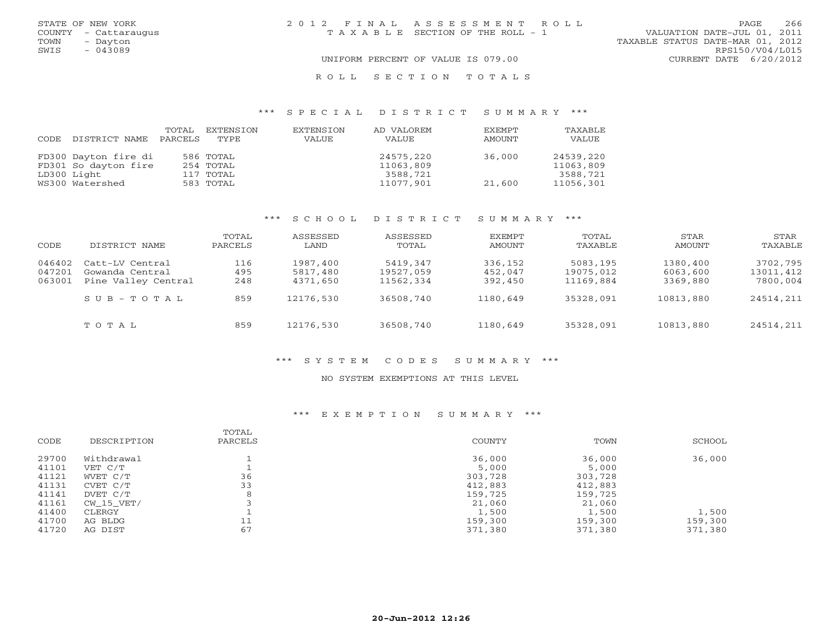|      | STATE OF NEW YORK    | 2012 FINAL ASSESSMENT ROLL            | 266<br>PAGE                      |
|------|----------------------|---------------------------------------|----------------------------------|
|      | COUNTY - Cattaraugus | T A X A B L E SECTION OF THE ROLL - 1 | VALUATION DATE-JUL 01, 2011      |
| TOWN | - Dayton             |                                       | TAXABLE STATUS DATE-MAR 01, 2012 |
| SWIS | $-043089$            |                                       | RPS150/V04/L015                  |
|      |                      | UNIFORM PERCENT OF VALUE IS 079.00    | CURRENT DATE 6/20/2012           |
|      |                      | ROLL SECTION TOTALS                   |                                  |

## \*\*\* S P E C I A L D I S T R I C T S U M M A R Y \*\*\*

| CODE | DISTRICT NAME        | TOTAL<br>PARCELS | EXTENSION<br>TYPE | EXTENSION<br>VALUE | AD VALOREM<br>VALUE | EXEMPT<br>AMOUNT | TAXABLE<br>VALUE |
|------|----------------------|------------------|-------------------|--------------------|---------------------|------------------|------------------|
|      | FD300 Dayton fire di |                  | 586 TOTAL         |                    | 24575,220           | 36,000           | 24539,220        |
|      | FD301 So dayton fire |                  | 254 TOTAL         |                    | 11063,809           |                  | 11063,809        |
|      | LD300 Light          |                  | 117 TOTAL         |                    | 3588,721            |                  | 3588,721         |
|      | WS300 Watershed      |                  | 583 TOTAL         |                    | 11077,901           | 21,600           | 11056,301        |

# \*\*\* S C H O O L D I S T R I C T S U M M A R Y \*\*\*

| CODE                       | DISTRICT NAME                                             | TOTAL<br>PARCELS  | ASSESSED<br>LAND                 | ASSESSED<br>TOTAL                  | EXEMPT<br>AMOUNT              | TOTAL<br>TAXABLE                   | STAR<br>AMOUNT                   | STAR<br>TAXABLE                   |
|----------------------------|-----------------------------------------------------------|-------------------|----------------------------------|------------------------------------|-------------------------------|------------------------------------|----------------------------------|-----------------------------------|
| 046402<br>047201<br>063001 | Catt-LV Central<br>Gowanda Central<br>Pine Valley Central | 116<br>495<br>248 | 1987,400<br>5817,480<br>4371,650 | 5419,347<br>19527,059<br>11562,334 | 336,152<br>452,047<br>392,450 | 5083,195<br>19075,012<br>11169,884 | 1380,400<br>6063,600<br>3369,880 | 3702,795<br>13011,412<br>7800,004 |
|                            | SUB-TOTAL                                                 | 859               | 12176,530                        | 36508,740                          | 1180,649                      | 35328,091                          | 10813,880                        | 24514,211                         |
|                            | TOTAL                                                     | 859               | 12176,530                        | 36508,740                          | 1180,649                      | 35328,091                          | 10813,880                        | 24514,211                         |

#### \*\*\* S Y S T E M C O D E S S U M M A R Y \*\*\*

# NO SYSTEM EXEMPTIONS AT THIS LEVEL

# \*\*\* E X E M P T I O N S U M M A R Y \*\*\*

| CODE           | DESCRIPTION           | TOTAL<br>PARCELS | <b>COUNTY</b>      | TOWN               | SCHOOL           |
|----------------|-----------------------|------------------|--------------------|--------------------|------------------|
| 29700<br>41101 | Withdrawal<br>VET C/T |                  | 36,000<br>5,000    | 36,000<br>5,000    | 36,000           |
| 41121          | WVET C/T              | 36               | 303,728            | 303,728            |                  |
| 41131<br>41141 | CVET C/T<br>DVET C/T  | 33               | 412,883<br>159,725 | 412,883<br>159,725 |                  |
| 41161          | CW 15 VET/            |                  | 21,060             | 21,060             |                  |
| 41400<br>41700 | CLERGY<br>AG BLDG     | ┸┸               | 1,500<br>159,300   | 1,500<br>159,300   | 1,500<br>159,300 |
| 41720          | AG DIST               | 67               | 371,380            | 371,380            | 371,380          |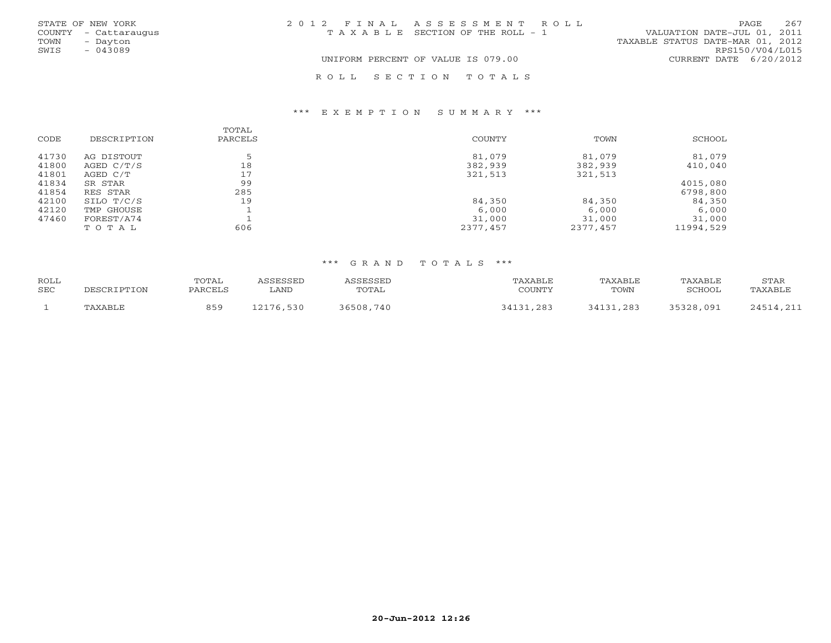|      | STATE OF NEW YORK    | 2012 FINAL ASSESSMENT ROLL            | 267<br>PAGE                      |
|------|----------------------|---------------------------------------|----------------------------------|
|      | COUNTY - Cattaraugus | T A X A B L E SECTION OF THE ROLL - 1 | VALUATION DATE-JUL 01, 2011      |
| TOWN | - Dayton             |                                       | TAXABLE STATUS DATE-MAR 01, 2012 |
| SWIS | $-043089$            |                                       | RPS150/V04/L015                  |
|      |                      | UNIFORM PERCENT OF VALUE IS 079.00    | CURRENT DATE 6/20/2012           |
|      |                      | ROLL SECTION TOTALS                   |                                  |

### \*\*\* E X E M P T I O N S U M M A R Y \*\*\*

|       |              | TOTAL   |          |          |           |
|-------|--------------|---------|----------|----------|-----------|
| CODE  | DESCRIPTION  | PARCELS | COUNTY   | TOWN     | SCHOOL    |
| 41730 | AG DISTOUT   | 口       | 81,079   | 81,079   | 81,079    |
| 41800 | AGED $C/T/S$ | 18      | 382,939  | 382,939  | 410,040   |
| 41801 | AGED C/T     | 17      | 321,513  | 321,513  |           |
| 41834 | SR STAR      | 99      |          |          | 4015,080  |
| 41854 | RES STAR     | 285     |          |          | 6798,800  |
| 42100 | SILO T/C/S   | 19      | 84,350   | 84,350   | 84,350    |
| 42120 | TMP GHOUSE   |         | 6,000    | 6,000    | 6,000     |
| 47460 | FOREST/A74   |         | 31,000   | 31,000   | 31,000    |
|       | TOTAL        | 606     | 2377,457 | 2377,457 | 11994,529 |

| ROLL |                | POTAL   | <i>\SSESSED</i> | <i><b>\SSESSEL</b></i> | TAXABLE<br>∩OI™™ | TAXABLE | TAXABLE       | STAR                   |
|------|----------------|---------|-----------------|------------------------|------------------|---------|---------------|------------------------|
| SEC  | DESCRIPTION    | PARCELS | LAND            | TOTAL                  | .uuni            | TOWN    | <b>SCHOOL</b> | TAXABLE                |
|      | <b>TAXABLF</b> | 859     | 12176<br>,530   | 86508<br>740           | 84131<br>. 281   | ,283    | 35328,091     | フムドイ<br>$\bigcap$<br>. |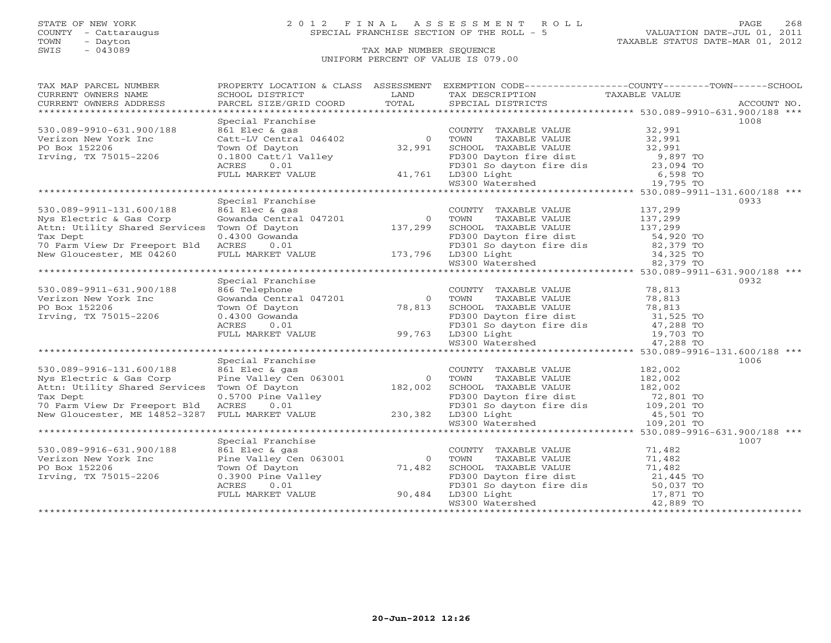TOWN - Dayton - Dayton - Dayton - Dayton - Dayton - Dayton - Dayton - Dayton - Dayton - Dayton - Dayton - Dayton - Dayton - Dayton - Dayton - Dayton - Dayton - Dayton - Dayton - Dayton - Dayton - Dayton - Dayton - Dayton -

# STATE OF NEW YORK 2 0 1 2 F I N A L A S S E S S M E N T R O L L PAGE 268 COUNTY - Cattaraugus SPECIAL FRANCHISE SECTION OF THE ROLL - 5 VALUATION DATE-JUL 01, 2011

# TAX MAP NUMBER SEQUENCE UNIFORM PERCENT OF VALUE IS 079.00

| PROPERTY LOCATION & CLASS ASSESSMENT EXEMPTION CODE----------------COUNTY-------TOWN------SCHOOL<br>TAX MAP PARCEL NUMBER                                                                                                                                                        |      |  |
|----------------------------------------------------------------------------------------------------------------------------------------------------------------------------------------------------------------------------------------------------------------------------------|------|--|
|                                                                                                                                                                                                                                                                                  |      |  |
|                                                                                                                                                                                                                                                                                  |      |  |
|                                                                                                                                                                                                                                                                                  |      |  |
| Special Franchise                                                                                                                                                                                                                                                                | 1008 |  |
| 530.089-9910-631.900/188                                                                                                                                                                                                                                                         |      |  |
| Verizon New York Inc                                                                                                                                                                                                                                                             |      |  |
| PO Box 152206                                                                                                                                                                                                                                                                    |      |  |
| Irving, TX 75015-2206                                                                                                                                                                                                                                                            |      |  |
|                                                                                                                                                                                                                                                                                  |      |  |
|                                                                                                                                                                                                                                                                                  |      |  |
|                                                                                                                                                                                                                                                                                  |      |  |
| 32,991<br>Fizon New York Inc (2000/188 and Elec & gas<br>Prizon New York Inc Catt-LV Central 046402 (2000 and TAXABLE VALUE 32,991<br>Pox 152206 Town of Dayton 32,991<br>TULL MARKET VALUE 41,761 LD300 Dayton fire dist 9,897 TO<br>FU                                         |      |  |
| Specisl Franchise                                                                                                                                                                                                                                                                | 0933 |  |
| Section Fractions and Country TAXABLE VALUE<br>Section of Dayton<br>Town Of Dayton<br>Town Of Dayton<br>Town Of Dayton<br>Town Of Dayton<br>Town Of Dayton<br>137,299<br>Town Of Dayton<br>137,299<br>SCHOOL TAXABLE VALUE<br>FD300 Dayton fire dist<br>530.089-9911-131.600/188 |      |  |
| Nys Electric & Gas Corp                                                                                                                                                                                                                                                          |      |  |
| Attn: Utility Shared Services                                                                                                                                                                                                                                                    |      |  |
|                                                                                                                                                                                                                                                                                  |      |  |
| Tax Dept                                                                                                                                                                                                                                                                         |      |  |
| 70 Farm View Dr Freeport Bld ACRES                                                                                                                                                                                                                                               |      |  |
| New Gloucester, ME 04260                                                                                                                                                                                                                                                         |      |  |
|                                                                                                                                                                                                                                                                                  |      |  |
|                                                                                                                                                                                                                                                                                  |      |  |
| Special Franchise                                                                                                                                                                                                                                                                | 0932 |  |
|                                                                                                                                                                                                                                                                                  |      |  |
|                                                                                                                                                                                                                                                                                  |      |  |
| 530.089-9911-631.900/188<br>Verizon New York Inc<br>PO Box 152206                                                                                                                                                                                                                |      |  |
| Irving, TX 75015-2206                                                                                                                                                                                                                                                            |      |  |
|                                                                                                                                                                                                                                                                                  |      |  |
|                                                                                                                                                                                                                                                                                  |      |  |
| 86 Telephone<br>866 Telephone<br>386 Telephone<br>78,813<br>Town Of Dayton<br>78,813<br>Town Of Dayton<br>78,813<br>Town Of Dayton<br>78,813<br>Town Of Dayton<br>78,813<br>SCHOOL TAXABLE VALUE<br>78,813<br>FD300 Dayton fire dist<br>80.4300 Gowanda<br>FD3                   |      |  |
|                                                                                                                                                                                                                                                                                  |      |  |
| Special Franchise                                                                                                                                                                                                                                                                | 1006 |  |
|                                                                                                                                                                                                                                                                                  |      |  |
|                                                                                                                                                                                                                                                                                  |      |  |
|                                                                                                                                                                                                                                                                                  |      |  |
|                                                                                                                                                                                                                                                                                  |      |  |
|                                                                                                                                                                                                                                                                                  |      |  |
|                                                                                                                                                                                                                                                                                  |      |  |
|                                                                                                                                                                                                                                                                                  |      |  |
|                                                                                                                                                                                                                                                                                  |      |  |
|                                                                                                                                                                                                                                                                                  | 1007 |  |
|                                                                                                                                                                                                                                                                                  |      |  |
|                                                                                                                                                                                                                                                                                  |      |  |
|                                                                                                                                                                                                                                                                                  |      |  |
|                                                                                                                                                                                                                                                                                  |      |  |
|                                                                                                                                                                                                                                                                                  |      |  |
|                                                                                                                                                                                                                                                                                  |      |  |
|                                                                                                                                                                                                                                                                                  |      |  |
|                                                                                                                                                                                                                                                                                  |      |  |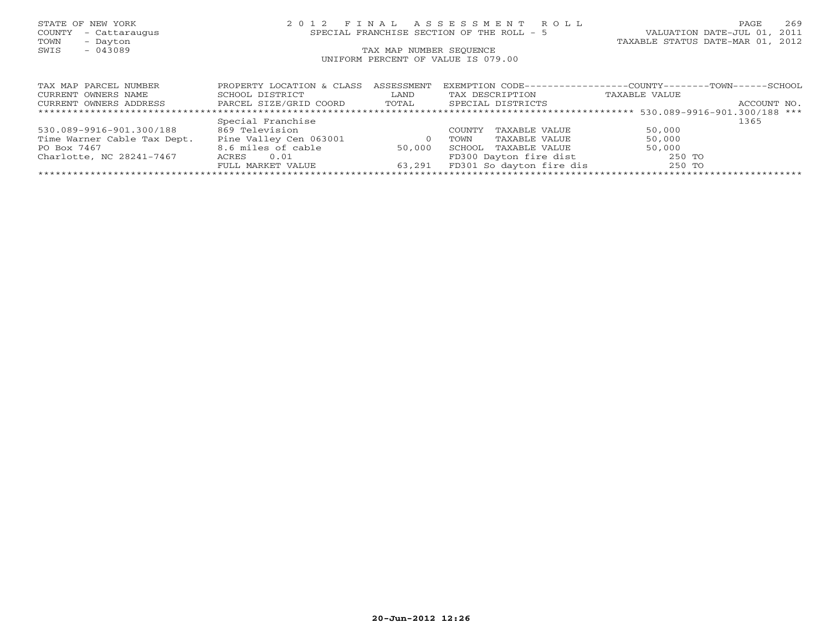# STATE OF NEW YORK 2 0 1 2 F I N A L A S S E S S M E N T R O L L PAGE 269 COUNTY - Cattaraugus SPECIAL FRANCHISE SECTION OF THE ROLL - 5 VALUATION DATE-JUL 01, 2011

TOWN - Dayton TAXABLE STATUS DATE-MAR 01, 2012

| TAX MAP PARCEL NUMBER       | PROPERTY LOCATION & CLASS | ASSESSMENT | EXEMPTION CODE-------    | --COUNTY------<br>- TOWN-<br>- SCHOOL |
|-----------------------------|---------------------------|------------|--------------------------|---------------------------------------|
| CURRENT OWNERS NAME         | SCHOOL DISTRICT           | LAND       | TAX DESCRIPTION          | TAXABLE VALUE                         |
| CURRENT OWNERS ADDRESS      | PARCEL SIZE/GRID COORD    | TOTAL      | SPECIAL DISTRICTS        | ACCOUNT NO.                           |
|                             |                           |            |                          |                                       |
|                             | Special Franchise         |            |                          | 1365                                  |
| 530.089-9916-901.300/188    | 869 Television            |            | TAXABLE VALUE<br>COUNTY  | 50,000                                |
| Time Warner Cable Tax Dept. | Pine Valley Cen 063001    |            | TAXABLE VALUE<br>TOWN    | 50,000                                |
| PO Box 7467                 | 8.6 miles of cable        | 50,000     | TAXABLE VALUE<br>SCHOOL  | 50,000                                |
| Charlotte, NC 28241-7467    | 0.01<br>ACRES             |            | FD300 Dayton fire dist   | 250 TO                                |
|                             | FULL MARKET VALUE         | 63,291     | FD301 So dayton fire dis | 250 TO                                |
|                             |                           |            |                          |                                       |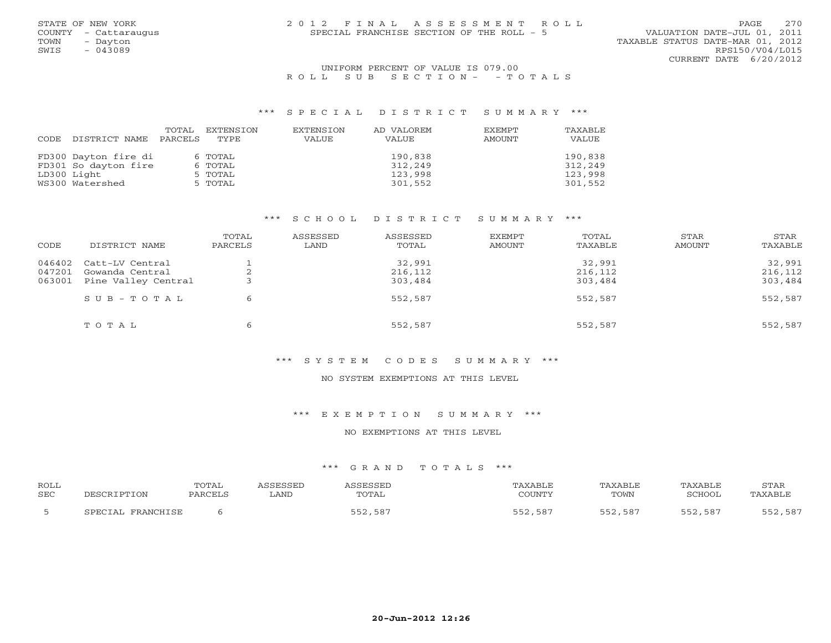| STATE OF NEW YORK    | 2012 FINAL ASSESSMENT ROLL                | 2.70<br><b>PAGE</b>              |
|----------------------|-------------------------------------------|----------------------------------|
| COUNTY - Cattaraugus | SPECIAL FRANCHISE SECTION OF THE ROLL - 5 | VALUATION DATE-JUL 01, 2011      |
| TOWN<br>- Dayton     |                                           | TAXABLE STATUS DATE-MAR 01, 2012 |
| $-043089$<br>SWIS    |                                           | RPS150/V04/L015                  |
|                      |                                           | CURRENT DATE 6/20/2012           |

## UNIFORM PERCENT OF VALUE IS 079.00 R O L L S U B S E C T I O N - - T O T A L S

#### \*\*\* S P E C I A L D I S T R I C T S U M M A R Y \*\*\*

|      |                      | TOTAL   | EXTENSION | EXTENSION | AD VALOREM | EXEMPT | TAXABLE |
|------|----------------------|---------|-----------|-----------|------------|--------|---------|
| CODE | DISTRICT NAME        | PARCELS | TYPE.     | VALUE     | VALUE      | AMOUNT | VALUE   |
|      |                      |         |           |           |            |        |         |
|      | FD300 Dayton fire di |         | 6 TOTAL   |           | 190,838    |        | 190,838 |
|      | FD301 So dayton fire |         | 6 TOTAL   |           | 312,249    |        | 312,249 |
|      | LD300 Light          |         | 5 TOTAL   |           | 123,998    |        | 123,998 |
|      | WS300 Watershed      |         | 5 TOTAL   |           | 301,552    |        | 301,552 |

# \*\*\* S C H O O L D I S T R I C T S U M M A R Y \*\*\*

| CODE                       | DISTRICT NAME                                             | TOTAL<br>PARCELS | ASSESSED<br>LAND | ASSESSED<br>TOTAL            | EXEMPT<br>AMOUNT | TOTAL<br>TAXABLE             | STAR<br>AMOUNT | STAR<br>TAXABLE              |
|----------------------------|-----------------------------------------------------------|------------------|------------------|------------------------------|------------------|------------------------------|----------------|------------------------------|
| 046402<br>047201<br>063001 | Catt-LV Central<br>Gowanda Central<br>Pine Valley Central | ⌒<br>╭           |                  | 32,991<br>216,112<br>303,484 |                  | 32,991<br>216,112<br>303,484 |                | 32,991<br>216,112<br>303,484 |
|                            | $S \cup B - T \cup T A L$                                 | 6                |                  | 552,587                      |                  | 552,587                      |                | 552,587                      |
|                            | TOTAL                                                     | 6                |                  | 552,587                      |                  | 552,587                      |                | 552,587                      |

#### \*\*\* S Y S T E M C O D E S S U M M A R Y \*\*\*

## NO SYSTEM EXEMPTIONS AT THIS LEVEL

# \*\*\* E X E M P T I O N S U M M A R Y \*\*\*

#### NO EXEMPTIONS AT THIS LEVEL

| ROLL       |                   | TOTAL   | ASSESSED | ASSESSED | TAXABLE | TAXABLE | TAXABLE        | STAR    |
|------------|-------------------|---------|----------|----------|---------|---------|----------------|---------|
| <b>SEC</b> | PESCRIPTION       | PARCELS | LAND     | TOTAL    | COUNTY  | TOWN    | SCHOOL         | TAXABLE |
|            | SPECIAL FRANCHISE |         |          | 552,587  | 552,587 | 552,587 | 52,587<br>にについ | 552,587 |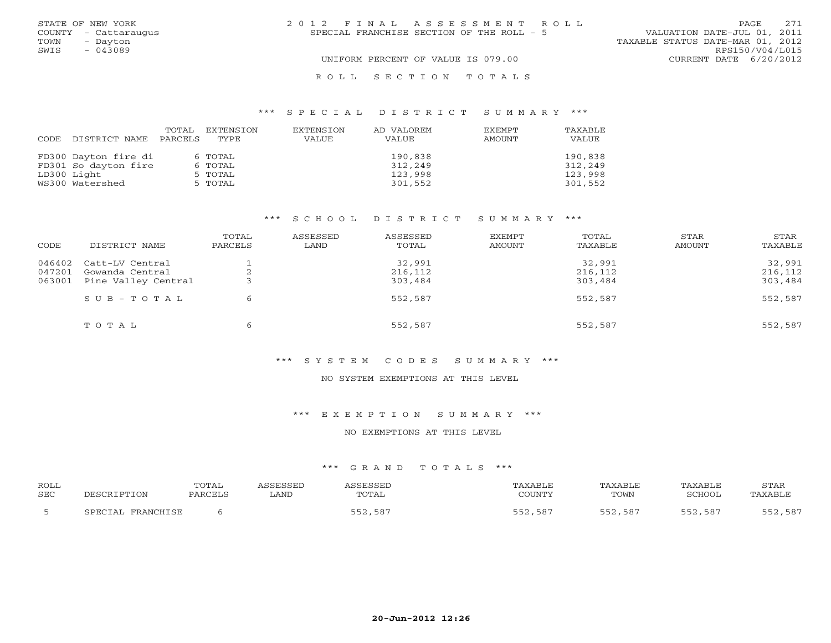|      | STATE OF NEW YORK    | 2012 FINAL ASSESSMENT ROLL                | 2.71<br>PAGE.                    |
|------|----------------------|-------------------------------------------|----------------------------------|
|      | COUNTY - Cattaraugus | SPECIAL FRANCHISE SECTION OF THE ROLL - 5 | VALUATION DATE-JUL 01, 2011      |
| TOWN | - Dayton             |                                           | TAXABLE STATUS DATE-MAR 01, 2012 |
| SWIS | $-043089$            |                                           | RPS150/V04/L015                  |
|      |                      | UNIFORM PERCENT OF VALUE IS 079.00        | CURRENT DATE 6/20/2012           |
|      |                      |                                           |                                  |

## \*\*\* S P E C I A L D I S T R I C T S U M M A R Y \*\*\*

| CODE | DISTRICT NAME        | TOTAL<br>PARCELS | EXTENSION<br>TYPE | EXTENSION<br>VALUE | AD VALOREM<br>VALUE | <b>EXEMPT</b><br>AMOUNT | TAXABLE<br>VALUE |
|------|----------------------|------------------|-------------------|--------------------|---------------------|-------------------------|------------------|
|      | FD300 Dayton fire di |                  | 6 TOTAL           |                    | 190,838             |                         | 190,838          |
|      | FD301 So dayton fire |                  | 6 TOTAL           |                    | 312,249             |                         | 312,249          |
|      | LD300 Light          |                  | 5 TOTAL           |                    | 123,998             |                         | 123,998          |
|      | WS300 Watershed      |                  | 5 TOTAL           |                    | 301,552             |                         | 301,552          |

R O L L S E C T I O N T O T A L S

# \*\*\* S C H O O L D I S T R I C T S U M M A R Y \*\*\*

| CODE   | DISTRICT NAME       | TOTAL<br>PARCELS | ASSESSED<br>LAND | ASSESSED<br>TOTAL | EXEMPT<br><b>AMOUNT</b> | TOTAL<br>TAXABLE | STAR<br>AMOUNT | STAR<br>TAXABLE |
|--------|---------------------|------------------|------------------|-------------------|-------------------------|------------------|----------------|-----------------|
| 046402 | Catt-LV Central     |                  |                  | 32,991            |                         | 32,991           |                | 32,991          |
| 047201 | Gowanda Central     |                  |                  | 216,112           |                         | 216,112          |                | 216,112         |
| 063001 | Pine Valley Central |                  |                  | 303,484           |                         | 303,484          |                | 303,484         |
|        | SUB-TOTAL           | 6                |                  | 552,587           |                         | 552,587          |                | 552,587         |
|        | TOTAL               | 6                |                  | 552,587           |                         | 552,587          |                | 552,587         |

#### \*\*\* S Y S T E M C O D E S S U M M A R Y \*\*\*

# NO SYSTEM EXEMPTIONS AT THIS LEVEL

# \*\*\* E X E M P T I O N S U M M A R Y \*\*\*

#### NO EXEMPTIONS AT THIS LEVEL

| ROLL       |                   | TOTAL   | ASSESSED | ASSESSED | TAXABLE | TAXABLE | TAXABLE        | STAR    |
|------------|-------------------|---------|----------|----------|---------|---------|----------------|---------|
| <b>SEC</b> | PESCRIPTION       | PARCELS | LAND     | TOTAL    | COUNTY  | TOWN    | SCHOOL         | TAXABLE |
|            | SPECIAL FRANCHISE |         |          | 552,587  | 552,587 | 552,587 | 52,587<br>にについ | 552,587 |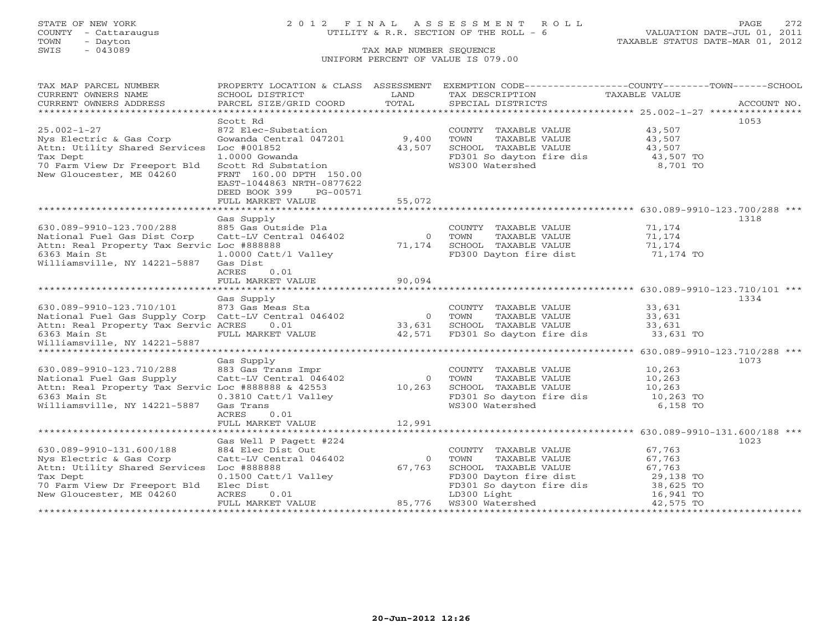# STATE OF NEW YORK 2 0 1 2 F I N A L A S S E S S M E N T R O L L PAGE 272 COUNTY - Cattaraugus UTILITY & R.R. SECTION OF THE ROLL - 6 VALUATION DATE-JUL 01, 2011

TOWN - Dayton TAXABLE STATUS DATE-MAR 01, 2012

| CURRENT OWNERS NAME<br>SCHOOL DISTRICT<br>LAND<br>TAXABLE VALUE<br>TAX DESCRIPTION<br>TOTAL<br>CURRENT OWNERS ADDRESS<br>PARCEL SIZE/GRID COORD<br>SPECIAL DISTRICTS<br>ACCOUNT NO.<br>******************************<br>1053<br>Scott Rd<br>$25.002 - 1 - 27$<br>872 Elec-Substation<br>43,507<br>COUNTY TAXABLE VALUE<br>9,400<br>Nys Electric & Gas Corp<br>Gowanda Central 047201<br>TOWN<br>TAXABLE VALUE<br>43,507<br>SCHOOL TAXABLE VALUE<br>Loc #001852<br>43,507<br>43,507<br>$1.0000$ Gowanda<br>FD301 So dayton fire dis<br>WS300 Watershed<br>43,507 TO<br>8,701 TO<br>Tax Dept<br>Scott Rd Substation<br>70 Farm View Dr Freeport Bld<br>FRNT 160.00 DPTH 150.00<br>EAST-1044863 NRTH-0877622<br>DEED BOOK 399<br>PG-00571<br>55,072<br>FULL MARKET VALUE<br>Gas Supply<br>1318<br>630.089-9910-123.700/288<br>885 Gas Outside Pla<br>71,174<br>COUNTY TAXABLE VALUE<br>Catt-LV Central 046402<br>0 TOWN<br>TAXABLE VALUE<br>71,174<br>71,174 SCHOOL TAXABLE VALUE<br>71,174<br>Attn: Real Property Tax Servic Loc #888888<br>6363 Main St<br>1.0000 Catt/l Valley<br>FD300 Dayton fire dist<br>71,174 TO<br>Gas Dist<br>ACRES<br>0.01<br>Gas Supply<br>1334<br>33,631<br>33.631<br>630.089-9910-123.710/101 873 Gas Meas Sta<br>National Fuel Gas Supply Corp Catt-LV Central 046402<br>COUNTY TAXABLE VALUE<br>$0$ TOWN<br>0 TOWIN<br>33,631 SCHOOL TAXABLE VALUE<br>42,571 FD301 So dayton fire dis<br>33,631<br>Attn: Real Property Tax Servic ACRES 0.01<br>SCHOOL TAXABLE VALUE<br>33,631<br>6363 Main St<br>FULL MARKET VALUE<br>33,631 TO<br>Williamsville, NY 14221-5887<br>******************************<br>********** 630.089-9910-123.710/288 ***<br>Gas Supply<br>1073<br>630.089-9910-123.710/288<br>883 Gas Trans Impr<br>10,263<br>COUNTY TAXABLE VALUE<br>National Fuel Gas Supply<br>Catt-LV Central 046402<br>10,263<br>$\bigcirc$<br>TOWN<br>TAXABLE VALUE<br>Attn: Real Property Tax Servic Loc #888888 & 42553 10,263<br>6363 Main St 0.3810 Catt/l Valley<br>Williamsville, NY 14221-5887 Gas Trans<br>SCHOOL TAXABLE VALUE<br>10,263<br>SCHOOL TAXABLE VALUE 10,263<br>FD301 So dayton fire dis 10,263 TO<br>WS300 Watershed<br>6,158 TO<br>ACRES<br>0.01<br>12,991<br>FULL MARKET VALUE<br>******************************<br>Gas Well P Pagett #224<br>1023<br>630.089-9910-131.600/188<br>67,763<br>884 Elec Dist Out<br>COUNTY TAXABLE VALUE<br>Catt-LV Central 046402<br>$\Omega$<br>67,763<br>Nys Electric & Gas Corp<br>TOWN<br>TAXABLE VALUE<br>Attn: Utility Shared Services Loc #888888<br>67,763<br>SCHOOL TAXABLE VALUE<br>67,763<br>FOR TAAADLE VALUE<br>FD300 Dayton fire dist<br>FD301 So dayton fire dis<br>LD300 Light<br>16,941 TO<br>16,941 TO<br>Tax Dept<br>0.1500 Catt/l Valley<br>70 Farm View Dr Freeport Bld<br>Elec Dist<br>85,776<br>New Gloucester, ME 04260<br>ACRES<br>0.01<br>FULL MARKET VALUE<br>WS300 Watershed WS300 Watershed<br>42,575 TO | TAX MAP PARCEL NUMBER         | PROPERTY LOCATION & CLASS ASSESSMENT | EXEMPTION CODE-----------------COUNTY-------TOWN------SCHOOL |  |
|---------------------------------------------------------------------------------------------------------------------------------------------------------------------------------------------------------------------------------------------------------------------------------------------------------------------------------------------------------------------------------------------------------------------------------------------------------------------------------------------------------------------------------------------------------------------------------------------------------------------------------------------------------------------------------------------------------------------------------------------------------------------------------------------------------------------------------------------------------------------------------------------------------------------------------------------------------------------------------------------------------------------------------------------------------------------------------------------------------------------------------------------------------------------------------------------------------------------------------------------------------------------------------------------------------------------------------------------------------------------------------------------------------------------------------------------------------------------------------------------------------------------------------------------------------------------------------------------------------------------------------------------------------------------------------------------------------------------------------------------------------------------------------------------------------------------------------------------------------------------------------------------------------------------------------------------------------------------------------------------------------------------------------------------------------------------------------------------------------------------------------------------------------------------------------------------------------------------------------------------------------------------------------------------------------------------------------------------------------------------------------------------------------------------------------------------------------------------------------------------------------------------------------------------------------------------------------------------------------------------------------------------------------------------------------------------------------------------------------------------------------------------------------------------------------------------------------------------------------------------------------------------------------------------|-------------------------------|--------------------------------------|--------------------------------------------------------------|--|
|                                                                                                                                                                                                                                                                                                                                                                                                                                                                                                                                                                                                                                                                                                                                                                                                                                                                                                                                                                                                                                                                                                                                                                                                                                                                                                                                                                                                                                                                                                                                                                                                                                                                                                                                                                                                                                                                                                                                                                                                                                                                                                                                                                                                                                                                                                                                                                                                                                                                                                                                                                                                                                                                                                                                                                                                                                                                                                                     |                               |                                      |                                                              |  |
|                                                                                                                                                                                                                                                                                                                                                                                                                                                                                                                                                                                                                                                                                                                                                                                                                                                                                                                                                                                                                                                                                                                                                                                                                                                                                                                                                                                                                                                                                                                                                                                                                                                                                                                                                                                                                                                                                                                                                                                                                                                                                                                                                                                                                                                                                                                                                                                                                                                                                                                                                                                                                                                                                                                                                                                                                                                                                                                     |                               |                                      |                                                              |  |
|                                                                                                                                                                                                                                                                                                                                                                                                                                                                                                                                                                                                                                                                                                                                                                                                                                                                                                                                                                                                                                                                                                                                                                                                                                                                                                                                                                                                                                                                                                                                                                                                                                                                                                                                                                                                                                                                                                                                                                                                                                                                                                                                                                                                                                                                                                                                                                                                                                                                                                                                                                                                                                                                                                                                                                                                                                                                                                                     |                               |                                      |                                                              |  |
|                                                                                                                                                                                                                                                                                                                                                                                                                                                                                                                                                                                                                                                                                                                                                                                                                                                                                                                                                                                                                                                                                                                                                                                                                                                                                                                                                                                                                                                                                                                                                                                                                                                                                                                                                                                                                                                                                                                                                                                                                                                                                                                                                                                                                                                                                                                                                                                                                                                                                                                                                                                                                                                                                                                                                                                                                                                                                                                     |                               |                                      |                                                              |  |
|                                                                                                                                                                                                                                                                                                                                                                                                                                                                                                                                                                                                                                                                                                                                                                                                                                                                                                                                                                                                                                                                                                                                                                                                                                                                                                                                                                                                                                                                                                                                                                                                                                                                                                                                                                                                                                                                                                                                                                                                                                                                                                                                                                                                                                                                                                                                                                                                                                                                                                                                                                                                                                                                                                                                                                                                                                                                                                                     |                               |                                      |                                                              |  |
|                                                                                                                                                                                                                                                                                                                                                                                                                                                                                                                                                                                                                                                                                                                                                                                                                                                                                                                                                                                                                                                                                                                                                                                                                                                                                                                                                                                                                                                                                                                                                                                                                                                                                                                                                                                                                                                                                                                                                                                                                                                                                                                                                                                                                                                                                                                                                                                                                                                                                                                                                                                                                                                                                                                                                                                                                                                                                                                     |                               |                                      |                                                              |  |
|                                                                                                                                                                                                                                                                                                                                                                                                                                                                                                                                                                                                                                                                                                                                                                                                                                                                                                                                                                                                                                                                                                                                                                                                                                                                                                                                                                                                                                                                                                                                                                                                                                                                                                                                                                                                                                                                                                                                                                                                                                                                                                                                                                                                                                                                                                                                                                                                                                                                                                                                                                                                                                                                                                                                                                                                                                                                                                                     | Attn: Utility Shared Services |                                      |                                                              |  |
|                                                                                                                                                                                                                                                                                                                                                                                                                                                                                                                                                                                                                                                                                                                                                                                                                                                                                                                                                                                                                                                                                                                                                                                                                                                                                                                                                                                                                                                                                                                                                                                                                                                                                                                                                                                                                                                                                                                                                                                                                                                                                                                                                                                                                                                                                                                                                                                                                                                                                                                                                                                                                                                                                                                                                                                                                                                                                                                     |                               |                                      |                                                              |  |
|                                                                                                                                                                                                                                                                                                                                                                                                                                                                                                                                                                                                                                                                                                                                                                                                                                                                                                                                                                                                                                                                                                                                                                                                                                                                                                                                                                                                                                                                                                                                                                                                                                                                                                                                                                                                                                                                                                                                                                                                                                                                                                                                                                                                                                                                                                                                                                                                                                                                                                                                                                                                                                                                                                                                                                                                                                                                                                                     |                               |                                      |                                                              |  |
|                                                                                                                                                                                                                                                                                                                                                                                                                                                                                                                                                                                                                                                                                                                                                                                                                                                                                                                                                                                                                                                                                                                                                                                                                                                                                                                                                                                                                                                                                                                                                                                                                                                                                                                                                                                                                                                                                                                                                                                                                                                                                                                                                                                                                                                                                                                                                                                                                                                                                                                                                                                                                                                                                                                                                                                                                                                                                                                     | New Gloucester, ME 04260      |                                      |                                                              |  |
|                                                                                                                                                                                                                                                                                                                                                                                                                                                                                                                                                                                                                                                                                                                                                                                                                                                                                                                                                                                                                                                                                                                                                                                                                                                                                                                                                                                                                                                                                                                                                                                                                                                                                                                                                                                                                                                                                                                                                                                                                                                                                                                                                                                                                                                                                                                                                                                                                                                                                                                                                                                                                                                                                                                                                                                                                                                                                                                     |                               |                                      |                                                              |  |
|                                                                                                                                                                                                                                                                                                                                                                                                                                                                                                                                                                                                                                                                                                                                                                                                                                                                                                                                                                                                                                                                                                                                                                                                                                                                                                                                                                                                                                                                                                                                                                                                                                                                                                                                                                                                                                                                                                                                                                                                                                                                                                                                                                                                                                                                                                                                                                                                                                                                                                                                                                                                                                                                                                                                                                                                                                                                                                                     |                               |                                      |                                                              |  |
|                                                                                                                                                                                                                                                                                                                                                                                                                                                                                                                                                                                                                                                                                                                                                                                                                                                                                                                                                                                                                                                                                                                                                                                                                                                                                                                                                                                                                                                                                                                                                                                                                                                                                                                                                                                                                                                                                                                                                                                                                                                                                                                                                                                                                                                                                                                                                                                                                                                                                                                                                                                                                                                                                                                                                                                                                                                                                                                     |                               |                                      |                                                              |  |
|                                                                                                                                                                                                                                                                                                                                                                                                                                                                                                                                                                                                                                                                                                                                                                                                                                                                                                                                                                                                                                                                                                                                                                                                                                                                                                                                                                                                                                                                                                                                                                                                                                                                                                                                                                                                                                                                                                                                                                                                                                                                                                                                                                                                                                                                                                                                                                                                                                                                                                                                                                                                                                                                                                                                                                                                                                                                                                                     |                               |                                      |                                                              |  |
|                                                                                                                                                                                                                                                                                                                                                                                                                                                                                                                                                                                                                                                                                                                                                                                                                                                                                                                                                                                                                                                                                                                                                                                                                                                                                                                                                                                                                                                                                                                                                                                                                                                                                                                                                                                                                                                                                                                                                                                                                                                                                                                                                                                                                                                                                                                                                                                                                                                                                                                                                                                                                                                                                                                                                                                                                                                                                                                     |                               |                                      |                                                              |  |
|                                                                                                                                                                                                                                                                                                                                                                                                                                                                                                                                                                                                                                                                                                                                                                                                                                                                                                                                                                                                                                                                                                                                                                                                                                                                                                                                                                                                                                                                                                                                                                                                                                                                                                                                                                                                                                                                                                                                                                                                                                                                                                                                                                                                                                                                                                                                                                                                                                                                                                                                                                                                                                                                                                                                                                                                                                                                                                                     |                               |                                      |                                                              |  |
|                                                                                                                                                                                                                                                                                                                                                                                                                                                                                                                                                                                                                                                                                                                                                                                                                                                                                                                                                                                                                                                                                                                                                                                                                                                                                                                                                                                                                                                                                                                                                                                                                                                                                                                                                                                                                                                                                                                                                                                                                                                                                                                                                                                                                                                                                                                                                                                                                                                                                                                                                                                                                                                                                                                                                                                                                                                                                                                     | National Fuel Gas Dist Corp   |                                      |                                                              |  |
|                                                                                                                                                                                                                                                                                                                                                                                                                                                                                                                                                                                                                                                                                                                                                                                                                                                                                                                                                                                                                                                                                                                                                                                                                                                                                                                                                                                                                                                                                                                                                                                                                                                                                                                                                                                                                                                                                                                                                                                                                                                                                                                                                                                                                                                                                                                                                                                                                                                                                                                                                                                                                                                                                                                                                                                                                                                                                                                     |                               |                                      |                                                              |  |
|                                                                                                                                                                                                                                                                                                                                                                                                                                                                                                                                                                                                                                                                                                                                                                                                                                                                                                                                                                                                                                                                                                                                                                                                                                                                                                                                                                                                                                                                                                                                                                                                                                                                                                                                                                                                                                                                                                                                                                                                                                                                                                                                                                                                                                                                                                                                                                                                                                                                                                                                                                                                                                                                                                                                                                                                                                                                                                                     |                               |                                      |                                                              |  |
|                                                                                                                                                                                                                                                                                                                                                                                                                                                                                                                                                                                                                                                                                                                                                                                                                                                                                                                                                                                                                                                                                                                                                                                                                                                                                                                                                                                                                                                                                                                                                                                                                                                                                                                                                                                                                                                                                                                                                                                                                                                                                                                                                                                                                                                                                                                                                                                                                                                                                                                                                                                                                                                                                                                                                                                                                                                                                                                     | Williamsville, NY 14221-5887  |                                      |                                                              |  |
|                                                                                                                                                                                                                                                                                                                                                                                                                                                                                                                                                                                                                                                                                                                                                                                                                                                                                                                                                                                                                                                                                                                                                                                                                                                                                                                                                                                                                                                                                                                                                                                                                                                                                                                                                                                                                                                                                                                                                                                                                                                                                                                                                                                                                                                                                                                                                                                                                                                                                                                                                                                                                                                                                                                                                                                                                                                                                                                     |                               |                                      |                                                              |  |
|                                                                                                                                                                                                                                                                                                                                                                                                                                                                                                                                                                                                                                                                                                                                                                                                                                                                                                                                                                                                                                                                                                                                                                                                                                                                                                                                                                                                                                                                                                                                                                                                                                                                                                                                                                                                                                                                                                                                                                                                                                                                                                                                                                                                                                                                                                                                                                                                                                                                                                                                                                                                                                                                                                                                                                                                                                                                                                                     |                               |                                      |                                                              |  |
|                                                                                                                                                                                                                                                                                                                                                                                                                                                                                                                                                                                                                                                                                                                                                                                                                                                                                                                                                                                                                                                                                                                                                                                                                                                                                                                                                                                                                                                                                                                                                                                                                                                                                                                                                                                                                                                                                                                                                                                                                                                                                                                                                                                                                                                                                                                                                                                                                                                                                                                                                                                                                                                                                                                                                                                                                                                                                                                     |                               |                                      |                                                              |  |
|                                                                                                                                                                                                                                                                                                                                                                                                                                                                                                                                                                                                                                                                                                                                                                                                                                                                                                                                                                                                                                                                                                                                                                                                                                                                                                                                                                                                                                                                                                                                                                                                                                                                                                                                                                                                                                                                                                                                                                                                                                                                                                                                                                                                                                                                                                                                                                                                                                                                                                                                                                                                                                                                                                                                                                                                                                                                                                                     |                               |                                      |                                                              |  |
|                                                                                                                                                                                                                                                                                                                                                                                                                                                                                                                                                                                                                                                                                                                                                                                                                                                                                                                                                                                                                                                                                                                                                                                                                                                                                                                                                                                                                                                                                                                                                                                                                                                                                                                                                                                                                                                                                                                                                                                                                                                                                                                                                                                                                                                                                                                                                                                                                                                                                                                                                                                                                                                                                                                                                                                                                                                                                                                     |                               |                                      |                                                              |  |
|                                                                                                                                                                                                                                                                                                                                                                                                                                                                                                                                                                                                                                                                                                                                                                                                                                                                                                                                                                                                                                                                                                                                                                                                                                                                                                                                                                                                                                                                                                                                                                                                                                                                                                                                                                                                                                                                                                                                                                                                                                                                                                                                                                                                                                                                                                                                                                                                                                                                                                                                                                                                                                                                                                                                                                                                                                                                                                                     |                               |                                      |                                                              |  |
|                                                                                                                                                                                                                                                                                                                                                                                                                                                                                                                                                                                                                                                                                                                                                                                                                                                                                                                                                                                                                                                                                                                                                                                                                                                                                                                                                                                                                                                                                                                                                                                                                                                                                                                                                                                                                                                                                                                                                                                                                                                                                                                                                                                                                                                                                                                                                                                                                                                                                                                                                                                                                                                                                                                                                                                                                                                                                                                     |                               |                                      |                                                              |  |
|                                                                                                                                                                                                                                                                                                                                                                                                                                                                                                                                                                                                                                                                                                                                                                                                                                                                                                                                                                                                                                                                                                                                                                                                                                                                                                                                                                                                                                                                                                                                                                                                                                                                                                                                                                                                                                                                                                                                                                                                                                                                                                                                                                                                                                                                                                                                                                                                                                                                                                                                                                                                                                                                                                                                                                                                                                                                                                                     |                               |                                      |                                                              |  |
|                                                                                                                                                                                                                                                                                                                                                                                                                                                                                                                                                                                                                                                                                                                                                                                                                                                                                                                                                                                                                                                                                                                                                                                                                                                                                                                                                                                                                                                                                                                                                                                                                                                                                                                                                                                                                                                                                                                                                                                                                                                                                                                                                                                                                                                                                                                                                                                                                                                                                                                                                                                                                                                                                                                                                                                                                                                                                                                     |                               |                                      |                                                              |  |
|                                                                                                                                                                                                                                                                                                                                                                                                                                                                                                                                                                                                                                                                                                                                                                                                                                                                                                                                                                                                                                                                                                                                                                                                                                                                                                                                                                                                                                                                                                                                                                                                                                                                                                                                                                                                                                                                                                                                                                                                                                                                                                                                                                                                                                                                                                                                                                                                                                                                                                                                                                                                                                                                                                                                                                                                                                                                                                                     |                               |                                      |                                                              |  |
|                                                                                                                                                                                                                                                                                                                                                                                                                                                                                                                                                                                                                                                                                                                                                                                                                                                                                                                                                                                                                                                                                                                                                                                                                                                                                                                                                                                                                                                                                                                                                                                                                                                                                                                                                                                                                                                                                                                                                                                                                                                                                                                                                                                                                                                                                                                                                                                                                                                                                                                                                                                                                                                                                                                                                                                                                                                                                                                     |                               |                                      |                                                              |  |
|                                                                                                                                                                                                                                                                                                                                                                                                                                                                                                                                                                                                                                                                                                                                                                                                                                                                                                                                                                                                                                                                                                                                                                                                                                                                                                                                                                                                                                                                                                                                                                                                                                                                                                                                                                                                                                                                                                                                                                                                                                                                                                                                                                                                                                                                                                                                                                                                                                                                                                                                                                                                                                                                                                                                                                                                                                                                                                                     |                               |                                      |                                                              |  |
|                                                                                                                                                                                                                                                                                                                                                                                                                                                                                                                                                                                                                                                                                                                                                                                                                                                                                                                                                                                                                                                                                                                                                                                                                                                                                                                                                                                                                                                                                                                                                                                                                                                                                                                                                                                                                                                                                                                                                                                                                                                                                                                                                                                                                                                                                                                                                                                                                                                                                                                                                                                                                                                                                                                                                                                                                                                                                                                     |                               |                                      |                                                              |  |
|                                                                                                                                                                                                                                                                                                                                                                                                                                                                                                                                                                                                                                                                                                                                                                                                                                                                                                                                                                                                                                                                                                                                                                                                                                                                                                                                                                                                                                                                                                                                                                                                                                                                                                                                                                                                                                                                                                                                                                                                                                                                                                                                                                                                                                                                                                                                                                                                                                                                                                                                                                                                                                                                                                                                                                                                                                                                                                                     |                               |                                      |                                                              |  |
|                                                                                                                                                                                                                                                                                                                                                                                                                                                                                                                                                                                                                                                                                                                                                                                                                                                                                                                                                                                                                                                                                                                                                                                                                                                                                                                                                                                                                                                                                                                                                                                                                                                                                                                                                                                                                                                                                                                                                                                                                                                                                                                                                                                                                                                                                                                                                                                                                                                                                                                                                                                                                                                                                                                                                                                                                                                                                                                     |                               |                                      |                                                              |  |
|                                                                                                                                                                                                                                                                                                                                                                                                                                                                                                                                                                                                                                                                                                                                                                                                                                                                                                                                                                                                                                                                                                                                                                                                                                                                                                                                                                                                                                                                                                                                                                                                                                                                                                                                                                                                                                                                                                                                                                                                                                                                                                                                                                                                                                                                                                                                                                                                                                                                                                                                                                                                                                                                                                                                                                                                                                                                                                                     |                               |                                      |                                                              |  |
|                                                                                                                                                                                                                                                                                                                                                                                                                                                                                                                                                                                                                                                                                                                                                                                                                                                                                                                                                                                                                                                                                                                                                                                                                                                                                                                                                                                                                                                                                                                                                                                                                                                                                                                                                                                                                                                                                                                                                                                                                                                                                                                                                                                                                                                                                                                                                                                                                                                                                                                                                                                                                                                                                                                                                                                                                                                                                                                     |                               |                                      |                                                              |  |
|                                                                                                                                                                                                                                                                                                                                                                                                                                                                                                                                                                                                                                                                                                                                                                                                                                                                                                                                                                                                                                                                                                                                                                                                                                                                                                                                                                                                                                                                                                                                                                                                                                                                                                                                                                                                                                                                                                                                                                                                                                                                                                                                                                                                                                                                                                                                                                                                                                                                                                                                                                                                                                                                                                                                                                                                                                                                                                                     |                               |                                      |                                                              |  |
|                                                                                                                                                                                                                                                                                                                                                                                                                                                                                                                                                                                                                                                                                                                                                                                                                                                                                                                                                                                                                                                                                                                                                                                                                                                                                                                                                                                                                                                                                                                                                                                                                                                                                                                                                                                                                                                                                                                                                                                                                                                                                                                                                                                                                                                                                                                                                                                                                                                                                                                                                                                                                                                                                                                                                                                                                                                                                                                     |                               |                                      |                                                              |  |
|                                                                                                                                                                                                                                                                                                                                                                                                                                                                                                                                                                                                                                                                                                                                                                                                                                                                                                                                                                                                                                                                                                                                                                                                                                                                                                                                                                                                                                                                                                                                                                                                                                                                                                                                                                                                                                                                                                                                                                                                                                                                                                                                                                                                                                                                                                                                                                                                                                                                                                                                                                                                                                                                                                                                                                                                                                                                                                                     |                               |                                      |                                                              |  |
|                                                                                                                                                                                                                                                                                                                                                                                                                                                                                                                                                                                                                                                                                                                                                                                                                                                                                                                                                                                                                                                                                                                                                                                                                                                                                                                                                                                                                                                                                                                                                                                                                                                                                                                                                                                                                                                                                                                                                                                                                                                                                                                                                                                                                                                                                                                                                                                                                                                                                                                                                                                                                                                                                                                                                                                                                                                                                                                     |                               |                                      |                                                              |  |
|                                                                                                                                                                                                                                                                                                                                                                                                                                                                                                                                                                                                                                                                                                                                                                                                                                                                                                                                                                                                                                                                                                                                                                                                                                                                                                                                                                                                                                                                                                                                                                                                                                                                                                                                                                                                                                                                                                                                                                                                                                                                                                                                                                                                                                                                                                                                                                                                                                                                                                                                                                                                                                                                                                                                                                                                                                                                                                                     |                               |                                      |                                                              |  |
|                                                                                                                                                                                                                                                                                                                                                                                                                                                                                                                                                                                                                                                                                                                                                                                                                                                                                                                                                                                                                                                                                                                                                                                                                                                                                                                                                                                                                                                                                                                                                                                                                                                                                                                                                                                                                                                                                                                                                                                                                                                                                                                                                                                                                                                                                                                                                                                                                                                                                                                                                                                                                                                                                                                                                                                                                                                                                                                     |                               |                                      |                                                              |  |
|                                                                                                                                                                                                                                                                                                                                                                                                                                                                                                                                                                                                                                                                                                                                                                                                                                                                                                                                                                                                                                                                                                                                                                                                                                                                                                                                                                                                                                                                                                                                                                                                                                                                                                                                                                                                                                                                                                                                                                                                                                                                                                                                                                                                                                                                                                                                                                                                                                                                                                                                                                                                                                                                                                                                                                                                                                                                                                                     |                               |                                      |                                                              |  |
|                                                                                                                                                                                                                                                                                                                                                                                                                                                                                                                                                                                                                                                                                                                                                                                                                                                                                                                                                                                                                                                                                                                                                                                                                                                                                                                                                                                                                                                                                                                                                                                                                                                                                                                                                                                                                                                                                                                                                                                                                                                                                                                                                                                                                                                                                                                                                                                                                                                                                                                                                                                                                                                                                                                                                                                                                                                                                                                     |                               |                                      |                                                              |  |
|                                                                                                                                                                                                                                                                                                                                                                                                                                                                                                                                                                                                                                                                                                                                                                                                                                                                                                                                                                                                                                                                                                                                                                                                                                                                                                                                                                                                                                                                                                                                                                                                                                                                                                                                                                                                                                                                                                                                                                                                                                                                                                                                                                                                                                                                                                                                                                                                                                                                                                                                                                                                                                                                                                                                                                                                                                                                                                                     |                               |                                      |                                                              |  |
|                                                                                                                                                                                                                                                                                                                                                                                                                                                                                                                                                                                                                                                                                                                                                                                                                                                                                                                                                                                                                                                                                                                                                                                                                                                                                                                                                                                                                                                                                                                                                                                                                                                                                                                                                                                                                                                                                                                                                                                                                                                                                                                                                                                                                                                                                                                                                                                                                                                                                                                                                                                                                                                                                                                                                                                                                                                                                                                     |                               |                                      |                                                              |  |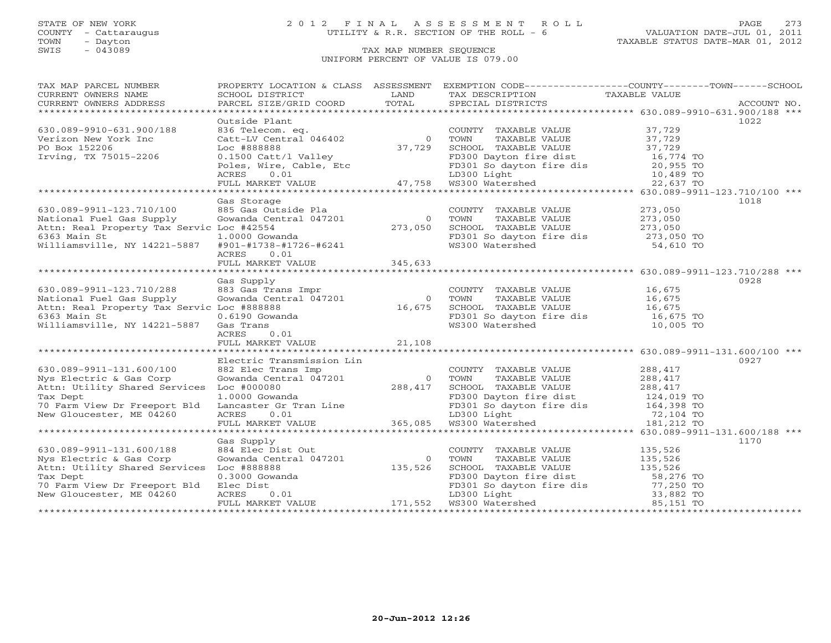SWIS - Dayton - Dayton - Dayton - Dayton - Dayton - Dayton - Dayton - Dayton - Dayton - Dayton - Dayton - Dayton - Dayton - Dayton - Dayton - Dayton - Dayton - Dayton - Dayton - Dayton - Dayton - Dayton - Dayton - Dayton -

TOWN - Dayton TAXABLE STATUS DATE-MAR 01, 2012

# UNIFORM PERCENT OF VALUE IS 079.00

| TAX MAP PARCEL NUMBER                                                                                                                                                                                                                  |                           |  | PROPERTY LOCATION & CLASS ASSESSMENT EXEMPTION CODE----------------COUNTY-------TOWN------SCHOOL |
|----------------------------------------------------------------------------------------------------------------------------------------------------------------------------------------------------------------------------------------|---------------------------|--|--------------------------------------------------------------------------------------------------|
|                                                                                                                                                                                                                                        |                           |  |                                                                                                  |
|                                                                                                                                                                                                                                        |                           |  |                                                                                                  |
|                                                                                                                                                                                                                                        |                           |  |                                                                                                  |
|                                                                                                                                                                                                                                        | Outside Plant             |  | 1022                                                                                             |
|                                                                                                                                                                                                                                        |                           |  |                                                                                                  |
|                                                                                                                                                                                                                                        |                           |  |                                                                                                  |
|                                                                                                                                                                                                                                        |                           |  |                                                                                                  |
|                                                                                                                                                                                                                                        |                           |  |                                                                                                  |
|                                                                                                                                                                                                                                        |                           |  |                                                                                                  |
|                                                                                                                                                                                                                                        |                           |  |                                                                                                  |
|                                                                                                                                                                                                                                        |                           |  |                                                                                                  |
|                                                                                                                                                                                                                                        |                           |  |                                                                                                  |
|                                                                                                                                                                                                                                        | Gas Storage               |  | 1018                                                                                             |
| 630.089-9911-123.710/100 685 Gas Outside Pla COUNTY TAXABLE VALUE 273,050<br>National Fuel Gas Supply Gowanda Central 047201 0 70WN TAXABLE VALUE 273,050<br>Attn: Real Property Tax Servic Loc #42554 273,050 SCHOOL TAXABLE VALU     |                           |  |                                                                                                  |
|                                                                                                                                                                                                                                        |                           |  |                                                                                                  |
|                                                                                                                                                                                                                                        |                           |  |                                                                                                  |
|                                                                                                                                                                                                                                        |                           |  |                                                                                                  |
|                                                                                                                                                                                                                                        |                           |  |                                                                                                  |
|                                                                                                                                                                                                                                        | ACRES 0.01                |  |                                                                                                  |
|                                                                                                                                                                                                                                        |                           |  |                                                                                                  |
|                                                                                                                                                                                                                                        |                           |  |                                                                                                  |
|                                                                                                                                                                                                                                        |                           |  |                                                                                                  |
|                                                                                                                                                                                                                                        | Gas Supply                |  | 0928                                                                                             |
|                                                                                                                                                                                                                                        |                           |  |                                                                                                  |
|                                                                                                                                                                                                                                        |                           |  |                                                                                                  |
|                                                                                                                                                                                                                                        |                           |  |                                                                                                  |
|                                                                                                                                                                                                                                        |                           |  |                                                                                                  |
|                                                                                                                                                                                                                                        |                           |  |                                                                                                  |
| 630.089-9911-123.710/288 683 Gas Trans Impr<br>National Fuel Gas Supply Gowanda Central 047201 0 TOWN TAXABLE VALUE 16,675<br>Attn: Real Property Tax Servic Loc #888888 16.675<br>6363 Main St 0.6190 Gowanda<br>Williamsville, NY 14 |                           |  |                                                                                                  |
|                                                                                                                                                                                                                                        |                           |  |                                                                                                  |
|                                                                                                                                                                                                                                        |                           |  |                                                                                                  |
|                                                                                                                                                                                                                                        | Electric Transmission Lin |  | 0927                                                                                             |
|                                                                                                                                                                                                                                        |                           |  |                                                                                                  |
|                                                                                                                                                                                                                                        |                           |  |                                                                                                  |
|                                                                                                                                                                                                                                        |                           |  |                                                                                                  |
|                                                                                                                                                                                                                                        |                           |  |                                                                                                  |
|                                                                                                                                                                                                                                        |                           |  |                                                                                                  |
|                                                                                                                                                                                                                                        |                           |  |                                                                                                  |
|                                                                                                                                                                                                                                        |                           |  |                                                                                                  |
|                                                                                                                                                                                                                                        |                           |  |                                                                                                  |
|                                                                                                                                                                                                                                        | Gas Supply                |  | 1170                                                                                             |
| 630.089-9911-131.600/188                                                                                                                                                                                                               |                           |  |                                                                                                  |
| Nys Electric & Gas Corp                                                                                                                                                                                                                |                           |  |                                                                                                  |
| Attn: Utility Shared Services Loc #888888                                                                                                                                                                                              |                           |  |                                                                                                  |
| Tax Dept                                                                                                                                                                                                                               |                           |  |                                                                                                  |
| 70 Farm View Dr Freeport Bld                                                                                                                                                                                                           |                           |  |                                                                                                  |
| New Gloucester, ME 04260                                                                                                                                                                                                               |                           |  |                                                                                                  |
|                                                                                                                                                                                                                                        |                           |  |                                                                                                  |
|                                                                                                                                                                                                                                        |                           |  |                                                                                                  |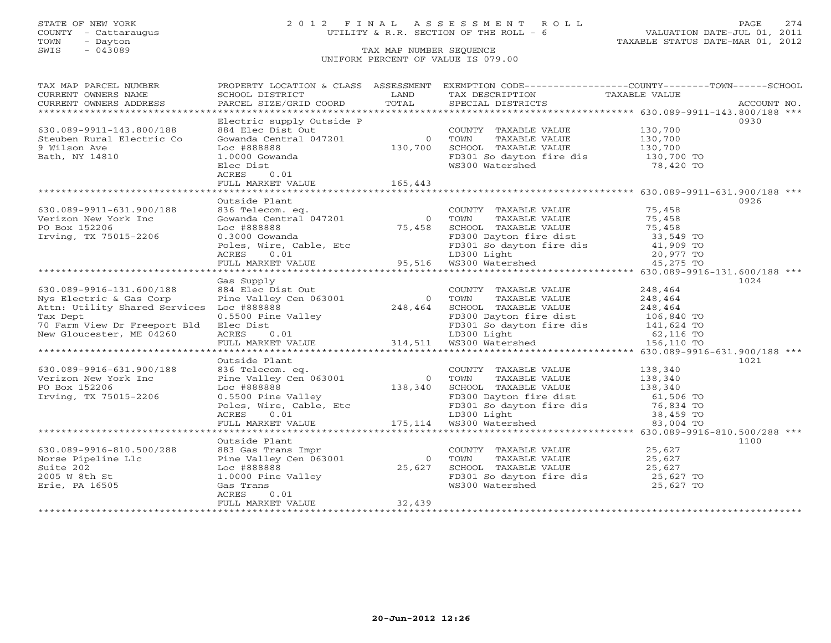# STATE OF NEW YORK 2 0 1 2 F I N A L A S S E S S M E N T R O L L PAGE 274 COUNTY - Cattaraugus UTILITY & R.R. SECTION OF THE ROLL - 6 VALUATION DATE-JUL 01, 2011

| 0930<br>COUNTY TAXABLE VALUE<br>Gowanda Central 047201 0 TOWN TAXABLE VALUE 130,700<br>Loc #888888 130,700 SCHOOL TAXABLE VALUE 130,700<br>1.0000 Gowanda 130,700 FD301 So dayton fire dis<br>Elec Dist WS300 Watershed 78.420<br>ACRES 0.01 WS3<br>630.089-9911-143.800/188<br>Steuben Rural Electric Co<br>9 Wilson Ave<br>FD301 So dayton fire dis 130,700 TO<br>WS300 Watershed 78,420 TO<br>Bath, NY 14810<br>Outside Plant<br>0926<br>COUNTY TAXABLE VALUE 75,458<br>336 Telecom. eq.<br>$\begin{array}{ccccc}\n & & & & & \text{COUNTY TAXABLE VALUE} & & & 75,458 \\ \text{Gowanda Central 047201} & & & & & \text{TOWN TAXABLE VALUE} & & & 75,458 \\ \text{Loc #888888} & & & & & \text{SCHOOL TAXABLE VALUE} & & & 75,458 \\ 0.3000 Gowanda & & & & & \text{FD300 Dayton fire dist} & & & 33,549 TO \\ \text{Poles, Wire, Cable, Etc & & & &$<br>630.089-9911-631.900/188<br>Verizon New York Inc<br>PO Box 152206<br>Irving, TX 75015-2206<br>Gas Supply<br>1024<br>316-131.600/188 (318 Supply<br>248.8 Corp Fine Valley Cen 063001 (318,464 EC Dist Out TOWN TAXABLE VALUE<br>248.464 (328,464 EC Dist Out D300 Dayton fire dist 248,464 (328,464 (328,464 (328,464 )<br>248,464 SCHOOL TAXABLE VALUE<br>630.089-9916-131.600/188<br>Nys Electric & Gas Corp<br>Attn: Utility Shared Services Loc #888888<br>Tax Dept<br>70 Farm View Dr Freeport Bld<br>New Gloucester, ME 04260<br>Outside Plant<br>1021<br>$\begin{tabular}{lllllllllllllllllllll} \hline 836 \text{ Telescope} & \text{eq.} & \text{COUNTY} & \text{PAXABLE VALUE} & 138,340 \\ \hline \text{Dice Valley Cen 063001} & 0 & \text{TOWN} & \text{TAXABLE VALUE} & 138,340 \\ \text{Loc #888888} & 138,340 & \text{SCH OOL TAXABLE VALUE} & 138,340 \\ \text{0.5500 Pine Valley} & \text{FD300 Davidyton fire dist} & 61,506 \text{ TO} \\ \text{Poles, wire, Cable, Etc} & \text{FD300 Light$<br>630.089-9916-631.900/188<br>Verizon New York Inc<br>PO Box 152206<br>Irving, TX 75015-2206<br>Outside Plant<br>1100<br>COUNTY TAXABLE VALUE<br>TOWN TAXABLE VALUE 25,627<br>SCHOOL TAXABLE VALUE 25,627<br>FD301 So dayton fire dis 25,627 TO<br>WS300 Watershed 25,627 TO<br>25,627 TO<br>Norse Pipeline Llc (1000) 288 (1000) 833 Gas Trans Impr<br>Norse Pipeline Llc (1000) Pine Valley Cen 063001 (1000) 9<br>Suite 202 (1000 Pine Valley (25,627<br>2005 W 8th St 1.0000 Pine Valley (368 Trans (25,627) (368 Trans (268<br>0 TOWN<br>32,439 | TAX MAP PARCEL NUMBER |  | PROPERTY LOCATION & CLASS ASSESSMENT EXEMPTION CODE----------------COUNTY-------TOWN------SCHOOL |  |
|-------------------------------------------------------------------------------------------------------------------------------------------------------------------------------------------------------------------------------------------------------------------------------------------------------------------------------------------------------------------------------------------------------------------------------------------------------------------------------------------------------------------------------------------------------------------------------------------------------------------------------------------------------------------------------------------------------------------------------------------------------------------------------------------------------------------------------------------------------------------------------------------------------------------------------------------------------------------------------------------------------------------------------------------------------------------------------------------------------------------------------------------------------------------------------------------------------------------------------------------------------------------------------------------------------------------------------------------------------------------------------------------------------------------------------------------------------------------------------------------------------------------------------------------------------------------------------------------------------------------------------------------------------------------------------------------------------------------------------------------------------------------------------------------------------------------------------------------------------------------------------------------------------------------------------------------------------------------------------------------------------------------------------------------------------------------------------------------------------------------------------------------------------------------------------------------------------------------------------------------------------------------------------------------------------------------------------------------------------------------------------------------------------------------------------------|-----------------------|--|--------------------------------------------------------------------------------------------------|--|
|                                                                                                                                                                                                                                                                                                                                                                                                                                                                                                                                                                                                                                                                                                                                                                                                                                                                                                                                                                                                                                                                                                                                                                                                                                                                                                                                                                                                                                                                                                                                                                                                                                                                                                                                                                                                                                                                                                                                                                                                                                                                                                                                                                                                                                                                                                                                                                                                                                     |                       |  |                                                                                                  |  |
|                                                                                                                                                                                                                                                                                                                                                                                                                                                                                                                                                                                                                                                                                                                                                                                                                                                                                                                                                                                                                                                                                                                                                                                                                                                                                                                                                                                                                                                                                                                                                                                                                                                                                                                                                                                                                                                                                                                                                                                                                                                                                                                                                                                                                                                                                                                                                                                                                                     |                       |  |                                                                                                  |  |
|                                                                                                                                                                                                                                                                                                                                                                                                                                                                                                                                                                                                                                                                                                                                                                                                                                                                                                                                                                                                                                                                                                                                                                                                                                                                                                                                                                                                                                                                                                                                                                                                                                                                                                                                                                                                                                                                                                                                                                                                                                                                                                                                                                                                                                                                                                                                                                                                                                     |                       |  |                                                                                                  |  |
|                                                                                                                                                                                                                                                                                                                                                                                                                                                                                                                                                                                                                                                                                                                                                                                                                                                                                                                                                                                                                                                                                                                                                                                                                                                                                                                                                                                                                                                                                                                                                                                                                                                                                                                                                                                                                                                                                                                                                                                                                                                                                                                                                                                                                                                                                                                                                                                                                                     |                       |  |                                                                                                  |  |
|                                                                                                                                                                                                                                                                                                                                                                                                                                                                                                                                                                                                                                                                                                                                                                                                                                                                                                                                                                                                                                                                                                                                                                                                                                                                                                                                                                                                                                                                                                                                                                                                                                                                                                                                                                                                                                                                                                                                                                                                                                                                                                                                                                                                                                                                                                                                                                                                                                     |                       |  |                                                                                                  |  |
|                                                                                                                                                                                                                                                                                                                                                                                                                                                                                                                                                                                                                                                                                                                                                                                                                                                                                                                                                                                                                                                                                                                                                                                                                                                                                                                                                                                                                                                                                                                                                                                                                                                                                                                                                                                                                                                                                                                                                                                                                                                                                                                                                                                                                                                                                                                                                                                                                                     |                       |  |                                                                                                  |  |
|                                                                                                                                                                                                                                                                                                                                                                                                                                                                                                                                                                                                                                                                                                                                                                                                                                                                                                                                                                                                                                                                                                                                                                                                                                                                                                                                                                                                                                                                                                                                                                                                                                                                                                                                                                                                                                                                                                                                                                                                                                                                                                                                                                                                                                                                                                                                                                                                                                     |                       |  |                                                                                                  |  |
|                                                                                                                                                                                                                                                                                                                                                                                                                                                                                                                                                                                                                                                                                                                                                                                                                                                                                                                                                                                                                                                                                                                                                                                                                                                                                                                                                                                                                                                                                                                                                                                                                                                                                                                                                                                                                                                                                                                                                                                                                                                                                                                                                                                                                                                                                                                                                                                                                                     |                       |  |                                                                                                  |  |
|                                                                                                                                                                                                                                                                                                                                                                                                                                                                                                                                                                                                                                                                                                                                                                                                                                                                                                                                                                                                                                                                                                                                                                                                                                                                                                                                                                                                                                                                                                                                                                                                                                                                                                                                                                                                                                                                                                                                                                                                                                                                                                                                                                                                                                                                                                                                                                                                                                     |                       |  |                                                                                                  |  |
|                                                                                                                                                                                                                                                                                                                                                                                                                                                                                                                                                                                                                                                                                                                                                                                                                                                                                                                                                                                                                                                                                                                                                                                                                                                                                                                                                                                                                                                                                                                                                                                                                                                                                                                                                                                                                                                                                                                                                                                                                                                                                                                                                                                                                                                                                                                                                                                                                                     |                       |  |                                                                                                  |  |
|                                                                                                                                                                                                                                                                                                                                                                                                                                                                                                                                                                                                                                                                                                                                                                                                                                                                                                                                                                                                                                                                                                                                                                                                                                                                                                                                                                                                                                                                                                                                                                                                                                                                                                                                                                                                                                                                                                                                                                                                                                                                                                                                                                                                                                                                                                                                                                                                                                     |                       |  |                                                                                                  |  |
|                                                                                                                                                                                                                                                                                                                                                                                                                                                                                                                                                                                                                                                                                                                                                                                                                                                                                                                                                                                                                                                                                                                                                                                                                                                                                                                                                                                                                                                                                                                                                                                                                                                                                                                                                                                                                                                                                                                                                                                                                                                                                                                                                                                                                                                                                                                                                                                                                                     |                       |  |                                                                                                  |  |
|                                                                                                                                                                                                                                                                                                                                                                                                                                                                                                                                                                                                                                                                                                                                                                                                                                                                                                                                                                                                                                                                                                                                                                                                                                                                                                                                                                                                                                                                                                                                                                                                                                                                                                                                                                                                                                                                                                                                                                                                                                                                                                                                                                                                                                                                                                                                                                                                                                     |                       |  |                                                                                                  |  |
|                                                                                                                                                                                                                                                                                                                                                                                                                                                                                                                                                                                                                                                                                                                                                                                                                                                                                                                                                                                                                                                                                                                                                                                                                                                                                                                                                                                                                                                                                                                                                                                                                                                                                                                                                                                                                                                                                                                                                                                                                                                                                                                                                                                                                                                                                                                                                                                                                                     |                       |  |                                                                                                  |  |
|                                                                                                                                                                                                                                                                                                                                                                                                                                                                                                                                                                                                                                                                                                                                                                                                                                                                                                                                                                                                                                                                                                                                                                                                                                                                                                                                                                                                                                                                                                                                                                                                                                                                                                                                                                                                                                                                                                                                                                                                                                                                                                                                                                                                                                                                                                                                                                                                                                     |                       |  |                                                                                                  |  |
|                                                                                                                                                                                                                                                                                                                                                                                                                                                                                                                                                                                                                                                                                                                                                                                                                                                                                                                                                                                                                                                                                                                                                                                                                                                                                                                                                                                                                                                                                                                                                                                                                                                                                                                                                                                                                                                                                                                                                                                                                                                                                                                                                                                                                                                                                                                                                                                                                                     |                       |  |                                                                                                  |  |
|                                                                                                                                                                                                                                                                                                                                                                                                                                                                                                                                                                                                                                                                                                                                                                                                                                                                                                                                                                                                                                                                                                                                                                                                                                                                                                                                                                                                                                                                                                                                                                                                                                                                                                                                                                                                                                                                                                                                                                                                                                                                                                                                                                                                                                                                                                                                                                                                                                     |                       |  |                                                                                                  |  |
|                                                                                                                                                                                                                                                                                                                                                                                                                                                                                                                                                                                                                                                                                                                                                                                                                                                                                                                                                                                                                                                                                                                                                                                                                                                                                                                                                                                                                                                                                                                                                                                                                                                                                                                                                                                                                                                                                                                                                                                                                                                                                                                                                                                                                                                                                                                                                                                                                                     |                       |  |                                                                                                  |  |
|                                                                                                                                                                                                                                                                                                                                                                                                                                                                                                                                                                                                                                                                                                                                                                                                                                                                                                                                                                                                                                                                                                                                                                                                                                                                                                                                                                                                                                                                                                                                                                                                                                                                                                                                                                                                                                                                                                                                                                                                                                                                                                                                                                                                                                                                                                                                                                                                                                     |                       |  |                                                                                                  |  |
|                                                                                                                                                                                                                                                                                                                                                                                                                                                                                                                                                                                                                                                                                                                                                                                                                                                                                                                                                                                                                                                                                                                                                                                                                                                                                                                                                                                                                                                                                                                                                                                                                                                                                                                                                                                                                                                                                                                                                                                                                                                                                                                                                                                                                                                                                                                                                                                                                                     |                       |  |                                                                                                  |  |
|                                                                                                                                                                                                                                                                                                                                                                                                                                                                                                                                                                                                                                                                                                                                                                                                                                                                                                                                                                                                                                                                                                                                                                                                                                                                                                                                                                                                                                                                                                                                                                                                                                                                                                                                                                                                                                                                                                                                                                                                                                                                                                                                                                                                                                                                                                                                                                                                                                     |                       |  |                                                                                                  |  |
|                                                                                                                                                                                                                                                                                                                                                                                                                                                                                                                                                                                                                                                                                                                                                                                                                                                                                                                                                                                                                                                                                                                                                                                                                                                                                                                                                                                                                                                                                                                                                                                                                                                                                                                                                                                                                                                                                                                                                                                                                                                                                                                                                                                                                                                                                                                                                                                                                                     |                       |  |                                                                                                  |  |
|                                                                                                                                                                                                                                                                                                                                                                                                                                                                                                                                                                                                                                                                                                                                                                                                                                                                                                                                                                                                                                                                                                                                                                                                                                                                                                                                                                                                                                                                                                                                                                                                                                                                                                                                                                                                                                                                                                                                                                                                                                                                                                                                                                                                                                                                                                                                                                                                                                     |                       |  |                                                                                                  |  |
|                                                                                                                                                                                                                                                                                                                                                                                                                                                                                                                                                                                                                                                                                                                                                                                                                                                                                                                                                                                                                                                                                                                                                                                                                                                                                                                                                                                                                                                                                                                                                                                                                                                                                                                                                                                                                                                                                                                                                                                                                                                                                                                                                                                                                                                                                                                                                                                                                                     |                       |  |                                                                                                  |  |
|                                                                                                                                                                                                                                                                                                                                                                                                                                                                                                                                                                                                                                                                                                                                                                                                                                                                                                                                                                                                                                                                                                                                                                                                                                                                                                                                                                                                                                                                                                                                                                                                                                                                                                                                                                                                                                                                                                                                                                                                                                                                                                                                                                                                                                                                                                                                                                                                                                     |                       |  |                                                                                                  |  |
|                                                                                                                                                                                                                                                                                                                                                                                                                                                                                                                                                                                                                                                                                                                                                                                                                                                                                                                                                                                                                                                                                                                                                                                                                                                                                                                                                                                                                                                                                                                                                                                                                                                                                                                                                                                                                                                                                                                                                                                                                                                                                                                                                                                                                                                                                                                                                                                                                                     |                       |  |                                                                                                  |  |
|                                                                                                                                                                                                                                                                                                                                                                                                                                                                                                                                                                                                                                                                                                                                                                                                                                                                                                                                                                                                                                                                                                                                                                                                                                                                                                                                                                                                                                                                                                                                                                                                                                                                                                                                                                                                                                                                                                                                                                                                                                                                                                                                                                                                                                                                                                                                                                                                                                     |                       |  |                                                                                                  |  |
|                                                                                                                                                                                                                                                                                                                                                                                                                                                                                                                                                                                                                                                                                                                                                                                                                                                                                                                                                                                                                                                                                                                                                                                                                                                                                                                                                                                                                                                                                                                                                                                                                                                                                                                                                                                                                                                                                                                                                                                                                                                                                                                                                                                                                                                                                                                                                                                                                                     |                       |  |                                                                                                  |  |
|                                                                                                                                                                                                                                                                                                                                                                                                                                                                                                                                                                                                                                                                                                                                                                                                                                                                                                                                                                                                                                                                                                                                                                                                                                                                                                                                                                                                                                                                                                                                                                                                                                                                                                                                                                                                                                                                                                                                                                                                                                                                                                                                                                                                                                                                                                                                                                                                                                     |                       |  |                                                                                                  |  |
|                                                                                                                                                                                                                                                                                                                                                                                                                                                                                                                                                                                                                                                                                                                                                                                                                                                                                                                                                                                                                                                                                                                                                                                                                                                                                                                                                                                                                                                                                                                                                                                                                                                                                                                                                                                                                                                                                                                                                                                                                                                                                                                                                                                                                                                                                                                                                                                                                                     |                       |  |                                                                                                  |  |
|                                                                                                                                                                                                                                                                                                                                                                                                                                                                                                                                                                                                                                                                                                                                                                                                                                                                                                                                                                                                                                                                                                                                                                                                                                                                                                                                                                                                                                                                                                                                                                                                                                                                                                                                                                                                                                                                                                                                                                                                                                                                                                                                                                                                                                                                                                                                                                                                                                     |                       |  |                                                                                                  |  |
|                                                                                                                                                                                                                                                                                                                                                                                                                                                                                                                                                                                                                                                                                                                                                                                                                                                                                                                                                                                                                                                                                                                                                                                                                                                                                                                                                                                                                                                                                                                                                                                                                                                                                                                                                                                                                                                                                                                                                                                                                                                                                                                                                                                                                                                                                                                                                                                                                                     |                       |  |                                                                                                  |  |
|                                                                                                                                                                                                                                                                                                                                                                                                                                                                                                                                                                                                                                                                                                                                                                                                                                                                                                                                                                                                                                                                                                                                                                                                                                                                                                                                                                                                                                                                                                                                                                                                                                                                                                                                                                                                                                                                                                                                                                                                                                                                                                                                                                                                                                                                                                                                                                                                                                     |                       |  |                                                                                                  |  |
|                                                                                                                                                                                                                                                                                                                                                                                                                                                                                                                                                                                                                                                                                                                                                                                                                                                                                                                                                                                                                                                                                                                                                                                                                                                                                                                                                                                                                                                                                                                                                                                                                                                                                                                                                                                                                                                                                                                                                                                                                                                                                                                                                                                                                                                                                                                                                                                                                                     |                       |  |                                                                                                  |  |
|                                                                                                                                                                                                                                                                                                                                                                                                                                                                                                                                                                                                                                                                                                                                                                                                                                                                                                                                                                                                                                                                                                                                                                                                                                                                                                                                                                                                                                                                                                                                                                                                                                                                                                                                                                                                                                                                                                                                                                                                                                                                                                                                                                                                                                                                                                                                                                                                                                     |                       |  |                                                                                                  |  |
|                                                                                                                                                                                                                                                                                                                                                                                                                                                                                                                                                                                                                                                                                                                                                                                                                                                                                                                                                                                                                                                                                                                                                                                                                                                                                                                                                                                                                                                                                                                                                                                                                                                                                                                                                                                                                                                                                                                                                                                                                                                                                                                                                                                                                                                                                                                                                                                                                                     |                       |  |                                                                                                  |  |
|                                                                                                                                                                                                                                                                                                                                                                                                                                                                                                                                                                                                                                                                                                                                                                                                                                                                                                                                                                                                                                                                                                                                                                                                                                                                                                                                                                                                                                                                                                                                                                                                                                                                                                                                                                                                                                                                                                                                                                                                                                                                                                                                                                                                                                                                                                                                                                                                                                     |                       |  |                                                                                                  |  |
|                                                                                                                                                                                                                                                                                                                                                                                                                                                                                                                                                                                                                                                                                                                                                                                                                                                                                                                                                                                                                                                                                                                                                                                                                                                                                                                                                                                                                                                                                                                                                                                                                                                                                                                                                                                                                                                                                                                                                                                                                                                                                                                                                                                                                                                                                                                                                                                                                                     |                       |  |                                                                                                  |  |
|                                                                                                                                                                                                                                                                                                                                                                                                                                                                                                                                                                                                                                                                                                                                                                                                                                                                                                                                                                                                                                                                                                                                                                                                                                                                                                                                                                                                                                                                                                                                                                                                                                                                                                                                                                                                                                                                                                                                                                                                                                                                                                                                                                                                                                                                                                                                                                                                                                     |                       |  |                                                                                                  |  |
|                                                                                                                                                                                                                                                                                                                                                                                                                                                                                                                                                                                                                                                                                                                                                                                                                                                                                                                                                                                                                                                                                                                                                                                                                                                                                                                                                                                                                                                                                                                                                                                                                                                                                                                                                                                                                                                                                                                                                                                                                                                                                                                                                                                                                                                                                                                                                                                                                                     |                       |  |                                                                                                  |  |
|                                                                                                                                                                                                                                                                                                                                                                                                                                                                                                                                                                                                                                                                                                                                                                                                                                                                                                                                                                                                                                                                                                                                                                                                                                                                                                                                                                                                                                                                                                                                                                                                                                                                                                                                                                                                                                                                                                                                                                                                                                                                                                                                                                                                                                                                                                                                                                                                                                     |                       |  |                                                                                                  |  |
|                                                                                                                                                                                                                                                                                                                                                                                                                                                                                                                                                                                                                                                                                                                                                                                                                                                                                                                                                                                                                                                                                                                                                                                                                                                                                                                                                                                                                                                                                                                                                                                                                                                                                                                                                                                                                                                                                                                                                                                                                                                                                                                                                                                                                                                                                                                                                                                                                                     |                       |  |                                                                                                  |  |
|                                                                                                                                                                                                                                                                                                                                                                                                                                                                                                                                                                                                                                                                                                                                                                                                                                                                                                                                                                                                                                                                                                                                                                                                                                                                                                                                                                                                                                                                                                                                                                                                                                                                                                                                                                                                                                                                                                                                                                                                                                                                                                                                                                                                                                                                                                                                                                                                                                     |                       |  |                                                                                                  |  |
|                                                                                                                                                                                                                                                                                                                                                                                                                                                                                                                                                                                                                                                                                                                                                                                                                                                                                                                                                                                                                                                                                                                                                                                                                                                                                                                                                                                                                                                                                                                                                                                                                                                                                                                                                                                                                                                                                                                                                                                                                                                                                                                                                                                                                                                                                                                                                                                                                                     |                       |  |                                                                                                  |  |
|                                                                                                                                                                                                                                                                                                                                                                                                                                                                                                                                                                                                                                                                                                                                                                                                                                                                                                                                                                                                                                                                                                                                                                                                                                                                                                                                                                                                                                                                                                                                                                                                                                                                                                                                                                                                                                                                                                                                                                                                                                                                                                                                                                                                                                                                                                                                                                                                                                     |                       |  |                                                                                                  |  |
|                                                                                                                                                                                                                                                                                                                                                                                                                                                                                                                                                                                                                                                                                                                                                                                                                                                                                                                                                                                                                                                                                                                                                                                                                                                                                                                                                                                                                                                                                                                                                                                                                                                                                                                                                                                                                                                                                                                                                                                                                                                                                                                                                                                                                                                                                                                                                                                                                                     |                       |  |                                                                                                  |  |
|                                                                                                                                                                                                                                                                                                                                                                                                                                                                                                                                                                                                                                                                                                                                                                                                                                                                                                                                                                                                                                                                                                                                                                                                                                                                                                                                                                                                                                                                                                                                                                                                                                                                                                                                                                                                                                                                                                                                                                                                                                                                                                                                                                                                                                                                                                                                                                                                                                     |                       |  |                                                                                                  |  |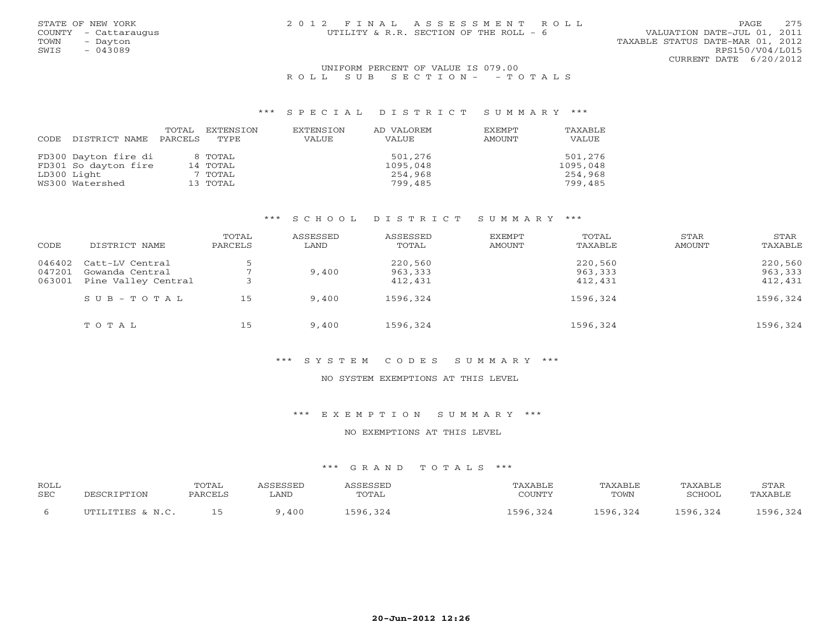| STATE OF NEW YORK    | 2012 FINAL ASSESSMENT ROLL             | 2.75<br>PAGE                     |
|----------------------|----------------------------------------|----------------------------------|
| COUNTY - Cattaraugus | UTILITY & R.R. SECTION OF THE ROLL - 6 | VALUATION DATE-JUL 01, 2011      |
| TOWN<br>- Davton     |                                        | TAXABLE STATUS DATE-MAR 01, 2012 |
| SWIS<br>$-043089$    |                                        | RPS150/V04/L015                  |
|                      |                                        | CURRENT DATE 6/20/2012           |

## UNIFORM PERCENT OF VALUE IS 079.00 R O L L S U B S E C T I O N - - T O T A L S

#### \*\*\* S P E C I A L D I S T R I C T S U M M A R Y \*\*\*

|      |                      | TOTAL   | EXTENSION | EXTENSION | AD VALOREM | EXEMPT | TAXABLE  |
|------|----------------------|---------|-----------|-----------|------------|--------|----------|
| CODE | DISTRICT NAME        | PARCELS | TYPE      | VALUE     | VALUE      | AMOUNT | VALUE    |
|      |                      |         |           |           |            |        |          |
|      | FD300 Dayton fire di |         | 8 TOTAL   |           | 501,276    |        | 501,276  |
|      | FD301 So dayton fire |         | 14 TOTAL  |           | 1095,048   |        | 1095,048 |
|      | LD300 Light          |         | 7 TOTAL   |           | 254,968    |        | 254,968  |
|      | WS300 Watershed      |         | 13 TOTAL  |           | 799,485    |        | 799,485  |

# \*\*\* S C H O O L D I S T R I C T S U M M A R Y \*\*\*

| CODE   | DISTRICT NAME             | TOTAL<br>PARCELS | ASSESSED<br>LAND | ASSESSED<br>TOTAL | EXEMPT<br>AMOUNT | TOTAL<br>TAXABLE | STAR<br>AMOUNT | STAR<br>TAXABLE |
|--------|---------------------------|------------------|------------------|-------------------|------------------|------------------|----------------|-----------------|
| 046402 | Catt-LV Central           |                  |                  | 220,560           |                  | 220,560          |                | 220,560         |
| 047201 | Gowanda Central           |                  | 9,400            | 963,333           |                  | 963,333          |                | 963,333         |
| 063001 | Pine Valley Central       |                  |                  | 412,431           |                  | 412,431          |                | 412,431         |
|        | $S \cup B - T \cup T A L$ | 15               | 9,400            | 1596,324          |                  | 1596,324         |                | 1596,324        |
|        | TOTAL                     | 15               | 9,400            | 1596,324          |                  | 1596,324         |                | 1596,324        |

#### \*\*\* S Y S T E M C O D E S S U M M A R Y \*\*\*

## NO SYSTEM EXEMPTIONS AT THIS LEVEL

# \*\*\* E X E M P T I O N S U M M A R Y \*\*\*

#### NO EXEMPTIONS AT THIS LEVEL

| <b>ROLL</b> |                   | TOTAL |      |       | 'AXABLE    | <b>TAXABLE</b> |               | STAF                                             |
|-------------|-------------------|-------|------|-------|------------|----------------|---------------|--------------------------------------------------|
| SEC         | $\cap$            | PARL  | ∟AND | TOTAL | COUNTY     | TOWN           | <b>RCHOOL</b> | $\mathbf{P} \Delta \mathbf{Y} \Delta \mathbf{R}$ |
|             | TITTT.TTTER & N C |       | 400  | 506   | 324<br>596 | L596,324       | 596 324       | 596321                                           |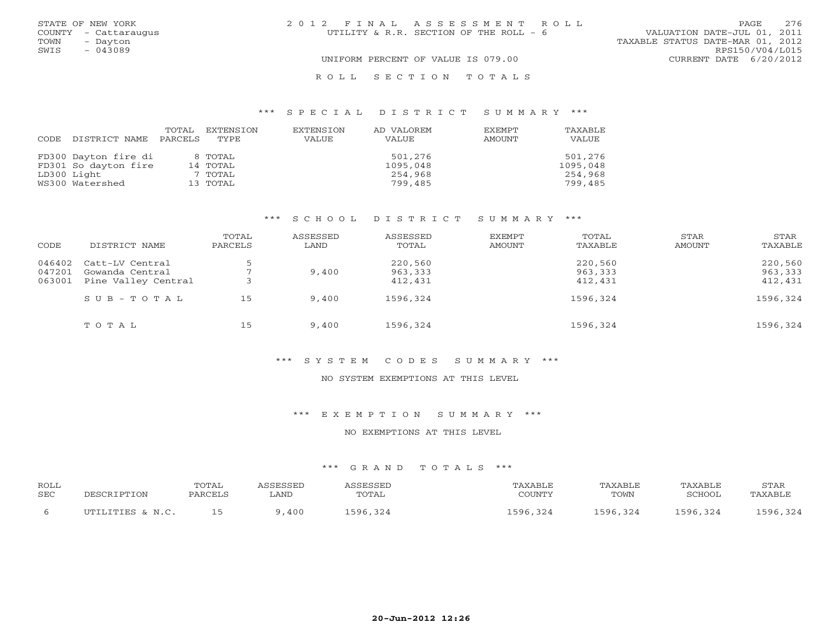| STATE OF NEW YORK    | 2012 FINAL ASSESSMENT ROLL             | 2.76<br>PAGE.                    |
|----------------------|----------------------------------------|----------------------------------|
| COUNTY - Cattaraugus | UTILITY & R.R. SECTION OF THE ROLL - 6 | VALUATION DATE-JUL 01, 2011      |
| TOWN<br>- Dayton     |                                        | TAXABLE STATUS DATE-MAR 01, 2012 |
| SWIS<br>$-043089$    |                                        | RPS150/V04/L015                  |
|                      | UNIFORM PERCENT OF VALUE IS 079.00     | CURRENT DATE 6/20/2012           |
|                      | ROLL SECTION TOTALS                    |                                  |

## \*\*\* S P E C I A L D I S T R I C T S U M M A R Y \*\*\*

|      |                      | TOTAL   | EXTENSION | EXTENSION | AD VALOREM | <b>EXEMPT</b> | TAXABLE  |
|------|----------------------|---------|-----------|-----------|------------|---------------|----------|
| CODE | DISTRICT NAME        | PARCELS | TYPE.     | VALUE     | VALUE      | AMOUNT        | VALUE    |
|      |                      |         |           |           |            |               |          |
|      | FD300 Dayton fire di |         | 8 TOTAL   |           | 501,276    |               | 501,276  |
|      | FD301 So dayton fire |         | 14 TOTAL  |           | 1095,048   |               | 1095,048 |
|      | LD300 Light          |         | 7 TOTAL   |           | 254,968    |               | 254,968  |
|      | WS300 Watershed      |         | 13 TOTAL  |           | 799,485    |               | 799,485  |

# \*\*\* S C H O O L D I S T R I C T S U M M A R Y \*\*\*

| CODE   | DISTRICT NAME       | TOTAL<br>PARCELS | ASSESSED<br>LAND | ASSESSED<br>TOTAL | EXEMPT<br>AMOUNT | TOTAL<br>TAXABLE | STAR<br>AMOUNT | STAR<br>TAXABLE |
|--------|---------------------|------------------|------------------|-------------------|------------------|------------------|----------------|-----------------|
| 046402 | Catt-LV Central     |                  |                  | 220,560           |                  | 220,560          |                | 220,560         |
| 047201 | Gowanda Central     |                  | 9,400            | 963,333           |                  | 963,333          |                | 963,333         |
| 063001 | Pine Valley Central |                  |                  | 412,431           |                  | 412,431          |                | 412,431         |
|        | $S$ U B - T O T A L | 15               | 9,400            | 1596,324          |                  | 1596,324         |                | 1596,324        |
|        | TOTAL               | 15               | 9,400            | 1596,324          |                  | 1596,324         |                | 1596,324        |

#### \*\*\* S Y S T E M C O D E S S U M M A R Y \*\*\*

# NO SYSTEM EXEMPTIONS AT THIS LEVEL

# \*\*\* E X E M P T I O N S U M M A R Y \*\*\*

#### NO EXEMPTIONS AT THIS LEVEL

| <b>ROLL</b> |                    | TOTAL         |      | CCRCCRT | AXABLE     | TAXABLE  | TAXABLE  | STAR    |
|-------------|--------------------|---------------|------|---------|------------|----------|----------|---------|
| SEC         | <b>DESCRIPTION</b> | <b>PARCEI</b> | ∟AND | TOTAL   | CCTINTMIX  | TOWN     | SCHOOL   | TAXABLF |
|             | TITTLITTER & N C   |               | ,400 | 596     | 324<br>596 | 1596,324 | 596,324. | 596321  |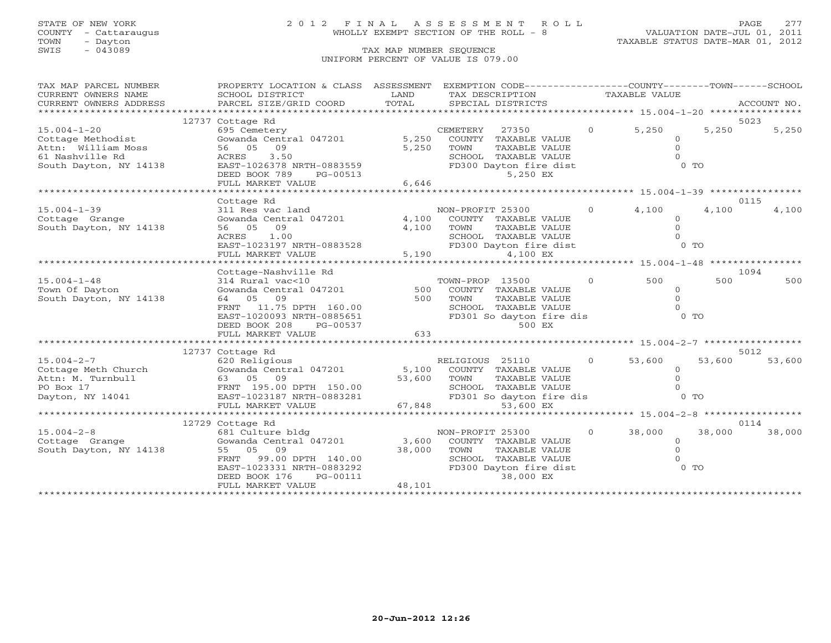# STATE OF NEW YORK 2 0 1 2 F I N A L A S S E S S M E N T R O L L PAGE 277 COUNTY - Cattaraugus WHOLLY EXEMPT SECTION OF THE ROLL - 8 VALUATION DATE-JUL 01, 2011

| TAX MAP PARCEL NUMBER                                                                                                                                                                                                                  | PROPERTY LOCATION & CLASS ASSESSMENT                                                             |          | EXEMPTION CODE-----------------COUNTY-------TOWN------SCHOOL |                   |                                          |        |             |
|----------------------------------------------------------------------------------------------------------------------------------------------------------------------------------------------------------------------------------------|--------------------------------------------------------------------------------------------------|----------|--------------------------------------------------------------|-------------------|------------------------------------------|--------|-------------|
| CURRENT OWNERS NAME                                                                                                                                                                                                                    | SCHOOL DISTRICT                                                                                  | LAND     | TAX DESCRIPTION                                              |                   | TAXABLE VALUE                            |        |             |
| CURRENT OWNERS ADDRESS                                                                                                                                                                                                                 | PARCEL SIZE/GRID COORD                                                                           | TOTAL    | SPECIAL DISTRICTS                                            |                   |                                          |        | ACCOUNT NO. |
|                                                                                                                                                                                                                                        |                                                                                                  |          |                                                              |                   |                                          |        |             |
|                                                                                                                                                                                                                                        | 12737 Cottage Rd                                                                                 |          |                                                              |                   |                                          |        | 5023        |
| $15.004 - 1 - 20$                                                                                                                                                                                                                      | 695 Cemetery                                                                                     |          | CEMETERY 27350 0 5,250                                       |                   |                                          | 5,250  | 5,250       |
| Cottage Methodist                                                                                                                                                                                                                      | Gowanda Central $047201$ 5,250<br>$56$<br>ACRES<br>$T^3$ $ST-102$                                |          | COUNTY TAXABLE VALUE                                         |                   | $\Omega$                                 |        |             |
| Attn: William Moss                                                                                                                                                                                                                     | 56 05 09                                                                                         | 5,250    | TOWN<br>TAXABLE VALUE                                        |                   | $\circ$                                  |        |             |
| 61 Nashville Rd                                                                                                                                                                                                                        | 3.50                                                                                             |          | SCHOOL TAXABLE VALUE                                         |                   | $\Omega$                                 |        |             |
| $\frac{1}{1000}$ South Dayton, NY 14138<br>South Dayton, NY 14138<br>$\frac{1}{10000}$ $\frac{1}{10000}$ $\frac{1}{10000}$ $\frac{1}{10000}$ $\frac{1}{10000}$ $\frac{1}{10000}$ $\frac{1}{10000}$                                     |                                                                                                  |          | FD300 Dayton fire dist                                       |                   | $0$ TO                                   |        |             |
|                                                                                                                                                                                                                                        | DEED BOOK 789<br>PG-00513                                                                        |          | 5,250 EX                                                     |                   |                                          |        |             |
|                                                                                                                                                                                                                                        | FULL MARKET VALUE                                                                                | 6,646    |                                                              |                   |                                          |        |             |
|                                                                                                                                                                                                                                        |                                                                                                  |          |                                                              |                   |                                          |        |             |
|                                                                                                                                                                                                                                        | Cottage Rd                                                                                       |          |                                                              |                   |                                          |        | 0115        |
| $15.004 - 1 - 39$                                                                                                                                                                                                                      | 311 Res vac land                                                                                 |          | NON-PROFIT 25300                                             | $\Omega$          | 4,100                                    | 4,100  | 4,100       |
| Cottage Grange                                                                                                                                                                                                                         | Gowanda Central 047201 4,100                                                                     |          | COUNTY TAXABLE VALUE                                         |                   | $\circ$                                  |        |             |
| South Dayton, NY 14138                                                                                                                                                                                                                 | 56 05 09                                                                                         | 4,100    | TAXABLE VALUE<br>TOWN                                        |                   | $\Omega$                                 |        |             |
|                                                                                                                                                                                                                                        | ACRES 1.00                                                                                       |          | SCHOOL TAXABLE VALUE                                         |                   |                                          |        |             |
|                                                                                                                                                                                                                                        |                                                                                                  |          |                                                              |                   | $\begin{array}{c} 0 \\ 0 \\ \end{array}$ |        |             |
|                                                                                                                                                                                                                                        | ACRES 1.00 SCHC<br>EAST-1023197 NRTH-0883528 FULL MARKET VALUE 5,190                             |          | FD300 Dayton fire dist                                       |                   |                                          |        |             |
|                                                                                                                                                                                                                                        |                                                                                                  |          | 4,100 EX                                                     |                   |                                          |        |             |
|                                                                                                                                                                                                                                        |                                                                                                  |          |                                                              |                   |                                          |        |             |
|                                                                                                                                                                                                                                        | Cottage-Nashville Rd                                                                             |          |                                                              |                   |                                          |        | 1094        |
| $15.004 - 1 - 48$                                                                                                                                                                                                                      | 314 Rural vac<10                                                                                 | $TC$ 500 | TOWN-PROP 13500                                              | $\overline{0}$    | 500                                      | 500    | 500         |
| Town Of Dayton                                                                                                                                                                                                                         | Gowanda Central 047201                                                                           |          | COUNTY TAXABLE VALUE                                         |                   | $\circ$                                  |        |             |
| South Dayton, NY 14138                                                                                                                                                                                                                 | 64 05 09                                                                                         | 500      | TOWN<br>TAXABLE VALUE                                        |                   | $\Omega$                                 |        |             |
|                                                                                                                                                                                                                                        |                                                                                                  |          | SCHOOL TAXABLE VALUE                                         |                   | $\Omega$                                 |        |             |
|                                                                                                                                                                                                                                        |                                                                                                  |          | FD301 So dayton fire dis                                     |                   | 0 <sub>T</sub>                           |        |             |
|                                                                                                                                                                                                                                        | 64 US<br>FRNT 11.75 DPTH 160.00<br>EAST-1020093 NRTH-0885651 FD301 So da<br>PG-00537 FD301 So da |          | 500 EX                                                       |                   |                                          |        |             |
|                                                                                                                                                                                                                                        | FULL MARKET VALUE                                                                                | 633      |                                                              |                   |                                          |        |             |
|                                                                                                                                                                                                                                        |                                                                                                  |          |                                                              |                   |                                          |        |             |
|                                                                                                                                                                                                                                        | 12737 Cottage Rd                                                                                 |          |                                                              |                   |                                          |        | 5012        |
| $15.004 - 2 - 7$                                                                                                                                                                                                                       | 620 Religious                                                                                    |          | RELIGIOUS 25110 0 53,600                                     |                   |                                          | 53,600 | 53,600      |
|                                                                                                                                                                                                                                        | Gowanda Central 047201 5,100 COUNTY TAXABLE VALUE                                                |          |                                                              |                   | $\Omega$                                 |        |             |
|                                                                                                                                                                                                                                        |                                                                                                  |          | TAXABLE VALUE                                                |                   | $\Omega$                                 |        |             |
|                                                                                                                                                                                                                                        |                                                                                                  |          | SCHOOL TAXABLE VALUE                                         |                   |                                          |        |             |
|                                                                                                                                                                                                                                        |                                                                                                  |          | FD301 So dayton fire dis                                     |                   |                                          | $0$ TO |             |
| 15.004-2-7<br>Cottage Meth Church Gowanda Central 047201 5,100 COUNII<br>Attn: M. Turnbull 63 05 09 53,600 TOWN 53,600 TOWN 50 Box 17<br>PO Box 17 FRNT 195.00 DPTH 150.00 SCHOOL<br>Dayton, NY 14041 EAST-1023187 NRTH-0883281 67,848 |                                                                                                  |          | 53,600 EX                                                    |                   |                                          |        |             |
|                                                                                                                                                                                                                                        |                                                                                                  |          | ************************ 15.004-2-8 *****************        |                   |                                          |        |             |
|                                                                                                                                                                                                                                        | 12729 Cottage Rd                                                                                 |          |                                                              |                   |                                          |        | 0114        |
| $15.004 - 2 - 8$                                                                                                                                                                                                                       | 681 Culture bldg                                                                                 |          | NON-PROFIT 25300                                             | $0 \qquad \qquad$ | 38,000                                   | 38,000 | 38,000      |
| Cottage Grange                                                                                                                                                                                                                         | Gowanda Central $047201$ 3,600                                                                   |          | COUNTY TAXABLE VALUE                                         |                   | $\circ$                                  |        |             |
| South Dayton, NY 14138                                                                                                                                                                                                                 | 55 05 09                                                                                         | 38,000   | TOWN<br>TAXABLE VALUE                                        |                   | $\circ$                                  |        |             |
|                                                                                                                                                                                                                                        | FRNT<br>99.00 DPTH 140.00                                                                        |          | SCHOOL TAXABLE VALUE                                         |                   | $\Omega$                                 |        |             |
|                                                                                                                                                                                                                                        | EAST-1023331 NRTH-0883292                                                                        |          | FD300 Dayton fire dist                                       |                   |                                          | $0$ TO |             |
|                                                                                                                                                                                                                                        | DEED BOOK 176<br>PG-00111                                                                        |          | 38,000 EX                                                    |                   |                                          |        |             |
|                                                                                                                                                                                                                                        | FULL MARKET VALUE                                                                                | 48,101   |                                                              |                   |                                          |        |             |
|                                                                                                                                                                                                                                        |                                                                                                  |          |                                                              |                   |                                          |        |             |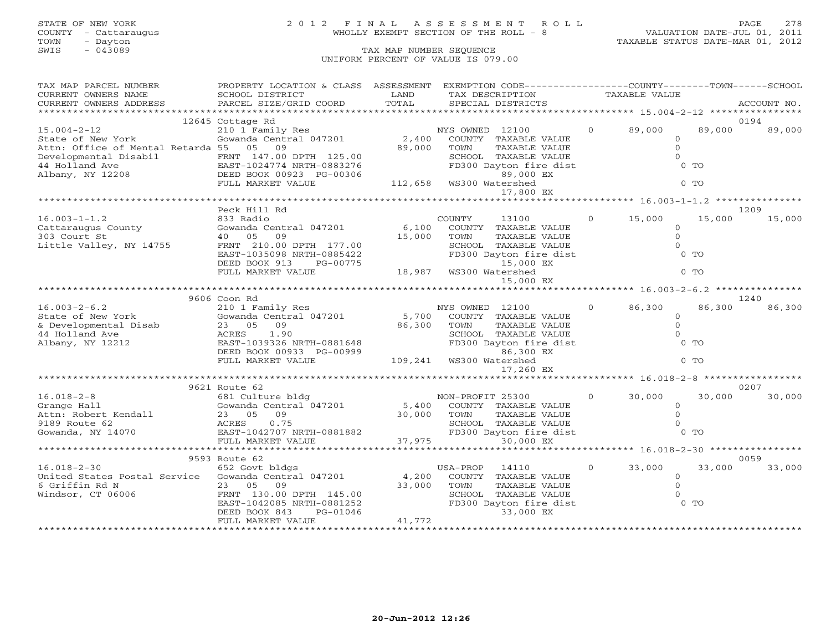# STATE OF NEW YORK 2 0 1 2 F I N A L A S S E S S M E N T R O L L PAGE 278 COUNTY - Cattaraugus WHOLLY EXEMPT SECTION OF THE ROLL - 8 VALUATION DATE-JUL 01, 2011

| TAX MAP PARCEL NUMBER                                                                                                                  | PROPERTY LOCATION & CLASS ASSESSMENT EXEMPTION CODE----------------COUNTY-------TOWN------SCHOOL                                                                                                                               |                                         |                 |                            |                |                      |          |             |
|----------------------------------------------------------------------------------------------------------------------------------------|--------------------------------------------------------------------------------------------------------------------------------------------------------------------------------------------------------------------------------|-----------------------------------------|-----------------|----------------------------|----------------|----------------------|----------|-------------|
| CURRENT OWNERS NAME                                                                                                                    | SCHOOL DISTRICT                                                                                                                                                                                                                | LAND                                    |                 | TAX DESCRIPTION            |                | <b>TAXABLE VALUE</b> |          |             |
| CURRENT OWNERS ADDRESS                                                                                                                 | PARCEL SIZE/GRID COORD                                                                                                                                                                                                         | TOTAL                                   |                 | SPECIAL DISTRICTS          |                |                      |          | ACCOUNT NO. |
|                                                                                                                                        |                                                                                                                                                                                                                                |                                         |                 |                            |                |                      |          |             |
|                                                                                                                                        | 12645 Cottage Rd                                                                                                                                                                                                               |                                         |                 |                            |                |                      |          | 0194        |
| $15.004 - 2 - 12$                                                                                                                      | 210 1 Family Res                                                                                                                                                                                                               |                                         | NYS OWNED 12100 |                            | $\overline{0}$ | 89,000               | 89,000   | 89,000      |
| State of New York                                                                                                                      | $210$ $1$ $1$ $210$ $1$ $1$ $210$ $1$ $100$ $100$ $100$ $100$ $100$ $100$ $100$ $100$ $100$ $100$ $100$ $100$ $100$ $100$ $100$ $100$ $100$ $100$ $100$ $100$ $100$ $100$ $100$ $100$ $100$ $100$ $100$ $100$ $100$ $100$ $10$ |                                         |                 | COUNTY TAXABLE VALUE       |                |                      | $\circ$  |             |
| Attn: Office of Mental Retarda 55 05 09                                                                                                |                                                                                                                                                                                                                                | 89,000                                  | TOWN            | TAXABLE VALUE              |                |                      | $\circ$  |             |
| Developmental Disabil FRNT 147.00 DPTH 125.00<br>44 Holland Ave EAST-1024774 NRTH-0883276<br>Albany, NY 12208 DEED BOOK 00923 PG-00306 |                                                                                                                                                                                                                                |                                         |                 | SCHOOL TAXABLE VALUE       |                |                      | $\Omega$ |             |
|                                                                                                                                        |                                                                                                                                                                                                                                |                                         |                 | FD300 Dayton fire dist     |                |                      | $0$ TO   |             |
|                                                                                                                                        |                                                                                                                                                                                                                                |                                         |                 | 89,000 EX                  |                |                      |          |             |
|                                                                                                                                        | FULL MARKET VALUE                                                                                                                                                                                                              |                                         |                 |                            |                |                      | $0$ TO   |             |
|                                                                                                                                        |                                                                                                                                                                                                                                |                                         |                 | 17,800 EX                  |                |                      |          |             |
|                                                                                                                                        |                                                                                                                                                                                                                                |                                         |                 |                            |                |                      |          |             |
|                                                                                                                                        | Peck Hill Rd                                                                                                                                                                                                                   |                                         |                 |                            |                |                      |          | 1209        |
| $16.003 - 1 - 1.2$                                                                                                                     | 833 Radio                                                                                                                                                                                                                      |                                         | COUNTY          | 13100                      |                | $0 \t 15,000$        | 15,000   | 15,000      |
| Cattaraugus County                                                                                                                     | Gowanda Central 047201                                                                                                                                                                                                         | 6,100                                   |                 | COUNTY TAXABLE VALUE       |                |                      | $\Omega$ |             |
| 303 Court St                                                                                                                           | 40 05<br>09                                                                                                                                                                                                                    | 15,000                                  | TOWN            | TAXABLE VALUE              |                |                      | $\Omega$ |             |
| Little Valley, NY 14755                                                                                                                | FRNT 210.00 DPTH 177.00                                                                                                                                                                                                        |                                         |                 | SCHOOL TAXABLE VALUE       |                |                      | $\Omega$ |             |
|                                                                                                                                        | EAST-1035098 NRTH-0885422                                                                                                                                                                                                      |                                         |                 | FD300 Dayton fire dist     |                |                      | $0$ TO   |             |
|                                                                                                                                        | DEED BOOK 913<br>PG-00775                                                                                                                                                                                                      |                                         |                 | 15,000 EX                  |                |                      |          |             |
|                                                                                                                                        | FULL MARKET VALUE                                                                                                                                                                                                              | 15,000<br>15,000 18,987 WS300 Watershed |                 |                            |                |                      | $0$ TO   |             |
|                                                                                                                                        |                                                                                                                                                                                                                                |                                         |                 | 15,000 EX                  |                |                      |          |             |
|                                                                                                                                        |                                                                                                                                                                                                                                |                                         |                 |                            |                |                      |          |             |
|                                                                                                                                        | 9606 Coon Rd                                                                                                                                                                                                                   |                                         |                 |                            |                |                      |          | 1240        |
| $16.003 - 2 - 6.2$                                                                                                                     | 210 1 Family Res                                                                                                                                                                                                               |                                         | NYS OWNED 12100 |                            | $\overline{0}$ | 86,300               | 86,300   | 86,300      |
| State of New York                                                                                                                      | Gowanda Central 047201                                                                                                                                                                                                         | 5,700                                   |                 | COUNTY TAXABLE VALUE       |                |                      | $\circ$  |             |
| & Developmental Disab                                                                                                                  | 23 05 09                                                                                                                                                                                                                       | 86,300                                  | TOWN            | TAXABLE VALUE              |                |                      | $\circ$  |             |
| 44 Holland Ave                                                                                                                         |                                                                                                                                                                                                                                |                                         |                 | SCHOOL TAXABLE VALUE       |                |                      | $\Omega$ |             |
| Albany, NY 12212                                                                                                                       | ACRES 1.90<br>EAST-1039326 NRTH-0881648                                                                                                                                                                                        |                                         |                 | FD300 Dayton fire dist     |                |                      | $0$ TO   |             |
|                                                                                                                                        | DEED BOOK 00933 PG-00999                                                                                                                                                                                                       |                                         |                 | 86,300 EX                  |                |                      |          |             |
|                                                                                                                                        | FULL MARKET VALUE                                                                                                                                                                                                              |                                         |                 |                            |                |                      | $0$ TO   |             |
|                                                                                                                                        |                                                                                                                                                                                                                                |                                         |                 | 17,260 EX                  |                |                      |          |             |
|                                                                                                                                        |                                                                                                                                                                                                                                |                                         |                 |                            |                |                      |          |             |
|                                                                                                                                        | 9621 Route 62                                                                                                                                                                                                                  |                                         |                 |                            |                |                      |          | 0207        |
| $16.018 - 2 - 8$                                                                                                                       | 681 Culture bldg                                                                                                                                                                                                               | NON-PROFIT 25300                        |                 |                            |                | $0 \t 30,000$        | 30,000   | 30,000      |
| Grange Hall                                                                                                                            | Gowanda Central 047201                                                                                                                                                                                                         |                                         |                 | 5,400 COUNTY TAXABLE VALUE |                |                      | $\circ$  |             |
| Attn: Robert Kendall                                                                                                                   | 09<br>23 05                                                                                                                                                                                                                    | 30,000 TOWN                             |                 | TAXABLE VALUE              |                |                      | $\Omega$ |             |
| 9189 Route 62                                                                                                                          | 0.75<br>ACRES                                                                                                                                                                                                                  |                                         |                 | SCHOOL TAXABLE VALUE       |                |                      | $\Omega$ |             |
| Gowanda, NY 14070                                                                                                                      |                                                                                                                                                                                                                                |                                         |                 | FD300 Dayton fire dist     |                |                      | $0$ TO   |             |
|                                                                                                                                        |                                                                                                                                                                                                                                | 37,975                                  |                 | 30,000 EX                  |                |                      |          |             |
|                                                                                                                                        |                                                                                                                                                                                                                                |                                         |                 |                            |                |                      |          |             |
|                                                                                                                                        | 9593 Route 62                                                                                                                                                                                                                  |                                         |                 |                            |                |                      |          | 0059        |
| 16.018-2-30 652 Govt bldgs US<br>United States Postal Service Gowanda Central 047201 4,200                                             |                                                                                                                                                                                                                                |                                         | USA-PROP        | 14110                      | $\Omega$       | 33,000               | 33,000   | 33,000      |
|                                                                                                                                        |                                                                                                                                                                                                                                |                                         |                 | COUNTY TAXABLE VALUE       |                |                      | $\Omega$ |             |
| 6 Griffin Rd N                                                                                                                         | 23 05<br>09                                                                                                                                                                                                                    | 33,000                                  | TOWN            | TAXABLE VALUE              |                |                      | $\Omega$ |             |
| Windsor, CT 06006                                                                                                                      | FRNT 130.00 DPTH 145.00                                                                                                                                                                                                        |                                         |                 | SCHOOL TAXABLE VALUE       |                |                      | $\Omega$ |             |
|                                                                                                                                        | EAST-1042085 NRTH-0881252                                                                                                                                                                                                      |                                         |                 | FD300 Dayton fire dist     |                |                      | $0$ TO   |             |
|                                                                                                                                        | DEED BOOK 843<br>PG-01046                                                                                                                                                                                                      |                                         |                 | 33,000 EX                  |                |                      |          |             |
|                                                                                                                                        | FULL MARKET VALUE                                                                                                                                                                                                              | 41,772                                  |                 |                            |                |                      |          |             |
|                                                                                                                                        |                                                                                                                                                                                                                                |                                         |                 |                            |                |                      |          |             |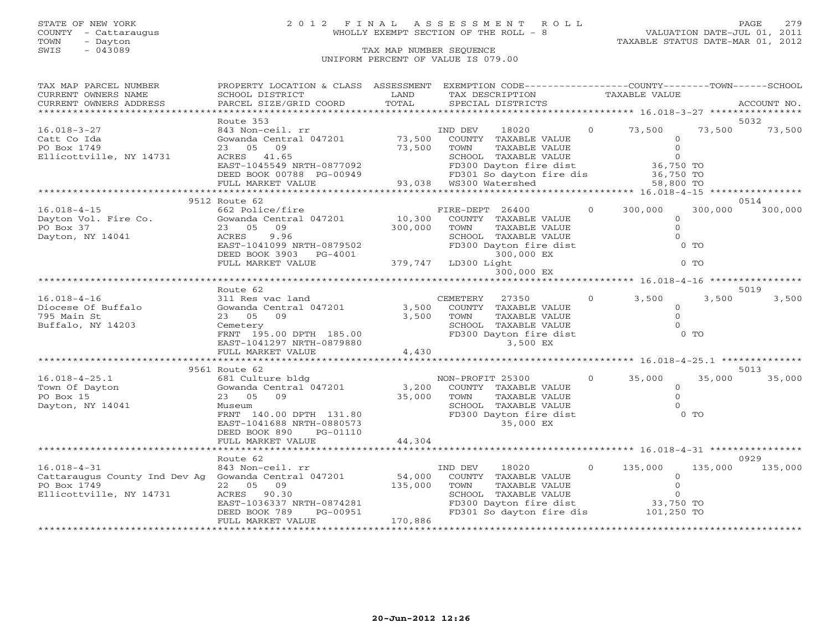# STATE OF NEW YORK 2 0 1 2 F I N A L A S S E S S M E N T R O L L PAGE 279 COUNTY - Cattaraugus WHOLLY EXEMPT SECTION OF THE ROLL - 8 VALUATION DATE-JUL 01, 2011

| TAX MAP PARCEL NUMBER                                | PROPERTY LOCATION & CLASS ASSESSMENT EXEMPTION CODE---------------COUNTY-------TOWN------SCHOOL                                  |                     |                  |                                    |          |               |                |             |
|------------------------------------------------------|----------------------------------------------------------------------------------------------------------------------------------|---------------------|------------------|------------------------------------|----------|---------------|----------------|-------------|
| CURRENT OWNERS NAME                                  | SCHOOL DISTRICT                                                                                                                  | LAND                |                  | TAX DESCRIPTION                    |          | TAXABLE VALUE |                |             |
| CURRENT OWNERS ADDRESS                               | PARCEL SIZE/GRID COORD                                                                                                           | TOTAL               |                  | SPECIAL DISTRICTS                  |          |               |                | ACCOUNT NO. |
|                                                      |                                                                                                                                  |                     |                  |                                    |          |               |                |             |
|                                                      | Route 353                                                                                                                        |                     |                  |                                    |          |               |                | 5032        |
| $16.018 - 3 - 27$                                    | 843 Non-ceil. rr                                                                                                                 |                     | IND DEV          | 18020                              | $\Omega$ | 73,500        | 73,500         | 73,500      |
| Catt Co Ida                                          | Gowanda Central 047201 73,500                                                                                                    |                     |                  | COUNTY TAXABLE VALUE               |          |               | $\Omega$       |             |
| PO Box 1749                                          | 23 05 09                                                                                                                         | 73,500              | TOWN             | TAXABLE VALUE                      |          |               | $\mathbf{0}$   |             |
| Ellicottville, NY 14731                              | ACRES 41.65                                                                                                                      |                     |                  | SCHOOL TAXABLE VALUE               |          |               | $\overline{O}$ |             |
|                                                      | ACRES 41.65<br>EAST-1045549 NRTH-0877092<br>DEED BOOK 00788 PG-00949 PD301 So dayton<br>FULL MARKET VALUE 93,038 WS300 Watershed |                     |                  | FD300 Dayton fire dist             |          | 36,750 TO     |                |             |
|                                                      |                                                                                                                                  |                     |                  | FD301 So dayton fire dis 36,750 TO |          |               |                |             |
|                                                      |                                                                                                                                  |                     |                  |                                    |          | 58,800 TO     |                |             |
|                                                      |                                                                                                                                  |                     |                  |                                    |          |               |                |             |
|                                                      | 9512 Route 62                                                                                                                    |                     |                  |                                    |          |               |                | 0514        |
| $16.018 - 4 - 15$                                    | 662 Police/fire                                                                                                                  |                     | FIRE-DEPT 26400  |                                    | $\Omega$ | 300,000       | 300,000        | 300,000     |
| Dayton Vol. Fire Co.                                 | Gowanda Central 047201                                                                                                           | 10,300              |                  | COUNTY TAXABLE VALUE               |          |               | $\circ$        |             |
|                                                      |                                                                                                                                  |                     |                  |                                    |          |               | $\circ$        |             |
| PO Box 37                                            | 23 05 09                                                                                                                         | 300,000             | TOWN             | TAXABLE VALUE                      |          |               | $\Omega$       |             |
| Dayton, NY 14041                                     | 9.96<br>ACRES                                                                                                                    |                     |                  | SCHOOL TAXABLE VALUE               |          |               |                |             |
|                                                      | EAST-1041099 NRTH-0879502                                                                                                        |                     |                  | FD300 Dayton fire dist             |          |               | $0$ TO         |             |
|                                                      | DEED BOOK 3903 PG-4001                                                                                                           |                     |                  | 300,000 EX                         |          |               |                |             |
|                                                      | FULL MARKET VALUE                                                                                                                | 379,747 LD300 Light |                  |                                    |          |               | $0$ TO         |             |
|                                                      |                                                                                                                                  |                     |                  | 300,000 EX                         |          |               |                |             |
|                                                      |                                                                                                                                  |                     |                  |                                    |          |               |                |             |
|                                                      | Route 62                                                                                                                         |                     |                  |                                    |          |               |                | 5019        |
| $16.018 - 4 - 16$                                    | 311 Res vac land                                                                                                                 |                     | CEMETERY         | 27350                              | $\circ$  | 3,500         | 3,500          | 3,500       |
| Diocese Of Buffalo                                   | Gowanda Central 047201                                                                                                           | 3,500               |                  | COUNTY TAXABLE VALUE               |          |               | $\Omega$       |             |
| 795 Main St                                          | 23 05 09                                                                                                                         | 3,500               | TOWN             | TAXABLE VALUE                      |          |               | $\circ$        |             |
| Buffalo, NY 14203                                    | Cemetery                                                                                                                         |                     |                  | SCHOOL TAXABLE VALUE               |          |               | $\Omega$       |             |
|                                                      | FRNT 195.00 DPTH 185.00                                                                                                          |                     |                  | FD300 Dayton fire dist             |          |               | $0$ TO         |             |
|                                                      | EAST-1041297 NRTH-0879880                                                                                                        |                     |                  | 3,500 EX                           |          |               |                |             |
|                                                      | FULL MARKET VALUE                                                                                                                | 4,430               |                  |                                    |          |               |                |             |
|                                                      |                                                                                                                                  |                     |                  |                                    |          |               |                |             |
|                                                      | 9561 Route 62                                                                                                                    |                     |                  |                                    |          |               |                | 5013        |
| $16.018 - 4 - 25.1$                                  | 681 Culture bldg                                                                                                                 |                     | NON-PROFIT 25300 |                                    | $\Omega$ | 35,000        | 35,000         | 35,000      |
| Town Of Dayton                                       | Gowanda Central 047201                                                                                                           |                     |                  | 3,200 COUNTY TAXABLE VALUE         |          |               | $\circ$        |             |
| PO Box 15                                            | 23 05<br>09                                                                                                                      | 35,000              | TOWN             | TAXABLE VALUE                      |          |               | $\Omega$       |             |
| Dayton, NY 14041                                     | Museum                                                                                                                           |                     |                  | SCHOOL TAXABLE VALUE               |          |               | $\Omega$       |             |
|                                                      | FRNT 140.00 DPTH 131.80                                                                                                          |                     |                  | FD300 Dayton fire dist             |          |               | $0$ TO         |             |
|                                                      | EAST-1041688 NRTH-0880573                                                                                                        |                     |                  | 35,000 EX                          |          |               |                |             |
|                                                      | DEED BOOK 890<br>PG-01110                                                                                                        |                     |                  |                                    |          |               |                |             |
|                                                      | FULL MARKET VALUE                                                                                                                | 44,304              |                  |                                    |          |               |                |             |
|                                                      |                                                                                                                                  |                     |                  |                                    |          |               |                |             |
|                                                      | Route 62                                                                                                                         |                     |                  |                                    |          |               |                | 0929        |
| $16.018 - 4 - 31$                                    |                                                                                                                                  |                     | IND DEV          | 18020<br>$\overline{0}$            |          | 135,000       | 135,000        | 135,000     |
| Cattaraugus County Ind Dev Ag Gowanda Central 047201 | 843 Non-ceil. rr                                                                                                                 | 54,000              |                  | COUNTY TAXABLE VALUE               |          |               | $\mathbf{0}$   |             |
| PO Box 1749                                          |                                                                                                                                  |                     |                  |                                    |          |               | $\Omega$       |             |
|                                                      | 22 05 09                                                                                                                         | 135,000             | TOWN             | TAXABLE VALUE                      |          |               | $\Omega$       |             |
| Ellicottville, NY 14731                              | ACRES 90.30                                                                                                                      |                     |                  | SCHOOL TAXABLE VALUE               |          |               |                |             |
|                                                      | EAST-1036337 NRTH-0874281                                                                                                        |                     |                  | FD300 Dayton fire dist 33,750 TO   |          |               |                |             |
|                                                      | DEED BOOK 789<br>PG-00951                                                                                                        |                     |                  | FD301 So dayton fire dis           |          | 101,250 TO    |                |             |
|                                                      | FULL MARKET VALUE                                                                                                                | 170,886             |                  |                                    |          |               |                |             |
|                                                      |                                                                                                                                  |                     |                  |                                    |          |               |                |             |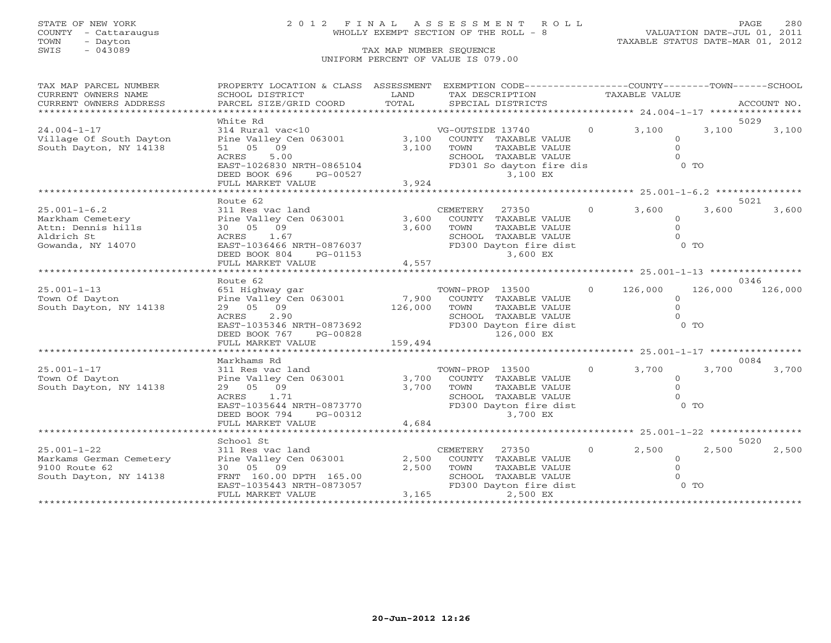TOWN - Dayton TAXABLE STATUS DATE-MAR 01, 2012 TOWN - Dayton - 2007<br>SWIS - 043089 TAX MAP NUMBER SEQUENCE

# STATE OF NEW YORK 2 0 1 2 F I N A L A S S E S S M E N T R O L L PAGE 280 COUNTY - Cattaraugus WHOLLY EXEMPT SECTION OF THE ROLL - 8 VALUATION DATE-JUL 01, 2011

# UNIFORM PERCENT OF VALUE IS 079.00

| TAX MAP PARCEL NUMBER<br>CURRENT OWNERS NAME<br>CURRENT OWNERS ADDRESS                          | PROPERTY LOCATION & CLASS ASSESSMENT EXEMPTION CODE----------------COUNTY-------TOWN------SCHOOL<br>SCHOOL DISTRICT<br>PARCEL SIZE/GRID COORD                                                    | LAND<br>TOTAL           | TAX DESCRIPTION<br>SPECIAL DISTRICTS                                                                                                   | TAXABLE VALUE     |                                                       | ACCOUNT NO.                |
|-------------------------------------------------------------------------------------------------|--------------------------------------------------------------------------------------------------------------------------------------------------------------------------------------------------|-------------------------|----------------------------------------------------------------------------------------------------------------------------------------|-------------------|-------------------------------------------------------|----------------------------|
| **************************                                                                      |                                                                                                                                                                                                  |                         |                                                                                                                                        |                   |                                                       | ******                     |
| $24.004 - 1 - 17$<br>Village Of South Dayton<br>South Dayton, NY 14138                          | White Rd<br>314 Rural vac<10<br>Pine Valley Cen 063001<br>51 05 09<br>ACRES<br>5.00<br>EAST-1026830 NRTH-0865104<br>DEED BOOK 696<br>PG-00527<br>FULL MARKET VALUE                               | 3,100<br>3,100<br>3,924 | VG-OUTSIDE 13740<br>COUNTY TAXABLE VALUE<br>TOWN<br>TAXABLE VALUE<br>SCHOOL TAXABLE VALUE<br>FD301 So dayton fire dis<br>3,100 EX      | $0 \t 3, 100$     | $\Omega$<br>$\Omega$<br>$0$ TO                        | 5029<br>3,100<br>3,100     |
|                                                                                                 | Route 62                                                                                                                                                                                         |                         |                                                                                                                                        |                   |                                                       | 5021                       |
| $25.001 - 1 - 6.2$<br>Markham Cemetery<br>Attn: Dennis hills<br>Aldrich St<br>Gowanda, NY 14070 | 311 Res vac land<br>Pine Valley Cen 063001<br>30 05 09<br>1.67<br>ACRES<br>EAST-1036466 NRTH-0876037<br>EAST-1036466 NRTH-0876037<br>DEED BOOK 804<br>PG-01153<br>FULL MARKET VALUE              | 3,600<br>3,600<br>4,557 | CEMETERY<br>27350<br>COUNTY TAXABLE VALUE<br>TOWN<br>TAXABLE VALUE<br>SCHOOL TAXABLE VALUE<br>FD300 Dayton fire dist<br>3,600 EX       | $\Omega$<br>3,600 | $\Omega$<br>$\Omega$<br>$\Omega$<br>$0$ TO            | 3,600<br>3,600             |
|                                                                                                 |                                                                                                                                                                                                  |                         |                                                                                                                                        |                   |                                                       |                            |
| $25.001 - 1 - 13$<br>Town Of Dayton<br>South Dayton, NY 14138                                   | Route 62<br>651 Highway gar<br>Pine Valley Cen 063001<br>29 05 09<br>ACRES<br>2.90<br>EAST-1035346 NRTH-0873692<br>DEED BOOK 767<br>PG-00828<br>FULL MARKET VALUE                                | 126,000<br>159,494      | TOWN-PROP 13500<br>7,900 COUNTY TAXABLE VALUE<br>TOWN<br>TAXABLE VALUE<br>SCHOOL TAXABLE VALUE<br>FD300 Dayton fire dist<br>126,000 EX | $\circ$           | 126,000<br>$\Omega$<br>$\Omega$<br>$\Omega$<br>$0$ TO | 0346<br>126,000<br>126,000 |
|                                                                                                 |                                                                                                                                                                                                  |                         |                                                                                                                                        |                   |                                                       |                            |
| $25.001 - 1 - 17$<br>Town Of Dayton<br>South Dayton, NY 14138                                   | Markhams Rd<br>311 Res vac land<br>Pine Valley Cen 063001 3,700 COUNTY TAXABLE VALUE<br>29 05 09<br>ACRES<br>1.71<br>EAST-1035644 NRTH-0873770<br>DEED BOOK 794<br>PG-00312<br>FULL MARKET VALUE | 3,700<br>4,684          | TOWN-PROP 13500<br>TOWN<br>TAXABLE VALUE<br>SCHOOL TAXABLE VALUE<br>FD300 Dayton fire dist<br>3,700 EX                                 | $\circ$           | 3,700<br>$\circ$<br>$\Omega$<br>$\Omega$<br>$0$ TO    | 0084<br>3,700<br>3,700     |
|                                                                                                 | ***************************                                                                                                                                                                      |                         |                                                                                                                                        |                   |                                                       |                            |
| $25.001 - 1 - 22$<br>Markams German Cemetery<br>9100 Route 62<br>South Dayton, NY 14138         | School St<br>311 Res vac land<br>Pine Valley Cen 063001<br>30 05 09<br>FRNT 160.00 DPTH 165.00<br>EAST-1035443 NRTH-0873057<br>FULL MARKET VALUE                                                 | 2,500<br>2,500<br>3,165 | CEMETERY<br>27350<br>COUNTY TAXABLE VALUE<br>TOWN<br>TAXABLE VALUE<br>SCHOOL TAXABLE VALUE<br>FD300 Dayton fire dist<br>2,500 EX       | $\circ$           | 2,500<br>$\circ$<br>$\Omega$<br>$0$ TO                | 5020<br>2,500<br>2,500     |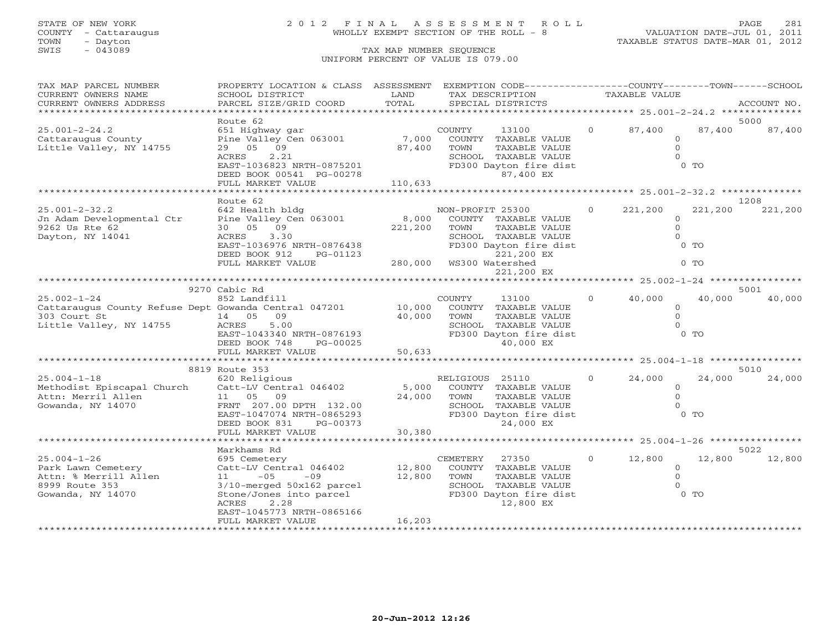# STATE OF NEW YORK 2 0 1 2 F I N A L A S S E S S M E N T R O L L PAGE 281 COUNTY - Cattaraugus WHOLLY EXEMPT SECTION OF THE ROLL - 8 VALUATION DATE-JUL 01, 2011

| TAX MAP PARCEL NUMBER                                   | PROPERTY LOCATION & CLASS ASSESSMENT EXEMPTION CODE---------------COUNTY-------TOWN------SCHOOL |                                       |                                       |                |                      |         |             |
|---------------------------------------------------------|-------------------------------------------------------------------------------------------------|---------------------------------------|---------------------------------------|----------------|----------------------|---------|-------------|
| CURRENT OWNERS NAME                                     | SCHOOL DISTRICT                                                                                 | LAND                                  | TAX DESCRIPTION                       |                | <b>TAXABLE VALUE</b> |         |             |
| CURRENT OWNERS ADDRESS                                  | PARCEL SIZE/GRID COORD                                                                          | TOTAL                                 | SPECIAL DISTRICTS                     |                |                      |         | ACCOUNT NO. |
| ******************************                          |                                                                                                 |                                       |                                       |                |                      |         |             |
|                                                         | Route 62                                                                                        |                                       |                                       |                |                      |         | 5000        |
| $25.001 - 2 - 24.2$                                     | 651 Highway gar                                                                                 |                                       | COUNTY<br>13100                       | $\overline{O}$ | 87,400               | 87,400  | 87,400      |
| Cattaraugus County                                      | Pine Valley Cen 063001                                                                          | 7,000                                 | COUNTY TAXABLE VALUE                  |                | $\circ$              |         |             |
| Little Valley, NY 14755                                 | 29 05 09                                                                                        | 87,400                                | TOWN<br>TAXABLE VALUE                 |                | $\overline{O}$       |         |             |
|                                                         | ACRES<br>2.21                                                                                   |                                       | SCHOOL TAXABLE VALUE                  |                | $\Omega$             |         |             |
|                                                         | EAST-1036823 NRTH-0875201                                                                       |                                       | FD300 Dayton fire dist                |                |                      | $0$ TO  |             |
|                                                         | DEED BOOK 00541 PG-00278                                                                        |                                       | 87,400 EX                             |                |                      |         |             |
|                                                         | FULL MARKET VALUE                                                                               | 110,633                               |                                       |                |                      |         |             |
|                                                         |                                                                                                 |                                       |                                       |                |                      |         |             |
|                                                         | Route 62                                                                                        |                                       |                                       |                |                      |         | 1208        |
| $25.001 - 2 - 32.2$                                     | 642 Health bldg                                                                                 |                                       | NON-PROFIT 25300                      | $\Omega$       | 221,200              | 221,200 | 221,200     |
| Jn Adam Developmental Ctr                               | Pine Valley Cen 063001                                                                          | 8,000                                 | COUNTY TAXABLE VALUE                  |                | $\Omega$             |         |             |
| 9262 Us Rte 62                                          | 30 05 09                                                                                        | 221,200                               | TAXABLE VALUE<br>TOWN                 |                | $\Omega$             |         |             |
| Dayton, NY 14041                                        | ACRES 3.30                                                                                      |                                       | SCHOOL TAXABLE VALUE                  |                | $\Omega$             |         |             |
|                                                         | EAST-1036976 NRTH-0876438                                                                       |                                       | FD300 Dayton fire dist                |                |                      | $0$ TO  |             |
|                                                         |                                                                                                 |                                       |                                       |                |                      |         |             |
|                                                         | DEED BOOK 912<br>PG-01123                                                                       |                                       | 221,200 EX<br>280,000 WS300 Watershed |                |                      | $0$ TO  |             |
|                                                         | FULL MARKET VALUE                                                                               |                                       |                                       |                |                      |         |             |
|                                                         |                                                                                                 |                                       | 221,200 EX                            |                |                      |         |             |
|                                                         |                                                                                                 |                                       |                                       |                |                      |         |             |
|                                                         | 9270 Cabic Rd                                                                                   |                                       |                                       |                |                      |         | 5001        |
| $25.002 - 1 - 24$                                       | 852 Landfill                                                                                    | $\begin{array}{c} 10,000 \end{array}$ | COUNTY<br>13100                       | $\Omega$       | 40,000               | 40,000  | 40,000      |
| Cattaraugus County Refuse Dept Gowanda Central 047201   |                                                                                                 |                                       | COUNTY TAXABLE VALUE                  |                | $\circ$              |         |             |
| 303 Court St<br>sus Court St<br>Little Valley, NY 14755 | 14 05 09                                                                                        | 40,000                                | TAXABLE VALUE<br>TOWN                 |                | $\circ$              |         |             |
|                                                         | ACRES<br>5.00                                                                                   |                                       | SCHOOL TAXABLE VALUE                  |                | $\Omega$             |         |             |
|                                                         | EAST-1043340 NRTH-0876193                                                                       |                                       | FD300 Dayton fire dist                |                |                      | $0$ TO  |             |
|                                                         | DEED BOOK 748<br>PG-00025                                                                       |                                       | 40,000 EX                             |                |                      |         |             |
|                                                         | FULL MARKET VALUE                                                                               | 50,633                                |                                       |                |                      |         |             |
|                                                         | ******************************                                                                  |                                       |                                       |                |                      |         |             |
|                                                         | 8819 Route 353                                                                                  |                                       |                                       |                |                      |         | 5010        |
| $25.004 - 1 - 18$                                       | 620 Religious                                                                                   |                                       | RELIGIOUS 25110                       | $\Omega$       | 24,000               | 24,000  | 24,000      |
| Methodist Episcapal Church                              | Catt-LV Central 046402                                                                          | 5,000                                 | COUNTY TAXABLE VALUE                  |                | $\circ$              |         |             |
| Attn: Merril Allen                                      | 11 05 09                                                                                        | 24,000                                | TOWN<br>TAXABLE VALUE                 |                | $\Omega$             |         |             |
| Gowanda, NY 14070                                       | FRNT 207.00 DPTH 132.00                                                                         |                                       | SCHOOL TAXABLE VALUE                  |                | $\Omega$             |         |             |
|                                                         | EAST-1047074 NRTH-0865293                                                                       |                                       | FD300 Dayton fire dist                |                |                      | $0$ TO  |             |
|                                                         | DEED BOOK 831<br>PG-00373                                                                       |                                       | 24,000 EX                             |                |                      |         |             |
|                                                         | FULL MARKET VALUE                                                                               | 30,380                                |                                       |                |                      |         |             |
|                                                         | ********************                                                                            |                                       |                                       |                |                      |         |             |
|                                                         | Markhams Rd                                                                                     |                                       |                                       |                |                      |         | 5022        |
| $25.004 - 1 - 26$                                       | 695 Cemetery                                                                                    |                                       | CEMETERY 27350                        | $\overline{0}$ | 12,800               | 12,800  | 12,800      |
| Park Lawn Cemetery                                      | Catt-LV Central 046402                                                                          | 12,800                                | COUNTY TAXABLE VALUE                  |                | $\overline{0}$       |         |             |
| Attn: % Merrill Allen                                   | $-09$<br>$11 - 05$                                                                              | 12,800                                | TOWN<br>TAXABLE VALUE                 |                | $\circ$              |         |             |
| 8999 Route 353                                          | 3/10-merged 50x162 parcel                                                                       |                                       | SCHOOL TAXABLE VALUE                  |                | $\Omega$             |         |             |
| Gowanda, NY 14070                                       | Stone/Jones into parcel                                                                         |                                       | FD300 Dayton fire dist                |                |                      | $0$ TO  |             |
|                                                         | ACRES<br>2.28                                                                                   |                                       | 12,800 EX                             |                |                      |         |             |
|                                                         | EAST-1045773 NRTH-0865166                                                                       |                                       |                                       |                |                      |         |             |
|                                                         | FULL MARKET VALUE                                                                               | 16,203                                |                                       |                |                      |         |             |
|                                                         |                                                                                                 |                                       |                                       |                |                      |         |             |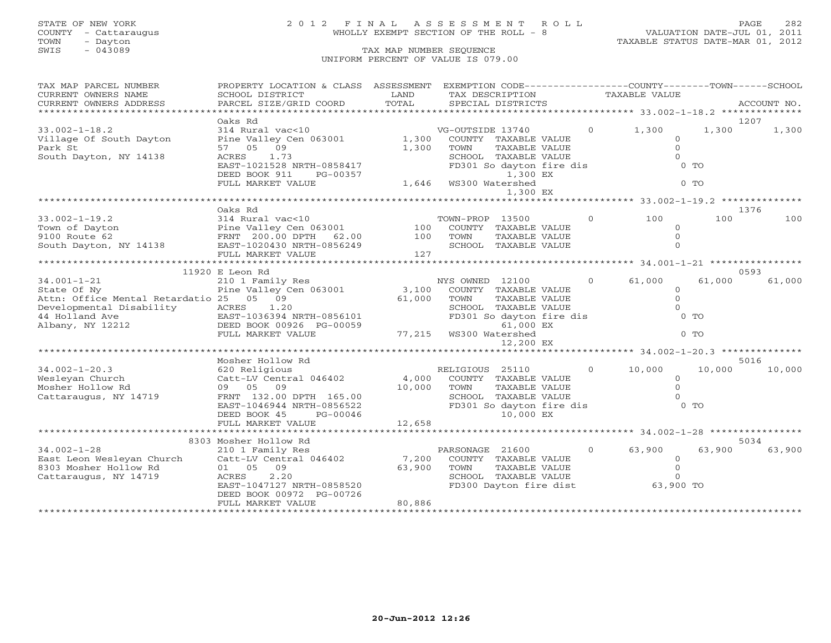# STATE OF NEW YORK 2 0 1 2 F I N A L A S S E S S M E N T R O L L PAGE 282 COUNTY - Cattaraugus WHOLLY EXEMPT SECTION OF THE ROLL - 8 VALUATION DATE-JUL 01, 2011

| TAX MAP PARCEL NUMBER                   | PROPERTY LOCATION & CLASS ASSESSMENT                                                                                                       |                                      |                                                  |                          |                | EXEMPTION CODE-----------------COUNTY-------TOWN------SCHOOL |          |             |
|-----------------------------------------|--------------------------------------------------------------------------------------------------------------------------------------------|--------------------------------------|--------------------------------------------------|--------------------------|----------------|--------------------------------------------------------------|----------|-------------|
| CURRENT OWNERS NAME                     | SCHOOL DISTRICT                                                                                                                            | LAND                                 |                                                  | TAX DESCRIPTION          |                | TAXABLE VALUE                                                |          |             |
| CURRENT OWNERS ADDRESS                  | PARCEL SIZE/GRID COORD                                                                                                                     | TOTAL                                |                                                  | SPECIAL DISTRICTS        |                |                                                              |          | ACCOUNT NO. |
|                                         |                                                                                                                                            |                                      |                                                  |                          |                |                                                              |          |             |
|                                         | Oaks Rd                                                                                                                                    |                                      |                                                  |                          |                |                                                              |          | 1207        |
| $33.002 - 1 - 18.2$                     | 314 Rural vac<10                                                                                                                           |                                      | VG-OUTSIDE 13740                                 |                          |                | $0 \t 1,300$                                                 | 1,300    | 1,300       |
| Village Of South Dayton                 | Pine Valley Cen 063001                                                                                                                     | 1,300                                |                                                  | COUNTY TAXABLE VALUE     |                |                                                              | $\Omega$ |             |
| Park St                                 | 57 05 09                                                                                                                                   | 1,300                                | TOWN                                             | TAXABLE VALUE            |                |                                                              | $\Omega$ |             |
| South Dayton, NY 14138                  | ACRES<br>1.73                                                                                                                              |                                      |                                                  | SCHOOL TAXABLE VALUE     |                |                                                              | $\Omega$ |             |
|                                         | EAST-1021528 NRTH-0858417                                                                                                                  |                                      |                                                  | FD301 So dayton fire dis |                |                                                              | $0$ TO   |             |
|                                         | DEED BOOK 911<br>PG-00357                                                                                                                  |                                      |                                                  | 1,300 EX                 |                |                                                              |          |             |
|                                         | FULL MARKET VALUE                                                                                                                          | 1,300<br>1,646 WS300 Watershed 1,646 |                                                  |                          |                |                                                              | $0$ TO   |             |
|                                         |                                                                                                                                            |                                      |                                                  | 1,300 EX                 |                |                                                              |          |             |
|                                         |                                                                                                                                            |                                      |                                                  |                          |                |                                                              |          |             |
|                                         | Oaks Rd                                                                                                                                    |                                      |                                                  |                          |                |                                                              |          | 1376        |
|                                         |                                                                                                                                            |                                      |                                                  |                          |                | $\begin{matrix} 0 & 100 \end{matrix}$                        | 100      | 100         |
|                                         |                                                                                                                                            |                                      |                                                  |                          |                |                                                              | $\Omega$ |             |
|                                         |                                                                                                                                            |                                      |                                                  |                          |                |                                                              | $\Omega$ |             |
|                                         |                                                                                                                                            |                                      |                                                  |                          |                |                                                              | $\Omega$ |             |
|                                         | FULL MARKET VALUE                                                                                                                          | 127                                  |                                                  |                          |                |                                                              |          |             |
|                                         |                                                                                                                                            |                                      |                                                  |                          |                |                                                              |          |             |
|                                         |                                                                                                                                            |                                      |                                                  |                          |                |                                                              |          | 0593        |
|                                         | 11920 E Leon Rd                                                                                                                            |                                      |                                                  |                          |                |                                                              |          | 61,000      |
| $34.001 - 1 - 21$                       | 210 1 Family Res                                                                                                                           |                                      |                                                  |                          |                | NYS OWNED 12100 0 61,000                                     | 61,000   |             |
| State Of Ny                             | Pine Valley Cen 063001                                                                                                                     |                                      | 3,100 COUNTY TAXABLE VALUE                       |                          |                |                                                              | $\circ$  |             |
| Attn: Office Mental Retardatio 25 05 09 |                                                                                                                                            | 61,000                               | TOWN                                             | TAXABLE VALUE            |                |                                                              | $\Omega$ |             |
| Developmental Disability ACRES          | 1.20                                                                                                                                       |                                      | SCHOOL TAXABLE VALUE<br>FD301 So dayton fire dis |                          |                |                                                              | $\Omega$ |             |
| 44 Holland Ave                          |                                                                                                                                            |                                      |                                                  |                          |                |                                                              | $0$ TO   |             |
| Albany, NY 12212                        |                                                                                                                                            |                                      |                                                  | 61,000 EX                |                |                                                              |          |             |
|                                         | SCHOOL TAXABLE<br>EAST-1036394 NRTH-0856101 FD301 So dayton<br>DEED BOOK 00926 PG-00059 61,000<br>FULL MARKET VALUE 77,215 WS300 Watershed |                                      |                                                  |                          |                |                                                              | $0$ TO   |             |
|                                         |                                                                                                                                            |                                      |                                                  | 12,200 EX                |                |                                                              |          |             |
|                                         |                                                                                                                                            |                                      |                                                  |                          |                |                                                              |          |             |
|                                         | Mosher Hollow Rd                                                                                                                           |                                      |                                                  |                          |                |                                                              |          | 5016        |
| $34.002 - 1 - 20.3$                     | 620 Religious                                                                                                                              |                                      | RELIGIOUS 25110                                  |                          |                | $0 \t 10,000$                                                | 10,000   | 10,000      |
| Wesleyan Church                         | $Cat-LV$ Central $046402$ 4,000                                                                                                            |                                      |                                                  | COUNTY TAXABLE VALUE     |                |                                                              | $\circ$  |             |
| Mosher Hollow Rd                        | 09 05 09                                                                                                                                   | 10,000                               | TOWN                                             | TAXABLE VALUE            |                |                                                              | $\circ$  |             |
| Cattaraugus, NY 14719                   | FRNT 132.00 DPTH 165.00                                                                                                                    |                                      |                                                  | SCHOOL TAXABLE VALUE     |                |                                                              | $\Omega$ |             |
|                                         | EAST-1046944 NRTH-0856522                                                                                                                  |                                      | FD301 So dayton fire dis                         |                          |                |                                                              | $0$ TO   |             |
|                                         | DEED BOOK 45<br>PG-00046                                                                                                                   |                                      |                                                  | 10,000 EX                |                |                                                              |          |             |
|                                         | FULL MARKET VALUE                                                                                                                          | 12,658                               |                                                  |                          |                |                                                              |          |             |
|                                         |                                                                                                                                            |                                      |                                                  |                          |                |                                                              |          |             |
|                                         | 8303 Mosher Hollow Rd                                                                                                                      |                                      |                                                  |                          |                |                                                              |          | 5034        |
| $34.002 - 1 - 28$                       | 210 1 Family Res                                                                                                                           |                                      | PARSONAGE 21600                                  |                          | $\overline{0}$ | 63,900                                                       | 63,900   | 63,900      |
| East Leon Wesleyan Church               | Catt-LV Central 046402 7,200                                                                                                               |                                      |                                                  | COUNTY TAXABLE VALUE     |                |                                                              | $\Omega$ |             |
| 8303 Mosher Hollow Rd                   | 01 05 09                                                                                                                                   | 63,900                               | TOWN                                             | TAXABLE VALUE            |                |                                                              | $\Omega$ |             |
| Cattaraugus, NY 14719                   | 2.20<br>ACRES                                                                                                                              |                                      |                                                  | SCHOOL TAXABLE VALUE     |                |                                                              |          |             |
|                                         | EAST-1047127 NRTH-0858520                                                                                                                  |                                      | FD300 Dayton fire dist                           |                          |                | 63,900 TO                                                    |          |             |
|                                         | DEED BOOK 00972 PG-00726                                                                                                                   |                                      |                                                  |                          |                |                                                              |          |             |
|                                         | FULL MARKET VALUE                                                                                                                          | 80,886                               |                                                  |                          |                |                                                              |          |             |
|                                         |                                                                                                                                            |                                      |                                                  |                          |                |                                                              |          |             |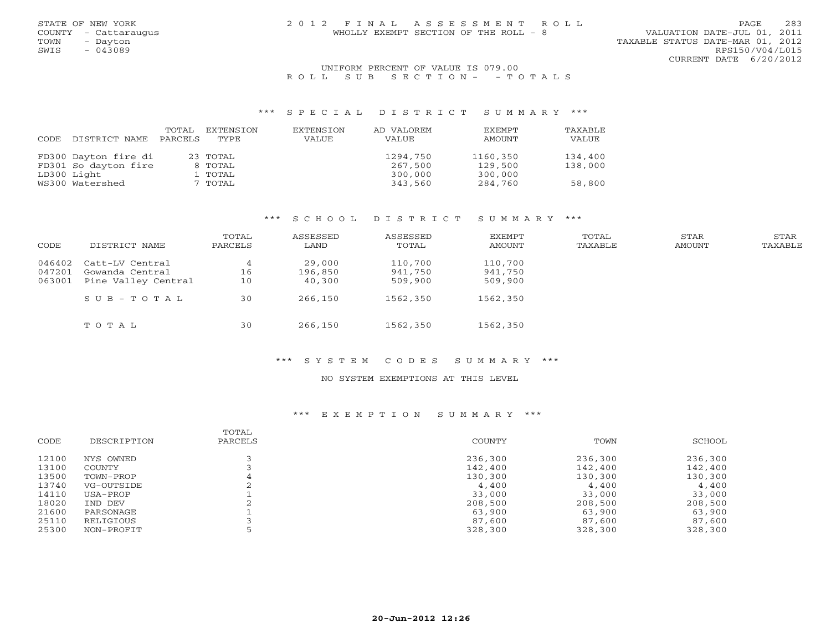## UNIFORM PERCENT OF VALUE IS 079.00 R O L L S U B S E C T I O N - - T O T A L S

## \*\*\* S P E C I A L D I S T R I C T S U M M A R Y \*\*\*

| CODE | DISTRICT NAME        | TOTAL<br>PARCELS | EXTENSION<br>TYPE. | EXTENSION<br>VALUE | AD VALOREM<br>VALUE | <b>EXEMPT</b><br>AMOUNT | TAXABLE<br>VALUE |
|------|----------------------|------------------|--------------------|--------------------|---------------------|-------------------------|------------------|
|      | FD300 Dayton fire di |                  | 23 TOTAL           |                    | 1294,750            | 1160,350                | 134,400          |
|      | FD301 So dayton fire |                  | 8 TOTAL            |                    | 267,500             | 129,500                 | 138,000          |
|      | LD300 Light          |                  | 1 TOTAL            |                    | 300,000             | 300,000                 |                  |
|      | WS300 Watershed      |                  | 7 TOTAL            |                    | 343,560             | 284,760                 | 58,800           |

# \*\*\* S C H O O L D I S T R I C T S U M M A R Y \*\*\*

| CODE   | DISTRICT NAME       | TOTAL<br>PARCELS | ASSESSED<br>LAND | ASSESSED<br>TOTAL | EXEMPT<br>AMOUNT | TOTAL<br>TAXABLE | STAR<br>AMOUNT | STAR<br>TAXABLE |
|--------|---------------------|------------------|------------------|-------------------|------------------|------------------|----------------|-----------------|
| 046402 | Catt-LV Central     | 4                | 29,000           | 110,700           | 110,700          |                  |                |                 |
| 047201 | Gowanda Central     | 16               | 196,850          | 941,750           | 941,750          |                  |                |                 |
| 063001 | Pine Valley Central | 10               | 40,300           | 509,900           | 509,900          |                  |                |                 |
|        | $SUB - TO T AL$     | 30               | 266,150          | 1562,350          | 1562,350         |                  |                |                 |
|        | TOTAL               | 30               | 266,150          | 1562,350          | 1562,350         |                  |                |                 |

## \*\*\* S Y S T E M C O D E S S U M M A R Y \*\*\*

# NO SYSTEM EXEMPTIONS AT THIS LEVEL

# \*\*\* E X E M P T I O N S U M M A R Y \*\*\*

| CODE  | DESCRIPTION | TOTAL<br>PARCELS | COUNTY  | TOWN    | SCHOOL  |
|-------|-------------|------------------|---------|---------|---------|
| 12100 | NYS OWNED   |                  | 236,300 | 236,300 | 236,300 |
| 13100 | COUNTY      |                  | 142,400 | 142,400 | 142,400 |
| 13500 | TOWN-PROP   |                  | 130,300 | 130,300 | 130,300 |
| 13740 | VG-OUTSIDE  |                  | 4,400   | 4,400   | 4,400   |
| 14110 | USA-PROP    |                  | 33,000  | 33,000  | 33,000  |
| 18020 | IND DEV     |                  | 208,500 | 208,500 | 208,500 |
| 21600 | PARSONAGE   |                  | 63,900  | 63,900  | 63,900  |
| 25110 | RELIGIOUS   |                  | 87,600  | 87,600  | 87,600  |
| 25300 | NON-PROFIT  |                  | 328,300 | 328,300 | 328,300 |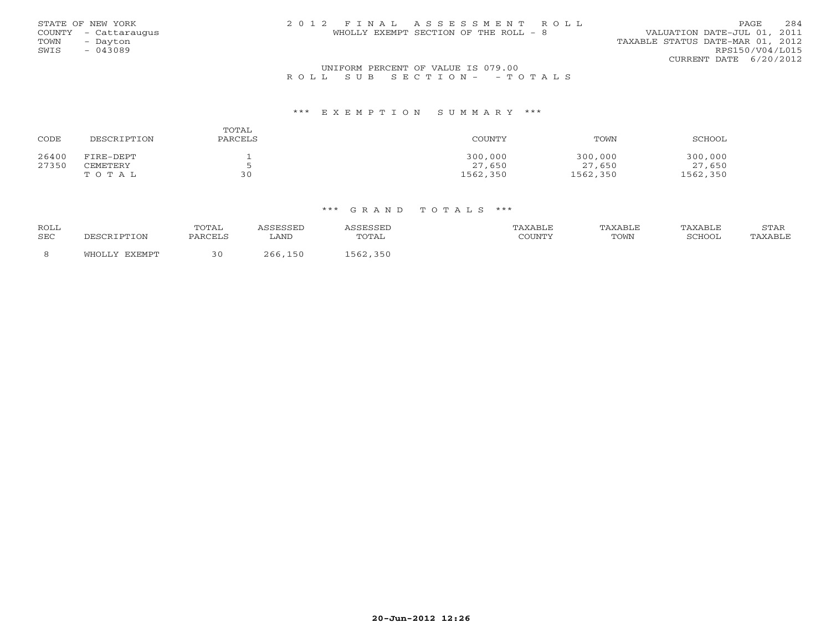| STATE OF NEW YORK    | 2012 FINAL ASSESSMENT ROLL            | 2.84<br>PAGE.                    |
|----------------------|---------------------------------------|----------------------------------|
| COUNTY - Cattaraugus | WHOLLY EXEMPT SECTION OF THE ROLL - 8 | VALUATION DATE-JUL 01, 2011      |
| TOWN<br>- Davton     |                                       | TAXABLE STATUS DATE-MAR 01, 2012 |
| SWIS<br>$-043089$    |                                       | RPS150/V04/L015                  |
|                      |                                       | CURRENT DATE 6/20/2012           |
|                      | IBITEODM DEDCEME OF VALUE IS 070 00   |                                  |

# UNIFORM PERCENT OF VALUE IS 079.00<br>R O L L S U B S E C T I O N – – T O T A L S

#### \*\*\* E X E M P T I O N S U M M A R Y \*\*\*

| CODE  | DESCRIPTION | TOTAL<br>PARCELS | COUNTY   | TOWN     | SCHOOL   |
|-------|-------------|------------------|----------|----------|----------|
| 26400 | FIRE-DEPT   |                  | 300,000  | 300,000  | 300,000  |
| 27350 | CEMETERY    |                  | 27,650   | 27,650   | 27,650   |
|       | TOTAL       | 30               | 1562,350 | 1562,350 | 1562,350 |

| <b>ROLL</b><br>SEC | DESCRIPTION   | TOTAL<br>PARCELS | LAND    | TOTAL    | TAXABLE<br>COUNTY | TAXABLE<br>TOWN | TAXABLE<br>SCHOOL | STAR<br>TAXABLE |
|--------------------|---------------|------------------|---------|----------|-------------------|-----------------|-------------------|-----------------|
|                    | WHOLLY EXEMPT |                  | 266,150 | 1562,350 |                   |                 |                   |                 |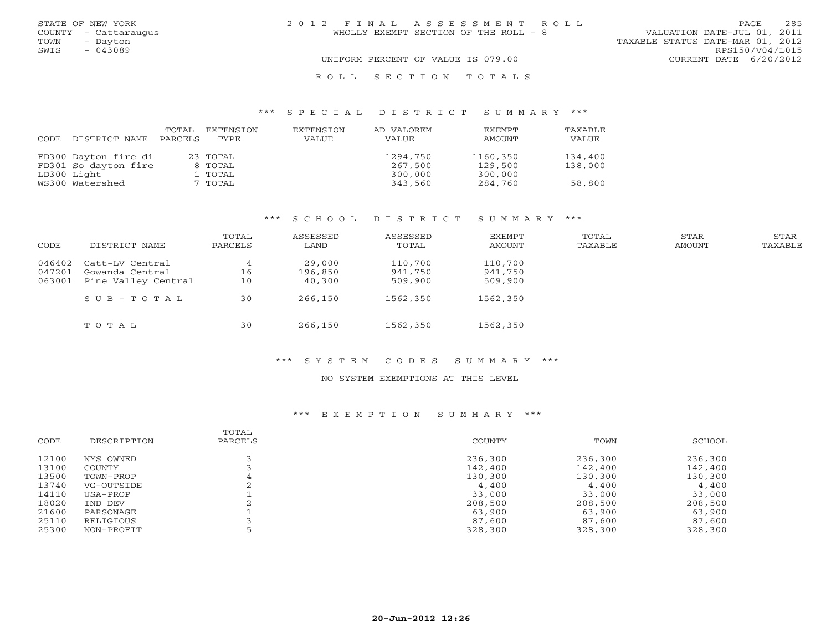|      | STATE OF NEW YORK    | 2012 FINAL ASSESSMENT ROLL            | 285<br>PAGE                      |
|------|----------------------|---------------------------------------|----------------------------------|
|      | COUNTY - Cattaraugus | WHOLLY EXEMPT SECTION OF THE ROLL - 8 | VALUATION DATE-JUL 01, 2011      |
| TOWN | - Dayton             |                                       | TAXABLE STATUS DATE-MAR 01, 2012 |
| SWIS | $-043089$            |                                       | RPS150/V04/L015                  |
|      |                      | UNIFORM PERCENT OF VALUE IS 079.00    | CURRENT DATE 6/20/2012           |
|      |                      | ROLL SECTION TOTALS                   |                                  |

## \*\*\* S P E C I A L D I S T R I C T S U M M A R Y \*\*\*

| CODE | DISTRICT NAME        | TOTAL<br>PARCELS | EXTENSION<br>TYPE | EXTENSION<br>VALUE | AD VALOREM<br>VALUE | <b>EXEMPT</b><br>AMOUNT | TAXABLE<br>VALUE |
|------|----------------------|------------------|-------------------|--------------------|---------------------|-------------------------|------------------|
|      | FD300 Dayton fire di |                  | 23 TOTAL          |                    | 1294,750            | 1160,350                | 134,400          |
|      | FD301 So dayton fire |                  | 8 TOTAL           |                    | 267,500             | 129,500                 | 138,000          |
|      | LD300 Light          |                  | 1 ТОТАL           |                    | 300,000             | 300,000                 |                  |
|      | WS300 Watershed      |                  | 7 TOTAL           |                    | 343,560             | 284,760                 | 58,800           |

# \*\*\* S C H O O L D I S T R I C T S U M M A R Y \*\*\*

| CODE   | DISTRICT NAME       | TOTAL<br>PARCELS | ASSESSED<br>LAND | ASSESSED<br>TOTAL | EXEMPT<br>AMOUNT | TOTAL<br>TAXABLE | STAR<br>AMOUNT | STAR<br>TAXABLE |
|--------|---------------------|------------------|------------------|-------------------|------------------|------------------|----------------|-----------------|
| 046402 | Catt-LV Central     | 4                | 29,000           | 110,700           | 110,700          |                  |                |                 |
| 047201 | Gowanda Central     | 16               | 196,850          | 941,750           | 941,750          |                  |                |                 |
| 063001 | Pine Valley Central | 10               | 40,300           | 509,900           | 509,900          |                  |                |                 |
|        | $SUB - TO T AL$     | 30               | 266,150          | 1562,350          | 1562,350         |                  |                |                 |
|        | TOTAL               | 30               | 266,150          | 1562,350          | 1562,350         |                  |                |                 |

#### \*\*\* S Y S T E M C O D E S S U M M A R Y \*\*\*

# NO SYSTEM EXEMPTIONS AT THIS LEVEL

# \*\*\* E X E M P T I O N S U M M A R Y \*\*\*

| CODE           | DESCRIPTION         | TOTAL<br>PARCELS | COUNTY             | TOWN               | SCHOOL             |
|----------------|---------------------|------------------|--------------------|--------------------|--------------------|
|                |                     |                  |                    |                    |                    |
| 12100<br>13100 | NYS OWNED<br>COUNTY |                  | 236,300<br>142,400 | 236,300<br>142,400 | 236,300<br>142,400 |
| 13500          | TOWN-PROP           | 4                | 130,300            | 130,300            | 130,300            |
| 13740          | VG-OUTSIDE          |                  | 4,400              | 4,400              | 4,400              |
| 14110          | USA-PROP            |                  | 33,000             | 33,000             | 33,000             |
| 18020          | IND DEV             |                  | 208,500            | 208,500            | 208,500            |
| 21600          | PARSONAGE           |                  | 63,900             | 63,900             | 63,900             |
| 25110          | RELIGIOUS           |                  | 87,600             | 87,600             | 87,600             |
| 25300          | NON-PROFIT          |                  | 328,300            | 328,300            | 328,300            |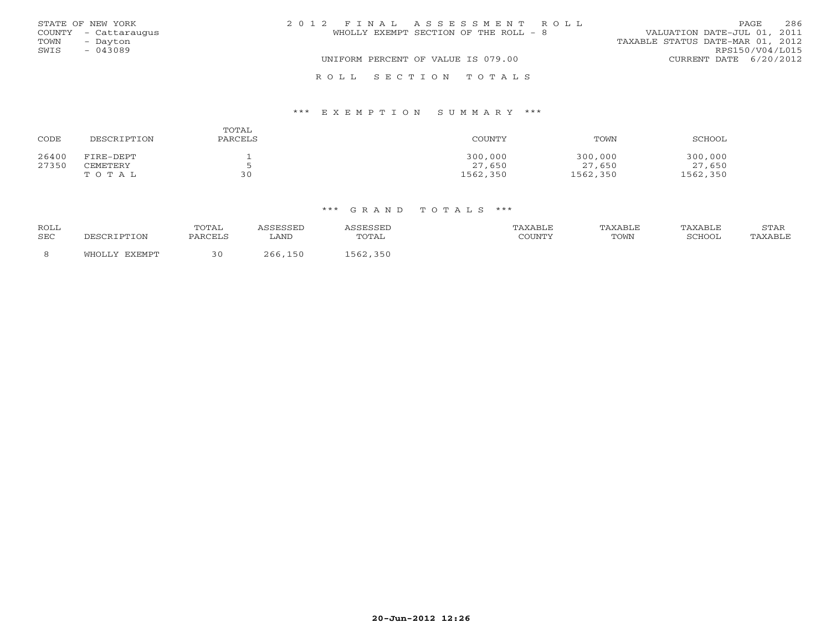|      | STATE OF NEW YORK    | 2012 FINAL ASSESSMENT ROLL                                           | 286<br>PAGE              |
|------|----------------------|----------------------------------------------------------------------|--------------------------|
|      | COUNTY - Cattaraugus | VALUATION DATE-JUL 01, 2011<br>WHOLLY EXEMPT SECTION OF THE ROLL - 8 |                          |
| TOWN | - Dayton             | TAXABLE STATUS DATE-MAR 01, 2012                                     |                          |
| SWIS | $-043089$            |                                                                      | RPS150/V04/L015          |
|      |                      | UNIFORM PERCENT OF VALUE IS 079.00                                   | CURRENT DATE $6/20/2012$ |
|      |                      | ROLL SECTION TOTALS                                                  |                          |

## \*\*\* E X E M P T I O N S U M M A R Y \*\*\*

| CODE  | DESCRIPTION | TOTAL<br>PARCELS | COUNTY   | TOWN     | SCHOOL   |
|-------|-------------|------------------|----------|----------|----------|
| 26400 | FIRE-DEPT   |                  | 300,000  | 300,000  | 300,000  |
| 27350 | CEMETERY    |                  | 27,650   | 27,650   | 27,650   |
|       | TOTAL       | 30               | 1562,350 | 1562,350 | 1562,350 |

| <b>ROLL</b><br><b>SEC</b> | DESCRIPTION      | TOTAL<br>PARCELS | LAND       | TOTAL    | TAXABLE<br>COUNTY | TAXABLE<br>TOWN | TAXABLE<br>SCHOOL | STAR<br>TAXABLE |
|---------------------------|------------------|------------------|------------|----------|-------------------|-----------------|-------------------|-----------------|
|                           | EXEMPT<br>WHOLLY |                  | 150<br>ገ66 | 1562,350 |                   |                 |                   |                 |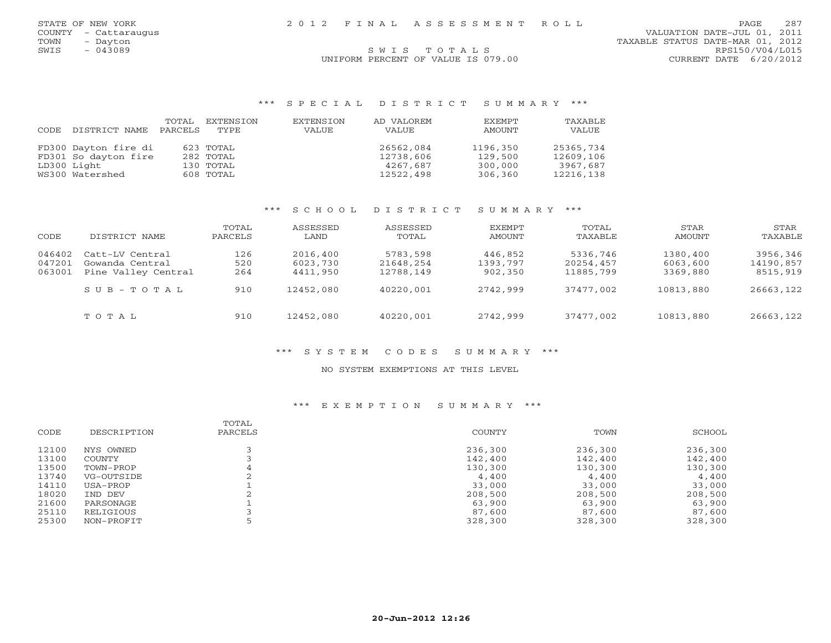COUNTY - Cattaraugus VALUATION DATE-JUL 01, 2011 TOWN - Dayton - Dayton (1, 2012)<br>
S W I S T O T A L S T O T A L S T O T A L S RPS150/V04/L015

# SWIS TOTALS UNIFORM PERCENT OF VALUE IS 079.00 CURRENT DATE 6/20/2012

## \*\*\* S P E C I A L D I S T R I C T S U M M A R Y \*\*\*

| CODE | DISTRICT NAME        | TOTAL<br>PARCELS | EXTENSION<br>TYPE | EXTENSION<br>VALUE | AD VALOREM<br>VALUE | EXEMPT<br>AMOUNT | TAXABLE<br>VALUE |
|------|----------------------|------------------|-------------------|--------------------|---------------------|------------------|------------------|
|      | FD300 Dayton fire di |                  | 623 TOTAL         |                    | 26562,084           | 1196,350         | 25365,734        |
|      | FD301 So dayton fire |                  | 282 TOTAL         |                    | 12738,606           | 129,500          | 12609,106        |
|      | LD300 Light          |                  | 130 TOTAL         |                    | 4267,687            | 300,000          | 3967,687         |
|      | WS300 Watershed      |                  | 608 TOTAL         |                    | 12522,498           | 306,360          | 12216,138        |

## \*\*\* S C H O O L D I S T R I C T S U M M A R Y \*\*\*

| CODE                       | DISTRICT NAME                                             | TOTAL<br>PARCELS  | ASSESSED<br>LAND                 | ASSESSED<br>TOTAL                  | EXEMPT<br>AMOUNT               | TOTAL<br>TAXABLE                   | STAR<br>AMOUNT                   | STAR<br>TAXABLE                   |
|----------------------------|-----------------------------------------------------------|-------------------|----------------------------------|------------------------------------|--------------------------------|------------------------------------|----------------------------------|-----------------------------------|
| 046402<br>047201<br>063001 | Catt-LV Central<br>Gowanda Central<br>Pine Valley Central | 126<br>520<br>264 | 2016,400<br>6023,730<br>4411,950 | 5783,598<br>21648,254<br>12788,149 | 446,852<br>1393,797<br>902,350 | 5336,746<br>20254,457<br>11885,799 | 1380,400<br>6063,600<br>3369,880 | 3956,346<br>14190,857<br>8515,919 |
|                            | $S \cup B - T \cup T A$                                   | 910               | 12452,080                        | 40220,001                          | 2742,999                       | 37477,002                          | 10813,880                        | 26663,122                         |
|                            | TOTAL                                                     | 910               | 12452,080                        | 40220,001                          | 2742,999                       | 37477,002                          | 10813,880                        | 26663,122                         |

## \*\*\* S Y S T E M C O D E S S U M M A R Y \*\*\*

#### NO SYSTEM EXEMPTIONS AT THIS LEVEL

# \*\*\* E X E M P T I O N S U M M A R Y \*\*\*

| <b>CODE</b> | DESCRIPTION | TOTAL<br>PARCELS | COUNTY  | TOWN    | SCHOOL  |
|-------------|-------------|------------------|---------|---------|---------|
| 12100       | NYS OWNED   |                  | 236,300 | 236,300 | 236,300 |
| 13100       | COUNTY      |                  | 142,400 | 142,400 | 142,400 |
| 13500       | TOWN-PROP   | 4                | 130,300 | 130,300 | 130,300 |
| 13740       | VG-OUTSIDE  |                  | 4,400   | 4,400   | 4,400   |
| 14110       | USA-PROP    |                  | 33,000  | 33,000  | 33,000  |
| 18020       | IND DEV     |                  | 208,500 | 208,500 | 208,500 |
| 21600       | PARSONAGE   |                  | 63,900  | 63,900  | 63,900  |
| 25110       | RELIGIOUS   |                  | 87,600  | 87,600  | 87,600  |
| 25300       | NON-PROFIT  |                  | 328,300 | 328,300 | 328,300 |
|             |             |                  |         |         |         |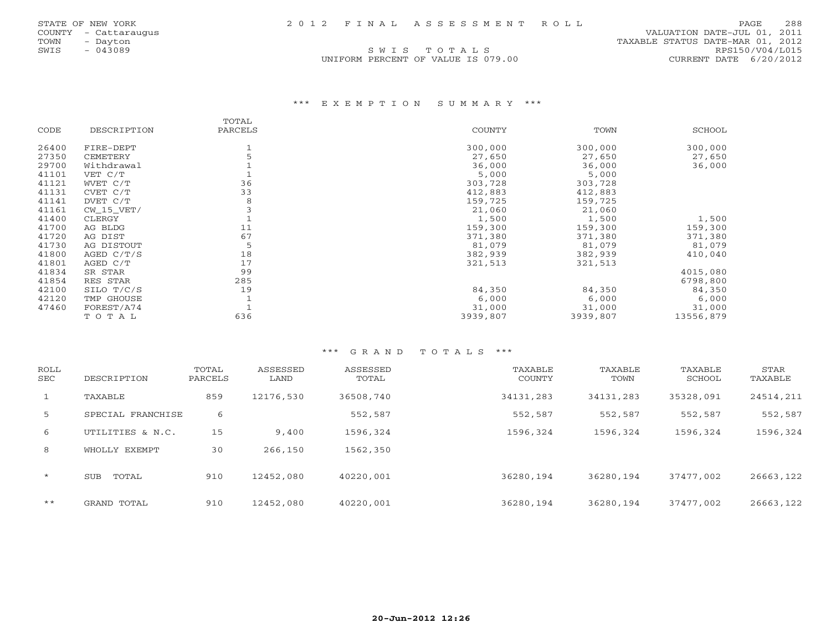SWIS TOTALS

 COUNTY - Cattaraugus VALUATION DATE-JUL 01, 2011 TOWN - Dayton - Dayton (1, 2012)<br>
SWIS - 043089 SWIS TO TALS TRANSIC STATUS DATE-MAR 01, 2012<br>
SWIS - 043089 RPS150/V04/L015 UNIFORM PERCENT OF VALUE IS 079.00 CURRENT DATE 6/20/2012

## \*\*\* E X E M P T I O N S U M M A R Y \*\*\*

|       |              | TOTAL   |               |          |           |
|-------|--------------|---------|---------------|----------|-----------|
| CODE  | DESCRIPTION  | PARCELS | <b>COUNTY</b> | TOWN     | SCHOOL    |
| 26400 | FIRE-DEPT    |         | 300,000       | 300,000  | 300,000   |
| 27350 | CEMETERY     |         | 27,650        | 27,650   | 27,650    |
| 29700 | Withdrawal   |         | 36,000        | 36,000   | 36,000    |
| 41101 | VET C/T      |         | 5,000         | 5,000    |           |
| 41121 | WVET C/T     | 36      | 303,728       | 303,728  |           |
| 41131 | CVET C/T     | 33      | 412,883       | 412,883  |           |
| 41141 | DVET C/T     | 8       | 159,725       | 159,725  |           |
| 41161 | $CW_15_VET/$ |         | 21,060        | 21,060   |           |
| 41400 | CLERGY       |         | 1,500         | 1,500    | 1,500     |
| 41700 | AG BLDG      | 11      | 159,300       | 159,300  | 159,300   |
| 41720 | AG DIST      | 67      | 371,380       | 371,380  | 371,380   |
| 41730 | AG DISTOUT   |         | 81,079        | 81,079   | 81,079    |
| 41800 | AGED $C/T/S$ | 18      | 382,939       | 382,939  | 410,040   |
| 41801 | AGED C/T     | 17      | 321,513       | 321,513  |           |
| 41834 | SR STAR      | 99      |               |          | 4015,080  |
| 41854 | RES STAR     | 285     |               |          | 6798,800  |
| 42100 | SILO T/C/S   | 19      | 84,350        | 84,350   | 84,350    |
| 42120 | TMP GHOUSE   |         | 6,000         | 6,000    | 6,000     |
| 47460 | FOREST/A74   |         | 31,000        | 31,000   | 31,000    |
|       | TOTAL        | 636     | 3939,807      | 3939,807 | 13556,879 |

| ROLL<br><b>SEC</b> | DESCRIPTION         | TOTAL<br>PARCELS | ASSESSED<br>LAND | ASSESSED<br>TOTAL | TAXABLE<br>COUNTY | TAXABLE<br>TOWN | TAXABLE<br>SCHOOL | STAR<br>TAXABLE |
|--------------------|---------------------|------------------|------------------|-------------------|-------------------|-----------------|-------------------|-----------------|
| $\mathbf{1}$       | TAXABLE             | 859              | 12176,530        | 36508,740         | 34131,283         | 34131,283       | 35328,091         | 24514,211       |
| 5                  | SPECIAL FRANCHISE   | 6                |                  | 552,587           | 552,587           | 552,587         | 552,587           | 552,587         |
| 6                  | UTILITIES & N.C.    | 15               | 9,400            | 1596,324          | 1596,324          | 1596,324        | 1596,324          | 1596,324        |
| 8                  | WHOLLY EXEMPT       | 30               | 266,150          | 1562,350          |                   |                 |                   |                 |
| $\star$            | TOTAL<br><b>SUB</b> | 910              | 12452,080        | 40220,001         | 36280,194         | 36280,194       | 37477,002         | 26663,122       |
| $***$              | GRAND TOTAL         | 910              | 12452,080        | 40220,001         | 36280,194         | 36280,194       | 37477,002         | 26663,122       |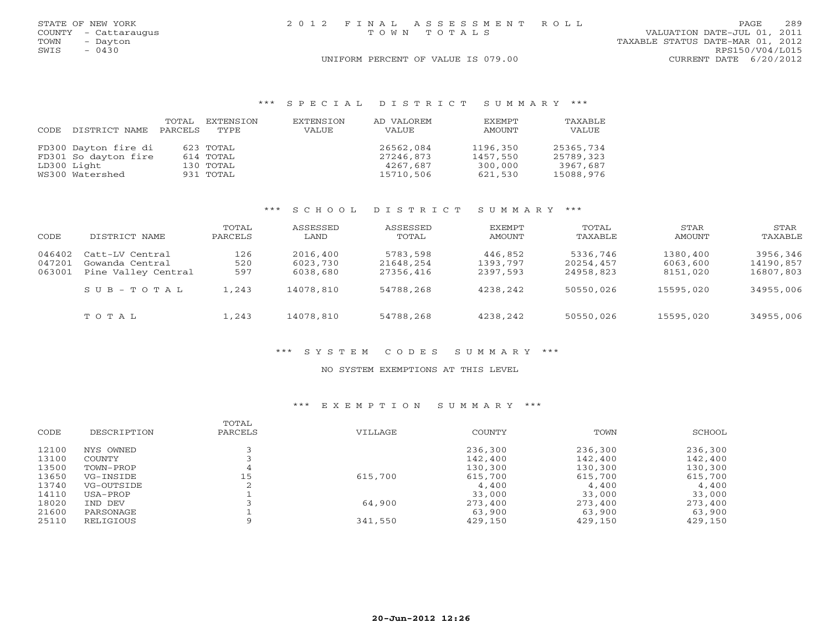|      | STATE OF NEW YORK    | 2012 FINAL ASSESSMENT ROLL         | PAGE.                            | 289 |
|------|----------------------|------------------------------------|----------------------------------|-----|
|      | COUNTY - Cattaraugus | TOWN TOTALS                        | VALUATION DATE-JUL 01, 2011      |     |
| TOWN | - Dayton             |                                    | TAXABLE STATUS DATE-MAR 01, 2012 |     |
| SWIS | $-0430$              |                                    | RPS150/V04/L015                  |     |
|      |                      | UNIFORM PERCENT OF VALUE IS 079.00 | CURRENT DATE 6/20/2012           |     |

# \*\*\* S P E C I A L D I S T R I C T S U M M A R Y \*\*\*

| CODE | DISTRICT NAME        | TOTAL<br>PARCELS | EXTENSION<br>TYPE | EXTENSION<br>VALUE | AD VALOREM<br><b>VALUE</b> | <b>FXEMPT</b><br>AMOUNT | TAXABLE<br>VALUE |
|------|----------------------|------------------|-------------------|--------------------|----------------------------|-------------------------|------------------|
|      | FD300 Dayton fire di |                  | 623 TOTAL         |                    | 26562,084                  | 1196,350                | 25365,734        |
|      | FD301 So dayton fire |                  | 614 TOTAL         |                    | 27246,873                  | 1457,550                | 25789,323        |
|      | LD300 Light          |                  | 130 TOTAL         |                    | 4267,687                   | 300,000                 | 3967,687         |
|      | WS300 Watershed      |                  | 931 TOTAL         |                    | 15710,506                  | 621,530                 | 15088,976        |

# \*\*\* S C H O O L D I S T R I C T S U M M A R Y \*\*\*

| CODE                       | DISTRICT NAME                                             | TOTAL<br>PARCELS  | ASSESSED<br>LAND                 | ASSESSED<br>TOTAL                  | EXEMPT<br>AMOUNT                | TOTAL<br>TAXABLE                   | STAR<br>AMOUNT                   | <b>STAR</b><br>TAXABLE             |
|----------------------------|-----------------------------------------------------------|-------------------|----------------------------------|------------------------------------|---------------------------------|------------------------------------|----------------------------------|------------------------------------|
| 046402<br>047201<br>063001 | Catt-LV Central<br>Gowanda Central<br>Pine Valley Central | 126<br>520<br>597 | 2016,400<br>6023,730<br>6038,680 | 5783,598<br>21648,254<br>27356,416 | 446,852<br>1393,797<br>2397,593 | 5336,746<br>20254,457<br>24958,823 | 1380,400<br>6063,600<br>8151,020 | 3956,346<br>14190,857<br>16807,803 |
|                            | $S$ U B $-$ T O T A L                                     | 1,243             | 14078,810                        | 54788,268                          | 4238,242                        | 50550,026                          | 15595,020                        | 34955,006                          |
|                            | TOTAL                                                     | 1,243             | 14078,810                        | 54788,268                          | 4238,242                        | 50550,026                          | 15595,020                        | 34955,006                          |

# \*\*\* S Y S T E M C O D E S S U M M A R Y \*\*\*

### NO SYSTEM EXEMPTIONS AT THIS LEVEL

# \*\*\* E X E M P T I O N S U M M A R Y \*\*\*

| SCHOOL  |
|---------|
|         |
| 236,300 |
| 142,400 |
| 130,300 |
| 615,700 |
| 4,400   |
| 33,000  |
| 273,400 |
| 63,900  |
| 429,150 |
|         |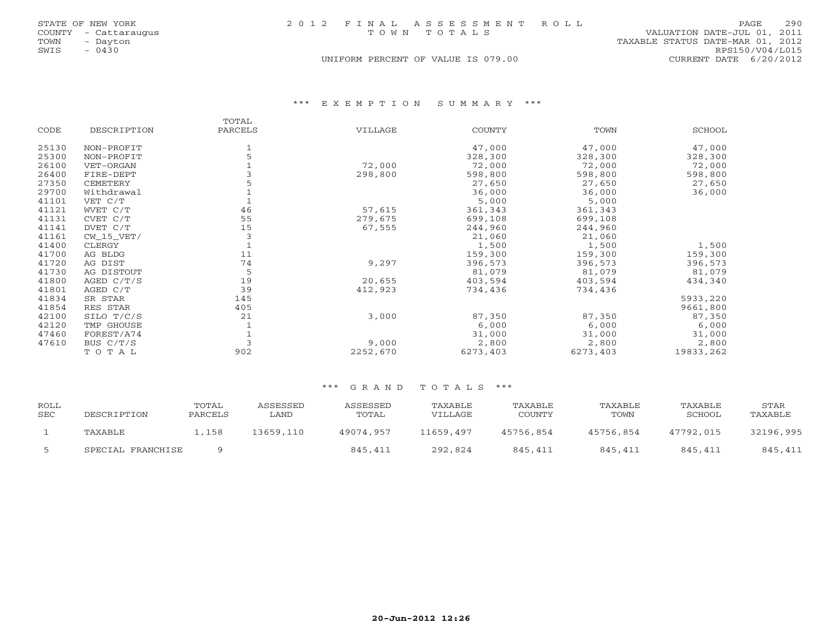| STATE OF NEW YORK    |          |  | 2012 FINAL ASSESSMENT ROLL         |                                  | PAGE                   | 290 |
|----------------------|----------|--|------------------------------------|----------------------------------|------------------------|-----|
| COUNTY - Cattaraugus |          |  | TOWN TOTALS                        | VALUATION DATE-JUL 01, 2011      |                        |     |
| TOWN                 | - Dayton |  |                                    | TAXABLE STATUS DATE-MAR 01, 2012 |                        |     |
| - 0430<br>SWIS       |          |  |                                    |                                  | RPS150/V04/L015        |     |
|                      |          |  | UNIFORM PERCENT OF VALUE IS 079.00 |                                  | CURRENT DATE 6/20/2012 |     |

\*\*\* E X E M P T I O N S U M M A R Y \*\*\*

|       |                | TOTAL   |          |               |          |           |
|-------|----------------|---------|----------|---------------|----------|-----------|
| CODE  | DESCRIPTION    | PARCELS | VILLAGE  | <b>COUNTY</b> | TOWN     | SCHOOL    |
| 25130 | NON-PROFIT     |         |          | 47,000        | 47,000   | 47,000    |
| 25300 | NON-PROFIT     |         |          | 328,300       | 328,300  | 328,300   |
| 26100 | VET-ORGAN      |         | 72,000   | 72,000        | 72,000   | 72,000    |
| 26400 | FIRE-DEPT      |         | 298,800  | 598,800       | 598,800  | 598,800   |
| 27350 | CEMETERY       |         |          | 27,650        | 27,650   | 27,650    |
| 29700 | Withdrawal     |         |          | 36,000        | 36,000   | 36,000    |
| 41101 | VET C/T        |         |          | 5,000         | 5,000    |           |
| 41121 | WVET C/T       | 46      | 57,615   | 361,343       | 361,343  |           |
| 41131 | CVET C/T       | 55      | 279,675  | 699,108       | 699,108  |           |
| 41141 | DVET C/T       | 15      | 67,555   | 244,960       | 244,960  |           |
| 41161 | $CW$ 15 $VET/$ | 3       |          | 21,060        | 21,060   |           |
| 41400 | CLERGY         |         |          | 1,500         | 1,500    | 1,500     |
| 41700 | AG BLDG        | 11      |          | 159,300       | 159,300  | 159,300   |
| 41720 | AG DIST        | 74      | 9,297    | 396,573       | 396,573  | 396,573   |
| 41730 | AG DISTOUT     | 5       |          | 81,079        | 81,079   | 81,079    |
| 41800 | AGED C/T/S     | 19      | 20,655   | 403,594       | 403,594  | 434,340   |
| 41801 | AGED C/T       | 39      | 412,923  | 734,436       | 734,436  |           |
| 41834 | SR STAR        | 145     |          |               |          | 5933,220  |
| 41854 | RES STAR       | 405     |          |               |          | 9661,800  |
| 42100 | SILO T/C/S     | 21      | 3,000    | 87,350        | 87,350   | 87,350    |
| 42120 | TMP GHOUSE     |         |          | 6,000         | 6,000    | 6,000     |
| 47460 | FOREST/A74     |         |          | 31,000        | 31,000   | 31,000    |
| 47610 | BUS C/T/S      |         | 9,000    | 2,800         | 2,800    | 2,800     |
|       | TOTAL          | 902     | 2252,670 | 6273,403      | 6273,403 | 19833,262 |

# \*\*\* G R A N D T O T A L S \*\*\*

| ROLL<br>SEC | DESCRIPTION       | TOTAL<br>PARCELS | ASSESSED<br>LAND | ASSESSED<br>TOTAL | TAXABLE<br>VILLAGE | TAXABLE<br>COUNTY | TAXABLE<br>TOWN | TAXABLE<br>SCHOOL | STAR<br>TAXABLE |
|-------------|-------------------|------------------|------------------|-------------------|--------------------|-------------------|-----------------|-------------------|-----------------|
|             | TAXABLE           | ⊥,158            | 13659,110        | 49074,957         | 11659,497          | 45756,854         | 45756,854       | 47792,015         | 32196,995       |
|             | SPECIAL FRANCHISE |                  |                  | 845,411           | 292,824            | 845,411           | 845,411         | 845,411           | 845,411         |